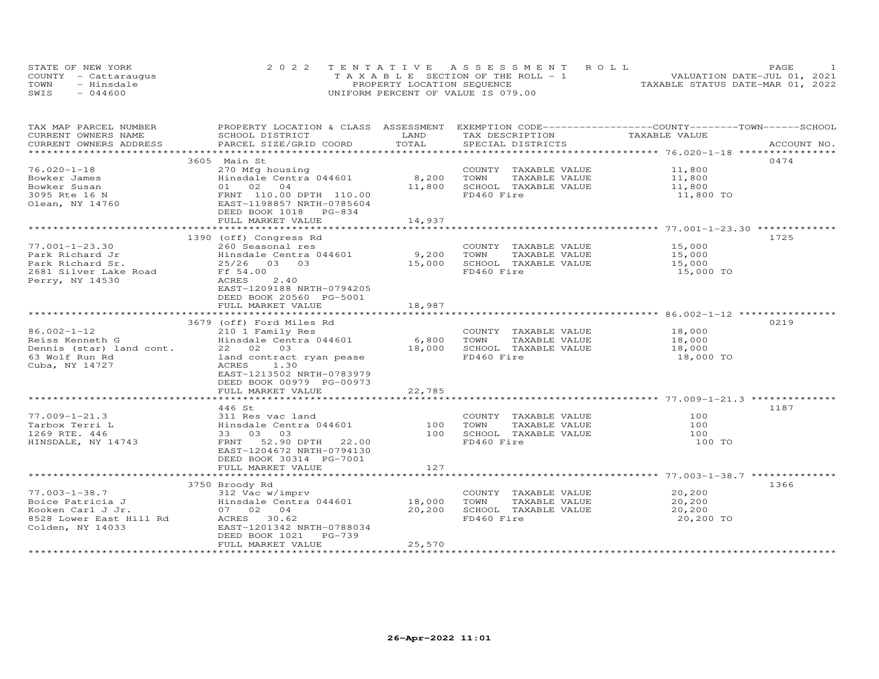| STATE OF NEW YORK    | 2022 TENTATIVE ASSESSMENT ROLL        | PAGE.                            |
|----------------------|---------------------------------------|----------------------------------|
| COUNTY - Cattaraugus | T A X A B L E SECTION OF THE ROLL - 1 | VALUATION DATE-JUL 01, 2021      |
| TOWN<br>- Hinsdale   | PROPERTY LOCATION SEQUENCE            | TAXABLE STATUS DATE-MAR 01, 2022 |
| $-044600$<br>SWIS    | UNIFORM PERCENT OF VALUE IS 079.00    |                                  |

| TAX MAP PARCEL NUMBER                         | PROPERTY LOCATION & CLASS ASSESSMENT EXEMPTION CODE----------------COUNTY-------TOWN------SCHOOL                                                                        |                     |                                      | TAXABLE VALUE    |             |
|-----------------------------------------------|-------------------------------------------------------------------------------------------------------------------------------------------------------------------------|---------------------|--------------------------------------|------------------|-------------|
| CURRENT OWNERS NAME<br>CURRENT OWNERS ADDRESS | SCHOOL DISTRICT<br>PARCEL SIZE/GRID COORD                                                                                                                               | LAND<br>TOTAL       | TAX DESCRIPTION<br>SPECIAL DISTRICTS |                  | ACCOUNT NO. |
|                                               |                                                                                                                                                                         |                     |                                      |                  |             |
|                                               | 3605 Main St                                                                                                                                                            |                     |                                      |                  | 0474        |
| $76.020 - 1 - 18$                             |                                                                                                                                                                         |                     | COUNTY TAXABLE VALUE                 | 11,800           |             |
|                                               | E <sub>10</sub> ing nousing<br>Hinsdale Centra 044601 8,200<br>- , nousing<br>Hinsdale Centra 044601<br>01 02 04<br>FRNT 110.00 DPTH 110.00<br>EAST-1198857 NRTH-070500 |                     |                                      | 11,800           |             |
| Bowker James                                  |                                                                                                                                                                         |                     | TOWN<br>TAXABLE VALUE                |                  |             |
| Bowker Susan                                  |                                                                                                                                                                         | 11,800              | SCHOOL TAXABLE VALUE                 | 11,800           |             |
| 3095 Rte 16 N                                 |                                                                                                                                                                         |                     | FD460 Fire                           | 11,800 TO        |             |
| Olean, NY 14760                               |                                                                                                                                                                         |                     |                                      |                  |             |
|                                               | DEED BOOK 1018 PG-834                                                                                                                                                   |                     |                                      |                  |             |
|                                               | FULL MARKET VALUE                                                                                                                                                       | 14,937              |                                      |                  |             |
|                                               |                                                                                                                                                                         |                     |                                      |                  |             |
|                                               | 1390 (off) Congress Rd                                                                                                                                                  |                     |                                      |                  | 1725        |
| $77.001 - 1 - 23.30$                          | 260 Seasonal res                                                                                                                                                        |                     | COUNTY TAXABLE VALUE                 | 15,000           |             |
| Park Richard Jr                               | Hinsdale Centra 044601                                                                                                                                                  | 9,200               | TOWN<br>TAXABLE VALUE                | 15,000           |             |
| Park Richard Sr.                              | 25/26 03 03                                                                                                                                                             | 15,000              | SCHOOL TAXABLE VALUE                 | 15,000           |             |
| 2681 Silver Lake Road                         | Ff 54.00                                                                                                                                                                |                     | FD460 Fire                           | 15,000 TO        |             |
| Perry, NY 14530                               | ACRES<br>2.40                                                                                                                                                           |                     |                                      |                  |             |
|                                               | EAST-1209188 NRTH-0794205                                                                                                                                               |                     |                                      |                  |             |
|                                               | DEED BOOK 20560 PG-5001                                                                                                                                                 |                     |                                      |                  |             |
|                                               | FULL MARKET VALUE                                                                                                                                                       | 18,987              |                                      |                  |             |
|                                               |                                                                                                                                                                         | ******************* |                                      |                  |             |
|                                               | 3679 (off) Ford Miles Rd                                                                                                                                                |                     |                                      |                  | 0219        |
| $86.002 - 1 - 12$                             | 210 1 Family Res                                                                                                                                                        |                     | COUNTY TAXABLE VALUE                 | 18,000<br>18,000 |             |
| Reiss Kenneth G                               | Hinsdale Centra 044601 6,800                                                                                                                                            |                     | TOWN<br>TAXABLE VALUE                |                  |             |
| Dennis (star) land cont.                      | 22 02 03                                                                                                                                                                | 18,000              | SCHOOL TAXABLE VALUE                 | 18,000           |             |
| 63 Wolf Run Rd                                | land contract ryan pease                                                                                                                                                |                     | FD460 Fire                           | 18,000 TO        |             |
| Cuba, NY 14727                                | ACRES<br>1.30                                                                                                                                                           |                     |                                      |                  |             |
|                                               | EAST-1213502 NRTH-0783979                                                                                                                                               |                     |                                      |                  |             |
|                                               | DEED BOOK 00979 PG-00973                                                                                                                                                |                     |                                      |                  |             |
|                                               | FULL MARKET VALUE                                                                                                                                                       | 22,785              |                                      |                  |             |
|                                               |                                                                                                                                                                         |                     |                                      |                  |             |
|                                               | 446 St                                                                                                                                                                  |                     |                                      |                  | 1187        |
| $77.009 - 1 - 21.3$                           | 311 Res vac land                                                                                                                                                        |                     | COUNTY TAXABLE VALUE                 | 100              |             |
| Tarbox Terri L                                | Hinsdale Centra 044601                                                                                                                                                  | 100                 | TOWN<br>TAXABLE VALUE                | 100              |             |
| 1269 RTE. 446                                 | 33 03 03                                                                                                                                                                | 100                 | SCHOOL TAXABLE VALUE                 | 100              |             |
| HINSDALE, NY 14743                            | FRNT 52.90 DPTH 22.00                                                                                                                                                   |                     | FD460 Fire                           | 100 TO           |             |
|                                               | EAST-1204672 NRTH-0794130                                                                                                                                               |                     |                                      |                  |             |
|                                               | DEED BOOK 30314 PG-7001                                                                                                                                                 |                     |                                      |                  |             |
|                                               | FULL MARKET VALUE                                                                                                                                                       | 127                 |                                      |                  |             |
|                                               |                                                                                                                                                                         |                     |                                      |                  |             |
|                                               | 3750 Broody Rd                                                                                                                                                          |                     |                                      |                  | 1366        |
| $77.003 - 1 - 38.7$                           | 312 Vac w/imprv                                                                                                                                                         |                     | COUNTY TAXABLE VALUE                 | 20,200           |             |
| Boice Patricia J                              | Hinsdale Centra 044601 18,000                                                                                                                                           |                     | TOWN<br>TAXABLE VALUE                | 20,200           |             |
| Kooken Carl J Jr.                             | 07 02 04                                                                                                                                                                | 20,200              | SCHOOL TAXABLE VALUE                 | 20,200           |             |
| 8528 Lower East Hill Rd                       | ACRES 30.62                                                                                                                                                             |                     | FD460 Fire                           | 20,200 TO        |             |
| Colden, NY 14033                              | EAST-1201342 NRTH-0788034                                                                                                                                               |                     |                                      |                  |             |
|                                               | $PG-739$<br>DEED BOOK 1021                                                                                                                                              |                     |                                      |                  |             |
|                                               | FULL MARKET VALUE                                                                                                                                                       | 25,570              |                                      |                  |             |
|                                               |                                                                                                                                                                         |                     |                                      |                  |             |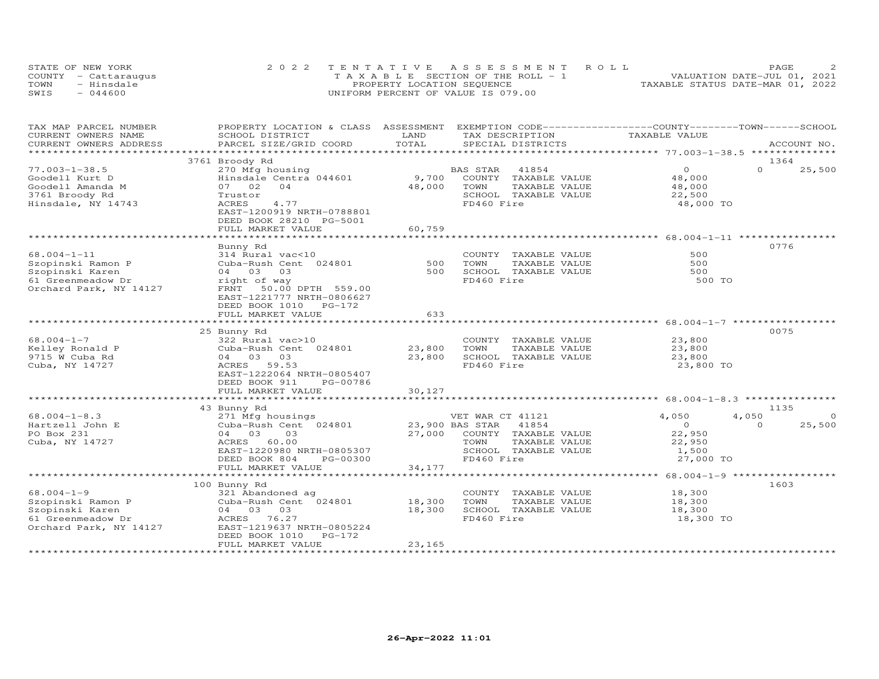| STATE OF NEW YORK    | 2022 TENTATIVE ASSESSMENT ROLL        | PAGE.                            |
|----------------------|---------------------------------------|----------------------------------|
| COUNTY - Cattaraugus | T A X A B L E SECTION OF THE ROLL - 1 | VALUATION DATE-JUL 01, 2021      |
| TOWN<br>- Hinsdale   | PROPERTY LOCATION SEQUENCE            | TAXABLE STATUS DATE-MAR 01, 2022 |
| $-044600$<br>SWIS    | UNIFORM PERCENT OF VALUE IS 079.00    |                                  |

| TAX MAP PARCEL NUMBER   | PROPERTY LOCATION & CLASS ASSESSMENT EXEMPTION CODE----------------COUNTY-------TOWN------SCHOOL |              |                          |                                                    |                    |
|-------------------------|--------------------------------------------------------------------------------------------------|--------------|--------------------------|----------------------------------------------------|--------------------|
| CURRENT OWNERS NAME     | SCHOOL DISTRICT                                                                                  | LAND         | TAX DESCRIPTION          | TAXABLE VALUE                                      |                    |
| CURRENT OWNERS ADDRESS  | PARCEL SIZE/GRID COORD                                                                           | TOTAL        | SPECIAL DISTRICTS        |                                                    | ACCOUNT NO.        |
| *********************** |                                                                                                  |              |                          |                                                    |                    |
|                         | 3761 Broody Rd                                                                                   |              |                          |                                                    | 1364               |
| $77.003 - 1 - 38.5$     | 270 Mfg housing                                                                                  |              | BAS STAR<br>41854        | $\circ$                                            | $\Omega$<br>25,500 |
| Goodell Kurt D          | Hinsdale Centra 044601                                                                           | 9,700        | COUNTY TAXABLE VALUE     | 48,000                                             |                    |
| Goodell Amanda M        | 07 02<br>04                                                                                      | 48,000       | TOWN<br>TAXABLE VALUE    | 48,000                                             |                    |
| 3761 Broody Rd          | Trustor                                                                                          |              | SCHOOL TAXABLE VALUE     | 22,500                                             |                    |
| Hinsdale, NY 14743      | 4.77<br>ACRES                                                                                    |              | FD460 Fire               | 48,000 TO                                          |                    |
|                         | EAST-1200919 NRTH-0788801                                                                        |              |                          |                                                    |                    |
|                         | DEED BOOK 28210 PG-5001                                                                          |              |                          |                                                    |                    |
|                         | FULL MARKET VALUE                                                                                | 60,759       |                          |                                                    |                    |
|                         |                                                                                                  |              |                          |                                                    |                    |
|                         | Bunny Rd                                                                                         |              |                          |                                                    | 0776               |
| $68.004 - 1 - 11$       | 314 Rural vac<10                                                                                 |              | COUNTY TAXABLE VALUE     | 500                                                |                    |
| Szopinski Ramon P       | Cuba-Rush Cent 024801                                                                            | 500          | TOWN<br>TAXABLE VALUE    | 500                                                |                    |
| Szopinski Karen         | 04 03<br>03                                                                                      | 500          | SCHOOL TAXABLE VALUE     | 500                                                |                    |
| 61 Greenmeadow Dr       | right of way                                                                                     |              | FD460 Fire               | 500 TO                                             |                    |
| Orchard Park, NY 14127  | FRNT 50.00 DPTH 559.00                                                                           |              |                          |                                                    |                    |
|                         | EAST-1221777 NRTH-0806627                                                                        |              |                          |                                                    |                    |
|                         | DEED BOOK 1010 PG-172                                                                            |              |                          |                                                    |                    |
|                         | FULL MARKET VALUE                                                                                | 633          |                          |                                                    |                    |
|                         |                                                                                                  | ************ |                          | *********** 68.004-1-7 ***********                 |                    |
|                         | 25 Bunny Rd                                                                                      |              |                          |                                                    | 0075               |
| $68.004 - 1 - 7$        | 322 Rural vac>10                                                                                 |              | COUNTY TAXABLE VALUE     | 23,800                                             |                    |
| Kelley Ronald P         | Cuba-Rush Cent 024801                                                                            | 23,800       | TOWN<br>TAXABLE VALUE    | 23,800                                             |                    |
| 9715 W Cuba Rd          | 03<br>04 03                                                                                      | 23,800       | SCHOOL TAXABLE VALUE     | 23,800                                             |                    |
| Cuba, NY 14727          | ACRES<br>59.53                                                                                   |              | FD460 Fire               | 23,800 TO                                          |                    |
|                         | EAST-1222064 NRTH-0805407                                                                        |              |                          |                                                    |                    |
|                         | DEED BOOK 911<br>PG-00786                                                                        |              |                          |                                                    |                    |
|                         | FULL MARKET VALUE                                                                                | 30,127       |                          |                                                    |                    |
|                         |                                                                                                  |              |                          |                                                    |                    |
|                         | 43 Bunny Rd                                                                                      |              |                          |                                                    | 1135               |
| $68.004 - 1 - 8.3$      | 271 Mfg housings                                                                                 |              | VET WAR CT 41121         | 4,050                                              | 4,050<br>$\Omega$  |
| Hartzell John E         | Cuba-Rush Cent 024801                                                                            |              | 23,900 BAS STAR<br>41854 | $\circ$                                            | $\Omega$<br>25,500 |
| PO Box 231              | 04 03<br>03                                                                                      | 27,000       | COUNTY TAXABLE VALUE     | 22,950                                             |                    |
| Cuba, NY 14727          | ACRES<br>60.00                                                                                   |              | TOWN<br>TAXABLE VALUE    | 22,950                                             |                    |
|                         | EAST-1220980 NRTH-0805307                                                                        |              | SCHOOL TAXABLE VALUE     | 1,500                                              |                    |
|                         | DEED BOOK 804<br>PG-00300                                                                        |              | FD460 Fire               | 27,000 TO                                          |                    |
|                         | FULL MARKET VALUE                                                                                | 34,177       |                          |                                                    |                    |
|                         |                                                                                                  | ************ |                          | ******************** 68.004-1-9 ****************** |                    |
|                         | 100 Bunny Rd                                                                                     |              |                          |                                                    | 1603               |
| $68.004 - 1 - 9$        | 321 Abandoned ag                                                                                 |              | COUNTY TAXABLE VALUE     | 18,300                                             |                    |
| Szopinski Ramon P       | Cuba-Rush Cent 024801                                                                            | 18,300       | TOWN<br>TAXABLE VALUE    | 18,300                                             |                    |
| Szopinski Karen         | 04 03 03                                                                                         | 18,300       | SCHOOL TAXABLE VALUE     | 18,300                                             |                    |
| 61 Greenmeadow Dr       | ACRES<br>76.27                                                                                   |              | FD460 Fire               | 18,300 TO                                          |                    |
| Orchard Park, NY 14127  | EAST-1219637 NRTH-0805224                                                                        |              |                          |                                                    |                    |
|                         | DEED BOOK 1010<br>$PG-172$                                                                       |              |                          |                                                    |                    |
|                         | FULL MARKET VALUE                                                                                | 23,165       |                          |                                                    |                    |
| *********************   |                                                                                                  |              |                          |                                                    |                    |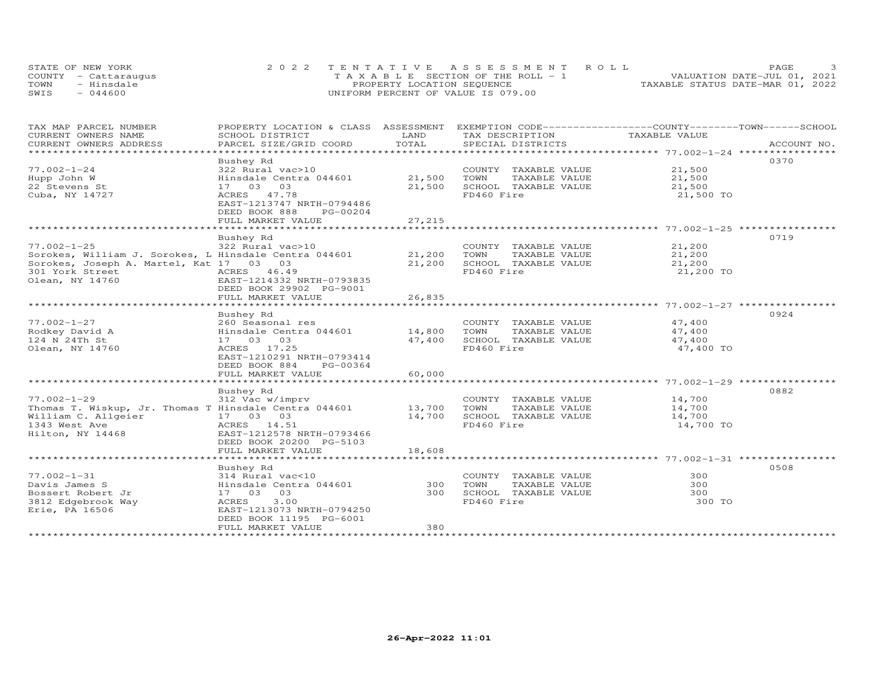| STATE OF NEW YORK    | 2022 TENTATIVE ASSESSMENT ROLL        | PAGE.                            |  |
|----------------------|---------------------------------------|----------------------------------|--|
| COUNTY - Cattaraugus | T A X A B L E SECTION OF THE ROLL - 1 | VALUATION DATE-JUL 01, 2021      |  |
| TOWN<br>- Hinsdale   | PROPERTY LOCATION SEQUENCE            | TAXABLE STATUS DATE-MAR 01, 2022 |  |
| $-044600$<br>SWIS    | UNIFORM PERCENT OF VALUE IS 079.00    |                                  |  |

| TAX MAP PARCEL NUMBER                                 | PROPERTY LOCATION & CLASS ASSESSMENT |                     | EXEMPTION CODE------------------COUNTY-------TOWN-----SCHOOL |                                            |             |
|-------------------------------------------------------|--------------------------------------|---------------------|--------------------------------------------------------------|--------------------------------------------|-------------|
| CURRENT OWNERS NAME                                   | SCHOOL DISTRICT                      | LAND                | TAX DESCRIPTION                                              | TAXABLE VALUE                              |             |
| CURRENT OWNERS ADDRESS                                | PARCEL SIZE/GRID COORD               | TOTAL               | SPECIAL DISTRICTS                                            |                                            | ACCOUNT NO. |
|                                                       |                                      |                     |                                                              |                                            |             |
|                                                       | Bushey Rd                            |                     |                                                              |                                            | 0370        |
| $77.002 - 1 - 24$                                     | 322 Rural vac>10                     |                     | COUNTY TAXABLE VALUE                                         | 21,500                                     |             |
| Hupp John W                                           | Hinsdale Centra 044601               | 21,500              | TOWN<br>TAXABLE VALUE                                        | 21,500                                     |             |
| 22 Stevens St                                         | 17 03 03                             | 21,500              | SCHOOL TAXABLE VALUE                                         | 21,500                                     |             |
| Cuba, NY 14727                                        | ACRES 47.78                          |                     | FD460 Fire                                                   | 21,500 TO                                  |             |
|                                                       | EAST-1213747 NRTH-0794486            |                     |                                                              |                                            |             |
|                                                       | DEED BOOK 888<br>PG-00204            |                     |                                                              |                                            |             |
|                                                       | FULL MARKET VALUE<br>                | 27,215<br>********* |                                                              |                                            |             |
|                                                       |                                      |                     |                                                              | ******************** 77.002-1-25 ********* |             |
|                                                       | Bushey Rd                            |                     |                                                              |                                            | 0719        |
| $77.002 - 1 - 25$                                     | 322 Rural vac>10                     |                     | COUNTY TAXABLE VALUE                                         | 21,200                                     |             |
| Sorokes, William J. Sorokes, L Hinsdale Centra 044601 |                                      | 21,200              | TOWN<br>TAXABLE VALUE                                        | 21,200                                     |             |
| Sorokes, Joseph A. Martel, Kat 17 03 03               |                                      | 21,200              | SCHOOL TAXABLE VALUE                                         | 21,200                                     |             |
| 301 York Street                                       | ACRES 46.49                          |                     | FD460 Fire                                                   | 21,200 TO                                  |             |
| Olean, NY 14760                                       | EAST-1214332 NRTH-0793835            |                     |                                                              |                                            |             |
|                                                       | DEED BOOK 29902 PG-9001              |                     |                                                              |                                            |             |
|                                                       | FULL MARKET VALUE                    | 26,835              |                                                              |                                            |             |
|                                                       |                                      | ***************     |                                                              |                                            |             |
|                                                       | Bushey Rd                            |                     |                                                              |                                            | 0924        |
| $77.002 - 1 - 27$                                     | 260 Seasonal res                     |                     | COUNTY TAXABLE VALUE                                         | 47,400                                     |             |
| Rodkey David A                                        | Hinsdale Centra 044601               | 14,800              | TOWN<br>TAXABLE VALUE                                        | 47,400                                     |             |
| 124 N 24Th St                                         | 17 03 03                             | 47,400              | SCHOOL TAXABLE VALUE                                         | 47,400                                     |             |
| Olean, NY 14760                                       | ACRES 17.25                          |                     | FD460 Fire                                                   | 47,400 TO                                  |             |
|                                                       | EAST-1210291 NRTH-0793414            |                     |                                                              |                                            |             |
|                                                       | DEED BOOK 884<br>PG-00364            |                     |                                                              |                                            |             |
|                                                       | FULL MARKET VALUE                    | 60,000              |                                                              |                                            |             |
|                                                       | ************************             |                     |                                                              |                                            |             |
|                                                       | Bushey Rd                            |                     |                                                              |                                            | 0882        |
| $77.002 - 1 - 29$                                     | 312 Vac w/imprv                      |                     | COUNTY TAXABLE VALUE                                         | 14,700                                     |             |
| Thomas T. Wiskup, Jr. Thomas T Hinsdale Centra 044601 |                                      | 13,700              | TAXABLE VALUE<br>TOWN                                        | 14,700                                     |             |
| William C. Allgeier                                   | 17 03 03                             | 14,700              | SCHOOL TAXABLE VALUE                                         | 14,700                                     |             |
| 1343 West Ave                                         | ACRES 14.51                          |                     | FD460 Fire                                                   | 14,700 TO                                  |             |
| Hilton, NY 14468                                      | EAST-1212578 NRTH-0793466            |                     |                                                              |                                            |             |
|                                                       | DEED BOOK 20200 PG-5103              |                     |                                                              |                                            |             |
|                                                       | FULL MARKET VALUE                    | 18,608              |                                                              |                                            |             |
|                                                       |                                      |                     |                                                              |                                            |             |
|                                                       | Bushey Rd                            |                     |                                                              |                                            | 0508        |
| $77.002 - 1 - 31$                                     | 314 Rural vac<10                     |                     | COUNTY TAXABLE VALUE                                         | 300                                        |             |
| Davis James S                                         | Hinsdale Centra 044601               | 300                 | TOWN<br>TAXABLE VALUE                                        | 300                                        |             |
| Bossert Robert Jr                                     | 17 03 03                             | 300                 | SCHOOL TAXABLE VALUE                                         | 300                                        |             |
| 3812 Edgebrook Way                                    | 3.00<br>ACRES                        |                     | FD460 Fire                                                   | 300 TO                                     |             |
| Erie, PA 16506                                        | EAST-1213073 NRTH-0794250            |                     |                                                              |                                            |             |
|                                                       | DEED BOOK 11195 PG-6001              |                     |                                                              |                                            |             |
|                                                       | FULL MARKET VALUE                    | 380                 |                                                              |                                            |             |
|                                                       |                                      |                     |                                                              |                                            |             |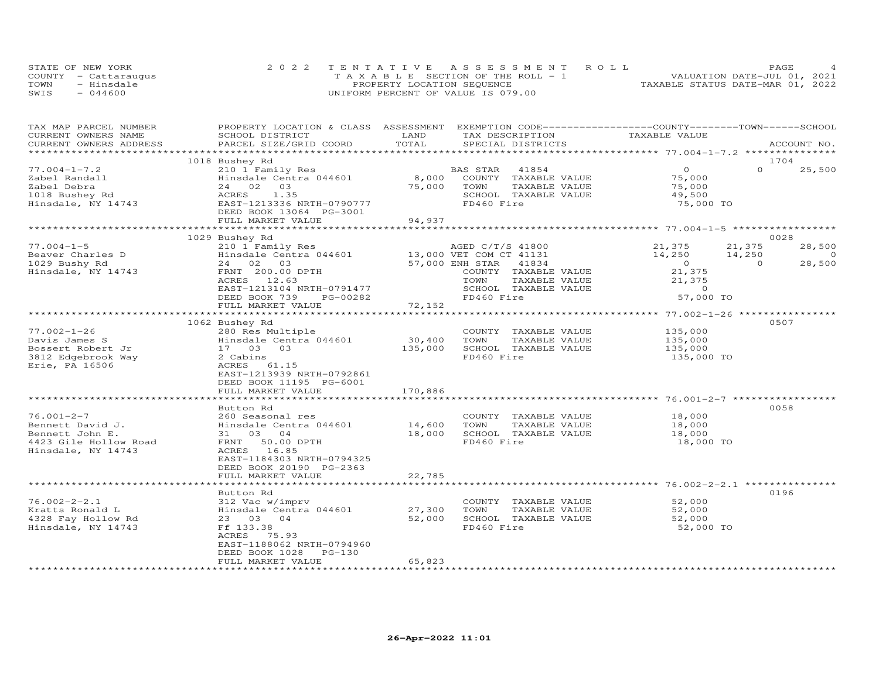| STATE OF NEW YORK    | 2022 TENTATIVE ASSESSMENT ROLL        | PAGE                             |
|----------------------|---------------------------------------|----------------------------------|
| COUNTY - Cattarauqus | T A X A B L E SECTION OF THE ROLL - 1 | VALUATION DATE-JUL 01, 2021      |
| TOWN<br>- Hinsdale   | PROPERTY LOCATION SEQUENCE            | TAXABLE STATUS DATE-MAR 01, 2022 |
| SWIS<br>044600       | UNIFORM PERCENT OF VALUE IS 079.00    |                                  |

| TAX MAP PARCEL NUMBER                | PROPERTY LOCATION & CLASS ASSESSMENT EXEMPTION CODE----------------COUNTY-------TOWN------SCHOOL |                           |                         |                    |                    |
|--------------------------------------|--------------------------------------------------------------------------------------------------|---------------------------|-------------------------|--------------------|--------------------|
| CURRENT OWNERS NAME                  | SCHOOL DISTRICT                                                                                  | LAND                      | TAX DESCRIPTION         | TAXABLE VALUE      |                    |
| CURRENT OWNERS ADDRESS               | PARCEL SIZE/GRID COORD                                                                           | TOTAL                     | SPECIAL DISTRICTS       |                    | ACCOUNT NO.        |
|                                      |                                                                                                  |                           |                         |                    |                    |
|                                      | 1018 Bushey Rd                                                                                   |                           |                         |                    | 1704               |
| $77.004 - 1 - 7.2$                   | 210 1 Family Res                                                                                 |                           | BAS STAR 41854          | $\Omega$           | $\Omega$<br>25,500 |
| Zabel Randall                        | Hinsdale Centra 044601                                                                           | 8,000                     | COUNTY TAXABLE VALUE    | 75,000             |                    |
| Zabel Debra                          | 03<br>24 02                                                                                      | 75,000                    | TAXABLE VALUE<br>TOWN   | 75,000             |                    |
|                                      | 1.35<br>ACRES                                                                                    |                           | SCHOOL TAXABLE VALUE    | 49,500             |                    |
| 1018 Bushey Rd<br>Hinsdale, NY 14743 | EAST-1213336 NRTH-0790777                                                                        |                           | FD460 Fire              | 75,000 TO          |                    |
|                                      | DEED BOOK 13064 PG-3001                                                                          |                           |                         |                    |                    |
|                                      | FULL MARKET VALUE                                                                                | 94,937                    |                         |                    |                    |
|                                      |                                                                                                  |                           |                         |                    |                    |
|                                      | 1029 Bushey Rd                                                                                   |                           |                         |                    | 0028               |
| $77.004 - 1 - 5$                     | 210 $1^{\circ}$ Family Res AGED C/T/S 41800<br>Hinsdale Centra 044601 13,000 VET COM CT 41131    |                           | AGED C/T/S 41800 21,375 |                    | 28,500<br>21,375   |
| Beaver Charles D                     |                                                                                                  |                           |                         | 14,250 14,250      | $\overline{0}$     |
| 1029 Bushy Rd                        | 24 02 03                                                                                         |                           | 41834                   | $\overline{0}$     | 28,500<br>$\Omega$ |
| Hinsdale, NY 14743                   | FRNT 200.00 DPTH                                                                                 | 57,000 ENH STAR<br>COUNTY | COUNTY TAXABLE VALUE    | 21,375             |                    |
|                                      | ACRES 12.63                                                                                      |                           | TOWN<br>TAXABLE VALUE   | 21,375             |                    |
|                                      | EAST-1213104 NRTH-0791477                                                                        |                           | SCHOOL TAXABLE VALUE    | $\Omega$           |                    |
|                                      | DEED BOOK 739<br>PG-00282                                                                        |                           | FD460 Fire              | 57,000 TO          |                    |
|                                      | FULL MARKET VALUE                                                                                | 72,152                    |                         |                    |                    |
|                                      |                                                                                                  |                           |                         |                    |                    |
|                                      | 1062 Bushey Rd                                                                                   |                           |                         |                    | 0507               |
| $77.002 - 1 - 26$                    | 280 Res Multiple                                                                                 |                           | COUNTY TAXABLE VALUE    | 135,000            |                    |
| Davis James S                        | Hinsdale Centra 044601                                                                           | 30,400                    | TOWN<br>TAXABLE VALUE   |                    |                    |
| Bossert Robert Jr                    | 17 03 03                                                                                         | 135,000                   | SCHOOL TAXABLE VALUE    | 135,000<br>135,000 |                    |
|                                      | 2 Cabins                                                                                         |                           | FD460 Fire              |                    |                    |
| 3812 Edgebrook Way                   |                                                                                                  |                           |                         | 135,000 TO         |                    |
| Erie, PA 16506                       | ACRES 61.15                                                                                      |                           |                         |                    |                    |
|                                      | EAST-1213939 NRTH-0792861                                                                        |                           |                         |                    |                    |
|                                      | DEED BOOK 11195 PG-6001                                                                          |                           |                         |                    |                    |
|                                      | FULL MARKET VALUE                                                                                | 170,886                   |                         |                    |                    |
|                                      |                                                                                                  |                           |                         |                    |                    |
|                                      | Button Rd                                                                                        |                           |                         |                    | 0058               |
| $76.001 - 2 - 7$                     | 260 Seasonal res                                                                                 |                           | COUNTY TAXABLE VALUE    | 18,000             |                    |
| Bennett David J.                     | Hinsdale Centra 044601                                                                           | 14,600                    | TAXABLE VALUE<br>TOWN   | 18,000             |                    |
| Bennett John E.                      | 31 03 04                                                                                         | 18,000                    | SCHOOL TAXABLE VALUE    | 18,000             |                    |
| 4423 Gile Hollow Road                | FRNT 50.00 DPTH                                                                                  |                           | FD460 Fire              | 18,000 TO          |                    |
| Hinsdale, NY 14743                   | ACRES 16.85                                                                                      |                           |                         |                    |                    |
|                                      | EAST-1184303 NRTH-0794325                                                                        |                           |                         |                    |                    |
|                                      | DEED BOOK 20190 PG-2363                                                                          |                           |                         |                    |                    |
|                                      | FULL MARKET VALUE                                                                                | 22,785                    |                         |                    |                    |
|                                      |                                                                                                  |                           |                         |                    |                    |
|                                      | Button Rd                                                                                        |                           |                         |                    | 0196               |
| $76.002 - 2 - 2.1$                   | 312 Vac w/imprv                                                                                  |                           | COUNTY TAXABLE VALUE    | 52,000             |                    |
| Kratts Ronald L                      | Hinsdale Centra 044601                                                                           | 27,300                    | TOWN<br>TAXABLE VALUE   | 52,000             |                    |
|                                      |                                                                                                  | 52,000                    |                         |                    |                    |
| 4328 Fay Hollow Rd                   | 23 03 04                                                                                         |                           | SCHOOL TAXABLE VALUE    | 52,000             |                    |
| Hinsdale, NY 14743                   | Ff 133.38                                                                                        |                           | FD460 Fire              | 52,000 TO          |                    |
|                                      | ACRES 75.93                                                                                      |                           |                         |                    |                    |
|                                      | EAST-1188062 NRTH-0794960                                                                        |                           |                         |                    |                    |
|                                      | DEED BOOK 1028<br>$PG-130$                                                                       |                           |                         |                    |                    |
|                                      | FULL MARKET VALUE                                                                                | 65,823                    |                         |                    |                    |
| ************************             |                                                                                                  |                           |                         |                    |                    |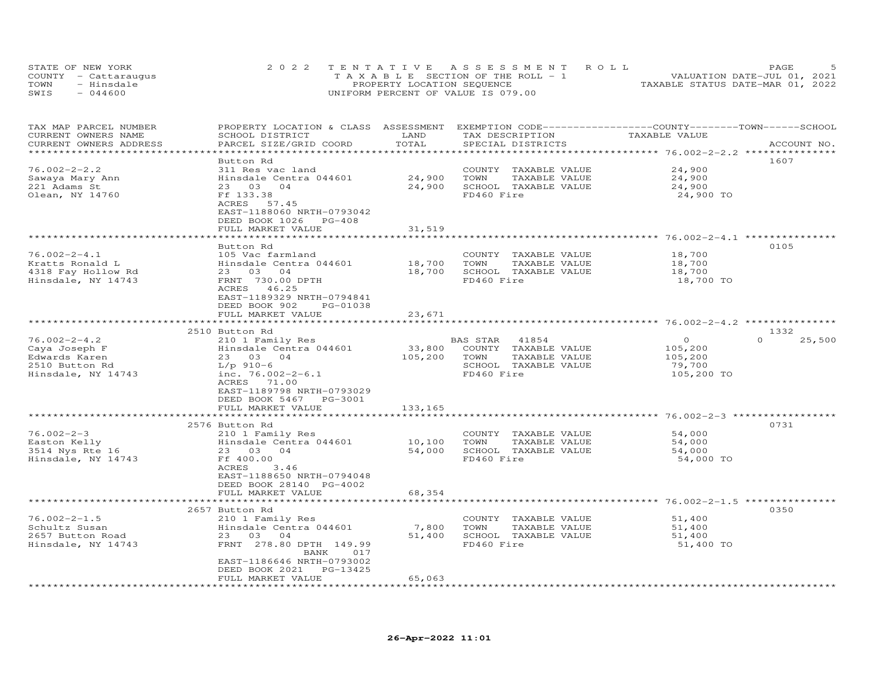|      | STATE OF NEW YORK    | 2022 TENTATIVE ASSESSMENT ROLL                 | PAGE.                            |
|------|----------------------|------------------------------------------------|----------------------------------|
|      | COUNTY - Cattaraugus | $T A X A B I E S E C T I ON OF THE RO I J = 1$ | VALUATION DATE-JUL 01, 2021      |
| TOWN | - Hinsdale           | PROPERTY LOCATION SEQUENCE                     | TAXABLE STATUS DATE-MAR 01, 2022 |
| SWIS | $-044600$            | UNIFORM PERCENT OF VALUE IS 079.00             |                                  |

| 1607<br>Button Rd<br>$76.002 - 2 - 2.2$<br>311 Res vac land<br>24,900<br>COUNTY TAXABLE VALUE<br>Hinsdale Centra 044601<br>24,900<br>TAXABLE VALUE<br>Sawaya Mary Ann<br>TOWN<br>24,900<br>24,900<br>221 Adams St<br>04<br>SCHOOL TAXABLE VALUE<br>24,900<br>23 03<br>Olean, NY 14760<br>Ff 133.38<br>FD460 Fire<br>24,900 TO<br>ACRES<br>57.45<br>EAST-1188060 NRTH-0793042<br>DEED BOOK 1026 PG-408<br>FULL MARKET VALUE<br>31,519<br>0105<br>Button Rd<br>$76.002 - 2 - 4.1$<br>18,700<br>105 Vac farmland<br>COUNTY TAXABLE VALUE<br>Kratts Ronald L<br>Hinsdale Centra 044601<br>18,700<br>TOWN<br>TAXABLE VALUE<br>18,700<br>4318 Fay Hollow Rd<br>23 03 04<br>18,700<br>SCHOOL TAXABLE VALUE<br>18,700<br>FRNT 730.00 DPTH<br>FD460 Fire<br>18,700 TO<br>Hinsdale, NY 14743<br>ACRES 46.25<br>EAST-1189329 NRTH-0794841<br>DEED BOOK 902<br>PG-01038<br>23,671<br>FULL MARKET VALUE<br>1332<br>2510 Button Rd<br>$\Omega$<br>$76.002 - 2 - 4.2$<br>$\circ$<br>25,500<br>210 1 Family Res<br>BAS STAR<br>41854<br>33,800<br>Caya Joseph F<br>Hinsdale Centra 044601<br>COUNTY TAXABLE VALUE<br>105,200<br>105,200<br>Edwards Karen<br>23 03 04<br>105,200<br>TOWN<br>TAXABLE VALUE<br>SCHOOL TAXABLE VALUE<br>2510 Button Rd<br>$L/p$ 910-6<br>79,700<br>inc. $76.002 - 2 - 6.1$<br>FD460 Fire<br>105,200 TO<br>Hinsdale, NY 14743<br>ACRES 71.00<br>EAST-1189798 NRTH-0793029<br>DEED BOOK 5467<br>PG-3001<br>FULL MARKET VALUE<br>133,165<br>******************************<br>0731<br>2576 Button Rd<br>$76.002 - 2 - 3$<br>210 1 Family Res<br>54,000<br>COUNTY TAXABLE VALUE<br>Hinsdale Centra 044601<br>10,100<br>Easton Kelly<br>TOWN<br>TAXABLE VALUE<br>54,000<br>3514 Nys Rte 16<br>23 03<br>04<br>54,000<br>SCHOOL TAXABLE VALUE<br>54,000<br>Hinsdale, NY 14743<br>Ff 400.00<br>FD460 Fire<br>54,000 TO<br>ACRES<br>3.46<br>EAST-1188650 NRTH-0794048<br>DEED BOOK 28140 PG-4002<br>FULL MARKET VALUE<br>68,354<br>******************* 76.002-2-1.5 *********<br>0350<br>2657 Button Rd<br>$76.002 - 2 - 1.5$<br>210 1 Family Res<br>COUNTY TAXABLE VALUE<br>51,400<br>Schultz Susan<br>Hinsdale Centra 044601<br>7,800<br>TOWN<br>TAXABLE VALUE<br>51,400<br>2657 Button Road<br>23 03 04<br>51,400<br>SCHOOL TAXABLE VALUE<br>51,400<br>Hinsdale, NY 14743<br>FRNT 278.80 DPTH 149.99<br>FD460 Fire<br>51,400 TO<br>BANK<br>017<br>EAST-1186646 NRTH-0793002<br>DEED BOOK 2021<br>PG-13425<br>65,063<br>FULL MARKET VALUE | TAX MAP PARCEL NUMBER<br>CURRENT OWNERS NAME<br>CURRENT OWNERS ADDRESS | PROPERTY LOCATION & CLASS ASSESSMENT<br>SCHOOL DISTRICT<br>PARCEL SIZE/GRID COORD | LAND<br>TOTAL | EXEMPTION CODE-----------------COUNTY-------TOWN-----SCHOOL<br>TAX DESCRIPTION<br>SPECIAL DISTRICTS | TAXABLE VALUE | ACCOUNT NO. |
|------------------------------------------------------------------------------------------------------------------------------------------------------------------------------------------------------------------------------------------------------------------------------------------------------------------------------------------------------------------------------------------------------------------------------------------------------------------------------------------------------------------------------------------------------------------------------------------------------------------------------------------------------------------------------------------------------------------------------------------------------------------------------------------------------------------------------------------------------------------------------------------------------------------------------------------------------------------------------------------------------------------------------------------------------------------------------------------------------------------------------------------------------------------------------------------------------------------------------------------------------------------------------------------------------------------------------------------------------------------------------------------------------------------------------------------------------------------------------------------------------------------------------------------------------------------------------------------------------------------------------------------------------------------------------------------------------------------------------------------------------------------------------------------------------------------------------------------------------------------------------------------------------------------------------------------------------------------------------------------------------------------------------------------------------------------------------------------------------------------------------------------------------------------------------------------------------------------------------------------------------------------------------------------------------------------------------------------------------------------------------------------------------------------------------------------------|------------------------------------------------------------------------|-----------------------------------------------------------------------------------|---------------|-----------------------------------------------------------------------------------------------------|---------------|-------------|
|                                                                                                                                                                                                                                                                                                                                                                                                                                                                                                                                                                                                                                                                                                                                                                                                                                                                                                                                                                                                                                                                                                                                                                                                                                                                                                                                                                                                                                                                                                                                                                                                                                                                                                                                                                                                                                                                                                                                                                                                                                                                                                                                                                                                                                                                                                                                                                                                                                                |                                                                        |                                                                                   |               |                                                                                                     |               |             |
|                                                                                                                                                                                                                                                                                                                                                                                                                                                                                                                                                                                                                                                                                                                                                                                                                                                                                                                                                                                                                                                                                                                                                                                                                                                                                                                                                                                                                                                                                                                                                                                                                                                                                                                                                                                                                                                                                                                                                                                                                                                                                                                                                                                                                                                                                                                                                                                                                                                |                                                                        |                                                                                   |               |                                                                                                     |               |             |
|                                                                                                                                                                                                                                                                                                                                                                                                                                                                                                                                                                                                                                                                                                                                                                                                                                                                                                                                                                                                                                                                                                                                                                                                                                                                                                                                                                                                                                                                                                                                                                                                                                                                                                                                                                                                                                                                                                                                                                                                                                                                                                                                                                                                                                                                                                                                                                                                                                                |                                                                        |                                                                                   |               |                                                                                                     |               |             |
|                                                                                                                                                                                                                                                                                                                                                                                                                                                                                                                                                                                                                                                                                                                                                                                                                                                                                                                                                                                                                                                                                                                                                                                                                                                                                                                                                                                                                                                                                                                                                                                                                                                                                                                                                                                                                                                                                                                                                                                                                                                                                                                                                                                                                                                                                                                                                                                                                                                |                                                                        |                                                                                   |               |                                                                                                     |               |             |
|                                                                                                                                                                                                                                                                                                                                                                                                                                                                                                                                                                                                                                                                                                                                                                                                                                                                                                                                                                                                                                                                                                                                                                                                                                                                                                                                                                                                                                                                                                                                                                                                                                                                                                                                                                                                                                                                                                                                                                                                                                                                                                                                                                                                                                                                                                                                                                                                                                                |                                                                        |                                                                                   |               |                                                                                                     |               |             |
|                                                                                                                                                                                                                                                                                                                                                                                                                                                                                                                                                                                                                                                                                                                                                                                                                                                                                                                                                                                                                                                                                                                                                                                                                                                                                                                                                                                                                                                                                                                                                                                                                                                                                                                                                                                                                                                                                                                                                                                                                                                                                                                                                                                                                                                                                                                                                                                                                                                |                                                                        |                                                                                   |               |                                                                                                     |               |             |
|                                                                                                                                                                                                                                                                                                                                                                                                                                                                                                                                                                                                                                                                                                                                                                                                                                                                                                                                                                                                                                                                                                                                                                                                                                                                                                                                                                                                                                                                                                                                                                                                                                                                                                                                                                                                                                                                                                                                                                                                                                                                                                                                                                                                                                                                                                                                                                                                                                                |                                                                        |                                                                                   |               |                                                                                                     |               |             |
|                                                                                                                                                                                                                                                                                                                                                                                                                                                                                                                                                                                                                                                                                                                                                                                                                                                                                                                                                                                                                                                                                                                                                                                                                                                                                                                                                                                                                                                                                                                                                                                                                                                                                                                                                                                                                                                                                                                                                                                                                                                                                                                                                                                                                                                                                                                                                                                                                                                |                                                                        |                                                                                   |               |                                                                                                     |               |             |
|                                                                                                                                                                                                                                                                                                                                                                                                                                                                                                                                                                                                                                                                                                                                                                                                                                                                                                                                                                                                                                                                                                                                                                                                                                                                                                                                                                                                                                                                                                                                                                                                                                                                                                                                                                                                                                                                                                                                                                                                                                                                                                                                                                                                                                                                                                                                                                                                                                                |                                                                        |                                                                                   |               |                                                                                                     |               |             |
|                                                                                                                                                                                                                                                                                                                                                                                                                                                                                                                                                                                                                                                                                                                                                                                                                                                                                                                                                                                                                                                                                                                                                                                                                                                                                                                                                                                                                                                                                                                                                                                                                                                                                                                                                                                                                                                                                                                                                                                                                                                                                                                                                                                                                                                                                                                                                                                                                                                |                                                                        |                                                                                   |               |                                                                                                     |               |             |
|                                                                                                                                                                                                                                                                                                                                                                                                                                                                                                                                                                                                                                                                                                                                                                                                                                                                                                                                                                                                                                                                                                                                                                                                                                                                                                                                                                                                                                                                                                                                                                                                                                                                                                                                                                                                                                                                                                                                                                                                                                                                                                                                                                                                                                                                                                                                                                                                                                                |                                                                        |                                                                                   |               |                                                                                                     |               |             |
|                                                                                                                                                                                                                                                                                                                                                                                                                                                                                                                                                                                                                                                                                                                                                                                                                                                                                                                                                                                                                                                                                                                                                                                                                                                                                                                                                                                                                                                                                                                                                                                                                                                                                                                                                                                                                                                                                                                                                                                                                                                                                                                                                                                                                                                                                                                                                                                                                                                |                                                                        |                                                                                   |               |                                                                                                     |               |             |
|                                                                                                                                                                                                                                                                                                                                                                                                                                                                                                                                                                                                                                                                                                                                                                                                                                                                                                                                                                                                                                                                                                                                                                                                                                                                                                                                                                                                                                                                                                                                                                                                                                                                                                                                                                                                                                                                                                                                                                                                                                                                                                                                                                                                                                                                                                                                                                                                                                                |                                                                        |                                                                                   |               |                                                                                                     |               |             |
|                                                                                                                                                                                                                                                                                                                                                                                                                                                                                                                                                                                                                                                                                                                                                                                                                                                                                                                                                                                                                                                                                                                                                                                                                                                                                                                                                                                                                                                                                                                                                                                                                                                                                                                                                                                                                                                                                                                                                                                                                                                                                                                                                                                                                                                                                                                                                                                                                                                |                                                                        |                                                                                   |               |                                                                                                     |               |             |
|                                                                                                                                                                                                                                                                                                                                                                                                                                                                                                                                                                                                                                                                                                                                                                                                                                                                                                                                                                                                                                                                                                                                                                                                                                                                                                                                                                                                                                                                                                                                                                                                                                                                                                                                                                                                                                                                                                                                                                                                                                                                                                                                                                                                                                                                                                                                                                                                                                                |                                                                        |                                                                                   |               |                                                                                                     |               |             |
|                                                                                                                                                                                                                                                                                                                                                                                                                                                                                                                                                                                                                                                                                                                                                                                                                                                                                                                                                                                                                                                                                                                                                                                                                                                                                                                                                                                                                                                                                                                                                                                                                                                                                                                                                                                                                                                                                                                                                                                                                                                                                                                                                                                                                                                                                                                                                                                                                                                |                                                                        |                                                                                   |               |                                                                                                     |               |             |
|                                                                                                                                                                                                                                                                                                                                                                                                                                                                                                                                                                                                                                                                                                                                                                                                                                                                                                                                                                                                                                                                                                                                                                                                                                                                                                                                                                                                                                                                                                                                                                                                                                                                                                                                                                                                                                                                                                                                                                                                                                                                                                                                                                                                                                                                                                                                                                                                                                                |                                                                        |                                                                                   |               |                                                                                                     |               |             |
|                                                                                                                                                                                                                                                                                                                                                                                                                                                                                                                                                                                                                                                                                                                                                                                                                                                                                                                                                                                                                                                                                                                                                                                                                                                                                                                                                                                                                                                                                                                                                                                                                                                                                                                                                                                                                                                                                                                                                                                                                                                                                                                                                                                                                                                                                                                                                                                                                                                |                                                                        |                                                                                   |               |                                                                                                     |               |             |
|                                                                                                                                                                                                                                                                                                                                                                                                                                                                                                                                                                                                                                                                                                                                                                                                                                                                                                                                                                                                                                                                                                                                                                                                                                                                                                                                                                                                                                                                                                                                                                                                                                                                                                                                                                                                                                                                                                                                                                                                                                                                                                                                                                                                                                                                                                                                                                                                                                                |                                                                        |                                                                                   |               |                                                                                                     |               |             |
|                                                                                                                                                                                                                                                                                                                                                                                                                                                                                                                                                                                                                                                                                                                                                                                                                                                                                                                                                                                                                                                                                                                                                                                                                                                                                                                                                                                                                                                                                                                                                                                                                                                                                                                                                                                                                                                                                                                                                                                                                                                                                                                                                                                                                                                                                                                                                                                                                                                |                                                                        |                                                                                   |               |                                                                                                     |               |             |
|                                                                                                                                                                                                                                                                                                                                                                                                                                                                                                                                                                                                                                                                                                                                                                                                                                                                                                                                                                                                                                                                                                                                                                                                                                                                                                                                                                                                                                                                                                                                                                                                                                                                                                                                                                                                                                                                                                                                                                                                                                                                                                                                                                                                                                                                                                                                                                                                                                                |                                                                        |                                                                                   |               |                                                                                                     |               |             |
|                                                                                                                                                                                                                                                                                                                                                                                                                                                                                                                                                                                                                                                                                                                                                                                                                                                                                                                                                                                                                                                                                                                                                                                                                                                                                                                                                                                                                                                                                                                                                                                                                                                                                                                                                                                                                                                                                                                                                                                                                                                                                                                                                                                                                                                                                                                                                                                                                                                |                                                                        |                                                                                   |               |                                                                                                     |               |             |
|                                                                                                                                                                                                                                                                                                                                                                                                                                                                                                                                                                                                                                                                                                                                                                                                                                                                                                                                                                                                                                                                                                                                                                                                                                                                                                                                                                                                                                                                                                                                                                                                                                                                                                                                                                                                                                                                                                                                                                                                                                                                                                                                                                                                                                                                                                                                                                                                                                                |                                                                        |                                                                                   |               |                                                                                                     |               |             |
|                                                                                                                                                                                                                                                                                                                                                                                                                                                                                                                                                                                                                                                                                                                                                                                                                                                                                                                                                                                                                                                                                                                                                                                                                                                                                                                                                                                                                                                                                                                                                                                                                                                                                                                                                                                                                                                                                                                                                                                                                                                                                                                                                                                                                                                                                                                                                                                                                                                |                                                                        |                                                                                   |               |                                                                                                     |               |             |
|                                                                                                                                                                                                                                                                                                                                                                                                                                                                                                                                                                                                                                                                                                                                                                                                                                                                                                                                                                                                                                                                                                                                                                                                                                                                                                                                                                                                                                                                                                                                                                                                                                                                                                                                                                                                                                                                                                                                                                                                                                                                                                                                                                                                                                                                                                                                                                                                                                                |                                                                        |                                                                                   |               |                                                                                                     |               |             |
|                                                                                                                                                                                                                                                                                                                                                                                                                                                                                                                                                                                                                                                                                                                                                                                                                                                                                                                                                                                                                                                                                                                                                                                                                                                                                                                                                                                                                                                                                                                                                                                                                                                                                                                                                                                                                                                                                                                                                                                                                                                                                                                                                                                                                                                                                                                                                                                                                                                |                                                                        |                                                                                   |               |                                                                                                     |               |             |
|                                                                                                                                                                                                                                                                                                                                                                                                                                                                                                                                                                                                                                                                                                                                                                                                                                                                                                                                                                                                                                                                                                                                                                                                                                                                                                                                                                                                                                                                                                                                                                                                                                                                                                                                                                                                                                                                                                                                                                                                                                                                                                                                                                                                                                                                                                                                                                                                                                                |                                                                        |                                                                                   |               |                                                                                                     |               |             |
|                                                                                                                                                                                                                                                                                                                                                                                                                                                                                                                                                                                                                                                                                                                                                                                                                                                                                                                                                                                                                                                                                                                                                                                                                                                                                                                                                                                                                                                                                                                                                                                                                                                                                                                                                                                                                                                                                                                                                                                                                                                                                                                                                                                                                                                                                                                                                                                                                                                |                                                                        |                                                                                   |               |                                                                                                     |               |             |
|                                                                                                                                                                                                                                                                                                                                                                                                                                                                                                                                                                                                                                                                                                                                                                                                                                                                                                                                                                                                                                                                                                                                                                                                                                                                                                                                                                                                                                                                                                                                                                                                                                                                                                                                                                                                                                                                                                                                                                                                                                                                                                                                                                                                                                                                                                                                                                                                                                                |                                                                        |                                                                                   |               |                                                                                                     |               |             |
|                                                                                                                                                                                                                                                                                                                                                                                                                                                                                                                                                                                                                                                                                                                                                                                                                                                                                                                                                                                                                                                                                                                                                                                                                                                                                                                                                                                                                                                                                                                                                                                                                                                                                                                                                                                                                                                                                                                                                                                                                                                                                                                                                                                                                                                                                                                                                                                                                                                |                                                                        |                                                                                   |               |                                                                                                     |               |             |
|                                                                                                                                                                                                                                                                                                                                                                                                                                                                                                                                                                                                                                                                                                                                                                                                                                                                                                                                                                                                                                                                                                                                                                                                                                                                                                                                                                                                                                                                                                                                                                                                                                                                                                                                                                                                                                                                                                                                                                                                                                                                                                                                                                                                                                                                                                                                                                                                                                                |                                                                        |                                                                                   |               |                                                                                                     |               |             |
|                                                                                                                                                                                                                                                                                                                                                                                                                                                                                                                                                                                                                                                                                                                                                                                                                                                                                                                                                                                                                                                                                                                                                                                                                                                                                                                                                                                                                                                                                                                                                                                                                                                                                                                                                                                                                                                                                                                                                                                                                                                                                                                                                                                                                                                                                                                                                                                                                                                |                                                                        |                                                                                   |               |                                                                                                     |               |             |
|                                                                                                                                                                                                                                                                                                                                                                                                                                                                                                                                                                                                                                                                                                                                                                                                                                                                                                                                                                                                                                                                                                                                                                                                                                                                                                                                                                                                                                                                                                                                                                                                                                                                                                                                                                                                                                                                                                                                                                                                                                                                                                                                                                                                                                                                                                                                                                                                                                                |                                                                        |                                                                                   |               |                                                                                                     |               |             |
|                                                                                                                                                                                                                                                                                                                                                                                                                                                                                                                                                                                                                                                                                                                                                                                                                                                                                                                                                                                                                                                                                                                                                                                                                                                                                                                                                                                                                                                                                                                                                                                                                                                                                                                                                                                                                                                                                                                                                                                                                                                                                                                                                                                                                                                                                                                                                                                                                                                |                                                                        |                                                                                   |               |                                                                                                     |               |             |
|                                                                                                                                                                                                                                                                                                                                                                                                                                                                                                                                                                                                                                                                                                                                                                                                                                                                                                                                                                                                                                                                                                                                                                                                                                                                                                                                                                                                                                                                                                                                                                                                                                                                                                                                                                                                                                                                                                                                                                                                                                                                                                                                                                                                                                                                                                                                                                                                                                                |                                                                        |                                                                                   |               |                                                                                                     |               |             |
|                                                                                                                                                                                                                                                                                                                                                                                                                                                                                                                                                                                                                                                                                                                                                                                                                                                                                                                                                                                                                                                                                                                                                                                                                                                                                                                                                                                                                                                                                                                                                                                                                                                                                                                                                                                                                                                                                                                                                                                                                                                                                                                                                                                                                                                                                                                                                                                                                                                |                                                                        |                                                                                   |               |                                                                                                     |               |             |
|                                                                                                                                                                                                                                                                                                                                                                                                                                                                                                                                                                                                                                                                                                                                                                                                                                                                                                                                                                                                                                                                                                                                                                                                                                                                                                                                                                                                                                                                                                                                                                                                                                                                                                                                                                                                                                                                                                                                                                                                                                                                                                                                                                                                                                                                                                                                                                                                                                                |                                                                        |                                                                                   |               |                                                                                                     |               |             |
|                                                                                                                                                                                                                                                                                                                                                                                                                                                                                                                                                                                                                                                                                                                                                                                                                                                                                                                                                                                                                                                                                                                                                                                                                                                                                                                                                                                                                                                                                                                                                                                                                                                                                                                                                                                                                                                                                                                                                                                                                                                                                                                                                                                                                                                                                                                                                                                                                                                |                                                                        |                                                                                   |               |                                                                                                     |               |             |
|                                                                                                                                                                                                                                                                                                                                                                                                                                                                                                                                                                                                                                                                                                                                                                                                                                                                                                                                                                                                                                                                                                                                                                                                                                                                                                                                                                                                                                                                                                                                                                                                                                                                                                                                                                                                                                                                                                                                                                                                                                                                                                                                                                                                                                                                                                                                                                                                                                                |                                                                        |                                                                                   |               |                                                                                                     |               |             |
|                                                                                                                                                                                                                                                                                                                                                                                                                                                                                                                                                                                                                                                                                                                                                                                                                                                                                                                                                                                                                                                                                                                                                                                                                                                                                                                                                                                                                                                                                                                                                                                                                                                                                                                                                                                                                                                                                                                                                                                                                                                                                                                                                                                                                                                                                                                                                                                                                                                |                                                                        | ********************                                                              |               |                                                                                                     |               |             |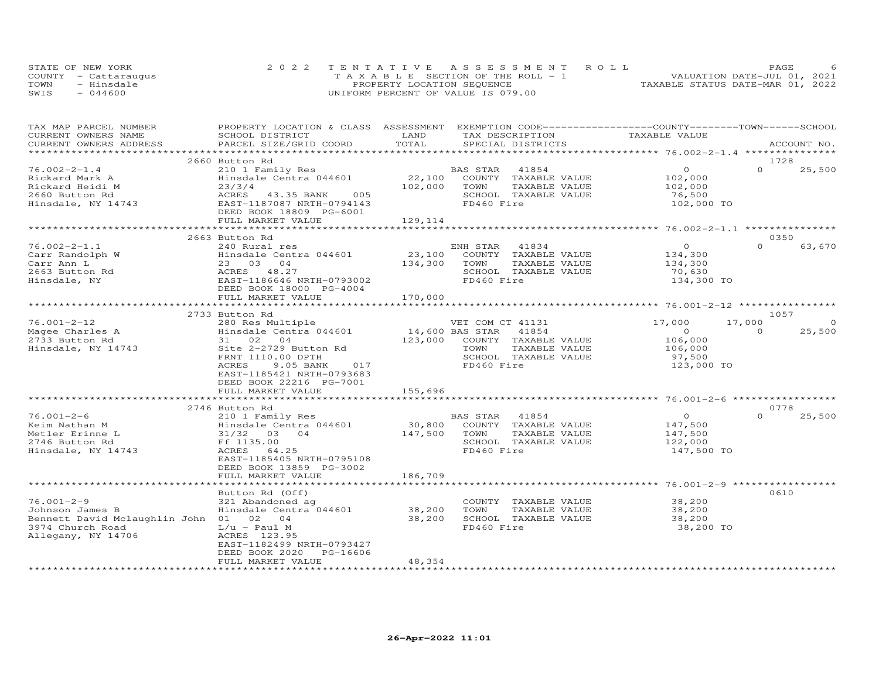|      | STATE OF NEW YORK    | 2022 TENTATIVE ASSESSMENT ROLL        | PAGE.                            |
|------|----------------------|---------------------------------------|----------------------------------|
|      | COUNTY - Cattarauqus | T A X A B L E SECTION OF THE ROLL - 1 | VALUATION DATE-JUL 01, 2021      |
| TOWN | - Hinsdale           | PROPERTY LOCATION SEQUENCE            | TAXABLE STATUS DATE-MAR 01, 2022 |
| SWIS | $-044600$            | UNIFORM PERCENT OF VALUE IS 079.00    |                                  |

| TAX MAP PARCEL NUMBER                  | PROPERTY LOCATION & CLASS ASSESSMENT EXEMPTION CODE----------------COUNTY-------TOWN-----SCHOOL |         |                              |                                           |                    |
|----------------------------------------|-------------------------------------------------------------------------------------------------|---------|------------------------------|-------------------------------------------|--------------------|
| CURRENT OWNERS NAME                    | SCHOOL DISTRICT                                                                                 | LAND    | TAX DESCRIPTION              | TAXABLE VALUE                             |                    |
| CURRENT OWNERS ADDRESS                 | PARCEL SIZE/GRID COORD                                                                          | TOTAL   | SPECIAL DISTRICTS            |                                           | ACCOUNT NO.        |
|                                        |                                                                                                 |         |                              | ****************** 76.002-2-1.4 ********* |                    |
|                                        | 2660 Button Rd                                                                                  |         |                              |                                           | 1728               |
| $76.002 - 2 - 1.4$                     | 210 1 Family Res                                                                                |         | BAS STAR 41854               | $\overline{O}$                            | $\Omega$<br>25,500 |
| Rickard Mark A                         | Hinsdale Centra 044601                                                                          |         | 22,100 COUNTY TAXABLE VALUE  | 102,000                                   |                    |
| Rickard Heidi M                        | 23/3/4                                                                                          | 102,000 | TAXABLE VALUE<br>TOWN        | 102,000                                   |                    |
| 2660 Button Rd                         | ACRES<br>43.35 BANK<br>005                                                                      |         | SCHOOL TAXABLE VALUE         | 76,500                                    |                    |
| Hinsdale, NY 14743                     | EAST-1187087 NRTH-0794143<br>DEED BOOK 18809 PG-6001                                            |         | FD460 Fire                   | 102,000 TO                                |                    |
|                                        | FULL MARKET VALUE                                                                               | 129,114 |                              |                                           |                    |
|                                        |                                                                                                 |         |                              |                                           |                    |
|                                        | 2663 Button Rd                                                                                  |         |                              |                                           | 0350               |
| $76.002 - 2 - 1.1$                     | 240 Rural res                                                                                   |         | ENH STAR<br>41834            | $\overline{O}$                            | $\Omega$<br>63,670 |
| Carr Randolph W                        | Hinsdale Centra 044601                                                                          |         | 23,100 COUNTY TAXABLE VALUE  | 134,300                                   |                    |
| Carr Ann L                             | 23 03 04                                                                                        | 134,300 | TOWN<br>TAXABLE VALUE        | 134,300                                   |                    |
| 2663 Button Rd                         | ACRES 48.27                                                                                     |         | SCHOOL TAXABLE VALUE         | 70,630                                    |                    |
| Hinsdale, NY                           | EAST-1186646 NRTH-0793002                                                                       |         | FD460 Fire                   | 134,300 TO                                |                    |
|                                        | DEED BOOK 18000 PG-4004                                                                         |         |                              |                                           |                    |
|                                        | FULL MARKET VALUE                                                                               | 170,000 |                              |                                           |                    |
|                                        |                                                                                                 |         |                              |                                           |                    |
|                                        | 2733 Button Rd                                                                                  |         |                              |                                           | 1057               |
| $76.001 - 2 - 12$                      | 280 Res Multiple                                                                                |         | VET COM CT 41131             | 17,000                                    | 17,000<br>$\Omega$ |
| Magee Charles A                        | Hinsdale Centra 044601                                                                          |         | 14,600 BAS STAR 41854        | $\overline{O}$                            | $\Omega$<br>25,500 |
| 2733 Button Rd                         | 31 02 04                                                                                        |         | 123,000 COUNTY TAXABLE VALUE | 106,000                                   |                    |
| Hinsdale, NY 14743                     | Site 2-2729 Button Rd                                                                           |         | TOWN<br>TAXABLE VALUE        | 106,000                                   |                    |
|                                        | FRNT 1110.00 DPTH                                                                               |         | SCHOOL TAXABLE VALUE         | 97,500                                    |                    |
|                                        | ACRES<br>9.05 BANK<br>017                                                                       |         | FD460 Fire                   | 123,000 TO                                |                    |
|                                        | EAST-1185421 NRTH-0793683                                                                       |         |                              |                                           |                    |
|                                        | DEED BOOK 22216 PG-7001                                                                         |         |                              |                                           |                    |
|                                        | FULL MARKET VALUE                                                                               | 155,696 |                              |                                           |                    |
|                                        | *********************                                                                           |         |                              |                                           |                    |
|                                        | 2746 Button Rd                                                                                  |         |                              |                                           | 0778               |
| $76.001 - 2 - 6$                       | 210 1 Family Res                                                                                |         | BAS STAR 41854               | $\Omega$                                  | 25,500<br>$\Omega$ |
| Keim Nathan M                          | Hinsdale Centra 044601                                                                          | 30,800  | COUNTY TAXABLE VALUE         | 147,500                                   |                    |
| Metler Erinne L                        | 31/32 03 04                                                                                     | 147,500 | TOWN<br>TAXABLE VALUE        | 147,500                                   |                    |
| 2746 Button Rd                         | Ff 1135.00                                                                                      |         | SCHOOL TAXABLE VALUE         | 122,000                                   |                    |
| Hinsdale, NY 14743                     | ACRES 64.25                                                                                     |         | FD460 Fire                   | 147,500 TO                                |                    |
|                                        | EAST-1185405 NRTH-0795108                                                                       |         |                              |                                           |                    |
|                                        | DEED BOOK 13859 PG-3002                                                                         |         |                              |                                           |                    |
|                                        | FULL MARKET VALUE                                                                               | 186,709 |                              |                                           |                    |
|                                        |                                                                                                 |         |                              |                                           |                    |
|                                        | Button Rd (Off)                                                                                 |         |                              |                                           | 0610               |
| $76.001 - 2 - 9$                       | 321 Abandoned ag                                                                                |         | COUNTY TAXABLE VALUE         | 38,200                                    |                    |
| Johnson James B                        | Hinsdale Centra 044601                                                                          | 38,200  | TOWN<br>TAXABLE VALUE        | 38,200                                    |                    |
| Bennett David Mclaughlin John 01 02 04 |                                                                                                 | 38,200  | SCHOOL TAXABLE VALUE         | 38,200                                    |                    |
| 3974 Church Road                       | L/u - Paul M                                                                                    |         | FD460 Fire                   | 38,200 TO                                 |                    |
| Allegany, NY 14706                     | ACRES 123.95                                                                                    |         |                              |                                           |                    |
|                                        | EAST-1182499 NRTH-0793427                                                                       |         |                              |                                           |                    |
|                                        | DEED BOOK 2020<br>PG-16606                                                                      |         |                              |                                           |                    |
|                                        | FULL MARKET VALUE                                                                               | 48,354  |                              |                                           |                    |
|                                        |                                                                                                 |         |                              |                                           |                    |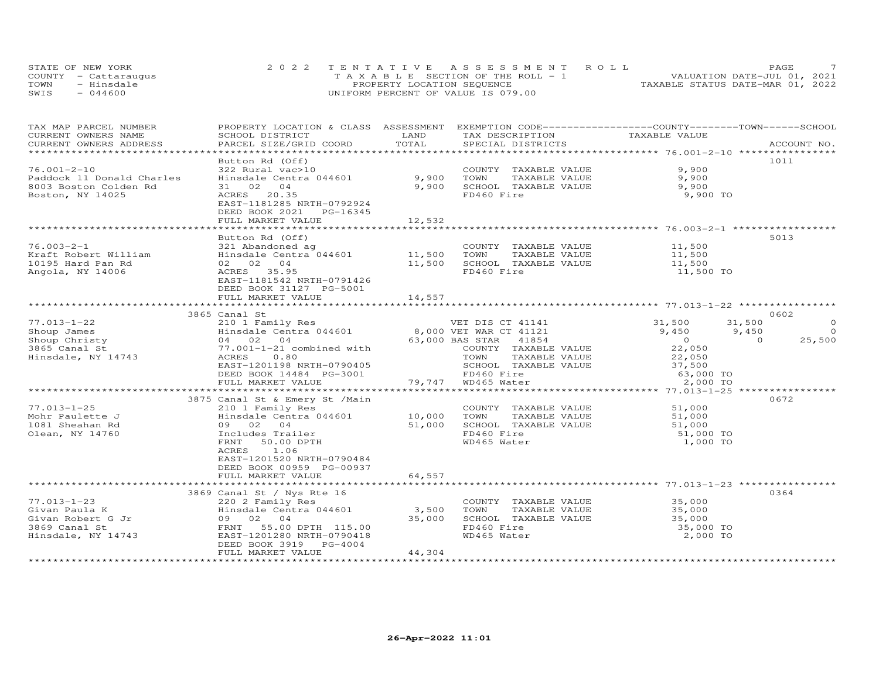| STATE OF NEW YORK    | 2022 TENTATIVE ASSESSMENT ROLL        | PAGE.                            |
|----------------------|---------------------------------------|----------------------------------|
| COUNTY - Cattaraugus | T A X A B L E SECTION OF THE ROLL - 1 | VALUATION DATE-JUL 01, 2021      |
| TOWN<br>- Hinsdale   | PROPERTY LOCATION SEQUENCE            | TAXABLE STATUS DATE-MAR 01, 2022 |
| $-044600$<br>SWIS    | UNIFORM PERCENT OF VALUE IS 079.00    |                                  |

| TAX MAP PARCEL NUMBER<br>CURRENT OWNERS NAME<br>CURRENT OWNERS ADDRESS                                              | PROPERTY LOCATION & CLASS ASSESSMENT EXEMPTION CODE----------------COUNTY-------TOWN------SCHOOL<br>SCHOOL DISTRICT<br>PARCEL SIZE/GRID COORD                                                                                              | LAND<br>TOTAL             | TAX DESCRIPTION<br>SPECIAL DISTRICTS                                                                                                                                                                          | TAXABLE VALUE                                                                                                                                                                     | ACCOUNT NO.                                                          |
|---------------------------------------------------------------------------------------------------------------------|--------------------------------------------------------------------------------------------------------------------------------------------------------------------------------------------------------------------------------------------|---------------------------|---------------------------------------------------------------------------------------------------------------------------------------------------------------------------------------------------------------|-----------------------------------------------------------------------------------------------------------------------------------------------------------------------------------|----------------------------------------------------------------------|
|                                                                                                                     |                                                                                                                                                                                                                                            |                           |                                                                                                                                                                                                               |                                                                                                                                                                                   |                                                                      |
| $76.001 - 2 - 10$<br>Paddock 11 Donald Charles<br>8003 Boston Colden Rd<br>Boston, NY 14025                         | Button Rd (Off)<br>322 Rural vac>10<br>Hinsdale Centra 044601 9,900<br>31 02 04<br>ACRES<br>20.35<br>EAST-1181285 NRTH-0792924                                                                                                             | 9,900                     | COUNTY TAXABLE VALUE<br>TAXABLE VALUE<br>TOWN<br>SCHOOL TAXABLE VALUE<br>FD460 Fire                                                                                                                           | 9,900<br>9,900<br>9,900<br>9,900 TO                                                                                                                                               | 1011                                                                 |
|                                                                                                                     | DEED BOOK 2021 PG-16345<br>FULL MARKET VALUE                                                                                                                                                                                               | 12,532                    |                                                                                                                                                                                                               |                                                                                                                                                                                   |                                                                      |
|                                                                                                                     |                                                                                                                                                                                                                                            |                           |                                                                                                                                                                                                               |                                                                                                                                                                                   |                                                                      |
| $76.003 - 2 - 1$<br>Kraft Robert William Minsdale Centra 044601 11,500<br>10195 Hard Pan Rd<br>Angola, NY 14006     | Button Rd (Off)<br>321 Abandoned ag<br>02 02 04<br>ACRES 35.95<br>EAST-1181542 NRTH-0791426<br>DEED BOOK 31127 PG-5001                                                                                                                     | 11,500                    | COUNTY TAXABLE VALUE<br>TOWN<br>TAXABLE VALUE<br>SCHOOL TAXABLE VALUE<br>FD460 Fire                                                                                                                           | 11,500<br>11,500<br>11,500<br>11,500 TO                                                                                                                                           | 5013                                                                 |
|                                                                                                                     | FULL MARKET VALUE                                                                                                                                                                                                                          | 14,557                    |                                                                                                                                                                                                               |                                                                                                                                                                                   |                                                                      |
|                                                                                                                     | 3865 Canal St                                                                                                                                                                                                                              |                           |                                                                                                                                                                                                               |                                                                                                                                                                                   | 0602                                                                 |
| $77.013 - 1 - 25$<br>Mohr Paulette J<br>1081 Sheahan Rd<br>Olean, NY 14760                                          | EAST-1201198 NRTH-0790405<br>DEED BOOK 14484 PG-3001<br>FULL MARKET VALUE<br>3875 Canal St & Emery St /Main<br>210 1 Family Res<br>Hinsdale Centra 044601<br>09 02<br>04<br>Includes Trailer<br>50.00 DPTH<br>FRNT                         | 10,000 TOWN               | COUNTY TAXABLE VALUE<br>TAXABLE VALUE<br>SCHOOL TAXABLE VALUE<br>FD460 Fire<br>79,747 WD465 Water<br>COUNTY TAXABLE VALUE 51,000<br>TAXABLE VALUE<br>51,000 SCHOOL TAXABLE VALUE<br>FD460 Fire<br>WD465 Water | 31,500<br>9,450<br>$\overline{0}$<br>$\begin{smallmatrix}0\\22\end{smallmatrix}$ ,050<br>22,050<br>$37,500$<br>63,000 TO<br>2,000 TO<br>51,000<br>51,000<br>51,000 TO<br>1,000 TO | $\circ$<br>31,500<br>$\Omega$<br>9,450<br>$\Omega$<br>25,500<br>0672 |
| $77.013 - 1 - 23$<br>Sivan Paula K<br>Givan Robert G Jr<br>Civan Robert G Jr<br>3869 Canal St<br>Hinsdale, NY 14743 | 1.06<br>ACRES<br>EAST-1201520 NRTH-0790484<br>DEED BOOK 00959 PG-00937<br>FULL MARKET VALUE<br>3869 Canal St / Nys Rte 16<br>220 2 Family Res<br>Hinsdale Centra 044601<br>09 02 04<br>FRNT 55.00 DPTH 115.00<br>EAST-1201280 NRTH-0790418 | 64,557<br>3,500<br>35,000 | COUNTY TAXABLE VALUE<br>TOWN<br>TAXABLE VALUE<br>SCHOOL TAXABLE VALUE<br>FD460 Fire<br>WD465 Water                                                                                                            | 35,000<br>35,000<br>35,000<br>35,000 TO<br>2,000 TO                                                                                                                               | 0364                                                                 |
|                                                                                                                     | DEED BOOK 3919<br>PG-4004<br>FULL MARKET VALUE                                                                                                                                                                                             | 44,304                    |                                                                                                                                                                                                               |                                                                                                                                                                                   |                                                                      |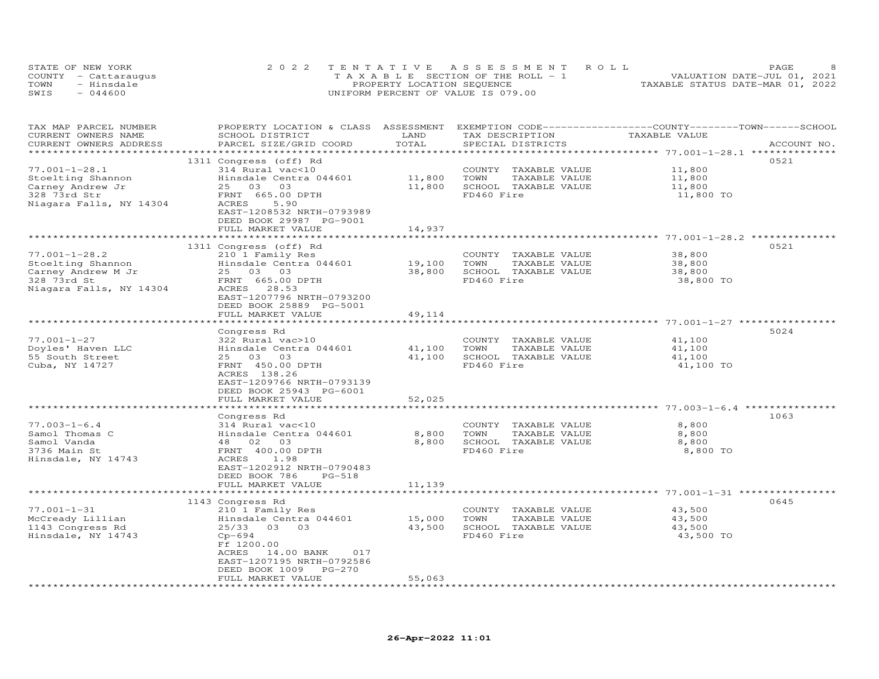|      | STATE OF NEW YORK    | 2022 TENTATIVE ASSESSMENT ROLL        | PAGE                             |
|------|----------------------|---------------------------------------|----------------------------------|
|      | COUNTY - Cattaraugus | T A X A B L E SECTION OF THE ROLL - 1 | VALUATION DATE-JUL 01, 2021      |
| TOWN | - Hinsdale           | PROPERTY LOCATION SEQUENCE            | TAXABLE STATUS DATE-MAR 01, 2022 |
| SWIS | $-044600$            | UNIFORM PERCENT OF VALUE IS 079.00    |                                  |

| TAX MAP PARCEL NUMBER   | PROPERTY LOCATION & CLASS ASSESSMENT |               | EXEMPTION CODE------------------COUNTY-------TOWN-----SCHOOL |               |             |
|-------------------------|--------------------------------------|---------------|--------------------------------------------------------------|---------------|-------------|
| CURRENT OWNERS NAME     | SCHOOL DISTRICT                      | LAND          | TAX DESCRIPTION                                              | TAXABLE VALUE |             |
| CURRENT OWNERS ADDRESS  | PARCEL SIZE/GRID COORD               | TOTAL         | SPECIAL DISTRICTS                                            |               | ACCOUNT NO. |
|                         |                                      |               |                                                              |               |             |
|                         | 1311 Congress (off) Rd               |               |                                                              |               | 0521        |
| $77.001 - 1 - 28.1$     | 314 Rural vac<10                     |               | COUNTY TAXABLE VALUE                                         | 11,800        |             |
| Stoelting Shannon       | Hinsdale Centra 044601               | 11,800        | TAXABLE VALUE<br>TOWN                                        | 11,800        |             |
| Carney Andrew Jr        | 25 03 03                             | 11,800        | SCHOOL TAXABLE VALUE                                         | 11,800        |             |
| 328 73rd Str            | FRNT 665.00 DPTH                     |               | FD460 Fire                                                   | 11,800 TO     |             |
| Niagara Falls, NY 14304 | ACRES<br>5.90                        |               |                                                              |               |             |
|                         | EAST-1208532 NRTH-0793989            |               |                                                              |               |             |
|                         | DEED BOOK 29987 PG-9001              |               |                                                              |               |             |
|                         | FULL MARKET VALUE                    | 14,937        |                                                              |               |             |
|                         |                                      |               |                                                              |               |             |
|                         | 1311 Congress (off) Rd               |               |                                                              |               | 0521        |
| $77.001 - 1 - 28.2$     | 210 1 Family Res                     |               | COUNTY TAXABLE VALUE                                         | 38,800        |             |
| Stoelting Shannon       | Hinsdale Centra 044601               | 19,100        | TOWN<br>TAXABLE VALUE                                        | 38,800        |             |
| Carney Andrew M Jr      | 25 03 03                             | 38,800        | SCHOOL TAXABLE VALUE                                         | 38,800        |             |
| 328 73rd St             | FRNT 665.00 DPTH                     |               | FD460 Fire                                                   | 38,800 TO     |             |
| Niagara Falls, NY 14304 | 28.53<br>ACRES                       |               |                                                              |               |             |
|                         | EAST-1207796 NRTH-0793200            |               |                                                              |               |             |
|                         | DEED BOOK 25889 PG-5001              |               |                                                              |               |             |
|                         | FULL MARKET VALUE                    | 49,114        |                                                              |               |             |
|                         |                                      |               |                                                              |               |             |
|                         | Congress Rd                          |               |                                                              |               | 5024        |
|                         |                                      |               |                                                              |               |             |
| $77.001 - 1 - 27$       | 322 Rural vac>10                     |               | COUNTY TAXABLE VALUE                                         | 41,100        |             |
| Doyles' Haven LLC       | Hinsdale Centra 044601               | 41,100        | TOWN<br>TAXABLE VALUE                                        | 41,100        |             |
| 55 South Street         | 25 03 03                             | 41,100        | SCHOOL TAXABLE VALUE                                         | 41,100        |             |
| Cuba, NY 14727          | FRNT 450.00 DPTH                     |               | FD460 Fire                                                   | 41,100 TO     |             |
|                         | ACRES 138.26                         |               |                                                              |               |             |
|                         | EAST-1209766 NRTH-0793139            |               |                                                              |               |             |
|                         | DEED BOOK 25943 PG-6001              |               |                                                              |               |             |
|                         | FULL MARKET VALUE                    | 52,025        |                                                              |               |             |
|                         |                                      |               |                                                              |               |             |
|                         | Congress Rd                          |               |                                                              |               | 1063        |
| $77.003 - 1 - 6.4$      | 314 Rural vac<10                     |               | COUNTY TAXABLE VALUE                                         | 8,800         |             |
| Samol Thomas C          | Hinsdale Centra 044601               | 8,800         | TOWN<br>TAXABLE VALUE                                        | 8,800         |             |
| Samol Vanda             | 48 02 03                             | 8,800         | SCHOOL TAXABLE VALUE                                         | 8,800         |             |
| 3736 Main St            | FRNT 400.00 DPTH                     |               | FD460 Fire                                                   | 8,800 TO      |             |
| Hinsdale, NY 14743      | ACRES<br>1.98                        |               |                                                              |               |             |
|                         | EAST-1202912 NRTH-0790483            |               |                                                              |               |             |
|                         | DEED BOOK 786<br>$PG-518$            |               |                                                              |               |             |
|                         | FULL MARKET VALUE                    | 11,139        |                                                              |               |             |
|                         |                                      | ************* |                                                              |               |             |
|                         | 1143 Congress Rd                     |               |                                                              |               | 0645        |
| $77.001 - 1 - 31$       | 210 1 Family Res                     |               | COUNTY TAXABLE VALUE                                         | 43,500        |             |
| McCready Lillian        | Hinsdale Centra 044601               | 15,000        | TOWN<br>TAXABLE VALUE                                        | 43,500        |             |
| 1143 Congress Rd        | 25/33 03 03                          | 43,500        | SCHOOL TAXABLE VALUE                                         | 43,500        |             |
| Hinsdale, NY 14743      | $Cp-694$                             |               | FD460 Fire                                                   | 43,500 TO     |             |
|                         | Ff 1200.00                           |               |                                                              |               |             |
|                         | ACRES<br>017<br>14.00 BANK           |               |                                                              |               |             |
|                         | EAST-1207195 NRTH-0792586            |               |                                                              |               |             |
|                         | DEED BOOK 1009<br>PG-270             |               |                                                              |               |             |
|                         | FULL MARKET VALUE                    | 55,063        |                                                              |               |             |
|                         |                                      |               |                                                              |               |             |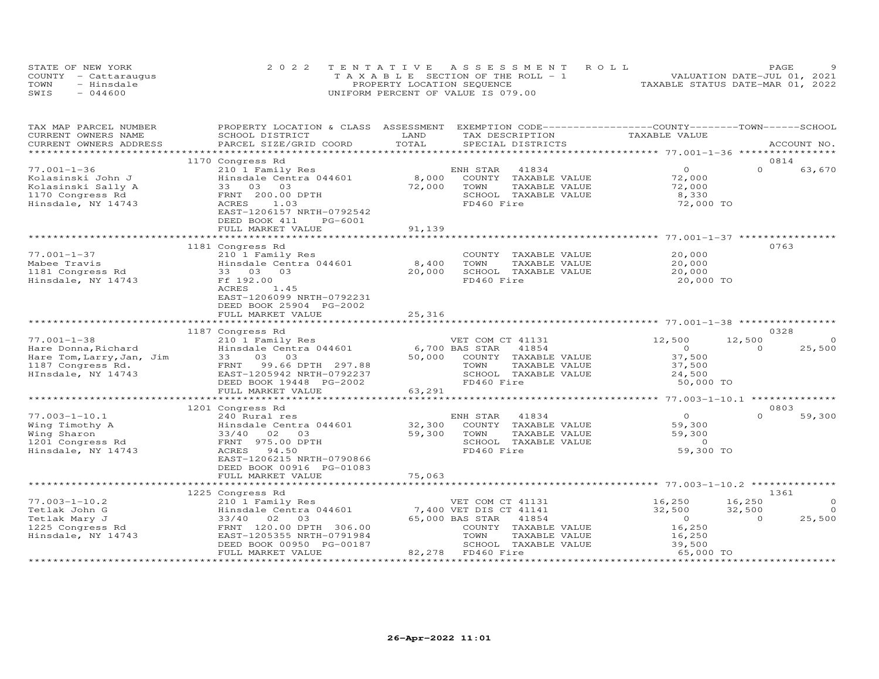|      | STATE OF NEW YORK    | 2022 TENTATIVE ASSESSMENT ROLL        | PAGE                             |
|------|----------------------|---------------------------------------|----------------------------------|
|      | COUNTY - Cattaraugus | T A X A B L E SECTION OF THE ROLL - 1 | VALUATION DATE-JUL 01, 2021      |
| TOWN | - Hinsdale           | PROPERTY LOCATION SEQUENCE            | TAXABLE STATUS DATE-MAR 01, 2022 |
| SWIS | $-044600$            | UNIFORM PERCENT OF VALUE IS 079.00    |                                  |

| TAX MAP PARCEL NUMBER     |                                              | LAND                                          | PROPERTY LOCATION & CLASS ASSESSMENT EXEMPTION CODE----------------COUNTY-------TOWN------SCHOOL<br>TAXABLE VALUE |
|---------------------------|----------------------------------------------|-----------------------------------------------|-------------------------------------------------------------------------------------------------------------------|
| CURRENT OWNERS NAME       | SCHOOL DISTRICT<br>PARCEL SIZE/GRID COORD    | TAX DESCRIPTION<br>TOTAL<br>SPECIAL DISTRICTS |                                                                                                                   |
| CURRENT OWNERS ADDRESS    |                                              |                                               | ACCOUNT NO.                                                                                                       |
|                           | 1170 Congress Rd                             |                                               | 0814                                                                                                              |
| $77.001 - 1 - 36$         | 210 1 Family Res                             | ENH STAR<br>41834                             | $\Omega$<br>$\Omega$<br>63,670                                                                                    |
| Kolasinski John J         | Hinsdale Centra 044601                       | 8,000<br>COUNTY<br>TAXABLE VALUE              | 72,000                                                                                                            |
| Kolasinski Sally A        | 33 03 03                                     | 72,000<br>TOWN<br>TAXABLE VALUE               | 72,000                                                                                                            |
| 1170 Congress Rd          | FRNT 200.00 DPTH                             | SCHOOL TAXABLE VALUE                          | 8,330                                                                                                             |
|                           | ACRES<br>1.03                                | FD460 Fire                                    | 72,000 TO                                                                                                         |
| Hinsdale, NY 14743        | EAST-1206157 NRTH-0792542                    |                                               |                                                                                                                   |
|                           | DEED BOOK 411<br>PG-6001                     |                                               |                                                                                                                   |
|                           | FULL MARKET VALUE                            | 91,139                                        |                                                                                                                   |
|                           | *****************                            | *************                                 | ******************************* 77.001-1-37 *****************                                                     |
|                           | 1181 Congress Rd                             |                                               | 0763                                                                                                              |
| $77.001 - 1 - 37$         | 210 1 Family Res                             | COUNTY TAXABLE VALUE                          | 20,000                                                                                                            |
| Mabee Travis              | Hinsdale Centra 044601                       | 8,400<br>TOWN<br>TAXABLE VALUE                | 20,000                                                                                                            |
| 1181 Congress Rd          | 33 03 03                                     | 20,000<br>SCHOOL TAXABLE VALUE                | 20,000                                                                                                            |
| Hinsdale, NY 14743        | Ff 192.00                                    | FD460 Fire                                    | 20,000 TO                                                                                                         |
|                           | ACRES<br>1.45                                |                                               |                                                                                                                   |
|                           | EAST-1206099 NRTH-0792231                    |                                               |                                                                                                                   |
|                           |                                              |                                               |                                                                                                                   |
|                           | DEED BOOK 25904 PG-2002<br>FULL MARKET VALUE | 25,316                                        |                                                                                                                   |
|                           |                                              |                                               |                                                                                                                   |
|                           | 1187 Congress Rd                             |                                               | 0328                                                                                                              |
| $77.001 - 1 - 38$         | 210 1 Family Res                             | VET COM CT 41131                              | 12,500<br>12,500<br>$\Omega$                                                                                      |
| Hare Donna, Richard       | Hinsdale Centra 044601                       | 6,700 BAS STAR<br>41854                       | 25,500<br>$\Omega$<br>$\Omega$                                                                                    |
| Hare Tom, Larry, Jan, Jim | 03<br>03<br>33                               | 50,000<br>COUNTY TAXABLE VALUE                | 37,500                                                                                                            |
| 1187 Congress Rd.         | FRNT<br>99.66 DPTH 297.88                    | TAXABLE VALUE<br>TOWN                         | 37,500                                                                                                            |
| HInsdale, NY 14743        | EAST-1205942 NRTH-0792237                    | SCHOOL TAXABLE VALUE                          | 24,500                                                                                                            |
|                           | DEED BOOK 19448 PG-2002                      | FD460 Fire                                    | 50,000 TO                                                                                                         |
|                           | FULL MARKET VALUE                            | 63,291                                        |                                                                                                                   |
|                           |                                              | * * * * * * * * * * *                         | ********** 77.003-1-10.1 **************                                                                           |
|                           | 1201 Congress Rd                             |                                               | 0803                                                                                                              |
| $77.003 - 1 - 10.1$       | 240 Rural res                                | 41834<br>ENH STAR                             | $\circ$<br>$\Omega$<br>59,300                                                                                     |
| Wing Timothy A            | Hinsdale Centra 044601                       | 32,300<br>COUNTY TAXABLE VALUE                | 59,300                                                                                                            |
| Wing Sharon               | $33/40$ 02<br>03                             | 59,300<br>TOWN<br>TAXABLE VALUE               | 59,300                                                                                                            |
| 1201 Congress Rd          | FRNT 975.00 DPTH                             | SCHOOL TAXABLE VALUE                          | $\overline{0}$                                                                                                    |
| Hinsdale, NY 14743        | ACRES<br>94.50                               | FD460 Fire                                    | 59,300 TO                                                                                                         |
|                           | EAST-1206215 NRTH-0790866                    |                                               |                                                                                                                   |
|                           | DEED BOOK 00916 PG-01083                     |                                               |                                                                                                                   |
|                           | FULL MARKET VALUE                            | 75,063                                        |                                                                                                                   |
|                           |                                              |                                               | *************** 77.003-1-10.2 ********                                                                            |
|                           | 1225 Congress Rd                             |                                               | 1361                                                                                                              |
| $77.003 - 1 - 10.2$       | 210 1 Family Res                             | VET COM CT 41131                              | 16,250<br>16,250<br>$\Omega$                                                                                      |
| Tetlak John G             | Hinsdale Centra 044601                       | 7,400 VET DIS CT 41141                        | 32,500<br>$\overline{0}$<br>32,500                                                                                |
| Tetlak Mary J             | 02<br>33/40<br>03                            | 65,000 BAS STAR<br>41854                      | 25,500<br>$\overline{O}$<br>$\Omega$                                                                              |
| 1225 Congress Rd          | FRNT 120.00 DPTH 306.00                      | COUNTY TAXABLE VALUE                          | 16,250                                                                                                            |
| Hinsdale, NY 14743        | EAST-1205355 NRTH-0791984                    | TOWN<br>TAXABLE VALUE                         | 16,250                                                                                                            |
|                           | DEED BOOK 00950 PG-00187                     | SCHOOL TAXABLE VALUE                          | 39,500                                                                                                            |
|                           | FULL MARKET VALUE                            | 82,278 FD460 Fire                             | 65,000 TO                                                                                                         |
|                           | **********************                       |                                               |                                                                                                                   |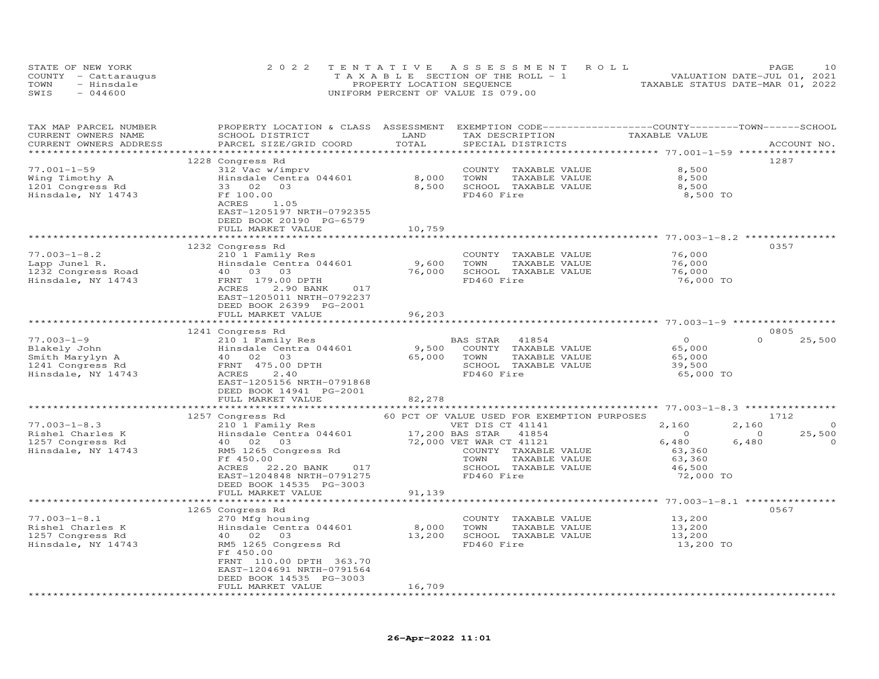|      | STATE OF NEW YORK    | 2022 TENTATIVE ASSESSMENT ROLL             | 1 O<br>PAGE                      |
|------|----------------------|--------------------------------------------|----------------------------------|
|      | COUNTY - Cattaraugus | $T A X A B I E E$ SECTION OF THE ROLL $-1$ | VALUATION DATE-JUL 01, 2021      |
| TOWN | - Hinsdale           | PROPERTY LOCATION SEQUENCE                 | TAXABLE STATUS DATE-MAR 01, 2022 |
| SWIS | $-044600$            | UNIFORM PERCENT OF VALUE IS 079.00         |                                  |

| TAX MAP PARCEL NUMBER<br>CURRENT OWNERS NAME<br>CURRENT OWNERS ADDRESS | PROPERTY LOCATION & CLASS ASSESSMENT EXEMPTION CODE-----------------COUNTY-------TOWN------SCHOOL<br>SCHOOL DISTRICT<br>PARCEL SIZE/GRID COORD                                                                                                                                                                      | LAND<br>TOTAL         | TAX DESCRIPTION<br>SPECIAL DISTRICTS                                  | TAXABLE VALUE                                     | ACCOUNT NO.        |
|------------------------------------------------------------------------|---------------------------------------------------------------------------------------------------------------------------------------------------------------------------------------------------------------------------------------------------------------------------------------------------------------------|-----------------------|-----------------------------------------------------------------------|---------------------------------------------------|--------------------|
|                                                                        |                                                                                                                                                                                                                                                                                                                     |                       |                                                                       |                                                   |                    |
| $77.001 - 1 - 59$<br>Wing Timothy A<br>1201 Congress Rd                | 1228 Congress Rd<br>312 Vac w/imprv<br>Hinsdale Centra 044601<br>33 02 03<br>35 02 03                                                                                                                                                                                                                               | 8,000<br>8,500        | COUNTY TAXABLE VALUE<br>TOWN<br>TAXABLE VALUE<br>SCHOOL TAXABLE VALUE | 8,500<br>8,500<br>8,500                           | 1287               |
| Hinsdale, NY 14743                                                     | Ff 100.00<br>ACRES 1.05<br>EAST-1205197 NRTH-0792355<br>DEED BOOK 20190 PG-6579<br>FULL MARKET VALUE                                                                                                                                                                                                                | 10,759                | FD460 Fire                                                            | 8,500 TO                                          |                    |
|                                                                        |                                                                                                                                                                                                                                                                                                                     | *************         |                                                                       |                                                   |                    |
|                                                                        | 1232 Congress Rd                                                                                                                                                                                                                                                                                                    |                       |                                                                       |                                                   | 0357               |
| $77.003 - 1 - 8.2$                                                     | 210 1 Family Res                                                                                                                                                                                                                                                                                                    |                       | COUNTY TAXABLE VALUE                                                  | 76,000                                            |                    |
| Lapp Junel R.                                                          | Hinsdale Centra 044601                                                                                                                                                                                                                                                                                              | 9,600                 | TAXABLE VALUE<br>TOWN                                                 | 76,000<br>76,000<br>76.000                        |                    |
| 1232 Congress Road                                                     | 40 03 03                                                                                                                                                                                                                                                                                                            | 76,000                | SCHOOL TAXABLE VALUE                                                  |                                                   |                    |
| Hinsdale, NY 14743                                                     | FRNT 179.00 DPTH<br>ACRES<br>2.90 BANK<br>017<br>EAST-1205011 NRTH-0792237                                                                                                                                                                                                                                          |                       | FD460 Fire                                                            | 76,000 TO                                         |                    |
|                                                                        | DEED BOOK 26399 PG-2001<br>FULL MARKET VALUE                                                                                                                                                                                                                                                                        | 96,203                |                                                                       |                                                   |                    |
|                                                                        |                                                                                                                                                                                                                                                                                                                     |                       |                                                                       |                                                   |                    |
|                                                                        | 1241 Congress Rd                                                                                                                                                                                                                                                                                                    |                       |                                                                       |                                                   | 0805               |
| $77.003 - 1 - 9$                                                       | 210 1 Family Res                                                                                                                                                                                                                                                                                                    |                       | BAS STAR 41854                                                        | $\overline{0}$                                    | $\Omega$<br>25,500 |
| Blakely John                                                           | EREM 210 1 Family Res<br>Hinsdale Centra 044601 9,500                                                                                                                                                                                                                                                               |                       | COUNTY TAXABLE VALUE                                                  | 65,000                                            |                    |
| Smith Marylyn A<br>1241 Congress Rd                                    | 40 02 03                                                                                                                                                                                                                                                                                                            | 65,000 TOWN<br>SCHOOL | TAXABLE VALUE                                                         | 65,000                                            |                    |
|                                                                        | FRNT 475.00 DPTH                                                                                                                                                                                                                                                                                                    |                       | SCHOOL TAXABLE VALUE                                                  | 39,500                                            |                    |
| Hinsdale, NY 14743                                                     | ACRES<br>2.40<br>EAST-1205156 NRTH-0791868<br>DEED BOOK 14941 PG-2001                                                                                                                                                                                                                                               |                       | FD460 Fire                                                            | 65,000 TO                                         |                    |
|                                                                        | FULL MARKET VALUE                                                                                                                                                                                                                                                                                                   | 82,278                |                                                                       |                                                   |                    |
|                                                                        |                                                                                                                                                                                                                                                                                                                     |                       |                                                                       |                                                   |                    |
|                                                                        | 1257 Congress Rd<br>210 1 Family Res<br>210 1 Family Res<br>210 1 Family Res<br>210 1 Family Res<br>210 1 Family Res<br>210 1 Family Res<br>2165 Congress Rd<br>22,000 VET WAR CT 41121<br>22,000 VET WAR CT 41121<br>22,000 VET WAR CT 41121<br>22,                                                                |                       | 60 PCT OF VALUE USED FOR EXEMPTION PURPOSES                           |                                                   | 1712               |
| $77.003 - 1 - 8.3$                                                     |                                                                                                                                                                                                                                                                                                                     |                       | VET DIS CT 41141                                                      | 2,160                                             | $\Omega$<br>2,160  |
| Rishel Charles K<br>1257 Congress Rd                                   |                                                                                                                                                                                                                                                                                                                     |                       |                                                                       | $\overline{0}$                                    | 25,500<br>$\sim$ 0 |
|                                                                        |                                                                                                                                                                                                                                                                                                                     |                       |                                                                       | 6,480                                             | 6,480<br>$\Omega$  |
| Hinsdale, NY 14743                                                     |                                                                                                                                                                                                                                                                                                                     |                       |                                                                       | 63,360                                            |                    |
|                                                                        | ACRES                                                                                                                                                                                                                                                                                                               |                       | TAXABLE VALUE<br>SCHOOL TAXABLE VALUE                                 | 63,360<br>46,500                                  |                    |
|                                                                        | 22.20 BANK 017<br>EAST-1204848 NRTH-0791275                                                                                                                                                                                                                                                                         |                       | FD460 Fire                                                            | 72,000 TO                                         |                    |
|                                                                        | DEED BOOK 14535 PG-3003                                                                                                                                                                                                                                                                                             |                       |                                                                       |                                                   |                    |
|                                                                        | FULL MARKET VALUE                                                                                                                                                                                                                                                                                                   | 91,139                |                                                                       |                                                   |                    |
|                                                                        | *******************************                                                                                                                                                                                                                                                                                     | *************         |                                                                       | ************************ 77.003-1-8.1 *********** |                    |
|                                                                        | 1265 Congress Rd                                                                                                                                                                                                                                                                                                    |                       |                                                                       |                                                   | 0567               |
| $77.003 - 1 - 8.1$                                                     | 270 Mfg housing                                                                                                                                                                                                                                                                                                     |                       | COUNTY TAXABLE VALUE                                                  |                                                   |                    |
|                                                                        | $\frac{1}{2}$ $\frac{1}{2}$ $\frac{1}{2}$ $\frac{1}{2}$ $\frac{1}{2}$ $\frac{1}{2}$ $\frac{1}{2}$ $\frac{1}{2}$ $\frac{1}{2}$ $\frac{1}{2}$ $\frac{1}{2}$ $\frac{1}{2}$ $\frac{1}{2}$ $\frac{1}{2}$ $\frac{1}{2}$ $\frac{1}{2}$ $\frac{1}{2}$ $\frac{1}{2}$ $\frac{1}{2}$ $\frac{1}{2}$ $\frac{1}{2}$ $\frac{1}{2}$ |                       | TOWN<br>TAXABLE VALUE                                                 | 13,200<br>13,200                                  |                    |
|                                                                        | 40  02  03                                                                                                                                                                                                                                                                                                          | 13,200                | SCHOOL TAXABLE VALUE                                                  | 13,200                                            |                    |
| Rishel Charles K<br>1257 Congress Rd<br>Hinsdale, NY 14743             | RM5 1265 Congress Rd<br>Ff 450.00                                                                                                                                                                                                                                                                                   |                       | FD460 Fire                                                            | 13,200 TO                                         |                    |
|                                                                        | FRNT 110.00 DPTH 363.70<br>EAST-1204691 NRTH-0791564<br>DEED BOOK 14535 PG-3003                                                                                                                                                                                                                                     |                       |                                                                       |                                                   |                    |
|                                                                        | FULL MARKET VALUE                                                                                                                                                                                                                                                                                                   | 16,709                |                                                                       |                                                   |                    |
|                                                                        |                                                                                                                                                                                                                                                                                                                     |                       |                                                                       |                                                   |                    |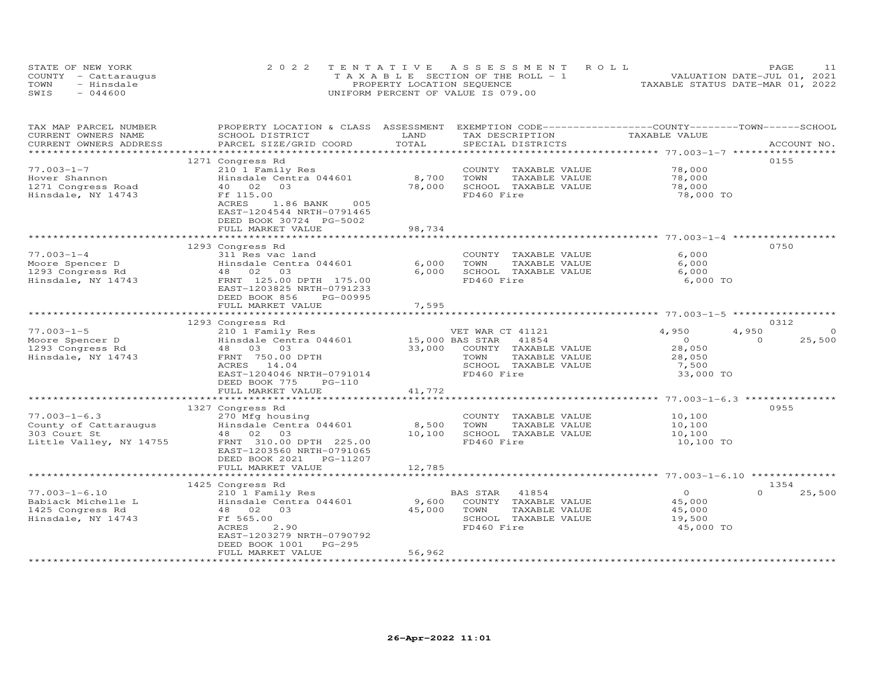|      | STATE OF NEW YORK    | 2022 TENTATIVE ASSESSMENT ROLL        | PAGE                             |
|------|----------------------|---------------------------------------|----------------------------------|
|      | COUNTY - Cattaraugus | T A X A B L E SECTION OF THE ROLL - 1 | VALUATION DATE-JUL 01, 2021      |
| TOWN | - Hinsdale           | PROPERTY LOCATION SEQUENCE            | TAXABLE STATUS DATE-MAR 01, 2022 |
| SWIS | $-044600$            | UNIFORM PERCENT OF VALUE IS 079.00    |                                  |

| TAX MAP PARCEL NUMBER<br>CURRENT OWNERS NAME<br>CURRENT OWNERS ADDRESS | PROPERTY LOCATION & CLASS ASSESSMENT<br>SCHOOL DISTRICT<br>PARCEL SIZE/GRID COORD                                   | LAND<br>TOTAL   | EXEMPTION CODE-----------------COUNTY-------TOWN------SCHOOL<br>TAX DESCRIPTION<br>SPECIAL DISTRICTS | TAXABLE VALUE       | ACCOUNT NO.        |
|------------------------------------------------------------------------|---------------------------------------------------------------------------------------------------------------------|-----------------|------------------------------------------------------------------------------------------------------|---------------------|--------------------|
|                                                                        |                                                                                                                     |                 |                                                                                                      |                     |                    |
| $77.003 - 1 - 7$                                                       | 1271 Congress Rd<br>210 1 Family Res                                                                                |                 | COUNTY TAXABLE VALUE                                                                                 | 78,000              | 0155               |
| Hover Shannon<br>1271 Congress Road                                    | Hinsdale Centra 044601<br>40 02 03                                                                                  | 8,700<br>78,000 | TOWN<br>TAXABLE VALUE<br>SCHOOL TAXABLE VALUE                                                        | 78,000<br>78,000    |                    |
| Hinsdale, NY 14743                                                     | Ff 115.00<br>ACRES<br>1.86 BANK<br>005<br>EAST-1204544 NRTH-0791465<br>DEED BOOK 30724 PG-5002<br>FULL MARKET VALUE | 98,734          | FD460 Fire                                                                                           | 78,000 TO           |                    |
|                                                                        |                                                                                                                     |                 |                                                                                                      |                     |                    |
|                                                                        | 1293 Congress Rd                                                                                                    |                 |                                                                                                      |                     | 0750               |
| $77.003 - 1 - 4$                                                       | 311 Res vac land                                                                                                    |                 | COUNTY TAXABLE VALUE                                                                                 | 6,000               |                    |
| Moore Spencer D                                                        | Hinsdale Centra 044601                                                                                              | 6,000           | TOWN<br>TAXABLE VALUE                                                                                | 6,000               |                    |
| 1293 Congress Rd                                                       | 48 02<br>03                                                                                                         | 6,000           | SCHOOL TAXABLE VALUE                                                                                 | 6,000               |                    |
| Hinsdale, NY 14743                                                     | FRNT 125.00 DPTH 175.00<br>EAST-1203825 NRTH-0791233<br>DEED BOOK 856<br>PG-00995<br>FULL MARKET VALUE              | 7,595           | FD460 Fire                                                                                           | 6,000 TO            |                    |
|                                                                        |                                                                                                                     |                 |                                                                                                      |                     |                    |
|                                                                        | 1293 Congress Rd                                                                                                    |                 |                                                                                                      |                     | 0312               |
| $77.003 - 1 - 5$                                                       | 210 1 Family Res                                                                                                    |                 | VET WAR CT 41121                                                                                     | 4,950               | 4,950<br>$\Omega$  |
| Moore Spencer D                                                        | Hinsdale Centra 044601                                                                                              |                 | 15,000 BAS STAR<br>41854                                                                             | $\circ$             | 25,500<br>$\Omega$ |
| 1293 Congress Rd                                                       | 48 03 03                                                                                                            | 33,000          | COUNTY TAXABLE VALUE                                                                                 | 28,050              |                    |
| Hinsdale, NY 14743                                                     | FRNT 750.00 DPTH                                                                                                    |                 | TOWN<br>TAXABLE VALUE                                                                                | 28,050              |                    |
|                                                                        | ACRES<br>14.04                                                                                                      |                 | SCHOOL TAXABLE VALUE                                                                                 | 7,500               |                    |
|                                                                        | EAST-1204046 NRTH-0791014<br>DEED BOOK 775<br>$PG-110$                                                              |                 | FD460 Fire                                                                                           | 33,000 TO           |                    |
|                                                                        | FULL MARKET VALUE                                                                                                   | 41,772          |                                                                                                      |                     |                    |
|                                                                        | 1327 Congress Rd                                                                                                    |                 |                                                                                                      |                     | 0955               |
| $77.003 - 1 - 6.3$                                                     | 270 Mfg housing                                                                                                     |                 | COUNTY TAXABLE VALUE                                                                                 | 10,100              |                    |
| County of Cattaraugus                                                  | Hinsdale Centra 044601                                                                                              | 8,500           | TOWN<br>TAXABLE VALUE                                                                                | 10,100              |                    |
| 303 Court St                                                           | 48  02  03                                                                                                          | 10,100          | SCHOOL TAXABLE VALUE                                                                                 | 10,100              |                    |
| Little Valley, NY 14755                                                | FRNT 310.00 DPTH 225.00<br>EAST-1203560 NRTH-0791065<br>DEED BOOK 2021<br>PG-11207                                  |                 | FD460 Fire                                                                                           | 10,100 TO           |                    |
|                                                                        | FULL MARKET VALUE                                                                                                   | 12,785          |                                                                                                      |                     |                    |
|                                                                        |                                                                                                                     |                 |                                                                                                      |                     |                    |
|                                                                        | 1425 Congress Rd                                                                                                    |                 |                                                                                                      |                     | 1354               |
| $77.003 - 1 - 6.10$                                                    | 210 1 Family Res                                                                                                    |                 | BAS STAR<br>41854                                                                                    | $\circ$             | $\Omega$<br>25,500 |
| Babiack Michelle L                                                     | Hinsdale Centra 044601                                                                                              | 9,600           | COUNTY TAXABLE VALUE                                                                                 | 45,000              |                    |
| 1425 Congress Rd                                                       | 48 02 03<br>Ff 565.00                                                                                               | 45,000          | TOWN<br>TAXABLE VALUE<br>SCHOOL TAXABLE VALUE                                                        | 45,000              |                    |
| Hinsdale, NY 14743                                                     | ACRES<br>2.90<br>EAST-1203279 NRTH-0790792                                                                          |                 | FD460 Fire                                                                                           | 19,500<br>45,000 TO |                    |
|                                                                        | DEED BOOK 1001<br>$PG-295$                                                                                          |                 |                                                                                                      |                     |                    |
|                                                                        | FULL MARKET VALUE                                                                                                   | 56,962          |                                                                                                      |                     |                    |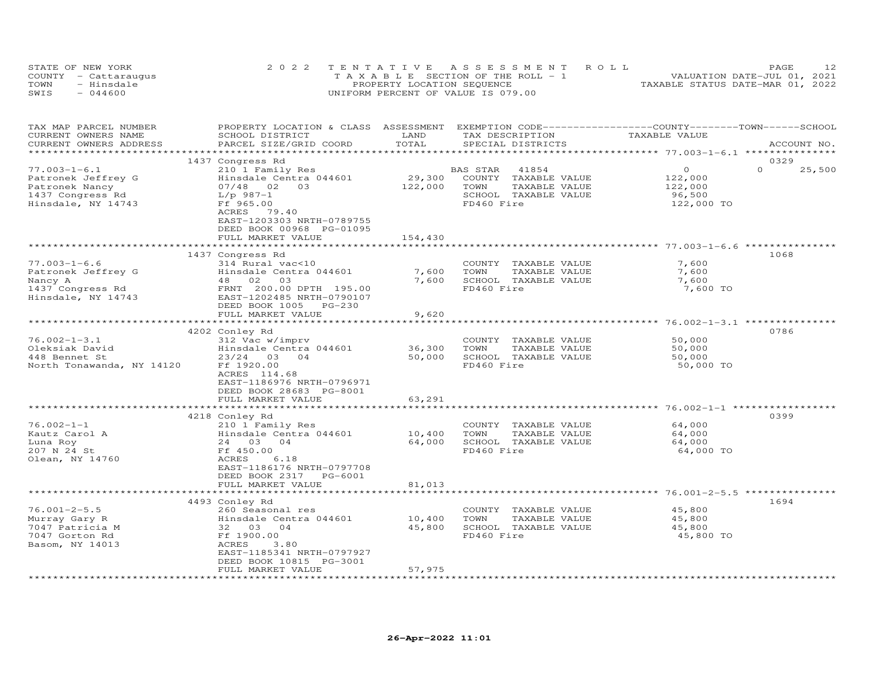|      | STATE OF NEW YORK    | 2022 TENTATIVE ASSESSMENT ROLL           | PAGE.                            |
|------|----------------------|------------------------------------------|----------------------------------|
|      | COUNTY - Cattaraugus | $T A X A B I F$ SECTION OF THE ROLL $-1$ | VALUATION DATE-JUL 01, 2021      |
| TOWN | - Hinedale           | PROPERTY LOCATION SEQUENCE               | TAXABLE STATUS DATE-MAR 01, 2022 |
| SWIS | $-044600$            | UNIFORM PERCENT OF VALUE IS 079.00       |                                  |

| TAX MAP PARCEL NUMBER     | PROPERTY LOCATION & CLASS ASSESSMENT |                             | EXEMPTION CODE------------------COUNTY-------TOWN-----SCHOOL |                                       |                    |
|---------------------------|--------------------------------------|-----------------------------|--------------------------------------------------------------|---------------------------------------|--------------------|
| CURRENT OWNERS NAME       | SCHOOL DISTRICT                      | LAND                        | TAX DESCRIPTION                                              | TAXABLE VALUE                         |                    |
| CURRENT OWNERS ADDRESS    | PARCEL SIZE/GRID COORD               | TOTAL                       | SPECIAL DISTRICTS                                            |                                       | ACCOUNT NO.        |
|                           |                                      |                             |                                                              |                                       |                    |
|                           | 1437 Congress Rd                     |                             |                                                              |                                       | 0329               |
| $77.003 - 1 - 6.1$        | 210 1 Family Res                     |                             | BAS STAR<br>41854                                            | $\Omega$                              | $\Omega$<br>25,500 |
| Patronek Jeffrey G        | Hinsdale Centra 044601               | 29,300                      | COUNTY TAXABLE VALUE                                         | 122,000                               |                    |
| Patronek Nancy            | $07/48$ 02<br>03                     | 122,000                     | TOWN<br>TAXABLE VALUE                                        | 122,000                               |                    |
|                           | $L/p$ 987-1                          |                             | SCHOOL TAXABLE VALUE                                         | 96,500                                |                    |
| 1437 Congress Rd          |                                      |                             | FD460 Fire                                                   |                                       |                    |
| Hinsdale, NY 14743        | Ff 965.00                            |                             |                                                              | 122,000 TO                            |                    |
|                           | ACRES<br>79.40                       |                             |                                                              |                                       |                    |
|                           | EAST-1203303 NRTH-0789755            |                             |                                                              |                                       |                    |
|                           | DEED BOOK 00968 PG-01095             |                             |                                                              |                                       |                    |
|                           | FULL MARKET VALUE                    | 154,430                     |                                                              |                                       |                    |
|                           |                                      |                             |                                                              |                                       |                    |
|                           | 1437 Congress Rd                     |                             |                                                              |                                       | 1068               |
| $77.003 - 1 - 6.6$        | 314 Rural vac<10                     |                             | COUNTY TAXABLE VALUE                                         | 7,600                                 |                    |
| Patronek Jeffrey G        | Hinsdale Centra 044601               | 7,600                       | TOWN<br>TAXABLE VALUE                                        | 7,600                                 |                    |
| Nancy A                   | 03<br>48 02                          | 7,600                       | SCHOOL TAXABLE VALUE                                         | 7,600                                 |                    |
| 1437 Congress Rd          | FRNT 200.00 DPTH 195.00              |                             | FD460 Fire                                                   | 7,600 TO                              |                    |
| Hinsdale, NY 14743        | EAST-1202485 NRTH-0790107            |                             |                                                              |                                       |                    |
|                           | DEED BOOK 1005 PG-230                |                             |                                                              |                                       |                    |
|                           | FULL MARKET VALUE                    | 9,620                       |                                                              |                                       |                    |
|                           | ************************             | * * * * * * * * * * * * * * |                                                              | ******************** 76.002-1-3.1 *** |                    |
|                           | 4202 Conley Rd                       |                             |                                                              |                                       | 0786               |
| $76.002 - 1 - 3.1$        | 312 Vac w/imprv                      |                             | COUNTY TAXABLE VALUE                                         | 50,000                                |                    |
| Oleksiak David            | Hinsdale Centra 044601               | 36,300                      | TAXABLE VALUE<br>TOWN                                        | 50,000                                |                    |
|                           |                                      |                             |                                                              |                                       |                    |
| 448 Bennet St             | 23/24 03 04                          | 50,000                      | SCHOOL TAXABLE VALUE                                         | 50,000                                |                    |
| North Tonawanda, NY 14120 | Ff 1920.00                           |                             | FD460 Fire                                                   | 50,000 TO                             |                    |
|                           | ACRES 114.68                         |                             |                                                              |                                       |                    |
|                           | EAST-1186976 NRTH-0796971            |                             |                                                              |                                       |                    |
|                           | DEED BOOK 28683 PG-8001              |                             |                                                              |                                       |                    |
|                           | FULL MARKET VALUE                    | 63,291                      |                                                              |                                       |                    |
|                           |                                      |                             |                                                              |                                       |                    |
|                           | 4218 Conley Rd                       |                             |                                                              |                                       | 0399               |
| $76.002 - 1 - 1$          | 210 1 Family Res                     |                             | COUNTY TAXABLE VALUE                                         | 64,000                                |                    |
| Kautz Carol A             | Hinsdale Centra 044601               | 10,400                      | TOWN<br>TAXABLE VALUE                                        | 64,000                                |                    |
| Luna Roy                  | 24 03 04                             | 64,000                      | SCHOOL TAXABLE VALUE                                         | 64,000                                |                    |
| 207 N 24 St               | Ff 450.00                            |                             | FD460 Fire                                                   | 64,000 TO                             |                    |
| Olean, NY 14760           | ACRES<br>6.18                        |                             |                                                              |                                       |                    |
|                           | EAST-1186176 NRTH-0797708            |                             |                                                              |                                       |                    |
|                           | DEED BOOK 2317 PG-6001               |                             |                                                              |                                       |                    |
|                           | FULL MARKET VALUE                    | 81,013                      |                                                              |                                       |                    |
|                           | ***********************              | ******************          |                                                              |                                       |                    |
|                           |                                      |                             |                                                              |                                       | 1694               |
| $76.001 - 2 - 5.5$        | 4493 Conley Rd<br>260 Seasonal res   |                             |                                                              | 45,800                                |                    |
|                           |                                      |                             | COUNTY TAXABLE VALUE                                         |                                       |                    |
| Murray Gary R             | Hinsdale Centra 044601               | 10,400                      | TOWN<br>TAXABLE VALUE                                        | 45,800                                |                    |
| 7047 Patricia M           | 32 03 04                             | 45,800                      | SCHOOL TAXABLE VALUE                                         | 45,800                                |                    |
| 7047 Gorton Rd            | Ff 1900.00                           |                             | FD460 Fire                                                   | 45,800 TO                             |                    |
| Basom, NY 14013           | ACRES<br>3.80                        |                             |                                                              |                                       |                    |
|                           | EAST-1185341 NRTH-0797927            |                             |                                                              |                                       |                    |
|                           | DEED BOOK 10815 PG-3001              |                             |                                                              |                                       |                    |
|                           | FULL MARKET VALUE                    | 57,975                      |                                                              |                                       |                    |
|                           |                                      |                             |                                                              |                                       |                    |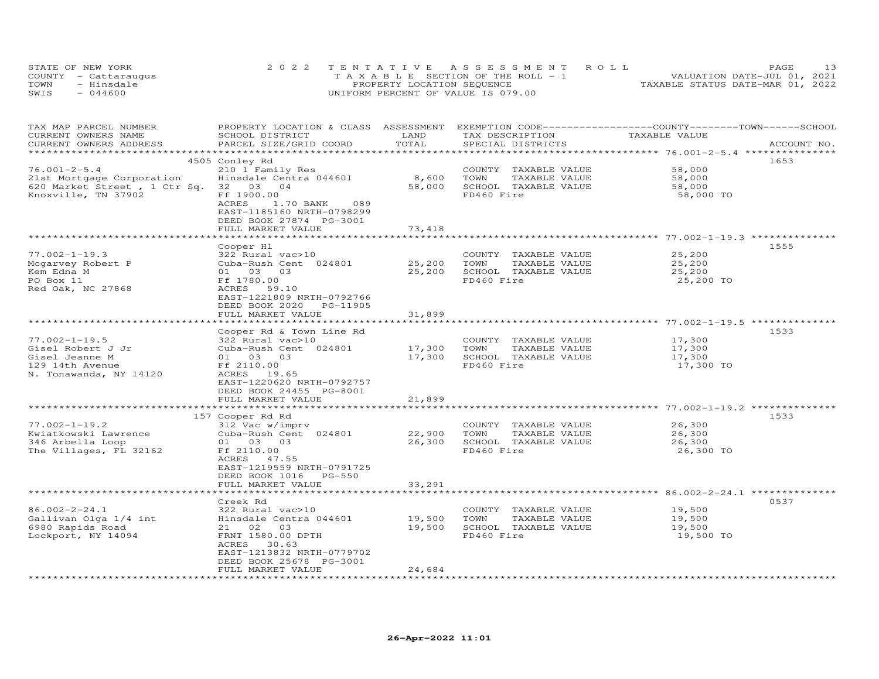| STATE OF NEW YORK |                      | 2022 TENTATIVE ASSESSMENT ROLL        | PAGE                             |
|-------------------|----------------------|---------------------------------------|----------------------------------|
|                   | COUNTY - Cattaraugus | T A X A B L E SECTION OF THE ROLL - 1 | VALUATION DATE-JUL 01, 2021      |
| TOWN              | - Hinsdale           | PROPERTY LOCATION SEQUENCE            | TAXABLE STATUS DATE-MAR 01, 2022 |
| SWIS              | $-044600$            | UNIFORM PERCENT OF VALUE IS 079.00    |                                  |

| 4505 Conley Rd<br>1653<br>58,000<br>210 1 Family Res<br>COUNTY TAXABLE VALUE<br>8,600<br>Hinsdale Centra 044601<br>TOWN<br>TAXABLE VALUE<br>58,000<br>620 Market Street, 1 Ctr Sq. 32 03 04<br>58,000<br>SCHOOL TAXABLE VALUE<br>58,000<br>Ff 1900.00<br>FD460 Fire<br>58,000 TO<br>1.70 BANK<br>ACRES<br>089<br>EAST-1185160 NRTH-0798299<br>DEED BOOK 27874 PG-3001<br>FULL MARKET VALUE<br>73,418<br>********************************<br>****************<br>Cooper Hl<br>1555<br>$77.002 - 1 - 19.3$<br>COUNTY TAXABLE VALUE<br>25,200<br>322 Rural vac>10<br>Cuba-Rush Cent 024801<br>25,200<br>TOWN<br>TAXABLE VALUE<br>25,200<br>Mcgarvey Robert P<br>25,200<br>Kem Edna M<br>01 03 03<br>SCHOOL TAXABLE VALUE<br>25,200<br>FD460 Fire<br>PO Box 11<br>Ff 1780.00<br>25,200 TO<br>Red Oak, NC 27868<br>ACRES<br>59.10<br>EAST-1221809 NRTH-0792766<br>DEED BOOK 2020<br>PG-11905<br>FULL MARKET VALUE<br>31,899<br>Cooper Rd & Town Line Rd<br>1533<br>17,300<br>322 Rural vac>10<br>COUNTY TAXABLE VALUE<br>TAXABLE VALUE<br>Cuba-Rush Cent 024801<br>17,300<br>TOWN<br>17,300<br>17,300<br>SCHOOL TAXABLE VALUE<br>17,300<br>01 03 03<br>Ff 2110.00<br>FD460 Fire<br>17,300 TO<br>ACRES 19.65<br>EAST-1220620 NRTH-0792757<br>DEED BOOK 24455 PG-8001<br>21,899<br>FULL MARKET VALUE<br>**************************<br>157 Cooper Rd Rd<br>1533<br>312 Vac w/imprv<br>COUNTY TAXABLE VALUE<br>26,300<br>Kwiatkowski Lawrence<br>Cuba-Rush Cent 024801<br>22,900<br>TOWN<br>TAXABLE VALUE<br>26,300<br>346 Arbella Loop<br>26,300<br>SCHOOL TAXABLE VALUE<br>26,300<br>01 03 03<br>The Villages, FL 32162<br>FD460 Fire<br>Ff 2110.00<br>26,300 TO<br>ACRES 47.55<br>EAST-1219559 NRTH-0791725<br>DEED BOOK 1016 PG-550<br>33,291<br>FULL MARKET VALUE<br>0537<br>Creek Rd<br>$86.002 - 2 - 24.1$<br>322 Rural vac>10<br>COUNTY TAXABLE VALUE<br>19,500<br>Gallivan Olga 1/4 int<br>Hinsdale Centra 044601<br>19,500<br>TOWN<br>TAXABLE VALUE<br>19,500<br>19,500<br>6980 Rapids Road<br>21 02 03<br>SCHOOL TAXABLE VALUE<br>19,500<br>Lockport, NY 14094<br>FRNT 1580.00 DPTH<br>FD460 Fire<br>19,500 TO<br>ACRES<br>30.63<br>EAST-1213832 NRTH-0779702<br>DEED BOOK 25678 PG-3001<br>FULL MARKET VALUE<br>24,684 | TAX MAP PARCEL NUMBER<br>CURRENT OWNERS NAME<br>CURRENT OWNERS ADDRESS | PROPERTY LOCATION & CLASS ASSESSMENT EXEMPTION CODE----------------COUNTY-------TOWN------SCHOOL<br>SCHOOL DISTRICT<br>PARCEL SIZE/GRID COORD | LAND<br>TOTAL | TAX DESCRIPTION<br>SPECIAL DISTRICTS | TAXABLE VALUE | ACCOUNT NO. |
|---------------------------------------------------------------------------------------------------------------------------------------------------------------------------------------------------------------------------------------------------------------------------------------------------------------------------------------------------------------------------------------------------------------------------------------------------------------------------------------------------------------------------------------------------------------------------------------------------------------------------------------------------------------------------------------------------------------------------------------------------------------------------------------------------------------------------------------------------------------------------------------------------------------------------------------------------------------------------------------------------------------------------------------------------------------------------------------------------------------------------------------------------------------------------------------------------------------------------------------------------------------------------------------------------------------------------------------------------------------------------------------------------------------------------------------------------------------------------------------------------------------------------------------------------------------------------------------------------------------------------------------------------------------------------------------------------------------------------------------------------------------------------------------------------------------------------------------------------------------------------------------------------------------------------------------------------------------------------------------------------------------------------------------------------------------------------------------------------------------------------------------------------------------------------------------------------------------------------|------------------------------------------------------------------------|-----------------------------------------------------------------------------------------------------------------------------------------------|---------------|--------------------------------------|---------------|-------------|
|                                                                                                                                                                                                                                                                                                                                                                                                                                                                                                                                                                                                                                                                                                                                                                                                                                                                                                                                                                                                                                                                                                                                                                                                                                                                                                                                                                                                                                                                                                                                                                                                                                                                                                                                                                                                                                                                                                                                                                                                                                                                                                                                                                                                                           |                                                                        |                                                                                                                                               |               |                                      |               |             |
|                                                                                                                                                                                                                                                                                                                                                                                                                                                                                                                                                                                                                                                                                                                                                                                                                                                                                                                                                                                                                                                                                                                                                                                                                                                                                                                                                                                                                                                                                                                                                                                                                                                                                                                                                                                                                                                                                                                                                                                                                                                                                                                                                                                                                           |                                                                        |                                                                                                                                               |               |                                      |               |             |
|                                                                                                                                                                                                                                                                                                                                                                                                                                                                                                                                                                                                                                                                                                                                                                                                                                                                                                                                                                                                                                                                                                                                                                                                                                                                                                                                                                                                                                                                                                                                                                                                                                                                                                                                                                                                                                                                                                                                                                                                                                                                                                                                                                                                                           | $76.001 - 2 - 5.4$                                                     |                                                                                                                                               |               |                                      |               |             |
|                                                                                                                                                                                                                                                                                                                                                                                                                                                                                                                                                                                                                                                                                                                                                                                                                                                                                                                                                                                                                                                                                                                                                                                                                                                                                                                                                                                                                                                                                                                                                                                                                                                                                                                                                                                                                                                                                                                                                                                                                                                                                                                                                                                                                           | 21st Mortgage Corporation                                              |                                                                                                                                               |               |                                      |               |             |
|                                                                                                                                                                                                                                                                                                                                                                                                                                                                                                                                                                                                                                                                                                                                                                                                                                                                                                                                                                                                                                                                                                                                                                                                                                                                                                                                                                                                                                                                                                                                                                                                                                                                                                                                                                                                                                                                                                                                                                                                                                                                                                                                                                                                                           |                                                                        |                                                                                                                                               |               |                                      |               |             |
|                                                                                                                                                                                                                                                                                                                                                                                                                                                                                                                                                                                                                                                                                                                                                                                                                                                                                                                                                                                                                                                                                                                                                                                                                                                                                                                                                                                                                                                                                                                                                                                                                                                                                                                                                                                                                                                                                                                                                                                                                                                                                                                                                                                                                           | Knoxville, TN 37902                                                    |                                                                                                                                               |               |                                      |               |             |
|                                                                                                                                                                                                                                                                                                                                                                                                                                                                                                                                                                                                                                                                                                                                                                                                                                                                                                                                                                                                                                                                                                                                                                                                                                                                                                                                                                                                                                                                                                                                                                                                                                                                                                                                                                                                                                                                                                                                                                                                                                                                                                                                                                                                                           |                                                                        |                                                                                                                                               |               |                                      |               |             |
|                                                                                                                                                                                                                                                                                                                                                                                                                                                                                                                                                                                                                                                                                                                                                                                                                                                                                                                                                                                                                                                                                                                                                                                                                                                                                                                                                                                                                                                                                                                                                                                                                                                                                                                                                                                                                                                                                                                                                                                                                                                                                                                                                                                                                           |                                                                        |                                                                                                                                               |               |                                      |               |             |
|                                                                                                                                                                                                                                                                                                                                                                                                                                                                                                                                                                                                                                                                                                                                                                                                                                                                                                                                                                                                                                                                                                                                                                                                                                                                                                                                                                                                                                                                                                                                                                                                                                                                                                                                                                                                                                                                                                                                                                                                                                                                                                                                                                                                                           |                                                                        |                                                                                                                                               |               |                                      |               |             |
|                                                                                                                                                                                                                                                                                                                                                                                                                                                                                                                                                                                                                                                                                                                                                                                                                                                                                                                                                                                                                                                                                                                                                                                                                                                                                                                                                                                                                                                                                                                                                                                                                                                                                                                                                                                                                                                                                                                                                                                                                                                                                                                                                                                                                           |                                                                        |                                                                                                                                               |               |                                      |               |             |
|                                                                                                                                                                                                                                                                                                                                                                                                                                                                                                                                                                                                                                                                                                                                                                                                                                                                                                                                                                                                                                                                                                                                                                                                                                                                                                                                                                                                                                                                                                                                                                                                                                                                                                                                                                                                                                                                                                                                                                                                                                                                                                                                                                                                                           |                                                                        |                                                                                                                                               |               |                                      |               |             |
|                                                                                                                                                                                                                                                                                                                                                                                                                                                                                                                                                                                                                                                                                                                                                                                                                                                                                                                                                                                                                                                                                                                                                                                                                                                                                                                                                                                                                                                                                                                                                                                                                                                                                                                                                                                                                                                                                                                                                                                                                                                                                                                                                                                                                           |                                                                        |                                                                                                                                               |               |                                      |               |             |
|                                                                                                                                                                                                                                                                                                                                                                                                                                                                                                                                                                                                                                                                                                                                                                                                                                                                                                                                                                                                                                                                                                                                                                                                                                                                                                                                                                                                                                                                                                                                                                                                                                                                                                                                                                                                                                                                                                                                                                                                                                                                                                                                                                                                                           |                                                                        |                                                                                                                                               |               |                                      |               |             |
|                                                                                                                                                                                                                                                                                                                                                                                                                                                                                                                                                                                                                                                                                                                                                                                                                                                                                                                                                                                                                                                                                                                                                                                                                                                                                                                                                                                                                                                                                                                                                                                                                                                                                                                                                                                                                                                                                                                                                                                                                                                                                                                                                                                                                           |                                                                        |                                                                                                                                               |               |                                      |               |             |
|                                                                                                                                                                                                                                                                                                                                                                                                                                                                                                                                                                                                                                                                                                                                                                                                                                                                                                                                                                                                                                                                                                                                                                                                                                                                                                                                                                                                                                                                                                                                                                                                                                                                                                                                                                                                                                                                                                                                                                                                                                                                                                                                                                                                                           |                                                                        |                                                                                                                                               |               |                                      |               |             |
|                                                                                                                                                                                                                                                                                                                                                                                                                                                                                                                                                                                                                                                                                                                                                                                                                                                                                                                                                                                                                                                                                                                                                                                                                                                                                                                                                                                                                                                                                                                                                                                                                                                                                                                                                                                                                                                                                                                                                                                                                                                                                                                                                                                                                           |                                                                        |                                                                                                                                               |               |                                      |               |             |
|                                                                                                                                                                                                                                                                                                                                                                                                                                                                                                                                                                                                                                                                                                                                                                                                                                                                                                                                                                                                                                                                                                                                                                                                                                                                                                                                                                                                                                                                                                                                                                                                                                                                                                                                                                                                                                                                                                                                                                                                                                                                                                                                                                                                                           |                                                                        |                                                                                                                                               |               |                                      |               |             |
|                                                                                                                                                                                                                                                                                                                                                                                                                                                                                                                                                                                                                                                                                                                                                                                                                                                                                                                                                                                                                                                                                                                                                                                                                                                                                                                                                                                                                                                                                                                                                                                                                                                                                                                                                                                                                                                                                                                                                                                                                                                                                                                                                                                                                           |                                                                        |                                                                                                                                               |               |                                      |               |             |
|                                                                                                                                                                                                                                                                                                                                                                                                                                                                                                                                                                                                                                                                                                                                                                                                                                                                                                                                                                                                                                                                                                                                                                                                                                                                                                                                                                                                                                                                                                                                                                                                                                                                                                                                                                                                                                                                                                                                                                                                                                                                                                                                                                                                                           |                                                                        |                                                                                                                                               |               |                                      |               |             |
|                                                                                                                                                                                                                                                                                                                                                                                                                                                                                                                                                                                                                                                                                                                                                                                                                                                                                                                                                                                                                                                                                                                                                                                                                                                                                                                                                                                                                                                                                                                                                                                                                                                                                                                                                                                                                                                                                                                                                                                                                                                                                                                                                                                                                           | $77.002 - 1 - 19.5$                                                    |                                                                                                                                               |               |                                      |               |             |
|                                                                                                                                                                                                                                                                                                                                                                                                                                                                                                                                                                                                                                                                                                                                                                                                                                                                                                                                                                                                                                                                                                                                                                                                                                                                                                                                                                                                                                                                                                                                                                                                                                                                                                                                                                                                                                                                                                                                                                                                                                                                                                                                                                                                                           | Gisel Robert J Jr                                                      |                                                                                                                                               |               |                                      |               |             |
|                                                                                                                                                                                                                                                                                                                                                                                                                                                                                                                                                                                                                                                                                                                                                                                                                                                                                                                                                                                                                                                                                                                                                                                                                                                                                                                                                                                                                                                                                                                                                                                                                                                                                                                                                                                                                                                                                                                                                                                                                                                                                                                                                                                                                           | Gisel Jeanne M                                                         |                                                                                                                                               |               |                                      |               |             |
|                                                                                                                                                                                                                                                                                                                                                                                                                                                                                                                                                                                                                                                                                                                                                                                                                                                                                                                                                                                                                                                                                                                                                                                                                                                                                                                                                                                                                                                                                                                                                                                                                                                                                                                                                                                                                                                                                                                                                                                                                                                                                                                                                                                                                           | 129 14th Avenue                                                        |                                                                                                                                               |               |                                      |               |             |
|                                                                                                                                                                                                                                                                                                                                                                                                                                                                                                                                                                                                                                                                                                                                                                                                                                                                                                                                                                                                                                                                                                                                                                                                                                                                                                                                                                                                                                                                                                                                                                                                                                                                                                                                                                                                                                                                                                                                                                                                                                                                                                                                                                                                                           | N. Tonawanda, NY 14120                                                 |                                                                                                                                               |               |                                      |               |             |
|                                                                                                                                                                                                                                                                                                                                                                                                                                                                                                                                                                                                                                                                                                                                                                                                                                                                                                                                                                                                                                                                                                                                                                                                                                                                                                                                                                                                                                                                                                                                                                                                                                                                                                                                                                                                                                                                                                                                                                                                                                                                                                                                                                                                                           |                                                                        |                                                                                                                                               |               |                                      |               |             |
|                                                                                                                                                                                                                                                                                                                                                                                                                                                                                                                                                                                                                                                                                                                                                                                                                                                                                                                                                                                                                                                                                                                                                                                                                                                                                                                                                                                                                                                                                                                                                                                                                                                                                                                                                                                                                                                                                                                                                                                                                                                                                                                                                                                                                           |                                                                        |                                                                                                                                               |               |                                      |               |             |
|                                                                                                                                                                                                                                                                                                                                                                                                                                                                                                                                                                                                                                                                                                                                                                                                                                                                                                                                                                                                                                                                                                                                                                                                                                                                                                                                                                                                                                                                                                                                                                                                                                                                                                                                                                                                                                                                                                                                                                                                                                                                                                                                                                                                                           |                                                                        |                                                                                                                                               |               |                                      |               |             |
|                                                                                                                                                                                                                                                                                                                                                                                                                                                                                                                                                                                                                                                                                                                                                                                                                                                                                                                                                                                                                                                                                                                                                                                                                                                                                                                                                                                                                                                                                                                                                                                                                                                                                                                                                                                                                                                                                                                                                                                                                                                                                                                                                                                                                           |                                                                        |                                                                                                                                               |               |                                      |               |             |
|                                                                                                                                                                                                                                                                                                                                                                                                                                                                                                                                                                                                                                                                                                                                                                                                                                                                                                                                                                                                                                                                                                                                                                                                                                                                                                                                                                                                                                                                                                                                                                                                                                                                                                                                                                                                                                                                                                                                                                                                                                                                                                                                                                                                                           |                                                                        |                                                                                                                                               |               |                                      |               |             |
|                                                                                                                                                                                                                                                                                                                                                                                                                                                                                                                                                                                                                                                                                                                                                                                                                                                                                                                                                                                                                                                                                                                                                                                                                                                                                                                                                                                                                                                                                                                                                                                                                                                                                                                                                                                                                                                                                                                                                                                                                                                                                                                                                                                                                           | $77.002 - 1 - 19.2$                                                    |                                                                                                                                               |               |                                      |               |             |
|                                                                                                                                                                                                                                                                                                                                                                                                                                                                                                                                                                                                                                                                                                                                                                                                                                                                                                                                                                                                                                                                                                                                                                                                                                                                                                                                                                                                                                                                                                                                                                                                                                                                                                                                                                                                                                                                                                                                                                                                                                                                                                                                                                                                                           |                                                                        |                                                                                                                                               |               |                                      |               |             |
|                                                                                                                                                                                                                                                                                                                                                                                                                                                                                                                                                                                                                                                                                                                                                                                                                                                                                                                                                                                                                                                                                                                                                                                                                                                                                                                                                                                                                                                                                                                                                                                                                                                                                                                                                                                                                                                                                                                                                                                                                                                                                                                                                                                                                           |                                                                        |                                                                                                                                               |               |                                      |               |             |
|                                                                                                                                                                                                                                                                                                                                                                                                                                                                                                                                                                                                                                                                                                                                                                                                                                                                                                                                                                                                                                                                                                                                                                                                                                                                                                                                                                                                                                                                                                                                                                                                                                                                                                                                                                                                                                                                                                                                                                                                                                                                                                                                                                                                                           |                                                                        |                                                                                                                                               |               |                                      |               |             |
|                                                                                                                                                                                                                                                                                                                                                                                                                                                                                                                                                                                                                                                                                                                                                                                                                                                                                                                                                                                                                                                                                                                                                                                                                                                                                                                                                                                                                                                                                                                                                                                                                                                                                                                                                                                                                                                                                                                                                                                                                                                                                                                                                                                                                           |                                                                        |                                                                                                                                               |               |                                      |               |             |
|                                                                                                                                                                                                                                                                                                                                                                                                                                                                                                                                                                                                                                                                                                                                                                                                                                                                                                                                                                                                                                                                                                                                                                                                                                                                                                                                                                                                                                                                                                                                                                                                                                                                                                                                                                                                                                                                                                                                                                                                                                                                                                                                                                                                                           |                                                                        |                                                                                                                                               |               |                                      |               |             |
|                                                                                                                                                                                                                                                                                                                                                                                                                                                                                                                                                                                                                                                                                                                                                                                                                                                                                                                                                                                                                                                                                                                                                                                                                                                                                                                                                                                                                                                                                                                                                                                                                                                                                                                                                                                                                                                                                                                                                                                                                                                                                                                                                                                                                           |                                                                        |                                                                                                                                               |               |                                      |               |             |
|                                                                                                                                                                                                                                                                                                                                                                                                                                                                                                                                                                                                                                                                                                                                                                                                                                                                                                                                                                                                                                                                                                                                                                                                                                                                                                                                                                                                                                                                                                                                                                                                                                                                                                                                                                                                                                                                                                                                                                                                                                                                                                                                                                                                                           |                                                                        |                                                                                                                                               |               |                                      |               |             |
|                                                                                                                                                                                                                                                                                                                                                                                                                                                                                                                                                                                                                                                                                                                                                                                                                                                                                                                                                                                                                                                                                                                                                                                                                                                                                                                                                                                                                                                                                                                                                                                                                                                                                                                                                                                                                                                                                                                                                                                                                                                                                                                                                                                                                           |                                                                        |                                                                                                                                               |               |                                      |               |             |
|                                                                                                                                                                                                                                                                                                                                                                                                                                                                                                                                                                                                                                                                                                                                                                                                                                                                                                                                                                                                                                                                                                                                                                                                                                                                                                                                                                                                                                                                                                                                                                                                                                                                                                                                                                                                                                                                                                                                                                                                                                                                                                                                                                                                                           |                                                                        |                                                                                                                                               |               |                                      |               |             |
|                                                                                                                                                                                                                                                                                                                                                                                                                                                                                                                                                                                                                                                                                                                                                                                                                                                                                                                                                                                                                                                                                                                                                                                                                                                                                                                                                                                                                                                                                                                                                                                                                                                                                                                                                                                                                                                                                                                                                                                                                                                                                                                                                                                                                           |                                                                        |                                                                                                                                               |               |                                      |               |             |
|                                                                                                                                                                                                                                                                                                                                                                                                                                                                                                                                                                                                                                                                                                                                                                                                                                                                                                                                                                                                                                                                                                                                                                                                                                                                                                                                                                                                                                                                                                                                                                                                                                                                                                                                                                                                                                                                                                                                                                                                                                                                                                                                                                                                                           |                                                                        |                                                                                                                                               |               |                                      |               |             |
|                                                                                                                                                                                                                                                                                                                                                                                                                                                                                                                                                                                                                                                                                                                                                                                                                                                                                                                                                                                                                                                                                                                                                                                                                                                                                                                                                                                                                                                                                                                                                                                                                                                                                                                                                                                                                                                                                                                                                                                                                                                                                                                                                                                                                           |                                                                        |                                                                                                                                               |               |                                      |               |             |
|                                                                                                                                                                                                                                                                                                                                                                                                                                                                                                                                                                                                                                                                                                                                                                                                                                                                                                                                                                                                                                                                                                                                                                                                                                                                                                                                                                                                                                                                                                                                                                                                                                                                                                                                                                                                                                                                                                                                                                                                                                                                                                                                                                                                                           |                                                                        |                                                                                                                                               |               |                                      |               |             |
|                                                                                                                                                                                                                                                                                                                                                                                                                                                                                                                                                                                                                                                                                                                                                                                                                                                                                                                                                                                                                                                                                                                                                                                                                                                                                                                                                                                                                                                                                                                                                                                                                                                                                                                                                                                                                                                                                                                                                                                                                                                                                                                                                                                                                           |                                                                        |                                                                                                                                               |               |                                      |               |             |
|                                                                                                                                                                                                                                                                                                                                                                                                                                                                                                                                                                                                                                                                                                                                                                                                                                                                                                                                                                                                                                                                                                                                                                                                                                                                                                                                                                                                                                                                                                                                                                                                                                                                                                                                                                                                                                                                                                                                                                                                                                                                                                                                                                                                                           |                                                                        |                                                                                                                                               |               |                                      |               |             |
|                                                                                                                                                                                                                                                                                                                                                                                                                                                                                                                                                                                                                                                                                                                                                                                                                                                                                                                                                                                                                                                                                                                                                                                                                                                                                                                                                                                                                                                                                                                                                                                                                                                                                                                                                                                                                                                                                                                                                                                                                                                                                                                                                                                                                           |                                                                        |                                                                                                                                               |               |                                      |               |             |
|                                                                                                                                                                                                                                                                                                                                                                                                                                                                                                                                                                                                                                                                                                                                                                                                                                                                                                                                                                                                                                                                                                                                                                                                                                                                                                                                                                                                                                                                                                                                                                                                                                                                                                                                                                                                                                                                                                                                                                                                                                                                                                                                                                                                                           |                                                                        |                                                                                                                                               |               |                                      |               |             |
|                                                                                                                                                                                                                                                                                                                                                                                                                                                                                                                                                                                                                                                                                                                                                                                                                                                                                                                                                                                                                                                                                                                                                                                                                                                                                                                                                                                                                                                                                                                                                                                                                                                                                                                                                                                                                                                                                                                                                                                                                                                                                                                                                                                                                           |                                                                        |                                                                                                                                               |               |                                      |               |             |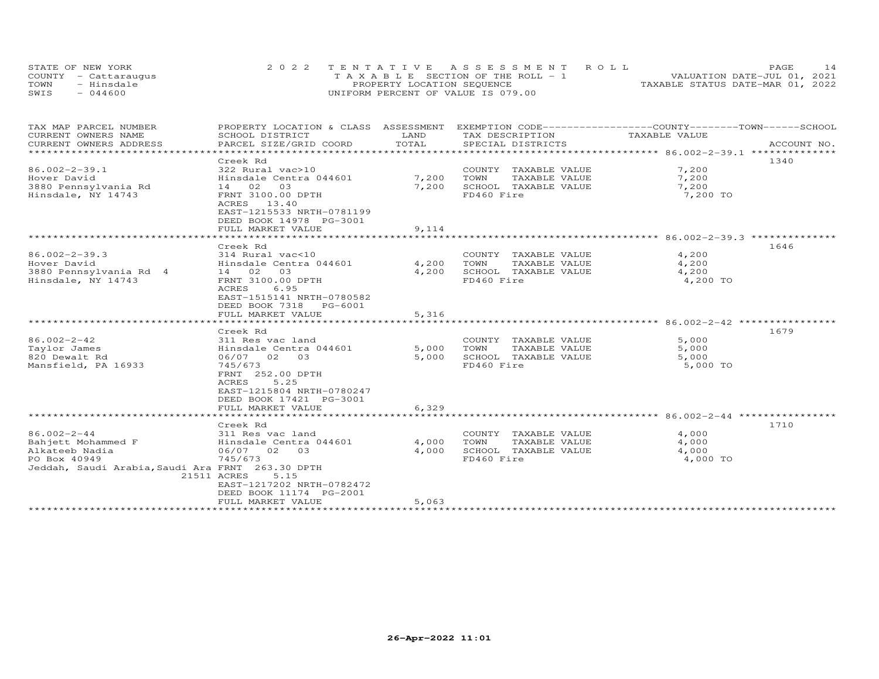| STATE OF NEW YORK    | 2022 TENTATIVE ASSESSMENT ROLL        | 14<br><b>PAGE</b>                |
|----------------------|---------------------------------------|----------------------------------|
| COUNTY - Cattaraugus | T A X A B L E SECTION OF THE ROLL - 1 | VALUATION DATE-JUL 01, 2021      |
| TOWN<br>- Hinsdale   | PROPERTY LOCATION SEQUENCE            | TAXABLE STATUS DATE-MAR 01, 2022 |
| $-044600$<br>SWIS    | UNIFORM PERCENT OF VALUE IS 079.00    |                                  |

| TAX MAP PARCEL NUMBER<br>PROPERTY LOCATION & CLASS ASSESSMENT<br>CURRENT OWNERS NAME<br>SCHOOL DISTRICT<br>LAND | EXEMPTION CODE-----------------COUNTY-------TOWN------SCHOOL<br>TAX DESCRIPTION<br>TAXABLE VALUE |
|-----------------------------------------------------------------------------------------------------------------|--------------------------------------------------------------------------------------------------|
| TOTAL<br>CURRENT OWNERS ADDRESS<br>PARCEL SIZE/GRID COORD                                                       | SPECIAL DISTRICTS<br>ACCOUNT NO.                                                                 |
|                                                                                                                 |                                                                                                  |
| Creek Rd                                                                                                        | 1340                                                                                             |
| $86.002 - 2 - 39.1$<br>322 Rural vac>10                                                                         | 7,200<br>COUNTY TAXABLE VALUE                                                                    |
| Hover David<br>Hinsdale Centra 044601                                                                           | 7,200<br>7,200<br>TOWN<br>TAXABLE VALUE                                                          |
| 3880 Pennsylvania Rd<br>14 02 03                                                                                | 7,200<br>SCHOOL TAXABLE VALUE<br>7,200                                                           |
| Hinsdale, NY 14743<br>FRNT 3100.00 DPTH                                                                         | FD460 Fire<br>7,200 TO                                                                           |
| ACRES 13.40                                                                                                     |                                                                                                  |
| EAST-1215533 NRTH-0781199                                                                                       |                                                                                                  |
| DEED BOOK 14978 PG-3001                                                                                         |                                                                                                  |
| FULL MARKET VALUE                                                                                               | 9,114                                                                                            |
|                                                                                                                 |                                                                                                  |
| Creek Rd                                                                                                        | 1646                                                                                             |
| $86.002 - 2 - 39.3$<br>314 Rural vac<10                                                                         | 4,200<br>COUNTY TAXABLE VALUE                                                                    |
| Hover David<br>Hinsdale Centra 044601                                                                           | 4,200<br>TAXABLE VALUE<br>4,200<br>TOWN                                                          |
| 3880 Pennsylvania Rd 4<br>14 02 03                                                                              | 4,200<br>SCHOOL TAXABLE VALUE<br>4,200                                                           |
| FRNT 3100.00 DPTH<br>Hinsdale, NY 14743                                                                         | FD460 Fire<br>4,200 TO                                                                           |
| ACRES<br>6.95                                                                                                   |                                                                                                  |
| EAST-1515141 NRTH-0780582                                                                                       |                                                                                                  |
| DEED BOOK 7318 PG-6001                                                                                          |                                                                                                  |
| FULL MARKET VALUE                                                                                               | 5,316                                                                                            |
|                                                                                                                 |                                                                                                  |
| Creek Rd                                                                                                        | 1679                                                                                             |
| $86.002 - 2 - 42$<br>311 Res vac land                                                                           | 5,000<br>COUNTY TAXABLE VALUE                                                                    |
| Taylor James<br>Hinsdale Centra 044601                                                                          | 5,000<br>TOWN<br>5,000<br>TAXABLE VALUE                                                          |
| 820 Dewalt Rd<br>06/07 02 03                                                                                    | SCHOOL TAXABLE VALUE<br>5,000<br>5,000                                                           |
| Mansfield, PA 16933<br>745/673                                                                                  | FD460 Fire<br>5,000 TO                                                                           |
| FRNT 252.00 DPTH                                                                                                |                                                                                                  |
| 5.25<br>ACRES                                                                                                   |                                                                                                  |
| EAST-1215804 NRTH-0780247                                                                                       |                                                                                                  |
| DEED BOOK 17421 PG-3001                                                                                         |                                                                                                  |
| FULL MARKET VALUE                                                                                               | 6,329                                                                                            |
|                                                                                                                 |                                                                                                  |
| Creek Rd                                                                                                        | 1710                                                                                             |
| $86.002 - 2 - 44$<br>311 Res vac land                                                                           | 4,000<br>COUNTY TAXABLE VALUE                                                                    |
| Bahjett Mohammed F<br>Hinsdale Centra 044601                                                                    | 4,000<br>TOWN<br>TAXABLE VALUE<br>4,000                                                          |
| 06/07 02 03<br>Alkateeb Nadia                                                                                   | 4,000<br>SCHOOL TAXABLE VALUE<br>4,000                                                           |
| 745/673<br>PO Box 40949                                                                                         | FD460 Fire<br>4,000 TO                                                                           |
| Jeddah, Saudi Arabia, Saudi Ara FRNT 263.30 DPTH                                                                |                                                                                                  |
| 21511 ACRES<br>5.15                                                                                             |                                                                                                  |
| EAST-1217202 NRTH-0782472                                                                                       |                                                                                                  |
| DEED BOOK 11174 PG-2001                                                                                         |                                                                                                  |
| FULL MARKET VALUE                                                                                               | 5,063                                                                                            |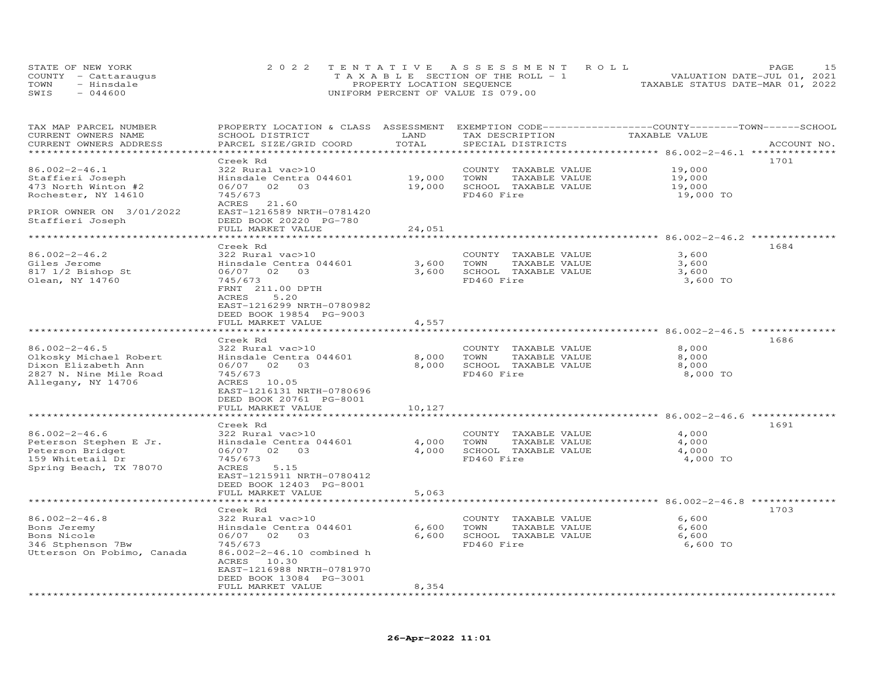|      | STATE OF NEW YORK    | 2022 TENTATIVE ASSESSMENT ROLL        | <b>PAGE</b>                      |
|------|----------------------|---------------------------------------|----------------------------------|
|      | COUNTY - Cattaraugus | T A X A B L E SECTION OF THE ROLL - 1 | VALUATION DATE-JUL 01, 2021      |
| TOWN | - Hinsdale           | PROPERTY LOCATION SEQUENCE            | TAXABLE STATUS DATE-MAR 01, 2022 |
| SWIS | $-044600$            | UNIFORM PERCENT OF VALUE IS 079.00    |                                  |

| TAX MAP PARCEL NUMBER<br>CURRENT OWNERS NAME<br>CURRENT OWNERS ADDRESS                                               | PROPERTY LOCATION & CLASS ASSESSMENT<br>SCHOOL DISTRICT<br>PARCEL SIZE/GRID COORD                                                                                                                               | LAND<br>TOTAL                | EXEMPTION CODE-----------------COUNTY-------TOWN------SCHOOL<br>TAX DESCRIPTION<br>SPECIAL DISTRICTS | TAXABLE VALUE                           | ACCOUNT NO. |
|----------------------------------------------------------------------------------------------------------------------|-----------------------------------------------------------------------------------------------------------------------------------------------------------------------------------------------------------------|------------------------------|------------------------------------------------------------------------------------------------------|-----------------------------------------|-------------|
|                                                                                                                      |                                                                                                                                                                                                                 |                              |                                                                                                      |                                         |             |
| $86.002 - 2 - 46.1$<br>Staffieri Joseph<br>473 North Winton #2<br>Rochester, NY 14610                                | Creek Rd<br>322 Rural vac>10<br>Hinsdale Centra 044601<br>06/07 02 03<br>745/673<br>ACRES 21.60                                                                                                                 | 19,000<br>19,000             | COUNTY TAXABLE VALUE<br>TOWN<br>TAXABLE VALUE<br>SCHOOL TAXABLE VALUE<br>FD460 Fire                  | 19,000<br>19,000<br>19,000<br>19,000 TO | 1701        |
| PRIOR OWNER ON 3/01/2022<br>Staffieri Joseph<br>*****************************                                        | EAST-1216589 NRTH-0781420<br>DEED BOOK 20220 PG-780<br>FULL MARKET VALUE                                                                                                                                        | 24,051                       |                                                                                                      |                                         |             |
|                                                                                                                      | ********************                                                                                                                                                                                            |                              |                                                                                                      |                                         |             |
| $86.002 - 2 - 46.2$<br>Giles Jerome<br>817 1/2 Bishop St<br>Olean, NY 14760                                          | Creek Rd<br>322 Rural vac>10<br>Hinsdale Centra 044601<br>06/07 02 03<br>745/673<br>FRNT 211.00 DPTH<br>5.20<br>ACRES<br>EAST-1216299 NRTH-0780982<br>DEED BOOK 19854 PG-9003                                   | 3,600<br>3,600               | COUNTY TAXABLE VALUE<br>TOWN<br>TAXABLE VALUE<br>SCHOOL TAXABLE VALUE<br>FD460 Fire                  | 3,600<br>3,600<br>3,600<br>3,600 TO     | 1684        |
|                                                                                                                      | FULL MARKET VALUE                                                                                                                                                                                               | 4,557                        |                                                                                                      |                                         |             |
|                                                                                                                      | ********************                                                                                                                                                                                            |                              |                                                                                                      |                                         |             |
| $86.002 - 2 - 46.5$<br>Olkosky Michael Robert<br>Dixon Elizabeth Ann<br>2827 N. Nine Mile Road<br>Allegany, NY 14706 | Creek Rd<br>322 Rural vac>10<br>Hinsdale Centra 044601<br>06/07 02 03<br>745/673<br>ACRES 10.05<br>EAST-1216131 NRTH-0780696<br>DEED BOOK 20761 PG-8001<br>FULL MARKET VALUE                                    | 8,000<br>8,000<br>10,127     | COUNTY TAXABLE VALUE<br>TOWN<br>TAXABLE VALUE<br>SCHOOL TAXABLE VALUE<br>FD460 Fire                  | 8,000<br>8,000<br>8,000<br>8,000 TO     | 1686        |
|                                                                                                                      | ********************                                                                                                                                                                                            | ********************         |                                                                                                      |                                         |             |
| $86.002 - 2 - 46.6$<br>Peterson Stephen E Jr.<br>Peterson Bridget<br>159 Whitetail Dr<br>Spring Beach, TX 78070      | Creek Rd<br>322 Rural vac>10<br>Hinsdale Centra 044601<br>06/07 02 03<br>745/673<br>ACRES<br>5.15<br>EAST-1215911 NRTH-0780412<br>DEED BOOK 12403 PG-8001                                                       | 4,000                        | COUNTY TAXABLE VALUE<br>TOWN<br>TAXABLE VALUE<br>4,000 SCHOOL TAXABLE VALUE<br>FD460 Fire            | 4,000<br>4,000<br>4,000<br>4,000 TO     | 1691        |
|                                                                                                                      | FULL MARKET VALUE                                                                                                                                                                                               | 5,063                        |                                                                                                      |                                         |             |
| $86.002 - 2 - 46.8$<br>Bons Jeremy<br>Bons Nicole<br>346 Stphenson 7Bw<br>Utterson On Pobimo, Canada                 | ********************<br>Creek Rd<br>322 Rural vac>10<br>Hinsdale Centra 044601<br>06/07 02 03<br>745/673<br>86.002-2-46.10 combined h<br>ACRES<br>10.30<br>EAST-1216988 NRTH-0781970<br>DEED BOOK 13084 PG-3001 | 6,600<br>6,600               | COUNTY TAXABLE VALUE<br>TOWN<br>TAXABLE VALUE<br>SCHOOL TAXABLE VALUE<br>FD460 Fire                  | 6,600<br>6,600<br>6,600<br>6,600 TO     | 1703        |
|                                                                                                                      | FULL MARKET VALUE                                                                                                                                                                                               | 8,354<br>******************* |                                                                                                      |                                         |             |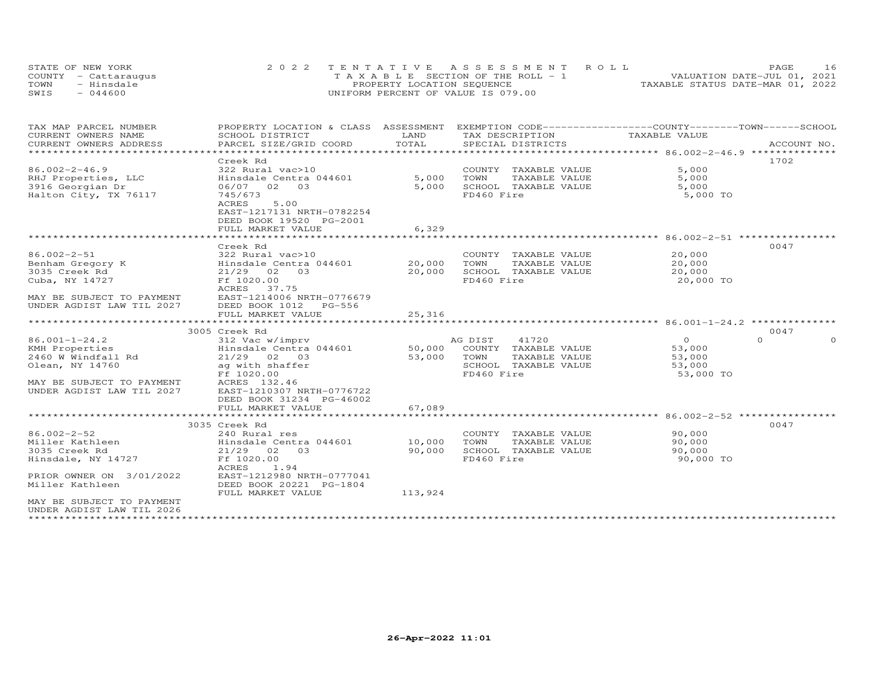| STATE OF NEW YORK    | 2022 TENTATIVE ASSESSMENT ROLL        | 16<br><b>PAGE</b>                |
|----------------------|---------------------------------------|----------------------------------|
| COUNTY - Cattaraugus | T A X A B L E SECTION OF THE ROLL - 1 | VALUATION DATE-JUL 01, 2021      |
| TOWN<br>- Hinsdale   | PROPERTY LOCATION SEQUENCE            | TAXABLE STATUS DATE-MAR 01, 2022 |
| $-044600$<br>SWIS    | UNIFORM PERCENT OF VALUE IS 079.00    |                                  |

| TAX MAP PARCEL NUMBER<br>CURRENT OWNERS NAME | PROPERTY LOCATION & CLASS ASSESSMENT EXEMPTION CODE----------------COUNTY-------TOWN------SCHOOL<br>SCHOOL DISTRICT | LAND                   | TAX DESCRIPTION       | TAXABLE VALUE                        |                      |
|----------------------------------------------|---------------------------------------------------------------------------------------------------------------------|------------------------|-----------------------|--------------------------------------|----------------------|
| CURRENT OWNERS ADDRESS                       | PARCEL SIZE/GRID COORD                                                                                              | TOTAL                  | SPECIAL DISTRICTS     |                                      | ACCOUNT NO.          |
| *************************                    |                                                                                                                     |                        |                       |                                      |                      |
|                                              | Creek Rd                                                                                                            |                        |                       |                                      | 1702                 |
| $86.002 - 2 - 46.9$                          | 322 Rural vac>10                                                                                                    |                        | COUNTY TAXABLE VALUE  | 5,000                                |                      |
| RHJ Properties, LLC                          | Hinsdale Centra 044601                                                                                              | 5,000                  | TOWN<br>TAXABLE VALUE | 5,000                                |                      |
| 3916 Georgian Dr                             | 06/07 02 03                                                                                                         | 5,000                  | SCHOOL TAXABLE VALUE  | 5,000                                |                      |
| Halton City, TX 76117                        | 745/673                                                                                                             |                        | FD460 Fire            | 5,000 TO                             |                      |
|                                              | 5.00<br><b>ACRES</b>                                                                                                |                        |                       |                                      |                      |
|                                              | EAST-1217131 NRTH-0782254                                                                                           |                        |                       |                                      |                      |
|                                              | DEED BOOK 19520 PG-2001<br>FULL MARKET VALUE                                                                        |                        |                       |                                      |                      |
|                                              |                                                                                                                     | 6,329<br>************* |                       | ****************** 86.002-2-51 ***** |                      |
|                                              | Creek Rd                                                                                                            |                        |                       |                                      | 0047                 |
| 86.002-2-51                                  | 322 Rural vac>10                                                                                                    |                        | COUNTY TAXABLE VALUE  | 20,000                               |                      |
| Benham Gregory K                             | Hinsdale Centra 044601                                                                                              | 20,000                 | TAXABLE VALUE<br>TOWN | 20,000                               |                      |
| 3035 Creek Rd                                | 21/29 02 03                                                                                                         | 20,000                 | SCHOOL TAXABLE VALUE  | 20,000                               |                      |
| Cuba, NY 14727                               | Ff 1020.00                                                                                                          |                        | FD460 Fire            | 20,000 TO                            |                      |
|                                              | ACRES<br>37.75                                                                                                      |                        |                       |                                      |                      |
| MAY BE SUBJECT TO PAYMENT                    | EAST-1214006 NRTH-0776679                                                                                           |                        |                       |                                      |                      |
| UNDER AGDIST LAW TIL 2027                    | DEED BOOK 1012<br>PG-556                                                                                            |                        |                       |                                      |                      |
|                                              | FULL MARKET VALUE                                                                                                   | 25,316                 |                       |                                      |                      |
|                                              | *****************************                                                                                       |                        |                       |                                      |                      |
|                                              | 3005 Creek Rd                                                                                                       |                        |                       |                                      | 0047                 |
| $86.001 - 1 - 24.2$                          | 312 Vac w/imprv                                                                                                     |                        | 41720<br>AG DIST      | $\overline{O}$                       | $\Omega$<br>$\Omega$ |
| KMH Properties                               | Hinsdale Centra 044601                                                                                              | 50,000                 | COUNTY TAXABLE VALUE  | 53,000                               |                      |
| 2460 W Windfall Rd                           | 21/29 02 03                                                                                                         | 53,000                 | TOWN<br>TAXABLE VALUE | 53,000                               |                      |
| Olean, NY 14760                              | ag with shaffer                                                                                                     |                        | SCHOOL TAXABLE VALUE  | 53,000                               |                      |
|                                              | Ff 1020.00                                                                                                          |                        | FD460 Fire            | 53,000 TO                            |                      |
| MAY BE SUBJECT TO PAYMENT                    | ACRES 132.46<br>EAST-1210307 NRTH-0776722                                                                           |                        |                       |                                      |                      |
| UNDER AGDIST LAW TIL 2027                    | DEED BOOK 31234 PG-46002                                                                                            |                        |                       |                                      |                      |
|                                              | FULL MARKET VALUE                                                                                                   | 67,089                 |                       |                                      |                      |
|                                              |                                                                                                                     |                        |                       |                                      |                      |
|                                              | 3035 Creek Rd                                                                                                       |                        |                       |                                      | 0047                 |
| $86.002 - 2 - 52$                            | 240 Rural res                                                                                                       |                        | COUNTY TAXABLE VALUE  | 90,000                               |                      |
| Miller Kathleen                              | Hinsdale Centra 044601                                                                                              | 10,000                 | TOWN<br>TAXABLE VALUE | 90,000                               |                      |
| 3035 Creek Rd                                | $21/29$ 02 03                                                                                                       | 90,000                 | SCHOOL TAXABLE VALUE  | 90,000                               |                      |
| Hinsdale, NY 14727                           | Ff 1020.00                                                                                                          |                        | FD460 Fire            | 90,000 TO                            |                      |
|                                              | ACRES<br>1.94                                                                                                       |                        |                       |                                      |                      |
| PRIOR OWNER ON 3/01/2022                     | EAST-1212980 NRTH-0777041                                                                                           |                        |                       |                                      |                      |
| Miller Kathleen                              | DEED BOOK 20221 PG-1804                                                                                             |                        |                       |                                      |                      |
|                                              | FULL MARKET VALUE                                                                                                   | 113,924                |                       |                                      |                      |
| MAY BE SUBJECT TO PAYMENT                    |                                                                                                                     |                        |                       |                                      |                      |
| UNDER AGDIST LAW TIL 2026                    |                                                                                                                     |                        |                       |                                      |                      |
|                                              |                                                                                                                     |                        |                       |                                      |                      |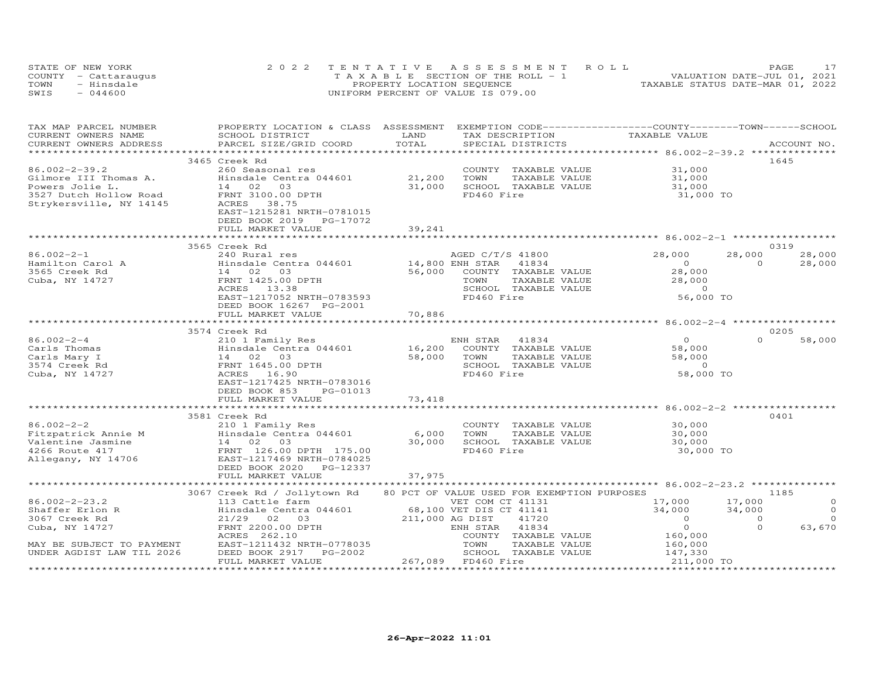| STATE OF NEW YORK    | 2022 TENTATIVE ASSESSMENT ROLL        | PAGE                             |
|----------------------|---------------------------------------|----------------------------------|
| COUNTY - Cattaraugus | T A X A B L E SECTION OF THE ROLL - 1 | VALUATION DATE-JUL 01, 2021      |
| TOWN<br>- Hinsdale   | PROPERTY LOCATION SEQUENCE            | TAXABLE STATUS DATE-MAR 01, 2022 |
| SWIS<br>$-044600$    | UNIFORM PERCENT OF VALUE IS 079.00    |                                  |

| TAX MAP PARCEL NUMBER<br>CURRENT OWNERS NAME<br>CURRENT OWNERS ADDRESS | PROPERTY LOCATION & CLASS ASSESSMENT<br>SCHOOL DISTRICT<br>PARCEL SIZE/GRID COORD | LAND<br>TOTAL           | TAX DESCRIPTION<br>SPECIAL DISTRICTS          | EXEMPTION CODE-----------------COUNTY-------TOWN------SCHOOL<br>TAXABLE VALUE | ACCOUNT NO.                |
|------------------------------------------------------------------------|-----------------------------------------------------------------------------------|-------------------------|-----------------------------------------------|-------------------------------------------------------------------------------|----------------------------|
|                                                                        |                                                                                   | *********************** |                                               | ******************** 86.002-2-39.2 **************                             |                            |
|                                                                        | 3465 Creek Rd                                                                     |                         |                                               |                                                                               | 1645                       |
| $86.002 - 2 - 39.2$                                                    | 260 Seasonal res                                                                  |                         | COUNTY TAXABLE VALUE                          | 31,000                                                                        |                            |
| Gilmore III Thomas A.                                                  | Hinsdale Centra 044601                                                            | 21,200                  | TAXABLE VALUE<br>TOWN                         | 31,000                                                                        |                            |
| Powers Jolie L.                                                        | 14 02<br>03                                                                       | 31,000                  | SCHOOL TAXABLE VALUE                          | 31,000                                                                        |                            |
| 3527 Dutch Hollow Road                                                 | FRNT 3100.00 DPTH                                                                 |                         | FD460 Fire                                    | 31,000 TO                                                                     |                            |
| Strykersville, NY 14145                                                | ACRES<br>38.75                                                                    |                         |                                               |                                                                               |                            |
|                                                                        | EAST-1215281 NRTH-0781015                                                         |                         |                                               |                                                                               |                            |
|                                                                        | DEED BOOK 2019 PG-17072                                                           |                         |                                               |                                                                               |                            |
|                                                                        | FULL MARKET VALUE                                                                 | 39,241                  |                                               |                                                                               |                            |
|                                                                        |                                                                                   | ***********             |                                               |                                                                               |                            |
|                                                                        | 3565 Creek Rd                                                                     |                         |                                               |                                                                               | 0319                       |
| $86.002 - 2 - 1$                                                       | 240 Rural res                                                                     |                         | AGED C/T/S 41800                              | 28,000                                                                        | 28,000<br>28,000           |
| Hamilton Carol A                                                       | Hinsdale Centra 044601                                                            | 14,800 ENH STAR         | 41834                                         | $\Omega$                                                                      | $\Omega$<br>28,000         |
| 3565 Creek Rd                                                          | 14 02 03                                                                          | 56,000                  | COUNTY TAXABLE VALUE                          | 28,000                                                                        |                            |
| Cuba, NY 14727                                                         | FRNT 1425.00 DPTH                                                                 |                         | TOWN<br>TAXABLE VALUE                         | 28,000                                                                        |                            |
|                                                                        | ACRES 13.38                                                                       |                         | SCHOOL TAXABLE VALUE                          | $\Omega$                                                                      |                            |
|                                                                        | EAST-1217052 NRTH-0783593                                                         |                         | FD460 Fire                                    | 56,000 TO                                                                     |                            |
|                                                                        | DEED BOOK 16267 PG-2001                                                           |                         |                                               |                                                                               |                            |
|                                                                        | FULL MARKET VALUE                                                                 | 70,886                  |                                               |                                                                               |                            |
|                                                                        | *****************************                                                     |                         |                                               |                                                                               |                            |
|                                                                        | 3574 Creek Rd                                                                     |                         |                                               |                                                                               | 0205                       |
| $86.002 - 2 - 4$                                                       | 210 1 Family Res                                                                  |                         | ENH STAR<br>41834                             | $\overline{0}$                                                                | $\Omega$<br>58,000         |
| Carls Thomas                                                           | Hinsdale Centra 044601                                                            | 16,200                  | COUNTY TAXABLE VALUE                          | 58,000                                                                        |                            |
| Carls Mary I                                                           | 14 02 03                                                                          | 58,000                  | TOWN<br>TAXABLE VALUE                         | 58,000                                                                        |                            |
| 3574 Creek Rd                                                          | FRNT 1645.00 DPTH                                                                 |                         | SCHOOL TAXABLE VALUE                          | $\overline{0}$                                                                |                            |
| Cuba, NY 14727                                                         | ACRES 16.90                                                                       |                         | FD460 Fire                                    | 58,000 TO                                                                     |                            |
|                                                                        | EAST-1217425 NRTH-0783016                                                         |                         |                                               |                                                                               |                            |
|                                                                        | DEED BOOK 853<br>PG-01013                                                         |                         |                                               |                                                                               |                            |
|                                                                        | FULL MARKET VALUE<br>*******************************                              | 73,418                  |                                               |                                                                               |                            |
|                                                                        |                                                                                   |                         |                                               | ****************** 86.002-2-2 ***                                             |                            |
| $86.002 - 2 - 2$                                                       | 3581 Creek Rd                                                                     |                         | COUNTY TAXABLE VALUE                          | 30,000                                                                        | 0401                       |
|                                                                        | 210 1 Family Res                                                                  |                         |                                               |                                                                               |                            |
| Fitzpatrick Annie M<br>Valentine Jasnine                               | Hinsdale Centra 044601<br>14 02 03                                                | 6,000<br>30,000         | TOWN<br>TAXABLE VALUE<br>SCHOOL TAXABLE VALUE | 30,000<br>30,000                                                              |                            |
| 4266 Route 417                                                         | FRNT 126.00 DPTH 175.00                                                           |                         | FD460 Fire                                    | 30,000 TO                                                                     |                            |
| Allegany, NY 14706                                                     | EAST-1217469 NRTH-0784025                                                         |                         |                                               |                                                                               |                            |
|                                                                        | DEED BOOK 2020 PG-12337                                                           |                         |                                               |                                                                               |                            |
|                                                                        | FULL MARKET VALUE                                                                 | 37,975                  |                                               |                                                                               |                            |
|                                                                        |                                                                                   |                         |                                               |                                                                               |                            |
|                                                                        | 3067 Creek Rd / Jollytown Rd                                                      |                         | 80 PCT OF VALUE USED FOR EXEMPTION PURPOSES   |                                                                               | 1185                       |
| $86.002 - 2 - 23.2$                                                    | 113 Cattle farm                                                                   |                         | VET COM CT 41131                              | 17,000                                                                        | 17,000<br>$\Omega$         |
| Shaffer Erlon R                                                        | Hinsdale Centra 044601                                                            |                         | 68,100 VET DIS CT 41141                       | 34,000                                                                        | $\Omega$<br>34,000         |
| 3067 Creek Rd                                                          | $21/29$ 02<br>03                                                                  | 211,000 AG DIST         | 41720                                         | $\overline{O}$                                                                | $\overline{0}$<br>$\Omega$ |
| Cuba, NY 14727                                                         | FRNT 2200.00 DPTH                                                                 |                         | 41834<br>ENH STAR                             | $\overline{O}$                                                                | 63,670<br>$\Omega$         |
|                                                                        | ACRES 262.10                                                                      |                         | COUNTY TAXABLE VALUE                          |                                                                               |                            |
| MAY BE SUBJECT TO PAYMENT                                              | EAST-1211432 NRTH-0778035                                                         |                         | TOWN<br>TAXABLE VALUE                         | 160,000<br>160,000                                                            |                            |
| UNDER AGDIST LAW TIL 2026                                              | DEED BOOK 2917<br>PG-2002                                                         |                         | SCHOOL TAXABLE VALUE                          | 147,330                                                                       |                            |
|                                                                        | FULL MARKET VALUE                                                                 |                         | 267,089 FD460 Fire                            | 211,000 TO                                                                    |                            |
|                                                                        |                                                                                   |                         |                                               |                                                                               |                            |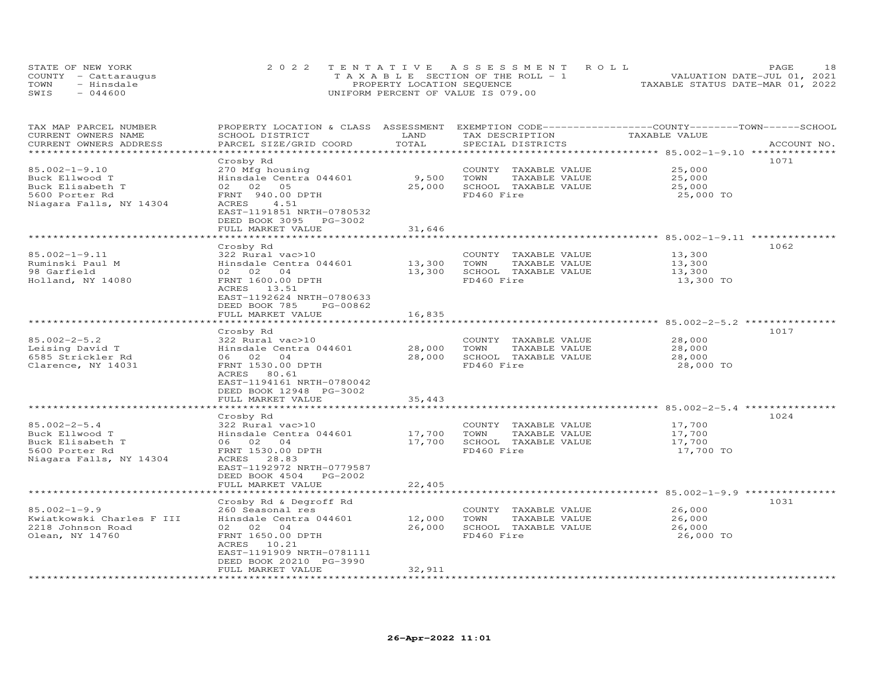| STATE OF NEW YORK    | 2022 TENTATIVE ASSESSMENT ROLL        | 18<br><b>PAGE</b>                |
|----------------------|---------------------------------------|----------------------------------|
| COUNTY - Cattaraugus | T A X A B L E SECTION OF THE ROLL - 1 | VALUATION DATE-JUL 01, 2021      |
| - Hinsdale<br>TOWN   | PROPERTY LOCATION SEQUENCE            | TAXABLE STATUS DATE-MAR 01, 2022 |
| $-044600$<br>SWIS    | UNIFORM PERCENT OF VALUE IS 079.00    |                                  |

| TAX MAP PARCEL NUMBER<br>CURRENT OWNERS NAME<br>CURRENT OWNERS ADDRESS                                 | PROPERTY LOCATION & CLASS ASSESSMENT<br>SCHOOL DISTRICT<br>PARCEL SIZE/GRID COORD                                                                                                                 | LAND<br>TOTAL              | EXEMPTION CODE------------------COUNTY-------TOWN-----SCHOOL<br>TAX DESCRIPTION<br>SPECIAL DISTRICTS | TAXABLE VALUE                               | ACCOUNT NO. |
|--------------------------------------------------------------------------------------------------------|---------------------------------------------------------------------------------------------------------------------------------------------------------------------------------------------------|----------------------------|------------------------------------------------------------------------------------------------------|---------------------------------------------|-------------|
|                                                                                                        |                                                                                                                                                                                                   |                            |                                                                                                      |                                             |             |
| $85.002 - 1 - 9.10$<br>Buck Ellwood T<br>Buck Elisabeth T<br>5600 Porter Rd<br>Niagara Falls, NY 14304 | Crosby Rd<br>270 Mfg housing<br>Hinsdale Centra 044601<br>02 02 05<br>FRNT 940.00 DPTH<br>ACRES<br>4.51<br>EAST-1191851 NRTH-0780532<br>DEED BOOK 3095<br>PG-3002                                 | 9,500<br>25,000            | COUNTY TAXABLE VALUE<br>TAXABLE VALUE<br>TOWN<br>SCHOOL TAXABLE VALUE<br>FD460 Fire                  | 25,000<br>25,000<br>25,000<br>25,000 TO     | 1071        |
|                                                                                                        | FULL MARKET VALUE                                                                                                                                                                                 | 31,646                     |                                                                                                      |                                             |             |
|                                                                                                        | *******************                                                                                                                                                                               | ***********                |                                                                                                      |                                             |             |
| $85.002 - 1 - 9.11$<br>Ruminski Paul M<br>98 Garfield<br>Holland, NY 14080                             | Crosby Rd<br>322 Rural vac>10<br>Hinsdale Centra 044601<br>02 02 04<br>FRNT 1600.00 DPTH<br>ACRES 13.51<br>EAST-1192624 NRTH-0780633<br>DEED BOOK 785<br>PG-00862<br>FULL MARKET VALUE            | 13,300<br>13,300<br>16,835 | COUNTY TAXABLE VALUE<br>TOWN<br>TAXABLE VALUE<br>SCHOOL TAXABLE VALUE<br>FD460 Fire                  | 13,300<br>13,300<br>13,300<br>13,300 TO     | 1062        |
|                                                                                                        | *******************                                                                                                                                                                               |                            |                                                                                                      | ******************** 85.002-2-5.2 ********* |             |
| $85.002 - 2 - 5.2$<br>Leising David T<br>6585 Strickler Rd<br>Clarence, NY 14031                       | Crosby Rd<br>322 Rural vac>10<br>Hinsdale Centra 044601<br>06 02 04<br>FRNT 1530.00 DPTH<br>ACRES 80.61<br>EAST-1194161 NRTH-0780042<br>DEED BOOK 12948 PG-3002<br>FULL MARKET VALUE              | 28,000<br>28,000<br>35,443 | COUNTY TAXABLE VALUE<br>TOWN<br>TAXABLE VALUE<br>SCHOOL TAXABLE VALUE<br>FD460 Fire                  | 28,000<br>28,000<br>28,000<br>28,000 TO     | 1017        |
|                                                                                                        | Crosby Rd                                                                                                                                                                                         |                            |                                                                                                      |                                             | 1024        |
| $85.002 - 2 - 5.4$<br>Buck Ellwood T<br>Buck Elisabeth T<br>5600 Porter Rd<br>Niagara Falls, NY 14304  | 322 Rural vac>10<br>Hinsdale Centra 044601<br>06 02 04<br>FRNT 1530.00 DPTH<br>28.83<br>ACRES<br>EAST-1192972 NRTH-0779587<br>DEED BOOK 4504 PG-2002<br>FULL MARKET VALUE                         | 17,700<br>17,700<br>22,405 | COUNTY TAXABLE VALUE<br>TOWN<br>TAXABLE VALUE<br>SCHOOL TAXABLE VALUE<br>FD460 Fire                  | 17,700<br>17,700<br>17,700<br>17,700 TO     |             |
|                                                                                                        |                                                                                                                                                                                                   |                            |                                                                                                      |                                             |             |
| $85.002 - 1 - 9.9$<br>Kwiatkowski Charles F III<br>2218 Johnson Road<br>Olean, NY 14760                | Crosby Rd & Degroff Rd<br>260 Seasonal res<br>Hinsdale Centra 044601<br>02 02 04<br>FRNT 1650.00 DPTH<br>ACRES 10.21<br>EAST-1191909 NRTH-0781111<br>DEED BOOK 20210 PG-3990<br>FULL MARKET VALUE | 12,000<br>26,000<br>32,911 | COUNTY TAXABLE VALUE<br>TOWN<br>TAXABLE VALUE<br>SCHOOL TAXABLE VALUE<br>FD460 Fire                  | 26,000<br>26,000<br>26,000<br>26,000 TO     | 1031        |
|                                                                                                        |                                                                                                                                                                                                   |                            |                                                                                                      |                                             |             |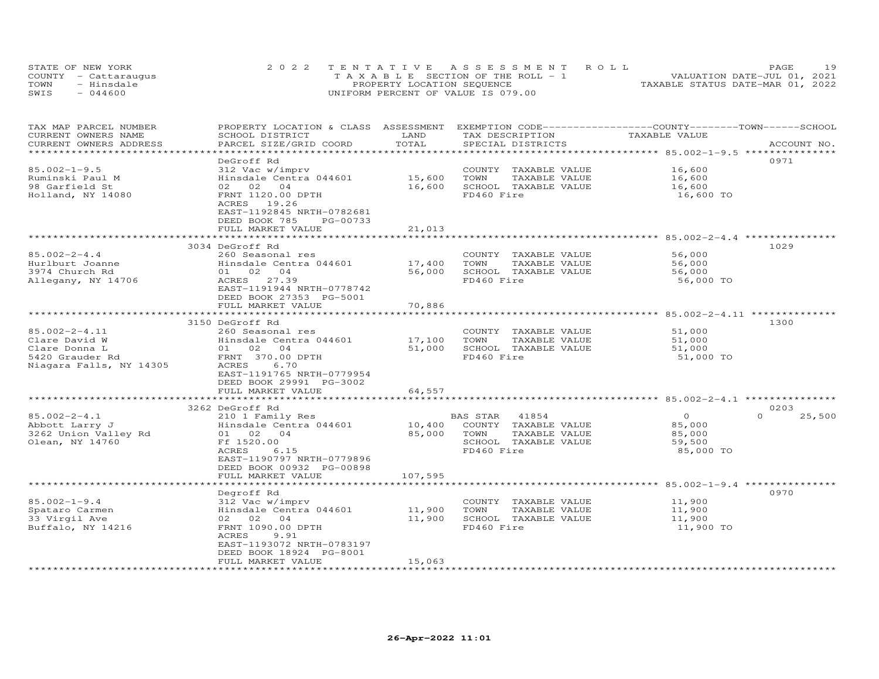| STATE OF NEW YORK    | 2022 TENTATIVE ASSESSMENT ROLL     | 19<br>PAGE.                      |
|----------------------|------------------------------------|----------------------------------|
| COUNTY - Cattaraugus | TAXABLE SECTION OF THE ROLL - 1    | VALUATION DATE-JUL 01, 2021      |
| TOWN<br>- Hinsdale   | PROPERTY LOCATION SEQUENCE         | TAXABLE STATUS DATE-MAR 01, 2022 |
| $-044600$<br>SWIS    | UNIFORM PERCENT OF VALUE IS 079.00 |                                  |

| TAX MAP PARCEL NUMBER<br>CURRENT OWNERS NAME | PROPERTY LOCATION & CLASS ASSESSMENT<br>SCHOOL DISTRICT | LAND    | EXEMPTION CODE-----------------COUNTY-------TOWN-----SCHOOL<br>TAX DESCRIPTION | TAXABLE VALUE                                        |                  |
|----------------------------------------------|---------------------------------------------------------|---------|--------------------------------------------------------------------------------|------------------------------------------------------|------------------|
| CURRENT OWNERS ADDRESS                       | PARCEL SIZE/GRID COORD                                  | TOTAL   | SPECIAL DISTRICTS                                                              |                                                      | ACCOUNT NO.      |
| **********************                       |                                                         |         |                                                                                |                                                      |                  |
|                                              | DeGroff Rd                                              |         |                                                                                |                                                      | 0971             |
| $85.002 - 1 - 9.5$                           | 312 Vac w/imprv                                         |         | COUNTY TAXABLE VALUE                                                           | 16,600                                               |                  |
| Ruminski Paul M                              | Hinsdale Centra 044601                                  | 15,600  | TOWN<br>TAXABLE VALUE                                                          | 16,600                                               |                  |
| 98 Garfield St                               | 02 02 04                                                | 16,600  | SCHOOL TAXABLE VALUE                                                           | 16,600                                               |                  |
| Holland, NY 14080                            | FRNT 1120.00 DPTH                                       |         | FD460 Fire                                                                     | 16,600 TO                                            |                  |
|                                              | 19.26<br>ACRES                                          |         |                                                                                |                                                      |                  |
|                                              | EAST-1192845 NRTH-0782681                               |         |                                                                                |                                                      |                  |
|                                              | DEED BOOK 785<br>PG-00733                               |         |                                                                                |                                                      |                  |
|                                              | FULL MARKET VALUE                                       | 21,013  |                                                                                |                                                      |                  |
|                                              |                                                         |         |                                                                                | ********** 85.002-2-4.4 *********                    |                  |
|                                              | 3034 DeGroff Rd                                         |         |                                                                                |                                                      | 1029             |
| $85.002 - 2 - 4.4$                           | 260 Seasonal res                                        |         | COUNTY TAXABLE VALUE                                                           | 56,000                                               |                  |
| Hurlburt Joanne                              | Hinsdale Centra 044601                                  | 17,400  | TOWN<br>TAXABLE VALUE                                                          | 56,000                                               |                  |
| 3974 Church Rd                               | 01 02<br>04                                             | 56,000  | SCHOOL TAXABLE VALUE                                                           | 56,000                                               |                  |
| Allegany, NY 14706                           | ACRES 27.39                                             |         | FD460 Fire                                                                     | 56,000 TO                                            |                  |
|                                              | EAST-1191944 NRTH-0778742                               |         |                                                                                |                                                      |                  |
|                                              | DEED BOOK 27353 PG-5001                                 |         |                                                                                |                                                      |                  |
|                                              | FULL MARKET VALUE                                       | 70,886  |                                                                                |                                                      |                  |
|                                              |                                                         |         | ******************************** 85.002-2-4.11 ***************                 |                                                      |                  |
|                                              | 3150 DeGroff Rd                                         |         |                                                                                |                                                      | 1300             |
| $85.002 - 2 - 4.11$                          | 260 Seasonal res                                        |         | COUNTY TAXABLE VALUE                                                           | 51,000                                               |                  |
| Clare David W                                | Hinsdale Centra 044601                                  | 17,100  | TOWN<br>TAXABLE VALUE                                                          | 51,000                                               |                  |
| Clare Donna L                                | 01 02 04                                                | 51,000  | SCHOOL TAXABLE VALUE                                                           | 51,000                                               |                  |
| 5420 Grauder Rd                              | FRNT 370.00 DPTH                                        |         | FD460 Fire                                                                     | 51,000 TO                                            |                  |
| Niagara Falls, NY 14305                      | ACRES<br>6.70                                           |         |                                                                                |                                                      |                  |
|                                              | EAST-1191765 NRTH-0779954                               |         |                                                                                |                                                      |                  |
|                                              | DEED BOOK 29991 PG-3002                                 |         |                                                                                |                                                      |                  |
|                                              | FULL MARKET VALUE                                       | 64,557  |                                                                                |                                                      |                  |
|                                              |                                                         |         |                                                                                | ********** 85.002-2-4.1 ***                          |                  |
|                                              | 3262 DeGroff Rd                                         |         |                                                                                |                                                      | 0203<br>$\Omega$ |
| $85.002 - 2 - 4.1$                           | 210 1 Family Res                                        |         | 41854<br>BAS STAR                                                              | $\Omega$                                             | 25,500           |
| Abbott Larry J                               | Hinsdale Centra 044601                                  | 10,400  | COUNTY TAXABLE VALUE                                                           | 85,000                                               |                  |
| 3262 Union Valley Rd                         | 01 02 04<br>Ff 1520.00                                  | 85,000  | TAXABLE VALUE<br>TOWN<br>SCHOOL TAXABLE VALUE                                  | 85,000                                               |                  |
| Olean, NY 14760                              | ACRES<br>6.15                                           |         | FD460 Fire                                                                     | 59,500                                               |                  |
|                                              |                                                         |         |                                                                                | 85,000 TO                                            |                  |
|                                              | EAST-1190797 NRTH-0779896                               |         |                                                                                |                                                      |                  |
|                                              | DEED BOOK 00932 PG-00898<br>FULL MARKET VALUE           | 107,595 |                                                                                |                                                      |                  |
|                                              |                                                         |         |                                                                                | ***************************** 85.002-1-9.4 ********* |                  |
|                                              | Degroff Rd                                              |         |                                                                                |                                                      | 0970             |
| $85.002 - 1 - 9.4$                           | 312 Vac w/imprv                                         |         | COUNTY<br>TAXABLE VALUE                                                        | 11,900                                               |                  |
| Spataro Carmen                               | Hinsdale Centra 044601                                  | 11,900  | TOWN<br>TAXABLE VALUE                                                          | 11,900                                               |                  |
| 33 Virgil Ave                                | 02 02 04                                                | 11,900  | SCHOOL TAXABLE VALUE                                                           | 11,900                                               |                  |
| Buffalo, NY 14216                            | FRNT 1090.00 DPTH                                       |         | FD460 Fire                                                                     | 11,900 TO                                            |                  |
|                                              | ACRES<br>9.91                                           |         |                                                                                |                                                      |                  |
|                                              | EAST-1193072 NRTH-0783197                               |         |                                                                                |                                                      |                  |
|                                              | DEED BOOK 18924 PG-8001                                 |         |                                                                                |                                                      |                  |
|                                              | FULL MARKET VALUE                                       | 15,063  |                                                                                |                                                      |                  |
| **********************                       |                                                         |         |                                                                                |                                                      |                  |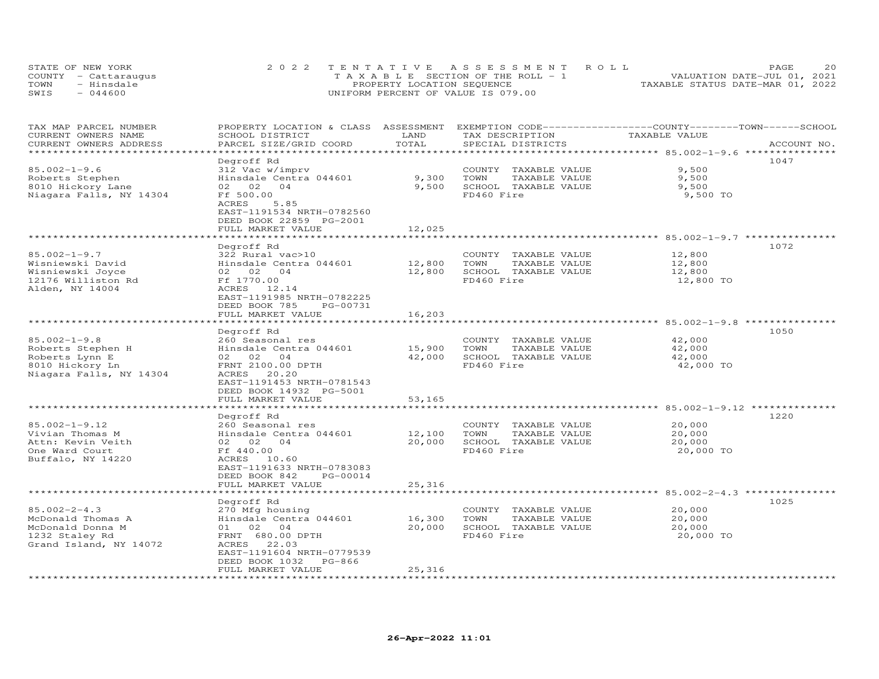| STATE OF NEW YORK |                      | 2022 TENTATIVE ASSESSMENT ROLL             |  |                                  | PAGE                        | 20 |
|-------------------|----------------------|--------------------------------------------|--|----------------------------------|-----------------------------|----|
|                   | COUNTY - Cattaraugus | $T A X A B I E E$ SECTION OF THE ROLL $-1$ |  |                                  | VALUATION DATE-JUL 01, 2021 |    |
| TOWN              | - Hinsdale           | PROPERTY LOCATION SEQUENCE                 |  | TAXABLE STATUS DATE-MAR 01, 2022 |                             |    |
| SWIS              | $-044600$            | UNIFORM PERCENT OF VALUE IS 079.00         |  |                                  |                             |    |

| TAX MAP PARCEL NUMBER<br>CURRENT OWNERS NAME | PROPERTY LOCATION & CLASS ASSESSMENT<br>SCHOOL DISTRICT                                     | LAND   | EXEMPTION CODE-----------------COUNTY-------TOWN------SCHOOL<br>TAX DESCRIPTION | TAXABLE VALUE |             |
|----------------------------------------------|---------------------------------------------------------------------------------------------|--------|---------------------------------------------------------------------------------|---------------|-------------|
| CURRENT OWNERS ADDRESS<br>****************   | PARCEL SIZE/GRID COORD                                                                      | TOTAL  | SPECIAL DISTRICTS                                                               |               | ACCOUNT NO. |
|                                              | Degroff Rd                                                                                  |        |                                                                                 |               | 1047        |
| $85.002 - 1 - 9.6$                           | 312 Vac w/imprv                                                                             |        | COUNTY TAXABLE VALUE                                                            | 9,500         |             |
| Roberts Stephen                              | Hinsdale Centra 044601                                                                      | 9,300  | TOWN<br>TAXABLE VALUE                                                           | 9,500         |             |
| 8010 Hickory Lane                            | 02 02<br>04                                                                                 | 9,500  | SCHOOL TAXABLE VALUE                                                            | 9,500         |             |
| Niagara Falls, NY 14304                      | Ff 500.00                                                                                   |        | FD460 Fire                                                                      | 9,500 TO      |             |
|                                              | 5.85<br>ACRES<br>EAST-1191534 NRTH-0782560<br>DEED BOOK 22859 PG-2001                       |        |                                                                                 |               |             |
|                                              | FULL MARKET VALUE                                                                           | 12,025 |                                                                                 |               |             |
|                                              | **********************                                                                      |        |                                                                                 |               |             |
|                                              | Degroff Rd                                                                                  |        |                                                                                 |               | 1072        |
| $85.002 - 1 - 9.7$                           | 322 Rural vac>10                                                                            |        | COUNTY TAXABLE VALUE                                                            | 12,800        |             |
| Wisniewski David                             | Hinsdale Centra 044601                                                                      | 12,800 | TOWN<br>TAXABLE VALUE                                                           | 12,800        |             |
| Wisniewski Joyce                             | 02 02<br>04                                                                                 | 12,800 | SCHOOL TAXABLE VALUE                                                            | 12,800        |             |
| 12176 Williston Rd                           | Ff 1770.00                                                                                  |        | FD460 Fire                                                                      | 12,800 TO     |             |
| Alden, NY 14004                              | ACRES 12.14<br>EAST-1191985 NRTH-0782225<br>DEED BOOK 785<br>PG-00731                       |        |                                                                                 |               |             |
|                                              | FULL MARKET VALUE                                                                           | 16,203 |                                                                                 |               |             |
|                                              |                                                                                             |        |                                                                                 |               |             |
|                                              | Degroff Rd                                                                                  |        |                                                                                 |               | 1050        |
| $85.002 - 1 - 9.8$                           | 260 Seasonal res                                                                            |        | COUNTY TAXABLE VALUE                                                            | 42,000        |             |
| Roberts Stephen H                            | Hinsdale Centra 044601                                                                      | 15,900 | TAXABLE VALUE<br>TOWN                                                           | 42,000        |             |
| Roberts Lynn E                               | 02 02<br>04                                                                                 | 42,000 | SCHOOL TAXABLE VALUE                                                            | 42,000        |             |
| 8010 Hickory Ln<br>Niagara Falls, NY 14304   | FRNT 2100.00 DPTH<br>ACRES<br>20.20<br>EAST-1191453 NRTH-0781543<br>DEED BOOK 14932 PG-5001 |        | FD460 Fire                                                                      | 42,000 TO     |             |
|                                              | FULL MARKET VALUE                                                                           | 53,165 |                                                                                 |               |             |
|                                              | ******************                                                                          |        |                                                                                 |               |             |
|                                              | Degroff Rd                                                                                  |        |                                                                                 |               | 1220        |
| $85.002 - 1 - 9.12$                          | 260 Seasonal res                                                                            |        | COUNTY TAXABLE VALUE                                                            | 20,000        |             |
| Vivian Thomas M                              | Hinsdale Centra 044601                                                                      | 12,100 | TOWN<br>TAXABLE VALUE                                                           | 20,000        |             |
| Attn: Kevin Veith                            | 02 02<br>04                                                                                 | 20,000 | SCHOOL TAXABLE VALUE                                                            | 20,000        |             |
| One Ward Court<br>Buffalo, NY 14220          | Ff 440.00<br>ACRES 10.60<br>EAST-1191633 NRTH-0783083<br>DEED BOOK 842<br>PG-00014          |        | FD460 Fire                                                                      | 20,000 TO     |             |
|                                              | FULL MARKET VALUE                                                                           | 25,316 |                                                                                 |               |             |
|                                              | Degroff Rd                                                                                  |        |                                                                                 |               | 1025        |
| $85.002 - 2 - 4.3$                           | 270 Mfg housing                                                                             |        | COUNTY TAXABLE VALUE                                                            | 20,000        |             |
| McDonald Thomas A                            | Hinsdale Centra 044601                                                                      | 16,300 | TOWN<br>TAXABLE VALUE                                                           | 20,000        |             |
| McDonald Donna M                             | 01 02 04                                                                                    | 20,000 | SCHOOL TAXABLE VALUE                                                            | 20,000        |             |
| 1232 Staley Rd                               | FRNT 680.00 DPTH                                                                            |        | FD460 Fire                                                                      | 20,000 TO     |             |
| Grand Island, NY 14072                       | ACRES 22.03<br>EAST-1191604 NRTH-0779539<br>DEED BOOK 1032<br>PG-866                        |        |                                                                                 |               |             |
|                                              | FULL MARKET VALUE                                                                           | 25,316 |                                                                                 |               |             |
| *************************                    |                                                                                             |        |                                                                                 |               |             |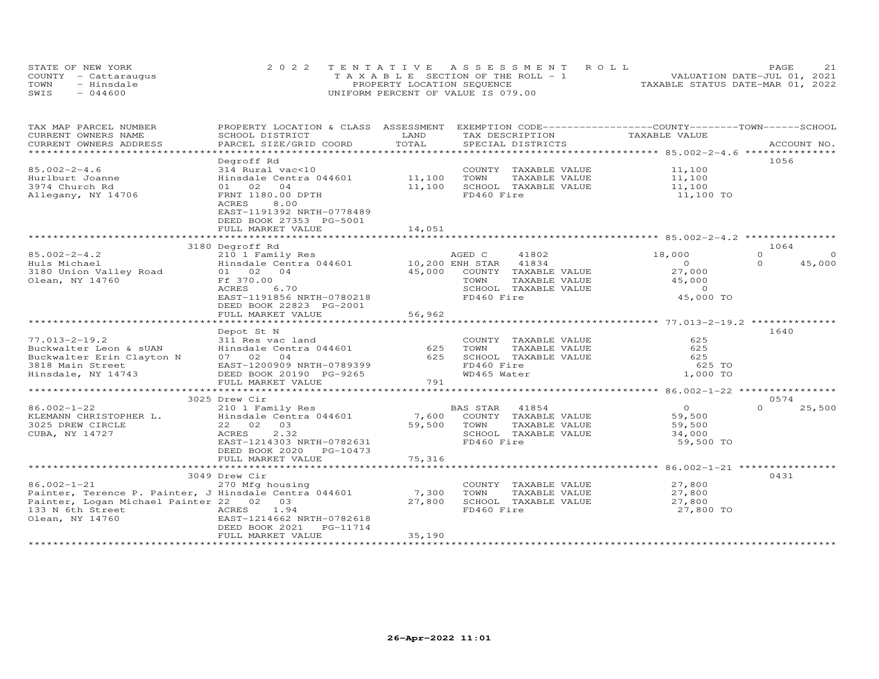| STATE OF NEW YORK    | 2022 TENTATIVE ASSESSMENT ROLL        | 21<br>PAGE.                      |
|----------------------|---------------------------------------|----------------------------------|
| COUNTY - Cattaraugus | T A X A B L E SECTION OF THE ROLL - 1 | VALUATION DATE-JUL 01, 2021      |
| TOWN<br>- Hinsdale   | PROPERTY LOCATION SEQUENCE            | TAXABLE STATUS DATE-MAR 01, 2022 |
| $-044600$<br>SWIS    | UNIFORM PERCENT OF VALUE IS 079.00    |                                  |

| TAX MAP PARCEL NUMBER<br>CURRENT OWNERS NAME                 | PROPERTY LOCATION & CLASS ASSESSMENT<br>SCHOOL DISTRICT                  | LAND   | TAX DESCRIPTION                    |               | EXEMPTION CODE-----------------COUNTY-------TOWN------SCHOOL<br>TAXABLE VALUE |          |             |
|--------------------------------------------------------------|--------------------------------------------------------------------------|--------|------------------------------------|---------------|-------------------------------------------------------------------------------|----------|-------------|
| CURRENT OWNERS ADDRESS                                       | PARCEL SIZE/GRID COORD                                                   | TOTAL  | SPECIAL DISTRICTS                  |               |                                                                               |          | ACCOUNT NO. |
|                                                              |                                                                          |        |                                    |               |                                                                               |          |             |
|                                                              | Degroff Rd                                                               |        |                                    |               |                                                                               | 1056     |             |
| $85.002 - 2 - 4.6$                                           | 314 Rural vac<10                                                         |        | COUNTY TAXABLE VALUE               |               | 11,100                                                                        |          |             |
| Hurlburt Joanne                                              | Hinsdale Centra 044601                                                   | 11,100 | TOWN                               | TAXABLE VALUE | 11,100                                                                        |          |             |
| 3974 Church Rd                                               | 01 02<br>04                                                              | 11,100 | SCHOOL TAXABLE VALUE               |               | 11,100                                                                        |          |             |
| Allegany, NY 14706                                           | FRNT 1180.00 DPTH                                                        |        | FD460 Fire                         |               | 11,100 TO                                                                     |          |             |
|                                                              | ACRES<br>8.00                                                            |        |                                    |               |                                                                               |          |             |
|                                                              | EAST-1191392 NRTH-0778489                                                |        |                                    |               |                                                                               |          |             |
|                                                              | DEED BOOK 27353 PG-5001                                                  |        |                                    |               |                                                                               |          |             |
|                                                              | FULL MARKET VALUE                                                        | 14,051 |                                    |               |                                                                               |          |             |
|                                                              |                                                                          |        |                                    |               |                                                                               |          |             |
|                                                              | 3180 Degroff Rd                                                          |        |                                    |               |                                                                               | 1064     |             |
| $85.002 - 2 - 4.2$                                           | 210 1 Family Res                                                         |        | AGED C<br>41802                    |               | 18,000                                                                        | $\Omega$ | $\Omega$    |
| Huls Michael                                                 | Hinsdale Centra 044601 10,200 ENH STAR                                   |        | 41834                              |               | $\overline{O}$                                                                | $\Omega$ | 45,000      |
| 3180 Union Valley Road                                       | 01 02 04                                                                 | 45,000 | COUNTY TAXABLE VALUE               |               | 27,000                                                                        |          |             |
| Olean, NY 14760                                              | Ff 370.00                                                                |        | TOWN                               | TAXABLE VALUE | 45,000                                                                        |          |             |
|                                                              | ACRES<br>6.70                                                            |        | SCHOOL TAXABLE VALUE               |               | $\overline{0}$                                                                |          |             |
|                                                              | EAST-1191856 NRTH-0780218                                                |        | FD460 Fire                         |               | 45,000 TO                                                                     |          |             |
|                                                              | DEED BOOK 22823 PG-2001                                                  |        |                                    |               |                                                                               |          |             |
|                                                              | FULL MARKET VALUE                                                        | 56,962 |                                    |               |                                                                               |          |             |
|                                                              |                                                                          |        |                                    |               |                                                                               |          |             |
|                                                              | Depot St N                                                               |        |                                    |               |                                                                               | 1640     |             |
| $77.013 - 2 - 19.2$                                          |                                                                          |        | COUNTY TAXABLE VALUE               |               | 625                                                                           |          |             |
| Buckwalter Leon & sUAN                                       |                                                                          | 625    | TOWN                               | TAXABLE VALUE | 625                                                                           |          |             |
|                                                              | 311 Res vac land<br>Hinsdale Centra 044601<br>07 02 04<br>0 <sub>4</sub> | 625    | SCHOOL TAXABLE VALUE               |               | 625                                                                           |          |             |
| Buckwalter Erin Clayton N 07 02<br>3818 Main Street EAST-120 | EAST-1200909 NRTH-0789399                                                |        | FD460 Fire                         |               | 625 TO                                                                        |          |             |
| Hinsdale, NY 14743 DEED BOOK 20190 PG-9265                   |                                                                          |        | WD465 Water                        |               | 1,000 TO                                                                      |          |             |
|                                                              | FULL MARKET VALUE                                                        | 791    |                                    |               |                                                                               |          |             |
|                                                              |                                                                          |        |                                    |               |                                                                               |          |             |
|                                                              | 3025 Drew Cir                                                            |        |                                    |               |                                                                               | 0574     |             |
| $86.002 - 1 - 22$                                            |                                                                          |        | 41854                              |               | $\Omega$                                                                      | $\Omega$ | 25,500      |
| KLEMANN CHRISTOPHER L.                                       | 210 1 Family Res<br>Hinsdale Centra 044601                               |        | BAS STAR                           |               | 59,500                                                                        |          |             |
| 3025 DREW CIRCLE                                             | 22 02 03                                                                 | 59,500 | 7,600 COUNTY TAXABLE VALUE<br>TOWN | TAXABLE VALUE | 59,500                                                                        |          |             |
| CUBA, NY 14727                                               | 2.32<br>ACRES                                                            |        | SCHOOL TAXABLE VALUE               |               |                                                                               |          |             |
|                                                              | EAST-1214303 NRTH-0782631                                                |        | FD460 Fire                         |               | 34,000<br>59,500 TO                                                           |          |             |
|                                                              |                                                                          |        |                                    |               |                                                                               |          |             |
|                                                              | DEED BOOK 2020 PG-10473                                                  | 75,316 |                                    |               |                                                                               |          |             |
|                                                              | FULL MARKET VALUE                                                        |        |                                    |               |                                                                               |          |             |
|                                                              |                                                                          |        |                                    |               |                                                                               | 0431     |             |
|                                                              | 3049 Drew Cir                                                            |        |                                    |               |                                                                               |          |             |
| $86.002 - 1 - 21$                                            | 270 Mfg housing                                                          |        | COUNTY TAXABLE VALUE               |               | 27,800                                                                        |          |             |
| Painter, Terence P. Painter, J Hinsdale Centra 044601 7,300  |                                                                          |        | TOWN                               | TAXABLE VALUE | 27,800                                                                        |          |             |
| Painter, Logan Michael Painter 22 02 03                      |                                                                          | 27,800 | SCHOOL TAXABLE VALUE               |               | 27,800                                                                        |          |             |
| 133 N 6th Street<br><b>ACRES</b>                             | 1.94                                                                     |        | FD460 Fire                         |               | 27,800 TO                                                                     |          |             |
| Olean, NY 14760                                              | EAST-1214662 NRTH-0782618                                                |        |                                    |               |                                                                               |          |             |
|                                                              | DEED BOOK 2021<br>PG-11714                                               |        |                                    |               |                                                                               |          |             |
|                                                              | FULL MARKET VALUE                                                        | 35,190 |                                    |               |                                                                               |          |             |
|                                                              |                                                                          |        |                                    |               |                                                                               |          |             |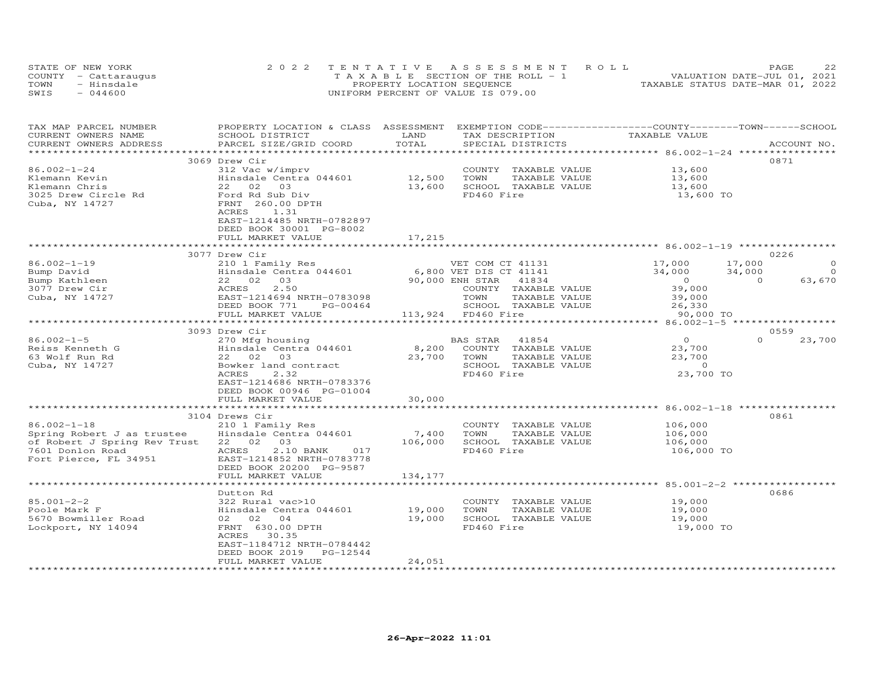| STATE OF NEW YORK    | 2022 TENTATIVE ASSESSMENT ROLL        | つつ<br><b>PAGE</b>                |
|----------------------|---------------------------------------|----------------------------------|
| COUNTY - Cattaraugus | T A X A B L E SECTION OF THE ROLL - 1 | VALUATION DATE-JUL 01, 2021      |
| TOWN<br>- Hinsdale   | PROPERTY LOCATION SEQUENCE            | TAXABLE STATUS DATE-MAR 01, 2022 |
| SWIS<br>$-044600$    | UNIFORM PERCENT OF VALUE IS 079.00    |                                  |

| TAX MAP PARCEL NUMBER        | PROPERTY LOCATION & CLASS ASSESSMENT |         | EXEMPTION CODE-----------------COUNTY-------TOWN------SCHOOL |                |                          |
|------------------------------|--------------------------------------|---------|--------------------------------------------------------------|----------------|--------------------------|
| CURRENT OWNERS NAME          | SCHOOL DISTRICT                      | LAND    | TAX DESCRIPTION                                              | TAXABLE VALUE  |                          |
| CURRENT OWNERS ADDRESS       | PARCEL SIZE/GRID COORD               | TOTAL   | SPECIAL DISTRICTS                                            |                | ACCOUNT NO.              |
|                              |                                      |         |                                                              |                |                          |
|                              | 3069 Drew Cir                        |         |                                                              |                | 0871                     |
| 86.002-1-24                  | 312 Vac w/imprv                      |         | COUNTY TAXABLE VALUE                                         | 13,600         |                          |
| Klemann Kevin                | Hinsdale Centra 044601               | 12,500  | TOWN<br>TAXABLE VALUE                                        | 13,600         |                          |
| Klemann Chris                | 22 02<br>03                          | 13,600  | SCHOOL TAXABLE VALUE                                         | 13,600         |                          |
| 3025 Drew Circle Rd          | Ford Rd Sub Div                      |         | FD460 Fire                                                   | 13,600 TO      |                          |
| Cuba, NY 14727               | FRNT 260.00 DPTH                     |         |                                                              |                |                          |
|                              | ACRES<br>1.31                        |         |                                                              |                |                          |
|                              | EAST-1214485 NRTH-0782897            |         |                                                              |                |                          |
|                              | DEED BOOK 30001 PG-8002              |         |                                                              |                |                          |
|                              | FULL MARKET VALUE                    | 17,215  |                                                              |                |                          |
|                              |                                      |         |                                                              |                |                          |
|                              | 3077 Drew Cir                        |         |                                                              |                | 0226                     |
| $86.002 - 1 - 19$            | 210 1 Family Res                     |         | VET COM CT 41131                                             | 17,000         | $\Omega$<br>17,000       |
| Bump David                   | Hinsdale Centra 044601               |         | 6,800 VET DIS CT 41141                                       | 34,000         | 34,000<br>$\overline{O}$ |
| Bump Kathleen                | 22 02<br>03                          |         | 90,000 ENH STAR<br>41834                                     | $\overline{0}$ | $\overline{0}$<br>63,670 |
| 3077 Drew Cir                | 2.50<br>ACRES                        |         | COUNTY TAXABLE VALUE                                         | 39,000         |                          |
| Cuba, NY 14727               | EAST-1214694 NRTH-0783098            |         | TOWN<br>TAXABLE VALUE                                        | 39,000         |                          |
|                              | DEED BOOK 771<br>PG-00464            |         | SCHOOL TAXABLE VALUE                                         | 26,330         |                          |
|                              | FULL MARKET VALUE                    |         | 113,924 FD460 Fire                                           | 90,000 TO      |                          |
|                              | **************************           |         |                                                              |                |                          |
|                              | 3093 Drew Cir                        |         |                                                              |                | 0559                     |
| $86.002 - 1 - 5$             | 270 Mfg housing                      |         | 41854<br>BAS STAR                                            | $\overline{O}$ | $\Omega$<br>23,700       |
| Reiss Kenneth G              | Hinsdale Centra 044601               | 8,200   | COUNTY TAXABLE VALUE                                         | 23,700         |                          |
| 63 Wolf Run Rd               | 22 02 03                             | 23,700  | TOWN<br>TAXABLE VALUE                                        | 23,700         |                          |
| Cuba, NY 14727               | Bowker land contract                 |         | SCHOOL TAXABLE VALUE                                         | $\sim$ 0       |                          |
|                              | ACRES<br>2.32                        |         | FD460 Fire                                                   | 23,700 TO      |                          |
|                              | EAST-1214686 NRTH-0783376            |         |                                                              |                |                          |
|                              | DEED BOOK 00946 PG-01004             |         |                                                              |                |                          |
|                              | FULL MARKET VALUE                    | 30,000  |                                                              |                |                          |
|                              |                                      |         |                                                              |                | 0861                     |
| $86.002 - 1 - 18$            | 3104 Drews Cir<br>210 1 Family Res   |         | COUNTY TAXABLE VALUE                                         | 106,000        |                          |
| Spring Robert J as trustee   | Hinsdale Centra 044601               | 7,400   | TOWN<br>TAXABLE VALUE                                        | 106,000        |                          |
| of Robert J Spring Rev Trust | 22 02 03                             | 106,000 | SCHOOL TAXABLE VALUE                                         | 106,000        |                          |
| 7601 Donlon Road             | 2.10 BANK<br>ACRES<br>017            |         | FD460 Fire                                                   | 106,000 TO     |                          |
| Fort Pierce, FL 34951        | EAST-1214852 NRTH-0783778            |         |                                                              |                |                          |
|                              | DEED BOOK 20200 PG-9587              |         |                                                              |                |                          |
|                              | FULL MARKET VALUE                    | 134,177 |                                                              |                |                          |
|                              |                                      |         |                                                              |                |                          |
|                              | Dutton Rd                            |         |                                                              |                | 0686                     |
| $85.001 - 2 - 2$             | 322 Rural vac>10                     |         | COUNTY TAXABLE VALUE                                         | 19,000         |                          |
| Poole Mark F                 | Hinsdale Centra 044601               | 19,000  | TOWN<br>TAXABLE VALUE                                        | 19,000         |                          |
| 5670 Bowmiller Road          | 02 02 04                             | 19,000  | SCHOOL TAXABLE VALUE                                         | 19,000         |                          |
| Lockport, NY 14094           | FRNT 630.00 DPTH                     |         | FD460 Fire                                                   | 19,000 TO      |                          |
|                              | ACRES 30.35                          |         |                                                              |                |                          |
|                              | EAST-1184712 NRTH-0784442            |         |                                                              |                |                          |
|                              | DEED BOOK 2019<br>PG-12544           |         |                                                              |                |                          |
|                              | FULL MARKET VALUE                    | 24,051  |                                                              |                |                          |
|                              |                                      |         |                                                              |                |                          |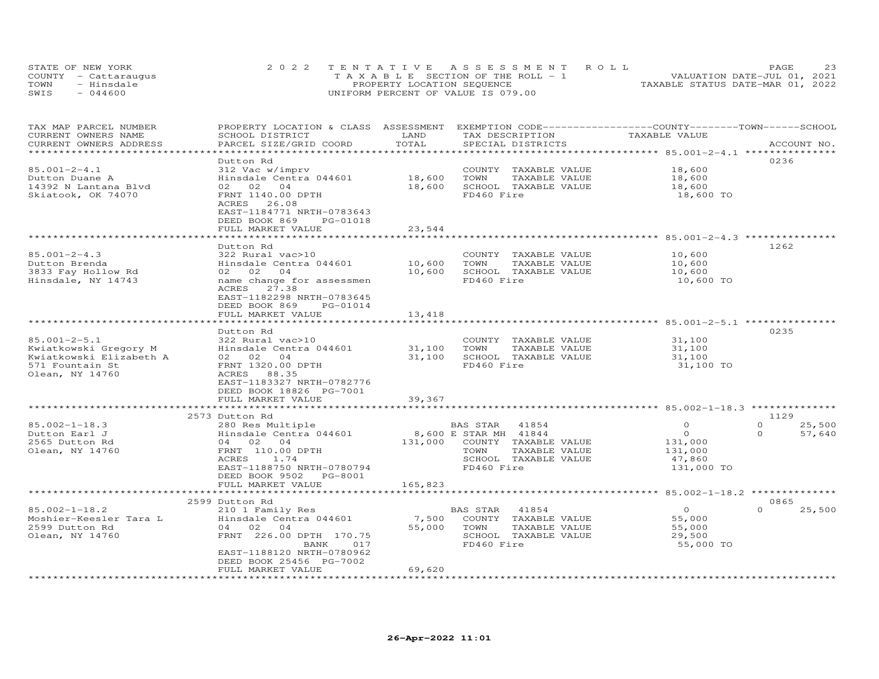| STATE OF NEW YORK    | 2022 TENTATIVE ASSESSMENT ROLL        | 23<br><b>PAGE</b>                |
|----------------------|---------------------------------------|----------------------------------|
| COUNTY - Cattaraugus | T A X A B L E SECTION OF THE ROLL - 1 | VALUATION DATE-JUL 01, 2021      |
| TOWN<br>- Hinsdale   | PROPERTY LOCATION SEQUENCE            | TAXABLE STATUS DATE-MAR 01, 2022 |
| $-044600$<br>SWIS    | UNIFORM PERCENT OF VALUE IS 079.00    |                                  |

| TAX MAP PARCEL NUMBER<br>CURRENT OWNERS NAME | PROPERTY LOCATION & CLASS ASSESSMENT<br>SCHOOL DISTRICT                                            | LAND<br>TOTAL | EXEMPTION CODE-----------------COUNTY-------TOWN------SCHOOL<br>TAX DESCRIPTION | TAXABLE VALUE       |                    |
|----------------------------------------------|----------------------------------------------------------------------------------------------------|---------------|---------------------------------------------------------------------------------|---------------------|--------------------|
| CURRENT OWNERS ADDRESS                       | PARCEL SIZE/GRID COORD                                                                             |               | SPECIAL DISTRICTS                                                               |                     | ACCOUNT NO.        |
|                                              | Dutton Rd                                                                                          |               |                                                                                 |                     | 0236               |
| $85.001 - 2 - 4.1$                           | 312 Vac w/imprv                                                                                    |               | COUNTY TAXABLE VALUE                                                            | 18,600              |                    |
| Dutton Duane A                               | Hinsdale Centra 044601                                                                             | 18,600        | TAXABLE VALUE<br>TOWN                                                           | 18,600              |                    |
| 14392 N Lantana Blvd                         | 02 02 04                                                                                           | 18,600        | SCHOOL TAXABLE VALUE                                                            | 18,600              |                    |
| Skiatook, OK 74070                           | FRNT 1140.00 DPTH<br>ACRES 26.08<br>EAST-1184771 NRTH-0783643<br>DEED BOOK 869<br>PG-01018         |               | FD460 Fire                                                                      | 18,600 TO           |                    |
|                                              | FULL MARKET VALUE                                                                                  | 23,544        |                                                                                 |                     |                    |
|                                              | ***********************                                                                            |               |                                                                                 |                     |                    |
|                                              | Dutton Rd                                                                                          |               |                                                                                 |                     | 1262               |
| $85.001 - 2 - 4.3$                           | 322 Rural vac>10                                                                                   |               | COUNTY TAXABLE VALUE                                                            | 10,600              |                    |
| Dutton Brenda                                | Hinsdale Centra 044601                                                                             | 10,600        | TOWN<br>TAXABLE VALUE                                                           | 10,600              |                    |
| 3833 Fay Hollow Rd                           | 02 02 04                                                                                           | 10,600        | SCHOOL TAXABLE VALUE                                                            | 10,600              |                    |
| Hinsdale, NY 14743                           | name change for assessmen<br>ACRES 27.38<br>EAST-1182298 NRTH-0783645<br>DEED BOOK 869<br>PG-01014 |               | FD460 Fire                                                                      | 10,600 TO           |                    |
|                                              | FULL MARKET VALUE                                                                                  | 13,418        |                                                                                 |                     |                    |
|                                              | ******************                                                                                 |               |                                                                                 |                     |                    |
|                                              | Dutton Rd                                                                                          |               |                                                                                 |                     | 0235               |
| $85.001 - 2 - 5.1$                           | 322 Rural vac>10                                                                                   |               | COUNTY TAXABLE VALUE                                                            | 31,100              |                    |
| Kwiatkowski Gregory M                        | Hinsdale Centra 044601                                                                             | 31,100        | TOWN<br>TAXABLE VALUE                                                           | 31,100              |                    |
| Kwiatkowski Elizabeth A                      | 02 02 04                                                                                           | 31,100        | SCHOOL TAXABLE VALUE                                                            | 31,100              |                    |
| 571 Fountain St<br>Olean, NY 14760           | FRNT 1320.00 DPTH<br>ACRES 88.35<br>EAST-1183327 NRTH-0782776<br>DEED BOOK 18826 PG-7001           |               | FD460 Fire                                                                      | 31,100 TO           |                    |
|                                              | FULL MARKET VALUE                                                                                  | 39,367        |                                                                                 |                     |                    |
|                                              | *************************                                                                          |               |                                                                                 |                     |                    |
|                                              | 2573 Dutton Rd                                                                                     |               |                                                                                 |                     | 1129               |
| $85.002 - 1 - 18.3$                          | 280 Res Multiple                                                                                   |               | BAS STAR 41854                                                                  | $\Omega$            | $\Omega$<br>25,500 |
| Dutton Earl J                                | Hinsdale Centra 044601                                                                             |               | 8,600 E STAR MH 41844                                                           | $\circ$             | $\Omega$<br>57,640 |
| 2565 Dutton Rd                               | 04 02 04                                                                                           |               | 131,000 COUNTY TAXABLE VALUE                                                    | 131,000             |                    |
| Olean, NY 14760                              | FRNT 110.00 DPTH                                                                                   |               | TOWN<br>TAXABLE VALUE                                                           | 131,000             |                    |
|                                              | ACRES<br>1.74                                                                                      |               | SCHOOL TAXABLE VALUE                                                            | 47,860              |                    |
|                                              | EAST-1188750 NRTH-0780794<br>DEED BOOK 9502 PG-8001<br>FULL MARKET VALUE                           |               | FD460 Fire                                                                      | 131,000 TO          |                    |
|                                              |                                                                                                    | 165,823       |                                                                                 |                     |                    |
|                                              | 2599 Dutton Rd                                                                                     |               |                                                                                 |                     | 0865               |
| $85.002 - 1 - 18.2$                          | 210 1 Family Res                                                                                   |               | BAS STAR<br>41854                                                               | $\overline{O}$      | $\Omega$<br>25,500 |
| Moshier-Keesler Tara L                       | Hinsdale Centra 044601                                                                             | 7,500         | COUNTY TAXABLE VALUE                                                            | 55,000              |                    |
| 2599 Dutton Rd                               | 04 02 04                                                                                           |               | 55,000 TOWN                                                                     | 55,000              |                    |
|                                              | FRNT 226.00 DPTH 170.75                                                                            |               | TAXABLE VALUE<br>SCHOOL TAXABLE VALUE                                           |                     |                    |
| Olean, NY 14760                              | BANK<br>017                                                                                        |               | FD460 Fire                                                                      | 29,500<br>55,000 TO |                    |
|                                              | EAST-1188120 NRTH-0780962                                                                          |               |                                                                                 |                     |                    |
|                                              | DEED BOOK 25456 PG-7002                                                                            |               |                                                                                 |                     |                    |
|                                              | FULL MARKET VALUE                                                                                  | 69,620        |                                                                                 |                     |                    |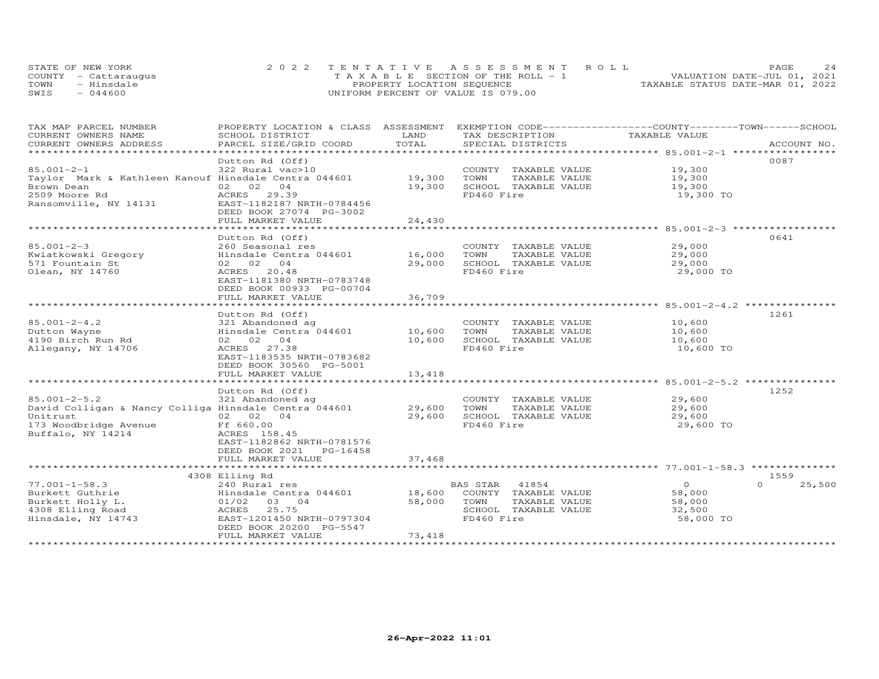|      | STATE OF NEW YORK    | 2022 TENTATIVE ASSESSMENT ROLL     | 24<br><b>PAGE</b>                |
|------|----------------------|------------------------------------|----------------------------------|
|      | COUNTY - Cattarauqus | TAXABLE SECTION OF THE ROLL - 1    | VALUATION DATE-JUL 01, 2021      |
| TOWN | - Hinsdale           | PROPERTY LOCATION SEQUENCE         | TAXABLE STATUS DATE-MAR 01, 2022 |
| SWIS | $-044600$            | UNIFORM PERCENT OF VALUE IS 079.00 |                                  |

| TAX MAP PARCEL NUMBER<br>CURRENT OWNERS NAME          | PROPERTY LOCATION & CLASS ASSESSMENT<br>SCHOOL DISTRICT | LAND        | EXEMPTION CODE-----------------COUNTY-------TOWN------SCHOOL<br>TAX DESCRIPTION | TAXABLE VALUE  |                    |
|-------------------------------------------------------|---------------------------------------------------------|-------------|---------------------------------------------------------------------------------|----------------|--------------------|
| CURRENT OWNERS ADDRESS                                | PARCEL SIZE/GRID COORD                                  | TOTAL       | SPECIAL DISTRICTS                                                               |                | ACCOUNT NO.        |
| **********************                                |                                                         |             |                                                                                 |                |                    |
|                                                       | Dutton Rd (Off)                                         |             |                                                                                 |                | 0087               |
| $85.001 - 2 - 1$                                      | 322 Rural vac>10                                        |             | COUNTY TAXABLE VALUE                                                            | 19,300         |                    |
| Taylor Mark & Kathleen Kanouf Hinsdale Centra 044601  |                                                         | 19,300      | TOWN<br>TAXABLE VALUE                                                           | 19,300         |                    |
| Brown Dean                                            | 02 02 04                                                | 19,300      | SCHOOL TAXABLE VALUE                                                            | 19,300         |                    |
| 2509 Moore Rd                                         | ACRES 29.39                                             |             | FD460 Fire                                                                      | 19,300 TO      |                    |
| Ransomville, NY 14131                                 | EAST-1182187 NRTH-0784456                               |             |                                                                                 |                |                    |
|                                                       | DEED BOOK 27074 PG-3002                                 |             |                                                                                 |                |                    |
|                                                       | FULL MARKET VALUE                                       | 24,430      |                                                                                 |                |                    |
|                                                       |                                                         |             |                                                                                 |                |                    |
|                                                       | Dutton Rd (Off)                                         |             |                                                                                 |                | 0641               |
| $85.001 - 2 - 3$                                      | 260 Seasonal res                                        |             | COUNTY TAXABLE VALUE                                                            | 29,000         |                    |
| Kwiatkowski Gregory                                   | Hinsdale Centra 044601 16,000                           |             | TOWN<br>TAXABLE VALUE                                                           | 29,000         |                    |
| 571 Fountain St                                       | 02 02 04                                                | 29,000      | SCHOOL TAXABLE VALUE                                                            | 29,000         |                    |
| Olean, NY 14760                                       | 20.48<br>ACRES                                          |             | FD460 Fire                                                                      | 29,000 TO      |                    |
|                                                       | EAST-1181380 NRTH-0783748                               |             |                                                                                 |                |                    |
|                                                       | DEED BOOK 00933 PG-00704<br>FULL MARKET VALUE           | 36,709      |                                                                                 |                |                    |
|                                                       |                                                         |             |                                                                                 |                |                    |
|                                                       | Dutton Rd (Off)                                         |             |                                                                                 |                | 1261               |
| $85.001 - 2 - 4.2$                                    | 321 Abandoned ag                                        |             | COUNTY TAXABLE VALUE 10,600                                                     |                |                    |
| Dutton Wayne                                          | Hinsdale Centra 044601                                  | 10,600      | TAXABLE VALUE<br>TOWN                                                           | 10,600         |                    |
| 4190 Birch Run Rd                                     | 02 02 04                                                | 10,600      | SCHOOL TAXABLE VALUE                                                            | 10,600         |                    |
| Allegany, NY 14706                                    | ACRES 27.38                                             |             | FD460 Fire                                                                      | 10,600 TO      |                    |
|                                                       | EAST-1183535 NRTH-0783682                               |             |                                                                                 |                |                    |
|                                                       | DEED BOOK 30560 PG-5001                                 |             |                                                                                 |                |                    |
|                                                       | FULL MARKET VALUE                                       | 13,418      |                                                                                 |                |                    |
|                                                       |                                                         |             |                                                                                 |                |                    |
|                                                       | Dutton Rd (Off)                                         |             |                                                                                 |                | 1252               |
| $85.001 - 2 - 5.2$                                    | 321 Abandoned ag                                        |             | COUNTY TAXABLE VALUE                                                            | 29,600         |                    |
| David Colligan & Nancy Colliga Hinsdale Centra 044601 |                                                         | 29,600 TOWN | TAXABLE VALUE                                                                   | 29,600         |                    |
| Unitrust 02 02 04<br>173 Woodbridge Avenue 660.00     |                                                         | 29,600      | SCHOOL TAXABLE VALUE                                                            | 29,600         |                    |
|                                                       |                                                         |             | FD460 Fire                                                                      | 29,600 TO      |                    |
| Buffalo, NY 14214                                     | ACRES 158.45                                            |             |                                                                                 |                |                    |
|                                                       | EAST-1182862 NRTH-0781576                               |             |                                                                                 |                |                    |
|                                                       | DEED BOOK 2021<br>PG-16458                              |             |                                                                                 |                |                    |
|                                                       | FULL MARKET VALUE                                       | 37,468      |                                                                                 |                |                    |
|                                                       | 4308 Elling Rd                                          |             |                                                                                 |                | 1559               |
| $77.001 - 1 - 58.3$                                   | 240 Rural res                                           |             | BAS STAR 41854                                                                  | $\overline{O}$ | 25,500<br>$\Omega$ |
| Burkett Guthrie                                       | Exp. nature ===<br>Hinsdale Centra 044601 18,600        |             | COUNTY TAXABLE VALUE                                                            | 58,000         |                    |
| Burkett Holly L.                                      | $01/02$ 03 04                                           | 58,000      | TOWN<br>TAXABLE VALUE                                                           | 58,000         |                    |
| 4308 Elling Road                                      | 25.75<br>ACRES                                          |             | SCHOOL TAXABLE VALUE                                                            | 32,500         |                    |
| Hinsdale, NY 14743                                    | EAST-1201450 NRTH-0797304                               |             | FD460 Fire                                                                      | 58,000 TO      |                    |
|                                                       | DEED BOOK 20200 PG-5547                                 |             |                                                                                 |                |                    |
|                                                       | FULL MARKET VALUE                                       | 73,418      |                                                                                 |                |                    |
|                                                       |                                                         |             |                                                                                 |                |                    |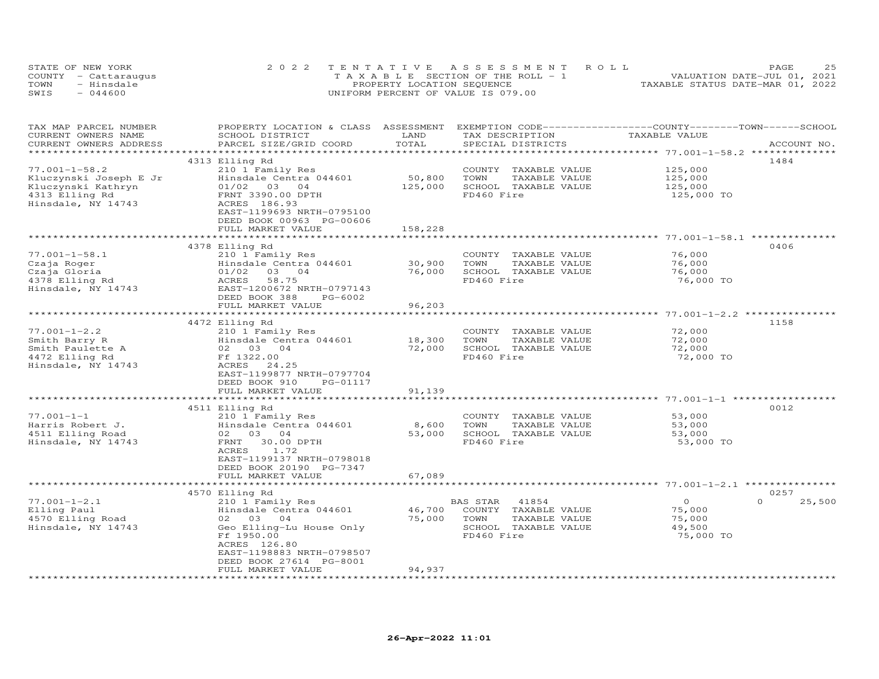|      | STATE OF NEW YORK    | 2022 TENTATIVE ASSESSMENT ROLL        | つら<br>PAGE                       |
|------|----------------------|---------------------------------------|----------------------------------|
|      | COUNTY - Cattaraugus | T A X A B L E SECTION OF THE ROLL - 1 | VALUATION DATE-JUL 01, 2021      |
| TOWN | - Hinsdale           | PROPERTY LOCATION SEQUENCE            | TAXABLE STATUS DATE-MAR 01, 2022 |
| SWIS | $-044600$            | UNIFORM PERCENT OF VALUE IS 079.00    |                                  |

| TAX MAP PARCEL NUMBER<br>CURRENT OWNERS NAME<br>CURRENT OWNERS ADDRESS | PROPERTY LOCATION & CLASS ASSESSMENT<br>SCHOOL DISTRICT<br>PARCEL SIZE/GRID COORD | LAND<br>TOTAL                 | EXEMPTION CODE-----------------COUNTY-------TOWN------SCHOOL<br>TAX DESCRIPTION<br>SPECIAL DISTRICTS | TAXABLE VALUE                                          | ACCOUNT NO.        |
|------------------------------------------------------------------------|-----------------------------------------------------------------------------------|-------------------------------|------------------------------------------------------------------------------------------------------|--------------------------------------------------------|--------------------|
| ***********************                                                |                                                                                   |                               |                                                                                                      |                                                        |                    |
|                                                                        | 4313 Elling Rd                                                                    |                               |                                                                                                      |                                                        | 1484               |
| $77.001 - 1 - 58.2$                                                    | 210 1 Family Res                                                                  |                               | COUNTY<br>TAXABLE VALUE                                                                              | 125,000                                                |                    |
| Kluczynski Joseph E Jr                                                 | Hinsdale Centra 044601                                                            | 50,800                        | TOWN<br>TAXABLE VALUE                                                                                | 125,000                                                |                    |
| Kluczynski Kathryn                                                     | 01/02 03 04                                                                       | 125,000                       | SCHOOL TAXABLE VALUE                                                                                 | 125,000                                                |                    |
| 4313 Elling Rd                                                         | FRNT 3390.00 DPTH                                                                 |                               | FD460 Fire                                                                                           | 125,000 TO                                             |                    |
| Hinsdale, NY 14743                                                     | ACRES 186.93                                                                      |                               |                                                                                                      |                                                        |                    |
|                                                                        | EAST-1199693 NRTH-0795100                                                         |                               |                                                                                                      |                                                        |                    |
|                                                                        | DEED BOOK 00963 PG-00606                                                          |                               |                                                                                                      |                                                        |                    |
|                                                                        | FULL MARKET VALUE                                                                 | 158,228                       |                                                                                                      |                                                        |                    |
|                                                                        |                                                                                   |                               |                                                                                                      |                                                        |                    |
|                                                                        | 4378 Elling Rd                                                                    |                               |                                                                                                      |                                                        | 0406               |
| $77.001 - 1 - 58.1$                                                    | 210 1 Family Res                                                                  |                               | COUNTY TAXABLE VALUE                                                                                 | 76,000                                                 |                    |
| Czaja Roger                                                            | Hinsdale Centra 044601                                                            | 30,900                        | TOWN<br>TAXABLE VALUE                                                                                | 76,000                                                 |                    |
| Czaja Gloria                                                           | 01/02<br>03 04                                                                    | 76,000                        | SCHOOL TAXABLE VALUE                                                                                 | 76,000                                                 |                    |
|                                                                        | 58.75                                                                             |                               | FD460 Fire                                                                                           | 76,000 TO                                              |                    |
| 4378 Elling Rd                                                         | ACRES                                                                             |                               |                                                                                                      |                                                        |                    |
| Hinsdale, NY 14743                                                     | EAST-1200672 NRTH-0797143                                                         |                               |                                                                                                      |                                                        |                    |
|                                                                        | DEED BOOK 388<br>PG-6002                                                          |                               |                                                                                                      |                                                        |                    |
|                                                                        | FULL MARKET VALUE<br>*************                                                | 96,203<br>* * * * * * * * * * |                                                                                                      | ************************ 77.001-1-2.2 **************** |                    |
|                                                                        |                                                                                   |                               |                                                                                                      |                                                        |                    |
| $77.001 - 1 - 2.2$                                                     | 4472 Elling Rd                                                                    |                               | COUNTY TAXABLE VALUE                                                                                 | 72,000                                                 | 1158               |
|                                                                        | 210 1 Family Res                                                                  |                               |                                                                                                      |                                                        |                    |
| Smith Barry R                                                          | Hinsdale Centra 044601                                                            | 18,300                        | TOWN<br>TAXABLE VALUE                                                                                | 72,000                                                 |                    |
| Smith Paulette A                                                       | 02 03 04                                                                          | 72,000                        | SCHOOL TAXABLE VALUE                                                                                 | 72,000                                                 |                    |
| 4472 Elling Rd                                                         | Ff 1322.00                                                                        |                               | FD460 Fire                                                                                           | 72,000 TO                                              |                    |
| Hinsdale, NY 14743                                                     | ACRES<br>24.25                                                                    |                               |                                                                                                      |                                                        |                    |
|                                                                        | EAST-1199877 NRTH-0797704                                                         |                               |                                                                                                      |                                                        |                    |
|                                                                        | DEED BOOK 910<br>PG-01117                                                         |                               |                                                                                                      |                                                        |                    |
|                                                                        | FULL MARKET VALUE                                                                 | 91,139                        |                                                                                                      | ************************ 77.001-1-1 **************     |                    |
|                                                                        |                                                                                   |                               |                                                                                                      |                                                        |                    |
|                                                                        | 4511 Elling Rd                                                                    |                               |                                                                                                      |                                                        | 0012               |
| $77.001 - 1 - 1$                                                       | 210 1 Family Res                                                                  |                               | COUNTY TAXABLE VALUE                                                                                 | 53,000                                                 |                    |
| Harris Robert J.                                                       | Hinsdale Centra 044601                                                            | 8,600                         | TOWN<br>TAXABLE VALUE                                                                                | 53,000                                                 |                    |
| 4511 Elling Road                                                       | 02 03 04                                                                          | 53,000                        | SCHOOL TAXABLE VALUE                                                                                 | 53,000                                                 |                    |
| Hinsdale, NY 14743                                                     | 30.00 DPTH<br>FRNT                                                                |                               | FD460 Fire                                                                                           | 53,000 TO                                              |                    |
|                                                                        | 1.72<br>ACRES                                                                     |                               |                                                                                                      |                                                        |                    |
|                                                                        | EAST-1199137 NRTH-0798018                                                         |                               |                                                                                                      |                                                        |                    |
|                                                                        | DEED BOOK 20190 PG-7347                                                           |                               |                                                                                                      |                                                        |                    |
|                                                                        | FULL MARKET VALUE                                                                 | 67,089                        |                                                                                                      |                                                        |                    |
|                                                                        |                                                                                   |                               |                                                                                                      | ************ 77.001-1-2.1 ************                 |                    |
|                                                                        | 4570 Elling Rd                                                                    |                               |                                                                                                      |                                                        | 0257               |
| $77.001 - 1 - 2.1$                                                     | 210 1 Family Res                                                                  |                               | BAS STAR<br>41854                                                                                    | $\circ$                                                | $\Omega$<br>25,500 |
| Elling Paul                                                            | Hinsdale Centra 044601                                                            | 46,700                        | COUNTY TAXABLE VALUE                                                                                 | 75,000                                                 |                    |
| 4570 Elling Road                                                       | 02 03 04                                                                          | 75,000                        | TOWN<br>TAXABLE VALUE                                                                                | 75,000                                                 |                    |
| Hinsdale, NY 14743                                                     | Geo Elling-Lu House Only                                                          |                               | SCHOOL TAXABLE VALUE                                                                                 | 49,500                                                 |                    |
|                                                                        | Ff 1950.00                                                                        |                               | FD460 Fire                                                                                           | 75,000 TO                                              |                    |
|                                                                        | ACRES 126.80                                                                      |                               |                                                                                                      |                                                        |                    |
|                                                                        | EAST-1198883 NRTH-0798507                                                         |                               |                                                                                                      |                                                        |                    |
|                                                                        | DEED BOOK 27614 PG-8001                                                           |                               |                                                                                                      |                                                        |                    |
| **********************                                                 | FULL MARKET VALUE                                                                 | 94,937                        |                                                                                                      |                                                        |                    |
|                                                                        |                                                                                   |                               |                                                                                                      |                                                        |                    |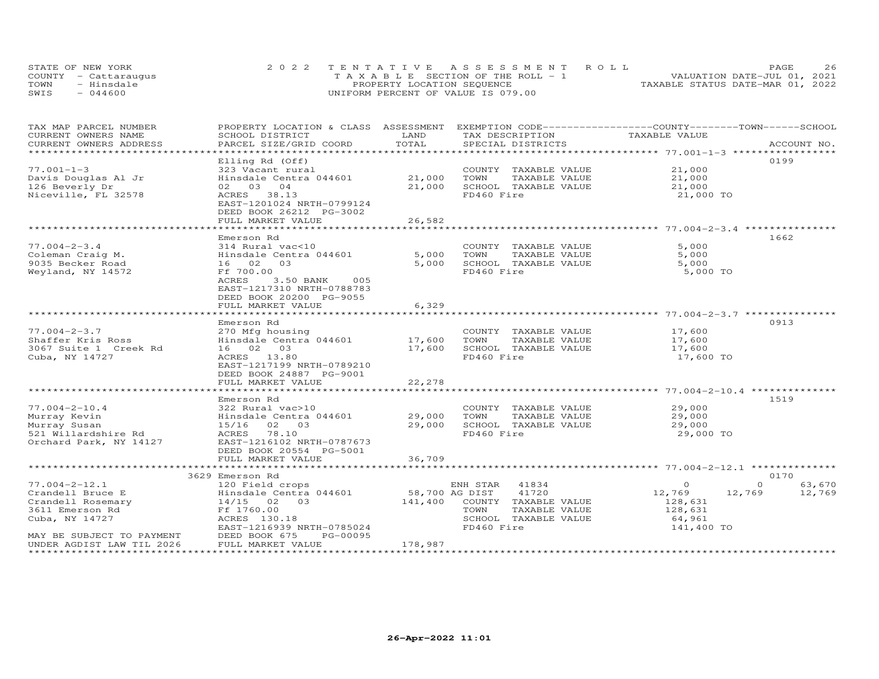|      | STATE OF NEW YORK    | 2022 TENTATIVE ASSESSMENT ROLL     | 26<br>PAGE.                      |
|------|----------------------|------------------------------------|----------------------------------|
|      | COUNTY - Cattarauqus | TAXABLE SECTION OF THE ROLL - 1    | VALUATION DATE-JUL 01, 2021      |
| TOWN | - Hinsdale           | PROPERTY LOCATION SEQUENCE         | TAXABLE STATUS DATE-MAR 01, 2022 |
| SWIS | $-044600$            | UNIFORM PERCENT OF VALUE IS 079.00 |                                  |

| TAX MAP PARCEL NUMBER<br>CURRENT OWNERS NAME | PROPERTY LOCATION & CLASS ASSESSMENT EXEMPTION CODE----------------COUNTY-------TOWN------SCHOOL<br>SCHOOL DISTRICT | LAND           | TAX DESCRIPTION              | TAXABLE VALUE                                      |                    |
|----------------------------------------------|---------------------------------------------------------------------------------------------------------------------|----------------|------------------------------|----------------------------------------------------|--------------------|
| CURRENT OWNERS ADDRESS                       | PARCEL SIZE/GRID COORD                                                                                              | TOTAL          | SPECIAL DISTRICTS            |                                                    | ACCOUNT NO.        |
|                                              |                                                                                                                     |                |                              |                                                    |                    |
|                                              | Elling Rd (Off)                                                                                                     |                |                              |                                                    | 0199               |
| $77.001 - 1 - 3$                             | 323 Vacant rural                                                                                                    |                | COUNTY TAXABLE VALUE         | 21,000                                             |                    |
| Davis Douglas Al Jr                          | Hinsdale Centra 044601                                                                                              | 21,000         | TOWN<br>TAXABLE VALUE        | 21,000                                             |                    |
| 126 Beverly Dr                               | 02 03 04                                                                                                            | 21,000         | SCHOOL TAXABLE VALUE         | 21,000                                             |                    |
| Niceville, FL 32578                          | ACRES 38.13                                                                                                         |                | FD460 Fire                   | 21,000 TO                                          |                    |
|                                              | EAST-1201024 NRTH-0799124                                                                                           |                |                              |                                                    |                    |
|                                              | DEED BOOK 26212 PG-3002                                                                                             |                |                              |                                                    |                    |
|                                              | FULL MARKET VALUE                                                                                                   | 26,582         |                              |                                                    |                    |
|                                              |                                                                                                                     |                |                              |                                                    |                    |
|                                              | Emerson Rd                                                                                                          |                |                              |                                                    | 1662               |
| $77.004 - 2 - 3.4$                           | 314 Rural vac<10                                                                                                    |                | COUNTY TAXABLE VALUE         | 5,000                                              |                    |
| Coleman Craig M.                             | Hinsdale Centra 044601                                                                                              | 5,000          | TOWN<br>TAXABLE VALUE        | 5,000                                              |                    |
| 9035 Becker Road                             | 16 02 03                                                                                                            | 5,000          | SCHOOL TAXABLE VALUE         | 5,000                                              |                    |
| Weyland, NY 14572                            | Ff 700.00                                                                                                           |                | FD460 Fire                   | 5,000 TO                                           |                    |
|                                              | ACRES<br>3.50 BANK<br>005                                                                                           |                |                              |                                                    |                    |
|                                              | EAST-1217310 NRTH-0788783                                                                                           |                |                              |                                                    |                    |
|                                              | DEED BOOK 20200 PG-9055                                                                                             |                |                              |                                                    |                    |
|                                              | FULL MARKET VALUE                                                                                                   | 6,329          |                              |                                                    |                    |
|                                              |                                                                                                                     |                |                              | ********************** 77.004-2-3.7 ************** |                    |
|                                              | Emerson Rd                                                                                                          |                |                              |                                                    | 0913               |
| $77.004 - 2 - 3.7$                           | 270 Mfg housing                                                                                                     |                | COUNTY TAXABLE VALUE         | 17,600                                             |                    |
| Shaffer Kris Ross                            | Hinsdale Centra 044601                                                                                              | 17,600         | TOWN<br>TAXABLE VALUE        | 17,600                                             |                    |
| 3067 Suite 1 Creek Rd                        | 16 02 03                                                                                                            | 17,600         | SCHOOL TAXABLE VALUE         | 17,600                                             |                    |
| Cuba, NY 14727                               | ACRES 13.80                                                                                                         |                | FD460 Fire                   | 17,600 TO                                          |                    |
|                                              | EAST-1217199 NRTH-0789210                                                                                           |                |                              |                                                    |                    |
|                                              | DEED BOOK 24887 PG-9001                                                                                             | 22,278         |                              |                                                    |                    |
|                                              | FULL MARKET VALUE                                                                                                   |                |                              |                                                    |                    |
|                                              | Emerson Rd                                                                                                          |                |                              |                                                    | 1519               |
| $77.004 - 2 - 10.4$                          | 322 Rural vac>10                                                                                                    |                | COUNTY TAXABLE VALUE         | 29,000                                             |                    |
| Murray Kevin                                 | Hinsdale Centra 044601                                                                                              | 29,000         | TOWN<br>TAXABLE VALUE        | 29,000                                             |                    |
| Murray Susan                                 | 15/16 02 03                                                                                                         | 29,000         | SCHOOL TAXABLE VALUE         | 29,000                                             |                    |
| 521 Willardshire Rd                          | ACRES 78.10                                                                                                         |                | FD460 Fire                   | 29,000 TO                                          |                    |
| Orchard Park, NY 14127                       | EAST-1216102 NRTH-0787673                                                                                           |                |                              |                                                    |                    |
|                                              | DEED BOOK 20554 PG-5001                                                                                             |                |                              |                                                    |                    |
|                                              | FULL MARKET VALUE                                                                                                   | 36,709         |                              |                                                    |                    |
|                                              |                                                                                                                     |                |                              |                                                    |                    |
|                                              | 3629 Emerson Rd                                                                                                     |                |                              |                                                    | 0170               |
| $77.004 - 2 - 12.1$                          | 120 Field crops                                                                                                     |                | ENH STAR 41834               | $\circ$                                            | $\Omega$<br>63,670 |
| Crandell Bruce E                             | Hinsdale Centra 044601                                                                                              | 58,700 AG DIST | 41720                        | 12,769                                             | 12,769<br>12,769   |
| Crandell Rosemary                            | 14/15 02 03                                                                                                         |                | 141,400 COUNTY TAXABLE VALUE | 128,631                                            |                    |
| 3611 Emerson Rd                              | Ff 1760.00                                                                                                          |                | TOWN<br>TAXABLE VALUE        | 128,631                                            |                    |
| Cuba, NY 14727                               | ACRES 130.18                                                                                                        |                | SCHOOL TAXABLE VALUE         | 64,961                                             |                    |
|                                              | EAST-1216939 NRTH-0785024                                                                                           |                | FD460 Fire                   | 141,400 TO                                         |                    |
| MAY BE SUBJECT TO PAYMENT                    | DEED BOOK 675<br>PG-00095                                                                                           |                |                              |                                                    |                    |
| UNDER AGDIST LAW TIL 2026                    | FULL MARKET VALUE                                                                                                   | 178,987        |                              |                                                    |                    |
|                                              |                                                                                                                     |                |                              |                                                    |                    |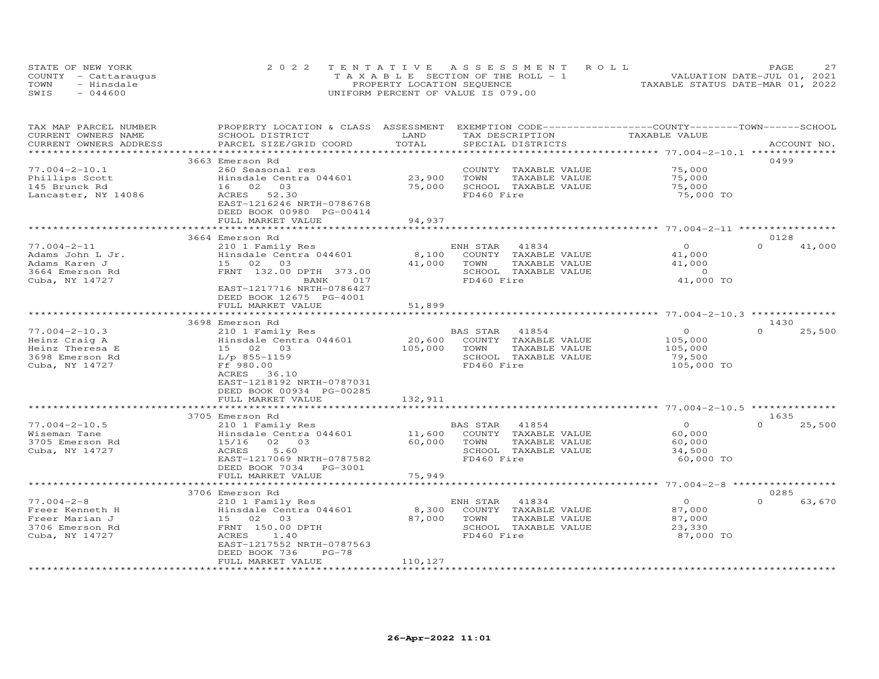| STATE OF NEW YORK    | 2022 TENTATIVE ASSESSMENT ROLL        | 2.7<br><b>PAGE</b>               |
|----------------------|---------------------------------------|----------------------------------|
| COUNTY - Cattaraugus | T A X A B L E SECTION OF THE ROLL - 1 | VALUATION DATE-JUL 01, 2021      |
| TOWN<br>- Hinsdale   | PROPERTY LOCATION SEQUENCE            | TAXABLE STATUS DATE-MAR 01, 2022 |
| $-044600$<br>SWIS    | UNIFORM PERCENT OF VALUE IS 079.00    |                                  |

| TAX MAP PARCEL NUMBER             | PROPERTY LOCATION & CLASS ASSESSMENT |                | EXEMPTION CODE-----------------COUNTY-------TOWN------SCHOOL |                                 |                    |
|-----------------------------------|--------------------------------------|----------------|--------------------------------------------------------------|---------------------------------|--------------------|
| CURRENT OWNERS NAME               | SCHOOL DISTRICT                      | LAND           | TAX DESCRIPTION                                              | TAXABLE VALUE                   |                    |
| CURRENT OWNERS ADDRESS            | PARCEL SIZE/GRID COORD               | TOTAL          | SPECIAL DISTRICTS                                            |                                 | ACCOUNT NO.        |
|                                   | *****************************        |                |                                                              |                                 |                    |
|                                   | 3663 Emerson Rd                      |                |                                                              |                                 | 0499               |
| $77.004 - 2 - 10.1$               | 260 Seasonal res                     |                | COUNTY TAXABLE VALUE                                         | 75,000                          |                    |
| Phillips Scott                    | Hinsdale Centra 044601               | 23,900         | TOWN<br>TAXABLE VALUE                                        | 75,000                          |                    |
| 145 Brunck Rd                     | 16<br>02<br>03                       | 75,000         | SCHOOL TAXABLE VALUE                                         | 75,000                          |                    |
| Lancaster, NY 14086               | 52.30<br>ACRES                       |                | FD460 Fire                                                   | 75,000 TO                       |                    |
|                                   | EAST-1216246 NRTH-0786768            |                |                                                              |                                 |                    |
|                                   | DEED BOOK 00980 PG-00414             |                |                                                              |                                 |                    |
|                                   | FULL MARKET VALUE                    | 94,937         |                                                              |                                 |                    |
|                                   |                                      |                |                                                              | ********* 77.004-2-11           |                    |
|                                   | 3664 Emerson Rd                      |                |                                                              |                                 | 0128               |
| $77.004 - 2 - 11$                 | 210 1 Family Res                     |                | 41834<br>ENH STAR                                            | $\circ$                         | $\Omega$<br>41,000 |
| Adams John L Jr.                  | Hinsdale Centra 044601               | 8,100          | COUNTY TAXABLE VALUE                                         | 41,000                          |                    |
| Adams Karen J                     | 03<br>15<br>02                       | 41,000         | TOWN<br>TAXABLE VALUE                                        | 41,000                          |                    |
| 3664 Emerson Rd                   | FRNT 132.00 DPTH 373.00              |                | SCHOOL TAXABLE VALUE                                         | $\Omega$                        |                    |
| Cuba, NY 14727                    | <b>BANK</b><br>017                   |                | FD460 Fire                                                   | 41,000 TO                       |                    |
|                                   | EAST-1217716 NRTH-0786427            |                |                                                              |                                 |                    |
|                                   | DEED BOOK 12675 PG-4001              |                |                                                              |                                 |                    |
|                                   | FULL MARKET VALUE                    | 51,899         |                                                              |                                 |                    |
|                                   | ********************                 |                |                                                              |                                 |                    |
|                                   | 3698 Emerson Rd                      |                |                                                              |                                 | 1430               |
| $77.004 - 2 - 10.3$               | 210 1 Family Res                     |                | BAS STAR<br>41854                                            | $\Omega$                        | $\Omega$<br>25,500 |
| Heinz Craig A                     | Hinsdale Centra 044601               | 20,600         | COUNTY TAXABLE VALUE                                         | 105,000                         |                    |
| Heinz Theresa E                   | 15 02 03                             | 105,000        | TOWN<br>TAXABLE VALUE                                        | 105,000                         |                    |
| 3698 Emerson Rd                   | $L/p$ 855-1159                       |                | SCHOOL TAXABLE VALUE                                         | 79,500                          |                    |
| Cuba, NY 14727                    | Ff 980.00                            |                | FD460 Fire                                                   | 105,000 TO                      |                    |
|                                   | ACRES<br>36.10                       |                |                                                              |                                 |                    |
|                                   | EAST-1218192 NRTH-0787031            |                |                                                              |                                 |                    |
|                                   | DEED BOOK 00934 PG-00285             |                |                                                              |                                 |                    |
|                                   | FULL MARKET VALUE                    | 132,911        |                                                              |                                 |                    |
|                                   |                                      |                |                                                              | ********* 77.004-2-10.5 ******* |                    |
|                                   | 3705 Emerson Rd                      |                |                                                              |                                 | 1635               |
| $77.004 - 2 - 10.5$               | 210 1 Family Res                     |                | 41854<br>BAS STAR                                            | $\circ$                         | $\Omega$<br>25,500 |
| Wiseman Tane                      | Hinsdale Centra 044601               | 11,600         | COUNTY TAXABLE VALUE                                         | 60,000                          |                    |
| 3705 Emerson Rd                   | 15/16<br>02 03                       | 60,000         | TAXABLE VALUE<br>TOWN                                        | 60,000                          |                    |
| Cuba, NY 14727                    | 5.60<br>ACRES                        |                | SCHOOL TAXABLE VALUE                                         | 34,500                          |                    |
|                                   | EAST-1217069 NRTH-0787582            |                | FD460 Fire                                                   | 60,000 TO                       |                    |
|                                   | DEED BOOK 7034 PG-3001               |                |                                                              |                                 |                    |
|                                   | FULL MARKET VALUE                    | 75,949         |                                                              |                                 |                    |
|                                   |                                      |                |                                                              |                                 |                    |
|                                   | 3706 Emerson Rd                      |                |                                                              | $\circ$                         | 0285<br>$\Omega$   |
| $77.004 - 2 - 8$                  | 210 1 Family Res                     |                | ENH STAR<br>41834                                            |                                 | 63,670             |
| Freer Kenneth H                   | Hinsdale Centra 044601               | 8,300          | COUNTY TAXABLE VALUE                                         | 87,000                          |                    |
| Freer Marian J<br>3706 Emerson Rd | 15 02<br>03<br>FRNT 150.00 DPTH      | 87,000         | TOWN<br>TAXABLE VALUE                                        | 87,000                          |                    |
|                                   | ACRES<br>1.40                        |                | SCHOOL TAXABLE VALUE<br>FD460 Fire                           | 23,330                          |                    |
| Cuba, NY 14727                    | EAST-1217552 NRTH-0787563            |                |                                                              | 87,000 TO                       |                    |
|                                   | DEED BOOK 736<br>$PG-78$             |                |                                                              |                                 |                    |
|                                   | FULL MARKET VALUE                    | 110,127        |                                                              |                                 |                    |
|                                   | ***********************              | ************** |                                                              |                                 |                    |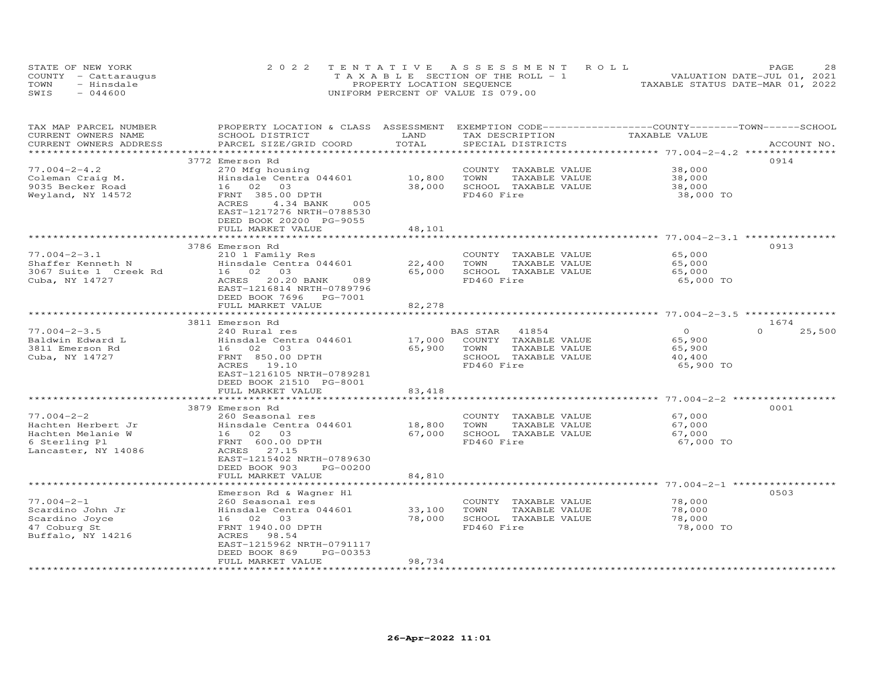| STATE OF NEW YORK    | 2022 TENTATIVE ASSESSMENT ROLL        |                            |  |                                  | PAGE | 28 |
|----------------------|---------------------------------------|----------------------------|--|----------------------------------|------|----|
| COUNTY - Cattaraugus | T A X A B L E SECTION OF THE ROLL - 1 |                            |  | VALUATION DATE-JUL 01, 2021      |      |    |
| TOWN<br>- Hinsdale   |                                       | PROPERTY LOCATION SEQUENCE |  | TAXABLE STATUS DATE-MAR 01, 2022 |      |    |
| SWIS<br>$-044600$    | UNIFORM PERCENT OF VALUE IS 079.00    |                            |  |                                  |      |    |

| TAX MAP PARCEL NUMBER   | PROPERTY LOCATION & CLASS ASSESSMENT |           | EXEMPTION CODE-----------------COUNTY-------TOWN-----SCHOOL |                                                  |                    |
|-------------------------|--------------------------------------|-----------|-------------------------------------------------------------|--------------------------------------------------|--------------------|
| CURRENT OWNERS NAME     | SCHOOL DISTRICT                      | LAND      | TAX DESCRIPTION                                             | TAXABLE VALUE                                    |                    |
| CURRENT OWNERS ADDRESS  | PARCEL SIZE/GRID COORD               | TOTAL     | SPECIAL DISTRICTS                                           |                                                  | ACCOUNT NO.        |
|                         |                                      |           |                                                             |                                                  |                    |
|                         | 3772 Emerson Rd                      |           |                                                             |                                                  | 0914               |
| $77.004 - 2 - 4.2$      | 270 Mfg housing                      |           | COUNTY TAXABLE VALUE                                        | 38,000                                           |                    |
| Coleman Craig M.        | Hinsdale Centra 044601               | 10,800    | TOWN<br>TAXABLE VALUE                                       | 38,000                                           |                    |
| 9035 Becker Road        | 16 02<br>03                          | 38,000    | SCHOOL TAXABLE VALUE                                        | 38,000                                           |                    |
| Weyland, NY 14572       | FRNT 385.00 DPTH                     |           | FD460 Fire                                                  | 38,000 TO                                        |                    |
|                         | <b>ACRES</b><br>4.34 BANK<br>005     |           |                                                             |                                                  |                    |
|                         | EAST-1217276 NRTH-0788530            |           |                                                             |                                                  |                    |
|                         | DEED BOOK 20200 PG-9055              |           |                                                             |                                                  |                    |
|                         | FULL MARKET VALUE                    | 48,101    |                                                             |                                                  |                    |
|                         |                                      | ********* |                                                             | ************************ 77.004-2-3.1 ********** |                    |
|                         | 3786 Emerson Rd                      |           |                                                             |                                                  | 0913               |
| $77.004 - 2 - 3.1$      | 210 1 Family Res                     |           | COUNTY TAXABLE VALUE                                        | 65,000                                           |                    |
| Shaffer Kenneth N       | Hinsdale Centra 044601               | 22,400    | TAXABLE VALUE<br>TOWN                                       | 65,000                                           |                    |
| 3067 Suite 1 Creek Rd   | 16 02 03                             | 65,000    | SCHOOL TAXABLE VALUE                                        | 65,000                                           |                    |
| Cuba, NY 14727          | ACRES<br>20.20 BANK<br>089           |           | FD460 Fire                                                  | 65,000 TO                                        |                    |
|                         | EAST-1216814 NRTH-0789796            |           |                                                             |                                                  |                    |
|                         | DEED BOOK 7696 PG-7001               |           |                                                             |                                                  |                    |
|                         | FULL MARKET VALUE                    | 82,278    |                                                             |                                                  |                    |
|                         | **********************               |           |                                                             |                                                  |                    |
|                         | 3811 Emerson Rd                      |           |                                                             |                                                  | 1674               |
| $77.004 - 2 - 3.5$      | 240 Rural res                        |           | BAS STAR<br>41854                                           | $\Omega$                                         | $\Omega$<br>25,500 |
| Baldwin Edward L        | Hinsdale Centra 044601               | 17,000    | COUNTY TAXABLE VALUE                                        | 65,900                                           |                    |
| 3811 Emerson Rd         | 16 02 03                             | 65,900    | TOWN<br>TAXABLE VALUE                                       | 65,900                                           |                    |
| Cuba, NY 14727          | FRNT 850.00 DPTH                     |           | SCHOOL TAXABLE VALUE                                        | 40,400                                           |                    |
|                         | ACRES 19.10                          |           | FD460 Fire                                                  | 65,900 TO                                        |                    |
|                         | EAST-1216105 NRTH-0789281            |           |                                                             |                                                  |                    |
|                         | DEED BOOK 21510 PG-8001              |           |                                                             |                                                  |                    |
|                         | FULL MARKET VALUE                    | 83,418    |                                                             |                                                  |                    |
|                         |                                      |           |                                                             | *********** 77.004-2-2 ***                       |                    |
|                         | 3879 Emerson Rd                      |           |                                                             |                                                  | 0001               |
| $77.004 - 2 - 2$        | 260 Seasonal res                     |           | COUNTY TAXABLE VALUE                                        | 67,000                                           |                    |
| Hachten Herbert Jr      | Hinsdale Centra 044601               | 18,800    | TOWN<br>TAXABLE VALUE                                       | 67,000                                           |                    |
| Hachten Melanie W       | 16 02 03                             | 67,000    | SCHOOL TAXABLE VALUE                                        | 67,000                                           |                    |
| 6 Sterling Pl           | FRNT 600.00 DPTH                     |           | FD460 Fire                                                  | 67,000 TO                                        |                    |
| Lancaster, NY 14086     | 27.15<br>ACRES                       |           |                                                             |                                                  |                    |
|                         | EAST-1215402 NRTH-0789630            |           |                                                             |                                                  |                    |
|                         | DEED BOOK 903<br>PG-00200            |           |                                                             |                                                  |                    |
|                         | FULL MARKET VALUE                    | 84,810    |                                                             |                                                  |                    |
|                         | Emerson Rd & Wagner Hl               |           |                                                             |                                                  | 0503               |
| $77.004 - 2 - 1$        | 260 Seasonal res                     |           | COUNTY                                                      | 78,000                                           |                    |
| Scardino John Jr        | Hinsdale Centra 044601               | 33,100    | TAXABLE VALUE<br>TOWN<br>TAXABLE VALUE                      | 78,000                                           |                    |
| Scardino Joyce          | 16 02 03                             | 78,000    | SCHOOL TAXABLE VALUE                                        | 78,000                                           |                    |
| 47 Coburg St            | FRNT 1940.00 DPTH                    |           | FD460 Fire                                                  | 78,000 TO                                        |                    |
| Buffalo, NY 14216       | ACRES<br>98.54                       |           |                                                             |                                                  |                    |
|                         | EAST-1215962 NRTH-0791117            |           |                                                             |                                                  |                    |
|                         | DEED BOOK 869<br>PG-00353            |           |                                                             |                                                  |                    |
|                         | FULL MARKET VALUE                    | 98,734    |                                                             |                                                  |                    |
| *********************** |                                      |           |                                                             |                                                  |                    |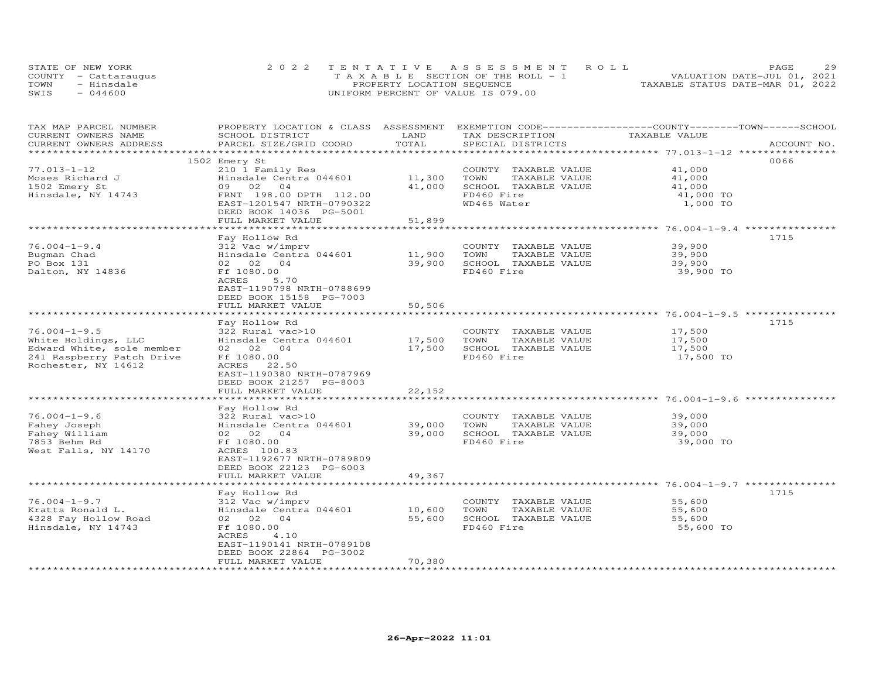| STATE OF NEW YORK    | 2022 TENTATIVE ASSESSMENT ROLL        | 29<br><b>PAGE</b>                |
|----------------------|---------------------------------------|----------------------------------|
| COUNTY - Cattaraugus | T A X A B L E SECTION OF THE ROLL - 1 | VALUATION DATE-JUL 01, 2021      |
| TOWN<br>- Hinsdale   | PROPERTY LOCATION SEQUENCE            | TAXABLE STATUS DATE-MAR 01, 2022 |
| $-044600$<br>SWIS    | UNIFORM PERCENT OF VALUE IS 079.00    |                                  |

| TAX MAP PARCEL NUMBER     | PROPERTY LOCATION & CLASS ASSESSMENT |        | EXEMPTION CODE-----------------COUNTY-------TOWN------SCHOOL |                                           |             |
|---------------------------|--------------------------------------|--------|--------------------------------------------------------------|-------------------------------------------|-------------|
| CURRENT OWNERS NAME       | SCHOOL DISTRICT                      | LAND   | TAX DESCRIPTION                                              | TAXABLE VALUE                             |             |
| CURRENT OWNERS ADDRESS    | PARCEL SIZE/GRID COORD               | TOTAL  | SPECIAL DISTRICTS                                            |                                           | ACCOUNT NO. |
| **************            |                                      |        |                                                              | ****************** 77.013-1-12 ********** |             |
|                           | 1502 Emery St                        |        |                                                              |                                           | 0066        |
| $77.013 - 1 - 12$         | 210 1 Family Res                     |        | COUNTY TAXABLE VALUE                                         | 41,000                                    |             |
| Moses Richard J           | Hinsdale Centra 044601               | 11,300 | TOWN<br>TAXABLE VALUE                                        | 41,000                                    |             |
| 1502 Emery St             | 09 02<br>04                          | 41,000 | SCHOOL TAXABLE VALUE                                         | 41,000                                    |             |
| Hinsdale, NY 14743        | FRNT 198.00 DPTH 112.00              |        | FD460 Fire                                                   | 41,000 TO                                 |             |
|                           | EAST-1201547 NRTH-0790322            |        | WD465 Water                                                  | 1,000 TO                                  |             |
|                           |                                      |        |                                                              |                                           |             |
|                           | DEED BOOK 14036 PG-5001              |        |                                                              |                                           |             |
|                           | FULL MARKET VALUE                    | 51,899 |                                                              |                                           |             |
|                           |                                      |        |                                                              |                                           |             |
|                           | Fay Hollow Rd                        |        |                                                              |                                           | 1715        |
| $76.004 - 1 - 9.4$        | 312 Vac w/imprv                      |        | COUNTY TAXABLE VALUE                                         | 39,900                                    |             |
| Bugman Chad               | Hinsdale Centra 044601               | 11,900 | TOWN<br>TAXABLE VALUE                                        | 39,900                                    |             |
| PO Box 131                | 02 02 04                             | 39,900 | SCHOOL TAXABLE VALUE                                         | 39,900                                    |             |
| Dalton, NY 14836          | Ff 1080.00                           |        | FD460 Fire                                                   | 39,900 TO                                 |             |
|                           | ACRES<br>5.70                        |        |                                                              |                                           |             |
|                           | EAST-1190798 NRTH-0788699            |        |                                                              |                                           |             |
|                           | DEED BOOK 15158 PG-7003              |        |                                                              |                                           |             |
|                           | FULL MARKET VALUE                    | 50,506 |                                                              |                                           |             |
|                           |                                      |        |                                                              |                                           |             |
|                           | Fay Hollow Rd                        |        |                                                              |                                           | 1715        |
| $76.004 - 1 - 9.5$        |                                      |        |                                                              |                                           |             |
|                           | 322 Rural vac>10                     |        | COUNTY TAXABLE VALUE                                         | 17,500                                    |             |
| White Holdings, LLC       | Hinsdale Centra 044601               | 17,500 | TOWN<br>TAXABLE VALUE                                        | 17,500                                    |             |
| Edward White, sole member | 02 02 04                             | 17,500 | SCHOOL TAXABLE VALUE                                         | 17,500                                    |             |
| 241 Raspberry Patch Drive | Ff 1080.00                           |        | FD460 Fire                                                   | 17,500 TO                                 |             |
| Rochester, NY 14612       | ACRES 22.50                          |        |                                                              |                                           |             |
|                           | EAST-1190380 NRTH-0787969            |        |                                                              |                                           |             |
|                           | DEED BOOK 21257 PG-8003              |        |                                                              |                                           |             |
|                           | FULL MARKET VALUE                    | 22,152 |                                                              |                                           |             |
|                           |                                      |        |                                                              |                                           |             |
|                           | Fay Hollow Rd                        |        |                                                              |                                           |             |
| $76.004 - 1 - 9.6$        | 322 Rural vac>10                     |        | COUNTY TAXABLE VALUE                                         | 39,000                                    |             |
| Fahey Joseph              | Hinsdale Centra 044601               | 39,000 | TOWN<br>TAXABLE VALUE                                        | 39,000                                    |             |
| Fahey William             | 02 02 04                             | 39,000 | SCHOOL TAXABLE VALUE                                         | 39,000                                    |             |
| 7853 Behm Rd              | Ff 1080.00                           |        | FD460 Fire                                                   | 39,000 TO                                 |             |
| West Falls, NY 14170      | ACRES 100.83                         |        |                                                              |                                           |             |
|                           |                                      |        |                                                              |                                           |             |
|                           | EAST-1192677 NRTH-0789809            |        |                                                              |                                           |             |
|                           | DEED BOOK 22123 PG-6003              |        |                                                              |                                           |             |
|                           | FULL MARKET VALUE                    | 49,367 |                                                              |                                           |             |
|                           |                                      |        |                                                              |                                           |             |
|                           | Fay Hollow Rd                        |        |                                                              |                                           | 1715        |
| $76.004 - 1 - 9.7$        | 312 Vac w/imprv                      |        | COUNTY TAXABLE VALUE                                         | 55,600                                    |             |
| Kratts Ronald L.          | Hinsdale Centra 044601               | 10,600 | TOWN<br>TAXABLE VALUE                                        | 55,600                                    |             |
| 4328 Fay Hollow Road      | 02 02 04                             | 55,600 | SCHOOL TAXABLE VALUE                                         | 55,600                                    |             |
| Hinsdale, NY 14743        | Ff 1080.00                           |        | FD460 Fire                                                   | 55,600 TO                                 |             |
|                           | ACRES<br>4.10                        |        |                                                              |                                           |             |
|                           | EAST-1190141 NRTH-0789108            |        |                                                              |                                           |             |
|                           | DEED BOOK 22864 PG-3002              |        |                                                              |                                           |             |
|                           | FULL MARKET VALUE                    | 70,380 |                                                              |                                           |             |
|                           |                                      |        |                                                              |                                           |             |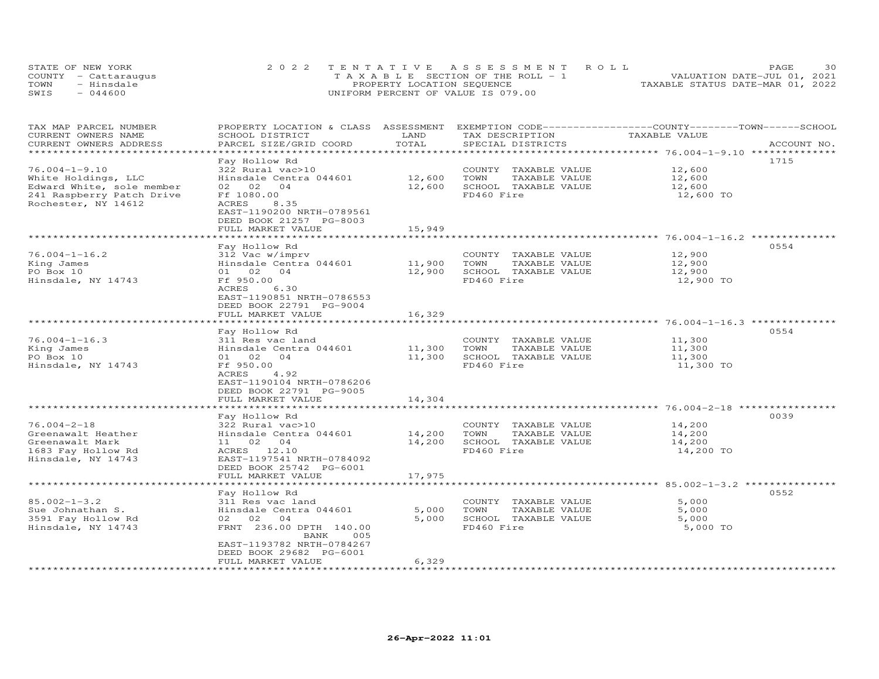| STATE OF NEW YORK    | 2022 TENTATIVE ASSESSMENT ROLL        | 30<br>PAGE.                      |
|----------------------|---------------------------------------|----------------------------------|
| COUNTY - Cattaraugus | T A X A B L E SECTION OF THE ROLL - 1 | VALUATION DATE-JUL 01, 2021      |
| TOWN<br>- Hinsdale   | PROPERTY LOCATION SEQUENCE            | TAXABLE STATUS DATE-MAR 01, 2022 |
| $-044600$<br>SWIS    | UNIFORM PERCENT OF VALUE IS 079.00    |                                  |

| TAX MAP PARCEL NUMBER<br>CURRENT OWNERS NAME                                                           | PROPERTY LOCATION & CLASS ASSESSMENT<br>SCHOOL DISTRICT                                                                                                       | LAND                  | TAX DESCRIPTION                                                                     | EXEMPTION CODE-----------------COUNTY-------TOWN------SCHOOL<br>TAXABLE VALUE |             |
|--------------------------------------------------------------------------------------------------------|---------------------------------------------------------------------------------------------------------------------------------------------------------------|-----------------------|-------------------------------------------------------------------------------------|-------------------------------------------------------------------------------|-------------|
| CURRENT OWNERS ADDRESS<br>**********************                                                       | PARCEL SIZE/GRID COORD                                                                                                                                        | TOTAL                 | SPECIAL DISTRICTS                                                                   |                                                                               | ACCOUNT NO. |
| $76.004 - 1 - 9.10$<br>White Holdings, LLC                                                             | Fay Hollow Rd<br>322 Rural vac>10<br>Hinsdale Centra 044601                                                                                                   | 12,600                | COUNTY TAXABLE VALUE<br>TOWN<br>TAXABLE VALUE                                       | 12,600<br>12,600                                                              | 1715        |
| Edward White, sole member<br>241 Raspberry Patch Drive<br>Rochester, NY 14612                          | 02 02<br>04<br>Ff 1080.00<br>ACRES<br>8.35<br>EAST-1190200 NRTH-0789561<br>DEED BOOK 21257 PG-8003                                                            | 12,600                | SCHOOL TAXABLE VALUE<br>FD460 Fire                                                  | 12,600<br>12,600 TO                                                           |             |
|                                                                                                        | FULL MARKET VALUE                                                                                                                                             | 15,949                |                                                                                     | ******************** 76.004-1-16.2 ********                                   |             |
|                                                                                                        | Fay Hollow Rd                                                                                                                                                 |                       |                                                                                     |                                                                               | 0554        |
| $76.004 - 1 - 16.2$<br>King James<br>PO Box 10<br>Hinsdale, NY 14743                                   | 312 Vac w/imprv<br>Hinsdale Centra 044601<br>01 02 04<br>Ff 950.00<br>ACRES<br>6.30                                                                           | 11,900<br>12,900      | COUNTY TAXABLE VALUE<br>TOWN<br>TAXABLE VALUE<br>SCHOOL TAXABLE VALUE<br>FD460 Fire | 12,900<br>12,900<br>12,900<br>12,900 TO                                       |             |
|                                                                                                        | EAST-1190851 NRTH-0786553<br>DEED BOOK 22791 PG-9004<br>FULL MARKET VALUE                                                                                     | 16,329<br>*********** |                                                                                     |                                                                               |             |
|                                                                                                        |                                                                                                                                                               |                       |                                                                                     | ******************** 76.004-1-16.3 *************                              | 0554        |
| $76.004 - 1 - 16.3$<br>King James<br>PO Box 10<br>Hinsdale, NY 14743                                   | Fay Hollow Rd<br>311 Res vac land<br>Hinsdale Centra 044601<br>01 02 04<br>Ff 950.00<br>ACRES<br>4.92<br>EAST-1190104 NRTH-0786206<br>DEED BOOK 22791 PG-9005 | 11,300<br>11,300      | COUNTY TAXABLE VALUE<br>TOWN<br>TAXABLE VALUE<br>SCHOOL TAXABLE VALUE<br>FD460 Fire | 11,300<br>11,300<br>11,300<br>11,300 TO                                       |             |
|                                                                                                        | FULL MARKET VALUE                                                                                                                                             | 14,304                |                                                                                     |                                                                               |             |
|                                                                                                        |                                                                                                                                                               |                       |                                                                                     | ************************ 76.004-2-18 *****                                    | 0039        |
| $76.004 - 2 - 18$<br>Greenawalt Heather<br>Greenawalt Mark<br>1683 Fay Hollow Rd<br>Hinsdale, NY 14743 | Fay Hollow Rd<br>322 Rural vac>10<br>Hinsdale Centra 044601<br>11 02 04<br>ACRES 12.10<br>EAST-1197541 NRTH-0784092                                           | 14,200<br>14,200      | COUNTY TAXABLE VALUE<br>TAXABLE VALUE<br>TOWN<br>SCHOOL TAXABLE VALUE<br>FD460 Fire | 14,200<br>14,200<br>14,200<br>14,200 TO                                       |             |
|                                                                                                        | DEED BOOK 25742 PG-6001<br>FULL MARKET VALUE                                                                                                                  | 17,975                |                                                                                     |                                                                               |             |
|                                                                                                        |                                                                                                                                                               |                       |                                                                                     | ******************************** 85.002-1-3.2 ***************                 |             |
| $85.002 - 1 - 3.2$                                                                                     | Fay Hollow Rd<br>311 Res vac land                                                                                                                             |                       | COUNTY TAXABLE VALUE                                                                | 5,000                                                                         | 0552        |
| Sue Johnathan S.<br>3591 Fay Hollow Rd<br>Hinsdale, NY 14743                                           | Hinsdale Centra 044601<br>02 02 04<br>FRNT 236.00 DPTH 140.00                                                                                                 | 5,000<br>5,000        | TOWN<br>TAXABLE VALUE<br>SCHOOL TAXABLE VALUE<br>FD460 Fire                         | 5,000<br>5,000<br>5,000 TO                                                    |             |
|                                                                                                        | BANK<br>005<br>EAST-1193782 NRTH-0784267<br>DEED BOOK 29682 PG-6001<br>FULL MARKET VALUE                                                                      | 6,329                 |                                                                                     |                                                                               |             |
| **********************                                                                                 |                                                                                                                                                               |                       |                                                                                     |                                                                               |             |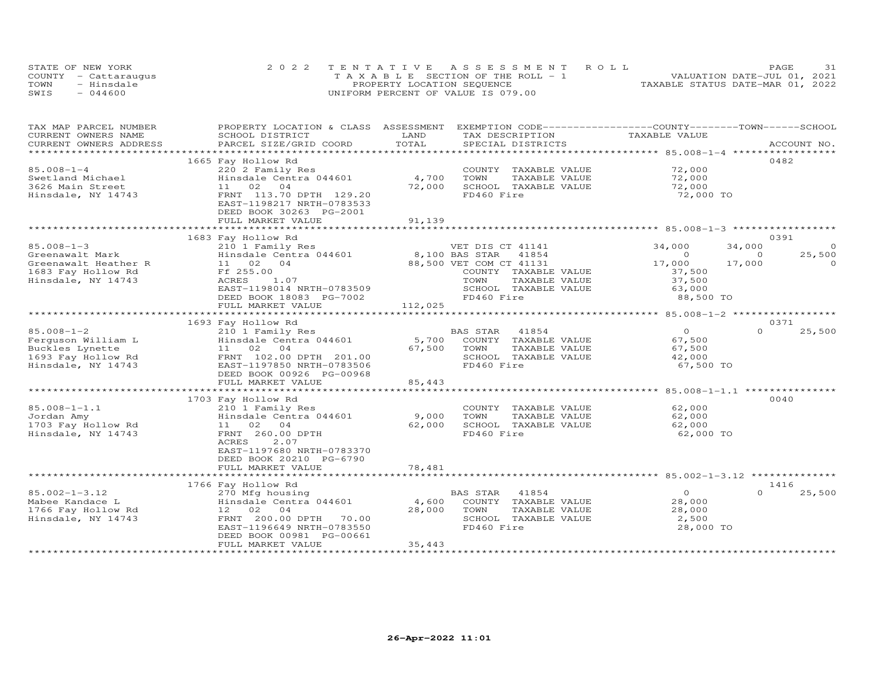| STATE OF NEW YORK |                      | 2022 TENTATIVE ASSESSMENT ROLL        | 31<br>PAGE                       |
|-------------------|----------------------|---------------------------------------|----------------------------------|
|                   | COUNTY - Cattaraugus | T A X A B L E SECTION OF THE ROLL - 1 | VALUATION DATE-JUL 01, 2021      |
| TOWN              | - Hinsdale           | PROPERTY LOCATION SEQUENCE            | TAXABLE STATUS DATE-MAR 01, 2022 |
| SWIS              | $-044600$            | UNIFORM PERCENT OF VALUE IS 079.00    |                                  |

| TAX MAP PARCEL NUMBER  | PROPERTY LOCATION & CLASS ASSESSMENT |                    | EXEMPTION CODE------------------COUNTY-------TOWN------SCHOOL |                                                           |                    |
|------------------------|--------------------------------------|--------------------|---------------------------------------------------------------|-----------------------------------------------------------|--------------------|
| CURRENT OWNERS NAME    | SCHOOL DISTRICT                      | LAND               | TAX DESCRIPTION                                               | TAXABLE VALUE                                             |                    |
| CURRENT OWNERS ADDRESS | PARCEL SIZE/GRID COORD               | TOTAL              | SPECIAL DISTRICTS                                             |                                                           | ACCOUNT NO.        |
|                        |                                      |                    |                                                               |                                                           | 0482               |
| $85.008 - 1 - 4$       | 1665 Fay Hollow Rd                   |                    |                                                               | 72,000                                                    |                    |
|                        | 220 2 Family Res                     |                    | COUNTY TAXABLE VALUE                                          |                                                           |                    |
| Swetland Michael       | Hinsdale Centra 044601               | 4,700              | TOWN<br>TAXABLE VALUE                                         | 72,000                                                    |                    |
| 3626 Main Street       | 11 02<br>04                          | 72,000             | SCHOOL TAXABLE VALUE                                          | 72,000                                                    |                    |
| Hinsdale, NY 14743     | FRNT 113.70 DPTH 129.20              |                    | FD460 Fire                                                    | 72,000 TO                                                 |                    |
|                        | EAST-1198217 NRTH-0783533            |                    |                                                               |                                                           |                    |
|                        | DEED BOOK 30263 PG-2001              |                    |                                                               |                                                           |                    |
|                        | FULL MARKET VALUE                    | 91,139             |                                                               |                                                           |                    |
|                        |                                      |                    |                                                               |                                                           |                    |
|                        | 1683 Fay Hollow Rd                   |                    |                                                               |                                                           | 0391               |
| $85.008 - 1 - 3$       | 210 1 Family Res                     |                    | VET DIS CT 41141                                              | 34,000                                                    | 34,000<br>$\circ$  |
| Greenawalt Mark        | Hinsdale Centra 044601               |                    | 8,100 BAS STAR 41854                                          | $\Omega$                                                  | 25,500<br>$\Omega$ |
| Greenawalt Heather R   | 11 02<br>04                          |                    | 88,500 VET COM CT 41131                                       | 17,000                                                    | 17,000<br>$\Omega$ |
| 1683 Fay Hollow Rd     | Ff 255.00                            |                    | COUNTY TAXABLE VALUE                                          | 37,500                                                    |                    |
| Hinsdale, NY 14743     | ACRES<br>1.07                        |                    | TOWN<br>TAXABLE VALUE                                         | 37,500                                                    |                    |
|                        | EAST-1198014 NRTH-0783509            |                    | SCHOOL TAXABLE VALUE                                          | 63,000                                                    |                    |
|                        | DEED BOOK 18083 PG-7002              |                    | FD460 Fire                                                    | 88,500 TO                                                 |                    |
|                        | FULL MARKET VALUE                    | 112,025            |                                                               |                                                           |                    |
|                        | ************************             |                    |                                                               |                                                           |                    |
|                        | 1693 Fay Hollow Rd                   |                    |                                                               |                                                           | 0371               |
| $85.008 - 1 - 2$       | 210 1 Family Res                     |                    | BAS STAR<br>41854                                             | $\circ$                                                   | 25,500<br>$\Omega$ |
| Ferquson William L     | Hinsdale Centra 044601               | 5,700              | COUNTY TAXABLE VALUE                                          | 67,500                                                    |                    |
| Buckles Lynette        | 11 02<br>04                          | 67,500             | TOWN<br>TAXABLE VALUE                                         | 67,500                                                    |                    |
| 1693 Fay Hollow Rd     | FRNT 102.00 DPTH 201.00              |                    | SCHOOL TAXABLE VALUE                                          | 42,000                                                    |                    |
| Hinsdale, NY 14743     | EAST-1197850 NRTH-0783506            |                    | FD460 Fire                                                    | 67,500 TO                                                 |                    |
|                        | DEED BOOK 00926 PG-00968             |                    |                                                               |                                                           |                    |
|                        | FULL MARKET VALUE                    | 85,443             |                                                               |                                                           |                    |
|                        | *************************            | ****************** |                                                               |                                                           |                    |
|                        | 1703 Fay Hollow Rd                   |                    |                                                               |                                                           | 0040               |
| $85.008 - 1 - 1.1$     | 210 1 Family Res                     |                    | COUNTY TAXABLE VALUE                                          | 62,000                                                    |                    |
| Jordan Amy             | Hinsdale Centra 044601               | 9,000              | TOWN<br>TAXABLE VALUE                                         | 62,000                                                    |                    |
| 1703 Fay Hollow Rd     | 11 02 04                             | 62,000             | SCHOOL TAXABLE VALUE                                          | 62,000                                                    |                    |
| Hinsdale, NY 14743     | FRNT 260.00 DPTH                     |                    | FD460 Fire                                                    | 62,000 TO                                                 |                    |
|                        | <b>ACRES</b><br>2.07                 |                    |                                                               |                                                           |                    |
|                        | EAST-1197680 NRTH-0783370            |                    |                                                               |                                                           |                    |
|                        | DEED BOOK 20210 PG-6790              |                    |                                                               |                                                           |                    |
|                        | FULL MARKET VALUE                    | 78,481             |                                                               |                                                           |                    |
|                        |                                      | <b>.</b>           |                                                               | *************************** 85.002-1-3.12 *************** |                    |
|                        | 1766 Fay Hollow Rd                   |                    |                                                               |                                                           | 1416               |
| $85.002 - 1 - 3.12$    | 270 Mfg housing                      |                    | BAS STAR<br>41854                                             | $\overline{0}$                                            | 25,500<br>$\Omega$ |
| Mabee Kandace L        | Hinsdale Centra 044601               | 4,600              | COUNTY TAXABLE VALUE                                          | 28,000                                                    |                    |
| 1766 Fay Hollow Rd     | 12 02<br>04                          | 28,000             | TOWN<br>TAXABLE VALUE                                         | 28,000                                                    |                    |
| Hinsdale, NY 14743     | FRNT 200.00 DPTH 70.00               |                    | SCHOOL TAXABLE VALUE                                          | 2,500                                                     |                    |
|                        | EAST-1196649 NRTH-0783550            |                    | FD460 Fire                                                    | 28,000 TO                                                 |                    |
|                        | DEED BOOK 00981 PG-00661             |                    |                                                               |                                                           |                    |
|                        | FULL MARKET VALUE                    | 35,443             |                                                               |                                                           |                    |
|                        |                                      |                    |                                                               |                                                           |                    |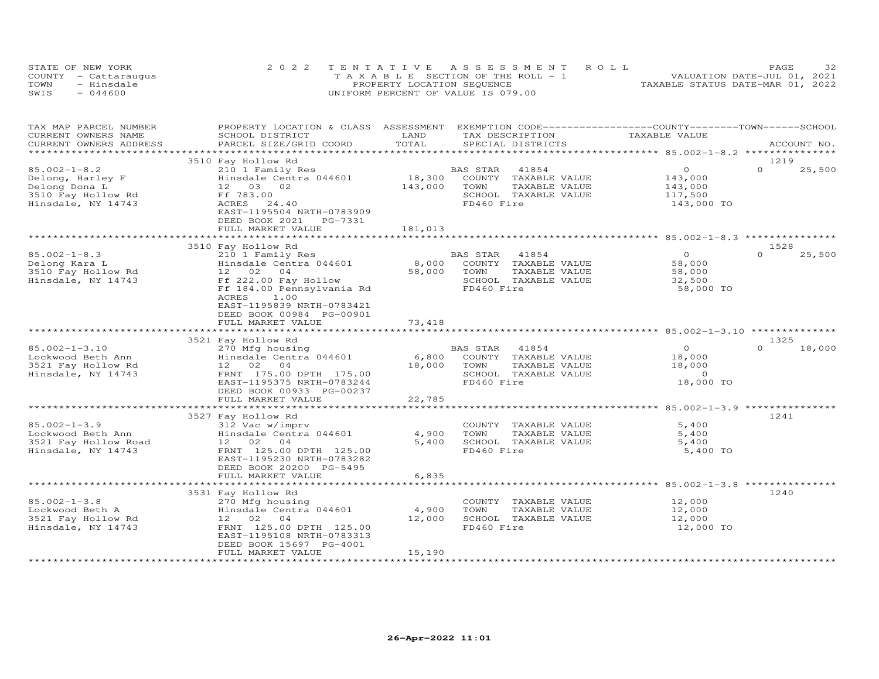| STATE OF NEW YORK |                      | 2022 TENTATIVE ASSESSMENT ROLL        | 32<br>PAGE                       |
|-------------------|----------------------|---------------------------------------|----------------------------------|
|                   | COUNTY - Cattaraugus | T A X A B L E SECTION OF THE ROLL - 1 | VALUATION DATE-JUL 01, 2021      |
| TOWN              | - Hinsdale           | PROPERTY LOCATION SEQUENCE            | TAXABLE STATUS DATE-MAR 01, 2022 |
| SWIS              | $-044600$            | UNIFORM PERCENT OF VALUE IS 079.00    |                                  |

| TAX MAP PARCEL NUMBER<br>CURRENT OWNERS NAME                                                        | PROPERTY LOCATION & CLASS ASSESSMENT<br>SCHOOL DISTRICT                                                                                                                                                     | LAND<br>TOTAL                | EXEMPTION CODE-----------------COUNTY-------TOWN------SCHOOL<br>TAX DESCRIPTION                          | TAXABLE VALUE                                                     | ACCOUNT NO.                |
|-----------------------------------------------------------------------------------------------------|-------------------------------------------------------------------------------------------------------------------------------------------------------------------------------------------------------------|------------------------------|----------------------------------------------------------------------------------------------------------|-------------------------------------------------------------------|----------------------------|
| CURRENT OWNERS ADDRESS<br>**********************                                                    | PARCEL SIZE/GRID COORD                                                                                                                                                                                      |                              | SPECIAL DISTRICTS                                                                                        |                                                                   |                            |
|                                                                                                     | 3510 Fay Hollow Rd                                                                                                                                                                                          |                              |                                                                                                          |                                                                   | 1219                       |
| $85.002 - 1 - 8.2$<br>Delong, Harley F<br>Delong Dona L<br>3510 Fay Hollow Rd<br>Hinsdale, NY 14743 | 210 1 Family Res<br>Hinsdale Centra 044601<br>12  03  02<br>Ff 783.00<br>ACRES<br>24.40<br>EAST-1195504 NRTH-0783909<br>DEED BOOK 2021<br>PG-7331<br>FULL MARKET VALUE                                      | 18,300<br>143,000<br>181,013 | 41854<br>BAS STAR<br>COUNTY TAXABLE VALUE<br>TOWN<br>TAXABLE VALUE<br>SCHOOL TAXABLE VALUE<br>FD460 Fire | $\circ$<br>143,000<br>143,000<br>117,500<br>143,000 TO            | $\Omega$<br>25,500         |
|                                                                                                     |                                                                                                                                                                                                             |                              |                                                                                                          |                                                                   |                            |
| $85.002 - 1 - 8.3$<br>Delong Kara L<br>3510 Fay Hollow Rd<br>Hinsdale, NY 14743                     | 3510 Fay Hollow Rd<br>210 1 Family Res<br>Hinsdale Centra 044601<br>12 02 04<br>Ff 222.00 Fay Hollow<br>Ff 184.00 Pennsylvania Rd<br>1.00<br>ACRES<br>EAST-1195839 NRTH-0783421<br>DEED BOOK 00984 PG-00901 | 8,000<br>58,000              | BAS STAR<br>41854<br>COUNTY TAXABLE VALUE<br>TOWN<br>TAXABLE VALUE<br>SCHOOL TAXABLE VALUE<br>FD460 Fire | $\circ$<br>58,000<br>58,000<br>32,500<br>58,000 TO                | 1528<br>$\Omega$<br>25,500 |
|                                                                                                     | FULL MARKET VALUE                                                                                                                                                                                           | 73,418                       |                                                                                                          |                                                                   |                            |
|                                                                                                     |                                                                                                                                                                                                             | *************                |                                                                                                          |                                                                   |                            |
|                                                                                                     | 3521 Fay Hollow Rd                                                                                                                                                                                          |                              |                                                                                                          |                                                                   | 1325                       |
| $85.002 - 1 - 3.10$<br>Lockwood Beth Ann<br>3521 Fay Hollow Rd<br>Hinsdale, NY 14743                | 270 Mfg housing<br>Hinsdale Centra 044601<br>12 02 04<br>FRNT 175.00 DPTH 175.00<br>EAST-1195375 NRTH-0783244<br>DEED BOOK 00933 PG-00237<br>FULL MARKET VALUE                                              | 6,800<br>18,000<br>22,785    | BAS STAR<br>41854<br>COUNTY TAXABLE VALUE<br>TOWN<br>TAXABLE VALUE<br>SCHOOL TAXABLE VALUE<br>FD460 Fire | $\overline{0}$<br>18,000<br>18,000<br>$\overline{O}$<br>18,000 TO | $\Omega$<br>18,000         |
|                                                                                                     |                                                                                                                                                                                                             |                              |                                                                                                          |                                                                   |                            |
| $85.002 - 1 - 3.9$<br>Lockwood Beth Ann<br>3521 Fay Hollow Road<br>Hinsdale, NY 14743               | 3527 Fay Hollow Rd<br>312 Vac w/imprv<br>Hinsdale Centra 044601<br>12 02<br>04<br>FRNT 125.00 DPTH 125.00<br>EAST-1195230 NRTH-0783282<br>DEED BOOK 20200 PG-5495<br>FULL MARKET VALUE                      | 4,900<br>5,400<br>6,835      | COUNTY TAXABLE VALUE<br>TOWN<br>TAXABLE VALUE<br>SCHOOL TAXABLE VALUE<br>FD460 Fire                      | 5,400<br>5,400<br>5,400<br>5,400 TO                               | 1241                       |
|                                                                                                     |                                                                                                                                                                                                             |                              |                                                                                                          |                                                                   |                            |
|                                                                                                     | 3531 Fay Hollow Rd                                                                                                                                                                                          |                              |                                                                                                          |                                                                   | 1240                       |
| $85.002 - 1 - 3.8$<br>Lockwood Beth A<br>3521 Fay Hollow Rd<br>Hinsdale, NY 14743                   | 270 Mfg housing<br>Hinsdale Centra 044601<br>12 02 04<br>FRNT 125.00 DPTH 125.00<br>EAST-1195108 NRTH-0783313<br>DEED BOOK 15697 PG-4001<br>FULL MARKET VALUE                                               | 4,900<br>12,000<br>15,190    | COUNTY TAXABLE VALUE<br>TOWN<br>TAXABLE VALUE<br>SCHOOL TAXABLE VALUE<br>FD460 Fire                      | 12,000<br>12,000<br>12,000<br>12,000 TO                           |                            |
|                                                                                                     |                                                                                                                                                                                                             |                              |                                                                                                          |                                                                   |                            |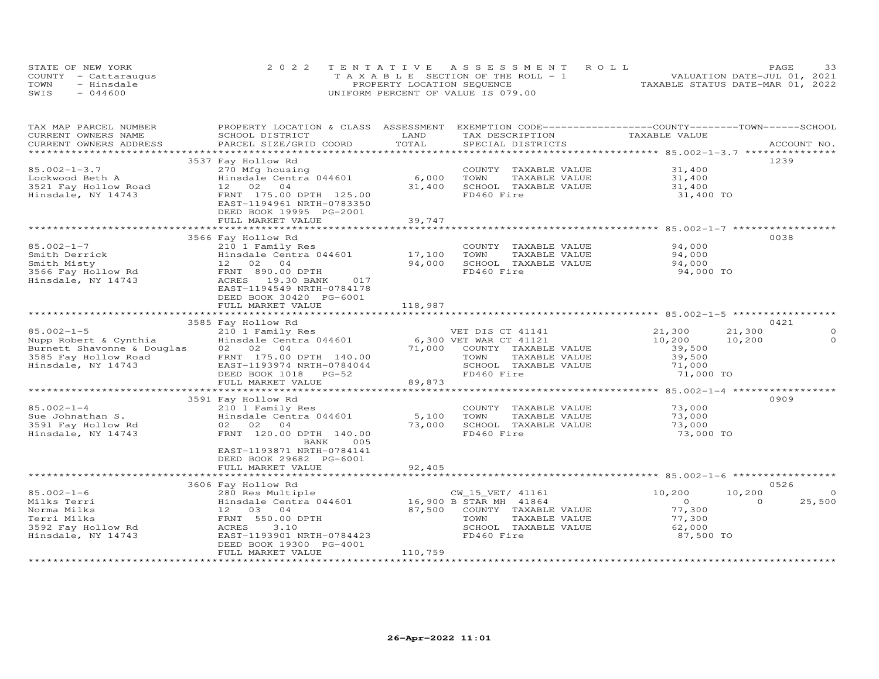|      | STATE OF NEW YORK    | 2022 TENTATIVE ASSESSMENT ROLL        | 33<br>PAGE                       |
|------|----------------------|---------------------------------------|----------------------------------|
|      | COUNTY - Cattaraugus | T A X A B L E SECTION OF THE ROLL - 1 | VALUATION DATE-JUL 01, 2021      |
| TOWN | - Hinsdale           | PROPERTY LOCATION SEQUENCE            | TAXABLE STATUS DATE-MAR 01, 2022 |
| SWIS | $-044600$            | UNIFORM PERCENT OF VALUE IS 079.00    |                                  |

| TAX MAP PARCEL NUMBER<br>CURRENT OWNERS NAME                                       | PROPERTY LOCATION & CLASS ASSESSMENT EXEMPTION CODE----------------COUNTY-------TOWN------SCHOOL<br>SCHOOL DISTRICT | LAND    | TAX DESCRIPTION             | TAXABLE VALUE  |                    |
|------------------------------------------------------------------------------------|---------------------------------------------------------------------------------------------------------------------|---------|-----------------------------|----------------|--------------------|
|                                                                                    |                                                                                                                     |         |                             |                |                    |
|                                                                                    |                                                                                                                     |         |                             |                | 1239               |
| $85.002 - 1 - 3.7$                                                                 | 3537 Fay Hollow Rd                                                                                                  |         |                             | 31,400         |                    |
|                                                                                    | 270 Mfg housing<br>Hinsdale Centra $044601$ 6,000                                                                   |         | COUNTY TAXABLE VALUE        |                |                    |
| Lockwood Beth A                                                                    |                                                                                                                     |         | TOWN<br>TAXABLE VALUE       | 31,400         |                    |
| 3521 Fay Hollow Road                                                               | 12 02 04                                                                                                            | 31,400  | SCHOOL TAXABLE VALUE        | 31,400         |                    |
| Hinsdale, NY 14743                                                                 | FRNT 175.00 DPTH 125.00<br>EAST-1194961 NRTH-0783350<br>DEED BOOK 19995 PG-2001                                     |         | FD460 Fire                  | 31,400 TO      |                    |
|                                                                                    | FULL MARKET VALUE                                                                                                   | 39,747  |                             |                |                    |
|                                                                                    |                                                                                                                     |         |                             |                |                    |
|                                                                                    | 3566 Fay Hollow Rd                                                                                                  |         |                             |                | 0038               |
| 85.002-1-7                                                                         | 210 1 Family Res                                                                                                    |         | COUNTY TAXABLE VALUE        | 94,000         |                    |
| Smith Derrick                                                                      | Hinsdale Centra 044601 17,100                                                                                       |         | TOWN<br>TAXABLE VALUE       | 94,000         |                    |
|                                                                                    |                                                                                                                     | 94,000  | SCHOOL TAXABLE VALUE        | 94,000         |                    |
|                                                                                    |                                                                                                                     |         | FD460 Fire                  | 94,000 TO      |                    |
| Hinsdale, NY 14743                                                                 | ACRES 19.30 BANK<br>017<br>EAST-1194549 NRTH-0784178<br>DEED BOOK 30420 PG-6001                                     |         |                             |                |                    |
|                                                                                    | FULL MARKET VALUE                                                                                                   | 118,987 |                             |                |                    |
|                                                                                    |                                                                                                                     |         |                             |                |                    |
|                                                                                    | 3585 Fay Hollow Rd                                                                                                  |         |                             |                | 0421               |
| $85.002 - 1 - 5$                                                                   | 210 1 Family Res                                                                                                    |         | VET DIS CT 41141            | 21,300         | 21,300<br>$\circ$  |
| Nupp Robert & Cynthia Hinsdale Cent<br>Burnett Shavonne & Douglas 02 02 04         | Hinsdale Centra 044601                                                                                              |         | 6,300 VET WAR CT 41121      | 10,200         | $\circ$<br>10,200  |
|                                                                                    |                                                                                                                     | 71,000  | COUNTY TAXABLE VALUE        | 39,500         |                    |
| 3585 Fay Hollow Road (175.00 DPTH 140.00<br>Hinsdale, NY 14743 (175.00 DPTH 140.00 |                                                                                                                     |         | TOWN<br>TAXABLE VALUE       | 39,500         |                    |
|                                                                                    |                                                                                                                     |         | SCHOOL TAXABLE VALUE        | 71,000         |                    |
|                                                                                    | DEED BOOK 1018 PG-52                                                                                                |         | FD460 Fire                  | 71,000 TO      |                    |
|                                                                                    | FULL MARKET VALUE                                                                                                   | 89,873  |                             |                |                    |
|                                                                                    |                                                                                                                     |         |                             |                |                    |
|                                                                                    | 3591 Fay Hollow Rd                                                                                                  |         |                             |                | 0909               |
| $85.002 - 1 - 4$                                                                   | 210 1 Family Res                                                                                                    |         | COUNTY TAXABLE VALUE        | 73,000         |                    |
| Sue Johnathan S.                                                                   | Hinsdale Centra 044601                                                                                              | 5,100   | TOWN<br>TAXABLE VALUE       | 73,000         |                    |
| 3591 Fay Hollow Rd                                                                 | 02 02 04                                                                                                            | 73,000  | SCHOOL TAXABLE VALUE        | 73,000         |                    |
| Hinsdale, NY 14743                                                                 | FRNT 120.00 DPTH 140.00<br>BANK<br>005                                                                              |         | FD460 Fire                  | 73,000 TO      |                    |
|                                                                                    | EAST-1193871 NRTH-0784141                                                                                           |         |                             |                |                    |
|                                                                                    | DEED BOOK 29682 PG-6001                                                                                             |         |                             |                |                    |
|                                                                                    | FULL MARKET VALUE                                                                                                   | 92,405  |                             |                |                    |
|                                                                                    |                                                                                                                     |         |                             |                |                    |
|                                                                                    | 3606 Fay Hollow Rd                                                                                                  |         |                             |                | 0526               |
| $85.002 - 1 - 6$                                                                   | 280 Res Multiple                                                                                                    |         | CW_15_VET/ 41161            | 10,200         | 10,200<br>$\Omega$ |
| Milks Terri                                                                        | Hinsdale Centra 044601 16,900 B STAR MH 41864                                                                       |         |                             | $\overline{0}$ | 25,500<br>$\Omega$ |
| Norma Milks                                                                        | 12 03 04                                                                                                            |         | 87,500 COUNTY TAXABLE VALUE | 77,300         |                    |
| Terri Milks                                                                        | FRNT 550.00 DPTH                                                                                                    |         | TOWN<br>TAXABLE VALUE       | 77,300         |                    |
| 3592 Fay Hollow Rd                                                                 | ACRES<br>3.10                                                                                                       |         | SCHOOL TAXABLE VALUE        | 62,000         |                    |
| Hinsdale, NY 14743                                                                 | EAST-1193901 NRTH-0784423<br>DEED BOOK 19300 PG-4001                                                                |         | FD460 Fire                  | 87,500 TO      |                    |
|                                                                                    | FULL MARKET VALUE                                                                                                   | 110,759 |                             |                |                    |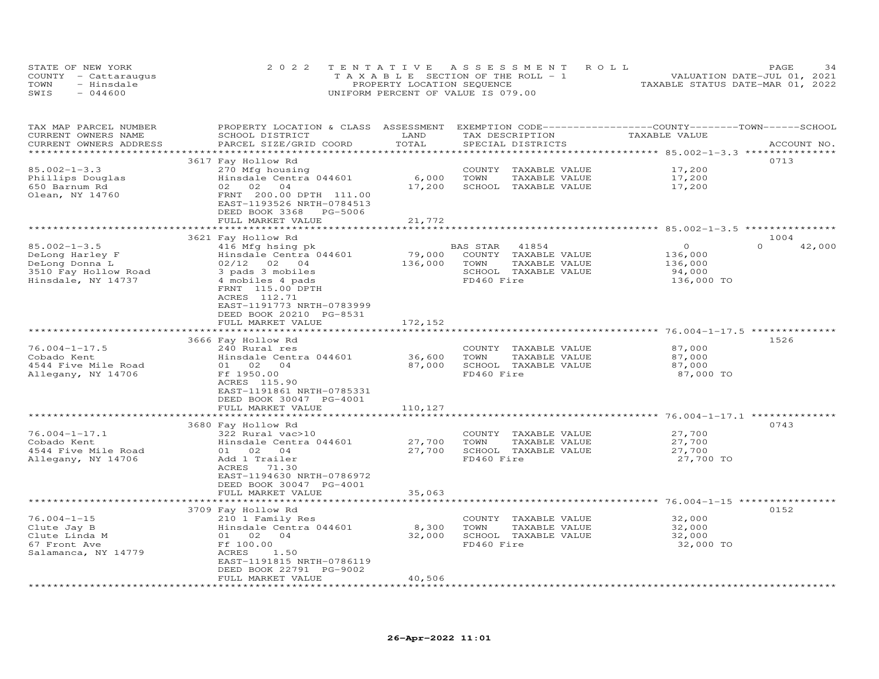| STATE OF NEW YORK    | 2022 TENTATIVE ASSESSMENT ROLL        |                                  | PAGE                        | 34 |
|----------------------|---------------------------------------|----------------------------------|-----------------------------|----|
| COUNTY - Cattaraugus | T A X A B L E SECTION OF THE ROLL - 1 |                                  | VALUATION DATE-JUL 01, 2021 |    |
| TOWN<br>- Hinsdale   | PROPERTY LOCATION SEQUENCE            | TAXABLE STATUS DATE-MAR 01, 2022 |                             |    |
| SWIS<br>$-044600$    | UNIFORM PERCENT OF VALUE IS 079.00    |                                  |                             |    |

| TAX MAP PARCEL NUMBER<br>CURRENT OWNERS NAME<br>CURRENT OWNERS ADDRESS | PROPERTY LOCATION & CLASS ASSESSMENT<br>SCHOOL DISTRICT<br>PARCEL SIZE/GRID COORD | LAND<br>TOTAL         | EXEMPTION CODE-----------------COUNTY-------TOWN-----SCHOOL<br>TAX DESCRIPTION<br>SPECIAL DISTRICTS | TAXABLE VALUE                                                      | ACCOUNT NO.        |
|------------------------------------------------------------------------|-----------------------------------------------------------------------------------|-----------------------|-----------------------------------------------------------------------------------------------------|--------------------------------------------------------------------|--------------------|
| ******************                                                     |                                                                                   |                       |                                                                                                     |                                                                    |                    |
|                                                                        | 3617 Fay Hollow Rd                                                                |                       |                                                                                                     |                                                                    | 0713               |
| $85.002 - 1 - 3.3$                                                     | 270 Mfg housing                                                                   |                       | COUNTY<br>TAXABLE VALUE                                                                             | 17,200                                                             |                    |
| Phillips Douglas                                                       | Hinsdale Centra 044601                                                            | 6,000                 | TAXABLE VALUE<br>TOWN                                                                               | 17,200                                                             |                    |
| 650 Barnum Rd                                                          | 02 02<br>04                                                                       | 17,200                | SCHOOL TAXABLE VALUE                                                                                | 17,200                                                             |                    |
| Olean, NY 14760                                                        | FRNT 200.00 DPTH 111.00                                                           |                       |                                                                                                     |                                                                    |                    |
|                                                                        | EAST-1193526 NRTH-0784513                                                         |                       |                                                                                                     |                                                                    |                    |
|                                                                        | DEED BOOK 3368<br>PG-5006                                                         |                       |                                                                                                     |                                                                    |                    |
|                                                                        | FULL MARKET VALUE                                                                 | 21,772                |                                                                                                     |                                                                    |                    |
|                                                                        |                                                                                   |                       |                                                                                                     |                                                                    |                    |
|                                                                        | 3621 Fay Hollow Rd                                                                |                       |                                                                                                     |                                                                    | 1004               |
| $85.002 - 1 - 3.5$                                                     | 416 Mfg hsing pk                                                                  |                       | BAS STAR<br>41854                                                                                   | $\circ$                                                            | $\Omega$<br>42,000 |
| DeLong Harley F                                                        | Hinsdale Centra 044601                                                            | 79,000                | COUNTY TAXABLE VALUE                                                                                | 136,000                                                            |                    |
| DeLong Donna L                                                         | $02/12$ 02<br>04                                                                  | 136,000               | TOWN<br>TAXABLE VALUE                                                                               | 136,000                                                            |                    |
| 3510 Fay Hollow Road                                                   | 3 pads 3 mobiles                                                                  |                       | SCHOOL TAXABLE VALUE                                                                                | 94,000                                                             |                    |
| Hinsdale, NY 14737                                                     | 4 mobiles 4 pads                                                                  |                       | FD460 Fire                                                                                          | 136,000 TO                                                         |                    |
|                                                                        | FRNT 115.00 DPTH                                                                  |                       |                                                                                                     |                                                                    |                    |
|                                                                        | ACRES 112.71                                                                      |                       |                                                                                                     |                                                                    |                    |
|                                                                        | EAST-1191773 NRTH-0783999                                                         |                       |                                                                                                     |                                                                    |                    |
|                                                                        | DEED BOOK 20210 PG-8531                                                           |                       |                                                                                                     |                                                                    |                    |
|                                                                        |                                                                                   |                       |                                                                                                     |                                                                    |                    |
|                                                                        | FULL MARKET VALUE                                                                 | 172,152<br>********** |                                                                                                     | ************************************ 76.004-1-17.5 *************** |                    |
|                                                                        |                                                                                   |                       |                                                                                                     |                                                                    | 1526               |
|                                                                        | 3666 Fay Hollow Rd                                                                |                       |                                                                                                     |                                                                    |                    |
| $76.004 - 1 - 17.5$                                                    | 240 Rural res                                                                     |                       | COUNTY TAXABLE VALUE                                                                                | 87,000                                                             |                    |
| Cobado Kent                                                            | Hinsdale Centra 044601                                                            | 36,600                | TOWN<br>TAXABLE VALUE                                                                               | 87,000                                                             |                    |
| 4544 Five Mile Road                                                    | 01 02 04                                                                          | 87,000                | SCHOOL TAXABLE VALUE                                                                                | 87,000                                                             |                    |
| Allegany, NY 14706                                                     | Ff 1950.00                                                                        |                       | FD460 Fire                                                                                          | 87,000 TO                                                          |                    |
|                                                                        | ACRES 115.90                                                                      |                       |                                                                                                     |                                                                    |                    |
|                                                                        | EAST-1191861 NRTH-0785331                                                         |                       |                                                                                                     |                                                                    |                    |
|                                                                        | DEED BOOK 30047 PG-4001                                                           |                       |                                                                                                     |                                                                    |                    |
|                                                                        | FULL MARKET VALUE                                                                 | 110,127               |                                                                                                     |                                                                    |                    |
|                                                                        | ***********************                                                           | ***********           |                                                                                                     |                                                                    |                    |
|                                                                        | 3680 Fay Hollow Rd                                                                |                       |                                                                                                     |                                                                    | 0743               |
| $76.004 - 1 - 17.1$                                                    | 322 Rural vac>10                                                                  |                       | COUNTY TAXABLE VALUE                                                                                | 27,700                                                             |                    |
| Cobado Kent                                                            | Hinsdale Centra 044601                                                            | 27,700                | TOWN<br>TAXABLE VALUE                                                                               | 27,700                                                             |                    |
| 4544 Five Mile Road                                                    | 01 02 04                                                                          | 27,700                | SCHOOL TAXABLE VALUE                                                                                | 27,700                                                             |                    |
| Allegany, NY 14706                                                     | Add 1 Trailer                                                                     |                       | FD460 Fire                                                                                          | 27,700 TO                                                          |                    |
|                                                                        | ACRES<br>71.30                                                                    |                       |                                                                                                     |                                                                    |                    |
|                                                                        | EAST-1194630 NRTH-0786972                                                         |                       |                                                                                                     |                                                                    |                    |
|                                                                        | DEED BOOK 30047 PG-4001                                                           |                       |                                                                                                     |                                                                    |                    |
|                                                                        | FULL MARKET VALUE                                                                 | 35,063                |                                                                                                     |                                                                    |                    |
|                                                                        |                                                                                   |                       |                                                                                                     |                                                                    |                    |
|                                                                        | 3709 Fay Hollow Rd                                                                |                       |                                                                                                     |                                                                    | 0152               |
| $76.004 - 1 - 15$                                                      | 210 1 Family Res                                                                  |                       | COUNTY TAXABLE VALUE                                                                                | 32,000                                                             |                    |
| Clute Jay B                                                            | Hinsdale Centra 044601                                                            | 8,300                 | TOWN<br>TAXABLE VALUE                                                                               | 32,000                                                             |                    |
| Clute Linda M                                                          | 02<br>04<br>01                                                                    | 32,000                | SCHOOL TAXABLE VALUE                                                                                | 32,000                                                             |                    |
| 67 Front Ave                                                           | Ff 100.00                                                                         |                       | FD460 Fire                                                                                          | 32,000 TO                                                          |                    |
| Salamanca, NY 14779                                                    | ACRES<br>1.50                                                                     |                       |                                                                                                     |                                                                    |                    |
|                                                                        | EAST-1191815 NRTH-0786119                                                         |                       |                                                                                                     |                                                                    |                    |
|                                                                        | DEED BOOK 22791 PG-9002                                                           |                       |                                                                                                     |                                                                    |                    |
|                                                                        | FULL MARKET VALUE                                                                 | 40,506                |                                                                                                     |                                                                    |                    |
|                                                                        |                                                                                   |                       |                                                                                                     |                                                                    |                    |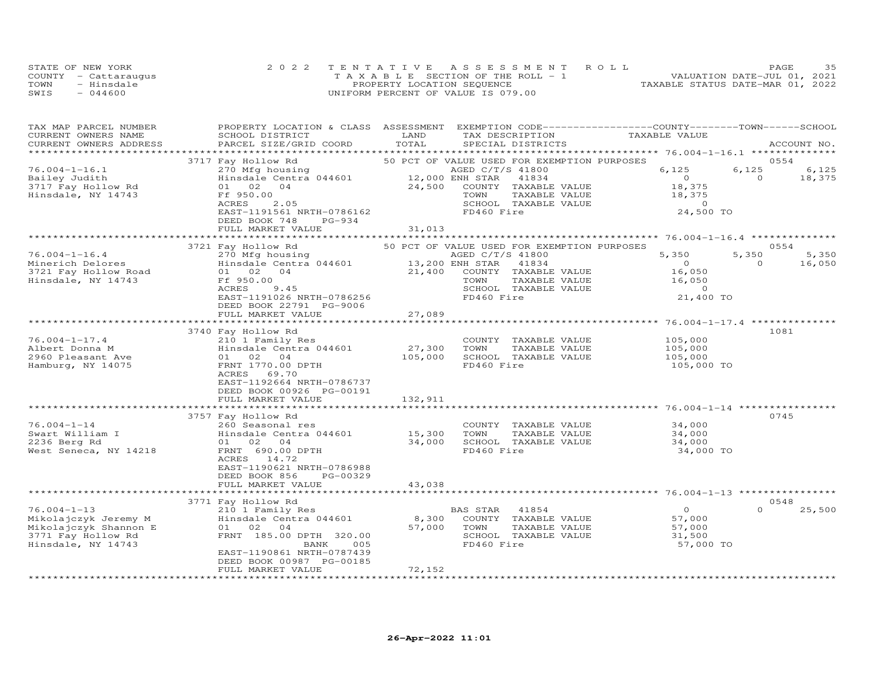|      | STATE OF NEW YORK    | 2022 TENTATIVE ASSESSMENT ROLL        | 35<br>PAGE.                      |
|------|----------------------|---------------------------------------|----------------------------------|
|      | COUNTY - Cattaraugus | T A X A B L E SECTION OF THE ROLL - 1 | VALUATION DATE-JUL 01, 2021      |
| TOWN | - Hinsdale           | PROPERTY LOCATION SEQUENCE            | TAXABLE STATUS DATE-MAR 01, 2022 |
| SWIS | $-044600$            | UNIFORM PERCENT OF VALUE IS 079.00    |                                  |

| TAX MAP PARCEL NUMBER<br>CURRENT OWNERS NAME | PROPERTY LOCATION & CLASS ASSESSMENT<br>SCHOOL DISTRICT | LAND            | EXEMPTION CODE-----------------COUNTY-------TOWN------SCHOOL<br>TAX DESCRIPTION | TAXABLE VALUE  |                    |
|----------------------------------------------|---------------------------------------------------------|-----------------|---------------------------------------------------------------------------------|----------------|--------------------|
| CURRENT OWNERS ADDRESS                       | PARCEL SIZE/GRID COORD                                  | TOTAL           | SPECIAL DISTRICTS                                                               |                | ACCOUNT NO.        |
|                                              |                                                         |                 | 50 PCT OF VALUE USED FOR EXEMPTION PURPOSES                                     |                | 0554               |
| $76.004 - 1 - 16.1$                          | 3717 Fay Hollow Rd                                      |                 | AGED C/T/S 41800                                                                | 6,125          | 6,125<br>6,125     |
|                                              | 270 Mfg housing                                         |                 |                                                                                 | $\overline{0}$ | $\overline{0}$     |
| Bailey Judith                                | Hinsdale Centra 044601                                  | 12,000 ENH STAR | 41834                                                                           |                | 18,375             |
| 3717 Fay Hollow Rd                           | 01 02<br>04                                             | 24,500          | COUNTY TAXABLE VALUE                                                            | 18,375         |                    |
| Hinsdale, NY 14743                           | Ff 950.00                                               |                 | TOWN<br>TAXABLE VALUE                                                           | 18,375         |                    |
|                                              | 2.05<br>ACRES                                           |                 | SCHOOL TAXABLE VALUE                                                            | $\overline{0}$ |                    |
|                                              | EAST-1191561 NRTH-0786162                               |                 | FD460 Fire                                                                      | 24,500 TO      |                    |
|                                              | DEED BOOK 748<br>$PG-934$                               |                 |                                                                                 |                |                    |
|                                              | FULL MARKET VALUE                                       | 31,013          |                                                                                 |                |                    |
|                                              |                                                         |                 |                                                                                 |                |                    |
|                                              | 3721 Fay Hollow Rd                                      |                 | 50 PCT OF VALUE USED FOR EXEMPTION PURPOSES                                     |                | 0554               |
| $76.004 - 1 - 16.4$                          | 270 Mfg housing                                         |                 | AGED C/T/S 41800                                                                | 5,350          | 5,350<br>5,350     |
| Minerich Delores                             | Hinsdale Centra 044601                                  | 13,200 ENH STAR | 41834                                                                           | $\overline{0}$ | $\Omega$<br>16,050 |
| 3721 Fay Hollow Road                         | 01 02 04                                                | 21,400          | COUNTY TAXABLE VALUE                                                            | 16,050         |                    |
| Hinsdale, NY 14743                           | Ff 950.00                                               |                 | TOWN<br>TAXABLE VALUE                                                           | 16,050         |                    |
|                                              | ACRES<br>9.45                                           |                 | SCHOOL TAXABLE VALUE                                                            | $\Omega$       |                    |
|                                              | EAST-1191026 NRTH-0786256                               |                 | FD460 Fire                                                                      | 21,400 TO      |                    |
|                                              | DEED BOOK 22791 PG-9006                                 |                 |                                                                                 |                |                    |
|                                              | FULL MARKET VALUE                                       | 27,089          |                                                                                 |                |                    |
|                                              |                                                         |                 |                                                                                 |                |                    |
|                                              | 3740 Fay Hollow Rd                                      |                 |                                                                                 |                | 1081               |
| $76.004 - 1 - 17.4$                          | 210 1 Family Res                                        |                 | COUNTY TAXABLE VALUE                                                            | 105,000        |                    |
| Albert Donna M                               | Hinsdale Centra 044601                                  | 27,300          | TAXABLE VALUE<br>TOWN                                                           | 105,000        |                    |
| 2960 Pleasant Ave                            | 01 02 04                                                | 105,000         | SCHOOL TAXABLE VALUE                                                            | 105,000        |                    |
| Hamburg, NY 14075                            | FRNT 1770.00 DPTH                                       |                 | FD460 Fire                                                                      | 105,000 TO     |                    |
|                                              | ACRES<br>69.70                                          |                 |                                                                                 |                |                    |
|                                              | EAST-1192664 NRTH-0786737                               |                 |                                                                                 |                |                    |
|                                              | DEED BOOK 00926 PG-00191                                |                 |                                                                                 |                |                    |
|                                              | FULL MARKET VALUE                                       | 132,911         |                                                                                 |                |                    |
|                                              |                                                         |                 |                                                                                 |                |                    |
|                                              | 3757 Fay Hollow Rd                                      |                 |                                                                                 |                | 0745               |
| $76.004 - 1 - 14$                            | 260 Seasonal res                                        |                 | COUNTY TAXABLE VALUE                                                            | 34,000         |                    |
| Swart William I                              | Hinsdale Centra 044601                                  | 15,300          | TOWN<br>TAXABLE VALUE                                                           | 34,000         |                    |
| 2236 Berg Rd                                 | 01 02 04                                                | 34,000          | SCHOOL TAXABLE VALUE                                                            | 34,000         |                    |
| West Seneca, NY 14218                        | FRNT 690.00 DPTH                                        |                 | FD460 Fire                                                                      | 34,000 TO      |                    |
|                                              | ACRES 14.72                                             |                 |                                                                                 |                |                    |
|                                              | EAST-1190621 NRTH-0786988                               |                 |                                                                                 |                |                    |
|                                              | DEED BOOK 856<br>PG-00329                               |                 |                                                                                 |                |                    |
|                                              | FULL MARKET VALUE                                       | 43,038          |                                                                                 |                |                    |
|                                              |                                                         |                 |                                                                                 |                |                    |
|                                              | 3771 Fay Hollow Rd                                      |                 |                                                                                 |                | 0548               |
| $76.004 - 1 - 13$                            | 210 1 Family Res                                        |                 | BAS STAR 41854                                                                  | $\circ$        | 25,500<br>$\Omega$ |
| Mikolajczyk Jeremy M                         | Hinsdale Centra 044601                                  | 8,300           | COUNTY TAXABLE VALUE                                                            | 57,000         |                    |
| Mikolajczyk Shannon E                        | 01 02 04                                                | 57,000          | TOWN<br>TAXABLE VALUE                                                           | 57,000         |                    |
| 3771 Fay Hollow Rd                           | FRNT 185.00 DPTH 320.00                                 |                 | SCHOOL TAXABLE VALUE                                                            | 31,500         |                    |
| Hinsdale, NY 14743                           | BANK<br>005                                             |                 | FD460 Fire                                                                      | 57,000 TO      |                    |
|                                              | EAST-1190861 NRTH-0787439                               |                 |                                                                                 |                |                    |
|                                              | DEED BOOK 00987 PG-00185                                |                 |                                                                                 |                |                    |
|                                              | FULL MARKET VALUE                                       | 72,152          |                                                                                 |                |                    |
|                                              |                                                         |                 |                                                                                 |                |                    |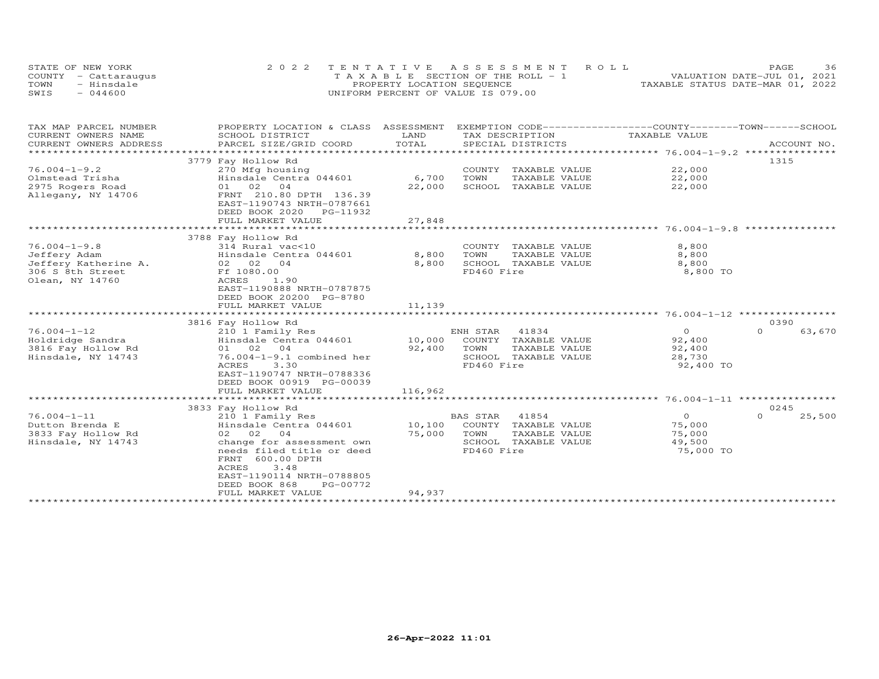| STATE OF NEW YORK    | 2022 TENTATIVE ASSESSMENT ROLL        | 36<br>PAGE.                      |
|----------------------|---------------------------------------|----------------------------------|
| COUNTY - Cattaraugus | T A X A B L E SECTION OF THE ROLL - 1 | VALUATION DATE-JUL 01, 2021      |
| TOWN<br>- Hinsdale   | PROPERTY LOCATION SEQUENCE            | TAXABLE STATUS DATE-MAR 01, 2022 |
| $-044600$<br>SWIS    | UNIFORM PERCENT OF VALUE IS 079.00    |                                  |

| TAX MAP PARCEL NUMBER  | PROPERTY LOCATION & CLASS ASSESSMENT                 |         |                         | EXEMPTION CODE------------------COUNTY-------TOWN------SCHOOL |                    |
|------------------------|------------------------------------------------------|---------|-------------------------|---------------------------------------------------------------|--------------------|
| CURRENT OWNERS NAME    | SCHOOL DISTRICT                                      | LAND    | TAX DESCRIPTION         | TAXABLE VALUE                                                 |                    |
| CURRENT OWNERS ADDRESS | PARCEL SIZE/GRID COORD                               | TOTAL   | SPECIAL DISTRICTS       |                                                               | ACCOUNT NO.        |
|                        |                                                      |         |                         |                                                               |                    |
|                        | 3779 Fay Hollow Rd                                   |         |                         |                                                               | 1315               |
| $76.004 - 1 - 9.2$     | 270 Mfg housing                                      |         | COUNTY<br>TAXABLE VALUE | 22,000                                                        |                    |
| Olmstead Trisha        | Hinsdale Centra 044601                               | 6,700   | TOWN<br>TAXABLE VALUE   | 22,000                                                        |                    |
| 2975 Rogers Road       | 01 02 04                                             | 22,000  | SCHOOL TAXABLE VALUE    | 22,000                                                        |                    |
| Allegany, NY 14706     | FRNT 210.80 DPTH 136.39                              |         |                         |                                                               |                    |
|                        | EAST-1190743 NRTH-0787661<br>DEED BOOK 2020 PG-11932 |         |                         |                                                               |                    |
|                        | FULL MARKET VALUE                                    | 27,848  |                         |                                                               |                    |
|                        |                                                      |         |                         |                                                               |                    |
|                        | 3788 Fay Hollow Rd                                   |         |                         |                                                               |                    |
| $76.004 - 1 - 9.8$     | 314 Rural vac<10                                     |         | COUNTY TAXABLE VALUE    | 8,800                                                         |                    |
| Jeffery Adam           | Hinsdale Centra 044601                               | 8,800   | TOWN<br>TAXABLE VALUE   | 8,800                                                         |                    |
| Jeffery Katherine A.   | 02 02 04                                             | 8,800   | SCHOOL TAXABLE VALUE    | 8,800                                                         |                    |
| 306 S 8th Street       | Ff 1080.00                                           |         | FD460 Fire              | 8,800 TO                                                      |                    |
| Olean, NY 14760        | ACRES<br>1.90                                        |         |                         |                                                               |                    |
|                        | EAST-1190888 NRTH-0787875                            |         |                         |                                                               |                    |
|                        | DEED BOOK 20200 PG-8780                              |         |                         |                                                               |                    |
|                        | FULL MARKET VALUE                                    | 11,139  |                         |                                                               |                    |
|                        |                                                      |         |                         |                                                               |                    |
|                        | 3816 Fay Hollow Rd                                   |         |                         |                                                               | 0390               |
| $76.004 - 1 - 12$      | 210 1 Family Res                                     |         | ENH STAR<br>41834       | $\overline{0}$                                                | $\Omega$<br>63,670 |
| Holdridge Sandra       | Hinsdale Centra 044601                               | 10,000  | COUNTY TAXABLE VALUE    | 92,400                                                        |                    |
| 3816 Fay Hollow Rd     | 01 02 04                                             | 92,400  | TOWN<br>TAXABLE VALUE   | 92,400                                                        |                    |
| Hinsdale, NY 14743     | 76.004-1-9.1 combined her                            |         | SCHOOL TAXABLE VALUE    | 28,730                                                        |                    |
|                        | ACRES<br>3.30                                        |         | FD460 Fire              | 92,400 TO                                                     |                    |
|                        | EAST-1190747 NRTH-0788336                            |         |                         |                                                               |                    |
|                        | DEED BOOK 00919 PG-00039                             |         |                         |                                                               |                    |
|                        | FULL MARKET VALUE                                    | 116,962 |                         |                                                               |                    |
|                        | 3833 Fay Hollow Rd                                   |         |                         |                                                               | 0245               |
| $76.004 - 1 - 11$      | 210 1 Family Res                                     |         | BAS STAR<br>41854       | $\circ$                                                       | $\Omega$<br>25,500 |
| Dutton Brenda E        | Hinsdale Centra 044601                               | 10,100  | COUNTY<br>TAXABLE VALUE | 75,000                                                        |                    |
| 3833 Fay Hollow Rd     | 02 02<br>04                                          | 75,000  | TOWN<br>TAXABLE VALUE   | 75,000                                                        |                    |
| Hinsdale, NY 14743     | change for assessment own                            |         | SCHOOL TAXABLE VALUE    | 49,500                                                        |                    |
|                        | needs filed title or deed                            |         | FD460 Fire              | 75,000 TO                                                     |                    |
|                        | FRNT 600.00 DPTH                                     |         |                         |                                                               |                    |
|                        | 3.48<br>ACRES                                        |         |                         |                                                               |                    |
|                        | EAST-1190114 NRTH-0788805                            |         |                         |                                                               |                    |
|                        | DEED BOOK 868<br>PG-00772                            |         |                         |                                                               |                    |
|                        | FULL MARKET VALUE                                    | 94,937  |                         |                                                               |                    |
|                        | ***************************                          |         |                         |                                                               |                    |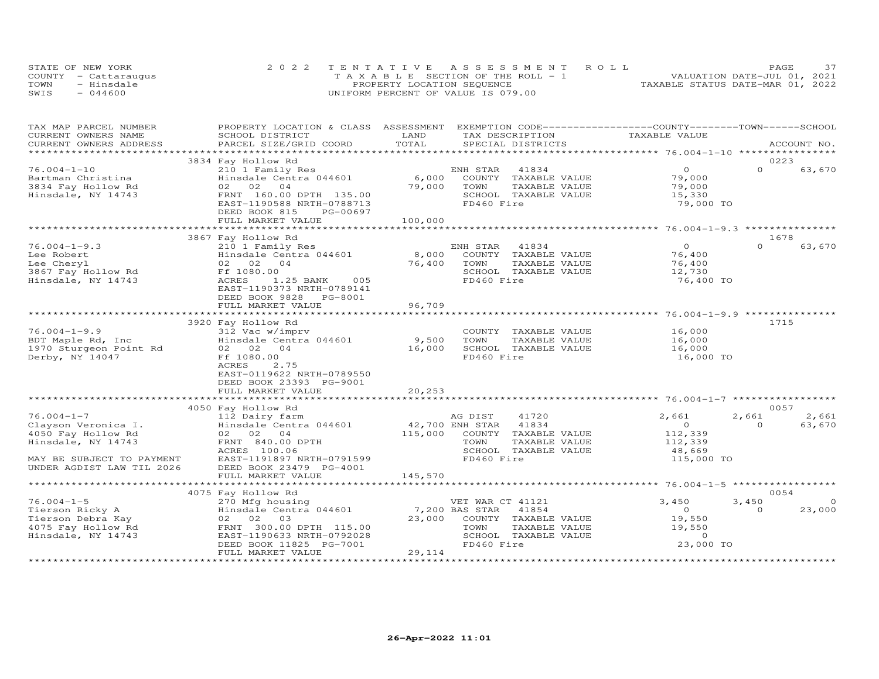|      | STATE OF NEW YORK    | 2022 TENTATIVE ASSESSMENT ROLL        | 37<br>PAGE                       |
|------|----------------------|---------------------------------------|----------------------------------|
|      | COUNTY - Cattaraugus | T A X A B L E SECTION OF THE ROLL - 1 | VALUATION DATE-JUL 01, 2021      |
| TOWN | - Hinsdale           | PROPERTY LOCATION SEQUENCE            | TAXABLE STATUS DATE-MAR 01, 2022 |
| SWIS | $-044600$            | UNIFORM PERCENT OF VALUE IS 079.00    |                                  |

| TAX MAP PARCEL NUMBER<br>CURRENT OWNERS NAME                                                         | PROPERTY LOCATION & CLASS ASSESSMENT EXEMPTION CODE----------------COUNTY-------TOWN------SCHOOL<br>SCHOOL DISTRICT                                   | LAND                       | TAX DESCRIPTION                                                                                                                    | TAXABLE VALUE                                                  |                   |                         |
|------------------------------------------------------------------------------------------------------|-------------------------------------------------------------------------------------------------------------------------------------------------------|----------------------------|------------------------------------------------------------------------------------------------------------------------------------|----------------------------------------------------------------|-------------------|-------------------------|
| CURRENT OWNERS ADDRESS<br>***********************                                                    | PARCEL SIZE/GRID COORD                                                                                                                                | TOTAL                      | SPECIAL DISTRICTS                                                                                                                  |                                                                |                   | ACCOUNT NO.             |
|                                                                                                      | 3834 Fay Hollow Rd                                                                                                                                    |                            |                                                                                                                                    |                                                                |                   | 0223                    |
| $76.004 - 1 - 10$<br>Bartman Christina<br>3834 Fay Hollow Rd<br>Hinsdale, NY 14743                   | 210 1 Family Res<br>Hinsdale Centra 044601<br>02 02 04<br>FRNT 160.00 DPTH 135.00<br>EAST-1190588 NRTH-0788713<br>DEED BOOK 815<br>PG-00697           | 6,000<br>79,000            | 41834<br>ENH STAR<br>COUNTY<br>TAXABLE VALUE<br>TOWN<br>TAXABLE VALUE<br>SCHOOL TAXABLE VALUE<br>FD460 Fire                        | $\Omega$<br>79,000<br>79,000<br>15,330<br>79,000 TO            | $\Omega$          | 63,670                  |
|                                                                                                      | FULL MARKET VALUE                                                                                                                                     | 100,000                    |                                                                                                                                    |                                                                |                   |                         |
|                                                                                                      |                                                                                                                                                       |                            |                                                                                                                                    |                                                                |                   |                         |
|                                                                                                      | 3867 Fay Hollow Rd                                                                                                                                    |                            |                                                                                                                                    |                                                                |                   | 1678                    |
| $76.004 - 1 - 9.3$<br>Lee Robert<br>Lee Cheryl<br>3867 Fay Hollow Rd<br>Hinsdale, NY 14743           | 210 1 Family Res<br>Hinsdale Centra 044601<br>02 02 04<br>Ff 1080.00<br>ACRES<br>1.25 BANK 005<br>EAST-1190373 NRTH-0789141<br>DEED BOOK 9828 PG-8001 | 8,000<br>76,400            | 41834<br>ENH STAR<br>COUNTY TAXABLE VALUE<br>TAXABLE VALUE<br>TOWN<br>SCHOOL TAXABLE VALUE<br>FD460 Fire                           | $\overline{O}$<br>76,400<br>76,400<br>12,730<br>76,400 TO      | $\Omega$          | 63,670                  |
|                                                                                                      | FULL MARKET VALUE                                                                                                                                     | 96,709                     |                                                                                                                                    |                                                                |                   |                         |
|                                                                                                      | 3920 Fay Hollow Rd                                                                                                                                    |                            |                                                                                                                                    |                                                                |                   | 1715                    |
| $76.004 - 1 - 9.9$<br>BDT Maple Rd, Inc<br>1970 Sturgeon Point Rd<br>Derby, NY 14047                 | 312 Vac w/imprv<br>Hinsdale Centra 044601<br>02 02<br>04<br>Ff 1080.00<br>ACRES<br>2.75<br>EAST-0119622 NRTH-0789550<br>DEED BOOK 23393 PG-9001       | 9,500<br>16,000            | COUNTY TAXABLE VALUE<br>TAXABLE VALUE<br>TOWN<br>SCHOOL TAXABLE VALUE<br>FD460 Fire                                                | 16,000<br>16,000<br>16,000<br>16,000 TO                        |                   |                         |
|                                                                                                      | FULL MARKET VALUE                                                                                                                                     | 20,253                     |                                                                                                                                    |                                                                |                   |                         |
|                                                                                                      |                                                                                                                                                       | **************             |                                                                                                                                    |                                                                |                   |                         |
| $76.004 - 1 - 7$<br>Clayson Veronica I.<br>4050 Fay Hollow Rd<br>Hinsdale, NY 14743                  | 4050 Fay Hollow Rd<br>112 Dairy farm<br>Hinsdale Centra 044601<br>02 02 04<br>FRNT 840.00 DPTH                                                        | 42,700 ENH STAR<br>115,000 | AG DIST<br>41720<br>41834<br>COUNTY<br>TAXABLE VALUE<br>TOWN<br>TAXABLE VALUE                                                      | 2,661<br>$\overline{O}$<br>112,339<br>112,339                  | 2,661<br>$\Omega$ | 0057<br>2,661<br>63,670 |
| MAY BE SUBJECT TO PAYMENT<br>UNDER AGDIST LAW TIL 2026                                               | ACRES 100.06<br>EAST-1191897 NRTH-0791599<br>DEED BOOK 23479 PG-4001<br>FULL MARKET VALUE                                                             | 145,570                    | SCHOOL TAXABLE VALUE<br>FD460 Fire                                                                                                 | 48,669<br>115,000 TO                                           |                   |                         |
|                                                                                                      |                                                                                                                                                       |                            |                                                                                                                                    |                                                                |                   |                         |
|                                                                                                      | 4075 Fay Hollow Rd                                                                                                                                    |                            |                                                                                                                                    |                                                                |                   | 0054                    |
| $76.004 - 1 - 5$<br>Tierson Ricky A<br>Tierson Debra Kay<br>4075 Fay Hollow Rd<br>Hinsdale, NY 14743 | 270 Mfg housing<br>Hinsdale Centra 044601<br>03<br>02 02<br>FRNT 300.00 DPTH 115.00<br>EAST-1190633 NRTH-0792028<br>DEED BOOK 11825 PG-7001           | 23,000                     | VET WAR CT 41121<br>7,200 BAS STAR<br>41854<br>COUNTY TAXABLE VALUE<br>TAXABLE VALUE<br>TOWN<br>SCHOOL TAXABLE VALUE<br>FD460 Fire | 3,450<br>$\Omega$<br>19,550<br>19,550<br>$\Omega$<br>23,000 TO | 3,450<br>$\Omega$ | $\Omega$<br>23,000      |
|                                                                                                      | FULL MARKET VALUE                                                                                                                                     | 29,114                     |                                                                                                                                    |                                                                |                   |                         |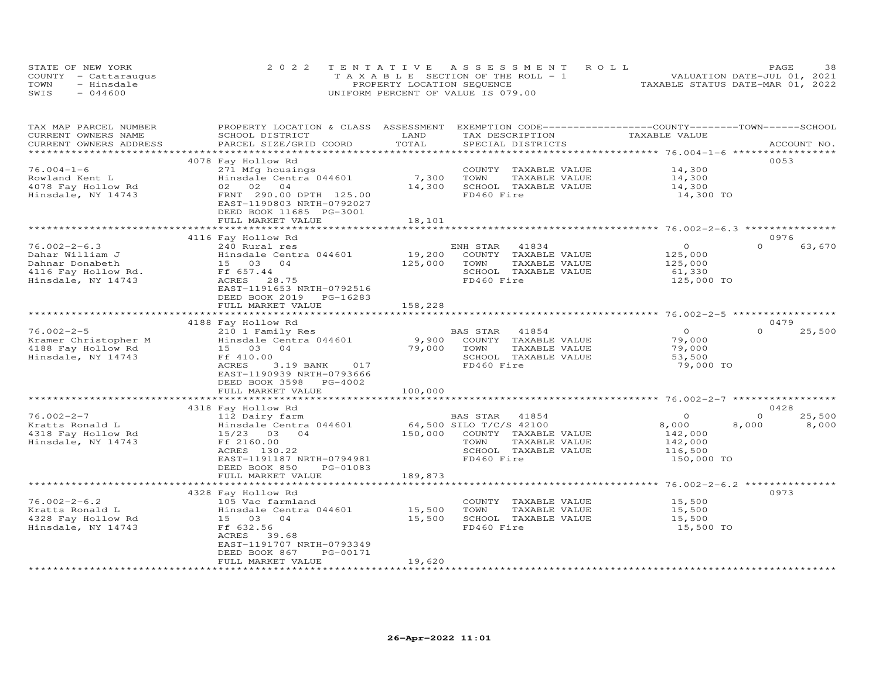| STATE OF NEW YORK |                      | 2022 TENTATIVE ASSESSMENT ROLL        | 38<br><b>PAGE</b>                |
|-------------------|----------------------|---------------------------------------|----------------------------------|
|                   | COUNTY - Cattaraugus | T A X A B L E SECTION OF THE ROLL - 1 | VALUATION DATE-JUL 01, 2021      |
| TOWN              | - Hinsdale           | PROPERTY LOCATION SEQUENCE            | TAXABLE STATUS DATE-MAR 01, 2022 |
| SWIS              | $-044600$            | UNIFORM PERCENT OF VALUE IS 079.00    |                                  |

| TAX MAP PARCEL NUMBER<br>CURRENT OWNERS NAME | PROPERTY LOCATION & CLASS ASSESSMENT EXEMPTION CODE----------------COUNTY--------TOWN------SCHOOL<br>SCHOOL DISTRICT | LAND                               | TAX DESCRIPTION                               | TAXABLE VALUE                                 |                    |  |
|----------------------------------------------|----------------------------------------------------------------------------------------------------------------------|------------------------------------|-----------------------------------------------|-----------------------------------------------|--------------------|--|
| CURRENT OWNERS ADDRESS                       | PARCEL SIZE/GRID COORD                                                                                               | TOTAL<br>************************* | SPECIAL DISTRICTS                             | *************** 76.004-1-6 ****************** | ACCOUNT NO.        |  |
|                                              | 4078 Fay Hollow Rd                                                                                                   |                                    |                                               |                                               | 0053               |  |
| $76.004 - 1 - 6$                             | 271 Mfg housings                                                                                                     |                                    | COUNTY TAXABLE VALUE                          | 14,300                                        |                    |  |
| Rowland Kent L                               | Hinsdale Centra 044601                                                                                               | 7,300                              | TAXABLE VALUE<br>TOWN                         | 14,300                                        |                    |  |
| 4078 Fay Hollow Rd                           | 02 02<br>04                                                                                                          | 14,300                             | SCHOOL TAXABLE VALUE                          | 14,300                                        |                    |  |
| Hinsdale, NY 14743                           | FRNT 290.00 DPTH 125.00                                                                                              |                                    | FD460 Fire                                    | 14,300 TO                                     |                    |  |
|                                              | EAST-1190803 NRTH-0792027                                                                                            |                                    |                                               |                                               |                    |  |
|                                              | DEED BOOK 11685 PG-3001                                                                                              |                                    |                                               |                                               |                    |  |
|                                              | FULL MARKET VALUE                                                                                                    | 18,101                             |                                               |                                               |                    |  |
|                                              |                                                                                                                      |                                    |                                               | ********************* 76.002-2-6.3 **         |                    |  |
|                                              | 4116 Fay Hollow Rd                                                                                                   |                                    |                                               |                                               | 0976               |  |
| $76.002 - 2 - 6.3$                           | 240 Rural res                                                                                                        |                                    | 41834<br>ENH STAR                             | $\circ$                                       | $\Omega$<br>63,670 |  |
| Dahar William J                              | Hinsdale Centra 044601                                                                                               | 19,200                             | COUNTY TAXABLE VALUE                          | 125,000                                       |                    |  |
| Dahnar Donabeth                              | 15 03 04                                                                                                             | 125,000                            | TOWN<br>TAXABLE VALUE                         | 125,000                                       |                    |  |
| 4116 Fay Hollow Rd.                          | Ff 657.44                                                                                                            |                                    | SCHOOL TAXABLE VALUE                          | 61,330                                        |                    |  |
| Hinsdale, NY 14743                           | ACRES 28.75                                                                                                          |                                    | FD460 Fire                                    | 125,000 TO                                    |                    |  |
|                                              | EAST-1191653 NRTH-0792516                                                                                            |                                    |                                               |                                               |                    |  |
|                                              | DEED BOOK 2019<br>PG-16283                                                                                           |                                    |                                               |                                               |                    |  |
|                                              | FULL MARKET VALUE                                                                                                    | 158,228                            |                                               |                                               |                    |  |
|                                              |                                                                                                                      |                                    |                                               |                                               |                    |  |
|                                              | 4188 Fay Hollow Rd                                                                                                   |                                    |                                               | $\Omega$                                      | 0479<br>$\Omega$   |  |
| $76.002 - 2 - 5$                             | 210 1 Family Res                                                                                                     |                                    | BAS STAR<br>41854                             | 79,000                                        | 25,500             |  |
| Kramer Christopher M<br>4188 Fay Hollow Rd   | Hinsdale Centra 044601<br>15 03<br>04                                                                                | 9,900<br>79,000                    | COUNTY TAXABLE VALUE<br>TOWN<br>TAXABLE VALUE | 79,000                                        |                    |  |
| Hinsdale, NY 14743                           | Ff 410.00                                                                                                            |                                    | SCHOOL TAXABLE VALUE                          | 53,500                                        |                    |  |
|                                              | ACRES<br>3.19 BANK<br>017                                                                                            |                                    | FD460 Fire                                    | 79,000 TO                                     |                    |  |
|                                              | EAST-1190939 NRTH-0793666                                                                                            |                                    |                                               |                                               |                    |  |
|                                              | DEED BOOK 3598<br>PG-4002                                                                                            |                                    |                                               |                                               |                    |  |
|                                              | FULL MARKET VALUE                                                                                                    | 100,000                            |                                               |                                               |                    |  |
|                                              | ***********************                                                                                              |                                    |                                               |                                               |                    |  |
|                                              | 4318 Fay Hollow Rd                                                                                                   |                                    |                                               |                                               | 0428               |  |
| $76.002 - 2 - 7$                             | 112 Dairy farm                                                                                                       |                                    | BAS STAR<br>41854                             | $\circ$                                       | $\Omega$<br>25,500 |  |
| Kratts Ronald L                              | Hinsdale Centra 044601                                                                                               |                                    | 64,500 SILO T/C/S 42100                       | 8,000                                         | 8,000<br>8,000     |  |
| 4318 Fay Hollow Rd                           | $15/23$ 03<br>0 <sub>4</sub>                                                                                         | 150,000                            | COUNTY TAXABLE VALUE                          | 142,000                                       |                    |  |
| Hinsdale, NY 14743                           | Ff 2160.00                                                                                                           |                                    | TOWN<br>TAXABLE VALUE                         | 142,000                                       |                    |  |
|                                              | ACRES 130.22                                                                                                         |                                    | SCHOOL TAXABLE VALUE                          | 116,500                                       |                    |  |
|                                              | EAST-1191187 NRTH-0794981                                                                                            |                                    | FD460 Fire                                    | 150,000 TO                                    |                    |  |
|                                              | DEED BOOK 850<br>PG-01083                                                                                            |                                    |                                               |                                               |                    |  |
|                                              | FULL MARKET VALUE                                                                                                    | 189,873                            |                                               |                                               |                    |  |
|                                              |                                                                                                                      | *****************                  |                                               |                                               |                    |  |
|                                              | 4328 Fay Hollow Rd                                                                                                   |                                    |                                               |                                               | 0973               |  |
| $76.002 - 2 - 6.2$                           | 105 Vac farmland                                                                                                     |                                    | COUNTY TAXABLE VALUE                          | 15,500                                        |                    |  |
| Kratts Ronald L                              | Hinsdale Centra 044601                                                                                               | 15,500                             | TOWN<br>TAXABLE VALUE                         | 15,500                                        |                    |  |
| 4328 Fay Hollow Rd                           | 15 03<br>04                                                                                                          | 15,500                             | SCHOOL TAXABLE VALUE                          | 15,500                                        |                    |  |
| Hinsdale, NY 14743                           | Ff 632.56<br>ACRES<br>39.68                                                                                          |                                    | FD460 Fire                                    | 15,500 TO                                     |                    |  |
|                                              | EAST-1191707 NRTH-0793349                                                                                            |                                    |                                               |                                               |                    |  |
|                                              | DEED BOOK 867<br>PG-00171                                                                                            |                                    |                                               |                                               |                    |  |
|                                              | FULL MARKET VALUE                                                                                                    | 19,620                             |                                               |                                               |                    |  |
|                                              |                                                                                                                      | **************                     |                                               |                                               |                    |  |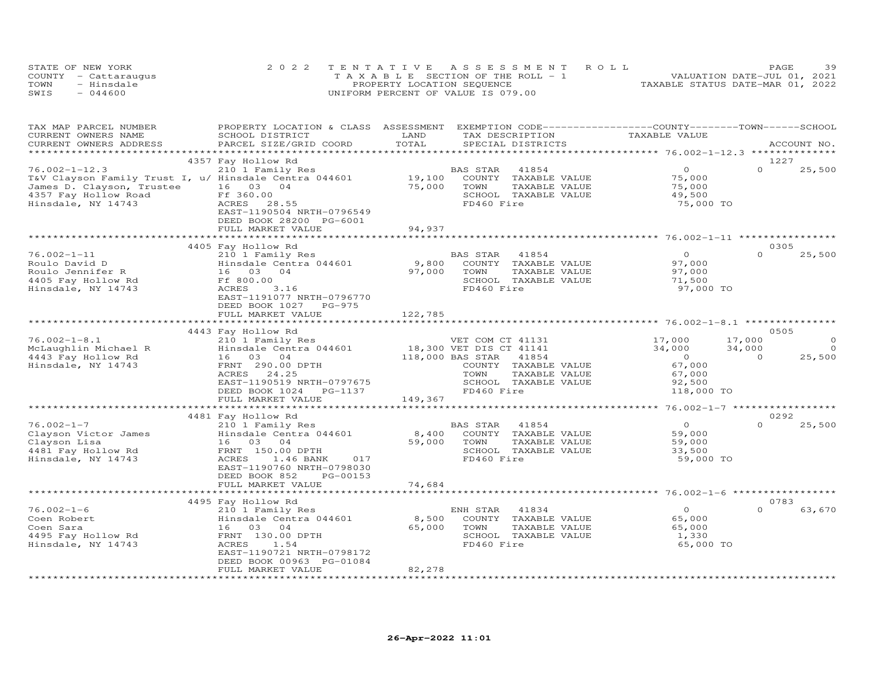| STATE OF NEW YORK    | 2022 TENTATIVE ASSESSMENT ROLL        | 39<br>PAGE.                      |
|----------------------|---------------------------------------|----------------------------------|
| COUNTY - Cattaraugus | T A X A B L E SECTION OF THE ROLL - 1 | VALUATION DATE-JUL 01, 2021      |
| TOWN<br>- Hinsdale   | PROPERTY LOCATION SEQUENCE            | TAXABLE STATUS DATE-MAR 01, 2022 |
| $-044600$<br>SWIS    | UNIFORM PERCENT OF VALUE IS 079.00    |                                  |

| TAX MAP PARCEL NUMBER<br>CURRENT OWNERS NAME<br>CURRENT OWNERS ADDRESS                               | SCHOOL DISTRICT<br>PARCEL SIZE/GRID COORD                                                                                                                                                             | LAND<br>TAX DESCRIPTION<br>TOTAL<br>SPECIAL DISTRICTS                                                                                                     | PROPERTY LOCATION & CLASS ASSESSMENT EXEMPTION CODE----------------COUNTY-------TOWN------SCHOOL<br>TAXABLE VALUE | ACCOUNT NO.                                                          |
|------------------------------------------------------------------------------------------------------|-------------------------------------------------------------------------------------------------------------------------------------------------------------------------------------------------------|-----------------------------------------------------------------------------------------------------------------------------------------------------------|-------------------------------------------------------------------------------------------------------------------|----------------------------------------------------------------------|
|                                                                                                      |                                                                                                                                                                                                       |                                                                                                                                                           |                                                                                                                   |                                                                      |
| $76.002 - 1 - 12.3$<br>James D. Clayson, Trustee<br>4357 Fay Hollow Road<br>Hinsdale, NY 14743       | 4357 Fay Hollow Rd<br>210 1 Family Res<br>T&V Clayson Family Trust I, u/ Hinsdale Centra 044601<br>16 03<br>04<br>Ff 360.00<br>ACRES<br>28.55<br>EAST-1190504 NRTH-0796549<br>DEED BOOK 28200 PG-6001 | BAS STAR<br>41854<br>19,100<br>COUNTY TAXABLE VALUE<br>75,000<br>TOWN<br>SCHOOL TAXABLE VALUE<br>FD460 Fire                                               | $\Omega$<br>75,000<br>TAXABLE VALUE<br>75,000<br>49,500<br>75,000 TO                                              | 1227<br>$\Omega$<br>25,500                                           |
|                                                                                                      | FULL MARKET VALUE                                                                                                                                                                                     | 94,937<br>****************                                                                                                                                |                                                                                                                   |                                                                      |
|                                                                                                      | 4405 Fay Hollow Rd                                                                                                                                                                                    |                                                                                                                                                           |                                                                                                                   | 0305                                                                 |
| $76.002 - 1 - 11$<br>Roulo David D<br>Roulo Jennifer R<br>4405 Fay Hollow Rd<br>Hinsdale, NY 14743   | 210 1 Family Res<br>Hinsdale Centra 044601<br>16 03<br>04<br>Ff 800.00<br>ACRES<br>3.16<br>EAST-1191077 NRTH-0796770<br>DEED BOOK 1027<br>PG-975                                                      | BAS STAR<br>41854<br>9,800<br>COUNTY TAXABLE VALUE<br>97,000<br>TOWN<br>SCHOOL TAXABLE VALUE<br>FD460 Fire                                                | $\overline{O}$<br>97,000<br>TAXABLE VALUE<br>97,000<br>71,500<br>97,000 TO                                        | $\Omega$<br>25,500                                                   |
|                                                                                                      | FULL MARKET VALUE                                                                                                                                                                                     | 122,785                                                                                                                                                   |                                                                                                                   |                                                                      |
|                                                                                                      |                                                                                                                                                                                                       |                                                                                                                                                           |                                                                                                                   |                                                                      |
| $76.002 - 1 - 8.1$<br>McLaughlin Michael R<br>4443 Fay Hollow Rd<br>Hinsdale, NY 14743               | 4443 Fay Hollow Rd<br>210 1 Family Res<br>Hinsdale Centra 044601<br>16 03 04<br>FRNT 290.00 DPTH<br>ACRES<br>24.25<br>EAST-1190519 NRTH-0797675<br>DEED BOOK 1024<br>PG-1137<br>FULL MARKET VALUE     | VET COM CT 41131<br>18,300 VET DIS CT 41141<br>118,000 BAS STAR<br>41854<br>COUNTY TAXABLE VALUE<br>TOWN<br>SCHOOL TAXABLE VALUE<br>FD460 Fire<br>149,367 | 17,000<br>34,000<br>$\overline{0}$<br>67,000<br>TAXABLE VALUE<br>67,000<br>92,500<br>118,000 TO                   | 0505<br>$\circ$<br>17,000<br>34,000<br>$\circ$<br>$\Omega$<br>25,500 |
|                                                                                                      |                                                                                                                                                                                                       |                                                                                                                                                           |                                                                                                                   |                                                                      |
| $76.002 - 1 - 7$<br>Clayson Victor James<br>Clayson Lisa<br>4481 Fay Hollow Rd<br>Hinsdale, NY 14743 | 4481 Fay Hollow Rd<br>210 1 Family Res<br>Hinsdale Centra 044601<br>16 03 04<br>FRNT 150.00 DPTH<br>ACRES<br>1.46 BANK<br>017<br>EAST-1190760 NRTH-0798030<br>DEED BOOK 852<br>PG-00153               | BAS STAR<br>41854<br>8,400<br>COUNTY TAXABLE VALUE<br>59,000<br>TOWN<br>SCHOOL TAXABLE VALUE<br>FD460 Fire                                                | $\overline{O}$<br>59,000<br>TAXABLE VALUE<br>59,000<br>33,500<br>59,000 TO                                        | 0292<br>$\Omega$<br>25,500                                           |
|                                                                                                      | FULL MARKET VALUE                                                                                                                                                                                     | 74,684                                                                                                                                                    |                                                                                                                   |                                                                      |
|                                                                                                      | ************************                                                                                                                                                                              |                                                                                                                                                           |                                                                                                                   |                                                                      |
| $76.002 - 1 - 6$<br>Coen Robert<br>Coen Sara<br>4495 Fay Hollow Rd<br>Hinsdale, NY 14743             | 4495 Fay Hollow Rd<br>210 1 Family Res<br>Hinsdale Centra 044601<br>16 03 04<br>FRNT 130.00 DPTH<br>ACRES<br>1.54<br>EAST-1190721 NRTH-0798172<br>DEED BOOK 00963 PG-01084<br>FULL MARKET VALUE       | ENH STAR<br>41834<br>8,500<br>COUNTY TAXABLE VALUE<br>65,000<br>TOWN<br>SCHOOL TAXABLE VALUE<br>FD460 Fire<br>82,278                                      | $\overline{O}$<br>65,000<br>65,000<br>TAXABLE VALUE<br>1,330<br>65,000 TO                                         | 0783<br>63,670<br>$\Omega$                                           |
|                                                                                                      |                                                                                                                                                                                                       |                                                                                                                                                           |                                                                                                                   |                                                                      |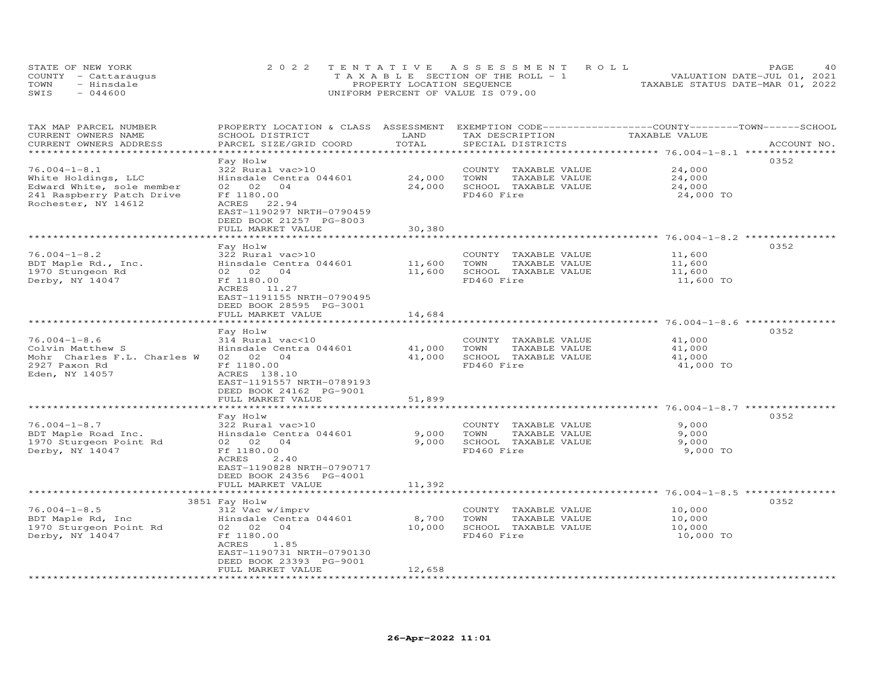| STATE OF NEW YORK    | 2022 TENTATIVE ASSESSMENT ROLL        | <b>PAGE</b>                      | 4 O |
|----------------------|---------------------------------------|----------------------------------|-----|
| COUNTY - Cattaraugus | T A X A B L E SECTION OF THE ROLL - 1 | VALUATION DATE-JUL 01, 2021      |     |
| - Hinsdale<br>TOWN   | PROPERTY LOCATION SEQUENCE            | TAXABLE STATUS DATE-MAR 01, 2022 |     |
| $-044600$<br>SWIS    | UNIFORM PERCENT OF VALUE IS 079.00    |                                  |     |

| TAX MAP PARCEL NUMBER<br>CURRENT OWNERS NAME<br>CURRENT OWNERS ADDRESS                                                     | PROPERTY LOCATION & CLASS ASSESSMENT<br>SCHOOL DISTRICT<br>PARCEL SIZE/GRID COORD                                                                                                       | LAND<br>TOTAL    | EXEMPTION CODE-----------------COUNTY-------TOWN------SCHOOL<br>TAX DESCRIPTION<br>SPECIAL DISTRICTS | TAXABLE VALUE                           | ACCOUNT NO. |
|----------------------------------------------------------------------------------------------------------------------------|-----------------------------------------------------------------------------------------------------------------------------------------------------------------------------------------|------------------|------------------------------------------------------------------------------------------------------|-----------------------------------------|-------------|
| ***********************                                                                                                    |                                                                                                                                                                                         |                  |                                                                                                      |                                         |             |
| $76.004 - 1 - 8.1$<br>White Holdings, LLC<br>Edward White, sole member<br>241 Raspberry Patch Drive<br>Rochester, NY 14612 | Fay Holw<br>322 Rural vac>10<br>Hinsdale Centra 044601<br>02 02<br>04<br>Ff 1180.00<br>ACRES<br>22.94<br>EAST-1190297 NRTH-0790459<br>DEED BOOK 21257 PG-8003                           | 24,000<br>24,000 | COUNTY TAXABLE VALUE<br>TOWN<br>TAXABLE VALUE<br>SCHOOL TAXABLE VALUE<br>FD460 Fire                  | 24,000<br>24,000<br>24,000<br>24,000 TO | 0352        |
|                                                                                                                            | FULL MARKET VALUE                                                                                                                                                                       | 30,380           |                                                                                                      |                                         |             |
| $76.004 - 1 - 8.2$<br>BDT Maple Rd., Inc.<br>1970 Stungeon Rd<br>Derby, NY 14047                                           | Fay Holw<br>322 Rural vac>10<br>Hinsdale Centra 044601<br>02 02<br>04<br>Ff 1180.00<br>ACRES 11.27<br>EAST-1191155 NRTH-0790495                                                         | 11,600<br>11,600 | COUNTY TAXABLE VALUE<br>TOWN<br>TAXABLE VALUE<br>SCHOOL TAXABLE VALUE<br>FD460 Fire                  | 11,600<br>11,600<br>11,600<br>11,600 TO | 0352        |
|                                                                                                                            | DEED BOOK 28595 PG-3001<br>FULL MARKET VALUE                                                                                                                                            | 14,684           |                                                                                                      |                                         |             |
|                                                                                                                            |                                                                                                                                                                                         |                  |                                                                                                      |                                         |             |
| $76.004 - 1 - 8.6$<br>Colvin Matthew S<br>Mohr Charles F.L. Charles W<br>2927 Paxon Rd<br>Eden, NY 14057                   | Fay Holw<br>314 Rural vac<10<br>Hinsdale Centra 044601<br>02 02<br>04<br>Ff 1180.00<br>ACRES 138.10<br>EAST-1191557 NRTH-0789193<br>DEED BOOK 24162 PG-9001                             | 41,000<br>41,000 | COUNTY TAXABLE VALUE<br>TAXABLE VALUE<br>TOWN<br>SCHOOL TAXABLE VALUE<br>FD460 Fire                  | 41,000<br>41,000<br>41,000<br>41,000 TO | 0352        |
|                                                                                                                            | FULL MARKET VALUE                                                                                                                                                                       | 51,899           |                                                                                                      |                                         |             |
| $76.004 - 1 - 8.7$<br>BDT Maple Road Inc.<br>1970 Sturgeon Point Rd<br>Derby, NY 14047                                     | ***********************<br>Fay Holw<br>322 Rural vac>10<br>Hinsdale Centra 044601<br>02 02<br>04<br>Ff 1180.00<br>2.40<br>ACRES<br>EAST-1190828 NRTH-0790717<br>DEED BOOK 24356 PG-4001 | 9,000<br>9,000   | COUNTY TAXABLE VALUE<br>TAXABLE VALUE<br>TOWN<br>SCHOOL TAXABLE VALUE<br>FD460 Fire                  | 9,000<br>9,000<br>9,000<br>9,000 TO     | 0352        |
|                                                                                                                            | FULL MARKET VALUE                                                                                                                                                                       | 11,392           |                                                                                                      |                                         |             |
|                                                                                                                            | ************************                                                                                                                                                                | ***************  |                                                                                                      |                                         | 0352        |
| $76.004 - 1 - 8.5$<br>BDT Maple Rd, Inc<br>1970 Sturgeon Point Rd<br>Derby, NY 14047                                       | 3851 Fay Holw<br>312 Vac w/imprv<br>Hinsdale Centra 044601<br>02 02 04<br>Ff 1180.00<br>ACRES<br>1.85<br>EAST-1190731 NRTH-0790130<br>DEED BOOK 23393 PG-9001                           | 8,700<br>10,000  | COUNTY TAXABLE VALUE<br>TOWN<br>TAXABLE VALUE<br>SCHOOL TAXABLE VALUE<br>FD460 Fire                  | 10,000<br>10,000<br>10,000<br>10,000 TO |             |
|                                                                                                                            | FULL MARKET VALUE                                                                                                                                                                       | 12,658           |                                                                                                      |                                         |             |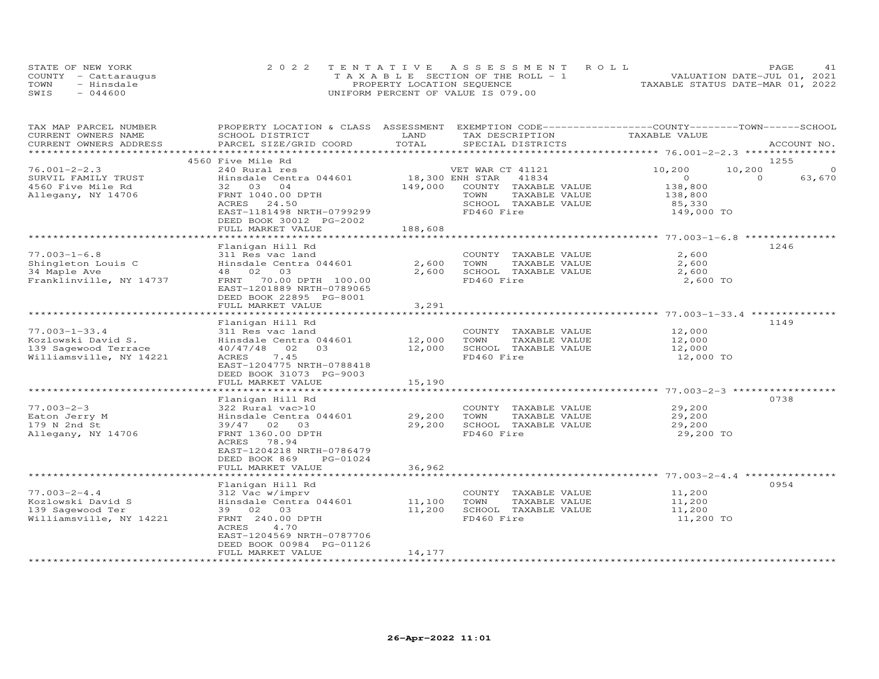|      | STATE OF NEW YORK    | 2022 TENTATIVE ASSESSMENT ROLL        | PAGE.                            |
|------|----------------------|---------------------------------------|----------------------------------|
|      | COUNTY - Cattarauqus | T A X A B L E SECTION OF THE ROLL - 1 | VALUATION DATE-JUL 01, 2021      |
| TOWN | - Hinsdale           | PROPERTY LOCATION SEQUENCE            | TAXABLE STATUS DATE-MAR 01, 2022 |
| SWIS | $-044600$            | UNIFORM PERCENT OF VALUE IS 079.00    |                                  |

| TAX MAP PARCEL NUMBER<br>CURRENT OWNERS NAME      | PROPERTY LOCATION & CLASS ASSESSMENT<br>SCHOOL DISTRICT | LAND                          | EXEMPTION CODE-----------------COUNTY-------TOWN------SCHOOL<br>TAX DESCRIPTION | TAXABLE VALUE                             |                    |
|---------------------------------------------------|---------------------------------------------------------|-------------------------------|---------------------------------------------------------------------------------|-------------------------------------------|--------------------|
| CURRENT OWNERS ADDRESS<br>*********************** | PARCEL SIZE/GRID COORD                                  | TOTAL                         | SPECIAL DISTRICTS                                                               |                                           | ACCOUNT NO.        |
|                                                   | 4560 Five Mile Rd                                       |                               |                                                                                 |                                           |                    |
| $76.001 - 2 - 2.3$                                | 240 Rural res                                           |                               | VET WAR CT 41121                                                                | 10,200<br>10,200                          | 1255               |
| SURVIL FAMILY TRUST                               | Hinsdale Centra 044601                                  |                               | 18,300 ENH STAR<br>41834                                                        | $\circ$                                   | $\Omega$<br>63,670 |
| 4560 Five Mile Rd                                 | 32 03 04                                                | 149,000                       | COUNTY TAXABLE VALUE                                                            | 138,800                                   |                    |
| Allegany, NY 14706                                | FRNT 1040.00 DPTH                                       |                               | TOWN<br>TAXABLE VALUE                                                           | 138,800                                   |                    |
|                                                   | ACRES<br>24.50                                          |                               | SCHOOL TAXABLE VALUE                                                            | 85,330                                    |                    |
|                                                   | EAST-1181498 NRTH-0799299                               |                               | FD460 Fire                                                                      | 149,000 TO                                |                    |
|                                                   | DEED BOOK 30012 PG-2002                                 |                               |                                                                                 |                                           |                    |
|                                                   | FULL MARKET VALUE                                       | 188,608                       |                                                                                 |                                           |                    |
|                                                   |                                                         |                               |                                                                                 |                                           |                    |
|                                                   | Flanigan Hill Rd                                        |                               |                                                                                 |                                           | 1246               |
| $77.003 - 1 - 6.8$                                | 311 Res vac land                                        |                               | COUNTY TAXABLE VALUE                                                            | 2,600                                     |                    |
| Shingleton Louis C                                | Hinsdale Centra 044601                                  | 2,600                         | TOWN<br>TAXABLE VALUE                                                           | 2,600                                     |                    |
| 34 Maple Ave                                      | 02<br>03<br>48                                          | 2,600                         | SCHOOL TAXABLE VALUE                                                            | 2,600                                     |                    |
| Franklinville, NY 14737                           | FRNT 70.00 DPTH 100.00                                  |                               | FD460 Fire                                                                      | 2,600 TO                                  |                    |
|                                                   | EAST-1201889 NRTH-0789065                               |                               |                                                                                 |                                           |                    |
|                                                   | DEED BOOK 22895 PG-8001                                 |                               |                                                                                 |                                           |                    |
|                                                   | FULL MARKET VALUE                                       | 3,291                         |                                                                                 |                                           |                    |
|                                                   |                                                         |                               |                                                                                 | ************************ 77.003-1-33.4 ** | * * * * * * *      |
|                                                   | Flanigan Hill Rd                                        |                               |                                                                                 |                                           | 1149               |
| $77.003 - 1 - 33.4$                               | 311 Res vac land                                        |                               | COUNTY TAXABLE VALUE                                                            | 12,000                                    |                    |
| Kozlowski David S.                                | Hinsdale Centra 044601                                  | 12,000                        | TOWN<br>TAXABLE VALUE                                                           | 12,000                                    |                    |
| 139 Sagewood Terrace                              | 40/47/48<br>02<br>03                                    | 12,000                        | SCHOOL TAXABLE VALUE                                                            | 12,000                                    |                    |
| Williamsville, NY 14221                           | 7.45<br>ACRES                                           |                               | FD460 Fire                                                                      | 12,000 TO                                 |                    |
|                                                   | EAST-1204775 NRTH-0788418                               |                               |                                                                                 |                                           |                    |
|                                                   | DEED BOOK 31073 PG-9003<br>FULL MARKET VALUE            | 15,190                        |                                                                                 |                                           |                    |
|                                                   | ************************                                |                               |                                                                                 |                                           |                    |
|                                                   | Flanigan Hill Rd                                        |                               |                                                                                 |                                           | 0738               |
| $77.003 - 2 - 3$                                  | 322 Rural vac>10                                        |                               | COUNTY TAXABLE VALUE                                                            | 29,200                                    |                    |
| Eaton Jerry M                                     | Hinsdale Centra 044601                                  | 29,200                        | TOWN<br>TAXABLE VALUE                                                           | 29,200                                    |                    |
| 179 N 2nd St                                      | 39/47 02 03                                             | 29,200                        | SCHOOL TAXABLE VALUE                                                            | 29,200                                    |                    |
| Allegany, NY 14706                                | FRNT 1360.00 DPTH                                       |                               | FD460 Fire                                                                      | 29,200 TO                                 |                    |
|                                                   | ACRES<br>78.94                                          |                               |                                                                                 |                                           |                    |
|                                                   | EAST-1204218 NRTH-0786479                               |                               |                                                                                 |                                           |                    |
|                                                   | DEED BOOK 869<br>PG-01024                               |                               |                                                                                 |                                           |                    |
|                                                   | FULL MARKET VALUE                                       | 36,962                        |                                                                                 |                                           |                    |
|                                                   |                                                         |                               |                                                                                 | ************************ 77.003-2-4.4     |                    |
|                                                   | Flanigan Hill Rd                                        |                               |                                                                                 |                                           | 0954               |
| $77.003 - 2 - 4.4$                                | 312 Vac w/imprv                                         |                               | COUNTY TAXABLE VALUE                                                            | 11,200                                    |                    |
| Kozlowski David S                                 | Hinsdale Centra 044601                                  | 11,100                        | TOWN<br>TAXABLE VALUE                                                           | 11,200                                    |                    |
| 139 Sagewood Ter                                  | 39<br>02 03                                             | 11,200                        | SCHOOL TAXABLE VALUE                                                            | 11,200                                    |                    |
| Williamsville, NY 14221                           | FRNT 240.00 DPTH                                        |                               | FD460 Fire                                                                      | 11,200 TO                                 |                    |
|                                                   | 4.70<br>ACRES                                           |                               |                                                                                 |                                           |                    |
|                                                   | EAST-1204569 NRTH-0787706                               |                               |                                                                                 |                                           |                    |
|                                                   | DEED BOOK 00984 PG-01126                                |                               |                                                                                 |                                           |                    |
| ************************                          | FULL MARKET VALUE<br>*************************          | 14,177<br>******************* |                                                                                 |                                           |                    |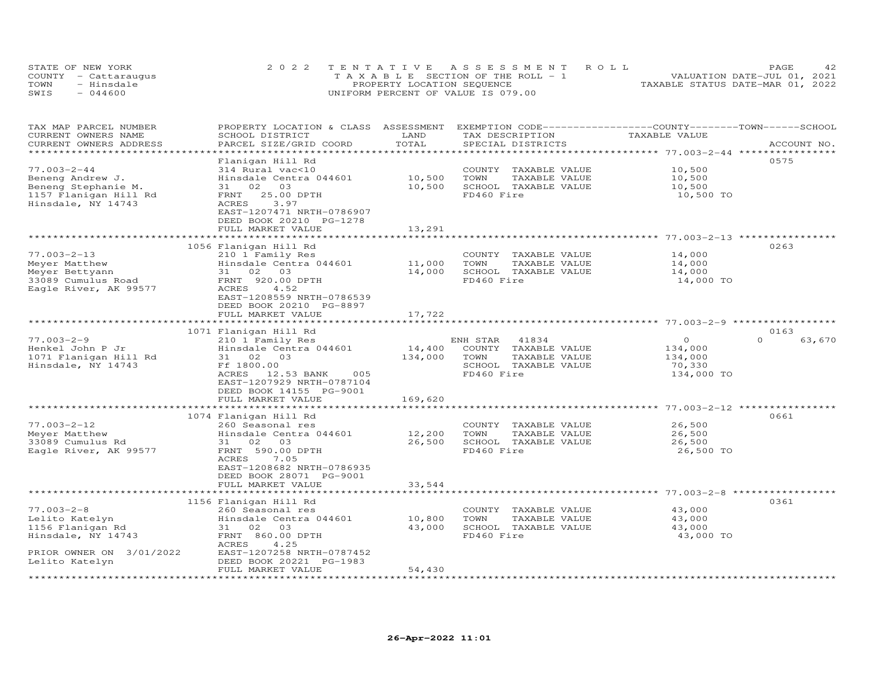| STATE OF NEW YORK |                      | 2022 TENTATIVE ASSESSMENT ROLL        | PAGE                             |
|-------------------|----------------------|---------------------------------------|----------------------------------|
|                   | COUNTY - Cattaraugus | T A X A B L E SECTION OF THE ROLL - 1 | VALUATION DATE-JUL 01, 2021      |
| TOWN              | - Hinsdale           | PROPERTY LOCATION SEQUENCE            | TAXABLE STATUS DATE-MAR 01, 2022 |
| SWIS              | $-044600$            | UNIFORM PERCENT OF VALUE IS 079.00    |                                  |

| TAX MAP PARCEL NUMBER<br>CURRENT OWNERS NAME<br>CURRENT OWNERS ADDRESS                                                     | PROPERTY LOCATION & CLASS ASSESSMENT<br>SCHOOL DISTRICT<br>PARCEL SIZE/GRID COORD                                                                                                                 | LAND<br>TOTAL                | TAX DESCRIPTION<br>SPECIAL DISTRICTS                                                                     | EXEMPTION CODE-----------------COUNTY-------TOWN-----SCHOOL<br>TAXABLE VALUE | ACCOUNT NO.        |
|----------------------------------------------------------------------------------------------------------------------------|---------------------------------------------------------------------------------------------------------------------------------------------------------------------------------------------------|------------------------------|----------------------------------------------------------------------------------------------------------|------------------------------------------------------------------------------|--------------------|
|                                                                                                                            |                                                                                                                                                                                                   |                              |                                                                                                          |                                                                              |                    |
| $77.003 - 2 - 44$<br>Beneng Andrew J.<br>Beneng Stephanie M.<br>1157 Flanigan Hill Rd<br>Hinsdale, NY 14743                | Flanigan Hill Rd<br>314 Rural vac<10<br>Hinsdale Centra 044601<br>03<br>31<br>02<br>25.00 DPTH<br>FRNT<br>ACRES<br>3.97<br>EAST-1207471 NRTH-0786907<br>DEED BOOK 20210 PG-1278                   | 10,500<br>10,500             | COUNTY<br>TAXABLE VALUE<br>TAXABLE VALUE<br>TOWN<br>SCHOOL TAXABLE VALUE<br>FD460 Fire                   | 10,500<br>10,500<br>10,500<br>10,500 TO                                      | 0575               |
|                                                                                                                            | FULL MARKET VALUE                                                                                                                                                                                 | 13,291                       |                                                                                                          |                                                                              |                    |
|                                                                                                                            |                                                                                                                                                                                                   |                              |                                                                                                          |                                                                              |                    |
| $77.003 - 2 - 13$<br>Meyer Matthew<br>Meyer Bettyann<br>33089 Cumulus Road<br>Eagle River, AK 99577                        | 1056 Flanigan Hill Rd<br>210 1 Family Res<br>Hinsdale Centra 044601<br>03<br>31 02<br>FRNT 920.00 DPTH<br>ACRES<br>4.52<br>EAST-1208559 NRTH-0786539<br>DEED BOOK 20210 PG-8897                   | 11,000<br>14,000             | COUNTY TAXABLE VALUE<br>TOWN<br>TAXABLE VALUE<br>SCHOOL TAXABLE VALUE<br>FD460 Fire                      | 14,000<br>14,000<br>14,000<br>14,000 TO                                      | 0263               |
|                                                                                                                            | FULL MARKET VALUE                                                                                                                                                                                 | 17,722                       |                                                                                                          |                                                                              |                    |
|                                                                                                                            | 1071 Flanigan Hill Rd                                                                                                                                                                             |                              |                                                                                                          |                                                                              | 0163               |
| $77.003 - 2 - 9$<br>Henkel John P Jr<br>1071 Flanigan Hill Rd<br>Hinsdale, NY 14743                                        | 210 1 Family Res<br>Hinsdale Centra 044601<br>31 02 03<br>Ff 1800.00<br>ACRES 12.53 BANK<br>005<br>EAST-1207929 NRTH-0787104<br>DEED BOOK 14155 PG-9001<br>FULL MARKET VALUE                      | 14,400<br>134,000<br>169,620 | ENH STAR<br>41834<br>COUNTY TAXABLE VALUE<br>TOWN<br>TAXABLE VALUE<br>SCHOOL TAXABLE VALUE<br>FD460 Fire | $\circ$<br>134,000<br>134,000<br>70,330<br>134,000 TO                        | $\Omega$<br>63,670 |
|                                                                                                                            |                                                                                                                                                                                                   |                              |                                                                                                          |                                                                              |                    |
| $77.003 - 2 - 12$<br>Meyer Matthew<br>33089 Cumulus Rd<br>Eagle River, AK 99577                                            | 1074 Flanigan Hill Rd<br>260 Seasonal res<br>Hinsdale Centra 044601<br>03<br>31 02<br>FRNT 590.00 DPTH<br>ACRES<br>7.05<br>EAST-1208682 NRTH-0786935<br>DEED BOOK 28071 PG-9001                   | 12,200<br>26,500             | COUNTY<br>TAXABLE VALUE<br>TAXABLE VALUE<br>TOWN<br>SCHOOL TAXABLE VALUE<br>FD460 Fire                   | 26,500<br>26,500<br>26,500<br>26,500 TO                                      | 0661               |
|                                                                                                                            | FULL MARKET VALUE                                                                                                                                                                                 | 33,544                       |                                                                                                          |                                                                              |                    |
| $77.003 - 2 - 8$<br>Lelito Katelyn<br>1156 Flanigan Rd<br>Hinsdale, NY 14743<br>PRIOR OWNER ON 3/01/2022<br>Lelito Katelyn | 1156 Flanigan Hill Rd<br>260 Seasonal res<br>Hinsdale Centra 044601<br>31 02 03<br>FRNT 860.00 DPTH<br>ACRES<br>4.25<br>EAST-1207258 NRTH-0787452<br>DEED BOOK 20221 PG-1983<br>FULL MARKET VALUE | 10,800<br>43,000<br>54,430   | COUNTY TAXABLE VALUE<br>TAXABLE VALUE<br>TOWN<br>SCHOOL TAXABLE VALUE<br>FD460 Fire                      | 43,000<br>43,000<br>43,000<br>43,000 TO                                      | 0361               |
|                                                                                                                            |                                                                                                                                                                                                   |                              |                                                                                                          |                                                                              |                    |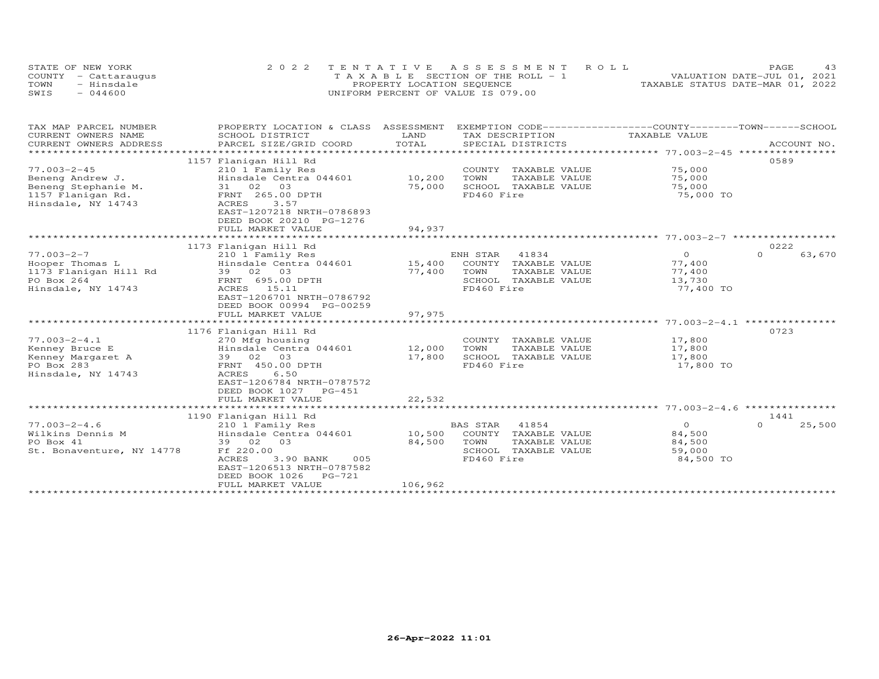| STATE OF NEW YORK    | 2022 TENTATIVE ASSESSMENT ROLL        | PAGE                             |
|----------------------|---------------------------------------|----------------------------------|
| COUNTY - Cattaraugus | T A X A B L E SECTION OF THE ROLL - 1 | VALUATION DATE-JUL 01, 2021      |
| TOWN<br>- Hinsdale   | PROPERTY LOCATION SEQUENCE            | TAXABLE STATUS DATE-MAR 01, 2022 |
| SWIS<br>$-044600$    | UNIFORM PERCENT OF VALUE IS 079.00    |                                  |

| TAX MAP PARCEL NUMBER<br>CURRENT OWNERS NAME | PROPERTY LOCATION & CLASS<br>SCHOOL DISTRICT                                              | ASSESSMENT<br>LAND | EXEMPTION CODE-----------------COUNTY-------TOWN-----SCHOOL<br>TAX DESCRIPTION | TAXABLE VALUE |                    |
|----------------------------------------------|-------------------------------------------------------------------------------------------|--------------------|--------------------------------------------------------------------------------|---------------|--------------------|
| CURRENT OWNERS ADDRESS                       | PARCEL SIZE/GRID COORD                                                                    | TOTAL              | SPECIAL DISTRICTS                                                              |               | ACCOUNT NO.        |
|                                              | 1157 Flanigan Hill Rd                                                                     |                    |                                                                                |               | 0589               |
| $77.003 - 2 - 45$                            | 210 1 Family Res                                                                          |                    | COUNTY<br>TAXABLE VALUE                                                        | 75,000        |                    |
| Beneng Andrew J.                             | Hinsdale Centra 044601                                                                    | 10,200             | TOWN<br>TAXABLE VALUE                                                          | 75,000        |                    |
| Beneng Stephanie M.                          | 31 02 03                                                                                  | 75,000             | SCHOOL TAXABLE VALUE                                                           | 75,000        |                    |
| 1157 Flanigan Rd.<br>Hinsdale, NY 14743      | FRNT 265.00 DPTH<br>ACRES<br>3.57<br>EAST-1207218 NRTH-0786893<br>DEED BOOK 20210 PG-1276 |                    | FD460 Fire                                                                     | 75,000 TO     |                    |
|                                              | FULL MARKET VALUE                                                                         | 94,937             |                                                                                |               |                    |
|                                              | ************************************<br>1173 Flanigan Hill Rd                             |                    |                                                                                |               | 0222               |
| $77.003 - 2 - 7$                             | 210 1 Family Res                                                                          |                    | 41834<br>ENH STAR                                                              | $\Omega$      | $\Omega$<br>63,670 |
| Hooper Thomas L                              | Hinsdale Centra 044601                                                                    | 15,400             | COUNTY TAXABLE VALUE                                                           | 77,400        |                    |
| 1173 Flanigan Hill Rd                        | 39 02 03                                                                                  | 77,400             | TOWN<br>TAXABLE VALUE                                                          | 77,400        |                    |
| PO Box 264                                   | FRNT 695.00 DPTH                                                                          |                    | SCHOOL TAXABLE VALUE                                                           | 13,730        |                    |
| Hinsdale, NY 14743                           | ACRES 15.11                                                                               |                    | FD460 Fire                                                                     | 77,400 TO     |                    |
|                                              | EAST-1206701 NRTH-0786792<br>DEED BOOK 00994 PG-00259<br>FULL MARKET VALUE                | 97,975             |                                                                                |               |                    |
|                                              |                                                                                           |                    |                                                                                |               |                    |
|                                              | 1176 Flanigan Hill Rd                                                                     |                    |                                                                                |               | 0723               |
| $77.003 - 2 - 4.1$                           | 270 Mfg housing                                                                           |                    | COUNTY TAXABLE VALUE                                                           | 17,800        |                    |
| Kenney Bruce E                               | Hinsdale Centra 044601                                                                    | 12,000             | TAXABLE VALUE<br>TOWN                                                          | 17,800        |                    |
| Kenney Margaret A                            | 39 02<br>03                                                                               | 17,800             | SCHOOL TAXABLE VALUE                                                           | 17,800        |                    |
| PO Box 283                                   | FRNT 450.00 DPTH                                                                          |                    | FD460 Fire                                                                     | 17,800 TO     |                    |
| Hinsdale, NY 14743                           | 6.50<br><b>ACRES</b><br>EAST-1206784 NRTH-0787572<br>DEED BOOK 1027 PG-451                |                    |                                                                                |               |                    |
|                                              | FULL MARKET VALUE                                                                         | 22,532             |                                                                                |               |                    |
|                                              | 1190 Flanigan Hill Rd                                                                     |                    |                                                                                |               | 1441               |
| $77.003 - 2 - 4.6$                           | 210 1 Family Res                                                                          |                    | 41854<br><b>BAS STAR</b>                                                       | $\circ$       | $\Omega$<br>25,500 |
| Wilkins Dennis M                             | Hinsdale Centra 044601                                                                    | 10,500             | COUNTY TAXABLE VALUE                                                           | 84,500        |                    |
| PO Box 41                                    | 39 02<br>03                                                                               | 84,500             | TOWN<br>TAXABLE VALUE                                                          | 84,500        |                    |
| St. Bonaventure, NY 14778                    | Ff 220.00                                                                                 |                    | SCHOOL TAXABLE VALUE                                                           | 59,000        |                    |
|                                              | ACRES<br>3.90 BANK<br>005<br>EAST-1206513 NRTH-0787582<br>DEED BOOK 1026<br>PG-721        |                    | FD460 Fire                                                                     | 84,500 TO     |                    |
|                                              | FULL MARKET VALUE                                                                         | 106,962            |                                                                                |               |                    |
|                                              |                                                                                           |                    |                                                                                |               |                    |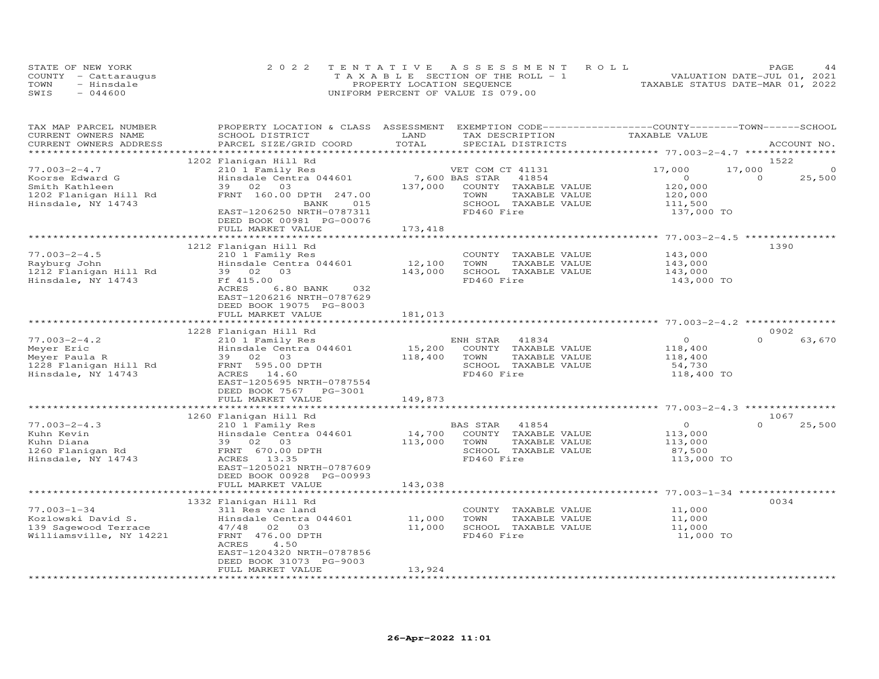|      | STATE OF NEW YORK    | 2022 TENTATIVE ASSESSMENT ROLL        | PAGE.                            |
|------|----------------------|---------------------------------------|----------------------------------|
|      | COUNTY - Cattaraugus | T A X A B L E SECTION OF THE ROLL - 1 | VALUATION DATE-JUL 01, 2021      |
| TOWN | - Hinsdale           | PROPERTY LOCATION SEQUENCE            | TAXABLE STATUS DATE-MAR 01, 2022 |
| SWIS | $-044600$            | UNIFORM PERCENT OF VALUE IS 079.00    |                                  |

| TAX MAP PARCEL NUMBER<br>CURRENT OWNERS NAME | PROPERTY LOCATION & CLASS ASSESSMENT<br>SCHOOL DISTRICT | LAND<br>TOTAL |                  | TAX DESCRIPTION                       | EXEMPTION CODE-----------------COUNTY-------TOWN------SCHOOL<br>TAXABLE VALUE |          |             |
|----------------------------------------------|---------------------------------------------------------|---------------|------------------|---------------------------------------|-------------------------------------------------------------------------------|----------|-------------|
| CURRENT OWNERS ADDRESS                       | PARCEL SIZE/GRID COORD                                  |               |                  | SPECIAL DISTRICTS                     |                                                                               |          | ACCOUNT NO. |
|                                              | 1202 Flanigan Hill Rd                                   |               |                  |                                       |                                                                               | 1522     |             |
| $77.003 - 2 - 4.7$                           | 210 1 Family Res                                        |               | VET COM CT 41131 |                                       | 17,000                                                                        | 17,000   | $\circ$     |
| Koorse Edward G                              | Hinsdale Centra 044601                                  |               | 7,600 BAS STAR   | 41854                                 | $\circ$                                                                       | $\Omega$ |             |
| Smith Kathleen                               | 39 02<br>03                                             | 137,000       |                  | COUNTY TAXABLE VALUE                  |                                                                               |          | 25,500      |
|                                              |                                                         |               | TOWN             |                                       | 120,000                                                                       |          |             |
| 1202 Flanigan Hill Rd<br>Hinsdale, NY 14743  | FRNT 160.00 DPTH 247.00<br>BANK<br>015                  |               |                  | TAXABLE VALUE<br>SCHOOL TAXABLE VALUE | 120,000<br>111,500                                                            |          |             |
|                                              | EAST-1206250 NRTH-0787311                               |               | FD460 Fire       |                                       | 137,000 TO                                                                    |          |             |
|                                              | DEED BOOK 00981 PG-00076                                |               |                  |                                       |                                                                               |          |             |
|                                              | FULL MARKET VALUE                                       | 173,418       |                  |                                       |                                                                               |          |             |
|                                              |                                                         |               |                  |                                       |                                                                               |          |             |
|                                              | 1212 Flanigan Hill Rd                                   |               |                  |                                       |                                                                               | 1390     |             |
| $77.003 - 2 - 4.5$                           | 210 1 Family Res                                        |               |                  | COUNTY TAXABLE VALUE                  | 143,000                                                                       |          |             |
| Rayburg John                                 | Hinsdale Centra 044601                                  | 12,100        | TOWN             | TAXABLE VALUE                         | 143,000                                                                       |          |             |
| 1212 Flanigan Hill Rd                        | 39 02<br>03                                             | 143,000       |                  | SCHOOL TAXABLE VALUE                  | 143,000                                                                       |          |             |
| Hinsdale, NY 14743                           | Ff 415.00                                               |               | FD460 Fire       |                                       | 143,000 TO                                                                    |          |             |
|                                              | <b>ACRES</b><br>6.80 BANK<br>032                        |               |                  |                                       |                                                                               |          |             |
|                                              | EAST-1206216 NRTH-0787629                               |               |                  |                                       |                                                                               |          |             |
|                                              | DEED BOOK 19075 PG-8003                                 |               |                  |                                       |                                                                               |          |             |
|                                              | FULL MARKET VALUE                                       | 181,013       |                  |                                       |                                                                               |          |             |
|                                              |                                                         |               |                  |                                       |                                                                               |          |             |
|                                              | 1228 Flanigan Hill Rd                                   |               |                  |                                       |                                                                               | 0902     |             |
| $77.003 - 2 - 4.2$                           | 210 1 Family Res                                        |               | ENH STAR         | 41834                                 | $\circ$                                                                       | $\Omega$ | 63,670      |
| Meyer Eric                                   | Hinsdale Centra 044601                                  | 15,200        |                  | COUNTY TAXABLE VALUE                  | 118,400                                                                       |          |             |
| Meyer Paula R                                | 39 02<br>03                                             | 118,400       | TOWN             | TAXABLE VALUE                         | 118,400                                                                       |          |             |
| 1228 Flanigan Hill Rd                        | FRNT 595.00 DPTH                                        |               |                  | SCHOOL TAXABLE VALUE                  | 54,730                                                                        |          |             |
| Hinsdale, NY 14743                           | ACRES 14.60                                             |               | FD460 Fire       |                                       | 118,400 TO                                                                    |          |             |
|                                              | EAST-1205695 NRTH-0787554                               |               |                  |                                       |                                                                               |          |             |
|                                              | DEED BOOK 7567<br>PG-3001                               |               |                  |                                       |                                                                               |          |             |
|                                              | FULL MARKET VALUE                                       | 149,873       |                  |                                       |                                                                               |          |             |
|                                              |                                                         |               |                  |                                       |                                                                               |          |             |
|                                              | 1260 Flanigan Hill Rd                                   |               |                  |                                       |                                                                               | 1067     |             |
| $77.003 - 2 - 4.3$                           | 210 1 Family Res                                        |               | BAS STAR         | 41854                                 | $\circ$                                                                       | $\Omega$ | 25,500      |
| Kuhn Kevin                                   | Hinsdale Centra 044601                                  | 14,700        |                  | COUNTY TAXABLE VALUE                  | 113,000                                                                       |          |             |
| Kuhn Diana                                   | 39 02 03                                                | 113,000       | TOWN             | TAXABLE VALUE                         | 113,000                                                                       |          |             |
| 1260 Flanigan Rd                             | FRNT 670.00 DPTH                                        |               |                  | SCHOOL TAXABLE VALUE                  | 87,500                                                                        |          |             |
| Hinsdale, NY 14743                           | ACRES 13.35                                             |               | FD460 Fire       |                                       | 113,000 TO                                                                    |          |             |
|                                              | EAST-1205021 NRTH-0787609                               |               |                  |                                       |                                                                               |          |             |
|                                              | DEED BOOK 00928 PG-00993                                |               |                  |                                       |                                                                               |          |             |
|                                              | FULL MARKET VALUE                                       | 143,038       |                  |                                       |                                                                               |          |             |
|                                              |                                                         |               |                  |                                       |                                                                               |          |             |
|                                              | 1332 Flanigan Hill Rd                                   |               |                  |                                       |                                                                               | 0034     |             |
| $77.003 - 1 - 34$                            | 311 Res vac land                                        |               | COUNTY           | TAXABLE VALUE                         | 11,000                                                                        |          |             |
| Kozlowski David S.                           | Hinsdale Centra 044601                                  | 11,000        | TOWN             | TAXABLE VALUE                         | 11,000                                                                        |          |             |
| 139 Sagewood Terrace                         | 47/48 02 03                                             | 11,000        |                  | SCHOOL TAXABLE VALUE                  | 11,000                                                                        |          |             |
| Williamsville, NY 14221                      | FRNT 476.00 DPTH                                        |               | FD460 Fire       |                                       | 11,000 TO                                                                     |          |             |
|                                              | ACRES<br>4.50                                           |               |                  |                                       |                                                                               |          |             |
|                                              | EAST-1204320 NRTH-0787856                               |               |                  |                                       |                                                                               |          |             |
|                                              | DEED BOOK 31073 PG-9003<br>FULL MARKET VALUE            | 13,924        |                  |                                       |                                                                               |          |             |
|                                              |                                                         |               |                  |                                       |                                                                               |          |             |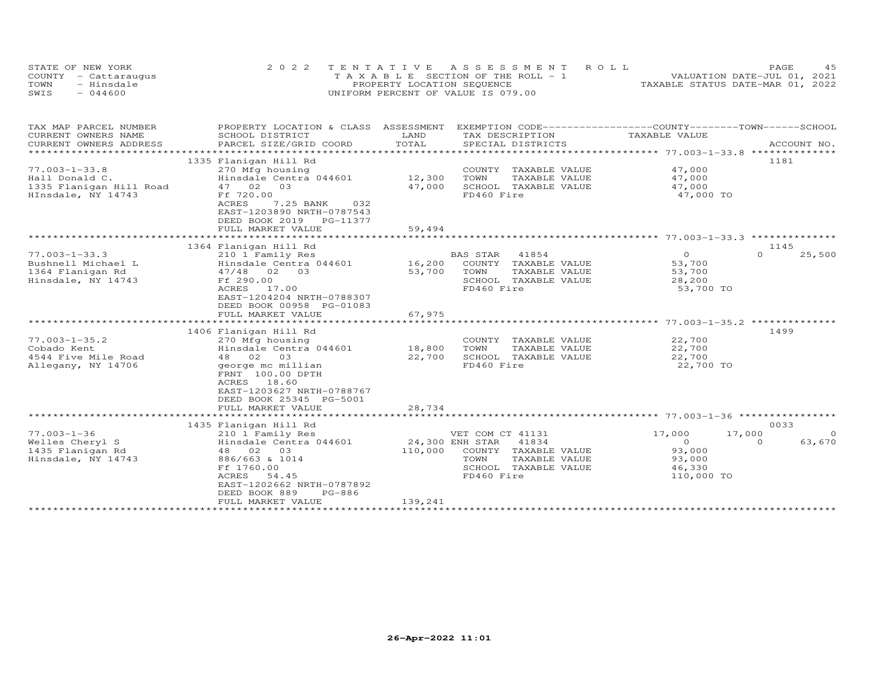| STATE OF NEW YORK    | 2022 TENTATIVE ASSESSMENT ROLL        | 4.5<br><b>PAGE</b>               |
|----------------------|---------------------------------------|----------------------------------|
| COUNTY - Cattaraugus | T A X A B L E SECTION OF THE ROLL - 1 | VALUATION DATE-JUL 01, 2021      |
| - Hinsdale<br>TOWN   | PROPERTY LOCATION SEQUENCE            | TAXABLE STATUS DATE-MAR 01, 2022 |
| $-044600$<br>SWIS    | UNIFORM PERCENT OF VALUE IS 079.00    |                                  |

| TAX MAP PARCEL NUMBER<br>CURRENT OWNERS NAME                                           | PROPERTY LOCATION & CLASS<br>SCHOOL DISTRICT                                                                                                          | ASSESSMENT<br>LAND | EXEMPTION CODE-----------------COUNTY-------TOWN------SCHOOL<br>TAX DESCRIPTION     | TAXABLE VALUE                           |                    |
|----------------------------------------------------------------------------------------|-------------------------------------------------------------------------------------------------------------------------------------------------------|--------------------|-------------------------------------------------------------------------------------|-----------------------------------------|--------------------|
| CURRENT OWNERS ADDRESS                                                                 | PARCEL SIZE/GRID COORD                                                                                                                                | TOTAL              | SPECIAL DISTRICTS                                                                   |                                         | ACCOUNT NO.        |
|                                                                                        |                                                                                                                                                       |                    |                                                                                     |                                         |                    |
| $77.003 - 1 - 33.8$<br>Hall Donald C.<br>1335 Flanigan Hill Road<br>HInsdale, NY 14743 | 1335 Flanigan Hill Rd<br>270 Mfg housing<br>Hinsdale Centra 044601<br>47 02 03<br>Ff 720.00<br>ACRES<br>7.25 BANK<br>032<br>EAST-1203890 NRTH-0787543 | 12,300<br>47,000   | COUNTY TAXABLE VALUE<br>TOWN<br>TAXABLE VALUE<br>SCHOOL TAXABLE VALUE<br>FD460 Fire | 47,000<br>47,000<br>47,000<br>47,000 TO | 1181               |
|                                                                                        | DEED BOOK 2019 PG-11377                                                                                                                               |                    |                                                                                     |                                         |                    |
|                                                                                        | FULL MARKET VALUE                                                                                                                                     | 59,494             |                                                                                     |                                         |                    |
|                                                                                        |                                                                                                                                                       |                    |                                                                                     |                                         |                    |
|                                                                                        | 1364 Flanigan Hill Rd                                                                                                                                 |                    |                                                                                     |                                         | 1145               |
| $77.003 - 1 - 33.3$                                                                    | 210 1 Family Res                                                                                                                                      |                    | 41854<br>BAS STAR                                                                   | $\overline{O}$                          | $\Omega$<br>25,500 |
| Bushnell Michael L                                                                     | Hinsdale Centra 044601                                                                                                                                | 16,200             | COUNTY TAXABLE VALUE                                                                | 53,700                                  |                    |
| 1364 Flanigan Rd                                                                       | 47/48 02 03                                                                                                                                           | 53,700             | TAXABLE VALUE<br>TOWN                                                               | 53,700                                  |                    |
| Hinsdale, NY 14743                                                                     | Ff 290.00                                                                                                                                             |                    | SCHOOL TAXABLE VALUE                                                                | 28,200                                  |                    |
|                                                                                        | ACRES<br>17.00<br>EAST-1204204 NRTH-0788307<br>DEED BOOK 00958 PG-01083<br>FULL MARKET VALUE                                                          | 67,975             | FD460 Fire                                                                          | 53,700 TO                               |                    |
|                                                                                        |                                                                                                                                                       |                    |                                                                                     |                                         |                    |
|                                                                                        | 1406 Flanigan Hill Rd                                                                                                                                 |                    |                                                                                     |                                         | 1499               |
| $77.003 - 1 - 35.2$<br>Cobado Kent                                                     | 270 Mfg housing<br>Hinsdale Centra 044601                                                                                                             | 18,800             | COUNTY TAXABLE VALUE<br>TOWN<br>TAXABLE VALUE                                       | 22,700<br>22,700                        |                    |
| 4544 Five Mile Road<br>Allegany, NY 14706                                              | 48 02 03<br>george mc millian<br>FRNT 100.00 DPTH<br>ACRES 18.60<br>EAST-1203627 NRTH-0788767<br>DEED BOOK 25345 PG-5001                              | 22,700             | SCHOOL TAXABLE VALUE<br>FD460 Fire                                                  | 22,700<br>22,700 TO                     |                    |
|                                                                                        | FULL MARKET VALUE                                                                                                                                     | 28,734             |                                                                                     |                                         |                    |
|                                                                                        |                                                                                                                                                       |                    |                                                                                     |                                         |                    |
|                                                                                        | 1435 Flanigan Hill Rd                                                                                                                                 |                    |                                                                                     |                                         | 0033               |
| $77.003 - 1 - 36$                                                                      | 210 1 Family Res                                                                                                                                      |                    | VET COM CT 41131                                                                    | 17,000<br>17,000                        | $\Omega$           |
| Welles Cheryl S                                                                        | Hinsdale Centra 044601                                                                                                                                | 24,300 ENH STAR    | 41834                                                                               | $\overline{0}$                          | 63,670<br>$\Omega$ |
| 1435 Flanigan Rd                                                                       | 48 02 03                                                                                                                                              | 110,000            | COUNTY TAXABLE VALUE                                                                | 93,000                                  |                    |
| Hinsdale, NY 14743                                                                     | 886/663 & 1014                                                                                                                                        |                    | TOWN<br>TAXABLE VALUE                                                               | 93,000                                  |                    |
|                                                                                        | Ff 1760.00                                                                                                                                            |                    | SCHOOL TAXABLE VALUE                                                                | 46,330                                  |                    |
|                                                                                        | ACRES<br>54.45<br>EAST-1202662 NRTH-0787892<br>DEED BOOK 889<br>PG-886<br>FULL MARKET VALUE                                                           | 139,241            | FD460 Fire                                                                          | 110,000 TO                              |                    |
|                                                                                        |                                                                                                                                                       |                    |                                                                                     |                                         |                    |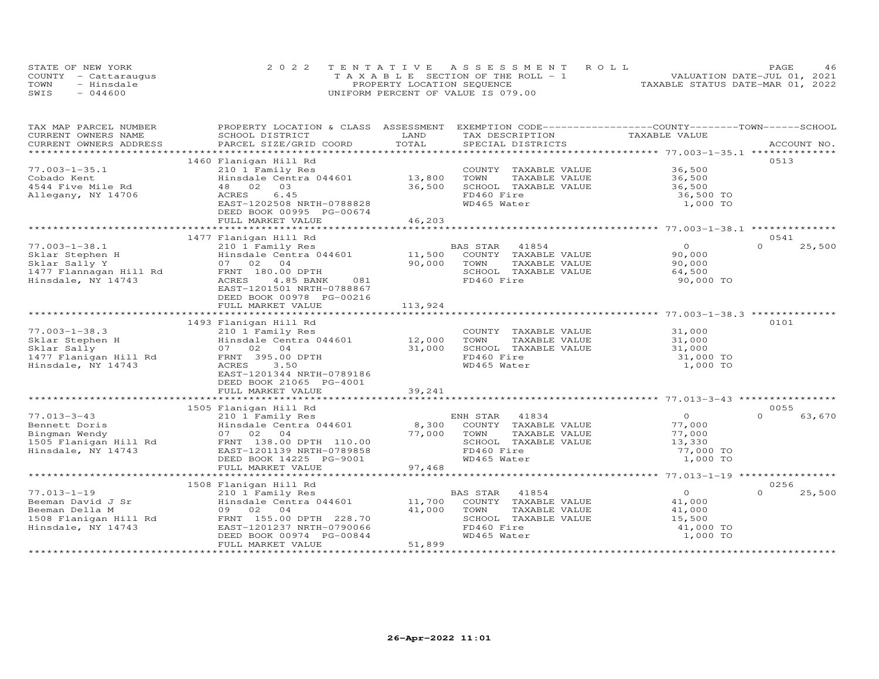|      | STATE OF NEW YORK    | 2022 TENTATIVE ASSESSMENT ROLL        | 46<br>PAGE                       |
|------|----------------------|---------------------------------------|----------------------------------|
|      | COUNTY - Cattaraugus | T A X A B L E SECTION OF THE ROLL - 1 | VALUATION DATE-JUL 01, 2021      |
| TOWN | - Hinsdale           | PROPERTY LOCATION SEQUENCE            | TAXABLE STATUS DATE-MAR 01, 2022 |
| SWIS | $-044600$            | UNIFORM PERCENT OF VALUE IS 079.00    |                                  |

| TAX MAP PARCEL NUMBER<br>CURRENT OWNERS NAME | PROPERTY LOCATION & CLASS ASSESSMENT EXEMPTION CODE----------------COUNTY-------TOWN------SCHOOL<br>SCHOOL DISTRICT | LAND    | TAX DESCRIPTION       | TAXABLE VALUE                                              |                    |
|----------------------------------------------|---------------------------------------------------------------------------------------------------------------------|---------|-----------------------|------------------------------------------------------------|--------------------|
| CURRENT OWNERS ADDRESS                       | PARCEL SIZE/GRID COORD                                                                                              | TOTAL   | SPECIAL DISTRICTS     |                                                            | ACCOUNT NO.        |
|                                              |                                                                                                                     |         |                       |                                                            |                    |
|                                              | 1460 Flanigan Hill Rd                                                                                               |         |                       |                                                            | 0513               |
| $77.003 - 1 - 35.1$                          | 210 1 Family Res                                                                                                    |         | COUNTY TAXABLE VALUE  | 36,500                                                     |                    |
| Cobado Kent                                  | Hinsdale Centra 044601                                                                                              | 13,800  | TAXABLE VALUE<br>TOWN | 36,500                                                     |                    |
| 4544 Five Mile Rd                            | 48 02<br>03                                                                                                         | 36,500  | SCHOOL TAXABLE VALUE  | 36,500                                                     |                    |
|                                              | 6.45                                                                                                                |         | FD460 Fire            |                                                            |                    |
| Allegany, NY 14706                           | ACRES                                                                                                               |         |                       | 36,500 TO                                                  |                    |
|                                              | EAST-1202508 NRTH-0788828                                                                                           |         | WD465 Water           | 1,000 TO                                                   |                    |
|                                              | DEED BOOK 00995 PG-00674                                                                                            |         |                       |                                                            |                    |
|                                              | FULL MARKET VALUE                                                                                                   | 46,203  |                       |                                                            |                    |
|                                              |                                                                                                                     |         |                       |                                                            |                    |
|                                              | 1477 Flanigan Hill Rd                                                                                               |         |                       |                                                            | 0541<br>$\Omega$   |
| $77.003 - 1 - 38.1$                          | 210 1 Family Res                                                                                                    |         | BAS STAR<br>41854     | $\Omega$                                                   | 25,500             |
| Sklar Stephen H                              | Hinsdale Centra 044601                                                                                              | 11,500  | COUNTY TAXABLE VALUE  | 90,000                                                     |                    |
| Sklar Sally Y                                | 07 02<br>04                                                                                                         | 90,000  | TOWN<br>TAXABLE VALUE | 90,000                                                     |                    |
| 1477 Flannagan Hill Rd                       | FRNT 180.00 DPTH                                                                                                    |         | SCHOOL TAXABLE VALUE  | 64,500                                                     |                    |
| Hinsdale, NY 14743                           | ACRES<br>4.85 BANK<br>081                                                                                           |         | FD460 Fire            | 90,000 TO                                                  |                    |
|                                              | EAST-1201501 NRTH-0788867                                                                                           |         |                       |                                                            |                    |
|                                              | DEED BOOK 00978 PG-00216                                                                                            |         |                       |                                                            |                    |
|                                              | FULL MARKET VALUE                                                                                                   | 113,924 |                       |                                                            |                    |
|                                              | ***********************                                                                                             |         |                       | *****************************77.003-1-38.3 *************** |                    |
|                                              | 1493 Flanigan Hill Rd                                                                                               |         |                       |                                                            | 0101               |
| $77.003 - 1 - 38.3$                          | 210 1 Family Res                                                                                                    |         | COUNTY TAXABLE VALUE  | 31,000                                                     |                    |
| Sklar Stephen H                              | Hinsdale Centra 044601                                                                                              | 12,000  | TOWN<br>TAXABLE VALUE | 31,000                                                     |                    |
| Sklar Sally                                  | 07 02<br>04                                                                                                         | 31,000  | SCHOOL TAXABLE VALUE  | 31,000                                                     |                    |
| 1477 Flanigan Hill Rd                        | FRNT 395.00 DPTH                                                                                                    |         | FD460 Fire            | 31,000 TO                                                  |                    |
| Hinsdale, NY 14743                           | 3.50<br>ACRES                                                                                                       |         | WD465 Water           | 1,000 TO                                                   |                    |
|                                              | EAST-1201344 NRTH-0789186                                                                                           |         |                       |                                                            |                    |
|                                              | DEED BOOK 21065 PG-4001                                                                                             |         |                       |                                                            |                    |
|                                              | FULL MARKET VALUE                                                                                                   | 39,241  |                       |                                                            |                    |
|                                              |                                                                                                                     |         |                       |                                                            |                    |
|                                              | 1505 Flanigan Hill Rd                                                                                               |         |                       |                                                            | 0055               |
| $77.013 - 3 - 43$                            | 210 1 Family Res                                                                                                    |         | ENH STAR<br>41834     | $\overline{0}$                                             | $\Omega$<br>63,670 |
| Bennett Doris                                | Hinsdale Centra 044601                                                                                              | 8,300   | COUNTY TAXABLE VALUE  | 77,000                                                     |                    |
| Bingman Wendy                                | 07 02 04                                                                                                            | 77,000  | TAXABLE VALUE<br>TOWN | 77,000                                                     |                    |
| 1505 Flanigan Hill Rd                        | FRNT 138.00 DPTH 110.00                                                                                             |         | SCHOOL TAXABLE VALUE  | 13,330                                                     |                    |
| Hinsdale, NY 14743                           | EAST-1201139 NRTH-0789858                                                                                           |         | FD460 Fire            | 77,000 TO                                                  |                    |
|                                              | DEED BOOK 14225 PG-9001                                                                                             |         | WD465 Water           | 1,000 TO                                                   |                    |
|                                              | FULL MARKET VALUE                                                                                                   | 97,468  |                       |                                                            |                    |
|                                              |                                                                                                                     |         |                       |                                                            |                    |
|                                              | 1508 Flanigan Hill Rd                                                                                               |         |                       |                                                            | 0256               |
| $77.013 - 1 - 19$                            | 210 1 Family Res                                                                                                    |         | 41854<br>BAS STAR     | $\overline{O}$                                             | $\Omega$<br>25,500 |
| Beeman David J Sr                            | Hinsdale Centra 044601                                                                                              | 11,700  | COUNTY TAXABLE VALUE  | 41,000                                                     |                    |
| Beeman Della M                               | 0 <sub>4</sub><br>09 02                                                                                             | 41,000  | TOWN<br>TAXABLE VALUE | 41,000                                                     |                    |
| 1508 Flanigan Hill Rd                        | FRNT 155.00 DPTH 228.70                                                                                             |         | SCHOOL TAXABLE VALUE  | 15,500                                                     |                    |
| Hinsdale, NY 14743                           | EAST-1201237 NRTH-0790066                                                                                           |         | FD460 Fire            | 41,000 TO                                                  |                    |
|                                              | DEED BOOK 00974 PG-00844                                                                                            |         | WD465 Water           | 1,000 TO                                                   |                    |
|                                              | FULL MARKET VALUE                                                                                                   | 51,899  |                       |                                                            |                    |
|                                              |                                                                                                                     |         |                       |                                                            |                    |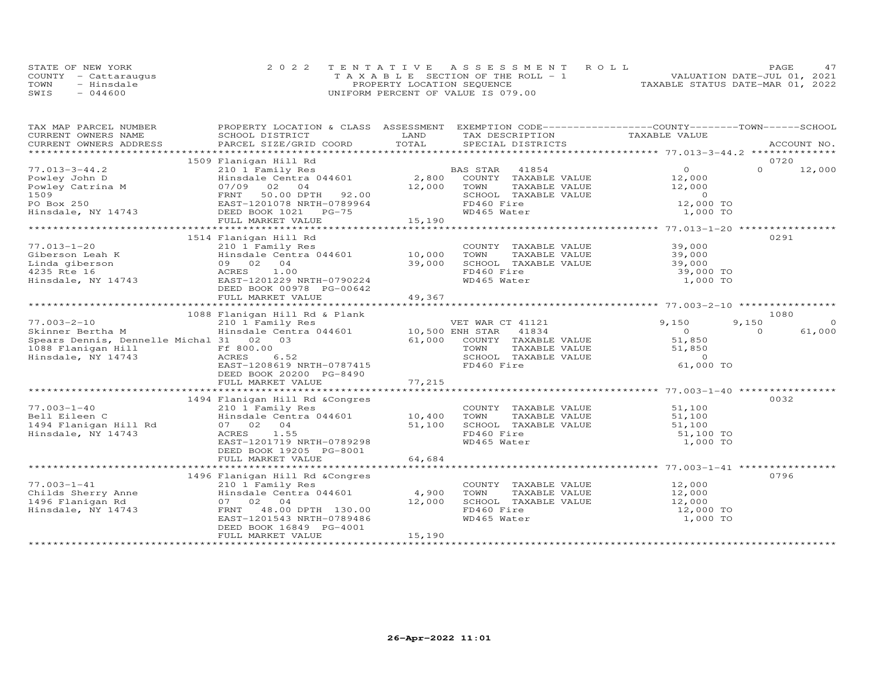| STATE OF NEW YORK    | 2022 TENTATIVE ASSESSMENT ROLL     | 47<br>PAGE                       |
|----------------------|------------------------------------|----------------------------------|
| COUNTY - Cattaraugus | TAXABLE SECTION OF THE ROLL - 1    | VALUATION DATE-JUL 01, 2021      |
| TOWN<br>- Hinsdale   | PROPERTY LOCATION SEQUENCE         | TAXABLE STATUS DATE-MAR 01, 2022 |
| SWIS<br>- 044600     | UNIFORM PERCENT OF VALUE IS 079.00 |                                  |

| TAX MAP PARCEL NUMBER                                        |                                                   |               | PROPERTY LOCATION & CLASS ASSESSMENT EXEMPTION CODE----------------COUNTY-------TOWN-----SCHOOL |                  |          |             |
|--------------------------------------------------------------|---------------------------------------------------|---------------|-------------------------------------------------------------------------------------------------|------------------|----------|-------------|
| CURRENT OWNERS NAME<br>CURRENT OWNERS ADDRESS                | SCHOOL DISTRICT<br>PARCEL SIZE/GRID COORD         | LAND<br>TOTAL | TAX DESCRIPTION<br>SPECIAL DISTRICTS                                                            | TAXABLE VALUE    |          | ACCOUNT NO. |
|                                                              |                                                   |               |                                                                                                 |                  |          |             |
|                                                              | 1509 Flanigan Hill Rd                             |               |                                                                                                 |                  | 0720     |             |
| $77.013 - 3 - 44.2$                                          | 210 1 Family Res                                  |               | BAS STAR 41854                                                                                  | $\overline{O}$   | $\Omega$ | 12,000      |
| Powley John D                                                | Ero I ruminy Res<br>Hinsdale Centra 044601 2,800  |               | COUNTY TAXABLE VALUE                                                                            | 12,000           |          |             |
| Powley Catrina M                                             | 07/09 02 04                                       | 12,000        | TAXABLE VALUE<br>TOWN                                                                           | 12,000           |          |             |
|                                                              | FRNT<br>50.00 DPTH 92.00                          |               | SCHOOL TAXABLE VALUE                                                                            | $\sim$ 0         |          |             |
| Powley Catrina M<br>1509<br>PO Box 250<br>Hinsdale, NY 14743 | EAST-1201078 NRTH-0789964                         |               | FD460 Fire                                                                                      | 12,000 TO        |          |             |
|                                                              | DEED BOOK 1021    PG-75                           |               | WD465 Water                                                                                     | 1,000 TO         |          |             |
|                                                              | FULL MARKET VALUE                                 | 15,190        |                                                                                                 |                  |          |             |
|                                                              |                                                   |               |                                                                                                 |                  |          |             |
|                                                              | 1514 Flanigan Hill Rd                             |               |                                                                                                 |                  | 0291     |             |
| $77.013 - 1 - 20$                                            | 210 1 Family Res                                  |               | COUNTY TAXABLE VALUE                                                                            | 39,000           |          |             |
| Giberson Leah K                                              | Hinsdale Centra 044601                            | 10,000        | TOWN<br>TAXABLE VALUE                                                                           | 39,000           |          |             |
| Linda giberson                                               | 09 02 04                                          | 39,000        | SCHOOL TAXABLE VALUE                                                                            | 39,000           |          |             |
|                                                              | 1.00<br>ACRES                                     |               | FD460 Fire                                                                                      | 39,000 TO        |          |             |
| 4235 Rte 16<br>Hinsdale, NY 14743                            | EAST-1201229 NRTH-0790224                         |               | WD465 Water                                                                                     | 1,000 TO         |          |             |
|                                                              | DEED BOOK 00978 PG-00642                          |               |                                                                                                 |                  |          |             |
|                                                              | FULL MARKET VALUE                                 | 49,367        |                                                                                                 |                  |          |             |
|                                                              |                                                   |               |                                                                                                 |                  |          |             |
|                                                              | 1088 Flanigan Hill Rd & Plank                     |               |                                                                                                 |                  | 1080     |             |
| $77.003 - 2 - 10$                                            | 210 1 Family Res                                  |               | VET WAR CT 41121                                                                                | 9,150            | 9,150    | $\Omega$    |
| Skinner Bertha M                                             | Find the central 044601 10,500 ENH STAR 41834     |               |                                                                                                 | $\overline{0}$   | $\Omega$ | 61,000      |
| Spears Dennis, Dennelle Michal 31 02 03                      |                                                   | 61,000        | COUNTY TAXABLE VALUE                                                                            | 51,850           |          |             |
| 1088 Flanigan Hill Ff 800.00                                 |                                                   |               | TOWN<br>TAXABLE VALUE                                                                           | 51,850           |          |             |
| Hinsdale, NY 14743                                           | ACRES<br>6.52                                     |               | SCHOOL TAXABLE VALUE                                                                            | $\Omega$         |          |             |
|                                                              | EAST-1208619 NRTH-0787415                         |               | FD460 Fire                                                                                      | 61,000 TO        |          |             |
|                                                              | DEED BOOK 20200 PG-8490                           |               |                                                                                                 |                  |          |             |
|                                                              | FULL MARKET VALUE                                 | 77,215        |                                                                                                 |                  |          |             |
|                                                              |                                                   |               |                                                                                                 |                  |          |             |
| $77.003 - 1 - 40$                                            | 1494 Flanigan Hill Rd &Congres                    |               |                                                                                                 |                  | 0032     |             |
|                                                              | 210 1 Family Res<br>Hinsdale Centra 044601 10,400 |               | COUNTY TAXABLE VALUE                                                                            | 51,100           |          |             |
| Bell Eileen C                                                | 07 02 04                                          | 51,100        | TOWN<br>TAXABLE VALUE<br>SCHOOL TAXABLE VALUE                                                   | 51,100<br>51,100 |          |             |
| 1494 Flanigan Hill Rd<br>Hinsdale, NY 14743                  | ACRES<br>1.55                                     |               | FD460 Fire                                                                                      | 51,100 TO        |          |             |
|                                                              | EAST-1201719 NRTH-0789298                         |               | WD465 Water                                                                                     | 1,000 TO         |          |             |
|                                                              | DEED BOOK 19205 PG-8001                           |               |                                                                                                 |                  |          |             |
|                                                              | FULL MARKET VALUE                                 | 64,684        |                                                                                                 |                  |          |             |
|                                                              |                                                   |               |                                                                                                 |                  |          |             |
|                                                              | 1496 Flanigan Hill Rd &Congres                    |               |                                                                                                 |                  | 0796     |             |
| $77.003 - 1 - 41$                                            | 210 1 Family Res                                  |               | COUNTY TAXABLE VALUE                                                                            | 12,000           |          |             |
| Childs Sherry Anne                                           | Hinsdale Centra 044601                            | 4,900         | TOWN<br>TAXABLE VALUE                                                                           | 12,000           |          |             |
| 1496 Flanigan Rd                                             | 07 02 04                                          | 12,000        | SCHOOL TAXABLE VALUE                                                                            | 12,000           |          |             |
| Hinsdale, NY 14743                                           | FRNT 48.00 DPTH 130.00                            |               | FD460 Fire                                                                                      | 12,000 TO        |          |             |
|                                                              | EAST-1201543 NRTH-0789486                         |               | WD465 Water                                                                                     | 1,000 TO         |          |             |
|                                                              | DEED BOOK 16849 PG-4001                           |               |                                                                                                 |                  |          |             |
|                                                              | FULL MARKET VALUE                                 | 15,190        |                                                                                                 |                  |          |             |
|                                                              |                                                   |               |                                                                                                 |                  |          |             |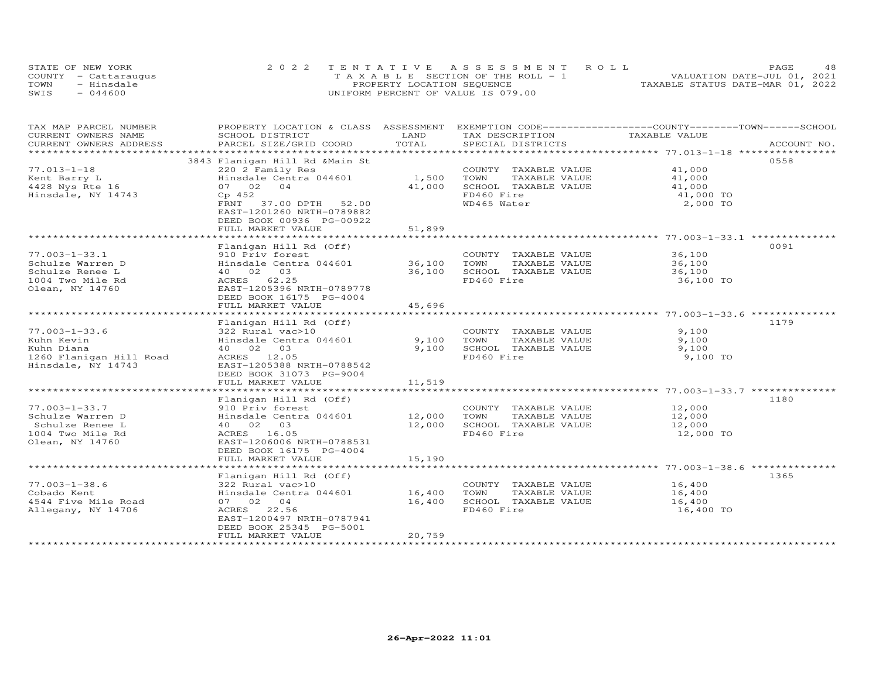| STATE OF NEW YORK    | 2022 TENTATIVE ASSESSMENT ROLL        | 48<br>PAGE                       |
|----------------------|---------------------------------------|----------------------------------|
| COUNTY - Cattaraugus | T A X A B L E SECTION OF THE ROLL - 1 | VALUATION DATE-JUL 01, 2021      |
| TOWN<br>- Hinsdale   | PROPERTY LOCATION SEQUENCE            | TAXABLE STATUS DATE-MAR 01, 2022 |
| SWIS<br>$-044600$    | UNIFORM PERCENT OF VALUE IS 079.00    |                                  |

| TAX MAP PARCEL NUMBER   | PROPERTY LOCATION & CLASS ASSESSMENT |        | EXEMPTION CODE-----------------COUNTY-------TOWN------SCHOOL |               |             |
|-------------------------|--------------------------------------|--------|--------------------------------------------------------------|---------------|-------------|
| CURRENT OWNERS NAME     | SCHOOL DISTRICT                      | LAND   | TAX DESCRIPTION                                              | TAXABLE VALUE |             |
| CURRENT OWNERS ADDRESS  | PARCEL SIZE/GRID COORD               | TOTAL  | SPECIAL DISTRICTS                                            |               | ACCOUNT NO. |
|                         |                                      |        |                                                              |               |             |
|                         | 3843 Flanigan Hill Rd & Main St      |        |                                                              |               | 0558        |
| $77.013 - 1 - 18$       | 220 2 Family Res                     |        | COUNTY TAXABLE VALUE                                         | 41,000        |             |
| Kent Barry L            | Hinsdale Centra 044601               | 1,500  | TOWN<br>TAXABLE VALUE                                        | 41,000        |             |
| 4428 Nys Rte 16         | 07 02 04                             | 41,000 | SCHOOL TAXABLE VALUE                                         | 41,000        |             |
| Hinsdale, NY 14743      | Cp 452                               |        | FD460 Fire                                                   | 41,000 TO     |             |
|                         | 37.00 DPTH 52.00<br>FRNT             |        | WD465 Water                                                  | 2,000 TO      |             |
|                         | EAST-1201260 NRTH-0789882            |        |                                                              |               |             |
|                         | DEED BOOK 00936 PG-00922             |        |                                                              |               |             |
|                         | FULL MARKET VALUE                    | 51,899 |                                                              |               |             |
|                         |                                      |        |                                                              |               |             |
|                         | Flanigan Hill Rd (Off)               |        |                                                              |               | 0091        |
| $77.003 - 1 - 33.1$     | 910 Priv forest                      |        | COUNTY TAXABLE VALUE                                         | 36,100        |             |
| Schulze Warren D        | Hinsdale Centra 044601               | 36,100 | TOWN<br>TAXABLE VALUE                                        | 36,100        |             |
| Schulze Renee L         | 40 02 03                             | 36,100 | SCHOOL TAXABLE VALUE                                         | 36,100        |             |
| 1004 Two Mile Rd        | ACRES 62.25                          |        | FD460 Fire                                                   | 36,100 TO     |             |
| Olean, NY 14760         | EAST-1205396 NRTH-0789778            |        |                                                              |               |             |
|                         | DEED BOOK 16175 PG-4004              |        |                                                              |               |             |
|                         | FULL MARKET VALUE                    | 45,696 |                                                              |               |             |
|                         |                                      |        |                                                              |               |             |
|                         | Flanigan Hill Rd (Off)               |        |                                                              |               | 1179        |
| $77.003 - 1 - 33.6$     | 322 Rural vac>10                     |        | COUNTY TAXABLE VALUE                                         | 9,100         |             |
| Kuhn Kevin              | Hinsdale Centra 044601               | 9,100  | TOWN<br>TAXABLE VALUE                                        | 9,100         |             |
| Kuhn Diana              | 40  02  03                           | 9,100  | SCHOOL TAXABLE VALUE                                         | 9,100         |             |
| 1260 Flanigan Hill Road | ACRES 12.05                          |        | FD460 Fire                                                   | 9,100 TO      |             |
| Hinsdale, NY 14743      | EAST-1205388 NRTH-0788542            |        |                                                              |               |             |
|                         | DEED BOOK 31073 PG-9004              |        |                                                              |               |             |
|                         | FULL MARKET VALUE                    | 11,519 |                                                              |               |             |
|                         |                                      |        |                                                              |               |             |
|                         | Flanigan Hill Rd (Off)               |        |                                                              |               | 1180        |
| $77.003 - 1 - 33.7$     | 910 Priv forest                      |        | COUNTY TAXABLE VALUE                                         | 12,000        |             |
| Schulze Warren D        | Hinsdale Centra 044601 12,000        |        | TOWN<br>TAXABLE VALUE                                        | 12,000        |             |
| Schulze Renee L         | 40 02 03                             | 12,000 | SCHOOL TAXABLE VALUE                                         | 12,000        |             |
| 1004 Two Mile Rd        | ACRES 16.05                          |        | FD460 Fire                                                   | 12,000 TO     |             |
| Olean, NY 14760         | EAST-1206006 NRTH-0788531            |        |                                                              |               |             |
|                         | DEED BOOK 16175 PG-4004              |        |                                                              |               |             |
|                         | FULL MARKET VALUE                    | 15,190 |                                                              |               |             |
|                         |                                      |        |                                                              |               |             |
|                         | Flanigan Hill Rd (Off)               |        |                                                              |               | 1365        |
| $77.003 - 1 - 38.6$     | 322 Rural vac>10                     |        | COUNTY TAXABLE VALUE                                         | 16,400        |             |
| Cobado Kent             | Hinsdale Centra 044601 16,400        |        | TOWN<br>TAXABLE VALUE                                        | 16,400        |             |
| 4544 Five Mile Road     | 07 02 04                             | 16,400 | SCHOOL TAXABLE VALUE                                         | 16,400        |             |
| Allegany, NY 14706      | ACRES 22.56                          |        | FD460 Fire                                                   | 16,400 TO     |             |
|                         | EAST-1200497 NRTH-0787941            |        |                                                              |               |             |
|                         | DEED BOOK 25345 PG-5001              |        |                                                              |               |             |
|                         | FULL MARKET VALUE                    | 20,759 |                                                              |               |             |
|                         |                                      |        |                                                              |               |             |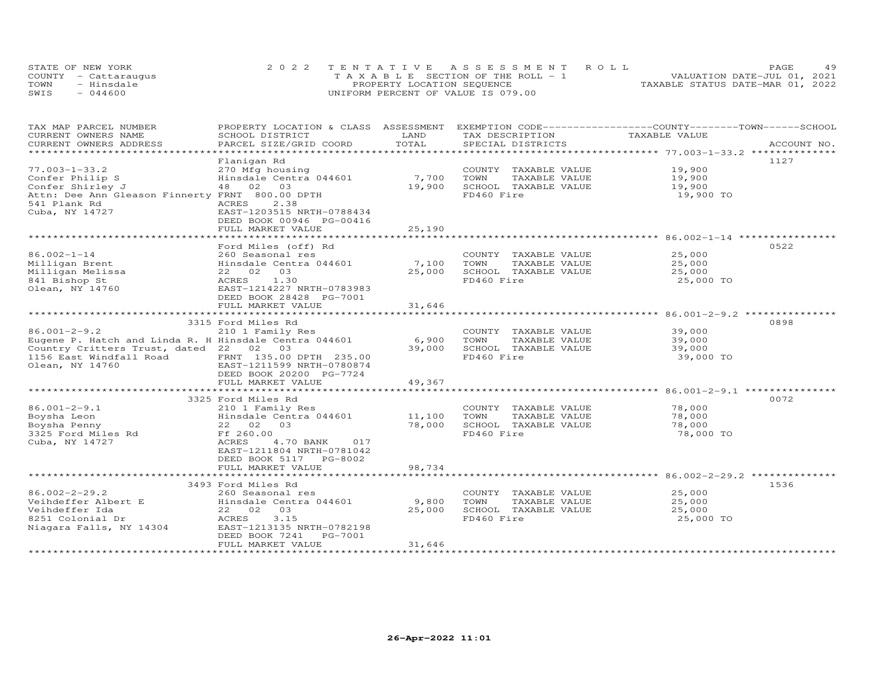| STATE OF NEW YORK    | 2022 TENTATIVE ASSESSMENT ROLL        | 49<br><b>PAGE</b>                |
|----------------------|---------------------------------------|----------------------------------|
| COUNTY - Cattaraugus | T A X A B L E SECTION OF THE ROLL - 1 | VALUATION DATE-JUL 01, 2021      |
| TOWN<br>- Hinsdale   | PROPERTY LOCATION SEQUENCE            | TAXABLE STATUS DATE-MAR 01, 2022 |
| $-044600$<br>SWIS    | UNIFORM PERCENT OF VALUE IS 079.00    |                                  |

| TAX MAP PARCEL NUMBER                                 | PROPERTY LOCATION & CLASS ASSESSMENT |        | EXEMPTION CODE-----------------COUNTY-------TOWN-----SCHOOL |               |             |
|-------------------------------------------------------|--------------------------------------|--------|-------------------------------------------------------------|---------------|-------------|
| CURRENT OWNERS NAME                                   | SCHOOL DISTRICT                      | LAND   | TAX DESCRIPTION                                             | TAXABLE VALUE |             |
| CURRENT OWNERS ADDRESS<br>*******************         | PARCEL SIZE/GRID COORD               | TOTAL  | SPECIAL DISTRICTS                                           |               | ACCOUNT NO. |
|                                                       |                                      |        |                                                             |               |             |
|                                                       | Flanigan Rd                          |        |                                                             |               | 1127        |
| $77.003 - 1 - 33.2$                                   | 270 Mfg housing                      |        | COUNTY TAXABLE VALUE                                        | 19,900        |             |
| Confer Philip S                                       | Hinsdale Centra 044601               | 7,700  | TOWN<br>TAXABLE VALUE                                       | 19,900        |             |
| Confer Shirley J                                      | 48<br>02<br>03                       | 19,900 | SCHOOL TAXABLE VALUE                                        | 19,900        |             |
| Attn: Dee Ann Gleason Finnerty FRNT 800.00 DPTH       |                                      |        | FD460 Fire                                                  | 19,900 TO     |             |
| 541 Plank Rd                                          | ACRES<br>2.38                        |        |                                                             |               |             |
| Cuba, NY 14727                                        | EAST-1203515 NRTH-0788434            |        |                                                             |               |             |
|                                                       | DEED BOOK 00946 PG-00416             | 25,190 |                                                             |               |             |
|                                                       | FULL MARKET VALUE                    |        |                                                             |               |             |
|                                                       | Ford Miles (off) Rd                  |        |                                                             |               | 0522        |
| 86.002-1-14                                           | 260 Seasonal res                     |        |                                                             | 25,000        |             |
| Milligan Brent                                        | Hinsdale Centra 044601               | 7,100  | COUNTY TAXABLE VALUE<br>TOWN<br>TAXABLE VALUE               | 25,000        |             |
| Milligan Melissa                                      | 22 02 03                             | 25,000 | SCHOOL TAXABLE VALUE                                        | 25,000        |             |
| 841 Bishop St                                         | 1.30<br>ACRES                        |        | FD460 Fire                                                  | 25,000 TO     |             |
| Olean, NY 14760                                       | EAST-1214227 NRTH-0783983            |        |                                                             |               |             |
|                                                       | DEED BOOK 28428 PG-7001              |        |                                                             |               |             |
|                                                       | FULL MARKET VALUE                    | 31,646 |                                                             |               |             |
|                                                       | ************************             |        |                                                             |               |             |
|                                                       | 3315 Ford Miles Rd                   |        |                                                             |               | 0898        |
| $86.001 - 2 - 9.2$                                    | 210 1 Family Res                     |        | COUNTY TAXABLE VALUE                                        | 39,000        |             |
| Eugene P. Hatch and Linda R. H Hinsdale Centra 044601 |                                      | 6,900  | TOWN<br>TAXABLE VALUE                                       | 39,000        |             |
| Country Critters Trust, dated 22 02 03                |                                      | 39,000 | SCHOOL TAXABLE VALUE                                        | 39,000        |             |
| 1156 East Windfall Road FRNT 135.00 DPTH 235.00       |                                      |        | FD460 Fire                                                  | 39,000 TO     |             |
| Olean, NY 14760                                       | EAST-1211599 NRTH-0780874            |        |                                                             |               |             |
|                                                       | DEED BOOK 20200 PG-7724              |        |                                                             |               |             |
|                                                       | FULL MARKET VALUE                    | 49,367 |                                                             |               |             |
|                                                       |                                      |        |                                                             |               |             |
|                                                       | 3325 Ford Miles Rd                   |        |                                                             |               | 0072        |
| $86.001 - 2 - 9.1$                                    | 210 1 Family Res                     |        | COUNTY TAXABLE VALUE                                        | 78,000        |             |
| Boysha Leon                                           | Hinsdale Centra 044601               | 11,100 | TOWN<br>TAXABLE VALUE                                       | 78,000        |             |
| Boysha Penny                                          | 22 02<br>03                          | 78,000 | SCHOOL TAXABLE VALUE                                        | 78,000        |             |
| 3325 Ford Miles Rd                                    | Ff 260.00                            |        | FD460 Fire                                                  | 78,000 TO     |             |
| Cuba, NY 14727                                        | ACRES<br>4.70 BANK<br>017            |        |                                                             |               |             |
|                                                       | EAST-1211804 NRTH-0781042            |        |                                                             |               |             |
|                                                       | DEED BOOK 5117 PG-8002               |        |                                                             |               |             |
|                                                       | FULL MARKET VALUE                    | 98,734 |                                                             |               |             |
|                                                       |                                      |        |                                                             |               |             |
|                                                       | 3493 Ford Miles Rd                   |        |                                                             |               | 1536        |
| $86.002 - 2 - 29.2$                                   | 260 Seasonal res                     |        | COUNTY TAXABLE VALUE                                        | 25,000        |             |
| Veihdeffer Albert E                                   | Hinsdale Centra 044601               | 9,800  | TOWN<br>TAXABLE VALUE                                       | 25,000        |             |
| Veihdeffer Ida                                        | 22 02<br>03                          | 25,000 | SCHOOL TAXABLE VALUE                                        | 25,000        |             |
| 8251 Colonial Dr                                      | ACRES<br>3.15                        |        | FD460 Fire                                                  | 25,000 TO     |             |
| Niagara Falls, NY 14304                               | EAST-1213135 NRTH-0782198            |        |                                                             |               |             |
|                                                       | DEED BOOK 7241<br>PG-7001            |        |                                                             |               |             |
|                                                       | FULL MARKET VALUE                    | 31,646 |                                                             |               |             |
|                                                       |                                      |        |                                                             |               |             |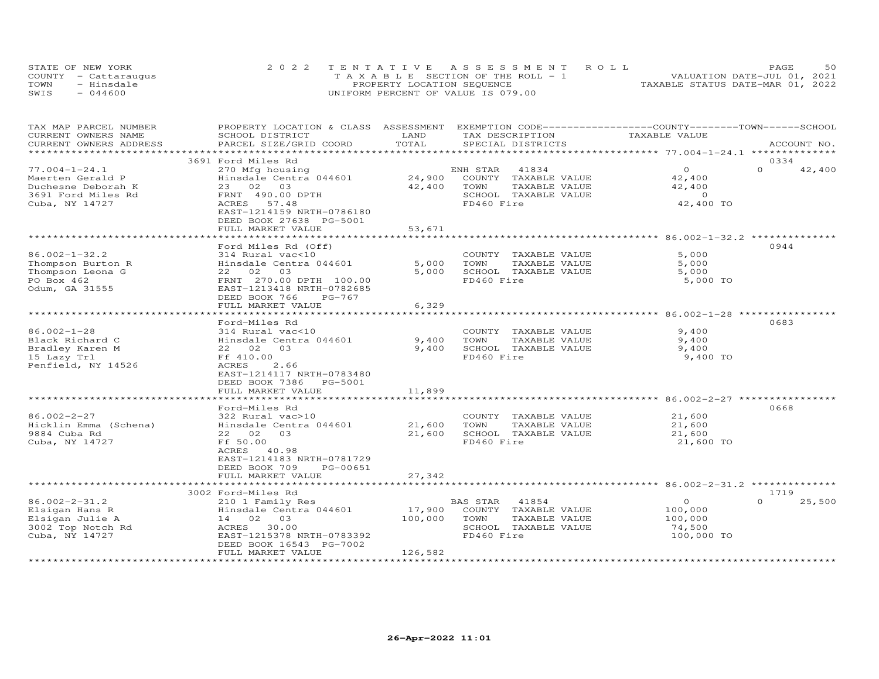|      | STATE OF NEW YORK    | 2022 TENTATIVE ASSESSMENT ROLL                  | 50<br>PAGE                       |
|------|----------------------|-------------------------------------------------|----------------------------------|
|      | COUNTY - Cattaraugus | $T A X A B I F S E C T I ON OF THE R O I J - 1$ | VALUATION DATE-JUL 01, 2021      |
| TOWN | - Hinsdale           | PROPERTY LOCATION SEQUENCE                      | TAXABLE STATUS DATE-MAR 01, 2022 |
| SWIS | $-044600$            | UNIFORM PERCENT OF VALUE IS 079.00              |                                  |

| TAX MAP PARCEL NUMBER<br>CURRENT OWNERS NAME<br>CURRENT OWNERS ADDRESS                                | PROPERTY LOCATION & CLASS ASSESSMENT EXEMPTION CODE----------------COUNTY-------TOWN------SCHOOL<br>SCHOOL DISTRICT                                                                                   | LAND<br>TOTAL                 | TAX DESCRIPTION                                                                                          | TAXABLE VALUE                                         |                            |
|-------------------------------------------------------------------------------------------------------|-------------------------------------------------------------------------------------------------------------------------------------------------------------------------------------------------------|-------------------------------|----------------------------------------------------------------------------------------------------------|-------------------------------------------------------|----------------------------|
| ***********************                                                                               | PARCEL SIZE/GRID COORD                                                                                                                                                                                |                               | SPECIAL DISTRICTS                                                                                        |                                                       | ACCOUNT NO.                |
|                                                                                                       | 3691 Ford Miles Rd                                                                                                                                                                                    |                               |                                                                                                          |                                                       | 0334                       |
| $77.004 - 1 - 24.1$<br>Maerten Gerald P<br>Duchesne Deborah K<br>3691 Ford Miles Rd<br>Cuba, NY 14727 | 270 Mfg housing<br>Hinsdale Centra 044601<br>23 02 03<br>FRNT 490.00 DPTH<br>ACRES 57.48<br>EAST-1214159 NRTH-0786180<br>DEED BOOK 27638 PG-5001<br>FULL MARKET VALUE                                 | 24,900<br>42,400<br>53,671    | ENH STAR<br>41834<br>COUNTY TAXABLE VALUE<br>TOWN<br>TAXABLE VALUE<br>SCHOOL TAXABLE VALUE<br>FD460 Fire | $\Omega$<br>42,400<br>42,400<br>$\sim$ 0<br>42,400 TO | $\Omega$<br>42,400         |
|                                                                                                       |                                                                                                                                                                                                       |                               |                                                                                                          |                                                       |                            |
| $86.002 - 1 - 32.2$<br>Thompson Burton R<br>Thompson Leona G<br>PO Box 462<br>Odum, GA 31555          | Ford Miles Rd (Off)<br>314 Rural vac<10<br>Hinsdale Centra 044601<br>22 02<br>03<br>FRNT 270.00 DPTH 100.00<br>EAST-1213418 NRTH-0782685<br>DEED BOOK 766<br>PG-767<br>FULL MARKET VALUE              | 5,000<br>5,000<br>6,329       | COUNTY TAXABLE VALUE<br>TOWN<br>TAXABLE VALUE<br>SCHOOL TAXABLE VALUE<br>FD460 Fire                      | 5,000<br>5,000<br>5,000<br>5,000 TO                   | 0944                       |
|                                                                                                       |                                                                                                                                                                                                       |                               |                                                                                                          |                                                       |                            |
| $86.002 - 1 - 28$<br>Black Richard C<br>Bradley Karen M<br>15 Lazy Trl<br>Penfield, NY 14526          | Ford-Miles Rd<br>314 Rural vac<10<br>Hinsdale Centra 044601<br>22 02 03<br>Ff 410.00<br>2.66<br>ACRES<br>EAST-1214117 NRTH-0783480<br>DEED BOOK 7386 PG-5001                                          | 9,400<br>9,400                | COUNTY TAXABLE VALUE<br>TAXABLE VALUE<br>TOWN<br>SCHOOL TAXABLE VALUE<br>FD460 Fire                      | 9,400<br>9,400<br>9,400<br>9,400 TO                   | 0683                       |
|                                                                                                       | FULL MARKET VALUE                                                                                                                                                                                     | 11,899                        |                                                                                                          |                                                       |                            |
| $86.002 - 2 - 27$<br>Hicklin Emma (Schena)<br>9884 Cuba Rd<br>Cuba, NY 14727                          | * * * * * * * * * * * * * * * * * * *<br>Ford-Miles Rd<br>322 Rural vac>10<br>Hinsdale Centra 044601<br>22 02 03<br>Ff 50.00<br>ACRES 40.98<br>EAST-1214183 NRTH-0781729<br>DEED BOOK 709<br>PG-00651 | *********<br>21,600<br>21,600 | COUNTY TAXABLE VALUE<br>TOWN<br>TAXABLE VALUE<br>SCHOOL TAXABLE VALUE<br>FD460 Fire                      | 21,600<br>21,600<br>21,600<br>21,600 TO               | 0668                       |
|                                                                                                       | FULL MARKET VALUE                                                                                                                                                                                     | 27,342                        |                                                                                                          |                                                       |                            |
|                                                                                                       |                                                                                                                                                                                                       |                               |                                                                                                          |                                                       |                            |
| $86.002 - 2 - 31.2$<br>Elsigan Hans R<br>Elsigan Julie A<br>3002 Top Notch Rd<br>Cuba, NY 14727       | 3002 Ford-Miles Rd<br>210 1 Family Res<br>Hinsdale Centra 044601<br>14 02 03<br>ACRES 30.00<br>EAST-1215378 NRTH-0783392<br>DEED BOOK 16543 PG-7002<br>FULL MARKET VALUE                              | 17,900<br>100,000<br>126,582  | BAS STAR 41854<br>COUNTY TAXABLE VALUE<br>TAXABLE VALUE<br>TOWN<br>SCHOOL TAXABLE VALUE<br>FD460 Fire    | $\circ$<br>100,000<br>100,000<br>74,500<br>100,000 TO | 1719<br>$\Omega$<br>25,500 |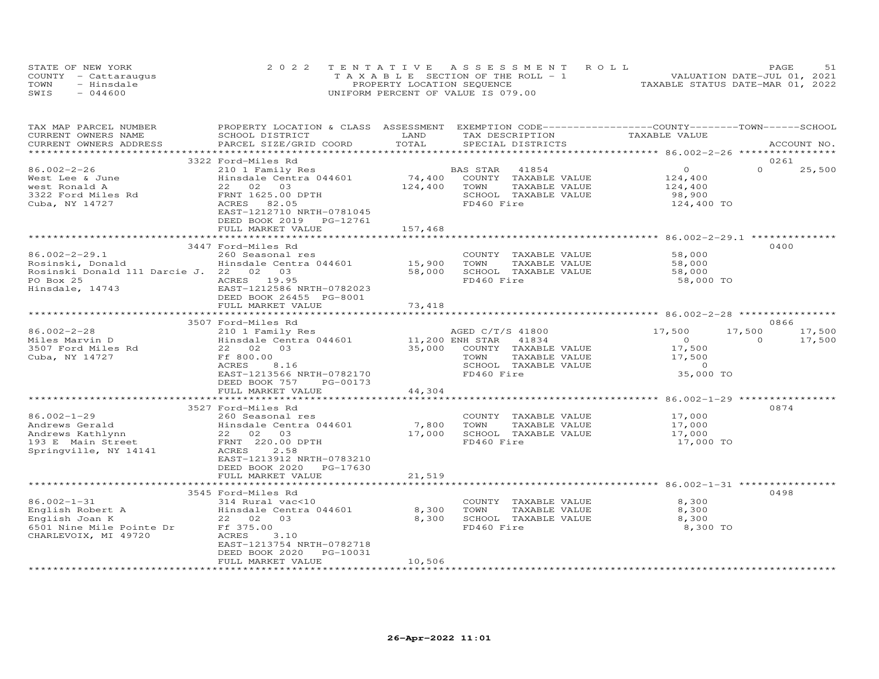|      | STATE OF NEW YORK    | 2022 TENTATIVE ASSESSMENT ROLL        | PAGE                             |
|------|----------------------|---------------------------------------|----------------------------------|
|      | COUNTY - Cattaraugus | T A X A B L E SECTION OF THE ROLL - 1 | VALUATION DATE-JUL 01, 2021      |
| TOWN | - Hinsdale           | PROPERTY LOCATION SEQUENCE            | TAXABLE STATUS DATE-MAR 01, 2022 |
| SWIS | $-044600$            | UNIFORM PERCENT OF VALUE IS 079.00    |                                  |

| TAX MAP PARCEL NUMBER<br>CURRENT OWNERS NAME                             | PROPERTY LOCATION & CLASS ASSESSMENT EXEMPTION CODE----------------COUNTY-------TOWN-----SCHOOL<br>SCHOOL DISTRICT | LAND              | TAX DESCRIPTION                                                                     | TAXABLE VALUE                              |                            |
|--------------------------------------------------------------------------|--------------------------------------------------------------------------------------------------------------------|-------------------|-------------------------------------------------------------------------------------|--------------------------------------------|----------------------------|
| CURRENT OWNERS ADDRESS<br>**********************                         | PARCEL SIZE/GRID COORD                                                                                             | TOTAL             | SPECIAL DISTRICTS                                                                   |                                            | ACCOUNT NO.                |
|                                                                          |                                                                                                                    |                   |                                                                                     |                                            |                            |
| 86.002-2-26                                                              | 3322 Ford-Miles Rd<br>210 1 Family Res                                                                             |                   | BAS STAR 41854                                                                      | $\circ$                                    | 0261<br>$\Omega$<br>25,500 |
| West Lee & June<br>west Ronald A<br>3322 Ford Miles Rd<br>Cuba, NY 14727 | Hinsdale Centra 044601<br>22 02 03<br>FRNT 1625.00 DPTH<br>ACRES 82.05<br>EAST-1212710 NRTH-0781045                | 74,400<br>124,400 | COUNTY TAXABLE VALUE<br>TOWN<br>TAXABLE VALUE<br>SCHOOL TAXABLE VALUE<br>FD460 Fire | 124,400<br>124,400<br>98,900<br>124,400 TO |                            |
|                                                                          | DEED BOOK 2019 PG-12761<br>FULL MARKET VALUE                                                                       | 157,468           |                                                                                     |                                            |                            |
|                                                                          |                                                                                                                    | ***********       |                                                                                     |                                            |                            |
|                                                                          | 3447 Ford-Miles Rd                                                                                                 |                   |                                                                                     |                                            | 0400                       |
| $86.002 - 2 - 29.1$                                                      | 260 Seasonal res                                                                                                   |                   | COUNTY TAXABLE VALUE                                                                | 58,000                                     |                            |
| Rosinski, Donald                                                         | Hinsdale Centra 044601 15,900                                                                                      |                   | TOWN<br>TAXABLE VALUE                                                               | 58,000                                     |                            |
| Rosinski Donald 111 Darcie J. 22 02 03                                   |                                                                                                                    | 58,000            | SCHOOL TAXABLE VALUE                                                                | 58,000                                     |                            |
| PO Box 25<br>Hinsdale, 14743                                             | ACRES 19.95<br>EAST-1212586 NRTH-0782023<br>DEED BOOK 26455 PG-8001<br>FULL MARKET VALUE                           | 73,418            | FD460 Fire                                                                          | 58,000 TO                                  |                            |
|                                                                          |                                                                                                                    |                   |                                                                                     |                                            |                            |
|                                                                          | 3507 Ford-Miles Rd                                                                                                 |                   |                                                                                     |                                            | 0866                       |
| $86.002 - 2 - 28$                                                        | 210 1 Family Res                                                                                                   |                   | AGED C/T/S 41800                                                                    | 17,500                                     | 17,500<br>17,500           |
| Miles Marvin D                                                           | Hinsdale Centra 044601 11,200 ENH STAR                                                                             |                   | 41834                                                                               | $\overline{0}$                             | $\Omega$<br>17,500         |
| 3507 Ford Miles Rd                                                       | 22 02 03                                                                                                           |                   | 35,000 COUNTY TAXABLE VALUE                                                         | 17,500                                     |                            |
| Cuba, NY 14727                                                           | Ff 800.00                                                                                                          |                   | TAXABLE VALUE<br>TOWN                                                               | 17,500                                     |                            |
|                                                                          | ACRES<br>8.16                                                                                                      |                   | SCHOOL TAXABLE VALUE                                                                | 17,500<br>0                                |                            |
|                                                                          | EAST-1213566 NRTH-0782170                                                                                          |                   | FD460 Fire                                                                          | 35,000 TO                                  |                            |
|                                                                          | DEED BOOK 757<br>PG-00173                                                                                          |                   |                                                                                     |                                            |                            |
|                                                                          | FULL MARKET VALUE                                                                                                  | 44,304            |                                                                                     |                                            |                            |
|                                                                          | **********************                                                                                             |                   |                                                                                     |                                            |                            |
|                                                                          | 3527 Ford-Miles Rd                                                                                                 |                   |                                                                                     |                                            | 0874                       |
| $86.002 - 1 - 29$                                                        | 260 Seasonal res                                                                                                   |                   | COUNTY TAXABLE VALUE                                                                | 17,000                                     |                            |
| Andrews Gerald                                                           | Hinsdale Centra 044601                                                                                             | 7,800             | TOWN<br>TAXABLE VALUE                                                               | 17,000                                     |                            |
| Andrews Kathlynn                                                         |                                                                                                                    | 17,000            | SCHOOL TAXABLE VALUE                                                                | 17,000                                     |                            |
| 193 E Main Street                                                        | 200 bullet and Hinsdale Centra 04<br>Hinsdale Centra 04<br>22 02 03<br>FRNT 220.00 DPTH                            |                   | FD460 Fire                                                                          | 17,000 TO                                  |                            |
| Springville, NY 14141                                                    | ACRES<br>2.58<br>EAST-1213912 NRTH-0783210<br>DEED BOOK 2020 PG-17630                                              |                   |                                                                                     |                                            |                            |
|                                                                          | FULL MARKET VALUE                                                                                                  | 21,519            |                                                                                     |                                            |                            |
|                                                                          |                                                                                                                    |                   |                                                                                     |                                            |                            |
|                                                                          | 3545 Ford-Miles Rd                                                                                                 |                   |                                                                                     |                                            | 0498                       |
| $86.002 - 1 - 31$                                                        | 314 Rural vac<10                                                                                                   |                   | COUNTY TAXABLE VALUE                                                                | 8,300                                      |                            |
|                                                                          | Hinsdale Centra 044601                                                                                             | 8,300             | TOWN<br>TAXABLE VALUE                                                               | 8,300                                      |                            |
|                                                                          | 22 02 03                                                                                                           | 8,300             | SCHOOL TAXABLE VALUE                                                                | 8,300                                      |                            |
|                                                                          |                                                                                                                    |                   | FD460 Fire                                                                          | 8,300 TO                                   |                            |
| CHARLEVOIX, MI 49720                                                     | ACRES<br>3.10                                                                                                      |                   |                                                                                     |                                            |                            |
|                                                                          | EAST-1213754 NRTH-0782718                                                                                          |                   |                                                                                     |                                            |                            |
|                                                                          | DEED BOOK 2020 PG-10031                                                                                            |                   |                                                                                     |                                            |                            |
|                                                                          | FULL MARKET VALUE                                                                                                  | 10,506            |                                                                                     |                                            |                            |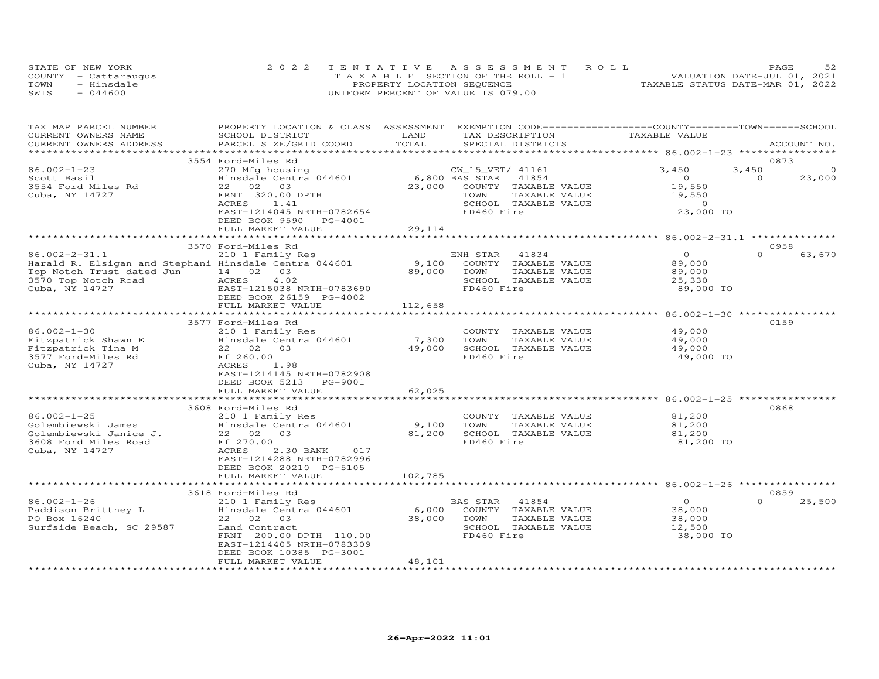|      | STATE OF NEW YORK    | 2022 TENTATIVE ASSESSMENT ROLL        | 52<br>PAGE                       |
|------|----------------------|---------------------------------------|----------------------------------|
|      | COUNTY - Cattaraugus | T A X A B L E SECTION OF THE ROLL - 1 | VALUATION DATE-JUL 01, 2021      |
| TOWN | - Hinsdale           | PROPERTY LOCATION SEQUENCE            | TAXABLE STATUS DATE-MAR 01, 2022 |
| SWIS | $-044600$            | UNIFORM PERCENT OF VALUE IS 079.00    |                                  |

| TAX MAP PARCEL NUMBER                                 | PROPERTY LOCATION & CLASS ASSESSMENT EXEMPTION CODE----------------COUNTY-------TOWN------SCHOOL |                     |                                               |                                                     |                    |
|-------------------------------------------------------|--------------------------------------------------------------------------------------------------|---------------------|-----------------------------------------------|-----------------------------------------------------|--------------------|
| CURRENT OWNERS NAME                                   | SCHOOL DISTRICT                                                                                  | LAND                | TAX DESCRIPTION                               | TAXABLE VALUE                                       |                    |
| CURRENT OWNERS ADDRESS                                | PARCEL SIZE/GRID COORD                                                                           | TOTAL               | SPECIAL DISTRICTS                             |                                                     | ACCOUNT NO.        |
|                                                       |                                                                                                  |                     |                                               |                                                     |                    |
|                                                       | 3554 Ford-Miles Rd                                                                               |                     |                                               |                                                     | 0873               |
| $86.002 - 1 - 23$                                     | 270 Mfg housing                                                                                  |                     | CW_15_VET/ 41161                              | 3,450                                               | 3,450<br>$\circ$   |
| Scott Basil                                           | Hinsdale Centra 044601                                                                           |                     | 6,800 BAS STAR<br>41854                       | $\overline{O}$                                      | $\Omega$<br>23,000 |
| 3554 Ford Miles Rd                                    | 22 02 03                                                                                         | 23,000              | COUNTY TAXABLE VALUE                          | 19,550                                              |                    |
| Cuba, NY 14727                                        | FRNT 320.00 DPTH                                                                                 |                     | TAXABLE VALUE<br>TOWN                         | 19,550                                              |                    |
|                                                       | ACRES<br>1.41                                                                                    |                     | SCHOOL TAXABLE VALUE<br>FD460 Fire            | $\Omega$                                            |                    |
|                                                       | EAST-1214045 NRTH-0782654                                                                        |                     |                                               | 23,000 TO                                           |                    |
|                                                       | DEED BOOK 9590<br>PG-4001<br>FULL MARKET VALUE                                                   | 29,114              |                                               |                                                     |                    |
|                                                       | ************************                                                                         | **************      |                                               | ********************* 86.002-2-31.1 *************** |                    |
|                                                       | 3570 Ford-Miles Rd                                                                               |                     |                                               |                                                     | 0958               |
| $86.002 - 2 - 31.1$                                   | 210 1 Family Res                                                                                 |                     | 41834<br>ENH STAR                             | $\Omega$                                            | $\Omega$<br>63,670 |
| Harald R. Elsigan and Stephani Hinsdale Centra 044601 |                                                                                                  | 9,100               | COUNTY TAXABLE VALUE                          | 89,000                                              |                    |
| Top Notch Trust dated Jun                             | 14 02 03                                                                                         | 89,000              | TOWN<br>TAXABLE VALUE                         | 89,000                                              |                    |
| 3570 Top Notch Road                                   | ACRES<br>4.02                                                                                    |                     | SCHOOL TAXABLE VALUE                          | 25,330                                              |                    |
| Cuba, NY 14727                                        | EAST-1215038 NRTH-0783690                                                                        |                     | FD460 Fire                                    | 89,000 TO                                           |                    |
|                                                       | DEED BOOK 26159 PG-4002                                                                          |                     |                                               |                                                     |                    |
|                                                       | FULL MARKET VALUE                                                                                | 112,658             |                                               |                                                     |                    |
|                                                       | ******************************                                                                   |                     |                                               |                                                     |                    |
|                                                       | 3577 Ford-Miles Rd                                                                               |                     |                                               |                                                     | 0159               |
| $86.002 - 1 - 30$                                     | 210 1 Family Res                                                                                 |                     | COUNTY TAXABLE VALUE                          | 49,000                                              |                    |
| Fitzpatrick Shawn E                                   | Hinsdale Centra 044601                                                                           | 7,300               | TOWN<br>TAXABLE VALUE                         | 49,000                                              |                    |
| Fitzpatrick Tina M                                    | 22 02 03                                                                                         | 49,000              | SCHOOL TAXABLE VALUE                          | 49,000                                              |                    |
| 3577 Ford-Miles Rd                                    | Ff 260.00                                                                                        |                     | FD460 Fire                                    | 49,000 TO                                           |                    |
| Cuba, NY 14727                                        | ACRES<br>1.98                                                                                    |                     |                                               |                                                     |                    |
|                                                       | EAST-1214145 NRTH-0782908                                                                        |                     |                                               |                                                     |                    |
|                                                       | DEED BOOK 5213 PG-9001                                                                           |                     |                                               |                                                     |                    |
|                                                       | FULL MARKET VALUE                                                                                | 62,025              |                                               |                                                     |                    |
|                                                       | **********************                                                                           |                     |                                               | **************** 86.002-1-25 *****                  |                    |
|                                                       | 3608 Ford-Miles Rd                                                                               |                     |                                               |                                                     | 0868               |
| $86.002 - 1 - 25$                                     | 210 1 Family Res                                                                                 |                     | COUNTY TAXABLE VALUE                          | 81,200                                              |                    |
| Golembiewski James                                    | Hinsdale Centra 044601                                                                           | 9,100               | TOWN<br>TAXABLE VALUE                         | 81,200                                              |                    |
| Golembiewski Janice J.                                | 22 02 03                                                                                         | 81,200              | SCHOOL TAXABLE VALUE                          | 81,200                                              |                    |
| 3608 Ford Miles Road                                  | Ff 270.00                                                                                        |                     | FD460 Fire                                    | 81,200 TO                                           |                    |
| Cuba, NY 14727                                        | ACRES<br>2.30 BANK<br>017                                                                        |                     |                                               |                                                     |                    |
|                                                       | EAST-1214288 NRTH-0782996                                                                        |                     |                                               |                                                     |                    |
|                                                       | DEED BOOK 20210 PG-5105                                                                          |                     |                                               |                                                     |                    |
|                                                       | FULL MARKET VALUE                                                                                | 102,785             |                                               |                                                     |                    |
|                                                       |                                                                                                  |                     |                                               |                                                     |                    |
|                                                       | 3618 Ford-Miles Rd                                                                               |                     |                                               |                                                     | 0859<br>$\Omega$   |
| $86.002 - 1 - 26$                                     | 210 1 Family Res                                                                                 |                     | BAS STAR<br>41854                             | $\overline{O}$                                      | 25,500             |
| Paddison Brittney L                                   | Hinsdale Centra 044601                                                                           | 6,000               | COUNTY TAXABLE VALUE                          | 38,000                                              |                    |
| PO Box 16240                                          | 22 02 03<br>Land Contract                                                                        | 38,000              | TOWN<br>TAXABLE VALUE<br>SCHOOL TAXABLE VALUE | 38,000<br>12,500                                    |                    |
| Surfside Beach, SC 29587                              | FRNT 200.00 DPTH 110.00                                                                          |                     | FD460 Fire                                    |                                                     |                    |
|                                                       | EAST-1214405 NRTH-0783309                                                                        |                     |                                               | 38,000 TO                                           |                    |
|                                                       | DEED BOOK 10385 PG-3001                                                                          |                     |                                               |                                                     |                    |
|                                                       | FULL MARKET VALUE                                                                                | 48,101              |                                               |                                                     |                    |
| ************************                              | *************************                                                                        | ******************* |                                               |                                                     |                    |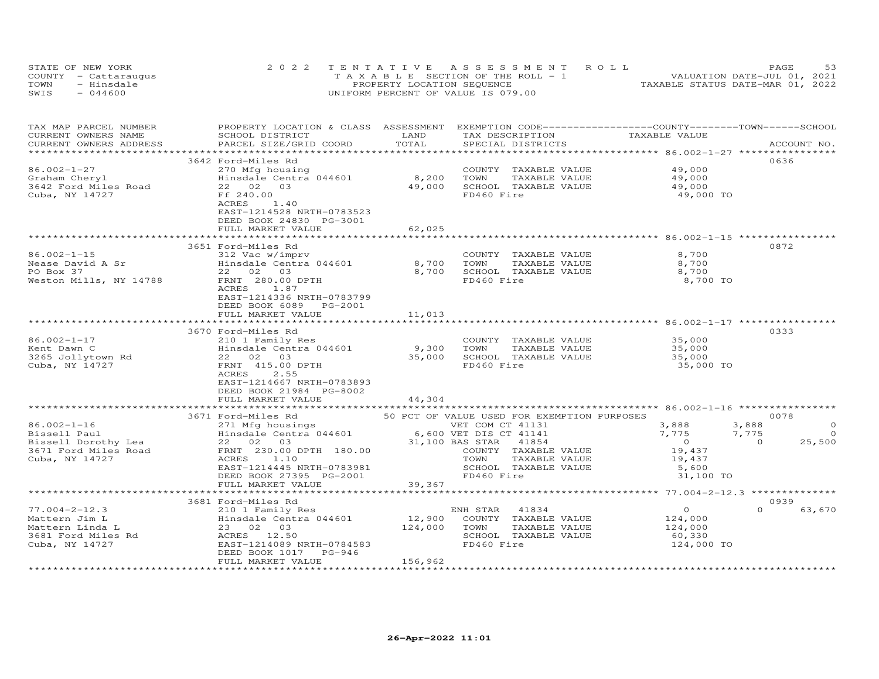| STATE OF NEW YORK    | 2022 TENTATIVE ASSESSMENT ROLL        | 53<br>PAGE.                      |
|----------------------|---------------------------------------|----------------------------------|
| COUNTY - Cattaraugus | T A X A B L E SECTION OF THE ROLL - 1 | VALUATION DATE-JUL 01, 2021      |
| TOWN<br>- Hinsdale   | PROPERTY LOCATION SEQUENCE            | TAXABLE STATUS DATE-MAR 01, 2022 |
| $-044600$<br>SWIS    | UNIFORM PERCENT OF VALUE IS 079.00    |                                  |

| TAX MAP PARCEL NUMBER<br>CURRENT OWNERS NAME<br>CURRENT OWNERS ADDRESS                             | PROPERTY LOCATION & CLASS ASSESSMENT<br>SCHOOL DISTRICT<br>PARCEL SIZE/GRID COORD                                                                                               | LAND<br>TOTAL             | EXEMPTION CODE------------------COUNTY-------TOWN-----SCHOOL<br>TAX DESCRIPTION<br>SPECIAL DISTRICTS                                                          | TAXABLE VALUE                                                              | ACCOUNT NO.                                                       |
|----------------------------------------------------------------------------------------------------|---------------------------------------------------------------------------------------------------------------------------------------------------------------------------------|---------------------------|---------------------------------------------------------------------------------------------------------------------------------------------------------------|----------------------------------------------------------------------------|-------------------------------------------------------------------|
|                                                                                                    |                                                                                                                                                                                 | ************************* |                                                                                                                                                               |                                                                            |                                                                   |
| 86.002-1-27                                                                                        | 3642 Ford-Miles Rd<br>270 Mfg housing                                                                                                                                           |                           | COUNTY TAXABLE VALUE                                                                                                                                          | 49,000                                                                     | 0636                                                              |
| Graham Cheryl<br>3642 Ford Miles Road<br>Cuba, NY 14727                                            | Hinsdale Centra 044601<br>22 02<br>03<br>Ff 240.00<br>1.40<br>ACRES<br>EAST-1214528 NRTH-0783523<br>DEED BOOK 24830 PG-3001                                                     | 8,200<br>49,000           | TOWN<br>TAXABLE VALUE<br>SCHOOL TAXABLE VALUE<br>FD460 Fire                                                                                                   | 49,000<br>49,000<br>49,000 TO                                              |                                                                   |
|                                                                                                    | FULL MARKET VALUE                                                                                                                                                               | 62,025                    |                                                                                                                                                               |                                                                            |                                                                   |
|                                                                                                    | ***********************<br>3651 Ford-Miles Rd                                                                                                                                   | **********                |                                                                                                                                                               |                                                                            | 0872                                                              |
| $86.002 - 1 - 15$<br>Nease David A Sr<br>PO Box 37<br>Weston Mills, NY 14788                       | 312 Vac w/imprv<br>Hinsdale Centra 044601<br>22 02 03<br>FRNT 280.00 DPTH<br>ACRES<br>1.87                                                                                      | 8,700<br>8,700            | COUNTY TAXABLE VALUE<br>TAXABLE VALUE<br>TOWN<br>SCHOOL TAXABLE VALUE<br>FD460 Fire                                                                           | 8,700<br>8,700<br>8,700<br>8,700 TO                                        |                                                                   |
|                                                                                                    | EAST-1214336 NRTH-0783799<br>DEED BOOK 6089<br>PG-2001<br>FULL MARKET VALUE<br>********************************                                                                 | 11,013<br>**************  |                                                                                                                                                               |                                                                            |                                                                   |
|                                                                                                    | 3670 Ford-Miles Rd                                                                                                                                                              |                           |                                                                                                                                                               |                                                                            | 0333                                                              |
| $86.002 - 1 - 17$<br>Kent Dawn C<br>3265 Jollytown Rd<br>Cuba, NY 14727                            | 210 1 Family Res<br>Hinsdale Centra 044601<br>22 02 03<br>FRNT 415.00 DPTH<br>ACRES<br>2.55<br>EAST-1214667 NRTH-0783893<br>DEED BOOK 21984 PG-8002                             | 9,300<br>35,000           | COUNTY TAXABLE VALUE<br>TOWN<br>TAXABLE VALUE<br>SCHOOL TAXABLE VALUE<br>FD460 Fire                                                                           | 35,000<br>35,000<br>35,000<br>35,000 TO                                    |                                                                   |
|                                                                                                    | FULL MARKET VALUE                                                                                                                                                               | 44,304                    |                                                                                                                                                               |                                                                            |                                                                   |
|                                                                                                    | 3671 Ford-Miles Rd                                                                                                                                                              |                           | 50 PCT OF VALUE USED FOR EXEMPTION PURPOSES                                                                                                                   |                                                                            | 0078                                                              |
| $86.002 - 1 - 16$<br>Bissell Paul<br>Bissell Dorothy Lea<br>3671 Ford Miles Road<br>Cuba, NY 14727 | 271 Mfg housings<br>Hinsdale Centra 044601<br>22 02 03<br>FRNT 230.00 DPTH 180.00<br>ACRES<br>1.10<br>EAST-1214445 NRTH-0783981<br>DEED BOOK 27395 PG-2001<br>FULL MARKET VALUE | 39,367                    | VET COM CT 41131<br>6,600 VET DIS CT 41141<br>31,100 BAS STAR<br>41854<br>COUNTY TAXABLE VALUE<br>TOWN<br>TAXABLE VALUE<br>SCHOOL TAXABLE VALUE<br>FD460 Fire | 3,888<br>7,775<br>$\overline{0}$<br>19,437<br>19,437<br>5,600<br>31,100 TO | 3,888<br>$\circ$<br>$\overline{0}$<br>7,775<br>25,500<br>$\Omega$ |
|                                                                                                    |                                                                                                                                                                                 |                           |                                                                                                                                                               |                                                                            |                                                                   |
| $77.004 - 2 - 12.3$                                                                                | 3681 Ford-Miles Rd<br>210 1 Family Res                                                                                                                                          |                           | 41834<br>ENH STAR                                                                                                                                             | $\overline{0}$                                                             | 0939<br>$\Omega$<br>63,670                                        |
| Mattern Jim L<br>Mattern Linda L<br>3681 Ford Miles Rd<br>Cuba, NY 14727                           | Hinsdale Centra 044601<br>23 02 03<br>ACRES 12.50<br>EAST-1214089 NRTH-0784583<br>DEED BOOK 1017<br>PG-946                                                                      | 12,900<br>124,000         | COUNTY TAXABLE VALUE<br>TOWN<br>TAXABLE VALUE<br>SCHOOL TAXABLE VALUE<br>FD460 Fire                                                                           | 124,000<br>124,000<br>60,330<br>124,000 TO                                 |                                                                   |
|                                                                                                    | FULL MARKET VALUE                                                                                                                                                               | 156,962                   |                                                                                                                                                               |                                                                            |                                                                   |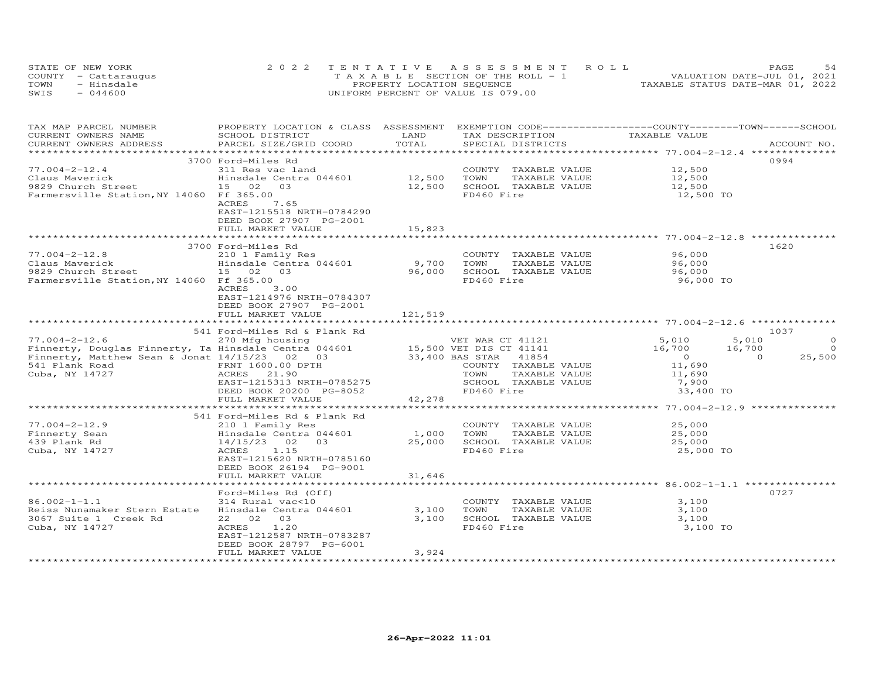|      | STATE OF NEW YORK    | 2022 TENTATIVE ASSESSMENT ROLL        | 54<br>PAGE.                      |
|------|----------------------|---------------------------------------|----------------------------------|
|      | COUNTY - Cattaraugus | T A X A B L E SECTION OF THE ROLL - 1 | VALUATION DATE-JUL 01, 2021      |
| TOWN | - Hinsdale           | PROPERTY LOCATION SEQUENCE            | TAXABLE STATUS DATE-MAR 01, 2022 |
| SWIS | $-044600$            | UNIFORM PERCENT OF VALUE IS 079.00    |                                  |

| TAX MAP PARCEL NUMBER<br>CURRENT OWNERS NAME                                  | PROPERTY LOCATION & CLASS ASSESSMENT EXEMPTION CODE----------------COUNTY-------TOWN-----SCHOOL<br>SCHOOL DISTRICT | LAND                     | TAX DESCRIPTION                               | TAXABLE VALUE    |                    |
|-------------------------------------------------------------------------------|--------------------------------------------------------------------------------------------------------------------|--------------------------|-----------------------------------------------|------------------|--------------------|
| CURRENT OWNERS ADDRESS                                                        | PARCEL SIZE/GRID COORD                                                                                             | TOTAL                    | SPECIAL DISTRICTS                             |                  | ACCOUNT NO.        |
|                                                                               |                                                                                                                    |                          |                                               |                  |                    |
|                                                                               | 3700 Ford-Miles Rd                                                                                                 |                          |                                               |                  | 0994               |
| $77.004 - 2 - 12.4$                                                           | 311 Res vac land                                                                                                   |                          | COUNTY TAXABLE VALUE                          | 12,500           |                    |
| Claus Maverick                                                                | Hinsdale Centra 044601 12,500                                                                                      |                          | TOWN<br>TAXABLE VALUE                         | 12,500           |                    |
| 9829 Church Street                                                            | 15 02 03                                                                                                           | 12,500                   | SCHOOL TAXABLE VALUE                          | 12,500           |                    |
| Farmersville Station, NY 14060 Ff 365.00                                      | ACRES<br>7.65                                                                                                      |                          | FD460 Fire                                    | 12,500 TO        |                    |
|                                                                               | EAST-1215518 NRTH-0784290                                                                                          |                          |                                               |                  |                    |
|                                                                               | DEED BOOK 27907 PG-2001                                                                                            |                          |                                               |                  |                    |
|                                                                               | FULL MARKET VALUE                                                                                                  | 15,823                   |                                               |                  |                    |
|                                                                               |                                                                                                                    |                          |                                               |                  |                    |
|                                                                               | 3700 Ford-Miles Rd                                                                                                 |                          |                                               |                  | 1620               |
| $77.004 - 2 - 12.8$                                                           | 210 1 Family Res                                                                                                   |                          | COUNTY TAXABLE VALUE                          | 96,000           |                    |
| Claus Maverick                                                                | Hinsdale Centra 044601                                                                                             | 9,700                    | TOWN<br>TAXABLE VALUE                         | 96,000           |                    |
| 9829 Church Street                                                            | 15 02 03                                                                                                           | 96,000                   | SCHOOL TAXABLE VALUE                          | 96,000           |                    |
| Farmersville Station, NY 14060 Ff 365.00                                      |                                                                                                                    |                          | FD460 Fire                                    | 96,000 TO        |                    |
|                                                                               | ACRES<br>3.00                                                                                                      |                          |                                               |                  |                    |
|                                                                               | EAST-1214976 NRTH-0784307                                                                                          |                          |                                               |                  |                    |
|                                                                               | DEED BOOK 27907 PG-2001                                                                                            |                          |                                               |                  |                    |
|                                                                               | FULL MARKET VALUE                                                                                                  | 121,519                  |                                               |                  |                    |
|                                                                               |                                                                                                                    |                          |                                               |                  |                    |
|                                                                               | 541 Ford-Miles Rd & Plank Rd                                                                                       |                          |                                               |                  | 1037               |
| $77.004 - 2 - 12.6$                                                           | 270 Mfg housing                                                                                                    |                          | VET WAR CT 41121                              | 5,010            | 5,010<br>$\circ$   |
| Finnerty, Douglas Finnerty, Ta Hinsdale Centra 044601 15,500 VET DIS CT 41141 |                                                                                                                    |                          |                                               | 16,700<br>16,700 | $\Omega$           |
| Finnerty, Matthew Sean & Jonat 14/15/23 02 03                                 |                                                                                                                    |                          | 33,400 BAS STAR 41854                         | $\overline{0}$   | $\Omega$<br>25,500 |
| 541 Plank Road                                                                | FRNT 1600.00 DPTH                                                                                                  |                          | COUNTY TAXABLE VALUE                          | 11,690           |                    |
| Cuba, NY 14727                                                                | ACRES 21.90                                                                                                        |                          | TOWN<br>TAXABLE VALUE                         | 11,690           |                    |
|                                                                               | EAST-1215313 NRTH-0785275                                                                                          |                          | SCHOOL TAXABLE VALUE                          | 7,900            |                    |
|                                                                               | DEED BOOK 20200 PG-8052                                                                                            |                          | FD460 Fire                                    | 33,400 TO        |                    |
|                                                                               | FULL MARKET VALUE                                                                                                  | 42,278                   |                                               |                  |                    |
|                                                                               |                                                                                                                    |                          |                                               |                  |                    |
|                                                                               | 541 Ford-Miles Rd & Plank Rd                                                                                       |                          |                                               |                  |                    |
| $77.004 - 2 - 12.9$                                                           | 210 1 Family Res                                                                                                   |                          | COUNTY TAXABLE VALUE                          | 25,000           |                    |
| Finnerty Sean                                                                 | Hinsdale Centra 044601                                                                                             | 1,000                    | TAXABLE VALUE<br>TOWN                         | 25,000           |                    |
| 439 Plank Rd                                                                  | 14/15/23<br>02<br>03                                                                                               | 25,000                   | SCHOOL TAXABLE VALUE                          | 25,000           |                    |
| Cuba, NY 14727                                                                | 1.15<br>ACRES                                                                                                      |                          | FD460 Fire                                    | 25,000 TO        |                    |
|                                                                               | EAST-1215620 NRTH-0785160                                                                                          |                          |                                               |                  |                    |
|                                                                               | DEED BOOK 26194 PG-9001                                                                                            |                          |                                               |                  |                    |
|                                                                               | FULL MARKET VALUE<br>*****************************                                                                 | 31,646<br>************** |                                               |                  |                    |
|                                                                               | Ford-Miles Rd (Off)                                                                                                |                          |                                               |                  | 0727               |
|                                                                               |                                                                                                                    |                          |                                               |                  |                    |
| $86.002 - 1 - 1.1$<br>Reiss Nunamaker Stern Estate                            | 314 Rural vac<10<br>Hinsdale Centra 044601                                                                         | 3,100                    | COUNTY TAXABLE VALUE<br>TOWN<br>TAXABLE VALUE | 3,100<br>3,100   |                    |
| 3067 Suite 1 Creek Rd                                                         | 22 02 03                                                                                                           | 3,100                    | SCHOOL TAXABLE VALUE                          | 3,100            |                    |
| Cuba, NY 14727                                                                | 1.20<br>ACRES                                                                                                      |                          | FD460 Fire                                    | 3,100 TO         |                    |
|                                                                               | EAST-1212587 NRTH-0783287                                                                                          |                          |                                               |                  |                    |
|                                                                               | DEED BOOK 28797 PG-6001                                                                                            |                          |                                               |                  |                    |
|                                                                               | FULL MARKET VALUE                                                                                                  | 3,924                    |                                               |                  |                    |
|                                                                               |                                                                                                                    |                          |                                               |                  |                    |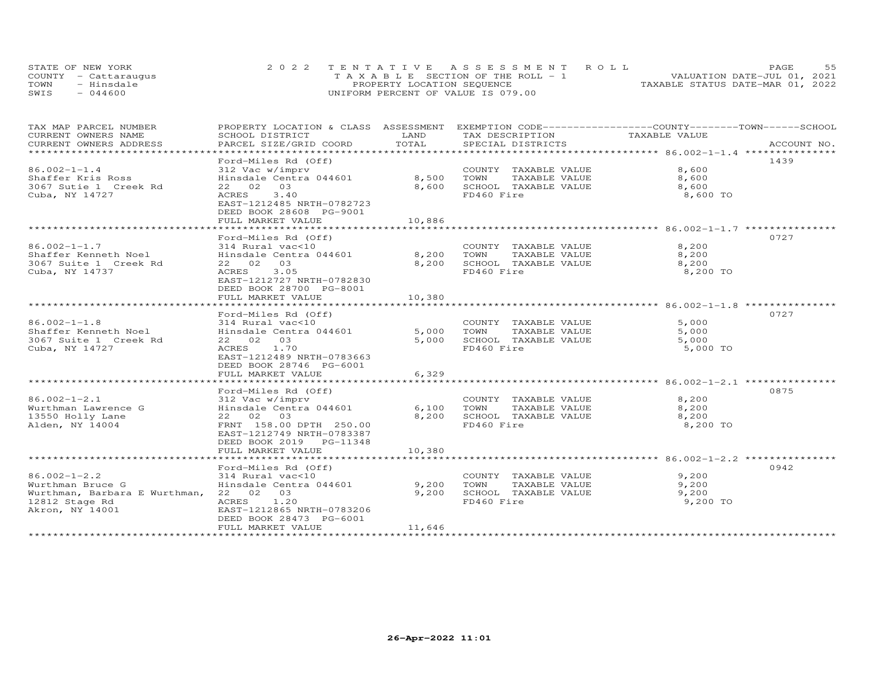| STATE OF NEW YORK    | 2022 TENTATIVE ASSESSMENT ROLL        | 55<br>PAGE.                      |
|----------------------|---------------------------------------|----------------------------------|
| COUNTY - Cattaraugus | T A X A B L E SECTION OF THE ROLL - 1 | VALUATION DATE-JUL 01, 2021      |
| TOWN<br>- Hinsdale   | PROPERTY LOCATION SEQUENCE            | TAXABLE STATUS DATE-MAR 01, 2022 |
| $-044600$<br>SWIS    | UNIFORM PERCENT OF VALUE IS 079.00    |                                  |

| TAX MAP PARCEL NUMBER                   | PROPERTY LOCATION & CLASS ASSESSMENT EXEMPTION CODE-----------------COUNTY-------TOWN------SCHOOL |        |                       |               |             |
|-----------------------------------------|---------------------------------------------------------------------------------------------------|--------|-----------------------|---------------|-------------|
| CURRENT OWNERS NAME                     | SCHOOL DISTRICT                                                                                   | LAND   | TAX DESCRIPTION       | TAXABLE VALUE |             |
| CURRENT OWNERS ADDRESS                  | PARCEL SIZE/GRID COORD                                                                            | TOTAL  | SPECIAL DISTRICTS     |               | ACCOUNT NO. |
|                                         |                                                                                                   |        |                       |               |             |
|                                         | Ford-Miles Rd (Off)                                                                               |        |                       |               | 1439        |
| $86.002 - 1 - 1.4$                      | 312 Vac w/imprv                                                                                   |        | COUNTY TAXABLE VALUE  | 8,600         |             |
| Shaffer Kris Ross                       | Hinsdale Centra 044601                                                                            | 8,500  | TAXABLE VALUE<br>TOWN | 8,600         |             |
| 3067 Sutie 1 Creek Rd                   | 22 02 03                                                                                          | 8,600  | SCHOOL TAXABLE VALUE  | 8,600         |             |
| Cuba, NY 14727                          | 3.40<br>ACRES                                                                                     |        | FD460 Fire            | 8,600 TO      |             |
|                                         | EAST-1212485 NRTH-0782723                                                                         |        |                       |               |             |
|                                         | DEED BOOK 28608 PG-9001                                                                           |        |                       |               |             |
|                                         | FULL MARKET VALUE                                                                                 | 10,886 |                       |               |             |
|                                         |                                                                                                   |        |                       |               |             |
|                                         | Ford-Miles Rd (Off)                                                                               |        |                       |               | 0727        |
| $86.002 - 1 - 1.7$                      | 314 Rural vac<10                                                                                  |        | COUNTY TAXABLE VALUE  | 8,200         |             |
| Shaffer Kenneth Noel                    | Hinsdale Centra 044601                                                                            | 8,200  | TOWN<br>TAXABLE VALUE | 8,200         |             |
| 3067 Suite 1 Creek Rd                   | 22 02 03                                                                                          | 8,200  | SCHOOL TAXABLE VALUE  | 8,200         |             |
| Cuba, NY 14737                          | 3.05<br>ACRES                                                                                     |        | FD460 Fire            | 8,200 TO      |             |
|                                         | EAST-1212727 NRTH-0782830                                                                         |        |                       |               |             |
|                                         | DEED BOOK 28700 PG-8001                                                                           |        |                       |               |             |
|                                         | FULL MARKET VALUE                                                                                 | 10,380 |                       |               |             |
|                                         |                                                                                                   |        |                       |               |             |
|                                         | Ford-Miles Rd (Off)                                                                               |        |                       |               | 0727        |
| $86.002 - 1 - 1.8$                      | 314 Rural vac<10                                                                                  |        | COUNTY TAXABLE VALUE  | 5,000         |             |
| Shaffer Kenneth Noel                    | Hinsdale Centra 044601                                                                            | 5,000  | TOWN<br>TAXABLE VALUE | 5,000         |             |
| 3067 Suite 1 Creek Rd                   | 22 02 03                                                                                          | 5,000  | SCHOOL TAXABLE VALUE  | 5,000         |             |
| Cuba, NY 14727                          | ACRES 1.70                                                                                        |        | FD460 Fire            | 5,000 TO      |             |
|                                         | EAST-1212489 NRTH-0783663                                                                         |        |                       |               |             |
|                                         | DEED BOOK 28746 PG-6001                                                                           |        |                       |               |             |
|                                         | FULL MARKET VALUE                                                                                 | 6,329  |                       |               |             |
|                                         |                                                                                                   |        |                       |               |             |
|                                         | Ford-Miles Rd (Off)                                                                               |        |                       |               | 0875        |
| $86.002 - 1 - 2.1$                      | 312 Vac w/imprv                                                                                   |        | COUNTY TAXABLE VALUE  | 8,200         |             |
| Wurthman Lawrence G<br>13550 Holly Lane | Hinsdale Centra 044601                                                                            | 6,100  | TOWN<br>TAXABLE VALUE | 8,200         |             |
|                                         | 22 02 03                                                                                          | 8,200  | SCHOOL TAXABLE VALUE  | 8,200         |             |
| Alden, NY 14004                         | FRNT 158.00 DPTH 250.00                                                                           |        | FD460 Fire            | 8,200 TO      |             |
|                                         | EAST-1212749 NRTH-0783387                                                                         |        |                       |               |             |
|                                         | DEED BOOK 2019 PG-11348                                                                           |        |                       |               |             |
|                                         | FULL MARKET VALUE                                                                                 | 10,380 |                       |               |             |
|                                         |                                                                                                   |        |                       |               |             |
|                                         | Ford-Miles Rd (Off)                                                                               |        |                       |               | 0942        |
| $86.002 - 1 - 2.2$                      | 314 Rural vac<10                                                                                  |        | COUNTY TAXABLE VALUE  | 9,200         |             |
| Wurthman Bruce G                        | Hinsdale Centra 044601                                                                            | 9,200  | TOWN<br>TAXABLE VALUE | 9,200         |             |
| Wurthman, Barbara E Wurthman, 22 02 03  |                                                                                                   | 9,200  | SCHOOL TAXABLE VALUE  | 9,200         |             |
| 12812 Stage Rd                          | ACRES 1.20                                                                                        |        | FD460 Fire            | 9,200 TO      |             |
| Akron, NY 14001                         | EAST-1212865 NRTH-0783206                                                                         |        |                       |               |             |
|                                         | DEED BOOK 28473 PG-6001                                                                           |        |                       |               |             |
|                                         | FULL MARKET VALUE                                                                                 | 11,646 |                       |               |             |
|                                         |                                                                                                   |        |                       |               |             |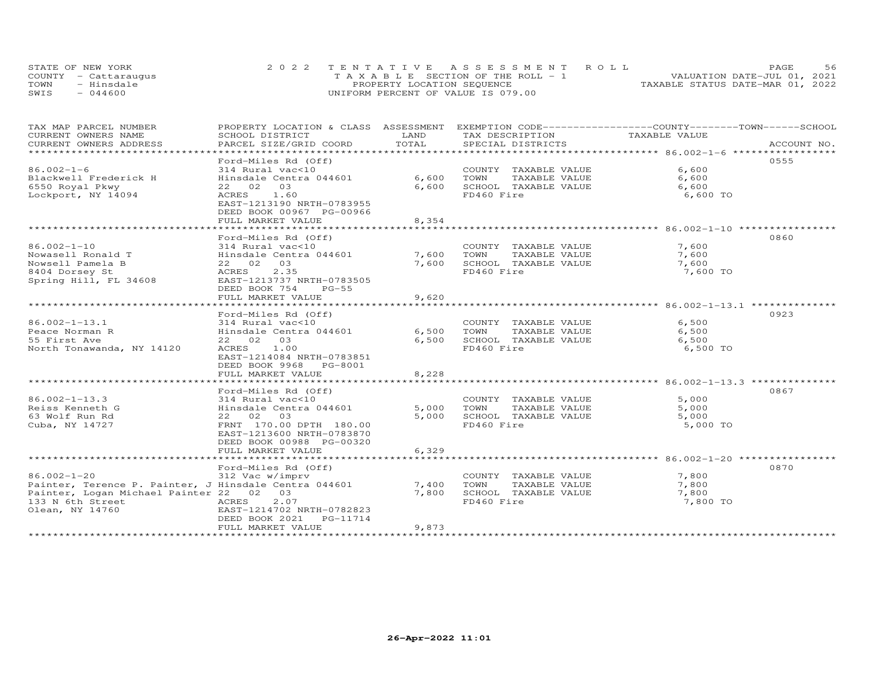| STATE OF NEW YORK    | 2022 TENTATIVE ASSESSMENT ROLL        | 56<br>PAGE.                      |
|----------------------|---------------------------------------|----------------------------------|
| COUNTY - Cattaraugus | T A X A B L E SECTION OF THE ROLL - 1 | VALUATION DATE-JUL 01, 2021      |
| TOWN<br>- Hinsdale   | PROPERTY LOCATION SEQUENCE            | TAXABLE STATUS DATE-MAR 01, 2022 |
| $-044600$<br>SWIS    | UNIFORM PERCENT OF VALUE IS 079.00    |                                  |

| TAX MAP PARCEL NUMBER<br>CURRENT OWNERS NAME          | PROPERTY LOCATION & CLASS ASSESSMENT EXEMPTION CODE-----------------COUNTY-------TOWN------SCHOOL<br>SCHOOL DISTRICT | LAND  | TAX DESCRIPTION       | TAXABLE VALUE |             |
|-------------------------------------------------------|----------------------------------------------------------------------------------------------------------------------|-------|-----------------------|---------------|-------------|
| CURRENT OWNERS ADDRESS                                | PARCEL SIZE/GRID COORD                                                                                               | TOTAL | SPECIAL DISTRICTS     |               | ACCOUNT NO. |
| ******************                                    |                                                                                                                      |       |                       |               |             |
|                                                       | Ford-Miles Rd (Off)                                                                                                  |       |                       |               | 0555        |
| $86.002 - 1 - 6$                                      | 314 Rural vac<10                                                                                                     |       | COUNTY TAXABLE VALUE  | 6,600         |             |
| Blackwell Frederick H                                 | Hinsdale Centra 044601                                                                                               | 6,600 | TAXABLE VALUE<br>TOWN | 6,600         |             |
| 6550 Royal Pkwy                                       | 22 02<br>03                                                                                                          | 6,600 | SCHOOL TAXABLE VALUE  | 6,600         |             |
| Lockport, NY 14094                                    | ACRES 1.60                                                                                                           |       | FD460 Fire            | 6,600 TO      |             |
|                                                       | EAST-1213190 NRTH-0783955                                                                                            |       |                       |               |             |
|                                                       | DEED BOOK 00967 PG-00966                                                                                             |       |                       |               |             |
|                                                       | FULL MARKET VALUE                                                                                                    | 8,354 |                       |               |             |
|                                                       |                                                                                                                      |       |                       |               |             |
|                                                       | Ford-Miles Rd (Off)                                                                                                  |       |                       |               | 0860        |
| 86.002-1-10                                           | 314 Rural vac<10                                                                                                     |       | COUNTY TAXABLE VALUE  | 7,600         |             |
| Nowasell Ronald T                                     | Hinsdale Centra 044601                                                                                               | 7,600 | TOWN<br>TAXABLE VALUE | 7,600         |             |
| Nowsell Pamela B                                      | 22 02 03                                                                                                             | 7,600 | SCHOOL TAXABLE VALUE  | 7,600         |             |
| 8404 Dorsey St                                        | ACRES<br>2.35                                                                                                        |       | FD460 Fire            | 7,600 TO      |             |
| Spring Hill, FL 34608                                 | EAST-1213737 NRTH-0783505                                                                                            |       |                       |               |             |
|                                                       | DEED BOOK 754<br>$PG-55$                                                                                             |       |                       |               |             |
|                                                       | FULL MARKET VALUE                                                                                                    | 9,620 |                       |               |             |
|                                                       |                                                                                                                      |       |                       |               |             |
|                                                       | Ford-Miles Rd (Off)                                                                                                  |       |                       |               | 0923        |
| $86.002 - 1 - 13.1$                                   | 314 Rural vac<10                                                                                                     |       | COUNTY TAXABLE VALUE  | 6,500         |             |
| Peace Norman R                                        | Hinsdale Centra 044601                                                                                               | 6,500 | TOWN<br>TAXABLE VALUE | 6,500         |             |
| 55 First Ave                                          | 22 02 03                                                                                                             | 6,500 | SCHOOL TAXABLE VALUE  | 6,500         |             |
| North Tonawanda, NY 14120                             | ACRES 1.00                                                                                                           |       | FD460 Fire            | 6,500 TO      |             |
|                                                       | EAST-1214084 NRTH-0783851                                                                                            |       |                       |               |             |
|                                                       | DEED BOOK 9968 PG-8001                                                                                               |       |                       |               |             |
|                                                       | FULL MARKET VALUE                                                                                                    | 8,228 |                       |               |             |
|                                                       |                                                                                                                      |       |                       |               |             |
|                                                       | Ford-Miles Rd (Off)                                                                                                  |       |                       |               | 0867        |
| $86.002 - 1 - 13.3$                                   | 314 Rural vac<10                                                                                                     |       | COUNTY TAXABLE VALUE  | 5,000         |             |
| Reiss Kenneth G                                       | Hinsdale Centra 044601                                                                                               | 5,000 | TOWN<br>TAXABLE VALUE | 5,000         |             |
| 63 Wolf Run Rd                                        | 22 02 03                                                                                                             | 5,000 | SCHOOL TAXABLE VALUE  | 5,000         |             |
| Cuba, NY 14727                                        | FRNT 170.00 DPTH 180.00                                                                                              |       | FD460 Fire            | 5,000 TO      |             |
|                                                       | EAST-1213600 NRTH-0783870                                                                                            |       |                       |               |             |
|                                                       | DEED BOOK 00988 PG-00320                                                                                             |       |                       |               |             |
|                                                       | FULL MARKET VALUE                                                                                                    | 6,329 |                       |               |             |
|                                                       |                                                                                                                      |       |                       |               |             |
|                                                       | Ford-Miles Rd (Off)                                                                                                  |       |                       |               | 0870        |
| $86.002 - 1 - 20$                                     | 312 Vac w/imprv                                                                                                      |       | COUNTY TAXABLE VALUE  | 7,800         |             |
| Painter, Terence P. Painter, J Hinsdale Centra 044601 |                                                                                                                      | 7,400 | TOWN<br>TAXABLE VALUE | 7,800         |             |
| Painter, Logan Michael Painter 22 02 03               |                                                                                                                      | 7,800 | SCHOOL TAXABLE VALUE  | 7,800         |             |
| 133 N 6th Street<br><b>ACRES</b>                      | 2.07                                                                                                                 |       | FD460 Fire            | 7,800 TO      |             |
| Olean, NY 14760                                       | EAST-1214702 NRTH-0782823                                                                                            |       |                       |               |             |
|                                                       | DEED BOOK 2021    PG-11714                                                                                           |       |                       |               |             |
|                                                       | FULL MARKET VALUE                                                                                                    | 9,873 |                       |               |             |
|                                                       |                                                                                                                      |       |                       |               |             |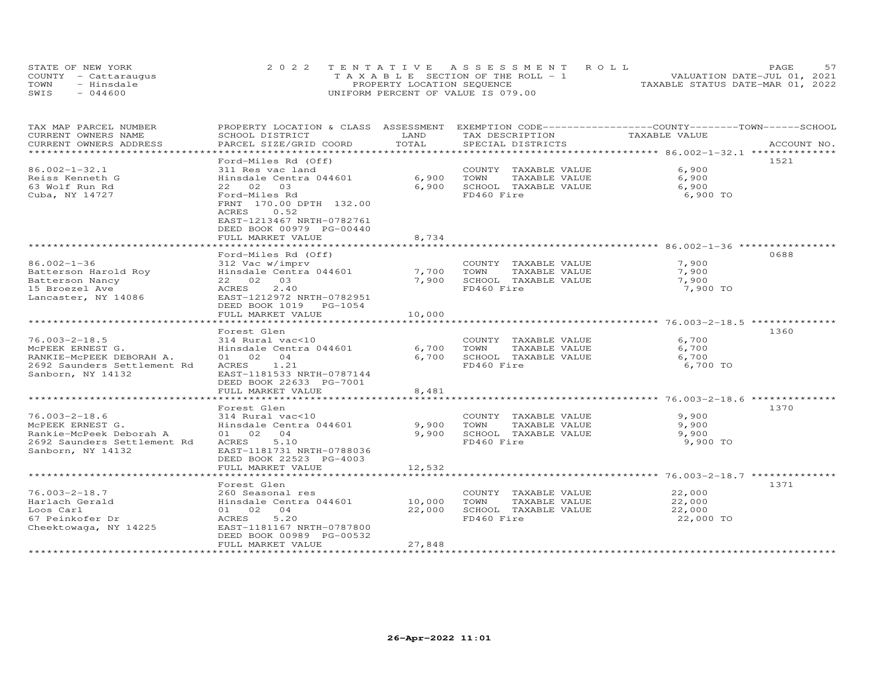|      | STATE OF NEW YORK    | 2022 TENTATIVE ASSESSMENT ROLL        | PAGE.                            |
|------|----------------------|---------------------------------------|----------------------------------|
|      | COUNTY - Cattaraugus | T A X A B L E SECTION OF THE ROLL - 1 | VALUATION DATE-JUL 01, 2021      |
| TOWN | - Hinsdale           | PROPERTY LOCATION SEQUENCE            | TAXABLE STATUS DATE-MAR 01, 2022 |
| SWIS | $-044600$            | UNIFORM PERCENT OF VALUE IS 079.00    |                                  |

| TAX MAP PARCEL NUMBER                         | PROPERTY LOCATION & CLASS ASSESSMENT EXEMPTION CODE----------------COUNTY-------TOWN-----SCHOOL |               |                                      |               |             |
|-----------------------------------------------|-------------------------------------------------------------------------------------------------|---------------|--------------------------------------|---------------|-------------|
| CURRENT OWNERS NAME<br>CURRENT OWNERS ADDRESS | SCHOOL DISTRICT<br>PARCEL SIZE/GRID COORD                                                       | LAND<br>TOTAL | TAX DESCRIPTION<br>SPECIAL DISTRICTS | TAXABLE VALUE | ACCOUNT NO. |
|                                               |                                                                                                 |               |                                      |               |             |
|                                               | Ford-Miles Rd (Off)                                                                             |               |                                      |               | 1521        |
| $86.002 - 1 - 32.1$                           | 311 Res vac land                                                                                |               | COUNTY TAXABLE VALUE                 | 6,900         |             |
| Reiss Kenneth G                               | Hinsdale Centra 044601                                                                          | 6,900         | TAXABLE VALUE<br>TOWN                | 6,900         |             |
| 63 Wolf Run Rd                                | 22 02 03                                                                                        | 6,900         | SCHOOL TAXABLE VALUE                 | 6,900         |             |
| Cuba, NY 14727                                | Ford-Miles Rd                                                                                   |               | FD460 Fire                           | 6,900 TO      |             |
|                                               | FRNT 170.00 DPTH 132.00                                                                         |               |                                      |               |             |
|                                               | ACRES<br>0.52                                                                                   |               |                                      |               |             |
|                                               | EAST-1213467 NRTH-0782761                                                                       |               |                                      |               |             |
|                                               | DEED BOOK 00979 PG-00440                                                                        |               |                                      |               |             |
|                                               | FULL MARKET VALUE<br>***************************                                                | 8,734         |                                      |               |             |
|                                               |                                                                                                 |               |                                      |               | 0688        |
| $86.002 - 1 - 36$                             | Ford-Miles Rd (Off)<br>312 Vac w/imprv                                                          |               | COUNTY TAXABLE VALUE                 | 7,900         |             |
| Batterson Harold Roy                          | Hinsdale Centra 044601                                                                          | 7,700         | TOWN<br>TAXABLE VALUE                | 7,900         |             |
| Batterson Nancy                               | 22 02 03                                                                                        | 7,900         | SCHOOL TAXABLE VALUE                 | 7,900         |             |
| 15 Broezel Ave                                | ACRES<br>2,40                                                                                   |               | FD460 Fire                           | 7,900 TO      |             |
| Lancaster, NY 14086                           | EAST-1212972 NRTH-0782951                                                                       |               |                                      |               |             |
|                                               | DEED BOOK 1019 PG-1054                                                                          |               |                                      |               |             |
|                                               | FULL MARKET VALUE                                                                               | 10,000        |                                      |               |             |
|                                               |                                                                                                 |               |                                      |               |             |
|                                               | Forest Glen                                                                                     |               |                                      |               | 1360        |
| $76.003 - 2 - 18.5$                           | 314 Rural vac<10                                                                                |               | COUNTY TAXABLE VALUE                 | 6,700         |             |
| MCPEEK ERNEST G.                              | Hinsdale Centra 044601                                                                          | 6,700         | TAXABLE VALUE<br>TOWN                | 6,700         |             |
| RANKIE-MCPEEK DEBORAH A.                      | 01 02 04                                                                                        | 6,700         | SCHOOL TAXABLE VALUE                 | 6,700         |             |
| 2692 Saunders Settlement Rd                   | ACRES 1.21                                                                                      |               | FD460 Fire                           | 6,700 TO      |             |
| Sanborn, NY 14132                             | EAST-1181533 NRTH-0787144<br>DEED BOOK 22633 PG-7001                                            |               |                                      |               |             |
|                                               | FULL MARKET VALUE                                                                               | 8,481         |                                      |               |             |
|                                               |                                                                                                 |               |                                      |               |             |
|                                               | Forest Glen                                                                                     |               |                                      |               | 1370        |
| $76.003 - 2 - 18.6$                           | 314 Rural vac<10                                                                                |               | COUNTY TAXABLE VALUE                 | 9,900         |             |
| MCPEEK ERNEST G.                              | Hinsdale Centra 044601                                                                          | 9,900         | TAXABLE VALUE<br>TOWN                | 9,900         |             |
| Rankie-McPeek Deborah A                       | 01 02 04                                                                                        | 9,900         | SCHOOL TAXABLE VALUE                 | 9,900         |             |
| 2692 Saunders Settlement Rd                   | ACRES<br>5.10                                                                                   |               | FD460 Fire                           | 9,900 TO      |             |
| Sanborn, NY 14132                             | EAST-1181731 NRTH-0788036                                                                       |               |                                      |               |             |
|                                               | DEED BOOK 22523 PG-4003                                                                         |               |                                      |               |             |
|                                               | FULL MARKET VALUE                                                                               | 12,532        |                                      |               |             |
|                                               | Forest Glen                                                                                     |               |                                      |               | 1371        |
| $76.003 - 2 - 18.7$                           | 260 Seasonal res                                                                                |               | COUNTY TAXABLE VALUE                 | 22,000        |             |
| Harlach Gerald                                | Hinsdale Centra 044601                                                                          | 10,000        | TOWN<br>TAXABLE VALUE                | 22,000        |             |
| Loos Carl                                     | 01 02 04                                                                                        | 22,000        | SCHOOL TAXABLE VALUE                 | 22,000        |             |
| 67 Peinkofer Dr                               | 5.20<br>ACRES                                                                                   |               | FD460 Fire                           | 22,000 TO     |             |
| Cheektowaga, NY 14225                         | EAST-1181167 NRTH-0787800                                                                       |               |                                      |               |             |
|                                               | DEED BOOK 00989 PG-00532                                                                        |               |                                      |               |             |
|                                               | FULL MARKET VALUE                                                                               | 27,848        |                                      |               |             |
|                                               |                                                                                                 |               |                                      |               |             |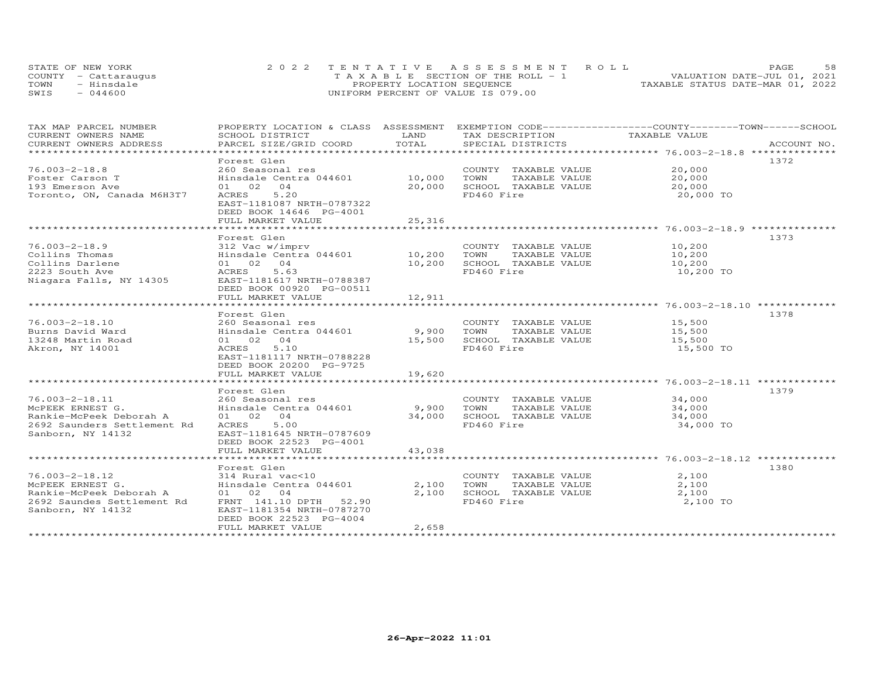|      | STATE OF NEW YORK    | 2022 TENTATIVE ASSESSMENT ROLL     | 58<br>PAGE.                      |
|------|----------------------|------------------------------------|----------------------------------|
|      | COUNTY - Cattarauqus | TAXABLE SECTION OF THE ROLL - 1    | VALUATION DATE-JUL 01, 2021      |
| TOWN | - Hinsdale           | PROPERTY LOCATION SEQUENCE         | TAXABLE STATUS DATE-MAR 01, 2022 |
| SWIS | $-044600$            | UNIFORM PERCENT OF VALUE IS 079.00 |                                  |

| TAX MAP PARCEL NUMBER       |                               |        |                       | PROPERTY LOCATION & CLASS ASSESSMENT EXEMPTION CODE-----------------COUNTY-------TOWN------SCHOOL |
|-----------------------------|-------------------------------|--------|-----------------------|---------------------------------------------------------------------------------------------------|
| CURRENT OWNERS NAME         | SCHOOL DISTRICT               | LAND   | TAX DESCRIPTION       | TAXABLE VALUE                                                                                     |
| CURRENT OWNERS ADDRESS      | PARCEL SIZE/GRID COORD        | TOTAL  | SPECIAL DISTRICTS     | ACCOUNT NO.                                                                                       |
|                             |                               |        |                       |                                                                                                   |
|                             | Forest Glen                   |        |                       | 1372                                                                                              |
| $76.003 - 2 - 18.8$         | 260 Seasonal res              |        | COUNTY TAXABLE VALUE  | 20,000                                                                                            |
| Foster Carson T             | Hinsdale Centra 044601        | 10,000 | TOWN<br>TAXABLE VALUE | 20,000                                                                                            |
| 193 Emerson Ave             | 01 02 04                      | 20,000 | SCHOOL TAXABLE VALUE  | 20,000                                                                                            |
| Toronto, ON, Canada M6H3T7  | ACRES<br>5.20                 |        | FD460 Fire            | 20,000 TO                                                                                         |
|                             | EAST-1181087 NRTH-0787322     |        |                       |                                                                                                   |
|                             | DEED BOOK 14646 PG-4001       |        |                       |                                                                                                   |
|                             | FULL MARKET VALUE             | 25,316 |                       |                                                                                                   |
|                             |                               |        |                       |                                                                                                   |
|                             | Forest Glen                   |        |                       | 1373                                                                                              |
| 76.003-2-18.9               | 312 Vac w/imprv               |        | COUNTY TAXABLE VALUE  | 10,200                                                                                            |
| Collins Thomas              | Hinsdale Centra 044601 10,200 |        | TAXABLE VALUE<br>TOWN | 10,200                                                                                            |
| Collins Darlene             | 01 02 04                      | 10,200 | SCHOOL TAXABLE VALUE  | 10,200                                                                                            |
| 2223 South Ave              | ACRES 5.63                    |        | FD460 Fire            | 10,200 TO                                                                                         |
| Niagara Falls, NY 14305     | EAST-1181617 NRTH-0788387     |        |                       |                                                                                                   |
|                             | DEED BOOK 00920 PG-00511      |        |                       |                                                                                                   |
|                             | FULL MARKET VALUE             | 12,911 |                       |                                                                                                   |
|                             |                               |        |                       |                                                                                                   |
|                             | Forest Glen                   |        |                       | 1378                                                                                              |
| 76.003-2-18.10              | 260 Seasonal res              |        | COUNTY TAXABLE VALUE  | 15,500                                                                                            |
| Burns David Ward            | Hinsdale Centra 044601        | 9,900  | TOWN<br>TAXABLE VALUE | 15,500                                                                                            |
| 13248 Martin Road           | 01 02 04                      | 15,500 | SCHOOL TAXABLE VALUE  | 15,500                                                                                            |
| Akron, NY 14001             | 5.10<br>ACRES                 |        | FD460 Fire            | 15,500 TO                                                                                         |
|                             | EAST-1181117 NRTH-0788228     |        |                       |                                                                                                   |
|                             | DEED BOOK 20200 PG-9725       |        |                       |                                                                                                   |
|                             | FULL MARKET VALUE             | 19,620 |                       |                                                                                                   |
|                             |                               |        |                       |                                                                                                   |
|                             | Forest Glen                   |        |                       | 1379                                                                                              |
| $76.003 - 2 - 18.11$        | 260 Seasonal res              |        | COUNTY TAXABLE VALUE  | 34,000                                                                                            |
| MCPEEK ERNEST G.            | Hinsdale Centra 044601        | 9,900  | TOWN<br>TAXABLE VALUE | 34,000                                                                                            |
| Rankie-McPeek Deborah A     | 01 02 04                      | 34,000 | SCHOOL TAXABLE VALUE  | 34,000                                                                                            |
| 2692 Saunders Settlement Rd | 5.00<br>ACRES                 |        | FD460 Fire            | 34,000 TO                                                                                         |
| Sanborn, NY 14132           | EAST-1181645 NRTH-0787609     |        |                       |                                                                                                   |
|                             | DEED BOOK 22523 PG-4001       |        |                       |                                                                                                   |
|                             | FULL MARKET VALUE             | 43,038 |                       |                                                                                                   |
|                             |                               |        |                       |                                                                                                   |
|                             | Forest Glen                   |        |                       | 1380                                                                                              |
| 76.003-2-18.12              | 314 Rural vac<10              |        | COUNTY TAXABLE VALUE  | 2,100                                                                                             |
| MCPEEK ERNEST G.            | Hinsdale Centra 044601        | 2,100  | TOWN<br>TAXABLE VALUE | 2,100                                                                                             |
| Rankie-McPeek Deborah A     | 01 02 04                      | 2,100  | SCHOOL TAXABLE VALUE  | 2,100                                                                                             |
| 2692 Saundes Settlement Rd  | FRNT 141.10 DPTH 52.90        |        | FD460 Fire            | 2,100 TO                                                                                          |
| Sanborn, NY 14132           | EAST-1181354 NRTH-0787270     |        |                       |                                                                                                   |
|                             | DEED BOOK 22523 PG-4004       |        |                       |                                                                                                   |
|                             | FULL MARKET VALUE             | 2,658  |                       |                                                                                                   |
|                             |                               |        |                       |                                                                                                   |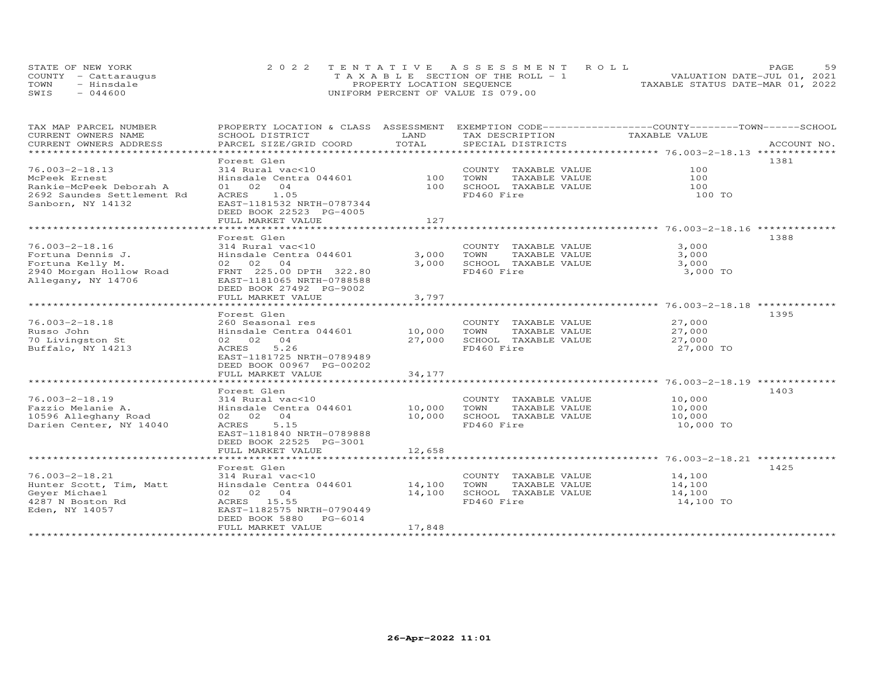|      | STATE OF NEW YORK    | 2022 TENTATIVE ASSESSMENT ROLL          | 59<br>PAGE.                      |
|------|----------------------|-----------------------------------------|----------------------------------|
|      | COUNTY - Cattarauqus | $T A X A B L E$ SECTION OF THE ROLL - 1 | VALUATION DATE-JUL 01, 2021      |
| TOWN | - Hinsdale           | PROPERTY LOCATION SEQUENCE              | TAXABLE STATUS DATE-MAR 01, 2022 |
| SWIS | $-044600$            | UNIFORM PERCENT OF VALUE IS 079.00      |                                  |

| TAX MAP PARCEL NUMBER      |                               |        |                       | PROPERTY LOCATION & CLASS ASSESSMENT EXEMPTION CODE-----------------COUNTY-------TOWN------SCHOOL |
|----------------------------|-------------------------------|--------|-----------------------|---------------------------------------------------------------------------------------------------|
| CURRENT OWNERS NAME        | SCHOOL DISTRICT               | LAND   | TAX DESCRIPTION       | TAXABLE VALUE                                                                                     |
| CURRENT OWNERS ADDRESS     | PARCEL SIZE/GRID COORD        | TOTAL  | SPECIAL DISTRICTS     | ACCOUNT NO.                                                                                       |
|                            |                               |        |                       |                                                                                                   |
|                            | Forest Glen                   |        |                       | 1381                                                                                              |
| $76.003 - 2 - 18.13$       | 314 Rural vac<10              |        | COUNTY TAXABLE VALUE  | 100                                                                                               |
| McPeek Ernest              | Hinsdale Centra 044601        | 100    | TOWN<br>TAXABLE VALUE | 100                                                                                               |
| Rankie-McPeek Deborah A    | 01 02 04                      | 100    | SCHOOL TAXABLE VALUE  | 100                                                                                               |
| 2692 Saundes Settlement Rd | ACRES 1.05                    |        | FD460 Fire            | 100 TO                                                                                            |
| Sanborn, NY 14132          | EAST-1181532 NRTH-0787344     |        |                       |                                                                                                   |
|                            | DEED BOOK 22523 PG-4005       |        |                       |                                                                                                   |
|                            | FULL MARKET VALUE             | 127    |                       |                                                                                                   |
|                            |                               |        |                       |                                                                                                   |
|                            | Forest Glen                   |        |                       | 1388                                                                                              |
| 76.003-2-18.16             | 314 Rural vac<10              |        | COUNTY TAXABLE VALUE  | 3,000                                                                                             |
| Fortuna Dennis J.          | Hinsdale Centra 044601        | 3,000  | TOWN<br>TAXABLE VALUE | 3,000                                                                                             |
| Fortuna Kelly M.           | 02 02 04                      | 3,000  | SCHOOL TAXABLE VALUE  | 3,000                                                                                             |
| 2940 Morgan Hollow Road    | FRNT 225.00 DPTH 322.80       |        | FD460 Fire            | 3,000 TO                                                                                          |
| Allegany, NY 14706         | EAST-1181065 NRTH-0788588     |        |                       |                                                                                                   |
|                            | DEED BOOK 27492 PG-9002       |        |                       |                                                                                                   |
|                            | FULL MARKET VALUE             | 3,797  |                       |                                                                                                   |
|                            |                               |        |                       |                                                                                                   |
|                            | Forest Glen                   |        |                       | 1395                                                                                              |
| $76.003 - 2 - 18.18$       | 260 Seasonal res              |        | COUNTY TAXABLE VALUE  | 27,000                                                                                            |
| Russo John                 | Hinsdale Centra 044601 10,000 |        | TOWN<br>TAXABLE VALUE | 27,000                                                                                            |
| 70 Livingston St           | 02 02 04                      | 27,000 | SCHOOL TAXABLE VALUE  | 27,000                                                                                            |
| Buffalo, NY 14213          | 5.26<br>ACRES                 |        | FD460 Fire            | 27,000 TO                                                                                         |
|                            | EAST-1181725 NRTH-0789489     |        |                       |                                                                                                   |
|                            | DEED BOOK 00967 PG-00202      |        |                       |                                                                                                   |
|                            | FULL MARKET VALUE             | 34,177 |                       |                                                                                                   |
|                            |                               |        |                       |                                                                                                   |
|                            | Forest Glen                   |        |                       | 1403                                                                                              |
| $76.003 - 2 - 18.19$       | 314 Rural vac<10              |        | COUNTY TAXABLE VALUE  | 10,000                                                                                            |
| Fazzio Melanie A.          | Hinsdale Centra 044601 10,000 |        | TOWN<br>TAXABLE VALUE | 10,000                                                                                            |
| 10596 Alleghany Road       | 02 02 04                      | 10,000 | SCHOOL TAXABLE VALUE  | 10,000                                                                                            |
| Darien Center, NY 14040    | 5.15<br>ACRES                 |        | FD460 Fire            | 10,000 TO                                                                                         |
|                            | EAST-1181840 NRTH-0789888     |        |                       |                                                                                                   |
|                            | DEED BOOK 22525 PG-3001       |        |                       |                                                                                                   |
|                            | FULL MARKET VALUE             | 12,658 |                       |                                                                                                   |
|                            |                               |        |                       |                                                                                                   |
|                            | Forest Glen                   |        |                       | 1425                                                                                              |
| $76.003 - 2 - 18.21$       | 314 Rural vac<10              |        | COUNTY TAXABLE VALUE  | 14,100                                                                                            |
| Hunter Scott, Tim, Matt    | Hinsdale Centra 044601 14,100 |        | TAXABLE VALUE<br>TOWN | 14,100                                                                                            |
| Geyer Michael              | 02 02 04                      | 14,100 | SCHOOL TAXABLE VALUE  | 14,100                                                                                            |
| 4287 N Boston Rd           | ACRES 15.55                   |        | FD460 Fire            | 14,100 TO                                                                                         |
| Eden, NY 14057             | EAST-1182575 NRTH-0790449     |        |                       |                                                                                                   |
|                            | DEED BOOK 5880 PG-6014        |        |                       |                                                                                                   |
|                            | FULL MARKET VALUE             | 17,848 |                       |                                                                                                   |
|                            |                               |        |                       |                                                                                                   |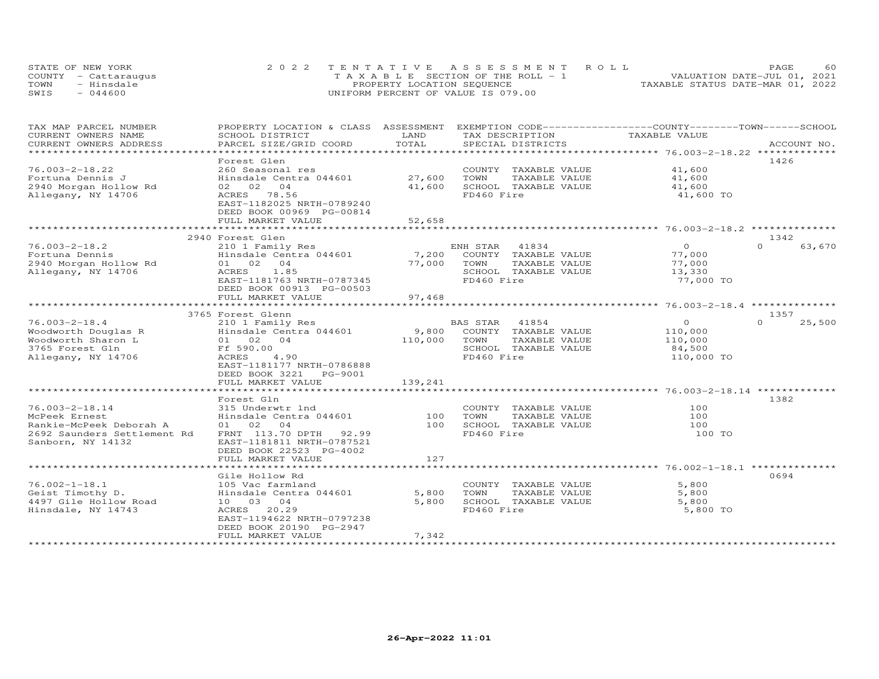| STATE OF NEW YORK    | 2022 TENTATIVE ASSESSMENT ROLL        | 60<br><b>PAGE</b>                |
|----------------------|---------------------------------------|----------------------------------|
| COUNTY - Cattaraugus | T A X A B L E SECTION OF THE ROLL - 1 | VALUATION DATE-JUL 01, 2021      |
| TOWN<br>- Hinsdale   | PROPERTY LOCATION SEQUENCE            | TAXABLE STATUS DATE-MAR 01, 2022 |
| $-044600$<br>SWIS    | UNIFORM PERCENT OF VALUE IS 079.00    |                                  |

| TAX MAP PARCEL NUMBER<br>CURRENT OWNERS NAME | PROPERTY LOCATION & CLASS ASSESSMENT<br>SCHOOL DISTRICT | LAND                        |                | TAX DESCRIPTION      | EXEMPTION CODE-----------------COUNTY-------TOWN------SCHOOL<br>TAXABLE VALUE |          |             |
|----------------------------------------------|---------------------------------------------------------|-----------------------------|----------------|----------------------|-------------------------------------------------------------------------------|----------|-------------|
| CURRENT OWNERS ADDRESS                       | PARCEL SIZE/GRID COORD                                  | TOTAL                       |                | SPECIAL DISTRICTS    |                                                                               |          | ACCOUNT NO. |
| **********************                       |                                                         |                             |                |                      |                                                                               |          |             |
|                                              | Forest Glen                                             |                             |                |                      |                                                                               |          | 1426        |
| $76.003 - 2 - 18.22$                         | 260 Seasonal res                                        |                             |                | COUNTY TAXABLE VALUE | 41,600                                                                        |          |             |
| Fortuna Dennis J                             | Hinsdale Centra 044601                                  | 27,600                      | TOWN           | TAXABLE VALUE        | 41,600                                                                        |          |             |
| 2940 Morgan Hollow Rd                        | 02 02 04                                                | 41,600                      |                | SCHOOL TAXABLE VALUE | 41,600                                                                        |          |             |
| Allegany, NY 14706                           | ACRES 78.56                                             |                             | FD460 Fire     |                      | 41,600 TO                                                                     |          |             |
|                                              | EAST-1182025 NRTH-0789240                               |                             |                |                      |                                                                               |          |             |
|                                              | DEED BOOK 00969 PG-00814                                |                             |                |                      |                                                                               |          |             |
|                                              | FULL MARKET VALUE                                       | 52,658                      |                |                      |                                                                               |          |             |
|                                              | ************************                                | * * * * * * * * * * * * * * |                |                      |                                                                               |          |             |
|                                              | 2940 Forest Glen                                        |                             |                |                      |                                                                               |          | 1342        |
| $76.003 - 2 - 18.2$                          | 210 1 Family Res                                        |                             | ENH STAR 41834 |                      | $\Omega$                                                                      | $\Omega$ | 63,670      |
| Fortuna Dennis                               | Hinsdale Centra 044601                                  | 7,200                       |                | COUNTY TAXABLE VALUE | 77,000                                                                        |          |             |
| 2940 Morgan Hollow Rd                        | 01 02 04                                                | 77,000                      | TOWN           | TAXABLE VALUE        | 77,000                                                                        |          |             |
| Allegany, NY 14706                           | ACRES<br>1.85                                           |                             |                | SCHOOL TAXABLE VALUE | 13,330                                                                        |          |             |
|                                              | EAST-1181763 NRTH-0787345                               |                             | FD460 Fire     |                      | 77,000 TO                                                                     |          |             |
|                                              | DEED BOOK 00913 PG-00503                                |                             |                |                      |                                                                               |          |             |
|                                              | FULL MARKET VALUE                                       | 97,468                      |                |                      |                                                                               |          |             |
|                                              | *****************************                           |                             |                |                      |                                                                               |          |             |
|                                              | 3765 Forest Glenn                                       |                             |                |                      |                                                                               |          | 1357        |
| $76.003 - 2 - 18.4$                          | 210 1 Family Res                                        |                             | BAS STAR       | 41854                | $\overline{O}$                                                                | $\Omega$ | 25,500      |
| Woodworth Douglas R                          | Hinsdale Centra 044601                                  | 9,800                       |                | COUNTY TAXABLE VALUE | 110,000                                                                       |          |             |
| Woodworth Sharon L                           | 01 02 04                                                | 110,000                     | TOWN           | TAXABLE VALUE        | 110,000                                                                       |          |             |
| 3765 Forest Gln                              | Ff 590.00                                               |                             |                | SCHOOL TAXABLE VALUE | 84,500                                                                        |          |             |
| Allegany, NY 14706                           | ACRES<br>4.90                                           |                             | FD460 Fire     |                      | 110,000 TO                                                                    |          |             |
|                                              | EAST-1181177 NRTH-0786888                               |                             |                |                      |                                                                               |          |             |
|                                              | DEED BOOK 3221<br>PG-9001                               |                             |                |                      |                                                                               |          |             |
|                                              | FULL MARKET VALUE                                       | 139,241                     |                |                      |                                                                               |          |             |
|                                              |                                                         |                             |                |                      |                                                                               |          |             |
|                                              | Forest Gln                                              |                             |                |                      |                                                                               |          | 1382        |
| $76.003 - 2 - 18.14$                         | 315 Underwtr lnd                                        |                             |                | COUNTY TAXABLE VALUE | 100                                                                           |          |             |
| McPeek Ernest                                | Hinsdale Centra 044601                                  | 100                         | TOWN           | TAXABLE VALUE        | 100                                                                           |          |             |
| Rankie-McPeek Deborah A                      | 01 02 04                                                | 100                         |                | SCHOOL TAXABLE VALUE | 100                                                                           |          |             |
| 2692 Saunders Settlement Rd                  | FRNT 113.70 DPTH 92.99                                  |                             | FD460 Fire     |                      | 100 TO                                                                        |          |             |
| Sanborn, NY 14132                            | EAST-1181811 NRTH-0787521                               |                             |                |                      |                                                                               |          |             |
|                                              | DEED BOOK 22523 PG-4002                                 |                             |                |                      |                                                                               |          |             |
|                                              | FULL MARKET VALUE                                       | 127                         |                |                      |                                                                               |          |             |
|                                              |                                                         |                             |                |                      |                                                                               |          |             |
|                                              | Gile Hollow Rd                                          |                             |                |                      |                                                                               |          | 0694        |
| $76.002 - 1 - 18.1$                          | 105 Vac farmland                                        |                             |                | COUNTY TAXABLE VALUE | 5,800                                                                         |          |             |
| Geist Timothy D.                             | Hinsdale Centra 044601                                  | 5,800                       | TOWN           | TAXABLE VALUE        | 5,800                                                                         |          |             |
| 4497 Gile Hollow Road                        | 10 03 04                                                | 5,800                       |                | SCHOOL TAXABLE VALUE | 5,800                                                                         |          |             |
| Hinsdale, NY 14743                           | 20.29<br>ACRES                                          |                             | FD460 Fire     |                      | 5,800 TO                                                                      |          |             |
|                                              | EAST-1194622 NRTH-0797238                               |                             |                |                      |                                                                               |          |             |
|                                              | DEED BOOK 20190 PG-2947                                 |                             |                |                      |                                                                               |          |             |
|                                              | FULL MARKET VALUE                                       | 7,342                       |                |                      |                                                                               |          |             |
|                                              |                                                         |                             |                |                      |                                                                               |          |             |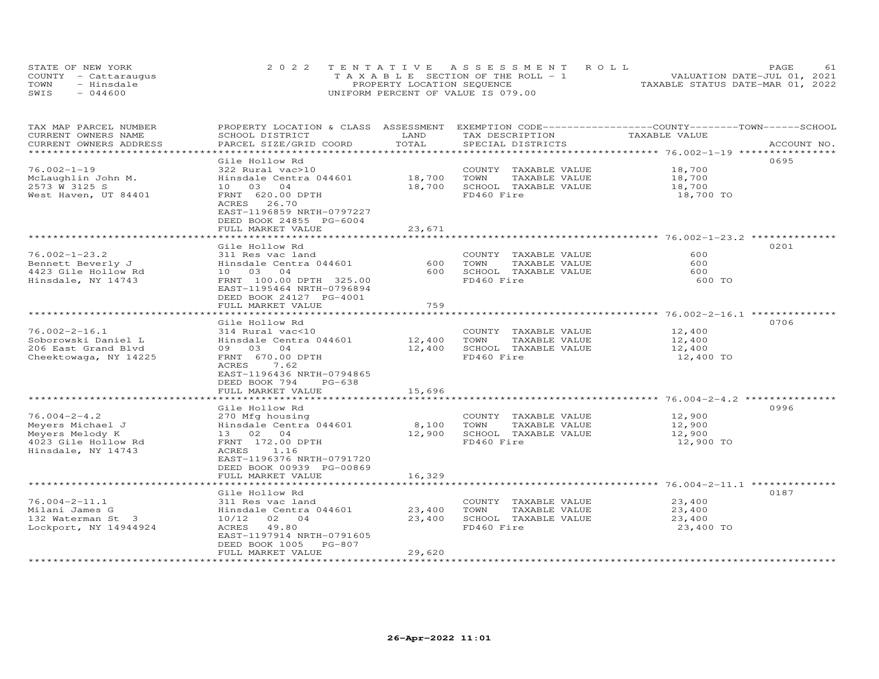|      | STATE OF NEW YORK    | 2022 TENTATIVE ASSESSMENT ROLL        | PAGE                             |  |
|------|----------------------|---------------------------------------|----------------------------------|--|
|      | COUNTY - Cattaraugus | T A X A B L E SECTION OF THE ROLL - 1 | VALUATION DATE-JUL 01, 2021      |  |
| TOWN | - Hinsdale           | PROPERTY LOCATION SEQUENCE            | TAXABLE STATUS DATE-MAR 01, 2022 |  |
| SWIS | $-044600$            | UNIFORM PERCENT OF VALUE IS 079.00    |                                  |  |

| TAX MAP PARCEL NUMBER<br>CURRENT OWNERS NAME<br>CURRENT OWNERS ADDRESS                     | PROPERTY LOCATION & CLASS ASSESSMENT<br>SCHOOL DISTRICT<br>PARCEL SIZE/GRID COORD                                                                                                           | LAND<br>TOTAL              | EXEMPTION CODE-----------------COUNTY-------TOWN-----SCHOOL<br>TAX DESCRIPTION<br>SPECIAL DISTRICTS             | TAXABLE VALUE                                              | ACCOUNT NO. |
|--------------------------------------------------------------------------------------------|---------------------------------------------------------------------------------------------------------------------------------------------------------------------------------------------|----------------------------|-----------------------------------------------------------------------------------------------------------------|------------------------------------------------------------|-------------|
|                                                                                            |                                                                                                                                                                                             | ********                   |                                                                                                                 | **************************** 76.002-1-19 ***************** |             |
| $76.002 - 1 - 19$<br>McLaughlin John M.<br>2573 W 3125 S<br>West Haven, UT 84401           | Gile Hollow Rd<br>322 Rural vac>10<br>Hinsdale Centra 044601<br>10 03 04<br>FRNT 620.00 DPTH<br>26.70<br>ACRES<br>EAST-1196859 NRTH-0797227<br>DEED BOOK 24855 PG-6004<br>FULL MARKET VALUE | 18,700<br>18,700<br>23,671 | COUNTY TAXABLE VALUE<br>TOWN<br>TAXABLE VALUE<br>SCHOOL TAXABLE VALUE<br>FD460 Fire                             | 18,700<br>18,700<br>18,700<br>18,700 TO                    | 0695        |
|                                                                                            |                                                                                                                                                                                             |                            |                                                                                                                 | *********************** 76.002-1-23.2 ********             |             |
| $76.002 - 1 - 23.2$<br>Bennett Beverly J<br>4423 Gile Hollow Rd<br>Hinsdale, NY 14743      | Gile Hollow Rd<br>311 Res vac land<br>Hinsdale Centra 044601<br>10 03 04<br>FRNT 100.00 DPTH 325.00<br>EAST-1195464 NRTH-0796894<br>DEED BOOK 24127 PG-4001<br>FULL MARKET VALUE            | 600<br>600<br>759          | COUNTY TAXABLE VALUE<br>TOWN<br>TAXABLE VALUE<br>SCHOOL TAXABLE VALUE<br>FD460 Fire                             | 600<br>600<br>600<br>600 TO                                | 0201        |
|                                                                                            | *****************                                                                                                                                                                           | *********                  |                                                                                                                 | *************** 76.002-2-16.1                              |             |
| $76.002 - 2 - 16.1$<br>Soborowski Daniel L<br>206 East Grand Blvd<br>Cheektowaga, NY 14225 | Gile Hollow Rd<br>314 Rural vac<10<br>Hinsdale Centra 044601<br>09 03 04<br>FRNT 670.00 DPTH<br>ACRES<br>7.62<br>EAST-1196436 NRTH-0794865<br>DEED BOOK 794<br>$PG-638$                     | 12,400<br>12,400           | COUNTY TAXABLE VALUE<br>TAXABLE VALUE<br>TOWN<br>SCHOOL TAXABLE VALUE<br>FD460 Fire                             | 12,400<br>12,400<br>12,400<br>12,400 TO                    | 0706        |
|                                                                                            | FULL MARKET VALUE                                                                                                                                                                           | 15,696                     |                                                                                                                 |                                                            |             |
| $76.004 - 2 - 4.2$<br>Meyers Michael J                                                     | . * * * * * * * * * * * * * * * * * *<br>Gile Hollow Rd<br>270 Mfg housing<br>Hinsdale Centra 044601                                                                                        | ************<br>8,100      | ******************************** 76.004-2-4.2 ****************<br>COUNTY TAXABLE VALUE<br>TOWN<br>TAXABLE VALUE | 12,900<br>12,900                                           | 0996        |
| Meyers Melody K<br>4023 Gile Hollow Rd<br>Hinsdale, NY 14743                               | 13 02 04<br>FRNT 172.00 DPTH<br>ACRES<br>1.16<br>EAST-1196376 NRTH-0791720<br>DEED BOOK 00939 PG-00869<br>FULL MARKET VALUE                                                                 | 12,900<br>16,329           | SCHOOL TAXABLE VALUE<br>FD460 Fire                                                                              | 12,900<br>12,900 TO                                        |             |
|                                                                                            | *******************                                                                                                                                                                         |                            |                                                                                                                 | ************************ 76.004-2-11.1 ***************     |             |
| $76.004 - 2 - 11.1$<br>Milani James G<br>132 Waterman St 3<br>Lockport, NY 14944924        | Gile Hollow Rd<br>311 Res vac land<br>Hinsdale Centra 044601<br>10/12<br>02 04<br>ACRES<br>49.80<br>EAST-1197914 NRTH-0791605<br>DEED BOOK 1005 PG-807                                      | 23,400<br>23,400           | COUNTY TAXABLE VALUE<br>TOWN<br>TAXABLE VALUE<br>SCHOOL TAXABLE VALUE<br>FD460 Fire                             | 23,400<br>23,400<br>23,400<br>23,400 TO                    | 0187        |
| **********************                                                                     | FULL MARKET VALUE                                                                                                                                                                           | 29,620                     |                                                                                                                 |                                                            |             |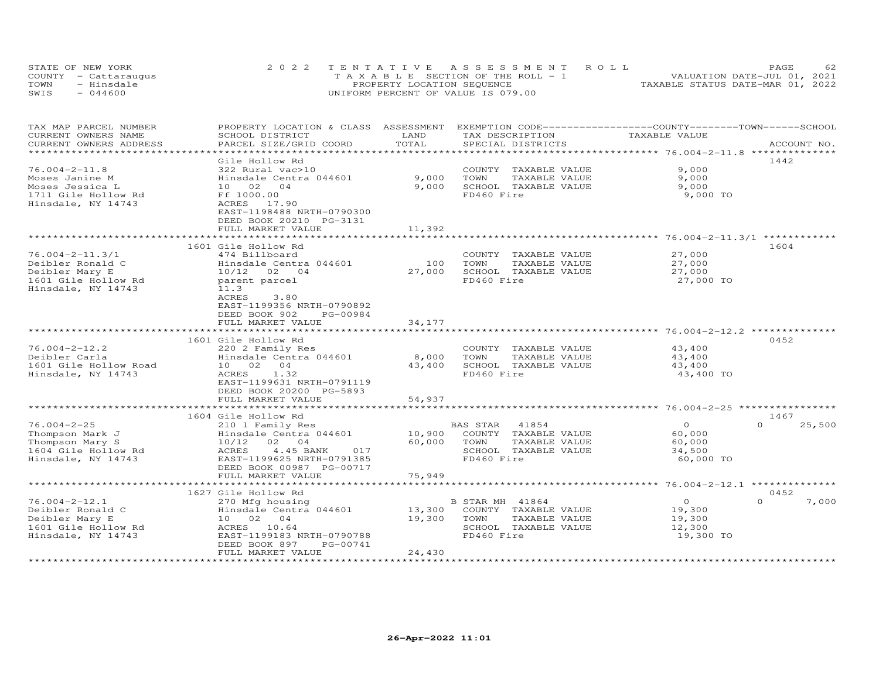| STATE OF NEW YORK    | 2022 TENTATIVE ASSESSMENT ROLL           |                                  | PAGE.                       | 62. |
|----------------------|------------------------------------------|----------------------------------|-----------------------------|-----|
| COUNTY - Cattaraugus | $T A X A B I E$ SECTION OF THE ROLL $-1$ |                                  | VALUATION DATE-JUL 01, 2021 |     |
| - Hinsdale<br>TOWN   | PROPERTY LOCATION SEQUENCE               | TAXABLE STATUS DATE-MAR 01, 2022 |                             |     |
| $-044600$<br>SWIS    | UNIFORM PERCENT OF VALUE IS 079.00       |                                  |                             |     |

| TAX MAP PARCEL NUMBER<br>CURRENT OWNERS NAME                                                             | PROPERTY LOCATION & CLASS ASSESSMENT<br>SCHOOL DISTRICT                                                                                                   | LAND                      | TAX DESCRIPTION                                                                                          | EXEMPTION CODE-----------------COUNTY-------TOWN-----SCHOOL<br>TAXABLE VALUE |                            |
|----------------------------------------------------------------------------------------------------------|-----------------------------------------------------------------------------------------------------------------------------------------------------------|---------------------------|----------------------------------------------------------------------------------------------------------|------------------------------------------------------------------------------|----------------------------|
| CURRENT OWNERS ADDRESS                                                                                   | PARCEL SIZE/GRID COORD                                                                                                                                    | TOTAL                     | SPECIAL DISTRICTS                                                                                        |                                                                              | ACCOUNT NO.                |
|                                                                                                          |                                                                                                                                                           | ************              |                                                                                                          |                                                                              |                            |
| $76.004 - 2 - 11.8$<br>Moses Janine M<br>Moses Jessica L<br>1711 Gile Hollow Rd<br>Hinsdale, NY 14743    | Gile Hollow Rd<br>322 Rural vac>10<br>Hinsdale Centra 044601<br>10 02 04<br>Ff 1000.00<br>ACRES 17.90                                                     | 9,000<br>9,000            | COUNTY TAXABLE VALUE<br>TOWN<br>TAXABLE VALUE<br>SCHOOL TAXABLE VALUE<br>FD460 Fire                      | 9,000<br>9,000<br>9,000<br>9,000 TO                                          | 1442                       |
|                                                                                                          | EAST-1198488 NRTH-0790300<br>DEED BOOK 20210 PG-3131<br>FULL MARKET VALUE                                                                                 | 11,392                    |                                                                                                          |                                                                              |                            |
|                                                                                                          | 1601 Gile Hollow Rd                                                                                                                                       |                           |                                                                                                          |                                                                              | 1604                       |
| $76.004 - 2 - 11.3/1$<br>Deibler Ronald C<br>Deibler Mary E<br>1601 Gile Hollow Rd<br>Hinsdale, NY 14743 | 474 Billboard<br>Hinsdale Centra 044601<br>10/12 02 04<br>parent parcel<br>11.3<br><b>ACRES</b><br>3.80<br>EAST-1199356 NRTH-0790892                      | 100<br>27,000             | COUNTY TAXABLE VALUE<br>TOWN<br>TAXABLE VALUE<br>SCHOOL TAXABLE VALUE<br>FD460 Fire                      | 27,000<br>27,000<br>27,000<br>27,000 TO                                      |                            |
|                                                                                                          | DEED BOOK 902<br>PG-00984                                                                                                                                 |                           |                                                                                                          |                                                                              |                            |
|                                                                                                          | FULL MARKET VALUE<br>***************************                                                                                                          | 34,177                    |                                                                                                          |                                                                              |                            |
|                                                                                                          | 1601 Gile Hollow Rd                                                                                                                                       |                           |                                                                                                          |                                                                              | 0452                       |
| $76.004 - 2 - 12.2$<br>Deibler Carla<br>1601 Gile Hollow Road<br>Hinsdale, NY 14743                      | 220 2 Family Res<br>Hinsdale Centra 044601<br>10 02<br>04<br>1.32<br>ACRES<br>EAST-1199631 NRTH-0791119<br>DEED BOOK 20200 PG-5893<br>FULL MARKET VALUE   | 8,000<br>43,400<br>54,937 | COUNTY TAXABLE VALUE<br>TOWN<br>TAXABLE VALUE<br>SCHOOL TAXABLE VALUE<br>FD460 Fire                      | 43,400<br>43,400<br>43,400<br>43,400 TO                                      |                            |
|                                                                                                          | ************************                                                                                                                                  | **************            |                                                                                                          |                                                                              |                            |
| $76.004 - 2 - 25$<br>Thompson Mark J<br>Thompson Mary S<br>1604 Gile Hollow Rd<br>Hinsdale, NY 14743     | 1604 Gile Hollow Rd<br>210 1 Family Res<br>Hinsdale Centra 044601<br>10/12<br>02 04<br>ACRES<br>4.45 BANK<br>017<br>EAST-1199625 NRTH-0791385             | 10,900<br>60,000          | 41854<br>BAS STAR<br>COUNTY TAXABLE VALUE<br>TOWN<br>TAXABLE VALUE<br>SCHOOL TAXABLE VALUE<br>FD460 Fire | $\circ$<br>60,000<br>60,000<br>34,500<br>60,000 TO                           | 1467<br>$\Omega$<br>25,500 |
|                                                                                                          | DEED BOOK 00987 PG-00717<br>FULL MARKET VALUE                                                                                                             | 75,949                    |                                                                                                          |                                                                              |                            |
|                                                                                                          |                                                                                                                                                           |                           |                                                                                                          | ********** 76.004-2-12.1                                                     |                            |
|                                                                                                          | 1627 Gile Hollow Rd                                                                                                                                       |                           |                                                                                                          |                                                                              | 0452                       |
| $76.004 - 2 - 12.1$<br>Deibler Ronald C<br>Deibler Mary E<br>1601 Gile Hollow Rd<br>Hinsdale, NY 14743   | 270 Mfg housing<br>Hinsdale Centra 044601<br>10 02<br>04<br>ACRES<br>10.64<br>EAST-1199183 NRTH-0790788<br>PG-00741<br>DEED BOOK 897<br>FULL MARKET VALUE | 13,300<br>19,300          | B STAR MH 41864<br>COUNTY TAXABLE VALUE<br>TOWN<br>TAXABLE VALUE<br>SCHOOL TAXABLE VALUE<br>FD460 Fire   | $\overline{O}$<br>19,300<br>19,300<br>12,300<br>19,300 TO                    | $\Omega$<br>7,000          |
|                                                                                                          |                                                                                                                                                           | 24,430                    |                                                                                                          |                                                                              |                            |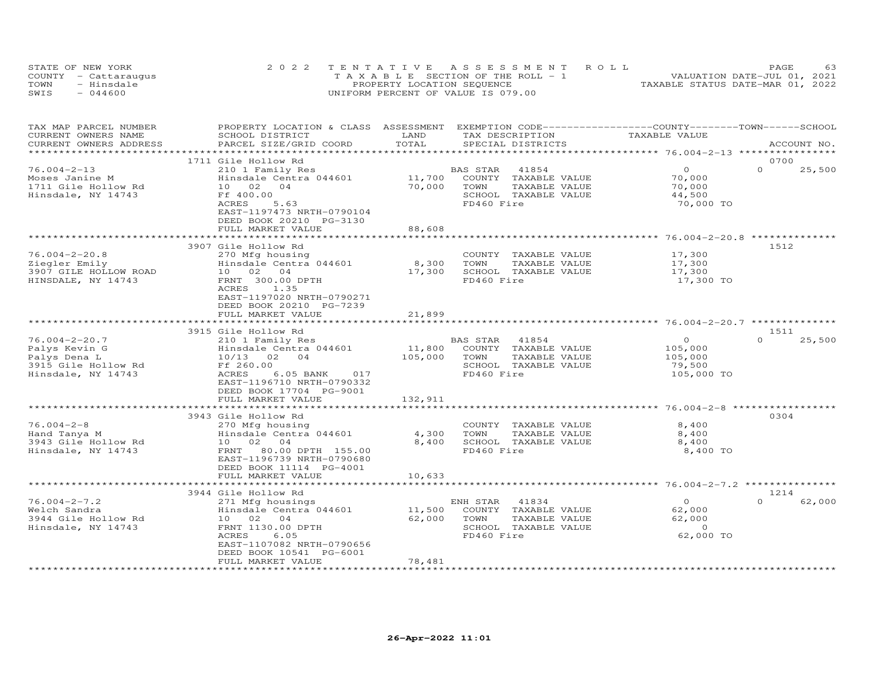|      | STATE OF NEW YORK    | 2022 TENTATIVE ASSESSMENT ROLL                 | PAGE.                            | 63 |
|------|----------------------|------------------------------------------------|----------------------------------|----|
|      | COUNTY - Cattaraugus | $T A X A B I F S E C T I ON OF THE RO I J - 1$ | VALUATION DATE-JUL 01, 2021      |    |
| TOWN | - Hinsdale           | PROPERTY LOCATION SEQUENCE                     | TAXABLE STATUS DATE-MAR 01, 2022 |    |
| SWIS | $-044600$            | UNIFORM PERCENT OF VALUE IS 079.00             |                                  |    |

| TAX MAP PARCEL NUMBER<br>CURRENT OWNERS NAME | PROPERTY LOCATION & CLASS ASSESSMENT<br>SCHOOL DISTRICT                           | LAND                | EXEMPTION CODE-----------------COUNTY-------TOWN------SCHOOL<br>TAX DESCRIPTION | TAXABLE VALUE                                    |                    |
|----------------------------------------------|-----------------------------------------------------------------------------------|---------------------|---------------------------------------------------------------------------------|--------------------------------------------------|--------------------|
| CURRENT OWNERS ADDRESS                       | PARCEL SIZE/GRID COORD                                                            | TOTAL               | SPECIAL DISTRICTS                                                               |                                                  | ACCOUNT NO.        |
|                                              | 1711 Gile Hollow Rd                                                               |                     |                                                                                 |                                                  | 0700               |
| $76.004 - 2 - 13$<br>Moses Janine M          | 210 1 Family Res<br>Hinsdale Centra 044601                                        | 11,700              | BAS STAR<br>41854<br>COUNTY<br>TAXABLE VALUE                                    | $\Omega$<br>70,000                               | $\Omega$<br>25,500 |
| 1711 Gile Hollow Rd<br>Hinsdale, NY 14743    | 10 02<br>04<br>Ff 400.00                                                          | 70,000              | TOWN<br>TAXABLE VALUE<br>SCHOOL TAXABLE VALUE                                   | 70,000<br>44,500                                 |                    |
|                                              | 5.63<br>ACRES<br>EAST-1197473 NRTH-0790104<br>DEED BOOK 20210 PG-3130             |                     | FD460 Fire                                                                      | 70,000 TO                                        |                    |
|                                              | FULL MARKET VALUE                                                                 | 88,608              |                                                                                 |                                                  |                    |
|                                              |                                                                                   | * * * * * * * * * * |                                                                                 | ******************** 76.004-2-20.8 ************* |                    |
|                                              | 3907 Gile Hollow Rd                                                               |                     |                                                                                 |                                                  | 1512               |
| $76.004 - 2 - 20.8$                          | 270 Mfg housing                                                                   |                     | COUNTY TAXABLE VALUE                                                            | 17,300                                           |                    |
| Ziegler Emily                                | Hinsdale Centra 044601                                                            | 8,300               | TOWN<br>TAXABLE VALUE                                                           | 17,300                                           |                    |
| 3907 GILE HOLLOW ROAD<br>HINSDALE, NY 14743  | 10 02 04<br>FRNT 300.00 DPTH<br>ACRES<br>1.35                                     | 17,300              | SCHOOL TAXABLE VALUE<br>FD460 Fire                                              | 17,300<br>17,300 TO                              |                    |
|                                              | EAST-1197020 NRTH-0790271<br>DEED BOOK 20210 PG-7239<br>FULL MARKET VALUE         | 21,899              |                                                                                 |                                                  |                    |
|                                              |                                                                                   |                     |                                                                                 |                                                  |                    |
|                                              | 3915 Gile Hollow Rd                                                               |                     |                                                                                 |                                                  | 1511               |
| $76.004 - 2 - 20.7$                          | 210 1 Family Res                                                                  |                     | 41854<br>BAS STAR                                                               | $\overline{O}$                                   | $\Omega$<br>25,500 |
| Palys Kevin G                                | Hinsdale Centra 044601                                                            | 11,800              | COUNTY TAXABLE VALUE                                                            | 105,000                                          |                    |
| Palys Dena L                                 | 10/13 02 04                                                                       | 105,000             | TAXABLE VALUE<br>TOWN                                                           | 105,000                                          |                    |
| 3915 Gile Hollow Rd                          | Ff 260.00                                                                         |                     | SCHOOL TAXABLE VALUE                                                            | 79,500                                           |                    |
| Hinsdale, NY 14743                           | ACRES<br>6.05 BANK<br>017<br>EAST-1196710 NRTH-0790332<br>DEED BOOK 17704 PG-9001 |                     | FD460 Fire                                                                      | 105,000 TO                                       |                    |
|                                              | FULL MARKET VALUE                                                                 | 132,911             |                                                                                 |                                                  |                    |
|                                              |                                                                                   |                     |                                                                                 |                                                  |                    |
|                                              | 3943 Gile Hollow Rd                                                               |                     |                                                                                 |                                                  | 0304               |
| $76.004 - 2 - 8$                             | 270 Mfg housing                                                                   |                     | COUNTY TAXABLE VALUE                                                            | 8,400                                            |                    |
| Hand Tanya M                                 | Hinsdale Centra 044601                                                            | 4,300               | TOWN<br>TAXABLE VALUE                                                           | 8,400                                            |                    |
| 3943 Gile Hollow Rd                          | 10 02 04                                                                          | 8,400               | SCHOOL TAXABLE VALUE                                                            | 8,400                                            |                    |
| Hinsdale, NY 14743                           | FRNT 80.00 DPTH 155.00<br>EAST-1196739 NRTH-0790680<br>DEED BOOK 11114 PG-4001    |                     | FD460 Fire                                                                      | 8,400 TO                                         |                    |
|                                              | FULL MARKET VALUE                                                                 | 10,633              |                                                                                 |                                                  |                    |
|                                              |                                                                                   |                     |                                                                                 |                                                  |                    |
|                                              | 3944 Gile Hollow Rd                                                               |                     |                                                                                 |                                                  | 1214               |
| $76.004 - 2 - 7.2$                           | 271 Mfg housings                                                                  |                     | ENH STAR<br>41834                                                               | $\overline{0}$                                   | $\Omega$<br>62,000 |
| Welch Sandra                                 | Hinsdale Centra 044601                                                            | 11,500              | COUNTY TAXABLE VALUE                                                            | 62,000                                           |                    |
| 3944 Gile Hollow Rd                          | 10 02<br>04                                                                       | 62,000              | TOWN<br>TAXABLE VALUE                                                           | 62,000                                           |                    |
| Hinsdale, NY 14743                           | FRNT 1130.00 DPTH                                                                 |                     | SCHOOL TAXABLE VALUE                                                            | $\overline{0}$                                   |                    |
|                                              | ACRES<br>6.05                                                                     |                     | FD460 Fire                                                                      | 62,000 TO                                        |                    |
|                                              | EAST-1107082 NRTH-0790656                                                         |                     |                                                                                 |                                                  |                    |
|                                              | DEED BOOK 10541 PG-6001                                                           |                     |                                                                                 |                                                  |                    |
| *************************                    | FULL MARKET VALUE<br>************************                                     | 78,481              |                                                                                 |                                                  |                    |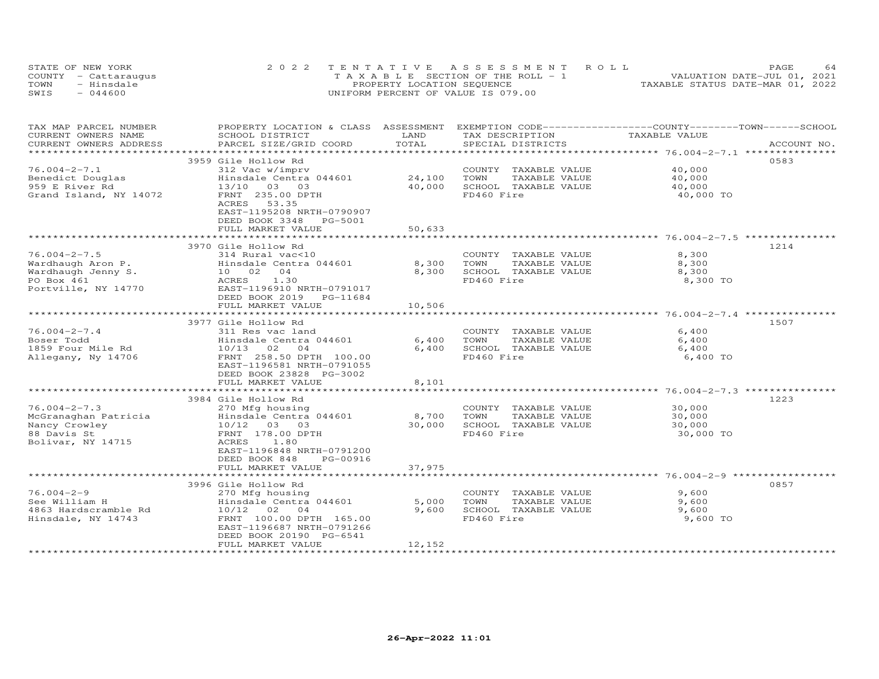|      | STATE OF NEW YORK    | 2022 TENTATIVE ASSESSMENT ROLL           |  |                                  | PAGE | 64 |
|------|----------------------|------------------------------------------|--|----------------------------------|------|----|
|      | COUNTY - Cattaraugus | $T A X A B I F$ SECTION OF THE ROLL $-1$ |  | VALUATION DATE-JUL 01, 2021      |      |    |
| TOWN | - Hinsdale           | PROPERTY LOCATION SEQUENCE               |  | TAXABLE STATUS DATE-MAR 01, 2022 |      |    |
| SWIS | $-044600$            | UNIFORM PERCENT OF VALUE IS 079.00       |  |                                  |      |    |

| TAX MAP PARCEL NUMBER<br>CURRENT OWNERS NAME    | PROPERTY LOCATION & CLASS ASSESSMENT<br>SCHOOL DISTRICT       | LAND                     | EXEMPTION CODE-----------------COUNTY-------TOWN------SCHOOL<br>TAX DESCRIPTION  | TAXABLE VALUE                              |             |
|-------------------------------------------------|---------------------------------------------------------------|--------------------------|----------------------------------------------------------------------------------|--------------------------------------------|-------------|
| CURRENT OWNERS ADDRESS<br>********************* | PARCEL SIZE/GRID COORD<br>*********************************** | TOTAL                    | SPECIAL DISTRICTS                                                                |                                            | ACCOUNT NO. |
|                                                 |                                                               |                          |                                                                                  |                                            |             |
| $76.004 - 2 - 7.1$                              | 3959 Gile Hollow Rd                                           |                          | COUNTY TAXABLE VALUE                                                             | 40,000                                     | 0583        |
| Benedict Douglas                                | 312 Vac w/imprv                                               | 24,100                   | TAXABLE VALUE<br>TOWN                                                            |                                            |             |
| 959 E River Rd                                  | Hinsdale Centra 044601<br>13/10<br>03                         | 40,000                   | SCHOOL TAXABLE VALUE                                                             | 40,000<br>40,000                           |             |
| Grand Island, NY 14072                          | 03<br>FRNT 235.00 DPTH                                        |                          | FD460 Fire                                                                       | 40,000 TO                                  |             |
|                                                 | ACRES<br>53.35                                                |                          |                                                                                  |                                            |             |
|                                                 | EAST-1195208 NRTH-0790907                                     |                          |                                                                                  |                                            |             |
|                                                 | DEED BOOK 3348<br>PG-5001                                     |                          |                                                                                  |                                            |             |
|                                                 | FULL MARKET VALUE                                             | 50,633                   |                                                                                  |                                            |             |
|                                                 |                                                               |                          |                                                                                  |                                            |             |
|                                                 | 3970 Gile Hollow Rd                                           |                          |                                                                                  |                                            | 1214        |
| $76.004 - 2 - 7.5$                              | 314 Rural vac<10                                              |                          | COUNTY TAXABLE VALUE                                                             | 8,300                                      |             |
| Wardhaugh Aron P.                               | Hinsdale Centra 044601                                        | 8,300                    | TAXABLE VALUE<br>TOWN                                                            | 8,300                                      |             |
| Wardhaugh Jenny S.                              | 04<br>10 02                                                   | 8,300                    | SCHOOL TAXABLE VALUE                                                             | 8,300                                      |             |
| PO Box 461                                      | 1.30<br>ACRES                                                 |                          | FD460 Fire                                                                       | 8,300 TO                                   |             |
| Portville, NY 14770                             | EAST-1196910 NRTH-0791017                                     |                          |                                                                                  |                                            |             |
|                                                 | DEED BOOK 2019<br>PG-11684                                    |                          |                                                                                  |                                            |             |
|                                                 | FULL MARKET VALUE                                             | 10,506                   |                                                                                  |                                            |             |
|                                                 | **************************                                    | *************            | **************************************76.004-2-7.4 ***************************** |                                            |             |
|                                                 | 3977 Gile Hollow Rd                                           |                          |                                                                                  |                                            | 1507        |
| $76.004 - 2 - 7.4$                              | 311 Res vac land                                              |                          | COUNTY TAXABLE VALUE                                                             | 6,400                                      |             |
| Boser Todd                                      | Hinsdale Centra 044601                                        | 6,400                    | TOWN<br>TAXABLE VALUE                                                            | 6,400                                      |             |
| 1859 Four Mile Rd                               | 10/13<br>02<br>$\overline{04}$                                | 6,400                    | SCHOOL TAXABLE VALUE                                                             | 6,400                                      |             |
| Allegany, Ny 14706                              | FRNT 258.50 DPTH 100.00                                       |                          | FD460 Fire                                                                       | 6,400 TO                                   |             |
|                                                 | EAST-1196581 NRTH-0791055                                     |                          |                                                                                  |                                            |             |
|                                                 | DEED BOOK 23828 PG-3002                                       |                          |                                                                                  |                                            |             |
|                                                 | FULL MARKET VALUE                                             | 8,101                    |                                                                                  |                                            |             |
|                                                 |                                                               |                          |                                                                                  | ******************* 76.004-2-7.3 ********* |             |
|                                                 | 3984 Gile Hollow Rd                                           |                          |                                                                                  |                                            | 1223        |
| $76.004 - 2 - 7.3$                              | 270 Mfg housing                                               |                          | COUNTY TAXABLE VALUE                                                             | 30,000                                     |             |
| McGranaghan Patricia                            | Hinsdale Centra 044601                                        | 8,700                    | TOWN<br>TAXABLE VALUE                                                            | 30,000                                     |             |
| Nancy Crowley                                   | 10/12 03 03                                                   | 30,000                   | SCHOOL TAXABLE VALUE                                                             | 30,000                                     |             |
| 88 Davis St                                     | FRNT 178.00 DPTH                                              |                          | FD460 Fire                                                                       | 30,000 TO                                  |             |
| Bolivar, NY 14715                               | ACRES<br>1.80                                                 |                          |                                                                                  |                                            |             |
|                                                 | EAST-1196848 NRTH-0791200                                     |                          |                                                                                  |                                            |             |
|                                                 | DEED BOOK 848<br>PG-00916                                     |                          |                                                                                  |                                            |             |
|                                                 | FULL MARKET VALUE<br>**************************               | 37,975<br>************** |                                                                                  |                                            |             |
|                                                 |                                                               |                          |                                                                                  |                                            |             |
|                                                 | 3996 Gile Hollow Rd                                           |                          |                                                                                  |                                            | 0857        |
| $76.004 - 2 - 9$<br>See William H               | 270 Mfg housing<br>Hinsdale Centra 044601                     | 5,000                    | COUNTY TAXABLE VALUE<br>TOWN<br>TAXABLE VALUE                                    | 9,600<br>9,600                             |             |
| 4863 Hardscramble Rd                            | 10/12<br>02<br>$\overline{04}$                                | 9,600                    | SCHOOL TAXABLE VALUE                                                             | 9,600                                      |             |
| Hinsdale, NY 14743                              | FRNT 100.00 DPTH 165.00                                       |                          | FD460 Fire                                                                       | 9,600 TO                                   |             |
|                                                 | EAST-1196687 NRTH-0791266                                     |                          |                                                                                  |                                            |             |
|                                                 | DEED BOOK 20190 PG-6541                                       |                          |                                                                                  |                                            |             |
|                                                 | FULL MARKET VALUE                                             | 12,152                   |                                                                                  |                                            |             |
|                                                 |                                                               |                          |                                                                                  |                                            |             |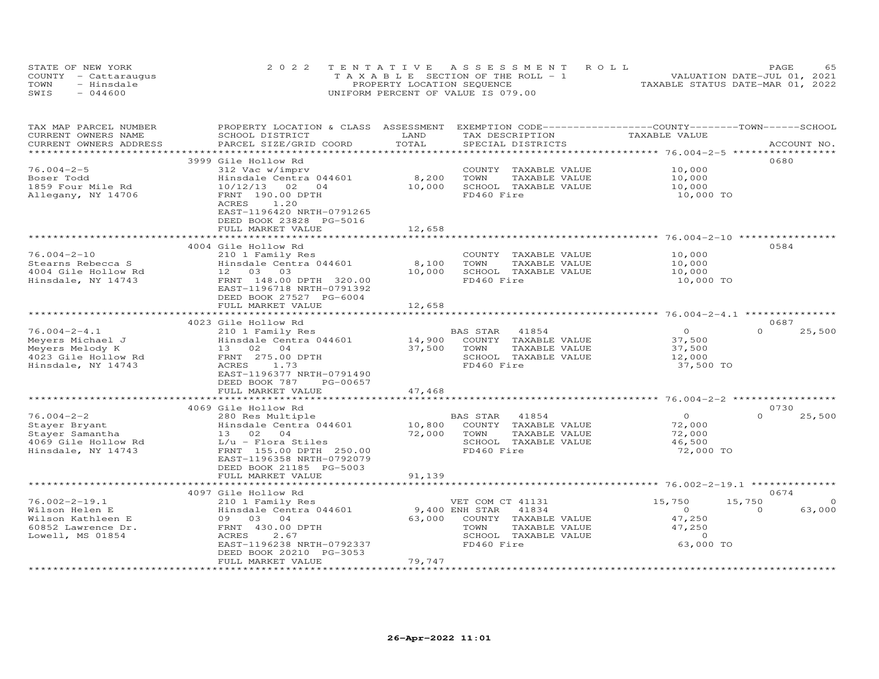|      | STATE OF NEW YORK    | 2022 TENTATIVE ASSESSMENT ROLL        | PAGE                             |
|------|----------------------|---------------------------------------|----------------------------------|
|      | COUNTY - Cattaraugus | T A X A B L E SECTION OF THE ROLL - 1 | VALUATION DATE-JUL 01, 2021      |
| TOWN | - Hinsdale           | PROPERTY LOCATION SEQUENCE            | TAXABLE STATUS DATE-MAR 01, 2022 |
| SWIS | $-044600$            | UNIFORM PERCENT OF VALUE IS 079.00    |                                  |

| TAX MAP PARCEL NUMBER<br>CURRENT OWNERS NAME      | PROPERTY LOCATION & CLASS ASSESSMENT<br>SCHOOL DISTRICT | LAND               | EXEMPTION CODE-----------------COUNTY-------TOWN------SCHOOL<br>TAX DESCRIPTION | TAXABLE VALUE                  |                                |
|---------------------------------------------------|---------------------------------------------------------|--------------------|---------------------------------------------------------------------------------|--------------------------------|--------------------------------|
| CURRENT OWNERS ADDRESS<br>*********************** | PARCEL SIZE/GRID COORD<br>****************************  | TOTAL              | SPECIAL DISTRICTS                                                               |                                | ACCOUNT NO.                    |
|                                                   | 3999 Gile Hollow Rd                                     |                    |                                                                                 |                                | 0680                           |
| $76.004 - 2 - 5$                                  | 312 Vac w/imprv                                         |                    | COUNTY<br>TAXABLE VALUE                                                         | 10,000                         |                                |
| Boser Todd                                        | Hinsdale Centra 044601                                  | 8,200              | TOWN<br>TAXABLE VALUE                                                           | 10,000                         |                                |
| 1859 Four Mile Rd                                 | 10/12/13<br>02<br>04                                    | 10,000             | SCHOOL TAXABLE VALUE                                                            | 10,000                         |                                |
| Allegany, NY 14706                                | FRNT 190.00 DPTH                                        |                    | FD460 Fire                                                                      | 10,000 TO                      |                                |
|                                                   | 1.20<br>ACRES                                           |                    |                                                                                 |                                |                                |
|                                                   | EAST-1196420 NRTH-0791265                               |                    |                                                                                 |                                |                                |
|                                                   | DEED BOOK 23828 PG-5016                                 |                    |                                                                                 |                                |                                |
|                                                   | FULL MARKET VALUE                                       | 12,658             |                                                                                 |                                |                                |
|                                                   |                                                         |                    |                                                                                 | ******** 76.004-2-10 ********* |                                |
|                                                   | 4004 Gile Hollow Rd                                     |                    |                                                                                 |                                | 0584                           |
| $76.004 - 2 - 10$                                 | 210 1 Family Res                                        |                    | COUNTY TAXABLE VALUE                                                            | 10,000                         |                                |
| Stearns Rebecca S<br>4004 Gile Hollow Rd          | Hinsdale Centra 044601<br>12 03 03                      | 8,100<br>10,000    | TOWN<br>TAXABLE VALUE<br>SCHOOL TAXABLE VALUE                                   | 10,000                         |                                |
| Hinsdale, NY 14743                                | FRNT 148.00 DPTH 320.00                                 |                    | FD460 Fire                                                                      | 10,000<br>10,000 TO            |                                |
|                                                   | EAST-1196718 NRTH-0791392                               |                    |                                                                                 |                                |                                |
|                                                   | DEED BOOK 27527 PG-6004                                 |                    |                                                                                 |                                |                                |
|                                                   | FULL MARKET VALUE                                       | 12,658             |                                                                                 |                                |                                |
|                                                   |                                                         |                    |                                                                                 |                                |                                |
|                                                   | 4023 Gile Hollow Rd                                     |                    |                                                                                 |                                | 0687                           |
| $76.004 - 2 - 4.1$                                | 210 1 Family Res                                        |                    | BAS STAR<br>41854                                                               | $\overline{O}$                 | $\Omega$<br>25,500             |
| Meyers Michael J                                  | Hinsdale Centra 044601                                  | 14,900             | COUNTY<br>TAXABLE VALUE                                                         | 37,500                         |                                |
| Meyers Melody K                                   | 13 02 04                                                | 37,500             | TOWN<br>TAXABLE VALUE                                                           | 37,500                         |                                |
| 4023 Gile Hollow Rd                               | FRNT 275.00 DPTH                                        |                    | SCHOOL TAXABLE VALUE                                                            | 12,000                         |                                |
| Hinsdale, NY 14743                                | ACRES<br>1.73                                           |                    | FD460 Fire                                                                      | 37,500 TO                      |                                |
|                                                   | EAST-1196377 NRTH-0791490                               |                    |                                                                                 |                                |                                |
|                                                   | DEED BOOK 787<br>PG-00657                               |                    |                                                                                 |                                |                                |
|                                                   | FULL MARKET VALUE                                       | 47,468             | ******************************** 76.004-2-2 **********                          |                                |                                |
|                                                   | 4069 Gile Hollow Rd                                     |                    |                                                                                 |                                | 0730                           |
| $76.004 - 2 - 2$                                  | 280 Res Multiple                                        |                    | BAS STAR<br>41854                                                               | $\Omega$                       | $\Omega$<br>25,500             |
| Stayer Bryant                                     | Hinsdale Centra 044601                                  | 10,800             | COUNTY TAXABLE VALUE                                                            | 72,000                         |                                |
| Stayer Samantha                                   | 13 02 04                                                | 72,000             | TOWN<br>TAXABLE VALUE                                                           | 72,000                         |                                |
| 4069 Gile Hollow Rd                               | $L/u$ - Flora Stiles                                    |                    | SCHOOL TAXABLE VALUE                                                            | 46,500                         |                                |
| Hinsdale, NY 14743                                | FRNT 155.00 DPTH 250.00                                 |                    | FD460 Fire                                                                      | 72,000 TO                      |                                |
|                                                   | EAST-1196358 NRTH-0792079                               |                    |                                                                                 |                                |                                |
|                                                   | DEED BOOK 21185 PG-5003                                 |                    |                                                                                 |                                |                                |
|                                                   | FULL MARKET VALUE                                       | 91,139             |                                                                                 |                                |                                |
|                                                   |                                                         |                    |                                                                                 |                                |                                |
|                                                   | 4097 Gile Hollow Rd                                     |                    |                                                                                 |                                | 0674                           |
| $76.002 - 2 - 19.1$                               | 210 1 Family Res                                        |                    | VET COM CT 41131                                                                | 15,750                         | 15,750<br>$\Omega$<br>$\Omega$ |
| Wilson Helen E<br>Wilson Kathleen E               | Hinsdale Centra 044601<br>09 03 04                      | 63,000             | 9,400 ENH STAR<br>41834                                                         | $\circ$                        | 63,000                         |
| 60852 Lawrence Dr.                                | FRNT 430.00 DPTH                                        |                    | COUNTY TAXABLE VALUE<br>TOWN<br>TAXABLE VALUE                                   | 47,250<br>47,250               |                                |
| Lowell, MS 01854                                  | ACRES<br>2.67                                           |                    | SCHOOL TAXABLE VALUE                                                            | $\Omega$                       |                                |
|                                                   | EAST-1196238 NRTH-0792337                               |                    | FD460 Fire                                                                      | 63,000 TO                      |                                |
|                                                   | DEED BOOK 20210 PG-3053                                 |                    |                                                                                 |                                |                                |
|                                                   | FULL MARKET VALUE                                       | 79,747             |                                                                                 |                                |                                |
| ***********************                           | ***********************                                 | ****************** |                                                                                 |                                |                                |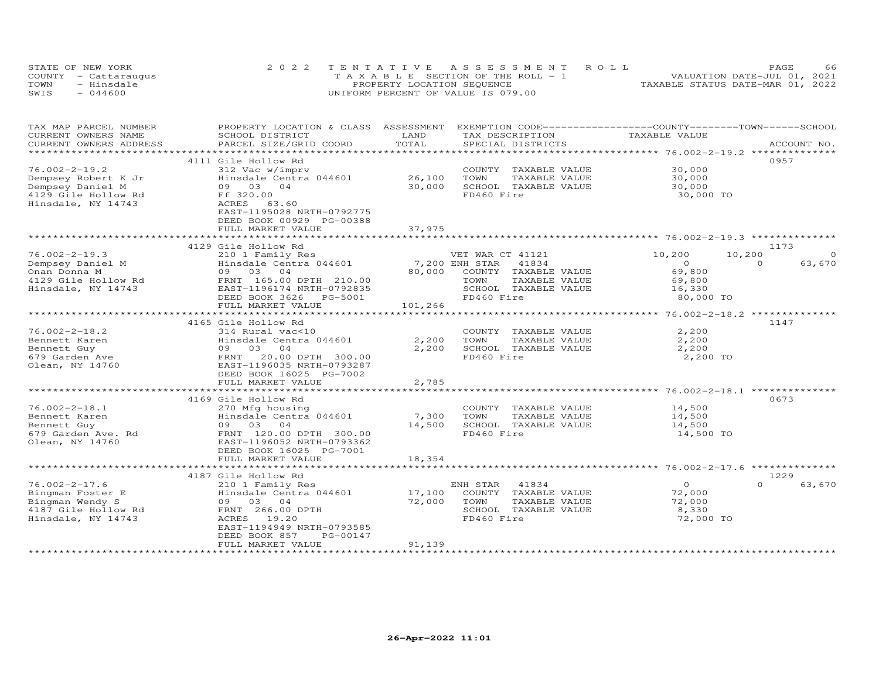|      | STATE OF NEW YORK    | 2022 TENTATIVE ASSESSMENT ROLL        | 66<br>PAGE                       |
|------|----------------------|---------------------------------------|----------------------------------|
|      | COUNTY - Cattaraugus | T A X A B L E SECTION OF THE ROLL - 1 | VALUATION DATE-JUL 01, 2021      |
| TOWN | - Hinsdale           | PROPERTY LOCATION SEQUENCE            | TAXABLE STATUS DATE-MAR 01, 2022 |
| SWIS | $-044600$            | UNIFORM PERCENT OF VALUE IS 079.00    |                                  |

| TAX MAP PARCEL NUMBER<br>CURRENT OWNERS NAME | PROPERTY LOCATION & CLASS ASSESSMENT<br>SCHOOL DISTRICT | LAND            | EXEMPTION CODE-----------------COUNTY-------TOWN------SCHOOL<br>TAX DESCRIPTION | TAXABLE VALUE                                           |                    |
|----------------------------------------------|---------------------------------------------------------|-----------------|---------------------------------------------------------------------------------|---------------------------------------------------------|--------------------|
| CURRENT OWNERS ADDRESS                       | PARCEL SIZE/GRID COORD                                  | TOTAL           | SPECIAL DISTRICTS                                                               |                                                         | ACCOUNT NO.        |
| *******************                          |                                                         |                 |                                                                                 |                                                         |                    |
|                                              | 4111 Gile Hollow Rd                                     |                 |                                                                                 |                                                         | 0957               |
| $76.002 - 2 - 19.2$                          | 312 Vac w/imprv                                         |                 | COUNTY TAXABLE VALUE                                                            | 30,000                                                  |                    |
| Dempsey Robert K Jr                          | Hinsdale Centra 044601                                  | 26,100          | TOWN<br>TAXABLE VALUE                                                           | 30,000                                                  |                    |
| Dempsey Daniel M                             | 09 03 04                                                | 30,000          | SCHOOL TAXABLE VALUE                                                            | 30,000                                                  |                    |
| 4129 Gile Hollow Rd                          | Ff 320.00                                               |                 | FD460 Fire                                                                      | 30,000 TO                                               |                    |
| Hinsdale, NY 14743                           | ACRES<br>63.60                                          |                 |                                                                                 |                                                         |                    |
|                                              | EAST-1195028 NRTH-0792775                               |                 |                                                                                 |                                                         |                    |
|                                              | DEED BOOK 00929 PG-00388                                |                 |                                                                                 |                                                         |                    |
|                                              | FULL MARKET VALUE                                       | 37,975          |                                                                                 |                                                         |                    |
|                                              |                                                         |                 |                                                                                 |                                                         |                    |
|                                              | 4129 Gile Hollow Rd                                     |                 |                                                                                 |                                                         | 1173               |
| $76.002 - 2 - 19.3$                          | 210 1 Family Res                                        |                 | VET WAR CT 41121                                                                | 10,200<br>10,200                                        | $\Omega$           |
| Dempsey Daniel M                             | Hinsdale Centra 044601                                  | 7,200 ENH STAR  | 41834                                                                           | $\circ$                                                 | $\Omega$<br>63,670 |
| Onan Donna M                                 | 09 03 04                                                | 80,000          | COUNTY TAXABLE VALUE                                                            | 69,800                                                  |                    |
| 4129 Gile Hollow Rd                          | FRNT 165.00 DPTH 210.00                                 |                 | TOWN<br>TAXABLE VALUE                                                           | 69,800                                                  |                    |
| Hinsdale, NY 14743                           | EAST-1196174 NRTH-0792835                               |                 | SCHOOL TAXABLE VALUE                                                            | 16,330                                                  |                    |
|                                              | DEED BOOK 3626<br>PG-5001                               |                 | FD460 Fire                                                                      | 80,000 TO                                               |                    |
|                                              | FULL MARKET VALUE                                       | 101,266         |                                                                                 |                                                         |                    |
|                                              | ***************************                             | *************   |                                                                                 | ************************* 76.002-2-18.2 *************** |                    |
|                                              | 4165 Gile Hollow Rd                                     |                 |                                                                                 |                                                         | 1147               |
| $76.002 - 2 - 18.2$                          | 314 Rural vac<10                                        |                 | COUNTY TAXABLE VALUE                                                            | 2,200                                                   |                    |
| Bennett Karen                                | Hinsdale Centra 044601                                  | 2,200           | TOWN<br>TAXABLE VALUE                                                           | 2,200                                                   |                    |
| Bennett Guy                                  | 09 03<br>04                                             | 2,200           | SCHOOL TAXABLE VALUE                                                            | 2,200                                                   |                    |
| 679 Garden Ave                               | 20.00 DPTH 300.00<br>FRNT                               |                 | FD460 Fire                                                                      | 2,200 TO                                                |                    |
| Olean, NY 14760                              | EAST-1196035 NRTH-0793287                               |                 |                                                                                 |                                                         |                    |
|                                              | DEED BOOK 16025 PG-7002                                 |                 |                                                                                 |                                                         |                    |
|                                              | FULL MARKET VALUE                                       | 2,785           |                                                                                 |                                                         |                    |
|                                              |                                                         |                 |                                                                                 |                                                         | ******             |
|                                              | 4169 Gile Hollow Rd                                     |                 |                                                                                 |                                                         | 0673               |
| $76.002 - 2 - 18.1$                          | 270 Mfg housing                                         |                 | COUNTY TAXABLE VALUE                                                            | 14,500                                                  |                    |
| Bennett Karen<br>Bennett Guy                 | Hinsdale Centra 044601<br>09 03<br>04                   | 7,300<br>14,500 | TOWN<br>TAXABLE VALUE<br>SCHOOL TAXABLE VALUE                                   | 14,500<br>14,500                                        |                    |
| 679 Garden Ave. Rd                           | FRNT 120.00 DPTH 300.00                                 |                 | FD460 Fire                                                                      | 14,500 TO                                               |                    |
| Olean, NY 14760                              | EAST-1196052 NRTH-0793362                               |                 |                                                                                 |                                                         |                    |
|                                              | DEED BOOK 16025 PG-7001                                 |                 |                                                                                 |                                                         |                    |
|                                              | FULL MARKET VALUE                                       | 18,354          |                                                                                 |                                                         |                    |
|                                              |                                                         |                 |                                                                                 |                                                         |                    |
|                                              | 4187 Gile Hollow Rd                                     |                 |                                                                                 |                                                         | 1229               |
| $76.002 - 2 - 17.6$                          | 210 1 Family Res                                        |                 | 41834<br>ENH STAR                                                               | $\Omega$                                                | $\Omega$<br>63,670 |
| Bingman Foster E                             | Hinsdale Centra 044601                                  | 17,100          | COUNTY<br>TAXABLE VALUE                                                         | 72,000                                                  |                    |
| Bingman Wendy S                              | 09 03 04                                                | 72,000          | TOWN<br>TAXABLE VALUE                                                           | 72,000                                                  |                    |
| 4187 Gile Hollow Rd                          | FRNT 266.00 DPTH                                        |                 | SCHOOL TAXABLE VALUE                                                            | 8,330                                                   |                    |
| Hinsdale, NY 14743                           | ACRES<br>19.20                                          |                 | FD460 Fire                                                                      | 72,000 TO                                               |                    |
|                                              | EAST-1194949 NRTH-0793585                               |                 |                                                                                 |                                                         |                    |
|                                              | DEED BOOK 857<br>PG-00147                               |                 |                                                                                 |                                                         |                    |
|                                              | FULL MARKET VALUE                                       | 91,139          |                                                                                 |                                                         |                    |
|                                              |                                                         |                 |                                                                                 |                                                         |                    |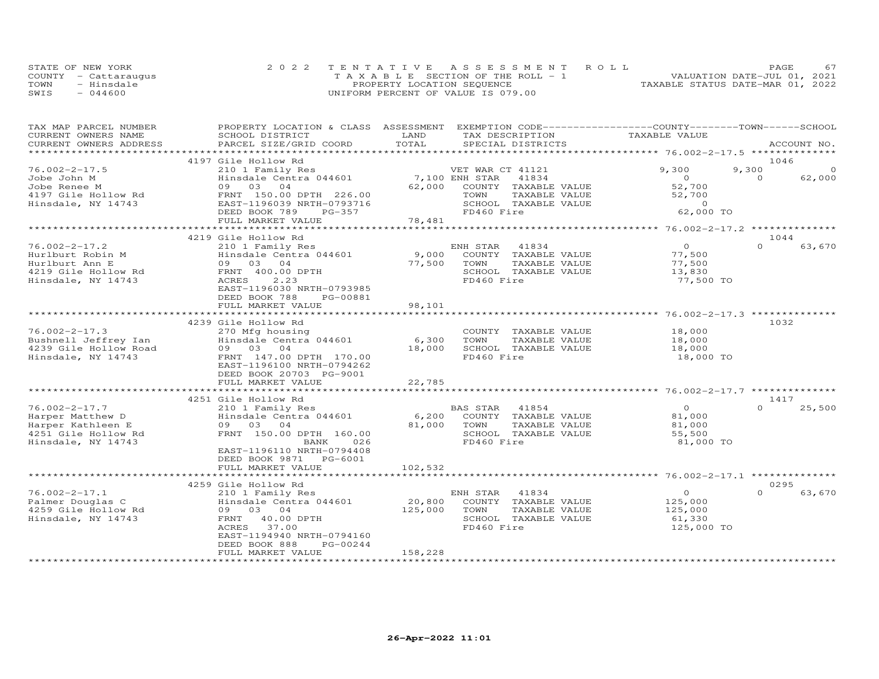|      | STATE OF NEW YORK    | 2022 TENTATIVE ASSESSMENT ROLL        | PAGE                             |
|------|----------------------|---------------------------------------|----------------------------------|
|      | COUNTY - Cattaraugus | T A X A B L E SECTION OF THE ROLL - 1 | VALUATION DATE-JUL 01, 2021      |
| TOWN | - Hinsdale           | PROPERTY LOCATION SEQUENCE            | TAXABLE STATUS DATE-MAR 01, 2022 |
| SWIS | $-044600$            | UNIFORM PERCENT OF VALUE IS 079.00    |                                  |

| TAX MAP PARCEL NUMBER<br>CURRENT OWNERS NAME      | PROPERTY LOCATION & CLASS ASSESSMENT<br>SCHOOL DISTRICT | LAND            | EXEMPTION CODE-----------------COUNTY-------TOWN------SCHOOL<br>TAX DESCRIPTION | TAXABLE VALUE        |          |             |
|---------------------------------------------------|---------------------------------------------------------|-----------------|---------------------------------------------------------------------------------|----------------------|----------|-------------|
| CURRENT OWNERS ADDRESS<br>*********************** | PARCEL SIZE/GRID COORD<br>***************************** | TOTAL           | SPECIAL DISTRICTS                                                               |                      |          | ACCOUNT NO. |
|                                                   | 4197 Gile Hollow Rd                                     |                 |                                                                                 |                      | 1046     |             |
| $76.002 - 2 - 17.5$                               | 210 1 Family Res                                        |                 | VET WAR CT 41121                                                                | 9,300                | 9,300    | $\Omega$    |
| Jobe John M                                       | Hinsdale Centra 044601                                  |                 | 7,100 ENH STAR<br>41834                                                         | $\Omega$             | $\Omega$ | 62,000      |
| Jobe Renee M                                      | 09 03 04                                                | 62,000          | COUNTY TAXABLE VALUE                                                            | 52,700               |          |             |
| 4197 Gile Hollow Rd                               | FRNT 150.00 DPTH 226.00                                 |                 | TOWN<br>TAXABLE VALUE                                                           | 52,700               |          |             |
| Hinsdale, NY 14743                                | EAST-1196039 NRTH-0793716                               |                 | SCHOOL TAXABLE VALUE                                                            | $\circ$              |          |             |
|                                                   | DEED BOOK 789<br>PG-357                                 |                 | FD460 Fire                                                                      | 62,000 TO            |          |             |
|                                                   | FULL MARKET VALUE                                       | 78,481          |                                                                                 |                      |          |             |
|                                                   |                                                         |                 |                                                                                 |                      |          |             |
|                                                   | 4219 Gile Hollow Rd                                     |                 |                                                                                 |                      | 1044     |             |
| $76.002 - 2 - 17.2$                               | 210 1 Family Res                                        |                 | 41834<br>ENH STAR                                                               | $\overline{O}$       | $\Omega$ | 63,670      |
| Hurlburt Robin M                                  | Hinsdale Centra 044601                                  | 9,000<br>77,500 | COUNTY TAXABLE VALUE<br>TOWN                                                    | 77,500               |          |             |
| Hurlburt Ann E<br>4219 Gile Hollow Rd             | 09 03 04<br>FRNT 400.00 DPTH                            |                 | TAXABLE VALUE<br>SCHOOL TAXABLE VALUE                                           | 77,500<br>13,830     |          |             |
| Hinsdale, NY 14743                                | ACRES<br>2.23                                           |                 | FD460 Fire                                                                      | 77,500 TO            |          |             |
|                                                   | EAST-1196030 NRTH-0793985                               |                 |                                                                                 |                      |          |             |
|                                                   | DEED BOOK 788<br>PG-00881                               |                 |                                                                                 |                      |          |             |
|                                                   | FULL MARKET VALUE                                       | 98,101          |                                                                                 |                      |          |             |
|                                                   |                                                         |                 |                                                                                 |                      |          |             |
|                                                   | 4239 Gile Hollow Rd                                     |                 |                                                                                 |                      | 1032     |             |
| $76.002 - 2 - 17.3$                               | 270 Mfg housing                                         |                 | COUNTY TAXABLE VALUE                                                            | 18,000               |          |             |
| Bushnell Jeffrey Ian                              | Hinsdale Centra 044601                                  | 6,300           | TAXABLE VALUE<br>TOWN                                                           | 18,000               |          |             |
| 4239 Gile Hollow Road                             | 09 03 04                                                | 18,000          | SCHOOL TAXABLE VALUE                                                            | 18,000               |          |             |
| Hinsdale, NY 14743                                | FRNT 147.00 DPTH 170.00                                 |                 | FD460 Fire                                                                      | 18,000 TO            |          |             |
|                                                   | EAST-1196100 NRTH-0794262                               |                 |                                                                                 |                      |          |             |
|                                                   | DEED BOOK 20703 PG-9001                                 |                 |                                                                                 |                      |          |             |
|                                                   | FULL MARKET VALUE                                       | 22,785          |                                                                                 |                      |          |             |
|                                                   | 4251 Gile Hollow Rd                                     |                 |                                                                                 |                      | 1417     |             |
| $76.002 - 2 - 17.7$                               | 210 1 Family Res                                        |                 | 41854<br>BAS STAR                                                               | $\overline{0}$       | $\Omega$ | 25,500      |
| Harper Matthew D                                  | Hinsdale Centra 044601                                  |                 | 6,200 COUNTY TAXABLE VALUE                                                      | 81,000               |          |             |
| Harper Kathleen E                                 | 09 03 04                                                | 81,000          | TAXABLE VALUE<br>TOWN                                                           | 81,000               |          |             |
| 4251 Gile Hollow Rd                               | FRNT 150.00 DPTH 160.00                                 |                 | SCHOOL TAXABLE VALUE                                                            | 55,500               |          |             |
| Hinsdale, NY 14743                                | 026<br>BANK                                             |                 | FD460 Fire                                                                      | 81,000 TO            |          |             |
|                                                   | EAST-1196110 NRTH-0794408                               |                 |                                                                                 |                      |          |             |
|                                                   | DEED BOOK 9871 PG-6001                                  |                 |                                                                                 |                      |          |             |
|                                                   | FULL MARKET VALUE                                       | 102,532         |                                                                                 |                      |          |             |
|                                                   |                                                         |                 |                                                                                 |                      |          |             |
|                                                   | 4259 Gile Hollow Rd                                     |                 |                                                                                 |                      | 0295     |             |
| $76.002 - 2 - 17.1$                               | 210 1 Family Res                                        |                 | ENH STAR<br>41834                                                               | $\circ$              | $\Omega$ | 63,670      |
| Palmer Douglas C                                  | Hinsdale Centra 044601                                  | 20,800          | COUNTY TAXABLE VALUE                                                            | 125,000              |          |             |
| 4259 Gile Hollow Rd                               | 09 03 04                                                | 125,000         | TOWN<br>TAXABLE VALUE                                                           | 125,000              |          |             |
| Hinsdale, NY 14743                                | FRNT 40.00 DPTH<br>ACRES<br>37.00                       |                 | SCHOOL TAXABLE VALUE<br>FD460 Fire                                              | 61,330<br>125,000 TO |          |             |
|                                                   | EAST-1194940 NRTH-0794160                               |                 |                                                                                 |                      |          |             |
|                                                   | DEED BOOK 888<br>PG-00244                               |                 |                                                                                 |                      |          |             |
|                                                   | FULL MARKET VALUE                                       | 158,228         |                                                                                 |                      |          |             |
|                                                   |                                                         |                 |                                                                                 |                      |          |             |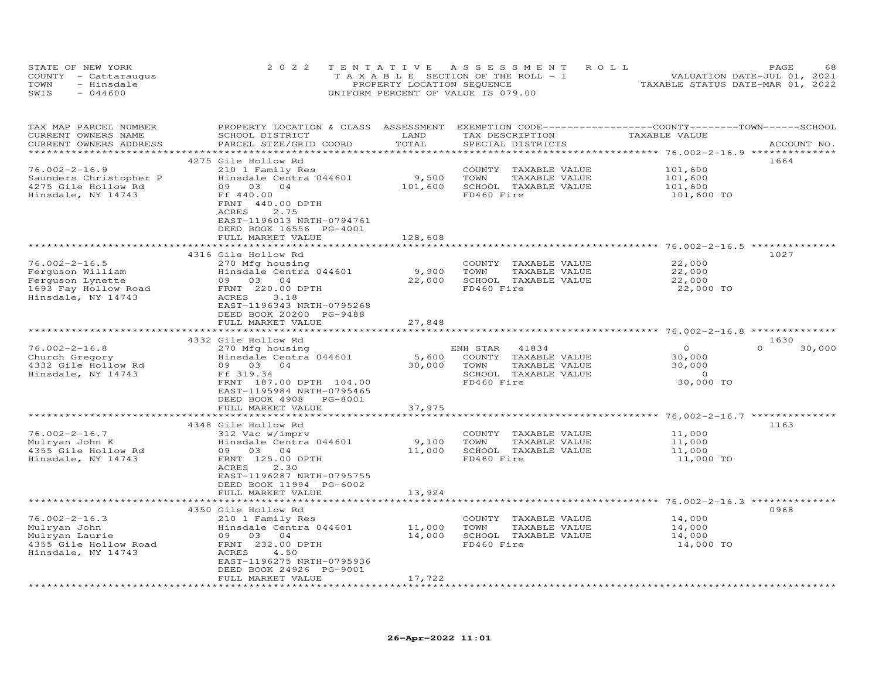|      | STATE OF NEW YORK    | 2022 TENTATIVE ASSESSMENT ROLL        | 68<br>PAGE                       |
|------|----------------------|---------------------------------------|----------------------------------|
|      | COUNTY - Cattaraugus | T A X A B L E SECTION OF THE ROLL - 1 | VALUATION DATE-JUL 01, 2021      |
| TOWN | - Hinsdale           | PROPERTY LOCATION SEQUENCE            | TAXABLE STATUS DATE-MAR 01, 2022 |
| SWIS | $-044600$            | UNIFORM PERCENT OF VALUE IS 079.00    |                                  |

| TAX MAP PARCEL NUMBER<br>CURRENT OWNERS NAME<br>CURRENT OWNERS ADDRESS | PROPERTY LOCATION & CLASS ASSESSMENT<br>SCHOOL DISTRICT<br>PARCEL SIZE/GRID COORD                                           | LAND<br>TOTAL | TAX DESCRIPTION<br>SPECIAL DISTRICTS | EXEMPTION CODE-----------------COUNTY-------TOWN-----SCHOOL<br>TAXABLE VALUE | ACCOUNT NO.        |
|------------------------------------------------------------------------|-----------------------------------------------------------------------------------------------------------------------------|---------------|--------------------------------------|------------------------------------------------------------------------------|--------------------|
| *****************                                                      | *****************************                                                                                               |               |                                      |                                                                              |                    |
|                                                                        | 4275 Gile Hollow Rd                                                                                                         |               |                                      |                                                                              | 1664               |
| $76.002 - 2 - 16.9$                                                    | 210 1 Family Res                                                                                                            |               | COUNTY TAXABLE VALUE                 | 101,600                                                                      |                    |
| Saunders Christopher P                                                 | Hinsdale Centra 044601                                                                                                      | 9,500         | TOWN<br>TAXABLE VALUE                | 101,600                                                                      |                    |
| 4275 Gile Hollow Rd                                                    | 09 03<br>04                                                                                                                 | 101,600       | SCHOOL TAXABLE VALUE                 | 101,600                                                                      |                    |
| Hinsdale, NY 14743                                                     | Ff 440.00<br>FRNT 440.00 DPTH<br>2.75<br>ACRES<br>EAST-1196013 NRTH-0794761<br>DEED BOOK 16556 PG-4001<br>FULL MARKET VALUE | 128,608       | FD460 Fire                           | 101,600 TO                                                                   |                    |
|                                                                        | **************************                                                                                                  |               |                                      |                                                                              |                    |
|                                                                        | 4316 Gile Hollow Rd                                                                                                         |               |                                      |                                                                              | 1027               |
| $76.002 - 2 - 16.5$                                                    | 270 Mfg housing                                                                                                             |               | COUNTY TAXABLE VALUE                 | 22,000                                                                       |                    |
| Ferguson William                                                       | Hinsdale Centra 044601                                                                                                      | 9,900         | TOWN<br>TAXABLE VALUE                | 22,000                                                                       |                    |
| Ferguson Lynette                                                       | 09 03 04                                                                                                                    | 22,000        | SCHOOL TAXABLE VALUE                 | 22,000                                                                       |                    |
| 1693 Fay Hollow Road<br>Hinsdale, NY 14743                             | FRNT 220.00 DPTH<br>ACRES<br>3.18<br>EAST-1196343 NRTH-0795268<br>DEED BOOK 20200 PG-9488                                   |               | FD460 Fire                           | 22,000 TO                                                                    |                    |
|                                                                        | FULL MARKET VALUE                                                                                                           | 27,848        |                                      |                                                                              |                    |
|                                                                        | ****************                                                                                                            |               |                                      | ********************************** 76.002-2-16.8                             | **************     |
|                                                                        | 4332 Gile Hollow Rd                                                                                                         |               |                                      |                                                                              | 1630               |
| $76.002 - 2 - 16.8$                                                    | 270 Mfg housing                                                                                                             |               | ENH STAR<br>41834                    | $\circ$                                                                      | $\Omega$<br>30,000 |
| Church Gregory                                                         | Hinsdale Centra 044601                                                                                                      | 5,600         | COUNTY TAXABLE VALUE                 | 30,000                                                                       |                    |
| 4332 Gile Hollow Rd                                                    | 09 03 04                                                                                                                    | 30,000        | TAXABLE VALUE<br>TOWN                | 30,000<br>$\sim$ 0                                                           |                    |
| Hinsdale, NY 14743                                                     | Ff 319.34<br>FRNT 187.00 DPTH 104.00                                                                                        |               | SCHOOL TAXABLE VALUE<br>FD460 Fire   | 30,000 TO                                                                    |                    |
|                                                                        | EAST-1195984 NRTH-0795465<br>DEED BOOK 4908<br>PG-8001                                                                      |               |                                      |                                                                              |                    |
|                                                                        | FULL MARKET VALUE<br>***********************                                                                                | 37,975        |                                      |                                                                              |                    |
|                                                                        |                                                                                                                             | ************  |                                      | **************************************6.002-2-16.7 ***************           |                    |
| $76.002 - 2 - 16.7$                                                    | 4348 Gile Hollow Rd<br>312 Vac w/imprv                                                                                      |               | COUNTY TAXABLE VALUE                 | 11,000                                                                       | 1163               |
| Mulryan John K                                                         | Hinsdale Centra 044601                                                                                                      | 9,100         | TOWN<br>TAXABLE VALUE                | 11,000                                                                       |                    |
| 4355 Gile Hollow Rd                                                    | 09 03 04                                                                                                                    | 11,000        | SCHOOL TAXABLE VALUE                 | 11,000                                                                       |                    |
| Hinsdale, NY 14743                                                     | FRNT 125.00 DPTH<br>ACRES<br>2.30<br>EAST-1196287 NRTH-0795755                                                              |               | FD460 Fire                           | 11,000 TO                                                                    |                    |
|                                                                        | DEED BOOK 11994 PG-6002                                                                                                     |               |                                      |                                                                              |                    |
|                                                                        | FULL MARKET VALUE                                                                                                           | 13,924        |                                      |                                                                              |                    |
|                                                                        | *************************                                                                                                   | ************* |                                      |                                                                              |                    |
|                                                                        | 4350 Gile Hollow Rd                                                                                                         |               |                                      |                                                                              | 0968               |
| $76.002 - 2 - 16.3$                                                    | 210 1 Family Res                                                                                                            |               | COUNTY TAXABLE VALUE                 | 14,000                                                                       |                    |
| Mulryan John                                                           | Hinsdale Centra 044601                                                                                                      | 11,000        | TOWN<br>TAXABLE VALUE                | 14,000                                                                       |                    |
| Mulryan Laurie                                                         | 09 03 04                                                                                                                    | 14,000        | SCHOOL TAXABLE VALUE                 | 14,000                                                                       |                    |
| 4355 Gile Hollow Road<br>Hinsdale, NY 14743                            | FRNT 232.00 DPTH<br>ACRES<br>4.50<br>EAST-1196275 NRTH-0795936                                                              |               | FD460 Fire                           | 14,000 TO                                                                    |                    |
|                                                                        | DEED BOOK 24926 PG-9001<br>FULL MARKET VALUE                                                                                | 17,722        |                                      |                                                                              |                    |
|                                                                        |                                                                                                                             |               |                                      |                                                                              |                    |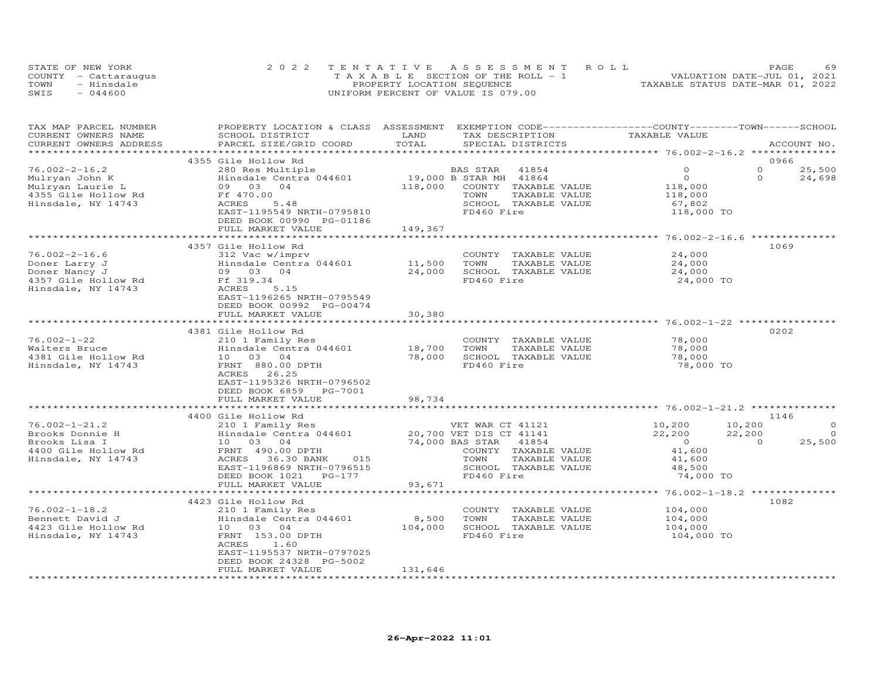|      | STATE OF NEW YORK    | 2022 TENTATIVE ASSESSMENT ROLL     | 69<br><b>PAGE</b>                |
|------|----------------------|------------------------------------|----------------------------------|
|      | COUNTY - Cattaraugus | TAXABLE SECTION OF THE ROLL - 1    | VALUATION DATE-JUL 01, 2021      |
| TOWN | - Hinsdale           | PROPERTY LOCATION SEQUENCE         | TAXABLE STATUS DATE-MAR 01, 2022 |
| SWIS | $-044600$            | UNIFORM PERCENT OF VALUE IS 079.00 |                                  |

| TAX MAP PARCEL NUMBER<br>CURRENT OWNERS NAME | PROPERTY LOCATION & CLASS ASSESSMENT EXEMPTION CODE----------------COUNTY-------TOWN------SCHOOL<br>SCHOOL DISTRICT | LAND            | TAX DESCRIPTION                                  | TAXABLE VALUE                          |                    |
|----------------------------------------------|---------------------------------------------------------------------------------------------------------------------|-----------------|--------------------------------------------------|----------------------------------------|--------------------|
| CURRENT OWNERS ADDRESS                       | PARCEL SIZE/GRID COORD                                                                                              | TOTAL           | SPECIAL DISTRICTS                                |                                        | ACCOUNT NO.        |
|                                              | 4355 Gile Hollow Rd                                                                                                 |                 |                                                  |                                        | 0966               |
|                                              |                                                                                                                     |                 |                                                  | $\Omega$                               | $\Omega$           |
| $76.002 - 2 - 16.2$                          | 280 Res Multiple                                                                                                    |                 | BAS STAR 41854                                   |                                        | 25,500<br>$\Omega$ |
| Mulryan John K                               | Hinsdale Centra 044601                                                                                              |                 | 19,000 B STAR MH 41864<br>118.000 COUNTY TAXABLI | $\overline{O}$                         | 24,698             |
| Mulryan Laurie L                             | 09 03 04                                                                                                            | 118,000         | COUNTY TAXABLE VALUE                             | 118,000                                |                    |
| 4355 Gile Hollow Rd                          | Ff 470.00                                                                                                           |                 | TOWN<br>TAXABLE VALUE                            | 118,000                                |                    |
| Hinsdale, NY 14743                           | ACRES<br>5.48                                                                                                       |                 | SCHOOL TAXABLE VALUE                             | 67,802                                 |                    |
|                                              | EAST-1195549 NRTH-0795810                                                                                           |                 | FD460 Fire                                       | 118,000 TO                             |                    |
|                                              | DEED BOOK 00990 PG-01186                                                                                            |                 |                                                  |                                        |                    |
|                                              | FULL MARKET VALUE                                                                                                   | 149,367         |                                                  |                                        |                    |
|                                              |                                                                                                                     |                 |                                                  |                                        |                    |
|                                              | 4357 Gile Hollow Rd                                                                                                 |                 |                                                  |                                        | 1069               |
| $76.002 - 2 - 16.6$                          | 312 Vac w/imprv                                                                                                     |                 | COUNTY TAXABLE VALUE                             | 24,000                                 |                    |
| Doner Larry J                                | Hinsdale Centra 044601                                                                                              | 11,500          | TOWN<br>TAXABLE VALUE                            | 24,000                                 |                    |
| Doner Nancy J                                | 09 03 04                                                                                                            | 24,000          | SCHOOL TAXABLE VALUE                             | 24,000                                 |                    |
| 4357 Gile Hollow Rd                          |                                                                                                                     |                 | FD460 Fire                                       | 24,000 TO                              |                    |
| Hinsdale, NY 14743                           | H <sub>11</sub><br>09 03<br>Ff 319.34<br>ACRES<br><sup>-T-119</sup><br>5.15                                         |                 |                                                  |                                        |                    |
|                                              | EAST-1196265 NRTH-0795549                                                                                           |                 |                                                  |                                        |                    |
|                                              | DEED BOOK 00992 PG-00474                                                                                            |                 |                                                  |                                        |                    |
|                                              | FULL MARKET VALUE                                                                                                   | 30,380          |                                                  |                                        |                    |
|                                              |                                                                                                                     |                 |                                                  |                                        |                    |
|                                              | 4381 Gile Hollow Rd                                                                                                 |                 |                                                  |                                        | 0202               |
| $76.002 - 1 - 22$                            | 210 1 Family Res                                                                                                    |                 | COUNTY TAXABLE VALUE                             | 78,000                                 |                    |
| Walters Bruce                                | Hinsdale Centra 044601                                                                                              | 18,700          | TOWN<br>TAXABLE VALUE                            | 78,000                                 |                    |
| 4381 Gile Hollow Rd                          | 10 03 04                                                                                                            | 78,000          | SCHOOL TAXABLE VALUE                             | 78,000                                 |                    |
| Hinsdale, NY 14743                           | FRNT 880.00 DPTH                                                                                                    |                 | FD460 Fire                                       | 78,000 TO                              |                    |
|                                              | ACRES 26.25                                                                                                         |                 |                                                  |                                        |                    |
|                                              | EAST-1195326 NRTH-0796502                                                                                           |                 |                                                  |                                        |                    |
|                                              | DEED BOOK 6859 PG-7001                                                                                              |                 |                                                  |                                        |                    |
|                                              | FULL MARKET VALUE                                                                                                   | 98,734          |                                                  |                                        |                    |
|                                              |                                                                                                                     |                 |                                                  |                                        |                    |
|                                              | 4400 Gile Hollow Rd                                                                                                 |                 |                                                  |                                        | 1146               |
| $76.002 - 1 - 21.2$                          |                                                                                                                     |                 |                                                  | 10,200                                 | $\circ$<br>10,200  |
|                                              | 210 1 Family Res<br>Hinsdale Centra 044601 20,700 VET DIS CT 41141                                                  |                 | VET WAR CT 41121                                 |                                        |                    |
| Brooks Donnie H                              | Hinsdale Centra 04<br>10 03 04<br>FRNT 490.00 DPTH                                                                  |                 |                                                  | 22,200                                 | 22,200<br>$\Omega$ |
| Brooks Lisa I                                |                                                                                                                     | 74,000 BAS STAR | 41854                                            | $\begin{array}{c}0\\41,600\end{array}$ | 25,500<br>$\sim$ 0 |
| 4400 Gile Hollow Rd                          |                                                                                                                     |                 | COUNTY TAXABLE VALUE                             |                                        |                    |
| Hinsdale, NY 14743                           | 015<br>ACRES 36.30 BANK                                                                                             |                 | TOWN<br>TAXABLE VALUE                            | 41,600                                 |                    |
|                                              | EAST-1196869 NRTH-0796515                                                                                           |                 | SCHOOL TAXABLE VALUE                             | 48,500                                 |                    |
|                                              | DEED BOOK 1021 PG-177                                                                                               |                 | FD460 Fire                                       | 74,000 TO                              |                    |
|                                              | FULL MARKET VALUE                                                                                                   | 93,671          |                                                  |                                        |                    |
|                                              |                                                                                                                     |                 |                                                  |                                        |                    |
|                                              | 4423 Gile Hollow Rd                                                                                                 |                 |                                                  |                                        | 1082               |
| $76.002 - 1 - 18.2$                          | 210 1 Family Res                                                                                                    |                 | COUNTY TAXABLE VALUE                             | 104,000<br>104,000                     |                    |
| Bennett David J                              | Hinsdale Centra 044601                                                                                              | 8,500           | TOWN<br>TAXABLE VALUE                            |                                        |                    |
| 4423 Gile Hollow Rd                          | 10 03 04                                                                                                            | 104,000         | SCHOOL TAXABLE VALUE                             | 104,000                                |                    |
| Hinsdale, NY 14743                           | FRNT 153.00 DPTH                                                                                                    |                 | FD460 Fire                                       | 104,000 TO                             |                    |
|                                              | ACRES<br>1.60                                                                                                       |                 |                                                  |                                        |                    |
|                                              | EAST-1195537 NRTH-0797025                                                                                           |                 |                                                  |                                        |                    |
|                                              | DEED BOOK 24328 PG-5002                                                                                             |                 |                                                  |                                        |                    |
|                                              | FULL MARKET VALUE                                                                                                   | 131,646         |                                                  |                                        |                    |
|                                              |                                                                                                                     |                 |                                                  |                                        |                    |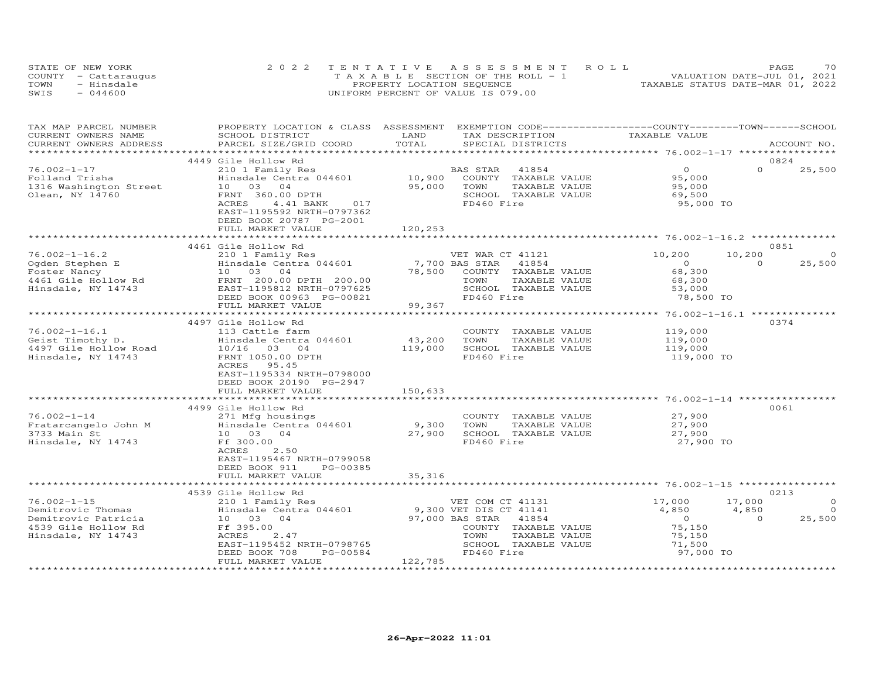| STATE OF NEW YORK    | 2022 TENTATIVE ASSESSMENT ROLL        | PAGE                             | 70 |
|----------------------|---------------------------------------|----------------------------------|----|
| COUNTY - Cattaraugus | T A X A B L E SECTION OF THE ROLL - 1 | VALUATION DATE-JUL 01, 2021      |    |
| TOWN<br>- Hinsdale   | PROPERTY LOCATION SEQUENCE            | TAXABLE STATUS DATE-MAR 01, 2022 |    |
| SWIS<br>$-044600$    | UNIFORM PERCENT OF VALUE IS 079.00    |                                  |    |

| TAX MAP PARCEL NUMBER                                                                                                                                                                       | PROPERTY LOCATION & CLASS ASSESSMENT EXEMPTION CODE----------------COUNTY-------TOWN-----SCHOOL |         |                                                     |                               |                          |
|---------------------------------------------------------------------------------------------------------------------------------------------------------------------------------------------|-------------------------------------------------------------------------------------------------|---------|-----------------------------------------------------|-------------------------------|--------------------------|
| CURRENT OWNERS NAME                                                                                                                                                                         | SCHOOL DISTRICT                                                                                 | LAND    | TAX DESCRIPTION                                     | TAXABLE VALUE                 |                          |
| CURRENT OWNERS ADDRESS                                                                                                                                                                      | PARCEL SIZE/GRID COORD                                                                          | TOTAL   | SPECIAL DISTRICTS                                   |                               | ACCOUNT NO.              |
|                                                                                                                                                                                             |                                                                                                 |         |                                                     |                               |                          |
|                                                                                                                                                                                             | 4449 Gile Hollow Rd                                                                             |         |                                                     |                               | 0824                     |
| $76.002 - 1 - 17$                                                                                                                                                                           | 210 1 Family Res                                                                                |         | BAS STAR 41854                                      | $\overline{O}$                | $\Omega$<br>25,500       |
| Folland Trisha                                                                                                                                                                              |                                                                                                 |         | COUNTY TAXABLE VALUE                                |                               |                          |
| 1316 Washington Street                                                                                                                                                                      | Hinsdale Centra 044601 10,900<br>10 03 04 95,000<br>Hinsdale Cent<br>10    03    04             |         | TOWN<br>TAXABLE VALUE                               | 95,000<br>95,000              |                          |
| Olean, NY 14760                                                                                                                                                                             | FRNT 360.00 DPTH                                                                                |         | SCHOOL TAXABLE VALUE                                | 69,500                        |                          |
|                                                                                                                                                                                             | 4.41 BANK 017<br>ACRES                                                                          |         | FD460 Fire                                          | 95,000 TO                     |                          |
|                                                                                                                                                                                             | EAST-1195592 NRTH-0797362                                                                       |         |                                                     |                               |                          |
|                                                                                                                                                                                             | DEED BOOK 20787 PG-2001                                                                         |         |                                                     |                               |                          |
|                                                                                                                                                                                             |                                                                                                 |         |                                                     |                               |                          |
|                                                                                                                                                                                             | FULL MARKET VALUE                                                                               | 120,253 |                                                     |                               |                          |
|                                                                                                                                                                                             |                                                                                                 |         |                                                     |                               |                          |
|                                                                                                                                                                                             | 4461 Gile Hollow Rd                                                                             |         |                                                     |                               | 0851                     |
| $76.002 - 1 - 16.2$                                                                                                                                                                         | 210 1 Family Res                                                                                |         | VET WAR CT 41121                                    | 10,200                        | 10,200<br>$\circ$        |
|                                                                                                                                                                                             | Hinsdale Centra 044601 7,700 BAS STAR 41854                                                     |         |                                                     | $\overline{0}$                | 25,500<br>$\Omega$       |
|                                                                                                                                                                                             |                                                                                                 | 78,500  | COUNTY TAXABLE VALUE                                | 68,300                        |                          |
|                                                                                                                                                                                             |                                                                                                 |         |                                                     | 68,300                        |                          |
| 16.002-1-16.2<br>Cgden Stephen E<br>Foster Nancy<br>4461 Gile Hollow Rd<br>Hinsdale Centra 044601<br>Foster Nancy<br>4461 Gile Hollow Rd<br>Hinsdale, NY 14743<br>EAST-1195812 NRTH-0797625 |                                                                                                 |         |                                                     |                               |                          |
|                                                                                                                                                                                             | DEED BOOK 00963 PG-00821                                                                        |         | TOWN TAXABLE VALUE<br>SCHOOL TAXABLE VALUE          | 53,000<br>53,000<br>78,500 TO |                          |
|                                                                                                                                                                                             | FULL MARKET VALUE                                                                               | 99,367  |                                                     |                               |                          |
|                                                                                                                                                                                             |                                                                                                 |         |                                                     |                               |                          |
|                                                                                                                                                                                             | 4497 Gile Hollow Rd                                                                             |         |                                                     |                               | 0374                     |
| $76.002 - 1 - 16.1$                                                                                                                                                                         | 113 Cattle farm                                                                                 |         | COUNTY TAXABLE VALUE                                | 119,000                       |                          |
|                                                                                                                                                                                             | Hinsdale Centra 044601                                                                          | 43,200  | TOWN<br>TAXABLE VALUE                               |                               |                          |
|                                                                                                                                                                                             |                                                                                                 | 119,000 | SCHOOL TAXABLE VALUE                                | 119,000<br>119,000            |                          |
|                                                                                                                                                                                             | FRNT 1050.00 DPTH                                                                               |         | FD460 Fire                                          | 119,000 TO                    |                          |
|                                                                                                                                                                                             | ACRES 95.45                                                                                     |         |                                                     |                               |                          |
|                                                                                                                                                                                             | EAST-1195334 NRTH-0798000                                                                       |         |                                                     |                               |                          |
|                                                                                                                                                                                             | DEED BOOK 20190 PG-2947                                                                         |         |                                                     |                               |                          |
|                                                                                                                                                                                             | FULL MARKET VALUE                                                                               | 150,633 |                                                     |                               |                          |
|                                                                                                                                                                                             |                                                                                                 |         |                                                     |                               |                          |
|                                                                                                                                                                                             | 4499 Gile Hollow Rd                                                                             |         |                                                     |                               | 0061                     |
| $76.002 - 1 - 14$                                                                                                                                                                           | 271 Mfg housings                                                                                |         | COUNTY TAXABLE VALUE                                |                               |                          |
|                                                                                                                                                                                             |                                                                                                 |         | TAXABLE VALUE                                       | 27,900<br>27,900              |                          |
|                                                                                                                                                                                             |                                                                                                 |         |                                                     |                               |                          |
|                                                                                                                                                                                             | Ff 300.00                                                                                       |         | SCHOOL TAXABLE VALUE<br>FD460 Fire                  | 27,900<br>27,900 TO           |                          |
| Hinsdale, NY 14743                                                                                                                                                                          |                                                                                                 |         |                                                     |                               |                          |
|                                                                                                                                                                                             | ACRES<br>2.50                                                                                   |         |                                                     |                               |                          |
|                                                                                                                                                                                             | EAST-1195467 NRTH-0799058                                                                       |         |                                                     |                               |                          |
|                                                                                                                                                                                             | DEED BOOK 911<br>PG-00385                                                                       |         |                                                     |                               |                          |
|                                                                                                                                                                                             | FULL MARKET VALUE                                                                               | 35,316  |                                                     |                               |                          |
|                                                                                                                                                                                             |                                                                                                 |         |                                                     |                               |                          |
|                                                                                                                                                                                             | 4539 Gile Hollow Rd                                                                             |         |                                                     |                               | 0213                     |
| $76.002 - 1 - 15$                                                                                                                                                                           | 210 1 Family Res                                                                                |         | VET COM CT 41131                                    | 17,000                        | 17,000<br>$\circ$        |
| Demitrovic Thomas                                                                                                                                                                           | zio i family Res<br>Hinsdale Centra 044601                                                      |         | VEI COM CI 11141<br>9,300 VET DIS CT 41141<br>11854 | 4,850                         | 4,850<br>$\overline{0}$  |
| Demitrovic Patricia<br>4539 Gile Hollow Rd Ff 395.00<br>Hinsdale, NY 14743 ACRES 2.47                                                                                                       |                                                                                                 |         |                                                     | $0$<br>75,150                 | 25,500<br>$\overline{0}$ |
|                                                                                                                                                                                             |                                                                                                 |         | COUNTY TAXABLE VALUE                                |                               |                          |
|                                                                                                                                                                                             | 2.47                                                                                            |         | TOWN<br>TAXABLE VALUE                               | 75,150                        |                          |
|                                                                                                                                                                                             | EAST-1195452 NRTH-0798765                                                                       |         | SCHOOL TAXABLE VALUE                                | 71,500                        |                          |
|                                                                                                                                                                                             | DEED BOOK 708<br>PG-00584                                                                       |         | FD460 Fire                                          | 97,000 TO                     |                          |
|                                                                                                                                                                                             | FULL MARKET VALUE                                                                               | 122,785 |                                                     |                               |                          |
|                                                                                                                                                                                             |                                                                                                 |         |                                                     |                               |                          |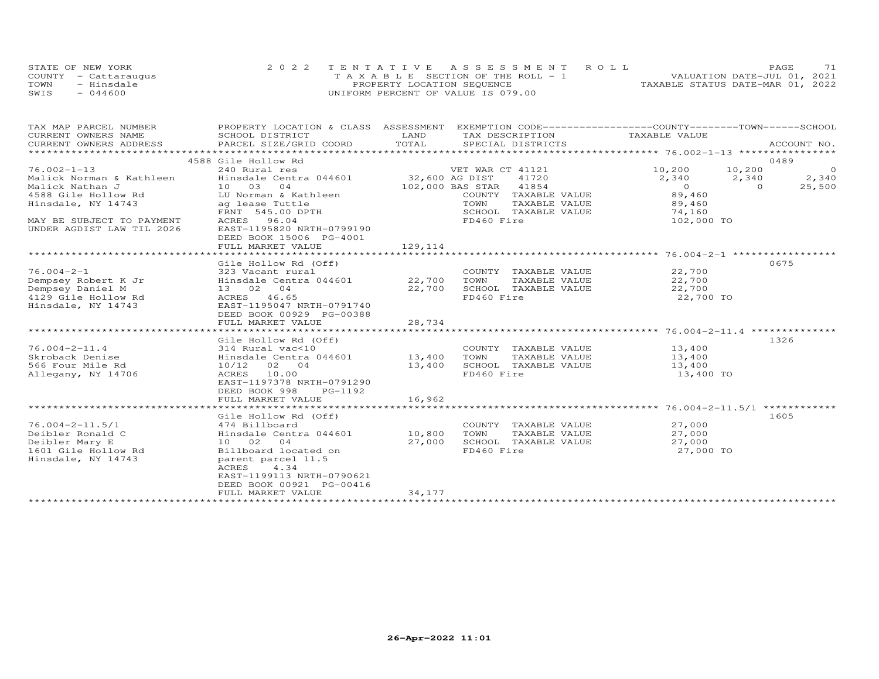|      | STATE OF NEW YORK    | 2022 TENTATIVE ASSESSMENT ROLL     | 71<br>PAGE.                      |  |
|------|----------------------|------------------------------------|----------------------------------|--|
|      | COUNTY - Cattarauqus | TAXABLE SECTION OF THE ROLL - 1    | VALUATION DATE-JUL 01, 2021      |  |
| TOWN | - Hinsdale           | PROPERTY LOCATION SEQUENCE         | TAXABLE STATUS DATE-MAR 01, 2022 |  |
| SWTS | - 044600             | UNIFORM PERCENT OF VALUE IS 079.00 |                                  |  |

| TAX MAP PARCEL NUMBER                                                                                                                     | PROPERTY LOCATION & CLASS ASSESSMENT EXEMPTION CODE----------------COUNTY-------TOWN-----SCHOOL |         |                             |                  |                        |
|-------------------------------------------------------------------------------------------------------------------------------------------|-------------------------------------------------------------------------------------------------|---------|-----------------------------|------------------|------------------------|
| CURRENT OWNERS NAME                                                                                                                       | SCHOOL DISTRICT                                                                                 | LAND    | TAX DESCRIPTION             | TAXABLE VALUE    |                        |
| .CURRENT OWNERS ADDRESS PARCEL SIZE/GRID COORD TOTAL SPECIAL DISTRICTS (ACCOUNT NO ACCOUNT NO ARCOUNT NO ARRENT<br>CURRENT OWNERS ADDRESS |                                                                                                 |         |                             |                  |                        |
|                                                                                                                                           |                                                                                                 |         |                             |                  |                        |
| 76.002-1-13                                                                                                                               | 4588 Gile Hollow Rd<br>240 Rural res                                                            |         | VET WAR CT 41121            | 10,200 10,200    | 0489<br>$\overline{0}$ |
| Malick Norman & Kathleen                                                                                                                  | Hinsdale Centra 044601                                                                          |         | 32,600 AG DIST 41720        | 2,340            | 2,340<br>2,340         |
| Malick Nathan J                                                                                                                           | 10 03 04                                                                                        |         | 102,000 BAS STAR 41854      | $\overline{0}$   | $\Omega$<br>25,500     |
| 4588 Gile Hollow Rd                                                                                                                       | LU Norman & Kathleen                                                                            |         | COUNTY TAXABLE VALUE        | 89,460           |                        |
| Hinsdale, NY 14743                                                                                                                        | ag lease Tuttle                                                                                 |         | TOWN<br>TAXABLE VALUE       | 89,460           |                        |
|                                                                                                                                           | FRNT 545.00 DPTH                                                                                |         | SCHOOL TAXABLE VALUE        | 74,160           |                        |
| MAY BE SUBJECT TO PAYMENT                                                                                                                 | ACRES 96.04                                                                                     |         | FD460 Fire                  | 102,000 TO       |                        |
| UNDER AGDIST LAW TIL 2026                                                                                                                 | EAST-1195820 NRTH-0799190                                                                       |         |                             |                  |                        |
|                                                                                                                                           | DEED BOOK 15006 PG-4001                                                                         |         |                             |                  |                        |
|                                                                                                                                           | FULL MARKET VALUE                                                                               | 129,114 |                             |                  |                        |
|                                                                                                                                           |                                                                                                 |         |                             |                  |                        |
|                                                                                                                                           | Gile Hollow Rd (Off)                                                                            |         |                             |                  | 0675                   |
| $76.004 - 2 - 1$                                                                                                                          | 323 Vacant rural                                                                                |         | COUNTY TAXABLE VALUE        | 22,700           |                        |
| Dempsey Robert K Jr                                                                                                                       | Hinsdale Centra 044601 22,700 TOWN                                                              |         | TAXABLE VALUE               | 22,700<br>22.700 |                        |
| Dempsey Daniel M                                                                                                                          | $13 \t 02 \t 04$<br>$13 \t 02 \t 04$                                                            | 22,700  | SCHOOL TAXABLE VALUE        | 22,700           |                        |
| 4129 Gile Hollow Rd                                                                                                                       | ACRES 46.65                                                                                     |         | FD460 Fire                  | 22,700 TO        |                        |
| Hinsdale, NY 14743                                                                                                                        | EAST-1195047 NRTH-0791740                                                                       |         |                             |                  |                        |
|                                                                                                                                           | DEED BOOK 00929 PG-00388                                                                        |         |                             |                  |                        |
|                                                                                                                                           | FULL MARKET VALUE                                                                               | 28,734  |                             |                  |                        |
|                                                                                                                                           | Gile Hollow Rd (Off)                                                                            |         |                             |                  | 1326                   |
| $76.004 - 2 - 11.4$                                                                                                                       | 314 Rural vac<10                                                                                |         | COUNTY TAXABLE VALUE 13,400 |                  |                        |
| Skroback Denise                                                                                                                           |                                                                                                 |         | TOWN<br>TAXABLE VALUE       |                  |                        |
| 566 Four Mile Rd                                                                                                                          | Hinsdale Centra 044601 13,400<br>10/12 02 04                                                    | 13,400  | SCHOOL TAXABLE VALUE        | 13,400<br>13,400 |                        |
| Allegany, NY 14706                                                                                                                        | ACRES 10.00                                                                                     |         | FD460 Fire                  | 13,400 TO        |                        |
|                                                                                                                                           | EAST-1197378 NRTH-0791290                                                                       |         |                             |                  |                        |
|                                                                                                                                           | DEED BOOK 998<br>PG-1192                                                                        |         |                             |                  |                        |
|                                                                                                                                           |                                                                                                 |         |                             |                  |                        |
|                                                                                                                                           |                                                                                                 |         |                             |                  |                        |
|                                                                                                                                           | Gile Hollow Rd (Off)                                                                            |         |                             |                  | 1605                   |
| $76.004 - 2 - 11.5/1$                                                                                                                     | 474 Billboard                                                                                   |         | COUNTY TAXABLE VALUE        | 27,000           |                        |
| Deibler Ronald C                                                                                                                          | Hinsdale Centra 044601 10,800                                                                   |         | TOWN<br>TAXABLE VALUE       | 27,000           |                        |
| Deibler Mary E                                                                                                                            | 10 02 04                                                                                        | 27,000  | SCHOOL TAXABLE VALUE        | 27,000           |                        |
| 1601 Gile Hollow Rd                                                                                                                       | Billboard located on                                                                            |         | FD460 Fire                  | 27,000 TO        |                        |
| Hinsdale, NY 14743                                                                                                                        | parent parcel 11.5                                                                              |         |                             |                  |                        |
|                                                                                                                                           | 4.34<br>ACRES                                                                                   |         |                             |                  |                        |
|                                                                                                                                           | EAST-1199113 NRTH-0790621                                                                       |         |                             |                  |                        |
|                                                                                                                                           | DEED BOOK 00921 PG-00416                                                                        |         |                             |                  |                        |
|                                                                                                                                           | FULL MARKET VALUE                                                                               | 34,177  |                             |                  |                        |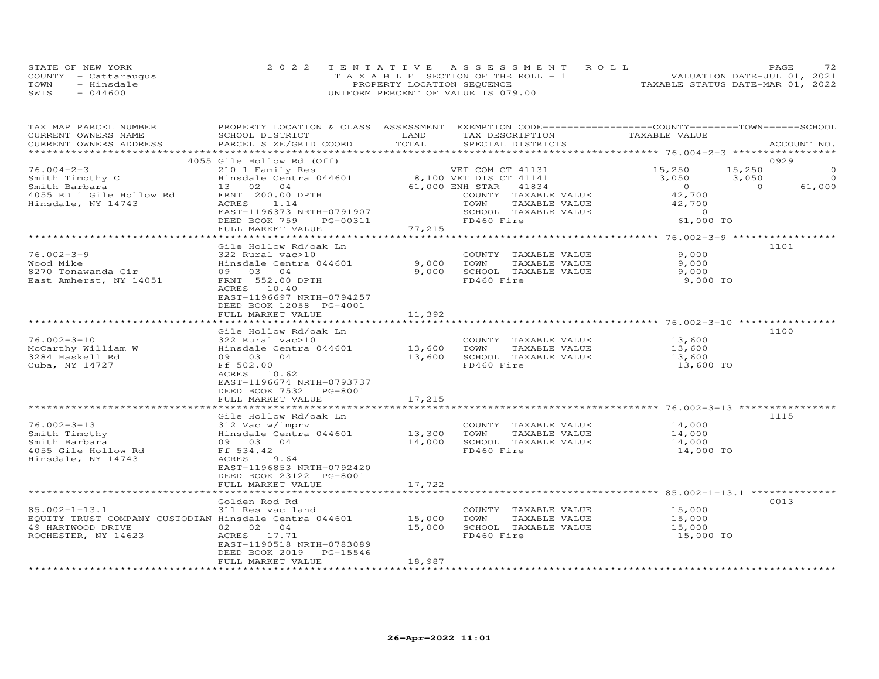|      | STATE OF NEW YORK    | 2022 TENTATIVE ASSESSMENT ROLL        | 72<br>PAGE                       |
|------|----------------------|---------------------------------------|----------------------------------|
|      | COUNTY - Cattaraugus | T A X A B L E SECTION OF THE ROLL - 1 | VALUATION DATE-JUL 01, 2021      |
| TOWN | - Hinsdale           | PROPERTY LOCATION SEQUENCE            | TAXABLE STATUS DATE-MAR 01, 2022 |
| SWIS | $-044600$            | UNIFORM PERCENT OF VALUE IS 079.00    |                                  |

| SCHOOL DISTRICT<br>LAND<br>TAX DESCRIPTION<br>TAXABLE VALUE<br>TOTAL<br>PARCEL SIZE/GRID COORD<br>SPECIAL DISTRICTS<br>ACCOUNT NO.<br>0929<br>4055 Gile Hollow Rd (Off)<br>$76.004 - 2 - 3$<br>15,250<br>$\circ$<br>210 1 Family Res<br>VET COM CT 41131<br>15,250<br>Smith Timothy C<br>Hinsdale Centra 044601<br>8,100 VET DIS CT 41141<br>3,050<br>3,050<br>$\circ$<br>$\overline{0}$<br>$\Omega$<br>61,000<br>Smith Barbara<br>13 02 04<br>61,000 ENH STAR<br>41834<br>FRNT 200.00 DPTH<br>42,700<br>4055 RD 1 Gile Hollow Rd<br>COUNTY TAXABLE VALUE<br>Hinsdale, NY 14743<br>ACRES<br>1.14<br>TOWN<br>TAXABLE VALUE<br>42,700<br>EAST-1196373 NRTH-0791907<br>SCHOOL TAXABLE VALUE<br>$\Omega$<br>61,000 TO<br>DEED BOOK 759<br>FD460 Fire<br>PG-00311<br>FULL MARKET VALUE<br>77,215<br>**********************<br>Gile Hollow Rd/oak Ln<br>1101<br>$76.002 - 3 - 9$<br>9,000<br>322 Rural vac>10<br>COUNTY TAXABLE VALUE<br>9,000<br>TAXABLE VALUE<br>Wood Mike<br>Hinsdale Centra 044601<br>TOWN<br>9,000<br>09 03 04<br>9,000<br>SCHOOL TAXABLE VALUE<br>8270 Tonawanda Cir<br>9,000<br>FRNT 552.00 DPTH<br>FD460 Fire<br>East Amherst, NY 14051<br>9,000 TO<br>ACRES 10.40<br>EAST-1196697 NRTH-0794257<br>DEED BOOK 12058 PG-4001<br>FULL MARKET VALUE<br>11,392<br>***********************<br>Gile Hollow Rd/oak Ln<br>1100<br>$76.002 - 3 - 10$<br>COUNTY TAXABLE VALUE<br>322 Rural vac>10<br>13,600<br>McCarthy William W<br>Hinsdale Centra 044601<br>13,600<br>TOWN<br>TAXABLE VALUE<br>13,600<br>3284 Haskell Rd<br>13,600<br>SCHOOL TAXABLE VALUE<br>09 03 04<br>13,600<br>Cuba, NY 14727<br>FD460 Fire<br>Ff 502.00<br>13,600 TO<br>ACRES 10.62<br>EAST-1196674 NRTH-0793737<br>DEED BOOK 7532<br>PG-8001<br>FULL MARKET VALUE<br>17,215<br>********************<br>1115<br>Gile Hollow Rd/oak Ln<br>$76.002 - 3 - 13$<br>COUNTY TAXABLE VALUE<br>14,000<br>312 Vac w/imprv<br>Smith Timothy<br>Hinsdale Centra 044601<br>13,300<br>TOWN<br>TAXABLE VALUE<br>14,000<br>14,000<br>SCHOOL TAXABLE VALUE<br>Smith Barbara<br>09 03 04<br>14,000<br>Ff 534.42<br>FD460 Fire<br>4055 Gile Hollow Rd<br>14,000 TO<br>Hinsdale, NY 14743<br>ACRES<br>9.64<br>EAST-1196853 NRTH-0792420<br>DEED BOOK 23122 PG-8001<br>17,722<br>FULL MARKET VALUE<br>*******************<br>******************************* 85.002-1-13.1 **<br>0013<br>Golden Rod Rd<br>COUNTY TAXABLE VALUE<br>311 Res vac land<br>15,000<br>EQUITY TRUST COMPANY CUSTODIAN Hinsdale Centra 044601<br>15,000<br>TAXABLE VALUE<br>TOWN<br>15,000<br>02 02 04<br>15,000<br>SCHOOL TAXABLE VALUE<br>15,000<br>ACRES 17.71<br>FD460 Fire<br>15,000 TO<br>EAST-1190518 NRTH-0783089<br>DEED BOOK 2019<br>PG-15546<br>FULL MARKET VALUE<br>18,987 | TAX MAP PARCEL NUMBER  |  | PROPERTY LOCATION & CLASS ASSESSMENT EXEMPTION CODE-----------------COUNTY-------TOWN------SCHOOL |  |  |
|---------------------------------------------------------------------------------------------------------------------------------------------------------------------------------------------------------------------------------------------------------------------------------------------------------------------------------------------------------------------------------------------------------------------------------------------------------------------------------------------------------------------------------------------------------------------------------------------------------------------------------------------------------------------------------------------------------------------------------------------------------------------------------------------------------------------------------------------------------------------------------------------------------------------------------------------------------------------------------------------------------------------------------------------------------------------------------------------------------------------------------------------------------------------------------------------------------------------------------------------------------------------------------------------------------------------------------------------------------------------------------------------------------------------------------------------------------------------------------------------------------------------------------------------------------------------------------------------------------------------------------------------------------------------------------------------------------------------------------------------------------------------------------------------------------------------------------------------------------------------------------------------------------------------------------------------------------------------------------------------------------------------------------------------------------------------------------------------------------------------------------------------------------------------------------------------------------------------------------------------------------------------------------------------------------------------------------------------------------------------------------------------------------------------------------------------------------------------------------------------------------------------------------------------------------------------------------------------------------------------------------------------------------------------------------------------------------------------------|------------------------|--|---------------------------------------------------------------------------------------------------|--|--|
|                                                                                                                                                                                                                                                                                                                                                                                                                                                                                                                                                                                                                                                                                                                                                                                                                                                                                                                                                                                                                                                                                                                                                                                                                                                                                                                                                                                                                                                                                                                                                                                                                                                                                                                                                                                                                                                                                                                                                                                                                                                                                                                                                                                                                                                                                                                                                                                                                                                                                                                                                                                                                                                                                                                           | CURRENT OWNERS NAME    |  |                                                                                                   |  |  |
|                                                                                                                                                                                                                                                                                                                                                                                                                                                                                                                                                                                                                                                                                                                                                                                                                                                                                                                                                                                                                                                                                                                                                                                                                                                                                                                                                                                                                                                                                                                                                                                                                                                                                                                                                                                                                                                                                                                                                                                                                                                                                                                                                                                                                                                                                                                                                                                                                                                                                                                                                                                                                                                                                                                           | CURRENT OWNERS ADDRESS |  |                                                                                                   |  |  |
|                                                                                                                                                                                                                                                                                                                                                                                                                                                                                                                                                                                                                                                                                                                                                                                                                                                                                                                                                                                                                                                                                                                                                                                                                                                                                                                                                                                                                                                                                                                                                                                                                                                                                                                                                                                                                                                                                                                                                                                                                                                                                                                                                                                                                                                                                                                                                                                                                                                                                                                                                                                                                                                                                                                           |                        |  |                                                                                                   |  |  |
|                                                                                                                                                                                                                                                                                                                                                                                                                                                                                                                                                                                                                                                                                                                                                                                                                                                                                                                                                                                                                                                                                                                                                                                                                                                                                                                                                                                                                                                                                                                                                                                                                                                                                                                                                                                                                                                                                                                                                                                                                                                                                                                                                                                                                                                                                                                                                                                                                                                                                                                                                                                                                                                                                                                           |                        |  |                                                                                                   |  |  |
|                                                                                                                                                                                                                                                                                                                                                                                                                                                                                                                                                                                                                                                                                                                                                                                                                                                                                                                                                                                                                                                                                                                                                                                                                                                                                                                                                                                                                                                                                                                                                                                                                                                                                                                                                                                                                                                                                                                                                                                                                                                                                                                                                                                                                                                                                                                                                                                                                                                                                                                                                                                                                                                                                                                           |                        |  |                                                                                                   |  |  |
|                                                                                                                                                                                                                                                                                                                                                                                                                                                                                                                                                                                                                                                                                                                                                                                                                                                                                                                                                                                                                                                                                                                                                                                                                                                                                                                                                                                                                                                                                                                                                                                                                                                                                                                                                                                                                                                                                                                                                                                                                                                                                                                                                                                                                                                                                                                                                                                                                                                                                                                                                                                                                                                                                                                           |                        |  |                                                                                                   |  |  |
|                                                                                                                                                                                                                                                                                                                                                                                                                                                                                                                                                                                                                                                                                                                                                                                                                                                                                                                                                                                                                                                                                                                                                                                                                                                                                                                                                                                                                                                                                                                                                                                                                                                                                                                                                                                                                                                                                                                                                                                                                                                                                                                                                                                                                                                                                                                                                                                                                                                                                                                                                                                                                                                                                                                           |                        |  |                                                                                                   |  |  |
|                                                                                                                                                                                                                                                                                                                                                                                                                                                                                                                                                                                                                                                                                                                                                                                                                                                                                                                                                                                                                                                                                                                                                                                                                                                                                                                                                                                                                                                                                                                                                                                                                                                                                                                                                                                                                                                                                                                                                                                                                                                                                                                                                                                                                                                                                                                                                                                                                                                                                                                                                                                                                                                                                                                           |                        |  |                                                                                                   |  |  |
|                                                                                                                                                                                                                                                                                                                                                                                                                                                                                                                                                                                                                                                                                                                                                                                                                                                                                                                                                                                                                                                                                                                                                                                                                                                                                                                                                                                                                                                                                                                                                                                                                                                                                                                                                                                                                                                                                                                                                                                                                                                                                                                                                                                                                                                                                                                                                                                                                                                                                                                                                                                                                                                                                                                           |                        |  |                                                                                                   |  |  |
|                                                                                                                                                                                                                                                                                                                                                                                                                                                                                                                                                                                                                                                                                                                                                                                                                                                                                                                                                                                                                                                                                                                                                                                                                                                                                                                                                                                                                                                                                                                                                                                                                                                                                                                                                                                                                                                                                                                                                                                                                                                                                                                                                                                                                                                                                                                                                                                                                                                                                                                                                                                                                                                                                                                           |                        |  |                                                                                                   |  |  |
|                                                                                                                                                                                                                                                                                                                                                                                                                                                                                                                                                                                                                                                                                                                                                                                                                                                                                                                                                                                                                                                                                                                                                                                                                                                                                                                                                                                                                                                                                                                                                                                                                                                                                                                                                                                                                                                                                                                                                                                                                                                                                                                                                                                                                                                                                                                                                                                                                                                                                                                                                                                                                                                                                                                           |                        |  |                                                                                                   |  |  |
|                                                                                                                                                                                                                                                                                                                                                                                                                                                                                                                                                                                                                                                                                                                                                                                                                                                                                                                                                                                                                                                                                                                                                                                                                                                                                                                                                                                                                                                                                                                                                                                                                                                                                                                                                                                                                                                                                                                                                                                                                                                                                                                                                                                                                                                                                                                                                                                                                                                                                                                                                                                                                                                                                                                           |                        |  |                                                                                                   |  |  |
|                                                                                                                                                                                                                                                                                                                                                                                                                                                                                                                                                                                                                                                                                                                                                                                                                                                                                                                                                                                                                                                                                                                                                                                                                                                                                                                                                                                                                                                                                                                                                                                                                                                                                                                                                                                                                                                                                                                                                                                                                                                                                                                                                                                                                                                                                                                                                                                                                                                                                                                                                                                                                                                                                                                           |                        |  |                                                                                                   |  |  |
|                                                                                                                                                                                                                                                                                                                                                                                                                                                                                                                                                                                                                                                                                                                                                                                                                                                                                                                                                                                                                                                                                                                                                                                                                                                                                                                                                                                                                                                                                                                                                                                                                                                                                                                                                                                                                                                                                                                                                                                                                                                                                                                                                                                                                                                                                                                                                                                                                                                                                                                                                                                                                                                                                                                           |                        |  |                                                                                                   |  |  |
|                                                                                                                                                                                                                                                                                                                                                                                                                                                                                                                                                                                                                                                                                                                                                                                                                                                                                                                                                                                                                                                                                                                                                                                                                                                                                                                                                                                                                                                                                                                                                                                                                                                                                                                                                                                                                                                                                                                                                                                                                                                                                                                                                                                                                                                                                                                                                                                                                                                                                                                                                                                                                                                                                                                           |                        |  |                                                                                                   |  |  |
|                                                                                                                                                                                                                                                                                                                                                                                                                                                                                                                                                                                                                                                                                                                                                                                                                                                                                                                                                                                                                                                                                                                                                                                                                                                                                                                                                                                                                                                                                                                                                                                                                                                                                                                                                                                                                                                                                                                                                                                                                                                                                                                                                                                                                                                                                                                                                                                                                                                                                                                                                                                                                                                                                                                           |                        |  |                                                                                                   |  |  |
|                                                                                                                                                                                                                                                                                                                                                                                                                                                                                                                                                                                                                                                                                                                                                                                                                                                                                                                                                                                                                                                                                                                                                                                                                                                                                                                                                                                                                                                                                                                                                                                                                                                                                                                                                                                                                                                                                                                                                                                                                                                                                                                                                                                                                                                                                                                                                                                                                                                                                                                                                                                                                                                                                                                           |                        |  |                                                                                                   |  |  |
|                                                                                                                                                                                                                                                                                                                                                                                                                                                                                                                                                                                                                                                                                                                                                                                                                                                                                                                                                                                                                                                                                                                                                                                                                                                                                                                                                                                                                                                                                                                                                                                                                                                                                                                                                                                                                                                                                                                                                                                                                                                                                                                                                                                                                                                                                                                                                                                                                                                                                                                                                                                                                                                                                                                           |                        |  |                                                                                                   |  |  |
|                                                                                                                                                                                                                                                                                                                                                                                                                                                                                                                                                                                                                                                                                                                                                                                                                                                                                                                                                                                                                                                                                                                                                                                                                                                                                                                                                                                                                                                                                                                                                                                                                                                                                                                                                                                                                                                                                                                                                                                                                                                                                                                                                                                                                                                                                                                                                                                                                                                                                                                                                                                                                                                                                                                           |                        |  |                                                                                                   |  |  |
|                                                                                                                                                                                                                                                                                                                                                                                                                                                                                                                                                                                                                                                                                                                                                                                                                                                                                                                                                                                                                                                                                                                                                                                                                                                                                                                                                                                                                                                                                                                                                                                                                                                                                                                                                                                                                                                                                                                                                                                                                                                                                                                                                                                                                                                                                                                                                                                                                                                                                                                                                                                                                                                                                                                           |                        |  |                                                                                                   |  |  |
|                                                                                                                                                                                                                                                                                                                                                                                                                                                                                                                                                                                                                                                                                                                                                                                                                                                                                                                                                                                                                                                                                                                                                                                                                                                                                                                                                                                                                                                                                                                                                                                                                                                                                                                                                                                                                                                                                                                                                                                                                                                                                                                                                                                                                                                                                                                                                                                                                                                                                                                                                                                                                                                                                                                           |                        |  |                                                                                                   |  |  |
|                                                                                                                                                                                                                                                                                                                                                                                                                                                                                                                                                                                                                                                                                                                                                                                                                                                                                                                                                                                                                                                                                                                                                                                                                                                                                                                                                                                                                                                                                                                                                                                                                                                                                                                                                                                                                                                                                                                                                                                                                                                                                                                                                                                                                                                                                                                                                                                                                                                                                                                                                                                                                                                                                                                           |                        |  |                                                                                                   |  |  |
|                                                                                                                                                                                                                                                                                                                                                                                                                                                                                                                                                                                                                                                                                                                                                                                                                                                                                                                                                                                                                                                                                                                                                                                                                                                                                                                                                                                                                                                                                                                                                                                                                                                                                                                                                                                                                                                                                                                                                                                                                                                                                                                                                                                                                                                                                                                                                                                                                                                                                                                                                                                                                                                                                                                           |                        |  |                                                                                                   |  |  |
|                                                                                                                                                                                                                                                                                                                                                                                                                                                                                                                                                                                                                                                                                                                                                                                                                                                                                                                                                                                                                                                                                                                                                                                                                                                                                                                                                                                                                                                                                                                                                                                                                                                                                                                                                                                                                                                                                                                                                                                                                                                                                                                                                                                                                                                                                                                                                                                                                                                                                                                                                                                                                                                                                                                           |                        |  |                                                                                                   |  |  |
|                                                                                                                                                                                                                                                                                                                                                                                                                                                                                                                                                                                                                                                                                                                                                                                                                                                                                                                                                                                                                                                                                                                                                                                                                                                                                                                                                                                                                                                                                                                                                                                                                                                                                                                                                                                                                                                                                                                                                                                                                                                                                                                                                                                                                                                                                                                                                                                                                                                                                                                                                                                                                                                                                                                           |                        |  |                                                                                                   |  |  |
|                                                                                                                                                                                                                                                                                                                                                                                                                                                                                                                                                                                                                                                                                                                                                                                                                                                                                                                                                                                                                                                                                                                                                                                                                                                                                                                                                                                                                                                                                                                                                                                                                                                                                                                                                                                                                                                                                                                                                                                                                                                                                                                                                                                                                                                                                                                                                                                                                                                                                                                                                                                                                                                                                                                           |                        |  |                                                                                                   |  |  |
|                                                                                                                                                                                                                                                                                                                                                                                                                                                                                                                                                                                                                                                                                                                                                                                                                                                                                                                                                                                                                                                                                                                                                                                                                                                                                                                                                                                                                                                                                                                                                                                                                                                                                                                                                                                                                                                                                                                                                                                                                                                                                                                                                                                                                                                                                                                                                                                                                                                                                                                                                                                                                                                                                                                           |                        |  |                                                                                                   |  |  |
|                                                                                                                                                                                                                                                                                                                                                                                                                                                                                                                                                                                                                                                                                                                                                                                                                                                                                                                                                                                                                                                                                                                                                                                                                                                                                                                                                                                                                                                                                                                                                                                                                                                                                                                                                                                                                                                                                                                                                                                                                                                                                                                                                                                                                                                                                                                                                                                                                                                                                                                                                                                                                                                                                                                           |                        |  |                                                                                                   |  |  |
|                                                                                                                                                                                                                                                                                                                                                                                                                                                                                                                                                                                                                                                                                                                                                                                                                                                                                                                                                                                                                                                                                                                                                                                                                                                                                                                                                                                                                                                                                                                                                                                                                                                                                                                                                                                                                                                                                                                                                                                                                                                                                                                                                                                                                                                                                                                                                                                                                                                                                                                                                                                                                                                                                                                           |                        |  |                                                                                                   |  |  |
|                                                                                                                                                                                                                                                                                                                                                                                                                                                                                                                                                                                                                                                                                                                                                                                                                                                                                                                                                                                                                                                                                                                                                                                                                                                                                                                                                                                                                                                                                                                                                                                                                                                                                                                                                                                                                                                                                                                                                                                                                                                                                                                                                                                                                                                                                                                                                                                                                                                                                                                                                                                                                                                                                                                           |                        |  |                                                                                                   |  |  |
|                                                                                                                                                                                                                                                                                                                                                                                                                                                                                                                                                                                                                                                                                                                                                                                                                                                                                                                                                                                                                                                                                                                                                                                                                                                                                                                                                                                                                                                                                                                                                                                                                                                                                                                                                                                                                                                                                                                                                                                                                                                                                                                                                                                                                                                                                                                                                                                                                                                                                                                                                                                                                                                                                                                           |                        |  |                                                                                                   |  |  |
|                                                                                                                                                                                                                                                                                                                                                                                                                                                                                                                                                                                                                                                                                                                                                                                                                                                                                                                                                                                                                                                                                                                                                                                                                                                                                                                                                                                                                                                                                                                                                                                                                                                                                                                                                                                                                                                                                                                                                                                                                                                                                                                                                                                                                                                                                                                                                                                                                                                                                                                                                                                                                                                                                                                           |                        |  |                                                                                                   |  |  |
|                                                                                                                                                                                                                                                                                                                                                                                                                                                                                                                                                                                                                                                                                                                                                                                                                                                                                                                                                                                                                                                                                                                                                                                                                                                                                                                                                                                                                                                                                                                                                                                                                                                                                                                                                                                                                                                                                                                                                                                                                                                                                                                                                                                                                                                                                                                                                                                                                                                                                                                                                                                                                                                                                                                           |                        |  |                                                                                                   |  |  |
|                                                                                                                                                                                                                                                                                                                                                                                                                                                                                                                                                                                                                                                                                                                                                                                                                                                                                                                                                                                                                                                                                                                                                                                                                                                                                                                                                                                                                                                                                                                                                                                                                                                                                                                                                                                                                                                                                                                                                                                                                                                                                                                                                                                                                                                                                                                                                                                                                                                                                                                                                                                                                                                                                                                           |                        |  |                                                                                                   |  |  |
|                                                                                                                                                                                                                                                                                                                                                                                                                                                                                                                                                                                                                                                                                                                                                                                                                                                                                                                                                                                                                                                                                                                                                                                                                                                                                                                                                                                                                                                                                                                                                                                                                                                                                                                                                                                                                                                                                                                                                                                                                                                                                                                                                                                                                                                                                                                                                                                                                                                                                                                                                                                                                                                                                                                           |                        |  |                                                                                                   |  |  |
|                                                                                                                                                                                                                                                                                                                                                                                                                                                                                                                                                                                                                                                                                                                                                                                                                                                                                                                                                                                                                                                                                                                                                                                                                                                                                                                                                                                                                                                                                                                                                                                                                                                                                                                                                                                                                                                                                                                                                                                                                                                                                                                                                                                                                                                                                                                                                                                                                                                                                                                                                                                                                                                                                                                           |                        |  |                                                                                                   |  |  |
|                                                                                                                                                                                                                                                                                                                                                                                                                                                                                                                                                                                                                                                                                                                                                                                                                                                                                                                                                                                                                                                                                                                                                                                                                                                                                                                                                                                                                                                                                                                                                                                                                                                                                                                                                                                                                                                                                                                                                                                                                                                                                                                                                                                                                                                                                                                                                                                                                                                                                                                                                                                                                                                                                                                           |                        |  |                                                                                                   |  |  |
|                                                                                                                                                                                                                                                                                                                                                                                                                                                                                                                                                                                                                                                                                                                                                                                                                                                                                                                                                                                                                                                                                                                                                                                                                                                                                                                                                                                                                                                                                                                                                                                                                                                                                                                                                                                                                                                                                                                                                                                                                                                                                                                                                                                                                                                                                                                                                                                                                                                                                                                                                                                                                                                                                                                           |                        |  |                                                                                                   |  |  |
|                                                                                                                                                                                                                                                                                                                                                                                                                                                                                                                                                                                                                                                                                                                                                                                                                                                                                                                                                                                                                                                                                                                                                                                                                                                                                                                                                                                                                                                                                                                                                                                                                                                                                                                                                                                                                                                                                                                                                                                                                                                                                                                                                                                                                                                                                                                                                                                                                                                                                                                                                                                                                                                                                                                           |                        |  |                                                                                                   |  |  |
|                                                                                                                                                                                                                                                                                                                                                                                                                                                                                                                                                                                                                                                                                                                                                                                                                                                                                                                                                                                                                                                                                                                                                                                                                                                                                                                                                                                                                                                                                                                                                                                                                                                                                                                                                                                                                                                                                                                                                                                                                                                                                                                                                                                                                                                                                                                                                                                                                                                                                                                                                                                                                                                                                                                           |                        |  |                                                                                                   |  |  |
|                                                                                                                                                                                                                                                                                                                                                                                                                                                                                                                                                                                                                                                                                                                                                                                                                                                                                                                                                                                                                                                                                                                                                                                                                                                                                                                                                                                                                                                                                                                                                                                                                                                                                                                                                                                                                                                                                                                                                                                                                                                                                                                                                                                                                                                                                                                                                                                                                                                                                                                                                                                                                                                                                                                           |                        |  |                                                                                                   |  |  |
|                                                                                                                                                                                                                                                                                                                                                                                                                                                                                                                                                                                                                                                                                                                                                                                                                                                                                                                                                                                                                                                                                                                                                                                                                                                                                                                                                                                                                                                                                                                                                                                                                                                                                                                                                                                                                                                                                                                                                                                                                                                                                                                                                                                                                                                                                                                                                                                                                                                                                                                                                                                                                                                                                                                           |                        |  |                                                                                                   |  |  |
|                                                                                                                                                                                                                                                                                                                                                                                                                                                                                                                                                                                                                                                                                                                                                                                                                                                                                                                                                                                                                                                                                                                                                                                                                                                                                                                                                                                                                                                                                                                                                                                                                                                                                                                                                                                                                                                                                                                                                                                                                                                                                                                                                                                                                                                                                                                                                                                                                                                                                                                                                                                                                                                                                                                           | $85.002 - 1 - 13.1$    |  |                                                                                                   |  |  |
|                                                                                                                                                                                                                                                                                                                                                                                                                                                                                                                                                                                                                                                                                                                                                                                                                                                                                                                                                                                                                                                                                                                                                                                                                                                                                                                                                                                                                                                                                                                                                                                                                                                                                                                                                                                                                                                                                                                                                                                                                                                                                                                                                                                                                                                                                                                                                                                                                                                                                                                                                                                                                                                                                                                           |                        |  |                                                                                                   |  |  |
|                                                                                                                                                                                                                                                                                                                                                                                                                                                                                                                                                                                                                                                                                                                                                                                                                                                                                                                                                                                                                                                                                                                                                                                                                                                                                                                                                                                                                                                                                                                                                                                                                                                                                                                                                                                                                                                                                                                                                                                                                                                                                                                                                                                                                                                                                                                                                                                                                                                                                                                                                                                                                                                                                                                           | 49 HARTWOOD DRIVE      |  |                                                                                                   |  |  |
|                                                                                                                                                                                                                                                                                                                                                                                                                                                                                                                                                                                                                                                                                                                                                                                                                                                                                                                                                                                                                                                                                                                                                                                                                                                                                                                                                                                                                                                                                                                                                                                                                                                                                                                                                                                                                                                                                                                                                                                                                                                                                                                                                                                                                                                                                                                                                                                                                                                                                                                                                                                                                                                                                                                           | ROCHESTER, NY 14623    |  |                                                                                                   |  |  |
|                                                                                                                                                                                                                                                                                                                                                                                                                                                                                                                                                                                                                                                                                                                                                                                                                                                                                                                                                                                                                                                                                                                                                                                                                                                                                                                                                                                                                                                                                                                                                                                                                                                                                                                                                                                                                                                                                                                                                                                                                                                                                                                                                                                                                                                                                                                                                                                                                                                                                                                                                                                                                                                                                                                           |                        |  |                                                                                                   |  |  |
|                                                                                                                                                                                                                                                                                                                                                                                                                                                                                                                                                                                                                                                                                                                                                                                                                                                                                                                                                                                                                                                                                                                                                                                                                                                                                                                                                                                                                                                                                                                                                                                                                                                                                                                                                                                                                                                                                                                                                                                                                                                                                                                                                                                                                                                                                                                                                                                                                                                                                                                                                                                                                                                                                                                           |                        |  |                                                                                                   |  |  |
|                                                                                                                                                                                                                                                                                                                                                                                                                                                                                                                                                                                                                                                                                                                                                                                                                                                                                                                                                                                                                                                                                                                                                                                                                                                                                                                                                                                                                                                                                                                                                                                                                                                                                                                                                                                                                                                                                                                                                                                                                                                                                                                                                                                                                                                                                                                                                                                                                                                                                                                                                                                                                                                                                                                           |                        |  |                                                                                                   |  |  |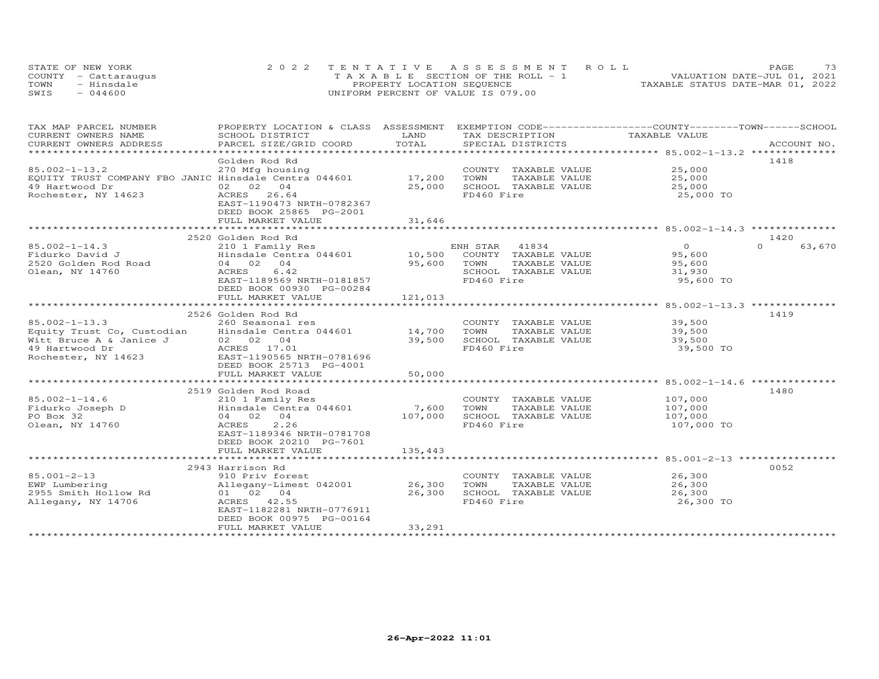| STATE OF NEW YORK    |            | 2022 TENTATIVE ASSESSMENT ROLL        |  |  |                                  | PAGE | 73 |
|----------------------|------------|---------------------------------------|--|--|----------------------------------|------|----|
| COUNTY - Cattaraugus |            | T A X A B L E SECTION OF THE ROLL - 1 |  |  | VALUATION DATE-JUL 01, 2021      |      |    |
| TOWN                 | - Hinsdale | PROPERTY LOCATION SEQUENCE            |  |  | TAXABLE STATUS DATE-MAR 01, 2022 |      |    |
| SWIS                 | $-044600$  | UNIFORM PERCENT OF VALUE IS 079.00    |  |  |                                  |      |    |

| TAX MAP PARCEL NUMBER                                 | PROPERTY LOCATION & CLASS ASSESSMENT EXEMPTION CODE-----------------COUNTY-------TOWN------SCHOOL |              |                       |                |                    |
|-------------------------------------------------------|---------------------------------------------------------------------------------------------------|--------------|-----------------------|----------------|--------------------|
| CURRENT OWNERS NAME                                   | SCHOOL DISTRICT                                                                                   | LAND         | TAX DESCRIPTION       | TAXABLE VALUE  |                    |
| CURRENT OWNERS ADDRESS                                | PARCEL SIZE/GRID COORD                                                                            | TOTAL        | SPECIAL DISTRICTS     |                | ACCOUNT NO.        |
|                                                       |                                                                                                   |              |                       |                |                    |
|                                                       | Golden Rod Rd                                                                                     |              |                       |                | 1418               |
| $85.002 - 1 - 13.2$                                   | 270 Mfg housing                                                                                   |              | COUNTY TAXABLE VALUE  | 25,000         |                    |
| EQUITY TRUST COMPANY FBO JANIC Hinsdale Centra 044601 |                                                                                                   | 17,200       | TOWN<br>TAXABLE VALUE | 25,000         |                    |
| 49 Hartwood Dr                                        | 02 02 04                                                                                          | 25,000       | SCHOOL TAXABLE VALUE  | 25,000         |                    |
| Rochester, NY 14623                                   | ACRES 26.64                                                                                       |              | FD460 Fire            | 25,000 TO      |                    |
|                                                       | EAST-1190473 NRTH-0782367                                                                         |              |                       |                |                    |
|                                                       | DEED BOOK 25865 PG-2001                                                                           |              |                       |                |                    |
|                                                       | FULL MARKET VALUE                                                                                 | 31,646       |                       |                |                    |
|                                                       |                                                                                                   | ************ |                       |                |                    |
|                                                       | 2520 Golden Rod Rd                                                                                |              |                       |                | 1420               |
| $85.002 - 1 - 14.3$                                   | 210 1 Family Res                                                                                  |              | 41834<br>ENH STAR     | $\overline{0}$ | $\Omega$<br>63,670 |
| Fidurko David J                                       | Hinsdale Centra 044601                                                                            | 10,500       | COUNTY TAXABLE VALUE  | 95,600         |                    |
| 2520 Golden Rod Road                                  | 04 02 04                                                                                          | 95,600       | TOWN<br>TAXABLE VALUE | 95,600         |                    |
| Olean, NY 14760                                       | ACRES<br>6.42                                                                                     |              | SCHOOL TAXABLE VALUE  | 31,930         |                    |
|                                                       | EAST-1189569 NRTH-0181857                                                                         |              | FD460 Fire            | 95,600 TO      |                    |
|                                                       |                                                                                                   |              |                       |                |                    |
|                                                       | DEED BOOK 00930 PG-00284                                                                          |              |                       |                |                    |
|                                                       | FULL MARKET VALUE                                                                                 | 121,013      |                       |                |                    |
|                                                       |                                                                                                   |              |                       |                |                    |
|                                                       | 2526 Golden Rod Rd                                                                                |              |                       |                | 1419               |
| $85.002 - 1 - 13.3$                                   | 260 Seasonal res                                                                                  |              | COUNTY TAXABLE VALUE  | 39,500         |                    |
| Equity Trust Co, Custodian                            | Hinsdale Centra 044601                                                                            | 14,700       | TOWN<br>TAXABLE VALUE | 39,500         |                    |
| Witt Bruce A & Janice J                               | 02 02 04                                                                                          | 39,500       | SCHOOL TAXABLE VALUE  | 39,500         |                    |
| 49 Hartwood Dr                                        | ACRES 17.01                                                                                       |              | FD460 Fire            | 39,500 TO      |                    |
| Rochester, NY 14623                                   | EAST-1190565 NRTH-0781696                                                                         |              |                       |                |                    |
|                                                       | DEED BOOK 25713 PG-4001                                                                           |              |                       |                |                    |
|                                                       | FULL MARKET VALUE                                                                                 | 50,000       |                       |                |                    |
|                                                       |                                                                                                   |              |                       |                |                    |
|                                                       | 2519 Golden Rod Road                                                                              |              |                       |                | 1480               |
| $85.002 - 1 - 14.6$                                   | 210 1 Family Res                                                                                  |              | COUNTY TAXABLE VALUE  | 107,000        |                    |
| Fidurko Joseph D                                      | Hinsdale Centra 044601                                                                            | 7,600        | TOWN<br>TAXABLE VALUE | 107,000        |                    |
| PO Box 32                                             | 04 02 04                                                                                          | 107,000      | SCHOOL TAXABLE VALUE  | 107,000        |                    |
| Olean, NY 14760                                       | 2.26<br>ACRES                                                                                     |              | FD460 Fire            | 107,000 TO     |                    |
|                                                       | EAST-1189346 NRTH-0781708                                                                         |              |                       |                |                    |
|                                                       | DEED BOOK 20210 PG-7601                                                                           |              |                       |                |                    |
|                                                       | FULL MARKET VALUE                                                                                 | 135,443      |                       |                |                    |
|                                                       |                                                                                                   |              |                       |                |                    |
|                                                       | 2943 Harrison Rd                                                                                  |              |                       |                | 0052               |
| $85.001 - 2 - 13$                                     | 910 Priv forest                                                                                   |              | COUNTY TAXABLE VALUE  | 26,300         |                    |
| EWP Lumbering                                         | Allegany-Limest 042001                                                                            | 26,300       | TAXABLE VALUE<br>TOWN | 26,300         |                    |
| 2955 Smith Hollow Rd                                  | 01 02 04                                                                                          | 26,300       | SCHOOL TAXABLE VALUE  | 26,300         |                    |
| Allegany, NY 14706                                    | ACRES 42.55                                                                                       |              | FD460 Fire            | 26,300 TO      |                    |
|                                                       | EAST-1182281 NRTH-0776911                                                                         |              |                       |                |                    |
|                                                       | DEED BOOK 00975 PG-00164                                                                          |              |                       |                |                    |
|                                                       | FULL MARKET VALUE                                                                                 | 33,291       |                       |                |                    |
|                                                       |                                                                                                   |              |                       |                |                    |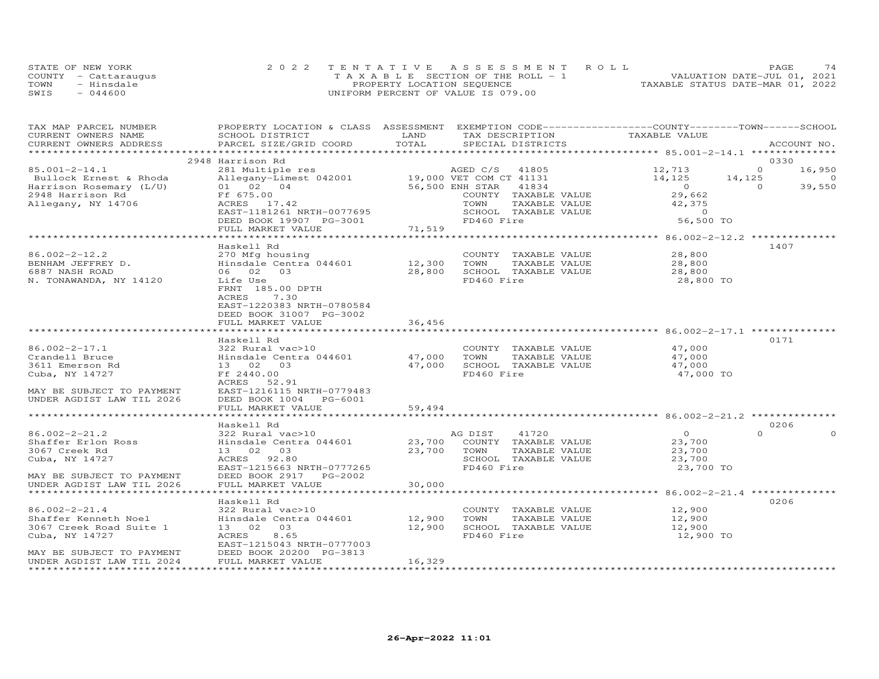|      | STATE OF NEW YORK    | 2022 TENTATIVE ASSESSMENT ROLL        | PAGE                             |
|------|----------------------|---------------------------------------|----------------------------------|
|      | COUNTY - Cattaraugus | T A X A B L E SECTION OF THE ROLL - 1 | VALUATION DATE-JUL 01, 2021      |
| TOWN | - Hinsdale           | PROPERTY LOCATION SEQUENCE            | TAXABLE STATUS DATE-MAR 01, 2022 |
| SWIS | $-044600$            | UNIFORM PERCENT OF VALUE IS 079.00    |                                  |

| TAX MAP PARCEL NUMBER<br>CURRENT OWNERS NAME           | PROPERTY LOCATION & CLASS ASSESSMENT EXEMPTION CODE----------------COUNTY-------TOWN-----SCHOOL<br>SCHOOL DISTRICT | LAND                            | TAX DESCRIPTION                           | TAXABLE VALUE                                             |                                         |
|--------------------------------------------------------|--------------------------------------------------------------------------------------------------------------------|---------------------------------|-------------------------------------------|-----------------------------------------------------------|-----------------------------------------|
| CURRENT OWNERS ADDRESS                                 | PARCEL SIZE/GRID COORD                                                                                             | TOTAL                           | SPECIAL DISTRICTS                         |                                                           | ACCOUNT NO.                             |
|                                                        |                                                                                                                    |                                 |                                           |                                                           |                                         |
| $85.001 - 2 - 14.1$                                    | 2948 Harrison Rd                                                                                                   |                                 |                                           |                                                           | 0330<br>$\circ$                         |
|                                                        | 281 Multiple res                                                                                                   |                                 | AGED C/S 41805<br>19,000 VET COM CT 41131 | 12,713                                                    | 16,950                                  |
| Bullock Ernest & Rhoda<br>Harrison Rosemary (L/U)      | Allegany-Limest 042001<br>01 02 04                                                                                 |                                 | 56,500 ENH STAR<br>41834                  | 14,125<br>$\overline{a}$                                  | 14,125<br>$\circ$<br>39,550<br>$\Omega$ |
| 2948 Harrison Rd                                       | Ff 675.00                                                                                                          |                                 | COUNTY TAXABLE VALUE                      | 29,662                                                    |                                         |
| Allegany, NY 14706                                     | ACRES 17.42                                                                                                        |                                 | TOWN<br>TAXABLE VALUE                     | 42,375                                                    |                                         |
|                                                        | EAST-1181261 NRTH-0077695                                                                                          |                                 | SCHOOL TAXABLE VALUE                      | $\Omega$                                                  |                                         |
|                                                        | DEED BOOK 19907 PG-3001                                                                                            |                                 | FD460 Fire                                | 56,500 TO                                                 |                                         |
|                                                        | FULL MARKET VALUE                                                                                                  | 71,519                          |                                           |                                                           |                                         |
|                                                        |                                                                                                                    | **********                      |                                           | ********** 86.002-2-12.2 ************                     |                                         |
|                                                        | Haskell Rd                                                                                                         |                                 |                                           |                                                           | 1407                                    |
| $86.002 - 2 - 12.2$                                    | 270 Mfg housing                                                                                                    |                                 | COUNTY TAXABLE VALUE                      | 28,800                                                    |                                         |
| BENHAM JEFFREY D.                                      | Hinsdale Centra 044601                                                                                             | 12,300                          | TOWN<br>TAXABLE VALUE                     | 28,800                                                    |                                         |
| 6887 NASH ROAD                                         | 06 02 03                                                                                                           | 28,800                          | SCHOOL TAXABLE VALUE                      | 28,800                                                    |                                         |
| N. TONAWANDA, NY 14120                                 | Life Use                                                                                                           |                                 | FD460 Fire                                | 28,800 TO                                                 |                                         |
|                                                        | FRNT 185.00 DPTH                                                                                                   |                                 |                                           |                                                           |                                         |
|                                                        | ACRES<br>7.30                                                                                                      |                                 |                                           |                                                           |                                         |
|                                                        | EAST-1220383 NRTH-0780584                                                                                          |                                 |                                           |                                                           |                                         |
|                                                        | DEED BOOK 31007 PG-3002                                                                                            |                                 |                                           |                                                           |                                         |
|                                                        | FULL MARKET VALUE                                                                                                  | 36,456                          |                                           |                                                           |                                         |
|                                                        | ***********************                                                                                            | ***************                 |                                           |                                                           |                                         |
|                                                        | Haskell Rd                                                                                                         |                                 |                                           |                                                           | 0171                                    |
| $86.002 - 2 - 17.1$                                    | 322 Rural vac>10                                                                                                   |                                 | COUNTY TAXABLE VALUE                      | 47,000                                                    |                                         |
| Crandell Bruce                                         | Hinsdale Centra 044601                                                                                             | 47,000                          | TOWN<br>TAXABLE VALUE                     | 47,000                                                    |                                         |
| 3611 Emerson Rd                                        | 13  02  03                                                                                                         | 47,000                          | SCHOOL TAXABLE VALUE                      | 47,000                                                    |                                         |
| Cuba, NY 14727                                         | Ff 2440.00                                                                                                         |                                 | FD460 Fire                                | 47,000 TO                                                 |                                         |
|                                                        | ACRES<br>52.91                                                                                                     |                                 |                                           |                                                           |                                         |
| MAY BE SUBJECT TO PAYMENT                              | EAST-1216115 NRTH-0779483                                                                                          |                                 |                                           |                                                           |                                         |
| UNDER AGDIST LAW TIL 2026                              | DEED BOOK 1004 PG-6001                                                                                             |                                 |                                           |                                                           |                                         |
|                                                        | FULL MARKET VALUE                                                                                                  | 59,494<br>* * * * * * * * * * * |                                           |                                                           |                                         |
|                                                        |                                                                                                                    |                                 |                                           | ****************************** 86.002-2-21.2 ************ |                                         |
|                                                        | Haskell Rd                                                                                                         |                                 |                                           |                                                           | 0206                                    |
| $86.002 - 2 - 21.2$                                    | 322 Rural vac>10                                                                                                   |                                 | AG DIST<br>41720                          | $\overline{0}$                                            | $\Omega$                                |
| Shaffer Erlon Ross                                     | Hinsdale Centra 044601                                                                                             | 23,700                          | COUNTY TAXABLE VALUE                      | 23,700                                                    |                                         |
| 3067 Creek Rd                                          | 13 02 03                                                                                                           | 23,700                          | TOWN<br>TAXABLE VALUE                     | 23,700                                                    |                                         |
| Cuba, NY 14727                                         | ACRES 92.80                                                                                                        |                                 | SCHOOL TAXABLE VALUE                      | 23,700                                                    |                                         |
|                                                        | EAST-1215663 NRTH-0777265<br>DEED BOOK 2917 PG-2002                                                                |                                 | FD460 Fire                                | 23,700 TO                                                 |                                         |
| MAY BE SUBJECT TO PAYMENT<br>UNDER AGDIST LAW TIL 2026 | FULL MARKET VALUE                                                                                                  | 30,000                          |                                           |                                                           |                                         |
|                                                        |                                                                                                                    |                                 |                                           | ************************ 86.002-2-21.4 **************     |                                         |
|                                                        | Haskell Rd                                                                                                         |                                 |                                           |                                                           | 0206                                    |
| $86.002 - 2 - 21.4$                                    | 322 Rural vac>10                                                                                                   |                                 | COUNTY TAXABLE VALUE                      | 12,900                                                    |                                         |
| Shaffer Kenneth Noel                                   | Hinsdale Centra 044601                                                                                             | 12,900                          | TOWN<br>TAXABLE VALUE                     | 12,900                                                    |                                         |
| 3067 Creek Road Suite 1                                | 13 02 03                                                                                                           | 12,900                          | SCHOOL TAXABLE VALUE                      | 12,900                                                    |                                         |
| Cuba, NY 14727                                         | 8.65<br>ACRES                                                                                                      |                                 | FD460 Fire                                | 12,900 TO                                                 |                                         |
|                                                        | EAST-1215043 NRTH-0777003                                                                                          |                                 |                                           |                                                           |                                         |
| MAY BE SUBJECT TO PAYMENT                              | DEED BOOK 20200 PG-3813                                                                                            |                                 |                                           |                                                           |                                         |
| UNDER AGDIST LAW TIL 2024                              | FULL MARKET VALUE                                                                                                  | 16,329                          |                                           |                                                           |                                         |
|                                                        |                                                                                                                    |                                 |                                           |                                                           |                                         |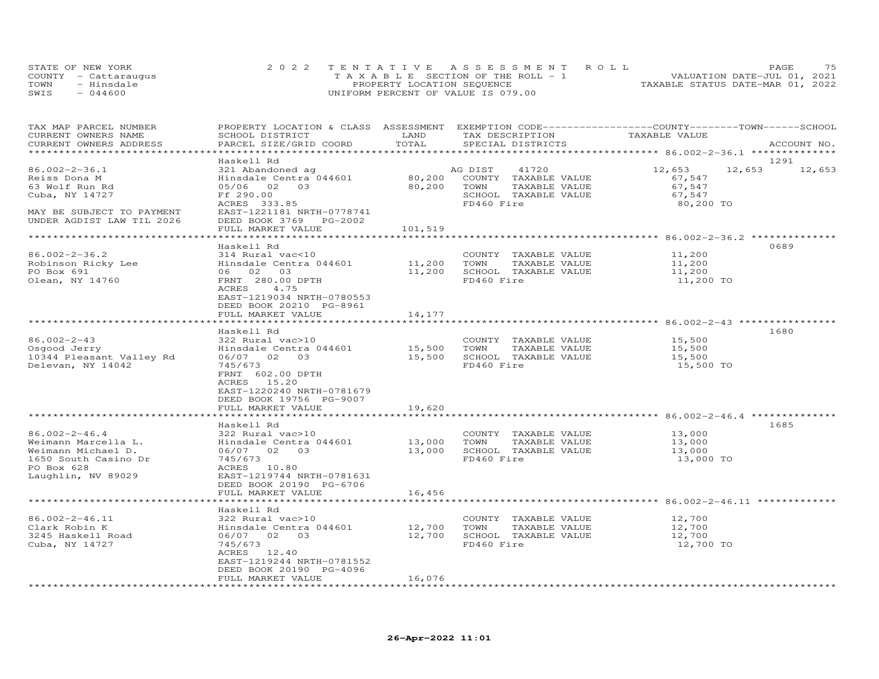| STATE OF NEW YORK |                      | 2022 TENTATIVE ASSESSMENT ROLL        |  |  |                                  | PAGE | 75 |
|-------------------|----------------------|---------------------------------------|--|--|----------------------------------|------|----|
|                   | COUNTY - Cattaraugus | T A X A B L E SECTION OF THE ROLL - 1 |  |  | VALUATION DATE-JUL 01, 2021      |      |    |
| TOWN              | - Hinsdale           | PROPERTY LOCATION SEQUENCE            |  |  | TAXABLE STATUS DATE-MAR 01, 2022 |      |    |
| SWIS              | $-044600$            | UNIFORM PERCENT OF VALUE IS 079.00    |  |  |                                  |      |    |

| TAX MAP PARCEL NUMBER                                                       | PROPERTY LOCATION & CLASS ASSESSMENT EXEMPTION CODE----------------COUNTY-------TOWN------SCHOOL |             |                                |                  |               |
|-----------------------------------------------------------------------------|--------------------------------------------------------------------------------------------------|-------------|--------------------------------|------------------|---------------|
| CURRENT OWNERS NAME                                                         | SCHOOL DISTRICT                                                                                  | LAND        | TAX DESCRIPTION                | TAXABLE VALUE    |               |
| CURRENT OWNERS ADDRESS                                                      | PARCEL SIZE/GRID COORD                                                                           | TOTAL       | SPECIAL DISTRICTS              |                  | ACCOUNT NO.   |
|                                                                             |                                                                                                  |             |                                |                  |               |
|                                                                             | Haskell Rd                                                                                       |             |                                |                  | 1291          |
| $86.002 - 2 - 36.1$                                                         | 321 Abandoned ag                                                                                 |             | AG DIST 41720                  | 12,653           | 12,653 12,653 |
|                                                                             | Hinsdale Centra 044601                                                                           |             |                                |                  |               |
| Reiss Dona M                                                                |                                                                                                  |             | 80,200 COUNTY TAXABLE VALUE    | 67,547           |               |
| 63 Wolf Run Rd                                                              | 05/06 02 03 80,200 TOWN                                                                          |             | TAXABLE VALUE                  | 67,547           |               |
| Cuba, NY 14727                                                              | Ff 290.00<br>ACRES 333.85                                                                        |             | SCHOOL TAXABLE VALUE           | 67,547           |               |
|                                                                             |                                                                                                  |             | FD460 Fire                     | 80,200 TO        |               |
| MAY BE SUBJECT TO PAYMENT                                                   | EAST-1221181 NRTH-0778741                                                                        |             |                                |                  |               |
|                                                                             | DEED BOOK 3769 PG-2002                                                                           |             |                                |                  |               |
|                                                                             | FULL MARKET VALUE                                                                                | 101,519     |                                |                  |               |
|                                                                             |                                                                                                  |             |                                |                  |               |
|                                                                             | Haskell Rd                                                                                       |             |                                |                  | 0689          |
| $86.002 - 2 - 36.2$                                                         | 314 Rural vac<10                                                                                 |             | COUNTY TAXABLE VALUE           | 11,200           |               |
| Robinson Ricky Lee Binsdale Centra 044601 11,200 TOWN                       |                                                                                                  |             | TAXABLE VALUE                  | 11,200           |               |
| PO Box 691                                                                  | 06 02 03                                                                                         |             | 11,200 SCHOOL TAXABLE VALUE    | 11,200           |               |
| Olean, NY 14760                                                             | FRNT 280.00 DPTH                                                                                 |             | FD460 Fire                     | 11,200 TO        |               |
|                                                                             | ACRES 4.75                                                                                       |             |                                |                  |               |
|                                                                             | EAST-1219034 NRTH-0780553                                                                        |             |                                |                  |               |
|                                                                             |                                                                                                  |             |                                |                  |               |
|                                                                             | DEED BOOK 20210 PG-8961                                                                          |             |                                |                  |               |
|                                                                             | FULL MARKET VALUE                                                                                | 14,177      |                                |                  |               |
|                                                                             |                                                                                                  |             |                                |                  |               |
|                                                                             | Haskell Rd                                                                                       |             |                                |                  | 1680          |
| 86.002-2-43                                                                 | 322 Rural vac>10                                                                                 |             | COUNTY TAXABLE VALUE           | 15,500           |               |
| 86.002-2-43<br>Osgood Jerry<br>10344 Pleasant Valley Rd<br>Delevan NY 14042 | Hinsdale Centra 044601 15,500 TOWN TAXABLE VALUE 06/07 02 03 15,500 SCHOOL TAXABLE VALUE         |             |                                | 15,500           |               |
|                                                                             |                                                                                                  |             |                                | 15,500           |               |
| Delevan, NY 14042                                                           | 745/673                                                                                          |             | FD460 Fire                     | 15,500 TO        |               |
|                                                                             | FRNT 602.00 DPTH                                                                                 |             |                                |                  |               |
|                                                                             | ACRES 15.20                                                                                      |             |                                |                  |               |
|                                                                             | EAST-1220240 NRTH-0781679                                                                        |             |                                |                  |               |
|                                                                             | DEED BOOK 19756 PG-9007                                                                          |             |                                |                  |               |
|                                                                             | FULL MARKET VALUE                                                                                | 19,620      |                                |                  |               |
|                                                                             |                                                                                                  |             |                                |                  |               |
|                                                                             | Haskell Rd                                                                                       |             |                                |                  | 1685          |
|                                                                             |                                                                                                  |             |                                |                  |               |
| 86.002-2-46.4                                                               | 322 Rural vac>10                                                                                 |             | COUNTY TAXABLE VALUE           | 13,000           |               |
| Weimann Marcella L.                                                         |                                                                                                  |             | TAXABLE VALUE<br>TAXABLE VALUE | 13,000<br>13,000 |               |
| Weimann Michael D.                                                          |                                                                                                  |             |                                |                  |               |
| 1650 South Casino Dr                                                        |                                                                                                  |             |                                | 13,000 TO        |               |
| PO Box 628                                                                  | ACRES 10.80                                                                                      |             |                                |                  |               |
| Laughlin, NV 89029                                                          | EAST-1219744 NRTH-0781631                                                                        |             |                                |                  |               |
|                                                                             | DEED BOOK 20190 PG-6706                                                                          |             |                                |                  |               |
|                                                                             | FULL MARKET VALUE                                                                                | 16,456      |                                |                  |               |
|                                                                             |                                                                                                  |             |                                |                  |               |
|                                                                             | Haskell Rd                                                                                       |             |                                |                  |               |
| 86.002-2-46.11                                                              | 322 Rural vac>10                                                                                 |             | COUNTY TAXABLE VALUE 12, 700   |                  |               |
| Clark Robin K                                                               | Hinsdale Centra 044601                                                                           | 12,700 TOWN | TAXABLE VALUE                  | 12,700           |               |
| 3245 Haskell Road                                                           | 06/07 02 03 12,700 SCHOOL TAXABLE VALUE                                                          |             |                                | 12,700           |               |
|                                                                             |                                                                                                  |             |                                |                  |               |
| Cuba, NY 14727                                                              | 745/673                                                                                          |             | FD460 Fire                     | 12,700 TO        |               |
|                                                                             | ACRES 12.40                                                                                      |             |                                |                  |               |
|                                                                             | EAST-1219244 NRTH-0781552                                                                        |             |                                |                  |               |
|                                                                             | DEED BOOK 20190 PG-4096                                                                          |             |                                |                  |               |
|                                                                             | FULL MARKET VALUE                                                                                | 16,076      |                                |                  |               |
|                                                                             |                                                                                                  |             |                                |                  |               |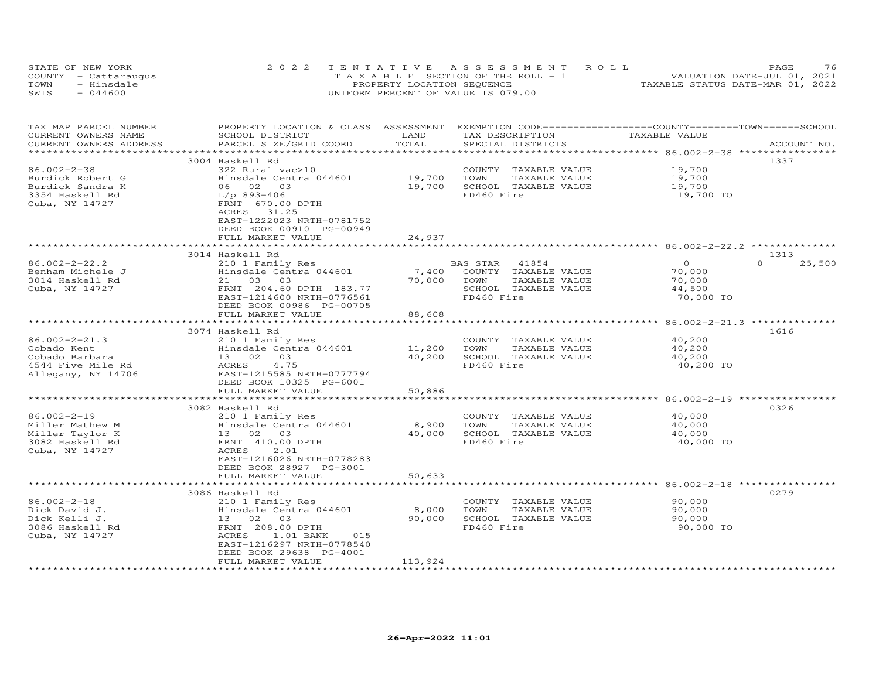| STATE OF NEW YORK    | 2022 TENTATIVE ASSESSMENT ROLL        | 76<br><b>PAGE</b>                |
|----------------------|---------------------------------------|----------------------------------|
| COUNTY - Cattaraugus | T A X A B L E SECTION OF THE ROLL - 1 | VALUATION DATE-JUL 01, 2021      |
| TOWN<br>- Hinsdale   | PROPERTY LOCATION SEQUENCE            | TAXABLE STATUS DATE-MAR 01, 2022 |
| SWIS<br>$-044600$    | UNIFORM PERCENT OF VALUE IS 079.00    |                                  |

| TAX MAP PARCEL NUMBER    | PROPERTY LOCATION & CLASS ASSESSMENT |                    | EXEMPTION CODE-----------------COUNTY-------TOWN-----SCHOOL |                                                  |                    |
|--------------------------|--------------------------------------|--------------------|-------------------------------------------------------------|--------------------------------------------------|--------------------|
| CURRENT OWNERS NAME      | SCHOOL DISTRICT                      | LAND               | TAX DESCRIPTION                                             | TAXABLE VALUE                                    |                    |
| CURRENT OWNERS ADDRESS   | PARCEL SIZE/GRID COORD               | TOTAL              | SPECIAL DISTRICTS                                           |                                                  | ACCOUNT NO.        |
| ***********************  |                                      |                    |                                                             |                                                  |                    |
|                          | 3004 Haskell Rd                      |                    |                                                             |                                                  | 1337               |
| $86.002 - 2 - 38$        | 322 Rural vac>10                     |                    | COUNTY<br>TAXABLE VALUE                                     | 19,700                                           |                    |
| Burdick Robert G         | Hinsdale Centra 044601               | 19,700             | TOWN<br>TAXABLE VALUE                                       | 19,700                                           |                    |
| Burdick Sandra K         | 06 02 03                             | 19,700             | SCHOOL TAXABLE VALUE                                        | 19,700                                           |                    |
| 3354 Haskell Rd          | $L/p$ 893-406                        |                    | FD460 Fire                                                  | 19,700 TO                                        |                    |
| Cuba, NY 14727           | FRNT 670.00 DPTH                     |                    |                                                             |                                                  |                    |
|                          | 31.25<br>ACRES                       |                    |                                                             |                                                  |                    |
|                          | EAST-1222023 NRTH-0781752            |                    |                                                             |                                                  |                    |
|                          | DEED BOOK 00910 PG-00949             |                    |                                                             |                                                  |                    |
|                          | FULL MARKET VALUE                    | 24,937             |                                                             |                                                  |                    |
|                          |                                      |                    |                                                             |                                                  |                    |
|                          | 3014 Haskell Rd                      |                    |                                                             |                                                  | 1313               |
| $86.002 - 2 - 22.2$      | 210 1 Family Res                     |                    | BAS STAR<br>41854                                           | $\Omega$                                         | $\Omega$<br>25,500 |
| Benham Michele J         | Hinsdale Centra 044601               | 7,400              | COUNTY TAXABLE VALUE                                        | 70,000                                           |                    |
| 3014 Haskell Rd          | 21 03 03                             | 70,000             | TOWN<br>TAXABLE VALUE                                       | 70,000                                           |                    |
|                          |                                      |                    |                                                             |                                                  |                    |
| Cuba, NY 14727           | FRNT 204.60 DPTH 183.77              |                    | SCHOOL TAXABLE VALUE                                        | 44,500                                           |                    |
|                          | EAST-1214600 NRTH-0776561            |                    | FD460 Fire                                                  | 70,000 TO                                        |                    |
|                          | DEED BOOK 00986 PG-00705             |                    |                                                             |                                                  |                    |
|                          | FULL MARKET VALUE<br>                | 88,608             |                                                             |                                                  |                    |
|                          |                                      |                    |                                                             | ******************* 86.002-2-21.3 ************** |                    |
|                          | 3074 Haskell Rd                      |                    |                                                             |                                                  | 1616               |
| $86.002 - 2 - 21.3$      | 210 1 Family Res                     |                    | COUNTY<br>TAXABLE VALUE                                     | 40,200                                           |                    |
| Cobado Kent              | Hinsdale Centra 044601               | 11,200             | TOWN<br>TAXABLE VALUE                                       | 40,200                                           |                    |
| Cobado Barbara           | 13 02 03                             | 40,200             | SCHOOL TAXABLE VALUE                                        | 40,200                                           |                    |
| 4544 Five Mile Rd        | 4.75<br>ACRES                        |                    | FD460 Fire                                                  | 40,200 TO                                        |                    |
| Allegany, NY 14706       | EAST-1215585 NRTH-0777794            |                    |                                                             |                                                  |                    |
|                          | DEED BOOK 10325 PG-6001              |                    |                                                             |                                                  |                    |
|                          | FULL MARKET VALUE                    | 50,886             |                                                             |                                                  |                    |
|                          |                                      |                    |                                                             | ********* 86.002-2-19 ****                       |                    |
|                          | 3082 Haskell Rd                      |                    |                                                             |                                                  | 0326               |
| $86.002 - 2 - 19$        | 210 1 Family Res                     |                    | COUNTY TAXABLE VALUE                                        | 40,000                                           |                    |
| Miller Mathew M          | Hinsdale Centra 044601               | 8,900              | TOWN<br>TAXABLE VALUE                                       | 40,000                                           |                    |
| Miller Taylor K          | 13 02 03                             | 40,000             | SCHOOL TAXABLE VALUE                                        | 40,000                                           |                    |
| 3082 Haskell Rd          | FRNT 410.00 DPTH                     |                    | FD460 Fire                                                  | 40,000 TO                                        |                    |
| Cuba, NY 14727           | ACRES<br>2.01                        |                    |                                                             |                                                  |                    |
|                          | EAST-1216026 NRTH-0778283            |                    |                                                             |                                                  |                    |
|                          | DEED BOOK 28927 PG-3001              |                    |                                                             |                                                  |                    |
|                          | FULL MARKET VALUE                    | 50,633             |                                                             |                                                  |                    |
|                          |                                      |                    |                                                             |                                                  |                    |
|                          | 3086 Haskell Rd                      |                    |                                                             |                                                  | 0279               |
| $86.002 - 2 - 18$        | 210 1 Family Res                     |                    | COUNTY<br>TAXABLE VALUE                                     | 90,000                                           |                    |
| Dick David J.            | Hinsdale Centra 044601               | 8,000              | TOWN<br>TAXABLE VALUE                                       | 90,000                                           |                    |
| Dick Kelli J.            | 13 02<br>03                          | 90,000             | SCHOOL TAXABLE VALUE                                        | 90,000                                           |                    |
| 3086 Haskell Rd          | FRNT 208.00 DPTH                     |                    | FD460 Fire                                                  | 90,000 TO                                        |                    |
| Cuba, NY 14727           | ACRES<br>1.01 BANK<br>015            |                    |                                                             |                                                  |                    |
|                          | EAST-1216297 NRTH-0778540            |                    |                                                             |                                                  |                    |
|                          | DEED BOOK 29638 PG-4001              |                    |                                                             |                                                  |                    |
|                          | FULL MARKET VALUE                    | 113,924            |                                                             |                                                  |                    |
| ************************ |                                      | ****************** |                                                             |                                                  |                    |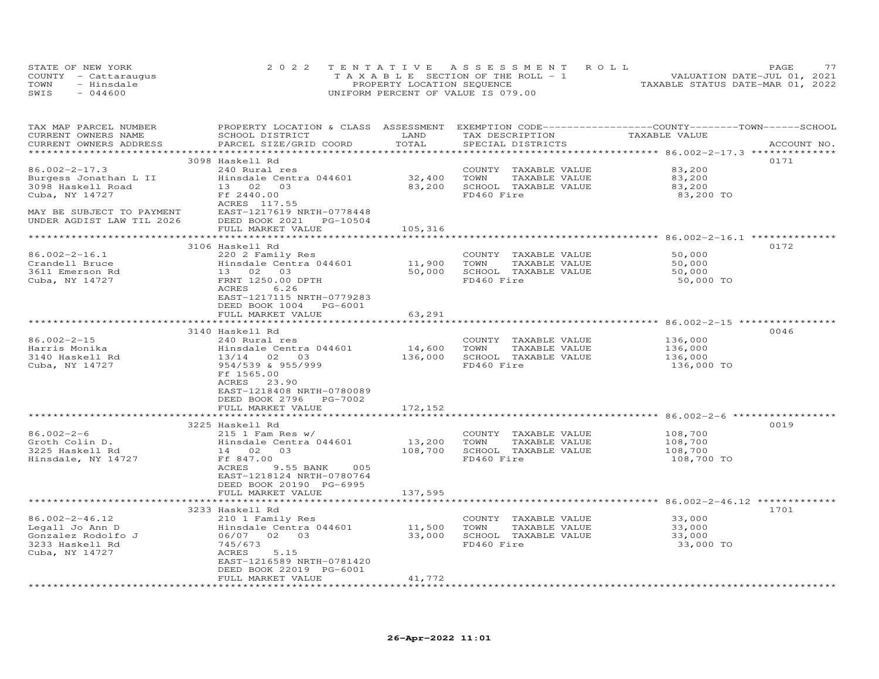| STATE OF NEW YORK    | 2022 TENTATIVE ASSESSMENT ROLL        |                                  | PAGE.                       |  |
|----------------------|---------------------------------------|----------------------------------|-----------------------------|--|
| COUNTY - Cattaraugus | T A X A B L E SECTION OF THE ROLL - 1 |                                  | VALUATION DATE-JUL 01, 2021 |  |
| TOWN<br>- Hinsdale   | PROPERTY LOCATION SEQUENCE            | TAXABLE STATUS DATE-MAR 01, 2022 |                             |  |
| SWIS<br>$-044600$    | UNIFORM PERCENT OF VALUE IS 079.00    |                                  |                             |  |

| TAX MAP PARCEL NUMBER<br>CURRENT OWNERS NAME<br>CURRENT OWNERS ADDRESS | PROPERTY LOCATION & CLASS ASSESSMENT EXEMPTION CODE-----------------COUNTY-------TOWN------SCHOOL<br>SCHOOL DISTRICT<br>PARCEL SIZE/GRID COORD | LAND<br>TOTAL        | TAX DESCRIPTION<br>SPECIAL DISTRICTS | TAXABLE VALUE | ACCOUNT NO. |
|------------------------------------------------------------------------|------------------------------------------------------------------------------------------------------------------------------------------------|----------------------|--------------------------------------|---------------|-------------|
|                                                                        |                                                                                                                                                |                      |                                      |               |             |
|                                                                        | 3098 Haskell Rd                                                                                                                                |                      |                                      |               | 0171        |
| $86.002 - 2 - 17.3$                                                    | 240 Rural res                                                                                                                                  |                      | COUNTY TAXABLE VALUE                 | 83,200        |             |
| Burgess Jonathan L II                                                  | Hinsdale Centra 044601                                                                                                                         | 32,400               | TOWN<br>TAXABLE VALUE                | 83,200        |             |
| 3098 Haskell Road                                                      | 13 02 03                                                                                                                                       | 83,200               | SCHOOL TAXABLE VALUE                 | 83,200        |             |
| Cuba, NY 14727                                                         | Ff 2440.00                                                                                                                                     |                      | FD460 Fire                           | 83,200 TO     |             |
|                                                                        | ACRES 117.55                                                                                                                                   |                      |                                      |               |             |
| MAY BE SUBJECT TO PAYMENT                                              | EAST-1217619 NRTH-0778448                                                                                                                      |                      |                                      |               |             |
| UNDER AGDIST LAW TIL 2026                                              | DEED BOOK 2021 PG-10504                                                                                                                        |                      |                                      |               |             |
|                                                                        | FULL MARKET VALUE                                                                                                                              | 105,316              |                                      |               |             |
|                                                                        | *************************                                                                                                                      | ******************** |                                      |               |             |
|                                                                        | 3106 Haskell Rd                                                                                                                                |                      |                                      |               | 0172        |
| $86.002 - 2 - 16.1$                                                    | 220 2 Family Res                                                                                                                               |                      | COUNTY TAXABLE VALUE                 | 50,000        |             |
| Crandell Bruce                                                         | Hinsdale Centra 044601 11,900                                                                                                                  |                      | TAXABLE VALUE<br>TOWN                | 50,000        |             |
| 3611 Emerson Rd                                                        | 13 02 03                                                                                                                                       | 50,000               | SCHOOL TAXABLE VALUE                 | 50,000        |             |
| Cuba, NY 14727                                                         | FRNT 1250.00 DPTH                                                                                                                              |                      | FD460 Fire                           | 50,000 TO     |             |
|                                                                        | 6.26<br>ACRES                                                                                                                                  |                      |                                      |               |             |
|                                                                        | EAST-1217115 NRTH-0779283                                                                                                                      |                      |                                      |               |             |
|                                                                        | DEED BOOK 1004 PG-6001                                                                                                                         |                      |                                      |               |             |
|                                                                        | FULL MARKET VALUE                                                                                                                              | 63,291               |                                      |               |             |
|                                                                        |                                                                                                                                                |                      |                                      |               |             |
|                                                                        | 3140 Haskell Rd                                                                                                                                |                      |                                      |               | 0046        |
| 86.002-2-15                                                            | 240 Rural res                                                                                                                                  |                      | COUNTY TAXABLE VALUE                 | 136,000       |             |
| Harris Monika                                                          | Hinsdale Centra 044601                                                                                                                         | 14,600               | TOWN<br>TAXABLE VALUE                | 136,000       |             |
| 3140 Haskell Rd                                                        | 13/14 02 03                                                                                                                                    | 136,000              | SCHOOL TAXABLE VALUE                 | 136,000       |             |
| Cuba, NY 14727                                                         | 954/539 & 955/999                                                                                                                              |                      | FD460 Fire                           | 136,000 TO    |             |
|                                                                        | Ff 1565.00                                                                                                                                     |                      |                                      |               |             |
|                                                                        | ACRES 23.90                                                                                                                                    |                      |                                      |               |             |
|                                                                        | EAST-1218408 NRTH-0780089                                                                                                                      |                      |                                      |               |             |
|                                                                        | DEED BOOK 2796 PG-7002                                                                                                                         |                      |                                      |               |             |
|                                                                        | FULL MARKET VALUE                                                                                                                              | 172,152              |                                      |               |             |
|                                                                        |                                                                                                                                                |                      |                                      |               |             |
|                                                                        | 3225 Haskell Rd                                                                                                                                |                      |                                      |               | 0019        |
| $86.002 - 2 - 6$                                                       | 215 1 Fam Res w/                                                                                                                               |                      | COUNTY TAXABLE VALUE                 | 108,700       |             |
| Groth Colin D.                                                         | Hinsdale Centra 044601                                                                                                                         | 13,200               | TOWN<br>TAXABLE VALUE                | 108,700       |             |
| 3225 Haskell Rd                                                        | 14 02 03                                                                                                                                       | 108,700              | SCHOOL TAXABLE VALUE                 | 108,700       |             |
| Hinsdale, NY 14727                                                     | Ff 847.00                                                                                                                                      |                      | FD460 Fire                           | 108,700 TO    |             |
|                                                                        | ACRES<br>9.55 BANK 005                                                                                                                         |                      |                                      |               |             |
|                                                                        | EAST-1218124 NRTH-0780764                                                                                                                      |                      |                                      |               |             |
|                                                                        | DEED BOOK 20190 PG-6995                                                                                                                        |                      |                                      |               |             |
|                                                                        | FULL MARKET VALUE                                                                                                                              | 137,595              |                                      |               |             |
|                                                                        |                                                                                                                                                |                      |                                      |               |             |
|                                                                        | 3233 Haskell Rd                                                                                                                                |                      |                                      |               | 1701        |
| $86.002 - 2 - 46.12$                                                   | 210 1 Family Res                                                                                                                               |                      | COUNTY TAXABLE VALUE                 | 33,000        |             |
| Legall Jo Ann D                                                        | Hinsdale Centra 044601                                                                                                                         | 11,500               | TOWN<br>TAXABLE VALUE                | 33,000        |             |
| Gonzalez Rodolfo J                                                     | 06/07 02 03                                                                                                                                    | 33,000               | SCHOOL TAXABLE VALUE                 | 33,000        |             |
| 3233 Haskell Rd                                                        | 745/673                                                                                                                                        |                      | FD460 Fire                           | 33,000 TO     |             |
| Cuba, NY 14727                                                         | ACRES<br>5.15                                                                                                                                  |                      |                                      |               |             |
|                                                                        | EAST-1216589 NRTH-0781420                                                                                                                      |                      |                                      |               |             |
|                                                                        | DEED BOOK 22019 PG-6001                                                                                                                        |                      |                                      |               |             |
|                                                                        | FULL MARKET VALUE                                                                                                                              | 41,772               |                                      |               |             |
|                                                                        |                                                                                                                                                |                      |                                      |               |             |
|                                                                        |                                                                                                                                                |                      |                                      |               |             |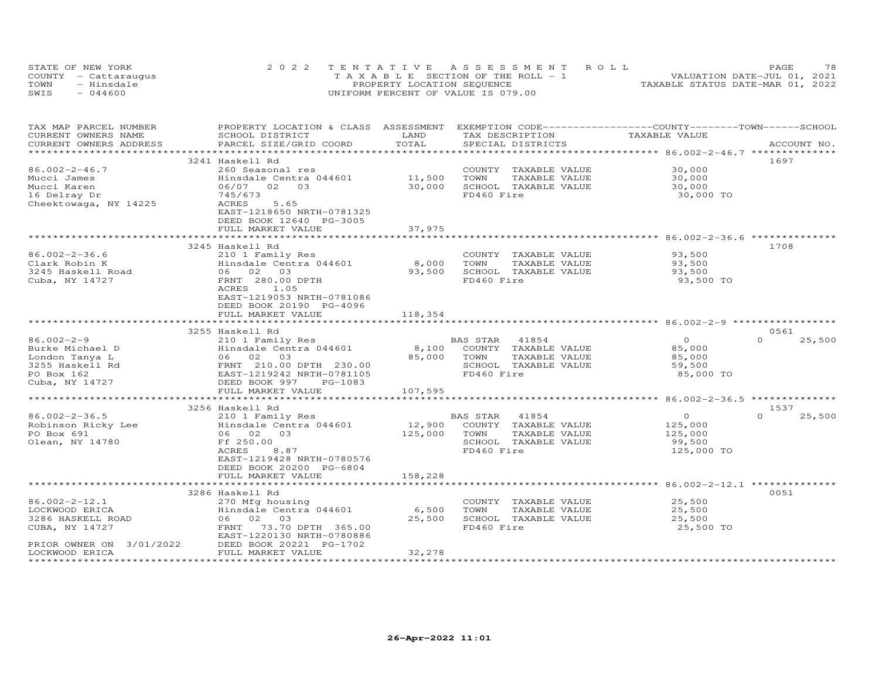|      | STATE OF NEW YORK    | 2022 TENTATIVE ASSESSMENT ROLL        | 78<br>PAGE                       |
|------|----------------------|---------------------------------------|----------------------------------|
|      | COUNTY - Cattaraugus | T A X A B L E SECTION OF THE ROLL - 1 | VALUATION DATE-JUL 01, 2021      |
| TOWN | - Hinsdale           | PROPERTY LOCATION SEQUENCE            | TAXABLE STATUS DATE-MAR 01, 2022 |
| SWIS | $-044600$            | UNIFORM PERCENT OF VALUE IS 079.00    |                                  |

| TAX MAP PARCEL NUMBER<br>CURRENT OWNERS NAME | PROPERTY LOCATION & CLASS ASSESSMENT EXEMPTION CODE-----------------COUNTY-------TOWN------SCHOOL<br>SCHOOL DISTRICT | LAND          | TAX DESCRIPTION                       | TAXABLE VALUE                                         |                    |
|----------------------------------------------|----------------------------------------------------------------------------------------------------------------------|---------------|---------------------------------------|-------------------------------------------------------|--------------------|
| CURRENT OWNERS ADDRESS                       | PARCEL SIZE/GRID COORD                                                                                               | TOTAL         | SPECIAL DISTRICTS                     |                                                       | ACCOUNT NO.        |
|                                              |                                                                                                                      |               |                                       |                                                       |                    |
|                                              | 3241 Haskell Rd                                                                                                      |               |                                       |                                                       | 1697               |
| $86.002 - 2 - 46.7$                          | 260 Seasonal res                                                                                                     |               | COUNTY TAXABLE VALUE                  | 30,000                                                |                    |
| Mucci James                                  | Hinsdale Centra 044601                                                                                               | 11,500        | TOWN<br>TAXABLE VALUE                 | 30,000                                                |                    |
| Mucci Karen                                  | 06/07 02<br>03                                                                                                       | 30,000        | SCHOOL TAXABLE VALUE                  | 30,000                                                |                    |
| 16 Delray Dr                                 | 745/673                                                                                                              |               | FD460 Fire                            | 30,000 TO                                             |                    |
| Cheektowaga, NY 14225                        | ACRES<br>5.65                                                                                                        |               |                                       |                                                       |                    |
|                                              | EAST-1218650 NRTH-0781325                                                                                            |               |                                       |                                                       |                    |
|                                              | DEED BOOK 12640 PG-3005                                                                                              |               |                                       |                                                       |                    |
|                                              | FULL MARKET VALUE                                                                                                    | 37,975        |                                       |                                                       |                    |
|                                              |                                                                                                                      |               |                                       |                                                       |                    |
|                                              | 3245 Haskell Rd                                                                                                      |               |                                       |                                                       | 1708               |
| $86.002 - 2 - 36.6$                          | 210 1 Family Res                                                                                                     |               | COUNTY TAXABLE VALUE                  | 93,500                                                |                    |
| Clark Robin K                                | Hinsdale Centra 044601                                                                                               | 8,000         | TOWN<br>TAXABLE VALUE                 | 93,500                                                |                    |
| 3245 Haskell Road                            | 06 02 03                                                                                                             | 93,500        | SCHOOL TAXABLE VALUE                  | 93,500                                                |                    |
| Cuba, NY 14727                               | FRNT 280.00 DPTH                                                                                                     |               | FD460 Fire                            | 93,500 TO                                             |                    |
|                                              | ACRES<br>1.05                                                                                                        |               |                                       |                                                       |                    |
|                                              | EAST-1219053 NRTH-0781086                                                                                            |               |                                       |                                                       |                    |
|                                              | DEED BOOK 20190 PG-4096                                                                                              |               |                                       |                                                       |                    |
|                                              | FULL MARKET VALUE                                                                                                    | 118,354       |                                       |                                                       |                    |
|                                              |                                                                                                                      |               |                                       |                                                       |                    |
|                                              | 3255 Haskell Rd                                                                                                      |               |                                       |                                                       | 0561               |
| $86.002 - 2 - 9$                             | 210 1 Family Res                                                                                                     |               | 41854<br>BAS STAR                     | $\circ$                                               | $\Omega$<br>25,500 |
| Burke Michael D                              | Hinsdale Centra 044601                                                                                               | 8,100         | COUNTY TAXABLE VALUE                  | 85,000                                                |                    |
| London Tanya L                               | 06 02 03                                                                                                             | 85,000        | TAXABLE VALUE<br>TOWN                 | 85,000                                                |                    |
| 3255 Haskell Rd                              | FRNT 210.00 DPTH 230.00                                                                                              |               | SCHOOL TAXABLE VALUE                  | 59,500                                                |                    |
| PO Box 162                                   | EAST-1219242 NRTH-0781105                                                                                            |               | FD460 Fire                            | 85,000 TO                                             |                    |
| Cuba, NY 14727                               | DEED BOOK 997<br>PG-1083                                                                                             |               |                                       |                                                       |                    |
|                                              | FULL MARKET VALUE                                                                                                    | 107,595       |                                       |                                                       |                    |
|                                              | ***************************                                                                                          | ************* |                                       | *********************** 86.002-2-36.5 *************** |                    |
|                                              | 3256 Haskell Rd                                                                                                      |               |                                       |                                                       | 1537               |
| $86.002 - 2 - 36.5$                          | 210 1 Family Res                                                                                                     |               | BAS STAR<br>41854                     | $\Omega$                                              | $\Omega$<br>25,500 |
| Robinson Ricky Lee                           | Hinsdale Centra 044601                                                                                               | 12,900        | COUNTY TAXABLE VALUE                  | 125,000                                               |                    |
| PO Box 691                                   | 06 02 03                                                                                                             |               | TOWN                                  |                                                       |                    |
| Olean, NY 14780                              | Ff 250.00                                                                                                            | 125,000       | TAXABLE VALUE<br>SCHOOL TAXABLE VALUE | 125,000<br>99,500                                     |                    |
|                                              | 8.87<br>ACRES                                                                                                        |               | FD460 Fire                            | 125,000 TO                                            |                    |
|                                              | EAST-1219428 NRTH-0780576                                                                                            |               |                                       |                                                       |                    |
|                                              |                                                                                                                      |               |                                       |                                                       |                    |
|                                              | DEED BOOK 20200 PG-6804<br>FULL MARKET VALUE                                                                         | 158,228       |                                       |                                                       |                    |
|                                              |                                                                                                                      |               |                                       |                                                       |                    |
|                                              | 3286 Haskell Rd                                                                                                      |               |                                       |                                                       | 0051               |
| $86.002 - 2 - 12.1$                          |                                                                                                                      |               | COUNTY TAXABLE VALUE                  |                                                       |                    |
| LOCKWOOD ERICA                               | 270 Mfg housing<br>Hinsdale Centra 044601                                                                            | 6,500         | TOWN<br>TAXABLE VALUE                 | 25,500<br>25,500                                      |                    |
| 3286 HASKELL ROAD                            | 06 02 03                                                                                                             | 25,500        | SCHOOL TAXABLE VALUE                  | 25,500                                                |                    |
| CUBA, NY 14727                               | 73.70 DPTH 365.00<br>FRNT                                                                                            |               | FD460 Fire                            | 25,500 TO                                             |                    |
|                                              | EAST-1220130 NRTH-0780886                                                                                            |               |                                       |                                                       |                    |
| PRIOR OWNER ON 3/01/2022                     | DEED BOOK 20221 PG-1702                                                                                              |               |                                       |                                                       |                    |
| LOCKWOOD ERICA                               | FULL MARKET VALUE                                                                                                    | 32,278        |                                       |                                                       |                    |
|                                              |                                                                                                                      |               |                                       |                                                       |                    |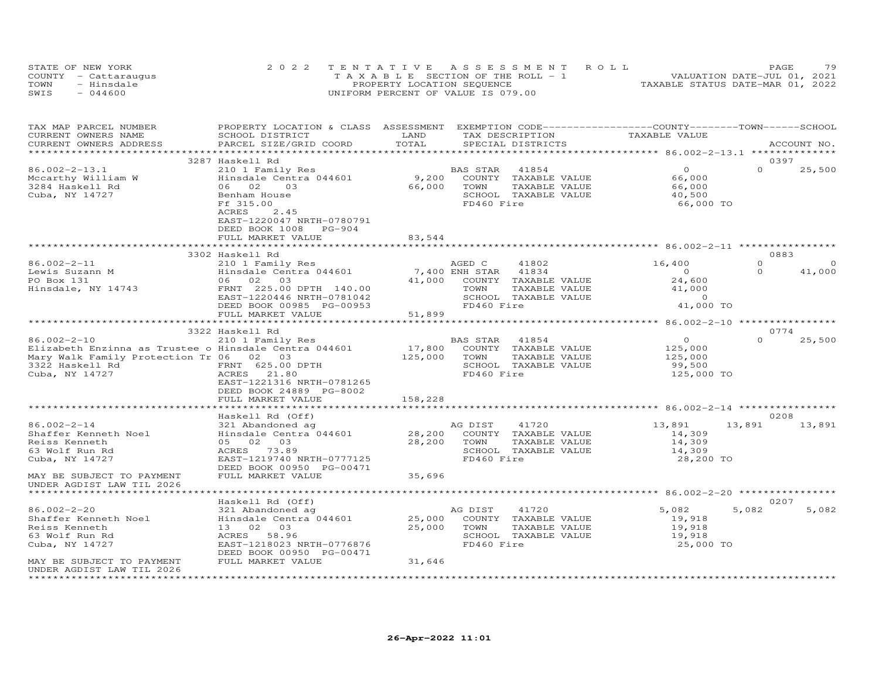| STATE OF NEW YORK<br>COUNTY - Cattaraugus<br>TOWN<br>- Hinsdale<br>SWIS<br>- 044600 | 2022 TENTATIVE ASSESSMENT ROLL<br>PAGE.<br>VALUATION DATE-JUL 01, 2021<br>T A X A B L E SECTION OF THE ROLL - 1<br>TAXABLE STATUS DATE-MAR 01, 2022<br>PROPERTY LOCATION SEOUENCE<br>UNIFORM PERCENT OF VALUE IS 079.00 | 79 |
|-------------------------------------------------------------------------------------|-------------------------------------------------------------------------------------------------------------------------------------------------------------------------------------------------------------------------|----|
|-------------------------------------------------------------------------------------|-------------------------------------------------------------------------------------------------------------------------------------------------------------------------------------------------------------------------|----|

| TAX MAP PARCEL NUMBER                                 | PROPERTY LOCATION & CLASS ASSESSMENT EXEMPTION CODE-----------------COUNTY-------TOWN------SCHOOL |                |            |                             |                |                     |
|-------------------------------------------------------|---------------------------------------------------------------------------------------------------|----------------|------------|-----------------------------|----------------|---------------------|
| CURRENT OWNERS NAME                                   | SCHOOL DISTRICT                                                                                   | LAND           |            | TAX DESCRIPTION             | TAXABLE VALUE  |                     |
| CURRENT OWNERS ADDRESS                                | PARCEL SIZE/GRID COORD                                                                            | TOTAL          |            | SPECIAL DISTRICTS           |                | ACCOUNT NO.         |
|                                                       |                                                                                                   |                |            |                             |                |                     |
|                                                       | 3287 Haskell Rd                                                                                   |                |            |                             |                | 0397                |
| $86.002 - 2 - 13.1$                                   | 210 1 Family Res                                                                                  |                | BAS STAR   | 41854                       | $\overline{O}$ | $\Omega$<br>25,500  |
| Mccarthy William W                                    | Hinsdale Centra 044601                                                                            | 9,200          |            | COUNTY TAXABLE VALUE        | 66,000         |                     |
| 3284 Haskell Rd                                       | 06 02<br>03                                                                                       | 66,000         | TOWN       | TAXABLE VALUE               | 66,000         |                     |
| Cuba, NY 14727                                        | Benham House                                                                                      |                |            | SCHOOL TAXABLE VALUE        | 40,500         |                     |
|                                                       | Ff 315.00                                                                                         |                | FD460 Fire |                             | 66,000 TO      |                     |
|                                                       | ACRES<br>2.45                                                                                     |                |            |                             |                |                     |
|                                                       | EAST-1220047 NRTH-0780791                                                                         |                |            |                             |                |                     |
|                                                       | DEED BOOK 1008 PG-904                                                                             |                |            |                             |                |                     |
|                                                       | FULL MARKET VALUE                                                                                 | 83,544         |            |                             |                |                     |
|                                                       |                                                                                                   |                |            |                             |                |                     |
|                                                       | 3302 Haskell Rd                                                                                   |                |            |                             |                | 0883                |
| 86.002-2-11                                           | 210 1 Family Res                                                                                  |                | AGED C     | 41802                       | 16,400         | $\Omega$<br>$\circ$ |
| Lewis Suzann M<br>PO Box 131                          | Hinsdale Centra 044601                                                                            | 7,400 ENH STAR |            | 41834                       | $\overline{0}$ | $\circ$<br>41,000   |
|                                                       | 06 02 03                                                                                          |                |            | 41,000 COUNTY TAXABLE VALUE | 24,600         |                     |
| Hinsdale, NY 14743                                    | FRNT 225.00 DPTH 140.00                                                                           |                | TOWN       | TAXABLE VALUE               | 41,000         |                     |
|                                                       | EAST-1220446 NRTH-0781042                                                                         |                |            | SCHOOL TAXABLE VALUE        | $\sim$ 0       |                     |
|                                                       | DEED BOOK 00985 PG-00953                                                                          |                | FD460 Fire |                             | 41,000 TO      |                     |
|                                                       | FULL MARKET VALUE                                                                                 | 51,899         |            |                             |                |                     |
|                                                       |                                                                                                   |                |            |                             |                |                     |
|                                                       | 3322 Haskell Rd                                                                                   |                |            |                             |                | 0774                |
| $86.002 - 2 - 10$                                     | 210 1 Family Res                                                                                  |                | BAS STAR   | 41854                       | $\overline{O}$ | $\Omega$<br>25,500  |
| Elizabeth Enzinna as Trustee o Hinsdale Centra 044601 |                                                                                                   | 17,800         |            | COUNTY TAXABLE VALUE        | 125,000        |                     |
| Mary Walk Family Protection Tr 06 02 03               |                                                                                                   | 125,000        | TOWN       | TAXABLE VALUE               | 125,000        |                     |
| 3322 Haskell Rd                                       | FRNT 625.00 DPTH                                                                                  |                |            | SCHOOL TAXABLE VALUE        | 99,500         |                     |
| Cuba, NY 14727                                        | ACRES 21.80                                                                                       |                | FD460 Fire |                             | 125,000 TO     |                     |
|                                                       | EAST-1221316 NRTH-0781265                                                                         |                |            |                             |                |                     |
|                                                       | DEED BOOK 24889 PG-8002                                                                           |                |            |                             |                |                     |
|                                                       | FULL MARKET VALUE                                                                                 | 158,228        |            |                             |                |                     |
|                                                       |                                                                                                   |                |            |                             |                |                     |
|                                                       | Haskell Rd (Off)                                                                                  |                |            |                             |                | 0208                |
| $86.002 - 2 - 14$                                     | 321 Abandoned ag                                                                                  |                | AG DIST    | 41720                       | 13,891         | 13,891<br>13,891    |
| Shaffer Kenneth Noel                                  | Hinsdale Centra 044601                                                                            | 28,200         |            | COUNTY TAXABLE VALUE        | 14,309         |                     |
| Reiss Kenneth                                         | 05 02 03                                                                                          | 28,200         | TOWN       | TAXABLE VALUE               | 14,309         |                     |
| 63 Wolf Run Rd                                        | ACRES 73.89                                                                                       |                |            | SCHOOL TAXABLE VALUE        | 14,309         |                     |
| Cuba, NY 14727                                        | EAST-1219740 NRTH-0777125                                                                         |                | FD460 Fire |                             | 28,200 TO      |                     |
|                                                       | DEED BOOK 00950 PG-00471                                                                          |                |            |                             |                |                     |
| MAY BE SUBJECT TO PAYMENT                             | FULL MARKET VALUE                                                                                 | 35,696         |            |                             |                |                     |
| UNDER AGDIST LAW TIL 2026                             |                                                                                                   |                |            |                             |                |                     |
|                                                       |                                                                                                   |                |            |                             |                |                     |
|                                                       | Haskell Rd (Off)                                                                                  |                |            |                             |                | 0207                |
| $86.002 - 2 - 20$                                     | 321 Abandoned ag                                                                                  |                | AG DIST    | 41720                       | 5,082          | 5,082<br>5,082      |
| Shaffer Kenneth Noel                                  | Hinsdale Centra 044601                                                                            | 25,000         |            | COUNTY TAXABLE VALUE        | 19,918         |                     |
| Reiss Kenneth                                         | 13 02 03                                                                                          | 25,000         | TOWN       | TAXABLE VALUE               | 19,918         |                     |
| 63 Wolf Run Rd                                        | ACRES 58.96                                                                                       |                |            | SCHOOL TAXABLE VALUE        | 19,918         |                     |
| Cuba, NY 14727                                        | EAST-1218023 NRTH-0776876                                                                         |                | FD460 Fire |                             | 25,000 TO      |                     |
|                                                       | DEED BOOK 00950 PG-00471                                                                          |                |            |                             |                |                     |
| MAY BE SUBJECT TO PAYMENT                             | FULL MARKET VALUE                                                                                 | 31,646         |            |                             |                |                     |
| UNDER AGDIST LAW TIL 2026                             |                                                                                                   |                |            |                             |                |                     |
| **********************                                |                                                                                                   |                |            |                             |                |                     |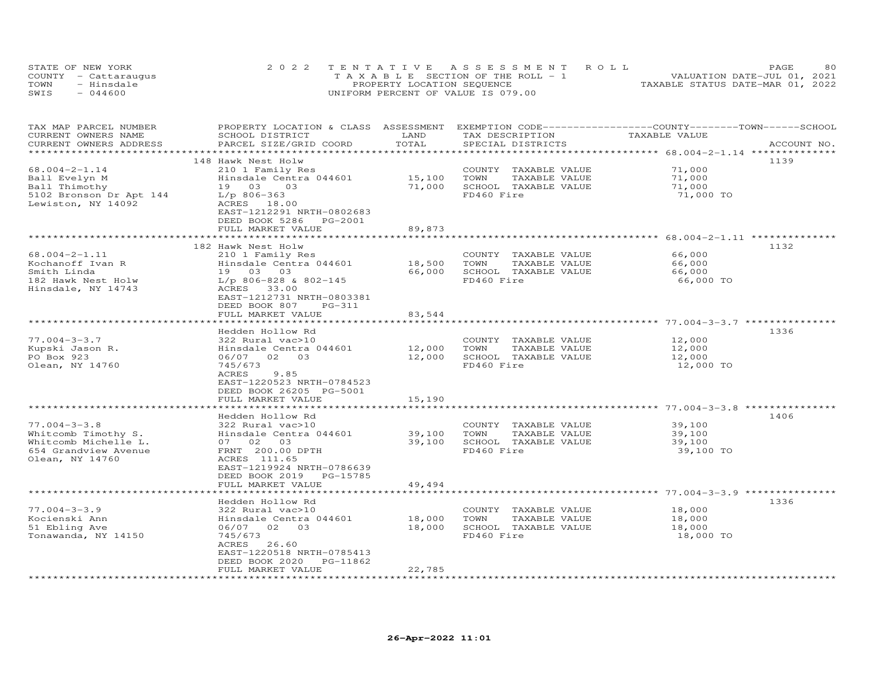|      | STATE OF NEW YORK    | 2022 TENTATIVE ASSESSMENT ROLL        | 80<br>PAGE                       |
|------|----------------------|---------------------------------------|----------------------------------|
|      | COUNTY - Cattaraugus | T A X A B L E SECTION OF THE ROLL - 1 | VALUATION DATE-JUL 01, 2021      |
| TOWN | - Hinsdale           | PROPERTY LOCATION SEQUENCE            | TAXABLE STATUS DATE-MAR 01, 2022 |
| SWIS | $-044600$            | UNIFORM PERCENT OF VALUE IS 079.00    |                                  |

| TAX MAP PARCEL NUMBER<br>CURRENT OWNERS NAME<br>CURRENT OWNERS ADDRESS                                       | PROPERTY LOCATION & CLASS ASSESSMENT<br>SCHOOL DISTRICT<br>PARCEL SIZE/GRID COORD                                                                                                          | LAND<br>TOTAL              | TAX DESCRIPTION<br>SPECIAL DISTRICTS                                                | EXEMPTION CODE-----------------COUNTY-------TOWN------SCHOOL<br>TAXABLE VALUE | ACCOUNT NO. |
|--------------------------------------------------------------------------------------------------------------|--------------------------------------------------------------------------------------------------------------------------------------------------------------------------------------------|----------------------------|-------------------------------------------------------------------------------------|-------------------------------------------------------------------------------|-------------|
|                                                                                                              |                                                                                                                                                                                            |                            |                                                                                     |                                                                               |             |
| $68.004 - 2 - 1.14$<br>Ball Evelyn M<br>Ball Thimothy<br>5102 Bronson Dr Apt 144<br>Lewiston, NY 14092       | 148 Hawk Nest Holw<br>210 1 Family Res<br>Hinsdale Centra 044601<br>19 03<br>03<br>$L/p$ 806-363<br>ACRES 18.00<br>EAST-1212291 NRTH-0802683<br>DEED BOOK 5286                             | 15,100<br>71,000           | COUNTY TAXABLE VALUE<br>TOWN<br>TAXABLE VALUE<br>SCHOOL TAXABLE VALUE<br>FD460 Fire | 71,000<br>71,000<br>71,000<br>71,000 TO                                       | 1139        |
|                                                                                                              | PG-2001<br>FULL MARKET VALUE                                                                                                                                                               | 89,873                     |                                                                                     |                                                                               |             |
|                                                                                                              |                                                                                                                                                                                            |                            |                                                                                     |                                                                               |             |
| $68.004 - 2 - 1.11$<br>Kochanoff Ivan R<br>Smith Linda<br>182 Hawk Nest Holw<br>Hinsdale, NY 14743           | 182 Hawk Nest Holw<br>210 1 Family Res<br>Hinsdale Centra 044601<br>19 03 03<br>$L/p$ 806-828 & 802-145<br>ACRES<br>33.00                                                                  | 18,500<br>66,000           | COUNTY TAXABLE VALUE<br>TOWN<br>TAXABLE VALUE<br>SCHOOL TAXABLE VALUE<br>FD460 Fire | 66,000<br>66,000<br>66,000<br>66,000 TO                                       | 1132        |
|                                                                                                              | EAST-1212731 NRTH-0803381<br>DEED BOOK 807<br>$PG-311$<br>FULL MARKET VALUE                                                                                                                | 83,544                     |                                                                                     |                                                                               |             |
|                                                                                                              | Hedden Hollow Rd                                                                                                                                                                           |                            |                                                                                     |                                                                               | 1336        |
| $77.004 - 3 - 3.7$<br>Kupski Jason R.<br>PO Box 923<br>Olean, NY 14760                                       | 322 Rural vac>10<br>Hinsdale Centra 044601<br>06/07 02 03<br>745/673<br>ACRES<br>9.85<br>EAST-1220523 NRTH-0784523<br>DEED BOOK 26205 PG-5001<br>FULL MARKET VALUE                         | 12,000<br>12,000<br>15,190 | COUNTY TAXABLE VALUE<br>TOWN<br>TAXABLE VALUE<br>SCHOOL TAXABLE VALUE<br>FD460 Fire | 12,000<br>12,000<br>12,000<br>12,000 TO                                       |             |
|                                                                                                              | ******************                                                                                                                                                                         |                            |                                                                                     |                                                                               |             |
| $77.004 - 3 - 3.8$<br>Whitcomb Timothy S.<br>Whitcomb Michelle L.<br>654 Grandview Avenue<br>Olean, NY 14760 | Hedden Hollow Rd<br>322 Rural vac>10<br>Hinsdale Centra 044601<br>07 02 03<br>FRNT 200.00 DPTH<br>ACRES 111.65<br>EAST-1219924 NRTH-0786639<br>DEED BOOK 2019 PG-15785                     | 39,100<br>39,100           | COUNTY TAXABLE VALUE<br>TOWN<br>TAXABLE VALUE<br>SCHOOL TAXABLE VALUE<br>FD460 Fire | 39,100<br>39,100<br>39,100<br>39,100 TO                                       | 1406        |
|                                                                                                              | FULL MARKET VALUE                                                                                                                                                                          | 49,494                     |                                                                                     |                                                                               |             |
| $77.004 - 3 - 3.9$<br>Kocienski Ann<br>51 Ebling Ave<br>Tonawanda, NY 14150                                  | Hedden Hollow Rd<br>322 Rural vac>10<br>Hinsdale Centra 044601<br>06/07 02 03<br>745/673<br>ACRES<br>26.60<br>EAST-1220518 NRTH-0785413<br>DEED BOOK 2020<br>PG-11862<br>FULL MARKET VALUE | 18,000<br>18,000<br>22,785 | COUNTY TAXABLE VALUE<br>TOWN<br>TAXABLE VALUE<br>SCHOOL TAXABLE VALUE<br>FD460 Fire | 18,000<br>18,000<br>18,000<br>18,000 TO                                       | 1336        |
|                                                                                                              |                                                                                                                                                                                            |                            |                                                                                     |                                                                               |             |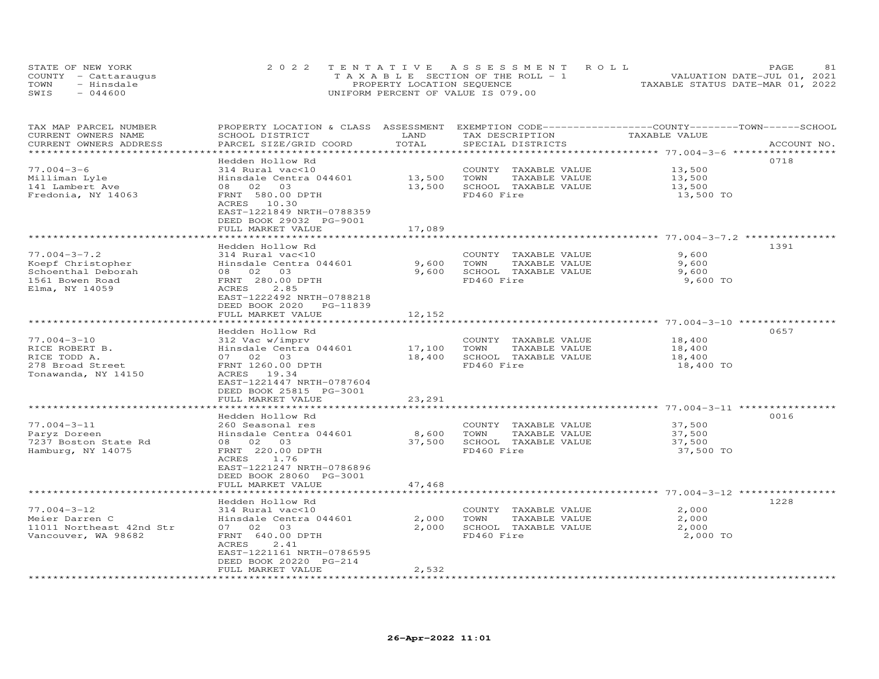|      | STATE OF NEW YORK    | 2022 TENTATIVE ASSESSMENT ROLL        | -81<br>PAGE                      |  |
|------|----------------------|---------------------------------------|----------------------------------|--|
|      | COUNTY - Cattaraugus | T A X A B L E SECTION OF THE ROLL - 1 | VALUATION DATE-JUL 01, 2021      |  |
| TOWN | - Hinsdale           | PROPERTY LOCATION SEQUENCE            | TAXABLE STATUS DATE-MAR 01, 2022 |  |
| SWIS | $-044600$            | UNIFORM PERCENT OF VALUE IS 079.00    |                                  |  |

| TAX MAP PARCEL NUMBER<br>CURRENT OWNERS NAME<br>CURRENT OWNERS ADDRESS                             | PROPERTY LOCATION & CLASS ASSESSMENT EXEMPTION CODE----------------COUNTY-------TOWN-----SCHOOL<br>SCHOOL DISTRICT<br>PARCEL SIZE/GRID COORD | LAND<br>TOTAL    | TAX DESCRIPTION<br>SPECIAL DISTRICTS                                                | TAXABLE VALUE                       | ACCOUNT NO. |
|----------------------------------------------------------------------------------------------------|----------------------------------------------------------------------------------------------------------------------------------------------|------------------|-------------------------------------------------------------------------------------|-------------------------------------|-------------|
| $77.004 - 3 - 6$                                                                                   | Hedden Hollow Rd<br>314 Rural vac<10                                                                                                         |                  | COUNTY TAXABLE VALUE                                                                | 13,500                              | 0718        |
| Milliman Lyle<br>141 Lambert Ave<br>Fredonia, NY 14063                                             | Hinsdale Centra 044601<br>08 02 03<br>FRNT 580.00 DPTH<br>ACRES 10.30<br>EAST-1221849 NRTH-0788359<br>DEED BOOK 29032 PG-9001                | 13,500<br>13,500 | TAXABLE VALUE<br>TOWN<br>SCHOOL TAXABLE VALUE<br>FD460 Fire                         | 13,500<br>13,500<br>13,500 TO       |             |
|                                                                                                    | FULL MARKET VALUE                                                                                                                            | 17,089           |                                                                                     |                                     |             |
|                                                                                                    | Hedden Hollow Rd                                                                                                                             |                  |                                                                                     |                                     | 1391        |
| $77.004 - 3 - 7.2$<br>Koepf Christopher<br>Schoenthal Deborah<br>1561 Bowen Road<br>Elma, NY 14059 | 314 Rural vac<10<br>Hinsdale Centra 044601<br>08 02 03<br>FRNT 280.00 DPTH<br>ACRES<br>2.85<br>EAST-1222492 NRTH-0788218                     | 9,600<br>9,600   | COUNTY TAXABLE VALUE<br>TAXABLE VALUE<br>TOWN<br>SCHOOL TAXABLE VALUE<br>FD460 Fire | 9,600<br>9,600<br>9,600<br>9,600 TO |             |
|                                                                                                    | DEED BOOK 2020<br>PG-11839<br>FULL MARKET VALUE                                                                                              | 12,152           |                                                                                     |                                     |             |
|                                                                                                    |                                                                                                                                              |                  |                                                                                     |                                     |             |
|                                                                                                    | Hedden Hollow Rd                                                                                                                             |                  |                                                                                     |                                     | 0657        |
| $77.004 - 3 - 10$                                                                                  | 312 Vac w/imprv                                                                                                                              |                  | COUNTY TAXABLE VALUE                                                                | 18,400                              |             |
| RICE ROBERT B.                                                                                     | Hinsdale Centra 044601                                                                                                                       | 17,100           | TOWN<br>TAXABLE VALUE                                                               | 18,400                              |             |
| RICE TODD A.                                                                                       | 07 02 03                                                                                                                                     | 18,400           | SCHOOL TAXABLE VALUE                                                                | 18,400                              |             |
| 278 Broad Street<br>Tonawanda, NY 14150                                                            | FRNT 1260.00 DPTH<br>ACRES 19.34<br>EAST-1221447 NRTH-0787604<br>DEED BOOK 25815 PG-3001                                                     |                  | FD460 Fire                                                                          | 18,400 TO                           |             |
|                                                                                                    | FULL MARKET VALUE                                                                                                                            | 23,291           |                                                                                     |                                     |             |
|                                                                                                    |                                                                                                                                              |                  |                                                                                     |                                     |             |
| $77.004 - 3 - 11$                                                                                  | Hedden Hollow Rd                                                                                                                             |                  | COUNTY TAXABLE VALUE                                                                | 37,500                              | 0016        |
| Paryz Doreen                                                                                       | 260 Seasonal res<br>Hinsdale Centra 044601                                                                                                   | 8,600            | TAXABLE VALUE<br>TOWN                                                               | 37,500                              |             |
| 7237 Boston State Rd                                                                               | 08 02 03                                                                                                                                     | 37,500           | SCHOOL TAXABLE VALUE                                                                | 37,500                              |             |
| Hamburg, NY 14075                                                                                  | FRNT 220.00 DPTH<br>ACRES<br>1.76<br>EAST-1221247 NRTH-0786896<br>DEED BOOK 28060 PG-3001                                                    |                  | FD460 Fire                                                                          | 37,500 TO                           |             |
|                                                                                                    | FULL MARKET VALUE                                                                                                                            | 47,468           |                                                                                     |                                     |             |
|                                                                                                    | *********************                                                                                                                        | **************   |                                                                                     |                                     |             |
|                                                                                                    | Hedden Hollow Rd                                                                                                                             |                  |                                                                                     |                                     | 1228        |
| $77.004 - 3 - 12$                                                                                  | 314 Rural vac<10                                                                                                                             |                  | COUNTY TAXABLE VALUE                                                                | 2,000                               |             |
| Meier Darren C<br>11011 Northeast 42nd Str                                                         | Hinsdale Centra 044601<br>07 02 03                                                                                                           | 2,000<br>2,000   | TAXABLE VALUE<br>TOWN<br>SCHOOL TAXABLE VALUE                                       | 2,000                               |             |
| Vancouver, WA 98682                                                                                | FRNT 640.00 DPTH<br>ACRES<br>2.41<br>EAST-1221161 NRTH-0786595<br>DEED BOOK 20220 PG-214                                                     |                  | FD460 Fire                                                                          | 2,000<br>2,000 TO                   |             |
|                                                                                                    | FULL MARKET VALUE                                                                                                                            | 2,532            |                                                                                     |                                     |             |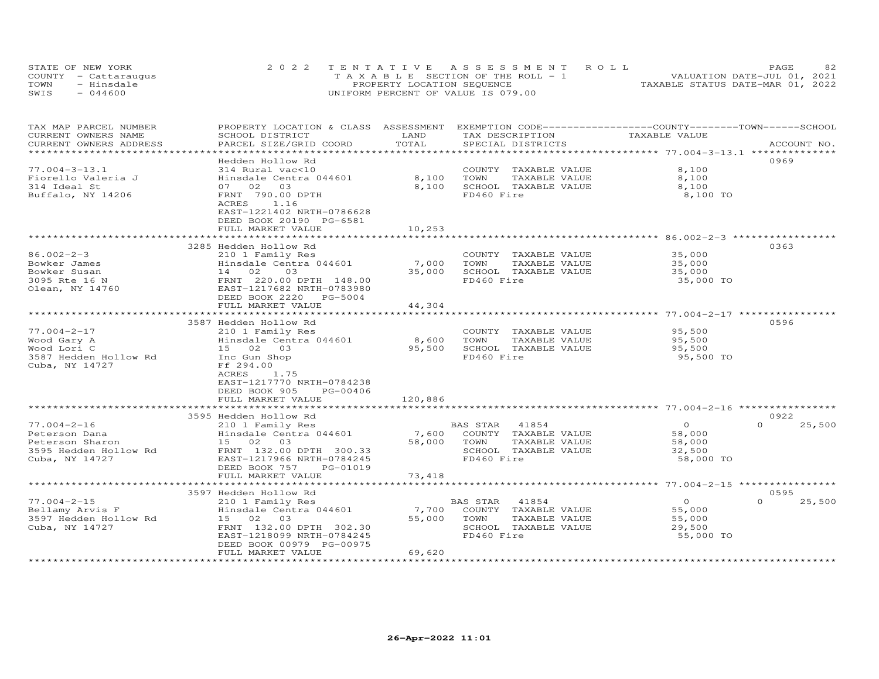|      | STATE OF NEW YORK    | 2022 TENTATIVE ASSESSMENT ROLL        | 82<br>PAGE                       |
|------|----------------------|---------------------------------------|----------------------------------|
|      | COUNTY - Cattaraugus | T A X A B L E SECTION OF THE ROLL - 1 | VALUATION DATE-JUL 01, 2021      |
| TOWN | - Hinsdale           | PROPERTY LOCATION SEQUENCE            | TAXABLE STATUS DATE-MAR 01, 2022 |
| SWIS | $-044600$            | UNIFORM PERCENT OF VALUE IS 079.00    |                                  |

| TAX MAP PARCEL NUMBER<br>CURRENT OWNERS NAME<br>CURRENT OWNERS ADDRESS                           | PROPERTY LOCATION & CLASS ASSESSMENT<br>SCHOOL DISTRICT<br>PARCEL SIZE/GRID COORD                                                                                | LAND<br>TOTAL             | EXEMPTION CODE-----------------COUNTY-------TOWN-----SCHOOL<br>TAX DESCRIPTION<br>SPECIAL DISTRICTS      | TAXABLE VALUE                                       | ACCOUNT NO.        |
|--------------------------------------------------------------------------------------------------|------------------------------------------------------------------------------------------------------------------------------------------------------------------|---------------------------|----------------------------------------------------------------------------------------------------------|-----------------------------------------------------|--------------------|
| ******************************                                                                   |                                                                                                                                                                  |                           |                                                                                                          |                                                     |                    |
| $77.004 - 3 - 13.1$<br>Fiorello Valeria J<br>314 Ideal St<br>Buffalo, NY 14206                   | Hedden Hollow Rd<br>314 Rural vac<10<br>Hinsdale Centra 044601<br>07 02 03<br>FRNT 790.00 DPTH<br>1.16<br>ACRES                                                  | 8,100<br>8,100            | COUNTY TAXABLE VALUE<br>TOWN<br>TAXABLE VALUE<br>SCHOOL TAXABLE VALUE<br>FD460 Fire                      | 8,100<br>8,100<br>8,100<br>8,100 TO                 | 0969               |
|                                                                                                  | EAST-1221402 NRTH-0786628<br>DEED BOOK 20190 PG-6581<br>FULL MARKET VALUE                                                                                        | 10,253                    |                                                                                                          |                                                     |                    |
|                                                                                                  | 3285 Hedden Hollow Rd                                                                                                                                            |                           |                                                                                                          |                                                     | 0363               |
| $86.002 - 2 - 3$<br>Bowker James<br>Bowker Susan<br>3095 Rte 16 N<br>Olean, NY 14760             | 210 1 Family Res<br>Hinsdale Centra 044601<br>14 02<br>03<br>FRNT 220.00 DPTH 148.00<br>EAST-1217682 NRTH-0783980                                                | 7,000<br>35,000           | COUNTY TAXABLE VALUE<br>TOWN<br>TAXABLE VALUE<br>SCHOOL TAXABLE VALUE<br>FD460 Fire                      | 35,000<br>35,000<br>35,000<br>35,000 TO             |                    |
|                                                                                                  | DEED BOOK 2220<br>PG-5004<br>FULL MARKET VALUE                                                                                                                   | 44,304                    |                                                                                                          |                                                     |                    |
|                                                                                                  | ************************                                                                                                                                         | *******************       |                                                                                                          |                                                     |                    |
| $77.004 - 2 - 17$<br>Wood Gary A<br>Wood Lori C<br>3587 Hedden Hollow Rd<br>Cuba, NY 14727       | 3587 Hedden Hollow Rd<br>210 1 Family Res<br>Hinsdale Centra 044601<br>15 02 03<br>Inc Gun Shop<br>Ff 294.00<br>1.75<br>ACRES                                    | 8,600<br>95,500           | COUNTY TAXABLE VALUE<br>TAXABLE VALUE<br>TOWN<br>SCHOOL TAXABLE VALUE<br>FD460 Fire                      | 95,500<br>95,500<br>95,500<br>95,500 TO             | 0596               |
|                                                                                                  | EAST-1217770 NRTH-0784238<br>DEED BOOK 905<br>PG-00406<br>FULL MARKET VALUE                                                                                      | 120,886                   |                                                                                                          |                                                     |                    |
|                                                                                                  | 3595 Hedden Hollow Rd                                                                                                                                            |                           |                                                                                                          |                                                     | 0922               |
| $77.004 - 2 - 16$<br>Peterson Dana<br>Peterson Sharon<br>3595 Hedden Hollow Rd<br>Cuba, NY 14727 | 210 1 Family Res<br>Hinsdale Centra 044601<br>15 02 03<br>FRNT 132.00 DPTH 300.33<br>EAST-1217966 NRTH-0784245<br>DEED BOOK 757<br>PG-01019<br>FULL MARKET VALUE | 7,600<br>58,000<br>73,418 | BAS STAR<br>41854<br>COUNTY TAXABLE VALUE<br>TOWN<br>TAXABLE VALUE<br>SCHOOL TAXABLE VALUE<br>FD460 Fire | $\Omega$<br>58,000<br>58,000<br>32,500<br>58,000 TO | 25,500<br>$\Omega$ |
|                                                                                                  | *******************************                                                                                                                                  |                           |                                                                                                          |                                                     |                    |
|                                                                                                  | 3597 Hedden Hollow Rd                                                                                                                                            |                           |                                                                                                          |                                                     | 0595               |
| $77.004 - 2 - 15$<br>Bellamy Arvis F<br>3597 Hedden Hollow Rd<br>Cuba, NY 14727                  | 210 1 Family Res<br>Hinsdale Centra 044601<br>15 02 03<br>FRNT 132.00 DPTH 302.30<br>EAST-1218099 NRTH-0784245<br>DEED BOOK 00979 PG-00975<br>FULL MARKET VALUE  | 7,700<br>55,000<br>69,620 | BAS STAR<br>41854<br>COUNTY TAXABLE VALUE<br>TAXABLE VALUE<br>TOWN<br>SCHOOL TAXABLE VALUE<br>FD460 Fire | $\circ$<br>55,000<br>55,000<br>29,500<br>55,000 TO  | $\Omega$<br>25,500 |
|                                                                                                  |                                                                                                                                                                  |                           |                                                                                                          |                                                     |                    |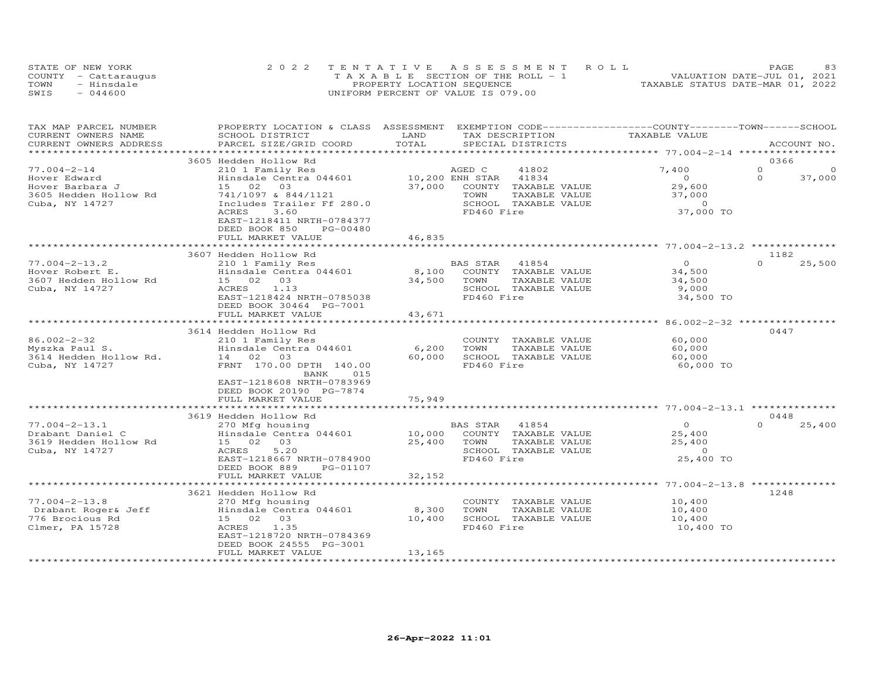|      | STATE OF NEW YORK    | 2022 TENTATIVE ASSESSMENT ROLL        | <b>PAGE</b>                      |
|------|----------------------|---------------------------------------|----------------------------------|
|      | COUNTY - Cattaraugus | T A X A B L E SECTION OF THE ROLL - 1 | VALUATION DATE-JUL 01, 2021      |
| TOWN | - Hinsdale           | PROPERTY LOCATION SEQUENCE            | TAXABLE STATUS DATE-MAR 01, 2022 |
| SWIS | $-044600$            | UNIFORM PERCENT OF VALUE IS 079.00    |                                  |

| TAX MAP PARCEL NUMBER                  | PROPERTY LOCATION & CLASS ASSESSMENT               |                           | EXEMPTION CODE-----------------COUNTY-------TOWN------SCHOOL |                                                       |                      |
|----------------------------------------|----------------------------------------------------|---------------------------|--------------------------------------------------------------|-------------------------------------------------------|----------------------|
| CURRENT OWNERS NAME                    | SCHOOL DISTRICT                                    | LAND                      | TAX DESCRIPTION                                              | TAXABLE VALUE                                         |                      |
| CURRENT OWNERS ADDRESS                 | PARCEL SIZE/GRID COORD                             | TOTAL                     | SPECIAL DISTRICTS                                            |                                                       | ACCOUNT NO.          |
|                                        |                                                    |                           |                                                              |                                                       |                      |
|                                        | 3605 Hedden Hollow Rd                              |                           |                                                              |                                                       | 0366                 |
| $77.004 - 2 - 14$                      | 210 1 Family Res                                   |                           | AGED C<br>41802                                              | 7,400                                                 | $\Omega$<br>$\Omega$ |
| Hover Edward                           | Hinsdale Centra 044601                             | 10,200 ENH STAR           | 41834                                                        | $\overline{O}$                                        | $\Omega$<br>37,000   |
| Hover Barbara J                        | 15 02 03                                           | 37,000                    | COUNTY TAXABLE VALUE                                         | 29,600                                                |                      |
| 3605 Hedden Hollow Rd                  | 741/1097 & 844/1121<br>Includes Trailer Ff 280.0   |                           | TOWN<br>TAXABLE VALUE<br>SCHOOL TAXABLE VALUE                | 37,000<br>$\Omega$                                    |                      |
| Cuba, NY 14727                         | ACRES<br>3.60                                      |                           | FD460 Fire                                                   | 37,000 TO                                             |                      |
|                                        | EAST-1218411 NRTH-0784377                          |                           |                                                              |                                                       |                      |
|                                        | DEED BOOK 850<br>PG-00480                          |                           |                                                              |                                                       |                      |
|                                        | FULL MARKET VALUE                                  | 46,835                    |                                                              |                                                       |                      |
|                                        | *************************                          |                           |                                                              |                                                       |                      |
|                                        | 3607 Hedden Hollow Rd                              |                           |                                                              |                                                       | 1182                 |
| $77.004 - 2 - 13.2$                    | 210 1 Family Res                                   |                           | BAS STAR 41854                                               | $\Omega$                                              | $\Omega$<br>25,500   |
| Hover Robert E.                        | Hinsdale Centra 044601                             | 8,100                     | COUNTY TAXABLE VALUE                                         | 34,500                                                |                      |
| 3607 Hedden Hollow Rd                  | 15 02 03                                           | 34,500                    | TOWN<br>TAXABLE VALUE                                        | 34,500                                                |                      |
| Cuba, NY 14727                         | 1.13<br>ACRES                                      |                           | SCHOOL TAXABLE VALUE                                         | 9,000                                                 |                      |
|                                        | EAST-1218424 NRTH-0785038                          |                           | FD460 Fire                                                   | 34,500 TO                                             |                      |
|                                        | DEED BOOK 30464 PG-7001                            |                           |                                                              |                                                       |                      |
|                                        | FULL MARKET VALUE                                  | 43,671                    |                                                              |                                                       |                      |
|                                        |                                                    |                           |                                                              |                                                       |                      |
|                                        | 3614 Hedden Hollow Rd                              |                           |                                                              |                                                       | 0447                 |
| $86.002 - 2 - 32$                      | 210 1 Family Res                                   |                           | COUNTY TAXABLE VALUE                                         | 60,000                                                |                      |
| Myszka Paul S.                         | Hinsdale Centra 044601                             | 6,200                     | TOWN<br>TAXABLE VALUE                                        | 60,000                                                |                      |
| 3614 Hedden Hollow Rd.                 | 14 02 03<br>FRNT 170.00 DPTH 140.00                | 60,000                    | SCHOOL TAXABLE VALUE<br>FD460 Fire                           | 60,000<br>60,000 TO                                   |                      |
| Cuba, NY 14727                         | BANK<br>015                                        |                           |                                                              |                                                       |                      |
|                                        | EAST-1218608 NRTH-0783969                          |                           |                                                              |                                                       |                      |
|                                        | DEED BOOK 20190 PG-7874                            |                           |                                                              |                                                       |                      |
|                                        | FULL MARKET VALUE                                  | 75,949                    |                                                              |                                                       |                      |
|                                        |                                                    |                           |                                                              |                                                       |                      |
|                                        | 3619 Hedden Hollow Rd                              |                           |                                                              |                                                       | 0448                 |
| $77.004 - 2 - 13.1$                    | 270 Mfg housing                                    |                           | BAS STAR<br>41854                                            | $\circ$                                               | $\Omega$<br>25,400   |
| Drabant Daniel C                       | Hinsdale Centra 044601                             | 10,000                    | COUNTY TAXABLE VALUE                                         | 25,400                                                |                      |
| 3619 Hedden Hollow Rd                  | 15 02 03                                           | 25,400                    | TOWN<br>TAXABLE VALUE                                        | 25,400                                                |                      |
| Cuba, NY 14727                         | <b>ACRES</b><br>5.20                               |                           | SCHOOL TAXABLE VALUE                                         | $\circ$                                               |                      |
|                                        | EAST-1218667 NRTH-0784900                          |                           | FD460 Fire                                                   | 25,400 TO                                             |                      |
|                                        | DEED BOOK 889<br>PG-01107                          |                           |                                                              |                                                       |                      |
|                                        | FULL MARKET VALUE<br>***************************** | 32,152<br>*************** |                                                              |                                                       |                      |
|                                        |                                                    |                           |                                                              | ************************ 77.004-2-13.8 ************** |                      |
| $77.004 - 2 - 13.8$                    | 3621 Hedden Hollow Rd                              |                           |                                                              |                                                       | 1248                 |
|                                        | 270 Mfg housing<br>Hinsdale Centra 044601          |                           | COUNTY TAXABLE VALUE<br>TAXABLE VALUE                        | 10,400                                                |                      |
| Drabant Roger& Jeff<br>776 Brocious Rd | 15 02 03                                           | 8,300<br>10,400           | TOWN<br>SCHOOL TAXABLE VALUE                                 | 10,400<br>10,400                                      |                      |
| Clmer, PA 15728                        | ACRES<br>1.35                                      |                           | FD460 Fire                                                   | 10,400 TO                                             |                      |
|                                        | EAST-1218720 NRTH-0784369                          |                           |                                                              |                                                       |                      |
|                                        | DEED BOOK 24555 PG-3001                            |                           |                                                              |                                                       |                      |
|                                        | FULL MARKET VALUE                                  | 13,165                    |                                                              |                                                       |                      |
|                                        |                                                    |                           |                                                              |                                                       |                      |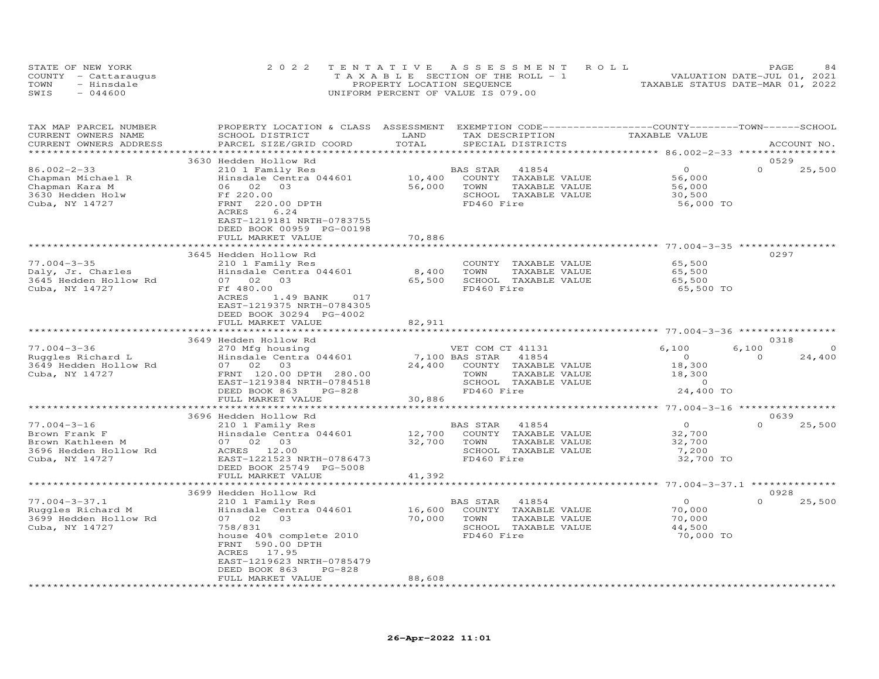|      | STATE OF NEW YORK    | 2022 TENTATIVE ASSESSMENT ROLL        | 84<br>PAGE                       |
|------|----------------------|---------------------------------------|----------------------------------|
|      | COUNTY - Cattaraugus | T A X A B L E SECTION OF THE ROLL - 1 | VALUATION DATE-JUL 01, 2021      |
| TOWN | - Hinsdale           | PROPERTY LOCATION SEQUENCE            | TAXABLE STATUS DATE-MAR 01, 2022 |
| SWIS | $-044600$            | UNIFORM PERCENT OF VALUE IS 079.00    |                                  |

| TAX MAP PARCEL NUMBER<br>CURRENT OWNERS NAME<br>CURRENT OWNERS ADDRESS                            | PROPERTY LOCATION & CLASS ASSESSMENT<br>SCHOOL DISTRICT<br>PARCEL SIZE/GRID COORD                                                                                                                                                              | LAND<br>TOTAL                      | EXEMPTION CODE-----------------COUNTY-------TOWN-----SCHOOL<br>TAX DESCRIPTION<br>SPECIAL DISTRICTS              | TAXABLE VALUE                                                        | ACCOUNT NO.                             |
|---------------------------------------------------------------------------------------------------|------------------------------------------------------------------------------------------------------------------------------------------------------------------------------------------------------------------------------------------------|------------------------------------|------------------------------------------------------------------------------------------------------------------|----------------------------------------------------------------------|-----------------------------------------|
|                                                                                                   |                                                                                                                                                                                                                                                | *******************                |                                                                                                                  | ************ 86.002-2-33 *********                                   |                                         |
| $86.002 - 2 - 33$<br>Chapman Michael R<br>Chapman Kara M<br>3630 Hedden Holw<br>Cuba, NY 14727    | 3630 Hedden Hollow Rd<br>210 1 Family Res<br>Hinsdale Centra 044601<br>06 02 03<br>Ff 220.00<br>FRNT 220.00 DPTH<br>6.24<br>ACRES<br>EAST-1219181 NRTH-0783755<br>DEED BOOK 00959 PG-00198<br>FULL MARKET VALUE                                | 10,400<br>56,000<br>70,886         | BAS STAR<br>41854<br>COUNTY TAXABLE VALUE<br>TOWN<br>TAXABLE VALUE<br>SCHOOL TAXABLE VALUE<br>FD460 Fire         | $\circ$<br>56,000<br>56,000<br>30,500<br>56,000 TO                   | 0529<br>$\Omega$<br>25,500              |
|                                                                                                   |                                                                                                                                                                                                                                                |                                    |                                                                                                                  | ******************** 77.004-3-35 ****                                |                                         |
| $77.004 - 3 - 35$<br>Daly, Jr. Charles<br>3645 Hedden Hollow Rd<br>Cuba, NY 14727                 | 3645 Hedden Hollow Rd<br>210 1 Family Res<br>Hinsdale Centra 044601<br>07 02 03<br>Ff 480.00<br>ACRES<br>1.49 BANK<br>017<br>EAST-1219375 NRTH-0784305<br>DEED BOOK 30294 PG-4002                                                              | 8,400<br>65,500                    | COUNTY TAXABLE VALUE<br>TOWN<br>TAXABLE VALUE<br>SCHOOL TAXABLE VALUE<br>FD460 Fire                              | 65,500<br>65,500<br>65,500<br>65,500 TO                              | 0297                                    |
|                                                                                                   | FULL MARKET VALUE                                                                                                                                                                                                                              | 82,911<br>* * * * * * * * * * * *  |                                                                                                                  |                                                                      |                                         |
|                                                                                                   | 3649 Hedden Hollow Rd                                                                                                                                                                                                                          |                                    |                                                                                                                  |                                                                      | 0318                                    |
| $77.004 - 3 - 36$<br>Ruggles Richard L<br>3649 Hedden Hollow Rd<br>Cuba, NY 14727                 | 270 Mfg housing<br>Hinsdale Centra 044601<br>07 02<br>03<br>FRNT 120.00 DPTH 280.00<br>EAST-1219384 NRTH-0784518<br>DEED BOOK 863<br>$PG-828$<br>FULL MARKET VALUE                                                                             | 7,100 BAS STAR<br>24,400<br>30,886 | VET COM CT 41131<br>41854<br>COUNTY TAXABLE VALUE<br>TOWN<br>TAXABLE VALUE<br>SCHOOL TAXABLE VALUE<br>FD460 Fire | 6,100<br>$\overline{O}$<br>18,300<br>18,300<br>$\Omega$<br>24,400 TO | 6,100<br>$\Omega$<br>$\Omega$<br>24,400 |
|                                                                                                   | 3696 Hedden Hollow Rd                                                                                                                                                                                                                          |                                    |                                                                                                                  |                                                                      | 0639                                    |
| $77.004 - 3 - 16$<br>Brown Frank F<br>Brown Kathleen M<br>3696 Hedden Hollow Rd<br>Cuba, NY 14727 | 210 1 Family Res<br>Hinsdale Centra 044601<br>07 02 03<br>ACRES 12.00<br>EAST-1221523 NRTH-0786473<br>DEED BOOK 25749 PG-5008<br>FULL MARKET VALUE                                                                                             | 12,700<br>32,700<br>41,392         | BAS STAR<br>41854<br>COUNTY TAXABLE VALUE<br>TOWN<br>TAXABLE VALUE<br>SCHOOL TAXABLE VALUE<br>FD460 Fire         | $\Omega$<br>32,700<br>32,700<br>7,200<br>32,700 TO                   | $\Omega$<br>25,500                      |
|                                                                                                   | ****************************                                                                                                                                                                                                                   |                                    |                                                                                                                  |                                                                      |                                         |
| $77.004 - 3 - 37.1$<br>Ruggles Richard M<br>3699 Hedden Hollow Rd<br>Cuba, NY 14727               | 3699 Hedden Hollow Rd<br>210 1 Family Res<br>Hinsdale Centra 044601<br>0.3<br>07 02<br>758/831<br>house 40% complete 2010<br>FRNT 590.00 DPTH<br>17.95<br>ACRES<br>EAST-1219623 NRTH-0785479<br>DEED BOOK 863<br>$PG-828$<br>FULL MARKET VALUE | 16,600<br>70,000<br>88,608         | BAS STAR<br>41854<br>COUNTY TAXABLE VALUE<br>TAXABLE VALUE<br>TOWN<br>SCHOOL TAXABLE VALUE<br>FD460 Fire         | $\overline{O}$<br>70,000<br>70,000<br>44,500<br>70,000 TO            | 0928<br>$\Omega$<br>25,500              |
|                                                                                                   |                                                                                                                                                                                                                                                |                                    |                                                                                                                  |                                                                      |                                         |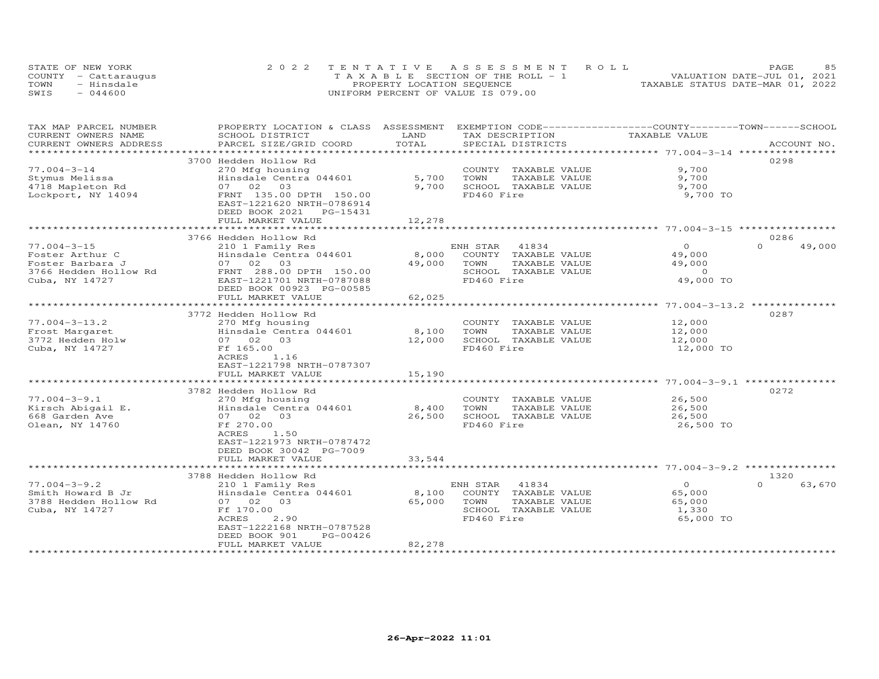|      | STATE OF NEW YORK    | 2022 TENTATIVE ASSESSMENT ROLL        | <b>PAGE</b>                      |
|------|----------------------|---------------------------------------|----------------------------------|
|      | COUNTY - Cattaraugus | T A X A B L E SECTION OF THE ROLL - 1 | VALUATION DATE-JUL 01, 2021      |
| TOWN | - Hinsdale           | PROPERTY LOCATION SEQUENCE            | TAXABLE STATUS DATE-MAR 01, 2022 |
| SWIS | $-044600$            | UNIFORM PERCENT OF VALUE IS 079.00    |                                  |

| TAX MAP PARCEL NUMBER  | PROPERTY LOCATION & CLASS ASSESSMENT |                        | EXEMPTION CODE-----------------COUNTY-------TOWN------SCHOOL |                                                          |                    |
|------------------------|--------------------------------------|------------------------|--------------------------------------------------------------|----------------------------------------------------------|--------------------|
| CURRENT OWNERS NAME    | SCHOOL DISTRICT                      | LAND                   | TAX DESCRIPTION                                              | TAXABLE VALUE                                            |                    |
| CURRENT OWNERS ADDRESS | PARCEL SIZE/GRID COORD               | TOTAL                  | SPECIAL DISTRICTS                                            |                                                          | ACCOUNT NO.        |
| **************         |                                      | ********************** |                                                              | ******************* 77.004-3-14 *****************        |                    |
|                        | 3700 Hedden Hollow Rd                |                        |                                                              |                                                          | 0298               |
| $77.004 - 3 - 14$      | 270 Mfg housing                      |                        | COUNTY TAXABLE VALUE                                         | 9,700                                                    |                    |
| Stymus Melissa         | Hinsdale Centra 044601               | 5,700                  | TOWN<br>TAXABLE VALUE                                        | 9,700                                                    |                    |
| 4718 Mapleton Rd       | 07 02<br>03                          | 9,700                  | SCHOOL TAXABLE VALUE                                         | 9,700                                                    |                    |
| Lockport, NY 14094     | FRNT 135.00 DPTH 150.00              |                        | FD460 Fire                                                   | 9,700 TO                                                 |                    |
|                        | EAST-1221620 NRTH-0786914            |                        |                                                              |                                                          |                    |
|                        | DEED BOOK 2021 PG-15431              |                        |                                                              |                                                          |                    |
|                        | FULL MARKET VALUE                    | 12,278                 |                                                              |                                                          |                    |
|                        |                                      |                        |                                                              | ************************************5004-3-15 ********** |                    |
|                        | 3766 Hedden Hollow Rd                |                        |                                                              |                                                          | 0286               |
| $77.004 - 3 - 15$      | 210 1 Family Res                     |                        | ENH STAR<br>41834                                            | $\circ$                                                  | $\Omega$<br>49,000 |
| Foster Arthur C        | Hinsdale Centra 044601               | 8,000                  | COUNTY TAXABLE VALUE                                         | 49,000                                                   |                    |
| Foster Barbara J       | 07 02 03                             | 49,000                 | TOWN<br>TAXABLE VALUE                                        | 49,000                                                   |                    |
| 3766 Hedden Hollow Rd  | FRNT 288.00 DPTH 150.00              |                        | SCHOOL TAXABLE VALUE                                         | $\circ$                                                  |                    |
| Cuba, NY 14727         | EAST-1221701 NRTH-0787088            |                        | FD460 Fire                                                   | 49,000 TO                                                |                    |
|                        | DEED BOOK 00923 PG-00585             |                        |                                                              |                                                          |                    |
|                        | FULL MARKET VALUE                    | 62,025                 |                                                              |                                                          |                    |
|                        | *******************************      | ***************        |                                                              | ************************ 77.004-3-13.2 **************    |                    |
|                        | 3772 Hedden Hollow Rd                |                        |                                                              |                                                          | 0287               |
| $77.004 - 3 - 13.2$    | 270 Mfg housing                      |                        | COUNTY TAXABLE VALUE                                         | 12,000                                                   |                    |
| Frost Margaret         | Hinsdale Centra 044601               | 8,100                  | TOWN<br>TAXABLE VALUE                                        | 12,000                                                   |                    |
| 3772 Hedden Holw       | 07 02<br>03                          | 12,000                 | SCHOOL TAXABLE VALUE                                         | 12,000                                                   |                    |
| Cuba, NY 14727         | Ff 165.00                            |                        | FD460 Fire                                                   | 12,000 TO                                                |                    |
|                        | ACRES<br>1.16                        |                        |                                                              |                                                          |                    |
|                        | EAST-1221798 NRTH-0787307            |                        |                                                              |                                                          |                    |
|                        | FULL MARKET VALUE                    | 15,190                 |                                                              |                                                          |                    |
|                        | **********************************   |                        |                                                              |                                                          |                    |
|                        | 3782 Hedden Hollow Rd                |                        |                                                              |                                                          | 0272               |
| $77.004 - 3 - 9.1$     | 270 Mfg housing                      |                        | COUNTY TAXABLE VALUE                                         | 26,500                                                   |                    |
| Kirsch Abigail E.      | Hinsdale Centra 044601               | 8,400                  | TOWN<br>TAXABLE VALUE                                        | 26,500                                                   |                    |
| 668 Garden Ave         | 07 02 03                             | 26,500                 | SCHOOL TAXABLE VALUE                                         | 26,500                                                   |                    |
| Olean, NY 14760        | Ff 270.00                            |                        | FD460 Fire                                                   | 26,500 TO                                                |                    |
|                        | ACRES<br>1.50                        |                        |                                                              |                                                          |                    |
|                        | EAST-1221973 NRTH-0787472            |                        |                                                              |                                                          |                    |
|                        | DEED BOOK 30042 PG-7009              |                        |                                                              |                                                          |                    |
|                        | FULL MARKET VALUE                    | 33,544                 |                                                              |                                                          |                    |
|                        | ***********************              |                        |                                                              |                                                          |                    |
|                        | 3788 Hedden Hollow Rd                |                        |                                                              |                                                          | 1320               |
| $77.004 - 3 - 9.2$     | 210 1 Family Res                     |                        | 41834<br>ENH STAR                                            | $\circ$                                                  | $\Omega$<br>63,670 |
| Smith Howard B Jr      | Hinsdale Centra 044601               | 8,100                  | COUNTY TAXABLE VALUE                                         | 65,000                                                   |                    |
| 3788 Hedden Hollow Rd  | 07 02<br>03                          | 65,000                 | TOWN<br>TAXABLE VALUE                                        | 65,000                                                   |                    |
| Cuba, NY 14727         | Ff 170.00                            |                        | SCHOOL TAXABLE VALUE                                         | 1,330                                                    |                    |
|                        | ACRES<br>2.90                        |                        | FD460 Fire                                                   | 65,000 TO                                                |                    |
|                        | EAST-1222168 NRTH-0787528            |                        |                                                              |                                                          |                    |
|                        | DEED BOOK 901<br>PG-00426            |                        |                                                              |                                                          |                    |
|                        | FULL MARKET VALUE                    | 82,278                 |                                                              |                                                          |                    |
|                        |                                      |                        |                                                              |                                                          |                    |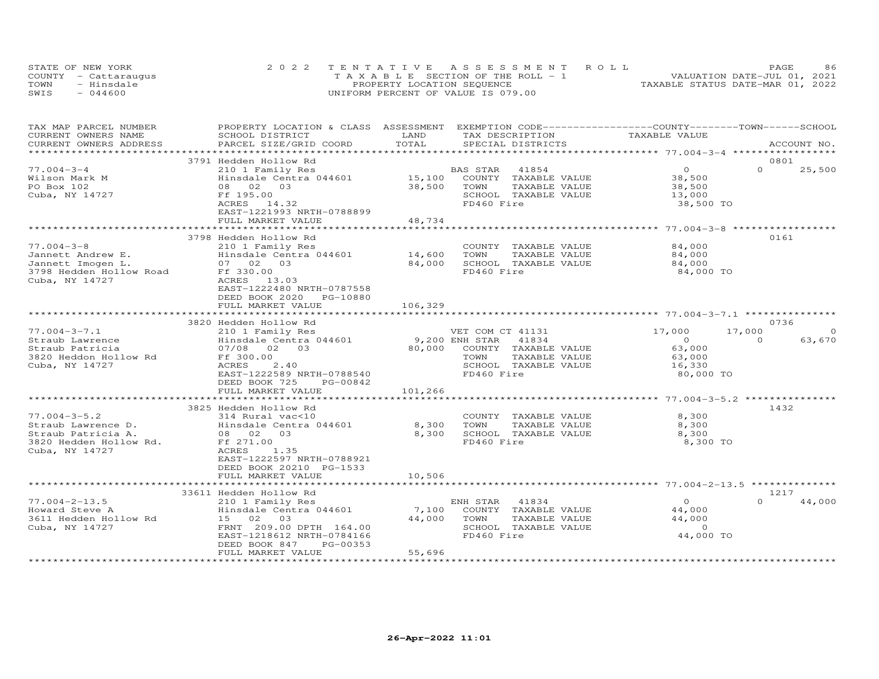|      | STATE OF NEW YORK    | 2022 TENTATIVE ASSESSMENT ROLL        | 86<br>PAGE                       |
|------|----------------------|---------------------------------------|----------------------------------|
|      | COUNTY - Cattaraugus | T A X A B L E SECTION OF THE ROLL - 1 | VALUATION DATE-JUL 01, 2021      |
| TOWN | - Hinsdale           | PROPERTY LOCATION SEQUENCE            | TAXABLE STATUS DATE-MAR 01, 2022 |
| SWIS | $-044600$            | UNIFORM PERCENT OF VALUE IS 079.00    |                                  |

| TAX MAP PARCEL NUMBER<br>CURRENT OWNERS NAME<br>CURRENT OWNERS ADDRESS                                            | PROPERTY LOCATION & CLASS ASSESSMENT EXEMPTION CODE----------------COUNTY--------TOWN------SCHOOL<br>SCHOOL DISTRICT<br>PARCEL SIZE/GRID COORD                                                     | LAND<br>TOTAL                       | TAX DESCRIPTION<br>SPECIAL DISTRICTS                                                                             | TAXABLE VALUE                                                       | ACCOUNT NO.                                      |
|-------------------------------------------------------------------------------------------------------------------|----------------------------------------------------------------------------------------------------------------------------------------------------------------------------------------------------|-------------------------------------|------------------------------------------------------------------------------------------------------------------|---------------------------------------------------------------------|--------------------------------------------------|
|                                                                                                                   |                                                                                                                                                                                                    |                                     |                                                                                                                  |                                                                     |                                                  |
| $77.004 - 3 - 4$<br>Wilson Mark M<br>PO Box 102<br>Cuba, NY 14727                                                 | 3791 Hedden Hollow Rd<br>210 1 Family Res<br>Hinsdale Centra 044601<br>08 02 03<br>Ff 195.00<br>ACRES 14.32<br>EAST-1221993 NRTH-0788899<br>FULL MARKET VALUE                                      | 15,100<br>38,500<br>48,734          | 41854<br>BAS STAR<br>COUNTY TAXABLE VALUE<br>TOWN<br>TAXABLE VALUE<br>SCHOOL TAXABLE VALUE<br>FD460 Fire         | $\overline{0}$<br>38,500<br>38,500<br>13,000<br>38,500 TO           | 0801<br>$\Omega$<br>25,500                       |
|                                                                                                                   |                                                                                                                                                                                                    |                                     |                                                                                                                  |                                                                     |                                                  |
| $77.004 - 3 - 8$<br>Jannett Andrew E.<br>Jannett Imogen L.<br>3798 Hedden Hollow Road Ff 330.00<br>Cuba, NY 14727 | 3798 Hedden Hollow Rd<br>210 1 Family Res<br>Hinsdale Centra 044601<br>07 02 03<br>ACRES 13.03<br>EAST-1222480 NRTH-0787558<br>DEED BOOK 2020 PG-10880<br>FULL MARKET VALUE                        | 14,600<br>84,000<br>106,329         | COUNTY TAXABLE VALUE<br>TAXABLE VALUE<br>TOWN<br>SCHOOL TAXABLE VALUE<br>FD460 Fire                              | 84,000<br>84,000<br>84,000<br>84,000 TO                             | 0161                                             |
|                                                                                                                   |                                                                                                                                                                                                    |                                     |                                                                                                                  |                                                                     |                                                  |
| $77.004 - 3 - 7.1$<br>Straub Lawrence<br>Straub Patricia<br>3820 Heddon Hollow Rd<br>Cuba, NY 14727               | 3820 Hedden Hollow Rd<br>210 1 Family Res<br>Hinsdale Centra 044601<br>07/08 02<br>03<br>Ff 300.00<br>2.40<br>ACRES<br>EAST-1222589 NRTH-0788540<br>DEED BOOK 725<br>PG-00842<br>FULL MARKET VALUE | 9,200 ENH STAR<br>80,000<br>101,266 | VET COM CT 41131<br>41834<br>COUNTY TAXABLE VALUE<br>TOWN<br>TAXABLE VALUE<br>SCHOOL TAXABLE VALUE<br>FD460 Fire | 17,000<br>$\overline{O}$<br>63,000<br>63,000<br>16,330<br>80,000 TO | 0736<br>$\Omega$<br>17,000<br>63,670<br>$\Omega$ |
|                                                                                                                   |                                                                                                                                                                                                    |                                     |                                                                                                                  |                                                                     |                                                  |
| $77.004 - 3 - 5.2$<br>Straub Lawrence D.<br>Straub Patricia A.<br>Cuba, NY 14727                                  | 3825 Hedden Hollow Rd<br>314 Rural vac<10<br>Hinsdale Centra 044601<br>CC CO OS<br>08 02 03<br>1.35<br>ACRES<br>EAST-1222597 NRTH-0788921<br>DEED BOOK 20210 PG-1533<br>FULL MARKET VALUE          | 8,300<br>8,300<br>10,506            | COUNTY TAXABLE VALUE<br>TOWN<br>TAXABLE VALUE<br>SCHOOL TAXABLE VALUE<br>FD460 Fire                              | 8,300<br>8,300<br>8,300<br>8,300 TO                                 | 1432                                             |
|                                                                                                                   | ********************************                                                                                                                                                                   |                                     |                                                                                                                  |                                                                     |                                                  |
| $77.004 - 2 - 13.5$<br>Howard Steve A<br>3611 Hedden Hollow Rd<br>Cuba, NY 14727                                  | 33611 Hedden Hollow Rd<br>210 1 Family Res<br>Hinsdale Centra 044601<br>15 02 03<br>FRNT 209.00 DPTH 164.00<br>EAST-1218612 NRTH-0784166<br>DEED BOOK 847<br>PG-00353<br>FULL MARKET VALUE         | 44,000<br>55,696                    | ENH STAR<br>41834<br>7,100 COUNTY TAXABLE VALUE<br>TOWN<br>TAXABLE VALUE<br>SCHOOL TAXABLE VALUE<br>FD460 Fire   | $\overline{O}$<br>44,000<br>44,000<br>$\Omega$<br>44,000 TO         | 1217<br>$\Omega$<br>44,000                       |
|                                                                                                                   |                                                                                                                                                                                                    |                                     |                                                                                                                  |                                                                     |                                                  |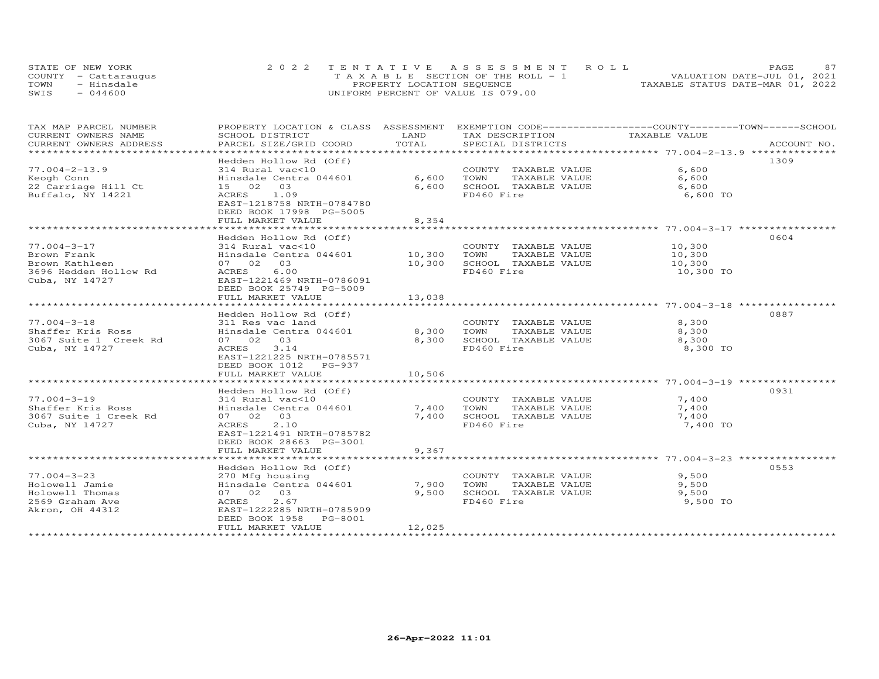|      | STATE OF NEW YORK    | 2022 TENTATIVE ASSESSMENT ROLL     | 87<br>PAGE.                      |
|------|----------------------|------------------------------------|----------------------------------|
|      | COUNTY - Cattarauqus | TAXABLE SECTION OF THE ROLL - 1    | VALUATION DATE-JUL 01, 2021      |
| TOWN | - Hinsdale           | PROPERTY LOCATION SEQUENCE         | TAXABLE STATUS DATE-MAR 01, 2022 |
| SWIS | $-044600$            | UNIFORM PERCENT OF VALUE IS 079.00 |                                  |

| TAX MAP PARCEL NUMBER          | PROPERTY LOCATION & CLASS ASSESSMENT    |            | EXEMPTION CODE-----------------COUNTY-------TOWN-----SCHOOL |               |             |
|--------------------------------|-----------------------------------------|------------|-------------------------------------------------------------|---------------|-------------|
| CURRENT OWNERS NAME            | SCHOOL DISTRICT                         | LAND       | TAX DESCRIPTION                                             | TAXABLE VALUE |             |
| CURRENT OWNERS ADDRESS         | PARCEL SIZE/GRID COORD                  | TOTAL      | SPECIAL DISTRICTS                                           |               | ACCOUNT NO. |
| ****************************** |                                         |            |                                                             |               |             |
|                                | Hedden Hollow Rd (Off)                  |            |                                                             |               | 1309        |
| $77.004 - 2 - 13.9$            | 314 Rural vac<10                        |            | COUNTY TAXABLE VALUE                                        | 6,600         |             |
| Keogh Conn                     | Hinsdale Centra 044601                  | 6,600      | TOWN<br>TAXABLE VALUE                                       | 6,600         |             |
| 22 Carriage Hill Ct            | 15 02 03                                | 6,600      | SCHOOL TAXABLE VALUE                                        | 6,600         |             |
| Buffalo, NY 14221              | ACRES 1.09<br>EAST-1218758 NRTH-0784780 |            | FD460 Fire                                                  | 6,600 TO      |             |
|                                | DEED BOOK 17998 PG-5005                 |            |                                                             |               |             |
|                                | FULL MARKET VALUE                       | 8,354      |                                                             |               |             |
|                                | ***********************                 |            |                                                             |               |             |
|                                | Hedden Hollow Rd (Off)                  |            |                                                             |               | 0604        |
| 77.004-3-17                    | 314 Rural vac<10                        |            | COUNTY TAXABLE VALUE                                        | 10,300        |             |
| Brown Frank                    | Hinsdale Centra 044601                  | 10,300     | TOWN<br>TAXABLE VALUE                                       | 10,300        |             |
| Brown Kathleen                 | 07 02 03                                | 10,300     | SCHOOL TAXABLE VALUE                                        | 10,300        |             |
| 3696 Hedden Hollow Rd          | ACRES<br>6.00                           |            | FD460 Fire                                                  | 10,300 TO     |             |
| Cuba, NY 14727                 | EAST-1221469 NRTH-0786091               |            |                                                             |               |             |
|                                | DEED BOOK 25749 PG-5009                 |            |                                                             |               |             |
|                                | FULL MARKET VALUE                       | 13,038     |                                                             |               |             |
|                                |                                         |            |                                                             |               |             |
|                                | Hedden Hollow Rd (Off)                  |            |                                                             |               | 0887        |
| $77.004 - 3 - 18$              | 311 Res vac land                        |            | COUNTY TAXABLE VALUE                                        | 8,300         |             |
| Shaffer Kris Ross              | Hinsdale Centra 044601                  | 8,300 TOWN | TAXABLE VALUE                                               | 8,300         |             |
| 3067 Suite 1 Creek Rd          | 07 02 03                                | 8,300      | SCHOOL TAXABLE VALUE                                        | 8,300         |             |
| Cuba, NY 14727                 | 3.14<br>ACRES                           |            | FD460 Fire                                                  | 8,300 TO      |             |
|                                | EAST-1221225 NRTH-0785571               |            |                                                             |               |             |
|                                | DEED BOOK 1012 PG-937                   |            |                                                             |               |             |
|                                | FULL MARKET VALUE                       | 10,506     |                                                             |               |             |
|                                |                                         |            |                                                             |               |             |
|                                | Hedden Hollow Rd (Off)                  |            |                                                             |               | 0931        |
| $77.004 - 3 - 19$              | 314 Rural vac<10                        |            | COUNTY TAXABLE VALUE                                        | 7,400         |             |
| Shaffer Kris Ross              | Hinsdale Centra 044601                  | 7,400 TOWN | TAXABLE VALUE                                               | 7,400         |             |
| 3067 Suite 1 Creek Rd          | 07 02 03                                | 7,400      | SCHOOL TAXABLE VALUE                                        | 7,400         |             |
| Cuba, NY 14727                 | 2.10<br>ACRES                           |            | FD460 Fire                                                  | 7,400 TO      |             |
|                                | EAST-1221491 NRTH-0785782               |            |                                                             |               |             |
|                                | DEED BOOK 28663 PG-3001                 |            |                                                             |               |             |
|                                | FULL MARKET VALUE                       | 9,367      |                                                             |               |             |
|                                |                                         |            |                                                             |               |             |
|                                | Hedden Hollow Rd (Off)                  |            |                                                             |               | 0553        |
| $77.004 - 3 - 23$              | 270 Mfg housing                         |            | COUNTY TAXABLE VALUE                                        | 9,500         |             |
| Holowell Jamie                 | Hinsdale Centra 044601                  | 7,900      | TAXABLE VALUE<br>TOWN                                       | 9,500         |             |
| Holowell Thomas                | 07 02 03                                | 9,500      | SCHOOL TAXABLE VALUE                                        | 9,500         |             |
| 2569 Graham Ave                | 2.67<br>ACRES                           |            | FD460 Fire                                                  | 9,500 TO      |             |
| Akron, OH 44312                | EAST-1222285 NRTH-0785909               |            |                                                             |               |             |
|                                | DEED BOOK 1958 PG-8001                  |            |                                                             |               |             |
|                                | FULL MARKET VALUE                       | 12,025     |                                                             |               |             |
|                                |                                         |            |                                                             |               |             |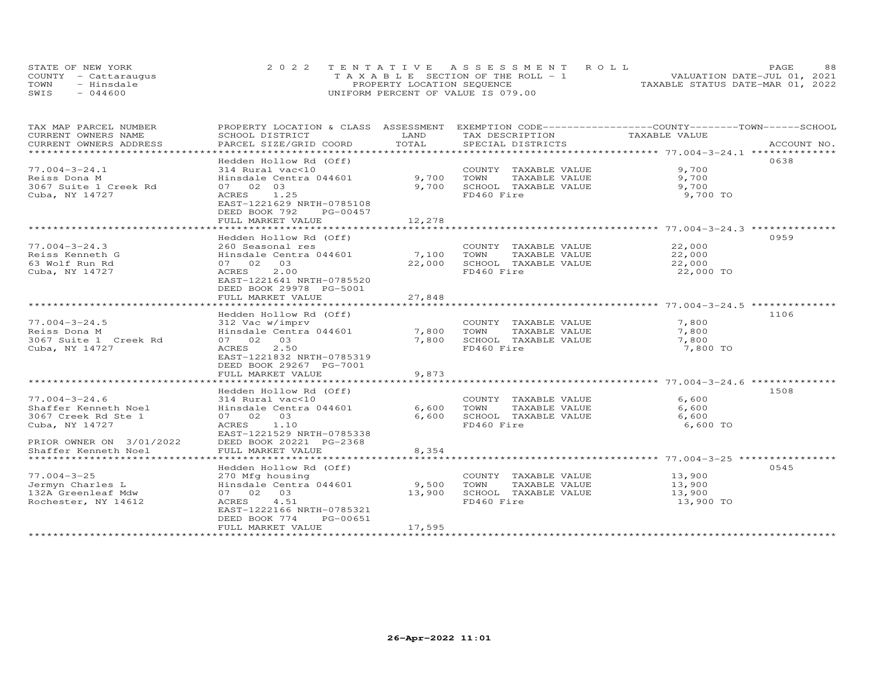| STATE OF NEW YORK    | 2022 TENTATIVE ASSESSMENT ROLL        | 88<br>PAGE.                      |
|----------------------|---------------------------------------|----------------------------------|
| COUNTY - Cattaraugus | T A X A B L E SECTION OF THE ROLL - 1 | VALUATION DATE-JUL 01, 2021      |
| TOWN<br>- Hinsdale   | PROPERTY LOCATION SEQUENCE            | TAXABLE STATUS DATE-MAR 01, 2022 |
| $-044600$<br>SWIS    | UNIFORM PERCENT OF VALUE IS 079.00    |                                  |

| TAX MAP PARCEL NUMBER             | PROPERTY LOCATION & CLASS ASSESSMENT        |                      | EXEMPTION CODE-----------------COUNTY-------TOWN------SCHOOL |                  |             |
|-----------------------------------|---------------------------------------------|----------------------|--------------------------------------------------------------|------------------|-------------|
| CURRENT OWNERS NAME               | SCHOOL DISTRICT                             | LAND                 | TAX DESCRIPTION                                              | TAXABLE VALUE    |             |
| CURRENT OWNERS ADDRESS            | PARCEL SIZE/GRID COORD                      | TOTAL                | SPECIAL DISTRICTS                                            |                  | ACCOUNT NO. |
| ************************          |                                             |                      |                                                              |                  |             |
|                                   | Hedden Hollow Rd (Off)                      |                      |                                                              |                  | 0638        |
| $77.004 - 3 - 24.1$               | 314 Rural vac<10                            |                      | COUNTY TAXABLE VALUE                                         | 9,700            |             |
| Reiss Dona M                      | Hinsdale Centra 044601                      | 9,700                | TOWN<br>TAXABLE VALUE                                        | 9,700            |             |
| 3067 Suite 1 Creek Rd             | 07 02 03                                    | 9,700                | SCHOOL TAXABLE VALUE                                         | 9,700            |             |
| Cuba, NY 14727                    | 1.25<br>ACRES                               |                      | FD460 Fire                                                   | 9,700 TO         |             |
|                                   | EAST-1221629 NRTH-0785108                   |                      |                                                              |                  |             |
|                                   | DEED BOOK 792<br>PG-00457                   |                      |                                                              |                  |             |
|                                   | FULL MARKET VALUE<br>********************** | 12,278<br>********** |                                                              |                  |             |
|                                   |                                             |                      |                                                              |                  |             |
| $77.004 - 3 - 24.3$               | Hedden Hollow Rd (Off)                      |                      |                                                              | 22,000           | 0959        |
|                                   | 260 Seasonal res<br>Hinsdale Centra 044601  | 7,100                | COUNTY TAXABLE VALUE<br>TAXABLE VALUE                        |                  |             |
| Reiss Kenneth G<br>63 Wolf Run Rd | 07 02 03                                    | 22,000               | TOWN<br>SCHOOL TAXABLE VALUE                                 | 22,000<br>22,000 |             |
| Cuba, NY 14727                    | 2.00<br>ACRES                               |                      | FD460 Fire                                                   | 22,000 TO        |             |
|                                   | EAST-1221641 NRTH-0785520                   |                      |                                                              |                  |             |
|                                   | DEED BOOK 29978 PG-5001                     |                      |                                                              |                  |             |
|                                   | FULL MARKET VALUE                           | 27,848               |                                                              |                  |             |
|                                   |                                             |                      |                                                              |                  |             |
|                                   | Hedden Hollow Rd (Off)                      |                      |                                                              |                  | 1106        |
| $77.004 - 3 - 24.5$               | 312 Vac w/imprv                             |                      | COUNTY TAXABLE VALUE                                         | 7,800            |             |
| Reiss Dona M                      | Hinsdale Centra 044601                      | 7,800                | TOWN<br>TAXABLE VALUE                                        | 7,800            |             |
| 3067 Suite 1 Creek Rd             | 07 02 03                                    | 7,800                | SCHOOL TAXABLE VALUE                                         | 7,800            |             |
| Cuba, NY 14727                    | 2.50<br>ACRES                               |                      | FD460 Fire                                                   | 7,800 TO         |             |
|                                   | EAST-1221832 NRTH-0785319                   |                      |                                                              |                  |             |
|                                   | DEED BOOK 29267 PG-7001                     |                      |                                                              |                  |             |
|                                   | FULL MARKET VALUE                           | 9,873                |                                                              |                  |             |
|                                   |                                             |                      |                                                              |                  |             |
|                                   | Hedden Hollow Rd (Off)                      |                      |                                                              |                  | 1508        |
| $77.004 - 3 - 24.6$               | 314 Rural vac<10                            |                      | COUNTY TAXABLE VALUE                                         | 6,600            |             |
| Shaffer Kenneth Noel              | Hinsdale Centra 044601                      | 6,600                | TOWN<br>TAXABLE VALUE                                        | 6,600            |             |
| 3067 Creek Rd Ste 1               | 07 02 03                                    | 6,600                | SCHOOL TAXABLE VALUE                                         | 6,600            |             |
| Cuba, NY 14727                    | ACRES 1.10                                  |                      | FD460 Fire                                                   | 6,600 TO         |             |
|                                   | EAST-1221529 NRTH-0785338                   |                      |                                                              |                  |             |
| PRIOR OWNER ON 3/01/2022          | DEED BOOK 20221 PG-2368                     |                      |                                                              |                  |             |
| Shaffer Kenneth Noel              | FULL MARKET VALUE                           | 8,354                |                                                              |                  |             |
| *************************         |                                             |                      |                                                              |                  |             |
|                                   | Hedden Hollow Rd (Off)                      |                      |                                                              |                  | 0545        |
| $77.004 - 3 - 25$                 | 270 Mfg housing                             |                      | COUNTY TAXABLE VALUE                                         | 13,900           |             |
| Jermyn Charles L                  | Hinsdale Centra 044601                      | 9,500                | TAXABLE VALUE<br>TOWN                                        | 13,900           |             |
| 132A Greenleaf Mdw                | 07 02 03                                    | 13,900               | SCHOOL TAXABLE VALUE                                         | 13,900           |             |
| Rochester, NY 14612               | 4.51<br>ACRES                               |                      | FD460 Fire                                                   | 13,900 TO        |             |
|                                   | EAST-1222166 NRTH-0785321                   |                      |                                                              |                  |             |
|                                   | PG-00651<br>DEED BOOK 774                   |                      |                                                              |                  |             |
|                                   | FULL MARKET VALUE                           | 17,595               |                                                              |                  |             |
|                                   |                                             |                      |                                                              |                  |             |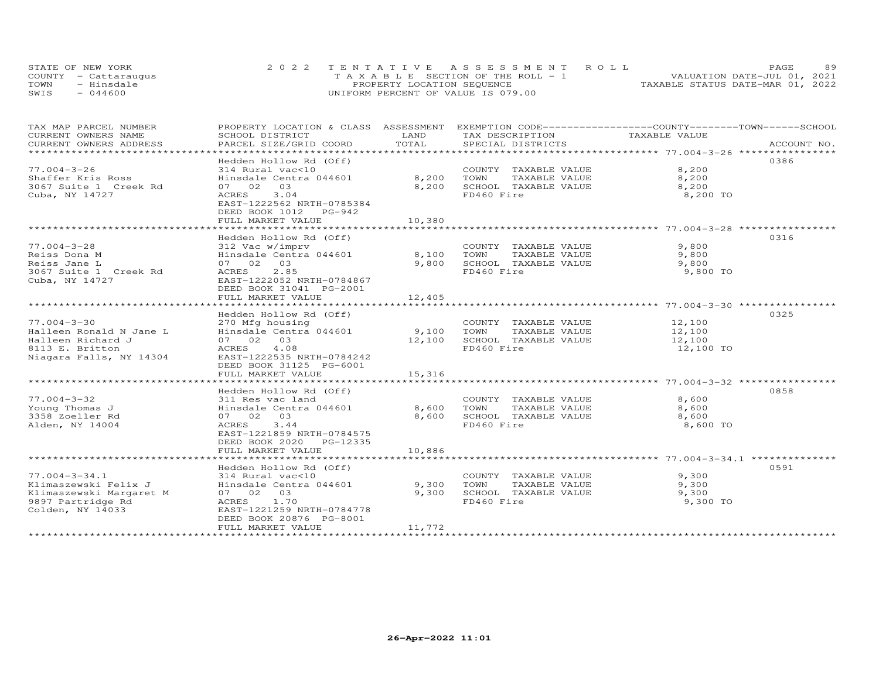|      | STATE OF NEW YORK    | 2022 TENTATIVE ASSESSMENT ROLL          | 89<br><b>PAGE</b>                |
|------|----------------------|-----------------------------------------|----------------------------------|
|      | COUNTY - Cattarauqus | $T A X A B L E$ SECTION OF THE ROLL - 1 | VALUATION DATE-JUL 01, 2021      |
| TOWN | - Hinsdale           | PROPERTY LOCATION SEQUENCE              | TAXABLE STATUS DATE-MAR 01, 2022 |
| SWIS | $-044600$            | UNIFORM PERCENT OF VALUE IS 079.00      |                                  |

| TAX MAP PARCEL NUMBER                                                                                                                                                                                                          | PROPERTY LOCATION & CLASS ASSESSMENT EXEMPTION CODE-----------------COUNTY-------TOWN------SCHOOL |              |                            |               |      |
|--------------------------------------------------------------------------------------------------------------------------------------------------------------------------------------------------------------------------------|---------------------------------------------------------------------------------------------------|--------------|----------------------------|---------------|------|
| CURRENT OWNERS NAME                                                                                                                                                                                                            | SCHOOL DISTRICT                                                                                   | LAND         | TAX DESCRIPTION            | TAXABLE VALUE |      |
| .CURRENT OWNERS ADDRESS PARCEL SIZE/GRID COORD TOTAL SPECIAL DISTRICTS ACCOUNT NO ACCOUNT NO ACCOUNT NO ARE THE SERVER AND THE SERVER ASSESS THAT A THE SERVER AND THE SERVER ASSESS THAT A THE SERVER AND THE SERVER ASSESSME |                                                                                                   |              |                            |               |      |
|                                                                                                                                                                                                                                | Hedden Hollow Rd (Off)                                                                            |              |                            |               | 0386 |
| $77.004 - 3 - 26$                                                                                                                                                                                                              | 314 Rural vac<10                                                                                  |              | COUNTY TAXABLE VALUE       | 8,200         |      |
| Shaffer Kris Ross                                                                                                                                                                                                              | Hinsdale Centra 044601                                                                            | 8,200        | TOWN<br>TAXABLE VALUE      | 8,200         |      |
| 3067 Suite 1 Creek Rd                                                                                                                                                                                                          | 07 02 03                                                                                          | 8,200        | SCHOOL TAXABLE VALUE       | 8,200         |      |
| Cuba, NY 14727                                                                                                                                                                                                                 | ACRES<br>3.04                                                                                     |              | FD460 Fire                 | 8,200 TO      |      |
|                                                                                                                                                                                                                                | EAST-1222562 NRTH-0785384                                                                         |              |                            |               |      |
|                                                                                                                                                                                                                                | DEED BOOK 1012 PG-942                                                                             |              |                            |               |      |
|                                                                                                                                                                                                                                | FULL MARKET VALUE                                                                                 | 10,380       |                            |               |      |
|                                                                                                                                                                                                                                |                                                                                                   |              |                            |               |      |
|                                                                                                                                                                                                                                | Hedden Hollow Rd (Off)                                                                            |              |                            |               | 0316 |
| $77.004 - 3 - 28$                                                                                                                                                                                                              | 312 Vac w/imprv                                                                                   | $8,100$ TOWN | COUNTY TAXABLE VALUE       | 9,800         |      |
| Reiss Dona M                                                                                                                                                                                                                   | Hinsdale Centra 044601                                                                            |              | TAXABLE VALUE              | 9,800         |      |
| Reiss Jane L                                                                                                                                                                                                                   | 07 02 03                                                                                          |              | 9,800 SCHOOL TAXABLE VALUE | 9,800         |      |
| 3067 Suite 1 Creek Rd                                                                                                                                                                                                          | ACRES 2.85                                                                                        |              | FD460 Fire                 | 9,800 TO      |      |
| Cuba, NY 14727                                                                                                                                                                                                                 | EAST-1222052 NRTH-0784867<br>DEED BOOK 31041 PG-2001                                              |              |                            |               |      |
|                                                                                                                                                                                                                                | FULL MARKET VALUE                                                                                 | 12,405       |                            |               |      |
|                                                                                                                                                                                                                                |                                                                                                   |              |                            |               |      |
|                                                                                                                                                                                                                                | Hedden Hollow Rd (Off)                                                                            |              |                            |               | 0325 |
| $77.004 - 3 - 30$                                                                                                                                                                                                              |                                                                                                   |              | COUNTY TAXABLE VALUE       | 12,100        |      |
| Halleen Ronald N Jane L                                                                                                                                                                                                        |                                                                                                   |              | TAXABLE VALUE              | 12,100        |      |
| Halleen Richard J                                                                                                                                                                                                              | 07 02 03                                                                                          | 12,100       | SCHOOL TAXABLE VALUE       | 12,100        |      |
| 8113 E. Britton                                                                                                                                                                                                                | ACRES 4.08                                                                                        |              | FD460 Fire                 | 12,100 TO     |      |
| Niagara Falls, NY 14304                                                                                                                                                                                                        | EAST-1222535 NRTH-0784242                                                                         |              |                            |               |      |
|                                                                                                                                                                                                                                | DEED BOOK 31125 PG-6001                                                                           |              |                            |               |      |
|                                                                                                                                                                                                                                | FULL MARKET VALUE                                                                                 | 15,316       |                            |               |      |
|                                                                                                                                                                                                                                |                                                                                                   |              |                            |               |      |
|                                                                                                                                                                                                                                | Hedden Hollow Rd (Off)                                                                            |              |                            |               | 0858 |
| $77.004 - 3 - 32$                                                                                                                                                                                                              | 311 Res vac land                                                                                  |              | COUNTY TAXABLE VALUE       | 8,600         |      |
| Young Thomas J                                                                                                                                                                                                                 | Hinsdale Centra 044601 8,600 TOWN                                                                 |              | TAXABLE VALUE              | 8,600         |      |
| 3358 Zoeller Rd                                                                                                                                                                                                                | 07 02 03                                                                                          | 8,600        | SCHOOL TAXABLE VALUE       | 8,600         |      |
| Alden, NY 14004                                                                                                                                                                                                                | ACRES 3.44                                                                                        |              | FD460 Fire                 | 8,600 TO      |      |
|                                                                                                                                                                                                                                | EAST-1221859 NRTH-0784575                                                                         |              |                            |               |      |
|                                                                                                                                                                                                                                | DEED BOOK 2020 PG-12335                                                                           |              |                            |               |      |
|                                                                                                                                                                                                                                | FULL MARKET VALUE                                                                                 | 10,886       |                            |               |      |
|                                                                                                                                                                                                                                | Hedden Hollow Rd (Off)                                                                            |              |                            |               | 0591 |
| $77.004 - 3 - 34.1$                                                                                                                                                                                                            | 314 Rural vac<10                                                                                  |              | COUNTY TAXABLE VALUE       | 9,300         |      |
| Klimaszewski Felix J                                                                                                                                                                                                           | Hinsdale Centra 044601 9,300                                                                      |              | TOWN<br>TAXABLE VALUE      | 9,300         |      |
|                                                                                                                                                                                                                                | 07 02 03                                                                                          | 9,300        | SCHOOL TAXABLE VALUE       | 9,300         |      |
| Klimaszewski rein.<br>Klimaszewski Margaret M<br>9897 Partridge Rd                                                                                                                                                             | ACRES 1.70                                                                                        |              | FD460 Fire                 | 9,300 TO      |      |
| Colden, NY 14033                                                                                                                                                                                                               | EAST-1221259 NRTH-0784778                                                                         |              |                            |               |      |
|                                                                                                                                                                                                                                | DEED BOOK 20876 PG-8001                                                                           |              |                            |               |      |
|                                                                                                                                                                                                                                | FULL MARKET VALUE                                                                                 | 11,772       |                            |               |      |
|                                                                                                                                                                                                                                |                                                                                                   |              |                            |               |      |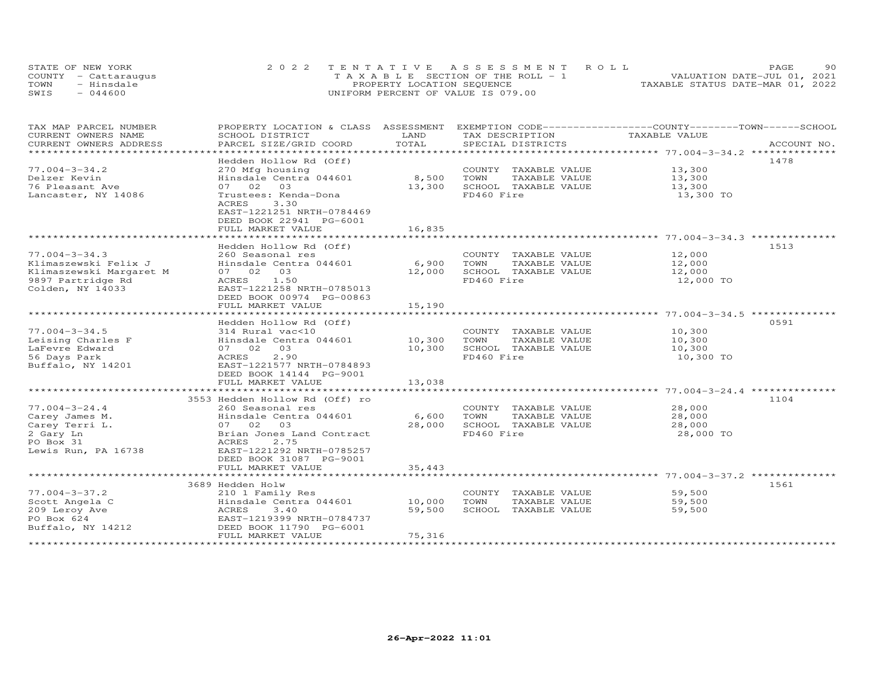|      | STATE OF NEW YORK    | 2022 TENTATIVE ASSESSMENT ROLL        | 90.<br><b>PAGE</b>               |
|------|----------------------|---------------------------------------|----------------------------------|
|      | COUNTY - Cattaraugus | T A X A B L E SECTION OF THE ROLL - 1 | VALUATION DATE-JUL 01, 2021      |
| TOWN | - Hinsdale           | PROPERTY LOCATION SEQUENCE            | TAXABLE STATUS DATE-MAR 01, 2022 |
| SWIS | $-044600$            | UNIFORM PERCENT OF VALUE IS 079.00    |                                  |

| TAX MAP PARCEL NUMBER   | PROPERTY LOCATION & CLASS ASSESSMENT |                          |                 |                      | EXEMPTION CODE-----------------COUNTY-------TOWN-----SCHOOL |             |
|-------------------------|--------------------------------------|--------------------------|-----------------|----------------------|-------------------------------------------------------------|-------------|
| CURRENT OWNERS NAME     | SCHOOL DISTRICT                      | LAND                     | TAX DESCRIPTION |                      | TAXABLE VALUE                                               |             |
| CURRENT OWNERS ADDRESS  | PARCEL SIZE/GRID COORD               | TOTAL                    |                 | SPECIAL DISTRICTS    |                                                             | ACCOUNT NO. |
| ******************      |                                      | ************************ |                 |                      |                                                             |             |
|                         | Hedden Hollow Rd (Off)               |                          |                 |                      |                                                             | 1478        |
| $77.004 - 3 - 34.2$     | 270 Mfg housing                      |                          |                 | COUNTY TAXABLE VALUE | 13,300                                                      |             |
| Delzer Kevin            | Hinsdale Centra 044601               | 8,500                    | TOWN            | TAXABLE VALUE        | 13,300                                                      |             |
| 76 Pleasant Ave         | 07 02<br>03                          | 13,300                   |                 | SCHOOL TAXABLE VALUE | 13,300                                                      |             |
| Lancaster, NY 14086     | Trustees: Kenda-Dona                 |                          | FD460 Fire      |                      | 13,300 TO                                                   |             |
|                         | 3.30<br>ACRES                        |                          |                 |                      |                                                             |             |
|                         | EAST-1221251 NRTH-0784469            |                          |                 |                      |                                                             |             |
|                         | DEED BOOK 22941 PG-6001              |                          |                 |                      |                                                             |             |
|                         | FULL MARKET VALUE                    | 16,835                   |                 |                      |                                                             |             |
|                         |                                      |                          |                 |                      |                                                             |             |
|                         | Hedden Hollow Rd (Off)               |                          |                 |                      |                                                             | 1513        |
| $77.004 - 3 - 34.3$     | 260 Seasonal res                     |                          |                 | COUNTY TAXABLE VALUE | 12,000                                                      |             |
| Klimaszewski Felix J    | Hinsdale Centra 044601               | 6,900                    | TOWN            | TAXABLE VALUE        | 12,000                                                      |             |
| Klimaszewski Margaret M | 07 02 03                             | 12,000                   |                 | SCHOOL TAXABLE VALUE | 12,000                                                      |             |
| 9897 Partridge Rd       | ACRES 1.50                           |                          | FD460 Fire      |                      | 12,000 TO                                                   |             |
| Colden, NY 14033        | EAST-1221258 NRTH-0785013            |                          |                 |                      |                                                             |             |
|                         | DEED BOOK 00974 PG-00863             |                          |                 |                      |                                                             |             |
|                         | FULL MARKET VALUE                    | 15,190                   |                 |                      |                                                             |             |
|                         |                                      |                          |                 |                      |                                                             |             |
|                         |                                      |                          |                 |                      |                                                             |             |
|                         | Hedden Hollow Rd (Off)               |                          |                 |                      |                                                             | 0591        |
| $77.004 - 3 - 34.5$     | 314 Rural vac<10                     |                          |                 | COUNTY TAXABLE VALUE | 10,300                                                      |             |
| Leising Charles F       | Hinsdale Centra 044601 10,300        |                          | TOWN            | TAXABLE VALUE        | 10,300                                                      |             |
| LaFevre Edward          | 07 02 03                             | 10,300                   |                 | SCHOOL TAXABLE VALUE | 10,300                                                      |             |
| 56 Days Park            | 2.90<br>ACRES                        |                          | FD460 Fire      |                      | 10,300 TO                                                   |             |
| Buffalo, NY 14201       | EAST-1221577 NRTH-0784893            |                          |                 |                      |                                                             |             |
|                         | DEED BOOK 14144 PG-9001              |                          |                 |                      |                                                             |             |
|                         | FULL MARKET VALUE                    | 13,038                   |                 |                      |                                                             |             |
|                         |                                      |                          |                 |                      |                                                             |             |
|                         | 3553 Hedden Hollow Rd (Off) ro       |                          |                 |                      |                                                             | 1104        |
| $77.004 - 3 - 24.4$     | 260 Seasonal res                     |                          |                 | COUNTY TAXABLE VALUE | 28,000                                                      |             |
| Carey James M.          | Hinsdale Centra 044601               | 6,600                    | TOWN            | TAXABLE VALUE        | 28,000                                                      |             |
| Carey Terri L.          | 07 02 03                             | 28,000                   |                 | SCHOOL TAXABLE VALUE | 28,000                                                      |             |
| 2 Gary Ln               | Brian Jones Land Contract            |                          | FD460 Fire      |                      | 28,000 TO                                                   |             |
| PO Box 31               | ACRES<br>2.75                        |                          |                 |                      |                                                             |             |
| Lewis Run, PA 16738     | EAST-1221292 NRTH-0785257            |                          |                 |                      |                                                             |             |
|                         | DEED BOOK 31087 PG-9001              |                          |                 |                      |                                                             |             |
|                         | FULL MARKET VALUE                    | 35,443                   |                 |                      |                                                             |             |
|                         |                                      |                          |                 |                      |                                                             |             |
|                         | 3689 Hedden Holw                     |                          |                 |                      |                                                             | 1561        |
| $77.004 - 3 - 37.2$     | 210 1 Family Res                     |                          |                 | COUNTY TAXABLE VALUE | 59,500                                                      |             |
| Scott Angela C          | Hinsdale Centra 044601               | 10,000                   | TOWN            | TAXABLE VALUE        | 59,500                                                      |             |
| 209 Leroy Ave           | ACRES<br>3.40                        | 59,500                   |                 | SCHOOL TAXABLE VALUE | 59,500                                                      |             |
| PO Box 624              | EAST-1219399 NRTH-0784737            |                          |                 |                      |                                                             |             |
| Buffalo, NY 14212       | DEED BOOK 11790 PG-6001              |                          |                 |                      |                                                             |             |
|                         | FULL MARKET VALUE                    | 75,316                   |                 |                      |                                                             |             |
|                         |                                      |                          |                 |                      |                                                             |             |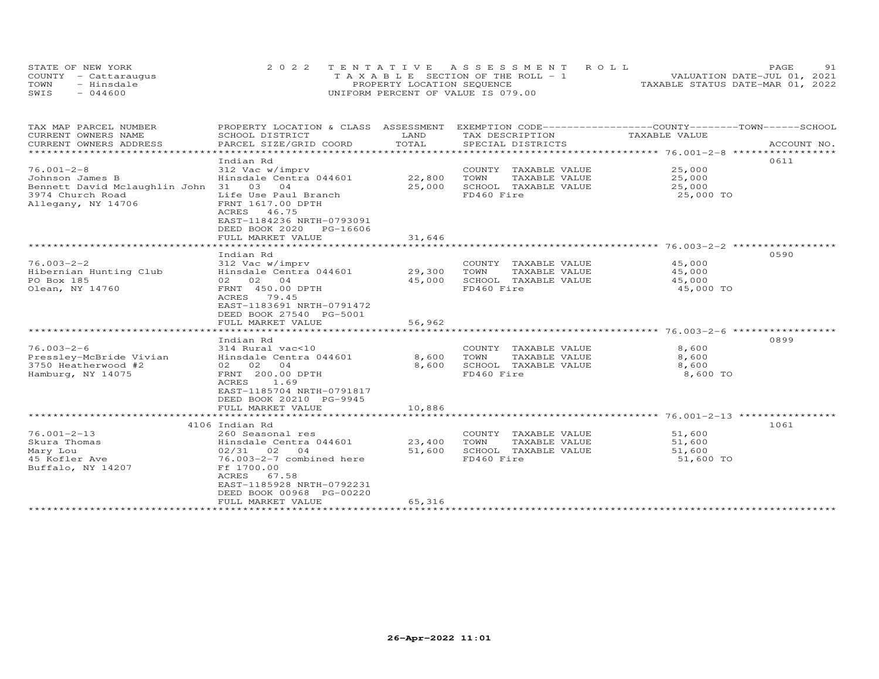|      | STATE OF NEW YORK    | 2022 TENTATIVE ASSESSMENT ROLL        | 91<br><b>PAGE</b>                |
|------|----------------------|---------------------------------------|----------------------------------|
|      | COUNTY - Cattaraugus | T A X A B L E SECTION OF THE ROLL - 1 | VALUATION DATE-JUL 01, 2021      |
| TOWN | - Hinsdale           | PROPERTY LOCATION SEQUENCE            | TAXABLE STATUS DATE-MAR 01, 2022 |
| SWIS | $-044600$            | UNIFORM PERCENT OF VALUE IS 079.00    |                                  |

| TAX MAP PARCEL NUMBER                  | PROPERTY LOCATION & CLASS ASSESSMENT EXEMPTION CODE----------------COUNTY--------TOWN------SCHOOL |        |                       |               |             |
|----------------------------------------|---------------------------------------------------------------------------------------------------|--------|-----------------------|---------------|-------------|
| CURRENT OWNERS NAME                    | SCHOOL DISTRICT                                                                                   | LAND   | TAX DESCRIPTION       | TAXABLE VALUE |             |
| CURRENT OWNERS ADDRESS                 | PARCEL SIZE/GRID COORD                                                                            | TOTAL  | SPECIAL DISTRICTS     |               | ACCOUNT NO. |
|                                        |                                                                                                   |        |                       |               |             |
|                                        | Indian Rd                                                                                         |        |                       |               | 0611        |
| $76.001 - 2 - 8$                       | 312 Vac w/imprv                                                                                   |        | COUNTY TAXABLE VALUE  | 25,000        |             |
| Johnson James B                        | Hinsdale Centra 044601                                                                            | 22,800 | TOWN<br>TAXABLE VALUE | 25,000        |             |
| Bennett David Mclaughlin John 31 03 04 |                                                                                                   | 25,000 | SCHOOL TAXABLE VALUE  | 25,000        |             |
| 3974 Church Road                       | Life Use Paul Branch                                                                              |        | FD460 Fire            | 25,000 TO     |             |
| Allegany, NY 14706                     | FRNT 1617.00 DPTH                                                                                 |        |                       |               |             |
|                                        | ACRES 46.75                                                                                       |        |                       |               |             |
|                                        | EAST-1184236 NRTH-0793091                                                                         |        |                       |               |             |
|                                        | DEED BOOK 2020 PG-16606                                                                           |        |                       |               |             |
|                                        | FULL MARKET VALUE                                                                                 | 31,646 |                       |               |             |
|                                        |                                                                                                   |        |                       |               |             |
|                                        | Indian Rd                                                                                         |        |                       |               | 0590        |
| $76.003 - 2 - 2$                       |                                                                                                   |        |                       |               |             |
|                                        | 312 Vac w/imprv                                                                                   |        | COUNTY TAXABLE VALUE  | 45,000        |             |
| Hibernian Hunting Club                 | Hinsdale Centra 044601                                                                            | 29,300 | TOWN<br>TAXABLE VALUE | 45,000        |             |
| PO Box 185                             | 02 02 04                                                                                          | 45,000 | SCHOOL TAXABLE VALUE  | 45,000        |             |
| Olean, NY 14760                        | FRNT 450.00 DPTH                                                                                  |        | FD460 Fire            | 45,000 TO     |             |
|                                        | ACRES 79.45                                                                                       |        |                       |               |             |
|                                        | EAST-1183691 NRTH-0791472                                                                         |        |                       |               |             |
|                                        | DEED BOOK 27540 PG-5001                                                                           |        |                       |               |             |
|                                        | FULL MARKET VALUE                                                                                 | 56,962 |                       |               |             |
|                                        |                                                                                                   |        |                       |               |             |
|                                        | Indian Rd                                                                                         |        |                       |               | 0899        |
| $76.003 - 2 - 6$                       | 314 Rural vac<10                                                                                  |        | COUNTY TAXABLE VALUE  | 8,600         |             |
| Pressley-McBride Vivian                | Hinsdale Centra 044601                                                                            | 8,600  | TOWN<br>TAXABLE VALUE | 8,600         |             |
| 3750 Heatherwood #2                    | 02 02<br>04                                                                                       | 8,600  | SCHOOL TAXABLE VALUE  | 8,600         |             |
| Hamburg, NY 14075                      | FRNT 200.00 DPTH                                                                                  |        | FD460 Fire            | 8,600 TO      |             |
|                                        | 1.69<br>ACRES                                                                                     |        |                       |               |             |
|                                        | EAST-1185704 NRTH-0791817                                                                         |        |                       |               |             |
|                                        | DEED BOOK 20210 PG-9945                                                                           |        |                       |               |             |
|                                        | FULL MARKET VALUE                                                                                 | 10,886 |                       |               |             |
|                                        |                                                                                                   |        |                       |               |             |
|                                        | 4106 Indian Rd                                                                                    |        |                       |               | 1061        |
| $76.001 - 2 - 13$                      | 260 Seasonal res                                                                                  |        | COUNTY TAXABLE VALUE  | 51,600        |             |
| Skura Thomas                           | Hinsdale Centra 044601                                                                            | 23,400 | TOWN<br>TAXABLE VALUE | 51,600        |             |
| Mary Lou                               | $02/31$ 02<br>04                                                                                  | 51,600 | SCHOOL TAXABLE VALUE  | 51,600        |             |
| 45 Kofler Ave                          | 76.003-2-7 combined here                                                                          |        | FD460 Fire            | 51,600 TO     |             |
| Buffalo, NY 14207                      | Ff 1700.00                                                                                        |        |                       |               |             |
|                                        | ACRES 67.58                                                                                       |        |                       |               |             |
|                                        | EAST-1185928 NRTH-0792231                                                                         |        |                       |               |             |
|                                        | DEED BOOK 00968 PG-00220                                                                          |        |                       |               |             |
|                                        | FULL MARKET VALUE                                                                                 | 65,316 |                       |               |             |
|                                        |                                                                                                   |        |                       |               |             |
|                                        |                                                                                                   |        |                       |               |             |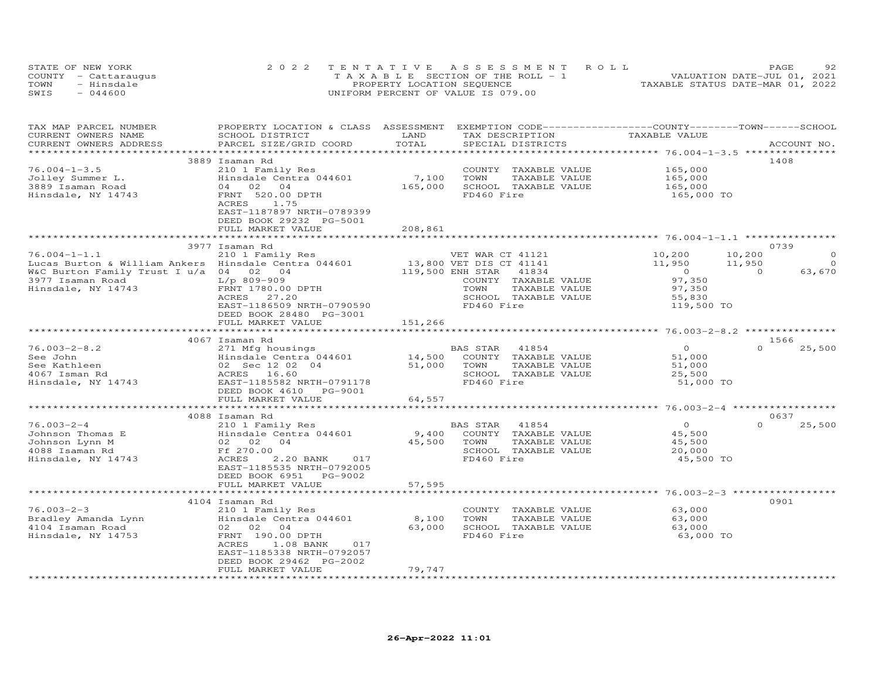|      | STATE OF NEW YORK    | 2022 TENTATIVE ASSESSMENT ROLL        | 92<br>PAGE                       |
|------|----------------------|---------------------------------------|----------------------------------|
|      | COUNTY - Cattaraugus | T A X A B L E SECTION OF THE ROLL - 1 | VALUATION DATE-JUL 01, 2021      |
| TOWN | - Hinsdale           | PROPERTY LOCATION SEQUENCE            | TAXABLE STATUS DATE-MAR 01, 2022 |
| SWIS | $-044600$            | UNIFORM PERCENT OF VALUE IS 079.00    |                                  |

| TAX MAP PARCEL NUMBER<br>CURRENT OWNERS NAME         | PROPERTY LOCATION & CLASS ASSESSMENT EXEMPTION CODE----------------COUNTY-------TOWN------SCHOOL<br>SCHOOL DISTRICT | LAND        | TAX DESCRIPTION                                                 | TAXABLE VALUE       |                    |
|------------------------------------------------------|---------------------------------------------------------------------------------------------------------------------|-------------|-----------------------------------------------------------------|---------------------|--------------------|
| CURRENT OWNERS ADDRESS                               | PARCEL SIZE/GRID COORD                                                                                              | TOTAL       | SPECIAL DISTRICTS                                               |                     | ACCOUNT NO.        |
|                                                      |                                                                                                                     |             |                                                                 |                     |                    |
|                                                      | 3889 Isaman Rd                                                                                                      |             |                                                                 |                     | 1408               |
| $76.004 - 1 - 3.5$                                   | 210 1 Family Res                                                                                                    |             | COUNTY TAXABLE VALUE                                            | 165,000             |                    |
| Jolley Summer L.                                     | Hinsdale Centra 044601                                                                                              | 7,100       | TAXABLE VALUE<br>TOWN                                           |                     |                    |
| 3889 Isaman Road                                     | 04 02 04                                                                                                            | 165,000     | SCHOOL TAXABLE VALUE                                            | 165,000<br>165,000  |                    |
| Hinsdale, NY 14743                                   | FRNT 520.00 DPTH                                                                                                    |             | FD460 Fire                                                      | 165,000 TO          |                    |
|                                                      | ACRES<br>1.75<br>EAST-1187897 NRTH-0789399                                                                          |             |                                                                 |                     |                    |
|                                                      | DEED BOOK 29232 PG-5001                                                                                             |             |                                                                 |                     |                    |
|                                                      | FULL MARKET VALUE                                                                                                   | 208,861     |                                                                 |                     |                    |
|                                                      |                                                                                                                     |             |                                                                 |                     |                    |
|                                                      | 3977 Isaman Rd                                                                                                      |             |                                                                 |                     | 0739               |
| $76.004 - 1 - 1.1$                                   |                                                                                                                     |             | VET WAR CT 41121                                                | 10,200              | $\Omega$<br>10,200 |
|                                                      | 210 1 Family Res                                                                                                    |             | VET WAR CT 41121<br>13,800 VET DIS CT 41141<br>119,500 ENH CTAT |                     | $\Omega$           |
| Lucas Burton & William Ankers Hinsdale Centra 044601 |                                                                                                                     |             |                                                                 | 11,950              | 11,950             |
| W&C Burton Family Trust I u/a 04 02 04               |                                                                                                                     |             | 41834                                                           | $\overline{O}$      | $\Omega$<br>63,670 |
| 3977 Isaman Road                                     | L/p 809-909                                                                                                         |             | COUNTY TAXABLE VALUE                                            | 97,350              |                    |
| Hinsdale, NY 14743                                   | FRNT 1780.00 DPTH                                                                                                   |             | TOWN<br>TAXABLE VALUE                                           | 97,350              |                    |
|                                                      | ACRES 27.20                                                                                                         |             | SCHOOL TAXABLE VALUE                                            | 55,830              |                    |
|                                                      | EAST-1186509 NRTH-0790590                                                                                           |             | FD460 Fire                                                      | 119,500 TO          |                    |
|                                                      | DEED BOOK 28480 PG-3001                                                                                             |             |                                                                 |                     |                    |
|                                                      | FULL MARKET VALUE                                                                                                   | 151,266     |                                                                 |                     |                    |
|                                                      |                                                                                                                     |             |                                                                 |                     |                    |
|                                                      | 4067 Isaman Rd                                                                                                      |             |                                                                 |                     | 1566               |
| $76.003 - 2 - 8.2$                                   | 271 Mfg housings                                                                                                    |             | BAS STAR 41854                                                  | $\overline{O}$      | $\Omega$<br>25,500 |
| See John                                             | Hinsdale Centra 044601 14,500 COUNTY TAXABLE VALUE                                                                  |             |                                                                 | 51,000              |                    |
| See Kathleen                                         | 02 Sec 12 02 04                                                                                                     | 51,000      | TOWN<br>TAXABLE VALUE                                           | 51,000              |                    |
| 4067 Isman Rd                                        | ACRES 16.60                                                                                                         |             | SCHOOL TAXABLE VALUE                                            | 25,500              |                    |
| Hinsdale, NY 14743                                   | EAST-1185582 NRTH-0791178                                                                                           |             | FD460 Fire                                                      | 51,000 TO           |                    |
|                                                      | DEED BOOK 4610 PG-9001                                                                                              |             |                                                                 |                     |                    |
|                                                      | FULL MARKET VALUE                                                                                                   | 64,557      |                                                                 |                     |                    |
|                                                      |                                                                                                                     |             |                                                                 |                     |                    |
|                                                      | 4088 Isaman Rd                                                                                                      |             |                                                                 |                     | 0637               |
| $76.003 - 2 - 4$                                     | 210 1 Family Res                                                                                                    |             | BAS STAR 41854                                                  | $\overline{O}$      | $\Omega$<br>25,500 |
| Johnson Thomas E                                     | Hinsdale Centra 044601                                                                                              |             | 9,400 COUNTY TAXABLE VALUE                                      | 45,500              |                    |
| Johnson Lynn M                                       | 02 02 04                                                                                                            | 45,500 TOWN | TAXABLE VALUE                                                   | 45,500              |                    |
| 4088 Isaman Rd                                       | Ff 270.00                                                                                                           |             | SCHOOL TAXABLE VALUE                                            |                     |                    |
|                                                      | ACRES                                                                                                               |             | FD460 Fire                                                      | 20,000<br>45,500 TO |                    |
| Hinsdale, NY 14743                                   | 2.20 BANK 017                                                                                                       |             |                                                                 |                     |                    |
|                                                      | EAST-1185535 NRTH-0792005                                                                                           |             |                                                                 |                     |                    |
|                                                      | DEED BOOK 6951 PG-9002                                                                                              |             |                                                                 |                     |                    |
|                                                      | FULL MARKET VALUE                                                                                                   | 57,595      |                                                                 |                     |                    |
|                                                      |                                                                                                                     |             |                                                                 |                     |                    |
|                                                      | 4104 Isaman Rd                                                                                                      |             |                                                                 |                     | 0901               |
| $76.003 - 2 - 3$                                     | 210 1 Family Res                                                                                                    |             | COUNTY TAXABLE VALUE                                            | 63,000              |                    |
| Bradley Amanda Lynn                                  | Hinsdale Centra 044601                                                                                              | 8,100       | TOWN<br>TAXABLE VALUE                                           | 63,000              |                    |
| 4104 Isaman Road                                     | 02 02 04                                                                                                            | 63,000      | SCHOOL TAXABLE VALUE                                            | 63,000              |                    |
| Hinsdale, NY 14753                                   | FRNT 190.00 DPTH                                                                                                    |             | FD460 Fire                                                      | 63,000 TO           |                    |
|                                                      | ACRES<br>1.08 BANK<br>017                                                                                           |             |                                                                 |                     |                    |
|                                                      | EAST-1185338 NRTH-0792057                                                                                           |             |                                                                 |                     |                    |
|                                                      | DEED BOOK 29462 PG-2002                                                                                             |             |                                                                 |                     |                    |
|                                                      | FULL MARKET VALUE                                                                                                   | 79,747      |                                                                 |                     |                    |
|                                                      |                                                                                                                     |             |                                                                 |                     |                    |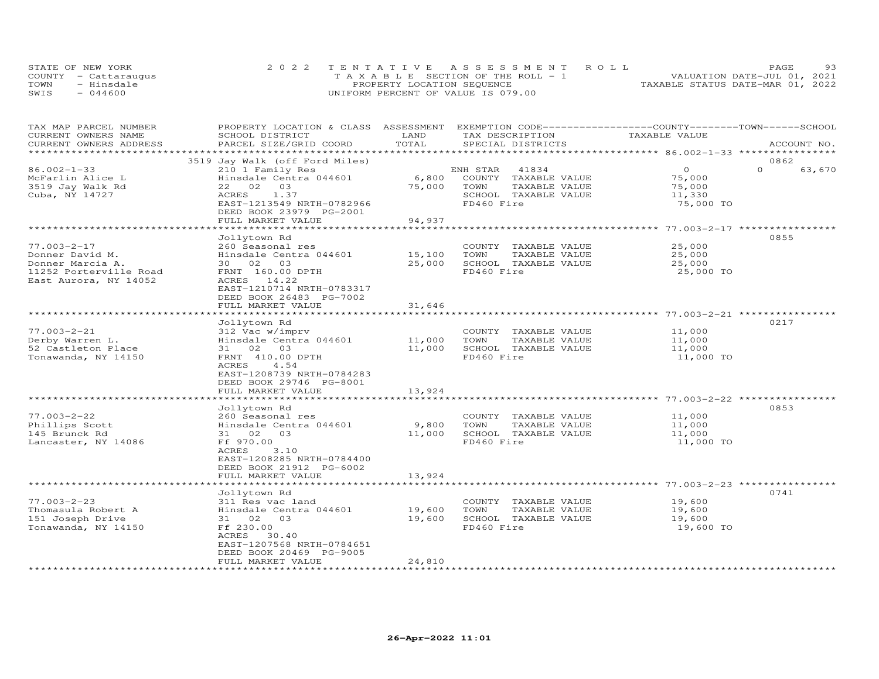| STATE OF NEW YORK |                      | 2022 TENTATIVE ASSESSMENT ROLL        | 93<br>PAGE                       |
|-------------------|----------------------|---------------------------------------|----------------------------------|
|                   | COUNTY - Cattaraugus | T A X A B L E SECTION OF THE ROLL - 1 | VALUATION DATE-JUL 01, 2021      |
| TOWN              | - Hinsdale           | PROPERTY LOCATION SEQUENCE            | TAXABLE STATUS DATE-MAR 01, 2022 |
| SWIS              | $-044600$            | UNIFORM PERCENT OF VALUE IS 079.00    |                                  |

| TAX MAP PARCEL NUMBER   | PROPERTY LOCATION & CLASS ASSESSMENT |                  | EXEMPTION CODE------------------COUNTY-------TOWN------SCHOOL |                                           |                    |
|-------------------------|--------------------------------------|------------------|---------------------------------------------------------------|-------------------------------------------|--------------------|
| CURRENT OWNERS NAME     | SCHOOL DISTRICT                      | LAND             | TAX DESCRIPTION                                               | TAXABLE VALUE                             |                    |
| CURRENT OWNERS ADDRESS  | PARCEL SIZE/GRID COORD               | TOTAL            | SPECIAL DISTRICTS                                             |                                           | ACCOUNT NO.        |
| *********************** |                                      |                  |                                                               |                                           |                    |
|                         | 3519 Jay Walk (off Ford Miles)       |                  |                                                               |                                           | 0862               |
| $86.002 - 1 - 33$       | 210 1 Family Res                     |                  | ENH STAR 41834                                                | $\Omega$                                  | $\Omega$<br>63,670 |
| McFarlin Alice L        | Hinsdale Centra 044601               | 6,800            | COUNTY TAXABLE VALUE                                          | 75,000                                    |                    |
| 3519 Jay Walk Rd        | 22 02 03                             | 75,000           | TOWN<br>TAXABLE VALUE                                         | 75,000                                    |                    |
| Cuba, NY 14727          | 1.37<br>ACRES                        |                  | SCHOOL TAXABLE VALUE                                          | 11,330                                    |                    |
|                         | EAST-1213549 NRTH-0782966            |                  | FD460 Fire                                                    | 75,000 TO                                 |                    |
|                         | DEED BOOK 23979 PG-2001              |                  |                                                               |                                           |                    |
|                         | FULL MARKET VALUE                    | 94,937           |                                                               | ***************** 77.003-2-17 ***         |                    |
|                         | Jollytown Rd                         |                  |                                                               |                                           | 0855               |
| $77.003 - 2 - 17$       | 260 Seasonal res                     |                  | COUNTY TAXABLE VALUE                                          | 25,000                                    |                    |
| Donner David M.         | Hinsdale Centra 044601               | 15,100           | TOWN<br>TAXABLE VALUE                                         | 25,000                                    |                    |
| Donner Marcia A.        | 30 02 03                             | 25,000           | SCHOOL TAXABLE VALUE                                          | 25,000                                    |                    |
| 11252 Porterville Road  | FRNT 160.00 DPTH                     |                  | FD460 Fire                                                    | 25,000 TO                                 |                    |
| East Aurora, NY 14052   | ACRES 14.22                          |                  |                                                               |                                           |                    |
|                         | EAST-1210714 NRTH-0783317            |                  |                                                               |                                           |                    |
|                         | DEED BOOK 26483 PG-7002              |                  |                                                               |                                           |                    |
|                         | FULL MARKET VALUE                    | 31,646           |                                                               |                                           |                    |
|                         | ********************                 |                  | ******************************** 77.003-2-21 *****            |                                           |                    |
|                         | Jollytown Rd                         |                  |                                                               |                                           | 0217               |
| $77.003 - 2 - 21$       | 312 Vac w/imprv                      |                  | COUNTY TAXABLE VALUE                                          | 11,000                                    |                    |
| Derby Warren L.         | Hinsdale Centra 044601               | 11,000           | TOWN<br>TAXABLE VALUE                                         | 11,000                                    |                    |
| 52 Castleton Place      | 31 02 03                             | 11,000           | SCHOOL TAXABLE VALUE                                          | 11,000                                    |                    |
| Tonawanda, NY 14150     | FRNT 410.00 DPTH                     |                  | FD460 Fire                                                    | 11,000 TO                                 |                    |
|                         | 4.54<br>ACRES                        |                  |                                                               |                                           |                    |
|                         | EAST-1208739 NRTH-0784283            |                  |                                                               |                                           |                    |
|                         | DEED BOOK 29746 PG-8001              |                  |                                                               |                                           |                    |
|                         | FULL MARKET VALUE                    | 13,924           |                                                               |                                           |                    |
|                         |                                      |                  |                                                               | ************************* 77.003-2-22 *** |                    |
|                         | Jollytown Rd                         |                  |                                                               |                                           | 0853               |
| $77.003 - 2 - 22$       | 260 Seasonal res                     |                  | COUNTY TAXABLE VALUE                                          | 11,000                                    |                    |
| Phillips Scott          | Hinsdale Centra 044601               | 9,800            | TAXABLE VALUE<br>TOWN                                         | 11,000                                    |                    |
| 145 Brunck Rd           | 31 02 03                             | 11,000           | SCHOOL TAXABLE VALUE                                          | 11,000                                    |                    |
| Lancaster, NY 14086     | Ff 970.00                            |                  | FD460 Fire                                                    | 11,000 TO                                 |                    |
|                         | ACRES<br>3.10                        |                  |                                                               |                                           |                    |
|                         | EAST-1208285 NRTH-0784400            |                  |                                                               |                                           |                    |
|                         | DEED BOOK 21912 PG-6002              |                  |                                                               |                                           |                    |
|                         | FULL MARKET VALUE                    | 13,924           |                                                               |                                           |                    |
|                         |                                      |                  |                                                               |                                           |                    |
|                         | Jollytown Rd                         |                  |                                                               |                                           | 0741               |
| $77.003 - 2 - 23$       | 311 Res vac land                     |                  | COUNTY TAXABLE VALUE<br>TOWN                                  | 19,600                                    |                    |
| Thomasula Robert A      | Hinsdale Centra 044601               | 19,600<br>19,600 | TAXABLE VALUE<br>SCHOOL TAXABLE VALUE                         | 19,600                                    |                    |
| 151 Joseph Drive        | 31 02 03<br>Ff 230.00                |                  | FD460 Fire                                                    | 19,600<br>19,600 TO                       |                    |
| Tonawanda, NY 14150     | ACRES 30.40                          |                  |                                                               |                                           |                    |
|                         | EAST-1207568 NRTH-0784651            |                  |                                                               |                                           |                    |
|                         | DEED BOOK 20469 PG-9005              |                  |                                                               |                                           |                    |
|                         | FULL MARKET VALUE                    | 24,810           |                                                               |                                           |                    |
| *********************** | ***********************              |                  |                                                               |                                           |                    |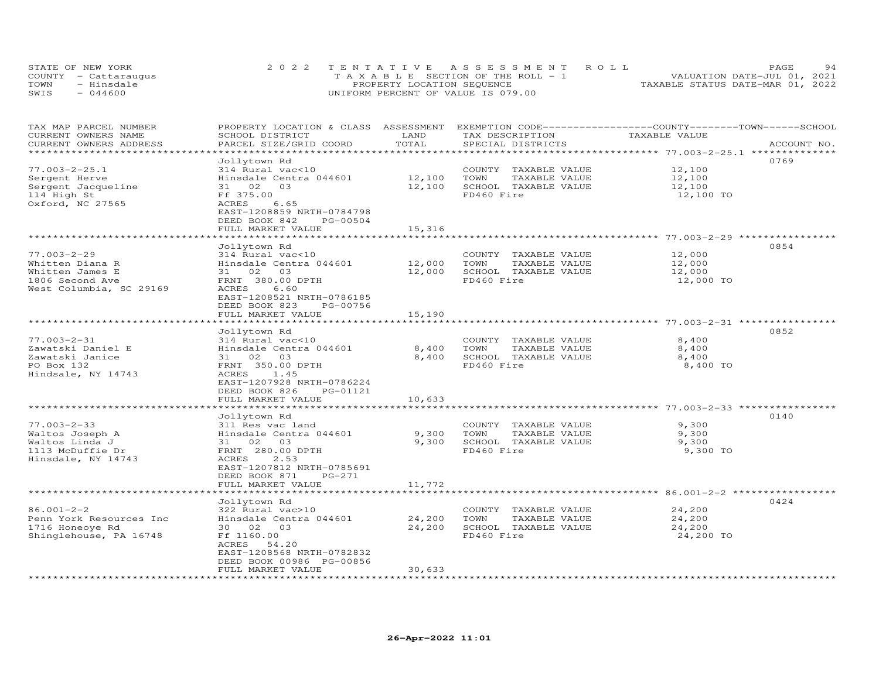| STATE OF NEW YORK |                      | 2022 TENTATIVE ASSESSMENT ROLL                 | 94<br><b>PAGE</b>                |
|-------------------|----------------------|------------------------------------------------|----------------------------------|
|                   | COUNTY - Cattaraugus | $T A X A B I E S E C T I ON OF THE RO I J = 1$ | VALUATION DATE-JUL 01, 2021      |
| TOWN              | - Hinsdale           | PROPERTY LOCATION SEQUENCE                     | TAXABLE STATUS DATE-MAR 01, 2022 |
| SWIS              | $-044600$            | UNIFORM PERCENT OF VALUE IS 079.00             |                                  |

| TAX MAP PARCEL NUMBER<br>CURRENT OWNERS NAME      | PROPERTY LOCATION & CLASS ASSESSMENT<br>SCHOOL DISTRICT                 | LAND   | EXEMPTION CODE-----------------COUNTY-------TOWN------SCHOOL<br>TAX DESCRIPTION | TAXABLE VALUE    |             |
|---------------------------------------------------|-------------------------------------------------------------------------|--------|---------------------------------------------------------------------------------|------------------|-------------|
| CURRENT OWNERS ADDRESS<br>*********************** | PARCEL SIZE/GRID COORD                                                  | TOTAL  | SPECIAL DISTRICTS                                                               |                  | ACCOUNT NO. |
|                                                   | Jollytown Rd                                                            |        |                                                                                 |                  | 0769        |
| $77.003 - 2 - 25.1$                               | 314 Rural vac<10                                                        |        | COUNTY TAXABLE VALUE                                                            | 12,100           |             |
| Sergent Herve                                     | Hinsdale Centra 044601                                                  | 12,100 | TOWN<br>TAXABLE VALUE                                                           | 12,100           |             |
|                                                   | 31 02 03                                                                | 12,100 | SCHOOL TAXABLE VALUE                                                            | 12,100           |             |
| Sergent Jacqueline<br>114 High St                 | Ff 375.00                                                               |        | FD460 Fire                                                                      |                  |             |
|                                                   | ACRES<br>6.65                                                           |        |                                                                                 | 12,100 TO        |             |
| Oxford, NC 27565                                  | EAST-1208859 NRTH-0784798<br>DEED BOOK 842                              |        |                                                                                 |                  |             |
|                                                   | PG-00504<br>FULL MARKET VALUE                                           | 15,316 |                                                                                 |                  |             |
|                                                   |                                                                         |        |                                                                                 |                  |             |
|                                                   |                                                                         |        |                                                                                 |                  | 0854        |
| $77.003 - 2 - 29$                                 | Jollytown Rd                                                            |        |                                                                                 |                  |             |
|                                                   | 314 Rural vac<10<br>Hinsdale Centra 044601                              | 12,000 | COUNTY TAXABLE VALUE<br>TOWN                                                    | 12,000           |             |
| Whitten Diana R                                   | 03                                                                      | 12,000 | TAXABLE VALUE<br>SCHOOL TAXABLE VALUE                                           | 12,000<br>12,000 |             |
| Whitten James E                                   | 31 02                                                                   |        | FD460 Fire                                                                      |                  |             |
| 1806 Second Ave                                   | FRNT 380.00 DPTH                                                        |        |                                                                                 | 12,000 TO        |             |
| West Columbia, SC 29169                           | ACRES<br>6.60<br>EAST-1208521 NRTH-0786185<br>DEED BOOK 823<br>PG-00756 |        |                                                                                 |                  |             |
|                                                   | FULL MARKET VALUE                                                       | 15,190 |                                                                                 |                  |             |
|                                                   |                                                                         |        |                                                                                 |                  |             |
|                                                   | Jollytown Rd                                                            |        |                                                                                 |                  | 0852        |
| $77.003 - 2 - 31$                                 | 314 Rural vac<10                                                        |        | COUNTY TAXABLE VALUE                                                            | 8,400            |             |
| Zawatski Daniel E                                 | Hinsdale Centra 044601                                                  | 8,400  | TOWN<br>TAXABLE VALUE                                                           | 8,400            |             |
| Zawatski Janice                                   | 31 02 03                                                                | 8,400  | SCHOOL TAXABLE VALUE                                                            | 8,400            |             |
| PO Box 132                                        | FRNT 350.00 DPTH                                                        |        | FD460 Fire                                                                      | 8,400 TO         |             |
| Hindsale, NY 14743                                | ACRES<br>1.45                                                           |        |                                                                                 |                  |             |
|                                                   | EAST-1207928 NRTH-0786224                                               |        |                                                                                 |                  |             |
|                                                   | DEED BOOK 826<br>PG-01121                                               |        |                                                                                 |                  |             |
|                                                   | FULL MARKET VALUE                                                       | 10,633 |                                                                                 |                  |             |
|                                                   |                                                                         |        |                                                                                 |                  |             |
|                                                   | Jollytown Rd                                                            |        |                                                                                 |                  | 0140        |
| $77.003 - 2 - 33$                                 | 311 Res vac land                                                        |        | COUNTY TAXABLE VALUE                                                            | 9,300            |             |
| Waltos Joseph A                                   | Hinsdale Centra 044601                                                  | 9,300  | TOWN<br>TAXABLE VALUE                                                           | 9,300            |             |
| Waltos Linda J                                    | 31 02<br>03                                                             | 9,300  | SCHOOL TAXABLE VALUE                                                            | 9,300            |             |
| 1113 McDuffie Dr                                  | FRNT 280.00 DPTH                                                        |        | FD460 Fire                                                                      | 9,300 TO         |             |
| Hinsdale, NY 14743                                | 2.53<br>ACRES                                                           |        |                                                                                 |                  |             |
|                                                   | EAST-1207812 NRTH-0785691                                               |        |                                                                                 |                  |             |
|                                                   | DEED BOOK 871<br>$PG-271$                                               |        |                                                                                 |                  |             |
|                                                   | FULL MARKET VALUE                                                       | 11,772 |                                                                                 |                  |             |
|                                                   |                                                                         |        |                                                                                 |                  |             |
|                                                   | Jollytown Rd                                                            |        |                                                                                 |                  | 0424        |
| $86.001 - 2 - 2$                                  | 322 Rural vac>10                                                        |        | COUNTY TAXABLE VALUE                                                            | 24,200           |             |
| Penn York Resources Inc                           | Hinsdale Centra 044601                                                  | 24,200 | TOWN<br>TAXABLE VALUE                                                           | 24,200           |             |
| 1716 Honeoye Rd                                   | 30  02  03                                                              | 24,200 | SCHOOL TAXABLE VALUE                                                            | 24,200           |             |
|                                                   | Ff 1160.00                                                              |        | FD460 Fire                                                                      |                  |             |
| Shinglehouse, PA 16748                            | 54.20<br>ACRES                                                          |        |                                                                                 | 24,200 TO        |             |
|                                                   |                                                                         |        |                                                                                 |                  |             |
|                                                   | EAST-1208568 NRTH-0782832<br>DEED BOOK 00986 PG-00856                   |        |                                                                                 |                  |             |
|                                                   | FULL MARKET VALUE                                                       | 30,633 |                                                                                 |                  |             |
|                                                   |                                                                         |        |                                                                                 |                  |             |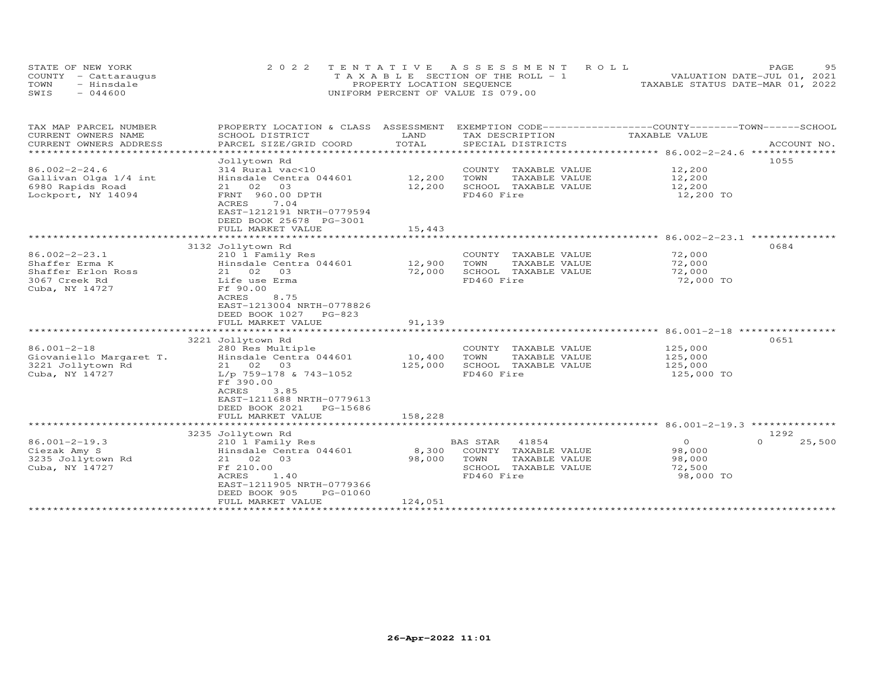| STATE OF NEW YORK    | 2022 TENTATIVE ASSESSMENT ROLL        | 9.5<br>PAGE                      |
|----------------------|---------------------------------------|----------------------------------|
| COUNTY - Cattaraugus | T A X A B L E SECTION OF THE ROLL - 1 | VALUATION DATE-JUL 01, 2021      |
| TOWN<br>- Hinsdale   | PROPERTY LOCATION SEQUENCE            | TAXABLE STATUS DATE-MAR 01, 2022 |
| SWIS<br>$-044600$    | UNIFORM PERCENT OF VALUE IS 079.00    |                                  |

| TAX MAP PARCEL NUMBER   | PROPERTY LOCATION & CLASS ASSESSMENT |         | EXEMPTION CODE------------------COUNTY-------TOWN-----SCHOOL |               |                    |
|-------------------------|--------------------------------------|---------|--------------------------------------------------------------|---------------|--------------------|
| CURRENT OWNERS NAME     | SCHOOL DISTRICT                      | LAND    | TAX DESCRIPTION                                              | TAXABLE VALUE |                    |
| CURRENT OWNERS ADDRESS  | PARCEL SIZE/GRID COORD               | TOTAL   | SPECIAL DISTRICTS                                            |               | ACCOUNT NO.        |
|                         |                                      |         |                                                              |               |                    |
|                         | Jollytown Rd                         |         |                                                              |               | 1055               |
| $86.002 - 2 - 24.6$     | 314 Rural vac<10                     |         | COUNTY TAXABLE VALUE                                         | 12,200        |                    |
| Gallivan Olga 1/4 int   | Hinsdale Centra 044601               | 12,200  | TOWN<br>TAXABLE VALUE                                        | 12,200        |                    |
| 6980 Rapids Road        | 03<br>21 02                          | 12,200  | SCHOOL TAXABLE VALUE                                         | 12,200        |                    |
| Lockport, NY 14094      | FRNT 960.00 DPTH                     |         | FD460 Fire                                                   | 12,200 TO     |                    |
|                         | 7.04<br>ACRES                        |         |                                                              |               |                    |
|                         | EAST-1212191 NRTH-0779594            |         |                                                              |               |                    |
|                         | DEED BOOK 25678 PG-3001              |         |                                                              |               |                    |
|                         | FULL MARKET VALUE                    | 15,443  |                                                              |               |                    |
|                         |                                      |         |                                                              |               |                    |
|                         | 3132 Jollytown Rd                    |         |                                                              |               | 0684               |
| $86.002 - 2 - 23.1$     | 210 1 Family Res                     |         | COUNTY<br>TAXABLE VALUE                                      | 72,000        |                    |
| Shaffer Erma K          | Hinsdale Centra 044601               | 12,900  | TOWN<br>TAXABLE VALUE                                        | 72,000        |                    |
| Shaffer Erlon Ross      | 21 02<br>03                          | 72,000  | SCHOOL TAXABLE VALUE                                         | 72,000        |                    |
| 3067 Creek Rd           | Life use Erma                        |         | FD460 Fire                                                   | 72,000 TO     |                    |
| Cuba, NY 14727          | Ff 90.00                             |         |                                                              |               |                    |
|                         | 8.75<br>ACRES                        |         |                                                              |               |                    |
|                         | EAST-1213004 NRTH-0778826            |         |                                                              |               |                    |
|                         | DEED BOOK 1027<br>$PG-823$           |         |                                                              |               |                    |
|                         | FULL MARKET VALUE                    | 91,139  |                                                              |               |                    |
|                         |                                      |         |                                                              |               |                    |
|                         | 3221 Jollytown Rd                    |         |                                                              |               | 0651               |
| $86.001 - 2 - 18$       | 280 Res Multiple                     |         | COUNTY<br>TAXABLE VALUE                                      | 125,000       |                    |
| Giovaniello Margaret T. | Hinsdale Centra 044601               | 10,400  | TAXABLE VALUE                                                |               |                    |
|                         | 21 02 03                             | 125,000 | TOWN<br>SCHOOL TAXABLE VALUE                                 | 125,000       |                    |
| 3221 Jollytown Rd       |                                      |         |                                                              | 125,000       |                    |
| Cuba, NY 14727          | L/p 759-178 & 743-1052               |         | FD460 Fire                                                   | 125,000 TO    |                    |
|                         | Ff 390.00                            |         |                                                              |               |                    |
|                         | 3.85<br><b>ACRES</b>                 |         |                                                              |               |                    |
|                         | EAST-1211688 NRTH-0779613            |         |                                                              |               |                    |
|                         | DEED BOOK 2021<br>PG-15686           |         |                                                              |               |                    |
|                         | FULL MARKET VALUE                    | 158,228 |                                                              |               |                    |
|                         |                                      |         |                                                              |               |                    |
|                         | 3235 Jollytown Rd                    |         |                                                              |               | 1292               |
| $86.001 - 2 - 19.3$     | 210 1 Family Res                     |         | <b>BAS STAR</b><br>41854                                     | $\Omega$      | 25,500<br>$\Omega$ |
| Ciezak Amy S            | Hinsdale Centra 044601               | 8,300   | COUNTY TAXABLE VALUE                                         | 98,000        |                    |
| 3235 Jollytown Rd       | 21 02 03                             | 98,000  | TOWN<br>TAXABLE VALUE                                        | 98,000        |                    |
| Cuba, NY 14727          | Ff 210.00                            |         | SCHOOL TAXABLE VALUE                                         | 72,500        |                    |
|                         | ACRES<br>1.40                        |         | FD460 Fire                                                   | 98,000 TO     |                    |
|                         | EAST-1211905 NRTH-0779366            |         |                                                              |               |                    |
|                         | DEED BOOK 905<br>PG-01060            |         |                                                              |               |                    |
|                         | FULL MARKET VALUE                    | 124,051 |                                                              |               |                    |
|                         |                                      |         |                                                              |               |                    |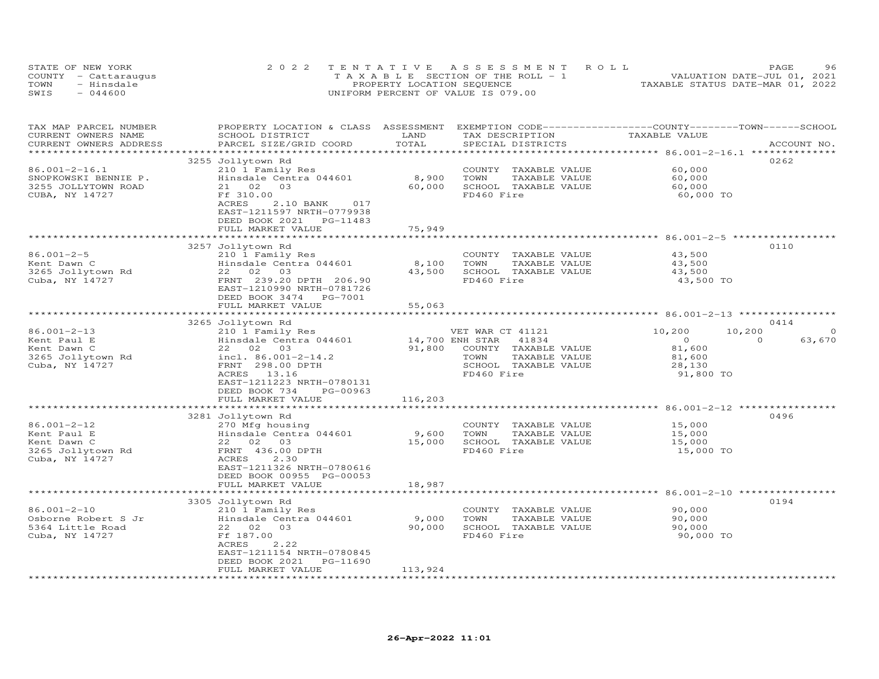|      | STATE OF NEW YORK    | 2022 TENTATIVE ASSESSMENT ROLL        |                                  | PAGE. | 96 |
|------|----------------------|---------------------------------------|----------------------------------|-------|----|
|      | COUNTY - Cattaraugus | T A X A B L E SECTION OF THE ROLL - 1 | VALUATION DATE-JUL 01, 2021      |       |    |
| TOWN | - Hinsdale           | PROPERTY LOCATION SEQUENCE            | TAXABLE STATUS DATE-MAR 01, 2022 |       |    |
| SWIS | $-044600$            | UNIFORM PERCENT OF VALUE IS 079.00    |                                  |       |    |

| TAX MAP PARCEL NUMBER<br>CURRENT OWNERS NAME<br>CURRENT OWNERS ADDRESS | PROPERTY LOCATION & CLASS ASSESSMENT<br>SCHOOL DISTRICT<br>PARCEL SIZE/GRID COORD                                             | LAND<br>TOTAL   | TAX DESCRIPTION<br>SPECIAL DISTRICTS                                  | EXEMPTION CODE-----------------COUNTY-------TOWN------SCHOOL<br>TAXABLE VALUE | ACCOUNT NO.        |
|------------------------------------------------------------------------|-------------------------------------------------------------------------------------------------------------------------------|-----------------|-----------------------------------------------------------------------|-------------------------------------------------------------------------------|--------------------|
|                                                                        |                                                                                                                               |                 |                                                                       |                                                                               |                    |
|                                                                        | 3255 Jollytown Rd                                                                                                             |                 |                                                                       |                                                                               | 0262               |
| $86.001 - 2 - 16.1$<br>SNOPKOWSKI BENNIE P.<br>3255 JOLLYTOWN ROAD     | 210 1 Family Res<br>Hinsdale Centra 044601<br>21 02<br>03                                                                     | 8,900<br>60,000 | COUNTY TAXABLE VALUE<br>TOWN<br>TAXABLE VALUE<br>SCHOOL TAXABLE VALUE | 60,000<br>60,000<br>60,000                                                    |                    |
| CUBA, NY 14727                                                         | Ff 310.00<br><b>ACRES</b><br>2.10 BANK<br>017<br>EAST-1211597 NRTH-0779938<br>DEED BOOK 2021<br>PG-11483<br>FULL MARKET VALUE | 75,949          | FD460 Fire                                                            | 60,000 TO                                                                     |                    |
|                                                                        |                                                                                                                               |                 |                                                                       |                                                                               |                    |
|                                                                        | 3257 Jollytown Rd                                                                                                             |                 |                                                                       |                                                                               | 0110               |
| $86.001 - 2 - 5$                                                       | 210 1 Family Res                                                                                                              |                 | COUNTY TAXABLE VALUE                                                  | 43,500                                                                        |                    |
| Kent Dawn C                                                            | Hinsdale Centra 044601                                                                                                        | 8,100           | TAXABLE VALUE<br>TOWN                                                 | 43,500                                                                        |                    |
| 3265 Jollytown Rd                                                      | 22 02<br>03                                                                                                                   | 43,500          | SCHOOL TAXABLE VALUE                                                  | 43,500                                                                        |                    |
| Cuba, NY 14727                                                         | FRNT 239.20 DPTH 206.90<br>EAST-1210990 NRTH-0781726<br>DEED BOOK 3474<br>PG-7001                                             |                 | FD460 Fire                                                            | 43,500 TO                                                                     |                    |
|                                                                        | FULL MARKET VALUE                                                                                                             | 55,063          |                                                                       |                                                                               |                    |
|                                                                        |                                                                                                                               | ************    |                                                                       |                                                                               |                    |
|                                                                        | 3265 Jollytown Rd                                                                                                             |                 |                                                                       |                                                                               | 0414               |
| 86.001-2-13                                                            | 210 1 Family Res                                                                                                              |                 | VET WAR CT 41121                                                      | 10,200<br>10,200                                                              | $\circ$            |
| Kent Paul E                                                            | Hinsdale Centra 044601                                                                                                        | 14,700 ENH STAR | 41834                                                                 | $\overline{O}$                                                                | $\Omega$<br>63,670 |
| Kent Dawn C                                                            | 22 02 03                                                                                                                      | 91,800          | COUNTY TAXABLE VALUE                                                  | 81,600                                                                        |                    |
| 3265 Jollytown Rd                                                      | incl. $86.001 - 2 - 14.2$                                                                                                     |                 | TOWN<br>TAXABLE VALUE                                                 | 81,600                                                                        |                    |
| Cuba, NY 14727                                                         | FRNT 298.00 DPTH                                                                                                              |                 | SCHOOL TAXABLE VALUE                                                  | 28,130                                                                        |                    |
|                                                                        | ACRES 13.16                                                                                                                   |                 | FD460 Fire                                                            | 91,800 TO                                                                     |                    |
|                                                                        | EAST-1211223 NRTH-0780131                                                                                                     |                 |                                                                       |                                                                               |                    |
|                                                                        | DEED BOOK 734<br>PG-00963                                                                                                     |                 |                                                                       |                                                                               |                    |
|                                                                        | FULL MARKET VALUE                                                                                                             | 116,203         |                                                                       |                                                                               |                    |
|                                                                        |                                                                                                                               |                 |                                                                       |                                                                               |                    |
|                                                                        | 3281 Jollytown Rd                                                                                                             |                 |                                                                       |                                                                               | 0496               |
| 86.001-2-12                                                            | 270 Mfg housing                                                                                                               |                 | COUNTY TAXABLE VALUE                                                  | 15,000                                                                        |                    |
| Kent Paul E                                                            | Hinsdale Centra 044601                                                                                                        | 9,600           | TOWN<br>TAXABLE VALUE                                                 | 15,000                                                                        |                    |
| Kent Dawn C                                                            | 22 02 03                                                                                                                      | 15,000          | SCHOOL TAXABLE VALUE                                                  | 15,000                                                                        |                    |
| 3265 Jollytown Rd                                                      | FRNT 436.00 DPTH                                                                                                              |                 | FD460 Fire                                                            | 15,000 TO                                                                     |                    |
| Cuba, NY 14727                                                         | ACRES<br>2.30                                                                                                                 |                 |                                                                       |                                                                               |                    |
|                                                                        | EAST-1211326 NRTH-0780616                                                                                                     |                 |                                                                       |                                                                               |                    |
|                                                                        | DEED BOOK 00955 PG-00053                                                                                                      |                 |                                                                       |                                                                               |                    |
|                                                                        | FULL MARKET VALUE                                                                                                             | 18,987          |                                                                       |                                                                               |                    |
|                                                                        |                                                                                                                               |                 |                                                                       |                                                                               |                    |
|                                                                        | 3305 Jollytown Rd                                                                                                             |                 |                                                                       |                                                                               | 0194               |
| $86.001 - 2 - 10$                                                      | 210 1 Family Res                                                                                                              |                 | COUNTY TAXABLE VALUE                                                  | 90,000                                                                        |                    |
| Osborne Robert S Jr                                                    | Hinsdale Centra 044601                                                                                                        | 9,000           | TOWN<br>TAXABLE VALUE                                                 | 90,000                                                                        |                    |
| 5364 Little Road                                                       | 22 02 03                                                                                                                      | 90,000          | SCHOOL TAXABLE VALUE                                                  | 90,000                                                                        |                    |
| Cuba, NY 14727                                                         | Ff 187.00<br>ACRES<br>2.22                                                                                                    |                 | FD460 Fire                                                            | 90,000 TO                                                                     |                    |
|                                                                        |                                                                                                                               |                 |                                                                       |                                                                               |                    |
|                                                                        | EAST-1211154 NRTH-0780845<br>DEED BOOK 2021<br>PG-11690                                                                       |                 |                                                                       |                                                                               |                    |
|                                                                        | FULL MARKET VALUE                                                                                                             | 113,924         |                                                                       |                                                                               |                    |
|                                                                        |                                                                                                                               |                 |                                                                       |                                                                               |                    |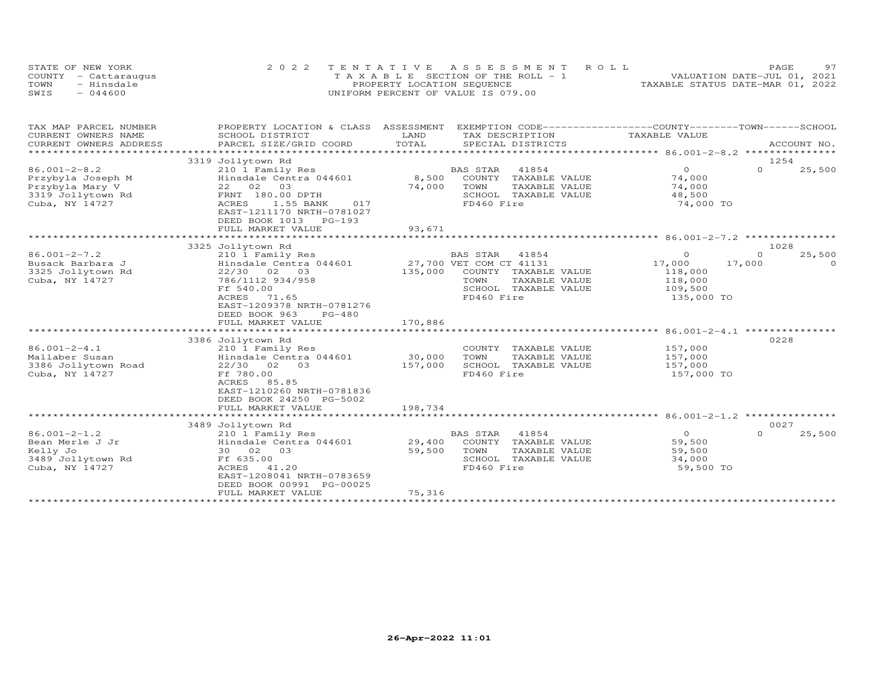| STATE OF NEW YORK    | 2022 TENTATIVE ASSESSMENT ROLL        | 97<br>PAGE                       |
|----------------------|---------------------------------------|----------------------------------|
| COUNTY - Cattaraugus | T A X A B L E SECTION OF THE ROLL - 1 | VALUATION DATE-JUL 01, 2021      |
| TOWN<br>- Hinsdale   | PROPERTY LOCATION SEQUENCE            | TAXABLE STATUS DATE-MAR 01, 2022 |
| SWIS<br>$-044600$    | UNIFORM PERCENT OF VALUE IS 079.00    |                                  |

| TAX MAP PARCEL NUMBER                             | PROPERTY LOCATION & CLASS ASSESSMENT EXEMPTION CODE----------------COUNTY-------TOWN-----SCHOOL |                   |                                               |                    |                    |                    |
|---------------------------------------------------|-------------------------------------------------------------------------------------------------|-------------------|-----------------------------------------------|--------------------|--------------------|--------------------|
| CURRENT OWNERS NAME                               | SCHOOL DISTRICT                                                                                 | LAND              | TAX DESCRIPTION                               | TAXABLE VALUE      |                    |                    |
| CURRENT OWNERS ADDRESS<br>*********************** | PARCEL SIZE/GRID COORD                                                                          | TOTAL             | SPECIAL DISTRICTS                             |                    |                    | ACCOUNT NO.        |
|                                                   | 3319 Jollytown Rd                                                                               |                   |                                               |                    |                    | 1254               |
| $86.001 - 2 - 8.2$                                | 210 1 Family Res                                                                                |                   | BAS STAR<br>41854                             | $\circ$            | $\Omega$           | 25,500             |
| Przybyla Joseph M                                 | Hinsdale Centra 044601                                                                          | 8,500             | COUNTY TAXABLE VALUE                          | 74,000             |                    |                    |
| Przybyla Mary V                                   | 22 02<br>03                                                                                     | 74,000            | TOWN<br>TAXABLE VALUE                         | 74,000             |                    |                    |
| 3319 Jollytown Rd                                 | FRNT 180.00 DPTH                                                                                |                   | SCHOOL TAXABLE VALUE                          | 48,500             |                    |                    |
| Cuba, NY 14727                                    | <b>ACRES</b><br>1.55 BANK<br>017                                                                |                   | FD460 Fire                                    | 74,000 TO          |                    |                    |
|                                                   | EAST-1211170 NRTH-0781027                                                                       |                   |                                               |                    |                    |                    |
|                                                   | DEED BOOK 1013<br>PG-193                                                                        |                   |                                               |                    |                    |                    |
|                                                   | FULL MARKET VALUE                                                                               | 93,671            |                                               |                    |                    |                    |
|                                                   |                                                                                                 |                   |                                               |                    |                    |                    |
|                                                   | 3325 Jollytown Rd                                                                               |                   |                                               |                    |                    | 1028               |
| $86.001 - 2 - 7.2$<br>Busack Barbara J            | 210 1 Family Res<br>Hinsdale Centra 044601                                                      |                   | BAS STAR<br>41854<br>27,700 VET COM CT 41131  | $\circ$<br>17,000  | $\Omega$<br>17,000 | 25,500<br>$\Omega$ |
| 3325 Jollytown Rd                                 | 22/30 02 03                                                                                     | 135,000           | COUNTY TAXABLE VALUE                          | 118,000            |                    |                    |
| Cuba, NY 14727                                    | 786/1112 934/958                                                                                |                   | TOWN<br>TAXABLE VALUE                         | 118,000            |                    |                    |
|                                                   | Ff 540.00                                                                                       |                   | SCHOOL TAXABLE VALUE                          | 109,500            |                    |                    |
|                                                   | ACRES<br>71.65                                                                                  |                   | FD460 Fire                                    | 135,000 TO         |                    |                    |
|                                                   | EAST-1209378 NRTH-0781276                                                                       |                   |                                               |                    |                    |                    |
|                                                   | DEED BOOK 963<br>$PG-480$                                                                       |                   |                                               |                    |                    |                    |
|                                                   | FULL MARKET VALUE                                                                               | 170,886           |                                               |                    |                    |                    |
|                                                   |                                                                                                 |                   |                                               |                    |                    |                    |
|                                                   | 3386 Jollytown Rd                                                                               |                   |                                               |                    |                    | 0228               |
| $86.001 - 2 - 4.1$                                | 210 1 Family Res                                                                                |                   | COUNTY TAXABLE VALUE                          | 157,000            |                    |                    |
| Mallaber Susan<br>3386 Jollytown Road             | Hinsdale Centra 044601<br>22/30 02<br>03                                                        | 30,000<br>157,000 | TOWN<br>TAXABLE VALUE<br>SCHOOL TAXABLE VALUE | 157,000<br>157,000 |                    |                    |
| Cuba, NY 14727                                    | Ff 780.00                                                                                       |                   | FD460 Fire                                    | 157,000 TO         |                    |                    |
|                                                   | ACRES<br>85.85                                                                                  |                   |                                               |                    |                    |                    |
|                                                   | EAST-1210260 NRTH-0781836                                                                       |                   |                                               |                    |                    |                    |
|                                                   | DEED BOOK 24250 PG-5002                                                                         |                   |                                               |                    |                    |                    |
|                                                   | FULL MARKET VALUE                                                                               | 198,734           |                                               |                    |                    |                    |
|                                                   | ************************                                                                        |                   |                                               |                    |                    |                    |
|                                                   | 3489 Jollytown Rd                                                                               |                   |                                               |                    |                    | 0027               |
| $86.001 - 2 - 1.2$                                | 210 1 Family Res                                                                                |                   | 41854<br>BAS STAR                             | $\overline{O}$     | $\circ$            | 25,500             |
| Bean Merle J Jr                                   | Hinsdale Centra 044601                                                                          | 29,400            | COUNTY TAXABLE VALUE                          | 59,500             |                    |                    |
| Kelly Jo                                          | 30 02 03                                                                                        | 59,500            | TOWN<br>TAXABLE VALUE                         | 59,500             |                    |                    |
| 3489 Jollytown Rd                                 | Ff 635.00                                                                                       |                   | SCHOOL TAXABLE VALUE                          | 34,000             |                    |                    |
| Cuba, NY 14727                                    | 41.20<br>ACRES<br>EAST-1208041 NRTH-0783659                                                     |                   | FD460 Fire                                    | 59,500 TO          |                    |                    |
|                                                   | DEED BOOK 00991 PG-00025                                                                        |                   |                                               |                    |                    |                    |
|                                                   | FULL MARKET VALUE                                                                               | 75,316            |                                               |                    |                    |                    |
|                                                   |                                                                                                 |                   |                                               |                    |                    |                    |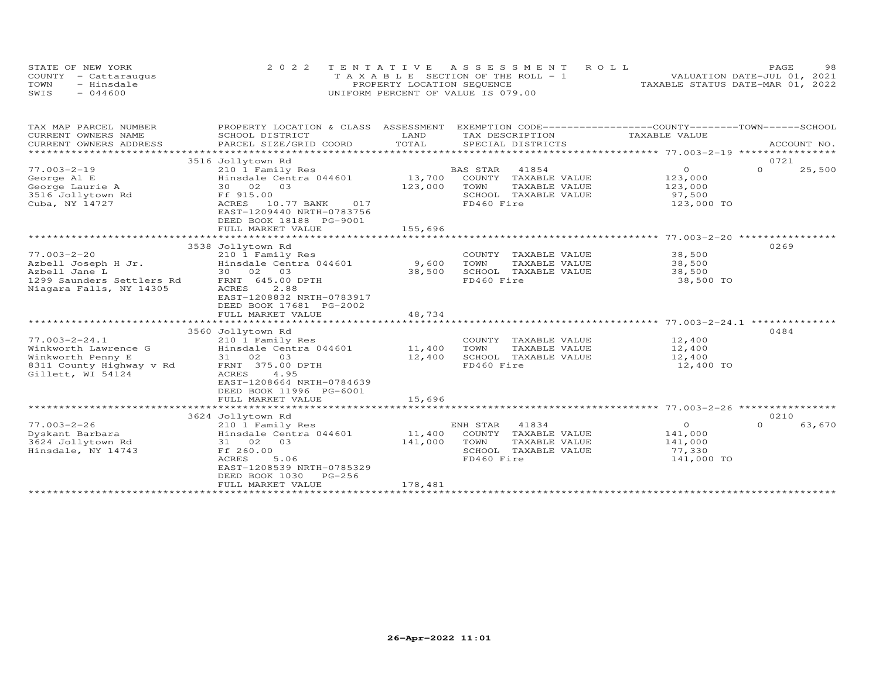| STATE OF NEW YORK    | 2022 TENTATIVE ASSESSMENT ROLL        | 98<br><b>PAGE</b>                |
|----------------------|---------------------------------------|----------------------------------|
| COUNTY - Cattaraugus | T A X A B L E SECTION OF THE ROLL - 1 | VALUATION DATE-JUL 01, 2021      |
| TOWN<br>- Hinsdale   | PROPERTY LOCATION SEQUENCE            | TAXABLE STATUS DATE-MAR 01, 2022 |
| $-044600$<br>SWIS    | UNIFORM PERCENT OF VALUE IS 079.00    |                                  |

| TAX MAP PARCEL NUMBER<br>CURRENT OWNERS NAME                     | PROPERTY LOCATION & CLASS ASSESSMENT EXEMPTION CODE----------------COUNTY-------TOWN------SCHOOL<br>SCHOOL DISTRICT | LAND    | TAX DESCRIPTION             | TAXABLE VALUE  |                    |
|------------------------------------------------------------------|---------------------------------------------------------------------------------------------------------------------|---------|-----------------------------|----------------|--------------------|
| CURRENT OWNERS ADDRESS                                           | PARCEL SIZE/GRID COORD                                                                                              | TOTAL   | SPECIAL DISTRICTS           |                | ACCOUNT NO.        |
|                                                                  |                                                                                                                     |         |                             |                |                    |
|                                                                  | 3516 Jollytown Rd                                                                                                   |         |                             |                | 0721               |
| $77.003 - 2 - 19$                                                | 210 1 Family Res                                                                                                    |         | <b>BAS STAR</b><br>41854    | $\overline{O}$ | $\Omega$<br>25,500 |
| George Al E                                                      | Hinsdale Centra 044601                                                                                              | 13,700  | COUNTY TAXABLE VALUE        | 123,000        |                    |
| George Laurie A                                                  | 30 02 03                                                                                                            | 123,000 | TOWN<br>TAXABLE VALUE       | 123,000        |                    |
| 3516 Jollytown Rd Ff 915.00                                      |                                                                                                                     |         | SCHOOL TAXABLE VALUE        | 97,500         |                    |
| Cuba, NY 14727                                                   | ACRES 10.77 BANK 017<br>EAST-1209440 NRTH-0783756                                                                   |         | FD460 Fire                  | 123,000 TO     |                    |
|                                                                  | DEED BOOK 18188 PG-9001                                                                                             |         |                             |                |                    |
|                                                                  | FULL MARKET VALUE                                                                                                   | 155,696 |                             |                |                    |
|                                                                  |                                                                                                                     |         |                             |                |                    |
|                                                                  | 3538 Jollytown Rd                                                                                                   |         |                             |                | 0269               |
| $77.003 - 2 - 20$                                                | 210 1 Family Res                                                                                                    |         | COUNTY TAXABLE VALUE 38,500 |                |                    |
| Azbell Joseph H Jr.                                              | Hinsdale Centra 044601 9,600                                                                                        |         | TOWN<br>TAXABLE VALUE       | 38,500         |                    |
| Azbell Jane L                                                    | 30 02 03                                                                                                            | 38,500  | SCHOOL TAXABLE VALUE        | 38,500         |                    |
| Azbell Jane L<br>1299 Saunders Settlers Rd      FRNT 645.00 DPTH |                                                                                                                     |         | FD460 Fire                  | 38,500 TO      |                    |
| Niagara Falls, NY 14305                                          | 2.88<br>ACRES                                                                                                       |         |                             |                |                    |
|                                                                  | EAST-1208832 NRTH-0783917                                                                                           |         |                             |                |                    |
|                                                                  | DEED BOOK 17681 PG-2002                                                                                             |         |                             |                |                    |
|                                                                  | FULL MARKET VALUE                                                                                                   | 48,734  |                             |                |                    |
|                                                                  |                                                                                                                     |         |                             |                |                    |
|                                                                  | 3560 Jollytown Rd                                                                                                   |         |                             |                | 0484               |
| $77.003 - 2 - 24.1$                                              | 210 1 Family Res                                                                                                    |         | COUNTY TAXABLE VALUE        | 12,400         |                    |
| Winkworth Lawrence G                                             | Hinsdale Centra 044601 11,400                                                                                       |         | TOWN<br>TAXABLE VALUE       | 12,400         |                    |
|                                                                  | 31 02 03                                                                                                            | 12,400  | SCHOOL TAXABLE VALUE        | 12,400         |                    |
| Winkworth Penny E<br>8311 County Highway v Rd                    | FRNT 375.00 DPTH                                                                                                    |         | FD460 Fire                  | 12,400 TO      |                    |
| Gillett, WI 54124                                                | ACRES<br>4.95                                                                                                       |         |                             |                |                    |
|                                                                  | EAST-1208664 NRTH-0784639                                                                                           |         |                             |                |                    |
|                                                                  | DEED BOOK 11996 PG-6001<br>FULL MARKET VALUE                                                                        | 15,696  |                             |                |                    |
|                                                                  |                                                                                                                     |         |                             |                |                    |
|                                                                  | 3624 Jollytown Rd                                                                                                   |         |                             |                | 0210               |
| $77.003 - 2 - 26$                                                | 210 1 Family Res                                                                                                    |         | ENH STAR 41834              | $\overline{0}$ | $\Omega$<br>63,670 |
| Dyskant Barbara                                                  | Hinsdale Centra 044601                                                                                              |         | 11,400 COUNTY TAXABLE VALUE | 141,000        |                    |
| 3624 Jollytown Rd                                                | 31 02 03                                                                                                            | 141,000 | TOWN<br>TAXABLE VALUE       | 141,000        |                    |
| Hinsdale, NY 14743                                               | Ff 260.00                                                                                                           |         | SCHOOL TAXABLE VALUE        | 77,330         |                    |
|                                                                  | 5.06<br>ACRES                                                                                                       |         | FD460 Fire                  | 141,000 TO     |                    |
|                                                                  | EAST-1208539 NRTH-0785329                                                                                           |         |                             |                |                    |
|                                                                  | DEED BOOK 1030<br>PG-256                                                                                            |         |                             |                |                    |
|                                                                  | FULL MARKET VALUE                                                                                                   | 178,481 |                             |                |                    |
|                                                                  |                                                                                                                     |         |                             |                |                    |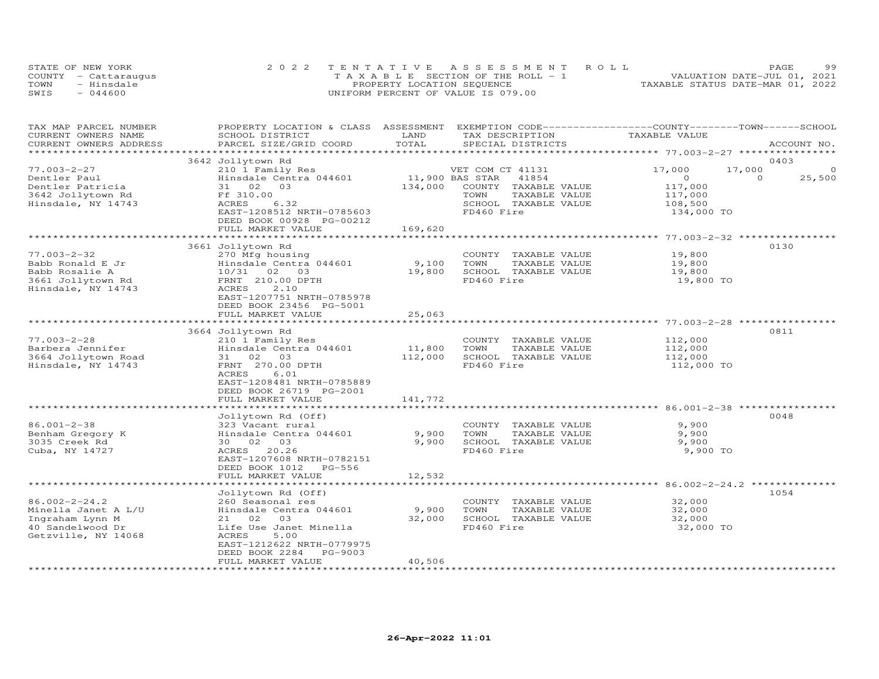| STATE OF NEW YORK    | 2022 TENTATIVE ASSESSMENT ROLL           | PAGE.                            | 99 |
|----------------------|------------------------------------------|----------------------------------|----|
| COUNTY - Cattaraugus | $T A X A B I E$ SECTION OF THE ROLL $-1$ | VALUATION DATE-JUL 01, 2021      |    |
| - Hinsdale<br>TOWN   | PROPERTY LOCATION SEQUENCE               | TAXABLE STATUS DATE-MAR 01, 2022 |    |
| $-044600$<br>SWIS    | UNIFORM PERCENT OF VALUE IS 079.00       |                                  |    |

| TAX MAP PARCEL NUMBER<br>CURRENT OWNERS NAME<br>CURRENT OWNERS ADDRESS | PROPERTY LOCATION & CLASS ASSESSMENT<br>SCHOOL DISTRICT<br>PARCEL SIZE/GRID COORD | LAND<br>TOTAL          | EXEMPTION CODE-----------------COUNTY-------TOWN-----SCHOOL<br>TAX DESCRIPTION<br>SPECIAL DISTRICTS | TAXABLE VALUE                | ACCOUNT NO.        |
|------------------------------------------------------------------------|-----------------------------------------------------------------------------------|------------------------|-----------------------------------------------------------------------------------------------------|------------------------------|--------------------|
| *********************                                                  |                                                                                   |                        |                                                                                                     |                              |                    |
|                                                                        | 3642 Jollytown Rd                                                                 |                        |                                                                                                     |                              | 0403               |
| $77.003 - 2 - 27$                                                      | 210 1 Family Res                                                                  |                        | VET COM CT 41131                                                                                    | 17,000<br>17,000             | $\circ$            |
| Dentler Paul                                                           | Hinsdale Centra 044601                                                            | 11,900 BAS STAR        | 41854                                                                                               | $\circ$                      | $\Omega$<br>25,500 |
| Dentler Patricia                                                       | 31 02<br>03                                                                       | 134,000                | COUNTY TAXABLE VALUE                                                                                | 117,000                      |                    |
| 3642 Jollytown Rd                                                      | Ff 310.00                                                                         |                        | TOWN<br>TAXABLE VALUE                                                                               | 117,000                      |                    |
| Hinsdale, NY 14743                                                     | ACRES<br>6.32                                                                     |                        | SCHOOL TAXABLE VALUE                                                                                | 108,500                      |                    |
|                                                                        | EAST-1208512 NRTH-0785603                                                         |                        | FD460 Fire                                                                                          | 134,000 TO                   |                    |
|                                                                        | DEED BOOK 00928 PG-00212                                                          |                        |                                                                                                     |                              |                    |
|                                                                        | FULL MARKET VALUE                                                                 | 169,620<br>*********** |                                                                                                     |                              |                    |
|                                                                        |                                                                                   |                        |                                                                                                     | *********** 77.003-2-32 **** | 0130               |
| $77.003 - 2 - 32$                                                      | 3661 Jollytown Rd                                                                 |                        |                                                                                                     | 19,800                       |                    |
| Babb Ronald E Jr                                                       | 270 Mfg housing<br>Hinsdale Centra 044601                                         | 9,100                  | COUNTY TAXABLE VALUE<br>TOWN<br>TAXABLE VALUE                                                       | 19,800                       |                    |
| Babb Rosalie A                                                         | 10/31 02 03                                                                       | 19,800                 | SCHOOL TAXABLE VALUE                                                                                | 19,800                       |                    |
| 3661 Jollytown Rd                                                      | FRNT 210.00 DPTH                                                                  |                        | FD460 Fire                                                                                          | 19,800 TO                    |                    |
| Hinsdale, NY 14743                                                     | ACRES<br>2.10                                                                     |                        |                                                                                                     |                              |                    |
|                                                                        | EAST-1207751 NRTH-0785978                                                         |                        |                                                                                                     |                              |                    |
|                                                                        | DEED BOOK 23456 PG-5001                                                           |                        |                                                                                                     |                              |                    |
|                                                                        | FULL MARKET VALUE                                                                 | 25,063                 |                                                                                                     |                              |                    |
|                                                                        |                                                                                   | **************         | ******************************** 77.003-2-28 *************                                          |                              |                    |
|                                                                        | 3664 Jollytown Rd                                                                 |                        |                                                                                                     |                              | 0811               |
| $77.003 - 2 - 28$                                                      | 210 1 Family Res                                                                  |                        | COUNTY TAXABLE VALUE                                                                                | 112,000                      |                    |
| Barbera Jennifer                                                       | Hinsdale Centra 044601                                                            | 11,800                 | TOWN<br>TAXABLE VALUE                                                                               | 112,000                      |                    |
| 3664 Jollytown Road                                                    | 31 02 03                                                                          | 112,000                | SCHOOL TAXABLE VALUE                                                                                | 112,000                      |                    |
| Hinsdale, NY 14743                                                     | FRNT 270.00 DPTH                                                                  |                        | FD460 Fire                                                                                          | 112,000 TO                   |                    |
|                                                                        | ACRES<br>6.01                                                                     |                        |                                                                                                     |                              |                    |
|                                                                        | EAST-1208481 NRTH-0785889                                                         |                        |                                                                                                     |                              |                    |
|                                                                        | DEED BOOK 26719 PG-2001                                                           |                        |                                                                                                     |                              |                    |
|                                                                        | FULL MARKET VALUE<br>***************************                                  | 141,772                |                                                                                                     |                              |                    |
|                                                                        | Jollytown Rd (Off)                                                                |                        |                                                                                                     |                              | 0048               |
| $86.001 - 2 - 38$                                                      | 323 Vacant rural                                                                  |                        | COUNTY TAXABLE VALUE                                                                                | 9,900                        |                    |
| Benham Gregory K                                                       | Hinsdale Centra 044601                                                            | 9,900                  | TOWN<br>TAXABLE VALUE                                                                               | 9,900                        |                    |
| 3035 Creek Rd                                                          | 30 02 03                                                                          | 9,900                  | SCHOOL TAXABLE VALUE                                                                                | 9,900                        |                    |
| Cuba, NY 14727                                                         | ACRES 20.26                                                                       |                        | FD460 Fire                                                                                          | 9,900 TO                     |                    |
|                                                                        | EAST-1207608 NRTH-0782151                                                         |                        |                                                                                                     |                              |                    |
|                                                                        | DEED BOOK 1012 PG-556                                                             |                        |                                                                                                     |                              |                    |
|                                                                        | FULL MARKET VALUE                                                                 | 12,532                 |                                                                                                     |                              |                    |
|                                                                        |                                                                                   |                        |                                                                                                     |                              |                    |
|                                                                        | Jollytown Rd (Off)                                                                |                        |                                                                                                     |                              | 1054               |
| $86.002 - 2 - 24.2$                                                    | 260 Seasonal res                                                                  |                        | COUNTY TAXABLE VALUE                                                                                | 32,000                       |                    |
| Minella Janet A L/U                                                    | Hinsdale Centra 044601                                                            | 9,900                  | TOWN<br>TAXABLE VALUE                                                                               | 32,000                       |                    |
| Ingraham Lynn M                                                        | 21 02<br>03                                                                       | 32,000                 | SCHOOL TAXABLE VALUE                                                                                | 32,000                       |                    |
| 40 Sandelwood Dr                                                       | Life Use Janet Minella                                                            |                        | FD460 Fire                                                                                          | 32,000 TO                    |                    |
| Getzville, NY 14068                                                    | 5.00<br>ACRES                                                                     |                        |                                                                                                     |                              |                    |
|                                                                        | EAST-1212622 NRTH-0779975<br>PG-9003                                              |                        |                                                                                                     |                              |                    |
|                                                                        | DEED BOOK 2284<br>FULL MARKET VALUE                                               | 40,506                 |                                                                                                     |                              |                    |
| ************************                                               |                                                                                   |                        |                                                                                                     |                              |                    |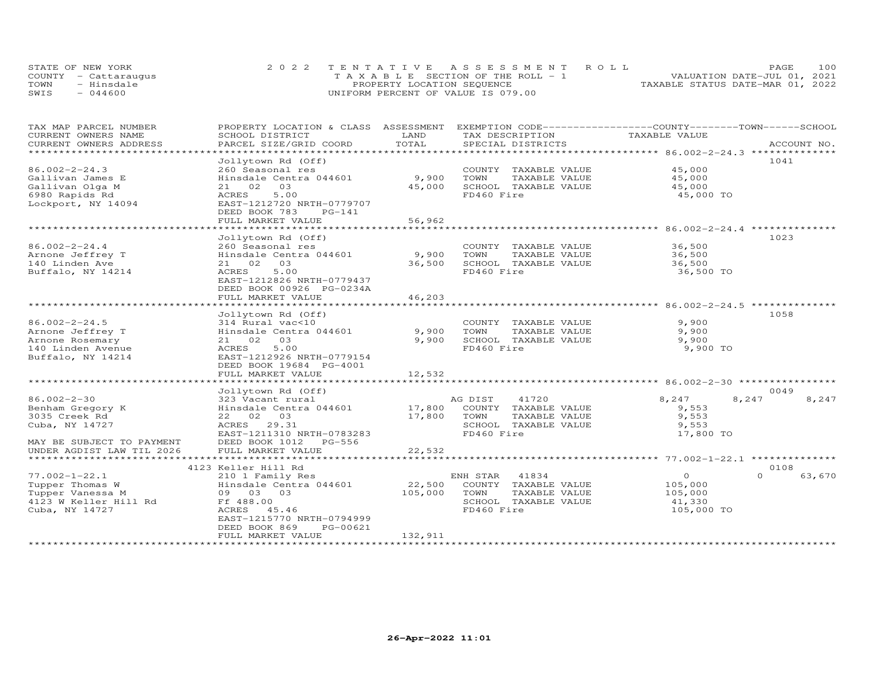| STATE OF NEW YORK    | 2022 TENTATIVE ASSESSMENT ROLL        | 100<br>PAGE.                     |
|----------------------|---------------------------------------|----------------------------------|
| COUNTY - Cattaraugus | T A X A B L E SECTION OF THE ROLL - 1 | VALUATION DATE-JUL 01, 2021      |
| TOWN<br>- Hinsdale   | PROPERTY LOCATION SEQUENCE            | TAXABLE STATUS DATE-MAR 01, 2022 |
| $-044600$<br>SWIS    | UNIFORM PERCENT OF VALUE IS 079.00    |                                  |

| TAX MAP PARCEL NUMBER             | PROPERTY LOCATION & CLASS ASSESSMENT            |                               | EXEMPTION CODE-----------------COUNTY-------TOWN-----SCHOOL |                                                    |             |
|-----------------------------------|-------------------------------------------------|-------------------------------|-------------------------------------------------------------|----------------------------------------------------|-------------|
| CURRENT OWNERS NAME               | SCHOOL DISTRICT                                 | LAND                          | TAX DESCRIPTION                                             | TAXABLE VALUE                                      |             |
| CURRENT OWNERS ADDRESS            | PARCEL SIZE/GRID COORD                          | TOTAL                         | SPECIAL DISTRICTS                                           |                                                    | ACCOUNT NO. |
|                                   |                                                 | ***************************** |                                                             | ******************** 86.002-2-24.3 *************** |             |
|                                   | Jollytown Rd (Off)                              |                               |                                                             |                                                    | 1041        |
| $86.002 - 2 - 24.3$               | 260 Seasonal res                                |                               | COUNTY TAXABLE VALUE                                        | 45,000                                             |             |
| Gallivan James E                  | Hinsdale Centra 044601                          | 9,900                         | TOWN<br>TAXABLE VALUE                                       | 45,000                                             |             |
| Gallivan Olga M                   | 02<br>03<br>21                                  | 45,000                        | SCHOOL TAXABLE VALUE                                        | 45,000                                             |             |
| 6980 Rapids Rd                    | 5.00<br>ACRES                                   |                               | FD460 Fire                                                  | 45,000 TO                                          |             |
| Lockport, NY 14094                | EAST-1212720 NRTH-0779707                       |                               |                                                             |                                                    |             |
|                                   | DEED BOOK 783<br>PG-141                         |                               |                                                             |                                                    |             |
|                                   | FULL MARKET VALUE                               | 56,962                        |                                                             |                                                    |             |
|                                   |                                                 |                               |                                                             |                                                    |             |
|                                   | Jollytown Rd (Off)                              |                               |                                                             |                                                    | 1023        |
| $86.002 - 2 - 24.4$               | 260 Seasonal res                                |                               | COUNTY TAXABLE VALUE                                        | 36,500                                             |             |
| Arnone Jeffrey T                  | Hinsdale Centra 044601                          | 9,900                         | TOWN<br>TAXABLE VALUE                                       | 36,500                                             |             |
| 140 Linden Ave                    | 21 02<br>03                                     | 36,500                        | SCHOOL TAXABLE VALUE                                        | 36,500                                             |             |
| Buffalo, NY 14214                 | ACRES<br>5.00                                   |                               | FD460 Fire                                                  | 36,500 TO                                          |             |
|                                   | EAST-1212826 NRTH-0779437                       |                               |                                                             |                                                    |             |
|                                   | DEED BOOK 00926 PG-0234A                        |                               |                                                             |                                                    |             |
|                                   | FULL MARKET VALUE<br>************************** | 46,203                        |                                                             | ************************ 86.002-2-24.5 **          |             |
|                                   |                                                 |                               |                                                             |                                                    |             |
|                                   | Jollytown Rd (Off)                              |                               |                                                             |                                                    | 1058        |
| $86.002 - 2 - 24.5$               | 314 Rural vac<10                                |                               | COUNTY TAXABLE VALUE                                        | 9,900                                              |             |
| Arnone Jeffrey T                  | Hinsdale Centra 044601                          | 9,900                         | TOWN<br>TAXABLE VALUE                                       | 9,900                                              |             |
| Arnone Rosemary                   | 21 02<br>03                                     | 9,900                         | SCHOOL TAXABLE VALUE                                        | 9,900                                              |             |
| 140 Linden Avenue                 | ACRES<br>5.00                                   |                               | FD460 Fire                                                  | 9,900 TO                                           |             |
| Buffalo, NY 14214                 | EAST-1212926 NRTH-0779154                       |                               |                                                             |                                                    |             |
|                                   | DEED BOOK 19684 PG-4001                         |                               |                                                             |                                                    |             |
|                                   | FULL MARKET VALUE                               | 12,532                        |                                                             |                                                    |             |
|                                   |                                                 |                               |                                                             |                                                    |             |
| $86.002 - 2 - 30$                 | Jollytown Rd (Off)                              |                               | 41720                                                       |                                                    | 0049        |
|                                   | 323 Vacant rural                                | 17,800                        | AG DIST                                                     | 8,247<br>8,247                                     | 8,247       |
| Benham Gregory K<br>3035 Creek Rd | Hinsdale Centra 044601<br>22 02 03              | 17,800                        | COUNTY TAXABLE VALUE<br>TOWN                                | 9,553<br>9,553                                     |             |
| Cuba, NY 14727                    | ACRES 29.31                                     |                               | TAXABLE VALUE<br>SCHOOL TAXABLE VALUE                       | 9,553                                              |             |
|                                   | EAST-1211310 NRTH-0783283                       |                               | FD460 Fire                                                  | 17,800 TO                                          |             |
| MAY BE SUBJECT TO PAYMENT         | DEED BOOK 1012<br>PG-556                        |                               |                                                             |                                                    |             |
| UNDER AGDIST LAW TIL 2026         | FULL MARKET VALUE                               | 22,532                        |                                                             |                                                    |             |
| *********************             | *************************                       | ************                  |                                                             |                                                    |             |
|                                   | 4123 Keller Hill Rd                             |                               |                                                             |                                                    | 0108        |
| $77.002 - 1 - 22.1$               |                                                 |                               | ENH STAR<br>41834                                           | $\circ$<br>$\Omega$                                | 63,670      |
| Tupper Thomas W                   | 210 1 Family Res<br>Hinsdale Centra 044601      | 22,500                        | COUNTY TAXABLE VALUE                                        | 105,000                                            |             |
| Tupper Vanessa M                  | 09 03 03                                        | 105,000                       | TOWN<br>TAXABLE VALUE                                       | 105,000                                            |             |
| 4123 W Keller Hill Rd             | Ff 488.00                                       |                               | SCHOOL TAXABLE VALUE                                        | 41,330                                             |             |
| Cuba, NY 14727                    | ACRES 45.46                                     |                               | FD460 Fire                                                  | 105,000 TO                                         |             |
|                                   | EAST-1215770 NRTH-0794999                       |                               |                                                             |                                                    |             |
|                                   | DEED BOOK 869<br>PG-00621                       |                               |                                                             |                                                    |             |
|                                   | FULL MARKET VALUE                               | 132,911                       |                                                             |                                                    |             |
|                                   |                                                 |                               |                                                             |                                                    |             |
|                                   |                                                 |                               |                                                             |                                                    |             |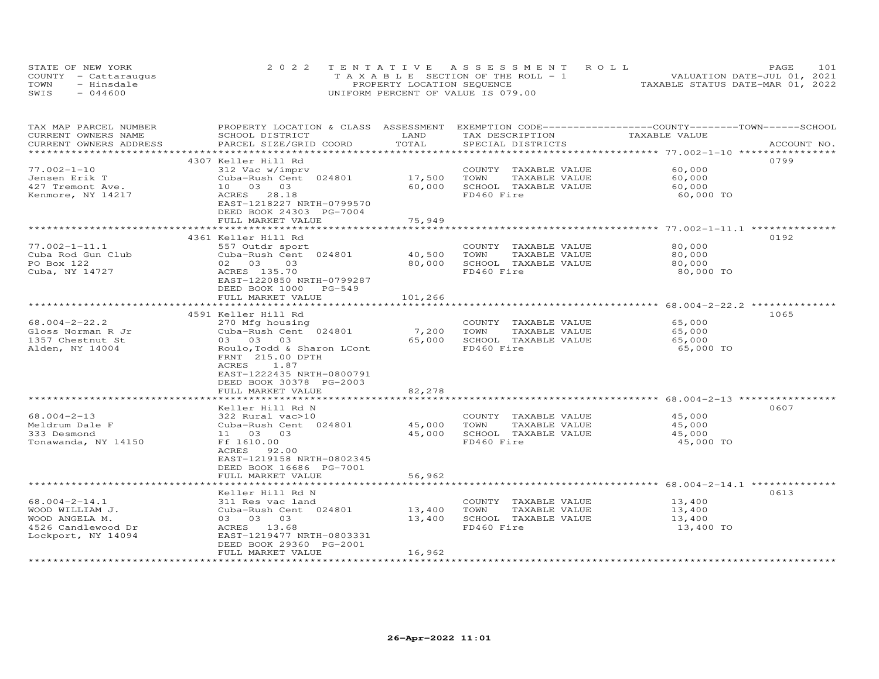|      | STATE OF NEW YORK    | 2022 TENTATIVE ASSESSMENT ROLL        | 101<br>PAGE                      |
|------|----------------------|---------------------------------------|----------------------------------|
|      | COUNTY - Cattaraugus | T A X A B L E SECTION OF THE ROLL - 1 | VALUATION DATE-JUL 01, 2021      |
| TOWN | - Hinsdale           | PROPERTY LOCATION SEQUENCE            | TAXABLE STATUS DATE-MAR 01, 2022 |
| SWIS | $-044600$            | UNIFORM PERCENT OF VALUE IS 079.00    |                                  |

| TAX MAP PARCEL NUMBER<br>CURRENT OWNERS NAME<br>CURRENT OWNERS ADDRESS                               | PROPERTY LOCATION & CLASS ASSESSMENT EXEMPTION CODE-----------------COUNTY-------TOWN------SCHOOL<br>SCHOOL DISTRICT<br>PARCEL SIZE/GRID COORD                                                                                               | LAND<br>TOTAL              | TAX DESCRIPTION<br>SPECIAL DISTRICTS                                                                        | TAXABLE VALUE                                       | ACCOUNT NO. |
|------------------------------------------------------------------------------------------------------|----------------------------------------------------------------------------------------------------------------------------------------------------------------------------------------------------------------------------------------------|----------------------------|-------------------------------------------------------------------------------------------------------------|-----------------------------------------------------|-------------|
| ************************                                                                             |                                                                                                                                                                                                                                              |                            |                                                                                                             |                                                     |             |
| $77.002 - 1 - 10$<br>Jensen Erik T<br>427 Tremont Ave.<br>Kenmore, NY 14217                          | 4307 Keller Hill Rd<br>312 Vac w/imprv<br>Cuba-Rush Cent 024801<br>10 03 03<br>28.18<br>ACRES<br>EAST-1218227 NRTH-0799570<br>DEED BOOK 24303 PG-7004                                                                                        | 17,500<br>60,000           | COUNTY TAXABLE VALUE<br>TAXABLE VALUE<br>TOWN<br>SCHOOL TAXABLE VALUE<br>FD460 Fire                         | 60,000<br>60,000<br>60,000<br>60,000 TO             | 0799        |
|                                                                                                      | FULL MARKET VALUE                                                                                                                                                                                                                            | 75,949                     |                                                                                                             |                                                     |             |
|                                                                                                      |                                                                                                                                                                                                                                              |                            |                                                                                                             |                                                     |             |
| $77.002 - 1 - 11.1$<br>Cuba Rod Gun Club<br>PO Box 122<br>Cuba, NY 14727                             | 4361 Keller Hill Rd<br>557 Outdr sport<br>Cuba-Rush Cent 024801<br>02 03<br>03<br>ACRES 135.70<br>EAST-1220850 NRTH-0799287<br>DEED BOOK 1000 PG-549                                                                                         | 40,500<br>80,000           | COUNTY TAXABLE VALUE<br>TOWN<br>TAXABLE VALUE<br>SCHOOL TAXABLE VALUE<br>FD460 Fire                         | 80,000<br>80,000<br>80,000<br>80,000 TO             | 0192        |
|                                                                                                      | FULL MARKET VALUE                                                                                                                                                                                                                            | 101,266                    |                                                                                                             |                                                     |             |
|                                                                                                      | ************************<br>4591 Keller Hill Rd                                                                                                                                                                                              | ***********                |                                                                                                             | ********************* 68.004-2-22.2 *************** | 1065        |
| $68.004 - 2 - 22.2$<br>Gloss Norman R Jr<br>1357 Chestnut St<br>Alden, NY 14004<br>$68.004 - 2 - 13$ | 270 Mfg housing<br>Cuba-Rush Cent 024801<br>03 03 03<br>Roulo, Todd & Sharon LCont<br>FRNT 215.00 DPTH<br>ACRES<br>1.87<br>EAST-1222435 NRTH-0800791<br>DEED BOOK 30378 PG-2003<br>FULL MARKET VALUE<br>Keller Hill Rd N<br>322 Rural vac>10 | 7,200<br>65,000<br>82,278  | COUNTY TAXABLE VALUE<br>TOWN<br>TAXABLE VALUE<br>SCHOOL TAXABLE VALUE<br>FD460 Fire<br>COUNTY TAXABLE VALUE | 65,000<br>65,000<br>65,000<br>65,000 TO<br>45,000   | 0607        |
| Meldrum Dale F<br>333 Desmond<br>Tonawanda, NY 14150                                                 | Cuba-Rush Cent 024801<br>11 03 03<br>Ff 1610.00<br>ACRES<br>92.00<br>EAST-1219158 NRTH-0802345<br>DEED BOOK 16686 PG-7001<br>FULL MARKET VALUE                                                                                               | 45,000<br>45,000<br>56,962 | TOWN<br>TAXABLE VALUE<br>SCHOOL TAXABLE VALUE<br>FD460 Fire                                                 | 45,000<br>45,000<br>45,000 TO                       |             |
|                                                                                                      |                                                                                                                                                                                                                                              |                            |                                                                                                             |                                                     |             |
| $68.004 - 2 - 14.1$<br>WOOD WILLIAM J.<br>WOOD ANGELA M.<br>4526 Candlewood Dr<br>Lockport, NY 14094 | Keller Hill Rd N<br>311 Res vac land<br>Cuba-Rush Cent 024801<br>03 03 03<br>ACRES 13.68<br>EAST-1219477 NRTH-0803331<br>DEED BOOK 29360 PG-2001<br>FULL MARKET VALUE                                                                        | 13,400<br>13,400<br>16,962 | COUNTY TAXABLE VALUE<br>TOWN<br>TAXABLE VALUE<br>SCHOOL TAXABLE VALUE<br>FD460 Fire                         | 13,400<br>13,400<br>13,400<br>13,400 TO             | 0613        |
|                                                                                                      |                                                                                                                                                                                                                                              |                            |                                                                                                             |                                                     |             |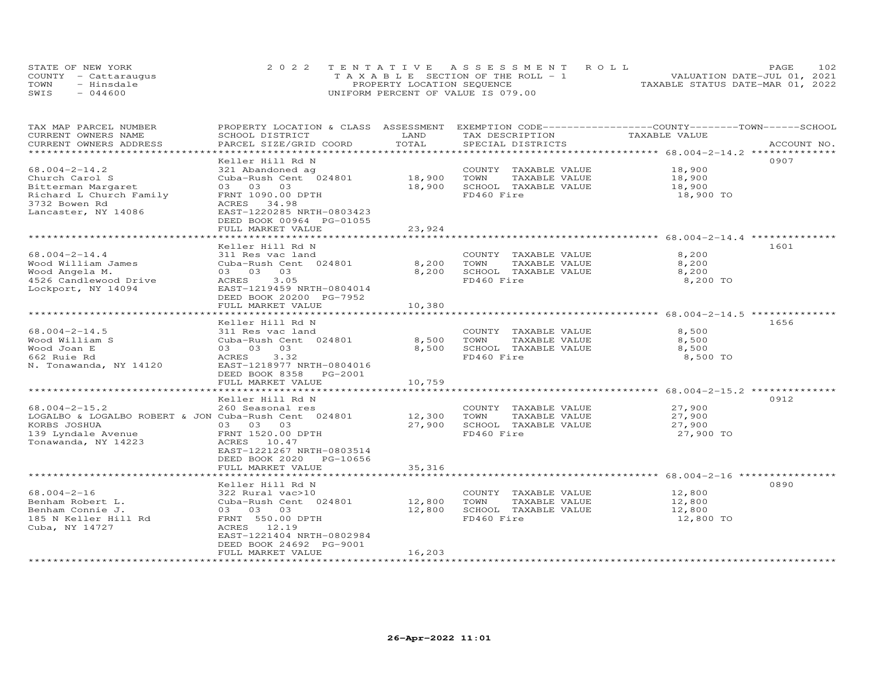| STATE OF NEW YORK |                      | 2022 TENTATIVE ASSESSMENT ROLL        | 1 0 2.<br>PAGE.                  |
|-------------------|----------------------|---------------------------------------|----------------------------------|
|                   | COUNTY - Cattarauqus | T A X A B L E SECTION OF THE ROLL - 1 | VALUATION DATE-JUL 01, 2021      |
| TOWN              | - Hinsdale           | PROPERTY LOCATION SEQUENCE            | TAXABLE STATUS DATE-MAR 01, 2022 |
| SWIS              | 044600               | UNIFORM PERCENT OF VALUE IS 079.00    |                                  |

| TAX MAP PARCEL NUMBER<br>CURRENT OWNERS NAME<br>CURRENT OWNERS ADDRESS                                                                   | PROPERTY LOCATION & CLASS ASSESSMENT EXEMPTION CODE----------------COUNTY-------TOWN------SCHOOL<br>SCHOOL DISTRICT<br>PARCEL SIZE/GRID COORD                                                                | LAND<br>TOTAL                                     | TAX DESCRIPTION<br>SPECIAL DISTRICTS                                                | TAXABLE VALUE                           | ACCOUNT NO. |
|------------------------------------------------------------------------------------------------------------------------------------------|--------------------------------------------------------------------------------------------------------------------------------------------------------------------------------------------------------------|---------------------------------------------------|-------------------------------------------------------------------------------------|-----------------------------------------|-------------|
| $68.004 - 2 - 14.2$<br>Church Carol S<br>Bitterman Margaret<br>Richard L Church Family<br>3732 Bowen Rd<br>Lancaster, NY 14086           | Keller Hill Rd N<br>321 Abandoned ag<br>Cuba-Rush Cent 024801 18,900<br>03 03 03<br>FRNT 1090.00 DPTH<br>ACRES 34.98<br>EAST-1220285 NRTH-0803423<br>DEED BOOK 00964 PG-01055<br>FULL MARKET VALUE           | 18,900<br>23,924                                  | COUNTY TAXABLE VALUE<br>TOWN<br>TAXABLE VALUE<br>SCHOOL TAXABLE VALUE<br>FD460 Fire | 18,900<br>18,900<br>18,900<br>18,900 TO | 0907        |
| $68.004 - 2 - 14.4$<br>Wood William James<br>Wood Angela M.<br>4526 Candlewood Drive<br>Lockport, NY 14094                               | Keller Hill Rd N<br>311 Res vac land<br>Cuba-Rush Cent 024801<br>03 03 03<br>ACRES<br>3.05<br>EAST-1219459 NRTH-0804014<br>DEED BOOK 20200 PG-7952<br>FULL MARKET VALUE<br>********************************* | 8,200<br>8,200<br>10,380<br>********************* | COUNTY TAXABLE VALUE<br>TOWN<br>TAXABLE VALUE<br>SCHOOL TAXABLE VALUE<br>FD460 Fire | 8,200<br>8,200<br>8,200<br>8,200 TO     | 1601        |
| $68.004 - 2 - 14.5$<br>Wood William S<br>Wood Joan E<br>662 Ruie Rd<br>N. Tonawanda, NY 14120                                            | Keller Hill Rd N<br>311 Res vac land<br>Cuba-Rush Cent 024801<br>03 03 03<br>ACRES<br>3.32<br>EAST-1218977 NRTH-0804016<br>DEED BOOK 8358 PG-2001<br>FULL MARKET VALUE                                       | 8,500<br>8,500<br>10,759                          | COUNTY TAXABLE VALUE<br>TOWN<br>TAXABLE VALUE<br>SCHOOL TAXABLE VALUE<br>FD460 Fire | 8,500<br>8,500<br>8,500<br>8,500 TO     | 1656        |
| $68.004 - 2 - 15.2$<br>LOGALBO & LOGALBO ROBERT & JON Cuba-Rush Cent 024801<br>KORBS JOSHUA<br>139 Lyndale Avenue<br>Tonawanda, NY 14223 | Keller Hill Rd N<br>260 Seasonal res<br>03 03 03<br>FRNT 1520.00 DPTH<br>ACRES 10.47<br>EAST-1221267 NRTH-0803514<br>DEED BOOK 2020 PG-10656<br>FULL MARKET VALUE                                            | 12,300<br>27,900<br>35,316                        | COUNTY TAXABLE VALUE<br>TOWN<br>TAXABLE VALUE<br>SCHOOL TAXABLE VALUE<br>FD460 Fire | 27,900<br>27,900<br>27,900<br>27,900 TO | 0912        |
| 68.004-2-16<br>Benham Robert L.<br>Benham Connie J.<br>185 N Keller Hill Rd<br>Cuba, NY 14727                                            | Keller Hill Rd N<br>322 Rural vac>10<br>Cuba-Rush Cent 024801<br>03 03 03<br>FRNT 550.00 DPTH<br>ACRES 12.19<br>EAST-1221404 NRTH-0802984<br>DEED BOOK 24692 PG-9001<br>FULL MARKET VALUE                    | 12,800<br>12,800<br>16,203                        | COUNTY TAXABLE VALUE<br>TOWN<br>TAXABLE VALUE<br>SCHOOL TAXABLE VALUE<br>FD460 Fire | 12,800<br>12,800<br>12,800<br>12,800 TO | 0890        |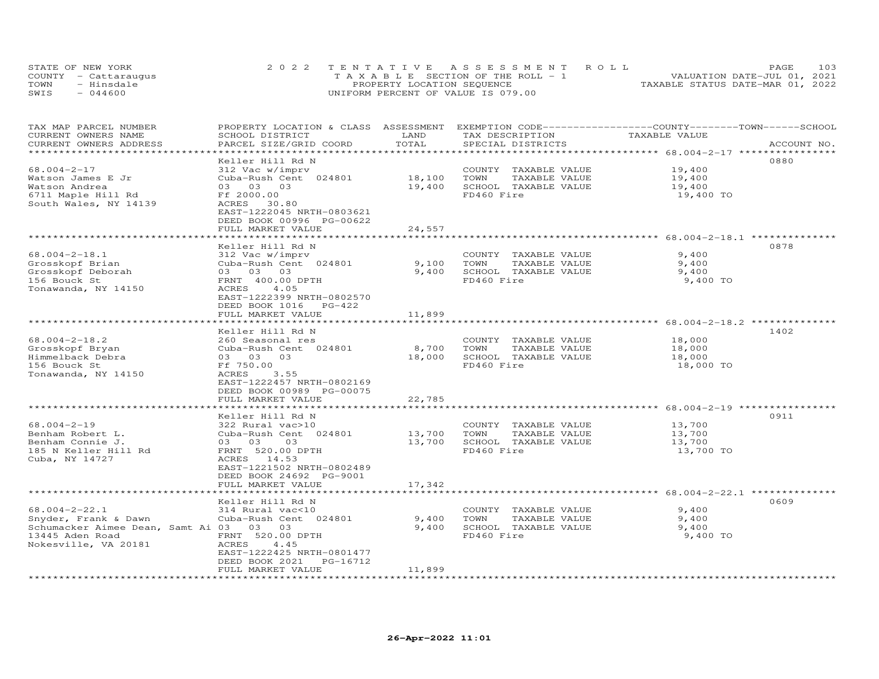|      | STATE OF NEW YORK    | 2022 TENTATIVE ASSESSMENT ROLL                 | PAGE.                            | 103 |
|------|----------------------|------------------------------------------------|----------------------------------|-----|
|      | COUNTY - Cattaraugus | $T A X A B I F S E C T T ON OF THE RO I I - 1$ | VALUATION DATE-JUL 01, 2021      |     |
| TOWN | - Hinsdale           | PROPERTY LOCATION SEQUENCE                     | TAXABLE STATUS DATE-MAR 01, 2022 |     |
| SWIS | $-044600$            | UNIFORM PERCENT OF VALUE IS 079.00             |                                  |     |

| TAX MAP PARCEL NUMBER<br>CURRENT OWNERS NAME<br>CURRENT OWNERS ADDRESS                             | PROPERTY LOCATION & CLASS ASSESSMENT<br>SCHOOL DISTRICT<br>PARCEL SIZE/GRID COORD                                      | LAND<br>TOTAL            | EXEMPTION CODE-----------------COUNTY-------TOWN------SCHOOL<br>TAX DESCRIPTION<br>SPECIAL DISTRICTS | TAXABLE VALUE                                                | ACCOUNT NO. |
|----------------------------------------------------------------------------------------------------|------------------------------------------------------------------------------------------------------------------------|--------------------------|------------------------------------------------------------------------------------------------------|--------------------------------------------------------------|-------------|
| ******************                                                                                 | *********************                                                                                                  | ************************ |                                                                                                      | ************************* 68.004-2-17 *****************      |             |
| $68.004 - 2 - 17$<br>Watson James E Jr                                                             | Keller Hill Rd N<br>312 Vac w/imprv<br>Cuba-Rush Cent 024801                                                           | 18,100                   | COUNTY TAXABLE VALUE<br>TOWN<br>TAXABLE VALUE                                                        | 19,400<br>19,400                                             | 0880        |
| Watson Andrea<br>6711 Maple Hill Rd<br>South Wales, NY 14139                                       | 03 03 03<br>Ff 2000.00<br>ACRES<br>30.80<br>EAST-1222045 NRTH-0803621<br>DEED BOOK 00996 PG-00622<br>FULL MARKET VALUE | 19,400<br>24,557         | SCHOOL TAXABLE VALUE<br>FD460 Fire                                                                   | 19,400<br>19,400 TO                                          |             |
|                                                                                                    |                                                                                                                        |                          |                                                                                                      |                                                              |             |
|                                                                                                    | Keller Hill Rd N                                                                                                       |                          |                                                                                                      |                                                              | 0878        |
| $68.004 - 2 - 18.1$<br>Grosskopf Brian<br>Grosskopf Deborah<br>156 Bouck St<br>Tonawanda, NY 14150 | 312 Vac w/imprv<br>Cuba-Rush Cent 024801<br>03 03 03<br>FRNT 400.00 DPTH<br>ACRES<br>4.05<br>EAST-1222399 NRTH-0802570 | 9,100<br>9,400           | COUNTY TAXABLE VALUE<br>TOWN<br>TAXABLE VALUE<br>SCHOOL TAXABLE VALUE<br>FD460 Fire                  | 9,400<br>9,400<br>9,400<br>9,400 TO                          |             |
|                                                                                                    | DEED BOOK 1016<br>$PG-422$                                                                                             |                          |                                                                                                      |                                                              |             |
|                                                                                                    | FULL MARKET VALUE<br>****************************                                                                      | 11,899                   |                                                                                                      |                                                              |             |
|                                                                                                    | Keller Hill Rd N                                                                                                       |                          |                                                                                                      |                                                              | 1402        |
| $68.004 - 2 - 18.2$<br>Grosskopf Bryan<br>Himmelback Debra                                         | 260 Seasonal res<br>Cuba-Rush Cent 024801<br>03 03 03                                                                  | 8,700<br>18,000          | COUNTY TAXABLE VALUE<br>TAXABLE VALUE<br>TOWN<br>SCHOOL TAXABLE VALUE                                | 18,000<br>18,000<br>18,000                                   |             |
| 156 Bouck St<br>Tonawanda, NY 14150                                                                | Ff 750.00<br>ACRES<br>3.55<br>EAST-1222457 NRTH-0802169<br>DEED BOOK 00989 PG-00075                                    |                          | FD460 Fire                                                                                           | 18,000 TO                                                    |             |
|                                                                                                    | FULL MARKET VALUE                                                                                                      | 22,785<br>*************  |                                                                                                      | ************************ 68.004-2-19 ************            |             |
|                                                                                                    | Keller Hill Rd N                                                                                                       |                          |                                                                                                      |                                                              | 0911        |
| $68.004 - 2 - 19$<br>Benham Robert L.                                                              | 322 Rural vac>10<br>Cuba-Rush Cent 024801                                                                              | 13,700                   | COUNTY TAXABLE VALUE<br>TOWN<br>TAXABLE VALUE                                                        | 13,700<br>13,700                                             |             |
| Benham Connie J.<br>185 N Keller Hill Rd<br>Cuba, NY 14727                                         | 03 03<br>03<br>FRNT 520.00 DPTH<br>ACRES 14.53<br>EAST-1221502 NRTH-0802489                                            | 13,700                   | SCHOOL TAXABLE VALUE<br>FD460 Fire                                                                   | 13,700<br>13,700 TO                                          |             |
|                                                                                                    | DEED BOOK 24692 PG-9001<br>FULL MARKET VALUE                                                                           | 17,342                   |                                                                                                      |                                                              |             |
|                                                                                                    | ************************                                                                                               | ******************       |                                                                                                      | ******************************** 68.004-2-22.1 ************* |             |
| $68.004 - 2 - 22.1$                                                                                | Keller Hill Rd N<br>314 Rural vac<10                                                                                   |                          | COUNTY TAXABLE VALUE                                                                                 | 9,400                                                        | 0609        |
| Snyder, Frank & Dawn                                                                               | Cuba-Rush Cent 024801                                                                                                  | 9,400                    | TOWN<br>TAXABLE VALUE                                                                                | 9,400                                                        |             |
| Schumacker Aimee Dean, Samt Ai 03 03 03                                                            |                                                                                                                        | 9,400                    | SCHOOL TAXABLE VALUE                                                                                 | 9,400                                                        |             |
| 13445 Aden Road<br>Nokesville, VA 20181                                                            | FRNT 520.00 DPTH<br>ACRES<br>4.45<br>EAST-1222425 NRTH-0801477<br>DEED BOOK 2021<br>PG-16712<br>FULL MARKET VALUE      | 11,899                   | FD460 Fire                                                                                           | 9,400 TO                                                     |             |
| ********************                                                                               |                                                                                                                        |                          |                                                                                                      |                                                              |             |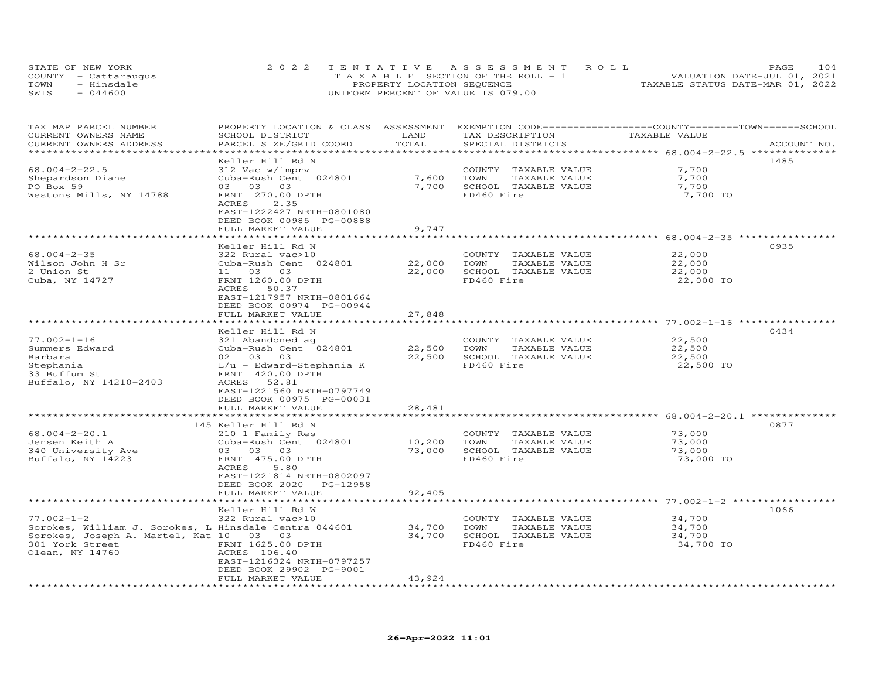|      | STATE OF NEW YORK    | 2022 TENTATIVE ASSESSMENT ROLL        | 104<br>PAGE                      |
|------|----------------------|---------------------------------------|----------------------------------|
|      | COUNTY - Cattarauqus | T A X A B L E SECTION OF THE ROLL - 1 | VALUATION DATE-JUL 01, 2021      |
| TOWN | - Hinsdale           | PROPERTY LOCATION SEQUENCE            | TAXABLE STATUS DATE-MAR 01, 2022 |
| SWIS | $-044600$            | UNIFORM PERCENT OF VALUE IS 079.00    |                                  |

| SCHOOL DISTRICT<br>PARCEL SIZE/GRID COORD                                                                                                                                                                                                                                             | LAND<br>TOTAL                                                                          | TAX DESCRIPTION<br>SPECIAL DISTRICTS                                                | TAXABLE VALUE                           | ACCOUNT NO.                                                                                                                                                        |
|---------------------------------------------------------------------------------------------------------------------------------------------------------------------------------------------------------------------------------------------------------------------------------------|----------------------------------------------------------------------------------------|-------------------------------------------------------------------------------------|-----------------------------------------|--------------------------------------------------------------------------------------------------------------------------------------------------------------------|
| Keller Hill Rd N<br>312 Vac w/imprv<br>Cuba-Rush Cent 024801<br>03 03 03<br>FRNT 270.00 DPTH<br>ACRES<br>2.35<br>EAST-1222427 NRTH-0801080<br>DEED BOOK 00985 PG-00888                                                                                                                | 7,600<br>7,700                                                                         | COUNTY TAXABLE VALUE<br>TOWN<br>TAXABLE VALUE<br>SCHOOL TAXABLE VALUE<br>FD460 Fire | 7,700<br>7,700<br>7,700<br>7,700 TO     | 1485                                                                                                                                                               |
|                                                                                                                                                                                                                                                                                       |                                                                                        |                                                                                     |                                         | 0935                                                                                                                                                               |
| 322 Rural vac>10<br>Cuba-Rush Cent 024801<br>11 03 03<br>FRNT 1260.00 DPTH<br>ACRES<br>50.37<br>EAST-1217957 NRTH-0801664                                                                                                                                                             | 22,000<br>22,000                                                                       | COUNTY TAXABLE VALUE<br>TOWN<br>TAXABLE VALUE<br>SCHOOL TAXABLE VALUE<br>FD460 Fire | 22,000<br>22,000<br>22,000<br>22,000 TO |                                                                                                                                                                    |
| FULL MARKET VALUE                                                                                                                                                                                                                                                                     | 27,848                                                                                 |                                                                                     |                                         |                                                                                                                                                                    |
| Keller Hill Rd N<br>321 Abandoned ag<br>Cuba-Rush Cent 024801<br>02 03 03<br>$L/u$ - Edward-Stephania K<br>FRNT 420.00 DPTH<br>52.81<br>ACRES<br>EAST-1221560 NRTH-0797749<br>DEED BOOK 00975 PG-00031                                                                                | 22,500<br>22,500                                                                       | COUNTY TAXABLE VALUE<br>TOWN<br>TAXABLE VALUE<br>SCHOOL TAXABLE VALUE<br>FD460 Fire | 22,500<br>22,500<br>22,500<br>22,500 TO | 0434                                                                                                                                                               |
| FULL MARKET VALUE                                                                                                                                                                                                                                                                     | 28,481                                                                                 |                                                                                     |                                         |                                                                                                                                                                    |
| 145 Keller Hill Rd N<br>210 1 Family Res<br>Cuba-Rush Cent 024801<br>03 03 03<br>FRNT 475.00 DPTH<br>ACRES<br>5.80<br>EAST-1221814 NRTH-0802097<br>DEED BOOK 2020<br>PG-12958                                                                                                         | 10,200<br>73,000                                                                       | COUNTY TAXABLE VALUE<br>TOWN<br>TAXABLE VALUE<br>SCHOOL TAXABLE VALUE<br>FD460 Fire | 73,000<br>73,000<br>73,000<br>73,000 TO | 0877                                                                                                                                                               |
| *******************                                                                                                                                                                                                                                                                   |                                                                                        |                                                                                     |                                         |                                                                                                                                                                    |
| Keller Hill Rd W<br>322 Rural vac>10<br>Sorokes, William J. Sorokes, L Hinsdale Centra 044601<br>Sorokes, Joseph A. Martel, Kat 10 03 03<br>FRNT 1625.00 DPTH<br>ACRES 106.40<br>EAST-1216324 NRTH-0797257<br>DEED BOOK 29902 PG-9001<br>FULL MARKET VALUE<br>*********************** | 34,700<br>34,700<br>43,924                                                             | COUNTY TAXABLE VALUE<br>TOWN<br>TAXABLE VALUE<br>SCHOOL TAXABLE VALUE<br>FD460 Fire | 34,700<br>34,700<br>34,700<br>34,700 TO | 1066                                                                                                                                                               |
|                                                                                                                                                                                                                                                                                       | FULL MARKET VALUE<br>Keller Hill Rd N<br>DEED BOOK 00974 PG-00944<br>FULL MARKET VALUE | 9,747<br>92,405                                                                     |                                         | PROPERTY LOCATION & CLASS ASSESSMENT EXEMPTION CODE----------------COUNTY-------TOWN------SCHOOL<br>******************************** 77.002-1-16 ***************** |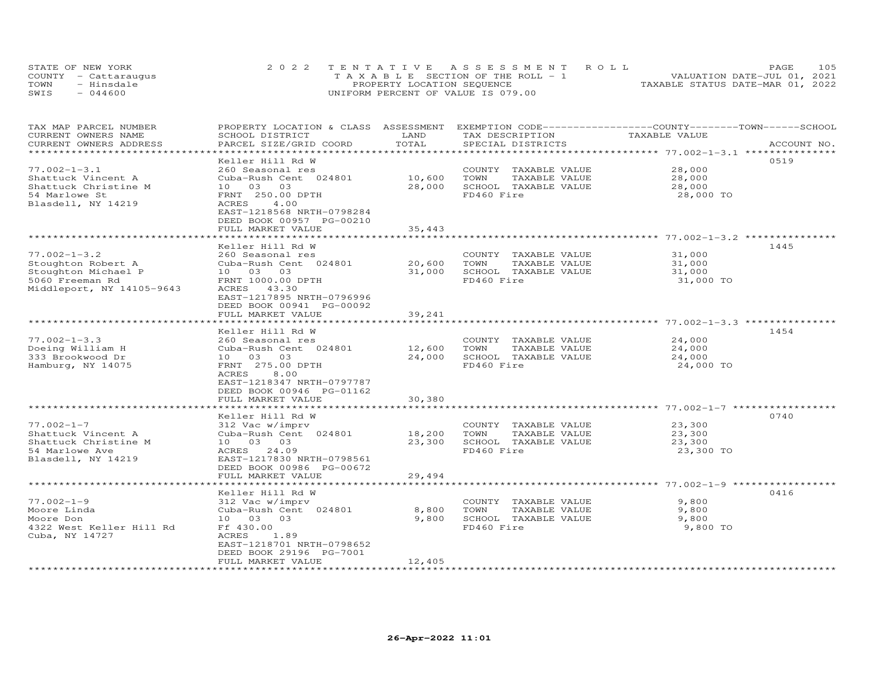| STATE OF NEW YORK    | 2022 TENTATIVE ASSESSMENT ROLL        | 105<br>PAGE.                     |
|----------------------|---------------------------------------|----------------------------------|
| COUNTY - Cattaraugus | T A X A B L E SECTION OF THE ROLL - 1 | VALUATION DATE-JUL 01, 2021      |
| TOWN<br>- Hinsdale   | PROPERTY LOCATION SEQUENCE            | TAXABLE STATUS DATE-MAR 01, 2022 |
| $-044600$<br>SWIS    | UNIFORM PERCENT OF VALUE IS 079.00    |                                  |

| TAX MAP PARCEL NUMBER<br>CURRENT OWNERS NAME<br>CURRENT OWNERS ADDRESS                                          | PROPERTY LOCATION & CLASS ASSESSMENT<br>SCHOOL DISTRICT<br>PARCEL SIZE/GRID COORD                                                                                        | LAND<br>TOTAL                 | EXEMPTION CODE-----------------COUNTY-------TOWN-----SCHOOL<br>TAX DESCRIPTION<br>SPECIAL DISTRICTS | TAXABLE VALUE                                                        | ACCOUNT NO. |
|-----------------------------------------------------------------------------------------------------------------|--------------------------------------------------------------------------------------------------------------------------------------------------------------------------|-------------------------------|-----------------------------------------------------------------------------------------------------|----------------------------------------------------------------------|-------------|
| *****************************                                                                                   |                                                                                                                                                                          |                               |                                                                                                     |                                                                      |             |
| $77.002 - 1 - 3.1$<br>Shattuck Vincent A<br>Shattuck Christine M<br>54 Marlowe St<br>Blasdell, NY 14219         | Keller Hill Rd W<br>260 Seasonal res<br>Cuba-Rush Cent 024801<br>10 03 03<br>FRNT 250.00 DPTH<br>ACRES<br>4.00<br>EAST-1218568 NRTH-0798284                              | 10,600<br>28,000              | COUNTY TAXABLE VALUE<br>TOWN<br>TAXABLE VALUE<br>SCHOOL TAXABLE VALUE<br>FD460 Fire                 | 28,000<br>28,000<br>28,000<br>28,000 TO                              | 0519        |
|                                                                                                                 | DEED BOOK 00957 PG-00210<br>FULL MARKET VALUE                                                                                                                            | 35,443                        |                                                                                                     |                                                                      |             |
|                                                                                                                 | ******************                                                                                                                                                       |                               |                                                                                                     | ************************ 77.002-1-3.2 ****************               |             |
| $77.002 - 1 - 3.2$<br>Stoughton Robert A<br>Stoughton Michael P<br>5060 Freeman Rd<br>Middleport, NY 14105-9643 | Keller Hill Rd W<br>260 Seasonal res<br>Cuba-Rush Cent 024801<br>10  03  03<br>FRNT 1000.00 DPTH<br>ACRES 43.30                                                          | 20,600<br>31,000              | COUNTY TAXABLE VALUE<br>TOWN<br>TAXABLE VALUE<br>SCHOOL TAXABLE VALUE<br>FD460 Fire                 | 31,000<br>31,000<br>31,000<br>31,000 TO                              | 1445        |
|                                                                                                                 | EAST-1217895 NRTH-0796996<br>DEED BOOK 00941 PG-00092<br>FULL MARKET VALUE<br>*********************                                                                      | 39,241<br>************        |                                                                                                     | ******************************* 77.002-1-3.3 ***************         |             |
|                                                                                                                 | Keller Hill Rd W                                                                                                                                                         |                               |                                                                                                     |                                                                      | 1454        |
| $77.002 - 1 - 3.3$<br>Doeing William H<br>333 Brookwood Dr<br>Hamburg, NY 14075                                 | 260 Seasonal res<br>Cuba-Rush Cent 024801<br>03 03<br>10<br>FRNT 275.00 DPTH<br>ACRES<br>8,00<br>EAST-1218347 NRTH-0797787<br>DEED BOOK 00946 PG-01162                   | 12,600<br>24,000              | COUNTY TAXABLE VALUE<br>TOWN<br>TAXABLE VALUE<br>SCHOOL TAXABLE VALUE<br>FD460 Fire                 | 24,000<br>24,000<br>24,000<br>24,000 TO                              |             |
|                                                                                                                 | FULL MARKET VALUE                                                                                                                                                        | 30,380                        |                                                                                                     |                                                                      |             |
| $77.002 - 1 - 7$<br>Shattuck Vincent A<br>Shattuck Christine M<br>54 Marlowe Ave<br>Blasdell, NY 14219          | Keller Hill Rd W<br>312 Vac w/imprv<br>Cuba-Rush Cent 024801<br>10 03 03<br>ACRES<br>24.09<br>EAST-1217830 NRTH-0798561<br>DEED BOOK 00986 PG-00672<br>FULL MARKET VALUE | 18,200<br>23,300<br>29,494    | COUNTY TAXABLE VALUE<br>TOWN<br>TAXABLE VALUE<br>SCHOOL TAXABLE VALUE<br>FD460 Fire                 | ******** 77.002-1-7 *****<br>23,300<br>23,300<br>23,300<br>23,300 TO | 0740        |
|                                                                                                                 |                                                                                                                                                                          |                               |                                                                                                     |                                                                      |             |
| $77.002 - 1 - 9$<br>Moore Linda<br>Moore Don<br>4322 West Keller Hill Rd<br>Cuba, NY 14727                      | Keller Hill Rd W<br>312 Vac w/imprv<br>Cuba-Rush Cent 024801<br>10 03 03<br>Ff 430.00<br>ACRES<br>1.89<br>EAST-1218701 NRTH-0798652<br>DEED BOOK 29196 PG-7001           | 8,800<br>9,800                | COUNTY TAXABLE VALUE<br>TOWN<br>TAXABLE VALUE<br>SCHOOL TAXABLE VALUE<br>FD460 Fire                 | 9,800<br>9,800<br>9,800<br>9,800 TO                                  | 0416        |
|                                                                                                                 | FULL MARKET VALUE                                                                                                                                                        | 12,405<br>******************* |                                                                                                     |                                                                      |             |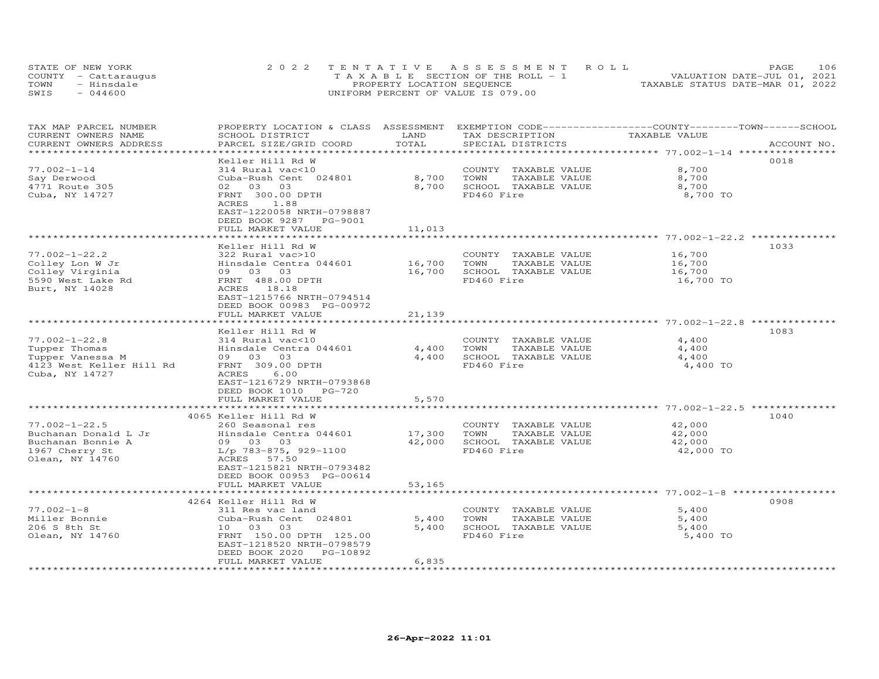|      | STATE OF NEW YORK    | 2022 TENTATIVE ASSESSMENT ROLL        | 106<br>PAGE                      |
|------|----------------------|---------------------------------------|----------------------------------|
|      | COUNTY - Cattaraugus | T A X A B L E SECTION OF THE ROLL - 1 | VALUATION DATE-JUL 01, 2021      |
| TOWN | - Hinsdale           | PROPERTY LOCATION SEQUENCE            | TAXABLE STATUS DATE-MAR 01, 2022 |
| SWIS | $-044600$            | UNIFORM PERCENT OF VALUE IS 079.00    |                                  |

| TAX MAP PARCEL NUMBER<br>CURRENT OWNERS NAME    | PROPERTY LOCATION & CLASS ASSESSMENT<br>SCHOOL DISTRICT | LAND                           | EXEMPTION CODE-----------------COUNTY-------TOWN------SCHOOL<br>TAX DESCRIPTION | TAXABLE VALUE                                         |             |
|-------------------------------------------------|---------------------------------------------------------|--------------------------------|---------------------------------------------------------------------------------|-------------------------------------------------------|-------------|
| CURRENT OWNERS ADDRESS<br>********************* | PARCEL SIZE/GRID COORD                                  | TOTAL<br>********************  | SPECIAL DISTRICTS                                                               |                                                       | ACCOUNT NO. |
|                                                 | Keller Hill Rd W                                        |                                |                                                                                 | *********************** 77.002-1-14 ***************** | 0018        |
| $77.002 - 1 - 14$                               | 314 Rural vac<10                                        |                                | COUNTY TAXABLE VALUE                                                            | 8,700                                                 |             |
| Say Derwood                                     | Cuba-Rush Cent 024801                                   | 8,700                          | TOWN<br>TAXABLE VALUE                                                           | 8,700                                                 |             |
| 4771 Route 305                                  | 02 03 03                                                | 8,700                          | SCHOOL TAXABLE VALUE                                                            | 8,700                                                 |             |
| Cuba, NY 14727                                  | FRNT 300.00 DPTH                                        |                                | FD460 Fire                                                                      | 8,700 TO                                              |             |
|                                                 | 1.88<br>ACRES<br>EAST-1220058 NRTH-0798887              |                                |                                                                                 |                                                       |             |
|                                                 | DEED BOOK 9287<br>PG-9001                               |                                |                                                                                 |                                                       |             |
|                                                 | FULL MARKET VALUE                                       | 11,013                         |                                                                                 |                                                       |             |
|                                                 |                                                         | ********                       |                                                                                 | ************************ 77.002-1-22.2 *********      |             |
|                                                 | Keller Hill Rd W                                        |                                |                                                                                 |                                                       | 1033        |
| $77.002 - 1 - 22.2$                             | 322 Rural vac>10                                        |                                | COUNTY TAXABLE VALUE                                                            | 16,700                                                |             |
| Colley Lon W Jr<br>Colley Virginia              | Hinsdale Centra 044601<br>09 03 03                      | 16,700<br>16,700               | TOWN<br>TAXABLE VALUE<br>SCHOOL TAXABLE VALUE                                   | 16,700<br>16,700                                      |             |
| 5590 West Lake Rd                               | FRNT 488.00 DPTH                                        |                                | FD460 Fire                                                                      | 16,700 TO                                             |             |
| Burt, NY 14028                                  | ACRES 18.18                                             |                                |                                                                                 |                                                       |             |
|                                                 | EAST-1215766 NRTH-0794514                               |                                |                                                                                 |                                                       |             |
|                                                 | DEED BOOK 00983 PG-00972                                |                                |                                                                                 |                                                       |             |
|                                                 | FULL MARKET VALUE                                       | 21,139                         |                                                                                 |                                                       |             |
|                                                 | *********************<br>Keller Hill Rd W               | **************                 |                                                                                 |                                                       | 1083        |
| $77.002 - 1 - 22.8$                             | 314 Rural vac<10                                        |                                | COUNTY TAXABLE VALUE                                                            | 4,400                                                 |             |
| Tupper Thomas                                   | Hinsdale Centra 044601                                  | 4,400                          | TOWN<br>TAXABLE VALUE                                                           | 4,400                                                 |             |
| Tupper Vanessa M                                | 09 03 03                                                | 4,400                          | SCHOOL TAXABLE VALUE                                                            | 4,400                                                 |             |
| 4123 West Keller Hill Rd                        | FRNT 309.00 DPTH                                        |                                | FD460 Fire                                                                      | 4,400 TO                                              |             |
| Cuba, NY 14727                                  | ACRES<br>6.00                                           |                                |                                                                                 |                                                       |             |
|                                                 | EAST-1216729 NRTH-0793868                               |                                |                                                                                 |                                                       |             |
|                                                 | DEED BOOK 1010<br>$PG-720$                              |                                |                                                                                 |                                                       |             |
|                                                 | FULL MARKET VALUE<br>**************************         | 5,570<br>* * * * * * * * * * * |                                                                                 | ********************* 77.002-1-22.5 **********        |             |
|                                                 | 4065 Keller Hill Rd W                                   |                                |                                                                                 |                                                       | 1040        |
| $77.002 - 1 - 22.5$                             | 260 Seasonal res                                        |                                | COUNTY TAXABLE VALUE                                                            | 42,000                                                |             |
| Buchanan Donald L Jr                            | Hinsdale Centra 044601                                  | 17,300                         | TAXABLE VALUE<br>TOWN                                                           | 42,000                                                |             |
| Buchanan Bonnie A                               | 09 03 03                                                | 42,000                         | SCHOOL TAXABLE VALUE                                                            | 42,000                                                |             |
| 1967 Cherry St<br>Olean, NY 14760               | $L/p$ 783-875, 929-1100<br>ACRES 57.50                  |                                | FD460 Fire                                                                      | 42,000 TO                                             |             |
|                                                 | EAST-1215821 NRTH-0793482                               |                                |                                                                                 |                                                       |             |
|                                                 | DEED BOOK 00953 PG-00614                                |                                |                                                                                 |                                                       |             |
|                                                 | FULL MARKET VALUE                                       | 53,165                         |                                                                                 |                                                       |             |
|                                                 |                                                         |                                | ******************************* 77.002-1-8 ******                               |                                                       |             |
|                                                 | 4264 Keller Hill Rd W                                   |                                |                                                                                 |                                                       | 0908        |
| $77.002 - 1 - 8$<br>Miller Bonnie               | 311 Res vac land<br>Cuba-Rush Cent 024801               |                                | COUNTY TAXABLE VALUE<br>TOWN                                                    | 5,400<br>5,400                                        |             |
| 206 S 8th St                                    | 10 03 03                                                | 5,400<br>5,400                 | TAXABLE VALUE<br>SCHOOL TAXABLE VALUE                                           | 5,400                                                 |             |
| Olean, NY 14760                                 | FRNT 150.00 DPTH 125.00                                 |                                | FD460 Fire                                                                      | 5,400 TO                                              |             |
|                                                 | EAST-1218520 NRTH-0798579                               |                                |                                                                                 |                                                       |             |
|                                                 | DEED BOOK 2020<br>PG-10892                              |                                |                                                                                 |                                                       |             |
| **********************                          | FULL MARKET VALUE                                       | 6,835                          |                                                                                 |                                                       |             |
|                                                 |                                                         |                                |                                                                                 |                                                       |             |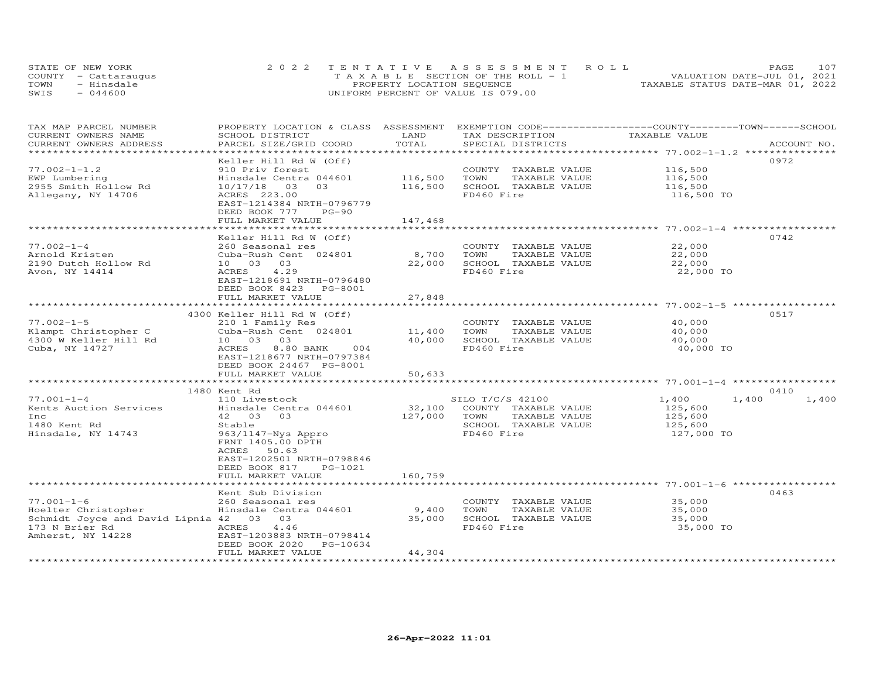| STATE OF NEW YORK    | 2022 TENTATIVE ASSESSMENT ROLL        | 107<br><b>PAGE</b>               |
|----------------------|---------------------------------------|----------------------------------|
| COUNTY - Cattaraugus | T A X A B L E SECTION OF THE ROLL - 1 | VALUATION DATE-JUL 01, 2021      |
| TOWN<br>- Hinsdale   | PROPERTY LOCATION SEQUENCE            | TAXABLE STATUS DATE-MAR 01, 2022 |
| $-044600$<br>SWIS    | UNIFORM PERCENT OF VALUE IS 079.00    |                                  |

| TAX MAP PARCEL NUMBER<br>CURRENT OWNERS NAME<br>CURRENT OWNERS ADDRESS                                                    | PROPERTY LOCATION & CLASS ASSESSMENT EXEMPTION CODE----------------COUNTY-------TOWN------SCHOOL<br>SCHOOL DISTRICT<br>PARCEL SIZE/GRID COORD                                                                | LAND<br>TOTAL                 | TAX DESCRIPTION<br>SPECIAL DISTRICTS                                                                    | TAXABLE VALUE                                        | ACCOUNT NO.    |
|---------------------------------------------------------------------------------------------------------------------------|--------------------------------------------------------------------------------------------------------------------------------------------------------------------------------------------------------------|-------------------------------|---------------------------------------------------------------------------------------------------------|------------------------------------------------------|----------------|
|                                                                                                                           |                                                                                                                                                                                                              |                               |                                                                                                         |                                                      |                |
| $77.002 - 1 - 1.2$<br>EWP Lumbering<br>2955 Smith Hollow Rd<br>Allegany, NY 14706                                         | Keller Hill Rd W (Off)<br>910 Priv forest<br>Hinsdale Centra 044601<br>10/17/18<br>03<br>03<br>ACRES 223.00<br>EAST-1214384 NRTH-0796779<br>DEED BOOK 777<br>$PG-90$<br>FULL MARKET VALUE                    | 116,500<br>116,500<br>147,468 | COUNTY TAXABLE VALUE<br>TAXABLE VALUE<br>TOWN<br>SCHOOL TAXABLE VALUE<br>FD460 Fire                     | 116,500<br>116,500<br>116,500<br>116,500 TO          | 0972           |
|                                                                                                                           |                                                                                                                                                                                                              |                               |                                                                                                         |                                                      |                |
| $77.002 - 1 - 4$<br>Arnold Kristen<br>2190 Dutch Hollow Rd<br>Avon, NY 14414                                              | Keller Hill Rd W (Off)<br>260 Seasonal res<br>Cuba-Rush Cent 024801<br>10 03 03<br>4.29<br>ACRES<br>EAST-1218691 NRTH-0796480<br>DEED BOOK 8423 PG-8001                                                      | 8,700<br>22,000               | COUNTY TAXABLE VALUE<br>TAXABLE VALUE<br>TOWN<br>SCHOOL TAXABLE VALUE<br>FD460 Fire                     | 22,000<br>22,000<br>22,000<br>22,000 TO              | 0742           |
|                                                                                                                           | FULL MARKET VALUE                                                                                                                                                                                            | 27,848                        |                                                                                                         |                                                      |                |
|                                                                                                                           |                                                                                                                                                                                                              | **************                |                                                                                                         |                                                      |                |
| $77.002 - 1 - 5$<br>Klampt Christopher C<br>4300 W Keller Hill Rd<br>Cuba, NY 14727                                       | 4300 Keller Hill Rd W (Off)<br>210 1 Family Res<br>Cuba-Rush Cent 024801<br>10 03 03<br>8.80 BANK<br>ACRES<br>004<br>EAST-1218677 NRTH-0797384<br>DEED BOOK 24467 PG-8001                                    | 11,400<br>40,000              | COUNTY TAXABLE VALUE<br>TOWN<br>TAXABLE VALUE<br>SCHOOL TAXABLE VALUE<br>FD460 Fire                     | 40,000<br>40,000<br>40,000<br>40,000 TO              | 0517           |
|                                                                                                                           | FULL MARKET VALUE                                                                                                                                                                                            | 50,633                        |                                                                                                         |                                                      |                |
|                                                                                                                           | 1480 Kent Rd                                                                                                                                                                                                 |                               |                                                                                                         |                                                      | 0410           |
| $77.001 - 1 - 4$<br>Kents Auction Services<br>Inc<br>1480 Kent Rd<br>Hinsdale, NY 14743                                   | 110 Livestock<br>Hinsdale Centra 044601<br>42 03 03<br>Stable<br>$963/1147 - Nys$ Appro<br>FRNT 1405.00 DPTH<br>50.63<br>ACRES<br>EAST-1202501 NRTH-0798846<br>DEED BOOK 817<br>PG-1021<br>FULL MARKET VALUE | 32,100<br>127,000<br>160,759  | SILO T/C/S 42100<br>COUNTY TAXABLE VALUE<br>TAXABLE VALUE<br>TOWN<br>SCHOOL TAXABLE VALUE<br>FD460 Fire | 1,400<br>125,600<br>125,600<br>125,600<br>127,000 TO | 1,400<br>1,400 |
|                                                                                                                           |                                                                                                                                                                                                              |                               |                                                                                                         |                                                      |                |
| $77.001 - 1 - 6$<br>Hoelter Christopher<br>Schmidt Joyce and David Lipnia 42 03 03<br>173 N Brier Rd<br>Amherst, NY 14228 | Kent Sub Division<br>260 Seasonal res<br>Hinsdale Centra 044601<br>ACRES<br>4.46<br>EAST-1203883 NRTH-0798414<br>DEED BOOK 2020<br>PG-10634                                                                  | 9,400<br>35,000               | COUNTY TAXABLE VALUE<br>TAXABLE VALUE<br>TOWN<br>SCHOOL TAXABLE VALUE<br>FD460 Fire                     | 35,000<br>35,000<br>35,000<br>35,000 TO              | 0463           |
|                                                                                                                           | FULL MARKET VALUE                                                                                                                                                                                            | 44,304                        |                                                                                                         |                                                      |                |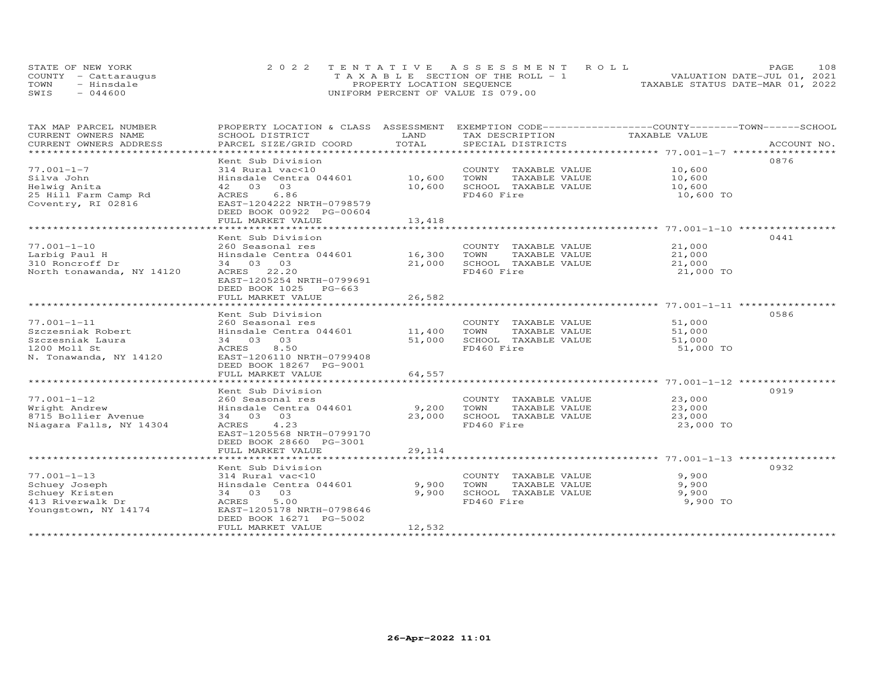| STATE OF NEW YORK    | 2022 TENTATIVE ASSESSMENT ROLL        |                                  | PAGE. | 108 |
|----------------------|---------------------------------------|----------------------------------|-------|-----|
| COUNTY - Cattaraugus | T A X A B L E SECTION OF THE ROLL - 1 | VALUATION DATE-JUL 01, 2021      |       |     |
| TOWN<br>- Hinsdale   | PROPERTY LOCATION SEQUENCE            | TAXABLE STATUS DATE-MAR 01, 2022 |       |     |
| $-044600$<br>SWIS    | UNIFORM PERCENT OF VALUE IS 079.00    |                                  |       |     |

| TAX MAP PARCEL NUMBER     | PROPERTY LOCATION & CLASS ASSESSMENT |             |                       | EXEMPTION CODE-----------------COUNTY-------TOWN------SCHOOL |             |
|---------------------------|--------------------------------------|-------------|-----------------------|--------------------------------------------------------------|-------------|
| CURRENT OWNERS NAME       | SCHOOL DISTRICT                      | LAND        | TAX DESCRIPTION       | TAXABLE VALUE                                                |             |
| CURRENT OWNERS ADDRESS    | PARCEL SIZE/GRID COORD               | TOTAL       | SPECIAL DISTRICTS     |                                                              | ACCOUNT NO. |
| **********************    |                                      |             |                       |                                                              |             |
|                           | Kent Sub Division                    |             |                       |                                                              | 0876        |
| $77.001 - 1 - 7$          | 314 Rural vac<10                     |             | COUNTY TAXABLE VALUE  | 10,600                                                       |             |
| Silva John                | Hinsdale Centra 044601               | 10,600      | TOWN<br>TAXABLE VALUE | 10,600                                                       |             |
| Helwig Anita              | 03<br>42 03                          | 10,600      | SCHOOL TAXABLE VALUE  | 10,600                                                       |             |
| 25 Hill Farm Camp Rd      | 6.86<br>ACRES                        |             | FD460 Fire            | 10,600 TO                                                    |             |
| Coventry, RI 02816        | EAST-1204222 NRTH-0798579            |             |                       |                                                              |             |
|                           | DEED BOOK 00922 PG-00604             |             |                       |                                                              |             |
|                           | FULL MARKET VALUE                    | 13,418      |                       |                                                              |             |
|                           | *******************                  | *********** |                       |                                                              |             |
|                           | Kent Sub Division                    |             |                       |                                                              | 0441        |
| $77.001 - 1 - 10$         | 260 Seasonal res                     |             | COUNTY TAXABLE VALUE  | 21,000                                                       |             |
| Larbig Paul H             | Hinsdale Centra 044601               | 16,300      | TAXABLE VALUE<br>TOWN | 21,000                                                       |             |
| 310 Roncroff Dr           | 34 03 03                             | 21,000      | SCHOOL TAXABLE VALUE  | 21,000                                                       |             |
| North tonawanda, NY 14120 | ACRES 22.20                          |             | FD460 Fire            | 21,000 TO                                                    |             |
|                           | EAST-1205254 NRTH-0799691            |             |                       |                                                              |             |
|                           | DEED BOOK 1025<br>PG-663             |             |                       |                                                              |             |
|                           | FULL MARKET VALUE                    | 26,582      |                       |                                                              |             |
|                           |                                      |             |                       |                                                              |             |
|                           | Kent Sub Division                    |             |                       |                                                              | 0586        |
| $77.001 - 1 - 11$         | 260 Seasonal res                     |             | COUNTY TAXABLE VALUE  | 51,000                                                       |             |
| Szczesniak Robert         | Hinsdale Centra 044601               | 11,400      | TOWN<br>TAXABLE VALUE | 51,000                                                       |             |
| Szczesniak Laura          | 03<br>34 03                          | 51,000      | SCHOOL TAXABLE VALUE  | 51,000                                                       |             |
| 1200 Moll St              | 8.50<br>ACRES                        |             | FD460 Fire            | 51,000 TO                                                    |             |
| N. Tonawanda, NY 14120    | EAST-1206110 NRTH-0799408            |             |                       |                                                              |             |
|                           | DEED BOOK 18267 PG-9001              |             |                       |                                                              |             |
|                           | FULL MARKET VALUE                    | 64,557      |                       |                                                              |             |
|                           | ************************             |             |                       |                                                              |             |
|                           | Kent Sub Division                    |             |                       |                                                              | 0919        |
| $77.001 - 1 - 12$         | 260 Seasonal res                     |             | COUNTY TAXABLE VALUE  | 23,000                                                       |             |
| Wright Andrew             | Hinsdale Centra 044601               | 9,200       | TOWN<br>TAXABLE VALUE | 23,000                                                       |             |
| 8715 Bollier Avenue       | 34 03 03                             | 23,000      | SCHOOL TAXABLE VALUE  | 23,000                                                       |             |
| Niagara Falls, NY 14304   | 4.23<br>ACRES                        |             | FD460 Fire            | 23,000 TO                                                    |             |
|                           | EAST-1205568 NRTH-0799170            |             |                       |                                                              |             |
|                           |                                      |             |                       |                                                              |             |
|                           | DEED BOOK 28660 PG-3001              |             |                       |                                                              |             |
|                           | FULL MARKET VALUE                    | 29,114      |                       |                                                              |             |
|                           |                                      |             |                       |                                                              |             |
|                           | Kent Sub Division                    |             |                       |                                                              | 0932        |
| $77.001 - 1 - 13$         | 314 Rural vac<10                     |             | COUNTY TAXABLE VALUE  | 9,900                                                        |             |
| Schuey Joseph             | Hinsdale Centra 044601               | 9,900       | TOWN<br>TAXABLE VALUE | 9,900                                                        |             |
| Schuey Kristen            | 34 03 03                             | 9,900       | SCHOOL TAXABLE VALUE  | 9,900                                                        |             |
| 413 Riverwalk Dr          | 5.00<br>ACRES                        |             | FD460 Fire            | 9,900 TO                                                     |             |
| Youngstown, NY 14174      | EAST-1205178 NRTH-0798646            |             |                       |                                                              |             |
|                           | DEED BOOK 16271 PG-5002              |             |                       |                                                              |             |
|                           | FULL MARKET VALUE                    | 12,532      |                       |                                                              |             |
| ********************      |                                      |             |                       |                                                              |             |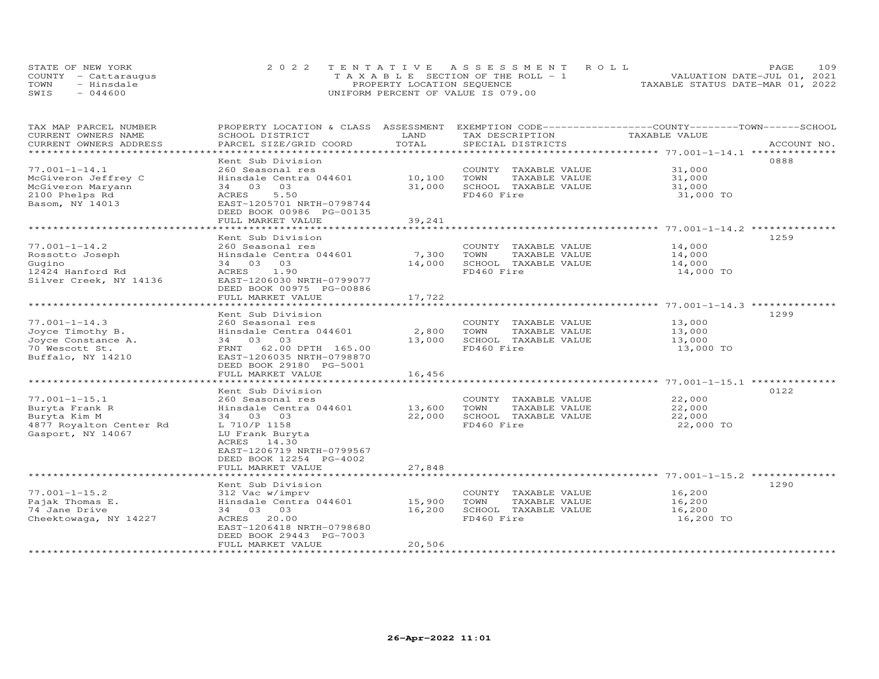| STATE OF NEW YORK    | 2022 TENTATIVE ASSESSMENT ROLL        | <b>PAGE</b>                      | 109 |
|----------------------|---------------------------------------|----------------------------------|-----|
| COUNTY - Cattaraugus | T A X A B L E SECTION OF THE ROLL - 1 | VALUATION DATE-JUL 01, 2021      |     |
| TOWN<br>- Hinsdale   | PROPERTY LOCATION SEQUENCE            | TAXABLE STATUS DATE-MAR 01, 2022 |     |
| $-044600$<br>SWIS    | UNIFORM PERCENT OF VALUE IS 079.00    |                                  |     |

| TAX MAP PARCEL NUMBER<br>CURRENT OWNERS NAME | PROPERTY LOCATION & CLASS ASSESSMENT<br>SCHOOL DISTRICT | LAND   | EXEMPTION CODE-----------------COUNTY-------TOWN-----SCHOOL<br>TAX DESCRIPTION | TAXABLE VALUE                                               |             |
|----------------------------------------------|---------------------------------------------------------|--------|--------------------------------------------------------------------------------|-------------------------------------------------------------|-------------|
| CURRENT OWNERS ADDRESS                       | PARCEL SIZE/GRID COORD                                  | TOTAL  | SPECIAL DISTRICTS                                                              |                                                             | ACCOUNT NO. |
| ******************************               |                                                         |        |                                                                                |                                                             |             |
|                                              | Kent Sub Division                                       |        |                                                                                |                                                             | 0888        |
| $77.001 - 1 - 14.1$                          | 260 Seasonal res                                        |        | COUNTY TAXABLE VALUE                                                           | 31,000                                                      |             |
| McGiveron Jeffrey C                          | Hinsdale Centra 044601                                  | 10,100 | TOWN<br>TAXABLE VALUE                                                          | 31,000                                                      |             |
| McGiveron Maryann                            | 34 03<br>03                                             | 31,000 | SCHOOL TAXABLE VALUE                                                           | 31,000                                                      |             |
| 2100 Phelps Rd                               | 5.50<br>ACRES                                           |        | FD460 Fire                                                                     | 31,000 TO                                                   |             |
| Basom, NY 14013                              | EAST-1205701 NRTH-0798744                               |        |                                                                                |                                                             |             |
|                                              | DEED BOOK 00986 PG-00135                                |        |                                                                                |                                                             |             |
|                                              | FULL MARKET VALUE                                       | 39,241 |                                                                                |                                                             |             |
|                                              |                                                         |        |                                                                                |                                                             |             |
|                                              | Kent Sub Division                                       |        |                                                                                |                                                             | 1259        |
| $77.001 - 1 - 14.2$                          | 260 Seasonal res                                        |        | COUNTY<br>TAXABLE VALUE                                                        | 14,000                                                      |             |
| Rossotto Joseph                              | Hinsdale Centra 044601                                  | 7,300  | TAXABLE VALUE<br>TOWN                                                          | 14,000                                                      |             |
| Gugino                                       | 34 03<br>03                                             | 14,000 | SCHOOL TAXABLE VALUE                                                           | 14,000                                                      |             |
| 12424 Hanford Rd                             | ACRES<br>1.90                                           |        | FD460 Fire                                                                     | 14,000 TO                                                   |             |
| Silver Creek, NY 14136                       | EAST-1206030 NRTH-0799077                               |        |                                                                                |                                                             |             |
|                                              | DEED BOOK 00975 PG-00886                                |        |                                                                                |                                                             |             |
|                                              | FULL MARKET VALUE                                       | 17,722 |                                                                                |                                                             |             |
|                                              |                                                         |        |                                                                                | ******** 77.001-1-14.3 **                                   |             |
|                                              | Kent Sub Division                                       |        |                                                                                |                                                             | 1299        |
| $77.001 - 1 - 14.3$                          | 260 Seasonal res                                        |        | COUNTY TAXABLE VALUE                                                           | 13,000                                                      |             |
| Joyce Timothy B.                             | Hinsdale Centra 044601                                  | 2,800  | TOWN<br>TAXABLE VALUE                                                          | 13,000                                                      |             |
| Joyce Constance A.<br>70 Wescott St.         | 34 03 03<br>FRNT                                        | 13,000 | SCHOOL TAXABLE VALUE<br>FD460 Fire                                             | 13,000                                                      |             |
| Buffalo, NY 14210                            | 62.00 DPTH 165.00<br>EAST-1206035 NRTH-0798870          |        |                                                                                | 13,000 TO                                                   |             |
|                                              | DEED BOOK 29180 PG-5001                                 |        |                                                                                |                                                             |             |
|                                              | FULL MARKET VALUE                                       | 16,456 |                                                                                |                                                             |             |
|                                              |                                                         |        |                                                                                |                                                             |             |
|                                              | Kent Sub Division                                       |        |                                                                                |                                                             | 0122        |
| $77.001 - 1 - 15.1$                          | 260 Seasonal res                                        |        | COUNTY TAXABLE VALUE                                                           | 22,000                                                      |             |
| Buryta Frank R                               | Hinsdale Centra 044601                                  | 13,600 | TAXABLE VALUE<br>TOWN                                                          | 22,000                                                      |             |
| Buryta Kim M                                 | 34 03 03                                                | 22,000 | SCHOOL TAXABLE VALUE                                                           | 22,000                                                      |             |
| 4877 Royalton Center Rd                      | L 710/P 1158                                            |        | FD460 Fire                                                                     | 22,000 TO                                                   |             |
| Gasport, NY 14067                            | LU Frank Buryta                                         |        |                                                                                |                                                             |             |
|                                              | 14.30<br>ACRES                                          |        |                                                                                |                                                             |             |
|                                              | EAST-1206719 NRTH-0799567                               |        |                                                                                |                                                             |             |
|                                              | DEED BOOK 12254 PG-4002                                 |        |                                                                                |                                                             |             |
|                                              | FULL MARKET VALUE                                       | 27,848 |                                                                                |                                                             |             |
|                                              | * * * * * * * * * * * * * * * * * * *                   |        |                                                                                | ***************************** 77.001-1-15.2 *************** |             |
|                                              | Kent Sub Division                                       |        |                                                                                |                                                             | 1290        |
| $77.001 - 1 - 15.2$                          | 312 Vac w/imprv                                         |        | COUNTY<br>TAXABLE VALUE                                                        | 16,200                                                      |             |
| Pajak Thomas E.                              | Hinsdale Centra 044601                                  | 15,900 | TOWN<br>TAXABLE VALUE                                                          | 16,200                                                      |             |
| 74 Jane Drive                                | 34 03 03                                                | 16,200 | SCHOOL TAXABLE VALUE                                                           | 16,200                                                      |             |
| Cheektowaga, NY 14227                        | 20,00<br>ACRES                                          |        | FD460 Fire                                                                     | 16,200 TO                                                   |             |
|                                              | EAST-1206418 NRTH-0798680                               |        |                                                                                |                                                             |             |
|                                              | DEED BOOK 29443 PG-7003                                 |        |                                                                                |                                                             |             |
|                                              | FULL MARKET VALUE                                       | 20,506 |                                                                                |                                                             |             |
|                                              |                                                         |        |                                                                                |                                                             |             |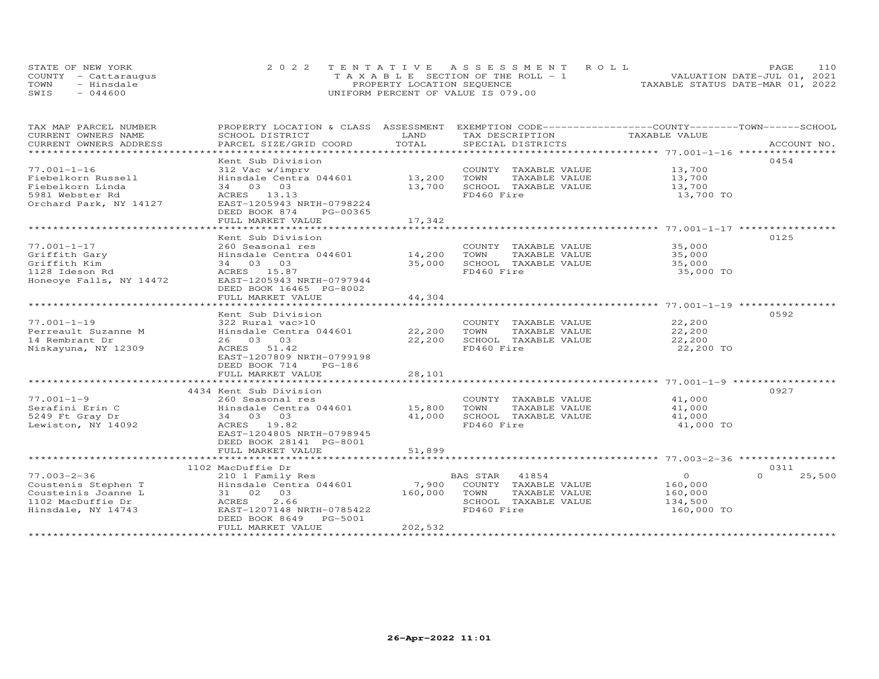|      | STATE OF NEW YORK    | 2022 TENTATIVE ASSESSMENT ROLL        | 110<br>PAGE.                     |
|------|----------------------|---------------------------------------|----------------------------------|
|      | COUNTY - Cattarauqus | T A X A B L E SECTION OF THE ROLL - 1 | VALUATION DATE-JUL 01, 2021      |
| TOWN | - Hinsdale           | PROPERTY LOCATION SEQUENCE            | TAXABLE STATUS DATE-MAR 01, 2022 |
| SWIS | $-044600$            | UNIFORM PERCENT OF VALUE IS 079.00    |                                  |

| TAX MAP PARCEL NUMBER                               | PROPERTY LOCATION & CLASS ASSESSMENT EXEMPTION CODE----------------COUNTY-------TOWN------SCHOOL |            |                       |                |                  |
|-----------------------------------------------------|--------------------------------------------------------------------------------------------------|------------|-----------------------|----------------|------------------|
| CURRENT OWNERS NAME                                 | SCHOOL DISTRICT                                                                                  | LAND       | TAX DESCRIPTION       | TAXABLE VALUE  |                  |
| CURRENT OWNERS ADDRESS<br>************************* | PARCEL SIZE/GRID COORD                                                                           | TOTAL      | SPECIAL DISTRICTS     |                | ACCOUNT NO.      |
|                                                     | Kent Sub Division                                                                                |            |                       |                | 0454             |
| $77.001 - 1 - 16$                                   | 312 Vac w/imprv                                                                                  |            | COUNTY TAXABLE VALUE  | 13,700         |                  |
| Fiebelkorn Russell                                  | Hinsdale Centra 044601                                                                           | 13,200     | TOWN<br>TAXABLE VALUE | 13,700         |                  |
| Fiebelkorn Linda                                    | 34 03 03                                                                                         | 13,700     | SCHOOL TAXABLE VALUE  | 13,700         |                  |
| 5981 Webster Rd                                     | ACRES 13.13                                                                                      |            | FD460 Fire            | 13,700 TO      |                  |
| Orchard Park, NY 14127                              | EAST-1205943 NRTH-0798224                                                                        |            |                       |                |                  |
|                                                     | DEED BOOK 874<br>PG-00365                                                                        |            |                       |                |                  |
|                                                     | FULL MARKET VALUE                                                                                | 17,342     |                       |                |                  |
|                                                     | ***********************                                                                          | ********** |                       |                |                  |
|                                                     | Kent Sub Division                                                                                |            |                       |                | 0125             |
| $77.001 - 1 - 17$                                   | 260 Seasonal res                                                                                 |            | COUNTY TAXABLE VALUE  | 35,000         |                  |
| Griffith Gary                                       | Hinsdale Centra 044601                                                                           | 14,200     | TOWN<br>TAXABLE VALUE | 35,000         |                  |
| Griffith Kim                                        | 34 03 03                                                                                         | 35,000     | SCHOOL TAXABLE VALUE  | 35,000         |                  |
| 1128 Ideson Rd                                      | ACRES 15.87                                                                                      |            | FD460 Fire            | 35,000 TO      |                  |
| Honeoye Falls, NY 14472                             | EAST-1205943 NRTH-0797944                                                                        |            |                       |                |                  |
|                                                     | DEED BOOK 16465 PG-8002                                                                          |            |                       |                |                  |
|                                                     | FULL MARKET VALUE                                                                                | 44,304     |                       |                |                  |
|                                                     |                                                                                                  |            |                       |                |                  |
|                                                     | Kent Sub Division                                                                                |            |                       |                | 0592             |
| $77.001 - 1 - 19$                                   | 322 Rural vac>10                                                                                 |            | COUNTY TAXABLE VALUE  | 22,200         |                  |
| Perreault Suzanne M                                 | Hinsdale Centra 044601                                                                           | 22,200     | TOWN<br>TAXABLE VALUE | 22,200         |                  |
| 14 Rembrant Dr                                      | 26 03 03                                                                                         | 22,200     | SCHOOL TAXABLE VALUE  | 22,200         |                  |
| Niskayuna, NY 12309                                 | ACRES 51.42                                                                                      |            | FD460 Fire            | 22,200 TO      |                  |
|                                                     | EAST-1207809 NRTH-0799198                                                                        |            |                       |                |                  |
|                                                     | DEED BOOK 714<br>PG-186<br>FULL MARKET VALUE                                                     |            |                       |                |                  |
|                                                     |                                                                                                  | 28,101     |                       |                |                  |
|                                                     | 4434 Kent Sub Division                                                                           |            |                       |                | 0927             |
| $77.001 - 1 - 9$                                    |                                                                                                  |            | COUNTY TAXABLE VALUE  | 41,000         |                  |
| Serafini Erin C                                     | 260 Seasonal res<br>Hinsdale Centra 044601 15,800                                                |            | TOWN<br>TAXABLE VALUE | 41,000         |                  |
| 5249 Ft Gray Dr                                     | 34 03 03                                                                                         | 41,000     | SCHOOL TAXABLE VALUE  | 41,000         |                  |
| Lewiston, NY 14092                                  | ACRES 19.82                                                                                      |            | FD460 Fire            | 41,000 TO      |                  |
|                                                     | EAST-1204805 NRTH-0798945                                                                        |            |                       |                |                  |
|                                                     | DEED BOOK 28141 PG-8001                                                                          |            |                       |                |                  |
|                                                     | FULL MARKET VALUE                                                                                | 51,899     |                       |                |                  |
|                                                     |                                                                                                  |            |                       |                |                  |
|                                                     | 1102 MacDuffie Dr                                                                                |            |                       |                | 0311             |
| 77.003-2-36                                         | 210 1 Family Res                                                                                 |            | BAS STAR<br>41854     | $\overline{0}$ | $\cap$<br>25,500 |
| Coustenis Stephen T                                 | Hinsdale Centra 044601                                                                           | 7,900      | COUNTY TAXABLE VALUE  | 160,000        |                  |
| Cousteinis Joanne L                                 | 31 02 03                                                                                         | 160,000    | TAXABLE VALUE<br>TOWN | 160,000        |                  |
| 1102 MacDuffie Dr                                   | 2.66<br>ACRES                                                                                    |            | SCHOOL TAXABLE VALUE  | 134,500        |                  |
| Hinsdale, NY 14743                                  | EAST-1207148 NRTH-0785422                                                                        |            | FD460 Fire            | 160,000 TO     |                  |
|                                                     | DEED BOOK 8649 PG-5001                                                                           |            |                       |                |                  |
|                                                     | FULL MARKET VALUE                                                                                | 202,532    |                       |                |                  |
|                                                     |                                                                                                  |            |                       |                |                  |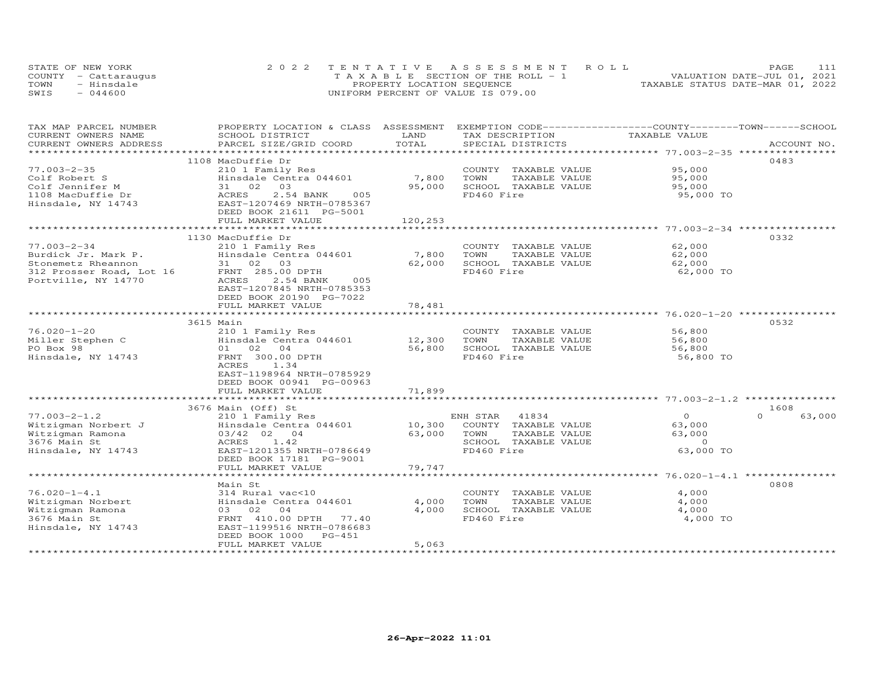| STATE OF NEW YORK    | 2022 TENTATIVE ASSESSMENT ROLL     | PAGE.                            |
|----------------------|------------------------------------|----------------------------------|
| COUNTY - Cattaraugus | TAXABLE SECTION OF THE ROLL - 1    | VALUATION DATE-JUL 01, 2021      |
| TOWN<br>- Hinsdale   | PROPERTY LOCATION SEQUENCE         | TAXABLE STATUS DATE-MAR 01, 2022 |
| $-044600$<br>SWIS    | UNIFORM PERCENT OF VALUE IS 079.00 |                                  |

| TAX MAP PARCEL NUMBER    | PROPERTY LOCATION & CLASS ASSESSMENT EXEMPTION CODE----------------COUNTY-------TOWN------SCHOOL |         |                       |                                                 |                    |
|--------------------------|--------------------------------------------------------------------------------------------------|---------|-----------------------|-------------------------------------------------|--------------------|
| CURRENT OWNERS NAME      | SCHOOL DISTRICT                                                                                  | LAND    | TAX DESCRIPTION       | TAXABLE VALUE                                   |                    |
| CURRENT OWNERS ADDRESS   | PARCEL SIZE/GRID COORD                                                                           | TOTAL   | SPECIAL DISTRICTS     |                                                 | ACCOUNT NO.        |
|                          |                                                                                                  |         |                       |                                                 |                    |
|                          | 1108 MacDuffie Dr                                                                                |         |                       |                                                 | 0483               |
| $77.003 - 2 - 35$        | 210 1 Family Res                                                                                 |         | COUNTY TAXABLE VALUE  | 95,000                                          |                    |
| Colf Robert S            | Hinsdale Centra 044601                                                                           | 7,800   | TOWN<br>TAXABLE VALUE | 95,000                                          |                    |
| Colf Jennifer M          | 31 02 03                                                                                         | 95,000  | SCHOOL TAXABLE VALUE  | 95,000                                          |                    |
| 1108 MacDuffie Dr        | 2.54 BANK<br>ACRES<br>005                                                                        |         | FD460 Fire            | 95,000 TO                                       |                    |
| Hinsdale, NY 14743       | EAST-1207469 NRTH-0785367                                                                        |         |                       |                                                 |                    |
|                          | DEED BOOK 21611 PG-5001                                                                          |         |                       |                                                 |                    |
|                          | FULL MARKET VALUE                                                                                | 120,253 |                       |                                                 |                    |
|                          |                                                                                                  |         |                       |                                                 |                    |
|                          | 1130 MacDuffie Dr                                                                                |         |                       |                                                 | 0332               |
| $77.003 - 2 - 34$        | 210 1 Family Res                                                                                 |         | COUNTY TAXABLE VALUE  | 62,000                                          |                    |
| Burdick Jr. Mark P.      | Hinsdale Centra 044601                                                                           | 7,800   | TOWN<br>TAXABLE VALUE | 62,000                                          |                    |
| Stonemetz Rheannon       | 31 02 03                                                                                         | 62,000  | SCHOOL TAXABLE VALUE  | 62,000                                          |                    |
| 312 Prosser Road, Lot 16 | FRNT 285.00 DPTH                                                                                 |         | FD460 Fire            | 62,000 TO                                       |                    |
| Portville, NY 14770      | ACRES<br>2.54 BANK<br>005                                                                        |         |                       |                                                 |                    |
|                          | EAST-1207845 NRTH-0785353                                                                        |         |                       |                                                 |                    |
|                          | DEED BOOK 20190 PG-7022                                                                          |         |                       |                                                 |                    |
|                          | FULL MARKET VALUE                                                                                | 78,481  |                       |                                                 |                    |
|                          | ++++++++++++++++++++++++                                                                         |         |                       | ********************** 76.020-1-20 ************ |                    |
|                          | 3615 Main                                                                                        |         |                       |                                                 | 0532               |
| $76.020 - 1 - 20$        | 210 1 Family Res                                                                                 |         | COUNTY TAXABLE VALUE  | 56,800                                          |                    |
| Miller Stephen C         | Hinsdale Centra 044601                                                                           | 12,300  | TOWN<br>TAXABLE VALUE | 56,800                                          |                    |
| PO Box 98                | 01 02 04                                                                                         | 56,800  | SCHOOL TAXABLE VALUE  | 56,800                                          |                    |
| Hinsdale, NY 14743       | FRNT 300.00 DPTH                                                                                 |         | FD460 Fire            | 56,800 TO                                       |                    |
|                          | ACRES<br>1.34                                                                                    |         |                       |                                                 |                    |
|                          | EAST-1198964 NRTH-0785929                                                                        |         |                       |                                                 |                    |
|                          | DEED BOOK 00941 PG-00963                                                                         |         |                       |                                                 |                    |
|                          | FULL MARKET VALUE                                                                                | 71,899  |                       |                                                 |                    |
|                          |                                                                                                  |         |                       |                                                 |                    |
|                          | 3676 Main (Off) St                                                                               |         |                       |                                                 | 1608               |
| $77.003 - 2 - 1.2$       | 210 1 Family Res                                                                                 |         | 41834<br>ENH STAR     | $\Omega$                                        | $\Omega$<br>63,000 |
| Witzigman Norbert J      | Hinsdale Centra 044601                                                                           | 10,300  | COUNTY TAXABLE VALUE  | 63,000                                          |                    |
| Witzigman Ramona         | 03/42 02 04                                                                                      | 63,000  | TOWN<br>TAXABLE VALUE | 63,000                                          |                    |
| 3676 Main St             | 1.42<br>ACRES                                                                                    |         | SCHOOL TAXABLE VALUE  | $\Omega$                                        |                    |
| Hinsdale, NY 14743       | EAST-1201355 NRTH-0786649                                                                        |         | FD460 Fire            | 63,000 TO                                       |                    |
|                          | DEED BOOK 17181 PG-9001                                                                          |         |                       |                                                 |                    |
|                          | FULL MARKET VALUE                                                                                | 79,747  |                       |                                                 |                    |
|                          |                                                                                                  |         |                       |                                                 |                    |
|                          | Main St                                                                                          |         |                       |                                                 | 0808               |
| $76.020 - 1 - 4.1$       | 314 Rural vac<10                                                                                 |         | COUNTY TAXABLE VALUE  | 4,000                                           |                    |
| Witzigman Norbert        | Hinsdale Centra 044601                                                                           | 4,000   | TOWN<br>TAXABLE VALUE | 4,000                                           |                    |
| Witzigman Ramona         | 03 02<br>04                                                                                      | 4,000   | SCHOOL TAXABLE VALUE  | 4,000                                           |                    |
| 3676 Main St             | FRNT 410.00 DPTH 77.40                                                                           |         | FD460 Fire            | 4,000 TO                                        |                    |
| Hinsdale, NY 14743       | EAST-1199516 NRTH-0786683                                                                        |         |                       |                                                 |                    |
|                          | DEED BOOK 1000<br>PG-451                                                                         |         |                       |                                                 |                    |
|                          | FULL MARKET VALUE                                                                                | 5,063   |                       |                                                 |                    |
|                          |                                                                                                  |         |                       |                                                 |                    |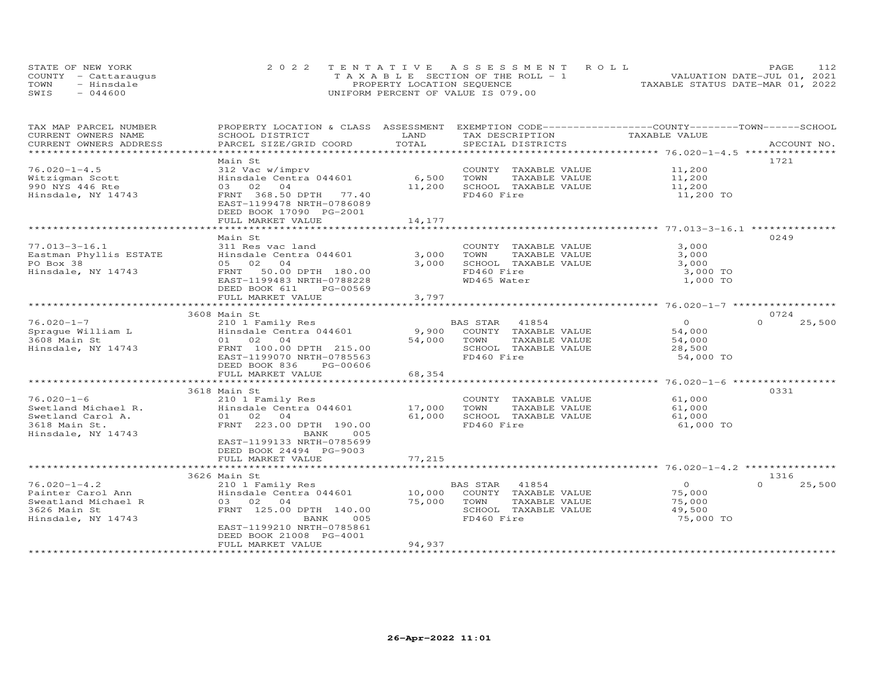| STATE OF NEW YORK    | 2022 TENTATIVE ASSESSMENT ROLL        | 112<br><b>PAGE</b>               |
|----------------------|---------------------------------------|----------------------------------|
| COUNTY - Cattaraugus | T A X A B L E SECTION OF THE ROLL - 1 | VALUATION DATE-JUL 01, 2021      |
| TOWN<br>- Hinsdale   | PROPERTY LOCATION SEQUENCE            | TAXABLE STATUS DATE-MAR 01, 2022 |
| $-044600$<br>SWIS    | UNIFORM PERCENT OF VALUE IS 079.00    |                                  |

| TAX MAP PARCEL NUMBER   | PROPERTY LOCATION & CLASS ASSESSMENT |        | EXEMPTION CODE-----------------COUNTY-------TOWN------SCHOOL |                |                    |
|-------------------------|--------------------------------------|--------|--------------------------------------------------------------|----------------|--------------------|
| CURRENT OWNERS NAME     | SCHOOL DISTRICT                      | LAND   | TAX DESCRIPTION                                              | TAXABLE VALUE  |                    |
| CURRENT OWNERS ADDRESS  | PARCEL SIZE/GRID COORD               | TOTAL  | SPECIAL DISTRICTS                                            |                | ACCOUNT NO.        |
| *********************** |                                      |        |                                                              |                |                    |
|                         | Main St                              |        |                                                              |                | 1721               |
| $76.020 - 1 - 4.5$      | 312 Vac w/imprv                      |        | COUNTY TAXABLE VALUE                                         | 11,200         |                    |
| Witzigman Scott         | Hinsdale Centra 044601               | 6,500  | TOWN<br>TAXABLE VALUE                                        | 11,200         |                    |
| 990 NYS 446 Rte         | 03 02 04                             | 11,200 | SCHOOL TAXABLE VALUE                                         | 11,200         |                    |
| Hinsdale, NY 14743      | FRNT 368.50 DPTH 77.40               |        | FD460 Fire                                                   | 11,200 TO      |                    |
|                         | EAST-1199478 NRTH-0786089            |        |                                                              |                |                    |
|                         | DEED BOOK 17090 PG-2001              |        |                                                              |                |                    |
|                         | FULL MARKET VALUE                    | 14,177 |                                                              |                |                    |
|                         |                                      |        |                                                              |                |                    |
|                         | Main St                              |        |                                                              |                | 0249               |
| $77.013 - 3 - 16.1$     | 311 Res vac land                     |        | COUNTY TAXABLE VALUE                                         | 3,000          |                    |
| Eastman Phyllis ESTATE  | Hinsdale Centra 044601               | 3,000  | TOWN<br>TAXABLE VALUE                                        | 3,000          |                    |
| PO Box 38               | 05 02 04                             | 3,000  | SCHOOL TAXABLE VALUE                                         | 3,000          |                    |
| Hinsdale, NY 14743      | FRNT 50.00 DPTH 180.00               |        | FD460 Fire                                                   | 3,000 TO       |                    |
|                         | EAST-1199483 NRTH-0788228            |        | WD465 Water                                                  | 1,000 TO       |                    |
|                         | DEED BOOK 611<br>PG-00569            |        |                                                              |                |                    |
|                         | FULL MARKET VALUE                    | 3,797  |                                                              |                |                    |
|                         |                                      |        |                                                              |                |                    |
|                         | 3608 Main St                         |        |                                                              |                | 0724               |
| $76.020 - 1 - 7$        | 210 1 Family Res                     |        | BAS STAR 41854                                               | $\overline{0}$ | $\Omega$<br>25,500 |
| Spraque William L       | Hinsdale Centra 044601               |        | 9,900 COUNTY TAXABLE VALUE                                   | 54,000         |                    |
| 3608 Main St            | 01 02 04                             | 54,000 | TAXABLE VALUE<br>TOWN                                        | 54,000         |                    |
| Hinsdale, NY 14743      | FRNT 100.00 DPTH 215.00              |        | SCHOOL TAXABLE VALUE                                         | 28,500         |                    |
|                         | EAST-1199070 NRTH-0785563            |        | FD460 Fire                                                   | 54,000 TO      |                    |
|                         | DEED BOOK 836<br>PG-00606            |        |                                                              |                |                    |
|                         | FULL MARKET VALUE                    | 68,354 |                                                              |                |                    |
|                         |                                      |        |                                                              |                |                    |
|                         | 3618 Main St                         |        |                                                              |                | 0331               |
| $76.020 - 1 - 6$        | 210 1 Family Res                     |        | COUNTY TAXABLE VALUE                                         | 61,000         |                    |
| Swetland Michael R.     | Hinsdale Centra 044601               | 17,000 | TOWN<br>TAXABLE VALUE                                        | 61,000         |                    |
| Swetland Carol A.       | 01 02 04                             | 61,000 | SCHOOL TAXABLE VALUE                                         | 61,000         |                    |
| 3618 Main St.           | FRNT 223.00 DPTH 190.00              |        | FD460 Fire                                                   | 61,000 TO      |                    |
| Hinsdale, NY 14743      | BANK<br>005                          |        |                                                              |                |                    |
|                         | EAST-1199133 NRTH-0785699            |        |                                                              |                |                    |
|                         | DEED BOOK 24494 PG-9003              |        |                                                              |                |                    |
|                         | FULL MARKET VALUE                    | 77,215 |                                                              |                |                    |
|                         |                                      |        |                                                              |                |                    |
|                         | 3626 Main St                         |        |                                                              |                | 1316               |
| $76.020 - 1 - 4.2$      | 210 1 Family Res                     |        | BAS STAR 41854                                               | $\overline{0}$ | $\Omega$<br>25,500 |
| Painter Carol Ann       | Hinsdale Centra 044601               |        | 10,000 COUNTY TAXABLE VALUE                                  | 75,000         |                    |
| Sweatland Michael R     | 03 02<br>04                          | 75,000 | TOWN<br>TAXABLE VALUE                                        | 75,000         |                    |
| 3626 Main St            | FRNT 125.00 DPTH 140.00              |        | SCHOOL TAXABLE VALUE                                         | 49,500         |                    |
| Hinsdale, NY 14743      | BANK<br>005                          |        | FD460 Fire                                                   | 75,000 TO      |                    |
|                         | EAST-1199210 NRTH-0785861            |        |                                                              |                |                    |
|                         | DEED BOOK 21008 PG-4001              |        |                                                              |                |                    |
|                         | FULL MARKET VALUE                    | 94,937 |                                                              |                |                    |
|                         | *********************                |        |                                                              |                |                    |
|                         |                                      |        |                                                              |                |                    |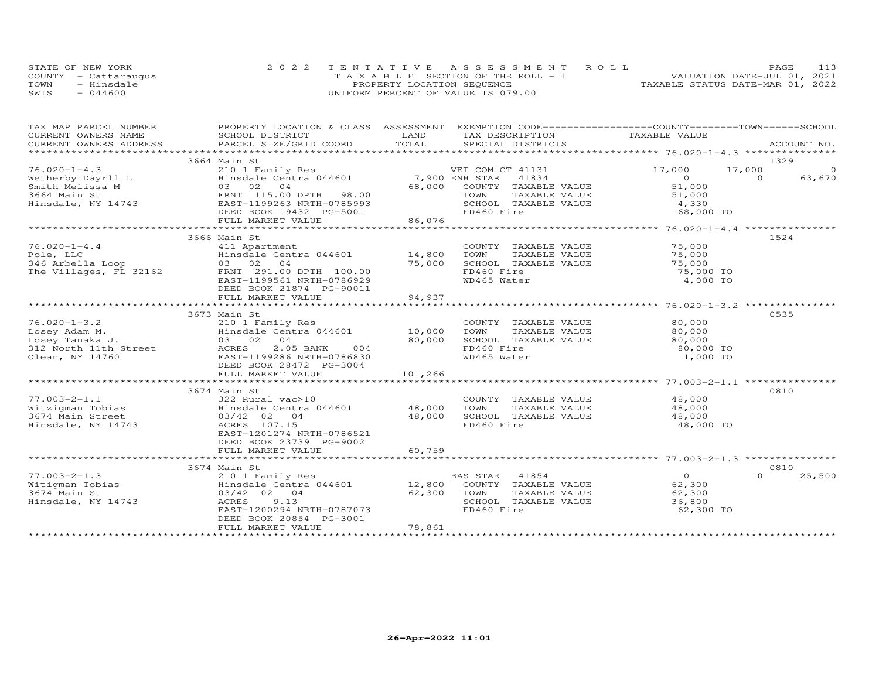|      | STATE OF NEW YORK    | 2022 TENTATIVE ASSESSMENT ROLL        | PAGE                             |
|------|----------------------|---------------------------------------|----------------------------------|
|      | COUNTY - Cattaraugus | T A X A B L E SECTION OF THE ROLL - 1 | VALUATION DATE-JUL 01, 2021      |
| TOWN | - Hinsdale           | PROPERTY LOCATION SEQUENCE            | TAXABLE STATUS DATE-MAR 01, 2022 |
| SWIS | $-044600$            | UNIFORM PERCENT OF VALUE IS 079.00    |                                  |

| TAX MAP PARCEL NUMBER                                     | PROPERTY LOCATION & CLASS ASSESSMENT EXEMPTION CODE----------------COUNTY-------TOWN------SCHOOL                                                                                                                              |                |                       |                |                    |
|-----------------------------------------------------------|-------------------------------------------------------------------------------------------------------------------------------------------------------------------------------------------------------------------------------|----------------|-----------------------|----------------|--------------------|
| CURRENT OWNERS NAME                                       | SCHOOL DISTRICT                                                                                                                                                                                                               | LAND           | TAX DESCRIPTION       | TAXABLE VALUE  |                    |
| CURRENT OWNERS ADDRESS                                    | .CURRENT OWNERS ADDRESS PARCEL SIZE/GRID COORD TOTAL SPECIAL DISTRICTS (ACCOUNT NO ACCOUNT NO ACCOUNT NO ACCOUNT NO ACCOUNT NO A SEXALL STATE SECTIAL SERVERS AND SEXALL SERVERS AND RESPECT AS A SEXALL STATES OF THE SERVER | TOTAL          |                       |                |                    |
|                                                           |                                                                                                                                                                                                                               |                |                       |                |                    |
|                                                           | 3664 Main St                                                                                                                                                                                                                  |                |                       |                | 1329               |
| $76.020 - 1 - 4.3$                                        | 210 1 Family Res                                                                                                                                                                                                              |                | VET COM CT 41131      | 17,000         | 17,000<br>$\Omega$ |
| Wetherby Dayrll L<br>Wetherby Dayrll L<br>Smith Melissa M | Hinsdale Centra 044601                                                                                                                                                                                                        | 7,900 ENH STAR | 41834                 | $\overline{O}$ | $\Omega$<br>63,670 |
|                                                           | Hinsdale Centra 044001<br>03 02 04<br>FRNT 115.00 DPTH 98.00<br>EAST-1199263 NRTH-0785993                                                                                                                                     | 68,000         | COUNTY TAXABLE VALUE  | 51,000         |                    |
| 3664 Main St                                              |                                                                                                                                                                                                                               |                | TOWN<br>TAXABLE VALUE | 51,000         |                    |
| Hinsdale, NY 14743                                        |                                                                                                                                                                                                                               |                | SCHOOL TAXABLE VALUE  | 4,330          |                    |
|                                                           | DEED BOOK 19432 PG-5001                                                                                                                                                                                                       |                | FD460 Fire            | 68,000 TO      |                    |
|                                                           | FULL MARKET VALUE                                                                                                                                                                                                             | 86,076         |                       |                |                    |
|                                                           |                                                                                                                                                                                                                               |                |                       |                |                    |
|                                                           | 3666 Main St                                                                                                                                                                                                                  |                |                       |                | 1524               |
| $76.020 - 1 - 4.4$                                        | 411 Apartment                                                                                                                                                                                                                 |                | COUNTY TAXABLE VALUE  | 75,000         |                    |
| Pole, LLC                                                 | Hinsdale Centra 044601                                                                                                                                                                                                        | 14,800         | TOWN<br>TAXABLE VALUE | 75,000         |                    |
| Pole, LLC<br>346 Arbella Loop                             | 0 <sub>4</sub><br>03 02                                                                                                                                                                                                       | 75,000         | SCHOOL TAXABLE VALUE  | 75,000         |                    |
| The Villages, FL 32162                                    | FRNT 291.00 DPTH 100.00                                                                                                                                                                                                       |                | FD460 Fire            | 75,000 TO      |                    |
|                                                           | EAST-1199561 NRTH-0786929                                                                                                                                                                                                     |                | WD465 Water           | 4,000 TO       |                    |
|                                                           | DEED BOOK 21874 PG-90011                                                                                                                                                                                                      |                |                       |                |                    |
|                                                           | FULL MARKET VALUE                                                                                                                                                                                                             | 94,937         |                       |                |                    |
|                                                           |                                                                                                                                                                                                                               |                |                       |                |                    |
|                                                           | 3673 Main St                                                                                                                                                                                                                  |                |                       |                | 0535               |
| $76.020 - 1 - 3.2$                                        | 210 1 Family Res                                                                                                                                                                                                              |                | COUNTY TAXABLE VALUE  | 80,000         |                    |
| Losey Adam M.                                             | Hinsdale Centra 044601                                                                                                                                                                                                        | 10,000         | TOWN<br>TAXABLE VALUE | 80,000         |                    |
| Losey Tanaka J.                                           | 03 02 04                                                                                                                                                                                                                      | 80,000         | SCHOOL TAXABLE VALUE  | 80,000         |                    |
| 312 North 11th Street                                     | ACRES<br>2.05 BANK<br>004                                                                                                                                                                                                     |                | FD460 Fire            | 80,000 TO      |                    |
| Olean, NY 14760                                           | EAST-1199286 NRTH-0786830                                                                                                                                                                                                     |                | WD465 Water           | 1,000 TO       |                    |
|                                                           | DEED BOOK 28472 PG-3004                                                                                                                                                                                                       |                |                       |                |                    |
|                                                           | FULL MARKET VALUE                                                                                                                                                                                                             | 101,266        |                       |                |                    |
|                                                           |                                                                                                                                                                                                                               |                |                       |                |                    |
|                                                           | 3674 Main St                                                                                                                                                                                                                  |                |                       |                | 0810               |
| 77.003-2-1.1<br>Witzigman Tobias<br>Timin Street          | 322 Rural vac>10                                                                                                                                                                                                              |                | COUNTY TAXABLE VALUE  | 48,000         |                    |
|                                                           |                                                                                                                                                                                                                               |                | TOWN<br>TAXABLE VALUE | 48,000         |                    |
|                                                           | 03/42 02 04                                                                                                                                                                                                                   |                | SCHOOL TAXABLE VALUE  | 48,000         |                    |
| Hinsdale, NY 14743                                        | ACRES 107.15                                                                                                                                                                                                                  |                | FD460 Fire            | 48,000 TO      |                    |
|                                                           | EAST-1201274 NRTH-0786521                                                                                                                                                                                                     |                |                       |                |                    |
|                                                           | DEED BOOK 23739 PG-9002                                                                                                                                                                                                       |                |                       |                |                    |
|                                                           | FULL MARKET VALUE                                                                                                                                                                                                             | 60,759         |                       |                |                    |
|                                                           |                                                                                                                                                                                                                               |                |                       |                |                    |
|                                                           | 3674 Main St                                                                                                                                                                                                                  |                |                       |                | 0810               |
| $77.003 - 2 - 1.3$                                        | 210 1 Family Res                                                                                                                                                                                                              |                | 41854<br>BAS STAR     | $\overline{0}$ | $\Omega$<br>25,500 |
| Witigman Tobias                                           | Hinsdale Centra 044601 12,800                                                                                                                                                                                                 |                | COUNTY TAXABLE VALUE  | 62,300         |                    |
| 3674 Main St                                              | 03/42 02 04                                                                                                                                                                                                                   | 62,300         | TOWN<br>TAXABLE VALUE | 62,300         |                    |
| Hinsdale, NY 14743                                        | 9.13<br>ACRES                                                                                                                                                                                                                 |                | SCHOOL TAXABLE VALUE  | 36,800         |                    |
|                                                           | EAST-1200294 NRTH-0787073                                                                                                                                                                                                     |                | FD460 Fire            | 62,300 TO      |                    |
|                                                           | DEED BOOK 20854 PG-3001                                                                                                                                                                                                       |                |                       |                |                    |
|                                                           | FULL MARKET VALUE                                                                                                                                                                                                             | 78,861         |                       |                |                    |
|                                                           |                                                                                                                                                                                                                               |                |                       |                |                    |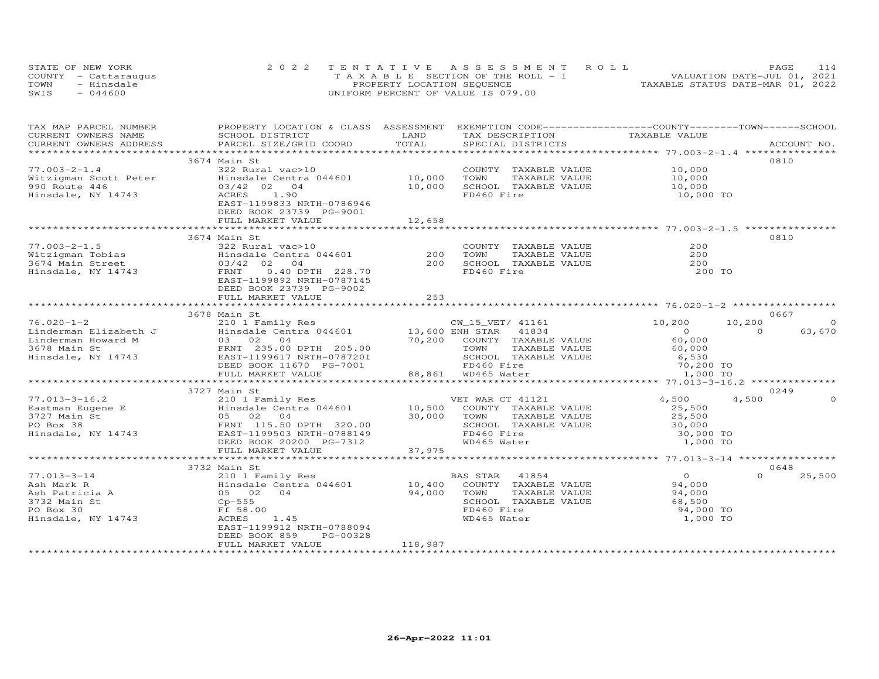|      | STATE OF NEW YORK    | 2022 TENTATIVE ASSESSMENT ROLL        | 114<br>PAGE                      |
|------|----------------------|---------------------------------------|----------------------------------|
|      | COUNTY - Cattaraugus | T A X A B L E SECTION OF THE ROLL - 1 | VALUATION DATE-JUL 01, 2021      |
| TOWN | - Hinsdale           | PROPERTY LOCATION SEQUENCE            | TAXABLE STATUS DATE-MAR 01, 2022 |
| SWIS | $-044600$            | UNIFORM PERCENT OF VALUE IS 079.00    |                                  |

| TAX MAP PARCEL NUMBER                                  | PROPERTY LOCATION & CLASS ASSESSMENT                                                                                                                                                                                                                                                                                        |                     | EXEMPTION CODE------------------COUNTY-------TOWN-----SCHOOL                                                                    |                                           |                    |
|--------------------------------------------------------|-----------------------------------------------------------------------------------------------------------------------------------------------------------------------------------------------------------------------------------------------------------------------------------------------------------------------------|---------------------|---------------------------------------------------------------------------------------------------------------------------------|-------------------------------------------|--------------------|
| CURRENT OWNERS NAME                                    | SCHOOL DISTRICT                                                                                                                                                                                                                                                                                                             | LAND                | TAX DESCRIPTION                                                                                                                 | TAXABLE VALUE                             |                    |
| CURRENT OWNERS ADDRESS                                 | PARCEL SIZE/GRID COORD                                                                                                                                                                                                                                                                                                      | TOTAL               | SPECIAL DISTRICTS                                                                                                               |                                           | ACCOUNT NO.        |
|                                                        |                                                                                                                                                                                                                                                                                                                             |                     |                                                                                                                                 |                                           |                    |
|                                                        | 3674 Main St                                                                                                                                                                                                                                                                                                                |                     |                                                                                                                                 |                                           | 0810               |
| $77.003 - 2 - 1.4$                                     | 322 Rural vac>10                                                                                                                                                                                                                                                                                                            |                     | COUNTY TAXABLE VALUE                                                                                                            | 10,000                                    |                    |
|                                                        |                                                                                                                                                                                                                                                                                                                             |                     | TOWN                                                                                                                            | TAXABLE VALUE 10,000                      |                    |
|                                                        |                                                                                                                                                                                                                                                                                                                             |                     | SCHOOL TAXABLE VALUE                                                                                                            | 10,000                                    |                    |
| Hinsdale, NY 14743                                     | 1.90<br>ACRES                                                                                                                                                                                                                                                                                                               |                     | FD460 Fire                                                                                                                      | 10,000 TO                                 |                    |
|                                                        | EAST-1199833 NRTH-0786946                                                                                                                                                                                                                                                                                                   |                     |                                                                                                                                 |                                           |                    |
|                                                        | DEED BOOK 23739 PG-9001                                                                                                                                                                                                                                                                                                     |                     |                                                                                                                                 |                                           |                    |
|                                                        | FULL MARKET VALUE                                                                                                                                                                                                                                                                                                           | 12,658              |                                                                                                                                 |                                           |                    |
|                                                        | **************************                                                                                                                                                                                                                                                                                                  | ******************* |                                                                                                                                 |                                           |                    |
|                                                        | 3674 Main St                                                                                                                                                                                                                                                                                                                |                     |                                                                                                                                 |                                           | 0810               |
| $77.003 - 2 - 1.5$                                     | 322 Rural vac>10                                                                                                                                                                                                                                                                                                            |                     | COUNTY TAXABLE VALUE                                                                                                            | 200                                       |                    |
|                                                        |                                                                                                                                                                                                                                                                                                                             | 200                 | TOWN                                                                                                                            | TAXABLE VALUE<br>TAXABLE VALUE 200<br>200 |                    |
|                                                        |                                                                                                                                                                                                                                                                                                                             | 200                 | SCHOOL TAXABLE VALUE                                                                                                            |                                           |                    |
|                                                        | Vitzigman Tobias<br>3674 Main Street<br>Hinsdale Centra 044601<br>3674 Main Street<br>83/42 02 04<br>FRNT 0.40 DPTH 228.70                                                                                                                                                                                                  |                     | FD460 Fire                                                                                                                      | 200 TO                                    |                    |
|                                                        | EAST-1199892 NRTH-0787145                                                                                                                                                                                                                                                                                                   |                     |                                                                                                                                 |                                           |                    |
|                                                        | DEED BOOK 23739 PG-9002                                                                                                                                                                                                                                                                                                     |                     |                                                                                                                                 |                                           |                    |
|                                                        | FULL MARKET VALUE                                                                                                                                                                                                                                                                                                           | 2.53                |                                                                                                                                 |                                           |                    |
|                                                        |                                                                                                                                                                                                                                                                                                                             |                     |                                                                                                                                 |                                           |                    |
|                                                        | 3678 Main St                                                                                                                                                                                                                                                                                                                |                     |                                                                                                                                 |                                           | 0667               |
| $76.020 - 1 - 2$                                       | 210 1 Family Res                                                                                                                                                                                                                                                                                                            |                     | CW_15_VET/ 41161                                                                                                                | 10,200                                    | 10,200             |
|                                                        |                                                                                                                                                                                                                                                                                                                             |                     |                                                                                                                                 |                                           | 63,670<br>$\Omega$ |
|                                                        | 76.020-1-2<br>Linderman Elizabeth J<br>Linderman Howard M<br>3678 Main St<br>Hinsdale, NY 14743<br>EAST-1199617 NRTH-0787201<br>EAST-1199617 NRTH-0787201<br>210 1 raniily Nes<br>Hinsdale Centra 044601 13,600 EMH STAR 41834<br>03 02 04 70,200 COUNTY TAXABLE VALUE<br>FRNT 235.00 DPTH 205.00 70,200 TOWN TAXABLE VALUE |                     |                                                                                                                                 | $60 - 5$<br>60,000                        |                    |
|                                                        |                                                                                                                                                                                                                                                                                                                             |                     |                                                                                                                                 |                                           |                    |
|                                                        |                                                                                                                                                                                                                                                                                                                             |                     | SCHOOL TAXABLE VALUE                                                                                                            |                                           |                    |
|                                                        | DEED BOOK 11670 PG-7001                                                                                                                                                                                                                                                                                                     |                     |                                                                                                                                 |                                           |                    |
|                                                        | FULL MARKET VALUE                                                                                                                                                                                                                                                                                                           |                     | TOWN TAXABLE VALUE 60,000<br>SCHOOL TAXABLE VALUE 6,530<br>FD460 Fire 70,200 TO<br>WD465 Water 1,000 TO<br>$88,861$ WD465 Water |                                           |                    |
|                                                        |                                                                                                                                                                                                                                                                                                                             |                     |                                                                                                                                 |                                           |                    |
|                                                        | VET WAR CT 41121<br>Eastman Eugene E 210 1 Family Res VET WAR CT 41121<br>3727 Main St 05 02 04<br>PO Box 38 FRNT 115.50 DPTH 320.00<br>Hinsdale, NY 14743 EAST-1199503 NRTH-0788149<br>EAST-1199503 NRTH-0788149                                                                                                           |                     |                                                                                                                                 |                                           | 0249               |
|                                                        |                                                                                                                                                                                                                                                                                                                             |                     |                                                                                                                                 | 4,500                                     | 4,500              |
|                                                        |                                                                                                                                                                                                                                                                                                                             |                     |                                                                                                                                 | 25,500                                    |                    |
|                                                        |                                                                                                                                                                                                                                                                                                                             |                     |                                                                                                                                 | 25,500                                    |                    |
|                                                        |                                                                                                                                                                                                                                                                                                                             |                     |                                                                                                                                 |                                           |                    |
|                                                        |                                                                                                                                                                                                                                                                                                                             |                     | SCHOOL TAXABLE VALUE<br>SCHOOL TAXABLE VALUE 30,000<br>FD460 Fire 30,000 TO                                                     | 30,000 TO<br>1,000 TO                     |                    |
|                                                        |                                                                                                                                                                                                                                                                                                                             |                     | WD465 Water                                                                                                                     |                                           |                    |
|                                                        | DEED BOOK 20200 PG-7312<br>FULL MARKET VALUE 37,975                                                                                                                                                                                                                                                                         |                     |                                                                                                                                 |                                           |                    |
|                                                        |                                                                                                                                                                                                                                                                                                                             |                     |                                                                                                                                 |                                           |                    |
|                                                        | 3732 Main St                                                                                                                                                                                                                                                                                                                |                     |                                                                                                                                 |                                           | 0648               |
| $77.013 - 3 - 14$                                      | 210 1 Family Res                                                                                                                                                                                                                                                                                                            |                     | BAS STAR 41854                                                                                                                  | $\overline{O}$                            | $\Omega$<br>25,500 |
|                                                        |                                                                                                                                                                                                                                                                                                                             |                     | 10,400 COUNTY TAXABLE VALUE                                                                                                     | 94,000                                    |                    |
|                                                        |                                                                                                                                                                                                                                                                                                                             |                     | 94,000 TOWN<br>TAXABLE VALUE                                                                                                    | 94,000                                    |                    |
| 7.015-5<br>Ash Mark R<br>Ash Patricia A<br>Too Main St | 210 1 cancer<br>Hinsdale Centra 044601<br>05 02 04<br>Cp-555                                                                                                                                                                                                                                                                |                     | SCHOOL TAXABLE VALUE                                                                                                            | 68,500                                    |                    |
|                                                        | Ff 58.00                                                                                                                                                                                                                                                                                                                    |                     | FD460 Fire                                                                                                                      | 94,000 TO                                 |                    |
| Hinsdale, NY 14743                                     | ACRES<br>1.45                                                                                                                                                                                                                                                                                                               |                     | WD465 Water                                                                                                                     | 1,000 TO                                  |                    |
|                                                        | EAST-1199912 NRTH-0788094                                                                                                                                                                                                                                                                                                   |                     |                                                                                                                                 |                                           |                    |
|                                                        | DEED BOOK 859<br>PG-00328                                                                                                                                                                                                                                                                                                   |                     |                                                                                                                                 |                                           |                    |
|                                                        | FULL MARKET VALUE                                                                                                                                                                                                                                                                                                           | 118,987             |                                                                                                                                 |                                           |                    |
|                                                        |                                                                                                                                                                                                                                                                                                                             |                     |                                                                                                                                 |                                           |                    |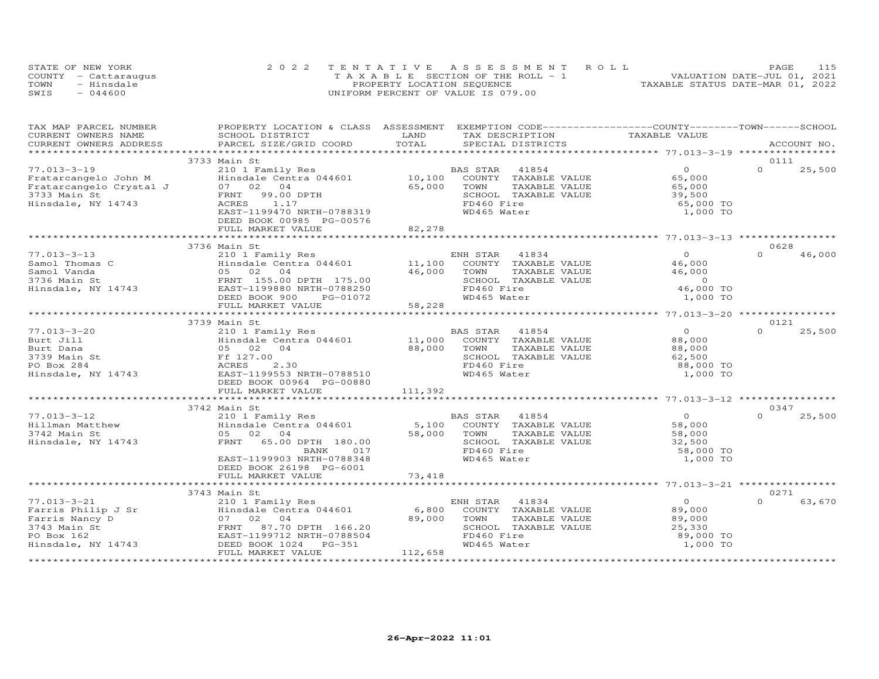|      | STATE OF NEW YORK    | 2022 TENTATIVE ASSESSMENT ROLL        | PAGE                             |
|------|----------------------|---------------------------------------|----------------------------------|
|      | COUNTY - Cattaraugus | T A X A B L E SECTION OF THE ROLL - 1 | VALUATION DATE-JUL 01, 2021      |
| TOWN | - Hinsdale           | PROPERTY LOCATION SEQUENCE            | TAXABLE STATUS DATE-MAR 01, 2022 |
| SWIS | $-044600$            | UNIFORM PERCENT OF VALUE IS 079.00    |                                  |

| TAX MAP PARCEL NUMBER                                                                                  | PROPERTY LOCATION & CLASS ASSESSMENT EXEMPTION CODE----------------COUNTY-------TOWN------SCHOOL                                                                                                                                                                  |         |                                    |                       |                    |
|--------------------------------------------------------------------------------------------------------|-------------------------------------------------------------------------------------------------------------------------------------------------------------------------------------------------------------------------------------------------------------------|---------|------------------------------------|-----------------------|--------------------|
| CURRENT OWNERS NAME                                                                                    | SCHOOL DISTRICT                                                                                                                                                                                                                                                   | LAND    | TAX DESCRIPTION TAXABLE VALUE      |                       |                    |
| CURRENT OWNERS ADDRESS                                                                                 | PARCEL SIZE/GRID COORD                                                                                                                                                                                                                                            | TOTAL   | SPECIAL DISTRICTS                  |                       | ACCOUNT NO.        |
|                                                                                                        |                                                                                                                                                                                                                                                                   |         |                                    |                       |                    |
|                                                                                                        | 3733 Main St                                                                                                                                                                                                                                                      |         |                                    | $\Omega$              | 0111<br>$\Omega$   |
|                                                                                                        | Eratarcangelo John M (210 1 Family Res (210 1 Family Res (210 1 Family Res (210 1 Family Res (210 1 Family Res (210 1 Family Res (210 1 Family Res (210 1 Family Res (210 1 Family Res (210 1 $\begin{array}{r} 210 & 1 \text{ Family Res} \\ \text{Find } 0.7 \$ |         | BAS STAR 41854                     |                       | 25,500             |
|                                                                                                        |                                                                                                                                                                                                                                                                   |         | COUNTY TAXABLE VALUE               | 65,000                |                    |
|                                                                                                        |                                                                                                                                                                                                                                                                   |         | TOWN<br>TAXABLE VALUE              | 65,000                |                    |
|                                                                                                        |                                                                                                                                                                                                                                                                   |         | SCHOOL TAXABLE VALUE<br>FD460 Fire | 39,500<br>65,000 TO   |                    |
|                                                                                                        | EAST-1199470 NRTH-0788319                                                                                                                                                                                                                                         |         | WD465 Water                        | 1,000 TO              |                    |
|                                                                                                        | DEED BOOK 00985 PG-00576                                                                                                                                                                                                                                          |         |                                    |                       |                    |
|                                                                                                        | FULL MARKET VALUE                                                                                                                                                                                                                                                 | 82,278  |                                    |                       |                    |
|                                                                                                        |                                                                                                                                                                                                                                                                   |         |                                    |                       |                    |
|                                                                                                        | 3736 Main St                                                                                                                                                                                                                                                      |         |                                    |                       | 0628               |
| $77.013 - 3 - 13$                                                                                      | 210 1 Family Res<br>Hinsdale Centra 044601 11,100 COUNTY TAXABLE VALUE                                                                                                                                                                                            |         |                                    | $\overline{O}$        | $\cap$<br>46,000   |
| Samol Thomas C                                                                                         |                                                                                                                                                                                                                                                                   |         |                                    | 46,000                |                    |
|                                                                                                        | 05 02 04                                                                                                                                                                                                                                                          | 46,000  | TAXABLE VALUE<br>TOWN              | 46,000                |                    |
|                                                                                                        | FRNT 155.00 DPTH 175.00                                                                                                                                                                                                                                           |         | SCHOOL TAXABLE VALUE               | $\overline{0}$        |                    |
| Samol Inomas C<br>Samol Vanda<br>3736 Main St<br>Hinsdale, NY 14743                                    | EAST-1199880 NRTH-0788250                                                                                                                                                                                                                                         |         | FD460 Fire                         | 46,000 TO             |                    |
|                                                                                                        | DEED BOOK 900<br>PG-01072                                                                                                                                                                                                                                         |         | WD465 Water                        | 1,000 TO              |                    |
|                                                                                                        |                                                                                                                                                                                                                                                                   |         |                                    |                       |                    |
|                                                                                                        |                                                                                                                                                                                                                                                                   |         |                                    |                       |                    |
|                                                                                                        | 3739 Main St                                                                                                                                                                                                                                                      |         |                                    |                       | 0121               |
| $77.013 - 3 - 20$                                                                                      | 210 1 Family Res                                                                                                                                                                                                                                                  |         | BAS STAR 41854                     | $\Omega$              | 25,500<br>$\cap$   |
| Burt Jill                                                                                              |                                                                                                                                                                                                                                                                   |         | COUNTY TAXABLE VALUE               | 88,000                |                    |
| Burt Dana                                                                                              | 110 1 Family Res<br>Hinsdale Centra 044601 11,000<br>05 02 04 88,000                                                                                                                                                                                              |         | TOWN<br>TAXABLE VALUE              | 88,000                |                    |
|                                                                                                        |                                                                                                                                                                                                                                                                   |         | SCHOOL TAXABLE VALUE               | 62,500                |                    |
|                                                                                                        | 2.30                                                                                                                                                                                                                                                              |         | FD460 Fire                         | 88,000 TO             |                    |
| 3739 Main St<br>PO Box 284 MCRES<br>Hinsdale, NY 14743 EAST-11995<br>DEED BOOK                         | EAST-1199553 NRTH-0788510                                                                                                                                                                                                                                         |         | WD465 Water                        | 1,000 TO              |                    |
|                                                                                                        | DEED BOOK 00964 PG-00880                                                                                                                                                                                                                                          |         |                                    |                       |                    |
|                                                                                                        | FULL MARKET VALUE                                                                                                                                                                                                                                                 | 111,392 |                                    |                       |                    |
|                                                                                                        |                                                                                                                                                                                                                                                                   |         |                                    |                       |                    |
|                                                                                                        | 3742 Main St                                                                                                                                                                                                                                                      |         |                                    |                       | 0347               |
| $77.013 - 3 - 12$                                                                                      | 210 1 Family Res BP<br>Hinsdale Centra 044601 5,100                                                                                                                                                                                                               |         | BAS STAR 41854                     | $\overline{0}$        | $\Omega$<br>25,500 |
|                                                                                                        |                                                                                                                                                                                                                                                                   |         | COUNTY TAXABLE VALUE               | 58,000                |                    |
| Hillman Matthew<br>3742 Main St                                                                        | 05 02 04                                                                                                                                                                                                                                                          | 58,000  | TAXABLE VALUE<br>TOWN              | 58,000                |                    |
| Hinsdale, NY 14743                                                                                     | FRNT 65.00 DPTH 180.00                                                                                                                                                                                                                                            |         | SCHOOL TAXABLE VALUE               | 32,500                |                    |
|                                                                                                        | 017<br>BANK                                                                                                                                                                                                                                                       |         | FD460 Fire                         | 58,000 TO             |                    |
|                                                                                                        | EAST-1199903 NRTH-0788348                                                                                                                                                                                                                                         |         | WD465 Water                        | 1,000 TO              |                    |
|                                                                                                        | DEED BOOK 26198 PG-6001                                                                                                                                                                                                                                           |         |                                    |                       |                    |
|                                                                                                        | FULL MARKET VALUE                                                                                                                                                                                                                                                 | 73,418  |                                    |                       |                    |
|                                                                                                        |                                                                                                                                                                                                                                                                   |         |                                    |                       |                    |
|                                                                                                        | 3743 Main St<br>210 1 Family Res                                                                                                                                                                                                                                  |         |                                    |                       | 0271               |
| $77.013 - 3 - 21$<br>77.013-3-21<br>Farris Philip J Sr<br>Farris Nancy D<br>3743 Main St<br>PO Box 162 |                                                                                                                                                                                                                                                                   | 6,800   | ENH STAR 41834                     | $\bigcirc$            | $\Omega$<br>63,670 |
|                                                                                                        | Hinsdale Centra 044601                                                                                                                                                                                                                                            |         | COUNTY TAXABLE VALUE               | 89,000                |                    |
|                                                                                                        | 07 02 04                                                                                                                                                                                                                                                          | 89,000  | TOWN<br>TAXABLE VALUE              | 89,000                |                    |
|                                                                                                        | FRNT 87.70 DPTH 166.20                                                                                                                                                                                                                                            |         | SCHOOL TAXABLE VALUE               | 25,330                |                    |
| Hinsdale, NY 14743                                                                                     | EAST-1199712 NRTH-0788504                                                                                                                                                                                                                                         |         | FD460 Fire<br>WD465 Water          | 89,000 TO<br>1,000 TO |                    |
|                                                                                                        | DEED BOOK 1024    PG-351<br>FULL MARKET VALUE                                                                                                                                                                                                                     |         |                                    |                       |                    |
|                                                                                                        |                                                                                                                                                                                                                                                                   | 112,658 |                                    |                       |                    |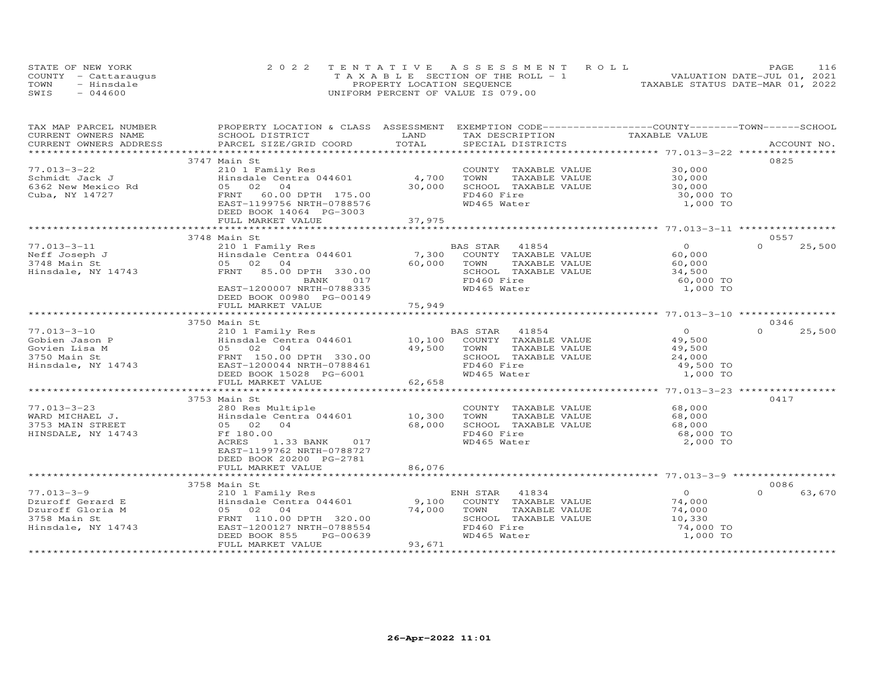| STATE OF NEW YORK    | 2022 TENTATIVE ASSESSMENT ROLL     | 116<br><b>PAGE</b>               |
|----------------------|------------------------------------|----------------------------------|
| COUNTY - Cattaraugus | TAXABLE SECTION OF THE ROLL - 1    | VALUATION DATE-JUL 01, 2021      |
| TOWN<br>- Hinsdale   | PROPERTY LOCATION SEQUENCE         | TAXABLE STATUS DATE-MAR 01, 2022 |
| $-044600$<br>SWIS    | UNIFORM PERCENT OF VALUE IS 079.00 |                                  |

| TAX MAP PARCEL NUMBER<br>CURRENT OWNERS NAME                                                                                                                                                                                   | PROPERTY LOCATION & CLASS ASSESSMENT EXEMPTION CODE----------------COUNTY-------TOWN------SCHOOL<br>SCHOOL DISTRICT | LAND   | TAX DESCRIPTION            | TAXABLE VALUE  |                    |
|--------------------------------------------------------------------------------------------------------------------------------------------------------------------------------------------------------------------------------|---------------------------------------------------------------------------------------------------------------------|--------|----------------------------|----------------|--------------------|
|                                                                                                                                                                                                                                |                                                                                                                     |        |                            |                |                    |
| .CURRENT OWNERS ADDRESS PARCEL SIZE/GRID COORD TOTAL SPECIAL DISTRICTS ACCOUNT NO ACCOUNT NO ACCOUNT NO ARE A THE SERVER AND RESERVE THE SERVER OF THE SERVER OF THE SERVER OF THE SERVER OF THE SERVER OF THE SERVER OF THE S |                                                                                                                     |        |                            |                |                    |
|                                                                                                                                                                                                                                | 3747 Main St                                                                                                        |        |                            |                | 0825               |
| $77.013 - 3 - 22$                                                                                                                                                                                                              |                                                                                                                     |        | COUNTY TAXABLE VALUE       | 30,000         |                    |
| Schmidt Jack J                                                                                                                                                                                                                 | 210 1 Family Res<br>Hinsdale Centra 044601 4,700                                                                    |        | TOWN<br>TAXABLE VALUE      | 30,000         |                    |
| 6362 New Mexico Rd                                                                                                                                                                                                             | 05 02 04                                                                                                            | 30,000 | SCHOOL TAXABLE VALUE       | 30,000         |                    |
| Cuba, NY 14727                                                                                                                                                                                                                 | FRNT 60.00 DPTH 175.00                                                                                              |        | FD460 Fire                 | 30,000 TO      |                    |
|                                                                                                                                                                                                                                | EAST-1199756 NRTH-0788576                                                                                           |        | WD465 Water                | 1,000 TO       |                    |
|                                                                                                                                                                                                                                | DEED BOOK 14064 PG-3003                                                                                             |        |                            |                |                    |
|                                                                                                                                                                                                                                |                                                                                                                     |        |                            |                |                    |
|                                                                                                                                                                                                                                |                                                                                                                     |        |                            |                |                    |
|                                                                                                                                                                                                                                | 3748 Main St                                                                                                        |        |                            |                | 0557               |
| $77.013 - 3 - 11$                                                                                                                                                                                                              | 210 1 Family Res                                                                                                    |        | BAS STAR 41854             | $\Omega$       | 25,500<br>$\Omega$ |
|                                                                                                                                                                                                                                |                                                                                                                     |        | 7,300 COUNTY TAXABLE VALUE | 60,000         |                    |
|                                                                                                                                                                                                                                |                                                                                                                     | 60,000 | TOWN<br>TAXABLE VALUE      | 60,000         |                    |
|                                                                                                                                                                                                                                |                                                                                                                     |        | SCHOOL TAXABLE VALUE       | 34,500         |                    |
|                                                                                                                                                                                                                                | BANK<br>017                                                                                                         |        | FD460 Fire                 | 60,000 TO      |                    |
|                                                                                                                                                                                                                                | EAST-1200007 NRTH-0788335                                                                                           |        | WD465 Water                | 1,000 TO       |                    |
|                                                                                                                                                                                                                                | DEED BOOK 00980 PG-00149                                                                                            |        |                            |                |                    |
|                                                                                                                                                                                                                                | FULL MARKET VALUE                                                                                                   | 75,949 |                            |                |                    |
|                                                                                                                                                                                                                                |                                                                                                                     |        |                            |                |                    |
|                                                                                                                                                                                                                                | 3750 Main St                                                                                                        |        |                            |                | 0346               |
| $77.013 - 3 - 10$                                                                                                                                                                                                              |                                                                                                                     |        | BAS STAR<br>41854          | $\overline{O}$ | $\Omega$<br>25,500 |
| Gobien Jason P                                                                                                                                                                                                                 | 210 1 Family Res<br>Hinsdale Centra 044601 10,100                                                                   |        | COUNTY TAXABLE VALUE       | 49,500         |                    |
| Gobien Jason r<br>Govien Lisa M<br>3750 Main St<br>Hinsdale, NY 14743                                                                                                                                                          | 05 02 04                                                                                                            | 49,500 | TOWN<br>TAXABLE VALUE      | 49,500         |                    |
|                                                                                                                                                                                                                                |                                                                                                                     |        | SCHOOL TAXABLE VALUE       | 24,000         |                    |
|                                                                                                                                                                                                                                | FRNT 150.00 DPTH 330.00<br>EAST-1200044 NRTH-0788461<br>DEED BOOK 15028 PG-6001                                     |        | FD460 Fire                 | 49,500 TO      |                    |
|                                                                                                                                                                                                                                |                                                                                                                     |        | WD465 Water                | 1,000 TO       |                    |
|                                                                                                                                                                                                                                | FULL MARKET VALUE                                                                                                   | 62,658 |                            |                |                    |
|                                                                                                                                                                                                                                |                                                                                                                     |        |                            |                |                    |
|                                                                                                                                                                                                                                | 3753 Main St                                                                                                        |        |                            |                | 0417               |
| $77.013 - 3 - 23$                                                                                                                                                                                                              | 280 Res Multiple                                                                                                    |        | COUNTY TAXABLE VALUE       | 68,000         |                    |
|                                                                                                                                                                                                                                | Hinsdale Centra 044601                                                                                              | 10,300 | TAXABLE VALUE<br>TOWN      | 68,000         |                    |
|                                                                                                                                                                                                                                |                                                                                                                     | 68,000 | SCHOOL TAXABLE VALUE       | 68,000         |                    |
| HINSDALE, NY 14743                                                                                                                                                                                                             | Ff 180.00                                                                                                           |        | FD460 Fire                 | 68,000 TO      |                    |
|                                                                                                                                                                                                                                | ACRES<br>1.33 BANK<br>017                                                                                           |        | WD465 Water                | 2,000 TO       |                    |
|                                                                                                                                                                                                                                | EAST-1199762 NRTH-0788727                                                                                           |        |                            |                |                    |
|                                                                                                                                                                                                                                | DEED BOOK 20200 PG-2781                                                                                             |        |                            |                |                    |
|                                                                                                                                                                                                                                | FULL MARKET VALUE                                                                                                   | 86,076 |                            |                |                    |
|                                                                                                                                                                                                                                |                                                                                                                     |        |                            |                |                    |
|                                                                                                                                                                                                                                | 3758 Main St                                                                                                        |        |                            |                | 0086               |
| $77.013 - 3 - 9$                                                                                                                                                                                                               |                                                                                                                     |        | 41834<br>ENH STAR          | $\overline{0}$ | $\Omega$<br>63,670 |
|                                                                                                                                                                                                                                |                                                                                                                     |        | COUNTY TAXABLE VALUE       | 74,000         |                    |
| Dzuroff Gerard E<br>Dzuroff Gloria M<br>3758 Main St<br>Hinsdale, NY 14743                                                                                                                                                     | Main St<br>210 1 Family Res<br>Hinsdale Centra 044601 9,100<br>74.000<br>05 02 04                                   | 74,000 | TOWN<br>TAXABLE VALUE      | 74,000         |                    |
|                                                                                                                                                                                                                                | FRNT 110.00 DPTH 320.00                                                                                             |        | SCHOOL TAXABLE VALUE       | 10,330         |                    |
|                                                                                                                                                                                                                                | EAST-1200127 NRTH-0788554                                                                                           |        | FD460 Fire                 | 74,000 TO      |                    |
|                                                                                                                                                                                                                                | DEED BOOK 855<br>PG-00639                                                                                           |        | WD465 Water                | 1,000 TO       |                    |
|                                                                                                                                                                                                                                | FULL MARKET VALUE                                                                                                   | 93,671 |                            |                |                    |
|                                                                                                                                                                                                                                |                                                                                                                     |        |                            |                |                    |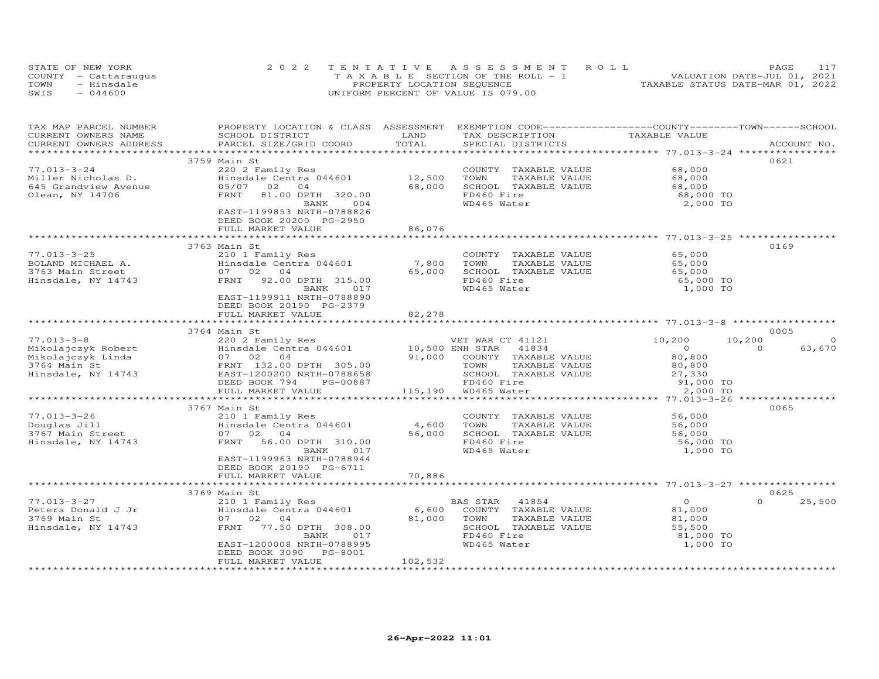| STATE OF NEW YORK    | 2022 TENTATIVE ASSESSMENT ROLL        | 117<br><b>PAGE</b>               |
|----------------------|---------------------------------------|----------------------------------|
| COUNTY - Cattaraugus | T A X A B L E SECTION OF THE ROLL - 1 | VALUATION DATE-JUL 01, 2021      |
| TOWN<br>- Hinsdale   | PROPERTY LOCATION SEQUENCE            | TAXABLE STATUS DATE-MAR 01, 2022 |
| $-044600$<br>SWIS    | UNIFORM PERCENT OF VALUE IS 079.00    |                                  |

| TAX MAP PARCEL NUMBER                                                                                                                                    | PROPERTY LOCATION & CLASS ASSESSMENT                             |                           | EXEMPTION CODE-----------------COUNTY-------TOWN------SCHOOL      |                                      |                    |
|----------------------------------------------------------------------------------------------------------------------------------------------------------|------------------------------------------------------------------|---------------------------|-------------------------------------------------------------------|--------------------------------------|--------------------|
| CURRENT OWNERS NAME                                                                                                                                      | SCHOOL DISTRICT                                                  | LAND                      | TAX DESCRIPTION                                                   | TAXABLE VALUE                        |                    |
| CURRENT OWNERS ADDRESS                                                                                                                                   | PARCEL SIZE/GRID COORD                                           | TOTAL                     | SPECIAL DISTRICTS                                                 |                                      | ACCOUNT NO.        |
|                                                                                                                                                          |                                                                  |                           |                                                                   |                                      |                    |
|                                                                                                                                                          | 3759 Main St                                                     |                           |                                                                   |                                      | 0621               |
| $77.013 - 3 - 24$                                                                                                                                        | 220 2 Family Res                                                 |                           | COUNTY TAXABLE VALUE                                              | 68,000                               |                    |
| Miller Nicholas D.                                                                                                                                       | Hinsdale Centra 044601                                           | 12,500                    | TOWN<br>TAXABLE VALUE                                             | 68,000                               |                    |
| 645 Grandview Avenue                                                                                                                                     | 05/07 02 04                                                      | 68,000                    | SCHOOL TAXABLE VALUE                                              | 68,000                               |                    |
| Olean, NY 14706                                                                                                                                          | FRNT<br>81.00 DPTH 320.00                                        |                           | FD460 Fire                                                        | 68,000 TO                            |                    |
|                                                                                                                                                          | BANK<br>004                                                      |                           | WD465 Water                                                       | 2,000 TO                             |                    |
|                                                                                                                                                          | EAST-1199853 NRTH-0788826                                        |                           |                                                                   |                                      |                    |
|                                                                                                                                                          | DEED BOOK 20200 PG-2950                                          |                           |                                                                   |                                      |                    |
|                                                                                                                                                          | FULL MARKET VALUE                                                | 86,076                    |                                                                   |                                      |                    |
|                                                                                                                                                          |                                                                  | * * * * * * * * * * * * * |                                                                   |                                      |                    |
|                                                                                                                                                          | 3763 Main St                                                     |                           |                                                                   |                                      | 0169               |
| $77.013 - 3 - 25$                                                                                                                                        | 210 1 Family Res                                                 |                           | COUNTY TAXABLE VALUE                                              | 65,000                               |                    |
| BOLAND MICHAEL A.                                                                                                                                        | Hinsdale Centra 044601                                           | 7,800                     | TOWN<br>TAXABLE VALUE                                             | 65,000                               |                    |
| 3763 Main Street                                                                                                                                         | 07 02 04                                                         | 65,000                    | SCHOOL TAXABLE VALUE                                              | 65,000                               |                    |
| Hinsdale, NY 14743                                                                                                                                       | FRNT 92.00 DPTH 315.00                                           |                           | FD460 Fire                                                        | 65,000 TO                            |                    |
|                                                                                                                                                          | BANK<br>017                                                      |                           | WD465 Water                                                       | 1,000 TO                             |                    |
|                                                                                                                                                          | EAST-1199911 NRTH-0788890                                        |                           |                                                                   |                                      |                    |
|                                                                                                                                                          | DEED BOOK 20190 PG-2379                                          |                           |                                                                   |                                      |                    |
|                                                                                                                                                          | FULL MARKET VALUE                                                | 82,278                    |                                                                   |                                      |                    |
|                                                                                                                                                          | *****************************                                    | * * * * * * * * * * * * * | ************************************* 77.013-3-8 **************** |                                      |                    |
|                                                                                                                                                          | 3764 Main St                                                     |                           |                                                                   |                                      | 0005               |
| $77.013 - 3 - 8$                                                                                                                                         | 220 2 Family Res<br>Hinsdale Centra 044601 10,500 ENH STAR 41834 |                           | VET WAR CT 41121                                                  | 10,200                               | 10,200<br>$\Omega$ |
| Mikolajczyk Robert († 1818)<br>Mikolajczyk Linda († 1870)<br>2764 Main St († 1818)<br>2764 Minsdale, NY 14743 († 1885–1882)<br>288T–1200200 NRTH-0788658 |                                                                  |                           |                                                                   | $\overline{O}$                       | 63,670<br>$\Omega$ |
|                                                                                                                                                          |                                                                  | 91,000                    | COUNTY TAXABLE VALUE                                              | 80,800                               |                    |
|                                                                                                                                                          |                                                                  |                           | TAXABLE VALUE<br>TOWN                                             | 80,800                               |                    |
| Hinsdale, NY 14743                                                                                                                                       | EAST-1200200 NRTH-0788658                                        |                           | SCHOOL TAXABLE VALUE                                              | 27,330                               |                    |
|                                                                                                                                                          | DEED BOOK 794<br>PG-00887                                        |                           | FD460 Fire                                                        | 91,000 TO                            |                    |
|                                                                                                                                                          | FULL MARKET VALUE<br>***************************                 | 115,190                   | WD465 Water                                                       | 2,000 TO                             |                    |
|                                                                                                                                                          |                                                                  |                           |                                                                   | ************************ 77.013-3-26 | 0065               |
| $77.013 - 3 - 26$                                                                                                                                        | 3767 Main St<br>210 1 Family Res                                 |                           | COUNTY TAXABLE VALUE                                              | 56,000                               |                    |
| Douglas Jill                                                                                                                                             | Hinsdale Centra 044601                                           | 4,600                     | TAXABLE VALUE<br>TOWN                                             | 56,000                               |                    |
| 3767 Main Street                                                                                                                                         | 07 02 04                                                         | 56,000                    | SCHOOL TAXABLE VALUE                                              | 56,000                               |                    |
| Hinsdale, NY 14743                                                                                                                                       | FRNT 56.00 DPTH 310.00                                           |                           | FD460 Fire                                                        | 56,000 TO                            |                    |
|                                                                                                                                                          | BANK<br>017                                                      |                           | WD465 Water                                                       | 1,000 TO                             |                    |
|                                                                                                                                                          | EAST-1199963 NRTH-0788944                                        |                           |                                                                   |                                      |                    |
|                                                                                                                                                          | DEED BOOK 20190 PG-6711                                          |                           |                                                                   |                                      |                    |
|                                                                                                                                                          | FULL MARKET VALUE                                                | 70,886                    |                                                                   |                                      |                    |
|                                                                                                                                                          |                                                                  |                           |                                                                   |                                      |                    |
|                                                                                                                                                          | 3769 Main St                                                     |                           |                                                                   |                                      | 0625               |
| $77.013 - 3 - 27$                                                                                                                                        | 210 1 Family Res                                                 |                           | BAS STAR<br>41854                                                 | $\overline{O}$                       | $\Omega$<br>25,500 |
| Peters Donald J Jr                                                                                                                                       | Hinsdale Centra 044601                                           | 6,600                     | COUNTY TAXABLE VALUE                                              | 81,000                               |                    |
| 3769 Main St                                                                                                                                             | 07 02 04                                                         | 81,000                    | TOWN<br>TAXABLE VALUE                                             | 81,000                               |                    |
| Hinsdale, NY 14743                                                                                                                                       | FRNT 77.50 DPTH 308.00                                           |                           | SCHOOL TAXABLE VALUE                                              | 55,500                               |                    |
|                                                                                                                                                          | BANK<br>017                                                      |                           | FD460 Fire                                                        | 81,000 TO                            |                    |
|                                                                                                                                                          | EAST-1200008 NRTH-0788995                                        |                           | WD465 Water                                                       | 1,000 TO                             |                    |
|                                                                                                                                                          | DEED BOOK 3090 PG-8001                                           |                           |                                                                   |                                      |                    |
|                                                                                                                                                          | FULL MARKET VALUE                                                | 102,532                   |                                                                   |                                      |                    |
|                                                                                                                                                          |                                                                  |                           |                                                                   |                                      |                    |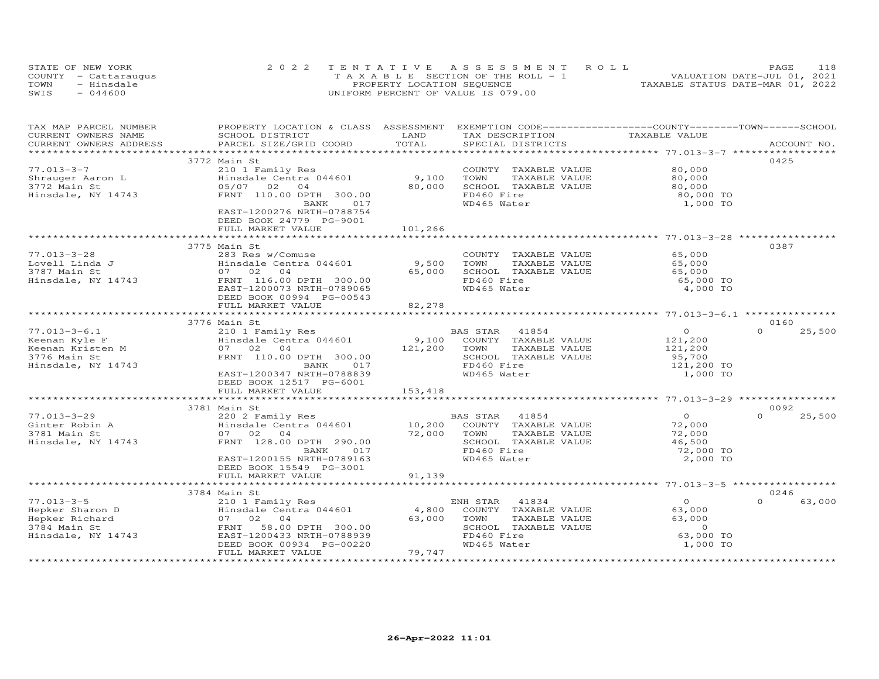| STATE OF NEW YORK    | 2022 TENTATIVE ASSESSMENT ROLL        | 118<br>PAGE.                     |
|----------------------|---------------------------------------|----------------------------------|
| COUNTY - Cattaraugus | T A X A B L E SECTION OF THE ROLL - 1 | VALUATION DATE-JUL 01, 2021      |
| TOWN<br>- Hinsdale   | PROPERTY LOCATION SEQUENCE            | TAXABLE STATUS DATE-MAR 01, 2022 |
| $-044600$<br>SWIS    | UNIFORM PERCENT OF VALUE IS 079.00    |                                  |

| TOTAL<br>CURRENT OWNERS ADDRESS<br>PARCEL SIZE/GRID COORD<br>SPECIAL DISTRICTS<br>ACCOUNT NO.<br>0425<br>3772 Main St<br>$77.013 - 3 - 7$<br>210 1 Family Res<br>COUNTY TAXABLE VALUE<br>80,000<br>Hinsdale Centra 044601<br>9,100<br>TOWN<br>TAXABLE VALUE<br>80,000<br>Shrauger Aaron L<br>80,000<br>3772 Main St<br>05/07 02 04<br>SCHOOL TAXABLE VALUE<br>80,000<br>FRNT 110.00 DPTH 300.00<br>FD460 Fire<br>Hinsdale, NY 14743<br>80,000 TO<br>WD465 Water<br>BANK<br>017<br>1,000 TO<br>EAST-1200276 NRTH-0788754<br>DEED BOOK 24779 PG-9001<br>101,266<br>FULL MARKET VALUE<br>3775 Main St<br>0387<br>$77.013 - 3 - 28$<br>283 Res w/Comuse<br>COUNTY TAXABLE VALUE<br>65,000<br>Hinsdale Centra 044601<br>9,500<br>Lovell Linda J<br>TOWN<br>TAXABLE VALUE<br>65,000<br>3787 Main St<br>SCHOOL TAXABLE VALUE<br>07 02<br>04<br>65,000<br>65,000<br>Hinsdale, NY 14743<br>FRNT 116.00 DPTH 300.00<br>FD460 Fire<br>65,000 TO<br>EAST-1200073 NRTH-0789065<br>WD465 Water<br>4,000 TO<br>DEED BOOK 00994 PG-00543<br>82,278<br>FULL MARKET VALUE<br>3776 Main St<br>0160<br>$77.013 - 3 - 6.1$<br>$\overline{O}$<br>$\Omega$<br>25,500<br>210 1 Family Res<br>BAS STAR<br>41854<br>Hinsdale Centra 044601<br>9,100<br>COUNTY TAXABLE VALUE<br>Keenan Kyle F<br>121,200<br>121,200<br>Keenan Kristen M<br>07 02 04<br>TOWN<br>TAXABLE VALUE<br>121,200<br>FRNT 110.00 DPTH 300.00<br>3776 Main St<br>SCHOOL TAXABLE VALUE<br>95,700<br>FD460 Fire<br>Hinsdale, NY 14743<br>121,200 TO<br>BANK<br>017<br>WD465 Water<br>1,000 TO<br>EAST-1200347 NRTH-0788839<br>DEED BOOK 12517 PG-6001<br>FULL MARKET VALUE<br>153,418<br>0092<br>3781 Main St<br>$\overline{O}$<br>$77.013 - 3 - 29$<br>220 2 Family Res<br>41854<br>$\Omega$<br>25,500<br>BAS STAR<br>Hinsdale Centra 044601<br>10,200<br>Ginter Robin A<br>COUNTY TAXABLE VALUE<br>72,000<br>3781 Main St<br>07 02 04<br>72,000<br>TAXABLE VALUE<br>TOWN<br>72,000<br>FRNT 128.00 DPTH 290.00<br>SCHOOL TAXABLE VALUE<br>Hinsdale, NY 14743<br>46,500<br>FD460 Fire<br>72,000 TO<br>BANK<br>017<br>EAST-1200155 NRTH-0789163<br>WD465 Water<br>2,000 TO<br>DEED BOOK 15549 PG-3001 | TAX MAP PARCEL NUMBER<br>CURRENT OWNERS NAME | PROPERTY LOCATION & CLASS ASSESSMENT EXEMPTION CODE----------------COUNTY-------TOWN------SCHOOL<br>SCHOOL DISTRICT | LAND   | TAX DESCRIPTION | TAXABLE VALUE |  |
|----------------------------------------------------------------------------------------------------------------------------------------------------------------------------------------------------------------------------------------------------------------------------------------------------------------------------------------------------------------------------------------------------------------------------------------------------------------------------------------------------------------------------------------------------------------------------------------------------------------------------------------------------------------------------------------------------------------------------------------------------------------------------------------------------------------------------------------------------------------------------------------------------------------------------------------------------------------------------------------------------------------------------------------------------------------------------------------------------------------------------------------------------------------------------------------------------------------------------------------------------------------------------------------------------------------------------------------------------------------------------------------------------------------------------------------------------------------------------------------------------------------------------------------------------------------------------------------------------------------------------------------------------------------------------------------------------------------------------------------------------------------------------------------------------------------------------------------------------------------------------------------------------------------------------------------------------------------------------------------------------------------------------------------------------------------------------------------------------------------------------------------------|----------------------------------------------|---------------------------------------------------------------------------------------------------------------------|--------|-----------------|---------------|--|
|                                                                                                                                                                                                                                                                                                                                                                                                                                                                                                                                                                                                                                                                                                                                                                                                                                                                                                                                                                                                                                                                                                                                                                                                                                                                                                                                                                                                                                                                                                                                                                                                                                                                                                                                                                                                                                                                                                                                                                                                                                                                                                                                              |                                              |                                                                                                                     |        |                 |               |  |
|                                                                                                                                                                                                                                                                                                                                                                                                                                                                                                                                                                                                                                                                                                                                                                                                                                                                                                                                                                                                                                                                                                                                                                                                                                                                                                                                                                                                                                                                                                                                                                                                                                                                                                                                                                                                                                                                                                                                                                                                                                                                                                                                              |                                              |                                                                                                                     |        |                 |               |  |
|                                                                                                                                                                                                                                                                                                                                                                                                                                                                                                                                                                                                                                                                                                                                                                                                                                                                                                                                                                                                                                                                                                                                                                                                                                                                                                                                                                                                                                                                                                                                                                                                                                                                                                                                                                                                                                                                                                                                                                                                                                                                                                                                              |                                              |                                                                                                                     |        |                 |               |  |
|                                                                                                                                                                                                                                                                                                                                                                                                                                                                                                                                                                                                                                                                                                                                                                                                                                                                                                                                                                                                                                                                                                                                                                                                                                                                                                                                                                                                                                                                                                                                                                                                                                                                                                                                                                                                                                                                                                                                                                                                                                                                                                                                              |                                              |                                                                                                                     |        |                 |               |  |
|                                                                                                                                                                                                                                                                                                                                                                                                                                                                                                                                                                                                                                                                                                                                                                                                                                                                                                                                                                                                                                                                                                                                                                                                                                                                                                                                                                                                                                                                                                                                                                                                                                                                                                                                                                                                                                                                                                                                                                                                                                                                                                                                              |                                              |                                                                                                                     |        |                 |               |  |
|                                                                                                                                                                                                                                                                                                                                                                                                                                                                                                                                                                                                                                                                                                                                                                                                                                                                                                                                                                                                                                                                                                                                                                                                                                                                                                                                                                                                                                                                                                                                                                                                                                                                                                                                                                                                                                                                                                                                                                                                                                                                                                                                              |                                              |                                                                                                                     |        |                 |               |  |
|                                                                                                                                                                                                                                                                                                                                                                                                                                                                                                                                                                                                                                                                                                                                                                                                                                                                                                                                                                                                                                                                                                                                                                                                                                                                                                                                                                                                                                                                                                                                                                                                                                                                                                                                                                                                                                                                                                                                                                                                                                                                                                                                              |                                              |                                                                                                                     |        |                 |               |  |
|                                                                                                                                                                                                                                                                                                                                                                                                                                                                                                                                                                                                                                                                                                                                                                                                                                                                                                                                                                                                                                                                                                                                                                                                                                                                                                                                                                                                                                                                                                                                                                                                                                                                                                                                                                                                                                                                                                                                                                                                                                                                                                                                              |                                              |                                                                                                                     |        |                 |               |  |
|                                                                                                                                                                                                                                                                                                                                                                                                                                                                                                                                                                                                                                                                                                                                                                                                                                                                                                                                                                                                                                                                                                                                                                                                                                                                                                                                                                                                                                                                                                                                                                                                                                                                                                                                                                                                                                                                                                                                                                                                                                                                                                                                              |                                              |                                                                                                                     |        |                 |               |  |
|                                                                                                                                                                                                                                                                                                                                                                                                                                                                                                                                                                                                                                                                                                                                                                                                                                                                                                                                                                                                                                                                                                                                                                                                                                                                                                                                                                                                                                                                                                                                                                                                                                                                                                                                                                                                                                                                                                                                                                                                                                                                                                                                              |                                              |                                                                                                                     |        |                 |               |  |
|                                                                                                                                                                                                                                                                                                                                                                                                                                                                                                                                                                                                                                                                                                                                                                                                                                                                                                                                                                                                                                                                                                                                                                                                                                                                                                                                                                                                                                                                                                                                                                                                                                                                                                                                                                                                                                                                                                                                                                                                                                                                                                                                              |                                              |                                                                                                                     |        |                 |               |  |
|                                                                                                                                                                                                                                                                                                                                                                                                                                                                                                                                                                                                                                                                                                                                                                                                                                                                                                                                                                                                                                                                                                                                                                                                                                                                                                                                                                                                                                                                                                                                                                                                                                                                                                                                                                                                                                                                                                                                                                                                                                                                                                                                              |                                              |                                                                                                                     |        |                 |               |  |
|                                                                                                                                                                                                                                                                                                                                                                                                                                                                                                                                                                                                                                                                                                                                                                                                                                                                                                                                                                                                                                                                                                                                                                                                                                                                                                                                                                                                                                                                                                                                                                                                                                                                                                                                                                                                                                                                                                                                                                                                                                                                                                                                              |                                              |                                                                                                                     |        |                 |               |  |
|                                                                                                                                                                                                                                                                                                                                                                                                                                                                                                                                                                                                                                                                                                                                                                                                                                                                                                                                                                                                                                                                                                                                                                                                                                                                                                                                                                                                                                                                                                                                                                                                                                                                                                                                                                                                                                                                                                                                                                                                                                                                                                                                              |                                              |                                                                                                                     |        |                 |               |  |
|                                                                                                                                                                                                                                                                                                                                                                                                                                                                                                                                                                                                                                                                                                                                                                                                                                                                                                                                                                                                                                                                                                                                                                                                                                                                                                                                                                                                                                                                                                                                                                                                                                                                                                                                                                                                                                                                                                                                                                                                                                                                                                                                              |                                              |                                                                                                                     |        |                 |               |  |
|                                                                                                                                                                                                                                                                                                                                                                                                                                                                                                                                                                                                                                                                                                                                                                                                                                                                                                                                                                                                                                                                                                                                                                                                                                                                                                                                                                                                                                                                                                                                                                                                                                                                                                                                                                                                                                                                                                                                                                                                                                                                                                                                              |                                              |                                                                                                                     |        |                 |               |  |
|                                                                                                                                                                                                                                                                                                                                                                                                                                                                                                                                                                                                                                                                                                                                                                                                                                                                                                                                                                                                                                                                                                                                                                                                                                                                                                                                                                                                                                                                                                                                                                                                                                                                                                                                                                                                                                                                                                                                                                                                                                                                                                                                              |                                              |                                                                                                                     |        |                 |               |  |
|                                                                                                                                                                                                                                                                                                                                                                                                                                                                                                                                                                                                                                                                                                                                                                                                                                                                                                                                                                                                                                                                                                                                                                                                                                                                                                                                                                                                                                                                                                                                                                                                                                                                                                                                                                                                                                                                                                                                                                                                                                                                                                                                              |                                              |                                                                                                                     |        |                 |               |  |
|                                                                                                                                                                                                                                                                                                                                                                                                                                                                                                                                                                                                                                                                                                                                                                                                                                                                                                                                                                                                                                                                                                                                                                                                                                                                                                                                                                                                                                                                                                                                                                                                                                                                                                                                                                                                                                                                                                                                                                                                                                                                                                                                              |                                              |                                                                                                                     |        |                 |               |  |
|                                                                                                                                                                                                                                                                                                                                                                                                                                                                                                                                                                                                                                                                                                                                                                                                                                                                                                                                                                                                                                                                                                                                                                                                                                                                                                                                                                                                                                                                                                                                                                                                                                                                                                                                                                                                                                                                                                                                                                                                                                                                                                                                              |                                              |                                                                                                                     |        |                 |               |  |
|                                                                                                                                                                                                                                                                                                                                                                                                                                                                                                                                                                                                                                                                                                                                                                                                                                                                                                                                                                                                                                                                                                                                                                                                                                                                                                                                                                                                                                                                                                                                                                                                                                                                                                                                                                                                                                                                                                                                                                                                                                                                                                                                              |                                              |                                                                                                                     |        |                 |               |  |
|                                                                                                                                                                                                                                                                                                                                                                                                                                                                                                                                                                                                                                                                                                                                                                                                                                                                                                                                                                                                                                                                                                                                                                                                                                                                                                                                                                                                                                                                                                                                                                                                                                                                                                                                                                                                                                                                                                                                                                                                                                                                                                                                              |                                              |                                                                                                                     |        |                 |               |  |
|                                                                                                                                                                                                                                                                                                                                                                                                                                                                                                                                                                                                                                                                                                                                                                                                                                                                                                                                                                                                                                                                                                                                                                                                                                                                                                                                                                                                                                                                                                                                                                                                                                                                                                                                                                                                                                                                                                                                                                                                                                                                                                                                              |                                              |                                                                                                                     |        |                 |               |  |
|                                                                                                                                                                                                                                                                                                                                                                                                                                                                                                                                                                                                                                                                                                                                                                                                                                                                                                                                                                                                                                                                                                                                                                                                                                                                                                                                                                                                                                                                                                                                                                                                                                                                                                                                                                                                                                                                                                                                                                                                                                                                                                                                              |                                              |                                                                                                                     |        |                 |               |  |
|                                                                                                                                                                                                                                                                                                                                                                                                                                                                                                                                                                                                                                                                                                                                                                                                                                                                                                                                                                                                                                                                                                                                                                                                                                                                                                                                                                                                                                                                                                                                                                                                                                                                                                                                                                                                                                                                                                                                                                                                                                                                                                                                              |                                              |                                                                                                                     |        |                 |               |  |
|                                                                                                                                                                                                                                                                                                                                                                                                                                                                                                                                                                                                                                                                                                                                                                                                                                                                                                                                                                                                                                                                                                                                                                                                                                                                                                                                                                                                                                                                                                                                                                                                                                                                                                                                                                                                                                                                                                                                                                                                                                                                                                                                              |                                              |                                                                                                                     |        |                 |               |  |
|                                                                                                                                                                                                                                                                                                                                                                                                                                                                                                                                                                                                                                                                                                                                                                                                                                                                                                                                                                                                                                                                                                                                                                                                                                                                                                                                                                                                                                                                                                                                                                                                                                                                                                                                                                                                                                                                                                                                                                                                                                                                                                                                              |                                              |                                                                                                                     |        |                 |               |  |
|                                                                                                                                                                                                                                                                                                                                                                                                                                                                                                                                                                                                                                                                                                                                                                                                                                                                                                                                                                                                                                                                                                                                                                                                                                                                                                                                                                                                                                                                                                                                                                                                                                                                                                                                                                                                                                                                                                                                                                                                                                                                                                                                              |                                              |                                                                                                                     |        |                 |               |  |
|                                                                                                                                                                                                                                                                                                                                                                                                                                                                                                                                                                                                                                                                                                                                                                                                                                                                                                                                                                                                                                                                                                                                                                                                                                                                                                                                                                                                                                                                                                                                                                                                                                                                                                                                                                                                                                                                                                                                                                                                                                                                                                                                              |                                              |                                                                                                                     |        |                 |               |  |
|                                                                                                                                                                                                                                                                                                                                                                                                                                                                                                                                                                                                                                                                                                                                                                                                                                                                                                                                                                                                                                                                                                                                                                                                                                                                                                                                                                                                                                                                                                                                                                                                                                                                                                                                                                                                                                                                                                                                                                                                                                                                                                                                              |                                              |                                                                                                                     |        |                 |               |  |
|                                                                                                                                                                                                                                                                                                                                                                                                                                                                                                                                                                                                                                                                                                                                                                                                                                                                                                                                                                                                                                                                                                                                                                                                                                                                                                                                                                                                                                                                                                                                                                                                                                                                                                                                                                                                                                                                                                                                                                                                                                                                                                                                              |                                              |                                                                                                                     |        |                 |               |  |
|                                                                                                                                                                                                                                                                                                                                                                                                                                                                                                                                                                                                                                                                                                                                                                                                                                                                                                                                                                                                                                                                                                                                                                                                                                                                                                                                                                                                                                                                                                                                                                                                                                                                                                                                                                                                                                                                                                                                                                                                                                                                                                                                              |                                              |                                                                                                                     |        |                 |               |  |
|                                                                                                                                                                                                                                                                                                                                                                                                                                                                                                                                                                                                                                                                                                                                                                                                                                                                                                                                                                                                                                                                                                                                                                                                                                                                                                                                                                                                                                                                                                                                                                                                                                                                                                                                                                                                                                                                                                                                                                                                                                                                                                                                              |                                              |                                                                                                                     |        |                 |               |  |
|                                                                                                                                                                                                                                                                                                                                                                                                                                                                                                                                                                                                                                                                                                                                                                                                                                                                                                                                                                                                                                                                                                                                                                                                                                                                                                                                                                                                                                                                                                                                                                                                                                                                                                                                                                                                                                                                                                                                                                                                                                                                                                                                              |                                              |                                                                                                                     |        |                 |               |  |
|                                                                                                                                                                                                                                                                                                                                                                                                                                                                                                                                                                                                                                                                                                                                                                                                                                                                                                                                                                                                                                                                                                                                                                                                                                                                                                                                                                                                                                                                                                                                                                                                                                                                                                                                                                                                                                                                                                                                                                                                                                                                                                                                              |                                              |                                                                                                                     |        |                 |               |  |
|                                                                                                                                                                                                                                                                                                                                                                                                                                                                                                                                                                                                                                                                                                                                                                                                                                                                                                                                                                                                                                                                                                                                                                                                                                                                                                                                                                                                                                                                                                                                                                                                                                                                                                                                                                                                                                                                                                                                                                                                                                                                                                                                              |                                              |                                                                                                                     |        |                 |               |  |
|                                                                                                                                                                                                                                                                                                                                                                                                                                                                                                                                                                                                                                                                                                                                                                                                                                                                                                                                                                                                                                                                                                                                                                                                                                                                                                                                                                                                                                                                                                                                                                                                                                                                                                                                                                                                                                                                                                                                                                                                                                                                                                                                              |                                              |                                                                                                                     |        |                 |               |  |
|                                                                                                                                                                                                                                                                                                                                                                                                                                                                                                                                                                                                                                                                                                                                                                                                                                                                                                                                                                                                                                                                                                                                                                                                                                                                                                                                                                                                                                                                                                                                                                                                                                                                                                                                                                                                                                                                                                                                                                                                                                                                                                                                              |                                              |                                                                                                                     |        |                 |               |  |
|                                                                                                                                                                                                                                                                                                                                                                                                                                                                                                                                                                                                                                                                                                                                                                                                                                                                                                                                                                                                                                                                                                                                                                                                                                                                                                                                                                                                                                                                                                                                                                                                                                                                                                                                                                                                                                                                                                                                                                                                                                                                                                                                              |                                              | FULL MARKET VALUE                                                                                                   | 91,139 |                 |               |  |
|                                                                                                                                                                                                                                                                                                                                                                                                                                                                                                                                                                                                                                                                                                                                                                                                                                                                                                                                                                                                                                                                                                                                                                                                                                                                                                                                                                                                                                                                                                                                                                                                                                                                                                                                                                                                                                                                                                                                                                                                                                                                                                                                              |                                              |                                                                                                                     |        |                 |               |  |
| 0246<br>3784 Main St                                                                                                                                                                                                                                                                                                                                                                                                                                                                                                                                                                                                                                                                                                                                                                                                                                                                                                                                                                                                                                                                                                                                                                                                                                                                                                                                                                                                                                                                                                                                                                                                                                                                                                                                                                                                                                                                                                                                                                                                                                                                                                                         |                                              |                                                                                                                     |        |                 |               |  |
| $77.013 - 3 - 5$<br>ENH STAR 41834<br>$\Omega$<br>$\Omega$<br>63,000<br>210 1 Family Res                                                                                                                                                                                                                                                                                                                                                                                                                                                                                                                                                                                                                                                                                                                                                                                                                                                                                                                                                                                                                                                                                                                                                                                                                                                                                                                                                                                                                                                                                                                                                                                                                                                                                                                                                                                                                                                                                                                                                                                                                                                     |                                              |                                                                                                                     |        |                 |               |  |
| Hinsdale Centra 044601<br>Hepker Sharon D<br>4,800<br>63,000<br>COUNTY TAXABLE VALUE                                                                                                                                                                                                                                                                                                                                                                                                                                                                                                                                                                                                                                                                                                                                                                                                                                                                                                                                                                                                                                                                                                                                                                                                                                                                                                                                                                                                                                                                                                                                                                                                                                                                                                                                                                                                                                                                                                                                                                                                                                                         |                                              |                                                                                                                     |        |                 |               |  |
| Hepker Richard<br>07 02 04<br>63,000<br>TAXABLE VALUE<br>63,000<br>TOWN                                                                                                                                                                                                                                                                                                                                                                                                                                                                                                                                                                                                                                                                                                                                                                                                                                                                                                                                                                                                                                                                                                                                                                                                                                                                                                                                                                                                                                                                                                                                                                                                                                                                                                                                                                                                                                                                                                                                                                                                                                                                      |                                              |                                                                                                                     |        |                 |               |  |
| 3784 Main St<br>58.00 DPTH 300.00<br>SCHOOL TAXABLE VALUE<br>$\Omega$<br>FRNT                                                                                                                                                                                                                                                                                                                                                                                                                                                                                                                                                                                                                                                                                                                                                                                                                                                                                                                                                                                                                                                                                                                                                                                                                                                                                                                                                                                                                                                                                                                                                                                                                                                                                                                                                                                                                                                                                                                                                                                                                                                                |                                              |                                                                                                                     |        |                 |               |  |
| FD460 Fire<br>63,000 TO<br>Hinsdale, NY 14743<br>EAST-1200433 NRTH-0788939                                                                                                                                                                                                                                                                                                                                                                                                                                                                                                                                                                                                                                                                                                                                                                                                                                                                                                                                                                                                                                                                                                                                                                                                                                                                                                                                                                                                                                                                                                                                                                                                                                                                                                                                                                                                                                                                                                                                                                                                                                                                   |                                              |                                                                                                                     |        |                 |               |  |
| DEED BOOK 00934 PG-00220<br>WD465 Water<br>1,000 TO                                                                                                                                                                                                                                                                                                                                                                                                                                                                                                                                                                                                                                                                                                                                                                                                                                                                                                                                                                                                                                                                                                                                                                                                                                                                                                                                                                                                                                                                                                                                                                                                                                                                                                                                                                                                                                                                                                                                                                                                                                                                                          |                                              |                                                                                                                     |        |                 |               |  |
| FULL MARKET VALUE<br>79,747                                                                                                                                                                                                                                                                                                                                                                                                                                                                                                                                                                                                                                                                                                                                                                                                                                                                                                                                                                                                                                                                                                                                                                                                                                                                                                                                                                                                                                                                                                                                                                                                                                                                                                                                                                                                                                                                                                                                                                                                                                                                                                                  |                                              |                                                                                                                     |        |                 |               |  |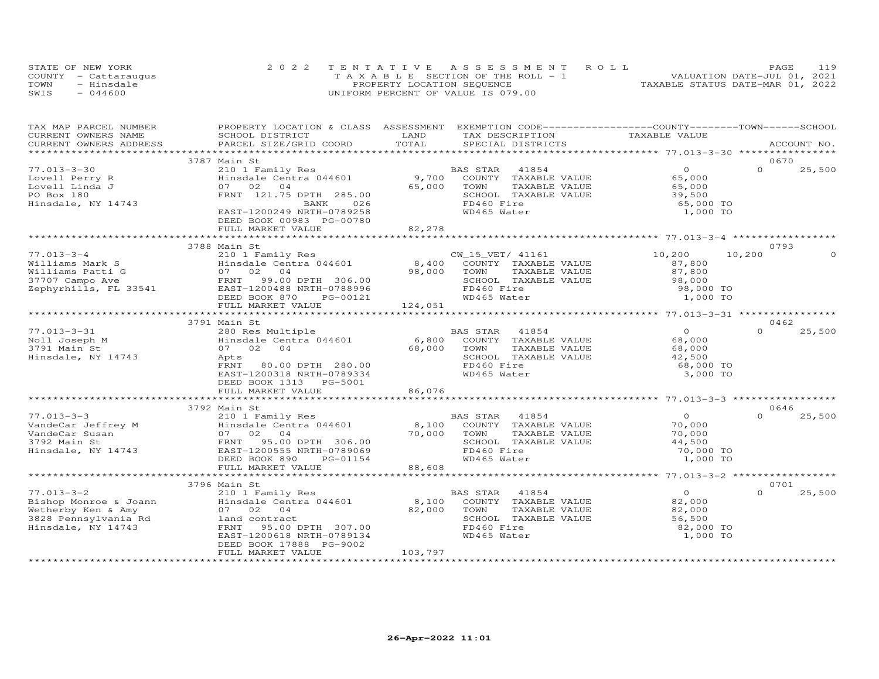| STATE OF NEW YORK    | 2022 TENTATIVE ASSESSMENT ROLL        | 119<br><b>PAGE</b>               |
|----------------------|---------------------------------------|----------------------------------|
| COUNTY - Cattaraugus | T A X A B L E SECTION OF THE ROLL - 1 | VALUATION DATE-JUL 01, 2021      |
| TOWN<br>- Hinsdale   | PROPERTY LOCATION SEQUENCE            | TAXABLE STATUS DATE-MAR 01, 2022 |
| $-044600$<br>SWIS    | UNIFORM PERCENT OF VALUE IS 079.00    |                                  |

| TAX MAP PARCEL NUMBER<br>CURRENT OWNERS NAME                                                                                                    | PROPERTY LOCATION & CLASS ASSESSMENT EXEMPTION CODE----------------COUNTY-------TOWN------SCHOOL<br>SCHOOL DISTRICT                                                                                                                                                       | LAND                                                                                | TAX DESCRIPTION                                                                                                                                             | TAXABLE VALUE                                                         |                    |  |
|-------------------------------------------------------------------------------------------------------------------------------------------------|---------------------------------------------------------------------------------------------------------------------------------------------------------------------------------------------------------------------------------------------------------------------------|-------------------------------------------------------------------------------------|-------------------------------------------------------------------------------------------------------------------------------------------------------------|-----------------------------------------------------------------------|--------------------|--|
| CURRENT OWNERS ADDRESS                                                                                                                          | PARCEL SIZE/GRID COORD TOTAL                                                                                                                                                                                                                                              |                                                                                     | SPECIAL DISTRICTS                                                                                                                                           |                                                                       | ACCOUNT NO.        |  |
|                                                                                                                                                 | 3787 Main St                                                                                                                                                                                                                                                              |                                                                                     |                                                                                                                                                             |                                                                       | 0670               |  |
| $77.013 - 3 - 30$<br>Lovell Perry R<br>Lovell Linda J<br>PO Box 180<br>Hinsdale, NY 14743                                                       | 210 1 Family Res<br>Hinsdale Centra 044601 9,700<br>07 02 04<br>FRNT 121.75 DPTH 285.00<br>BANK 026<br>EAST-1200249 NRTH-0789258<br>DEED BOOK 00983 PG-00780<br>FULL MARKET VALUE                                                                                         | 65,000<br>82,278                                                                    | BAS STAR 41854<br>AS SIAR THUSE<br>COUNTY TAXABLE VALUE<br>TOWN TAVABLE VALUE<br>TOWN<br>TAXABLE VALUE<br>SCHOOL TAXABLE VALUE<br>FD460 Fire<br>WD465 Water | $\Omega$<br>65,000<br>65,000<br>39,500<br>65,000 TO<br>1,000 TO       | $\Omega$<br>25,500 |  |
|                                                                                                                                                 |                                                                                                                                                                                                                                                                           |                                                                                     |                                                                                                                                                             |                                                                       |                    |  |
| $77.013 - 3 - 4$                                                                                                                                | 3788 Main St<br>DEED BOOK 870 PG-00121                                                                                                                                                                                                                                    |                                                                                     | CW_15_VET/ 41161 10,200<br>COUNTY<br>TOWN TAXABLE VALUE<br>SCHOOL TAXABLE VALUE                                                                             | 87,800<br>87,800<br>98,000<br>98,000 TO<br>1,000 TO                   | 0793<br>10,200     |  |
|                                                                                                                                                 | FULL MARKET VALUE                                                                                                                                                                                                                                                         | 124,051                                                                             |                                                                                                                                                             |                                                                       |                    |  |
|                                                                                                                                                 | 3791 Main St                                                                                                                                                                                                                                                              |                                                                                     |                                                                                                                                                             |                                                                       | 0462               |  |
| $77.013 - 3 - 31$<br>Noll Joseph M<br>3791 Main St<br>Hinsdale, NY 14743                                                                        | 280 Res Multiple<br>Apts<br>FRNT<br>80.00 DPTH 280.00<br>EAST-1200318 NRTH-0789334<br>DEED BOOK 1313 PG-5001                                                                                                                                                              |                                                                                     | BAS STAR 41854<br>SCHOOL TAXABLE VALUE<br>FD460 Fire<br>WD465 Water                                                                                         | $\overline{O}$<br>68,000<br>68,000<br>42,500<br>68,000 TO<br>3,000 TO | 25,500<br>$\Omega$ |  |
|                                                                                                                                                 | FULL MARKET VALUE                                                                                                                                                                                                                                                         | 86,076                                                                              |                                                                                                                                                             |                                                                       |                    |  |
|                                                                                                                                                 | 3792 Main St                                                                                                                                                                                                                                                              |                                                                                     |                                                                                                                                                             |                                                                       | 0646               |  |
| VandeCar Jeffrey Marshall (1997)<br>VandeCar Susan (1997)<br>19792 Main Strange (1997)<br>19792 Main Strange (1997)<br>Hinsdale, NY 14743 EAST- | 210 1 Family Res<br>Hinsdale Centra 044601 18,100<br>07 02 04<br>95.00 DPTH 306.00<br>EAST-1200555 NRTH-0789069<br>DEED BOOK 890<br>PG-01154                                                                                                                              | 70,000<br>$\begin{array}{c}\n\bullet \\ \bullet \\ \bullet \\ \bullet\n\end{array}$ | BAS STAR 41854<br>COUNTY TAXABLE VALUE<br>TOWN<br>TAXABLE VALUE<br>SCHOOL TAXABLE VALUE<br>FD460 Fire<br>WD465 Water                                        | $\Omega$<br>70,000<br>70,000<br>44,500<br>70,000 TO<br>1,000 TO       | $\Omega$<br>25,500 |  |
|                                                                                                                                                 | FULL MARKET VALUE                                                                                                                                                                                                                                                         |                                                                                     |                                                                                                                                                             |                                                                       |                    |  |
|                                                                                                                                                 | 3796 Main St                                                                                                                                                                                                                                                              |                                                                                     |                                                                                                                                                             |                                                                       | 0701               |  |
| $77.013 - 3 - 2$                                                                                                                                | 210 1 Family Res<br>Fishop Monroe & Joann (Einer Hinsdale Centra 044601 8,100<br>Wetherby Ken & Amy (97 02 04 82,000<br>3828 Pennsylvania Rd (ERNT 95.00 DPTH 307.00<br>Hinsdale, NY 14743 FRNT 95.00 DPTH 307.00<br>EAST-1200618 NRTH-0789134<br>DEED BOOK 17888 PG-9002 | 82,000 TOWN                                                                         | BAS STAR 41854<br>COUNTY TAXABLE VALUE<br>TAXABLE VALUE<br>SCHOOL TAXABLE VALUE<br>FD460 Fire<br>WD465 Water                                                | $\Omega$<br>82,000<br>82,000<br>56,500<br>82,000 TO<br>1,000 TO       | $\Omega$<br>25,500 |  |
|                                                                                                                                                 | FULL MARKET VALUE                                                                                                                                                                                                                                                         | 103,797                                                                             |                                                                                                                                                             |                                                                       |                    |  |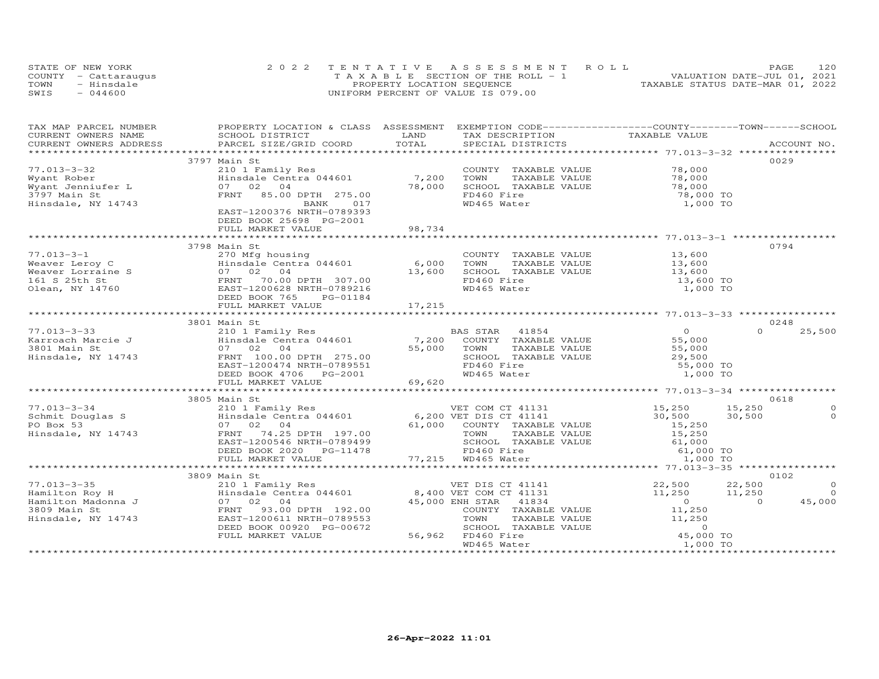|      | STATE OF NEW YORK    | 2022 TENTATIVE ASSESSMENT ROLL        |  |                                  | PAGE | 120 |
|------|----------------------|---------------------------------------|--|----------------------------------|------|-----|
|      | COUNTY - Cattaraugus | T A X A B L E SECTION OF THE ROLL - 1 |  | VALUATION DATE-JUL 01, 2021      |      |     |
| TOWN | - Hinsdale           | PROPERTY LOCATION SEQUENCE            |  | TAXABLE STATUS DATE-MAR 01, 2022 |      |     |
| SWIS | $-044600$            | UNIFORM PERCENT OF VALUE IS 079.00    |  |                                  |      |     |

| TAX MAP PARCEL NUMBER | PROPERTY LOCATION & CLASS ASSESSMENT EXEMPTION CODE------------------COUNTY--------TOWN------SCHOOL                                                                                                                                                                                                                                                                                                |                                                                                                                  |                     |
|-----------------------|----------------------------------------------------------------------------------------------------------------------------------------------------------------------------------------------------------------------------------------------------------------------------------------------------------------------------------------------------------------------------------------------------|------------------------------------------------------------------------------------------------------------------|---------------------|
|                       |                                                                                                                                                                                                                                                                                                                                                                                                    |                                                                                                                  |                     |
|                       |                                                                                                                                                                                                                                                                                                                                                                                                    |                                                                                                                  |                     |
|                       | 3797 Main St                                                                                                                                                                                                                                                                                                                                                                                       |                                                                                                                  | 0029                |
|                       | 210 1 Family Res<br>210 1 Family Res<br>210 1 Family Res<br>210 1 Family Res<br>210 1 Family Res<br>210 1 Family Res<br>210 1 Family Res<br>210 1465 Family 2002 2010<br>22 04<br>22 2023 2023 2023 2023 2024<br>22 2023 2023 2023 2024<br>22 2023 2                                                                                                                                               |                                                                                                                  |                     |
|                       |                                                                                                                                                                                                                                                                                                                                                                                                    |                                                                                                                  |                     |
|                       |                                                                                                                                                                                                                                                                                                                                                                                                    |                                                                                                                  |                     |
|                       |                                                                                                                                                                                                                                                                                                                                                                                                    |                                                                                                                  |                     |
|                       |                                                                                                                                                                                                                                                                                                                                                                                                    |                                                                                                                  |                     |
|                       | EAST-1200376 NRTH-0789393                                                                                                                                                                                                                                                                                                                                                                          |                                                                                                                  |                     |
|                       | DEED BOOK 25698 PG-2001                                                                                                                                                                                                                                                                                                                                                                            |                                                                                                                  |                     |
|                       |                                                                                                                                                                                                                                                                                                                                                                                                    |                                                                                                                  |                     |
|                       |                                                                                                                                                                                                                                                                                                                                                                                                    |                                                                                                                  |                     |
|                       |                                                                                                                                                                                                                                                                                                                                                                                                    |                                                                                                                  | 0794                |
|                       |                                                                                                                                                                                                                                                                                                                                                                                                    |                                                                                                                  |                     |
|                       |                                                                                                                                                                                                                                                                                                                                                                                                    |                                                                                                                  |                     |
|                       |                                                                                                                                                                                                                                                                                                                                                                                                    |                                                                                                                  |                     |
|                       |                                                                                                                                                                                                                                                                                                                                                                                                    |                                                                                                                  |                     |
|                       |                                                                                                                                                                                                                                                                                                                                                                                                    |                                                                                                                  |                     |
|                       |                                                                                                                                                                                                                                                                                                                                                                                                    |                                                                                                                  |                     |
|                       |                                                                                                                                                                                                                                                                                                                                                                                                    |                                                                                                                  |                     |
|                       |                                                                                                                                                                                                                                                                                                                                                                                                    |                                                                                                                  |                     |
|                       | 3801 Main St                                                                                                                                                                                                                                                                                                                                                                                       |                                                                                                                  | 0248                |
|                       |                                                                                                                                                                                                                                                                                                                                                                                                    |                                                                                                                  |                     |
|                       |                                                                                                                                                                                                                                                                                                                                                                                                    |                                                                                                                  |                     |
|                       |                                                                                                                                                                                                                                                                                                                                                                                                    |                                                                                                                  |                     |
|                       |                                                                                                                                                                                                                                                                                                                                                                                                    |                                                                                                                  |                     |
|                       |                                                                                                                                                                                                                                                                                                                                                                                                    |                                                                                                                  |                     |
|                       |                                                                                                                                                                                                                                                                                                                                                                                                    |                                                                                                                  |                     |
|                       |                                                                                                                                                                                                                                                                                                                                                                                                    |                                                                                                                  |                     |
|                       | $\begin{array}{cccccccc} 77.013-3-33 & 3801\; \text{Main St} & 210\; \text{I Family Res} & \text{BAS STAR} & 41854 & 0 & 0248 \; \text{Rarroach Marcie J} & 101\; \text{Finally Res} & 0 & 25,500 \; \text{Rarroach Marcie J} & 101\; \text{Finally Res} & 0 & 25,500 \; \text{BMS301 Min} & 0 & 25,500 \; \text{Hinsdale Centra 044601} & 7,200\; \text{COUNTY TAXABLE VALUE} & 55,000 \; \text{$ |                                                                                                                  | 0618                |
|                       | 3805 Main St                                                                                                                                                                                                                                                                                                                                                                                       |                                                                                                                  |                     |
|                       |                                                                                                                                                                                                                                                                                                                                                                                                    |                                                                                                                  | $\circ$<br>$\Omega$ |
|                       |                                                                                                                                                                                                                                                                                                                                                                                                    |                                                                                                                  |                     |
|                       |                                                                                                                                                                                                                                                                                                                                                                                                    |                                                                                                                  |                     |
|                       |                                                                                                                                                                                                                                                                                                                                                                                                    |                                                                                                                  |                     |
|                       |                                                                                                                                                                                                                                                                                                                                                                                                    |                                                                                                                  |                     |
|                       |                                                                                                                                                                                                                                                                                                                                                                                                    |                                                                                                                  |                     |
|                       |                                                                                                                                                                                                                                                                                                                                                                                                    |                                                                                                                  |                     |
|                       |                                                                                                                                                                                                                                                                                                                                                                                                    |                                                                                                                  | 0102                |
|                       |                                                                                                                                                                                                                                                                                                                                                                                                    |                                                                                                                  | $\circ$             |
|                       |                                                                                                                                                                                                                                                                                                                                                                                                    |                                                                                                                  | $\overline{0}$      |
|                       |                                                                                                                                                                                                                                                                                                                                                                                                    |                                                                                                                  | 45,000              |
|                       |                                                                                                                                                                                                                                                                                                                                                                                                    |                                                                                                                  |                     |
|                       |                                                                                                                                                                                                                                                                                                                                                                                                    |                                                                                                                  |                     |
|                       |                                                                                                                                                                                                                                                                                                                                                                                                    |                                                                                                                  |                     |
|                       | FULL MARKET VALUE                                                                                                                                                                                                                                                                                                                                                                                  | 3-00672<br>3-00672 56,962 FD460 Fire<br>56,962 FD460 Fire                                                        |                     |
|                       |                                                                                                                                                                                                                                                                                                                                                                                                    | COWN TAXABLE VALUE<br>TOWN TAXABLE VALUE<br>SCHOOL TAXABLE VALUE<br>FD460 Fire 45,000 TO<br>WD465 Water 1,000 TO |                     |
|                       |                                                                                                                                                                                                                                                                                                                                                                                                    |                                                                                                                  |                     |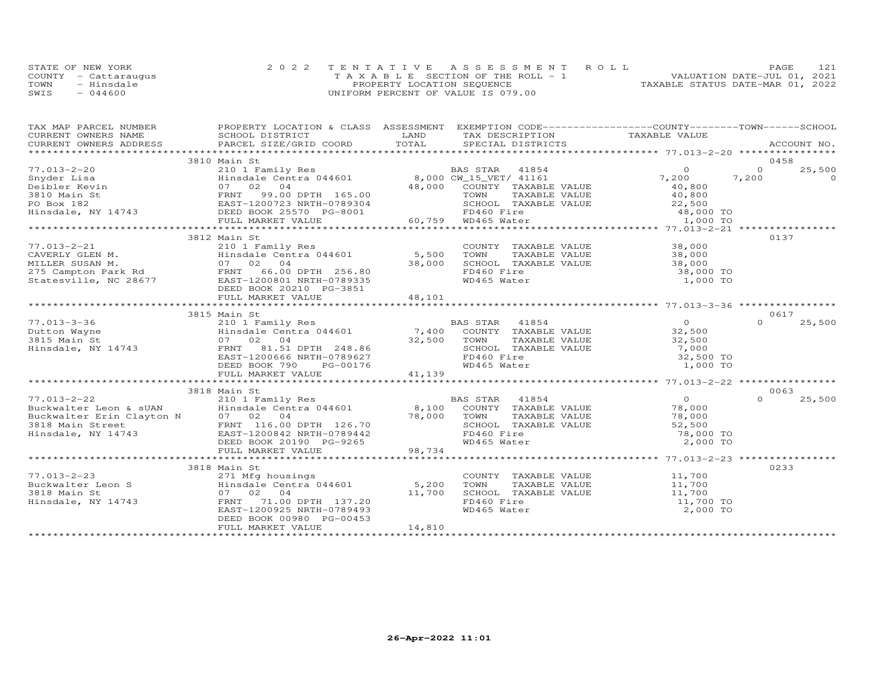| STATE OF NEW YORK    | 2022 TENTATIVE ASSESSMENT ROLL        | PAGE.                            |  |
|----------------------|---------------------------------------|----------------------------------|--|
| COUNTY - Cattaraugus | T A X A B L E SECTION OF THE ROLL - 1 | VALUATION DATE-JUL 01, 2021      |  |
| TOWN<br>- Hinsdale   | PROPERTY LOCATION SEQUENCE            | TAXABLE STATUS DATE-MAR 01, 2022 |  |
| SWIS<br>$-044600$    | UNIFORM PERCENT OF VALUE IS 079.00    |                                  |  |

| TAX MAP PARCEL NUMBER                                             | PROPERTY LOCATION & CLASS ASSESSMENT EXEMPTION CODE----------------COUNTY-------TOWN------SCHOOL                                                                                                                                       |        |                                                                                        |                     |                    |
|-------------------------------------------------------------------|----------------------------------------------------------------------------------------------------------------------------------------------------------------------------------------------------------------------------------------|--------|----------------------------------------------------------------------------------------|---------------------|--------------------|
|                                                                   |                                                                                                                                                                                                                                        |        |                                                                                        |                     |                    |
|                                                                   |                                                                                                                                                                                                                                        |        |                                                                                        |                     |                    |
|                                                                   |                                                                                                                                                                                                                                        |        |                                                                                        |                     |                    |
|                                                                   | 3810 Main St                                                                                                                                                                                                                           |        |                                                                                        |                     | 0458               |
| $77.013 - 2 - 20$                                                 | 210 1 Family Res<br>210 1 Family Res<br>Hinsdale Centra 044601 8,000 CW_15_VET/ 41161<br>07 02 04 48,000 COUNTY TAXABLE                                                                                                                |        | BAS STAR 41854 0<br>8,000 CW_15_VET/ 41161 7,200<br>48,000 COUNTY TAXABLE VALUE 40,800 |                     | $\Omega$<br>25,500 |
|                                                                   |                                                                                                                                                                                                                                        |        |                                                                                        |                     |                    |
|                                                                   |                                                                                                                                                                                                                                        |        |                                                                                        |                     |                    |
|                                                                   |                                                                                                                                                                                                                                        |        |                                                                                        |                     |                    |
|                                                                   |                                                                                                                                                                                                                                        |        |                                                                                        |                     |                    |
|                                                                   |                                                                                                                                                                                                                                        |        |                                                                                        |                     |                    |
|                                                                   |                                                                                                                                                                                                                                        |        |                                                                                        |                     |                    |
|                                                                   |                                                                                                                                                                                                                                        |        |                                                                                        |                     |                    |
|                                                                   | 3812 Main St                                                                                                                                                                                                                           |        |                                                                                        |                     | 0137               |
| 77.013-2-21                                                       |                                                                                                                                                                                                                                        |        |                                                                                        |                     |                    |
|                                                                   |                                                                                                                                                                                                                                        |        | COUNTY TAXABLE VALUE 38,000<br>TOWN TAXABLE VALUE 38,000                               |                     |                    |
|                                                                   | 210 1 Family Res<br>Hinsdale Centra 044601 5,500 TOWN<br>07 02 04 38,000 SCHOOI                                                                                                                                                        |        |                                                                                        |                     |                    |
|                                                                   |                                                                                                                                                                                                                                        |        | FD460 Fire                                                                             |                     |                    |
|                                                                   | 77.013-2-21 210 1 Family Res<br>CAVERLY GLEN M. Hinsdale Centra 044601 5,500<br>MILLER SUSAN M. 07 02 04 38,000<br>275 Campton Park Rd PENNT 66.00 DPTH 256.80<br>Statesville, NC 28677 EAST-1200801 NRTH-0789335                      |        |                                                                                        | 38,000 TO           |                    |
|                                                                   |                                                                                                                                                                                                                                        |        | WD465 Water                                                                            | 1,000 TO            |                    |
|                                                                   | DEED BOOK 20210 PG-3851                                                                                                                                                                                                                |        |                                                                                        |                     |                    |
|                                                                   | FULL MARKET VALUE                                                                                                                                                                                                                      | 48,101 |                                                                                        |                     |                    |
|                                                                   |                                                                                                                                                                                                                                        |        |                                                                                        |                     |                    |
|                                                                   | 3815 Main St                                                                                                                                                                                                                           |        |                                                                                        |                     | 0617               |
|                                                                   |                                                                                                                                                                                                                                        |        |                                                                                        | $\overline{O}$      | $\Omega$<br>25,500 |
|                                                                   |                                                                                                                                                                                                                                        |        |                                                                                        | 32,500              |                    |
|                                                                   |                                                                                                                                                                                                                                        |        | TAXABLE VALUE                                                                          | 32,500              |                    |
| 77.013-3-36<br>Dutton Wayne<br>3815 Main St<br>Hinsdale, NY 14743 | 210 1 Family Res<br>210 1 Family Res<br>Hinsdale Centra 044601 7,400 COUNTY TAXABLE VALUE<br>07 02 04 32,500 TOWN TAXABLE VALUE<br>FRNT 81.51 DPTH 248.86 SCHOOL TAXABLE VALUE<br>EAST-1200666 NRTH-0789627 FD460 Fire                 |        |                                                                                        | 7,000               |                    |
|                                                                   |                                                                                                                                                                                                                                        |        |                                                                                        | 32,500 TO           |                    |
|                                                                   |                                                                                                                                                                                                                                        |        |                                                                                        |                     |                    |
|                                                                   |                                                                                                                                                                                                                                        |        |                                                                                        |                     |                    |
|                                                                   |                                                                                                                                                                                                                                        |        |                                                                                        |                     |                    |
|                                                                   | 3818 Main St                                                                                                                                                                                                                           |        |                                                                                        |                     | 0063               |
|                                                                   |                                                                                                                                                                                                                                        |        |                                                                                        |                     | $\Omega$<br>25,500 |
|                                                                   |                                                                                                                                                                                                                                        |        |                                                                                        |                     |                    |
|                                                                   |                                                                                                                                                                                                                                        |        |                                                                                        |                     |                    |
|                                                                   |                                                                                                                                                                                                                                        |        |                                                                                        |                     |                    |
|                                                                   | 77.013-2-22<br>Buckwalter Leon & sUAN Hinsdale Centra 044601 8,100 COUNTY TAXABLE VALUE 78,000<br>Buckwalter Erin Clayton N 07 02 04<br>3818 Main Street Frin Clayton N 07 02 04<br>FRINT 116.00 DPTH 126.70 78,000 TOWN TAXABLE VALUE |        |                                                                                        | 78,000 TO           |                    |
|                                                                   |                                                                                                                                                                                                                                        |        |                                                                                        | 2,000 TO            |                    |
|                                                                   | FULL MARKET VALUE                                                                                                                                                                                                                      | 98,734 |                                                                                        |                     |                    |
|                                                                   |                                                                                                                                                                                                                                        |        |                                                                                        |                     |                    |
|                                                                   |                                                                                                                                                                                                                                        |        |                                                                                        |                     | 0233               |
|                                                                   | 3818 Main St                                                                                                                                                                                                                           |        |                                                                                        |                     |                    |
|                                                                   |                                                                                                                                                                                                                                        |        | COUNTY TAXABLE VALUE 11,700<br>TOWN TAXABLE VALUE 11,700                               |                     |                    |
|                                                                   |                                                                                                                                                                                                                                        |        |                                                                                        |                     |                    |
|                                                                   |                                                                                                                                                                                                                                        |        | SCHOOL TAXABLE VALUE                                                                   | 11,700<br>11,700 TO |                    |
|                                                                   | 07 02 04 11,700<br>FRNT 71.00 DPTH 137.20<br>EAST-1200925 NRTH-0789493                                                                                                                                                                 |        | FD460 Fire                                                                             |                     |                    |
|                                                                   |                                                                                                                                                                                                                                        |        | WD465 Water                                                                            | 2,000 TO            |                    |
|                                                                   | DEED BOOK 00980 PG-00453                                                                                                                                                                                                               |        |                                                                                        |                     |                    |
|                                                                   | FULL MARKET VALUE                                                                                                                                                                                                                      | 14,810 |                                                                                        |                     |                    |
|                                                                   |                                                                                                                                                                                                                                        |        |                                                                                        |                     |                    |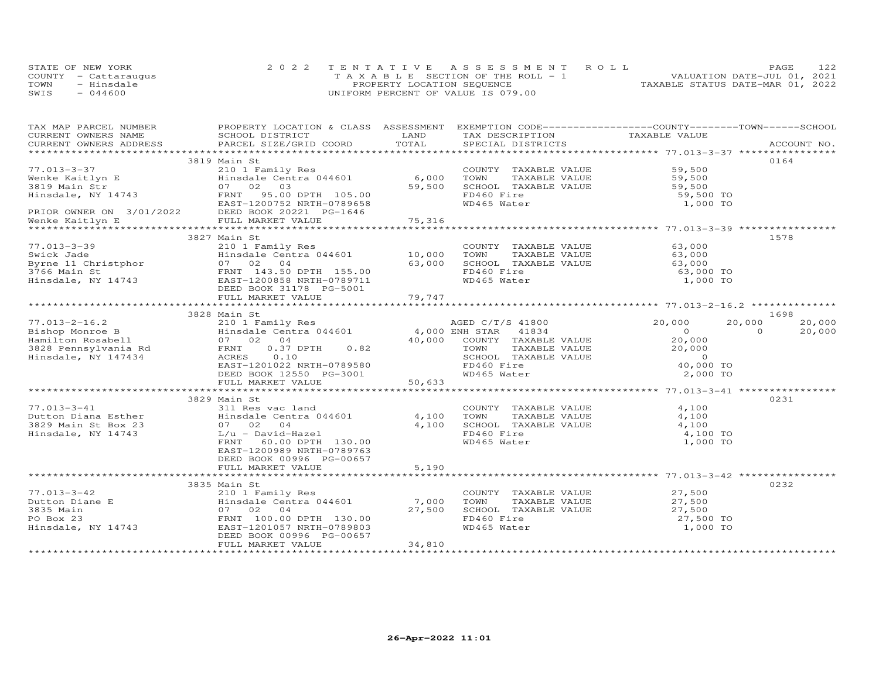|      | STATE OF NEW YORK    | 2022 TENTATIVE ASSESSMENT ROLL        | PAGE                             |
|------|----------------------|---------------------------------------|----------------------------------|
|      | COUNTY - Cattarauqus | T A X A B L E SECTION OF THE ROLL - 1 | VALUATION DATE-JUL 01, 2021      |
| TOWN | - Hinsdale           | PROPERTY LOCATION SEQUENCE            | TAXABLE STATUS DATE-MAR 01, 2022 |
| SWIS | $-044600$            | UNIFORM PERCENT OF VALUE IS 079.00    |                                  |

| TAX MAP PARCEL NUMBER                                                                                                                                                                                                                                   | PROPERTY LOCATION & CLASS ASSESSMENT EXEMPTION CODE-----------------COUNTY-------TOWN------SCHOOL |            |                                                                                         |                                            |                          |
|---------------------------------------------------------------------------------------------------------------------------------------------------------------------------------------------------------------------------------------------------------|---------------------------------------------------------------------------------------------------|------------|-----------------------------------------------------------------------------------------|--------------------------------------------|--------------------------|
| CURRENT OWNERS NAME SCHOOL DISTRICT<br>CURRENT OWNERS ADDRESS PARCEL SIZE/GRID COORD                                                                                                                                                                    |                                                                                                   |            |                                                                                         |                                            |                          |
|                                                                                                                                                                                                                                                         |                                                                                                   |            |                                                                                         |                                            |                          |
|                                                                                                                                                                                                                                                         |                                                                                                   |            |                                                                                         |                                            |                          |
|                                                                                                                                                                                                                                                         | 3819 Main St                                                                                      |            |                                                                                         |                                            | 0164                     |
|                                                                                                                                                                                                                                                         |                                                                                                   |            | COUNTY TAXABLE VALUE 59,500<br>TOWN TAXABLE VALUE 59,500                                |                                            |                          |
|                                                                                                                                                                                                                                                         |                                                                                                   |            |                                                                                         |                                            |                          |
|                                                                                                                                                                                                                                                         |                                                                                                   |            | SCHOOL TAXABLE VALUE 59,500<br>FD460 Fire 59,500 TO                                     |                                            |                          |
|                                                                                                                                                                                                                                                         |                                                                                                   |            | FD460 Fire<br>WD465 Water                                                               |                                            |                          |
| 77.013-3-37<br>Wenke Kaitlyn E 210 1 Family Res COUNT<br>3819 Main Str 07 02 03<br>Hinsdale, NY 14743<br>PENT 95.00 DPTH 105.00 FORD FD460<br>PRIOR OWNER ON 3/01/2022 DEED BOOK 20221 PG-1646<br>PRIOR OWNER ON 3/01/2022 DEED BOOK 2022               |                                                                                                   |            |                                                                                         | 1,000 TO                                   |                          |
|                                                                                                                                                                                                                                                         |                                                                                                   |            |                                                                                         |                                            |                          |
|                                                                                                                                                                                                                                                         |                                                                                                   |            |                                                                                         |                                            |                          |
|                                                                                                                                                                                                                                                         |                                                                                                   |            |                                                                                         |                                            | 1578                     |
|                                                                                                                                                                                                                                                         | 3827 Main St                                                                                      |            |                                                                                         |                                            |                          |
|                                                                                                                                                                                                                                                         |                                                                                                   |            | COUNTY TAXABLE VALUE 63,000<br>TOWN TAXABLE VALUE 63,000<br>SCHOOL TAXABLE VALUE 63,000 |                                            |                          |
|                                                                                                                                                                                                                                                         |                                                                                                   |            |                                                                                         |                                            |                          |
|                                                                                                                                                                                                                                                         |                                                                                                   |            |                                                                                         |                                            |                          |
|                                                                                                                                                                                                                                                         |                                                                                                   |            | FD460 Fire                                                                              | 63,000 TO<br>1,000 TO                      |                          |
|                                                                                                                                                                                                                                                         |                                                                                                   |            | WD465 Water                                                                             |                                            |                          |
|                                                                                                                                                                                                                                                         |                                                                                                   |            |                                                                                         |                                            |                          |
| 77.013-3-39<br>Swick Jade Minsdale Centra 044601 10,000<br>Byrne 11 Christphor 07 02 04 63,000<br>TANT 143.55.00 FRNT 143.55.00<br>Hinsdale, NY 14743 EAST-1200858 NRTH-0789711<br>DEED BOOK 31178 PG-5001 79,747<br>TULL MARKET VALUE                  |                                                                                                   |            |                                                                                         |                                            |                          |
| <br>16.2<br>Bishop Monroe B<br>Hamilton Rosabell<br>3828 Pennsylvania Rd<br>FRNT 0.37 DPTH 0.82<br>Hinsdale, NY 147434<br>FRNT 0.37 DPTH 0.82<br>FRNT 0.37 DPTH 0.82<br>FRNT 0.82<br>FRNT 0.97 DPTH 0.82<br>FRNT 0.82<br>FRNT 0.82<br>FRNT 0.82<br>FRNT |                                                                                                   |            |                                                                                         |                                            | 1698                     |
|                                                                                                                                                                                                                                                         |                                                                                                   |            |                                                                                         | 20,000                                     | 20,000<br>20,000         |
|                                                                                                                                                                                                                                                         |                                                                                                   |            |                                                                                         |                                            | $\overline{0}$<br>20,000 |
|                                                                                                                                                                                                                                                         |                                                                                                   |            |                                                                                         | $\begin{array}{c} 0 \\ 20,000 \end{array}$ |                          |
|                                                                                                                                                                                                                                                         |                                                                                                   |            |                                                                                         |                                            |                          |
|                                                                                                                                                                                                                                                         |                                                                                                   |            | TOWN TAXABLE VALUE<br>SCHOOL TAXABLE VALUE<br>FD460 Fire<br>WD465 Water                 | 20,000<br>0<br>40,000 TO                   |                          |
|                                                                                                                                                                                                                                                         |                                                                                                   |            |                                                                                         |                                            |                          |
|                                                                                                                                                                                                                                                         |                                                                                                   |            |                                                                                         |                                            |                          |
|                                                                                                                                                                                                                                                         |                                                                                                   |            |                                                                                         |                                            |                          |
| EAST-1Z010ZZ NKTH-0789580 FD460 FITE<br>DEED BOOK 12550 PG-3001 – WD465 Water – WD465 Water – DEED BOOK 12550 PG-3001<br>FULL MARKET VALUE – 50,633 – 50,633 – 50,000 FO – 50,000 FO – 50,000 FO – 50,000 FO – 50,000 FO – 50,000 F                     |                                                                                                   |            |                                                                                         |                                            |                          |
|                                                                                                                                                                                                                                                         | 3829 Main St                                                                                      |            |                                                                                         |                                            | 0231                     |
|                                                                                                                                                                                                                                                         |                                                                                                   |            |                                                                                         | 4,100                                      |                          |
|                                                                                                                                                                                                                                                         |                                                                                                   | 4,100 TOWN | COUNTY TAXABLE VALUE                                                                    |                                            |                          |
|                                                                                                                                                                                                                                                         |                                                                                                   | 4,100      | TOWN TAXABLE VALUE 4,100<br>SCHOOL TAXABLE VALUE 4,100                                  |                                            |                          |
|                                                                                                                                                                                                                                                         |                                                                                                   |            | FD460 Fire                                                                              | 4,100 TO                                   |                          |
|                                                                                                                                                                                                                                                         | FRNT 60.00 DPTH 130.00                                                                            |            | WD465 Water                                                                             | 1,000 TO                                   |                          |
|                                                                                                                                                                                                                                                         | EAST-1200989 NRTH-0789763                                                                         |            |                                                                                         |                                            |                          |
|                                                                                                                                                                                                                                                         | DEED BOOK 00996 PG-00657                                                                          |            |                                                                                         |                                            |                          |
|                                                                                                                                                                                                                                                         | FULL MARKET VALUE                                                                                 | 5,190      |                                                                                         |                                            |                          |
|                                                                                                                                                                                                                                                         |                                                                                                   |            |                                                                                         |                                            |                          |
|                                                                                                                                                                                                                                                         | 3835 Main St                                                                                      |            |                                                                                         |                                            | 0232                     |
|                                                                                                                                                                                                                                                         |                                                                                                   |            |                                                                                         |                                            |                          |
|                                                                                                                                                                                                                                                         |                                                                                                   |            | COUNTY TAXABLE VALUE<br>TOWN TAXABLE VALUE 27,500                                       |                                            |                          |
|                                                                                                                                                                                                                                                         |                                                                                                   |            | 10WN IAAADDE VALUE<br>SCHOOL TAXABLE VALUE 27,500<br>ED460 Fire 27,500 TO               |                                            |                          |
|                                                                                                                                                                                                                                                         |                                                                                                   |            |                                                                                         |                                            |                          |
|                                                                                                                                                                                                                                                         |                                                                                                   |            | FD460 Fire<br>WD465 Water                                                               | 1,000 TO                                   |                          |
|                                                                                                                                                                                                                                                         |                                                                                                   |            |                                                                                         |                                            |                          |
|                                                                                                                                                                                                                                                         | FULL MARKET VALUE                                                                                 | 34,810     |                                                                                         |                                            |                          |
|                                                                                                                                                                                                                                                         |                                                                                                   |            |                                                                                         |                                            |                          |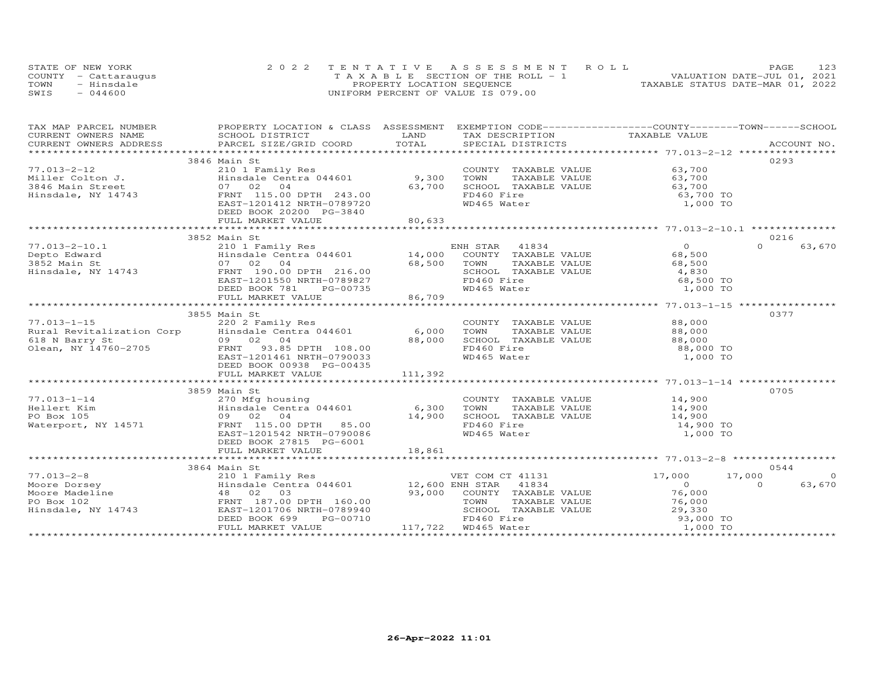| STATE OF NEW YORK    |            | 2022 TENTATIVE ASSESSMENT ROLL        |  |  |                                  | PAGE | 123 |
|----------------------|------------|---------------------------------------|--|--|----------------------------------|------|-----|
| COUNTY - Cattaraugus |            | T A X A B L E SECTION OF THE ROLL - 1 |  |  | VALUATION DATE-JUL 01, 2021      |      |     |
| TOWN                 | - Hinsdale | PROPERTY LOCATION SEQUENCE            |  |  | TAXABLE STATUS DATE-MAR 01, 2022 |      |     |
| SWIS                 | $-044600$  | UNIFORM PERCENT OF VALUE IS 079.00    |  |  |                                  |      |     |

| TAX MAP PARCEL NUMBER                                              | PROPERTY LOCATION & CLASS ASSESSMENT EXEMPTION CODE----------------COUNTY-------TOWN------SCHOOL |               |                                                          |                     |                          |
|--------------------------------------------------------------------|--------------------------------------------------------------------------------------------------|---------------|----------------------------------------------------------|---------------------|--------------------------|
|                                                                    |                                                                                                  |               | TAX DESCRIPTION TAXABLE VALUE                            |                     |                          |
|                                                                    |                                                                                                  |               |                                                          |                     |                          |
|                                                                    |                                                                                                  |               |                                                          |                     |                          |
|                                                                    | 3846 Main St                                                                                     |               |                                                          |                     | 0293                     |
| 77.013-2-12<br>77.013-2-12<br>Miller Colton J.<br>3846 Main Street | 210 1 Family Res<br>Hinsdale Centra 044601 23,300                                                |               | COUNTY TAXABLE VALUE 63,700                              |                     |                          |
|                                                                    |                                                                                                  |               | TOWN<br>TAXABLE VALUE<br>TAXABLE VALUE                   | 63,700              |                          |
|                                                                    | 07 02 04                                                                                         | 63,700        | SCHOOL TAXABLE VALUE                                     | 63,700              |                          |
| Hinsdale, NY 14743                                                 | FRNT 115.00 DPTH 243.00                                                                          |               | FD460 Fire                                               | 63,700 TO           |                          |
|                                                                    | EAST-1201412 NRTH-0789720                                                                        |               | WD465 Water                                              | 1,000 TO            |                          |
|                                                                    | DEED BOOK 20200 PG-3840                                                                          |               |                                                          |                     |                          |
|                                                                    | FULL MARKET VALUE                                                                                | 80,633        |                                                          |                     |                          |
|                                                                    |                                                                                                  |               |                                                          |                     |                          |
|                                                                    | 3852 Main St                                                                                     |               |                                                          |                     | 0216                     |
| ooo.<br>Cook Main St برند Main St برند<br>Hinsdale, NY 14743       |                                                                                                  |               |                                                          | $\overline{O}$      | $\Omega$<br>63,670       |
|                                                                    |                                                                                                  |               |                                                          | 68,500              |                          |
|                                                                    |                                                                                                  |               | TAXABLE VALUE<br>TOWN                                    | 68,500              |                          |
|                                                                    |                                                                                                  |               | SCHOOL TAXABLE VALUE                                     | 4,830               |                          |
|                                                                    |                                                                                                  |               | FD460 Fire                                               | 68,500 TO           |                          |
|                                                                    | DEED BOOK 781<br>PG-00735                                                                        |               | WD465 Water                                              | 1,000 TO            |                          |
|                                                                    | FULL MARKET VALUE                                                                                | $1735$ 86,709 |                                                          |                     |                          |
|                                                                    |                                                                                                  |               |                                                          |                     |                          |
|                                                                    |                                                                                                  |               |                                                          |                     | 0377                     |
|                                                                    | 3855 Main St                                                                                     |               |                                                          |                     |                          |
|                                                                    |                                                                                                  |               |                                                          |                     |                          |
|                                                                    |                                                                                                  |               |                                                          |                     |                          |
|                                                                    |                                                                                                  |               | SCHOOL TAXABLE VALUE 88,000                              |                     |                          |
|                                                                    |                                                                                                  |               | FD460 Fire                                               | 88,000 TO           |                          |
|                                                                    | EAST-1201461 NRTH-0790033                                                                        |               | WD465 Water                                              | 1,000 TO            |                          |
|                                                                    | DEED BOOK 00938 PG-00435                                                                         |               |                                                          |                     |                          |
|                                                                    |                                                                                                  |               |                                                          |                     |                          |
|                                                                    |                                                                                                  |               |                                                          |                     |                          |
|                                                                    | 3859 Main St                                                                                     |               |                                                          |                     | 0705                     |
| $77.013 - 1 - 14$                                                  | 270 Mfg housing<br>Hinsdale Centra 044601 6,300<br>09 02 04 14 900                               |               | COUNTY TAXABLE VALUE 14,900<br>TOWN TAXABLE VALUE 14,900 |                     |                          |
| Hellert Kim                                                        |                                                                                                  |               |                                                          |                     |                          |
| PO Box 105                                                         | 09 02 04                                                                                         | 14,900        | SCHOOL TAXABLE VALUE 14,900                              |                     |                          |
| Waterport, NY 14571                                                | FRNT 115.00 DPTH 85.00                                                                           |               | FD460 Fire                                               | 14,900 TO           |                          |
|                                                                    | EAST-1201542 NRTH-0790086                                                                        |               | WD465 Water                                              | 1,000 TO            |                          |
|                                                                    | DEED BOOK 27815 PG-6001                                                                          |               |                                                          |                     |                          |
|                                                                    |                                                                                                  |               |                                                          |                     |                          |
|                                                                    |                                                                                                  |               |                                                          |                     |                          |
|                                                                    | 3864 Main St                                                                                     |               |                                                          |                     | 0544                     |
| $77.013 - 2 - 8$                                                   |                                                                                                  |               |                                                          | 17,000              | $\overline{0}$<br>17,000 |
|                                                                    | 210 1 Family Res<br>Hinsdale Centra 044601 12,600 ENH STAR 41834                                 |               | VET COM CT 41131<br>FNH STAR 41834                       | $\overline{0}$      | $\Omega$                 |
|                                                                    |                                                                                                  |               |                                                          |                     | 63,670                   |
|                                                                    |                                                                                                  |               | 93,000 COUNTY TAXABLE VALUE                              | 76,000<br>76,000    |                          |
|                                                                    |                                                                                                  |               | TOWN<br>TAXABLE VALUE                                    |                     |                          |
|                                                                    |                                                                                                  |               | SCHOOL TAXABLE VALUE                                     | 29,330<br>93,000 TO |                          |
|                                                                    | PG-00710<br>DEED BOOK 699                                                                        |               | FD460 Fire                                               |                     |                          |
|                                                                    | FULL MARKET VALUE                                                                                |               | 117,722 WD465 Water                                      | 1,000 TO            |                          |
|                                                                    |                                                                                                  |               |                                                          |                     |                          |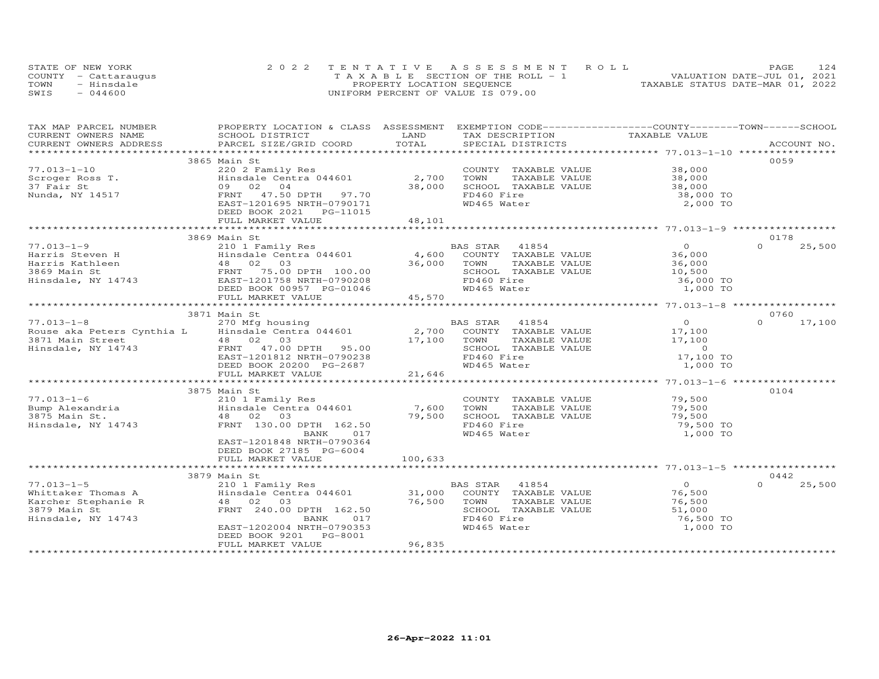|      | STATE OF NEW YORK    | 2022 TENTATIVE ASSESSMENT ROLL        | 124<br>PAGE                      |
|------|----------------------|---------------------------------------|----------------------------------|
|      | COUNTY - Cattaraugus | T A X A B L E SECTION OF THE ROLL - 1 | VALUATION DATE-JUL 01, 2021      |
| TOWN | - Hinsdale           | PROPERTY LOCATION SEQUENCE            | TAXABLE STATUS DATE-MAR 01, 2022 |
| SWIS | $-044600$            | UNIFORM PERCENT OF VALUE IS 079.00    |                                  |

| TAX MAP PARCEL NUMBER<br>CURRENT OWNERS NAME | PROPERTY LOCATION & CLASS ASSESSMENT EXEMPTION CODE----------------COUNTY-------TOWN-----SCHOOL<br>SCHOOL DISTRICT                                                                                                                                                                                          | LAND    | TAX DESCRIPTION            | TAXABLE VALUE  |                    |
|----------------------------------------------|-------------------------------------------------------------------------------------------------------------------------------------------------------------------------------------------------------------------------------------------------------------------------------------------------------------|---------|----------------------------|----------------|--------------------|
| CURRENT OWNERS ADDRESS                       | PARCEL SIZE/GRID COORD                                                                                                                                                                                                                                                                                      | TOTAL   | SPECIAL DISTRICTS          |                | ACCOUNT NO.        |
|                                              |                                                                                                                                                                                                                                                                                                             |         |                            |                |                    |
|                                              | 3865 Main St                                                                                                                                                                                                                                                                                                |         |                            |                | 0059               |
| $77.013 - 1 - 10$                            | 220 2 Family Res                                                                                                                                                                                                                                                                                            |         | COUNTY TAXABLE VALUE       | 38,000         |                    |
| Scroger Ross T.                              | $\frac{220}{2}$ $\frac{2}{2}$ $\frac{360}{2}$ $\frac{1}{2}$ $\frac{360}{2}$ $\frac{2}{2}$ $\frac{360}{2}$ $\frac{2}{2}$ $\frac{360}{2}$ $\frac{2}{2}$ $\frac{360}{2}$ $\frac{2}{2}$ $\frac{360}{2}$ $\frac{2}{2}$ $\frac{360}{2}$ $\frac{2}{2}$ $\frac{360}{2}$ $\frac{2}{2}$ $\frac{360}{2}$ $\frac{2}{2}$ |         | TOWN<br>TAXABLE VALUE      | 38,000         |                    |
| 37 Fair St                                   | 09 02 04                                                                                                                                                                                                                                                                                                    | 38,000  | SCHOOL TAXABLE VALUE       | 38,000         |                    |
| Nunda, NY 14517                              | FRNT 47.50 DPTH 97.70                                                                                                                                                                                                                                                                                       |         | FD460 Fire                 | 38,000 TO      |                    |
|                                              | EAST-1201695 NRTH-0790171                                                                                                                                                                                                                                                                                   |         | WD465 Water                | 2,000 TO       |                    |
|                                              | DEED BOOK 2021 PG-11015                                                                                                                                                                                                                                                                                     |         |                            |                |                    |
|                                              | FULL MARKET VALUE                                                                                                                                                                                                                                                                                           | 48,101  |                            |                |                    |
|                                              |                                                                                                                                                                                                                                                                                                             |         |                            |                |                    |
|                                              | 3869 Main St                                                                                                                                                                                                                                                                                                |         |                            |                | 0178               |
| $77.013 - 1 - 9$                             | 210 1 Family Res                                                                                                                                                                                                                                                                                            |         | BAS STAR<br>41854          | $\Omega$       | $\Omega$<br>25,500 |
|                                              |                                                                                                                                                                                                                                                                                                             | 4,600   | COUNTY TAXABLE VALUE       | 36,000         |                    |
|                                              |                                                                                                                                                                                                                                                                                                             | 36,000  | TOWN<br>TAXABLE VALUE      | 36,000         |                    |
|                                              |                                                                                                                                                                                                                                                                                                             |         | SCHOOL TAXABLE VALUE       | 10,500         |                    |
|                                              |                                                                                                                                                                                                                                                                                                             |         | FD460 Fire                 | 36,000 TO      |                    |
|                                              | DEED BOOK 00957 PG-01046                                                                                                                                                                                                                                                                                    |         | WD465 Water                | 1,000 TO       |                    |
|                                              | FULL MARKET VALUE                                                                                                                                                                                                                                                                                           | 45,570  |                            |                |                    |
|                                              |                                                                                                                                                                                                                                                                                                             |         |                            |                |                    |
|                                              | 3871 Main St                                                                                                                                                                                                                                                                                                |         |                            |                | 0760               |
| $77.013 - 1 - 8$                             | 270 Mfg housing                                                                                                                                                                                                                                                                                             |         | BAS STAR 41854             | $\overline{0}$ | $\Omega$<br>17,100 |
|                                              | Rouse aka Peters Cynthia L Hinsdale Centra 044601                                                                                                                                                                                                                                                           |         | 2,700 COUNTY TAXABLE VALUE | 17,100         |                    |
| 3871 Main Street                             | 48 02<br>03                                                                                                                                                                                                                                                                                                 | 17,100  | TAXABLE VALUE<br>TOWN      | 17,100         |                    |
| Hinsdale, NY 14743                           | FRNT 47.00 DPTH 95.00                                                                                                                                                                                                                                                                                       |         | SCHOOL TAXABLE VALUE       | $\sim$ 0       |                    |
|                                              | EAST-1201812 NRTH-0790238                                                                                                                                                                                                                                                                                   |         | FD460 Fire                 | 17,100 TO      |                    |
|                                              | DEED BOOK 20200 PG-2687                                                                                                                                                                                                                                                                                     |         | WD465 Water                | 1,000 TO       |                    |
|                                              | FULL MARKET VALUE                                                                                                                                                                                                                                                                                           | 21,646  |                            |                |                    |
|                                              |                                                                                                                                                                                                                                                                                                             |         |                            |                |                    |
|                                              | 3875 Main St                                                                                                                                                                                                                                                                                                |         |                            |                | 0104               |
| $77.013 - 1 - 6$                             | 210 1 Family Res                                                                                                                                                                                                                                                                                            |         | COUNTY TAXABLE VALUE       | 79,500         |                    |
| Bump Alexandria                              |                                                                                                                                                                                                                                                                                                             | 7,600   | TOWN<br>TAXABLE VALUE      | 79,500         |                    |
| 3875 Main St.                                | 48 02 03                                                                                                                                                                                                                                                                                                    | 79,500  | SCHOOL TAXABLE VALUE       | 79,500         |                    |
| Hinsdale, NY 14743                           | FRNT 130.00 DPTH 162.50                                                                                                                                                                                                                                                                                     |         | FD460 Fire                 | 79,500 TO      |                    |
|                                              | BANK<br>017                                                                                                                                                                                                                                                                                                 |         | WD465 Water                | 1,000 TO       |                    |
|                                              | EAST-1201848 NRTH-0790364                                                                                                                                                                                                                                                                                   |         |                            |                |                    |
|                                              | DEED BOOK 27185 PG-6004                                                                                                                                                                                                                                                                                     |         |                            |                |                    |
|                                              | FULL MARKET VALUE<br>* * * * * * * * * * * * *                                                                                                                                                                                                                                                              | 100,633 |                            |                |                    |
|                                              |                                                                                                                                                                                                                                                                                                             |         |                            |                |                    |
|                                              | 3879 Main St                                                                                                                                                                                                                                                                                                |         |                            |                | 0442               |
| $77.013 - 1 - 5$                             | 210 1 Family Res                                                                                                                                                                                                                                                                                            |         | BAS STAR 41854             | $\overline{O}$ | $\Omega$<br>25,500 |
| Whittaker Thomas A                           | Hinsdale Centra 044601                                                                                                                                                                                                                                                                                      | 31,000  | COUNTY TAXABLE VALUE       | 76,500         |                    |
| Karcher Stephanie R                          | 48 02<br>03                                                                                                                                                                                                                                                                                                 | 76,500  | TOWN<br>TAXABLE VALUE      | 76,500         |                    |
| 3879 Main St                                 | FRNT 240.00 DPTH 162.50                                                                                                                                                                                                                                                                                     |         | SCHOOL TAXABLE VALUE       | 51,000         |                    |
| Hinsdale, NY 14743                           | 017<br>BANK                                                                                                                                                                                                                                                                                                 |         | FD460 Fire                 | 76,500 TO      |                    |
|                                              | EAST-1202004 NRTH-0790353                                                                                                                                                                                                                                                                                   |         | WD465 Water                | 1,000 TO       |                    |
|                                              | DEED BOOK 9201<br>PG-8001<br>FULL MARKET VALUE                                                                                                                                                                                                                                                              | 96,835  |                            |                |                    |
|                                              |                                                                                                                                                                                                                                                                                                             |         |                            |                |                    |
|                                              |                                                                                                                                                                                                                                                                                                             |         |                            |                |                    |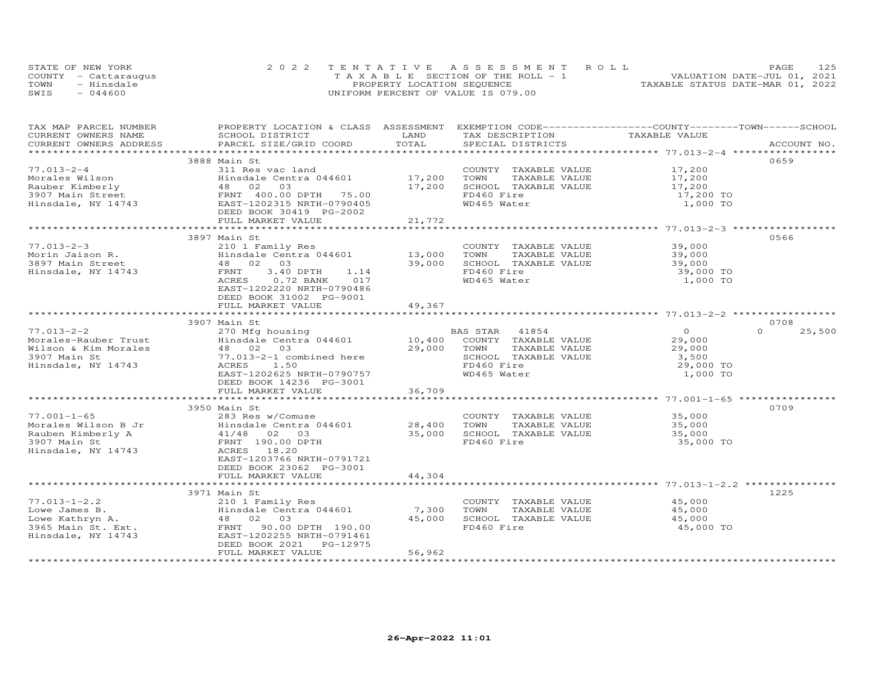| STATE OF NEW YORK    | 2022 TENTATIVE ASSESSMENT ROLL        | 125<br>PAGE.                     |
|----------------------|---------------------------------------|----------------------------------|
| COUNTY - Cattaraugus | T A X A B L E SECTION OF THE ROLL - 1 | VALUATION DATE-JUL 01, 2021      |
| TOWN<br>- Hinsdale   | PROPERTY LOCATION SEQUENCE            | TAXABLE STATUS DATE-MAR 01, 2022 |
| $-044600$<br>SWIS    | UNIFORM PERCENT OF VALUE IS 079.00    |                                  |

| TAX MAP PARCEL NUMBER<br>CURRENT OWNERS NAME<br>CURRENT OWNERS ADDRESS                                                                            | PROPERTY LOCATION & CLASS ASSESSMENT EXEMPTION CODE----------------COUNTY-------TOWN------SCHOOL<br>SCHOOL DISTRICT<br>PARCEL SIZE/GRID COORD                                                                                               | LAND<br>TOTAL             | TAX DESCRIPTION<br>SPECIAL DISTRICTS                                                                                        | TAXABLE VALUE                                                 | ACCOUNT NO.        |
|---------------------------------------------------------------------------------------------------------------------------------------------------|---------------------------------------------------------------------------------------------------------------------------------------------------------------------------------------------------------------------------------------------|---------------------------|-----------------------------------------------------------------------------------------------------------------------------|---------------------------------------------------------------|--------------------|
|                                                                                                                                                   |                                                                                                                                                                                                                                             |                           |                                                                                                                             |                                                               |                    |
| $77.013 - 2 - 4$<br>Morales Wilson<br>Rauber Kimberly<br>3907 Main Street<br>Hinsdale, NY 14743                                                   | 3888 Main St<br>311 Res vac land<br>Hinsdale Centra 044601 17,200<br>Hinsdale Centra 044601<br>48 02 03<br>FRNT 400.00 DPTH 75.00<br>5 EAST-1202315 NRTH-0790405<br>DEED BOOK 30419 PC-2002<br>DEED BOOK 30419 PG-2002<br>FULL MARKET VALUE | 17,200<br>21,772          | COUNTY TAXABLE VALUE<br>TOWN<br>TAXABLE VALUE<br>SCHOOL TAXABLE VALUE<br>FD460 Fire<br>WD465 Water                          | 17,200<br>17,200<br>17,200<br>17,200 TO<br>1,000 TO           | 0659               |
|                                                                                                                                                   |                                                                                                                                                                                                                                             |                           |                                                                                                                             |                                                               |                    |
| $77.013 - 2 - 3$<br>Morin Jaison R.<br>3897 Main Street<br>Hinsdale, NY 14743                                                                     | 3897 Main St<br>210 1 Family Res<br>Hinsdale Centra 044601 13,000<br>48 02 03 39,000<br>FRNT<br>3.40 DPTH<br>1.14<br>ACRES<br>$0.72$ BANK<br>017<br>EAST-1202220 NRTH-0790486<br>DEED BOOK 31002 PG-9001<br>FULL MARKET VALUE               | 49,367                    | COUNTY TAXABLE VALUE<br>TOWN<br>TAXABLE VALUE<br>SCHOOL TAXABLE VALUE<br>FD460 Fire<br>WD465 Water                          | 39,000<br>39,000<br>39,000<br>39,000 TO<br>1,000 TO           | 0566               |
|                                                                                                                                                   |                                                                                                                                                                                                                                             |                           |                                                                                                                             |                                                               |                    |
|                                                                                                                                                   | 3907 Main St                                                                                                                                                                                                                                |                           |                                                                                                                             |                                                               | 0708               |
| $77.013 - 2 - 2$<br>Morales-Rauber Trust<br>Wilson & Kim Morales<br>3907 Main St<br>Hinsdale, NY 14743                                            | 270 Mfg housing<br>Hinsdale Centra 044601<br>Hinsdale Cent<br>48 02 03<br>77.013-2-1 co<br>77.013-2-1 combined here<br>ACRES<br>1.50<br>EAST-1202625 NRTH-0790757<br>DEED BOOK 14236 PG-3001                                                | 29,000                    | BAS STAR 41854<br>10,400 COUNTY TAXABLE VALUE<br>TOWN<br>TAXABLE VALUE<br>SCHOOL TAXABLE VALUE<br>FD460 Fire<br>WD465 Water | $\circ$<br>29,000<br>29,000<br>3,500<br>29,000 TO<br>1,000 TO | $\Omega$<br>25,500 |
|                                                                                                                                                   | FULL MARKET VALUE                                                                                                                                                                                                                           | 36,709                    |                                                                                                                             |                                                               |                    |
| $77.001 - 1 - 65$<br>Morales Wilson B Jr<br>Rauben Kimberly A                                                                                     | 3950 Main St<br>283 Res w/Comuse                                                                                                                                                                                                            |                           | COUNTY TAXABLE VALUE<br>TOWN<br>TAXABLE VALUE<br>SCHOOL TAXABLE VALUE                                                       | 35,000<br>35,000<br>35,000                                    | 0709               |
| 3907 Main St<br>Hinsdale, NY 14743                                                                                                                | B Jr<br>B Jr<br>Hinsdale Centra 044601 28,400<br>A 1/48 02 03 35,000<br>FRNT 190.00 DPTH 35,000<br>EAST-1203766 NRTH-0791721<br>DEED BOOK 23062 PG-3001<br>FULL MARKET VALUE                                                                | 44,304                    | FD460 Fire                                                                                                                  | 35,000 TO                                                     |                    |
|                                                                                                                                                   |                                                                                                                                                                                                                                             |                           |                                                                                                                             |                                                               |                    |
|                                                                                                                                                   | 3971 Main St                                                                                                                                                                                                                                |                           |                                                                                                                             |                                                               | 1225               |
| $77.013 - 1 - 2.2$<br>Lowe James B.<br>د محسست ده<br>Jowe Kathryn A.<br>3965 Main St. Ext.<br>Hinsdale. N <sup>y 1474</sup><br>Hinsdale, NY 14743 | 210 1 Family Res<br>Hinsdale Centra 044601<br>Hinsdale Centra 044601<br>48 02 03<br>FRNT 90.00 DPTH 190.00<br>EAST-1202255 NRTH-0791461<br>DEED BOOK 2021    PG-12975<br>FULL MARKET VALUE                                                  | 7,300<br>45,000<br>56,962 | COUNTY TAXABLE VALUE<br>TOWN<br>TAXABLE VALUE<br>SCHOOL TAXABLE VALUE<br>FD460 Fire                                         | 45,000<br>45,000<br>45,000<br>45,000 TO                       |                    |
|                                                                                                                                                   |                                                                                                                                                                                                                                             |                           |                                                                                                                             |                                                               |                    |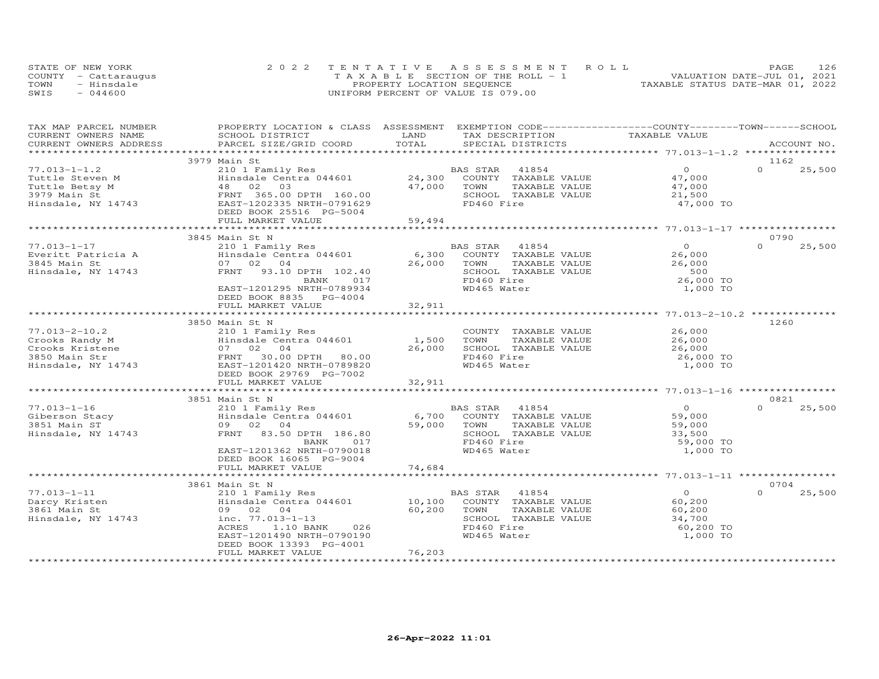|      | STATE OF NEW YORK    | 2022 TENTATIVE ASSESSMENT ROLL        | 126<br>PAGE                      |
|------|----------------------|---------------------------------------|----------------------------------|
|      | COUNTY - Cattaraugus | T A X A B L E SECTION OF THE ROLL - 1 | VALUATION DATE-JUL 01, 2021      |
| TOWN | - Hinsdale           | PROPERTY LOCATION SEQUENCE            | TAXABLE STATUS DATE-MAR 01, 2022 |
| SWIS | $-044600$            | UNIFORM PERCENT OF VALUE IS 079.00    |                                  |

| TAX MAP PARCEL NUMBER<br>CURRENT OWNERS NAME                                                                      | PROPERTY LOCATION & CLASS ASSESSMENT EXEMPTION CODE----------------COUNTY--------TOWN------SCHOOL<br>SCHOOL DISTRICT                                                                 | LAND                       | TAX DESCRIPTION                                                                                                            | TAXABLE VALUE                                                         |                            |
|-------------------------------------------------------------------------------------------------------------------|--------------------------------------------------------------------------------------------------------------------------------------------------------------------------------------|----------------------------|----------------------------------------------------------------------------------------------------------------------------|-----------------------------------------------------------------------|----------------------------|
| CURRENT OWNERS ADDRESS                                                                                            | PARCEL SIZE/GRID COORD                                                                                                                                                               | TOTAL                      | SPECIAL DISTRICTS                                                                                                          |                                                                       | ACCOUNT NO.                |
|                                                                                                                   |                                                                                                                                                                                      |                            |                                                                                                                            |                                                                       | 1162                       |
| $77.013 - 1 - 1.2$<br>Tuttle Steven M<br>IUCTIE Betsy M<br>3979 Main St<br>Hinsdale, NY 14743                     | 3979 Main St<br>210 1 Family Res<br>Hinsdale Centra 044601<br>48 02 03<br>FRNT 365.00 DPTH 160.00<br>EAST-1202335 NRTH-0791629<br>DEED BOOK 25516 PG-5004                            | 24,300<br>47,000           | BAS STAR<br>41854<br>COUNTY TAXABLE VALUE<br>TOWN<br>TAXABLE VALUE<br>SCHOOL TAXABLE VALUE<br>FD460 Fire                   | $\overline{O}$<br>47,000<br>47,000<br>21,500<br>47,000 TO             | $\Omega$<br>25,500         |
|                                                                                                                   | FULL MARKET VALUE                                                                                                                                                                    | 59,494                     |                                                                                                                            |                                                                       |                            |
|                                                                                                                   |                                                                                                                                                                                      |                            |                                                                                                                            |                                                                       | 0790                       |
|                                                                                                                   | 3845 Main St N                                                                                                                                                                       |                            |                                                                                                                            | $\overline{O}$                                                        | $\Omega$                   |
| $77.013 - 1 - 17$<br>Everitt Patricia A<br>3845 Main St<br>Hinsdale, NY 14743                                     | 210 1 Family Res<br>$1222 - 2222$<br>$1222 - 6,300$<br>$6,300$<br>07 02 04<br>FRNT 93.10 DPTH 102.40<br>BANK<br>017<br>EAST-1201295 NRTH-0789934<br>DEED BOOK 8835 PG-4004           | 26,000                     | BAS STAR 41854<br>COUNTY TAXABLE VALUE<br>TOWN<br>TAXABLE VALUE<br>SCHOOL TAXABLE VALUE<br>FD460 Fire<br>WD465 Water       | 26,000<br>26,000<br>500<br>26,000 TO<br>1,000 TO                      | 25,500                     |
|                                                                                                                   | FULL MARKET VALUE                                                                                                                                                                    | 32,911                     |                                                                                                                            |                                                                       |                            |
|                                                                                                                   |                                                                                                                                                                                      |                            |                                                                                                                            |                                                                       |                            |
| $77.013 - 2 - 10.2$<br>Crooks Randy M<br>Crooks Randy M<br>Crooks Kristene<br>3850 Main Str<br>Hinsdale, NY 14743 | 3850 Main St N<br>210 1 Family Res<br>Hinsdale Centra 044601<br>07 02 04<br>FRNT 30.00 DPTH 80.00<br>EAST-1201420 NRTH-0789820<br>DEED BOOK 29769 PG-7002<br>FULL MARKET VALUE       | 1,500<br>26,000<br>32,911  | COUNTY TAXABLE VALUE<br>TAXABLE VALUE<br>TOWN<br>SCHOOL TAXABLE VALUE<br>FD460 Fire<br>WD465 Water                         | 26,000<br>26,000<br>26,000<br>26,000 TO<br>1,000 TO                   | 1260                       |
|                                                                                                                   |                                                                                                                                                                                      |                            |                                                                                                                            |                                                                       |                            |
| $77.013 - 1 - 16$<br>Giberson Stacy<br>3851 Main ST<br>Hinsdale, NY 14743                                         | 3851 Main St N<br>210 1 Family Res<br>Hinsdale Centra 044601<br>09 02 04<br>FRNT 83.50 DPTH 186.80<br>BANK<br>017<br>EAST-1201362 NRTH-0790018<br>DEED BOOK 16065 PG-9004            | 59,000                     | BAS STAR 41854<br>6,700 COUNTY TAXABLE VALUE<br>TAXABLE VALUE<br>TOWN<br>SCHOOL TAXABLE VALUE<br>FD460 Fire<br>WD465 Water | $\overline{0}$<br>59,000<br>59,000<br>33,500<br>59,000 TO<br>1,000 TO | 0821<br>$\Omega$<br>25,500 |
|                                                                                                                   | FULL MARKET VALUE                                                                                                                                                                    | 74,684                     |                                                                                                                            |                                                                       |                            |
|                                                                                                                   |                                                                                                                                                                                      |                            |                                                                                                                            |                                                                       |                            |
|                                                                                                                   | 3861 Main St N                                                                                                                                                                       |                            |                                                                                                                            |                                                                       | 0704                       |
| $77.013 - 1 - 11$<br>Darcy Kristen<br>3861 Main St<br>Hinsdale, NY 14743                                          | 210 1 Family Res<br>Hinsdale Centra 044601<br>09 02 04<br>inc. 77.013-1-13<br>ACRES<br>1.10 BANK<br>026<br>EAST-1201490 NRTH-0790190<br>DEED BOOK 13393 PG-4001<br>FULL MARKET VALUE | 10,100<br>60,200<br>76,203 | BAS STAR 41854<br>COUNTY TAXABLE VALUE<br>TOWN<br>TAXABLE VALUE<br>SCHOOL TAXABLE VALUE<br>FD460 Fire<br>WD465 Water       | $\overline{0}$<br>60,200<br>60,200<br>34,700<br>60,200 TO<br>1,000 TO | $\Omega$<br>25,500         |
|                                                                                                                   |                                                                                                                                                                                      |                            |                                                                                                                            |                                                                       |                            |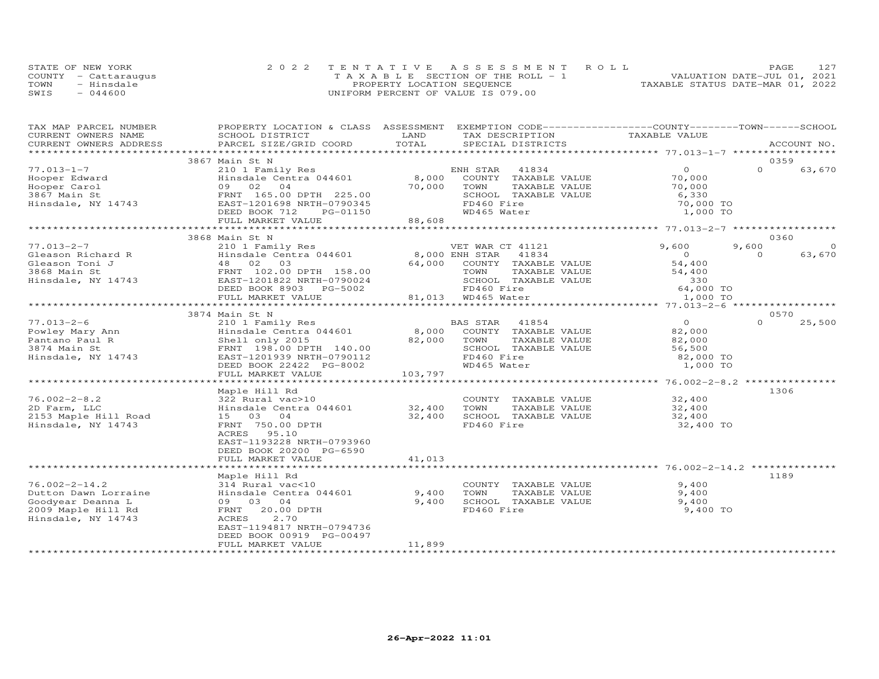|      | STATE OF NEW YORK    | 2022 TENTATIVE ASSESSMENT ROLL        | PAGE                             |
|------|----------------------|---------------------------------------|----------------------------------|
|      | COUNTY - Cattaraugus | T A X A B L E SECTION OF THE ROLL - 1 | VALUATION DATE-JUL 01, 2021      |
| TOWN | - Hinsdale           | PROPERTY LOCATION SEQUENCE            | TAXABLE STATUS DATE-MAR 01, 2022 |
| SWIS | $-044600$            | UNIFORM PERCENT OF VALUE IS 079.00    |                                  |

| LAND<br>TAXABLE VALUE<br>CURRENT OWNERS NAME<br>SCHOOL DISTRICT<br>TAX DESCRIPTION<br>PARCEL SIZE/GRID COORD<br>TOTAL<br>CURRENT OWNERS ADDRESS<br>SPECIAL DISTRICTS<br>ACCOUNT NO.<br>0359<br>3867 Main St N<br>$\Omega$<br>$\Omega$<br>210 1 Family Res<br>Hinsdale Centra 044601 18,000<br>ENH STAR 41834<br>63,670<br>Hooper Edward<br>Hooper Carol<br>3867 Main St<br>Hinsdale, NY 14743<br>COUNTY TAXABLE VALUE 70,000<br>70,000<br>TAXABLE VALUE<br>TOWN<br>70,000<br>09 02 04 (V.J.<br>FRNT 165.00 DPTH 225.00 (V.J.<br>6,330<br>SCHOOL TAXABLE VALUE<br>FD460 Fire<br>70,000 TO<br>DEED BOOK 712<br>WD465 Water<br>1,000 TO<br>FULL MARKET VALUE<br>0360<br>3868 Main St N<br>9,600<br>9,600<br>$\Omega$<br>210 1 Family Res<br>Hinsdale Centra 044601 8,000 ENH STAR 41834<br>Vietnam Richard R<br>Cleason Toni J<br>3868 Main St<br>Hinsdale Centra 044601<br>3868 Main St<br>Hinsdale, NY 14743<br>EAST-1201822 NRTH-0790024<br>PERSION 2903<br>PC-5002<br>$\overline{0}$<br>$\Omega$<br>63,670<br>54,400<br>64,000 COUNTY TAXABLE VALUE<br>TOWN<br>TAXABLE VALUE<br>54,400<br>SCHOOL TAXABLE VALUE<br>$330$<br>$64,000$ TO<br>DEED BOOK 8903 PG-5002<br>FD460 Fire<br>81,013 WD465 Water<br>FULL MARKET VALUE<br>1,000 TO<br>3874 Main St N<br>0570<br>$77.013 - 2 - 6$<br>$\overline{0}$<br>$\Omega$<br>25,500<br>Powley Mary Ann<br>Pantano Paul R<br>3874 Main St<br>Hinsdale, NY 14743<br>82,000<br>TAXABLE VALUE<br>Shell only 2015<br>82,000<br>FRNT 198.00 DPTH 140.00<br>SCHOOL TAXABLE VALUE<br>56,500<br>FD460 Fire<br>EAST-1201939 NRTH-0790112<br>82,000 TO<br>WD465 Water<br>1,000 TO<br>DEED BOOK 22422 PG-8002<br>103,797<br>FULL MARKET VALUE<br>1306<br>Maple Hill Rd<br>$76.002 - 2 - 8.2$<br>322 Rural vac>10<br>COUNTY TAXABLE VALUE<br>32,400<br>32,400<br>Hinsdale Centra 044601 32,400<br>TOWN<br>TAXABLE VALUE<br>2D Farm, LLC<br>2153 Maple Hill Road<br>15 03 04<br>32,400<br>SCHOOL TAXABLE VALUE<br>32,400<br>FRNT 750.00 DPTH<br>FD460 Fire<br>Hinsdale, NY 14743<br>32,400 TO<br>ACRES 95.10<br>EAST-1193228 NRTH-0793960<br>DEED BOOK 20200 PG-6590<br>FULL MARKET VALUE<br>41,013<br>1189<br>Maple Hill Rd<br>$76.002 - 2 - 14.2$<br>9,400<br>314 Rural vac<10<br>COUNTY TAXABLE VALUE<br>Hinsdale Centra 044601<br>9,400<br>Dutton Dawn Lorraine<br>TOWN<br>TAXABLE VALUE<br>$9,400$<br>$9,400$<br>9,400<br>Goodyear Deanna L<br>09 03 04<br>SCHOOL TAXABLE VALUE<br>FD460 Fire<br>2009 Maple Hill Rd<br>FRNT 20.00 DPTH<br>9,400 TO<br>2.70<br>Hinsdale, NY 14743<br>ACRES<br>EAST-1194817 NRTH-0794736<br>DEED BOOK 00919 PG-00497<br>11,899<br>FULL MARKET VALUE | TAX MAP PARCEL NUMBER | PROPERTY LOCATION & CLASS ASSESSMENT EXEMPTION CODE----------------COUNTY-------TOWN------SCHOOL |  |  |  |
|-------------------------------------------------------------------------------------------------------------------------------------------------------------------------------------------------------------------------------------------------------------------------------------------------------------------------------------------------------------------------------------------------------------------------------------------------------------------------------------------------------------------------------------------------------------------------------------------------------------------------------------------------------------------------------------------------------------------------------------------------------------------------------------------------------------------------------------------------------------------------------------------------------------------------------------------------------------------------------------------------------------------------------------------------------------------------------------------------------------------------------------------------------------------------------------------------------------------------------------------------------------------------------------------------------------------------------------------------------------------------------------------------------------------------------------------------------------------------------------------------------------------------------------------------------------------------------------------------------------------------------------------------------------------------------------------------------------------------------------------------------------------------------------------------------------------------------------------------------------------------------------------------------------------------------------------------------------------------------------------------------------------------------------------------------------------------------------------------------------------------------------------------------------------------------------------------------------------------------------------------------------------------------------------------------------------------------------------------------------------------------------------------------------------------------------------------------------------------------------------------------------------------------------------------------------------------------------------------------------------|-----------------------|--------------------------------------------------------------------------------------------------|--|--|--|
|                                                                                                                                                                                                                                                                                                                                                                                                                                                                                                                                                                                                                                                                                                                                                                                                                                                                                                                                                                                                                                                                                                                                                                                                                                                                                                                                                                                                                                                                                                                                                                                                                                                                                                                                                                                                                                                                                                                                                                                                                                                                                                                                                                                                                                                                                                                                                                                                                                                                                                                                                                                                                   |                       |                                                                                                  |  |  |  |
|                                                                                                                                                                                                                                                                                                                                                                                                                                                                                                                                                                                                                                                                                                                                                                                                                                                                                                                                                                                                                                                                                                                                                                                                                                                                                                                                                                                                                                                                                                                                                                                                                                                                                                                                                                                                                                                                                                                                                                                                                                                                                                                                                                                                                                                                                                                                                                                                                                                                                                                                                                                                                   |                       |                                                                                                  |  |  |  |
|                                                                                                                                                                                                                                                                                                                                                                                                                                                                                                                                                                                                                                                                                                                                                                                                                                                                                                                                                                                                                                                                                                                                                                                                                                                                                                                                                                                                                                                                                                                                                                                                                                                                                                                                                                                                                                                                                                                                                                                                                                                                                                                                                                                                                                                                                                                                                                                                                                                                                                                                                                                                                   |                       |                                                                                                  |  |  |  |
|                                                                                                                                                                                                                                                                                                                                                                                                                                                                                                                                                                                                                                                                                                                                                                                                                                                                                                                                                                                                                                                                                                                                                                                                                                                                                                                                                                                                                                                                                                                                                                                                                                                                                                                                                                                                                                                                                                                                                                                                                                                                                                                                                                                                                                                                                                                                                                                                                                                                                                                                                                                                                   |                       |                                                                                                  |  |  |  |
|                                                                                                                                                                                                                                                                                                                                                                                                                                                                                                                                                                                                                                                                                                                                                                                                                                                                                                                                                                                                                                                                                                                                                                                                                                                                                                                                                                                                                                                                                                                                                                                                                                                                                                                                                                                                                                                                                                                                                                                                                                                                                                                                                                                                                                                                                                                                                                                                                                                                                                                                                                                                                   | $77.013 - 1 - 7$      |                                                                                                  |  |  |  |
|                                                                                                                                                                                                                                                                                                                                                                                                                                                                                                                                                                                                                                                                                                                                                                                                                                                                                                                                                                                                                                                                                                                                                                                                                                                                                                                                                                                                                                                                                                                                                                                                                                                                                                                                                                                                                                                                                                                                                                                                                                                                                                                                                                                                                                                                                                                                                                                                                                                                                                                                                                                                                   |                       |                                                                                                  |  |  |  |
|                                                                                                                                                                                                                                                                                                                                                                                                                                                                                                                                                                                                                                                                                                                                                                                                                                                                                                                                                                                                                                                                                                                                                                                                                                                                                                                                                                                                                                                                                                                                                                                                                                                                                                                                                                                                                                                                                                                                                                                                                                                                                                                                                                                                                                                                                                                                                                                                                                                                                                                                                                                                                   |                       |                                                                                                  |  |  |  |
|                                                                                                                                                                                                                                                                                                                                                                                                                                                                                                                                                                                                                                                                                                                                                                                                                                                                                                                                                                                                                                                                                                                                                                                                                                                                                                                                                                                                                                                                                                                                                                                                                                                                                                                                                                                                                                                                                                                                                                                                                                                                                                                                                                                                                                                                                                                                                                                                                                                                                                                                                                                                                   |                       |                                                                                                  |  |  |  |
|                                                                                                                                                                                                                                                                                                                                                                                                                                                                                                                                                                                                                                                                                                                                                                                                                                                                                                                                                                                                                                                                                                                                                                                                                                                                                                                                                                                                                                                                                                                                                                                                                                                                                                                                                                                                                                                                                                                                                                                                                                                                                                                                                                                                                                                                                                                                                                                                                                                                                                                                                                                                                   |                       |                                                                                                  |  |  |  |
|                                                                                                                                                                                                                                                                                                                                                                                                                                                                                                                                                                                                                                                                                                                                                                                                                                                                                                                                                                                                                                                                                                                                                                                                                                                                                                                                                                                                                                                                                                                                                                                                                                                                                                                                                                                                                                                                                                                                                                                                                                                                                                                                                                                                                                                                                                                                                                                                                                                                                                                                                                                                                   |                       |                                                                                                  |  |  |  |
|                                                                                                                                                                                                                                                                                                                                                                                                                                                                                                                                                                                                                                                                                                                                                                                                                                                                                                                                                                                                                                                                                                                                                                                                                                                                                                                                                                                                                                                                                                                                                                                                                                                                                                                                                                                                                                                                                                                                                                                                                                                                                                                                                                                                                                                                                                                                                                                                                                                                                                                                                                                                                   |                       |                                                                                                  |  |  |  |
|                                                                                                                                                                                                                                                                                                                                                                                                                                                                                                                                                                                                                                                                                                                                                                                                                                                                                                                                                                                                                                                                                                                                                                                                                                                                                                                                                                                                                                                                                                                                                                                                                                                                                                                                                                                                                                                                                                                                                                                                                                                                                                                                                                                                                                                                                                                                                                                                                                                                                                                                                                                                                   |                       |                                                                                                  |  |  |  |
|                                                                                                                                                                                                                                                                                                                                                                                                                                                                                                                                                                                                                                                                                                                                                                                                                                                                                                                                                                                                                                                                                                                                                                                                                                                                                                                                                                                                                                                                                                                                                                                                                                                                                                                                                                                                                                                                                                                                                                                                                                                                                                                                                                                                                                                                                                                                                                                                                                                                                                                                                                                                                   |                       |                                                                                                  |  |  |  |
|                                                                                                                                                                                                                                                                                                                                                                                                                                                                                                                                                                                                                                                                                                                                                                                                                                                                                                                                                                                                                                                                                                                                                                                                                                                                                                                                                                                                                                                                                                                                                                                                                                                                                                                                                                                                                                                                                                                                                                                                                                                                                                                                                                                                                                                                                                                                                                                                                                                                                                                                                                                                                   | $77.013 - 2 - 7$      |                                                                                                  |  |  |  |
|                                                                                                                                                                                                                                                                                                                                                                                                                                                                                                                                                                                                                                                                                                                                                                                                                                                                                                                                                                                                                                                                                                                                                                                                                                                                                                                                                                                                                                                                                                                                                                                                                                                                                                                                                                                                                                                                                                                                                                                                                                                                                                                                                                                                                                                                                                                                                                                                                                                                                                                                                                                                                   |                       |                                                                                                  |  |  |  |
|                                                                                                                                                                                                                                                                                                                                                                                                                                                                                                                                                                                                                                                                                                                                                                                                                                                                                                                                                                                                                                                                                                                                                                                                                                                                                                                                                                                                                                                                                                                                                                                                                                                                                                                                                                                                                                                                                                                                                                                                                                                                                                                                                                                                                                                                                                                                                                                                                                                                                                                                                                                                                   |                       |                                                                                                  |  |  |  |
|                                                                                                                                                                                                                                                                                                                                                                                                                                                                                                                                                                                                                                                                                                                                                                                                                                                                                                                                                                                                                                                                                                                                                                                                                                                                                                                                                                                                                                                                                                                                                                                                                                                                                                                                                                                                                                                                                                                                                                                                                                                                                                                                                                                                                                                                                                                                                                                                                                                                                                                                                                                                                   |                       |                                                                                                  |  |  |  |
|                                                                                                                                                                                                                                                                                                                                                                                                                                                                                                                                                                                                                                                                                                                                                                                                                                                                                                                                                                                                                                                                                                                                                                                                                                                                                                                                                                                                                                                                                                                                                                                                                                                                                                                                                                                                                                                                                                                                                                                                                                                                                                                                                                                                                                                                                                                                                                                                                                                                                                                                                                                                                   |                       |                                                                                                  |  |  |  |
|                                                                                                                                                                                                                                                                                                                                                                                                                                                                                                                                                                                                                                                                                                                                                                                                                                                                                                                                                                                                                                                                                                                                                                                                                                                                                                                                                                                                                                                                                                                                                                                                                                                                                                                                                                                                                                                                                                                                                                                                                                                                                                                                                                                                                                                                                                                                                                                                                                                                                                                                                                                                                   |                       |                                                                                                  |  |  |  |
|                                                                                                                                                                                                                                                                                                                                                                                                                                                                                                                                                                                                                                                                                                                                                                                                                                                                                                                                                                                                                                                                                                                                                                                                                                                                                                                                                                                                                                                                                                                                                                                                                                                                                                                                                                                                                                                                                                                                                                                                                                                                                                                                                                                                                                                                                                                                                                                                                                                                                                                                                                                                                   |                       |                                                                                                  |  |  |  |
|                                                                                                                                                                                                                                                                                                                                                                                                                                                                                                                                                                                                                                                                                                                                                                                                                                                                                                                                                                                                                                                                                                                                                                                                                                                                                                                                                                                                                                                                                                                                                                                                                                                                                                                                                                                                                                                                                                                                                                                                                                                                                                                                                                                                                                                                                                                                                                                                                                                                                                                                                                                                                   |                       |                                                                                                  |  |  |  |
|                                                                                                                                                                                                                                                                                                                                                                                                                                                                                                                                                                                                                                                                                                                                                                                                                                                                                                                                                                                                                                                                                                                                                                                                                                                                                                                                                                                                                                                                                                                                                                                                                                                                                                                                                                                                                                                                                                                                                                                                                                                                                                                                                                                                                                                                                                                                                                                                                                                                                                                                                                                                                   |                       |                                                                                                  |  |  |  |
|                                                                                                                                                                                                                                                                                                                                                                                                                                                                                                                                                                                                                                                                                                                                                                                                                                                                                                                                                                                                                                                                                                                                                                                                                                                                                                                                                                                                                                                                                                                                                                                                                                                                                                                                                                                                                                                                                                                                                                                                                                                                                                                                                                                                                                                                                                                                                                                                                                                                                                                                                                                                                   |                       |                                                                                                  |  |  |  |
|                                                                                                                                                                                                                                                                                                                                                                                                                                                                                                                                                                                                                                                                                                                                                                                                                                                                                                                                                                                                                                                                                                                                                                                                                                                                                                                                                                                                                                                                                                                                                                                                                                                                                                                                                                                                                                                                                                                                                                                                                                                                                                                                                                                                                                                                                                                                                                                                                                                                                                                                                                                                                   |                       |                                                                                                  |  |  |  |
|                                                                                                                                                                                                                                                                                                                                                                                                                                                                                                                                                                                                                                                                                                                                                                                                                                                                                                                                                                                                                                                                                                                                                                                                                                                                                                                                                                                                                                                                                                                                                                                                                                                                                                                                                                                                                                                                                                                                                                                                                                                                                                                                                                                                                                                                                                                                                                                                                                                                                                                                                                                                                   |                       |                                                                                                  |  |  |  |
|                                                                                                                                                                                                                                                                                                                                                                                                                                                                                                                                                                                                                                                                                                                                                                                                                                                                                                                                                                                                                                                                                                                                                                                                                                                                                                                                                                                                                                                                                                                                                                                                                                                                                                                                                                                                                                                                                                                                                                                                                                                                                                                                                                                                                                                                                                                                                                                                                                                                                                                                                                                                                   |                       |                                                                                                  |  |  |  |
|                                                                                                                                                                                                                                                                                                                                                                                                                                                                                                                                                                                                                                                                                                                                                                                                                                                                                                                                                                                                                                                                                                                                                                                                                                                                                                                                                                                                                                                                                                                                                                                                                                                                                                                                                                                                                                                                                                                                                                                                                                                                                                                                                                                                                                                                                                                                                                                                                                                                                                                                                                                                                   |                       |                                                                                                  |  |  |  |
|                                                                                                                                                                                                                                                                                                                                                                                                                                                                                                                                                                                                                                                                                                                                                                                                                                                                                                                                                                                                                                                                                                                                                                                                                                                                                                                                                                                                                                                                                                                                                                                                                                                                                                                                                                                                                                                                                                                                                                                                                                                                                                                                                                                                                                                                                                                                                                                                                                                                                                                                                                                                                   |                       |                                                                                                  |  |  |  |
|                                                                                                                                                                                                                                                                                                                                                                                                                                                                                                                                                                                                                                                                                                                                                                                                                                                                                                                                                                                                                                                                                                                                                                                                                                                                                                                                                                                                                                                                                                                                                                                                                                                                                                                                                                                                                                                                                                                                                                                                                                                                                                                                                                                                                                                                                                                                                                                                                                                                                                                                                                                                                   |                       |                                                                                                  |  |  |  |
|                                                                                                                                                                                                                                                                                                                                                                                                                                                                                                                                                                                                                                                                                                                                                                                                                                                                                                                                                                                                                                                                                                                                                                                                                                                                                                                                                                                                                                                                                                                                                                                                                                                                                                                                                                                                                                                                                                                                                                                                                                                                                                                                                                                                                                                                                                                                                                                                                                                                                                                                                                                                                   |                       |                                                                                                  |  |  |  |
|                                                                                                                                                                                                                                                                                                                                                                                                                                                                                                                                                                                                                                                                                                                                                                                                                                                                                                                                                                                                                                                                                                                                                                                                                                                                                                                                                                                                                                                                                                                                                                                                                                                                                                                                                                                                                                                                                                                                                                                                                                                                                                                                                                                                                                                                                                                                                                                                                                                                                                                                                                                                                   |                       |                                                                                                  |  |  |  |
|                                                                                                                                                                                                                                                                                                                                                                                                                                                                                                                                                                                                                                                                                                                                                                                                                                                                                                                                                                                                                                                                                                                                                                                                                                                                                                                                                                                                                                                                                                                                                                                                                                                                                                                                                                                                                                                                                                                                                                                                                                                                                                                                                                                                                                                                                                                                                                                                                                                                                                                                                                                                                   |                       |                                                                                                  |  |  |  |
|                                                                                                                                                                                                                                                                                                                                                                                                                                                                                                                                                                                                                                                                                                                                                                                                                                                                                                                                                                                                                                                                                                                                                                                                                                                                                                                                                                                                                                                                                                                                                                                                                                                                                                                                                                                                                                                                                                                                                                                                                                                                                                                                                                                                                                                                                                                                                                                                                                                                                                                                                                                                                   |                       |                                                                                                  |  |  |  |
|                                                                                                                                                                                                                                                                                                                                                                                                                                                                                                                                                                                                                                                                                                                                                                                                                                                                                                                                                                                                                                                                                                                                                                                                                                                                                                                                                                                                                                                                                                                                                                                                                                                                                                                                                                                                                                                                                                                                                                                                                                                                                                                                                                                                                                                                                                                                                                                                                                                                                                                                                                                                                   |                       |                                                                                                  |  |  |  |
|                                                                                                                                                                                                                                                                                                                                                                                                                                                                                                                                                                                                                                                                                                                                                                                                                                                                                                                                                                                                                                                                                                                                                                                                                                                                                                                                                                                                                                                                                                                                                                                                                                                                                                                                                                                                                                                                                                                                                                                                                                                                                                                                                                                                                                                                                                                                                                                                                                                                                                                                                                                                                   |                       |                                                                                                  |  |  |  |
|                                                                                                                                                                                                                                                                                                                                                                                                                                                                                                                                                                                                                                                                                                                                                                                                                                                                                                                                                                                                                                                                                                                                                                                                                                                                                                                                                                                                                                                                                                                                                                                                                                                                                                                                                                                                                                                                                                                                                                                                                                                                                                                                                                                                                                                                                                                                                                                                                                                                                                                                                                                                                   |                       |                                                                                                  |  |  |  |
|                                                                                                                                                                                                                                                                                                                                                                                                                                                                                                                                                                                                                                                                                                                                                                                                                                                                                                                                                                                                                                                                                                                                                                                                                                                                                                                                                                                                                                                                                                                                                                                                                                                                                                                                                                                                                                                                                                                                                                                                                                                                                                                                                                                                                                                                                                                                                                                                                                                                                                                                                                                                                   |                       |                                                                                                  |  |  |  |
|                                                                                                                                                                                                                                                                                                                                                                                                                                                                                                                                                                                                                                                                                                                                                                                                                                                                                                                                                                                                                                                                                                                                                                                                                                                                                                                                                                                                                                                                                                                                                                                                                                                                                                                                                                                                                                                                                                                                                                                                                                                                                                                                                                                                                                                                                                                                                                                                                                                                                                                                                                                                                   |                       |                                                                                                  |  |  |  |
|                                                                                                                                                                                                                                                                                                                                                                                                                                                                                                                                                                                                                                                                                                                                                                                                                                                                                                                                                                                                                                                                                                                                                                                                                                                                                                                                                                                                                                                                                                                                                                                                                                                                                                                                                                                                                                                                                                                                                                                                                                                                                                                                                                                                                                                                                                                                                                                                                                                                                                                                                                                                                   |                       |                                                                                                  |  |  |  |
|                                                                                                                                                                                                                                                                                                                                                                                                                                                                                                                                                                                                                                                                                                                                                                                                                                                                                                                                                                                                                                                                                                                                                                                                                                                                                                                                                                                                                                                                                                                                                                                                                                                                                                                                                                                                                                                                                                                                                                                                                                                                                                                                                                                                                                                                                                                                                                                                                                                                                                                                                                                                                   |                       |                                                                                                  |  |  |  |
|                                                                                                                                                                                                                                                                                                                                                                                                                                                                                                                                                                                                                                                                                                                                                                                                                                                                                                                                                                                                                                                                                                                                                                                                                                                                                                                                                                                                                                                                                                                                                                                                                                                                                                                                                                                                                                                                                                                                                                                                                                                                                                                                                                                                                                                                                                                                                                                                                                                                                                                                                                                                                   |                       |                                                                                                  |  |  |  |
|                                                                                                                                                                                                                                                                                                                                                                                                                                                                                                                                                                                                                                                                                                                                                                                                                                                                                                                                                                                                                                                                                                                                                                                                                                                                                                                                                                                                                                                                                                                                                                                                                                                                                                                                                                                                                                                                                                                                                                                                                                                                                                                                                                                                                                                                                                                                                                                                                                                                                                                                                                                                                   |                       |                                                                                                  |  |  |  |
|                                                                                                                                                                                                                                                                                                                                                                                                                                                                                                                                                                                                                                                                                                                                                                                                                                                                                                                                                                                                                                                                                                                                                                                                                                                                                                                                                                                                                                                                                                                                                                                                                                                                                                                                                                                                                                                                                                                                                                                                                                                                                                                                                                                                                                                                                                                                                                                                                                                                                                                                                                                                                   |                       |                                                                                                  |  |  |  |
|                                                                                                                                                                                                                                                                                                                                                                                                                                                                                                                                                                                                                                                                                                                                                                                                                                                                                                                                                                                                                                                                                                                                                                                                                                                                                                                                                                                                                                                                                                                                                                                                                                                                                                                                                                                                                                                                                                                                                                                                                                                                                                                                                                                                                                                                                                                                                                                                                                                                                                                                                                                                                   |                       |                                                                                                  |  |  |  |
|                                                                                                                                                                                                                                                                                                                                                                                                                                                                                                                                                                                                                                                                                                                                                                                                                                                                                                                                                                                                                                                                                                                                                                                                                                                                                                                                                                                                                                                                                                                                                                                                                                                                                                                                                                                                                                                                                                                                                                                                                                                                                                                                                                                                                                                                                                                                                                                                                                                                                                                                                                                                                   |                       |                                                                                                  |  |  |  |
|                                                                                                                                                                                                                                                                                                                                                                                                                                                                                                                                                                                                                                                                                                                                                                                                                                                                                                                                                                                                                                                                                                                                                                                                                                                                                                                                                                                                                                                                                                                                                                                                                                                                                                                                                                                                                                                                                                                                                                                                                                                                                                                                                                                                                                                                                                                                                                                                                                                                                                                                                                                                                   |                       |                                                                                                  |  |  |  |
|                                                                                                                                                                                                                                                                                                                                                                                                                                                                                                                                                                                                                                                                                                                                                                                                                                                                                                                                                                                                                                                                                                                                                                                                                                                                                                                                                                                                                                                                                                                                                                                                                                                                                                                                                                                                                                                                                                                                                                                                                                                                                                                                                                                                                                                                                                                                                                                                                                                                                                                                                                                                                   |                       |                                                                                                  |  |  |  |
|                                                                                                                                                                                                                                                                                                                                                                                                                                                                                                                                                                                                                                                                                                                                                                                                                                                                                                                                                                                                                                                                                                                                                                                                                                                                                                                                                                                                                                                                                                                                                                                                                                                                                                                                                                                                                                                                                                                                                                                                                                                                                                                                                                                                                                                                                                                                                                                                                                                                                                                                                                                                                   |                       |                                                                                                  |  |  |  |
|                                                                                                                                                                                                                                                                                                                                                                                                                                                                                                                                                                                                                                                                                                                                                                                                                                                                                                                                                                                                                                                                                                                                                                                                                                                                                                                                                                                                                                                                                                                                                                                                                                                                                                                                                                                                                                                                                                                                                                                                                                                                                                                                                                                                                                                                                                                                                                                                                                                                                                                                                                                                                   |                       |                                                                                                  |  |  |  |
|                                                                                                                                                                                                                                                                                                                                                                                                                                                                                                                                                                                                                                                                                                                                                                                                                                                                                                                                                                                                                                                                                                                                                                                                                                                                                                                                                                                                                                                                                                                                                                                                                                                                                                                                                                                                                                                                                                                                                                                                                                                                                                                                                                                                                                                                                                                                                                                                                                                                                                                                                                                                                   |                       |                                                                                                  |  |  |  |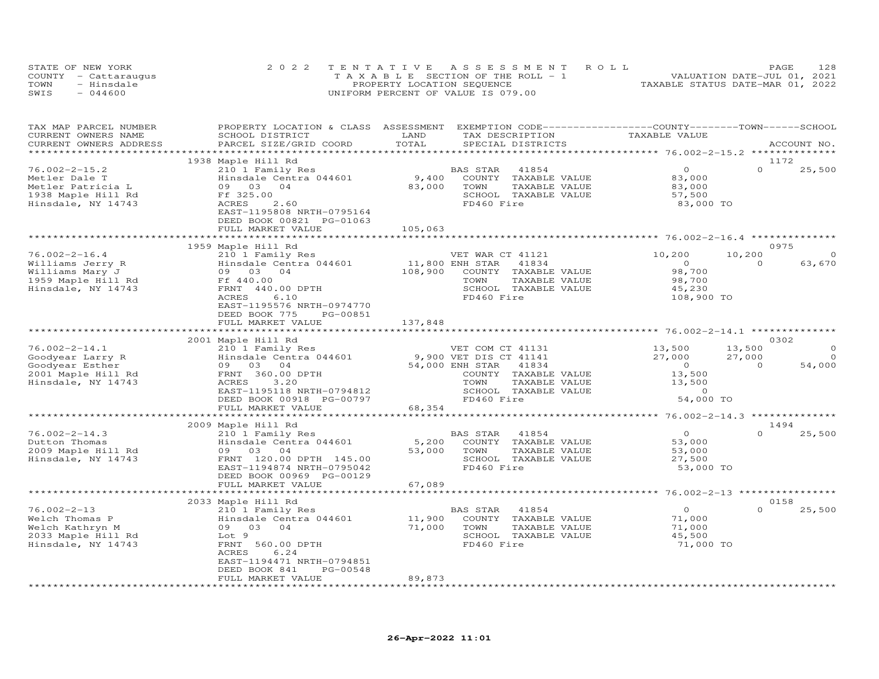|      | STATE OF NEW YORK    | 2022 TENTATIVE ASSESSMENT ROLL     | 128<br>PAGE.                     |
|------|----------------------|------------------------------------|----------------------------------|
|      | COUNTY - Cattaraugus | TAXABLE SECTION OF THE ROLL - 1    | VALUATION DATE-JUL 01, 2021      |
| TOWN | - Hinsdale           | PROPERTY LOCATION SEQUENCE         | TAXABLE STATUS DATE-MAR 01, 2022 |
| SWIS | $-044600$            | UNIFORM PERCENT OF VALUE IS 079.00 |                                  |

| TAX MAP PARCEL NUMBER<br>CURRENT OWNERS NAME<br>CURRENT OWNERS ADDRESS | PROPERTY LOCATION & CLASS ASSESSMENT EXEMPTION CODE----------------COUNTY-------TOWN------SCHOOL<br>SCHOOL DISTRICT<br>PARCEL SIZE/GRID COORD | LAND<br>TOTAL                 | TAX DESCRIPTION<br>SPECIAL DISTRICTS          | TAXABLE VALUE                                    | ACCOUNT NO.                          |
|------------------------------------------------------------------------|-----------------------------------------------------------------------------------------------------------------------------------------------|-------------------------------|-----------------------------------------------|--------------------------------------------------|--------------------------------------|
|                                                                        |                                                                                                                                               | ***************************** |                                               | ****************** 76.002-2-15.2 *************** |                                      |
|                                                                        | 1938 Maple Hill Rd                                                                                                                            |                               |                                               |                                                  | 1172                                 |
| $76.002 - 2 - 15.2$                                                    | 210 1 Family Res                                                                                                                              |                               | BAS STAR<br>41854                             | $\circ$                                          | $\Omega$<br>25,500                   |
| Metler Dale T                                                          | Hinsdale Centra 044601                                                                                                                        | 9,400                         | COUNTY TAXABLE VALUE                          | 83,000                                           |                                      |
| Metler Patricia L                                                      | 09 03<br>04                                                                                                                                   | 83,000                        | TOWN<br>TAXABLE VALUE                         | 83,000                                           |                                      |
| 1938 Maple Hill Rd                                                     | Ff 325.00                                                                                                                                     |                               | SCHOOL TAXABLE VALUE                          | 57,500                                           |                                      |
| Hinsdale, NY 14743                                                     | ACRES<br>2.60                                                                                                                                 |                               | FD460 Fire                                    | 83,000 TO                                        |                                      |
|                                                                        | EAST-1195808 NRTH-0795164<br>DEED BOOK 00821 PG-01063                                                                                         |                               |                                               |                                                  |                                      |
|                                                                        | FULL MARKET VALUE                                                                                                                             | 105,063                       |                                               |                                                  |                                      |
|                                                                        |                                                                                                                                               |                               |                                               |                                                  |                                      |
|                                                                        | 1959 Maple Hill Rd                                                                                                                            |                               |                                               |                                                  | 0975                                 |
| $76.002 - 2 - 16.4$                                                    | 210 1 Family Res                                                                                                                              |                               | VET WAR CT 41121                              | 10,200                                           | 10,200                               |
| Williams Jerry R                                                       | Hinsdale Centra 044601                                                                                                                        | 11,800 ENH STAR               | 41834                                         | $\overline{O}$                                   | $\Omega$<br>63,670                   |
| Williams Mary J                                                        | 09 03 04                                                                                                                                      | 108,900                       | COUNTY TAXABLE VALUE                          | 98,700                                           |                                      |
| 1959 Maple Hill Rd                                                     | Ff 440.00                                                                                                                                     |                               | TOWN<br>TAXABLE VALUE                         | 98,700                                           |                                      |
| Hinsdale, NY 14743                                                     | FRNT 440.00 DPTH                                                                                                                              |                               | SCHOOL TAXABLE VALUE                          | 45,230                                           |                                      |
|                                                                        | ACRES<br>6.10                                                                                                                                 |                               | FD460 Fire                                    | 108,900 TO                                       |                                      |
|                                                                        | EAST-1195576 NRTH-0974770                                                                                                                     |                               |                                               |                                                  |                                      |
|                                                                        | DEED BOOK 775<br>PG-00851                                                                                                                     |                               |                                               |                                                  |                                      |
|                                                                        | FULL MARKET VALUE                                                                                                                             | 137,848                       |                                               |                                                  |                                      |
|                                                                        | *************************                                                                                                                     |                               |                                               |                                                  |                                      |
|                                                                        | 2001 Maple Hill Rd                                                                                                                            |                               |                                               |                                                  | 0302                                 |
| $76.002 - 2 - 14.1$                                                    | 210 1 Family Res                                                                                                                              |                               | VET COM CT 41131                              | 13,500                                           | 13,500                               |
| Goodyear Larry R                                                       | Hinsdale Centra 044601                                                                                                                        |                               | 9,900 VET DIS CT 41141                        | 27,000<br>$\overline{0}$                         | 27,000<br>$\Omega$<br>$\overline{0}$ |
| Goodyear Esther<br>2001 Maple Hill Rd                                  | 09 03 04<br>FRNT 360.00 DPTH                                                                                                                  |                               | 54,000 ENH STAR 41834<br>COUNTY TAXABLE VALUE | 13,500                                           | 54,000                               |
| Hinsdale, NY 14743                                                     | 3,20<br>ACRES                                                                                                                                 |                               | TAXABLE VALUE<br>TOWN                         | 13,500                                           |                                      |
|                                                                        | EAST-1195118 NRTH-0794812                                                                                                                     |                               | SCHOOL TAXABLE VALUE                          | $\overline{a}$                                   |                                      |
|                                                                        | DEED BOOK 00918 PG-00797                                                                                                                      |                               | FD460 Fire                                    | 54,000 TO                                        |                                      |
|                                                                        | FULL MARKET VALUE                                                                                                                             | 68,354                        |                                               |                                                  |                                      |
|                                                                        |                                                                                                                                               |                               |                                               |                                                  |                                      |
|                                                                        | 2009 Maple Hill Rd                                                                                                                            |                               |                                               |                                                  | 1494                                 |
| $76.002 - 2 - 14.3$                                                    | 210 1 Family Res                                                                                                                              |                               | BAS STAR<br>41854                             | $\overline{O}$                                   | $\Omega$<br>25,500                   |
| Dutton Thomas                                                          | Hinsdale Centra 044601                                                                                                                        | 5,200                         | COUNTY TAXABLE VALUE                          | 53,000                                           |                                      |
| 2009 Maple Hill Rd                                                     | 09 03<br>04                                                                                                                                   | 53,000                        | TOWN<br>TAXABLE VALUE                         | 53,000                                           |                                      |
| Hinsdale, NY 14743                                                     | FRNT 120.00 DPTH 145.00                                                                                                                       |                               | SCHOOL TAXABLE VALUE                          | 27,500                                           |                                      |
|                                                                        | EAST-1194874 NRTH-0795042                                                                                                                     |                               | FD460 Fire                                    | 53,000 TO                                        |                                      |
|                                                                        | DEED BOOK 00969 PG-00129                                                                                                                      |                               |                                               |                                                  |                                      |
|                                                                        | FULL MARKET VALUE                                                                                                                             | 67,089<br>*********           |                                               |                                                  |                                      |
|                                                                        |                                                                                                                                               |                               |                                               | ************ 76.002-2-13 *****************       | 0158                                 |
| $76.002 - 2 - 13$                                                      | 2033 Maple Hill Rd<br>210 1 Family Res                                                                                                        |                               | BAS STAR<br>41854                             | $\circ$                                          | $\Omega$<br>25,500                   |
| Welch Thomas P                                                         | Hinsdale Centra 044601                                                                                                                        | 11,900                        | COUNTY TAXABLE VALUE                          | 71,000                                           |                                      |
| Welch Kathryn M                                                        | 09<br>03 04                                                                                                                                   | 71,000                        | TOWN<br>TAXABLE VALUE                         | 71,000                                           |                                      |
| 2033 Maple Hill Rd                                                     | Lot 9                                                                                                                                         |                               | SCHOOL TAXABLE VALUE                          | 45,500                                           |                                      |
| Hinsdale, NY 14743                                                     | FRNT 560.00 DPTH                                                                                                                              |                               | FD460 Fire                                    | 71,000 TO                                        |                                      |
|                                                                        | ACRES<br>6.24                                                                                                                                 |                               |                                               |                                                  |                                      |
|                                                                        | EAST-1194471 NRTH-0794851                                                                                                                     |                               |                                               |                                                  |                                      |
|                                                                        | DEED BOOK 841<br>PG-00548                                                                                                                     |                               |                                               |                                                  |                                      |
|                                                                        | FULL MARKET VALUE                                                                                                                             | 89,873                        |                                               |                                                  |                                      |
|                                                                        |                                                                                                                                               |                               |                                               |                                                  |                                      |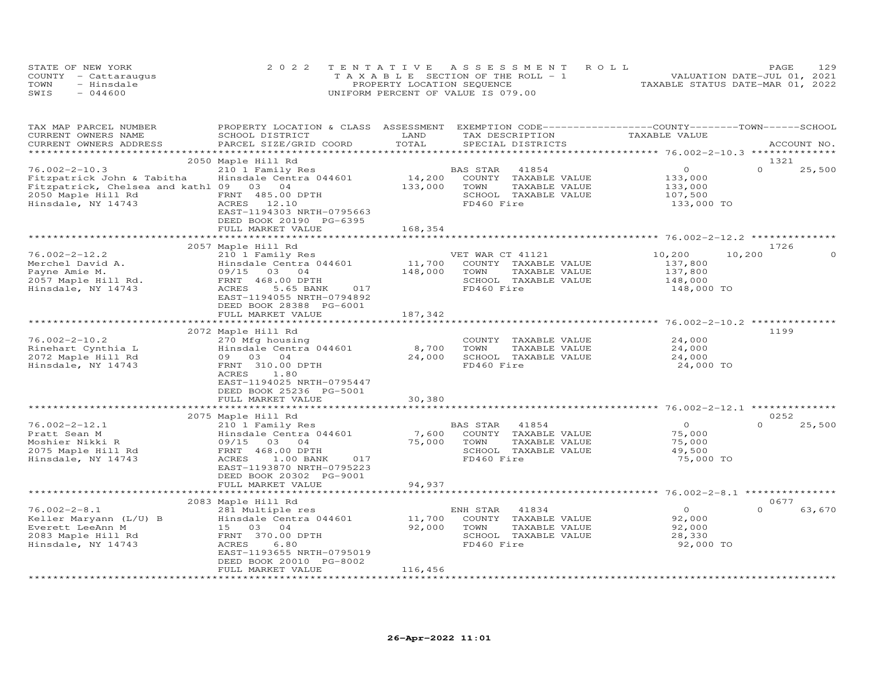|      | STATE OF NEW YORK    | 2022 TENTATIVE ASSESSMENT ROLL        | PAGE                             | 129 |
|------|----------------------|---------------------------------------|----------------------------------|-----|
|      | COUNTY - Cattaraugus | T A X A B L E SECTION OF THE ROLL - 1 | VALUATION DATE-JUL 01, 2021      |     |
| TOWN | - Hinsdale           | PROPERTY LOCATION SEQUENCE            | TAXABLE STATUS DATE-MAR 01, 2022 |     |
| SWIS | $-044600$            | UNIFORM PERCENT OF VALUE IS 079.00    |                                  |     |

| TAX MAP PARCEL NUMBER<br>CURRENT OWNERS NAME<br>CURRENT OWNERS ADDRESS | PROPERTY LOCATION & CLASS ASSESSMENT EXEMPTION CODE-----------------COUNTY-------TOWN------SCHOOL<br>SCHOOL DISTRICT<br>PARCEL SIZE/GRID COORD | LAND<br>TOTAL | TAX DESCRIPTION<br>SPECIAL DISTRICTS | TAXABLE VALUE         | ACCOUNT NO.                |
|------------------------------------------------------------------------|------------------------------------------------------------------------------------------------------------------------------------------------|---------------|--------------------------------------|-----------------------|----------------------------|
|                                                                        |                                                                                                                                                |               |                                      |                       |                            |
|                                                                        | 2050 Maple Hill Rd                                                                                                                             |               |                                      |                       | 1321                       |
| $76.002 - 2 - 10.3$                                                    | 210 1 Family Res                                                                                                                               |               | BAS STAR<br>41854                    | $\overline{O}$        | $\Omega$<br>25,500         |
| Fitzpatrick John & Tabitha                                             | Hinsdale Centra 044601                                                                                                                         | 14,200        | COUNTY TAXABLE VALUE                 | 133,000               |                            |
| Fitzpatrick, Chelsea and kathl 09 03 04                                |                                                                                                                                                | 133,000       | TOWN<br>TAXABLE VALUE                | 133,000               |                            |
| 2050 Maple Hill Rd<br>Hinsdale, NY 14743                               | FRNT 485.00 DPTH<br>ACRES 12.10                                                                                                                |               | SCHOOL TAXABLE VALUE<br>FD460 Fire   | 107,500<br>133,000 TO |                            |
|                                                                        | EAST-1194303 NRTH-0795663                                                                                                                      |               |                                      |                       |                            |
|                                                                        | DEED BOOK 20190 PG-6395                                                                                                                        |               |                                      |                       |                            |
|                                                                        | FULL MARKET VALUE                                                                                                                              | 168,354       |                                      |                       |                            |
|                                                                        |                                                                                                                                                |               |                                      |                       |                            |
|                                                                        | 2057 Maple Hill Rd                                                                                                                             |               |                                      |                       | 1726                       |
| $76.002 - 2 - 12.2$                                                    | 210 1 Family Res                                                                                                                               |               | VET WAR CT 41121                     | 10,200<br>10,200      | $\circ$                    |
| Merchel David A.                                                       | Hinsdale Centra 044601                                                                                                                         | 11,700        | COUNTY TAXABLE VALUE                 | 137,800               |                            |
| Payne Amie M.                                                          | 09/15 03 04                                                                                                                                    | 148,000       | TOWN<br>TAXABLE VALUE                | 137,800               |                            |
| 2057 Maple Hill Rd.                                                    | FRNT 468.00 DPTH<br>017                                                                                                                        |               | SCHOOL TAXABLE VALUE                 | 148,000               |                            |
| Hinsdale, NY 14743                                                     | ACRES<br>5.65 BANK<br>EAST-1194055 NRTH-0794892                                                                                                |               | FD460 Fire                           | 148,000 TO            |                            |
|                                                                        | DEED BOOK 28388 PG-6001                                                                                                                        |               |                                      |                       |                            |
|                                                                        | FULL MARKET VALUE                                                                                                                              | 187,342       |                                      |                       |                            |
|                                                                        |                                                                                                                                                |               |                                      |                       |                            |
|                                                                        | 2072 Maple Hill Rd                                                                                                                             |               |                                      |                       | 1199                       |
| $76.002 - 2 - 10.2$                                                    | 270 Mfg housing                                                                                                                                |               | COUNTY TAXABLE VALUE                 | 24,000                |                            |
| Rinehart Cynthia L                                                     | Hinsdale Centra 044601                                                                                                                         | 8,700         | TOWN<br>TAXABLE VALUE                | 24,000                |                            |
| 2072 Maple Hill Rd                                                     | 09 03 04                                                                                                                                       | 24,000        | SCHOOL TAXABLE VALUE                 | 24,000                |                            |
| Hinsdale, NY 14743                                                     | FRNT 310.00 DPTH                                                                                                                               |               | FD460 Fire                           | 24,000 TO             |                            |
|                                                                        | ACRES<br>1.80                                                                                                                                  |               |                                      |                       |                            |
|                                                                        | EAST-1194025 NRTH-0795447                                                                                                                      |               |                                      |                       |                            |
|                                                                        | DEED BOOK 25236 PG-5001<br>FULL MARKET VALUE                                                                                                   | 30,380        |                                      |                       |                            |
|                                                                        |                                                                                                                                                |               |                                      |                       |                            |
|                                                                        | 2075 Maple Hill Rd                                                                                                                             |               |                                      |                       | 0252                       |
| $76.002 - 2 - 12.1$                                                    | 210 1 Family Res                                                                                                                               |               | BAS STAR 41854                       | $\circ$               | $\Omega$<br>25,500         |
| Pratt Sean M                                                           | Hinsdale Centra 044601                                                                                                                         |               | 7,600 COUNTY TAXABLE VALUE           | 75,000                |                            |
| Moshier Nikki R                                                        | 09/15 03 04                                                                                                                                    | 75,000 TOWN   | TAXABLE VALUE                        | 75,000                |                            |
| 2075 Maple Hill Rd                                                     | FRNT 468.00 DPTH                                                                                                                               |               | SCHOOL TAXABLE VALUE                 | 49,500                |                            |
| Hinsdale, NY 14743                                                     | ACRES<br>1.00 BANK<br>017                                                                                                                      |               | FD460 Fire                           | 75,000 TO             |                            |
|                                                                        | EAST-1193870 NRTH-0795223                                                                                                                      |               |                                      |                       |                            |
|                                                                        | DEED BOOK 20302 PG-9001                                                                                                                        |               |                                      |                       |                            |
|                                                                        | FULL MARKET VALUE                                                                                                                              | 94,937        |                                      |                       |                            |
|                                                                        |                                                                                                                                                |               |                                      |                       |                            |
| $76.002 - 2 - 8.1$                                                     | 2083 Maple Hill Rd<br>281 Multiple res                                                                                                         |               | ENH STAR<br>41834                    | $\circ$               | 0677<br>$\Omega$<br>63,670 |
| Keller Maryann (L/U) B                                                 | Hinsdale Centra 044601                                                                                                                         | 11,700        | COUNTY TAXABLE VALUE                 | 92,000                |                            |
| Everett LeeAnn M                                                       | 15 03 04                                                                                                                                       | 92,000        | TOWN<br>TAXABLE VALUE                | 92,000                |                            |
| 2083 Maple Hill Rd                                                     | FRNT 370.00 DPTH                                                                                                                               |               | SCHOOL TAXABLE VALUE                 | 28,330                |                            |
| Hinsdale, NY 14743                                                     | 6.80<br>ACRES                                                                                                                                  |               | FD460 Fire                           | 92,000 TO             |                            |
|                                                                        | EAST-1193655 NRTH-0795019                                                                                                                      |               |                                      |                       |                            |
|                                                                        | DEED BOOK 20010 PG-8002                                                                                                                        |               |                                      |                       |                            |
|                                                                        | FULL MARKET VALUE                                                                                                                              | 116,456       |                                      |                       |                            |
|                                                                        |                                                                                                                                                |               |                                      |                       |                            |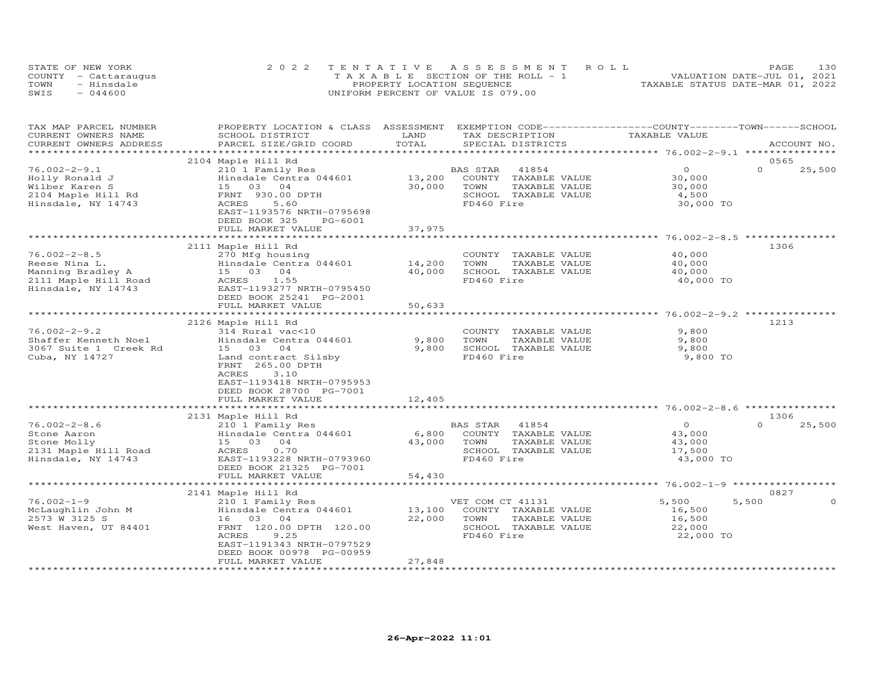|      | STATE OF NEW YORK    | 2022 TENTATIVE ASSESSMENT ROLL        | 130<br>PAGE                      |
|------|----------------------|---------------------------------------|----------------------------------|
|      | COUNTY - Cattaraugus | T A X A B L E SECTION OF THE ROLL - 1 | VALUATION DATE-JUL 01, 2021      |
| TOWN | - Hinsdale           | PROPERTY LOCATION SEQUENCE            | TAXABLE STATUS DATE-MAR 01, 2022 |
| SWIS | $-044600$            | UNIFORM PERCENT OF VALUE IS 079.00    |                                  |

| 0565<br>2104 Maple Hill Rd<br>$\Omega$<br>$\Omega$<br>25,500<br>210 1 Family Res<br>BAS STAR<br>41854<br>13,200<br>COUNTY TAXABLE VALUE<br>30,000<br>Hinsdale Centra 044601<br>30,000<br>TOWN<br>30,000<br>15 03<br>04<br>TAXABLE VALUE<br>FRNT 930.00 DPTH<br>SCHOOL TAXABLE VALUE<br>4,500<br>5.60<br>FD460 Fire<br>30,000 TO<br>ACRES<br>EAST-1193576 NRTH-0795698<br>DEED BOOK 325<br>PG-6001<br>FULL MARKET VALUE<br>37,975<br>********************* 76.002-2-8.5 ****************<br>***********<br>***********************<br>1306<br>2111 Maple Hill Rd<br>$76.002 - 2 - 8.5$<br>270 Mfg housing<br>COUNTY TAXABLE VALUE<br>40,000<br>14,200<br>TOWN<br>Reese Nina L.<br>Hinsdale Centra 044601<br>TAXABLE VALUE<br>40,000<br>Manning Bradley A<br>15 03 04<br>40,000<br>SCHOOL TAXABLE VALUE<br>40,000<br>2111 Maple Hill Road<br>FD460 Fire<br>ACRES<br>1.55<br>40,000 TO<br>Hinsdale, NY 14743<br>EAST-1193277 NRTH-0795450<br>DEED BOOK 25241 PG-2001<br>50,633<br>FULL MARKET VALUE<br>1213<br>2126 Maple Hill Rd<br>$76.002 - 2 - 9.2$<br>314 Rural vac<10<br>COUNTY TAXABLE VALUE<br>9,800<br>Hinsdale Centra 044601<br>9,800<br>TOWN<br>9,800<br>TAXABLE VALUE<br>15 03 04<br>9,800<br>SCHOOL TAXABLE VALUE<br>9,800<br>FD460 Fire<br>Land contract Silsby<br>9,800 TO<br>FRNT 265.00 DPTH<br>ACRES<br>3.10<br>EAST-1193418 NRTH-0795953<br>DEED BOOK 28700 PG-7001<br>FULL MARKET VALUE<br>12,405<br>2131 Maple Hill Rd<br>1306<br>$76.002 - 2 - 8.6$<br>$\Omega$<br>25,500<br>210 1 Family Res<br>BAS STAR<br>41854<br>$\overline{0}$<br>6,800<br>COUNTY TAXABLE VALUE<br>Stone Aaron<br>Hinsdale Centra 044601<br>43,000<br>Stone Molly<br>43,000<br>TAXABLE VALUE<br>15 03 04<br>TOWN<br>43,000<br>2131 Maple Hill Road<br>ACRES<br>0.70<br>SCHOOL TAXABLE VALUE<br>17,500<br>FD460 Fire<br>Hinsdale, NY 14743<br>EAST-1193228 NRTH-0793960<br>43,000 TO<br>DEED BOOK 21325 PG-7001<br>54,430<br>FULL MARKET VALUE<br>0827<br>2141 Maple Hill Rd<br>210 1 Family Res<br>VET COM CT 41131<br>5,500<br>5,500<br>$\Omega$<br>13,100<br>16,500<br>Hinsdale Centra 044601<br>COUNTY TAXABLE VALUE<br>16 03 04<br>22,000<br>TOWN<br>16,500<br>TAXABLE VALUE<br>FRNT 120.00 DPTH 120.00<br>SCHOOL TAXABLE VALUE<br>22,000<br><b>ACRES</b><br>9.25<br>FD460 Fire<br>22,000 TO<br>EAST-1191343 NRTH-0797529<br>DEED BOOK 00978 PG-00959<br>27,848<br>FULL MARKET VALUE | TAX MAP PARCEL NUMBER<br>CURRENT OWNERS NAME<br>CURRENT OWNERS ADDRESS | PROPERTY LOCATION & CLASS ASSESSMENT EXEMPTION CODE----------------COUNTY--------TOWN------SCHOOL<br>SCHOOL DISTRICT<br>PARCEL SIZE/GRID COORD | LAND<br>TOTAL | TAX DESCRIPTION<br>SPECIAL DISTRICTS | TAXABLE VALUE | ACCOUNT NO. |
|-----------------------------------------------------------------------------------------------------------------------------------------------------------------------------------------------------------------------------------------------------------------------------------------------------------------------------------------------------------------------------------------------------------------------------------------------------------------------------------------------------------------------------------------------------------------------------------------------------------------------------------------------------------------------------------------------------------------------------------------------------------------------------------------------------------------------------------------------------------------------------------------------------------------------------------------------------------------------------------------------------------------------------------------------------------------------------------------------------------------------------------------------------------------------------------------------------------------------------------------------------------------------------------------------------------------------------------------------------------------------------------------------------------------------------------------------------------------------------------------------------------------------------------------------------------------------------------------------------------------------------------------------------------------------------------------------------------------------------------------------------------------------------------------------------------------------------------------------------------------------------------------------------------------------------------------------------------------------------------------------------------------------------------------------------------------------------------------------------------------------------------------------------------------------------------------------------------------------------------------------------------------------------------------------------------------------------------------------------------------------------------|------------------------------------------------------------------------|------------------------------------------------------------------------------------------------------------------------------------------------|---------------|--------------------------------------|---------------|-------------|
|                                                                                                                                                                                                                                                                                                                                                                                                                                                                                                                                                                                                                                                                                                                                                                                                                                                                                                                                                                                                                                                                                                                                                                                                                                                                                                                                                                                                                                                                                                                                                                                                                                                                                                                                                                                                                                                                                                                                                                                                                                                                                                                                                                                                                                                                                                                                                                                   |                                                                        |                                                                                                                                                |               |                                      |               |             |
|                                                                                                                                                                                                                                                                                                                                                                                                                                                                                                                                                                                                                                                                                                                                                                                                                                                                                                                                                                                                                                                                                                                                                                                                                                                                                                                                                                                                                                                                                                                                                                                                                                                                                                                                                                                                                                                                                                                                                                                                                                                                                                                                                                                                                                                                                                                                                                                   |                                                                        |                                                                                                                                                |               |                                      |               |             |
|                                                                                                                                                                                                                                                                                                                                                                                                                                                                                                                                                                                                                                                                                                                                                                                                                                                                                                                                                                                                                                                                                                                                                                                                                                                                                                                                                                                                                                                                                                                                                                                                                                                                                                                                                                                                                                                                                                                                                                                                                                                                                                                                                                                                                                                                                                                                                                                   | $76.002 - 2 - 9.1$                                                     |                                                                                                                                                |               |                                      |               |             |
|                                                                                                                                                                                                                                                                                                                                                                                                                                                                                                                                                                                                                                                                                                                                                                                                                                                                                                                                                                                                                                                                                                                                                                                                                                                                                                                                                                                                                                                                                                                                                                                                                                                                                                                                                                                                                                                                                                                                                                                                                                                                                                                                                                                                                                                                                                                                                                                   | Holly Ronald J                                                         |                                                                                                                                                |               |                                      |               |             |
|                                                                                                                                                                                                                                                                                                                                                                                                                                                                                                                                                                                                                                                                                                                                                                                                                                                                                                                                                                                                                                                                                                                                                                                                                                                                                                                                                                                                                                                                                                                                                                                                                                                                                                                                                                                                                                                                                                                                                                                                                                                                                                                                                                                                                                                                                                                                                                                   | Wilber Karen S                                                         |                                                                                                                                                |               |                                      |               |             |
|                                                                                                                                                                                                                                                                                                                                                                                                                                                                                                                                                                                                                                                                                                                                                                                                                                                                                                                                                                                                                                                                                                                                                                                                                                                                                                                                                                                                                                                                                                                                                                                                                                                                                                                                                                                                                                                                                                                                                                                                                                                                                                                                                                                                                                                                                                                                                                                   | 2104 Maple Hill Rd                                                     |                                                                                                                                                |               |                                      |               |             |
|                                                                                                                                                                                                                                                                                                                                                                                                                                                                                                                                                                                                                                                                                                                                                                                                                                                                                                                                                                                                                                                                                                                                                                                                                                                                                                                                                                                                                                                                                                                                                                                                                                                                                                                                                                                                                                                                                                                                                                                                                                                                                                                                                                                                                                                                                                                                                                                   | Hinsdale, NY 14743                                                     |                                                                                                                                                |               |                                      |               |             |
|                                                                                                                                                                                                                                                                                                                                                                                                                                                                                                                                                                                                                                                                                                                                                                                                                                                                                                                                                                                                                                                                                                                                                                                                                                                                                                                                                                                                                                                                                                                                                                                                                                                                                                                                                                                                                                                                                                                                                                                                                                                                                                                                                                                                                                                                                                                                                                                   |                                                                        |                                                                                                                                                |               |                                      |               |             |
|                                                                                                                                                                                                                                                                                                                                                                                                                                                                                                                                                                                                                                                                                                                                                                                                                                                                                                                                                                                                                                                                                                                                                                                                                                                                                                                                                                                                                                                                                                                                                                                                                                                                                                                                                                                                                                                                                                                                                                                                                                                                                                                                                                                                                                                                                                                                                                                   |                                                                        |                                                                                                                                                |               |                                      |               |             |
|                                                                                                                                                                                                                                                                                                                                                                                                                                                                                                                                                                                                                                                                                                                                                                                                                                                                                                                                                                                                                                                                                                                                                                                                                                                                                                                                                                                                                                                                                                                                                                                                                                                                                                                                                                                                                                                                                                                                                                                                                                                                                                                                                                                                                                                                                                                                                                                   |                                                                        |                                                                                                                                                |               |                                      |               |             |
|                                                                                                                                                                                                                                                                                                                                                                                                                                                                                                                                                                                                                                                                                                                                                                                                                                                                                                                                                                                                                                                                                                                                                                                                                                                                                                                                                                                                                                                                                                                                                                                                                                                                                                                                                                                                                                                                                                                                                                                                                                                                                                                                                                                                                                                                                                                                                                                   |                                                                        |                                                                                                                                                |               |                                      |               |             |
|                                                                                                                                                                                                                                                                                                                                                                                                                                                                                                                                                                                                                                                                                                                                                                                                                                                                                                                                                                                                                                                                                                                                                                                                                                                                                                                                                                                                                                                                                                                                                                                                                                                                                                                                                                                                                                                                                                                                                                                                                                                                                                                                                                                                                                                                                                                                                                                   |                                                                        |                                                                                                                                                |               |                                      |               |             |
|                                                                                                                                                                                                                                                                                                                                                                                                                                                                                                                                                                                                                                                                                                                                                                                                                                                                                                                                                                                                                                                                                                                                                                                                                                                                                                                                                                                                                                                                                                                                                                                                                                                                                                                                                                                                                                                                                                                                                                                                                                                                                                                                                                                                                                                                                                                                                                                   |                                                                        |                                                                                                                                                |               |                                      |               |             |
|                                                                                                                                                                                                                                                                                                                                                                                                                                                                                                                                                                                                                                                                                                                                                                                                                                                                                                                                                                                                                                                                                                                                                                                                                                                                                                                                                                                                                                                                                                                                                                                                                                                                                                                                                                                                                                                                                                                                                                                                                                                                                                                                                                                                                                                                                                                                                                                   |                                                                        |                                                                                                                                                |               |                                      |               |             |
|                                                                                                                                                                                                                                                                                                                                                                                                                                                                                                                                                                                                                                                                                                                                                                                                                                                                                                                                                                                                                                                                                                                                                                                                                                                                                                                                                                                                                                                                                                                                                                                                                                                                                                                                                                                                                                                                                                                                                                                                                                                                                                                                                                                                                                                                                                                                                                                   |                                                                        |                                                                                                                                                |               |                                      |               |             |
|                                                                                                                                                                                                                                                                                                                                                                                                                                                                                                                                                                                                                                                                                                                                                                                                                                                                                                                                                                                                                                                                                                                                                                                                                                                                                                                                                                                                                                                                                                                                                                                                                                                                                                                                                                                                                                                                                                                                                                                                                                                                                                                                                                                                                                                                                                                                                                                   |                                                                        |                                                                                                                                                |               |                                      |               |             |
|                                                                                                                                                                                                                                                                                                                                                                                                                                                                                                                                                                                                                                                                                                                                                                                                                                                                                                                                                                                                                                                                                                                                                                                                                                                                                                                                                                                                                                                                                                                                                                                                                                                                                                                                                                                                                                                                                                                                                                                                                                                                                                                                                                                                                                                                                                                                                                                   |                                                                        |                                                                                                                                                |               |                                      |               |             |
|                                                                                                                                                                                                                                                                                                                                                                                                                                                                                                                                                                                                                                                                                                                                                                                                                                                                                                                                                                                                                                                                                                                                                                                                                                                                                                                                                                                                                                                                                                                                                                                                                                                                                                                                                                                                                                                                                                                                                                                                                                                                                                                                                                                                                                                                                                                                                                                   |                                                                        |                                                                                                                                                |               |                                      |               |             |
|                                                                                                                                                                                                                                                                                                                                                                                                                                                                                                                                                                                                                                                                                                                                                                                                                                                                                                                                                                                                                                                                                                                                                                                                                                                                                                                                                                                                                                                                                                                                                                                                                                                                                                                                                                                                                                                                                                                                                                                                                                                                                                                                                                                                                                                                                                                                                                                   |                                                                        |                                                                                                                                                |               |                                      |               |             |
|                                                                                                                                                                                                                                                                                                                                                                                                                                                                                                                                                                                                                                                                                                                                                                                                                                                                                                                                                                                                                                                                                                                                                                                                                                                                                                                                                                                                                                                                                                                                                                                                                                                                                                                                                                                                                                                                                                                                                                                                                                                                                                                                                                                                                                                                                                                                                                                   |                                                                        |                                                                                                                                                |               |                                      |               |             |
|                                                                                                                                                                                                                                                                                                                                                                                                                                                                                                                                                                                                                                                                                                                                                                                                                                                                                                                                                                                                                                                                                                                                                                                                                                                                                                                                                                                                                                                                                                                                                                                                                                                                                                                                                                                                                                                                                                                                                                                                                                                                                                                                                                                                                                                                                                                                                                                   |                                                                        |                                                                                                                                                |               |                                      |               |             |
|                                                                                                                                                                                                                                                                                                                                                                                                                                                                                                                                                                                                                                                                                                                                                                                                                                                                                                                                                                                                                                                                                                                                                                                                                                                                                                                                                                                                                                                                                                                                                                                                                                                                                                                                                                                                                                                                                                                                                                                                                                                                                                                                                                                                                                                                                                                                                                                   | Shaffer Kenneth Noel                                                   |                                                                                                                                                |               |                                      |               |             |
|                                                                                                                                                                                                                                                                                                                                                                                                                                                                                                                                                                                                                                                                                                                                                                                                                                                                                                                                                                                                                                                                                                                                                                                                                                                                                                                                                                                                                                                                                                                                                                                                                                                                                                                                                                                                                                                                                                                                                                                                                                                                                                                                                                                                                                                                                                                                                                                   | 3067 Suite 1 Creek Rd                                                  |                                                                                                                                                |               |                                      |               |             |
|                                                                                                                                                                                                                                                                                                                                                                                                                                                                                                                                                                                                                                                                                                                                                                                                                                                                                                                                                                                                                                                                                                                                                                                                                                                                                                                                                                                                                                                                                                                                                                                                                                                                                                                                                                                                                                                                                                                                                                                                                                                                                                                                                                                                                                                                                                                                                                                   | Cuba, NY 14727                                                         |                                                                                                                                                |               |                                      |               |             |
|                                                                                                                                                                                                                                                                                                                                                                                                                                                                                                                                                                                                                                                                                                                                                                                                                                                                                                                                                                                                                                                                                                                                                                                                                                                                                                                                                                                                                                                                                                                                                                                                                                                                                                                                                                                                                                                                                                                                                                                                                                                                                                                                                                                                                                                                                                                                                                                   |                                                                        |                                                                                                                                                |               |                                      |               |             |
|                                                                                                                                                                                                                                                                                                                                                                                                                                                                                                                                                                                                                                                                                                                                                                                                                                                                                                                                                                                                                                                                                                                                                                                                                                                                                                                                                                                                                                                                                                                                                                                                                                                                                                                                                                                                                                                                                                                                                                                                                                                                                                                                                                                                                                                                                                                                                                                   |                                                                        |                                                                                                                                                |               |                                      |               |             |
|                                                                                                                                                                                                                                                                                                                                                                                                                                                                                                                                                                                                                                                                                                                                                                                                                                                                                                                                                                                                                                                                                                                                                                                                                                                                                                                                                                                                                                                                                                                                                                                                                                                                                                                                                                                                                                                                                                                                                                                                                                                                                                                                                                                                                                                                                                                                                                                   |                                                                        |                                                                                                                                                |               |                                      |               |             |
|                                                                                                                                                                                                                                                                                                                                                                                                                                                                                                                                                                                                                                                                                                                                                                                                                                                                                                                                                                                                                                                                                                                                                                                                                                                                                                                                                                                                                                                                                                                                                                                                                                                                                                                                                                                                                                                                                                                                                                                                                                                                                                                                                                                                                                                                                                                                                                                   |                                                                        |                                                                                                                                                |               |                                      |               |             |
|                                                                                                                                                                                                                                                                                                                                                                                                                                                                                                                                                                                                                                                                                                                                                                                                                                                                                                                                                                                                                                                                                                                                                                                                                                                                                                                                                                                                                                                                                                                                                                                                                                                                                                                                                                                                                                                                                                                                                                                                                                                                                                                                                                                                                                                                                                                                                                                   |                                                                        |                                                                                                                                                |               |                                      |               |             |
|                                                                                                                                                                                                                                                                                                                                                                                                                                                                                                                                                                                                                                                                                                                                                                                                                                                                                                                                                                                                                                                                                                                                                                                                                                                                                                                                                                                                                                                                                                                                                                                                                                                                                                                                                                                                                                                                                                                                                                                                                                                                                                                                                                                                                                                                                                                                                                                   |                                                                        |                                                                                                                                                |               |                                      |               |             |
|                                                                                                                                                                                                                                                                                                                                                                                                                                                                                                                                                                                                                                                                                                                                                                                                                                                                                                                                                                                                                                                                                                                                                                                                                                                                                                                                                                                                                                                                                                                                                                                                                                                                                                                                                                                                                                                                                                                                                                                                                                                                                                                                                                                                                                                                                                                                                                                   |                                                                        |                                                                                                                                                |               |                                      |               |             |
|                                                                                                                                                                                                                                                                                                                                                                                                                                                                                                                                                                                                                                                                                                                                                                                                                                                                                                                                                                                                                                                                                                                                                                                                                                                                                                                                                                                                                                                                                                                                                                                                                                                                                                                                                                                                                                                                                                                                                                                                                                                                                                                                                                                                                                                                                                                                                                                   |                                                                        |                                                                                                                                                |               |                                      |               |             |
|                                                                                                                                                                                                                                                                                                                                                                                                                                                                                                                                                                                                                                                                                                                                                                                                                                                                                                                                                                                                                                                                                                                                                                                                                                                                                                                                                                                                                                                                                                                                                                                                                                                                                                                                                                                                                                                                                                                                                                                                                                                                                                                                                                                                                                                                                                                                                                                   |                                                                        |                                                                                                                                                |               |                                      |               |             |
|                                                                                                                                                                                                                                                                                                                                                                                                                                                                                                                                                                                                                                                                                                                                                                                                                                                                                                                                                                                                                                                                                                                                                                                                                                                                                                                                                                                                                                                                                                                                                                                                                                                                                                                                                                                                                                                                                                                                                                                                                                                                                                                                                                                                                                                                                                                                                                                   |                                                                        |                                                                                                                                                |               |                                      |               |             |
|                                                                                                                                                                                                                                                                                                                                                                                                                                                                                                                                                                                                                                                                                                                                                                                                                                                                                                                                                                                                                                                                                                                                                                                                                                                                                                                                                                                                                                                                                                                                                                                                                                                                                                                                                                                                                                                                                                                                                                                                                                                                                                                                                                                                                                                                                                                                                                                   |                                                                        |                                                                                                                                                |               |                                      |               |             |
|                                                                                                                                                                                                                                                                                                                                                                                                                                                                                                                                                                                                                                                                                                                                                                                                                                                                                                                                                                                                                                                                                                                                                                                                                                                                                                                                                                                                                                                                                                                                                                                                                                                                                                                                                                                                                                                                                                                                                                                                                                                                                                                                                                                                                                                                                                                                                                                   |                                                                        |                                                                                                                                                |               |                                      |               |             |
|                                                                                                                                                                                                                                                                                                                                                                                                                                                                                                                                                                                                                                                                                                                                                                                                                                                                                                                                                                                                                                                                                                                                                                                                                                                                                                                                                                                                                                                                                                                                                                                                                                                                                                                                                                                                                                                                                                                                                                                                                                                                                                                                                                                                                                                                                                                                                                                   |                                                                        |                                                                                                                                                |               |                                      |               |             |
|                                                                                                                                                                                                                                                                                                                                                                                                                                                                                                                                                                                                                                                                                                                                                                                                                                                                                                                                                                                                                                                                                                                                                                                                                                                                                                                                                                                                                                                                                                                                                                                                                                                                                                                                                                                                                                                                                                                                                                                                                                                                                                                                                                                                                                                                                                                                                                                   |                                                                        |                                                                                                                                                |               |                                      |               |             |
|                                                                                                                                                                                                                                                                                                                                                                                                                                                                                                                                                                                                                                                                                                                                                                                                                                                                                                                                                                                                                                                                                                                                                                                                                                                                                                                                                                                                                                                                                                                                                                                                                                                                                                                                                                                                                                                                                                                                                                                                                                                                                                                                                                                                                                                                                                                                                                                   |                                                                        |                                                                                                                                                |               |                                      |               |             |
|                                                                                                                                                                                                                                                                                                                                                                                                                                                                                                                                                                                                                                                                                                                                                                                                                                                                                                                                                                                                                                                                                                                                                                                                                                                                                                                                                                                                                                                                                                                                                                                                                                                                                                                                                                                                                                                                                                                                                                                                                                                                                                                                                                                                                                                                                                                                                                                   | $76.002 - 1 - 9$                                                       |                                                                                                                                                |               |                                      |               |             |
|                                                                                                                                                                                                                                                                                                                                                                                                                                                                                                                                                                                                                                                                                                                                                                                                                                                                                                                                                                                                                                                                                                                                                                                                                                                                                                                                                                                                                                                                                                                                                                                                                                                                                                                                                                                                                                                                                                                                                                                                                                                                                                                                                                                                                                                                                                                                                                                   | McLaughlin John M                                                      |                                                                                                                                                |               |                                      |               |             |
|                                                                                                                                                                                                                                                                                                                                                                                                                                                                                                                                                                                                                                                                                                                                                                                                                                                                                                                                                                                                                                                                                                                                                                                                                                                                                                                                                                                                                                                                                                                                                                                                                                                                                                                                                                                                                                                                                                                                                                                                                                                                                                                                                                                                                                                                                                                                                                                   | 2573 W 3125 S                                                          |                                                                                                                                                |               |                                      |               |             |
|                                                                                                                                                                                                                                                                                                                                                                                                                                                                                                                                                                                                                                                                                                                                                                                                                                                                                                                                                                                                                                                                                                                                                                                                                                                                                                                                                                                                                                                                                                                                                                                                                                                                                                                                                                                                                                                                                                                                                                                                                                                                                                                                                                                                                                                                                                                                                                                   | West Haven, UT 84401                                                   |                                                                                                                                                |               |                                      |               |             |
|                                                                                                                                                                                                                                                                                                                                                                                                                                                                                                                                                                                                                                                                                                                                                                                                                                                                                                                                                                                                                                                                                                                                                                                                                                                                                                                                                                                                                                                                                                                                                                                                                                                                                                                                                                                                                                                                                                                                                                                                                                                                                                                                                                                                                                                                                                                                                                                   |                                                                        |                                                                                                                                                |               |                                      |               |             |
|                                                                                                                                                                                                                                                                                                                                                                                                                                                                                                                                                                                                                                                                                                                                                                                                                                                                                                                                                                                                                                                                                                                                                                                                                                                                                                                                                                                                                                                                                                                                                                                                                                                                                                                                                                                                                                                                                                                                                                                                                                                                                                                                                                                                                                                                                                                                                                                   |                                                                        |                                                                                                                                                |               |                                      |               |             |
|                                                                                                                                                                                                                                                                                                                                                                                                                                                                                                                                                                                                                                                                                                                                                                                                                                                                                                                                                                                                                                                                                                                                                                                                                                                                                                                                                                                                                                                                                                                                                                                                                                                                                                                                                                                                                                                                                                                                                                                                                                                                                                                                                                                                                                                                                                                                                                                   |                                                                        |                                                                                                                                                |               |                                      |               |             |
|                                                                                                                                                                                                                                                                                                                                                                                                                                                                                                                                                                                                                                                                                                                                                                                                                                                                                                                                                                                                                                                                                                                                                                                                                                                                                                                                                                                                                                                                                                                                                                                                                                                                                                                                                                                                                                                                                                                                                                                                                                                                                                                                                                                                                                                                                                                                                                                   |                                                                        |                                                                                                                                                |               |                                      |               |             |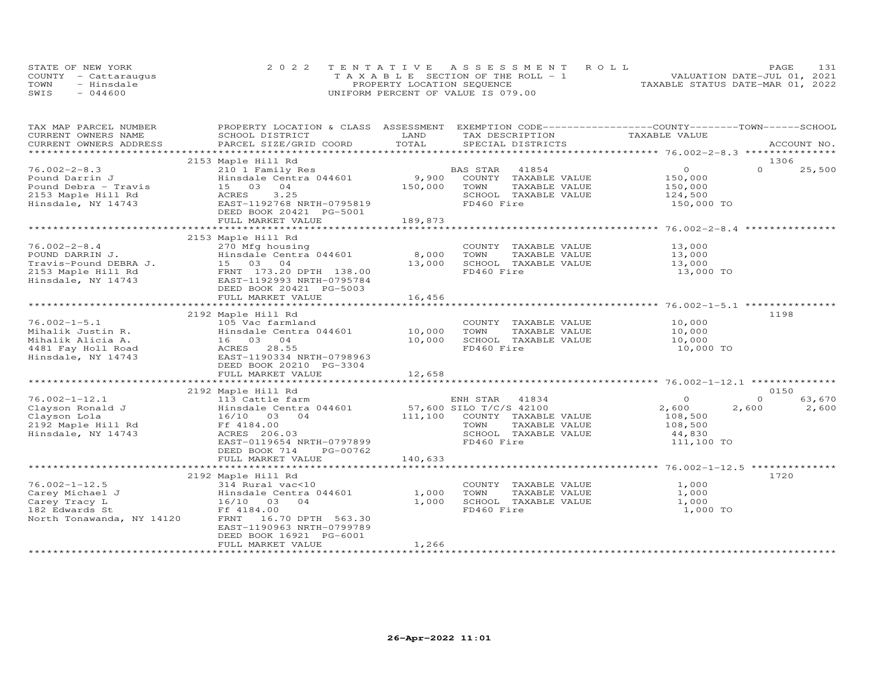|      | STATE OF NEW YORK    | 2022 TENTATIVE ASSESSMENT ROLL        | 131<br>PAGE                      |
|------|----------------------|---------------------------------------|----------------------------------|
|      | COUNTY - Cattaraugus | T A X A B L E SECTION OF THE ROLL - 1 | VALUATION DATE-JUL 01, 2021      |
| TOWN | - Hinsdale           | PROPERTY LOCATION SEQUENCE            | TAXABLE STATUS DATE-MAR 01, 2022 |
| SWIS | $-044600$            | UNIFORM PERCENT OF VALUE IS 079.00    |                                  |

| TAX MAP PARCEL NUMBER     | PROPERTY LOCATION & CLASS ASSESSMENT EXEMPTION CODE-----------------COUNTY-------TOWN------SCHOOL |                     |                         |                    |                    |
|---------------------------|---------------------------------------------------------------------------------------------------|---------------------|-------------------------|--------------------|--------------------|
| CURRENT OWNERS NAME       | SCHOOL DISTRICT                                                                                   | LAND<br>TOTAL       | TAX DESCRIPTION         | TAXABLE VALUE      |                    |
| CURRENT OWNERS ADDRESS    | PARCEL SIZE/GRID COORD                                                                            |                     | SPECIAL DISTRICTS       |                    | ACCOUNT NO.        |
|                           |                                                                                                   |                     |                         |                    | 1306               |
| $76.002 - 2 - 8.3$        | 2153 Maple Hill Rd<br>210 1 Family Res                                                            |                     | BAS STAR<br>41854       | $\Omega$           | $\Omega$<br>25,500 |
| Pound Darrin J            | Hinsdale Centra 044601                                                                            | 9,900               | COUNTY TAXABLE VALUE    |                    |                    |
| Pound Debra - Travis      | 15 03 04                                                                                          | 150,000             | TOWN<br>TAXABLE VALUE   | 150,000<br>150,000 |                    |
| 2153 Maple Hill Rd        | ACRES<br>3.25                                                                                     |                     | SCHOOL TAXABLE VALUE    | 124,500            |                    |
| Hinsdale, NY 14743        | EAST-1192768 NRTH-0795819                                                                         |                     | FD460 Fire              | 150,000 TO         |                    |
|                           | DEED BOOK 20421 PG-5001                                                                           |                     |                         |                    |                    |
|                           | FULL MARKET VALUE                                                                                 | 189,873             |                         |                    |                    |
|                           |                                                                                                   |                     |                         |                    |                    |
|                           | 2153 Maple Hill Rd                                                                                |                     |                         |                    |                    |
| $76.002 - 2 - 8.4$        | 270 Mfg housing                                                                                   |                     | COUNTY TAXABLE VALUE    | 13,000             |                    |
| POUND DARRIN J.           | Hinsdale Centra 044601                                                                            | 8,000               | TOWN<br>TAXABLE VALUE   | 13,000             |                    |
| Travis-Pound DEBRA J.     | 15 03 04                                                                                          | 13,000              | SCHOOL TAXABLE VALUE    | 13,000             |                    |
| 2153 Maple Hill Rd        | FRNT 173.20 DPTH 138.00                                                                           |                     | FD460 Fire              | 13,000 TO          |                    |
| Hinsdale, NY 14743        | EAST-1192993 NRTH-0795784                                                                         |                     |                         |                    |                    |
|                           | DEED BOOK 20421 PG-5003                                                                           |                     |                         |                    |                    |
|                           | FULL MARKET VALUE                                                                                 | 16,456              |                         |                    |                    |
|                           |                                                                                                   |                     |                         |                    |                    |
|                           | 2192 Maple Hill Rd                                                                                |                     |                         |                    | 1198               |
| $76.002 - 1 - 5.1$        | 105 Vac farmland                                                                                  |                     | COUNTY TAXABLE VALUE    | 10,000             |                    |
| Mihalik Justin R.         | Hinsdale Centra 044601                                                                            | 10,000              | TOWN<br>TAXABLE VALUE   | 10,000             |                    |
| Mihalik Alicia A.         | 16 03 04                                                                                          | 10,000              | SCHOOL TAXABLE VALUE    | 10,000             |                    |
| 4481 Fay Holl Road        | ACRES 28.55                                                                                       |                     | FD460 Fire              | 10,000 TO          |                    |
| Hinsdale, NY 14743        | EAST-1190334 NRTH-0798963                                                                         |                     |                         |                    |                    |
|                           | DEED BOOK 20210 PG-3304                                                                           |                     |                         |                    |                    |
|                           | FULL MARKET VALUE                                                                                 | 12,658              |                         |                    |                    |
|                           |                                                                                                   |                     |                         |                    |                    |
|                           | 2192 Maple Hill Rd                                                                                |                     |                         |                    | 0150               |
| $76.002 - 1 - 12.1$       | 113 Cattle farm                                                                                   |                     | ENH STAR 41834          | $\Omega$           | $\Omega$<br>63,670 |
| Clayson Ronald J          | Hinsdale Centra 044601                                                                            |                     | 57,600 SILO T/C/S 42100 | 2,600              | 2,600<br>2,600     |
| Clayson Lola              | 16/10 03<br>04                                                                                    | 111,100             | COUNTY TAXABLE VALUE    | 108,500            |                    |
| 2192 Maple Hill Rd        | Ff 4184.00                                                                                        |                     | TOWN<br>TAXABLE VALUE   | 108,500            |                    |
| Hinsdale, NY 14743        | ACRES 206.03                                                                                      |                     | SCHOOL TAXABLE VALUE    | 44,830             |                    |
|                           | EAST-0119654 NRTH-0797899                                                                         |                     | FD460 Fire              | 111,100 TO         |                    |
|                           | DEED BOOK 714<br>PG-00762                                                                         |                     |                         |                    |                    |
|                           | FULL MARKET VALUE                                                                                 | 140,633             |                         |                    |                    |
|                           | ******************************                                                                    | ******************* |                         |                    |                    |
|                           | 2192 Maple Hill Rd                                                                                |                     |                         |                    | 1720               |
| $76.002 - 1 - 12.5$       | 314 Rural vac<10                                                                                  |                     | COUNTY TAXABLE VALUE    | 1,000              |                    |
| Carey Michael J           | Hinsdale Centra 044601                                                                            | 1,000               | TOWN<br>TAXABLE VALUE   | 1,000              |                    |
| Carey Tracy L             | 16/10 03<br>04                                                                                    | 1,000               | SCHOOL TAXABLE VALUE    | 1,000              |                    |
| 182 Edwards St            | Ff 4184.00                                                                                        |                     | FD460 Fire              | 1,000 TO           |                    |
| North Tonawanda, NY 14120 | FRNT<br>16.70 DPTH 563.30                                                                         |                     |                         |                    |                    |
|                           | EAST-1190963 NRTH-0799789                                                                         |                     |                         |                    |                    |
|                           | DEED BOOK 16921 PG-6001                                                                           |                     |                         |                    |                    |
|                           | FULL MARKET VALUE                                                                                 | 1,266               |                         |                    |                    |
|                           |                                                                                                   |                     |                         |                    |                    |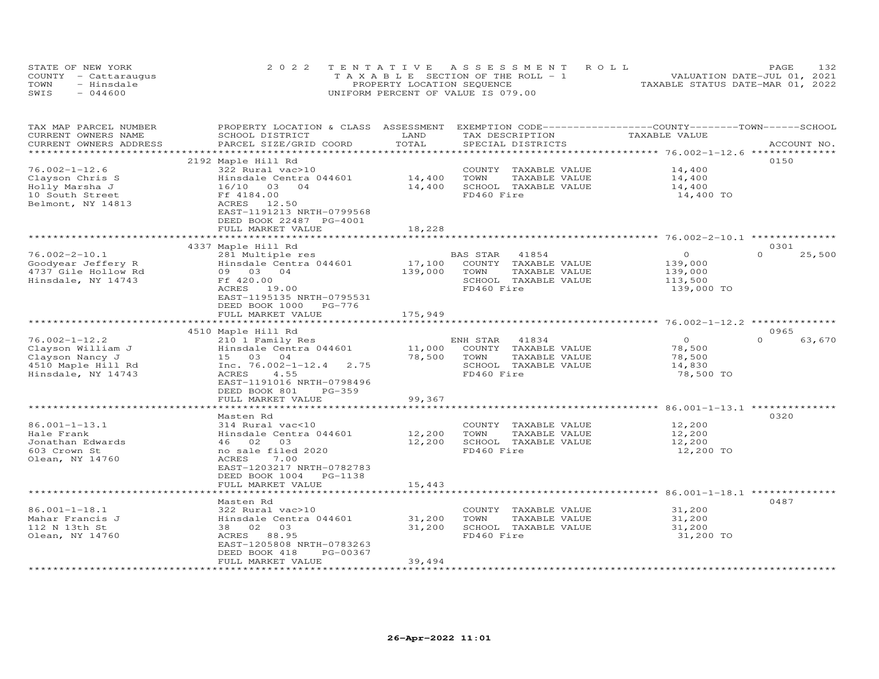| STATE OF NEW YORK    | 2022 TENTATIVE ASSESSMENT ROLL        | <b>PAGE</b>                      | 1.32. |
|----------------------|---------------------------------------|----------------------------------|-------|
| COUNTY - Cattaraugus | T A X A B L E SECTION OF THE ROLL - 1 | VALUATION DATE-JUL 01, 2021      |       |
| - Hinsdale<br>TOWN   | PROPERTY LOCATION SEQUENCE            | TAXABLE STATUS DATE-MAR 01, 2022 |       |
| $-044600$<br>SWIS    | UNIFORM PERCENT OF VALUE IS 079.00    |                                  |       |

| TAX MAP PARCEL NUMBER<br>CURRENT OWNERS NAME | PROPERTY LOCATION & CLASS<br>SCHOOL DISTRICT | ASSESSMENT<br>LAND | EXEMPTION CODE-----------------COUNTY-------TOWN------SCHOOL<br>TAX DESCRIPTION | TAXABLE VALUE                                  |                    |
|----------------------------------------------|----------------------------------------------|--------------------|---------------------------------------------------------------------------------|------------------------------------------------|--------------------|
| CURRENT OWNERS ADDRESS                       | PARCEL SIZE/GRID COORD                       | TOTAL              | SPECIAL DISTRICTS                                                               |                                                | ACCOUNT NO.        |
| ********************                         | ***************************                  |                    |                                                                                 |                                                |                    |
|                                              | 2192 Maple Hill Rd                           |                    |                                                                                 |                                                | 0150               |
| $76.002 - 1 - 12.6$                          | 322 Rural vac>10                             |                    | TAXABLE VALUE<br>COUNTY                                                         | 14,400                                         |                    |
| Clayson Chris S                              | Hinsdale Centra 044601                       | 14,400             | TOWN<br>TAXABLE VALUE                                                           | 14,400                                         |                    |
| Holly Marsha J                               | 16/10 03<br>$\overline{04}$                  | 14,400             | SCHOOL TAXABLE VALUE                                                            | 14,400                                         |                    |
| 10 South Street                              | Ff 4184.00                                   |                    | FD460 Fire                                                                      | 14,400 TO                                      |                    |
| Belmont, NY 14813                            | 12.50<br>ACRES                               |                    |                                                                                 |                                                |                    |
|                                              | EAST-1191213 NRTH-0799568                    |                    |                                                                                 |                                                |                    |
|                                              | DEED BOOK 22487 PG-4001                      |                    |                                                                                 |                                                |                    |
|                                              | FULL MARKET VALUE                            | 18,228<br>******** |                                                                                 | ********************** 76.002-2-10.1 ********* |                    |
|                                              |                                              |                    |                                                                                 |                                                | 0.301              |
| $76.002 - 2 - 10.1$                          | 4337 Maple Hill Rd<br>281 Multiple res       |                    | BAS STAR<br>41854                                                               | $\circ$                                        | $\Omega$<br>25,500 |
| Goodyear Jeffery R                           | Hinsdale Centra 044601                       | 17,100             | COUNTY TAXABLE VALUE                                                            | 139,000                                        |                    |
| 4737 Gile Hollow Rd                          | 09 03 04                                     | 139,000            | TOWN<br>TAXABLE VALUE                                                           | 139,000                                        |                    |
| Hinsdale, NY 14743                           | Ff 420.00                                    |                    | SCHOOL TAXABLE VALUE                                                            | 113,500                                        |                    |
|                                              | ACRES<br>19.00                               |                    | FD460 Fire                                                                      | 139,000 TO                                     |                    |
|                                              | EAST-1195135 NRTH-0795531                    |                    |                                                                                 |                                                |                    |
|                                              | DEED BOOK 1000<br>PG-776                     |                    |                                                                                 |                                                |                    |
|                                              | FULL MARKET VALUE                            | 175,949            |                                                                                 |                                                |                    |
|                                              |                                              |                    |                                                                                 |                                                |                    |
|                                              | 4510 Maple Hill Rd                           |                    |                                                                                 |                                                | 0965               |
| $76.002 - 1 - 12.2$                          | 210 1 Family Res                             |                    | 41834<br>ENH STAR                                                               | $\circ$                                        | $\Omega$<br>63,670 |
| Clayson William J                            | Hinsdale Centra 044601                       | 11,000             | COUNTY TAXABLE VALUE                                                            | 78,500                                         |                    |
| Clayson Nancy J                              | 15 03 04                                     | 78,500             | TOWN<br>TAXABLE VALUE                                                           | 78,500                                         |                    |
| 4510 Maple Hill Rd                           | Inc. $76.002 - 1 - 12.4$ 2.75                |                    | SCHOOL TAXABLE VALUE                                                            | 14,830                                         |                    |
| Hinsdale, NY 14743                           | ACRES<br>4.55                                |                    | FD460 Fire                                                                      | 78,500 TO                                      |                    |
|                                              | EAST-1191016 NRTH-0798496                    |                    |                                                                                 |                                                |                    |
|                                              | DEED BOOK 801<br>$PG-359$                    |                    |                                                                                 |                                                |                    |
|                                              | FULL MARKET VALUE                            | 99,367             |                                                                                 |                                                |                    |
|                                              | *******************                          |                    |                                                                                 | *********** 86.001-1-13.1 *********            |                    |
|                                              | Masten Rd                                    |                    |                                                                                 |                                                | 0320               |
| 86.001-1-13.1<br>Hale Frank                  | 314 Rural vac<10                             |                    | COUNTY<br>TAXABLE VALUE<br>TOWN<br>TAXABLE VALUE                                | 12,200                                         |                    |
| Jonathan Edwards                             | Hinsdale Centra 044601<br>46 02<br>03        | 12,200<br>12,200   | SCHOOL TAXABLE VALUE                                                            | 12,200<br>12,200                               |                    |
| 603 Crown St                                 | no sale filed 2020                           |                    | FD460 Fire                                                                      | 12,200 TO                                      |                    |
| Olean, NY 14760                              | ACRES<br>7.00                                |                    |                                                                                 |                                                |                    |
|                                              | EAST-1203217 NRTH-0782783                    |                    |                                                                                 |                                                |                    |
|                                              | DEED BOOK 1004<br>PG-1138                    |                    |                                                                                 |                                                |                    |
|                                              | FULL MARKET VALUE                            | 15,443             |                                                                                 |                                                |                    |
|                                              |                                              |                    |                                                                                 | ********* 86.001-1-18.1 ***                    |                    |
|                                              | Masten Rd                                    |                    |                                                                                 |                                                | 0487               |
| $86.001 - 1 - 18.1$                          | 322 Rural vac>10                             |                    | COUNTY TAXABLE VALUE                                                            | 31,200                                         |                    |
| Mahar Francis J                              | Hinsdale Centra 044601                       | 31,200             | TOWN<br>TAXABLE VALUE                                                           | 31,200                                         |                    |
| 112 N 13th St                                | 38 02 03                                     | 31,200             | SCHOOL TAXABLE VALUE                                                            | 31,200                                         |                    |
| Olean, NY 14760                              | 88.95<br>ACRES                               |                    | FD460 Fire                                                                      | 31,200 TO                                      |                    |
|                                              | EAST-1205808 NRTH-0783263                    |                    |                                                                                 |                                                |                    |
|                                              | DEED BOOK 418<br>PG-00367                    |                    |                                                                                 |                                                |                    |
|                                              | FULL MARKET VALUE                            | 39,494             |                                                                                 |                                                |                    |
| **********************                       |                                              |                    |                                                                                 |                                                |                    |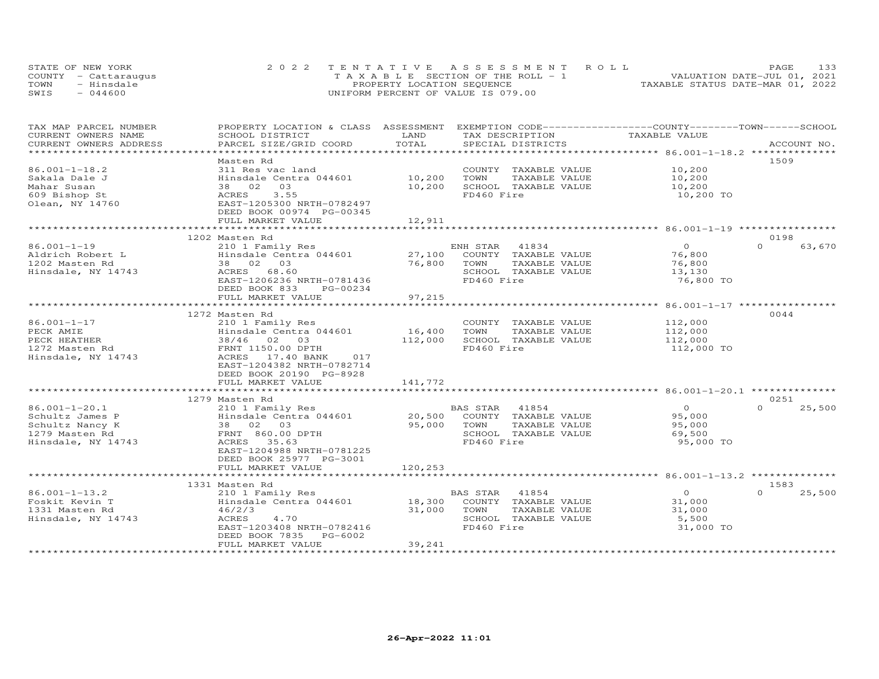| STATE OF NEW YORK    | 2022 TENTATIVE ASSESSMENT ROLL        | 133<br><b>PAGE</b>               |
|----------------------|---------------------------------------|----------------------------------|
| COUNTY - Cattaraugus | T A X A B L E SECTION OF THE ROLL - 1 | VALUATION DATE-JUL 01, 2021      |
| TOWN<br>- Hinsdale   | PROPERTY LOCATION SEQUENCE            | TAXABLE STATUS DATE-MAR 01, 2022 |
| $-044600$<br>SWIS    | UNIFORM PERCENT OF VALUE IS 079.00    |                                  |

| TAX MAP PARCEL NUMBER       | PROPERTY LOCATION & CLASS ASSESSMENT |                        |                       | EXEMPTION CODE-----------------COUNTY-------TOWN-----SCHOOL |                    |
|-----------------------------|--------------------------------------|------------------------|-----------------------|-------------------------------------------------------------|--------------------|
| CURRENT OWNERS NAME         | SCHOOL DISTRICT                      | LAND                   | TAX DESCRIPTION       | TAXABLE VALUE                                               |                    |
| CURRENT OWNERS ADDRESS      | PARCEL SIZE/GRID COORD               | TOTAL                  | SPECIAL DISTRICTS     |                                                             | ACCOUNT NO.        |
| * * * * * * * * * * * * * * |                                      | ********************** |                       | ******************** 86.001-1-18.2 ***************          |                    |
|                             | Masten Rd                            |                        |                       |                                                             | 1509               |
| $86.001 - 1 - 18.2$         | 311 Res vac land                     |                        | COUNTY TAXABLE VALUE  | 10,200                                                      |                    |
| Sakala Dale J               | Hinsdale Centra 044601               | 10,200                 | TOWN<br>TAXABLE VALUE | 10,200                                                      |                    |
| Mahar Susan                 | 38 02<br>03                          | 10,200                 | SCHOOL TAXABLE VALUE  | 10,200                                                      |                    |
| 609 Bishop St               | 3.55<br>ACRES                        |                        | FD460 Fire            | 10,200 TO                                                   |                    |
| Olean, NY 14760             | EAST-1205300 NRTH-0782497            |                        |                       |                                                             |                    |
|                             | DEED BOOK 00974 PG-00345             |                        |                       |                                                             |                    |
|                             | FULL MARKET VALUE                    | 12,911                 |                       |                                                             |                    |
|                             |                                      |                        |                       |                                                             |                    |
|                             | 1202 Masten Rd                       |                        |                       |                                                             | 0198               |
| $86.001 - 1 - 19$           | 210 1 Family Res                     |                        | ENH STAR<br>41834     | $\Omega$                                                    | $\Omega$<br>63,670 |
| Aldrich Robert L            | Hinsdale Centra 044601               | 27,100                 | COUNTY TAXABLE VALUE  | 76,800                                                      |                    |
| 1202 Masten Rd              | 38 02 03                             | 76,800                 | TOWN<br>TAXABLE VALUE | 76,800                                                      |                    |
| Hinsdale, NY 14743          | ACRES<br>68.60                       |                        | SCHOOL TAXABLE VALUE  | 13,130                                                      |                    |
|                             | EAST-1206236 NRTH-0781436            |                        | FD460 Fire            | 76,800 TO                                                   |                    |
|                             | DEED BOOK 833<br>PG-00234            |                        |                       |                                                             |                    |
|                             | FULL MARKET VALUE                    | 97,215                 |                       |                                                             |                    |
|                             | *******************************      | **************         |                       | ************************ 86.001-1-17 ****************       |                    |
|                             | 1272 Masten Rd                       |                        |                       |                                                             | 0044               |
| $86.001 - 1 - 17$           | 210 1 Family Res                     |                        | COUNTY TAXABLE VALUE  | 112,000                                                     |                    |
| PECK AMIE                   | Hinsdale Centra 044601               | 16,400                 | TOWN<br>TAXABLE VALUE | 112,000                                                     |                    |
| PECK HEATHER                | 38/46 02<br>03                       | 112,000                | SCHOOL TAXABLE VALUE  | 112,000                                                     |                    |
| 1272 Masten Rd              | FRNT 1150.00 DPTH                    |                        | FD460 Fire            | 112,000 TO                                                  |                    |
| Hinsdale, NY 14743          | ACRES 17.40 BANK<br>017              |                        |                       |                                                             |                    |
|                             | EAST-1204382 NRTH-0782714            |                        |                       |                                                             |                    |
|                             | DEED BOOK 20190 PG-8928              |                        |                       |                                                             |                    |
|                             | FULL MARKET VALUE                    | 141,772                |                       |                                                             |                    |
|                             | *************************            |                        |                       |                                                             |                    |
|                             | 1279 Masten Rd                       |                        |                       |                                                             | 0251               |
| $86.001 - 1 - 20.1$         | 210 1 Family Res                     |                        | 41854<br>BAS STAR     | $\circ$                                                     | $\Omega$<br>25,500 |
| Schultz James P             | Hinsdale Centra 044601               | 20,500                 | COUNTY TAXABLE VALUE  | 95,000                                                      |                    |
| Schultz Nancy K             | 38 02 03                             | 95,000                 | TOWN<br>TAXABLE VALUE | 95,000                                                      |                    |
| 1279 Masten Rd              | FRNT 860.00 DPTH                     |                        | SCHOOL TAXABLE VALUE  | 69,500                                                      |                    |
| Hinsdale, NY 14743          | ACRES<br>35.63                       |                        | FD460 Fire            | 95,000 TO                                                   |                    |
|                             | EAST-1204988 NRTH-0781225            |                        |                       |                                                             |                    |
|                             | DEED BOOK 25977 PG-3001              |                        |                       |                                                             |                    |
|                             | FULL MARKET VALUE                    | 120,253                |                       |                                                             |                    |
|                             |                                      |                        |                       | ********************** 86.001-1-13.2 ***************        |                    |
|                             | 1331 Masten Rd                       |                        |                       |                                                             | 1583               |
| $86.001 - 1 - 13.2$         | 210 1 Family Res                     |                        | 41854<br>BAS STAR     | $\overline{O}$                                              | 25,500<br>$\Omega$ |
| Foskit Kevin T              | Hinsdale Centra 044601               | 18,300                 | COUNTY TAXABLE VALUE  | 31,000                                                      |                    |
| 1331 Masten Rd              | 46/2/3                               | 31,000                 | TOWN<br>TAXABLE VALUE | 31,000                                                      |                    |
| Hinsdale, NY 14743          | 4.70<br>ACRES                        |                        | SCHOOL TAXABLE VALUE  | 5,500                                                       |                    |
|                             | EAST-1203408 NRTH-0782416            |                        | FD460 Fire            | 31,000 TO                                                   |                    |
|                             | DEED BOOK 7835<br>PG-6002            |                        |                       |                                                             |                    |
|                             | FULL MARKET VALUE                    | 39,241                 |                       |                                                             |                    |
|                             |                                      |                        |                       |                                                             |                    |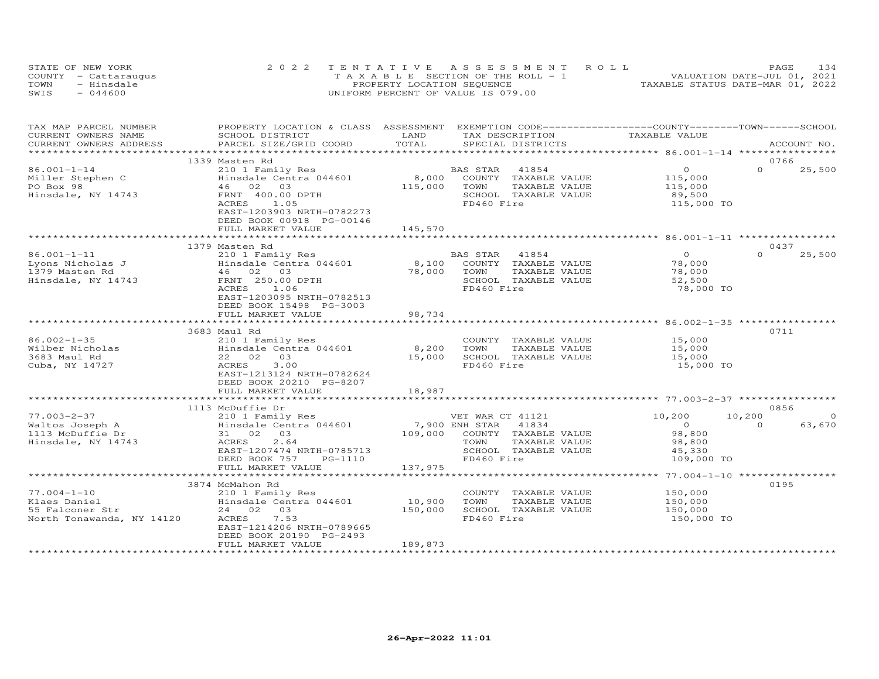|      | STATE OF NEW YORK    | 2022 TENTATIVE ASSESSMENT ROLL        | 134<br>PAGE.                     |
|------|----------------------|---------------------------------------|----------------------------------|
|      | COUNTY - Cattaraugus | T A X A B L E SECTION OF THE ROLL - 1 | VALUATION DATE-JUL 01, 2021      |
| TOWN | - Hinsdale           | PROPERTY LOCATION SEQUENCE            | TAXABLE STATUS DATE-MAR 01, 2022 |
| SWIS | $-044600$            | UNIFORM PERCENT OF VALUE IS 079.00    |                                  |

| TAX MAP PARCEL NUMBER             | PROPERTY LOCATION & CLASS | ASSESSMENT     |                  | EXEMPTION CODE-----------------COUNTY-------TOWN-----SCHOOL |                                        |          |             |
|-----------------------------------|---------------------------|----------------|------------------|-------------------------------------------------------------|----------------------------------------|----------|-------------|
| CURRENT OWNERS NAME               | SCHOOL DISTRICT           | LAND           |                  | TAX DESCRIPTION                                             | TAXABLE VALUE                          |          |             |
| CURRENT OWNERS ADDRESS            | PARCEL SIZE/GRID COORD    | TOTAL          |                  | SPECIAL DISTRICTS                                           |                                        |          | ACCOUNT NO. |
| * * * * * * * * * * * * * * * * * |                           |                |                  |                                                             |                                        |          |             |
|                                   | 1339 Masten Rd            |                |                  |                                                             |                                        | 0766     |             |
| 86.001-1-14                       | 210 1 Family Res          |                | BAS STAR         | 41854                                                       | $\Omega$                               | $\Omega$ | 25,500      |
| Miller Stephen C                  | Hinsdale Centra 044601    | 8,000          |                  | COUNTY TAXABLE VALUE                                        | 115,000                                |          |             |
| PO Box 98                         | 46 02 03                  | 115,000        | TOWN             | TAXABLE VALUE                                               | 115,000                                |          |             |
| Hinsdale, NY 14743                | FRNT 400.00 DPTH          |                |                  | SCHOOL TAXABLE VALUE                                        | 89,500                                 |          |             |
|                                   | 1.05<br>ACRES             |                | FD460 Fire       |                                                             | 115,000 TO                             |          |             |
|                                   | EAST-1203903 NRTH-0782273 |                |                  |                                                             |                                        |          |             |
|                                   | DEED BOOK 00918 PG-00146  |                |                  |                                                             |                                        |          |             |
|                                   | FULL MARKET VALUE         | 145,570        |                  |                                                             |                                        |          |             |
|                                   |                           |                |                  |                                                             |                                        |          |             |
|                                   | 1379 Masten Rd            |                |                  |                                                             |                                        | 0437     |             |
| $86.001 - 1 - 11$                 | 210 1 Family Res          |                | BAS STAR 41854   |                                                             | $\Omega$                               | $\Omega$ | 25,500      |
| Lyons Nicholas J                  | Hinsdale Centra 044601    | 8,100          |                  | COUNTY TAXABLE VALUE                                        | 78,000                                 |          |             |
| 1379 Masten Rd                    | 46 02 03                  | 78,000         | TOWN             | TAXABLE VALUE                                               | 78,000                                 |          |             |
| Hinsdale, NY 14743                | FRNT 250.00 DPTH          |                |                  | SCHOOL TAXABLE VALUE                                        | 52,500                                 |          |             |
|                                   | ACRES<br>1.06             |                | FD460 Fire       |                                                             | 78,000 TO                              |          |             |
|                                   | EAST-1203095 NRTH-0782513 |                |                  |                                                             |                                        |          |             |
|                                   | DEED BOOK 15498 PG-3003   |                |                  |                                                             |                                        |          |             |
|                                   | FULL MARKET VALUE         | 98,734         |                  |                                                             |                                        |          |             |
|                                   |                           | ************** |                  |                                                             | ******************* 86.002-1-35 **     |          |             |
|                                   | 3683 Maul Rd              |                |                  |                                                             |                                        | 0711     |             |
| $86.002 - 1 - 35$                 | 210 1 Family Res          |                |                  | COUNTY TAXABLE VALUE                                        | 15,000                                 |          |             |
| Wilber Nicholas                   | Hinsdale Centra 044601    | 8,200          | TOWN             | TAXABLE VALUE                                               | 15,000                                 |          |             |
| 3683 Maul Rd                      | 22 02<br>0.3              | 15,000         |                  | SCHOOL TAXABLE VALUE                                        | 15,000                                 |          |             |
| Cuba, NY 14727                    | 3.00<br>ACRES             |                | FD460 Fire       |                                                             | 15,000 TO                              |          |             |
|                                   | EAST-1213124 NRTH-0782624 |                |                  |                                                             |                                        |          |             |
|                                   | DEED BOOK 20210 PG-8207   |                |                  |                                                             |                                        |          |             |
|                                   | FULL MARKET VALUE         | 18,987         |                  |                                                             |                                        |          |             |
|                                   |                           |                |                  |                                                             |                                        |          |             |
|                                   | 1113 McDuffie Dr          |                |                  |                                                             |                                        | 0856     |             |
| $77.003 - 2 - 37$                 | 210 1 Family Res          |                | VET WAR CT 41121 |                                                             | 10,200                                 | 10,200   | $\Omega$    |
| Waltos Joseph A                   | Hinsdale Centra 044601    |                | 7,900 ENH STAR   | 41834                                                       | $\Omega$                               | $\cap$   | 63,670      |
| 1113 McDuffie Dr                  | 31 02<br>03               | 109,000        |                  | COUNTY TAXABLE VALUE                                        | 98,800                                 |          |             |
| Hinsdale, NY 14743                | 2.64<br>ACRES             |                | TOWN             | TAXABLE VALUE                                               | 98,800                                 |          |             |
|                                   | EAST-1207474 NRTH-0785713 |                |                  | SCHOOL TAXABLE VALUE                                        | 45,330                                 |          |             |
|                                   | DEED BOOK 757<br>PG-1110  |                | FD460 Fire       |                                                             | 109,000 TO                             |          |             |
|                                   | FULL MARKET VALUE         | 137,975        |                  |                                                             |                                        |          |             |
|                                   |                           |                |                  |                                                             | *********** 77.004-1-10 ************** |          |             |
|                                   | 3874 McMahon Rd           |                |                  |                                                             |                                        | 0195     |             |
| $77.004 - 1 - 10$                 | 210 1 Family Res          |                | COUNTY           | TAXABLE VALUE                                               | 150,000                                |          |             |
| Klaes Daniel                      | Hinsdale Centra 044601    | 10,900         | TOWN             | TAXABLE VALUE                                               | 150,000                                |          |             |
| 55 Falconer Str                   | 24 02 03                  | 150,000        |                  | SCHOOL TAXABLE VALUE                                        | 150,000                                |          |             |
| North Tonawanda, NY 14120         | 7.53<br>ACRES             |                | FD460 Fire       |                                                             | 150,000 TO                             |          |             |
|                                   | EAST-1214206 NRTH-0789665 |                |                  |                                                             |                                        |          |             |
|                                   | DEED BOOK 20190 PG-2493   |                |                  |                                                             |                                        |          |             |
|                                   | FULL MARKET VALUE         | 189,873        |                  |                                                             |                                        |          |             |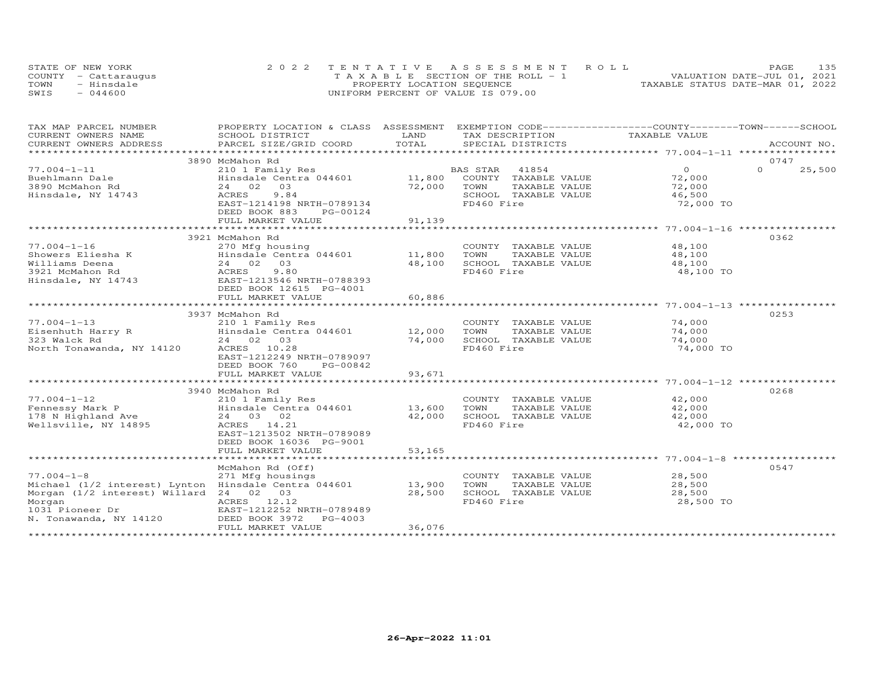| STATE OF NEW YORK    | 2022 TENTATIVE ASSESSMENT ROLL        | 135<br><b>PAGE</b>               |
|----------------------|---------------------------------------|----------------------------------|
| COUNTY - Cattaraugus | T A X A B L E SECTION OF THE ROLL - 1 | VALUATION DATE-JUL 01, 2021      |
| TOWN<br>- Hinsdale   | PROPERTY LOCATION SEQUENCE            | TAXABLE STATUS DATE-MAR 01, 2022 |
| $-044600$<br>SWIS    | UNIFORM PERCENT OF VALUE IS 079.00    |                                  |

| TOTAL<br>CURRENT OWNERS ADDRESS<br>PARCEL SIZE/GRID COORD<br>SPECIAL DISTRICTS<br>ACCOUNT NO.<br>***********************<br>3890 McMahon Rd<br>0747<br>$\overline{0}$<br>$77.004 - 1 - 11$<br>BAS STAR<br>41854<br>$\Omega$<br>25,500<br>210 1 Family Res<br>11,800<br>COUNTY TAXABLE VALUE<br>72,000<br>Buehlmann Dale<br>Hinsdale Centra 044601<br>72,000<br>3890 McMahon Rd<br>24 02<br>03<br>72,000<br>TAXABLE VALUE<br>TOWN<br>Hinsdale, NY 14743<br>ACRES<br>9.84<br>SCHOOL TAXABLE VALUE<br>46,500<br>FD460 Fire<br>EAST-1214198 NRTH-0789134<br>72,000 TO<br>DEED BOOK 883<br>PG-00124<br>FULL MARKET VALUE<br>91,139<br>0362<br>3921 McMahon Rd<br>$77.004 - 1 - 16$<br>48,100<br>270 Mfg housing<br>COUNTY TAXABLE VALUE<br>Hinsdale Centra 044601 11,800<br>Showers Eliesha K<br>TOWN<br>TAXABLE VALUE<br>48,100<br>Williams Deena<br>24 02 03<br>48,100<br>SCHOOL TAXABLE VALUE<br>48,100<br>9.80<br>FD460 Fire<br>3921 McMahon Rd<br>ACRES<br>48,100 TO<br>EAST-1213546 NRTH-0788393<br>Hinsdale, NY 14743<br>DEED BOOK 12615 PG-4001<br>60,886<br>FULL MARKET VALUE<br>0253<br>3937 McMahon Rd<br>$77.004 - 1 - 13$<br>74,000<br>210 1 Family Res<br>COUNTY TAXABLE VALUE<br>Hinsdale Centra 044601 12,000<br>Eisenhuth Harry R<br>TOWN<br>74,000<br>TAXABLE VALUE<br>323 Walck Rd<br>24 02 03<br>74,000<br>SCHOOL TAXABLE VALUE<br>74,000<br>North Tonawanda, NY 14120<br>ACRES 10.28<br>FD460 Fire<br>74,000 TO<br>EAST-1212249 NRTH-0789097<br>DEED BOOK 760<br>PG-00842<br>FULL MARKET VALUE<br>93,671<br>0268<br>3940 McMahon Rd<br>$77.004 - 1 - 12$<br>42,000<br>210 1 Family Res<br>COUNTY TAXABLE VALUE<br>13,600<br>Fennessy Mark P<br>Hinsdale Centra 044601<br>TOWN<br>42,000<br>TAXABLE VALUE<br>178 N Highland Ave<br>42,000<br>SCHOOL TAXABLE VALUE<br>42,000<br>24 03 02<br>FD460 Fire<br>Wellsville, NY 14895<br>ACRES 14.21<br>42,000 TO<br>EAST-1213502 NRTH-0789089<br>DEED BOOK 16036 PG-9001<br>FULL MARKET VALUE<br>53,165<br>0547<br>McMahon Rd (Off)<br>$77.004 - 1 - 8$<br>271 Mfg housings<br>28,500<br>COUNTY TAXABLE VALUE<br>Michael (1/2 interest) Lynton Hinsdale Centra 044601<br>13,900<br>TOWN<br>TAXABLE VALUE<br>28,500<br>Morgan (1/2 interest) Willard 24 02 03<br>28,500<br>SCHOOL TAXABLE VALUE<br>28,500<br>ACRES 12.12<br>FD460 Fire<br>28,500 TO<br>Morgan<br>1031 Pioneer Dr<br>EAST-1212252 NRTH-0789489<br>N. Tonawanda, NY 14120<br>DEED BOOK 3972<br>PG-4003<br>FULL MARKET VALUE<br>36,076 | TAX MAP PARCEL NUMBER | PROPERTY LOCATION & CLASS ASSESSMENT EXEMPTION CODE----------------COUNTY-------TOWN-----SCHOOL |      |                 |               |  |
|------------------------------------------------------------------------------------------------------------------------------------------------------------------------------------------------------------------------------------------------------------------------------------------------------------------------------------------------------------------------------------------------------------------------------------------------------------------------------------------------------------------------------------------------------------------------------------------------------------------------------------------------------------------------------------------------------------------------------------------------------------------------------------------------------------------------------------------------------------------------------------------------------------------------------------------------------------------------------------------------------------------------------------------------------------------------------------------------------------------------------------------------------------------------------------------------------------------------------------------------------------------------------------------------------------------------------------------------------------------------------------------------------------------------------------------------------------------------------------------------------------------------------------------------------------------------------------------------------------------------------------------------------------------------------------------------------------------------------------------------------------------------------------------------------------------------------------------------------------------------------------------------------------------------------------------------------------------------------------------------------------------------------------------------------------------------------------------------------------------------------------------------------------------------------------------------------------------------------------------------------------------------------------------------------------------------------------------------------------------------------------------------------------------------------------------------------------|-----------------------|-------------------------------------------------------------------------------------------------|------|-----------------|---------------|--|
|                                                                                                                                                                                                                                                                                                                                                                                                                                                                                                                                                                                                                                                                                                                                                                                                                                                                                                                                                                                                                                                                                                                                                                                                                                                                                                                                                                                                                                                                                                                                                                                                                                                                                                                                                                                                                                                                                                                                                                                                                                                                                                                                                                                                                                                                                                                                                                                                                                                            | CURRENT OWNERS NAME   | SCHOOL DISTRICT                                                                                 | LAND | TAX DESCRIPTION | TAXABLE VALUE |  |
|                                                                                                                                                                                                                                                                                                                                                                                                                                                                                                                                                                                                                                                                                                                                                                                                                                                                                                                                                                                                                                                                                                                                                                                                                                                                                                                                                                                                                                                                                                                                                                                                                                                                                                                                                                                                                                                                                                                                                                                                                                                                                                                                                                                                                                                                                                                                                                                                                                                            |                       |                                                                                                 |      |                 |               |  |
|                                                                                                                                                                                                                                                                                                                                                                                                                                                                                                                                                                                                                                                                                                                                                                                                                                                                                                                                                                                                                                                                                                                                                                                                                                                                                                                                                                                                                                                                                                                                                                                                                                                                                                                                                                                                                                                                                                                                                                                                                                                                                                                                                                                                                                                                                                                                                                                                                                                            |                       |                                                                                                 |      |                 |               |  |
|                                                                                                                                                                                                                                                                                                                                                                                                                                                                                                                                                                                                                                                                                                                                                                                                                                                                                                                                                                                                                                                                                                                                                                                                                                                                                                                                                                                                                                                                                                                                                                                                                                                                                                                                                                                                                                                                                                                                                                                                                                                                                                                                                                                                                                                                                                                                                                                                                                                            |                       |                                                                                                 |      |                 |               |  |
|                                                                                                                                                                                                                                                                                                                                                                                                                                                                                                                                                                                                                                                                                                                                                                                                                                                                                                                                                                                                                                                                                                                                                                                                                                                                                                                                                                                                                                                                                                                                                                                                                                                                                                                                                                                                                                                                                                                                                                                                                                                                                                                                                                                                                                                                                                                                                                                                                                                            |                       |                                                                                                 |      |                 |               |  |
|                                                                                                                                                                                                                                                                                                                                                                                                                                                                                                                                                                                                                                                                                                                                                                                                                                                                                                                                                                                                                                                                                                                                                                                                                                                                                                                                                                                                                                                                                                                                                                                                                                                                                                                                                                                                                                                                                                                                                                                                                                                                                                                                                                                                                                                                                                                                                                                                                                                            |                       |                                                                                                 |      |                 |               |  |
|                                                                                                                                                                                                                                                                                                                                                                                                                                                                                                                                                                                                                                                                                                                                                                                                                                                                                                                                                                                                                                                                                                                                                                                                                                                                                                                                                                                                                                                                                                                                                                                                                                                                                                                                                                                                                                                                                                                                                                                                                                                                                                                                                                                                                                                                                                                                                                                                                                                            |                       |                                                                                                 |      |                 |               |  |
|                                                                                                                                                                                                                                                                                                                                                                                                                                                                                                                                                                                                                                                                                                                                                                                                                                                                                                                                                                                                                                                                                                                                                                                                                                                                                                                                                                                                                                                                                                                                                                                                                                                                                                                                                                                                                                                                                                                                                                                                                                                                                                                                                                                                                                                                                                                                                                                                                                                            |                       |                                                                                                 |      |                 |               |  |
|                                                                                                                                                                                                                                                                                                                                                                                                                                                                                                                                                                                                                                                                                                                                                                                                                                                                                                                                                                                                                                                                                                                                                                                                                                                                                                                                                                                                                                                                                                                                                                                                                                                                                                                                                                                                                                                                                                                                                                                                                                                                                                                                                                                                                                                                                                                                                                                                                                                            |                       |                                                                                                 |      |                 |               |  |
|                                                                                                                                                                                                                                                                                                                                                                                                                                                                                                                                                                                                                                                                                                                                                                                                                                                                                                                                                                                                                                                                                                                                                                                                                                                                                                                                                                                                                                                                                                                                                                                                                                                                                                                                                                                                                                                                                                                                                                                                                                                                                                                                                                                                                                                                                                                                                                                                                                                            |                       |                                                                                                 |      |                 |               |  |
|                                                                                                                                                                                                                                                                                                                                                                                                                                                                                                                                                                                                                                                                                                                                                                                                                                                                                                                                                                                                                                                                                                                                                                                                                                                                                                                                                                                                                                                                                                                                                                                                                                                                                                                                                                                                                                                                                                                                                                                                                                                                                                                                                                                                                                                                                                                                                                                                                                                            |                       |                                                                                                 |      |                 |               |  |
|                                                                                                                                                                                                                                                                                                                                                                                                                                                                                                                                                                                                                                                                                                                                                                                                                                                                                                                                                                                                                                                                                                                                                                                                                                                                                                                                                                                                                                                                                                                                                                                                                                                                                                                                                                                                                                                                                                                                                                                                                                                                                                                                                                                                                                                                                                                                                                                                                                                            |                       |                                                                                                 |      |                 |               |  |
|                                                                                                                                                                                                                                                                                                                                                                                                                                                                                                                                                                                                                                                                                                                                                                                                                                                                                                                                                                                                                                                                                                                                                                                                                                                                                                                                                                                                                                                                                                                                                                                                                                                                                                                                                                                                                                                                                                                                                                                                                                                                                                                                                                                                                                                                                                                                                                                                                                                            |                       |                                                                                                 |      |                 |               |  |
|                                                                                                                                                                                                                                                                                                                                                                                                                                                                                                                                                                                                                                                                                                                                                                                                                                                                                                                                                                                                                                                                                                                                                                                                                                                                                                                                                                                                                                                                                                                                                                                                                                                                                                                                                                                                                                                                                                                                                                                                                                                                                                                                                                                                                                                                                                                                                                                                                                                            |                       |                                                                                                 |      |                 |               |  |
|                                                                                                                                                                                                                                                                                                                                                                                                                                                                                                                                                                                                                                                                                                                                                                                                                                                                                                                                                                                                                                                                                                                                                                                                                                                                                                                                                                                                                                                                                                                                                                                                                                                                                                                                                                                                                                                                                                                                                                                                                                                                                                                                                                                                                                                                                                                                                                                                                                                            |                       |                                                                                                 |      |                 |               |  |
|                                                                                                                                                                                                                                                                                                                                                                                                                                                                                                                                                                                                                                                                                                                                                                                                                                                                                                                                                                                                                                                                                                                                                                                                                                                                                                                                                                                                                                                                                                                                                                                                                                                                                                                                                                                                                                                                                                                                                                                                                                                                                                                                                                                                                                                                                                                                                                                                                                                            |                       |                                                                                                 |      |                 |               |  |
|                                                                                                                                                                                                                                                                                                                                                                                                                                                                                                                                                                                                                                                                                                                                                                                                                                                                                                                                                                                                                                                                                                                                                                                                                                                                                                                                                                                                                                                                                                                                                                                                                                                                                                                                                                                                                                                                                                                                                                                                                                                                                                                                                                                                                                                                                                                                                                                                                                                            |                       |                                                                                                 |      |                 |               |  |
|                                                                                                                                                                                                                                                                                                                                                                                                                                                                                                                                                                                                                                                                                                                                                                                                                                                                                                                                                                                                                                                                                                                                                                                                                                                                                                                                                                                                                                                                                                                                                                                                                                                                                                                                                                                                                                                                                                                                                                                                                                                                                                                                                                                                                                                                                                                                                                                                                                                            |                       |                                                                                                 |      |                 |               |  |
|                                                                                                                                                                                                                                                                                                                                                                                                                                                                                                                                                                                                                                                                                                                                                                                                                                                                                                                                                                                                                                                                                                                                                                                                                                                                                                                                                                                                                                                                                                                                                                                                                                                                                                                                                                                                                                                                                                                                                                                                                                                                                                                                                                                                                                                                                                                                                                                                                                                            |                       |                                                                                                 |      |                 |               |  |
|                                                                                                                                                                                                                                                                                                                                                                                                                                                                                                                                                                                                                                                                                                                                                                                                                                                                                                                                                                                                                                                                                                                                                                                                                                                                                                                                                                                                                                                                                                                                                                                                                                                                                                                                                                                                                                                                                                                                                                                                                                                                                                                                                                                                                                                                                                                                                                                                                                                            |                       |                                                                                                 |      |                 |               |  |
|                                                                                                                                                                                                                                                                                                                                                                                                                                                                                                                                                                                                                                                                                                                                                                                                                                                                                                                                                                                                                                                                                                                                                                                                                                                                                                                                                                                                                                                                                                                                                                                                                                                                                                                                                                                                                                                                                                                                                                                                                                                                                                                                                                                                                                                                                                                                                                                                                                                            |                       |                                                                                                 |      |                 |               |  |
|                                                                                                                                                                                                                                                                                                                                                                                                                                                                                                                                                                                                                                                                                                                                                                                                                                                                                                                                                                                                                                                                                                                                                                                                                                                                                                                                                                                                                                                                                                                                                                                                                                                                                                                                                                                                                                                                                                                                                                                                                                                                                                                                                                                                                                                                                                                                                                                                                                                            |                       |                                                                                                 |      |                 |               |  |
|                                                                                                                                                                                                                                                                                                                                                                                                                                                                                                                                                                                                                                                                                                                                                                                                                                                                                                                                                                                                                                                                                                                                                                                                                                                                                                                                                                                                                                                                                                                                                                                                                                                                                                                                                                                                                                                                                                                                                                                                                                                                                                                                                                                                                                                                                                                                                                                                                                                            |                       |                                                                                                 |      |                 |               |  |
|                                                                                                                                                                                                                                                                                                                                                                                                                                                                                                                                                                                                                                                                                                                                                                                                                                                                                                                                                                                                                                                                                                                                                                                                                                                                                                                                                                                                                                                                                                                                                                                                                                                                                                                                                                                                                                                                                                                                                                                                                                                                                                                                                                                                                                                                                                                                                                                                                                                            |                       |                                                                                                 |      |                 |               |  |
|                                                                                                                                                                                                                                                                                                                                                                                                                                                                                                                                                                                                                                                                                                                                                                                                                                                                                                                                                                                                                                                                                                                                                                                                                                                                                                                                                                                                                                                                                                                                                                                                                                                                                                                                                                                                                                                                                                                                                                                                                                                                                                                                                                                                                                                                                                                                                                                                                                                            |                       |                                                                                                 |      |                 |               |  |
|                                                                                                                                                                                                                                                                                                                                                                                                                                                                                                                                                                                                                                                                                                                                                                                                                                                                                                                                                                                                                                                                                                                                                                                                                                                                                                                                                                                                                                                                                                                                                                                                                                                                                                                                                                                                                                                                                                                                                                                                                                                                                                                                                                                                                                                                                                                                                                                                                                                            |                       |                                                                                                 |      |                 |               |  |
|                                                                                                                                                                                                                                                                                                                                                                                                                                                                                                                                                                                                                                                                                                                                                                                                                                                                                                                                                                                                                                                                                                                                                                                                                                                                                                                                                                                                                                                                                                                                                                                                                                                                                                                                                                                                                                                                                                                                                                                                                                                                                                                                                                                                                                                                                                                                                                                                                                                            |                       |                                                                                                 |      |                 |               |  |
|                                                                                                                                                                                                                                                                                                                                                                                                                                                                                                                                                                                                                                                                                                                                                                                                                                                                                                                                                                                                                                                                                                                                                                                                                                                                                                                                                                                                                                                                                                                                                                                                                                                                                                                                                                                                                                                                                                                                                                                                                                                                                                                                                                                                                                                                                                                                                                                                                                                            |                       |                                                                                                 |      |                 |               |  |
|                                                                                                                                                                                                                                                                                                                                                                                                                                                                                                                                                                                                                                                                                                                                                                                                                                                                                                                                                                                                                                                                                                                                                                                                                                                                                                                                                                                                                                                                                                                                                                                                                                                                                                                                                                                                                                                                                                                                                                                                                                                                                                                                                                                                                                                                                                                                                                                                                                                            |                       |                                                                                                 |      |                 |               |  |
|                                                                                                                                                                                                                                                                                                                                                                                                                                                                                                                                                                                                                                                                                                                                                                                                                                                                                                                                                                                                                                                                                                                                                                                                                                                                                                                                                                                                                                                                                                                                                                                                                                                                                                                                                                                                                                                                                                                                                                                                                                                                                                                                                                                                                                                                                                                                                                                                                                                            |                       |                                                                                                 |      |                 |               |  |
|                                                                                                                                                                                                                                                                                                                                                                                                                                                                                                                                                                                                                                                                                                                                                                                                                                                                                                                                                                                                                                                                                                                                                                                                                                                                                                                                                                                                                                                                                                                                                                                                                                                                                                                                                                                                                                                                                                                                                                                                                                                                                                                                                                                                                                                                                                                                                                                                                                                            |                       |                                                                                                 |      |                 |               |  |
|                                                                                                                                                                                                                                                                                                                                                                                                                                                                                                                                                                                                                                                                                                                                                                                                                                                                                                                                                                                                                                                                                                                                                                                                                                                                                                                                                                                                                                                                                                                                                                                                                                                                                                                                                                                                                                                                                                                                                                                                                                                                                                                                                                                                                                                                                                                                                                                                                                                            |                       |                                                                                                 |      |                 |               |  |
|                                                                                                                                                                                                                                                                                                                                                                                                                                                                                                                                                                                                                                                                                                                                                                                                                                                                                                                                                                                                                                                                                                                                                                                                                                                                                                                                                                                                                                                                                                                                                                                                                                                                                                                                                                                                                                                                                                                                                                                                                                                                                                                                                                                                                                                                                                                                                                                                                                                            |                       |                                                                                                 |      |                 |               |  |
|                                                                                                                                                                                                                                                                                                                                                                                                                                                                                                                                                                                                                                                                                                                                                                                                                                                                                                                                                                                                                                                                                                                                                                                                                                                                                                                                                                                                                                                                                                                                                                                                                                                                                                                                                                                                                                                                                                                                                                                                                                                                                                                                                                                                                                                                                                                                                                                                                                                            |                       |                                                                                                 |      |                 |               |  |
|                                                                                                                                                                                                                                                                                                                                                                                                                                                                                                                                                                                                                                                                                                                                                                                                                                                                                                                                                                                                                                                                                                                                                                                                                                                                                                                                                                                                                                                                                                                                                                                                                                                                                                                                                                                                                                                                                                                                                                                                                                                                                                                                                                                                                                                                                                                                                                                                                                                            |                       |                                                                                                 |      |                 |               |  |
|                                                                                                                                                                                                                                                                                                                                                                                                                                                                                                                                                                                                                                                                                                                                                                                                                                                                                                                                                                                                                                                                                                                                                                                                                                                                                                                                                                                                                                                                                                                                                                                                                                                                                                                                                                                                                                                                                                                                                                                                                                                                                                                                                                                                                                                                                                                                                                                                                                                            |                       |                                                                                                 |      |                 |               |  |
|                                                                                                                                                                                                                                                                                                                                                                                                                                                                                                                                                                                                                                                                                                                                                                                                                                                                                                                                                                                                                                                                                                                                                                                                                                                                                                                                                                                                                                                                                                                                                                                                                                                                                                                                                                                                                                                                                                                                                                                                                                                                                                                                                                                                                                                                                                                                                                                                                                                            |                       |                                                                                                 |      |                 |               |  |
|                                                                                                                                                                                                                                                                                                                                                                                                                                                                                                                                                                                                                                                                                                                                                                                                                                                                                                                                                                                                                                                                                                                                                                                                                                                                                                                                                                                                                                                                                                                                                                                                                                                                                                                                                                                                                                                                                                                                                                                                                                                                                                                                                                                                                                                                                                                                                                                                                                                            |                       |                                                                                                 |      |                 |               |  |
|                                                                                                                                                                                                                                                                                                                                                                                                                                                                                                                                                                                                                                                                                                                                                                                                                                                                                                                                                                                                                                                                                                                                                                                                                                                                                                                                                                                                                                                                                                                                                                                                                                                                                                                                                                                                                                                                                                                                                                                                                                                                                                                                                                                                                                                                                                                                                                                                                                                            |                       |                                                                                                 |      |                 |               |  |
|                                                                                                                                                                                                                                                                                                                                                                                                                                                                                                                                                                                                                                                                                                                                                                                                                                                                                                                                                                                                                                                                                                                                                                                                                                                                                                                                                                                                                                                                                                                                                                                                                                                                                                                                                                                                                                                                                                                                                                                                                                                                                                                                                                                                                                                                                                                                                                                                                                                            |                       |                                                                                                 |      |                 |               |  |
|                                                                                                                                                                                                                                                                                                                                                                                                                                                                                                                                                                                                                                                                                                                                                                                                                                                                                                                                                                                                                                                                                                                                                                                                                                                                                                                                                                                                                                                                                                                                                                                                                                                                                                                                                                                                                                                                                                                                                                                                                                                                                                                                                                                                                                                                                                                                                                                                                                                            |                       |                                                                                                 |      |                 |               |  |
|                                                                                                                                                                                                                                                                                                                                                                                                                                                                                                                                                                                                                                                                                                                                                                                                                                                                                                                                                                                                                                                                                                                                                                                                                                                                                                                                                                                                                                                                                                                                                                                                                                                                                                                                                                                                                                                                                                                                                                                                                                                                                                                                                                                                                                                                                                                                                                                                                                                            |                       |                                                                                                 |      |                 |               |  |
|                                                                                                                                                                                                                                                                                                                                                                                                                                                                                                                                                                                                                                                                                                                                                                                                                                                                                                                                                                                                                                                                                                                                                                                                                                                                                                                                                                                                                                                                                                                                                                                                                                                                                                                                                                                                                                                                                                                                                                                                                                                                                                                                                                                                                                                                                                                                                                                                                                                            |                       |                                                                                                 |      |                 |               |  |
|                                                                                                                                                                                                                                                                                                                                                                                                                                                                                                                                                                                                                                                                                                                                                                                                                                                                                                                                                                                                                                                                                                                                                                                                                                                                                                                                                                                                                                                                                                                                                                                                                                                                                                                                                                                                                                                                                                                                                                                                                                                                                                                                                                                                                                                                                                                                                                                                                                                            |                       |                                                                                                 |      |                 |               |  |
|                                                                                                                                                                                                                                                                                                                                                                                                                                                                                                                                                                                                                                                                                                                                                                                                                                                                                                                                                                                                                                                                                                                                                                                                                                                                                                                                                                                                                                                                                                                                                                                                                                                                                                                                                                                                                                                                                                                                                                                                                                                                                                                                                                                                                                                                                                                                                                                                                                                            |                       |                                                                                                 |      |                 |               |  |
|                                                                                                                                                                                                                                                                                                                                                                                                                                                                                                                                                                                                                                                                                                                                                                                                                                                                                                                                                                                                                                                                                                                                                                                                                                                                                                                                                                                                                                                                                                                                                                                                                                                                                                                                                                                                                                                                                                                                                                                                                                                                                                                                                                                                                                                                                                                                                                                                                                                            |                       |                                                                                                 |      |                 |               |  |
|                                                                                                                                                                                                                                                                                                                                                                                                                                                                                                                                                                                                                                                                                                                                                                                                                                                                                                                                                                                                                                                                                                                                                                                                                                                                                                                                                                                                                                                                                                                                                                                                                                                                                                                                                                                                                                                                                                                                                                                                                                                                                                                                                                                                                                                                                                                                                                                                                                                            |                       |                                                                                                 |      |                 |               |  |
|                                                                                                                                                                                                                                                                                                                                                                                                                                                                                                                                                                                                                                                                                                                                                                                                                                                                                                                                                                                                                                                                                                                                                                                                                                                                                                                                                                                                                                                                                                                                                                                                                                                                                                                                                                                                                                                                                                                                                                                                                                                                                                                                                                                                                                                                                                                                                                                                                                                            |                       |                                                                                                 |      |                 |               |  |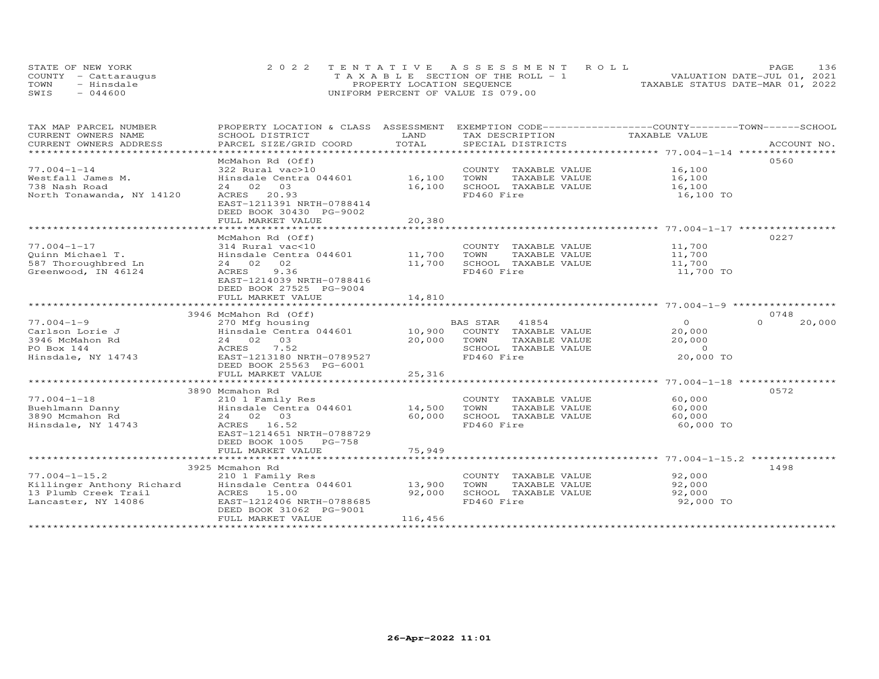|      | STATE OF NEW YORK    | 2022 TENTATIVE ASSESSMENT ROLL     | 136<br>PAGE.                     |
|------|----------------------|------------------------------------|----------------------------------|
|      | COUNTY - Cattarauqus | TAXABLE SECTION OF THE ROLL - 1    | VALUATION DATE-JUL 01, 2021      |
| TOWN | - Hinsdale           | PROPERTY LOCATION SEQUENCE         | TAXABLE STATUS DATE-MAR 01, 2022 |
| SWIS | $-044600$            | UNIFORM PERCENT OF VALUE IS 079.00 |                                  |

| TAX MAP PARCEL NUMBER<br>CURRENT OWNERS NAME                                                                            | PROPERTY LOCATION & CLASS ASSESSMENT EXEMPTION CODE----------------COUNTY-------TOWN------SCHOOL<br>SCHOOL DISTRICT                                                             | LAND                                         | TAX DESCRIPTION                                                                                       | TAXABLE VALUE                                               |                    |
|-------------------------------------------------------------------------------------------------------------------------|---------------------------------------------------------------------------------------------------------------------------------------------------------------------------------|----------------------------------------------|-------------------------------------------------------------------------------------------------------|-------------------------------------------------------------|--------------------|
| CURRENT OWNERS ADDRESS<br>*************************                                                                     | PARCEL SIZE/GRID COORD                                                                                                                                                          | TOTAL                                        | SPECIAL DISTRICTS                                                                                     |                                                             | ACCOUNT NO.        |
| $77.004 - 1 - 14$<br>Westfall James M.<br>738 Nash Road<br>North Tonawanda, NY 14120                                    | McMahon Rd (Off)<br>322 Rural vac>10<br>Hinsdale Centra 044601<br>24 02 03<br>20.93<br>ACRES<br>EAST-1211391 NRTH-0788414<br>DEED BOOK 30430 PG-9002<br>FULL MARKET VALUE       | 16,100<br>16,100<br>20,380<br>************** | COUNTY TAXABLE VALUE 16,100<br>TOWN<br>TAXABLE VALUE<br>SCHOOL TAXABLE VALUE<br>FD460 Fire            | 16,100<br>16,100<br>16,100 TO                               | 0560               |
| $77.004 - 1 - 17$<br>Quinn Michael T.<br>587 Thoroughbred Ln<br>Greenwood, IN 46124                                     | McMahon Rd (Off)<br>314 Rural vac<10<br>Hinsdale Centra 044601 11,700<br>24 02 02<br>9.36<br>ACRES<br>EAST-1214039 NRTH-0788416<br>DEED BOOK 27525 PG-9004<br>FULL MARKET VALUE | 11,700<br>14,810                             | COUNTY TAXABLE VALUE<br>TOWN<br>TAXABLE VALUE<br>SCHOOL TAXABLE VALUE<br>FD460 Fire                   | 11,700<br>11,700<br>11,700<br>11,700 TO                     | 0227               |
|                                                                                                                         | 3946 McMahon Rd (Off)                                                                                                                                                           |                                              |                                                                                                       |                                                             | 0748               |
| $77.004 - 1 - 9$<br>Carlson Lorie J<br>3946 McMahon Rd<br>PO Box 144<br>Hinsdale, NY 14743                              | 270 Mfg housing<br>$Hinsdale$ Centra $044601$ 10,900<br>24 02 03<br>7.52<br>ACRES<br>EAST-1213180 NRTH-0789527<br>DEED BOOK 25563 PG-6001                                       | 20,000                                       | BAS STAR 41854<br>COUNTY TAXABLE VALUE<br>TOWN<br>TAXABLE VALUE<br>SCHOOL TAXABLE VALUE<br>FD460 Fire | $\overline{O}$<br>20,000<br>20,000<br>$\Omega$<br>20,000 TO | $\Omega$<br>20,000 |
|                                                                                                                         | FULL MARKET VALUE                                                                                                                                                               | 25,316                                       |                                                                                                       |                                                             |                    |
| $77.004 - 1 - 18$<br>Buehlmann Danny<br>3890 Mcmahon Rd<br>Hinsdale, NY 14743                                           | 3890 Mcmahon Rd<br>210 1 Family Res<br>--<br>Hinsdale Centra 044601<br>24 02 03<br>ACRES 16.52<br>EAST-1214651 NRTH-0788729<br>DEED BOOK 1005 PG-758<br>FULL MARKET VALUE       | 14,500<br>60,000<br>75,949                   | COUNTY TAXABLE VALUE<br>TOWN<br>TAXABLE VALUE<br>SCHOOL TAXABLE VALUE<br>FD460 Fire                   | 60,000<br>60,000<br>60,000<br>60,000 TO                     | 0572               |
|                                                                                                                         |                                                                                                                                                                                 |                                              |                                                                                                       |                                                             |                    |
| $77.004 - 1 - 15.2$<br>Killinger Anthony Richard<br>13 Plumb Creek Trail<br>13 Plumb Creek Trail<br>Lancaster, NY 14086 | 3925 Mcmahon Rd<br>210 1 Family Res<br>Hinsdale Centra 044601<br>ACRES 15.00<br>EAST-1212406 NRTH-0788685<br>DEED BOOK 31062 PG-9001<br>FULL MARKET VALUE                       | 13,900<br>92,000<br>116,456                  | COUNTY TAXABLE VALUE<br>TOWN<br>TAXABLE VALUE<br>SCHOOL TAXABLE VALUE<br>FD460 Fire                   | 92,000<br>92,000<br>92,000<br>92,000 TO                     | 1498               |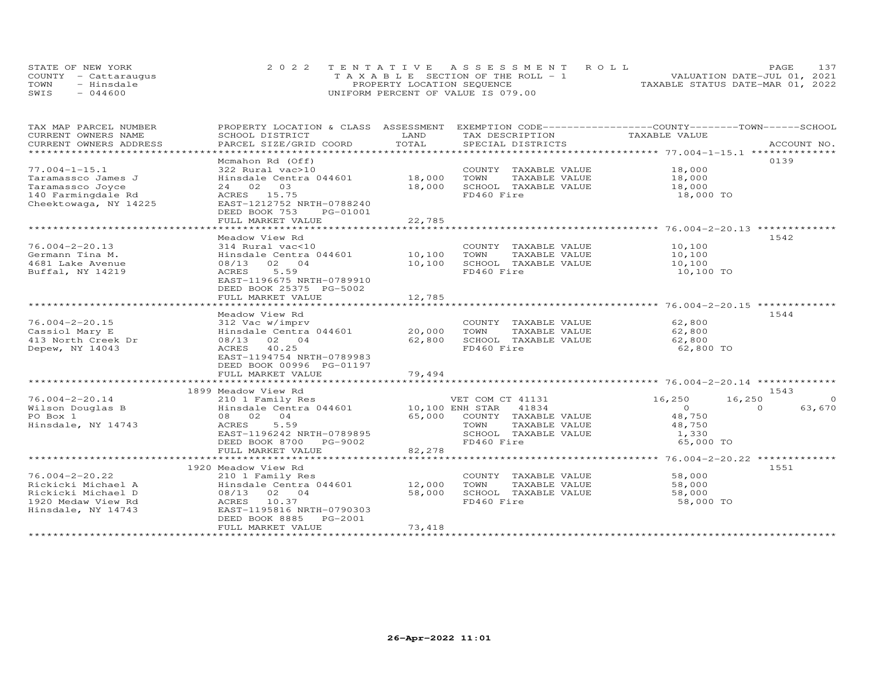| STATE OF NEW YORK    | 2022 TENTATIVE ASSESSMENT ROLL        | 137<br><b>PAGE</b>               |
|----------------------|---------------------------------------|----------------------------------|
| COUNTY - Cattaraugus | T A X A B L E SECTION OF THE ROLL - 1 | VALUATION DATE-JUL 01, 2021      |
| TOWN<br>- Hinsdale   | PROPERTY LOCATION SEQUENCE            | TAXABLE STATUS DATE-MAR 01, 2022 |
| $-044600$<br>SWIS    | UNIFORM PERCENT OF VALUE IS 079.00    |                                  |

| TAX MAP PARCEL NUMBER  |                           |              |                             | PROPERTY LOCATION & CLASS ASSESSMENT EXEMPTION CODE----------------COUNTY-------TOWN------SCHOOL |
|------------------------|---------------------------|--------------|-----------------------------|--------------------------------------------------------------------------------------------------|
| CURRENT OWNERS NAME    | SCHOOL DISTRICT           | LAND         | TAX DESCRIPTION             | TAXABLE VALUE                                                                                    |
| CURRENT OWNERS ADDRESS | PARCEL SIZE/GRID COORD    | TOTAL        | SPECIAL DISTRICTS           | ACCOUNT NO.                                                                                      |
| ****************       |                           |              |                             |                                                                                                  |
|                        | Mcmahon Rd (Off)          |              |                             | 0139                                                                                             |
| $77.004 - 1 - 15.1$    | 322 Rural vac>10          |              | COUNTY TAXABLE VALUE        | 18,000                                                                                           |
| Taramassco James J     | Hinsdale Centra 044601    | 18,000       | TOWN<br>TAXABLE VALUE       | 18,000                                                                                           |
| Taramassco Joyce       | 24 02 03                  | 18,000       | SCHOOL TAXABLE VALUE        | 18,000                                                                                           |
| 140 Farmingdale Rd     | ACRES 15.75               |              | FD460 Fire                  | 18,000 TO                                                                                        |
| Cheektowaga, NY 14225  | EAST-1212752 NRTH-0788240 |              |                             |                                                                                                  |
|                        | DEED BOOK 753<br>PG-01001 |              |                             |                                                                                                  |
|                        | FULL MARKET VALUE         | 22,785       |                             |                                                                                                  |
|                        |                           | **********   |                             |                                                                                                  |
|                        | Meadow View Rd            |              |                             | 1542                                                                                             |
| $76.004 - 2 - 20.13$   | 314 Rural vac<10          |              | COUNTY TAXABLE VALUE        | 10,100                                                                                           |
| Germann Tina M.        | Hinsdale Centra 044601    | 10,100       | TOWN<br>TAXABLE VALUE       | 10,100                                                                                           |
| 4681 Lake Avenue       | 08/13 02 04               | 10,100       | SCHOOL TAXABLE VALUE        | 10,100                                                                                           |
| Buffal, NY 14219       | ACRES<br>5.59             |              | FD460 Fire                  | 10,100 TO                                                                                        |
|                        | EAST-1196675 NRTH-0789910 |              |                             |                                                                                                  |
|                        | DEED BOOK 25375 PG-5002   |              |                             |                                                                                                  |
|                        | FULL MARKET VALUE         | 12,785       |                             |                                                                                                  |
|                        | **********************    | ************ |                             |                                                                                                  |
|                        | Meadow View Rd            |              |                             | 1544                                                                                             |
| $76.004 - 2 - 20.15$   | 312 Vac w/imprv           |              | COUNTY TAXABLE VALUE        | 62,800                                                                                           |
| Cassiol Mary E         | Hinsdale Centra 044601    | 20,000       | TOWN<br>TAXABLE VALUE       | 62,800                                                                                           |
| 413 North Creek Dr     | 08/13 02 04               | 62,800       | SCHOOL TAXABLE VALUE        | 62,800                                                                                           |
| Depew, NY 14043        | ACRES 40.25               |              | FD460 Fire                  | 62,800 TO                                                                                        |
|                        | EAST-1194754 NRTH-0789983 |              |                             |                                                                                                  |
|                        | DEED BOOK 00996 PG-01197  |              |                             |                                                                                                  |
|                        | FULL MARKET VALUE         | 79,494       |                             |                                                                                                  |
|                        |                           |              |                             |                                                                                                  |
|                        | 1899 Meadow View Rd       |              |                             | 1543                                                                                             |
| $76.004 - 2 - 20.14$   | 210 1 Family Res          |              | VET COM CT 41131            | 16,250<br>16,250<br>$\circ$                                                                      |
| Wilson Douglas B       | Hinsdale Centra 044601    |              | 10,100 ENH STAR 41834       | $\overline{O}$<br>63,670<br>$\Omega$                                                             |
| PO Box 1               | 08 02 04                  |              | 65,000 COUNTY TAXABLE VALUE | 48,750                                                                                           |
| Hinsdale, NY 14743     | ACRES<br>5.59             |              | TOWN<br>TAXABLE VALUE       | 48,750                                                                                           |
|                        | EAST-1196242 NRTH-0789895 |              | SCHOOL TAXABLE VALUE        | 1,330                                                                                            |
|                        | DEED BOOK 8700 PG-9002    |              | FD460 Fire                  | 65,000 TO                                                                                        |
|                        | FULL MARKET VALUE         | 82,278       |                             |                                                                                                  |
|                        |                           |              |                             |                                                                                                  |
|                        | 1920 Meadow View Rd       |              |                             | 1551                                                                                             |
| $76.004 - 2 - 20.22$   | 210 1 Family Res          |              | COUNTY TAXABLE VALUE        | 58,000                                                                                           |
| Rickicki Michael A     | Hinsdale Centra 044601    | 12,000       | TOWN<br>TAXABLE VALUE       | 58,000                                                                                           |
| Rickicki Michael D     | 08/13 02 04               | 58,000       | SCHOOL TAXABLE VALUE        | 58,000                                                                                           |
| 1920 Medaw View Rd     | ACRES 10.37               |              | FD460 Fire                  | 58,000 TO                                                                                        |
| Hinsdale, NY 14743     | EAST-1195816 NRTH-0790303 |              |                             |                                                                                                  |
|                        | DEED BOOK 8885<br>PG-2001 |              |                             |                                                                                                  |
|                        | FULL MARKET VALUE         | 73,418       |                             |                                                                                                  |
|                        |                           |              |                             |                                                                                                  |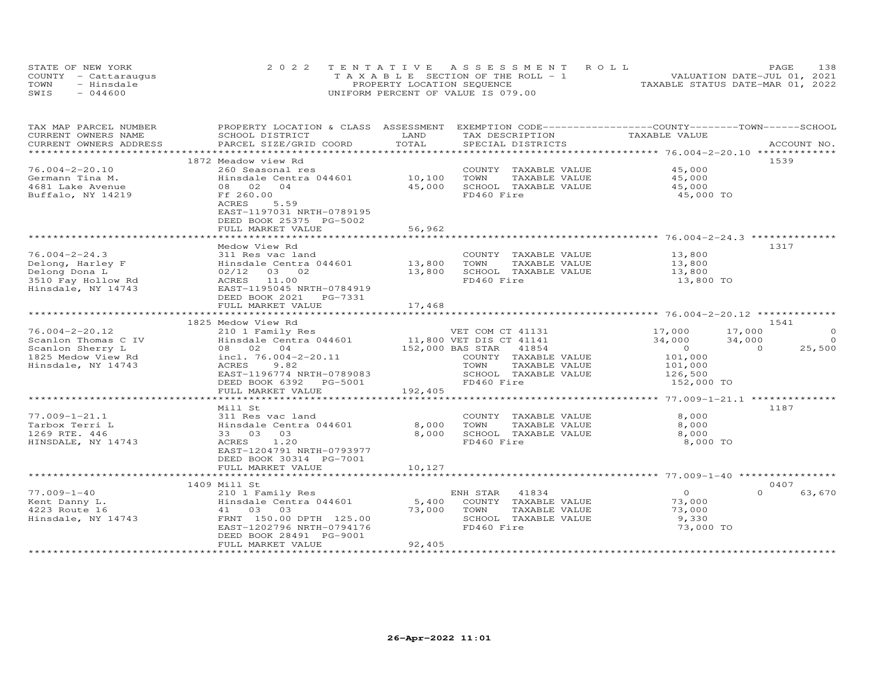| STATE OF NEW YORK    | 2022 TENTATIVE ASSESSMENT ROLL        | 138<br><b>PAGE</b>               |
|----------------------|---------------------------------------|----------------------------------|
| COUNTY - Cattaraugus | T A X A B L E SECTION OF THE ROLL - 1 | VALUATION DATE-JUL 01, 2021      |
| TOWN<br>- Hinsdale   | PROPERTY LOCATION SEQUENCE            | TAXABLE STATUS DATE-MAR 01, 2022 |
| $-044600$<br>SWIS    | UNIFORM PERCENT OF VALUE IS 079.00    |                                  |

| TAX MAP PARCEL NUMBER                         | PROPERTY LOCATION & CLASS ASSESSMENT         |                         | EXEMPTION CODE-----------------COUNTY-------TOWN-----SCHOOL               |                                                        |                                |
|-----------------------------------------------|----------------------------------------------|-------------------------|---------------------------------------------------------------------------|--------------------------------------------------------|--------------------------------|
| CURRENT OWNERS NAME<br>CURRENT OWNERS ADDRESS | SCHOOL DISTRICT<br>PARCEL SIZE/GRID COORD    | LAND<br>TOTAL           | TAX DESCRIPTION<br>SPECIAL DISTRICTS                                      | TAXABLE VALUE                                          | ACCOUNT NO.                    |
|                                               |                                              | *********************** |                                                                           | ************************ 76.004-2-20.10 ************** |                                |
|                                               | 1872 Meadow view Rd                          |                         |                                                                           |                                                        | 1539                           |
| $76.004 - 2 - 20.10$                          | 260 Seasonal res                             |                         | COUNTY TAXABLE VALUE                                                      | 45,000                                                 |                                |
| Germann Tina M.                               | Hinsdale Centra 044601                       | 10,100                  | TOWN<br>TAXABLE VALUE                                                     | 45,000                                                 |                                |
| 4681 Lake Avenue                              | 08 02 04                                     | 45,000                  | SCHOOL TAXABLE VALUE                                                      | 45,000                                                 |                                |
| Buffalo, NY 14219                             | Ff 260.00                                    |                         | FD460 Fire                                                                | 45,000 TO                                              |                                |
|                                               | 5.59<br>ACRES                                |                         |                                                                           |                                                        |                                |
|                                               | EAST-1197031 NRTH-0789195                    |                         |                                                                           |                                                        |                                |
|                                               | DEED BOOK 25375 PG-5002                      |                         |                                                                           |                                                        |                                |
|                                               | FULL MARKET VALUE                            | 56,962                  |                                                                           |                                                        |                                |
|                                               | Medow View Rd                                |                         |                                                                           |                                                        | 1317                           |
| $76.004 - 2 - 24.3$                           | 311 Res vac land                             |                         | COUNTY TAXABLE VALUE                                                      | 13,800                                                 |                                |
| Delong, Harley F                              | Hinsdale Centra 044601                       | 13,800                  | TOWN<br>TAXABLE VALUE                                                     | 13,800                                                 |                                |
| Delong Dona L                                 | $02/12$ 03 02                                | 13,800                  | SCHOOL TAXABLE VALUE                                                      | 13,800                                                 |                                |
| 3510 Fay Hollow Rd                            | ACRES 11.00                                  |                         | FD460 Fire                                                                | 13,800 TO                                              |                                |
| Hinsdale, NY 14743                            | EAST-1195045 NRTH-0784919                    |                         |                                                                           |                                                        |                                |
|                                               | DEED BOOK 2021<br>PG-7331                    |                         |                                                                           |                                                        |                                |
|                                               | FULL MARKET VALUE                            | 17,468                  |                                                                           |                                                        |                                |
|                                               |                                              |                         |                                                                           |                                                        |                                |
|                                               | 1825 Medow View Rd                           |                         |                                                                           |                                                        | 1541                           |
| $76.004 - 2 - 20.12$                          | 210 1 Family Res                             |                         |                                                                           | 17,000<br>17,000                                       | $\Omega$                       |
| Scanlon Thomas C IV<br>Scanlon Sherry L       | Hinsdale Centra 044601<br>08 02 04           |                         | VEL COLL CE 41141<br>11,800 VET DIS CT 41141<br>152,000 BAS STAR<br>41854 | 34,000<br>34,000<br>$\overline{0}$                     | $\Omega$<br>25,500<br>$\Omega$ |
| 1825 Medow View Rd                            | incl. 76.004-2-20.11                         |                         | COUNTY TAXABLE VALUE                                                      | 101,000                                                |                                |
| Hinsdale, NY 14743                            | ACRES<br>9.82                                |                         | TOWN<br>TAXABLE VALUE                                                     | 101,000                                                |                                |
|                                               | EAST-1196774 NRTH-0789083                    |                         | SCHOOL TAXABLE VALUE                                                      | 126,500                                                |                                |
|                                               | DEED BOOK 6392 PG-5001                       |                         | FD460 Fire                                                                | 152,000 TO                                             |                                |
|                                               | FULL MARKET VALUE                            | 192,405                 |                                                                           |                                                        |                                |
|                                               |                                              |                         |                                                                           |                                                        |                                |
|                                               | Mill St                                      |                         |                                                                           |                                                        | 1187                           |
| $77.009 - 1 - 21.1$                           | 311 Res vac land                             |                         | COUNTY TAXABLE VALUE                                                      | 8,000                                                  |                                |
| Tarbox Terri L                                | Hinsdale Centra 044601                       | 8,000                   | TOWN<br>TAXABLE VALUE                                                     | 8,000                                                  |                                |
| 1269 RTE. 446<br>HINSDALE, NY 14743           | 33 03 03<br>1.20<br>ACRES                    | 8,000                   | SCHOOL TAXABLE VALUE<br>FD460 Fire                                        | 8,000<br>8,000 TO                                      |                                |
|                                               | EAST-1204791 NRTH-0793977                    |                         |                                                                           |                                                        |                                |
|                                               | DEED BOOK 30314 PG-7001                      |                         |                                                                           |                                                        |                                |
|                                               | FULL MARKET VALUE                            | 10,127                  |                                                                           |                                                        |                                |
|                                               | ****************************                 |                         |                                                                           |                                                        |                                |
|                                               | 1409 Mill St                                 |                         |                                                                           |                                                        | 0407                           |
| $77.009 - 1 - 40$                             | 210 1 Family Res                             |                         | 41834<br>ENH STAR                                                         | $\overline{O}$                                         | $\Omega$<br>63,670             |
| Kent Danny L.                                 | Hinsdale Centra 044601                       | 5,400                   | COUNTY TAXABLE VALUE                                                      | 73,000                                                 |                                |
| 4223 Route 16                                 | 41 03 03                                     | 73,000                  | TOWN<br>TAXABLE VALUE                                                     | 73,000                                                 |                                |
| Hinsdale, NY 14743                            | FRNT 150.00 DPTH 125.00                      |                         | SCHOOL TAXABLE VALUE                                                      | 9,330                                                  |                                |
|                                               | EAST-1202796 NRTH-0794176                    |                         | FD460 Fire                                                                | 73,000 TO                                              |                                |
|                                               | DEED BOOK 28491 PG-9001<br>FULL MARKET VALUE | 92,405                  |                                                                           |                                                        |                                |
|                                               |                                              |                         |                                                                           |                                                        |                                |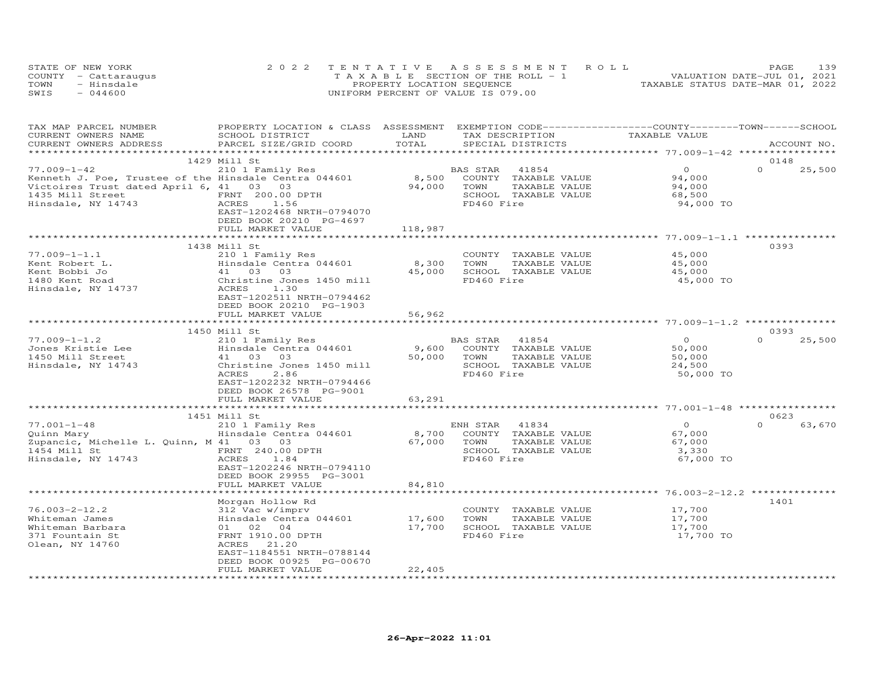| STATE OF NEW YORK    | 2022 TENTATIVE ASSESSMENT ROLL        | 139<br>PAGE                      |
|----------------------|---------------------------------------|----------------------------------|
| COUNTY - Cattaraugus | T A X A B L E SECTION OF THE ROLL - 1 | VALUATION DATE-JUL 01, 2021      |
| - Hinsdale<br>TOWN   | PROPERTY LOCATION SEQUENCE            | TAXABLE STATUS DATE-MAR 01, 2022 |
| SWIS<br>$-044600$    | UNIFORM PERCENT OF VALUE IS 079.00    |                                  |

| TAX MAP PARCEL NUMBER                                                                                                                                     | PROPERTY LOCATION & CLASS ASSESSMENT EXEMPTION CODE---------------COUNTY-------TOWN-----SCHOOL        |             |                |                                                                           |                  |                  |             |
|-----------------------------------------------------------------------------------------------------------------------------------------------------------|-------------------------------------------------------------------------------------------------------|-------------|----------------|---------------------------------------------------------------------------|------------------|------------------|-------------|
| CURRENT OWNERS NAME                                                                                                                                       | SCHOOL DISTRICT                                                                                       | LAND        |                | TAX DESCRIPTION                                                           | TAXABLE VALUE    |                  |             |
| CURRENT OWNERS ADDRESS                                                                                                                                    | PARCEL SIZE/GRID COORD                                                                                | TOTAL       |                | SPECIAL DISTRICTS                                                         |                  |                  | ACCOUNT NO. |
|                                                                                                                                                           |                                                                                                       |             |                |                                                                           |                  |                  |             |
|                                                                                                                                                           | 1429 Mill St                                                                                          |             |                |                                                                           |                  | 0148             |             |
| $77.009 - 1 - 42$                                                                                                                                         | 210 1 Family Res                                                                                      |             | BAS STAR 41854 |                                                                           | $\Omega$         | $\Omega$         | 25,500      |
| Kenneth J. Poe, Trustee of the Hinsdale Centra 044601                                                                                                     |                                                                                                       |             |                | 8,500 COUNTY TAXABLE VALUE                                                | 94,000           |                  |             |
| Victoires Trust dated April 6, 41 03 03                                                                                                                   |                                                                                                       | 94,000 TOWN |                | TAXABLE VALUE                                                             | 94,000           |                  |             |
| 1435 Mill Street                                                                                                                                          |                                                                                                       |             |                | SCHOOL TAXABLE VALUE                                                      | 68,500           |                  |             |
| Hinsdale, NY 14743                                                                                                                                        | FRNT 200.00 DPTH<br>ACRES 1.56                                                                        |             | FD460 Fire     |                                                                           | 94,000 TO        |                  |             |
|                                                                                                                                                           | EAST-1202468 NRTH-0794070                                                                             |             |                |                                                                           |                  |                  |             |
|                                                                                                                                                           | DEED BOOK 20210 PG-4697                                                                               |             |                |                                                                           |                  |                  |             |
|                                                                                                                                                           | FULL MARKET VALUE                                                                                     | 118,987     |                |                                                                           |                  |                  |             |
|                                                                                                                                                           |                                                                                                       |             |                |                                                                           |                  |                  |             |
|                                                                                                                                                           | 1438 Mill St                                                                                          |             |                |                                                                           |                  | 0393             |             |
| $77.009 - 1 - 1.1$                                                                                                                                        | 210 1 Family Res                                                                                      |             |                | COUNTY TAXABLE VALUE                                                      | 45,000           |                  |             |
| Kent Robert L.<br>In the Bobbi Jo                                                                                                                         |                                                                                                       | 8,300 TOWN  |                | TAXABLE VALUE                                                             | 45,000           |                  |             |
| Kent Bobbi Jo                                                                                                                                             |                                                                                                       |             |                |                                                                           | 45,000           |                  |             |
| 1480 Kent Road                                                                                                                                            |                                                                                                       |             |                | 45,000 SCHOOL TAXABLE VALUE<br>45,000 SCHOOL TAXABLE VALUE                | 45,000 TO        |                  |             |
| Hinsdale, NY 14737                                                                                                                                        | 210 I Family Res<br>Hinsdale Centra 044601<br>41 03 03<br>Christine Jones 1450 mill<br>737 ACRES 1.30 |             |                |                                                                           |                  |                  |             |
|                                                                                                                                                           | EAST-1202511 NRTH-0794462                                                                             |             |                |                                                                           |                  |                  |             |
|                                                                                                                                                           |                                                                                                       |             |                |                                                                           |                  |                  |             |
|                                                                                                                                                           | DEED BOOK 20210 PG-1903                                                                               |             |                |                                                                           |                  |                  |             |
|                                                                                                                                                           | FULL MARKET VALUE                                                                                     | 56,962      |                |                                                                           |                  |                  |             |
|                                                                                                                                                           |                                                                                                       |             |                |                                                                           |                  |                  |             |
|                                                                                                                                                           | 1450 Mill St                                                                                          |             |                |                                                                           |                  | 0393<br>$\Omega$ |             |
| $77.009 - 1 - 1.2$                                                                                                                                        | 210 1 Family Res                                                                                      |             | BAS STAR 41854 |                                                                           | $\overline{O}$   |                  | 25,500      |
| 77.009-1-1.2<br>Jones Kristie Lee and Hinsdale Centra 044601<br>1450 Mill Street and Hinsdale Centra 103<br>Hinsdale, NY 14743 (Christine Jones 1450 mill |                                                                                                       |             |                | 9,600 COUNTY TAXABLE VALUE                                                | 50,000           |                  |             |
|                                                                                                                                                           |                                                                                                       | 50,000 TOWN |                | TAXABLE VALUE                                                             | 50,000           |                  |             |
|                                                                                                                                                           |                                                                                                       |             |                | SCHOOL TAXABLE VALUE                                                      | 24,500           |                  |             |
|                                                                                                                                                           | 2.86<br>ACRES                                                                                         |             | FD460 Fire     |                                                                           | 50,000 TO        |                  |             |
|                                                                                                                                                           | EAST-1202232 NRTH-0794466                                                                             |             |                |                                                                           |                  |                  |             |
|                                                                                                                                                           | DEED BOOK 26578 PG-9001                                                                               |             |                |                                                                           |                  |                  |             |
|                                                                                                                                                           | FULL MARKET VALUE                                                                                     | 63,291      |                |                                                                           |                  |                  |             |
|                                                                                                                                                           |                                                                                                       |             |                |                                                                           |                  |                  |             |
|                                                                                                                                                           | 1451 Mill St                                                                                          |             |                |                                                                           |                  | 0623             |             |
| $77.001 - 1 - 48$                                                                                                                                         | 210 1 Family Res                                                                                      |             | ENH STAR 41834 |                                                                           | $\overline{O}$   | $\Omega$         | 63,670      |
| Quinn Mary                                                                                                                                                | Hinsdale Centra 044601                                                                                |             |                | 8,700 COUNTY TAXABLE VALUE                                                | 67,000           |                  |             |
| Zupancic, Michelle L. Quinn, M 41 03 03                                                                                                                   |                                                                                                       | 67,000 TOWN |                | TAXABLE VALUE                                                             | 67,000           |                  |             |
| 1454 Mill St                                                                                                                                              | FRNT 240.00 DPTH<br>ACRES                                                                             |             |                | SCHOOL TAXABLE VALUE                                                      | 3,330            |                  |             |
| Hinsdale, NY 14743                                                                                                                                        |                                                                                                       |             | FD460 Fire     |                                                                           | 67,000 TO        |                  |             |
|                                                                                                                                                           | EAST-1202246 NRTH-0794110                                                                             |             |                |                                                                           |                  |                  |             |
|                                                                                                                                                           | DEED BOOK 29955 PG-3001                                                                               |             |                |                                                                           |                  |                  |             |
|                                                                                                                                                           | FULL MARKET VALUE                                                                                     | 84,810      |                |                                                                           |                  |                  |             |
|                                                                                                                                                           |                                                                                                       |             |                |                                                                           |                  |                  |             |
|                                                                                                                                                           | Morgan Hollow Rd                                                                                      |             |                |                                                                           |                  | 1401             |             |
| $76.003 - 2 - 12.2$                                                                                                                                       | 312 Vac w/imprv                                                                                       |             |                | COUNTY TAXABLE VALUE                                                      | 17,700<br>17,700 |                  |             |
| Whiteman James                                                                                                                                            | 312 Vac w/imprv<br>Hinsdale Centra 044601<br>01   02   04                                             |             |                | 17,600 TOWN TAXABLE VALUE<br>17,700 SCHOOL TAXABLE VALUE<br>TAXABLE VALUE |                  |                  |             |
| Whiteman Barbara                                                                                                                                          |                                                                                                       |             |                |                                                                           | 17,700           |                  |             |
| 371 Fountain St                                                                                                                                           | FRNT 1910.00 DPTH                                                                                     |             | FD460 Fire     |                                                                           | 17,700 TO        |                  |             |
| Olean, NY 14760                                                                                                                                           | ACRES 21.20                                                                                           |             |                |                                                                           |                  |                  |             |
|                                                                                                                                                           | EAST-1184551 NRTH-0788144                                                                             |             |                |                                                                           |                  |                  |             |
|                                                                                                                                                           | DEED BOOK 00925 PG-00670                                                                              |             |                |                                                                           |                  |                  |             |
|                                                                                                                                                           | FULL MARKET VALUE                                                                                     | 22,405      |                |                                                                           |                  |                  |             |
|                                                                                                                                                           |                                                                                                       |             |                |                                                                           |                  |                  |             |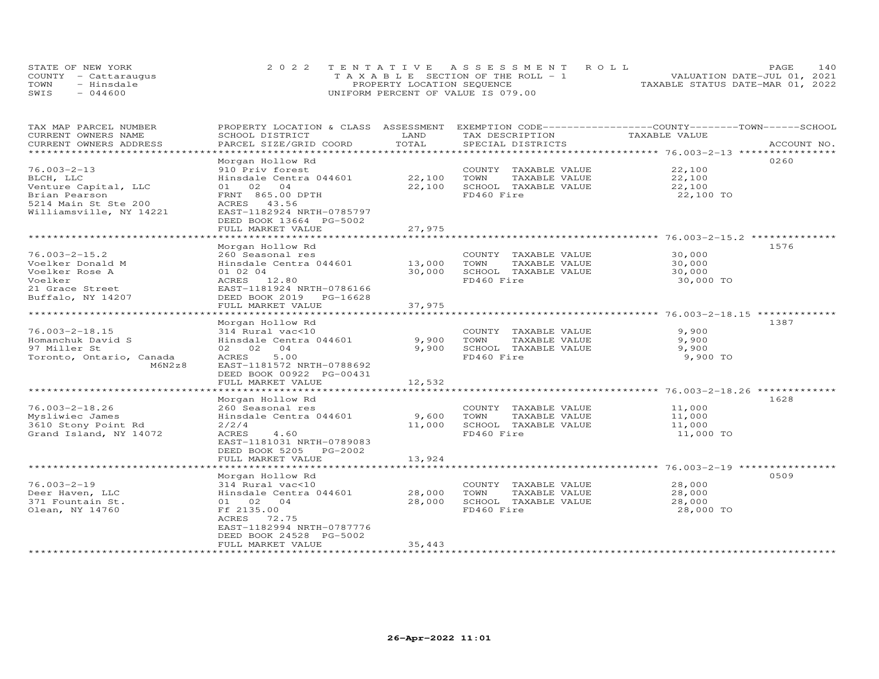|      | STATE OF NEW YORK    | 2022 TENTATIVE ASSESSMENT ROLL        | 140<br>PAGE                      |
|------|----------------------|---------------------------------------|----------------------------------|
|      | COUNTY - Cattaraugus | T A X A B L E SECTION OF THE ROLL - 1 | VALUATION DATE-JUL 01, 2021      |
| TOWN | - Hinsdale           | PROPERTY LOCATION SEQUENCE            | TAXABLE STATUS DATE-MAR 01, 2022 |
| SWIS | $-044600$            | UNIFORM PERCENT OF VALUE IS 079.00    |                                  |

| TAX MAP PARCEL NUMBER<br>CURRENT OWNERS NAME | PROPERTY LOCATION & CLASS ASSESSMENT<br>SCHOOL DISTRICT | LAND                  | TAX DESCRIPTION       | EXEMPTION CODE-----------------COUNTY-------TOWN------SCHOOL<br>TAXABLE VALUE |
|----------------------------------------------|---------------------------------------------------------|-----------------------|-----------------------|-------------------------------------------------------------------------------|
| CURRENT OWNERS ADDRESS                       | PARCEL SIZE/GRID COORD                                  | TOTAL                 | SPECIAL DISTRICTS     | ACCOUNT NO.                                                                   |
| ********************                         |                                                         |                       |                       |                                                                               |
|                                              | Morgan Hollow Rd                                        |                       |                       | 0260                                                                          |
| $76.003 - 2 - 13$                            | 910 Priv forest                                         |                       | COUNTY TAXABLE VALUE  | 22,100                                                                        |
| BLCH, LLC                                    | Hinsdale Centra 044601                                  | 22,100                | TOWN<br>TAXABLE VALUE | 22,100                                                                        |
| Venture Capital, LLC                         | 01 02 04                                                | 22,100                | SCHOOL TAXABLE VALUE  | 22,100                                                                        |
| Brian Pearson                                | FRNT 865.00 DPTH                                        |                       | FD460 Fire            | 22,100 TO                                                                     |
| 5214 Main St Ste 200                         | ACRES 43.56                                             |                       |                       |                                                                               |
| Williamsville, NY 14221                      | EAST-1182924 NRTH-0785797                               |                       |                       |                                                                               |
|                                              | DEED BOOK 13664 PG-5002                                 |                       |                       |                                                                               |
|                                              | FULL MARKET VALUE                                       | 27,975                |                       |                                                                               |
|                                              |                                                         |                       |                       |                                                                               |
|                                              | Morgan Hollow Rd                                        |                       |                       | 1576                                                                          |
| $76.003 - 2 - 15.2$                          | 260 Seasonal res                                        |                       | COUNTY TAXABLE VALUE  | 30,000                                                                        |
| Voelker Donald M                             | Hinsdale Centra 044601                                  | 13,000                | TOWN<br>TAXABLE VALUE | 30,000                                                                        |
| Voelker Rose A                               | 01 02 04                                                | 30,000                | SCHOOL TAXABLE VALUE  | 30,000                                                                        |
| Voelker                                      | ACRES 12.80                                             |                       | FD460 Fire            | 30,000 TO                                                                     |
| 21 Grace Street                              | EAST-1181924 NRTH-0786166                               |                       |                       |                                                                               |
| Buffalo, NY 14207                            | DEED BOOK 2019 PG-16628                                 |                       |                       |                                                                               |
|                                              | FULL MARKET VALUE                                       | 37,975                |                       |                                                                               |
|                                              | **********************                                  | * * * * * * * * * * * |                       |                                                                               |
|                                              | Morgan Hollow Rd                                        |                       |                       | 1387                                                                          |
| $76.003 - 2 - 18.15$                         | 314 Rural vac<10                                        |                       | COUNTY TAXABLE VALUE  | 9,900                                                                         |
| Homanchuk David S                            | Hinsdale Centra 044601                                  | 9,900                 | TOWN<br>TAXABLE VALUE | 9,900                                                                         |
| 97 Miller St                                 | 02 02 04                                                | 9,900                 | SCHOOL TAXABLE VALUE  | 9,900                                                                         |
| Toronto, Ontario, Canada                     | 5.00<br>ACRES                                           |                       | FD460 Fire            | 9,900 TO                                                                      |
| M6N2z8                                       | EAST-1181572 NRTH-0788692                               |                       |                       |                                                                               |
|                                              | DEED BOOK 00922 PG-00431                                |                       |                       |                                                                               |
|                                              | FULL MARKET VALUE                                       | 12,532                |                       |                                                                               |
|                                              |                                                         |                       |                       |                                                                               |
|                                              | Morgan Hollow Rd                                        |                       |                       | 1628                                                                          |
| $76.003 - 2 - 18.26$                         | 260 Seasonal res                                        |                       | COUNTY TAXABLE VALUE  | 11,000                                                                        |
| Mysliwiec James                              | Hinsdale Centra 044601                                  | 9,600                 | TAXABLE VALUE<br>TOWN | 11,000                                                                        |
| 3610 Stony Point Rd                          | 2/2/4                                                   | 11,000                | SCHOOL TAXABLE VALUE  | 11,000                                                                        |
| Grand Island, NY 14072                       | ACRES<br>4.60                                           |                       | FD460 Fire            | 11,000 TO                                                                     |
|                                              | EAST-1181031 NRTH-0789083                               |                       |                       |                                                                               |
|                                              | DEED BOOK 5205 PG-2002                                  |                       |                       |                                                                               |
|                                              | FULL MARKET VALUE<br>**************************         | 13,924                |                       |                                                                               |
|                                              |                                                         |                       |                       |                                                                               |
|                                              | Morgan Hollow Rd                                        |                       |                       | 0509                                                                          |
| $76.003 - 2 - 19$                            | 314 Rural vac<10                                        |                       | COUNTY TAXABLE VALUE  | 28,000                                                                        |
| Deer Haven, LLC                              | Hinsdale Centra 044601                                  | 28,000                | TOWN<br>TAXABLE VALUE | 28,000                                                                        |
| 371 Fountain St.                             | 01 02 04                                                | 28,000                | SCHOOL TAXABLE VALUE  | 28,000                                                                        |
| Olean, NY 14760                              | Ff 2135.00                                              |                       | FD460 Fire            | 28,000 TO                                                                     |
|                                              | ACRES 72.75                                             |                       |                       |                                                                               |
|                                              | EAST-1182994 NRTH-0787776                               |                       |                       |                                                                               |
|                                              | DEED BOOK 24528 PG-5002<br>FULL MARKET VALUE            | 35,443                |                       |                                                                               |
| ********************                         | *************************                               |                       |                       |                                                                               |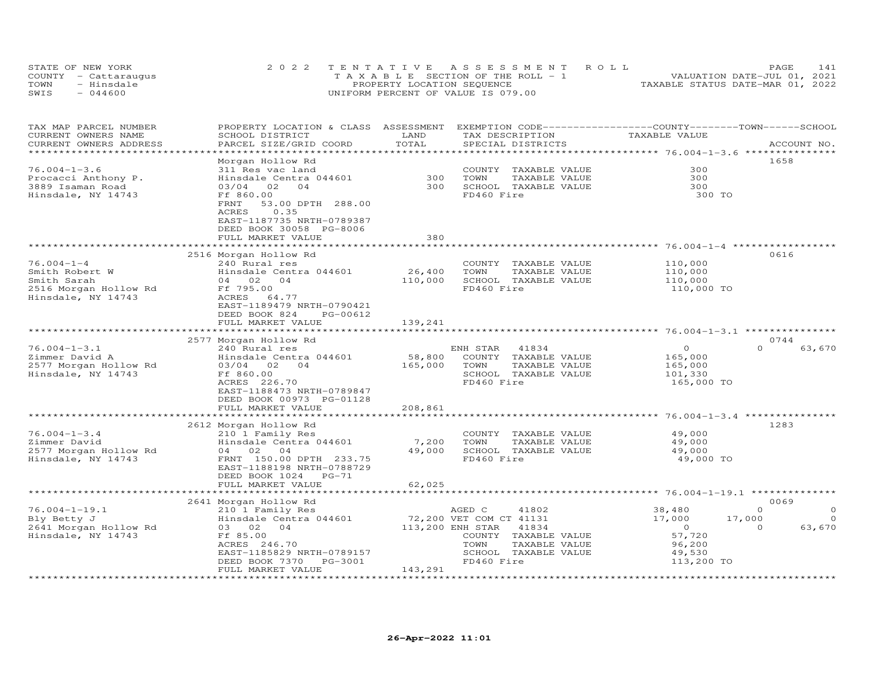|      | STATE OF NEW YORK    | 2022 TENTATIVE ASSESSMENT ROLL        | 141<br>PAGE                      |
|------|----------------------|---------------------------------------|----------------------------------|
|      | COUNTY - Cattaraugus | T A X A B L E SECTION OF THE ROLL - 1 | VALUATION DATE-JUL 01, 2021      |
| TOWN | - Hinsdale           | PROPERTY LOCATION SEQUENCE            | TAXABLE STATUS DATE-MAR 01, 2022 |
| SWIS | $-044600$            | UNIFORM PERCENT OF VALUE IS 079.00    |                                  |

| TAX MAP PARCEL NUMBER<br>CURRENT OWNERS NAME<br>CURRENT OWNERS ADDRESS | PROPERTY LOCATION & CLASS ASSESSMENT<br>SCHOOL DISTRICT<br>PARCEL SIZE/GRID COORD | LAND<br>TOTAL           | EXEMPTION CODE-----------------COUNTY-------TOWN------SCHOOL<br>TAX DESCRIPTION<br>SPECIAL DISTRICTS | TAXABLE VALUE                     | ACCOUNT NO.         |
|------------------------------------------------------------------------|-----------------------------------------------------------------------------------|-------------------------|------------------------------------------------------------------------------------------------------|-----------------------------------|---------------------|
| ******************************                                         |                                                                                   |                         |                                                                                                      |                                   |                     |
|                                                                        | Morgan Hollow Rd                                                                  |                         |                                                                                                      |                                   | 1658                |
| $76.004 - 1 - 3.6$                                                     | 311 Res vac land                                                                  |                         | COUNTY TAXABLE VALUE                                                                                 | 300                               |                     |
| Procacci Anthony P.                                                    | Hinsdale Centra 044601                                                            | 300                     | TAXABLE VALUE<br>TOWN                                                                                | 300                               |                     |
| 3889 Isaman Road                                                       | 02<br>03/04<br>04                                                                 | 300                     | SCHOOL TAXABLE VALUE                                                                                 | 300                               |                     |
| Hinsdale, NY 14743                                                     | Ff 860.00                                                                         |                         | FD460 Fire                                                                                           | 300 TO                            |                     |
|                                                                        | FRNT<br>53.00 DPTH 288.00<br>ACRES<br>0.35                                        |                         |                                                                                                      |                                   |                     |
|                                                                        | EAST-1187735 NRTH-0789387<br>DEED BOOK 30058 PG-8006                              |                         |                                                                                                      |                                   |                     |
|                                                                        | FULL MARKET VALUE                                                                 | 380                     |                                                                                                      |                                   |                     |
|                                                                        |                                                                                   |                         |                                                                                                      |                                   |                     |
|                                                                        | 2516 Morgan Hollow Rd                                                             |                         |                                                                                                      |                                   | 0616                |
| $76.004 - 1 - 4$                                                       | 240 Rural res                                                                     |                         | COUNTY TAXABLE VALUE                                                                                 | 110,000                           |                     |
| Smith Robert W                                                         | Hinsdale Centra 044601                                                            | 26,400                  | TOWN<br>TAXABLE VALUE                                                                                | 110,000                           |                     |
| Smith Sarah                                                            | 04 02 04                                                                          | 110,000                 | SCHOOL TAXABLE VALUE                                                                                 | 110,000                           |                     |
| 2516 Morgan Hollow Rd                                                  | Ff 795.00                                                                         |                         | FD460 Fire                                                                                           | 110,000 TO                        |                     |
| Hinsdale, NY 14743                                                     | ACRES 64.77                                                                       |                         |                                                                                                      |                                   |                     |
|                                                                        | EAST-1189479 NRTH-0790421                                                         |                         |                                                                                                      |                                   |                     |
|                                                                        | DEED BOOK 824<br>PG-00612                                                         |                         |                                                                                                      |                                   |                     |
|                                                                        | FULL MARKET VALUE                                                                 | 139,241                 |                                                                                                      |                                   |                     |
|                                                                        | ***********************                                                           |                         |                                                                                                      |                                   |                     |
|                                                                        | 2577 Morgan Hollow Rd                                                             |                         |                                                                                                      |                                   | 0744                |
| $76.004 - 1 - 3.1$                                                     | 240 Rural res                                                                     |                         | ENH STAR<br>41834                                                                                    | $\circ$                           | $\Omega$<br>63,670  |
| Zimmer David A                                                         | Hinsdale Centra 044601                                                            | 58,800                  | COUNTY TAXABLE VALUE                                                                                 | 165,000                           |                     |
| 2577 Morgan Hollow Rd                                                  | 03/04 02<br>04                                                                    | 165,000                 | TOWN<br>TAXABLE VALUE                                                                                | 165,000                           |                     |
| Hinsdale, NY 14743                                                     | Ff 860.00                                                                         |                         | SCHOOL TAXABLE VALUE                                                                                 | 101,330                           |                     |
|                                                                        | ACRES 226.70                                                                      |                         | FD460 Fire                                                                                           | 165,000 TO                        |                     |
|                                                                        | EAST-1188473 NRTH-0789847                                                         |                         |                                                                                                      |                                   |                     |
|                                                                        | DEED BOOK 00973 PG-01128                                                          |                         |                                                                                                      |                                   |                     |
|                                                                        | FULL MARKET VALUE                                                                 | 208,861                 |                                                                                                      |                                   |                     |
|                                                                        |                                                                                   | * * * * * * * * * * * * |                                                                                                      |                                   |                     |
|                                                                        | 2612 Morgan Hollow Rd                                                             |                         |                                                                                                      |                                   | 1283                |
| $76.004 - 1 - 3.4$                                                     |                                                                                   |                         |                                                                                                      | 49,000                            |                     |
| Zimmer David                                                           | 210 1 Family Res                                                                  |                         | COUNTY TAXABLE VALUE                                                                                 |                                   |                     |
|                                                                        | Hinsdale Centra 044601                                                            | 7,200                   | TOWN<br>TAXABLE VALUE                                                                                | 49,000                            |                     |
| 2577 Morgan Hollow Rd                                                  | 04 02 04                                                                          | 49,000                  | SCHOOL TAXABLE VALUE                                                                                 | 49,000                            |                     |
| Hinsdale, NY 14743                                                     | FRNT 150.00 DPTH 233.75                                                           |                         | FD460 Fire                                                                                           | 49,000 TO                         |                     |
|                                                                        | EAST-1188198 NRTH-0788729                                                         |                         |                                                                                                      |                                   |                     |
|                                                                        | DEED BOOK 1024<br>$PG-71$                                                         |                         |                                                                                                      |                                   |                     |
|                                                                        | FULL MARKET VALUE                                                                 | 62,025                  |                                                                                                      |                                   |                     |
|                                                                        |                                                                                   |                         |                                                                                                      |                                   |                     |
|                                                                        | 2641 Morgan Hollow Rd                                                             |                         |                                                                                                      |                                   | 0069                |
| $76.004 - 1 - 19.1$                                                    | 210 1 Family Res                                                                  |                         | AGED C<br>41802                                                                                      | 38,480                            | $\circ$<br>$\Omega$ |
| Bly Betty J                                                            | Hinsdale Centra 044601                                                            |                         | 72,200 VET COM CT 41131                                                                              | 17,000<br>17,000                  | $\Omega$            |
| 2641 Morgan Hollow Rd                                                  | 03 02<br>04                                                                       |                         | 113,200 ENH STAR<br>41834                                                                            | $\Omega$                          | 63,670<br>$\Omega$  |
| Hinsdale, NY 14743                                                     | Ff 85.00                                                                          |                         | COUNTY TAXABLE VALUE                                                                                 | 57,720                            |                     |
|                                                                        | ACRES 246.70                                                                      |                         | TOWN<br>TAXABLE VALUE                                                                                | 96,200                            |                     |
|                                                                        | EAST-1185829 NRTH-0789157                                                         |                         | SCHOOL TAXABLE VALUE                                                                                 | 49,530                            |                     |
|                                                                        | PG-3001<br>DEED BOOK 7370                                                         |                         | FD460 Fire                                                                                           | 113,200 TO                        |                     |
|                                                                        | FULL MARKET VALUE                                                                 | 143,291                 |                                                                                                      |                                   |                     |
| ************************                                               | *************************                                                         | *********************** |                                                                                                      | ********************************* |                     |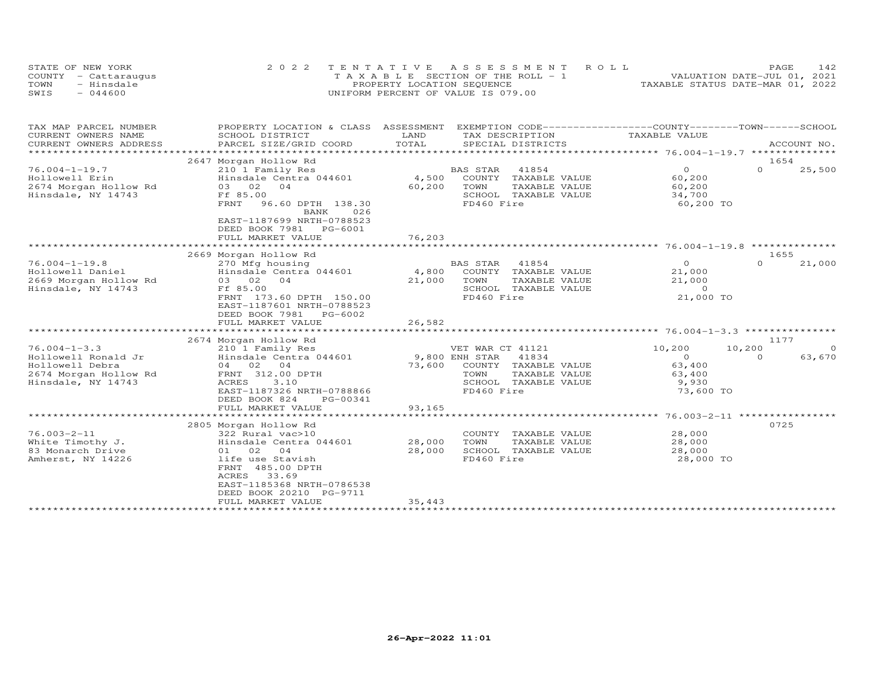| STATE OF NEW YORK    | 2022 TENTATIVE ASSESSMENT ROLL |                                       |  |                                  | PAGE. |  |
|----------------------|--------------------------------|---------------------------------------|--|----------------------------------|-------|--|
| COUNTY - Cattaraugus |                                | T A X A B L E SECTION OF THE ROLL - 1 |  | VALUATION DATE-JUL 01, 2021      |       |  |
| TOWN<br>- Hinsdale   |                                | PROPERTY LOCATION SEQUENCE            |  | TAXABLE STATUS DATE-MAR 01, 2022 |       |  |
| SWIS<br>$-044600$    |                                | UNIFORM PERCENT OF VALUE IS 079.00    |  |                                  |       |  |

| CURRENT OWNERS NAME<br>SCHOOL DISTRICT<br>LAND<br>TAX DESCRIPTION<br>TAXABLE VALUE<br>TOTAL<br>CURRENT OWNERS ADDRESS<br>PARCEL SIZE/GRID COORD<br>SPECIAL DISTRICTS<br>ACCOUNT NO.<br>***********************<br>2647 Morgan Hollow Rd<br>1654<br>$\Omega$<br>BAS STAR<br>41854<br>$\overline{O}$<br>25,500<br>$76.004 - 1 - 19.7$<br>210 1 Family Res<br>4,500<br>COUNTY TAXABLE VALUE<br>60,200<br>Hollowell Erin<br>Hinsdale Centra 044601<br>60,200<br>2674 Morgan Hollow Rd<br>03 02 04<br>TOWN<br>TAXABLE VALUE<br>60,200<br>Ff 85.00<br>SCHOOL TAXABLE VALUE<br>34,700<br>Hinsdale, NY 14743<br>FD460 Fire<br>60,200 TO<br>FRNT<br>96.60 DPTH 138.30<br>BANK<br>026<br>EAST-1187699 NRTH-0788523<br>DEED BOOK 7981 PG-6001<br>76,203<br>FULL MARKET VALUE<br>2669 Morgan Hollow Rd<br>1655<br>$\Omega$<br>BAS STAR<br>41854<br>$\circ$<br>$76.004 - 1 - 19.8$<br>270 Mfg housing<br>21,000<br>Hollowell Daniel<br>4,800<br>COUNTY TAXABLE VALUE<br>Hinsdale Centra 044601<br>21,000<br>21,000<br>2669 Morgan Hollow Rd<br>03 02<br>04<br>TOWN<br>TAXABLE VALUE<br>21,000<br>Hinsdale, NY 14743<br>Ff 85.00<br>SCHOOL TAXABLE VALUE<br>$\Omega$<br>FD460 Fire<br>21,000 TO<br>FRNT 173.60 DPTH 150.00<br>EAST-1187601 NRTH-0788523<br>DEED BOOK 7981<br>PG-6002<br>FULL MARKET VALUE<br>26,582<br>1177<br>2674 Morgan Hollow Rd<br>10,200<br>$76.004 - 1 - 3.3$<br>VET WAR CT 41121<br>10,200<br>210 1 Family Res<br>$\Omega$<br>Hollowell Ronald Jr<br>Hinsdale Centra 044601<br>9,800 ENH STAR<br>41834<br>$\Omega$<br>63,670<br>$\Omega$<br>04 02 04<br>Hollowell Debra<br>73,600<br>63,400<br>COUNTY TAXABLE VALUE<br>2674 Morgan Hollow Rd<br>FRNT 312.00 DPTH<br>TOWN<br>TAXABLE VALUE<br>63,400<br>Hinsdale, NY 14743<br>3.10<br>ACRES<br>SCHOOL TAXABLE VALUE<br>9,930<br>EAST-1187326 NRTH-0788866<br>FD460 Fire<br>73,600 TO<br>DEED BOOK 824<br>PG-00341<br>93,165<br>FULL MARKET VALUE<br>2805 Morgan Hollow Rd<br>0725<br>28,000<br>$76.003 - 2 - 11$<br>COUNTY TAXABLE VALUE<br>322 Rural vac>10<br>28,000<br>TAXABLE VALUE<br>28,000<br>White Timothy J.<br>Hinsdale Centra 044601<br>TOWN<br>83 Monarch Drive<br>28,000<br>SCHOOL TAXABLE VALUE<br>01 02<br>28,000<br>$\overline{04}$<br>Amherst, NY 14226<br>life use Stavish<br>FD460 Fire<br>28,000 TO<br>FRNT 485.00 DPTH<br>ACRES<br>33.69<br>EAST-1185368 NRTH-0786538<br>DEED BOOK 20210 PG-9711<br>35,443<br>FULL MARKET VALUE | TAX MAP PARCEL NUMBER | PROPERTY LOCATION & CLASS ASSESSMENT |  | EXEMPTION CODE-----------------COUNTY-------TOWN------SCHOOL |  |
|---------------------------------------------------------------------------------------------------------------------------------------------------------------------------------------------------------------------------------------------------------------------------------------------------------------------------------------------------------------------------------------------------------------------------------------------------------------------------------------------------------------------------------------------------------------------------------------------------------------------------------------------------------------------------------------------------------------------------------------------------------------------------------------------------------------------------------------------------------------------------------------------------------------------------------------------------------------------------------------------------------------------------------------------------------------------------------------------------------------------------------------------------------------------------------------------------------------------------------------------------------------------------------------------------------------------------------------------------------------------------------------------------------------------------------------------------------------------------------------------------------------------------------------------------------------------------------------------------------------------------------------------------------------------------------------------------------------------------------------------------------------------------------------------------------------------------------------------------------------------------------------------------------------------------------------------------------------------------------------------------------------------------------------------------------------------------------------------------------------------------------------------------------------------------------------------------------------------------------------------------------------------------------------------------------------------------------------------------------------------------------------------------------------|-----------------------|--------------------------------------|--|--------------------------------------------------------------|--|
|                                                                                                                                                                                                                                                                                                                                                                                                                                                                                                                                                                                                                                                                                                                                                                                                                                                                                                                                                                                                                                                                                                                                                                                                                                                                                                                                                                                                                                                                                                                                                                                                                                                                                                                                                                                                                                                                                                                                                                                                                                                                                                                                                                                                                                                                                                                                                                                                               |                       |                                      |  |                                                              |  |
|                                                                                                                                                                                                                                                                                                                                                                                                                                                                                                                                                                                                                                                                                                                                                                                                                                                                                                                                                                                                                                                                                                                                                                                                                                                                                                                                                                                                                                                                                                                                                                                                                                                                                                                                                                                                                                                                                                                                                                                                                                                                                                                                                                                                                                                                                                                                                                                                               |                       |                                      |  |                                                              |  |
|                                                                                                                                                                                                                                                                                                                                                                                                                                                                                                                                                                                                                                                                                                                                                                                                                                                                                                                                                                                                                                                                                                                                                                                                                                                                                                                                                                                                                                                                                                                                                                                                                                                                                                                                                                                                                                                                                                                                                                                                                                                                                                                                                                                                                                                                                                                                                                                                               |                       |                                      |  |                                                              |  |
|                                                                                                                                                                                                                                                                                                                                                                                                                                                                                                                                                                                                                                                                                                                                                                                                                                                                                                                                                                                                                                                                                                                                                                                                                                                                                                                                                                                                                                                                                                                                                                                                                                                                                                                                                                                                                                                                                                                                                                                                                                                                                                                                                                                                                                                                                                                                                                                                               |                       |                                      |  |                                                              |  |
|                                                                                                                                                                                                                                                                                                                                                                                                                                                                                                                                                                                                                                                                                                                                                                                                                                                                                                                                                                                                                                                                                                                                                                                                                                                                                                                                                                                                                                                                                                                                                                                                                                                                                                                                                                                                                                                                                                                                                                                                                                                                                                                                                                                                                                                                                                                                                                                                               |                       |                                      |  |                                                              |  |
|                                                                                                                                                                                                                                                                                                                                                                                                                                                                                                                                                                                                                                                                                                                                                                                                                                                                                                                                                                                                                                                                                                                                                                                                                                                                                                                                                                                                                                                                                                                                                                                                                                                                                                                                                                                                                                                                                                                                                                                                                                                                                                                                                                                                                                                                                                                                                                                                               |                       |                                      |  |                                                              |  |
|                                                                                                                                                                                                                                                                                                                                                                                                                                                                                                                                                                                                                                                                                                                                                                                                                                                                                                                                                                                                                                                                                                                                                                                                                                                                                                                                                                                                                                                                                                                                                                                                                                                                                                                                                                                                                                                                                                                                                                                                                                                                                                                                                                                                                                                                                                                                                                                                               |                       |                                      |  |                                                              |  |
|                                                                                                                                                                                                                                                                                                                                                                                                                                                                                                                                                                                                                                                                                                                                                                                                                                                                                                                                                                                                                                                                                                                                                                                                                                                                                                                                                                                                                                                                                                                                                                                                                                                                                                                                                                                                                                                                                                                                                                                                                                                                                                                                                                                                                                                                                                                                                                                                               |                       |                                      |  |                                                              |  |
|                                                                                                                                                                                                                                                                                                                                                                                                                                                                                                                                                                                                                                                                                                                                                                                                                                                                                                                                                                                                                                                                                                                                                                                                                                                                                                                                                                                                                                                                                                                                                                                                                                                                                                                                                                                                                                                                                                                                                                                                                                                                                                                                                                                                                                                                                                                                                                                                               |                       |                                      |  |                                                              |  |
|                                                                                                                                                                                                                                                                                                                                                                                                                                                                                                                                                                                                                                                                                                                                                                                                                                                                                                                                                                                                                                                                                                                                                                                                                                                                                                                                                                                                                                                                                                                                                                                                                                                                                                                                                                                                                                                                                                                                                                                                                                                                                                                                                                                                                                                                                                                                                                                                               |                       |                                      |  |                                                              |  |
|                                                                                                                                                                                                                                                                                                                                                                                                                                                                                                                                                                                                                                                                                                                                                                                                                                                                                                                                                                                                                                                                                                                                                                                                                                                                                                                                                                                                                                                                                                                                                                                                                                                                                                                                                                                                                                                                                                                                                                                                                                                                                                                                                                                                                                                                                                                                                                                                               |                       |                                      |  |                                                              |  |
|                                                                                                                                                                                                                                                                                                                                                                                                                                                                                                                                                                                                                                                                                                                                                                                                                                                                                                                                                                                                                                                                                                                                                                                                                                                                                                                                                                                                                                                                                                                                                                                                                                                                                                                                                                                                                                                                                                                                                                                                                                                                                                                                                                                                                                                                                                                                                                                                               |                       |                                      |  |                                                              |  |
|                                                                                                                                                                                                                                                                                                                                                                                                                                                                                                                                                                                                                                                                                                                                                                                                                                                                                                                                                                                                                                                                                                                                                                                                                                                                                                                                                                                                                                                                                                                                                                                                                                                                                                                                                                                                                                                                                                                                                                                                                                                                                                                                                                                                                                                                                                                                                                                                               |                       |                                      |  |                                                              |  |
|                                                                                                                                                                                                                                                                                                                                                                                                                                                                                                                                                                                                                                                                                                                                                                                                                                                                                                                                                                                                                                                                                                                                                                                                                                                                                                                                                                                                                                                                                                                                                                                                                                                                                                                                                                                                                                                                                                                                                                                                                                                                                                                                                                                                                                                                                                                                                                                                               |                       |                                      |  |                                                              |  |
|                                                                                                                                                                                                                                                                                                                                                                                                                                                                                                                                                                                                                                                                                                                                                                                                                                                                                                                                                                                                                                                                                                                                                                                                                                                                                                                                                                                                                                                                                                                                                                                                                                                                                                                                                                                                                                                                                                                                                                                                                                                                                                                                                                                                                                                                                                                                                                                                               |                       |                                      |  |                                                              |  |
|                                                                                                                                                                                                                                                                                                                                                                                                                                                                                                                                                                                                                                                                                                                                                                                                                                                                                                                                                                                                                                                                                                                                                                                                                                                                                                                                                                                                                                                                                                                                                                                                                                                                                                                                                                                                                                                                                                                                                                                                                                                                                                                                                                                                                                                                                                                                                                                                               |                       |                                      |  |                                                              |  |
|                                                                                                                                                                                                                                                                                                                                                                                                                                                                                                                                                                                                                                                                                                                                                                                                                                                                                                                                                                                                                                                                                                                                                                                                                                                                                                                                                                                                                                                                                                                                                                                                                                                                                                                                                                                                                                                                                                                                                                                                                                                                                                                                                                                                                                                                                                                                                                                                               |                       |                                      |  |                                                              |  |
|                                                                                                                                                                                                                                                                                                                                                                                                                                                                                                                                                                                                                                                                                                                                                                                                                                                                                                                                                                                                                                                                                                                                                                                                                                                                                                                                                                                                                                                                                                                                                                                                                                                                                                                                                                                                                                                                                                                                                                                                                                                                                                                                                                                                                                                                                                                                                                                                               |                       |                                      |  |                                                              |  |
|                                                                                                                                                                                                                                                                                                                                                                                                                                                                                                                                                                                                                                                                                                                                                                                                                                                                                                                                                                                                                                                                                                                                                                                                                                                                                                                                                                                                                                                                                                                                                                                                                                                                                                                                                                                                                                                                                                                                                                                                                                                                                                                                                                                                                                                                                                                                                                                                               |                       |                                      |  |                                                              |  |
|                                                                                                                                                                                                                                                                                                                                                                                                                                                                                                                                                                                                                                                                                                                                                                                                                                                                                                                                                                                                                                                                                                                                                                                                                                                                                                                                                                                                                                                                                                                                                                                                                                                                                                                                                                                                                                                                                                                                                                                                                                                                                                                                                                                                                                                                                                                                                                                                               |                       |                                      |  |                                                              |  |
|                                                                                                                                                                                                                                                                                                                                                                                                                                                                                                                                                                                                                                                                                                                                                                                                                                                                                                                                                                                                                                                                                                                                                                                                                                                                                                                                                                                                                                                                                                                                                                                                                                                                                                                                                                                                                                                                                                                                                                                                                                                                                                                                                                                                                                                                                                                                                                                                               |                       |                                      |  |                                                              |  |
|                                                                                                                                                                                                                                                                                                                                                                                                                                                                                                                                                                                                                                                                                                                                                                                                                                                                                                                                                                                                                                                                                                                                                                                                                                                                                                                                                                                                                                                                                                                                                                                                                                                                                                                                                                                                                                                                                                                                                                                                                                                                                                                                                                                                                                                                                                                                                                                                               |                       |                                      |  |                                                              |  |
|                                                                                                                                                                                                                                                                                                                                                                                                                                                                                                                                                                                                                                                                                                                                                                                                                                                                                                                                                                                                                                                                                                                                                                                                                                                                                                                                                                                                                                                                                                                                                                                                                                                                                                                                                                                                                                                                                                                                                                                                                                                                                                                                                                                                                                                                                                                                                                                                               |                       |                                      |  |                                                              |  |
|                                                                                                                                                                                                                                                                                                                                                                                                                                                                                                                                                                                                                                                                                                                                                                                                                                                                                                                                                                                                                                                                                                                                                                                                                                                                                                                                                                                                                                                                                                                                                                                                                                                                                                                                                                                                                                                                                                                                                                                                                                                                                                                                                                                                                                                                                                                                                                                                               |                       |                                      |  |                                                              |  |
|                                                                                                                                                                                                                                                                                                                                                                                                                                                                                                                                                                                                                                                                                                                                                                                                                                                                                                                                                                                                                                                                                                                                                                                                                                                                                                                                                                                                                                                                                                                                                                                                                                                                                                                                                                                                                                                                                                                                                                                                                                                                                                                                                                                                                                                                                                                                                                                                               |                       |                                      |  |                                                              |  |
|                                                                                                                                                                                                                                                                                                                                                                                                                                                                                                                                                                                                                                                                                                                                                                                                                                                                                                                                                                                                                                                                                                                                                                                                                                                                                                                                                                                                                                                                                                                                                                                                                                                                                                                                                                                                                                                                                                                                                                                                                                                                                                                                                                                                                                                                                                                                                                                                               |                       |                                      |  |                                                              |  |
|                                                                                                                                                                                                                                                                                                                                                                                                                                                                                                                                                                                                                                                                                                                                                                                                                                                                                                                                                                                                                                                                                                                                                                                                                                                                                                                                                                                                                                                                                                                                                                                                                                                                                                                                                                                                                                                                                                                                                                                                                                                                                                                                                                                                                                                                                                                                                                                                               |                       |                                      |  |                                                              |  |
|                                                                                                                                                                                                                                                                                                                                                                                                                                                                                                                                                                                                                                                                                                                                                                                                                                                                                                                                                                                                                                                                                                                                                                                                                                                                                                                                                                                                                                                                                                                                                                                                                                                                                                                                                                                                                                                                                                                                                                                                                                                                                                                                                                                                                                                                                                                                                                                                               |                       |                                      |  |                                                              |  |
|                                                                                                                                                                                                                                                                                                                                                                                                                                                                                                                                                                                                                                                                                                                                                                                                                                                                                                                                                                                                                                                                                                                                                                                                                                                                                                                                                                                                                                                                                                                                                                                                                                                                                                                                                                                                                                                                                                                                                                                                                                                                                                                                                                                                                                                                                                                                                                                                               |                       |                                      |  |                                                              |  |
|                                                                                                                                                                                                                                                                                                                                                                                                                                                                                                                                                                                                                                                                                                                                                                                                                                                                                                                                                                                                                                                                                                                                                                                                                                                                                                                                                                                                                                                                                                                                                                                                                                                                                                                                                                                                                                                                                                                                                                                                                                                                                                                                                                                                                                                                                                                                                                                                               |                       |                                      |  |                                                              |  |
|                                                                                                                                                                                                                                                                                                                                                                                                                                                                                                                                                                                                                                                                                                                                                                                                                                                                                                                                                                                                                                                                                                                                                                                                                                                                                                                                                                                                                                                                                                                                                                                                                                                                                                                                                                                                                                                                                                                                                                                                                                                                                                                                                                                                                                                                                                                                                                                                               |                       |                                      |  |                                                              |  |
|                                                                                                                                                                                                                                                                                                                                                                                                                                                                                                                                                                                                                                                                                                                                                                                                                                                                                                                                                                                                                                                                                                                                                                                                                                                                                                                                                                                                                                                                                                                                                                                                                                                                                                                                                                                                                                                                                                                                                                                                                                                                                                                                                                                                                                                                                                                                                                                                               |                       |                                      |  |                                                              |  |
|                                                                                                                                                                                                                                                                                                                                                                                                                                                                                                                                                                                                                                                                                                                                                                                                                                                                                                                                                                                                                                                                                                                                                                                                                                                                                                                                                                                                                                                                                                                                                                                                                                                                                                                                                                                                                                                                                                                                                                                                                                                                                                                                                                                                                                                                                                                                                                                                               |                       |                                      |  |                                                              |  |
|                                                                                                                                                                                                                                                                                                                                                                                                                                                                                                                                                                                                                                                                                                                                                                                                                                                                                                                                                                                                                                                                                                                                                                                                                                                                                                                                                                                                                                                                                                                                                                                                                                                                                                                                                                                                                                                                                                                                                                                                                                                                                                                                                                                                                                                                                                                                                                                                               |                       |                                      |  |                                                              |  |
|                                                                                                                                                                                                                                                                                                                                                                                                                                                                                                                                                                                                                                                                                                                                                                                                                                                                                                                                                                                                                                                                                                                                                                                                                                                                                                                                                                                                                                                                                                                                                                                                                                                                                                                                                                                                                                                                                                                                                                                                                                                                                                                                                                                                                                                                                                                                                                                                               |                       |                                      |  |                                                              |  |
|                                                                                                                                                                                                                                                                                                                                                                                                                                                                                                                                                                                                                                                                                                                                                                                                                                                                                                                                                                                                                                                                                                                                                                                                                                                                                                                                                                                                                                                                                                                                                                                                                                                                                                                                                                                                                                                                                                                                                                                                                                                                                                                                                                                                                                                                                                                                                                                                               |                       |                                      |  |                                                              |  |
|                                                                                                                                                                                                                                                                                                                                                                                                                                                                                                                                                                                                                                                                                                                                                                                                                                                                                                                                                                                                                                                                                                                                                                                                                                                                                                                                                                                                                                                                                                                                                                                                                                                                                                                                                                                                                                                                                                                                                                                                                                                                                                                                                                                                                                                                                                                                                                                                               |                       |                                      |  |                                                              |  |
|                                                                                                                                                                                                                                                                                                                                                                                                                                                                                                                                                                                                                                                                                                                                                                                                                                                                                                                                                                                                                                                                                                                                                                                                                                                                                                                                                                                                                                                                                                                                                                                                                                                                                                                                                                                                                                                                                                                                                                                                                                                                                                                                                                                                                                                                                                                                                                                                               |                       |                                      |  |                                                              |  |
|                                                                                                                                                                                                                                                                                                                                                                                                                                                                                                                                                                                                                                                                                                                                                                                                                                                                                                                                                                                                                                                                                                                                                                                                                                                                                                                                                                                                                                                                                                                                                                                                                                                                                                                                                                                                                                                                                                                                                                                                                                                                                                                                                                                                                                                                                                                                                                                                               |                       |                                      |  |                                                              |  |
|                                                                                                                                                                                                                                                                                                                                                                                                                                                                                                                                                                                                                                                                                                                                                                                                                                                                                                                                                                                                                                                                                                                                                                                                                                                                                                                                                                                                                                                                                                                                                                                                                                                                                                                                                                                                                                                                                                                                                                                                                                                                                                                                                                                                                                                                                                                                                                                                               |                       |                                      |  |                                                              |  |
|                                                                                                                                                                                                                                                                                                                                                                                                                                                                                                                                                                                                                                                                                                                                                                                                                                                                                                                                                                                                                                                                                                                                                                                                                                                                                                                                                                                                                                                                                                                                                                                                                                                                                                                                                                                                                                                                                                                                                                                                                                                                                                                                                                                                                                                                                                                                                                                                               |                       |                                      |  |                                                              |  |
|                                                                                                                                                                                                                                                                                                                                                                                                                                                                                                                                                                                                                                                                                                                                                                                                                                                                                                                                                                                                                                                                                                                                                                                                                                                                                                                                                                                                                                                                                                                                                                                                                                                                                                                                                                                                                                                                                                                                                                                                                                                                                                                                                                                                                                                                                                                                                                                                               |                       |                                      |  |                                                              |  |
|                                                                                                                                                                                                                                                                                                                                                                                                                                                                                                                                                                                                                                                                                                                                                                                                                                                                                                                                                                                                                                                                                                                                                                                                                                                                                                                                                                                                                                                                                                                                                                                                                                                                                                                                                                                                                                                                                                                                                                                                                                                                                                                                                                                                                                                                                                                                                                                                               |                       |                                      |  |                                                              |  |
|                                                                                                                                                                                                                                                                                                                                                                                                                                                                                                                                                                                                                                                                                                                                                                                                                                                                                                                                                                                                                                                                                                                                                                                                                                                                                                                                                                                                                                                                                                                                                                                                                                                                                                                                                                                                                                                                                                                                                                                                                                                                                                                                                                                                                                                                                                                                                                                                               |                       |                                      |  |                                                              |  |
|                                                                                                                                                                                                                                                                                                                                                                                                                                                                                                                                                                                                                                                                                                                                                                                                                                                                                                                                                                                                                                                                                                                                                                                                                                                                                                                                                                                                                                                                                                                                                                                                                                                                                                                                                                                                                                                                                                                                                                                                                                                                                                                                                                                                                                                                                                                                                                                                               |                       |                                      |  |                                                              |  |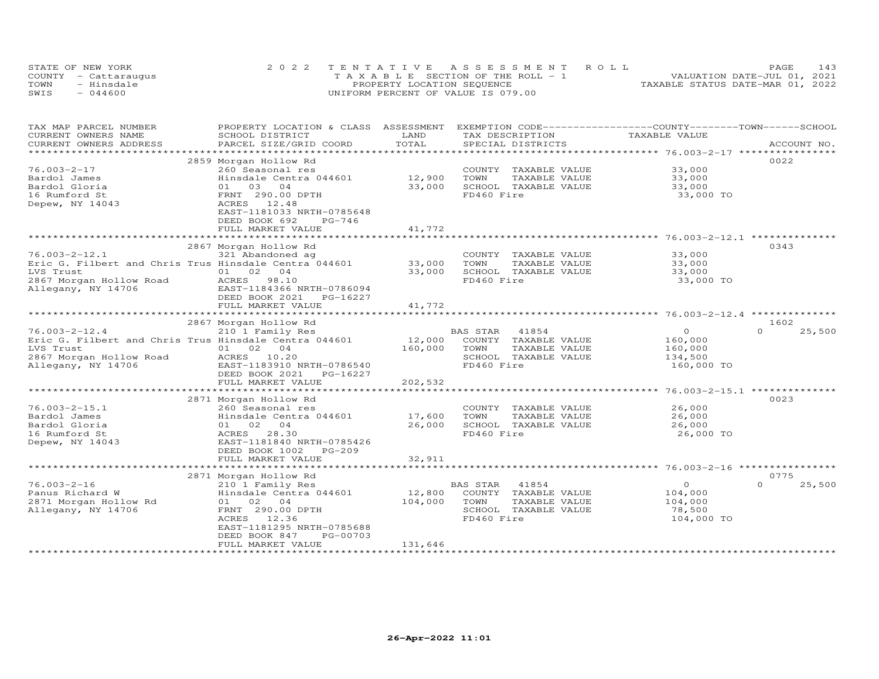|      | STATE OF NEW YORK    | 2022 TENTATIVE ASSESSMENT ROLL     | 143<br>PAGE                      |
|------|----------------------|------------------------------------|----------------------------------|
|      | COUNTY - Cattaraugus | TAXABLE SECTION OF THE ROLL - 1    | VALUATION DATE-JUL 01, 2021      |
| TOWN | - Hinsdale           | PROPERTY LOCATION SEQUENCE         | TAXABLE STATUS DATE-MAR 01, 2022 |
| SWIS | $-044600$            | UNIFORM PERCENT OF VALUE IS 079.00 |                                  |

| TAX MAP PARCEL NUMBER<br>CURRENT OWNERS NAME<br>CURRENT OWNERS ADDRESS | PROPERTY LOCATION & CLASS<br>SCHOOL DISTRICT<br>PARCEL SIZE/GRID COORD | ASSESSMENT<br>LAND<br>TOTAL | EXEMPTION CODE-----------------COUNTY-------TOWN------SCHOOL<br>TAX DESCRIPTION<br>SPECIAL DISTRICTS | TAXABLE VALUE                                    | ACCOUNT NO.        |
|------------------------------------------------------------------------|------------------------------------------------------------------------|-----------------------------|------------------------------------------------------------------------------------------------------|--------------------------------------------------|--------------------|
| *********************                                                  |                                                                        |                             |                                                                                                      |                                                  |                    |
| $76.003 - 2 - 17$                                                      | 2859 Morgan Hollow Rd<br>260 Seasonal res                              |                             | COUNTY TAXABLE VALUE                                                                                 | 33,000                                           | 0022               |
| Bardol James                                                           | Hinsdale Centra 044601                                                 | 12,900                      | TOWN<br>TAXABLE VALUE                                                                                | 33,000                                           |                    |
| Bardol Gloria                                                          | 01 03 04                                                               | 33,000                      | SCHOOL TAXABLE VALUE                                                                                 | 33,000                                           |                    |
| 16 Rumford St                                                          | FRNT 290.00 DPTH                                                       |                             | FD460 Fire                                                                                           | 33,000 TO                                        |                    |
| Depew, NY 14043                                                        | ACRES 12.48                                                            |                             |                                                                                                      |                                                  |                    |
|                                                                        | EAST-1181033 NRTH-0785648                                              |                             |                                                                                                      |                                                  |                    |
|                                                                        | DEED BOOK 692<br>$PG-746$                                              |                             |                                                                                                      |                                                  |                    |
|                                                                        | FULL MARKET VALUE                                                      | 41,772                      |                                                                                                      |                                                  |                    |
|                                                                        |                                                                        |                             |                                                                                                      |                                                  |                    |
|                                                                        | 2867 Morgan Hollow Rd                                                  |                             |                                                                                                      |                                                  | 0343               |
| $76.003 - 2 - 12.1$                                                    | 321 Abandoned ag                                                       |                             | COUNTY TAXABLE VALUE                                                                                 | 33,000                                           |                    |
|                                                                        | Eric G. Filbert and Chris Trus Hinsdale Centra 044601                  | 33,000                      | TOWN<br>TAXABLE VALUE                                                                                | 33,000                                           |                    |
| LVS Trust                                                              | 04<br>01 02                                                            | 33,000                      | SCHOOL TAXABLE VALUE                                                                                 | 33,000                                           |                    |
| 2867 Morgan Hollow Road                                                | ACRES<br>98.10                                                         |                             | FD460 Fire                                                                                           | 33,000 TO                                        |                    |
| Allegany, NY 14706                                                     | EAST-1184366 NRTH-0786094                                              |                             |                                                                                                      |                                                  |                    |
|                                                                        | DEED BOOK 2021<br>PG-16227                                             |                             |                                                                                                      |                                                  |                    |
|                                                                        | FULL MARKET VALUE                                                      | 41,772                      |                                                                                                      |                                                  |                    |
|                                                                        | *****************************                                          | ***********                 |                                                                                                      | ************************ 76.003-2-12.4 ********* |                    |
|                                                                        | 2867 Morgan Hollow Rd                                                  |                             |                                                                                                      |                                                  | 1602               |
| $76.003 - 2 - 12.4$                                                    | 210 1 Family Res                                                       | $12,000$ <sup>B</sup>       | BAS STAR<br>41854                                                                                    | $\circ$                                          | $\Omega$<br>25,500 |
|                                                                        | Eric G. Filbert and Chris Trus Hinsdale Centra 044601                  |                             | COUNTY TAXABLE VALUE                                                                                 | 160,000                                          |                    |
| LVS Trust                                                              | 01 02 04                                                               | 160,000                     | TOWN<br>TAXABLE VALUE                                                                                | 160,000                                          |                    |
| 2867 Morgan Hollow Road                                                | ACRES 10.20                                                            |                             | SCHOOL TAXABLE VALUE                                                                                 | 134,500                                          |                    |
| Allegany, NY 14706                                                     | EAST-1183910 NRTH-0786540                                              |                             | FD460 Fire                                                                                           | 160,000 TO                                       |                    |
|                                                                        | DEED BOOK 2021<br>PG-16227                                             |                             |                                                                                                      |                                                  |                    |
|                                                                        | FULL MARKET VALUE                                                      | 202,532                     |                                                                                                      |                                                  |                    |
|                                                                        | 2871 Morgan Hollow Rd                                                  |                             |                                                                                                      |                                                  | 0023               |
| $76.003 - 2 - 15.1$                                                    | 260 Seasonal res                                                       |                             | COUNTY TAXABLE VALUE                                                                                 | 26,000                                           |                    |
| Bardol James                                                           | Hinsdale Centra 044601                                                 | 17,600                      | TOWN<br>TAXABLE VALUE                                                                                | 26,000                                           |                    |
| Bardol Gloria                                                          | 01 02 04                                                               | 26,000                      | SCHOOL TAXABLE VALUE                                                                                 | 26,000                                           |                    |
| 16 Rumford St                                                          | ACRES<br>28.30                                                         |                             | FD460 Fire                                                                                           | 26,000 TO                                        |                    |
| Depew, NY 14043                                                        | EAST-1181840 NRTH-0785426                                              |                             |                                                                                                      |                                                  |                    |
|                                                                        | DEED BOOK 1002<br>$PG-209$                                             |                             |                                                                                                      |                                                  |                    |
|                                                                        | FULL MARKET VALUE                                                      | 32,911                      |                                                                                                      |                                                  |                    |
|                                                                        |                                                                        |                             |                                                                                                      |                                                  |                    |
|                                                                        | 2871 Morgan Hollow Rd                                                  |                             |                                                                                                      |                                                  | 0775               |
| $76.003 - 2 - 16$                                                      | 210 1 Family Res                                                       |                             | 41854<br>BAS STAR                                                                                    | $\overline{O}$                                   | $\Omega$<br>25,500 |
| Panus Richard W                                                        | Hinsdale Centra 044601                                                 | 12,800                      | COUNTY TAXABLE VALUE                                                                                 | 104,000                                          |                    |
| 2871 Morgan Hollow Rd                                                  | 01 02 04                                                               | 104,000                     | TOWN<br>TAXABLE VALUE                                                                                | 104,000                                          |                    |
| Allegany, NY 14706                                                     | FRNT 290.00 DPTH                                                       |                             | SCHOOL TAXABLE VALUE                                                                                 | 78,500                                           |                    |
|                                                                        | 12.36<br>ACRES                                                         |                             | FD460 Fire                                                                                           | 104,000 TO                                       |                    |
|                                                                        | EAST-1181295 NRTH-0785688                                              |                             |                                                                                                      |                                                  |                    |
|                                                                        | DEED BOOK 847<br>PG-00703                                              |                             |                                                                                                      |                                                  |                    |
|                                                                        | FULL MARKET VALUE                                                      | 131,646                     |                                                                                                      |                                                  |                    |
|                                                                        |                                                                        |                             |                                                                                                      |                                                  |                    |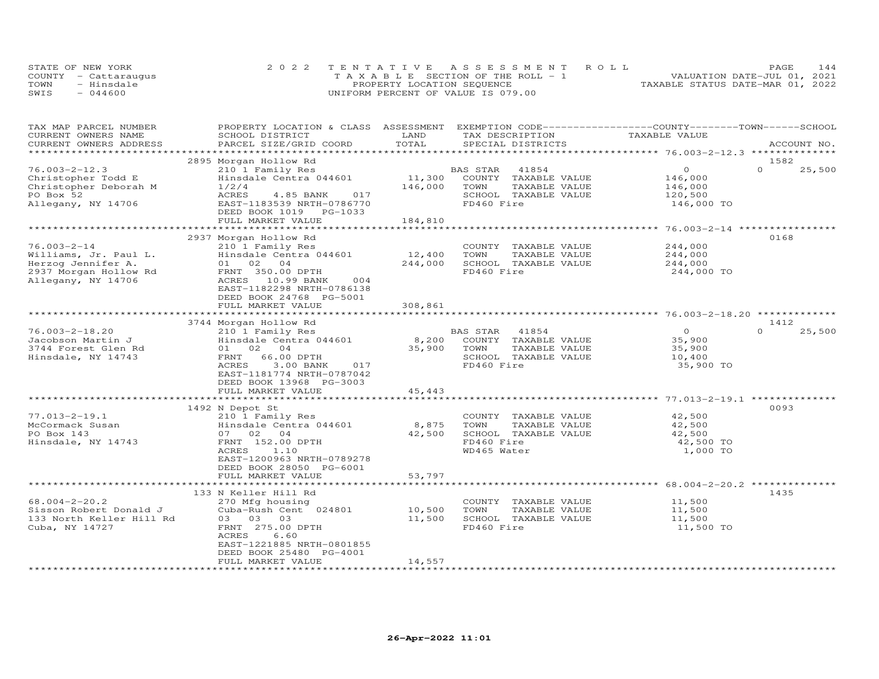|      | STATE OF NEW YORK    | 2022 TENTATIVE ASSESSMENT ROLL        | 144<br>PAGE                      |
|------|----------------------|---------------------------------------|----------------------------------|
|      | COUNTY - Cattaraugus | T A X A B L E SECTION OF THE ROLL - 1 | VALUATION DATE-JUL 01, 2021      |
| TOWN | - Hinsdale           | PROPERTY LOCATION SEQUENCE            | TAXABLE STATUS DATE-MAR 01, 2022 |
| SWIS | $-044600$            | UNIFORM PERCENT OF VALUE IS 079.00    |                                  |

| TAX MAP PARCEL NUMBER     | PROPERTY LOCATION & CLASS ASSESSMENT        |                         | EXEMPTION CODE-----------------COUNTY-------TOWN------SCHOOL |                                                                |                    |
|---------------------------|---------------------------------------------|-------------------------|--------------------------------------------------------------|----------------------------------------------------------------|--------------------|
| CURRENT OWNERS NAME       | SCHOOL DISTRICT                             | LAND                    | TAX DESCRIPTION                                              | TAXABLE VALUE                                                  |                    |
| CURRENT OWNERS ADDRESS    | PARCEL SIZE/GRID COORD                      | TOTAL                   | SPECIAL DISTRICTS                                            |                                                                | ACCOUNT NO.        |
| ************************* |                                             |                         |                                                              |                                                                |                    |
|                           | 2895 Morgan Hollow Rd                       |                         |                                                              |                                                                | 1582               |
| $76.003 - 2 - 12.3$       | 210 1 Family Res                            |                         | BAS STAR<br>41854                                            | $\Omega$                                                       | $\Omega$<br>25,500 |
| Christopher Todd E        | Hinsdale Centra 044601                      | 11,300                  | COUNTY TAXABLE VALUE                                         | 146,000                                                        |                    |
| Christopher Deborah M     | 1/2/4                                       | 146,000                 | TOWN<br>TAXABLE VALUE                                        | 146,000                                                        |                    |
| PO Box 52                 | <b>ACRES</b><br>4.85 BANK<br>017            |                         | SCHOOL TAXABLE VALUE                                         | 120,500                                                        |                    |
| Allegany, NY 14706        | EAST-1183539 NRTH-0786770                   |                         | FD460 Fire                                                   | 146,000 TO                                                     |                    |
|                           | DEED BOOK 1019 PG-1033                      |                         |                                                              |                                                                |                    |
|                           | FULL MARKET VALUE                           | 184,810                 |                                                              |                                                                |                    |
|                           |                                             |                         |                                                              | ********************* 76.003-2-14 *****************            |                    |
|                           | 2937 Morgan Hollow Rd                       |                         |                                                              |                                                                | 0168               |
| $76.003 - 2 - 14$         | 210 1 Family Res                            |                         | COUNTY TAXABLE VALUE                                         | 244,000                                                        |                    |
| Williams, Jr. Paul L.     | Hinsdale Centra 044601                      | 12,400                  | TOWN<br>TAXABLE VALUE                                        | 244,000                                                        |                    |
| Herzog Jennifer A.        | 01 02<br>04                                 | 244,000                 | SCHOOL TAXABLE VALUE                                         | 244,000                                                        |                    |
| 2937 Morgan Hollow Rd     | FRNT 350.00 DPTH                            |                         | FD460 Fire                                                   | 244,000 TO                                                     |                    |
| Allegany, NY 14706        | ACRES 10.99 BANK<br>004                     |                         |                                                              |                                                                |                    |
|                           | EAST-1182298 NRTH-0786138                   |                         |                                                              |                                                                |                    |
|                           | DEED BOOK 24768 PG-5001                     |                         |                                                              |                                                                |                    |
|                           | FULL MARKET VALUE                           | 308,861                 |                                                              |                                                                |                    |
|                           |                                             |                         |                                                              |                                                                |                    |
|                           | 3744 Morgan Hollow Rd                       |                         |                                                              |                                                                | 1412               |
| $76.003 - 2 - 18.20$      | 210 1 Family Res                            |                         | BAS STAR<br>41854                                            | $\overline{O}$                                                 | $\Omega$<br>25,500 |
| Jacobson Martin J         | Hinsdale Centra 044601                      | 8,200                   | COUNTY TAXABLE VALUE                                         | 35,900                                                         |                    |
| 3744 Forest Glen Rd       | 02<br>04<br>01                              | 35,900                  | TOWN<br>TAXABLE VALUE                                        | 35,900                                                         |                    |
| Hinsdale, NY 14743        | 66.00 DPTH<br>FRNT                          |                         | SCHOOL TAXABLE VALUE                                         | 10,400                                                         |                    |
|                           | 3.00 BANK<br>ACRES<br>017                   |                         | FD460 Fire                                                   | 35,900 TO                                                      |                    |
|                           | EAST-1181774 NRTH-0787042                   |                         |                                                              |                                                                |                    |
|                           |                                             |                         |                                                              |                                                                |                    |
|                           | DEED BOOK 13968 PG-3003                     |                         |                                                              |                                                                |                    |
|                           | FULL MARKET VALUE<br>********************** | 45,443<br>************* |                                                              |                                                                |                    |
|                           |                                             |                         |                                                              |                                                                | 0093               |
| $77.013 - 2 - 19.1$       | 1492 N Depot St<br>210 1 Family Res         |                         | COUNTY TAXABLE VALUE                                         | 42,500                                                         |                    |
| McCormack Susan           | Hinsdale Centra 044601                      |                         |                                                              |                                                                |                    |
| PO Box 143                |                                             | 8,875                   | TOWN<br>TAXABLE VALUE                                        | 42,500                                                         |                    |
|                           | 07 02 04                                    | 42,500                  | SCHOOL TAXABLE VALUE                                         | 42,500                                                         |                    |
| Hinsdale, NY 14743        | FRNT 152.00 DPTH                            |                         | FD460 Fire                                                   | 42,500 TO                                                      |                    |
|                           | ACRES<br>1.10                               |                         | WD465 Water                                                  | 1,000 TO                                                       |                    |
|                           | EAST-1200963 NRTH-0789278                   |                         |                                                              |                                                                |                    |
|                           | DEED BOOK 28050 PG-6001                     |                         |                                                              |                                                                |                    |
|                           | FULL MARKET VALUE                           | 53,797                  |                                                              |                                                                |                    |
|                           | ***********************                     |                         |                                                              | ******************************** 68.004-2-20.2 *************** |                    |
|                           | 133 N Keller Hill Rd                        |                         |                                                              |                                                                | 1435               |
| $68.004 - 2 - 20.2$       | 270 Mfg housing                             |                         | COUNTY<br>TAXABLE VALUE                                      | 11,500                                                         |                    |
| Sisson Robert Donald J    | Cuba-Rush Cent 024801                       | 10,500                  | TOWN<br>TAXABLE VALUE                                        | 11,500                                                         |                    |
| 133 North Keller Hill Rd  | 03 03<br>03                                 | 11,500                  | SCHOOL TAXABLE VALUE                                         | 11,500                                                         |                    |
| Cuba, NY 14727            | FRNT 275.00 DPTH                            |                         | FD460 Fire                                                   | 11,500 TO                                                      |                    |
|                           | <b>ACRES</b><br>6.60                        |                         |                                                              |                                                                |                    |
|                           | EAST-1221885 NRTH-0801855                   |                         |                                                              |                                                                |                    |
|                           | DEED BOOK 25480 PG-4001                     |                         |                                                              |                                                                |                    |
|                           | FULL MARKET VALUE                           | 14,557                  |                                                              |                                                                |                    |
|                           |                                             |                         |                                                              |                                                                |                    |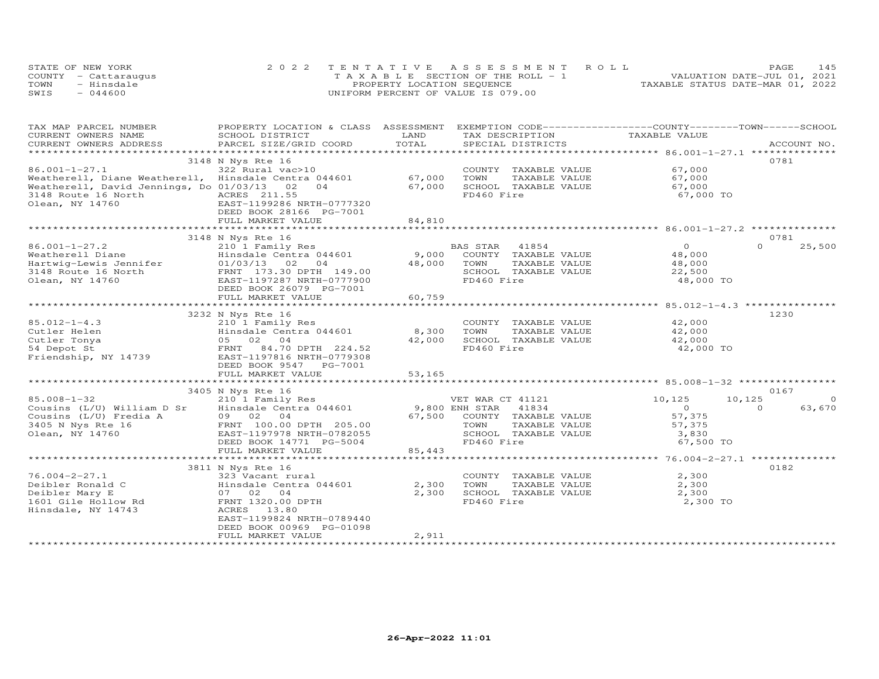| STATE OF NEW YORK    | 2022 TENTATIVE ASSESSMENT ROLL        |                                  | PAGE                        | 145 |
|----------------------|---------------------------------------|----------------------------------|-----------------------------|-----|
| COUNTY - Cattaraugus | T A X A B L E SECTION OF THE ROLL - 1 |                                  | VALUATION DATE-JUL 01, 2021 |     |
| TOWN<br>- Hinsdale   | PROPERTY LOCATION SEQUENCE            | TAXABLE STATUS DATE-MAR 01, 2022 |                             |     |
| SWIS<br>$-044600$    | UNIFORM PERCENT OF VALUE IS 079.00    |                                  |                             |     |

| TAX MAP PARCEL NUMBER                                | PROPERTY LOCATION & CLASS           | ASSESSMENT               | EXEMPTION CODE-----------------COUNTY-------TOWN------SCHOOL |                                                   |                    |
|------------------------------------------------------|-------------------------------------|--------------------------|--------------------------------------------------------------|---------------------------------------------------|--------------------|
| CURRENT OWNERS NAME                                  | SCHOOL DISTRICT                     | LAND                     | TAX DESCRIPTION                                              | TAXABLE VALUE                                     |                    |
| CURRENT OWNERS ADDRESS                               | PARCEL SIZE/GRID COORD              | TOTAL                    | SPECIAL DISTRICTS                                            |                                                   | ACCOUNT NO.        |
| ***********************                              | **************************          | ************************ |                                                              | ******************* 86.001-1-27.1 *************** |                    |
|                                                      | 3148 N Nys Rte 16                   |                          |                                                              |                                                   | 0781               |
| 86.001-1-27.1                                        | 322 Rural vac>10                    |                          | COUNTY TAXABLE VALUE                                         | 67,000                                            |                    |
| Weatherell, Diane Weatherell, Hinsdale Centra 044601 |                                     | 67,000                   | TOWN<br>TAXABLE VALUE                                        | 67,000                                            |                    |
| Weatherell, David Jennings, Do 01/03/13              | 02<br>04                            | 67,000                   | SCHOOL TAXABLE VALUE                                         | 67,000                                            |                    |
| 3148 Route 16 North                                  | ACRES 211.55                        |                          | FD460 Fire                                                   | 67,000 TO                                         |                    |
| Olean, NY 14760                                      | EAST-1199286 NRTH-0777320           |                          |                                                              |                                                   |                    |
|                                                      | DEED BOOK 28166 PG-7001             |                          |                                                              |                                                   |                    |
|                                                      | FULL MARKET VALUE                   | 84,810                   |                                                              |                                                   |                    |
|                                                      |                                     |                          |                                                              |                                                   |                    |
|                                                      | 3148 N Nys Rte 16                   |                          |                                                              |                                                   | 0781               |
| $86.001 - 1 - 27.2$                                  | 210 1 Family Res                    |                          | BAS STAR<br>41854                                            | $\Omega$                                          | $\Omega$<br>25,500 |
|                                                      |                                     |                          |                                                              |                                                   |                    |
| Weatherell Diane                                     | Hinsdale Centra 044601              | 9,000                    | COUNTY TAXABLE VALUE                                         | 48,000                                            |                    |
| Hartwig-Lewis Jennifer                               | 01/03/13<br>02<br>04                | 48,000                   | TOWN<br>TAXABLE VALUE                                        | 48,000                                            |                    |
| 3148 Route 16 North                                  | FRNT 173.30 DPTH 149.00             |                          | SCHOOL TAXABLE VALUE                                         | 22,500                                            |                    |
| Olean, NY 14760                                      | EAST-1197287 NRTH-0777900           |                          | FD460 Fire                                                   | 48,000 TO                                         |                    |
|                                                      | DEED BOOK 26079 PG-7001             |                          |                                                              |                                                   |                    |
|                                                      | FULL MARKET VALUE                   | 60,759                   |                                                              |                                                   |                    |
|                                                      |                                     |                          |                                                              |                                                   |                    |
|                                                      | 3232 N Nys Rte 16                   |                          |                                                              |                                                   | 1230               |
| $85.012 - 1 - 4.3$                                   | 210 1 Family Res                    |                          | COUNTY TAXABLE VALUE                                         | 42,000                                            |                    |
| Cutler Helen                                         | Hinsdale Centra 044601              | 8,300                    | TOWN<br>TAXABLE VALUE                                        | 42,000                                            |                    |
| Cutler Tonya                                         | 05 02 04                            | 42,000                   | SCHOOL TAXABLE VALUE                                         | 42,000                                            |                    |
| 54 Depot St                                          | FRNT 84.70 DPTH 224.52              |                          | FD460 Fire                                                   | 42,000 TO                                         |                    |
| Friendship, NY 14739                                 | EAST-1197816 NRTH-0779308           |                          |                                                              |                                                   |                    |
|                                                      | DEED BOOK 9547<br>PG-7001           |                          |                                                              |                                                   |                    |
|                                                      | FULL MARKET VALUE                   | 53,165                   |                                                              |                                                   |                    |
|                                                      |                                     |                          |                                                              |                                                   |                    |
|                                                      | 3405 N Nys Rte 16                   |                          |                                                              |                                                   | 0167               |
| $85.008 - 1 - 32$                                    | 210 1 Family Res                    |                          | VET WAR CT 41121                                             | 10,125<br>10,125                                  | $\circ$            |
| Cousins (L/U) William D Sr                           | Hinsdale Centra 044601              | 9,800 ENH STAR           | 41834                                                        | $\Omega$                                          | 63,670<br>$\Omega$ |
| Cousins (L/U) Fredia A                               | 09 02 04                            | 67,500                   | COUNTY TAXABLE VALUE                                         | 57,375                                            |                    |
| 3405 N Nys Rte 16                                    | FRNT 100.00 DPTH 205.00             |                          | TOWN<br>TAXABLE VALUE                                        | 57,375                                            |                    |
| Olean, NY 14760                                      | EAST-1197978 NRTH-0782055           |                          | SCHOOL TAXABLE VALUE                                         | 3,830                                             |                    |
|                                                      | DEED BOOK 14771 PG-5004             |                          | FD460 Fire                                                   | 67,500 TO                                         |                    |
|                                                      | FULL MARKET VALUE                   | 85,443                   |                                                              |                                                   |                    |
|                                                      | *********************************** |                          |                                                              |                                                   |                    |
|                                                      |                                     |                          |                                                              |                                                   |                    |
|                                                      | 3811 N Nys Rte 16                   |                          |                                                              |                                                   | 0182               |
| $76.004 - 2 - 27.1$                                  | 323 Vacant rural                    |                          | COUNTY TAXABLE VALUE                                         | 2,300                                             |                    |
| Deibler Ronald C                                     | Hinsdale Centra 044601              | 2,300                    | TOWN<br>TAXABLE VALUE                                        | 2,300                                             |                    |
| Deibler Mary E                                       | 07 02 04                            | 2,300                    | SCHOOL TAXABLE VALUE                                         | 2,300                                             |                    |
| 1601 Gile Hollow Rd                                  | FRNT 1320.00 DPTH                   |                          | FD460 Fire                                                   | 2,300 TO                                          |                    |
| Hinsdale, NY 14743                                   | ACRES 13.80                         |                          |                                                              |                                                   |                    |
|                                                      | EAST-1199824 NRTH-0789440           |                          |                                                              |                                                   |                    |
|                                                      | DEED BOOK 00969 PG-01098            |                          |                                                              |                                                   |                    |
|                                                      | FULL MARKET VALUE                   | 2,911                    |                                                              |                                                   |                    |
|                                                      |                                     |                          |                                                              |                                                   |                    |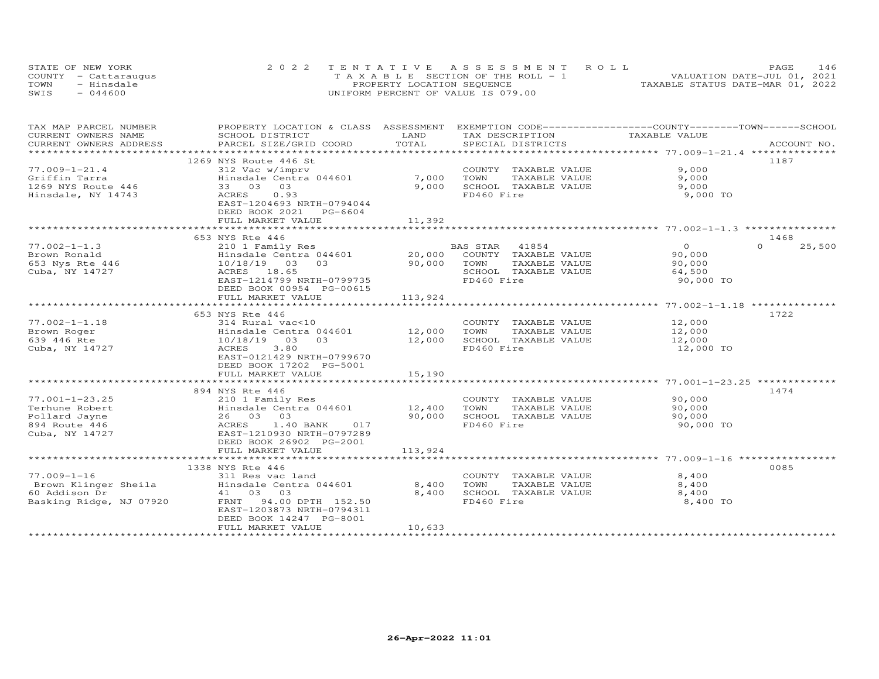|      | STATE OF NEW YORK    | 2022 TENTATIVE ASSESSMENT ROLL        | 146<br>PAGE                      |
|------|----------------------|---------------------------------------|----------------------------------|
|      | COUNTY - Cattaraugus | T A X A B L E SECTION OF THE ROLL - 1 | VALUATION DATE-JUL 01, 2021      |
| TOWN | - Hinsdale           | PROPERTY LOCATION SEQUENCE            | TAXABLE STATUS DATE-MAR 01, 2022 |
| SWIS | $-044600$            | UNIFORM PERCENT OF VALUE IS 079.00    |                                  |

| TAX MAP PARCEL NUMBER   | PROPERTY LOCATION & CLASS ASSESSMENT EXEMPTION CODE----------------COUNTY-------TOWN------SCHOOL |            |                       |                |                    |
|-------------------------|--------------------------------------------------------------------------------------------------|------------|-----------------------|----------------|--------------------|
| CURRENT OWNERS NAME     | SCHOOL DISTRICT                                                                                  | LAND       | TAX DESCRIPTION       | TAXABLE VALUE  |                    |
| CURRENT OWNERS ADDRESS  | PARCEL SIZE/GRID COORD                                                                           | TOTAL      | SPECIAL DISTRICTS     |                | ACCOUNT NO.        |
| *********************** |                                                                                                  |            |                       |                |                    |
|                         | 1269 NYS Route 446 St                                                                            |            |                       |                | 1187               |
| $77.009 - 1 - 21.4$     | 312 Vac w/imprv                                                                                  |            | COUNTY TAXABLE VALUE  | 9,000          |                    |
| Griffin Tarra           | Hinsdale Centra 044601                                                                           | 7,000      | TOWN<br>TAXABLE VALUE | 9,000          |                    |
| 1269 NYS Route 446      | 03<br>33 03                                                                                      | 9,000      | SCHOOL TAXABLE VALUE  | 9,000          |                    |
| Hinsdale, NY 14743      | ACRES<br>0.93                                                                                    |            | FD460 Fire            | 9,000 TO       |                    |
|                         | EAST-1204693 NRTH-0794044                                                                        |            |                       |                |                    |
|                         | DEED BOOK 2021 PG-6604                                                                           |            |                       |                |                    |
|                         | FULL MARKET VALUE                                                                                | 11,392     |                       |                |                    |
|                         | **************************                                                                       | ********** |                       |                |                    |
|                         | 653 NYS Rte 446                                                                                  |            |                       |                | 1468               |
| $77.002 - 1 - 1.3$      | 210 1 Family Res                                                                                 |            | BAS STAR<br>41854     | $\overline{O}$ | $\Omega$<br>25,500 |
| Brown Ronald            | Hinsdale Centra 044601                                                                           | 20,000     | COUNTY TAXABLE VALUE  | 90,000         |                    |
| 653 Nys Rte 446         | 0.3<br>10/18/19 03                                                                               | 90,000     | TOWN<br>TAXABLE VALUE | 90,000         |                    |
| Cuba, NY 14727          | ACRES 18.65                                                                                      |            | SCHOOL TAXABLE VALUE  | 64,500         |                    |
|                         | EAST-1214799 NRTH-0799735                                                                        |            | FD460 Fire            | 90,000 TO      |                    |
|                         | DEED BOOK 00954 PG-00615                                                                         |            |                       |                |                    |
|                         | FULL MARKET VALUE                                                                                | 113,924    |                       |                |                    |
|                         |                                                                                                  |            |                       |                |                    |
|                         | 653 NYS Rte 446                                                                                  |            |                       |                | 1722               |
| $77.002 - 1 - 1.18$     | 314 Rural vac<10                                                                                 |            | COUNTY TAXABLE VALUE  | 12,000         |                    |
| Brown Roger             | Hinsdale Centra 044601                                                                           | 12,000     | TOWN<br>TAXABLE VALUE | 12,000         |                    |
| 639 446 Rte             | 10/18/19<br>03<br>03                                                                             | 12,000     | SCHOOL TAXABLE VALUE  | 12,000         |                    |
| Cuba, NY 14727          | 3.80<br>ACRES                                                                                    |            | FD460 Fire            | 12,000 TO      |                    |
|                         | EAST-0121429 NRTH-0799670                                                                        |            |                       |                |                    |
|                         | DEED BOOK 17202 PG-5001                                                                          |            |                       |                |                    |
|                         | FULL MARKET VALUE                                                                                | 15,190     |                       |                |                    |
|                         |                                                                                                  |            |                       |                |                    |
|                         | 894 NYS Rte 446                                                                                  |            |                       |                | 1474               |
| $77.001 - 1 - 23.25$    | 210 1 Family Res                                                                                 |            | COUNTY TAXABLE VALUE  | 90,000         |                    |
| Terhune Robert          | $12,400$<br>Hinsdale Centra 044601 12,400                                                        |            | TOWN<br>TAXABLE VALUE | 90,000         |                    |
| Pollard Jayne           | 26 03 03                                                                                         | 90,000     | SCHOOL TAXABLE VALUE  | 90,000         |                    |
| 894 Route 446           | ACRES 1.40 BANK<br>017                                                                           |            | FD460 Fire            | 90,000 TO      |                    |
| Cuba, NY 14727          | EAST-1210930 NRTH-0797289                                                                        |            |                       |                |                    |
|                         |                                                                                                  |            |                       |                |                    |
|                         | DEED BOOK 26902 PG-2001                                                                          |            |                       |                |                    |
|                         | FULL MARKET VALUE                                                                                | 113,924    |                       |                |                    |
|                         |                                                                                                  |            |                       |                |                    |
|                         | 1338 NYS Rte 446                                                                                 |            |                       |                | 0085               |
| $77.009 - 1 - 16$       | 311 Res vac land                                                                                 |            | COUNTY TAXABLE VALUE  | 8,400          |                    |
|                         | Brown Klinger Sheila Minsdale Centra 044601                                                      | 8,400      | TOWN<br>TAXABLE VALUE | 8,400          |                    |
| 60 Addison Dr           | 41 03 03                                                                                         | 8,400      | SCHOOL TAXABLE VALUE  | 8,400          |                    |
| Basking Ridge, NJ 07920 | FRNT 94.00 DPTH 152.50                                                                           |            | FD460 Fire            | 8,400 TO       |                    |
|                         | EAST-1203873 NRTH-0794311                                                                        |            |                       |                |                    |
|                         | DEED BOOK 14247 PG-8001                                                                          |            |                       |                |                    |
|                         | FULL MARKET VALUE                                                                                | 10,633     |                       |                |                    |
|                         |                                                                                                  |            |                       |                |                    |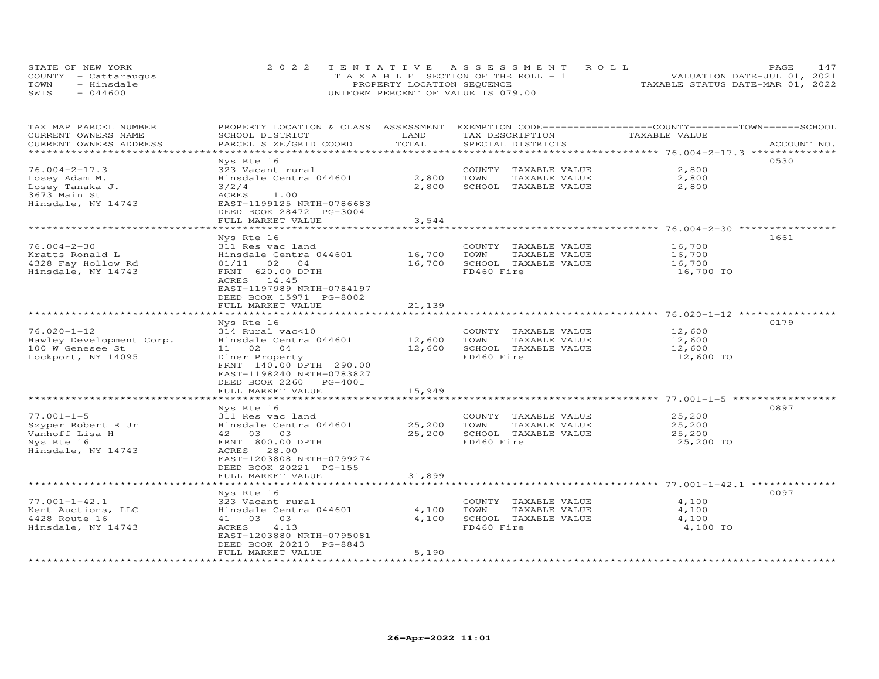| STATE OF NEW YORK    | 2022 TENTATIVE ASSESSMENT ROLL     | <b>PAGE</b>                      | 147 |
|----------------------|------------------------------------|----------------------------------|-----|
| COUNTY - Cattaraugus | TAXABLE SECTION OF THE ROLL - 1    | VALUATION DATE-JUL 01, 2021      |     |
| TOWN<br>- Hinsdale   | PROPERTY LOCATION SEQUENCE         | TAXABLE STATUS DATE-MAR 01, 2022 |     |
| $-044600$<br>SWIS    | UNIFORM PERCENT OF VALUE IS 079.00 |                                  |     |

| TAX MAP PARCEL NUMBER<br>CURRENT OWNERS NAME<br>CURRENT OWNERS ADDRESS                                                                                                                  | PROPERTY LOCATION & CLASS<br>SCHOOL DISTRICT<br>PARCEL SIZE/GRID COORD                                                                                                                                                                                                                                                                            | ASSESSMENT<br>LAND<br>TOTAL                                | TAX DESCRIPTION<br>SPECIAL DISTRICTS                                                                                                                                       | EXEMPTION CODE-----------------COUNTY-------TOWN-----SCHOOL<br>TAXABLE VALUE<br>ACCOUNT NO.                                              |
|-----------------------------------------------------------------------------------------------------------------------------------------------------------------------------------------|---------------------------------------------------------------------------------------------------------------------------------------------------------------------------------------------------------------------------------------------------------------------------------------------------------------------------------------------------|------------------------------------------------------------|----------------------------------------------------------------------------------------------------------------------------------------------------------------------------|------------------------------------------------------------------------------------------------------------------------------------------|
|                                                                                                                                                                                         |                                                                                                                                                                                                                                                                                                                                                   | * * * * * * * *                                            |                                                                                                                                                                            | ************************************** 76.004–2–17.3 ***************                                                                     |
| $76.004 - 2 - 17.3$<br>Losey Adam M.<br>Losey Tanaka J.<br>3673 Main St<br>Hinsdale, NY 14743                                                                                           | Nys Rte 16<br>323 Vacant rural<br>Hinsdale Centra 044601<br>3/2/4<br>1.00<br>ACRES<br>EAST-1199125 NRTH-0786683                                                                                                                                                                                                                                   | 2,800<br>2,800                                             | COUNTY TAXABLE VALUE<br>TOWN<br>TAXABLE VALUE<br>SCHOOL TAXABLE VALUE                                                                                                      | 0530<br>2,800<br>2,800<br>2,800                                                                                                          |
|                                                                                                                                                                                         | DEED BOOK 28472 PG-3004<br>FULL MARKET VALUE                                                                                                                                                                                                                                                                                                      | 3,544                                                      |                                                                                                                                                                            |                                                                                                                                          |
|                                                                                                                                                                                         |                                                                                                                                                                                                                                                                                                                                                   |                                                            |                                                                                                                                                                            | ********* 76.004-2-30 *******                                                                                                            |
| $76.004 - 2 - 30$<br>Kratts Ronald L<br>4328 Fay Hollow Rd<br>Hinsdale, NY 14743                                                                                                        | Nys Rte 16<br>311 Res vac land<br>Hinsdale Centra 044601<br>02<br>01/11<br>$\overline{04}$<br>FRNT 620.00 DPTH<br>14.45<br>ACRES<br>EAST-1197989 NRTH-0784197<br>DEED BOOK 15971 PG-8002                                                                                                                                                          | 16,700<br>16,700                                           | COUNTY TAXABLE VALUE<br>TOWN<br>TAXABLE VALUE<br>SCHOOL TAXABLE VALUE<br>FD460 Fire                                                                                        | 1661<br>16,700<br>16,700<br>16,700<br>16,700 TO                                                                                          |
|                                                                                                                                                                                         | FULL MARKET VALUE                                                                                                                                                                                                                                                                                                                                 | 21,139                                                     |                                                                                                                                                                            | *********** 76.020-1-12                                                                                                                  |
| $76.020 - 1 - 12$<br>Hawley Development Corp.<br>100 W Genesee St<br>Lockport, NY 14095<br>$77.001 - 1 - 5$<br>Szyper Robert R Jr<br>Vanhoff Lisa H<br>Nys Rte 16<br>Hinsdale, NY 14743 | Nys Rte 16<br>314 Rural vac<10<br>Hinsdale Centra 044601<br>02<br>04<br>11<br>Diner Property<br>FRNT 140.00 DPTH 290.00<br>EAST-1198240 NRTH-0783827<br>DEED BOOK 2260<br>PG-4001<br>FULL MARKET VALUE<br>Nys Rte 16<br>311 Res vac land<br>Hinsdale Centra 044601<br>42 03 03<br>FRNT 800.00 DPTH<br>28.00<br>ACRES<br>EAST-1203808 NRTH-0799274 | 12,600<br>12,600<br>15,949<br>********<br>25,200<br>25,200 | COUNTY TAXABLE VALUE<br>TAXABLE VALUE<br>TOWN<br>SCHOOL TAXABLE VALUE<br>FD460 Fire<br>COUNTY TAXABLE VALUE<br>TOWN<br>TAXABLE VALUE<br>SCHOOL TAXABLE VALUE<br>FD460 Fire | 0179<br>12,600<br>12,600<br>12,600<br>12,600 TO<br>*********** 77.001-1-5 ***********<br>0897<br>25,200<br>25,200<br>25,200<br>25,200 TO |
|                                                                                                                                                                                         | DEED BOOK 20221 PG-155<br>FULL MARKET VALUE                                                                                                                                                                                                                                                                                                       | 31,899                                                     |                                                                                                                                                                            |                                                                                                                                          |
| $77.001 - 1 - 42.1$                                                                                                                                                                     | Nys Rte 16<br>323 Vacant rural                                                                                                                                                                                                                                                                                                                    |                                                            | COUNTY TAXABLE VALUE                                                                                                                                                       | 0097<br>4,100                                                                                                                            |
| Kent Auctions, LLC<br>4428 Route 16<br>Hinsdale, NY 14743                                                                                                                               | Hinsdale Centra 044601<br>41 03<br>03<br>ACRES<br>4.13<br>EAST-1203880 NRTH-0795081<br>DEED BOOK 20210 PG-8843                                                                                                                                                                                                                                    | 4,100<br>4,100                                             | TOWN<br>TAXABLE VALUE<br>SCHOOL TAXABLE VALUE<br>FD460 Fire                                                                                                                | 4,100<br>4,100<br>4,100 TO                                                                                                               |
|                                                                                                                                                                                         | FULL MARKET VALUE                                                                                                                                                                                                                                                                                                                                 | 5,190                                                      |                                                                                                                                                                            |                                                                                                                                          |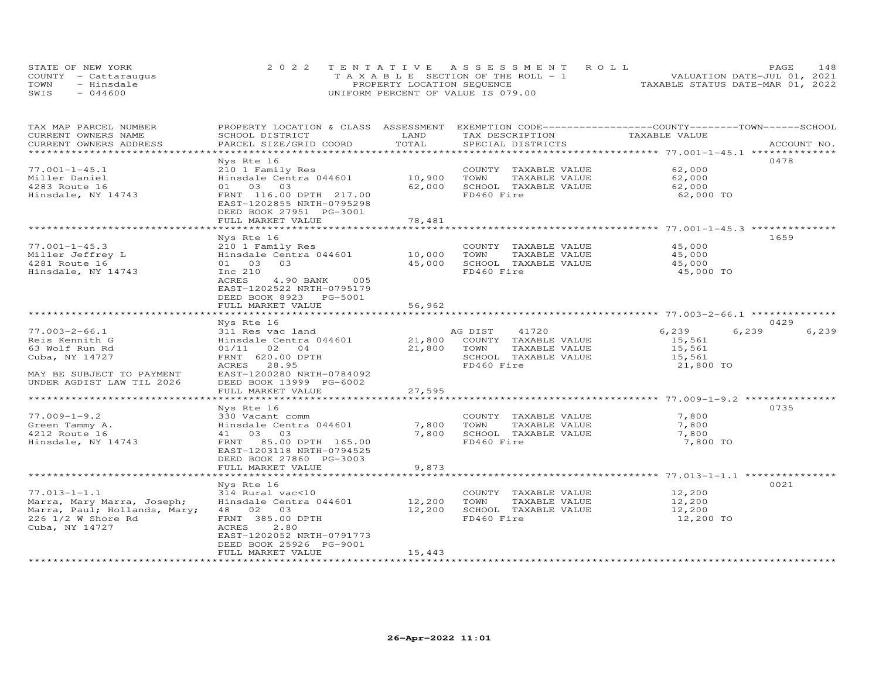| STATE OF NEW YORK    | 2022 TENTATIVE ASSESSMENT ROLL        |                                  | PAGE. | 148 |
|----------------------|---------------------------------------|----------------------------------|-------|-----|
| COUNTY - Cattaraugus | T A X A B L E SECTION OF THE ROLL - 1 | VALUATION DATE-JUL 01, 2021      |       |     |
| TOWN<br>- Hinsdale   | PROPERTY LOCATION SEQUENCE            | TAXABLE STATUS DATE-MAR 01, 2022 |       |     |
| $-044600$<br>SWIS    | UNIFORM PERCENT OF VALUE IS 079.00    |                                  |       |     |

| TAX MAP PARCEL NUMBER<br>CURRENT OWNERS NAME       | PROPERTY LOCATION & CLASS ASSESSMENT<br>SCHOOL DISTRICT | LAND<br>TOTAL    | TAX DESCRIPTION                    | EXEMPTION CODE-----------------COUNTY-------TOWN-----SCHOOL<br>TAXABLE VALUE |                        |
|----------------------------------------------------|---------------------------------------------------------|------------------|------------------------------------|------------------------------------------------------------------------------|------------------------|
| CURRENT OWNERS ADDRESS<br>**********************   | PARCEL SIZE/GRID COORD                                  |                  | SPECIAL DISTRICTS                  |                                                                              | ACCOUNT NO.            |
|                                                    | Nys Rte 16                                              |                  |                                    |                                                                              | 0478                   |
| $77.001 - 1 - 45.1$                                | 210 1 Family Res                                        |                  | COUNTY TAXABLE VALUE               | 62,000                                                                       |                        |
| Miller Daniel                                      | Hinsdale Centra 044601                                  | 10,900           | TAXABLE VALUE<br>TOWN              | 62,000                                                                       |                        |
| 4283 Route 16                                      | 01 03 03                                                | 62,000           | SCHOOL TAXABLE VALUE               | 62,000                                                                       |                        |
| Hinsdale, NY 14743                                 | FRNT 116.00 DPTH 217.00                                 |                  | FD460 Fire                         | 62,000 TO                                                                    |                        |
|                                                    | EAST-1202855 NRTH-0795298                               |                  |                                    |                                                                              |                        |
|                                                    | DEED BOOK 27951 PG-3001                                 |                  |                                    |                                                                              |                        |
|                                                    | FULL MARKET VALUE                                       | 78,481           |                                    |                                                                              |                        |
|                                                    |                                                         | ************     |                                    | *********************** 77.001-1-45.3 ***************                        |                        |
|                                                    | Nys Rte 16                                              |                  |                                    |                                                                              | 1659                   |
| $77.001 - 1 - 45.3$                                | 210 1 Family Res                                        |                  | COUNTY TAXABLE VALUE               | 45,000                                                                       |                        |
| Miller Jeffrey L                                   | Hinsdale Centra 044601                                  | 10,000           | TOWN<br>TAXABLE VALUE              | 45,000                                                                       |                        |
| 4281 Route 16                                      | 01 03<br>03                                             | 45,000           | SCHOOL TAXABLE VALUE               | 45,000                                                                       |                        |
| Hinsdale, NY 14743                                 | Inc 210                                                 |                  | FD460 Fire                         | 45,000 TO                                                                    |                        |
|                                                    | ACRES<br>005<br>4.90 BANK                               |                  |                                    |                                                                              |                        |
|                                                    | EAST-1202522 NRTH-0795179                               |                  |                                    |                                                                              |                        |
|                                                    | DEED BOOK 8923 PG-5001                                  |                  |                                    |                                                                              |                        |
|                                                    | FULL MARKET VALUE<br>**********************             | 56,962           |                                    |                                                                              |                        |
|                                                    |                                                         |                  |                                    |                                                                              |                        |
| $77.003 - 2 - 66.1$                                | Nys Rte 16                                              |                  | AG DIST<br>41720                   | 6,239                                                                        | 0429<br>6,239<br>6,239 |
| Reis Kennith G                                     | 311 Res vac land<br>Hinsdale Centra 044601              | 21,800           | COUNTY TAXABLE VALUE               | 15,561                                                                       |                        |
| 63 Wolf Run Rd                                     | 02<br>01/11<br>04                                       | 21,800           | TOWN<br>TAXABLE VALUE              | 15,561                                                                       |                        |
| Cuba, NY 14727                                     | FRNT 620.00 DPTH                                        |                  | SCHOOL TAXABLE VALUE               | 15,561                                                                       |                        |
|                                                    | ACRES<br>28.95                                          |                  | FD460 Fire                         | 21,800 TO                                                                    |                        |
| MAY BE SUBJECT TO PAYMENT                          | EAST-1200280 NRTH-0784092                               |                  |                                    |                                                                              |                        |
| UNDER AGDIST LAW TIL 2026                          | DEED BOOK 13999 PG-6002                                 |                  |                                    |                                                                              |                        |
|                                                    | FULL MARKET VALUE                                       | 27,595           |                                    |                                                                              |                        |
|                                                    |                                                         |                  |                                    | ********************* 77.009-1-9.2 **********                                |                        |
|                                                    | Nys Rte 16                                              |                  |                                    |                                                                              | 0735                   |
| $77.009 - 1 - 9.2$                                 | 330 Vacant comm                                         |                  | COUNTY TAXABLE VALUE               | 7,800                                                                        |                        |
| Green Tammy A.                                     | Hinsdale Centra 044601                                  | 7,800            | TOWN<br>TAXABLE VALUE              | 7,800                                                                        |                        |
| 4212 Route 16                                      | 41 03<br>03                                             | 7,800            | SCHOOL TAXABLE VALUE               | 7,800                                                                        |                        |
| Hinsdale, NY 14743                                 | FRNT 85.00 DPTH 165.00                                  |                  | FD460 Fire                         | 7,800 TO                                                                     |                        |
|                                                    | EAST-1203118 NRTH-0794525                               |                  |                                    |                                                                              |                        |
|                                                    | DEED BOOK 27860 PG-3003                                 |                  |                                    |                                                                              |                        |
|                                                    | FULL MARKET VALUE                                       | 9,873            |                                    |                                                                              |                        |
|                                                    |                                                         |                  |                                    | ******************* 77.013-1-1.1                                             |                        |
|                                                    | Nys Rte 16                                              |                  |                                    |                                                                              | 0021                   |
| $77.013 - 1 - 1.1$                                 | 314 Rural vac<10                                        |                  | COUNTY TAXABLE VALUE               | 12,200                                                                       |                        |
| Marra, Mary Marra, Joseph;                         | Hinsdale Centra 044601                                  | 12,200<br>12,200 | TAXABLE VALUE<br>TOWN              | 12,200<br>12,200                                                             |                        |
| Marra, Paul; Hollands, Mary;<br>226 1/2 W Shore Rd | 48 02 03<br>FRNT 385.00 DPTH                            |                  | SCHOOL TAXABLE VALUE<br>FD460 Fire | 12,200 TO                                                                    |                        |
| Cuba, NY 14727                                     | ACRES<br>2.80                                           |                  |                                    |                                                                              |                        |
|                                                    | EAST-1202052 NRTH-0791773                               |                  |                                    |                                                                              |                        |
|                                                    | DEED BOOK 25926 PG-9001                                 |                  |                                    |                                                                              |                        |
|                                                    | FULL MARKET VALUE                                       | 15,443           |                                    |                                                                              |                        |
| *************************                          | ***********************                                 |                  |                                    |                                                                              |                        |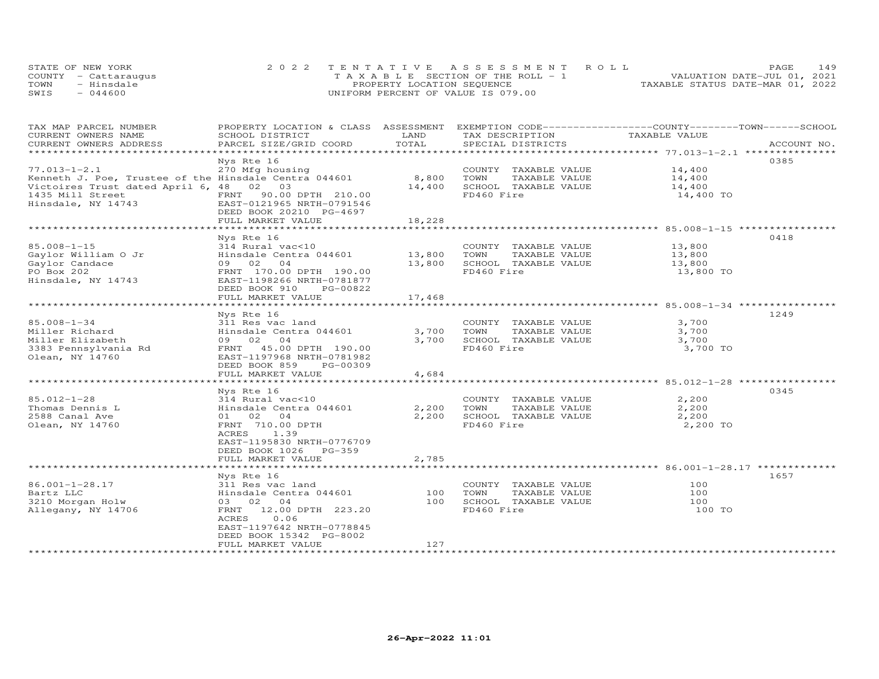|      | STATE OF NEW YORK    | 2022 TENTATIVE ASSESSMENT ROLL        | 149<br>PAGE.                     |
|------|----------------------|---------------------------------------|----------------------------------|
|      | COUNTY - Cattaraugus | T A X A B L E SECTION OF THE ROLL - 1 | VALUATION DATE-JUL 01, 2021      |
| TOWN | - Hinsdale           | PROPERTY LOCATION SEQUENCE            | TAXABLE STATUS DATE-MAR 01, 2022 |
| SWIS | - 044600             | UNIFORM PERCENT OF VALUE IS 079.00    |                                  |

| TOTAL<br>CURRENT OWNERS ADDRESS<br>PARCEL SIZE/GRID COORD<br>SPECIAL DISTRICTS<br>ACCOUNT NO.<br>0385<br>Nys Rte 16<br>14,400<br>$77.013 - 1 - 2.1$<br>270 Mfg housing<br>COUNTY TAXABLE VALUE<br>Kenneth J. Poe, Trustee of the Hinsdale Centra 044601<br>8,800<br>TOWN<br>TAXABLE VALUE<br>14,400<br>Victoires Trust dated April 6, 48 02 03<br>14,400<br>SCHOOL TAXABLE VALUE<br>14,400<br>1435 Mill Street<br>FRNT 90.00 DPTH 210.00<br>FD460 Fire<br>14,400 TO<br>Hinsdale, NY 14743<br>EAST-0121965 NRTH-0791546<br>DEED BOOK 20210 PG-4697<br>FULL MARKET VALUE<br>18,228<br>0418<br>Nys Rte 16<br>13,800<br>314 Rural vac<10<br>COUNTY TAXABLE VALUE<br>Gaylor William O Jr<br>Hinsdale Centra 044601<br>13,800<br>TOWN<br>TAXABLE VALUE<br>13,800<br>04<br>13,800<br>SCHOOL TAXABLE VALUE<br>Gaylor Candace<br>09 02<br>13,800<br>FRNT 170.00 DPTH 190.00<br>FD460 Fire<br>13,800 TO<br>EAST-1198266 NRTH-0781877<br>DEED BOOK 910 PG-00822<br>17,468<br>FULL MARKET VALUE<br>1249<br>Nys Rte 16<br>COUNTY TAXABLE VALUE<br>3,700<br>311 Res vac land<br>Hinsdale Centra 044601<br>3,700<br>TOWN<br>TAXABLE VALUE<br>3,700<br>09 02 04<br>3,700<br>SCHOOL TAXABLE VALUE<br>3,700<br>FD460 Fire<br>3,700 TO<br>FRNT 45.00 DPTH 190.00<br>EAST-1197968 NRTH-0781982<br>DEED BOOK 859<br>PG-00309<br>FULL MARKET VALUE<br>4,684<br>0345<br>Nys Rte 16<br>$85.012 - 1 - 28$<br>2,200<br>314 Rural vac<10<br>COUNTY TAXABLE VALUE<br>2,200<br>2,200<br>Thomas Dennis L<br>Hinsdale Centra 044601<br>TOWN<br>TAXABLE VALUE<br>2588 Canal Ave<br>01 02 04<br>2,200<br>SCHOOL TAXABLE VALUE<br>2,200<br>FD460 Fire<br>Olean, NY 14760<br>FRNT 710.00 DPTH<br>2,200 TO<br>1.39<br>ACRES<br>EAST-1195830 NRTH-0776709<br>DEED BOOK 1026 PG-359<br>2,785<br>FULL MARKET VALUE<br>***********************<br>1657<br>Nys Rte 16<br>86.001-1-28.17<br>311 Res vac land<br>COUNTY TAXABLE VALUE<br>100<br>Bartz LLC<br>Hinsdale Centra 044601<br>100<br>TOWN<br>TAXABLE VALUE<br>100<br>3210 Morgan Holw<br>03 02 04<br>SCHOOL TAXABLE VALUE<br>100<br>100<br>FD460 Fire<br>Allegany, NY 14706<br>FRNT 12.00 DPTH 223.20<br>100 TO<br>0.06<br>ACRES<br>EAST-1197642 NRTH-0778845<br>DEED BOOK 15342 PG-8002<br>127<br>FULL MARKET VALUE | TAX MAP PARCEL NUMBER<br>CURRENT OWNERS NAME | PROPERTY LOCATION & CLASS ASSESSMENT<br>SCHOOL DISTRICT | LAND | EXEMPTION CODE-----------------COUNTY-------TOWN------SCHOOL<br>TAX DESCRIPTION | TAXABLE VALUE |  |
|------------------------------------------------------------------------------------------------------------------------------------------------------------------------------------------------------------------------------------------------------------------------------------------------------------------------------------------------------------------------------------------------------------------------------------------------------------------------------------------------------------------------------------------------------------------------------------------------------------------------------------------------------------------------------------------------------------------------------------------------------------------------------------------------------------------------------------------------------------------------------------------------------------------------------------------------------------------------------------------------------------------------------------------------------------------------------------------------------------------------------------------------------------------------------------------------------------------------------------------------------------------------------------------------------------------------------------------------------------------------------------------------------------------------------------------------------------------------------------------------------------------------------------------------------------------------------------------------------------------------------------------------------------------------------------------------------------------------------------------------------------------------------------------------------------------------------------------------------------------------------------------------------------------------------------------------------------------------------------------------------------------------------------------------------------------------------------------------------------------------------------------------------------------------------------------------------------------------------------|----------------------------------------------|---------------------------------------------------------|------|---------------------------------------------------------------------------------|---------------|--|
|                                                                                                                                                                                                                                                                                                                                                                                                                                                                                                                                                                                                                                                                                                                                                                                                                                                                                                                                                                                                                                                                                                                                                                                                                                                                                                                                                                                                                                                                                                                                                                                                                                                                                                                                                                                                                                                                                                                                                                                                                                                                                                                                                                                                                                    |                                              |                                                         |      |                                                                                 |               |  |
|                                                                                                                                                                                                                                                                                                                                                                                                                                                                                                                                                                                                                                                                                                                                                                                                                                                                                                                                                                                                                                                                                                                                                                                                                                                                                                                                                                                                                                                                                                                                                                                                                                                                                                                                                                                                                                                                                                                                                                                                                                                                                                                                                                                                                                    |                                              |                                                         |      |                                                                                 |               |  |
|                                                                                                                                                                                                                                                                                                                                                                                                                                                                                                                                                                                                                                                                                                                                                                                                                                                                                                                                                                                                                                                                                                                                                                                                                                                                                                                                                                                                                                                                                                                                                                                                                                                                                                                                                                                                                                                                                                                                                                                                                                                                                                                                                                                                                                    |                                              |                                                         |      |                                                                                 |               |  |
|                                                                                                                                                                                                                                                                                                                                                                                                                                                                                                                                                                                                                                                                                                                                                                                                                                                                                                                                                                                                                                                                                                                                                                                                                                                                                                                                                                                                                                                                                                                                                                                                                                                                                                                                                                                                                                                                                                                                                                                                                                                                                                                                                                                                                                    |                                              |                                                         |      |                                                                                 |               |  |
|                                                                                                                                                                                                                                                                                                                                                                                                                                                                                                                                                                                                                                                                                                                                                                                                                                                                                                                                                                                                                                                                                                                                                                                                                                                                                                                                                                                                                                                                                                                                                                                                                                                                                                                                                                                                                                                                                                                                                                                                                                                                                                                                                                                                                                    |                                              |                                                         |      |                                                                                 |               |  |
|                                                                                                                                                                                                                                                                                                                                                                                                                                                                                                                                                                                                                                                                                                                                                                                                                                                                                                                                                                                                                                                                                                                                                                                                                                                                                                                                                                                                                                                                                                                                                                                                                                                                                                                                                                                                                                                                                                                                                                                                                                                                                                                                                                                                                                    |                                              |                                                         |      |                                                                                 |               |  |
|                                                                                                                                                                                                                                                                                                                                                                                                                                                                                                                                                                                                                                                                                                                                                                                                                                                                                                                                                                                                                                                                                                                                                                                                                                                                                                                                                                                                                                                                                                                                                                                                                                                                                                                                                                                                                                                                                                                                                                                                                                                                                                                                                                                                                                    |                                              |                                                         |      |                                                                                 |               |  |
|                                                                                                                                                                                                                                                                                                                                                                                                                                                                                                                                                                                                                                                                                                                                                                                                                                                                                                                                                                                                                                                                                                                                                                                                                                                                                                                                                                                                                                                                                                                                                                                                                                                                                                                                                                                                                                                                                                                                                                                                                                                                                                                                                                                                                                    |                                              |                                                         |      |                                                                                 |               |  |
|                                                                                                                                                                                                                                                                                                                                                                                                                                                                                                                                                                                                                                                                                                                                                                                                                                                                                                                                                                                                                                                                                                                                                                                                                                                                                                                                                                                                                                                                                                                                                                                                                                                                                                                                                                                                                                                                                                                                                                                                                                                                                                                                                                                                                                    |                                              |                                                         |      |                                                                                 |               |  |
|                                                                                                                                                                                                                                                                                                                                                                                                                                                                                                                                                                                                                                                                                                                                                                                                                                                                                                                                                                                                                                                                                                                                                                                                                                                                                                                                                                                                                                                                                                                                                                                                                                                                                                                                                                                                                                                                                                                                                                                                                                                                                                                                                                                                                                    |                                              |                                                         |      |                                                                                 |               |  |
|                                                                                                                                                                                                                                                                                                                                                                                                                                                                                                                                                                                                                                                                                                                                                                                                                                                                                                                                                                                                                                                                                                                                                                                                                                                                                                                                                                                                                                                                                                                                                                                                                                                                                                                                                                                                                                                                                                                                                                                                                                                                                                                                                                                                                                    |                                              |                                                         |      |                                                                                 |               |  |
|                                                                                                                                                                                                                                                                                                                                                                                                                                                                                                                                                                                                                                                                                                                                                                                                                                                                                                                                                                                                                                                                                                                                                                                                                                                                                                                                                                                                                                                                                                                                                                                                                                                                                                                                                                                                                                                                                                                                                                                                                                                                                                                                                                                                                                    |                                              |                                                         |      |                                                                                 |               |  |
|                                                                                                                                                                                                                                                                                                                                                                                                                                                                                                                                                                                                                                                                                                                                                                                                                                                                                                                                                                                                                                                                                                                                                                                                                                                                                                                                                                                                                                                                                                                                                                                                                                                                                                                                                                                                                                                                                                                                                                                                                                                                                                                                                                                                                                    | $85.008 - 1 - 15$                            |                                                         |      |                                                                                 |               |  |
|                                                                                                                                                                                                                                                                                                                                                                                                                                                                                                                                                                                                                                                                                                                                                                                                                                                                                                                                                                                                                                                                                                                                                                                                                                                                                                                                                                                                                                                                                                                                                                                                                                                                                                                                                                                                                                                                                                                                                                                                                                                                                                                                                                                                                                    |                                              |                                                         |      |                                                                                 |               |  |
|                                                                                                                                                                                                                                                                                                                                                                                                                                                                                                                                                                                                                                                                                                                                                                                                                                                                                                                                                                                                                                                                                                                                                                                                                                                                                                                                                                                                                                                                                                                                                                                                                                                                                                                                                                                                                                                                                                                                                                                                                                                                                                                                                                                                                                    |                                              |                                                         |      |                                                                                 |               |  |
|                                                                                                                                                                                                                                                                                                                                                                                                                                                                                                                                                                                                                                                                                                                                                                                                                                                                                                                                                                                                                                                                                                                                                                                                                                                                                                                                                                                                                                                                                                                                                                                                                                                                                                                                                                                                                                                                                                                                                                                                                                                                                                                                                                                                                                    | PO Box 202                                   |                                                         |      |                                                                                 |               |  |
|                                                                                                                                                                                                                                                                                                                                                                                                                                                                                                                                                                                                                                                                                                                                                                                                                                                                                                                                                                                                                                                                                                                                                                                                                                                                                                                                                                                                                                                                                                                                                                                                                                                                                                                                                                                                                                                                                                                                                                                                                                                                                                                                                                                                                                    | Hinsdale, NY 14743                           |                                                         |      |                                                                                 |               |  |
|                                                                                                                                                                                                                                                                                                                                                                                                                                                                                                                                                                                                                                                                                                                                                                                                                                                                                                                                                                                                                                                                                                                                                                                                                                                                                                                                                                                                                                                                                                                                                                                                                                                                                                                                                                                                                                                                                                                                                                                                                                                                                                                                                                                                                                    |                                              |                                                         |      |                                                                                 |               |  |
|                                                                                                                                                                                                                                                                                                                                                                                                                                                                                                                                                                                                                                                                                                                                                                                                                                                                                                                                                                                                                                                                                                                                                                                                                                                                                                                                                                                                                                                                                                                                                                                                                                                                                                                                                                                                                                                                                                                                                                                                                                                                                                                                                                                                                                    |                                              |                                                         |      |                                                                                 |               |  |
|                                                                                                                                                                                                                                                                                                                                                                                                                                                                                                                                                                                                                                                                                                                                                                                                                                                                                                                                                                                                                                                                                                                                                                                                                                                                                                                                                                                                                                                                                                                                                                                                                                                                                                                                                                                                                                                                                                                                                                                                                                                                                                                                                                                                                                    |                                              |                                                         |      |                                                                                 |               |  |
|                                                                                                                                                                                                                                                                                                                                                                                                                                                                                                                                                                                                                                                                                                                                                                                                                                                                                                                                                                                                                                                                                                                                                                                                                                                                                                                                                                                                                                                                                                                                                                                                                                                                                                                                                                                                                                                                                                                                                                                                                                                                                                                                                                                                                                    |                                              |                                                         |      |                                                                                 |               |  |
|                                                                                                                                                                                                                                                                                                                                                                                                                                                                                                                                                                                                                                                                                                                                                                                                                                                                                                                                                                                                                                                                                                                                                                                                                                                                                                                                                                                                                                                                                                                                                                                                                                                                                                                                                                                                                                                                                                                                                                                                                                                                                                                                                                                                                                    | $85.008 - 1 - 34$                            |                                                         |      |                                                                                 |               |  |
|                                                                                                                                                                                                                                                                                                                                                                                                                                                                                                                                                                                                                                                                                                                                                                                                                                                                                                                                                                                                                                                                                                                                                                                                                                                                                                                                                                                                                                                                                                                                                                                                                                                                                                                                                                                                                                                                                                                                                                                                                                                                                                                                                                                                                                    | Miller Richard                               |                                                         |      |                                                                                 |               |  |
|                                                                                                                                                                                                                                                                                                                                                                                                                                                                                                                                                                                                                                                                                                                                                                                                                                                                                                                                                                                                                                                                                                                                                                                                                                                                                                                                                                                                                                                                                                                                                                                                                                                                                                                                                                                                                                                                                                                                                                                                                                                                                                                                                                                                                                    | Miller Elizabeth                             |                                                         |      |                                                                                 |               |  |
|                                                                                                                                                                                                                                                                                                                                                                                                                                                                                                                                                                                                                                                                                                                                                                                                                                                                                                                                                                                                                                                                                                                                                                                                                                                                                                                                                                                                                                                                                                                                                                                                                                                                                                                                                                                                                                                                                                                                                                                                                                                                                                                                                                                                                                    | 3383 Pennsylvania Rd                         |                                                         |      |                                                                                 |               |  |
|                                                                                                                                                                                                                                                                                                                                                                                                                                                                                                                                                                                                                                                                                                                                                                                                                                                                                                                                                                                                                                                                                                                                                                                                                                                                                                                                                                                                                                                                                                                                                                                                                                                                                                                                                                                                                                                                                                                                                                                                                                                                                                                                                                                                                                    | Olean, NY 14760                              |                                                         |      |                                                                                 |               |  |
|                                                                                                                                                                                                                                                                                                                                                                                                                                                                                                                                                                                                                                                                                                                                                                                                                                                                                                                                                                                                                                                                                                                                                                                                                                                                                                                                                                                                                                                                                                                                                                                                                                                                                                                                                                                                                                                                                                                                                                                                                                                                                                                                                                                                                                    |                                              |                                                         |      |                                                                                 |               |  |
|                                                                                                                                                                                                                                                                                                                                                                                                                                                                                                                                                                                                                                                                                                                                                                                                                                                                                                                                                                                                                                                                                                                                                                                                                                                                                                                                                                                                                                                                                                                                                                                                                                                                                                                                                                                                                                                                                                                                                                                                                                                                                                                                                                                                                                    |                                              |                                                         |      |                                                                                 |               |  |
|                                                                                                                                                                                                                                                                                                                                                                                                                                                                                                                                                                                                                                                                                                                                                                                                                                                                                                                                                                                                                                                                                                                                                                                                                                                                                                                                                                                                                                                                                                                                                                                                                                                                                                                                                                                                                                                                                                                                                                                                                                                                                                                                                                                                                                    |                                              |                                                         |      |                                                                                 |               |  |
|                                                                                                                                                                                                                                                                                                                                                                                                                                                                                                                                                                                                                                                                                                                                                                                                                                                                                                                                                                                                                                                                                                                                                                                                                                                                                                                                                                                                                                                                                                                                                                                                                                                                                                                                                                                                                                                                                                                                                                                                                                                                                                                                                                                                                                    |                                              |                                                         |      |                                                                                 |               |  |
|                                                                                                                                                                                                                                                                                                                                                                                                                                                                                                                                                                                                                                                                                                                                                                                                                                                                                                                                                                                                                                                                                                                                                                                                                                                                                                                                                                                                                                                                                                                                                                                                                                                                                                                                                                                                                                                                                                                                                                                                                                                                                                                                                                                                                                    |                                              |                                                         |      |                                                                                 |               |  |
|                                                                                                                                                                                                                                                                                                                                                                                                                                                                                                                                                                                                                                                                                                                                                                                                                                                                                                                                                                                                                                                                                                                                                                                                                                                                                                                                                                                                                                                                                                                                                                                                                                                                                                                                                                                                                                                                                                                                                                                                                                                                                                                                                                                                                                    |                                              |                                                         |      |                                                                                 |               |  |
|                                                                                                                                                                                                                                                                                                                                                                                                                                                                                                                                                                                                                                                                                                                                                                                                                                                                                                                                                                                                                                                                                                                                                                                                                                                                                                                                                                                                                                                                                                                                                                                                                                                                                                                                                                                                                                                                                                                                                                                                                                                                                                                                                                                                                                    |                                              |                                                         |      |                                                                                 |               |  |
|                                                                                                                                                                                                                                                                                                                                                                                                                                                                                                                                                                                                                                                                                                                                                                                                                                                                                                                                                                                                                                                                                                                                                                                                                                                                                                                                                                                                                                                                                                                                                                                                                                                                                                                                                                                                                                                                                                                                                                                                                                                                                                                                                                                                                                    |                                              |                                                         |      |                                                                                 |               |  |
|                                                                                                                                                                                                                                                                                                                                                                                                                                                                                                                                                                                                                                                                                                                                                                                                                                                                                                                                                                                                                                                                                                                                                                                                                                                                                                                                                                                                                                                                                                                                                                                                                                                                                                                                                                                                                                                                                                                                                                                                                                                                                                                                                                                                                                    |                                              |                                                         |      |                                                                                 |               |  |
|                                                                                                                                                                                                                                                                                                                                                                                                                                                                                                                                                                                                                                                                                                                                                                                                                                                                                                                                                                                                                                                                                                                                                                                                                                                                                                                                                                                                                                                                                                                                                                                                                                                                                                                                                                                                                                                                                                                                                                                                                                                                                                                                                                                                                                    |                                              |                                                         |      |                                                                                 |               |  |
|                                                                                                                                                                                                                                                                                                                                                                                                                                                                                                                                                                                                                                                                                                                                                                                                                                                                                                                                                                                                                                                                                                                                                                                                                                                                                                                                                                                                                                                                                                                                                                                                                                                                                                                                                                                                                                                                                                                                                                                                                                                                                                                                                                                                                                    |                                              |                                                         |      |                                                                                 |               |  |
|                                                                                                                                                                                                                                                                                                                                                                                                                                                                                                                                                                                                                                                                                                                                                                                                                                                                                                                                                                                                                                                                                                                                                                                                                                                                                                                                                                                                                                                                                                                                                                                                                                                                                                                                                                                                                                                                                                                                                                                                                                                                                                                                                                                                                                    |                                              |                                                         |      |                                                                                 |               |  |
|                                                                                                                                                                                                                                                                                                                                                                                                                                                                                                                                                                                                                                                                                                                                                                                                                                                                                                                                                                                                                                                                                                                                                                                                                                                                                                                                                                                                                                                                                                                                                                                                                                                                                                                                                                                                                                                                                                                                                                                                                                                                                                                                                                                                                                    |                                              |                                                         |      |                                                                                 |               |  |
|                                                                                                                                                                                                                                                                                                                                                                                                                                                                                                                                                                                                                                                                                                                                                                                                                                                                                                                                                                                                                                                                                                                                                                                                                                                                                                                                                                                                                                                                                                                                                                                                                                                                                                                                                                                                                                                                                                                                                                                                                                                                                                                                                                                                                                    |                                              |                                                         |      |                                                                                 |               |  |
|                                                                                                                                                                                                                                                                                                                                                                                                                                                                                                                                                                                                                                                                                                                                                                                                                                                                                                                                                                                                                                                                                                                                                                                                                                                                                                                                                                                                                                                                                                                                                                                                                                                                                                                                                                                                                                                                                                                                                                                                                                                                                                                                                                                                                                    |                                              |                                                         |      |                                                                                 |               |  |
|                                                                                                                                                                                                                                                                                                                                                                                                                                                                                                                                                                                                                                                                                                                                                                                                                                                                                                                                                                                                                                                                                                                                                                                                                                                                                                                                                                                                                                                                                                                                                                                                                                                                                                                                                                                                                                                                                                                                                                                                                                                                                                                                                                                                                                    |                                              |                                                         |      |                                                                                 |               |  |
|                                                                                                                                                                                                                                                                                                                                                                                                                                                                                                                                                                                                                                                                                                                                                                                                                                                                                                                                                                                                                                                                                                                                                                                                                                                                                                                                                                                                                                                                                                                                                                                                                                                                                                                                                                                                                                                                                                                                                                                                                                                                                                                                                                                                                                    |                                              |                                                         |      |                                                                                 |               |  |
|                                                                                                                                                                                                                                                                                                                                                                                                                                                                                                                                                                                                                                                                                                                                                                                                                                                                                                                                                                                                                                                                                                                                                                                                                                                                                                                                                                                                                                                                                                                                                                                                                                                                                                                                                                                                                                                                                                                                                                                                                                                                                                                                                                                                                                    |                                              |                                                         |      |                                                                                 |               |  |
|                                                                                                                                                                                                                                                                                                                                                                                                                                                                                                                                                                                                                                                                                                                                                                                                                                                                                                                                                                                                                                                                                                                                                                                                                                                                                                                                                                                                                                                                                                                                                                                                                                                                                                                                                                                                                                                                                                                                                                                                                                                                                                                                                                                                                                    |                                              |                                                         |      |                                                                                 |               |  |
|                                                                                                                                                                                                                                                                                                                                                                                                                                                                                                                                                                                                                                                                                                                                                                                                                                                                                                                                                                                                                                                                                                                                                                                                                                                                                                                                                                                                                                                                                                                                                                                                                                                                                                                                                                                                                                                                                                                                                                                                                                                                                                                                                                                                                                    |                                              |                                                         |      |                                                                                 |               |  |
|                                                                                                                                                                                                                                                                                                                                                                                                                                                                                                                                                                                                                                                                                                                                                                                                                                                                                                                                                                                                                                                                                                                                                                                                                                                                                                                                                                                                                                                                                                                                                                                                                                                                                                                                                                                                                                                                                                                                                                                                                                                                                                                                                                                                                                    |                                              |                                                         |      |                                                                                 |               |  |
|                                                                                                                                                                                                                                                                                                                                                                                                                                                                                                                                                                                                                                                                                                                                                                                                                                                                                                                                                                                                                                                                                                                                                                                                                                                                                                                                                                                                                                                                                                                                                                                                                                                                                                                                                                                                                                                                                                                                                                                                                                                                                                                                                                                                                                    |                                              |                                                         |      |                                                                                 |               |  |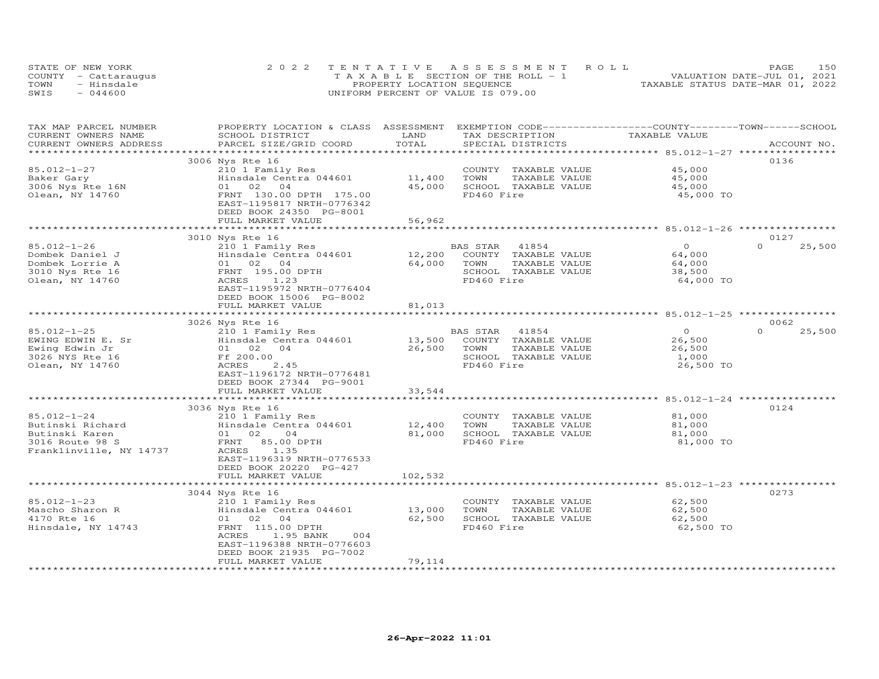|      | STATE OF NEW YORK    | 2022 TENTATIVE ASSESSMENT ROLL        | 150<br>PAGE                      |
|------|----------------------|---------------------------------------|----------------------------------|
|      | COUNTY - Cattaraugus | T A X A B L E SECTION OF THE ROLL - 1 | VALUATION DATE-JUL 01, 2021      |
| TOWN | - Hinsdale           | PROPERTY LOCATION SEQUENCE            | TAXABLE STATUS DATE-MAR 01, 2022 |
| SWIS | $-044600$            | UNIFORM PERCENT OF VALUE IS 079.00    |                                  |

| TAX MAP PARCEL NUMBER<br>CURRENT OWNERS NAME      | PROPERTY LOCATION & CLASS ASSESSMENT<br>SCHOOL DISTRICT | LAND    | EXEMPTION CODE-----------------COUNTY-------TOWN------SCHOOL<br>TAX DESCRIPTION | TAXABLE VALUE  |                    |
|---------------------------------------------------|---------------------------------------------------------|---------|---------------------------------------------------------------------------------|----------------|--------------------|
| CURRENT OWNERS ADDRESS<br>*********************** | PARCEL SIZE/GRID COORD<br>****************************  | TOTAL   | SPECIAL DISTRICTS                                                               |                | ACCOUNT NO.        |
|                                                   | 3006 Nys Rte 16                                         |         |                                                                                 |                | 0136               |
| 85.012-1-27                                       | 210 1 Family Res                                        |         | COUNTY TAXABLE VALUE                                                            | 45,000         |                    |
| Baker Gary                                        | Hinsdale Centra 044601                                  | 11,400  | TOWN<br>TAXABLE VALUE                                                           | 45,000         |                    |
| 3006 Nys Rte 16N                                  | 01 02 04                                                | 45,000  | SCHOOL TAXABLE VALUE                                                            | 45,000         |                    |
| Olean, NY 14760                                   | FRNT 130.00 DPTH 175.00                                 |         | FD460 Fire                                                                      | 45,000 TO      |                    |
|                                                   | EAST-1195817 NRTH-0776342                               |         |                                                                                 |                |                    |
|                                                   | DEED BOOK 24350 PG-8001                                 |         |                                                                                 |                |                    |
|                                                   | FULL MARKET VALUE                                       | 56,962  |                                                                                 |                |                    |
|                                                   |                                                         |         |                                                                                 |                |                    |
|                                                   | 3010 Nys Rte 16                                         |         |                                                                                 |                | 0127               |
| 85.012-1-26                                       | 210 1 Family Res                                        |         | 41854<br>BAS STAR                                                               | $\overline{0}$ | $\Omega$<br>25,500 |
| Dombek Daniel J                                   | Hinsdale Centra 044601                                  | 12,200  | COUNTY TAXABLE VALUE                                                            | 64,000         |                    |
| Dombek Lorrie A                                   | 01 02 04                                                | 64,000  | TOWN<br>TAXABLE VALUE                                                           | 64,000         |                    |
| 3010 Nys Rte 16                                   | FRNT 195.00 DPTH                                        |         | SCHOOL TAXABLE VALUE                                                            | 38,500         |                    |
| Olean, NY 14760                                   | 1.23<br>ACRES                                           |         | FD460 Fire                                                                      | 64,000 TO      |                    |
|                                                   | EAST-1195972 NRTH-0776404                               |         |                                                                                 |                |                    |
|                                                   | DEED BOOK 15006 PG-8002                                 |         |                                                                                 |                |                    |
|                                                   | FULL MARKET VALUE                                       | 81,013  |                                                                                 |                |                    |
|                                                   |                                                         |         |                                                                                 |                |                    |
|                                                   | 3026 Nys Rte 16                                         |         |                                                                                 |                | 0062               |
| $85.012 - 1 - 25$                                 | 210 1 Family Res                                        |         | BAS STAR 41854                                                                  | $\overline{0}$ | $\Omega$<br>25,500 |
| EWING EDWIN E. Sr                                 | Hinsdale Centra 044601                                  | 13,500  | COUNTY TAXABLE VALUE                                                            | 26,500         |                    |
| Ewing Edwin Jr                                    | 01 02 04                                                | 26,500  | TOWN<br>TAXABLE VALUE                                                           | 26,500         |                    |
| 3026 NYS Rte 16                                   | Ff 200.00                                               |         | SCHOOL TAXABLE VALUE                                                            | 1,000          |                    |
| Olean, NY 14760                                   | ACRES<br>2.45                                           |         | FD460 Fire                                                                      | 26,500 TO      |                    |
|                                                   | EAST-1196172 NRTH-0776481                               |         |                                                                                 |                |                    |
|                                                   | DEED BOOK 27344 PG-9001                                 |         |                                                                                 |                |                    |
|                                                   | FULL MARKET VALUE<br>*********************              | 33,544  |                                                                                 |                |                    |
|                                                   | 3036 Nys Rte 16                                         |         |                                                                                 |                | 0124               |
| $85.012 - 1 - 24$                                 | 210 1 Family Res                                        |         | COUNTY TAXABLE VALUE                                                            | 81,000         |                    |
| Butinski Richard                                  | Hinsdale Centra 044601                                  | 12,400  | TOWN<br>TAXABLE VALUE                                                           | 81,000         |                    |
| Butinski Karen                                    | 01 02<br>04                                             | 81,000  | SCHOOL TAXABLE VALUE                                                            | 81,000         |                    |
| 3016 Route 98 S                                   | FRNT 85.00 DPTH                                         |         | FD460 Fire                                                                      | 81,000 TO      |                    |
| Franklinville, NY 14737                           | ACRES<br>1.35                                           |         |                                                                                 |                |                    |
|                                                   | EAST-1196319 NRTH-0776533                               |         |                                                                                 |                |                    |
|                                                   | DEED BOOK 20220 PG-427                                  |         |                                                                                 |                |                    |
|                                                   | FULL MARKET VALUE                                       | 102,532 |                                                                                 |                |                    |
|                                                   |                                                         |         |                                                                                 |                |                    |
|                                                   | 3044 Nys Rte 16                                         |         |                                                                                 |                | 0273               |
| $85.012 - 1 - 23$                                 | 210 1 Family Res                                        |         | COUNTY TAXABLE VALUE                                                            | 62,500         |                    |
| Mascho Sharon R                                   | Hinsdale Centra 044601                                  | 13,000  | TOWN<br>TAXABLE VALUE                                                           | 62,500         |                    |
| 4170 Rte 16                                       | 01 02 04                                                | 62,500  | SCHOOL TAXABLE VALUE                                                            | 62,500         |                    |
| Hinsdale, NY 14743                                | FRNT 115.00 DPTH                                        |         | FD460 Fire                                                                      | 62,500 TO      |                    |
|                                                   | ACRES<br>1.95 BANK<br>004                               |         |                                                                                 |                |                    |
|                                                   | EAST-1196388 NRTH-0776603                               |         |                                                                                 |                |                    |
|                                                   | DEED BOOK 21935 PG-7002                                 |         |                                                                                 |                |                    |
|                                                   | FULL MARKET VALUE                                       | 79,114  |                                                                                 |                |                    |
|                                                   |                                                         |         |                                                                                 |                |                    |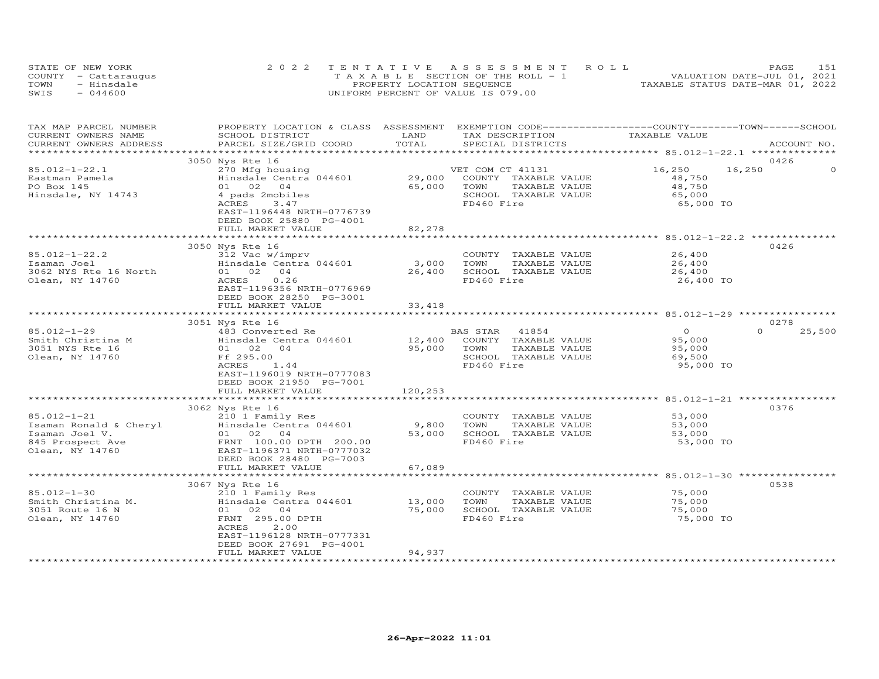|      | STATE OF NEW YORK    | 2022 TENTATIVE ASSESSMENT ROLL        | 151<br>PAGE                      |
|------|----------------------|---------------------------------------|----------------------------------|
|      | COUNTY - Cattaraugus | T A X A B L E SECTION OF THE ROLL - 1 | VALUATION DATE-JUL 01, 2021      |
| TOWN | - Hinsdale           | PROPERTY LOCATION SEQUENCE            | TAXABLE STATUS DATE-MAR 01, 2022 |
| SWIS | $-044600$            | UNIFORM PERCENT OF VALUE IS 079.00    |                                  |

| TAX MAP PARCEL NUMBER<br>CURRENT OWNERS NAME<br>CURRENT OWNERS ADDRESS | PROPERTY LOCATION & CLASS ASSESSMENT EXEMPTION CODE----------------COUNTY-------TOWN------SCHOOL<br>SCHOOL DISTRICT<br>PARCEL SIZE/GRID COORD | LAND<br>TOTAL  | TAX DESCRIPTION<br>SPECIAL DISTRICTS | TAXABLE VALUE                                              | ACCOUNT NO.        |
|------------------------------------------------------------------------|-----------------------------------------------------------------------------------------------------------------------------------------------|----------------|--------------------------------------|------------------------------------------------------------|--------------------|
| *************************                                              |                                                                                                                                               |                |                                      |                                                            |                    |
|                                                                        | 3050 Nys Rte 16                                                                                                                               |                |                                      |                                                            | 0426               |
| $85.012 - 1 - 22.1$                                                    | 270 Mfg housing                                                                                                                               |                | VET COM CT 41131                     | 16,250                                                     | 16,250<br>$\Omega$ |
| Eastman Pamela                                                         | Hinsdale Centra 044601                                                                                                                        | 29,000         | COUNTY TAXABLE VALUE                 | 48,750                                                     |                    |
| PO Box 145                                                             | 01 02 04                                                                                                                                      | 65,000         | TOWN<br>TAXABLE VALUE                | 48,750                                                     |                    |
| Hinsdale, NY 14743                                                     | 4 pads 2mobiles                                                                                                                               |                | SCHOOL TAXABLE VALUE                 | 65,000                                                     |                    |
|                                                                        | ACRES<br>3.47<br>EAST-1196448 NRTH-0776739                                                                                                    |                | FD460 Fire                           | 65,000 TO                                                  |                    |
|                                                                        | DEED BOOK 25880 PG-4001                                                                                                                       |                |                                      |                                                            |                    |
|                                                                        | FULL MARKET VALUE                                                                                                                             | 82,278         |                                      |                                                            |                    |
|                                                                        | ****************************                                                                                                                  | ************** |                                      |                                                            |                    |
|                                                                        | 3050 Nys Rte 16                                                                                                                               |                |                                      |                                                            | 0426               |
| $85.012 - 1 - 22.2$                                                    | 312 Vac w/imprv                                                                                                                               |                | COUNTY TAXABLE VALUE                 | 26,400                                                     |                    |
| Isaman Joel                                                            | Hinsdale Centra 044601                                                                                                                        | 3,000          | TOWN<br>TAXABLE VALUE                | 26,400                                                     |                    |
| 3062 NYS Rte 16 North<br>Olean, NY 14760                               | 01 02 04<br>0.26<br>ACRES                                                                                                                     | 26,400         | SCHOOL TAXABLE VALUE<br>FD460 Fire   | 26,400<br>26,400 TO                                        |                    |
|                                                                        | EAST-1196356 NRTH-0776969                                                                                                                     |                |                                      |                                                            |                    |
|                                                                        | DEED BOOK 28250 PG-3001                                                                                                                       |                |                                      |                                                            |                    |
|                                                                        | FULL MARKET VALUE                                                                                                                             | 33,418         |                                      |                                                            |                    |
|                                                                        | ************************                                                                                                                      | *************  |                                      |                                                            |                    |
|                                                                        | 3051 Nys Rte 16                                                                                                                               |                |                                      |                                                            | 0278               |
| $85.012 - 1 - 29$                                                      | 483 Converted Re                                                                                                                              |                | BAS STAR<br>41854                    | $\circ$                                                    | $\Omega$<br>25,500 |
| Smith Christina M                                                      | Hinsdale Centra 044601                                                                                                                        | 12,400         | COUNTY TAXABLE VALUE                 | 95,000                                                     |                    |
| 3051 NYS Rte 16                                                        | 01 02<br>04                                                                                                                                   | 95,000         | TOWN<br>TAXABLE VALUE                | 95,000                                                     |                    |
| Olean, NY 14760                                                        | Ff 295.00<br>ACRES<br>1.44                                                                                                                    |                | SCHOOL TAXABLE VALUE<br>FD460 Fire   | 69,500<br>95,000 TO                                        |                    |
|                                                                        | EAST-1196019 NRTH-0777083                                                                                                                     |                |                                      |                                                            |                    |
|                                                                        | DEED BOOK 21950 PG-7001                                                                                                                       |                |                                      |                                                            |                    |
|                                                                        | FULL MARKET VALUE                                                                                                                             | 120,253        |                                      |                                                            |                    |
|                                                                        |                                                                                                                                               |                |                                      | ************************ 85.012-1-21 ***********           |                    |
|                                                                        | 3062 Nys Rte 16                                                                                                                               |                |                                      |                                                            | 0376               |
| $85.012 - 1 - 21$                                                      | 210 1 Family Res                                                                                                                              |                | COUNTY TAXABLE VALUE                 | 53,000                                                     |                    |
| Isaman Ronald & Cheryl                                                 | Hinsdale Centra 044601                                                                                                                        | 9,800          | TOWN<br>TAXABLE VALUE                | 53,000                                                     |                    |
| Isaman Joel V.<br>845 Prospect Ave                                     | 01 02 04<br>FRNT 100.00 DPTH 200.00                                                                                                           | 53,000         | SCHOOL TAXABLE VALUE<br>FD460 Fire   | 53,000<br>53,000 TO                                        |                    |
| Olean, NY 14760                                                        | EAST-1196371 NRTH-0777032                                                                                                                     |                |                                      |                                                            |                    |
|                                                                        | DEED BOOK 28480 PG-7003                                                                                                                       |                |                                      |                                                            |                    |
|                                                                        | FULL MARKET VALUE                                                                                                                             | 67,089         |                                      |                                                            |                    |
|                                                                        | ***********************                                                                                                                       |                |                                      | ***********************************85.012-1-30 *********** |                    |
|                                                                        | 3067 Nys Rte 16                                                                                                                               |                |                                      |                                                            | 0538               |
| 85.012-1-30                                                            | 210 1 Family Res                                                                                                                              |                | COUNTY TAXABLE VALUE                 | 75,000                                                     |                    |
| Smith Christina M.                                                     | Hinsdale Centra 044601                                                                                                                        | 13,000         | TOWN<br>TAXABLE VALUE                | 75,000                                                     |                    |
| 3051 Route 16 N                                                        | 01 02 04                                                                                                                                      | 75,000         | SCHOOL TAXABLE VALUE                 | 75,000                                                     |                    |
| Olean, NY 14760                                                        | FRNT 295.00 DPTH<br>2.00<br>ACRES                                                                                                             |                | FD460 Fire                           | 75,000 TO                                                  |                    |
|                                                                        | EAST-1196128 NRTH-0777331                                                                                                                     |                |                                      |                                                            |                    |
|                                                                        | DEED BOOK 27691 PG-4001                                                                                                                       |                |                                      |                                                            |                    |
|                                                                        | FULL MARKET VALUE                                                                                                                             | 94,937         |                                      |                                                            |                    |
| ************************                                               | **********************                                                                                                                        |                |                                      |                                                            |                    |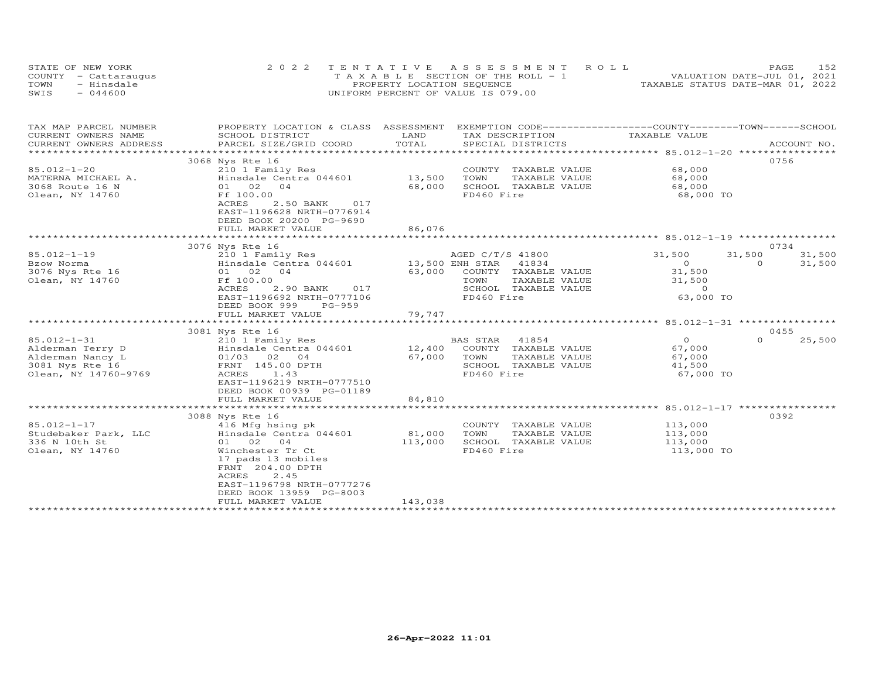| STATE OF NEW YORK    | 2022 TENTATIVE ASSESSMENT ROLL           |                                  | PAGE.                       | 152 |
|----------------------|------------------------------------------|----------------------------------|-----------------------------|-----|
| COUNTY - Cattaraugus | $T A X A B I E$ SECTION OF THE ROLL $-1$ |                                  | VALUATION DATE-JUL 01, 2021 |     |
| - Hinsdale<br>TOWN   | PROPERTY LOCATION SEQUENCE               | TAXABLE STATUS DATE-MAR 01, 2022 |                             |     |
| $-044600$<br>SWIS    | UNIFORM PERCENT OF VALUE IS 079.00       |                                  |                             |     |

| TAX MAP PARCEL NUMBER                             | PROPERTY LOCATION & CLASS ASSESSMENT                                                                                               |                  | EXEMPTION CODE-----------------COUNTY-------TOWN------SCHOOL |                     |                    |
|---------------------------------------------------|------------------------------------------------------------------------------------------------------------------------------------|------------------|--------------------------------------------------------------|---------------------|--------------------|
| CURRENT OWNERS NAME                               | SCHOOL DISTRICT                                                                                                                    | LAND             | TAX DESCRIPTION                                              | TAXABLE VALUE       |                    |
| CURRENT OWNERS ADDRESS<br>*********************** | PARCEL SIZE/GRID COORD                                                                                                             | TOTAL            | SPECIAL DISTRICTS                                            |                     | ACCOUNT NO.        |
|                                                   |                                                                                                                                    |                  |                                                              |                     |                    |
| 85.012-1-20<br>MATERNA MICHAEL A.                 | 3068 Nys Rte 16<br>210 1 Family Res<br>Hinsdale Centra 044601                                                                      | 13,500           | COUNTY TAXABLE VALUE<br>TOWN<br>TAXABLE VALUE                | 68,000<br>68,000    | 0756               |
| 3068 Route 16 N<br>Olean, NY 14760                | 01 02<br>04<br>Ff 100.00<br>ACRES<br>2.50 BANK<br>017<br>EAST-1196628 NRTH-0776914<br>DEED BOOK 20200 PG-9690<br>FULL MARKET VALUE | 68,000<br>86,076 | SCHOOL TAXABLE VALUE<br>FD460 Fire                           | 68,000<br>68,000 TO |                    |
|                                                   |                                                                                                                                    |                  |                                                              |                     |                    |
|                                                   | 3076 Nys Rte 16                                                                                                                    |                  |                                                              |                     | 0734               |
| $85.012 - 1 - 19$                                 | 210 1 Family Res                                                                                                                   |                  | AGED C/T/S 41800                                             | 31,500              | 31,500<br>31,500   |
| Bzow Norma                                        | Hinsdale Centra 044601                                                                                                             | 13,500 ENH STAR  | 41834                                                        | $\overline{O}$      | $\Omega$<br>31,500 |
| 3076 Nys Rte 16                                   | 01 02<br>04                                                                                                                        | 63,000           | COUNTY TAXABLE VALUE                                         | 31,500              |                    |
| Olean, NY 14760                                   | Ff 100.00                                                                                                                          |                  | TOWN<br>TAXABLE VALUE                                        | 31,500              |                    |
|                                                   | ACRES<br>2.90 BANK<br>017                                                                                                          |                  | SCHOOL TAXABLE VALUE                                         | $\Omega$            |                    |
|                                                   | EAST-1196692 NRTH-0777106                                                                                                          |                  | FD460 Fire                                                   | 63,000 TO           |                    |
|                                                   | DEED BOOK 999<br>PG-959                                                                                                            |                  |                                                              |                     |                    |
|                                                   | FULL MARKET VALUE                                                                                                                  | 79,747           |                                                              |                     |                    |
|                                                   |                                                                                                                                    |                  |                                                              |                     |                    |
|                                                   | 3081 Nys Rte 16                                                                                                                    |                  |                                                              |                     | 0455               |
| 85.012-1-31                                       | 210 1 Family Res                                                                                                                   |                  | BAS STAR<br>41854                                            | $\overline{O}$      | $\Omega$<br>25,500 |
| Alderman Terry D                                  | Hinsdale Centra 044601                                                                                                             | 12,400           | TAXABLE VALUE<br>COUNTY                                      | 67,000              |                    |
| Alderman Nancy L                                  | $01/03$ 02 04                                                                                                                      | 67,000           | TOWN<br>TAXABLE VALUE                                        | 67,000              |                    |
| 3081 Nys Rte 16                                   | FRNT 145.00 DPTH                                                                                                                   |                  | SCHOOL TAXABLE VALUE                                         | 41,500              |                    |
| Olean, NY 14760-9769                              | ACRES<br>1.43                                                                                                                      |                  | FD460 Fire                                                   | 67,000 TO           |                    |
|                                                   | EAST-1196219 NRTH-0777510                                                                                                          |                  |                                                              |                     |                    |
|                                                   | DEED BOOK 00939 PG-01189                                                                                                           |                  |                                                              |                     |                    |
|                                                   | FULL MARKET VALUE                                                                                                                  | 84,810           |                                                              |                     |                    |
|                                                   | *************************                                                                                                          |                  |                                                              |                     |                    |
|                                                   | 3088 Nys Rte 16                                                                                                                    |                  |                                                              |                     | 0392               |
| $85.012 - 1 - 17$                                 | 416 Mfg hsing pk                                                                                                                   |                  | COUNTY TAXABLE VALUE                                         | 113,000             |                    |
| Studebaker Park, LLC                              | Hinsdale Centra 044601                                                                                                             | 81,000           | TOWN<br>TAXABLE VALUE                                        | 113,000             |                    |
| 336 N 10th St                                     | 01 02<br>04                                                                                                                        | 113,000          | SCHOOL TAXABLE VALUE                                         | 113,000             |                    |
| Olean, NY 14760                                   | Winchester Tr Ct                                                                                                                   |                  | FD460 Fire                                                   | 113,000 TO          |                    |
|                                                   | 17 pads 13 mobiles<br>FRNT 204.00 DPTH<br>2.45<br>ACRES<br>EAST-1196798 NRTH-0777276<br>DEED BOOK 13959 PG-8003                    |                  |                                                              |                     |                    |
|                                                   | FULL MARKET VALUE                                                                                                                  | 143,038          |                                                              |                     |                    |
|                                                   | ************************                                                                                                           |                  |                                                              |                     |                    |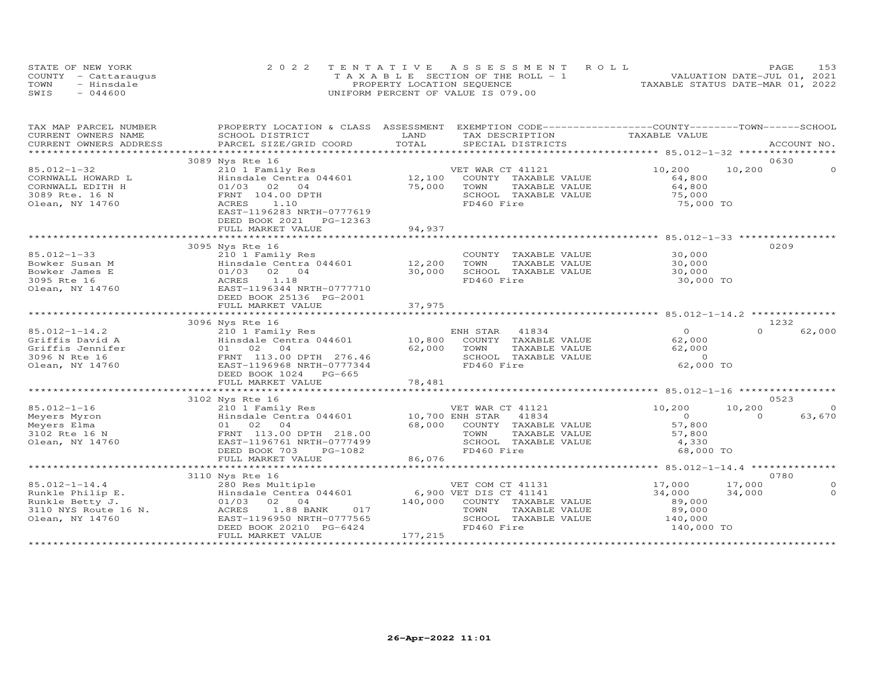|      | STATE OF NEW YORK    | 2022 TENTATIVE ASSESSMENT ROLL        | 153<br>PAGE                      |
|------|----------------------|---------------------------------------|----------------------------------|
|      | COUNTY - Cattaraugus | T A X A B L E SECTION OF THE ROLL - 1 | VALUATION DATE-JUL 01, 2021      |
| TOWN | - Hinsdale           | PROPERTY LOCATION SEQUENCE            | TAXABLE STATUS DATE-MAR 01, 2022 |
| SWIS | $-044600$            | UNIFORM PERCENT OF VALUE IS 079.00    |                                  |

| TAX MAP PARCEL NUMBER | PROPERTY LOCATION & CLASS ASSESSMENT EXEMPTION CODE----------------COUNTY-------TOWN------SCHOOL<br>CORRENT OWNERS NAME SCHOOL DISTRICT SCHOOL DISTRICT SCHOOL DISTRICT  TAX DESCRIPTION  TAX DESCRIPTION  TAX DESCRIPTION  TAX DESCRIPTION  TAX DESCRIPTION  TAX DESCRIPTION  TAX DESCRIPTION   TAX DESCRIPTION   TAX DESCRIPTION |                                                                                         |                                |                          |  |
|-----------------------|------------------------------------------------------------------------------------------------------------------------------------------------------------------------------------------------------------------------------------------------------------------------------------------------------------------------------------|-----------------------------------------------------------------------------------------|--------------------------------|--------------------------|--|
|                       |                                                                                                                                                                                                                                                                                                                                    |                                                                                         |                                |                          |  |
|                       |                                                                                                                                                                                                                                                                                                                                    |                                                                                         |                                |                          |  |
|                       | 3089 Nys Rte 16<br>Nys Kte 16<br>210,200<br>Hinsdale Centra 044601<br>01/03 02 04<br>FRNT 104.00 DPTH<br>ACRES 1.10<br>210,200<br>212,100 COUNTY TAXABLE VALUE<br>25,000<br>275,000<br>275,000<br>275,000<br>275,000<br>275,000<br>275,000<br>275,000<br>275,000<br>275,000<br>275,00                                              |                                                                                         |                                | 0630                     |  |
| 85.012-1-32           |                                                                                                                                                                                                                                                                                                                                    |                                                                                         |                                | 10,200                   |  |
|                       |                                                                                                                                                                                                                                                                                                                                    |                                                                                         |                                |                          |  |
|                       |                                                                                                                                                                                                                                                                                                                                    |                                                                                         |                                |                          |  |
|                       |                                                                                                                                                                                                                                                                                                                                    |                                                                                         | 75,000<br>75,000 TO            |                          |  |
|                       | CORNWALL HOWARD L<br>CORNWALL EDITH H 01/03 02 04<br>3089 Rte. 16 N FRNT 104.00 DPTH<br>Olean, NY 14760 102 11.10                                                                                                                                                                                                                  |                                                                                         |                                |                          |  |
|                       | EAST-1196283 NRTH-0777619                                                                                                                                                                                                                                                                                                          |                                                                                         |                                |                          |  |
|                       | DEED BOOK 2021    PG-12363                                                                                                                                                                                                                                                                                                         |                                                                                         |                                |                          |  |
|                       |                                                                                                                                                                                                                                                                                                                                    |                                                                                         |                                |                          |  |
|                       |                                                                                                                                                                                                                                                                                                                                    |                                                                                         |                                |                          |  |
|                       | 3095 Nys Rte 16<br>00001 12,200<br>Bowker Susan M<br>Bowker James E 1.18<br>3095 Rte 16<br>2010 103 02 04 30,000 SCHOO.<br>3095 Rte 16<br>2010 2 04 30,000 SCHOO.<br>2010 2 04 30,000 SCHOO.<br>2018 EAST-1196344 NRTH-0777710<br>DEED BOOK 25136 PG-2001                                                                          |                                                                                         |                                | 0209                     |  |
|                       |                                                                                                                                                                                                                                                                                                                                    | COUNTY TAXABLE VALUE 30,000<br>TOWN TAXABLE VALUE 30,000<br>SCHOOL TAXABLE VALUE 30,000 |                                |                          |  |
|                       |                                                                                                                                                                                                                                                                                                                                    |                                                                                         |                                |                          |  |
|                       |                                                                                                                                                                                                                                                                                                                                    |                                                                                         |                                |                          |  |
|                       |                                                                                                                                                                                                                                                                                                                                    | FD460 Fire                                                                              | 30,000 TO                      |                          |  |
|                       |                                                                                                                                                                                                                                                                                                                                    |                                                                                         |                                |                          |  |
|                       |                                                                                                                                                                                                                                                                                                                                    |                                                                                         |                                |                          |  |
|                       |                                                                                                                                                                                                                                                                                                                                    |                                                                                         |                                |                          |  |
|                       |                                                                                                                                                                                                                                                                                                                                    |                                                                                         |                                |                          |  |
|                       |                                                                                                                                                                                                                                                                                                                                    |                                                                                         |                                | 1232                     |  |
|                       |                                                                                                                                                                                                                                                                                                                                    |                                                                                         |                                | $0 \t\t 62,000$          |  |
|                       |                                                                                                                                                                                                                                                                                                                                    |                                                                                         |                                |                          |  |
|                       |                                                                                                                                                                                                                                                                                                                                    |                                                                                         |                                |                          |  |
|                       |                                                                                                                                                                                                                                                                                                                                    |                                                                                         |                                |                          |  |
|                       |                                                                                                                                                                                                                                                                                                                                    |                                                                                         | 62,000 TO                      |                          |  |
|                       |                                                                                                                                                                                                                                                                                                                                    |                                                                                         |                                |                          |  |
|                       |                                                                                                                                                                                                                                                                                                                                    |                                                                                         |                                |                          |  |
|                       |                                                                                                                                                                                                                                                                                                                                    |                                                                                         |                                |                          |  |
|                       | 3102 Nys Rte 16                                                                                                                                                                                                                                                                                                                    |                                                                                         |                                | 0523                     |  |
|                       |                                                                                                                                                                                                                                                                                                                                    |                                                                                         |                                | 10,200<br>$\Omega$       |  |
|                       |                                                                                                                                                                                                                                                                                                                                    |                                                                                         |                                | 63,670<br>$\overline{0}$ |  |
|                       |                                                                                                                                                                                                                                                                                                                                    |                                                                                         |                                |                          |  |
|                       |                                                                                                                                                                                                                                                                                                                                    |                                                                                         |                                |                          |  |
|                       |                                                                                                                                                                                                                                                                                                                                    |                                                                                         |                                |                          |  |
|                       |                                                                                                                                                                                                                                                                                                                                    |                                                                                         | 68,000 TO                      |                          |  |
|                       |                                                                                                                                                                                                                                                                                                                                    |                                                                                         |                                |                          |  |
|                       |                                                                                                                                                                                                                                                                                                                                    |                                                                                         |                                |                          |  |
|                       |                                                                                                                                                                                                                                                                                                                                    |                                                                                         |                                | 0780                     |  |
|                       |                                                                                                                                                                                                                                                                                                                                    |                                                                                         |                                | $\circ$                  |  |
|                       |                                                                                                                                                                                                                                                                                                                                    |                                                                                         | 17,000 17,000<br>34,000 34,000 | $\Omega$                 |  |
|                       |                                                                                                                                                                                                                                                                                                                                    |                                                                                         |                                |                          |  |
|                       |                                                                                                                                                                                                                                                                                                                                    |                                                                                         | 89,000<br>89,000               |                          |  |
|                       |                                                                                                                                                                                                                                                                                                                                    |                                                                                         |                                |                          |  |
|                       |                                                                                                                                                                                                                                                                                                                                    | SCHOOL TAXABLE VALUE $140,000$<br>FD460 Fire $140,000$ TO                               |                                |                          |  |
|                       |                                                                                                                                                                                                                                                                                                                                    |                                                                                         |                                |                          |  |
|                       | CONCLUSIVE CONCLUSIVE CHOOL TANNER VALUE CONCLUSIVE CHOINGING CONCLUSIVE CHOINGING CHOING CHOING CHOING CHOING<br>SILO NYS ROUTE CONCLUSIVE CHOING CONCLUSIVE CHOING CONCLUSIVE CHOING CONCLUSIVE CHOING CONCLUSIVE CHOING CONCL                                                                                                   |                                                                                         |                                |                          |  |
|                       |                                                                                                                                                                                                                                                                                                                                    |                                                                                         |                                |                          |  |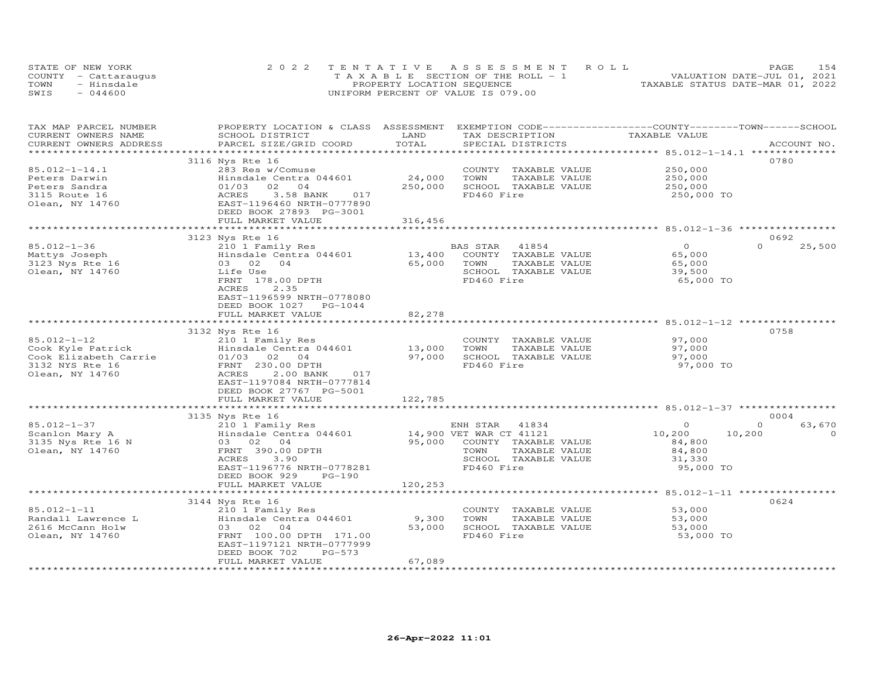| STATE OF NEW YORK    | 2022 TENTATIVE ASSESSMENT ROLL        | 1.54<br>PAGE                     |
|----------------------|---------------------------------------|----------------------------------|
| COUNTY - Cattaraugus | T A X A B L E SECTION OF THE ROLL - 1 | VALUATION DATE-JUL 01, 2021      |
| TOWN<br>- Hinsdale   | PROPERTY LOCATION SEQUENCE            | TAXABLE STATUS DATE-MAR 01, 2022 |
| SWIS<br>$-044600$    | UNIFORM PERCENT OF VALUE IS 079.00    |                                  |

| LAND<br>TAXABLE VALUE<br>CURRENT OWNERS NAME<br>SCHOOL DISTRICT<br>TAX DESCRIPTION<br>TOTAL<br>SPECIAL DISTRICTS<br>CURRENT OWNERS ADDRESS<br>PARCEL SIZE/GRID COORD<br>ACCOUNT NO.<br>*******************************<br>****************** 85.012-1-14.1 **************<br>0780<br>3116 Nys Rte 16<br>$85.012 - 1 - 14.1$<br>283 Res w/Comuse<br>COUNTY<br>TAXABLE VALUE<br>250,000<br>24,000<br>Peters Darwin<br>Hinsdale Centra 044601<br>TOWN<br>TAXABLE VALUE<br>250,000<br>250,000<br>01/03<br>02<br>SCHOOL TAXABLE VALUE<br>250,000<br>Peters Sandra<br>0 <sub>4</sub><br>3115 Route 16<br>3.58 BANK<br>FD460 Fire<br>ACRES<br>017<br>250,000 TO<br>Olean, NY 14760<br>EAST-1196460 NRTH-0777890<br>DEED BOOK 27893 PG-3001<br>316,456<br>FULL MARKET VALUE | 25,500   |
|---------------------------------------------------------------------------------------------------------------------------------------------------------------------------------------------------------------------------------------------------------------------------------------------------------------------------------------------------------------------------------------------------------------------------------------------------------------------------------------------------------------------------------------------------------------------------------------------------------------------------------------------------------------------------------------------------------------------------------------------------------------------|----------|
|                                                                                                                                                                                                                                                                                                                                                                                                                                                                                                                                                                                                                                                                                                                                                                     |          |
|                                                                                                                                                                                                                                                                                                                                                                                                                                                                                                                                                                                                                                                                                                                                                                     |          |
|                                                                                                                                                                                                                                                                                                                                                                                                                                                                                                                                                                                                                                                                                                                                                                     |          |
|                                                                                                                                                                                                                                                                                                                                                                                                                                                                                                                                                                                                                                                                                                                                                                     |          |
|                                                                                                                                                                                                                                                                                                                                                                                                                                                                                                                                                                                                                                                                                                                                                                     |          |
|                                                                                                                                                                                                                                                                                                                                                                                                                                                                                                                                                                                                                                                                                                                                                                     |          |
|                                                                                                                                                                                                                                                                                                                                                                                                                                                                                                                                                                                                                                                                                                                                                                     |          |
|                                                                                                                                                                                                                                                                                                                                                                                                                                                                                                                                                                                                                                                                                                                                                                     |          |
|                                                                                                                                                                                                                                                                                                                                                                                                                                                                                                                                                                                                                                                                                                                                                                     |          |
|                                                                                                                                                                                                                                                                                                                                                                                                                                                                                                                                                                                                                                                                                                                                                                     |          |
|                                                                                                                                                                                                                                                                                                                                                                                                                                                                                                                                                                                                                                                                                                                                                                     |          |
|                                                                                                                                                                                                                                                                                                                                                                                                                                                                                                                                                                                                                                                                                                                                                                     |          |
| 3123 Nys Rte 16<br>0692                                                                                                                                                                                                                                                                                                                                                                                                                                                                                                                                                                                                                                                                                                                                             |          |
| $\Omega$<br>$85.012 - 1 - 36$<br>210 1 Family Res<br>BAS STAR<br>41854<br>$\circ$                                                                                                                                                                                                                                                                                                                                                                                                                                                                                                                                                                                                                                                                                   |          |
| 13,400<br>COUNTY TAXABLE VALUE<br>Mattys Joseph<br>Hinsdale Centra 044601<br>65,000                                                                                                                                                                                                                                                                                                                                                                                                                                                                                                                                                                                                                                                                                 |          |
| 0 <sub>4</sub><br>65,000<br>TOWN<br>TAXABLE VALUE<br>3123 Nys Rte 16<br>03 02<br>65,000                                                                                                                                                                                                                                                                                                                                                                                                                                                                                                                                                                                                                                                                             |          |
| Olean, NY 14760<br>Life Use<br>SCHOOL TAXABLE VALUE<br>39,500                                                                                                                                                                                                                                                                                                                                                                                                                                                                                                                                                                                                                                                                                                       |          |
| FD460 Fire<br>FRNT 178.00 DPTH<br>65,000 TO                                                                                                                                                                                                                                                                                                                                                                                                                                                                                                                                                                                                                                                                                                                         |          |
| 2.35<br>ACRES                                                                                                                                                                                                                                                                                                                                                                                                                                                                                                                                                                                                                                                                                                                                                       |          |
| EAST-1196599 NRTH-0778080                                                                                                                                                                                                                                                                                                                                                                                                                                                                                                                                                                                                                                                                                                                                           |          |
| DEED BOOK 1027<br>$PG-1044$                                                                                                                                                                                                                                                                                                                                                                                                                                                                                                                                                                                                                                                                                                                                         |          |
| 82,278<br>FULL MARKET VALUE                                                                                                                                                                                                                                                                                                                                                                                                                                                                                                                                                                                                                                                                                                                                         |          |
|                                                                                                                                                                                                                                                                                                                                                                                                                                                                                                                                                                                                                                                                                                                                                                     |          |
| 0758                                                                                                                                                                                                                                                                                                                                                                                                                                                                                                                                                                                                                                                                                                                                                                |          |
| 3132 Nys Rte 16                                                                                                                                                                                                                                                                                                                                                                                                                                                                                                                                                                                                                                                                                                                                                     |          |
| $85.012 - 1 - 12$<br>97,000<br>210 1 Family Res<br>COUNTY TAXABLE VALUE                                                                                                                                                                                                                                                                                                                                                                                                                                                                                                                                                                                                                                                                                             |          |
| 13,000<br>TOWN<br>97,000<br>Cook Kyle Patrick<br>Hinsdale Centra 044601<br>TAXABLE VALUE                                                                                                                                                                                                                                                                                                                                                                                                                                                                                                                                                                                                                                                                            |          |
| 97,000<br>SCHOOL TAXABLE VALUE<br>Cook Elizabeth Carrie<br>$01/03$ 02<br>$\overline{04}$<br>97,000                                                                                                                                                                                                                                                                                                                                                                                                                                                                                                                                                                                                                                                                  |          |
| 3132 NYS Rte 16<br>FD460 Fire<br>97,000 TO<br>FRNT 230.00 DPTH                                                                                                                                                                                                                                                                                                                                                                                                                                                                                                                                                                                                                                                                                                      |          |
| Olean, NY 14760<br>ACRES<br>2.00 BANK<br>017                                                                                                                                                                                                                                                                                                                                                                                                                                                                                                                                                                                                                                                                                                                        |          |
| EAST-1197084 NRTH-0777814                                                                                                                                                                                                                                                                                                                                                                                                                                                                                                                                                                                                                                                                                                                                           |          |
| DEED BOOK 27767 PG-5001                                                                                                                                                                                                                                                                                                                                                                                                                                                                                                                                                                                                                                                                                                                                             |          |
| 122,785<br>FULL MARKET VALUE                                                                                                                                                                                                                                                                                                                                                                                                                                                                                                                                                                                                                                                                                                                                        |          |
|                                                                                                                                                                                                                                                                                                                                                                                                                                                                                                                                                                                                                                                                                                                                                                     |          |
| 3135 Nys Rte 16<br>0004                                                                                                                                                                                                                                                                                                                                                                                                                                                                                                                                                                                                                                                                                                                                             |          |
| $85.012 - 1 - 37$<br>ENH STAR<br>41834<br>$\Omega$<br>$\Omega$<br>210 1 Family Res                                                                                                                                                                                                                                                                                                                                                                                                                                                                                                                                                                                                                                                                                  | 63,670   |
| 14,900 VET WAR CT 41121<br>Hinsdale Centra 044601<br>10,200<br>10,200<br>Scanlon Mary A                                                                                                                                                                                                                                                                                                                                                                                                                                                                                                                                                                                                                                                                             | $\Omega$ |
| 95,000<br>3135 Nys Rte 16 N<br>03 02 04<br>COUNTY TAXABLE VALUE<br>84,800                                                                                                                                                                                                                                                                                                                                                                                                                                                                                                                                                                                                                                                                                           |          |
| Olean, NY 14760<br>FRNT 390.00 DPTH<br>TOWN<br>84,800<br>TAXABLE VALUE                                                                                                                                                                                                                                                                                                                                                                                                                                                                                                                                                                                                                                                                                              |          |
| SCHOOL TAXABLE VALUE<br>ACRES<br>3.90<br>31,330                                                                                                                                                                                                                                                                                                                                                                                                                                                                                                                                                                                                                                                                                                                     |          |
| EAST-1196776 NRTH-0778281<br>FD460 Fire<br>95,000 TO                                                                                                                                                                                                                                                                                                                                                                                                                                                                                                                                                                                                                                                                                                                |          |
| DEED BOOK 929<br>$PG-190$                                                                                                                                                                                                                                                                                                                                                                                                                                                                                                                                                                                                                                                                                                                                           |          |
| 120,253<br>FULL MARKET VALUE                                                                                                                                                                                                                                                                                                                                                                                                                                                                                                                                                                                                                                                                                                                                        |          |
| ******** 85.012-1-11 **                                                                                                                                                                                                                                                                                                                                                                                                                                                                                                                                                                                                                                                                                                                                             |          |
| 0624<br>3144 Nys Rte 16                                                                                                                                                                                                                                                                                                                                                                                                                                                                                                                                                                                                                                                                                                                                             |          |
| $85.012 - 1 - 11$<br>53,000<br>210 1 Family Res<br>COUNTY TAXABLE VALUE                                                                                                                                                                                                                                                                                                                                                                                                                                                                                                                                                                                                                                                                                             |          |
| Randall Lawrence L<br>Hinsdale Centra 044601<br>9,300<br>53,000<br>TOWN<br>TAXABLE VALUE                                                                                                                                                                                                                                                                                                                                                                                                                                                                                                                                                                                                                                                                            |          |
| 2616 McCann Holw<br>03 02<br>04<br>53,000<br>SCHOOL TAXABLE VALUE<br>53,000                                                                                                                                                                                                                                                                                                                                                                                                                                                                                                                                                                                                                                                                                         |          |
| FD460 Fire<br>Olean, NY 14760<br>FRNT 100.00 DPTH 171.00<br>53,000 TO                                                                                                                                                                                                                                                                                                                                                                                                                                                                                                                                                                                                                                                                                               |          |
|                                                                                                                                                                                                                                                                                                                                                                                                                                                                                                                                                                                                                                                                                                                                                                     |          |
| EAST-1197121 NRTH-0777999                                                                                                                                                                                                                                                                                                                                                                                                                                                                                                                                                                                                                                                                                                                                           |          |
| DEED BOOK 702<br>PG-573                                                                                                                                                                                                                                                                                                                                                                                                                                                                                                                                                                                                                                                                                                                                             |          |
| 67,089<br>FULL MARKET VALUE                                                                                                                                                                                                                                                                                                                                                                                                                                                                                                                                                                                                                                                                                                                                         |          |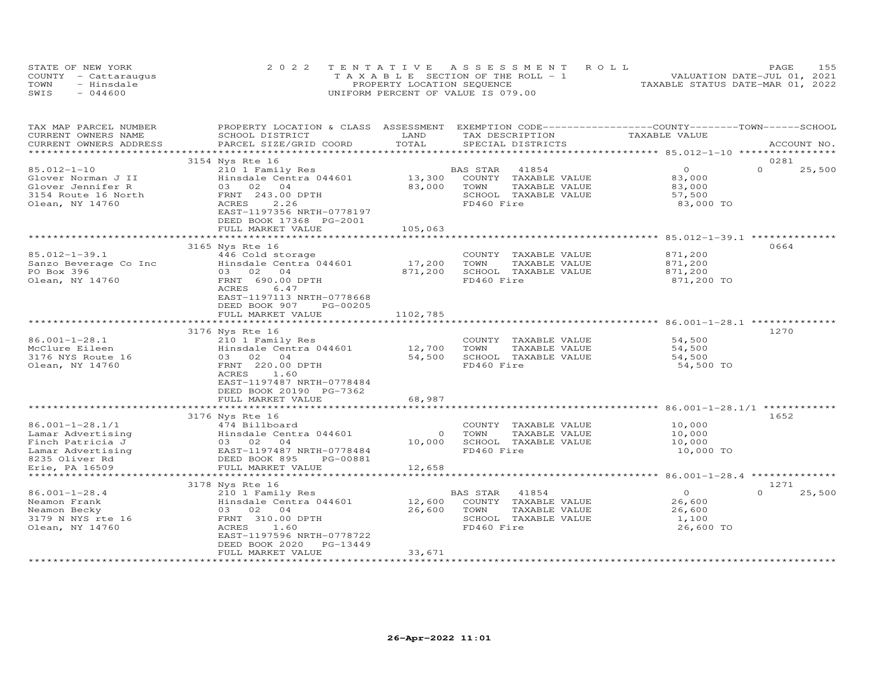| STATE OF NEW YORK    | 2022 TENTATIVE ASSESSMENT ROLL        |                                  | PAGE                        | 155 |
|----------------------|---------------------------------------|----------------------------------|-----------------------------|-----|
| COUNTY - Cattaraugus | T A X A B L E SECTION OF THE ROLL - 1 |                                  | VALUATION DATE-JUL 01, 2021 |     |
| TOWN<br>- Hinsdale   | PROPERTY LOCATION SEQUENCE            | TAXABLE STATUS DATE-MAR 01, 2022 |                             |     |
| SWIS<br>$-044600$    | UNIFORM PERCENT OF VALUE IS 079.00    |                                  |                             |     |

| TAX MAP PARCEL NUMBER<br>CURRENT OWNERS NAME                                                                            | PROPERTY LOCATION & CLASS ASSESSMENT EXEMPTION CODE----------------COUNTY-------TOWN------SCHOOL<br>SCHOOL DISTRICT                                                                            | LAND                        | TAX DESCRIPTION                                                                                             | TAXABLE VALUE                                          |                            |
|-------------------------------------------------------------------------------------------------------------------------|------------------------------------------------------------------------------------------------------------------------------------------------------------------------------------------------|-----------------------------|-------------------------------------------------------------------------------------------------------------|--------------------------------------------------------|----------------------------|
| CURRENT OWNERS ADDRESS<br>****************                                                                              | PARCEL SIZE/GRID COORD                                                                                                                                                                         | TOTAL                       | SPECIAL DISTRICTS                                                                                           |                                                        | ACCOUNT NO.                |
|                                                                                                                         | 3154 Nys Rte 16                                                                                                                                                                                |                             |                                                                                                             |                                                        | 0281                       |
| 85.012-1-10<br>Glover Norman J II<br>Glover Jennifer R<br>3154 Route 16 North<br>Olean, NY 14760                        | 210 1 Family Res<br>Hinsdale Centra 044601<br>03 02 04<br>FRNT 243.00 DPTH<br>2.26<br>ACRES<br>EAST-1197356 NRTH-0778197<br>DEED BOOK 17368 PG-2001<br>FULL MARKET VALUE                       | 13,300<br>83,000<br>105,063 | BAS STAR<br>41854<br>COUNTY<br>TAXABLE VALUE<br>TOWN<br>TAXABLE VALUE<br>SCHOOL TAXABLE VALUE<br>FD460 Fire | $\circ$<br>83,000<br>83,000<br>57,500<br>83,000 TO     | $\Omega$<br>25,500         |
|                                                                                                                         |                                                                                                                                                                                                | **************              |                                                                                                             | ************************* 85.012-1-39.1 ************** |                            |
| $85.012 - 1 - 39.1$<br>Sanzo Beverage Co Inc<br>PO Box 396<br>Olean, NY 14760                                           | 3165 Nys Rte 16<br>446 Cold storage<br>Hinsdale Centra 044601<br>03 02<br>04<br>FRNT 690.00 DPTH<br>ACRES<br>6.47<br>EAST-1197113 NRTH-0778668<br>DEED BOOK 907<br>PG-00205                    | 17,200<br>871,200           | COUNTY TAXABLE VALUE<br>TOWN<br>TAXABLE VALUE<br>SCHOOL TAXABLE VALUE<br>FD460 Fire                         | 871,200<br>871,200<br>871,200<br>871,200 TO            | 0664                       |
|                                                                                                                         | FULL MARKET VALUE                                                                                                                                                                              | 1102,785                    |                                                                                                             |                                                        |                            |
|                                                                                                                         |                                                                                                                                                                                                |                             |                                                                                                             |                                                        |                            |
| $86.001 - 1 - 28.1$<br>McClure Eileen<br>3176 NYS Route 16<br>Olean, NY 14760                                           | 3176 Nys Rte 16<br>210 1 Family Res<br>Hinsdale Centra 044601<br>03 02 04<br>FRNT 220.00 DPTH<br>ACRES<br>1.60<br>EAST-1197487 NRTH-0778484<br>DEED BOOK 20190 PG-7362                         | 12,700<br>54,500            | COUNTY TAXABLE VALUE<br>TOWN<br>TAXABLE VALUE<br>SCHOOL TAXABLE VALUE<br>FD460 Fire                         | 54,500<br>54,500<br>54,500<br>54,500 TO                | 1270                       |
|                                                                                                                         | FULL MARKET VALUE                                                                                                                                                                              | 68,987                      |                                                                                                             |                                                        |                            |
|                                                                                                                         |                                                                                                                                                                                                |                             |                                                                                                             |                                                        |                            |
| $86.001 - 1 - 28.1/1$<br>Lamar Advertising<br>Finch Patricia J<br>Lamar Advertising<br>8235 Oliver Rd<br>Erie, PA 16509 | 3176 Nys Rte 16<br>474 Billboard<br>Hinsdale Centra 044601<br>03 02<br>$\overline{04}$<br>EAST-1197487 NRTH-0778484<br>DEED BOOK 895<br>PG-00881<br>FULL MARKET VALUE                          | $\circ$<br>10,000<br>12,658 | COUNTY TAXABLE VALUE<br>TOWN<br>TAXABLE VALUE<br>SCHOOL TAXABLE VALUE<br>FD460 Fire                         | 10,000<br>10,000<br>10,000<br>10,000 TO                | 1652                       |
|                                                                                                                         | *************************                                                                                                                                                                      |                             |                                                                                                             |                                                        |                            |
| $86.001 - 1 - 28.4$<br>Neamon Frank<br>Neamon Becky<br>3179 N NYS rte 16<br>Olean, NY 14760                             | 3178 Nys Rte 16<br>210 1 Family Res<br>Hinsdale Centra 044601<br>03 02 04<br>FRNT 310.00 DPTH<br>ACRES<br>1.60<br>EAST-1197596 NRTH-0778722<br>DEED BOOK 2020<br>PG-13449<br>FULL MARKET VALUE | 12,600<br>26,600<br>33,671  | BAS STAR<br>41854<br>COUNTY TAXABLE VALUE<br>TOWN<br>TAXABLE VALUE<br>SCHOOL TAXABLE VALUE<br>FD460 Fire    | $\circ$<br>26,600<br>26,600<br>1,100<br>26,600 TO      | 1271<br>$\Omega$<br>25,500 |
|                                                                                                                         |                                                                                                                                                                                                |                             |                                                                                                             |                                                        |                            |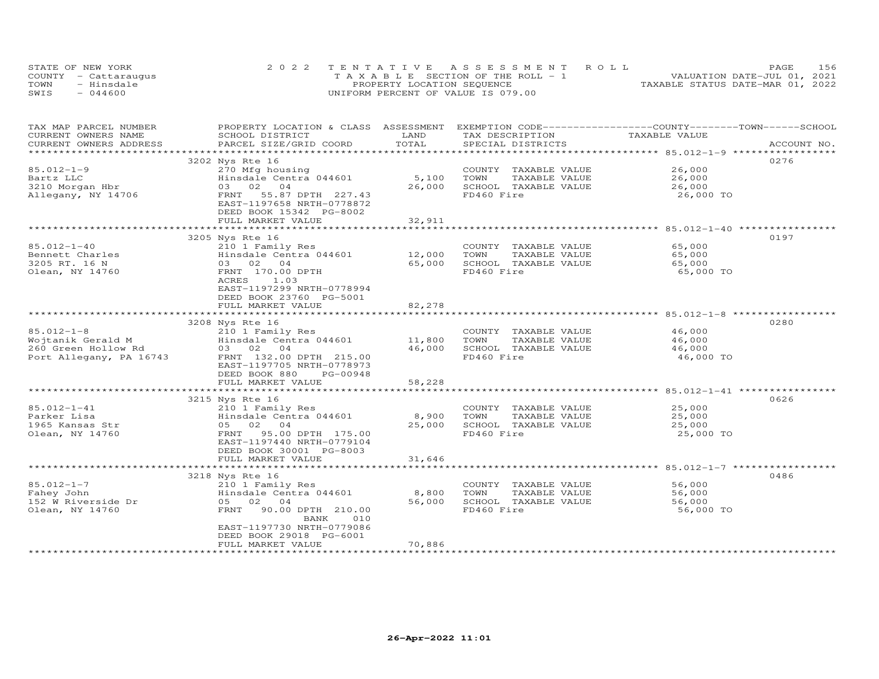| STATE OF NEW YORK    | 2022 TENTATIVE ASSESSMENT ROLL        | 156<br>PAGE.                     |
|----------------------|---------------------------------------|----------------------------------|
| COUNTY - Cattaraugus | T A X A B L E SECTION OF THE ROLL - 1 | VALUATION DATE-JUL 01, 2021      |
| TOWN<br>- Hinsdale   | PROPERTY LOCATION SEQUENCE            | TAXABLE STATUS DATE-MAR 01, 2022 |
| $-044600$<br>SWIS    | UNIFORM PERCENT OF VALUE IS 079.00    |                                  |

| TAX MAP PARCEL NUMBER   | PROPERTY LOCATION & CLASS ASSESSMENT |                | EXEMPTION CODE-----------------COUNTY-------TOWN------SCHOOL |                                         |             |
|-------------------------|--------------------------------------|----------------|--------------------------------------------------------------|-----------------------------------------|-------------|
| CURRENT OWNERS NAME     | SCHOOL DISTRICT                      | LAND<br>TOTAL  | TAX DESCRIPTION                                              | TAXABLE VALUE                           |             |
| CURRENT OWNERS ADDRESS  | PARCEL SIZE/GRID COORD               |                | SPECIAL DISTRICTS                                            |                                         | ACCOUNT NO. |
|                         |                                      |                |                                                              |                                         | 0276        |
| $85.012 - 1 - 9$        | 3202 Nys Rte 16                      |                | COUNTY TAXABLE VALUE                                         | 26,000                                  |             |
|                         | 270 Mfg housing                      |                |                                                              |                                         |             |
| Bartz LLC               | Hinsdale Centra 044601               | 5,100          | TOWN<br>TAXABLE VALUE                                        | 26,000                                  |             |
| 3210 Morgan Hbr         | 03 02<br>04                          | 26,000         | SCHOOL TAXABLE VALUE                                         | 26,000                                  |             |
| Allegany, NY 14706      | 55.87 DPTH 227.43<br>FRNT            |                | FD460 Fire                                                   | 26,000 TO                               |             |
|                         | EAST-1197658 NRTH-0778872            |                |                                                              |                                         |             |
|                         | DEED BOOK 15342 PG-8002              |                |                                                              |                                         |             |
|                         | FULL MARKET VALUE                    | 32,911         |                                                              |                                         |             |
|                         |                                      |                |                                                              |                                         |             |
|                         | 3205 Nys Rte 16                      |                |                                                              |                                         | 0197        |
| $85.012 - 1 - 40$       | 210 1 Family Res                     |                | COUNTY TAXABLE VALUE                                         | 65,000                                  |             |
| Bennett Charles         | Hinsdale Centra 044601               | 12,000         | TOWN<br>TAXABLE VALUE                                        | 65,000                                  |             |
| 3205 RT. 16 N           | 03 02 04                             | 65,000         | SCHOOL TAXABLE VALUE                                         | 65,000                                  |             |
| Olean, NY 14760         | FRNT 170.00 DPTH                     |                | FD460 Fire                                                   | 65,000 TO                               |             |
|                         | ACRES<br>1.03                        |                |                                                              |                                         |             |
|                         | EAST-1197299 NRTH-0778994            |                |                                                              |                                         |             |
|                         | DEED BOOK 23760 PG-5001              |                |                                                              |                                         |             |
|                         | FULL MARKET VALUE                    | 82,278         |                                                              |                                         |             |
|                         |                                      |                |                                                              |                                         |             |
|                         | 3208 Nys Rte 16                      |                |                                                              |                                         | 0280        |
| $85.012 - 1 - 8$        | 210 1 Family Res                     |                | COUNTY TAXABLE VALUE                                         | 46,000                                  |             |
| Wojtanik Gerald M       | Hinsdale Centra 044601               | 11,800         | TOWN<br>TAXABLE VALUE                                        | 46,000                                  |             |
| 260 Green Hollow Rd     | 03 02 04                             | 46,000         | SCHOOL TAXABLE VALUE                                         | 46,000                                  |             |
| Port Allegany, PA 16743 | FRNT 132.00 DPTH 215.00              |                | FD460 Fire                                                   | 46,000 TO                               |             |
|                         | EAST-1197705 NRTH-0778973            |                |                                                              |                                         |             |
|                         | DEED BOOK 880<br>PG-00948            |                |                                                              |                                         |             |
|                         | FULL MARKET VALUE                    | 58,228         |                                                              |                                         |             |
|                         | *************************            |                |                                                              |                                         |             |
|                         | 3215 Nys Rte 16                      |                |                                                              |                                         | 0626        |
| 85.012-1-41             | 210 1 Family Res                     |                | COUNTY TAXABLE VALUE                                         | 25,000                                  |             |
| Parker Lisa             | Hinsdale Centra 044601               | 8,900          | TOWN<br>TAXABLE VALUE                                        | 25,000                                  |             |
| 1965 Kansas Str         | 05 02 04                             | 25,000         | SCHOOL TAXABLE VALUE                                         | 25,000                                  |             |
| Olean, NY 14760         | 95.00 DPTH 175.00<br>FRNT            |                | FD460 Fire                                                   | 25,000 TO                               |             |
|                         | EAST-1197440 NRTH-0779104            |                |                                                              |                                         |             |
|                         | DEED BOOK 30001 PG-8003              |                |                                                              |                                         |             |
|                         | FULL MARKET VALUE                    | 31,646         |                                                              |                                         |             |
|                         | ******************************       | ************** |                                                              | ********************* 85.012-1-7 ****** |             |
|                         | 3218 Nys Rte 16                      |                |                                                              |                                         | 0486        |
| $85.012 - 1 - 7$        | 210 1 Family Res                     |                | COUNTY TAXABLE VALUE                                         | 56,000                                  |             |
| Fahey John              | Hinsdale Centra 044601               | 8,800          | TOWN<br>TAXABLE VALUE                                        | 56,000                                  |             |
| 152 W Riverside Dr      | 05 02<br>04                          | 56,000         | SCHOOL TAXABLE VALUE                                         | 56,000                                  |             |
| Olean, NY 14760         | FRNT<br>90.00 DPTH 210.00            |                | FD460 Fire                                                   | 56,000 TO                               |             |
|                         | 010<br>BANK                          |                |                                                              |                                         |             |
|                         | EAST-1197730 NRTH-0779086            |                |                                                              |                                         |             |
|                         | DEED BOOK 29018 PG-6001              |                |                                                              |                                         |             |
|                         | FULL MARKET VALUE                    | 70,886         |                                                              |                                         |             |
|                         | ************************             |                |                                                              |                                         |             |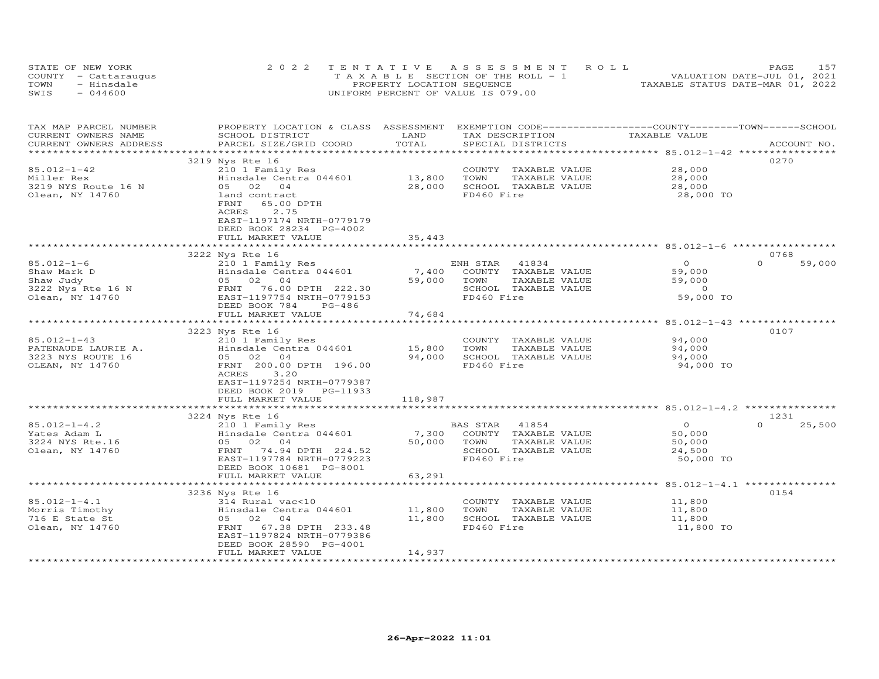| STATE OF NEW YORK    | 2022 TENTATIVE ASSESSMENT ROLL                | PAGE.                            |  |
|----------------------|-----------------------------------------------|----------------------------------|--|
| COUNTY - Cattaraugus | $T A X A B I F S E C T I ON OF THE RO I. - 1$ | VALUATION DATE-JUL 01, 2021      |  |
| TOWN<br>- Hinsdale   | PROPERTY LOCATION SEQUENCE                    | TAXABLE STATUS DATE-MAR 01, 2022 |  |
| SWIS<br>$-044600$    | UNIFORM PERCENT OF VALUE IS 079.00            |                                  |  |

| CURRENT OWNERS NAME<br>LAND<br>TAX DESCRIPTION<br>TAXABLE VALUE<br>SCHOOL DISTRICT<br>TOTAL<br>CURRENT OWNERS ADDRESS<br>PARCEL SIZE/GRID COORD<br>SPECIAL DISTRICTS<br>ACCOUNT NO.<br>******************<br>0270<br>3219 Nys Rte 16<br>85.012-1-42<br>28,000<br>210 1 Family Res<br>COUNTY TAXABLE VALUE<br>13,800<br>TAXABLE VALUE<br>28,000<br>Miller Rex<br>Hinsdale Centra 044601<br>TOWN<br>05 02 04<br>28,000<br>SCHOOL TAXABLE VALUE<br>3219 NYS Route 16 N<br>28,000<br>Olean, NY 14760<br>FD460 Fire<br>28,000 TO<br>land contract<br>FRNT<br>65.00 DPTH<br>ACRES<br>2.75<br>EAST-1197174 NRTH-0779179<br>DEED BOOK 28234 PG-4002<br>FULL MARKET VALUE<br>35,443<br>0768<br>3222 Nys Rte 16<br>$85.012 - 1 - 6$<br>$\Omega$<br>$\Omega$<br>59,000<br>210 1 Family Res<br>ENH STAR 41834<br>Hinsdale Centra 044601<br>7,400<br>COUNTY TAXABLE VALUE<br>59,000<br>Shaw Mark D<br>Shaw Judy<br>05 02 04<br>59,000<br>TOWN<br>TAXABLE VALUE<br>59,000<br>3222 Nys Rte 16 N<br>FRNT 76.00 DPTH 222.30<br>SCHOOL TAXABLE VALUE<br>$\overline{0}$<br>Olean, NY 14760<br>EAST-1197754 NRTH-0779153<br>FD460 Fire<br>59,000 TO<br>DEED BOOK 784<br>$PG-486$<br>FULL MARKET VALUE<br>74,684<br>0107<br>3223 Nys Rte 16<br>$85.012 - 1 - 43$<br>210 1 Family Res<br>COUNTY TAXABLE VALUE<br>94,000<br>Hinsdale Centra 044601<br>15,800<br>PATENAUDE LAURIE A.<br>TOWN<br>TAXABLE VALUE<br>94,000<br>3223 NYS ROUTE 16<br>94,000<br>SCHOOL TAXABLE VALUE<br>94,000<br>05 02 04<br>FD460 Fire<br>FRNT 200.00 DPTH 196.00<br>94,000 TO<br>OLEAN, NY 14760<br>3.20<br>ACRES<br>EAST-1197254 NRTH-0779387<br>DEED BOOK 2019 PG-11933<br>FULL MARKET VALUE<br>118,987<br>3224 Nys Rte 16<br>1231<br>$85.012 - 1 - 4.2$<br>41854<br>$\Omega$<br>$\Omega$<br>25,500<br>210 1 Family Res<br>BAS STAR<br>Yates Adam L<br>Hinsdale Centra 044601<br>7,300<br>COUNTY TAXABLE VALUE<br>50,000<br>50,000<br>TOWN<br>3224 NYS Rte.16<br>05 02 04<br>TAXABLE VALUE<br>50,000<br>74.94 DPTH 224.52<br>Olean, NY 14760<br>SCHOOL TAXABLE VALUE<br>FRNT<br>24,500<br>FD460 Fire<br>EAST-1197784 NRTH-0779223<br>50,000 TO<br>DEED BOOK 10681 PG-8001<br>FULL MARKET VALUE<br>63,291<br>************<br>************************ 85.012-1-4.1 ****************<br>**************************<br>0154<br>3236 Nys Rte 16<br>$85.012 - 1 - 4.1$<br>COUNTY TAXABLE VALUE<br>314 Rural vac<10<br>11,800<br>Morris Timothy<br>Hinsdale Centra 044601<br>11,800<br>TOWN<br>TAXABLE VALUE<br>11,800<br>716 E State St<br>05 02 04<br>11,800<br>SCHOOL TAXABLE VALUE<br>11,800<br>Olean, NY 14760<br>67.38 DPTH 233.48<br>FD460 Fire<br>11,800 TO<br>FRNT<br>EAST-1197824 NRTH-0779386<br>DEED BOOK 28590 PG-4001<br>FULL MARKET VALUE<br>14,937 | TAX MAP PARCEL NUMBER | PROPERTY LOCATION & CLASS ASSESSMENT | EXEMPTION CODE-----------------COUNTY-------TOWN-----SCHOOL |  |
|---------------------------------------------------------------------------------------------------------------------------------------------------------------------------------------------------------------------------------------------------------------------------------------------------------------------------------------------------------------------------------------------------------------------------------------------------------------------------------------------------------------------------------------------------------------------------------------------------------------------------------------------------------------------------------------------------------------------------------------------------------------------------------------------------------------------------------------------------------------------------------------------------------------------------------------------------------------------------------------------------------------------------------------------------------------------------------------------------------------------------------------------------------------------------------------------------------------------------------------------------------------------------------------------------------------------------------------------------------------------------------------------------------------------------------------------------------------------------------------------------------------------------------------------------------------------------------------------------------------------------------------------------------------------------------------------------------------------------------------------------------------------------------------------------------------------------------------------------------------------------------------------------------------------------------------------------------------------------------------------------------------------------------------------------------------------------------------------------------------------------------------------------------------------------------------------------------------------------------------------------------------------------------------------------------------------------------------------------------------------------------------------------------------------------------------------------------------------------------------------------------------------------------------------------------------------------------------------------------------------------------------------------------------------------------------------------------------------|-----------------------|--------------------------------------|-------------------------------------------------------------|--|
|                                                                                                                                                                                                                                                                                                                                                                                                                                                                                                                                                                                                                                                                                                                                                                                                                                                                                                                                                                                                                                                                                                                                                                                                                                                                                                                                                                                                                                                                                                                                                                                                                                                                                                                                                                                                                                                                                                                                                                                                                                                                                                                                                                                                                                                                                                                                                                                                                                                                                                                                                                                                                                                                                                                     |                       |                                      |                                                             |  |
|                                                                                                                                                                                                                                                                                                                                                                                                                                                                                                                                                                                                                                                                                                                                                                                                                                                                                                                                                                                                                                                                                                                                                                                                                                                                                                                                                                                                                                                                                                                                                                                                                                                                                                                                                                                                                                                                                                                                                                                                                                                                                                                                                                                                                                                                                                                                                                                                                                                                                                                                                                                                                                                                                                                     |                       |                                      |                                                             |  |
|                                                                                                                                                                                                                                                                                                                                                                                                                                                                                                                                                                                                                                                                                                                                                                                                                                                                                                                                                                                                                                                                                                                                                                                                                                                                                                                                                                                                                                                                                                                                                                                                                                                                                                                                                                                                                                                                                                                                                                                                                                                                                                                                                                                                                                                                                                                                                                                                                                                                                                                                                                                                                                                                                                                     |                       |                                      |                                                             |  |
|                                                                                                                                                                                                                                                                                                                                                                                                                                                                                                                                                                                                                                                                                                                                                                                                                                                                                                                                                                                                                                                                                                                                                                                                                                                                                                                                                                                                                                                                                                                                                                                                                                                                                                                                                                                                                                                                                                                                                                                                                                                                                                                                                                                                                                                                                                                                                                                                                                                                                                                                                                                                                                                                                                                     |                       |                                      |                                                             |  |
|                                                                                                                                                                                                                                                                                                                                                                                                                                                                                                                                                                                                                                                                                                                                                                                                                                                                                                                                                                                                                                                                                                                                                                                                                                                                                                                                                                                                                                                                                                                                                                                                                                                                                                                                                                                                                                                                                                                                                                                                                                                                                                                                                                                                                                                                                                                                                                                                                                                                                                                                                                                                                                                                                                                     |                       |                                      |                                                             |  |
|                                                                                                                                                                                                                                                                                                                                                                                                                                                                                                                                                                                                                                                                                                                                                                                                                                                                                                                                                                                                                                                                                                                                                                                                                                                                                                                                                                                                                                                                                                                                                                                                                                                                                                                                                                                                                                                                                                                                                                                                                                                                                                                                                                                                                                                                                                                                                                                                                                                                                                                                                                                                                                                                                                                     |                       |                                      |                                                             |  |
|                                                                                                                                                                                                                                                                                                                                                                                                                                                                                                                                                                                                                                                                                                                                                                                                                                                                                                                                                                                                                                                                                                                                                                                                                                                                                                                                                                                                                                                                                                                                                                                                                                                                                                                                                                                                                                                                                                                                                                                                                                                                                                                                                                                                                                                                                                                                                                                                                                                                                                                                                                                                                                                                                                                     |                       |                                      |                                                             |  |
|                                                                                                                                                                                                                                                                                                                                                                                                                                                                                                                                                                                                                                                                                                                                                                                                                                                                                                                                                                                                                                                                                                                                                                                                                                                                                                                                                                                                                                                                                                                                                                                                                                                                                                                                                                                                                                                                                                                                                                                                                                                                                                                                                                                                                                                                                                                                                                                                                                                                                                                                                                                                                                                                                                                     |                       |                                      |                                                             |  |
|                                                                                                                                                                                                                                                                                                                                                                                                                                                                                                                                                                                                                                                                                                                                                                                                                                                                                                                                                                                                                                                                                                                                                                                                                                                                                                                                                                                                                                                                                                                                                                                                                                                                                                                                                                                                                                                                                                                                                                                                                                                                                                                                                                                                                                                                                                                                                                                                                                                                                                                                                                                                                                                                                                                     |                       |                                      |                                                             |  |
|                                                                                                                                                                                                                                                                                                                                                                                                                                                                                                                                                                                                                                                                                                                                                                                                                                                                                                                                                                                                                                                                                                                                                                                                                                                                                                                                                                                                                                                                                                                                                                                                                                                                                                                                                                                                                                                                                                                                                                                                                                                                                                                                                                                                                                                                                                                                                                                                                                                                                                                                                                                                                                                                                                                     |                       |                                      |                                                             |  |
|                                                                                                                                                                                                                                                                                                                                                                                                                                                                                                                                                                                                                                                                                                                                                                                                                                                                                                                                                                                                                                                                                                                                                                                                                                                                                                                                                                                                                                                                                                                                                                                                                                                                                                                                                                                                                                                                                                                                                                                                                                                                                                                                                                                                                                                                                                                                                                                                                                                                                                                                                                                                                                                                                                                     |                       |                                      |                                                             |  |
|                                                                                                                                                                                                                                                                                                                                                                                                                                                                                                                                                                                                                                                                                                                                                                                                                                                                                                                                                                                                                                                                                                                                                                                                                                                                                                                                                                                                                                                                                                                                                                                                                                                                                                                                                                                                                                                                                                                                                                                                                                                                                                                                                                                                                                                                                                                                                                                                                                                                                                                                                                                                                                                                                                                     |                       |                                      |                                                             |  |
|                                                                                                                                                                                                                                                                                                                                                                                                                                                                                                                                                                                                                                                                                                                                                                                                                                                                                                                                                                                                                                                                                                                                                                                                                                                                                                                                                                                                                                                                                                                                                                                                                                                                                                                                                                                                                                                                                                                                                                                                                                                                                                                                                                                                                                                                                                                                                                                                                                                                                                                                                                                                                                                                                                                     |                       |                                      |                                                             |  |
|                                                                                                                                                                                                                                                                                                                                                                                                                                                                                                                                                                                                                                                                                                                                                                                                                                                                                                                                                                                                                                                                                                                                                                                                                                                                                                                                                                                                                                                                                                                                                                                                                                                                                                                                                                                                                                                                                                                                                                                                                                                                                                                                                                                                                                                                                                                                                                                                                                                                                                                                                                                                                                                                                                                     |                       |                                      |                                                             |  |
|                                                                                                                                                                                                                                                                                                                                                                                                                                                                                                                                                                                                                                                                                                                                                                                                                                                                                                                                                                                                                                                                                                                                                                                                                                                                                                                                                                                                                                                                                                                                                                                                                                                                                                                                                                                                                                                                                                                                                                                                                                                                                                                                                                                                                                                                                                                                                                                                                                                                                                                                                                                                                                                                                                                     |                       |                                      |                                                             |  |
|                                                                                                                                                                                                                                                                                                                                                                                                                                                                                                                                                                                                                                                                                                                                                                                                                                                                                                                                                                                                                                                                                                                                                                                                                                                                                                                                                                                                                                                                                                                                                                                                                                                                                                                                                                                                                                                                                                                                                                                                                                                                                                                                                                                                                                                                                                                                                                                                                                                                                                                                                                                                                                                                                                                     |                       |                                      |                                                             |  |
|                                                                                                                                                                                                                                                                                                                                                                                                                                                                                                                                                                                                                                                                                                                                                                                                                                                                                                                                                                                                                                                                                                                                                                                                                                                                                                                                                                                                                                                                                                                                                                                                                                                                                                                                                                                                                                                                                                                                                                                                                                                                                                                                                                                                                                                                                                                                                                                                                                                                                                                                                                                                                                                                                                                     |                       |                                      |                                                             |  |
|                                                                                                                                                                                                                                                                                                                                                                                                                                                                                                                                                                                                                                                                                                                                                                                                                                                                                                                                                                                                                                                                                                                                                                                                                                                                                                                                                                                                                                                                                                                                                                                                                                                                                                                                                                                                                                                                                                                                                                                                                                                                                                                                                                                                                                                                                                                                                                                                                                                                                                                                                                                                                                                                                                                     |                       |                                      |                                                             |  |
|                                                                                                                                                                                                                                                                                                                                                                                                                                                                                                                                                                                                                                                                                                                                                                                                                                                                                                                                                                                                                                                                                                                                                                                                                                                                                                                                                                                                                                                                                                                                                                                                                                                                                                                                                                                                                                                                                                                                                                                                                                                                                                                                                                                                                                                                                                                                                                                                                                                                                                                                                                                                                                                                                                                     |                       |                                      |                                                             |  |
|                                                                                                                                                                                                                                                                                                                                                                                                                                                                                                                                                                                                                                                                                                                                                                                                                                                                                                                                                                                                                                                                                                                                                                                                                                                                                                                                                                                                                                                                                                                                                                                                                                                                                                                                                                                                                                                                                                                                                                                                                                                                                                                                                                                                                                                                                                                                                                                                                                                                                                                                                                                                                                                                                                                     |                       |                                      |                                                             |  |
|                                                                                                                                                                                                                                                                                                                                                                                                                                                                                                                                                                                                                                                                                                                                                                                                                                                                                                                                                                                                                                                                                                                                                                                                                                                                                                                                                                                                                                                                                                                                                                                                                                                                                                                                                                                                                                                                                                                                                                                                                                                                                                                                                                                                                                                                                                                                                                                                                                                                                                                                                                                                                                                                                                                     |                       |                                      |                                                             |  |
|                                                                                                                                                                                                                                                                                                                                                                                                                                                                                                                                                                                                                                                                                                                                                                                                                                                                                                                                                                                                                                                                                                                                                                                                                                                                                                                                                                                                                                                                                                                                                                                                                                                                                                                                                                                                                                                                                                                                                                                                                                                                                                                                                                                                                                                                                                                                                                                                                                                                                                                                                                                                                                                                                                                     |                       |                                      |                                                             |  |
|                                                                                                                                                                                                                                                                                                                                                                                                                                                                                                                                                                                                                                                                                                                                                                                                                                                                                                                                                                                                                                                                                                                                                                                                                                                                                                                                                                                                                                                                                                                                                                                                                                                                                                                                                                                                                                                                                                                                                                                                                                                                                                                                                                                                                                                                                                                                                                                                                                                                                                                                                                                                                                                                                                                     |                       |                                      |                                                             |  |
|                                                                                                                                                                                                                                                                                                                                                                                                                                                                                                                                                                                                                                                                                                                                                                                                                                                                                                                                                                                                                                                                                                                                                                                                                                                                                                                                                                                                                                                                                                                                                                                                                                                                                                                                                                                                                                                                                                                                                                                                                                                                                                                                                                                                                                                                                                                                                                                                                                                                                                                                                                                                                                                                                                                     |                       |                                      |                                                             |  |
|                                                                                                                                                                                                                                                                                                                                                                                                                                                                                                                                                                                                                                                                                                                                                                                                                                                                                                                                                                                                                                                                                                                                                                                                                                                                                                                                                                                                                                                                                                                                                                                                                                                                                                                                                                                                                                                                                                                                                                                                                                                                                                                                                                                                                                                                                                                                                                                                                                                                                                                                                                                                                                                                                                                     |                       |                                      |                                                             |  |
|                                                                                                                                                                                                                                                                                                                                                                                                                                                                                                                                                                                                                                                                                                                                                                                                                                                                                                                                                                                                                                                                                                                                                                                                                                                                                                                                                                                                                                                                                                                                                                                                                                                                                                                                                                                                                                                                                                                                                                                                                                                                                                                                                                                                                                                                                                                                                                                                                                                                                                                                                                                                                                                                                                                     |                       |                                      |                                                             |  |
|                                                                                                                                                                                                                                                                                                                                                                                                                                                                                                                                                                                                                                                                                                                                                                                                                                                                                                                                                                                                                                                                                                                                                                                                                                                                                                                                                                                                                                                                                                                                                                                                                                                                                                                                                                                                                                                                                                                                                                                                                                                                                                                                                                                                                                                                                                                                                                                                                                                                                                                                                                                                                                                                                                                     |                       |                                      |                                                             |  |
|                                                                                                                                                                                                                                                                                                                                                                                                                                                                                                                                                                                                                                                                                                                                                                                                                                                                                                                                                                                                                                                                                                                                                                                                                                                                                                                                                                                                                                                                                                                                                                                                                                                                                                                                                                                                                                                                                                                                                                                                                                                                                                                                                                                                                                                                                                                                                                                                                                                                                                                                                                                                                                                                                                                     |                       |                                      |                                                             |  |
|                                                                                                                                                                                                                                                                                                                                                                                                                                                                                                                                                                                                                                                                                                                                                                                                                                                                                                                                                                                                                                                                                                                                                                                                                                                                                                                                                                                                                                                                                                                                                                                                                                                                                                                                                                                                                                                                                                                                                                                                                                                                                                                                                                                                                                                                                                                                                                                                                                                                                                                                                                                                                                                                                                                     |                       |                                      |                                                             |  |
|                                                                                                                                                                                                                                                                                                                                                                                                                                                                                                                                                                                                                                                                                                                                                                                                                                                                                                                                                                                                                                                                                                                                                                                                                                                                                                                                                                                                                                                                                                                                                                                                                                                                                                                                                                                                                                                                                                                                                                                                                                                                                                                                                                                                                                                                                                                                                                                                                                                                                                                                                                                                                                                                                                                     |                       |                                      |                                                             |  |
|                                                                                                                                                                                                                                                                                                                                                                                                                                                                                                                                                                                                                                                                                                                                                                                                                                                                                                                                                                                                                                                                                                                                                                                                                                                                                                                                                                                                                                                                                                                                                                                                                                                                                                                                                                                                                                                                                                                                                                                                                                                                                                                                                                                                                                                                                                                                                                                                                                                                                                                                                                                                                                                                                                                     |                       |                                      |                                                             |  |
|                                                                                                                                                                                                                                                                                                                                                                                                                                                                                                                                                                                                                                                                                                                                                                                                                                                                                                                                                                                                                                                                                                                                                                                                                                                                                                                                                                                                                                                                                                                                                                                                                                                                                                                                                                                                                                                                                                                                                                                                                                                                                                                                                                                                                                                                                                                                                                                                                                                                                                                                                                                                                                                                                                                     |                       |                                      |                                                             |  |
|                                                                                                                                                                                                                                                                                                                                                                                                                                                                                                                                                                                                                                                                                                                                                                                                                                                                                                                                                                                                                                                                                                                                                                                                                                                                                                                                                                                                                                                                                                                                                                                                                                                                                                                                                                                                                                                                                                                                                                                                                                                                                                                                                                                                                                                                                                                                                                                                                                                                                                                                                                                                                                                                                                                     |                       |                                      |                                                             |  |
|                                                                                                                                                                                                                                                                                                                                                                                                                                                                                                                                                                                                                                                                                                                                                                                                                                                                                                                                                                                                                                                                                                                                                                                                                                                                                                                                                                                                                                                                                                                                                                                                                                                                                                                                                                                                                                                                                                                                                                                                                                                                                                                                                                                                                                                                                                                                                                                                                                                                                                                                                                                                                                                                                                                     |                       |                                      |                                                             |  |
|                                                                                                                                                                                                                                                                                                                                                                                                                                                                                                                                                                                                                                                                                                                                                                                                                                                                                                                                                                                                                                                                                                                                                                                                                                                                                                                                                                                                                                                                                                                                                                                                                                                                                                                                                                                                                                                                                                                                                                                                                                                                                                                                                                                                                                                                                                                                                                                                                                                                                                                                                                                                                                                                                                                     |                       |                                      |                                                             |  |
|                                                                                                                                                                                                                                                                                                                                                                                                                                                                                                                                                                                                                                                                                                                                                                                                                                                                                                                                                                                                                                                                                                                                                                                                                                                                                                                                                                                                                                                                                                                                                                                                                                                                                                                                                                                                                                                                                                                                                                                                                                                                                                                                                                                                                                                                                                                                                                                                                                                                                                                                                                                                                                                                                                                     |                       |                                      |                                                             |  |
|                                                                                                                                                                                                                                                                                                                                                                                                                                                                                                                                                                                                                                                                                                                                                                                                                                                                                                                                                                                                                                                                                                                                                                                                                                                                                                                                                                                                                                                                                                                                                                                                                                                                                                                                                                                                                                                                                                                                                                                                                                                                                                                                                                                                                                                                                                                                                                                                                                                                                                                                                                                                                                                                                                                     |                       |                                      |                                                             |  |
|                                                                                                                                                                                                                                                                                                                                                                                                                                                                                                                                                                                                                                                                                                                                                                                                                                                                                                                                                                                                                                                                                                                                                                                                                                                                                                                                                                                                                                                                                                                                                                                                                                                                                                                                                                                                                                                                                                                                                                                                                                                                                                                                                                                                                                                                                                                                                                                                                                                                                                                                                                                                                                                                                                                     |                       |                                      |                                                             |  |
|                                                                                                                                                                                                                                                                                                                                                                                                                                                                                                                                                                                                                                                                                                                                                                                                                                                                                                                                                                                                                                                                                                                                                                                                                                                                                                                                                                                                                                                                                                                                                                                                                                                                                                                                                                                                                                                                                                                                                                                                                                                                                                                                                                                                                                                                                                                                                                                                                                                                                                                                                                                                                                                                                                                     |                       |                                      |                                                             |  |
|                                                                                                                                                                                                                                                                                                                                                                                                                                                                                                                                                                                                                                                                                                                                                                                                                                                                                                                                                                                                                                                                                                                                                                                                                                                                                                                                                                                                                                                                                                                                                                                                                                                                                                                                                                                                                                                                                                                                                                                                                                                                                                                                                                                                                                                                                                                                                                                                                                                                                                                                                                                                                                                                                                                     |                       |                                      |                                                             |  |
|                                                                                                                                                                                                                                                                                                                                                                                                                                                                                                                                                                                                                                                                                                                                                                                                                                                                                                                                                                                                                                                                                                                                                                                                                                                                                                                                                                                                                                                                                                                                                                                                                                                                                                                                                                                                                                                                                                                                                                                                                                                                                                                                                                                                                                                                                                                                                                                                                                                                                                                                                                                                                                                                                                                     |                       |                                      |                                                             |  |
|                                                                                                                                                                                                                                                                                                                                                                                                                                                                                                                                                                                                                                                                                                                                                                                                                                                                                                                                                                                                                                                                                                                                                                                                                                                                                                                                                                                                                                                                                                                                                                                                                                                                                                                                                                                                                                                                                                                                                                                                                                                                                                                                                                                                                                                                                                                                                                                                                                                                                                                                                                                                                                                                                                                     |                       |                                      |                                                             |  |
|                                                                                                                                                                                                                                                                                                                                                                                                                                                                                                                                                                                                                                                                                                                                                                                                                                                                                                                                                                                                                                                                                                                                                                                                                                                                                                                                                                                                                                                                                                                                                                                                                                                                                                                                                                                                                                                                                                                                                                                                                                                                                                                                                                                                                                                                                                                                                                                                                                                                                                                                                                                                                                                                                                                     |                       |                                      |                                                             |  |
|                                                                                                                                                                                                                                                                                                                                                                                                                                                                                                                                                                                                                                                                                                                                                                                                                                                                                                                                                                                                                                                                                                                                                                                                                                                                                                                                                                                                                                                                                                                                                                                                                                                                                                                                                                                                                                                                                                                                                                                                                                                                                                                                                                                                                                                                                                                                                                                                                                                                                                                                                                                                                                                                                                                     |                       |                                      |                                                             |  |
|                                                                                                                                                                                                                                                                                                                                                                                                                                                                                                                                                                                                                                                                                                                                                                                                                                                                                                                                                                                                                                                                                                                                                                                                                                                                                                                                                                                                                                                                                                                                                                                                                                                                                                                                                                                                                                                                                                                                                                                                                                                                                                                                                                                                                                                                                                                                                                                                                                                                                                                                                                                                                                                                                                                     |                       |                                      |                                                             |  |
|                                                                                                                                                                                                                                                                                                                                                                                                                                                                                                                                                                                                                                                                                                                                                                                                                                                                                                                                                                                                                                                                                                                                                                                                                                                                                                                                                                                                                                                                                                                                                                                                                                                                                                                                                                                                                                                                                                                                                                                                                                                                                                                                                                                                                                                                                                                                                                                                                                                                                                                                                                                                                                                                                                                     |                       |                                      |                                                             |  |
|                                                                                                                                                                                                                                                                                                                                                                                                                                                                                                                                                                                                                                                                                                                                                                                                                                                                                                                                                                                                                                                                                                                                                                                                                                                                                                                                                                                                                                                                                                                                                                                                                                                                                                                                                                                                                                                                                                                                                                                                                                                                                                                                                                                                                                                                                                                                                                                                                                                                                                                                                                                                                                                                                                                     |                       |                                      |                                                             |  |
|                                                                                                                                                                                                                                                                                                                                                                                                                                                                                                                                                                                                                                                                                                                                                                                                                                                                                                                                                                                                                                                                                                                                                                                                                                                                                                                                                                                                                                                                                                                                                                                                                                                                                                                                                                                                                                                                                                                                                                                                                                                                                                                                                                                                                                                                                                                                                                                                                                                                                                                                                                                                                                                                                                                     |                       |                                      |                                                             |  |
|                                                                                                                                                                                                                                                                                                                                                                                                                                                                                                                                                                                                                                                                                                                                                                                                                                                                                                                                                                                                                                                                                                                                                                                                                                                                                                                                                                                                                                                                                                                                                                                                                                                                                                                                                                                                                                                                                                                                                                                                                                                                                                                                                                                                                                                                                                                                                                                                                                                                                                                                                                                                                                                                                                                     |                       |                                      |                                                             |  |
|                                                                                                                                                                                                                                                                                                                                                                                                                                                                                                                                                                                                                                                                                                                                                                                                                                                                                                                                                                                                                                                                                                                                                                                                                                                                                                                                                                                                                                                                                                                                                                                                                                                                                                                                                                                                                                                                                                                                                                                                                                                                                                                                                                                                                                                                                                                                                                                                                                                                                                                                                                                                                                                                                                                     |                       |                                      |                                                             |  |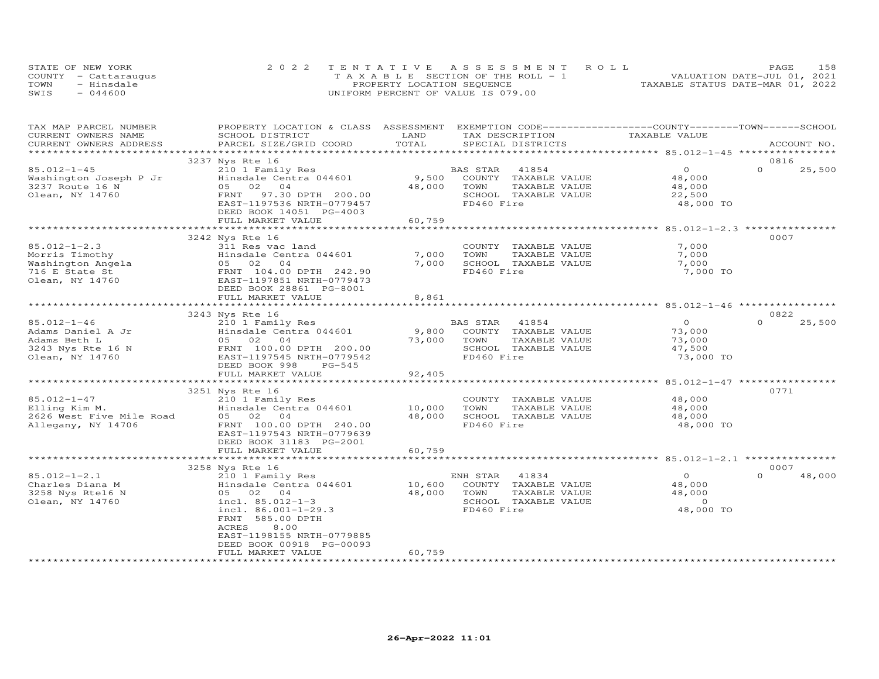| STATE OF NEW YORK    | 2022 TENTATIVE ASSESSMENT ROLL        | 158<br><b>PAGE</b>               |
|----------------------|---------------------------------------|----------------------------------|
| COUNTY - Cattaraugus | T A X A B L E SECTION OF THE ROLL - 1 | VALUATION DATE-JUL 01, 2021      |
| TOWN<br>- Hinsdale   | PROPERTY LOCATION SEQUENCE            | TAXABLE STATUS DATE-MAR 01, 2022 |
| $-044600$<br>SWIS    | UNIFORM PERCENT OF VALUE IS 079.00    |                                  |

| TAX MAP PARCEL NUMBER<br>CURRENT OWNERS NAME | PROPERTY LOCATION & CLASS ASSESSMENT<br>SCHOOL DISTRICT | LAND                    | EXEMPTION CODE-----------------COUNTY-------TOWN-----SCHOOL<br>TAX DESCRIPTION | TAXABLE VALUE                                           |                    |
|----------------------------------------------|---------------------------------------------------------|-------------------------|--------------------------------------------------------------------------------|---------------------------------------------------------|--------------------|
| CURRENT OWNERS ADDRESS                       | PARCEL SIZE/GRID COORD                                  | TOTAL                   | SPECIAL DISTRICTS                                                              |                                                         | ACCOUNT NO.        |
| * * * * * * * * * * * * * * * * * * *        |                                                         |                         |                                                                                |                                                         |                    |
|                                              | 3237 Nys Rte 16                                         |                         |                                                                                |                                                         | 0816<br>$\Omega$   |
| 85.012-1-45                                  | 210 1 Family Res                                        |                         | BAS STAR<br>41854                                                              | $\Omega$                                                | 25,500             |
| Washington Joseph P Jr<br>3237 Route 16 N    | Hinsdale Centra 044601<br>05 02<br>04                   | 9,500<br>48,000         | COUNTY TAXABLE VALUE<br>TOWN<br>TAXABLE VALUE                                  | 48,000<br>48,000                                        |                    |
| Olean, NY 14760                              | 97.30 DPTH 200.00<br>FRNT                               |                         | SCHOOL TAXABLE VALUE                                                           | 22,500                                                  |                    |
|                                              | EAST-1197536 NRTH-0779457                               |                         | FD460 Fire                                                                     | 48,000 TO                                               |                    |
|                                              | DEED BOOK 14051 PG-4003                                 |                         |                                                                                |                                                         |                    |
|                                              | FULL MARKET VALUE                                       | 60,759                  |                                                                                |                                                         |                    |
|                                              | *****************************                           | *************           |                                                                                | ************************* 85.012-1-2.3 **************** |                    |
|                                              | 3242 Nys Rte 16                                         |                         |                                                                                |                                                         | 0007               |
| $85.012 - 1 - 2.3$                           | 311 Res vac land                                        |                         | COUNTY TAXABLE VALUE                                                           | 7,000                                                   |                    |
| Morris Timothy                               | Hinsdale Centra 044601                                  | 7,000<br>7,000          | TOWN<br>TAXABLE VALUE                                                          | 7,000<br>7,000                                          |                    |
| Washington Angela<br>716 E State St          | 05 02 04<br>FRNT 104.00 DPTH 242.90                     |                         | SCHOOL TAXABLE VALUE<br>FD460 Fire                                             | 7,000 TO                                                |                    |
| Olean, NY 14760                              | EAST-1197851 NRTH-0779473                               |                         |                                                                                |                                                         |                    |
|                                              | DEED BOOK 28861 PG-8001                                 |                         |                                                                                |                                                         |                    |
|                                              | FULL MARKET VALUE                                       | 8,861                   |                                                                                |                                                         |                    |
|                                              | ************************                                | ***************         | ******************************** 85.012-1-46 *****************                 |                                                         |                    |
|                                              | 3243 Nys Rte 16                                         |                         |                                                                                |                                                         | 0822               |
| $85.012 - 1 - 46$                            | 210 1 Family Res                                        |                         | BAS STAR<br>41854                                                              | $\circ$                                                 | $\Omega$<br>25,500 |
| Adams Daniel A Jr                            | Hinsdale Centra 044601                                  | 9,800                   | COUNTY TAXABLE VALUE                                                           | 73,000                                                  |                    |
| Adams Beth L                                 | 05 02 04                                                | 73,000                  | TAXABLE VALUE<br>TOWN                                                          | 73,000                                                  |                    |
| 3243 Nys Rte 16 N                            | FRNT 100.00 DPTH 200.00                                 |                         | SCHOOL TAXABLE VALUE                                                           | 47,500                                                  |                    |
| Olean, NY 14760                              | EAST-1197545 NRTH-0779542<br>DEED BOOK 998<br>$PG-545$  |                         | FD460 Fire                                                                     | 73,000 TO                                               |                    |
|                                              | FULL MARKET VALUE                                       | 92,405                  |                                                                                |                                                         |                    |
|                                              | ***********************                                 | * * * * * * * * * * * * |                                                                                | *********** 85.012-1-47 *****                           |                    |
|                                              | 3251 Nys Rte 16                                         |                         |                                                                                |                                                         | 0771               |
| 85.012-1-47                                  | 210 1 Family Res                                        |                         | COUNTY TAXABLE VALUE                                                           | 48,000                                                  |                    |
| Elling Kim M.                                | Hinsdale Centra 044601                                  | 10,000                  | TOWN<br>TAXABLE VALUE                                                          | 48,000                                                  |                    |
| 2626 West Five Mile Road                     | 05 02 04                                                | 48,000                  | SCHOOL TAXABLE VALUE                                                           | 48,000                                                  |                    |
| Allegany, NY 14706                           | FRNT 100.00 DPTH 240.00                                 |                         | FD460 Fire                                                                     | 48,000 TO                                               |                    |
|                                              | EAST-1197543 NRTH-0779639                               |                         |                                                                                |                                                         |                    |
|                                              | DEED BOOK 31183 PG-2001                                 |                         |                                                                                |                                                         |                    |
|                                              | FULL MARKET VALUE                                       | 60,759<br>*********     |                                                                                | ************ 85.012-1-2.1 ***************               |                    |
|                                              | 3258 Nys Rte 16                                         |                         |                                                                                |                                                         | 0007               |
| $85.012 - 1 - 2.1$                           | 210 1 Family Res                                        |                         | ENH STAR<br>41834                                                              | $\Omega$                                                | $\Omega$<br>48,000 |
| Charles Diana M                              | Hinsdale Centra 044601                                  | 10,600                  | COUNTY TAXABLE VALUE                                                           | 48,000                                                  |                    |
| 3258 Nys Rte16 N                             | 05 02 04                                                | 48,000                  | TOWN<br>TAXABLE VALUE                                                          | 48,000                                                  |                    |
| Olean, NY 14760                              | incl. 85.012-1-3                                        |                         | SCHOOL TAXABLE VALUE                                                           | $\Omega$                                                |                    |
|                                              | incl. $86.001 - 1 - 29.3$                               |                         | FD460 Fire                                                                     | 48,000 TO                                               |                    |
|                                              | FRNT 585.00 DPTH                                        |                         |                                                                                |                                                         |                    |
|                                              | ACRES<br>8,00                                           |                         |                                                                                |                                                         |                    |
|                                              | EAST-1198155 NRTH-0779885<br>DEED BOOK 00918 PG-00093   |                         |                                                                                |                                                         |                    |
|                                              | FULL MARKET VALUE                                       | 60,759                  |                                                                                |                                                         |                    |
|                                              |                                                         |                         |                                                                                |                                                         |                    |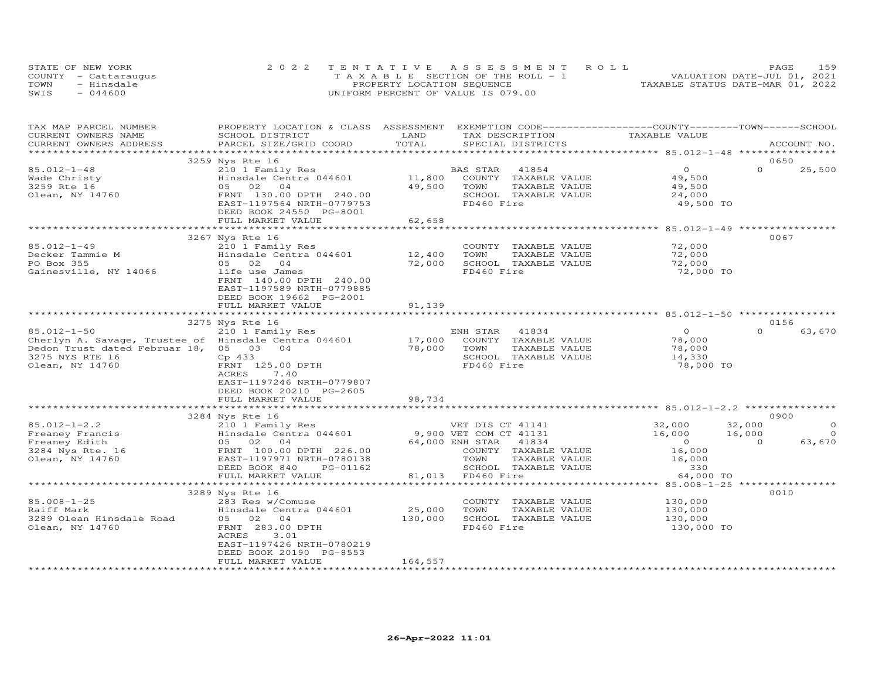|      | STATE OF NEW YORK    | 2022 TENTATIVE ASSESSMENT ROLL        | 159<br>PAGE                      |
|------|----------------------|---------------------------------------|----------------------------------|
|      | COUNTY - Cattaraugus | T A X A B L E SECTION OF THE ROLL - 1 | VALUATION DATE-JUL 01, 2021      |
| TOWN | - Hinsdale           | PROPERTY LOCATION SEQUENCE            | TAXABLE STATUS DATE-MAR 01, 2022 |
| SWIS | $-044600$            | UNIFORM PERCENT OF VALUE IS 079.00    |                                  |

| TAX MAP PARCEL NUMBER<br>CURRENT OWNERS NAME         | PROPERTY LOCATION & CLASS ASSESSMENT EXEMPTION CODE----------------COUNTY-------TOWN------SCHOOL<br>SCHOOL DISTRICT | LAND             | TAX DESCRIPTION                    | TAXABLE VALUE                                   |                    |
|------------------------------------------------------|---------------------------------------------------------------------------------------------------------------------|------------------|------------------------------------|-------------------------------------------------|--------------------|
| CURRENT OWNERS ADDRESS                               | PARCEL SIZE/GRID COORD                                                                                              | TOTAL            | SPECIAL DISTRICTS                  |                                                 | ACCOUNT NO.        |
|                                                      | 3259 Nys Rte 16                                                                                                     |                  |                                    |                                                 | 0650               |
| $85.012 - 1 - 48$                                    | 210 1 Family Res                                                                                                    |                  | BAS STAR<br>41854                  | $\circ$                                         | $\Omega$<br>25,500 |
| Wade Christy                                         | Hinsdale Centra 044601                                                                                              | 11,800           | COUNTY TAXABLE VALUE               | 49,500                                          |                    |
| 3259 Rte 16                                          | 05 02<br>04                                                                                                         | 49,500           | TOWN<br>TAXABLE VALUE              | 49,500                                          |                    |
| Olean, NY 14760                                      | FRNT 130.00 DPTH 240.00                                                                                             |                  | SCHOOL TAXABLE VALUE               | 24,000                                          |                    |
|                                                      | EAST-1197564 NRTH-0779753                                                                                           |                  | FD460 Fire                         | 49,500 TO                                       |                    |
|                                                      | DEED BOOK 24550 PG-8001                                                                                             |                  |                                    |                                                 |                    |
|                                                      | FULL MARKET VALUE                                                                                                   | 62,658           |                                    |                                                 |                    |
|                                                      |                                                                                                                     |                  |                                    | ******************* 85.012-1-49 *************** |                    |
|                                                      | 3267 Nys Rte 16                                                                                                     |                  |                                    |                                                 | 0067               |
| $85.012 - 1 - 49$                                    | 210 1 Family Res                                                                                                    |                  | COUNTY TAXABLE VALUE               | 72,000                                          |                    |
| Decker Tammie M                                      | Hinsdale Centra 044601                                                                                              | 12,400           | TOWN<br>TAXABLE VALUE              | 72,000                                          |                    |
| PO Box 355                                           | 04<br>05 02                                                                                                         | 72,000           | SCHOOL TAXABLE VALUE               | 72,000                                          |                    |
| Gainesville, NY 14066                                | life use James                                                                                                      |                  | FD460 Fire                         | 72,000 TO                                       |                    |
|                                                      | FRNT 140.00 DPTH 240.00                                                                                             |                  |                                    |                                                 |                    |
|                                                      | EAST-1197589 NRTH-0779885                                                                                           |                  |                                    |                                                 |                    |
|                                                      | DEED BOOK 19662 PG-2001                                                                                             |                  |                                    |                                                 |                    |
|                                                      | FULL MARKET VALUE                                                                                                   | 91,139           |                                    |                                                 |                    |
|                                                      | 3275 Nys Rte 16                                                                                                     |                  |                                    |                                                 | 0156               |
| $85.012 - 1 - 50$                                    | 210 1 Family Res                                                                                                    |                  | ENH STAR 41834                     | $\circ$                                         | $\Omega$<br>63,670 |
| Cherlyn A. Savage, Trustee of Hinsdale Centra 044601 |                                                                                                                     |                  | COUNTY TAXABLE VALUE               | 78,000                                          |                    |
| Dedon Trust dated Februar 18,                        | 05 03 04                                                                                                            | 17,000<br>78,000 | TOWN<br>TAXABLE VALUE              | 78,000                                          |                    |
| 3275 NYS RTE 16                                      | Cp 433                                                                                                              |                  | SCHOOL TAXABLE VALUE               | 14,330                                          |                    |
| Olean, NY 14760                                      | FRNT 125.00 DPTH                                                                                                    |                  | FD460 Fire                         | 78,000 TO                                       |                    |
|                                                      | ACRES<br>7.40                                                                                                       |                  |                                    |                                                 |                    |
|                                                      | EAST-1197246 NRTH-0779807                                                                                           |                  |                                    |                                                 |                    |
|                                                      | DEED BOOK 20210 PG-2605                                                                                             |                  |                                    |                                                 |                    |
|                                                      | FULL MARKET VALUE                                                                                                   | 98,734           |                                    |                                                 |                    |
|                                                      |                                                                                                                     |                  |                                    |                                                 |                    |
|                                                      | 3284 Nys Rte 16                                                                                                     |                  |                                    |                                                 | 0900               |
| $85.012 - 1 - 2.2$                                   | 210 1 Family Res<br>Hinsdale Centra 044601                                                                          |                  | VET DIS CT 41141                   | 32,000                                          | 32,000<br>$\circ$  |
| Freaney Francis                                      |                                                                                                                     |                  | 9,900 VET COM CT 41131             | 16,000                                          | 16,000<br>$\circ$  |
| Freaney Edith                                        | 05 02 04                                                                                                            |                  | 64,000 ENH STAR<br>41834           | $\overline{0}$                                  | 63,670<br>$\Omega$ |
| 3284 Nys Rte. 16                                     | FRNT 100.00 DPTH 226.00                                                                                             |                  | COUNTY TAXABLE VALUE               | 16,000                                          |                    |
| Olean, NY 14760                                      | EAST-1197971 NRTH-0780138                                                                                           |                  | TAXABLE VALUE<br>TOWN              | 16,000                                          |                    |
|                                                      | DEED BOOK 840<br>PG-01162<br>FULL MARKET VALUE                                                                      | 81,013           | SCHOOL TAXABLE VALUE<br>FD460 Fire | 330<br>64,000 TO                                |                    |
|                                                      | ***********************                                                                                             |                  |                                    | *************** 85.008-1-25 *****               |                    |
|                                                      | 3289 Nys Rte 16                                                                                                     |                  |                                    |                                                 | 0010               |
| $85.008 - 1 - 25$                                    | 283 Res w/Comuse                                                                                                    |                  | COUNTY TAXABLE VALUE               | 130,000                                         |                    |
| Raiff Mark                                           | Hinsdale Centra 044601                                                                                              | 25,000           | TOWN<br>TAXABLE VALUE              | 130,000                                         |                    |
| 3289 Olean Hinsdale Road                             | 05 02 04                                                                                                            | 130,000          | SCHOOL TAXABLE VALUE               | 130,000                                         |                    |
| Olean, NY 14760                                      | FRNT 283.00 DPTH                                                                                                    |                  | FD460 Fire                         | 130,000 TO                                      |                    |
|                                                      | <b>ACRES</b><br>3.01                                                                                                |                  |                                    |                                                 |                    |
|                                                      | EAST-1197426 NRTH-0780219                                                                                           |                  |                                    |                                                 |                    |
|                                                      | DEED BOOK 20190 PG-8553                                                                                             |                  |                                    |                                                 |                    |
|                                                      | FULL MARKET VALUE                                                                                                   | 164,557          |                                    |                                                 |                    |
|                                                      |                                                                                                                     |                  |                                    |                                                 |                    |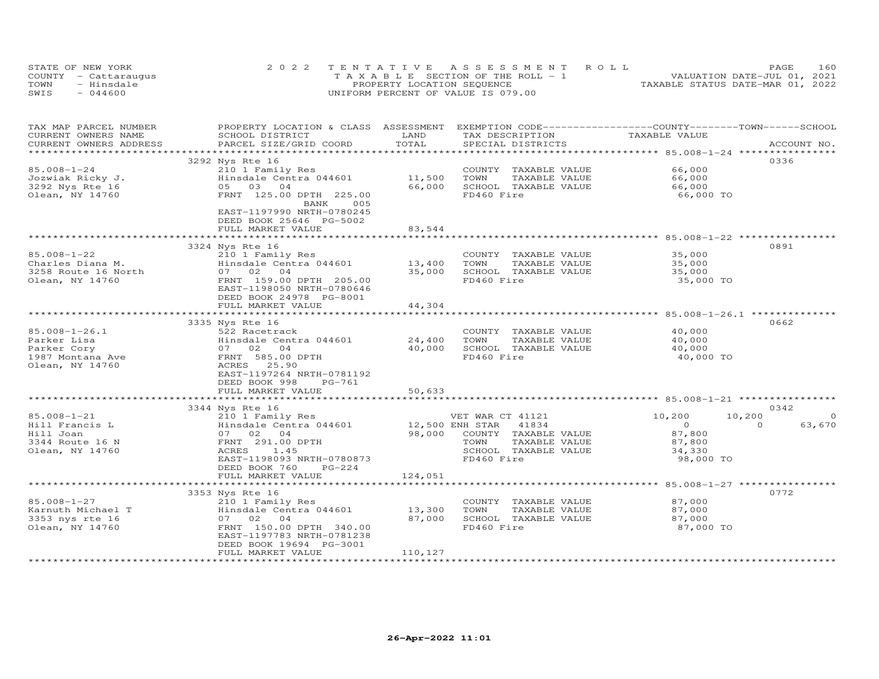| STATE OF NEW YORK    | 2022 TENTATIVE ASSESSMENT ROLL        | PAGE.                            | 160 |
|----------------------|---------------------------------------|----------------------------------|-----|
| COUNTY - Cattaraugus | T A X A B L E SECTION OF THE ROLL - 1 | VALUATION DATE-JUL 01, 2021      |     |
| TOWN<br>- Hinsdale   | PROPERTY LOCATION SEQUENCE            | TAXABLE STATUS DATE-MAR 01, 2022 |     |
| $-044600$<br>SWIS    | UNIFORM PERCENT OF VALUE IS 079.00    |                                  |     |

| TAX MAP PARCEL NUMBER<br>CURRENT OWNERS NAME<br>CURRENT OWNERS ADDRESS                   | PROPERTY LOCATION & CLASS ASSESSMENT<br>SCHOOL DISTRICT<br>PARCEL SIZE/GRID COORD                                                                    | LAND<br>TOTAL     | EXEMPTION CODE-----------------COUNTY-------TOWN-----SCHOOL<br>TAX DESCRIPTION<br>SPECIAL DISTRICTS                                 | TAXABLE VALUE                                                | ACCOUNT NO.                                     |
|------------------------------------------------------------------------------------------|------------------------------------------------------------------------------------------------------------------------------------------------------|-------------------|-------------------------------------------------------------------------------------------------------------------------------------|--------------------------------------------------------------|-------------------------------------------------|
|                                                                                          |                                                                                                                                                      | * * * * * * * * * |                                                                                                                                     |                                                              |                                                 |
| 85.008-1-24<br>Jozwiak Ricky J.<br>3292 Nys Rte 16<br>Olean, NY 14760                    | 3292 Nys Rte 16<br>210 1 Family Res<br>Hinsdale Centra 044601<br>0.5<br>03<br>04<br>FRNT 125.00 DPTH 225.00<br>BANK<br>005                           | 11,500<br>66,000  | COUNTY TAXABLE VALUE<br>TAXABLE VALUE<br>TOWN<br>SCHOOL TAXABLE VALUE<br>FD460 Fire                                                 | 66,000<br>66,000<br>66,000<br>66,000 TO                      | 0336                                            |
|                                                                                          | EAST-1197990 NRTH-0780245<br>DEED BOOK 25646 PG-5002<br>FULL MARKET VALUE                                                                            | 83,544            |                                                                                                                                     |                                                              |                                                 |
|                                                                                          | 3324 Nys Rte 16                                                                                                                                      |                   |                                                                                                                                     |                                                              | 0891                                            |
| 85.008-1-22<br>Charles Diana M.<br>3258 Route 16 North<br>Olean, NY 14760                | 210 1 Family Res<br>Hinsdale Centra 044601<br>07 02<br>04<br>FRNT 159.00 DPTH 205.00<br>EAST-1198050 NRTH-0780646<br>DEED BOOK 24978 PG-8001         | 13,400<br>35,000  | COUNTY TAXABLE VALUE<br>TOWN<br>TAXABLE VALUE<br>SCHOOL TAXABLE VALUE<br>FD460 Fire                                                 | 35,000<br>35,000<br>35,000<br>35,000 TO                      |                                                 |
|                                                                                          | FULL MARKET VALUE                                                                                                                                    | 44,304            |                                                                                                                                     | ******************************* 85.008-1-26.1 *********      |                                                 |
|                                                                                          | 3335 Nys Rte 16                                                                                                                                      |                   |                                                                                                                                     |                                                              | 0662                                            |
| $85.008 - 1 - 26.1$<br>Parker Lisa<br>Parker Cory<br>1987 Montana Ave<br>Olean, NY 14760 | 522 Racetrack<br>Hinsdale Centra 044601<br>07 02<br>04<br>FRNT 585.00 DPTH<br>ACRES<br>25.90<br>EAST-1197264 NRTH-0781192<br>DEED BOOK 998<br>PG-761 | 24,400<br>40,000  | COUNTY TAXABLE VALUE<br>TOWN<br>TAXABLE VALUE<br>SCHOOL TAXABLE VALUE<br>FD460 Fire                                                 | 40,000<br>40,000<br>40,000<br>40,000 TO                      |                                                 |
|                                                                                          | FULL MARKET VALUE                                                                                                                                    | 50,633            |                                                                                                                                     |                                                              |                                                 |
|                                                                                          | ************************                                                                                                                             |                   |                                                                                                                                     |                                                              |                                                 |
| 85.008-1-21<br>Hill Francis L<br>Hill Joan<br>3344 Route 16 N<br>Olean, NY 14760         | 3344 Nys Rte 16<br>210 1 Family Res<br>Hinsdale Centra 044601<br>07 02<br>04<br>FRNT 291.00 DPTH<br>ACRES<br>1.45<br>EAST-1198093 NRTH-0780873       | 98,000            | VET WAR CT 41121<br>12,500 ENH STAR<br>41834<br>COUNTY TAXABLE VALUE<br>TOWN<br>TAXABLE VALUE<br>SCHOOL TAXABLE VALUE<br>FD460 Fire | 10,200<br>$\circ$<br>87,800<br>87,800<br>34,330<br>98,000 TO | 0342<br>10,200<br>$\circ$<br>63,670<br>$\Omega$ |
|                                                                                          | DEED BOOK 760<br>$PG-224$<br>FULL MARKET VALUE                                                                                                       | 124,051           |                                                                                                                                     |                                                              |                                                 |
|                                                                                          | 3353 Nys Rte 16                                                                                                                                      |                   |                                                                                                                                     |                                                              | 0772                                            |
| $85.008 - 1 - 27$<br>Karnuth Michael T<br>3353 nys rte 16<br>Olean, NY 14760             | 210 1 Family Res<br>Hinsdale Centra 044601<br>07 02<br>04<br>FRNT 150.00 DPTH 340.00<br>EAST-1197783 NRTH-0781238<br>DEED BOOK 19694 PG-3001         | 13,300<br>87,000  | COUNTY TAXABLE VALUE<br>TOWN<br>TAXABLE VALUE<br>SCHOOL TAXABLE VALUE<br>FD460 Fire                                                 | 87,000<br>87,000<br>87,000<br>87,000 TO                      |                                                 |
|                                                                                          | FULL MARKET VALUE<br>******************                                                                                                              | 110,127           |                                                                                                                                     |                                                              |                                                 |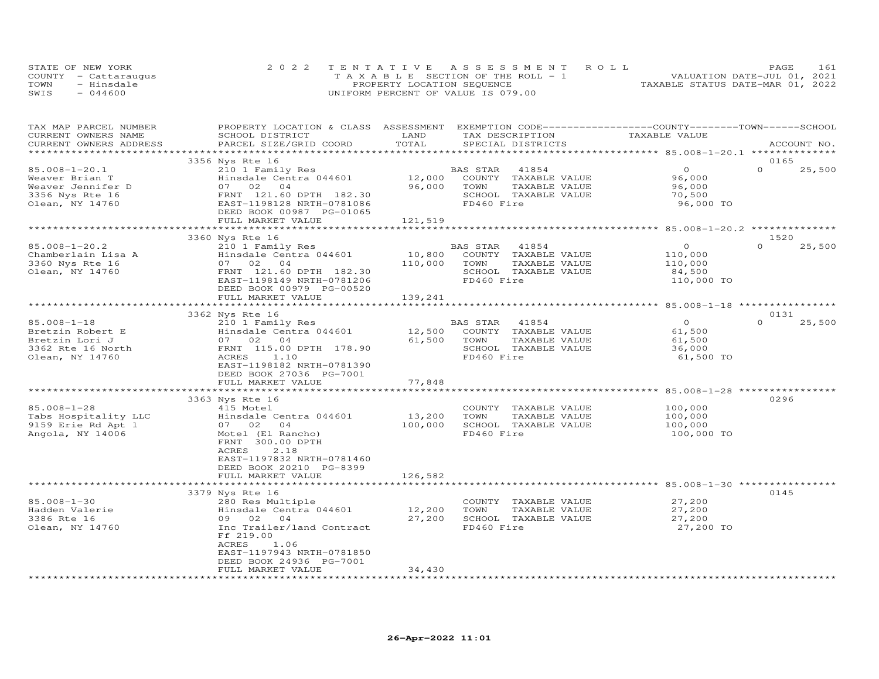|      | STATE OF NEW YORK    | 2022 TENTATIVE ASSESSMENT ROLL        | 161<br>PAGE                      |
|------|----------------------|---------------------------------------|----------------------------------|
|      | COUNTY - Cattaraugus | T A X A B L E SECTION OF THE ROLL - 1 | VALUATION DATE-JUL 01, 2021      |
| TOWN | - Hinsdale           | PROPERTY LOCATION SEQUENCE            | TAXABLE STATUS DATE-MAR 01, 2022 |
| SWIS | $-044600$            | UNIFORM PERCENT OF VALUE IS 079.00    |                                  |

| TAX MAP PARCEL NUMBER                      | PROPERTY LOCATION & CLASS ASSESSMENT EXEMPTION CODE----------------COUNTY-------TOWN------SCHOOL |             |                             |                                                     |                    |
|--------------------------------------------|--------------------------------------------------------------------------------------------------|-------------|-----------------------------|-----------------------------------------------------|--------------------|
| CURRENT OWNERS NAME                        | SCHOOL DISTRICT                                                                                  | LAND        | TAX DESCRIPTION             | TAXABLE VALUE                                       |                    |
| CURRENT OWNERS ADDRESS                     | PARCEL SIZE/GRID COORD                                                                           | TOTAL       | SPECIAL DISTRICTS           |                                                     | ACCOUNT NO.        |
|                                            |                                                                                                  |             |                             |                                                     |                    |
|                                            | 3356 Nys Rte 16                                                                                  |             |                             |                                                     | 0165               |
| $85.008 - 1 - 20.1$                        | 210 1 Family Res                                                                                 |             | BAS STAR<br>41854           | $\overline{O}$                                      | $\Omega$<br>25,500 |
| Weaver Brian T                             | Hinsdale Centra 044601                                                                           | 12,000      | COUNTY TAXABLE VALUE        | 96,000                                              |                    |
| Weaver Jennifer D                          | 07 02 04                                                                                         | 96,000      | TAXABLE VALUE<br>TOWN       | 96,000                                              |                    |
| 3356 Nys Rte 16                            | FRNT 121.60 DPTH 182.30                                                                          |             | SCHOOL TAXABLE VALUE        | 70,500                                              |                    |
|                                            |                                                                                                  |             | FD460 Fire                  |                                                     |                    |
| Olean, NY 14760                            | EAST-1198128 NRTH-0781086                                                                        |             |                             | 96,000 TO                                           |                    |
|                                            | DEED BOOK 00987 PG-01065                                                                         |             |                             |                                                     |                    |
|                                            | FULL MARKET VALUE                                                                                | 121,519     |                             |                                                     |                    |
|                                            |                                                                                                  | *********** |                             | ********************** 85.008-1-20.2 ************** |                    |
|                                            | 3360 Nys Rte 16                                                                                  |             |                             |                                                     | 1520               |
| $85.008 - 1 - 20.2$                        | 210 1 Family Res                                                                                 |             | BAS STAR<br>41854           | $\circ$                                             | $\Omega$<br>25,500 |
| Chamberlain Lisa A                         | Hinsdale Centra 044601                                                                           | 10,800      | COUNTY TAXABLE VALUE        | 110,000                                             |                    |
| 3360 Nys Rte 16                            | 07 02 04                                                                                         | 110,000     | TOWN<br>TAXABLE VALUE       | 110,000                                             |                    |
| Olean, NY 14760                            | FRNT 121.60 DPTH 182.30                                                                          |             | SCHOOL TAXABLE VALUE        | 84,500                                              |                    |
|                                            | EAST-1198149 NRTH-0781206                                                                        |             | FD460 Fire                  | 110,000 TO                                          |                    |
|                                            | DEED BOOK 00979 PG-00520                                                                         |             |                             |                                                     |                    |
|                                            | FULL MARKET VALUE                                                                                | 139,241     |                             |                                                     |                    |
|                                            |                                                                                                  |             |                             |                                                     |                    |
|                                            | 3362 Nys Rte 16                                                                                  |             |                             |                                                     | 0131               |
| 85.008-1-18                                | 210 1 Family Res                                                                                 |             | BAS STAR 41854              | $\overline{0}$                                      | $\Omega$<br>25,500 |
| Bretzin Robert E                           | Hinsdale Centra 044601                                                                           |             | 12,500 COUNTY TAXABLE VALUE | 61,500                                              |                    |
| Bretzin Lori J                             | 07 02 04                                                                                         | 61,500      | TOWN<br>TAXABLE VALUE       | 61,500                                              |                    |
| 3362 Rte 16 North                          | FRNT 115.00 DPTH 178.90                                                                          |             | SCHOOL TAXABLE VALUE        | 36,000                                              |                    |
|                                            |                                                                                                  |             |                             |                                                     |                    |
| Olean, NY 14760                            | ACRES<br>1.10                                                                                    |             | FD460 Fire                  | 61,500 TO                                           |                    |
|                                            | EAST-1198182 NRTH-0781390                                                                        |             |                             |                                                     |                    |
|                                            | DEED BOOK 27036 PG-7001                                                                          |             |                             |                                                     |                    |
|                                            | FULL MARKET VALUE                                                                                | 77,848      |                             |                                                     |                    |
|                                            | **********************************                                                               |             |                             |                                                     |                    |
|                                            | 3363 Nys Rte 16                                                                                  |             |                             |                                                     | 0296               |
| $85.008 - 1 - 28$                          | 415 Motel                                                                                        |             | COUNTY TAXABLE VALUE        | 100,000                                             |                    |
| Tabs Hospitality LLC<br>9159 Erie Rd Apt 1 | Hinsdale Centra 044601                                                                           | 13,200      | TOWN<br>TAXABLE VALUE       | 100,000                                             |                    |
|                                            | 07 02 04                                                                                         | 100,000     | SCHOOL TAXABLE VALUE        | 100,000                                             |                    |
| Angola, NY 14006                           | Motel (El Rancho)                                                                                |             | FD460 Fire                  | 100,000 TO                                          |                    |
|                                            | FRNT 300.00 DPTH                                                                                 |             |                             |                                                     |                    |
|                                            | 2.18<br>ACRES                                                                                    |             |                             |                                                     |                    |
|                                            | EAST-1197832 NRTH-0781460                                                                        |             |                             |                                                     |                    |
|                                            | DEED BOOK 20210 PG-8399                                                                          |             |                             |                                                     |                    |
|                                            | FULL MARKET VALUE                                                                                | 126,582     |                             |                                                     |                    |
|                                            |                                                                                                  |             |                             |                                                     |                    |
|                                            | 3379 Nys Rte 16                                                                                  |             |                             |                                                     | 0145               |
| $85.008 - 1 - 30$                          | 280 Res Multiple                                                                                 |             | COUNTY TAXABLE VALUE        | 27,200                                              |                    |
| Hadden Valerie                             | Hinsdale Centra 044601                                                                           | 12,200      | TOWN<br>TAXABLE VALUE       | 27,200                                              |                    |
| 3386 Rte 16                                | 09 02 04                                                                                         | 27,200      | SCHOOL TAXABLE VALUE        | 27,200                                              |                    |
| Olean, NY 14760                            | Inc Trailer/land Contract                                                                        |             | FD460 Fire                  | 27,200 TO                                           |                    |
|                                            | Ff 219.00                                                                                        |             |                             |                                                     |                    |
|                                            | ACRES<br>1.06                                                                                    |             |                             |                                                     |                    |
|                                            |                                                                                                  |             |                             |                                                     |                    |
|                                            | EAST-1197943 NRTH-0781850                                                                        |             |                             |                                                     |                    |
|                                            | DEED BOOK 24936 PG-7001                                                                          |             |                             |                                                     |                    |
|                                            | FULL MARKET VALUE                                                                                | 34,430      |                             |                                                     |                    |
|                                            |                                                                                                  |             |                             |                                                     |                    |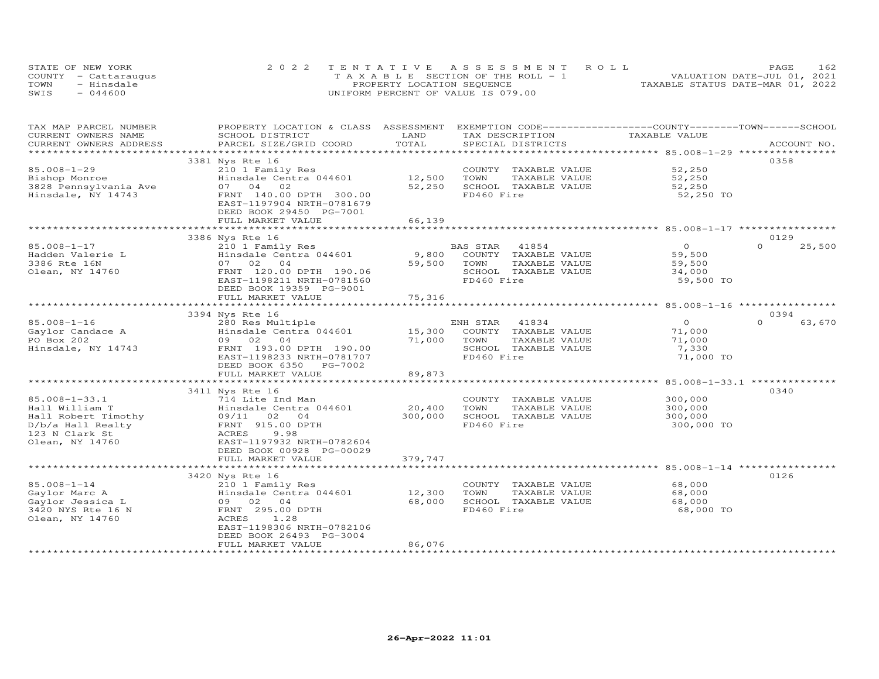| STATE OF NEW YORK    | 2022 TENTATIVE ASSESSMENT ROLL        | 162<br>PAGE.                     |
|----------------------|---------------------------------------|----------------------------------|
| COUNTY - Cattaraugus | T A X A B L E SECTION OF THE ROLL - 1 | VALUATION DATE-JUL 01, 2021      |
| TOWN<br>- Hinsdale   | PROPERTY LOCATION SEQUENCE            | TAXABLE STATUS DATE-MAR 01, 2022 |
| $-044600$<br>SWIS    | UNIFORM PERCENT OF VALUE IS 079.00    |                                  |

| TAX MAP PARCEL NUMBER  | PROPERTY LOCATION & CLASS          | ASSESSMENT    |            |                               | EXEMPTION CODE-----------------COUNTY-------TOWN-----SCHOOL |             |        |
|------------------------|------------------------------------|---------------|------------|-------------------------------|-------------------------------------------------------------|-------------|--------|
| CURRENT OWNERS NAME    | SCHOOL DISTRICT                    | LAND          |            | TAX DESCRIPTION               | TAXABLE VALUE                                               |             |        |
| CURRENT OWNERS ADDRESS | PARCEL SIZE/GRID COORD             | TOTAL         |            | SPECIAL DISTRICTS             |                                                             | ACCOUNT NO. |        |
| *****************      | *****************************      |               |            |                               |                                                             |             |        |
|                        | 3381 Nys Rte 16                    |               |            |                               |                                                             | 0358        |        |
| $85.008 - 1 - 29$      | 210 1 Family Res                   |               |            | COUNTY TAXABLE VALUE          | 52,250                                                      |             |        |
| Bishop Monroe          | Hinsdale Centra 044601             | 12,500        | TOWN       | TAXABLE VALUE                 | 52,250                                                      |             |        |
| 3828 Pennsylvania Ave  | 07 04<br>02                        | 52,250        |            | SCHOOL TAXABLE VALUE          | 52,250                                                      |             |        |
| Hinsdale, NY 14743     | FRNT 140.00 DPTH 300.00            |               | FD460 Fire |                               | 52,250 TO                                                   |             |        |
|                        | EAST-1197904 NRTH-0781679          |               |            |                               |                                                             |             |        |
|                        | DEED BOOK 29450 PG-7001            |               |            |                               |                                                             |             |        |
|                        | FULL MARKET VALUE                  | 66,139        |            |                               |                                                             |             |        |
|                        |                                    |               |            |                               |                                                             |             |        |
|                        | 3386 Nys Rte 16                    |               |            |                               |                                                             | 0129        |        |
| 85.008-1-17            | 210 1 Family Res                   |               | BAS STAR   | 41854                         | $\overline{0}$                                              | $\Omega$    | 25,500 |
| Hadden Valerie L       | Hinsdale Centra 044601             | 9,800         |            | COUNTY TAXABLE VALUE          | 59,500                                                      |             |        |
| 3386 Rte 16N           | 07 02 04                           | 59,500        | TOWN       | TAXABLE VALUE                 | 59,500                                                      |             |        |
| Olean, NY 14760        | FRNT 120.00 DPTH 190.06            |               |            | SCHOOL TAXABLE VALUE          | 34,000                                                      |             |        |
|                        | EAST-1198211 NRTH-0781560          |               | FD460 Fire |                               | 59,500 TO                                                   |             |        |
|                        | DEED BOOK 19359 PG-9001            |               |            |                               |                                                             |             |        |
|                        | FULL MARKET VALUE                  | 75,316        |            |                               |                                                             |             |        |
|                        | ********************************** |               |            |                               |                                                             |             |        |
|                        | 3394 Nys Rte 16                    |               |            |                               |                                                             | 0394        |        |
| $85.008 - 1 - 16$      | 280 Res Multiple                   |               | ENH STAR   | 41834                         | $\circ$                                                     | $\Omega$    | 63,670 |
| Gaylor Candace A       | Hinsdale Centra 044601             | 15,300        |            | COUNTY TAXABLE VALUE          | 71,000                                                      |             |        |
| PO Box 202             | 09 02<br>04                        | 71,000        | TOWN       | TAXABLE VALUE                 | 71,000                                                      |             |        |
| Hinsdale, NY 14743     | FRNT 193.00 DPTH 190.00            |               |            | SCHOOL TAXABLE VALUE          | 7,330                                                       |             |        |
|                        | EAST-1198233 NRTH-0781707          |               | FD460 Fire |                               | 71,000 TO                                                   |             |        |
|                        | DEED BOOK 6350<br>PG-7002          |               |            |                               |                                                             |             |        |
|                        | FULL MARKET VALUE                  | 89,873        |            |                               |                                                             |             |        |
|                        | ************************           | ************* |            |                               |                                                             |             |        |
|                        | 3411 Nys Rte 16                    |               |            |                               |                                                             | 0340        |        |
| 85.008-1-33.1          | 714 Lite Ind Man                   |               |            | COUNTY TAXABLE VALUE          | 300,000                                                     |             |        |
| Hall William T         | Hinsdale Centra 044601             | 20,400        | TOWN       | TAXABLE VALUE                 | 300,000                                                     |             |        |
| Hall Robert Timothy    | 09/11 02<br>0 <sub>4</sub>         | 300,000       |            | SCHOOL TAXABLE VALUE          | 300,000                                                     |             |        |
| D/b/a Hall Realty      | FRNT 915.00 DPTH                   |               | FD460 Fire |                               | 300,000 TO                                                  |             |        |
| 123 N Clark St         | 9.98<br>ACRES                      |               |            |                               |                                                             |             |        |
| Olean, NY 14760        | EAST-1197932 NRTH-0782604          |               |            |                               |                                                             |             |        |
|                        | DEED BOOK 00928 PG-00029           |               |            |                               |                                                             |             |        |
|                        | FULL MARKET VALUE                  | 379,747       |            |                               |                                                             |             |        |
|                        | **************************         |               |            |                               |                                                             |             |        |
|                        | 3420 Nys Rte 16                    |               |            |                               |                                                             | 0126        |        |
| $85.008 - 1 - 14$      | 210 1 Family Res                   |               |            | COUNTY TAXABLE VALUE          | 68,000                                                      |             |        |
| Gaylor Marc A          | Hinsdale Centra 044601             | 12,300        | TOWN       | TAXABLE VALUE                 | 68,000                                                      |             |        |
| Gaylor Jessica L       | 09 02<br>04                        | 68,000        |            | SCHOOL TAXABLE VALUE          | 68,000                                                      |             |        |
| 3420 NYS Rte 16 N      | FRNT 295.00 DPTH                   |               | FD460 Fire |                               | 68,000 TO                                                   |             |        |
| Olean, NY 14760        | 1.28<br>ACRES                      |               |            |                               |                                                             |             |        |
|                        | EAST-1198306 NRTH-0782106          |               |            |                               |                                                             |             |        |
|                        | DEED BOOK 26493 PG-3004            |               |            |                               |                                                             |             |        |
|                        | FULL MARKET VALUE                  | 86,076        |            |                               |                                                             |             |        |
|                        |                                    |               |            | ***************************** |                                                             |             |        |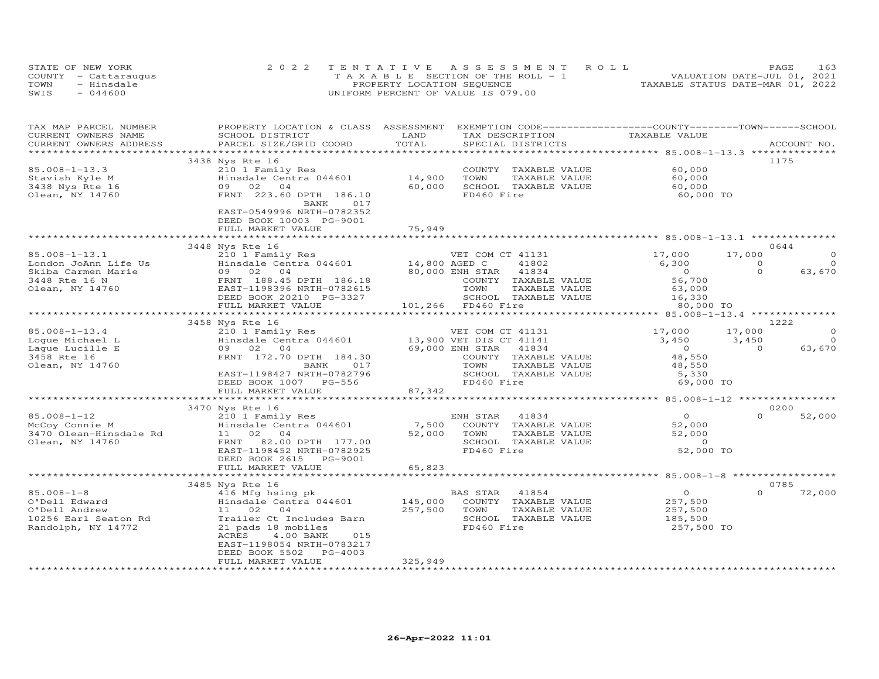| STATE OF NEW YORK    | 2022 TENTATIVE ASSESSMENT ROLL        | 163<br><b>PAGE</b>               |
|----------------------|---------------------------------------|----------------------------------|
| COUNTY - Cattaraugus | T A X A B L E SECTION OF THE ROLL - 1 | VALUATION DATE-JUL 01, 2021      |
| TOWN<br>- Hinsdale   | PROPERTY LOCATION SEQUENCE            | TAXABLE STATUS DATE-MAR 01, 2022 |
| $-044600$<br>SWIS    | UNIFORM PERCENT OF VALUE IS 079.00    |                                  |

| TAX MAP PARCEL NUMBER  | PROPERTY LOCATION & CLASS ASSESSMENT |               | EXEMPTION CODE-----------------COUNTY-------TOWN-----SCHOOL      |                |                         |
|------------------------|--------------------------------------|---------------|------------------------------------------------------------------|----------------|-------------------------|
| CURRENT OWNERS NAME    | SCHOOL DISTRICT                      | LAND          | TAX DESCRIPTION                                                  | TAXABLE VALUE  |                         |
| CURRENT OWNERS ADDRESS | PARCEL SIZE/GRID COORD               | TOTAL         | SPECIAL DISTRICTS                                                |                | ACCOUNT NO.             |
|                        |                                      |               |                                                                  |                |                         |
|                        | 3438 Nys Rte 16                      |               |                                                                  |                | 1175                    |
| $85.008 - 1 - 13.3$    | 210 1 Family Res                     |               | COUNTY TAXABLE VALUE                                             | 60,000         |                         |
| Stavish Kyle M         | Hinsdale Centra 044601               | 14,900        | TOWN<br>TAXABLE VALUE                                            | 60,000         |                         |
| 3438 Nys Rte 16        | 09 02 04                             | 60,000        | SCHOOL TAXABLE VALUE                                             | 60,000         |                         |
| Olean, NY 14760        | FRNT 223.60 DPTH 186.10              |               | FD460 Fire                                                       | 60,000 TO      |                         |
|                        | BANK<br>017                          |               |                                                                  |                |                         |
|                        | EAST-0549996 NRTH-0782352            |               |                                                                  |                |                         |
|                        | DEED BOOK 10003 PG-9001              |               |                                                                  |                |                         |
|                        | FULL MARKET VALUE                    | 75,949        |                                                                  |                |                         |
|                        |                                      | ***********   |                                                                  |                |                         |
|                        | 3448 Nys Rte 16                      |               |                                                                  |                | 0644                    |
| $85.008 - 1 - 13.1$    | 210 1 Family Res                     |               | VET COM CT 41131                                                 | 17,000         | 17,000                  |
| London JoAnn Life Us   | Hinsdale Centra 044601               | 14,800 AGED C | 41802                                                            | 6,300          | $\Omega$<br>$\Omega$    |
| Skiba Carmen Marie     | 09 02 04                             |               | 80,000 ENH STAR<br>41834                                         | $\overline{0}$ | $\Omega$<br>63,670      |
| 3448 Rte 16 N          | FRNT 188.45 DPTH 186.18              |               | COUNTY TAXABLE VALUE                                             | 56,700         |                         |
| Olean, NY 14760        | EAST-1198396 NRTH-0782615            |               | TOWN<br>TAXABLE VALUE                                            | 63,000         |                         |
|                        | DEED BOOK 20210 PG-3327              |               | SCHOOL TAXABLE VALUE                                             | 16,330         |                         |
|                        | FULL MARKET VALUE                    |               | 101,266 FD460 Fire                                               | 80,000 TO      |                         |
|                        |                                      |               |                                                                  |                |                         |
|                        | 3458 Nys Rte 16                      |               |                                                                  |                | 1222                    |
| $85.008 - 1 - 13.4$    | 210 1 Family Res                     |               | VET COM CT 41131                                                 | 17,000         | $\circ$<br>17,000       |
| Loque Michael L        | Hinsdale Centra 044601               |               | 13,900 VET DIS CT 41141                                          | 3,450          | $\overline{O}$<br>3,450 |
|                        | 09 02                                |               | 69,000 ENH STAR<br>41834                                         | $\overline{O}$ | 63,670<br>$\Omega$      |
| Lague Lucille E        | 04                                   |               |                                                                  | 48,550         |                         |
| 3458 Rte 16            | FRNT 172.70 DPTH 184.30              |               | COUNTY TAXABLE VALUE                                             |                |                         |
| Olean, NY 14760        | BANK<br>017                          |               | TAXABLE VALUE<br>TOWN                                            | 48,550         |                         |
|                        | EAST-1198427 NRTH-0782796            |               | SCHOOL TAXABLE VALUE                                             | 5,330          |                         |
|                        | DEED BOOK 1007 PG-556                |               | FD460 Fire                                                       | 69,000 TO      |                         |
|                        | FULL MARKET VALUE                    | 87,342        |                                                                  |                |                         |
|                        |                                      |               |                                                                  |                |                         |
|                        | 3470 Nys Rte 16                      |               |                                                                  |                | 0200<br>$\Omega$        |
| $85.008 - 1 - 12$      | 210 1 Family Res                     |               | ENH STAR<br>41834                                                | $\overline{0}$ | 52,000                  |
| McCoy Connie M         | Hinsdale Centra 044601               | 7,500         | COUNTY TAXABLE VALUE                                             | 52,000         |                         |
| 3470 Olean-Hinsdale Rd | 11 02 04                             | 52,000        | TOWN<br>TAXABLE VALUE                                            | 52,000         |                         |
| Olean, NY 14760        | FRNT<br>82.00 DPTH 177.00            |               | SCHOOL TAXABLE VALUE                                             | $\overline{0}$ |                         |
|                        | EAST-1198452 NRTH-0782925            |               | FD460 Fire                                                       | 52,000 TO      |                         |
|                        | DEED BOOK 2615 PG-9001               |               |                                                                  |                |                         |
|                        | FULL MARKET VALUE                    | 65,823        |                                                                  |                |                         |
|                        |                                      | ************* | ***********************************85.008-1-8 ****************** |                |                         |
|                        | 3485 Nys Rte 16                      |               |                                                                  |                | 0785                    |
| $85.008 - 1 - 8$       | 416 Mfg hsing pk                     |               | BAS STAR<br>41854                                                | $\overline{O}$ | $\Omega$<br>72,000      |
| O'Dell Edward          | Hinsdale Centra 044601               | 145,000       | COUNTY<br>TAXABLE VALUE                                          | 257,500        |                         |
| O'Dell Andrew          | 11 02<br>04                          | 257,500       | TOWN<br>TAXABLE VALUE                                            | 257,500        |                         |
| 10256 Earl Seaton Rd   | Trailer Ct Includes Barn             |               | SCHOOL TAXABLE VALUE                                             | 185,500        |                         |
| Randolph, NY 14772     | 21 pads 18 mobiles                   |               | FD460 Fire                                                       | 257,500 TO     |                         |
|                        | ACRES<br>4.00 BANK<br>015            |               |                                                                  |                |                         |
|                        | EAST-1198054 NRTH-0783217            |               |                                                                  |                |                         |
|                        | PG-4003<br>DEED BOOK 5502            |               |                                                                  |                |                         |
|                        | FULL MARKET VALUE                    | 325,949       |                                                                  |                |                         |
|                        |                                      |               |                                                                  |                |                         |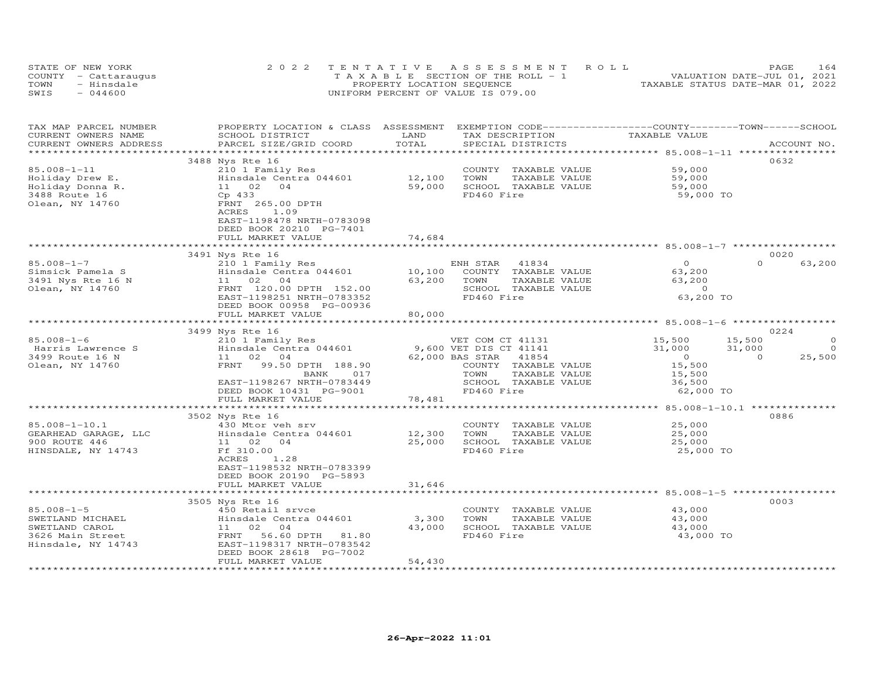| STATE OF NEW YORK    | 2022 TENTATIVE ASSESSMENT ROLL        | 164<br>PAGE.                     |
|----------------------|---------------------------------------|----------------------------------|
| COUNTY - Cattaraugus | T A X A B L E SECTION OF THE ROLL - 1 | VALUATION DATE-JUL 01, 2021      |
| TOWN<br>- Hinsdale   | PROPERTY LOCATION SEQUENCE            | TAXABLE STATUS DATE-MAR 01, 2022 |
| $-044600$<br>SWIS    | UNIFORM PERCENT OF VALUE IS 079.00    |                                  |

| TAX MAP PARCEL NUMBER  | PROPERTY LOCATION & CLASS ASSESSMENT EXEMPTION CODE----------------COUNTY-------TOWN-----SCHOOL |                              |                       |                    |                          |
|------------------------|-------------------------------------------------------------------------------------------------|------------------------------|-----------------------|--------------------|--------------------------|
| CURRENT OWNERS NAME    | SCHOOL DISTRICT                                                                                 | LAND                         | TAX DESCRIPTION       | TAXABLE VALUE      |                          |
| CURRENT OWNERS ADDRESS | PARCEL SIZE/GRID COORD                                                                          | TOTAL                        | SPECIAL DISTRICTS     |                    | ACCOUNT NO.              |
|                        |                                                                                                 |                              |                       |                    |                          |
|                        | 3488 Nys Rte 16                                                                                 |                              |                       |                    | 0632                     |
| 85.008-1-11            | 210 1 Family Res                                                                                |                              | COUNTY TAXABLE VALUE  | 59,000             |                          |
| Holiday Drew E.        | Hinsdale Centra 044601                                                                          |                              | TOWN<br>TAXABLE VALUE | 59,000             |                          |
| Holiday Donna R.       | 11 02 04                                                                                        | $12,100$<br>59.000<br>59,000 | SCHOOL TAXABLE VALUE  | 59,000             |                          |
| 3488 Route 16          | Cp 433                                                                                          |                              | FD460 Fire            | 59,000 TO          |                          |
| Olean, NY 14760        | FRNT 265.00 DPTH                                                                                |                              |                       |                    |                          |
|                        | ACRES<br>1.09                                                                                   |                              |                       |                    |                          |
|                        |                                                                                                 |                              |                       |                    |                          |
|                        | EAST-1198478 NRTH-0783098                                                                       |                              |                       |                    |                          |
|                        | DEED BOOK 20210 PG-7401                                                                         |                              |                       |                    |                          |
|                        | FULL MARKET VALUE                                                                               | 74,684                       |                       |                    |                          |
|                        |                                                                                                 |                              |                       |                    |                          |
|                        | 3491 Nys Rte 16                                                                                 |                              |                       |                    | 0020                     |
| $85.008 - 1 - 7$       | 210 1 Family Res                                                                                |                              | ENH STAR<br>41834     | $\circ$            | $\Omega$<br>63,200       |
| Simsick Pamela S       | Hinsdale Centra 044601                                                                          | 10,100                       | COUNTY TAXABLE VALUE  | 63,200             |                          |
| 3491 Nys Rte 16 N      | 11 02 04                                                                                        | 63,200                       | TOWN<br>TAXABLE VALUE | 63,200             |                          |
| Olean, NY 14760        | FRNT 120.00 DPTH 152.00                                                                         |                              | SCHOOL TAXABLE VALUE  | $\overline{O}$     |                          |
|                        | EAST-1198251 NRTH-0783352                                                                       |                              | FD460 Fire            | 63,200 TO          |                          |
|                        | DEED BOOK 00958 PG-00936                                                                        |                              |                       |                    |                          |
|                        | FULL MARKET VALUE                                                                               | 80,000                       |                       |                    |                          |
|                        |                                                                                                 |                              |                       |                    |                          |
|                        |                                                                                                 |                              |                       |                    | 0224                     |
|                        | 3499 Nys Rte 16                                                                                 |                              |                       |                    |                          |
| $85.008 - 1 - 6$       | 210 1 Family Res<br>Hinsdale Centra 044601 9,600 VET DIS CT 41141                               |                              | VET COM CT 41131      | $15,500$<br>31.000 | 15,500<br>0              |
| Harris Lawrence S      |                                                                                                 |                              |                       | 31,000             | $\Omega$<br>31,000       |
| 3499 Route 16 N        | 11 02 04                                                                                        |                              | 62,000 BAS STAR 41854 | $\overline{0}$     | 25,500<br>$\overline{0}$ |
| Olean, NY 14760        | FRNT 99.50 DPTH 188.90                                                                          |                              | COUNTY TAXABLE VALUE  | 15,500             |                          |
|                        | 017<br>BANK                                                                                     |                              | TOWN<br>TAXABLE VALUE | 15,500             |                          |
|                        | EAST-1198267 NRTH-0783449                                                                       |                              | SCHOOL TAXABLE VALUE  | 36,500             |                          |
|                        | DEED BOOK 10431 PG-9001                                                                         |                              | FD460 Fire            | 62,000 TO          |                          |
|                        | FULL MARKET VALUE                                                                               | 78,481                       |                       |                    |                          |
|                        |                                                                                                 |                              |                       |                    |                          |
|                        | 3502 Nys Rte 16                                                                                 |                              |                       |                    | 0886                     |
| $85.008 - 1 - 10.1$    | 430 Mtor veh srv                                                                                |                              | COUNTY TAXABLE VALUE  | 25,000             |                          |
| GEARHEAD GARAGE, LLC   | Hinsdale Centra 044601                                                                          | 12,300                       | TOWN<br>TAXABLE VALUE | 25,000             |                          |
| 900 ROUTE 446          | 11 02 04                                                                                        | 25,000                       | SCHOOL TAXABLE VALUE  | 25,000             |                          |
| HINSDALE, NY 14743     | Ff 310.00                                                                                       |                              | FD460 Fire            | 25,000 TO          |                          |
|                        | 1.28<br>ACRES                                                                                   |                              |                       |                    |                          |
|                        | EAST-1198532 NRTH-0783399                                                                       |                              |                       |                    |                          |
|                        |                                                                                                 |                              |                       |                    |                          |
|                        | DEED BOOK 20190 PG-5893                                                                         |                              |                       |                    |                          |
|                        | FULL MARKET VALUE                                                                               | 31,646                       |                       |                    |                          |
|                        |                                                                                                 |                              |                       |                    |                          |
|                        | 3505 Nys Rte 16                                                                                 |                              |                       |                    | 0003                     |
| $85.008 - 1 - 5$       | 450 Retail srvce                                                                                |                              | COUNTY TAXABLE VALUE  | 43,000             |                          |
| SWETLAND MICHAEL       | Hinsdale Centra 044601                                                                          | 3,300                        | TAXABLE VALUE<br>TOWN | 43,000             |                          |
| SWETLAND CAROL         | 11 02 04                                                                                        | 43,000                       | SCHOOL TAXABLE VALUE  | 43,000             |                          |
| 3626 Main Street       | FRNT<br>56.60 DPTH 81.80                                                                        |                              | FD460 Fire            | 43,000 TO          |                          |
| Hinsdale, NY 14743     | EAST-1198317 NRTH-0783542                                                                       |                              |                       |                    |                          |
|                        | DEED BOOK 28618 PG-7002                                                                         |                              |                       |                    |                          |
|                        | FULL MARKET VALUE                                                                               | 54,430                       |                       |                    |                          |
|                        |                                                                                                 |                              |                       |                    |                          |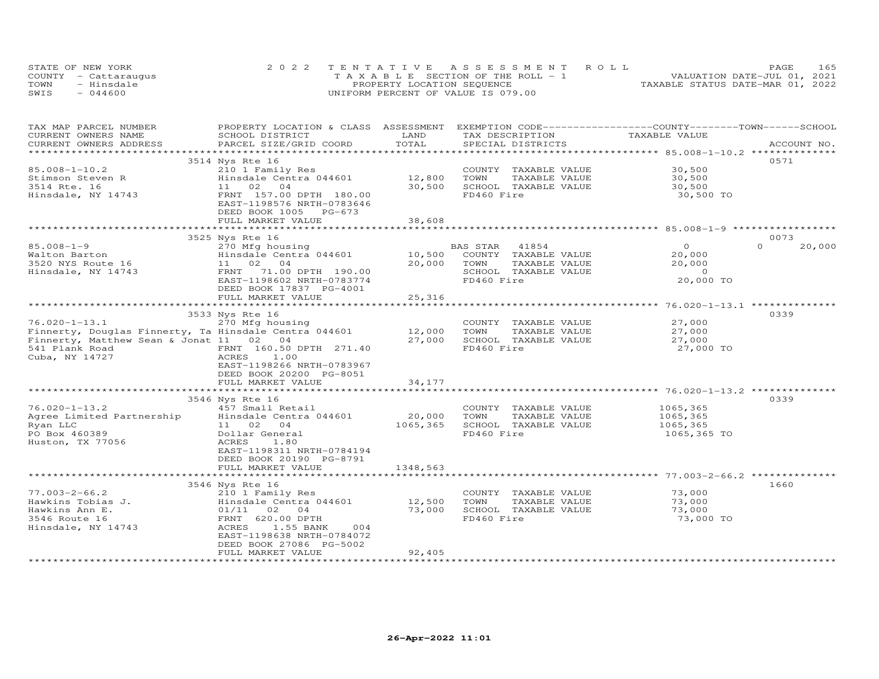|      | STATE OF NEW YORK    | 2022 TENTATIVE ASSESSMENT ROLL     | 165<br>PAGE                      |
|------|----------------------|------------------------------------|----------------------------------|
|      | COUNTY - Cattaraugus | TAXABLE SECTION OF THE ROLL - 1    | VALUATION DATE-JUL 01, 2021      |
| TOWN | - Hinsdale           | PROPERTY LOCATION SEQUENCE         | TAXABLE STATUS DATE-MAR 01, 2022 |
| SWIS | $-044600$            | UNIFORM PERCENT OF VALUE IS 079.00 |                                  |

| TOTAL<br>CURRENT OWNERS ADDRESS<br>PARCEL SIZE/GRID COORD<br>SPECIAL DISTRICTS<br>ACCOUNT NO.<br>3514 Nys Rte 16<br>0571<br>$85.008 - 1 - 10.2$<br>210 1 Family Res<br>30,500<br>COUNTY TAXABLE VALUE<br>Hinsdale Centra 044601<br>12,800<br>Stimson Steven R<br>TOWN<br>TAXABLE VALUE<br>30,500<br>30,500<br>3514 Rte. 16<br>11 02 04<br>SCHOOL TAXABLE VALUE<br>30,500<br>FD460 Fire<br>Hinsdale, NY 14743<br>FRNT 157.00 DPTH 180.00<br>30,500 TO<br>EAST-1198576 NRTH-0783646<br>DEED BOOK 1005 PG-673<br>38,608<br>FULL MARKET VALUE<br>0073<br>3525 Nys Rte 16<br>$85.008 - 1 - 9$<br>BAS STAR 41854<br>$\overline{0}$<br>$\Omega$<br>20,000<br>270 Mfg housing<br>Hinsdale Centra 044601<br>10,500<br>COUNTY TAXABLE VALUE<br>20,000<br>Walton Barton<br>3520 NYS Route 16<br>11 02 04<br>20,000<br>TOWN<br>TAXABLE VALUE<br>20,000<br>FRNT 71.00 DPTH 190.00<br>SCHOOL TAXABLE VALUE<br>$\overline{0}$<br>Hinsdale, NY 14743<br>FD460 Fire<br>20,000 TO<br>EAST-1198602 NRTH-0783774<br>DEED BOOK 17837 PG-4001 | PROPERTY LOCATION & CLASS ASSESSMENT EXEMPTION CODE----------------COUNTY-------TOWN------SCHOOL |
|-------------------------------------------------------------------------------------------------------------------------------------------------------------------------------------------------------------------------------------------------------------------------------------------------------------------------------------------------------------------------------------------------------------------------------------------------------------------------------------------------------------------------------------------------------------------------------------------------------------------------------------------------------------------------------------------------------------------------------------------------------------------------------------------------------------------------------------------------------------------------------------------------------------------------------------------------------------------------------------------------------------------------|--------------------------------------------------------------------------------------------------|
|                                                                                                                                                                                                                                                                                                                                                                                                                                                                                                                                                                                                                                                                                                                                                                                                                                                                                                                                                                                                                         |                                                                                                  |
|                                                                                                                                                                                                                                                                                                                                                                                                                                                                                                                                                                                                                                                                                                                                                                                                                                                                                                                                                                                                                         |                                                                                                  |
|                                                                                                                                                                                                                                                                                                                                                                                                                                                                                                                                                                                                                                                                                                                                                                                                                                                                                                                                                                                                                         |                                                                                                  |
|                                                                                                                                                                                                                                                                                                                                                                                                                                                                                                                                                                                                                                                                                                                                                                                                                                                                                                                                                                                                                         |                                                                                                  |
|                                                                                                                                                                                                                                                                                                                                                                                                                                                                                                                                                                                                                                                                                                                                                                                                                                                                                                                                                                                                                         |                                                                                                  |
|                                                                                                                                                                                                                                                                                                                                                                                                                                                                                                                                                                                                                                                                                                                                                                                                                                                                                                                                                                                                                         |                                                                                                  |
|                                                                                                                                                                                                                                                                                                                                                                                                                                                                                                                                                                                                                                                                                                                                                                                                                                                                                                                                                                                                                         |                                                                                                  |
|                                                                                                                                                                                                                                                                                                                                                                                                                                                                                                                                                                                                                                                                                                                                                                                                                                                                                                                                                                                                                         |                                                                                                  |
|                                                                                                                                                                                                                                                                                                                                                                                                                                                                                                                                                                                                                                                                                                                                                                                                                                                                                                                                                                                                                         |                                                                                                  |
|                                                                                                                                                                                                                                                                                                                                                                                                                                                                                                                                                                                                                                                                                                                                                                                                                                                                                                                                                                                                                         |                                                                                                  |
|                                                                                                                                                                                                                                                                                                                                                                                                                                                                                                                                                                                                                                                                                                                                                                                                                                                                                                                                                                                                                         |                                                                                                  |
|                                                                                                                                                                                                                                                                                                                                                                                                                                                                                                                                                                                                                                                                                                                                                                                                                                                                                                                                                                                                                         |                                                                                                  |
|                                                                                                                                                                                                                                                                                                                                                                                                                                                                                                                                                                                                                                                                                                                                                                                                                                                                                                                                                                                                                         |                                                                                                  |
|                                                                                                                                                                                                                                                                                                                                                                                                                                                                                                                                                                                                                                                                                                                                                                                                                                                                                                                                                                                                                         |                                                                                                  |
|                                                                                                                                                                                                                                                                                                                                                                                                                                                                                                                                                                                                                                                                                                                                                                                                                                                                                                                                                                                                                         |                                                                                                  |
|                                                                                                                                                                                                                                                                                                                                                                                                                                                                                                                                                                                                                                                                                                                                                                                                                                                                                                                                                                                                                         |                                                                                                  |
|                                                                                                                                                                                                                                                                                                                                                                                                                                                                                                                                                                                                                                                                                                                                                                                                                                                                                                                                                                                                                         |                                                                                                  |
| 25,316<br>FULL MARKET VALUE                                                                                                                                                                                                                                                                                                                                                                                                                                                                                                                                                                                                                                                                                                                                                                                                                                                                                                                                                                                             |                                                                                                  |
| ******************** 76.020-1-13.1 ***************<br>************************<br>*************                                                                                                                                                                                                                                                                                                                                                                                                                                                                                                                                                                                                                                                                                                                                                                                                                                                                                                                         |                                                                                                  |
| 0339<br>3533 Nys Rte 16                                                                                                                                                                                                                                                                                                                                                                                                                                                                                                                                                                                                                                                                                                                                                                                                                                                                                                                                                                                                 |                                                                                                  |
| $76.020 - 1 - 13.1$<br>270 Mfg housing<br>27,000<br>COUNTY TAXABLE VALUE                                                                                                                                                                                                                                                                                                                                                                                                                                                                                                                                                                                                                                                                                                                                                                                                                                                                                                                                                |                                                                                                  |
| Finnerty, Douglas Finnerty, Ta Hinsdale Centra 044601 12,000<br>27,000<br>TOWN<br>TAXABLE VALUE                                                                                                                                                                                                                                                                                                                                                                                                                                                                                                                                                                                                                                                                                                                                                                                                                                                                                                                         |                                                                                                  |
| Finnerty, Matthew Sean & Jonat 11 02 04<br>27,000<br>SCHOOL TAXABLE VALUE<br>27,000                                                                                                                                                                                                                                                                                                                                                                                                                                                                                                                                                                                                                                                                                                                                                                                                                                                                                                                                     |                                                                                                  |
| 27,000 TO<br>541 Plank Road<br>FRNT 160.50 DPTH 271.40<br>FD460 Fire                                                                                                                                                                                                                                                                                                                                                                                                                                                                                                                                                                                                                                                                                                                                                                                                                                                                                                                                                    |                                                                                                  |
| Cuba, NY 14727<br>ACRES<br>1.00                                                                                                                                                                                                                                                                                                                                                                                                                                                                                                                                                                                                                                                                                                                                                                                                                                                                                                                                                                                         |                                                                                                  |
| EAST-1198266 NRTH-0783967                                                                                                                                                                                                                                                                                                                                                                                                                                                                                                                                                                                                                                                                                                                                                                                                                                                                                                                                                                                               |                                                                                                  |
| DEED BOOK 20200 PG-8051                                                                                                                                                                                                                                                                                                                                                                                                                                                                                                                                                                                                                                                                                                                                                                                                                                                                                                                                                                                                 |                                                                                                  |
| 34,177<br>FULL MARKET VALUE                                                                                                                                                                                                                                                                                                                                                                                                                                                                                                                                                                                                                                                                                                                                                                                                                                                                                                                                                                                             |                                                                                                  |
|                                                                                                                                                                                                                                                                                                                                                                                                                                                                                                                                                                                                                                                                                                                                                                                                                                                                                                                                                                                                                         |                                                                                                  |
| 0339<br>3546 Nys Rte 16                                                                                                                                                                                                                                                                                                                                                                                                                                                                                                                                                                                                                                                                                                                                                                                                                                                                                                                                                                                                 |                                                                                                  |
| $76.020 - 1 - 13.2$<br>COUNTY TAXABLE VALUE<br>1065,365<br>457 Small Retail                                                                                                                                                                                                                                                                                                                                                                                                                                                                                                                                                                                                                                                                                                                                                                                                                                                                                                                                             |                                                                                                  |
| 20,000<br>Agree Limited Partnership<br>Hinsdale Centra 044601<br>TOWN<br>TAXABLE VALUE<br>1065,365                                                                                                                                                                                                                                                                                                                                                                                                                                                                                                                                                                                                                                                                                                                                                                                                                                                                                                                      |                                                                                                  |
| 1065,365<br>11 02 04<br>SCHOOL TAXABLE VALUE<br>1065,365<br>Ryan LLC                                                                                                                                                                                                                                                                                                                                                                                                                                                                                                                                                                                                                                                                                                                                                                                                                                                                                                                                                    |                                                                                                  |
| PO Box 460389<br>Dollar General<br>FD460 Fire<br>1065,365 TO                                                                                                                                                                                                                                                                                                                                                                                                                                                                                                                                                                                                                                                                                                                                                                                                                                                                                                                                                            |                                                                                                  |
| Huston, TX 77056<br>ACRES<br>1.80                                                                                                                                                                                                                                                                                                                                                                                                                                                                                                                                                                                                                                                                                                                                                                                                                                                                                                                                                                                       |                                                                                                  |
| EAST-1198311 NRTH-0784194                                                                                                                                                                                                                                                                                                                                                                                                                                                                                                                                                                                                                                                                                                                                                                                                                                                                                                                                                                                               |                                                                                                  |
| DEED BOOK 20190 PG-8791                                                                                                                                                                                                                                                                                                                                                                                                                                                                                                                                                                                                                                                                                                                                                                                                                                                                                                                                                                                                 |                                                                                                  |
| 1348,563<br>FULL MARKET VALUE                                                                                                                                                                                                                                                                                                                                                                                                                                                                                                                                                                                                                                                                                                                                                                                                                                                                                                                                                                                           |                                                                                                  |
|                                                                                                                                                                                                                                                                                                                                                                                                                                                                                                                                                                                                                                                                                                                                                                                                                                                                                                                                                                                                                         |                                                                                                  |
| 1660<br>3546 Nys Rte 16                                                                                                                                                                                                                                                                                                                                                                                                                                                                                                                                                                                                                                                                                                                                                                                                                                                                                                                                                                                                 |                                                                                                  |
| $77.003 - 2 - 66.2$<br>COUNTY TAXABLE VALUE<br>73,000<br>210 1 Family Res                                                                                                                                                                                                                                                                                                                                                                                                                                                                                                                                                                                                                                                                                                                                                                                                                                                                                                                                               |                                                                                                  |
| Hawkins Tobias J.<br>Hinsdale Centra 044601<br>12,500<br>TOWN<br>TAXABLE VALUE<br>73,000                                                                                                                                                                                                                                                                                                                                                                                                                                                                                                                                                                                                                                                                                                                                                                                                                                                                                                                                |                                                                                                  |
| Hawkins Ann E.<br>73,000<br>SCHOOL TAXABLE VALUE<br>73,000<br>01/11 02 04                                                                                                                                                                                                                                                                                                                                                                                                                                                                                                                                                                                                                                                                                                                                                                                                                                                                                                                                               |                                                                                                  |
| FD460 Fire<br>73,000 TO<br>3546 Route 16<br>FRNT 620.00 DPTH                                                                                                                                                                                                                                                                                                                                                                                                                                                                                                                                                                                                                                                                                                                                                                                                                                                                                                                                                            |                                                                                                  |
| Hinsdale, NY 14743<br>ACRES<br>1.55 BANK<br>004                                                                                                                                                                                                                                                                                                                                                                                                                                                                                                                                                                                                                                                                                                                                                                                                                                                                                                                                                                         |                                                                                                  |
| EAST-1198638 NRTH-0784072                                                                                                                                                                                                                                                                                                                                                                                                                                                                                                                                                                                                                                                                                                                                                                                                                                                                                                                                                                                               |                                                                                                  |
| DEED BOOK 27086 PG-5002                                                                                                                                                                                                                                                                                                                                                                                                                                                                                                                                                                                                                                                                                                                                                                                                                                                                                                                                                                                                 |                                                                                                  |
| 92,405<br>FULL MARKET VALUE                                                                                                                                                                                                                                                                                                                                                                                                                                                                                                                                                                                                                                                                                                                                                                                                                                                                                                                                                                                             |                                                                                                  |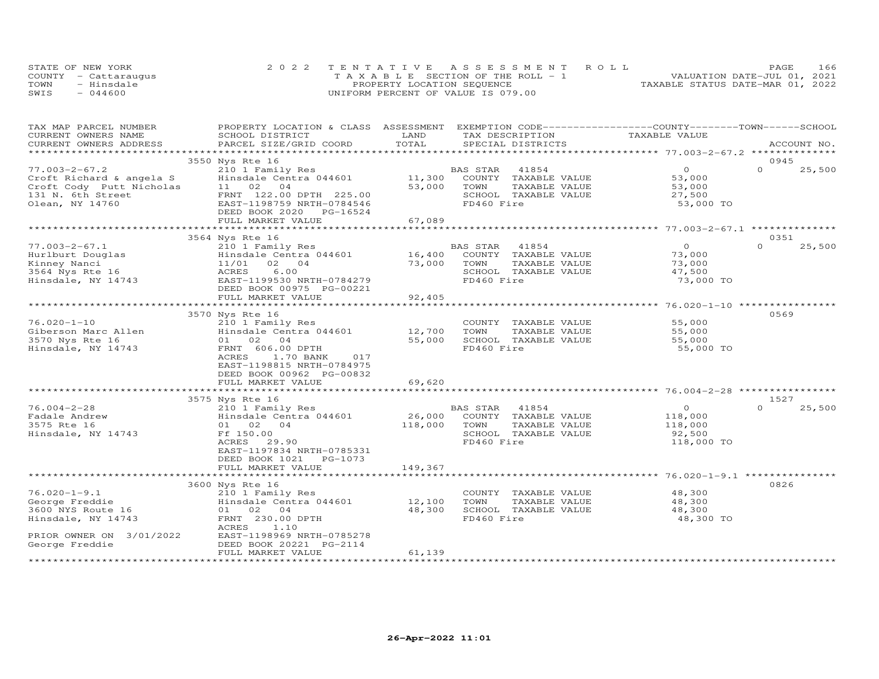|      | STATE OF NEW YORK    | 2022 TENTATIVE ASSESSMENT ROLL        | 166<br>PAGE                      |
|------|----------------------|---------------------------------------|----------------------------------|
|      | COUNTY - Cattaraugus | T A X A B L E SECTION OF THE ROLL - 1 | VALUATION DATE-JUL 01, 2021      |
| TOWN | - Hinsdale           | PROPERTY LOCATION SEQUENCE            | TAXABLE STATUS DATE-MAR 01, 2022 |
| SWIS | $-044600$            | UNIFORM PERCENT OF VALUE IS 079.00    |                                  |

| TOTAL<br>CURRENT OWNERS ADDRESS<br>PARCEL SIZE/GRID COORD<br>SPECIAL DISTRICTS<br>ACCOUNT NO.<br>3550 Nys Rte 16<br>0945<br>$\Omega$<br>$\Omega$<br>$77.003 - 2 - 67.2$<br>25,500<br>210 1 Family Res<br>BAS STAR<br>41854<br>11,300<br>Hinsdale Centra 044601<br>COUNTY TAXABLE VALUE<br>53,000<br>Croft Richard & angela S<br>53,000<br>Croft Cody Putt Nicholas<br>11 02<br>04<br>TOWN<br>TAXABLE VALUE<br>53,000<br>131 N. 6th Street<br>FRNT 122.00 DPTH 225.00<br>SCHOOL TAXABLE VALUE<br>27,500<br>Olean, NY 14760<br>EAST-1198759 NRTH-0784546<br>FD460 Fire<br>53,000 TO<br>DEED BOOK 2020<br>PG-16524<br>67,089<br>FULL MARKET VALUE<br>3564 Nys Rte 16<br>0351<br>$\overline{0}$<br>$\Omega$<br>$77.003 - 2 - 67.1$<br>25,500<br>210 1 Family Res<br>BAS STAR 41854<br>Hurlburt Douglas<br>Hinsdale Centra 044601<br>16,400<br>COUNTY TAXABLE VALUE<br>73,000<br>11/01 02 04<br>73,000<br>Kinney Nanci<br>TOWN<br>TAXABLE VALUE<br>73,000<br>6.00<br>SCHOOL TAXABLE VALUE<br>47,500<br>ACRES<br>FD460 Fire<br>73,000 TO<br>EAST-1199530 NRTH-0784279<br>DEED BOOK 00975 PG-00221<br>FULL MARKET VALUE<br>92,405<br>********************* 76.020-1-10 *****************<br>**************************<br>*************<br>0569<br>3570 Nys Rte 16<br>$76.020 - 1 - 10$<br>210 1 Family Res<br>55,000<br>COUNTY TAXABLE VALUE<br>Giberson Marc Allen<br>Hinsdale Centra 044601<br>12,700<br>TOWN<br>TAXABLE VALUE<br>55,000<br>3570 Nys Rte 16<br>01 02 04<br>55,000<br>SCHOOL TAXABLE VALUE<br>55,000<br>Hinsdale, NY 14743<br>FRNT 606.00 DPTH<br>FD460 Fire<br>55,000 TO<br>ACRES<br>1.70 BANK<br>017<br>EAST-1198815 NRTH-0784975<br>DEED BOOK 00962 PG-00832<br>FULL MARKET VALUE<br>69,620<br>3575 Nys Rte 16<br>1527<br>210 1 Family Res<br>$76.004 - 2 - 28$<br>41854<br>$\Omega$<br>25,500<br>BAS STAR<br>$\circ$<br>Hinsdale Centra 044601<br>26,000<br>COUNTY TAXABLE VALUE<br>Fadale Andrew<br>118,000<br>3575 Rte 16<br>118,000<br>01 02 04<br>TOWN<br>TAXABLE VALUE<br>118,000<br>Hinsdale, NY 14743<br>Ff 150.00<br>SCHOOL TAXABLE VALUE<br>92,500<br>FD460 Fire<br>118,000 TO<br>ACRES<br>29.90<br>EAST-1197834 NRTH-0785331<br>DEED BOOK 1021 PG-1073<br>149,367<br>FULL MARKET VALUE<br>0826<br>3600 Nys Rte 16<br>$76.020 - 1 - 9.1$<br>210 1 Family Res<br>COUNTY TAXABLE VALUE<br>48,300<br>George Freddie<br>Hinsdale Centra 044601<br>12,100<br>TOWN<br>TAXABLE VALUE<br>48,300<br>3600 NYS Route 16<br>48,300<br>SCHOOL TAXABLE VALUE<br>48,300<br>01 02 04<br>FD460 Fire<br>48,300 TO<br>Hinsdale, NY 14743<br>FRNT 230.00 DPTH<br>ACRES<br>1.10<br>EAST-1198969 NRTH-0785278<br>PRIOR OWNER ON 3/01/2022<br>George Freddie<br>DEED BOOK 20221 PG-2114<br>61,139<br>FULL MARKET VALUE | TAX MAP PARCEL NUMBER<br>CURRENT OWNERS NAME | PROPERTY LOCATION & CLASS ASSESSMENT EXEMPTION CODE----------------COUNTY-------TOWN------SCHOOL<br>SCHOOL DISTRICT | LAND | TAX DESCRIPTION | TAXABLE VALUE |  |
|-------------------------------------------------------------------------------------------------------------------------------------------------------------------------------------------------------------------------------------------------------------------------------------------------------------------------------------------------------------------------------------------------------------------------------------------------------------------------------------------------------------------------------------------------------------------------------------------------------------------------------------------------------------------------------------------------------------------------------------------------------------------------------------------------------------------------------------------------------------------------------------------------------------------------------------------------------------------------------------------------------------------------------------------------------------------------------------------------------------------------------------------------------------------------------------------------------------------------------------------------------------------------------------------------------------------------------------------------------------------------------------------------------------------------------------------------------------------------------------------------------------------------------------------------------------------------------------------------------------------------------------------------------------------------------------------------------------------------------------------------------------------------------------------------------------------------------------------------------------------------------------------------------------------------------------------------------------------------------------------------------------------------------------------------------------------------------------------------------------------------------------------------------------------------------------------------------------------------------------------------------------------------------------------------------------------------------------------------------------------------------------------------------------------------------------------------------------------------------------------------------------------------------------------------------------------------------------------------------------------------------------------------------------------------------------------------------------------------|----------------------------------------------|---------------------------------------------------------------------------------------------------------------------|------|-----------------|---------------|--|
|                                                                                                                                                                                                                                                                                                                                                                                                                                                                                                                                                                                                                                                                                                                                                                                                                                                                                                                                                                                                                                                                                                                                                                                                                                                                                                                                                                                                                                                                                                                                                                                                                                                                                                                                                                                                                                                                                                                                                                                                                                                                                                                                                                                                                                                                                                                                                                                                                                                                                                                                                                                                                                                                                                                         |                                              |                                                                                                                     |      |                 |               |  |
|                                                                                                                                                                                                                                                                                                                                                                                                                                                                                                                                                                                                                                                                                                                                                                                                                                                                                                                                                                                                                                                                                                                                                                                                                                                                                                                                                                                                                                                                                                                                                                                                                                                                                                                                                                                                                                                                                                                                                                                                                                                                                                                                                                                                                                                                                                                                                                                                                                                                                                                                                                                                                                                                                                                         |                                              |                                                                                                                     |      |                 |               |  |
|                                                                                                                                                                                                                                                                                                                                                                                                                                                                                                                                                                                                                                                                                                                                                                                                                                                                                                                                                                                                                                                                                                                                                                                                                                                                                                                                                                                                                                                                                                                                                                                                                                                                                                                                                                                                                                                                                                                                                                                                                                                                                                                                                                                                                                                                                                                                                                                                                                                                                                                                                                                                                                                                                                                         |                                              |                                                                                                                     |      |                 |               |  |
|                                                                                                                                                                                                                                                                                                                                                                                                                                                                                                                                                                                                                                                                                                                                                                                                                                                                                                                                                                                                                                                                                                                                                                                                                                                                                                                                                                                                                                                                                                                                                                                                                                                                                                                                                                                                                                                                                                                                                                                                                                                                                                                                                                                                                                                                                                                                                                                                                                                                                                                                                                                                                                                                                                                         |                                              |                                                                                                                     |      |                 |               |  |
|                                                                                                                                                                                                                                                                                                                                                                                                                                                                                                                                                                                                                                                                                                                                                                                                                                                                                                                                                                                                                                                                                                                                                                                                                                                                                                                                                                                                                                                                                                                                                                                                                                                                                                                                                                                                                                                                                                                                                                                                                                                                                                                                                                                                                                                                                                                                                                                                                                                                                                                                                                                                                                                                                                                         |                                              |                                                                                                                     |      |                 |               |  |
|                                                                                                                                                                                                                                                                                                                                                                                                                                                                                                                                                                                                                                                                                                                                                                                                                                                                                                                                                                                                                                                                                                                                                                                                                                                                                                                                                                                                                                                                                                                                                                                                                                                                                                                                                                                                                                                                                                                                                                                                                                                                                                                                                                                                                                                                                                                                                                                                                                                                                                                                                                                                                                                                                                                         |                                              |                                                                                                                     |      |                 |               |  |
|                                                                                                                                                                                                                                                                                                                                                                                                                                                                                                                                                                                                                                                                                                                                                                                                                                                                                                                                                                                                                                                                                                                                                                                                                                                                                                                                                                                                                                                                                                                                                                                                                                                                                                                                                                                                                                                                                                                                                                                                                                                                                                                                                                                                                                                                                                                                                                                                                                                                                                                                                                                                                                                                                                                         |                                              |                                                                                                                     |      |                 |               |  |
|                                                                                                                                                                                                                                                                                                                                                                                                                                                                                                                                                                                                                                                                                                                                                                                                                                                                                                                                                                                                                                                                                                                                                                                                                                                                                                                                                                                                                                                                                                                                                                                                                                                                                                                                                                                                                                                                                                                                                                                                                                                                                                                                                                                                                                                                                                                                                                                                                                                                                                                                                                                                                                                                                                                         |                                              |                                                                                                                     |      |                 |               |  |
|                                                                                                                                                                                                                                                                                                                                                                                                                                                                                                                                                                                                                                                                                                                                                                                                                                                                                                                                                                                                                                                                                                                                                                                                                                                                                                                                                                                                                                                                                                                                                                                                                                                                                                                                                                                                                                                                                                                                                                                                                                                                                                                                                                                                                                                                                                                                                                                                                                                                                                                                                                                                                                                                                                                         |                                              |                                                                                                                     |      |                 |               |  |
|                                                                                                                                                                                                                                                                                                                                                                                                                                                                                                                                                                                                                                                                                                                                                                                                                                                                                                                                                                                                                                                                                                                                                                                                                                                                                                                                                                                                                                                                                                                                                                                                                                                                                                                                                                                                                                                                                                                                                                                                                                                                                                                                                                                                                                                                                                                                                                                                                                                                                                                                                                                                                                                                                                                         |                                              |                                                                                                                     |      |                 |               |  |
|                                                                                                                                                                                                                                                                                                                                                                                                                                                                                                                                                                                                                                                                                                                                                                                                                                                                                                                                                                                                                                                                                                                                                                                                                                                                                                                                                                                                                                                                                                                                                                                                                                                                                                                                                                                                                                                                                                                                                                                                                                                                                                                                                                                                                                                                                                                                                                                                                                                                                                                                                                                                                                                                                                                         |                                              |                                                                                                                     |      |                 |               |  |
|                                                                                                                                                                                                                                                                                                                                                                                                                                                                                                                                                                                                                                                                                                                                                                                                                                                                                                                                                                                                                                                                                                                                                                                                                                                                                                                                                                                                                                                                                                                                                                                                                                                                                                                                                                                                                                                                                                                                                                                                                                                                                                                                                                                                                                                                                                                                                                                                                                                                                                                                                                                                                                                                                                                         |                                              |                                                                                                                     |      |                 |               |  |
|                                                                                                                                                                                                                                                                                                                                                                                                                                                                                                                                                                                                                                                                                                                                                                                                                                                                                                                                                                                                                                                                                                                                                                                                                                                                                                                                                                                                                                                                                                                                                                                                                                                                                                                                                                                                                                                                                                                                                                                                                                                                                                                                                                                                                                                                                                                                                                                                                                                                                                                                                                                                                                                                                                                         |                                              |                                                                                                                     |      |                 |               |  |
|                                                                                                                                                                                                                                                                                                                                                                                                                                                                                                                                                                                                                                                                                                                                                                                                                                                                                                                                                                                                                                                                                                                                                                                                                                                                                                                                                                                                                                                                                                                                                                                                                                                                                                                                                                                                                                                                                                                                                                                                                                                                                                                                                                                                                                                                                                                                                                                                                                                                                                                                                                                                                                                                                                                         |                                              |                                                                                                                     |      |                 |               |  |
|                                                                                                                                                                                                                                                                                                                                                                                                                                                                                                                                                                                                                                                                                                                                                                                                                                                                                                                                                                                                                                                                                                                                                                                                                                                                                                                                                                                                                                                                                                                                                                                                                                                                                                                                                                                                                                                                                                                                                                                                                                                                                                                                                                                                                                                                                                                                                                                                                                                                                                                                                                                                                                                                                                                         |                                              |                                                                                                                     |      |                 |               |  |
|                                                                                                                                                                                                                                                                                                                                                                                                                                                                                                                                                                                                                                                                                                                                                                                                                                                                                                                                                                                                                                                                                                                                                                                                                                                                                                                                                                                                                                                                                                                                                                                                                                                                                                                                                                                                                                                                                                                                                                                                                                                                                                                                                                                                                                                                                                                                                                                                                                                                                                                                                                                                                                                                                                                         | 3564 Nys Rte 16                              |                                                                                                                     |      |                 |               |  |
|                                                                                                                                                                                                                                                                                                                                                                                                                                                                                                                                                                                                                                                                                                                                                                                                                                                                                                                                                                                                                                                                                                                                                                                                                                                                                                                                                                                                                                                                                                                                                                                                                                                                                                                                                                                                                                                                                                                                                                                                                                                                                                                                                                                                                                                                                                                                                                                                                                                                                                                                                                                                                                                                                                                         | Hinsdale, NY 14743                           |                                                                                                                     |      |                 |               |  |
|                                                                                                                                                                                                                                                                                                                                                                                                                                                                                                                                                                                                                                                                                                                                                                                                                                                                                                                                                                                                                                                                                                                                                                                                                                                                                                                                                                                                                                                                                                                                                                                                                                                                                                                                                                                                                                                                                                                                                                                                                                                                                                                                                                                                                                                                                                                                                                                                                                                                                                                                                                                                                                                                                                                         |                                              |                                                                                                                     |      |                 |               |  |
|                                                                                                                                                                                                                                                                                                                                                                                                                                                                                                                                                                                                                                                                                                                                                                                                                                                                                                                                                                                                                                                                                                                                                                                                                                                                                                                                                                                                                                                                                                                                                                                                                                                                                                                                                                                                                                                                                                                                                                                                                                                                                                                                                                                                                                                                                                                                                                                                                                                                                                                                                                                                                                                                                                                         |                                              |                                                                                                                     |      |                 |               |  |
|                                                                                                                                                                                                                                                                                                                                                                                                                                                                                                                                                                                                                                                                                                                                                                                                                                                                                                                                                                                                                                                                                                                                                                                                                                                                                                                                                                                                                                                                                                                                                                                                                                                                                                                                                                                                                                                                                                                                                                                                                                                                                                                                                                                                                                                                                                                                                                                                                                                                                                                                                                                                                                                                                                                         |                                              |                                                                                                                     |      |                 |               |  |
|                                                                                                                                                                                                                                                                                                                                                                                                                                                                                                                                                                                                                                                                                                                                                                                                                                                                                                                                                                                                                                                                                                                                                                                                                                                                                                                                                                                                                                                                                                                                                                                                                                                                                                                                                                                                                                                                                                                                                                                                                                                                                                                                                                                                                                                                                                                                                                                                                                                                                                                                                                                                                                                                                                                         |                                              |                                                                                                                     |      |                 |               |  |
|                                                                                                                                                                                                                                                                                                                                                                                                                                                                                                                                                                                                                                                                                                                                                                                                                                                                                                                                                                                                                                                                                                                                                                                                                                                                                                                                                                                                                                                                                                                                                                                                                                                                                                                                                                                                                                                                                                                                                                                                                                                                                                                                                                                                                                                                                                                                                                                                                                                                                                                                                                                                                                                                                                                         |                                              |                                                                                                                     |      |                 |               |  |
|                                                                                                                                                                                                                                                                                                                                                                                                                                                                                                                                                                                                                                                                                                                                                                                                                                                                                                                                                                                                                                                                                                                                                                                                                                                                                                                                                                                                                                                                                                                                                                                                                                                                                                                                                                                                                                                                                                                                                                                                                                                                                                                                                                                                                                                                                                                                                                                                                                                                                                                                                                                                                                                                                                                         |                                              |                                                                                                                     |      |                 |               |  |
|                                                                                                                                                                                                                                                                                                                                                                                                                                                                                                                                                                                                                                                                                                                                                                                                                                                                                                                                                                                                                                                                                                                                                                                                                                                                                                                                                                                                                                                                                                                                                                                                                                                                                                                                                                                                                                                                                                                                                                                                                                                                                                                                                                                                                                                                                                                                                                                                                                                                                                                                                                                                                                                                                                                         |                                              |                                                                                                                     |      |                 |               |  |
|                                                                                                                                                                                                                                                                                                                                                                                                                                                                                                                                                                                                                                                                                                                                                                                                                                                                                                                                                                                                                                                                                                                                                                                                                                                                                                                                                                                                                                                                                                                                                                                                                                                                                                                                                                                                                                                                                                                                                                                                                                                                                                                                                                                                                                                                                                                                                                                                                                                                                                                                                                                                                                                                                                                         |                                              |                                                                                                                     |      |                 |               |  |
|                                                                                                                                                                                                                                                                                                                                                                                                                                                                                                                                                                                                                                                                                                                                                                                                                                                                                                                                                                                                                                                                                                                                                                                                                                                                                                                                                                                                                                                                                                                                                                                                                                                                                                                                                                                                                                                                                                                                                                                                                                                                                                                                                                                                                                                                                                                                                                                                                                                                                                                                                                                                                                                                                                                         |                                              |                                                                                                                     |      |                 |               |  |
|                                                                                                                                                                                                                                                                                                                                                                                                                                                                                                                                                                                                                                                                                                                                                                                                                                                                                                                                                                                                                                                                                                                                                                                                                                                                                                                                                                                                                                                                                                                                                                                                                                                                                                                                                                                                                                                                                                                                                                                                                                                                                                                                                                                                                                                                                                                                                                                                                                                                                                                                                                                                                                                                                                                         |                                              |                                                                                                                     |      |                 |               |  |
|                                                                                                                                                                                                                                                                                                                                                                                                                                                                                                                                                                                                                                                                                                                                                                                                                                                                                                                                                                                                                                                                                                                                                                                                                                                                                                                                                                                                                                                                                                                                                                                                                                                                                                                                                                                                                                                                                                                                                                                                                                                                                                                                                                                                                                                                                                                                                                                                                                                                                                                                                                                                                                                                                                                         |                                              |                                                                                                                     |      |                 |               |  |
|                                                                                                                                                                                                                                                                                                                                                                                                                                                                                                                                                                                                                                                                                                                                                                                                                                                                                                                                                                                                                                                                                                                                                                                                                                                                                                                                                                                                                                                                                                                                                                                                                                                                                                                                                                                                                                                                                                                                                                                                                                                                                                                                                                                                                                                                                                                                                                                                                                                                                                                                                                                                                                                                                                                         |                                              |                                                                                                                     |      |                 |               |  |
|                                                                                                                                                                                                                                                                                                                                                                                                                                                                                                                                                                                                                                                                                                                                                                                                                                                                                                                                                                                                                                                                                                                                                                                                                                                                                                                                                                                                                                                                                                                                                                                                                                                                                                                                                                                                                                                                                                                                                                                                                                                                                                                                                                                                                                                                                                                                                                                                                                                                                                                                                                                                                                                                                                                         |                                              |                                                                                                                     |      |                 |               |  |
|                                                                                                                                                                                                                                                                                                                                                                                                                                                                                                                                                                                                                                                                                                                                                                                                                                                                                                                                                                                                                                                                                                                                                                                                                                                                                                                                                                                                                                                                                                                                                                                                                                                                                                                                                                                                                                                                                                                                                                                                                                                                                                                                                                                                                                                                                                                                                                                                                                                                                                                                                                                                                                                                                                                         |                                              |                                                                                                                     |      |                 |               |  |
|                                                                                                                                                                                                                                                                                                                                                                                                                                                                                                                                                                                                                                                                                                                                                                                                                                                                                                                                                                                                                                                                                                                                                                                                                                                                                                                                                                                                                                                                                                                                                                                                                                                                                                                                                                                                                                                                                                                                                                                                                                                                                                                                                                                                                                                                                                                                                                                                                                                                                                                                                                                                                                                                                                                         |                                              |                                                                                                                     |      |                 |               |  |
|                                                                                                                                                                                                                                                                                                                                                                                                                                                                                                                                                                                                                                                                                                                                                                                                                                                                                                                                                                                                                                                                                                                                                                                                                                                                                                                                                                                                                                                                                                                                                                                                                                                                                                                                                                                                                                                                                                                                                                                                                                                                                                                                                                                                                                                                                                                                                                                                                                                                                                                                                                                                                                                                                                                         |                                              |                                                                                                                     |      |                 |               |  |
|                                                                                                                                                                                                                                                                                                                                                                                                                                                                                                                                                                                                                                                                                                                                                                                                                                                                                                                                                                                                                                                                                                                                                                                                                                                                                                                                                                                                                                                                                                                                                                                                                                                                                                                                                                                                                                                                                                                                                                                                                                                                                                                                                                                                                                                                                                                                                                                                                                                                                                                                                                                                                                                                                                                         |                                              |                                                                                                                     |      |                 |               |  |
|                                                                                                                                                                                                                                                                                                                                                                                                                                                                                                                                                                                                                                                                                                                                                                                                                                                                                                                                                                                                                                                                                                                                                                                                                                                                                                                                                                                                                                                                                                                                                                                                                                                                                                                                                                                                                                                                                                                                                                                                                                                                                                                                                                                                                                                                                                                                                                                                                                                                                                                                                                                                                                                                                                                         |                                              |                                                                                                                     |      |                 |               |  |
|                                                                                                                                                                                                                                                                                                                                                                                                                                                                                                                                                                                                                                                                                                                                                                                                                                                                                                                                                                                                                                                                                                                                                                                                                                                                                                                                                                                                                                                                                                                                                                                                                                                                                                                                                                                                                                                                                                                                                                                                                                                                                                                                                                                                                                                                                                                                                                                                                                                                                                                                                                                                                                                                                                                         |                                              |                                                                                                                     |      |                 |               |  |
|                                                                                                                                                                                                                                                                                                                                                                                                                                                                                                                                                                                                                                                                                                                                                                                                                                                                                                                                                                                                                                                                                                                                                                                                                                                                                                                                                                                                                                                                                                                                                                                                                                                                                                                                                                                                                                                                                                                                                                                                                                                                                                                                                                                                                                                                                                                                                                                                                                                                                                                                                                                                                                                                                                                         |                                              |                                                                                                                     |      |                 |               |  |
|                                                                                                                                                                                                                                                                                                                                                                                                                                                                                                                                                                                                                                                                                                                                                                                                                                                                                                                                                                                                                                                                                                                                                                                                                                                                                                                                                                                                                                                                                                                                                                                                                                                                                                                                                                                                                                                                                                                                                                                                                                                                                                                                                                                                                                                                                                                                                                                                                                                                                                                                                                                                                                                                                                                         |                                              |                                                                                                                     |      |                 |               |  |
|                                                                                                                                                                                                                                                                                                                                                                                                                                                                                                                                                                                                                                                                                                                                                                                                                                                                                                                                                                                                                                                                                                                                                                                                                                                                                                                                                                                                                                                                                                                                                                                                                                                                                                                                                                                                                                                                                                                                                                                                                                                                                                                                                                                                                                                                                                                                                                                                                                                                                                                                                                                                                                                                                                                         |                                              |                                                                                                                     |      |                 |               |  |
|                                                                                                                                                                                                                                                                                                                                                                                                                                                                                                                                                                                                                                                                                                                                                                                                                                                                                                                                                                                                                                                                                                                                                                                                                                                                                                                                                                                                                                                                                                                                                                                                                                                                                                                                                                                                                                                                                                                                                                                                                                                                                                                                                                                                                                                                                                                                                                                                                                                                                                                                                                                                                                                                                                                         |                                              |                                                                                                                     |      |                 |               |  |
|                                                                                                                                                                                                                                                                                                                                                                                                                                                                                                                                                                                                                                                                                                                                                                                                                                                                                                                                                                                                                                                                                                                                                                                                                                                                                                                                                                                                                                                                                                                                                                                                                                                                                                                                                                                                                                                                                                                                                                                                                                                                                                                                                                                                                                                                                                                                                                                                                                                                                                                                                                                                                                                                                                                         |                                              |                                                                                                                     |      |                 |               |  |
|                                                                                                                                                                                                                                                                                                                                                                                                                                                                                                                                                                                                                                                                                                                                                                                                                                                                                                                                                                                                                                                                                                                                                                                                                                                                                                                                                                                                                                                                                                                                                                                                                                                                                                                                                                                                                                                                                                                                                                                                                                                                                                                                                                                                                                                                                                                                                                                                                                                                                                                                                                                                                                                                                                                         |                                              |                                                                                                                     |      |                 |               |  |
|                                                                                                                                                                                                                                                                                                                                                                                                                                                                                                                                                                                                                                                                                                                                                                                                                                                                                                                                                                                                                                                                                                                                                                                                                                                                                                                                                                                                                                                                                                                                                                                                                                                                                                                                                                                                                                                                                                                                                                                                                                                                                                                                                                                                                                                                                                                                                                                                                                                                                                                                                                                                                                                                                                                         |                                              |                                                                                                                     |      |                 |               |  |
|                                                                                                                                                                                                                                                                                                                                                                                                                                                                                                                                                                                                                                                                                                                                                                                                                                                                                                                                                                                                                                                                                                                                                                                                                                                                                                                                                                                                                                                                                                                                                                                                                                                                                                                                                                                                                                                                                                                                                                                                                                                                                                                                                                                                                                                                                                                                                                                                                                                                                                                                                                                                                                                                                                                         |                                              |                                                                                                                     |      |                 |               |  |
|                                                                                                                                                                                                                                                                                                                                                                                                                                                                                                                                                                                                                                                                                                                                                                                                                                                                                                                                                                                                                                                                                                                                                                                                                                                                                                                                                                                                                                                                                                                                                                                                                                                                                                                                                                                                                                                                                                                                                                                                                                                                                                                                                                                                                                                                                                                                                                                                                                                                                                                                                                                                                                                                                                                         |                                              |                                                                                                                     |      |                 |               |  |
|                                                                                                                                                                                                                                                                                                                                                                                                                                                                                                                                                                                                                                                                                                                                                                                                                                                                                                                                                                                                                                                                                                                                                                                                                                                                                                                                                                                                                                                                                                                                                                                                                                                                                                                                                                                                                                                                                                                                                                                                                                                                                                                                                                                                                                                                                                                                                                                                                                                                                                                                                                                                                                                                                                                         |                                              |                                                                                                                     |      |                 |               |  |
|                                                                                                                                                                                                                                                                                                                                                                                                                                                                                                                                                                                                                                                                                                                                                                                                                                                                                                                                                                                                                                                                                                                                                                                                                                                                                                                                                                                                                                                                                                                                                                                                                                                                                                                                                                                                                                                                                                                                                                                                                                                                                                                                                                                                                                                                                                                                                                                                                                                                                                                                                                                                                                                                                                                         |                                              |                                                                                                                     |      |                 |               |  |
|                                                                                                                                                                                                                                                                                                                                                                                                                                                                                                                                                                                                                                                                                                                                                                                                                                                                                                                                                                                                                                                                                                                                                                                                                                                                                                                                                                                                                                                                                                                                                                                                                                                                                                                                                                                                                                                                                                                                                                                                                                                                                                                                                                                                                                                                                                                                                                                                                                                                                                                                                                                                                                                                                                                         |                                              |                                                                                                                     |      |                 |               |  |
|                                                                                                                                                                                                                                                                                                                                                                                                                                                                                                                                                                                                                                                                                                                                                                                                                                                                                                                                                                                                                                                                                                                                                                                                                                                                                                                                                                                                                                                                                                                                                                                                                                                                                                                                                                                                                                                                                                                                                                                                                                                                                                                                                                                                                                                                                                                                                                                                                                                                                                                                                                                                                                                                                                                         | ***********************                      |                                                                                                                     |      |                 |               |  |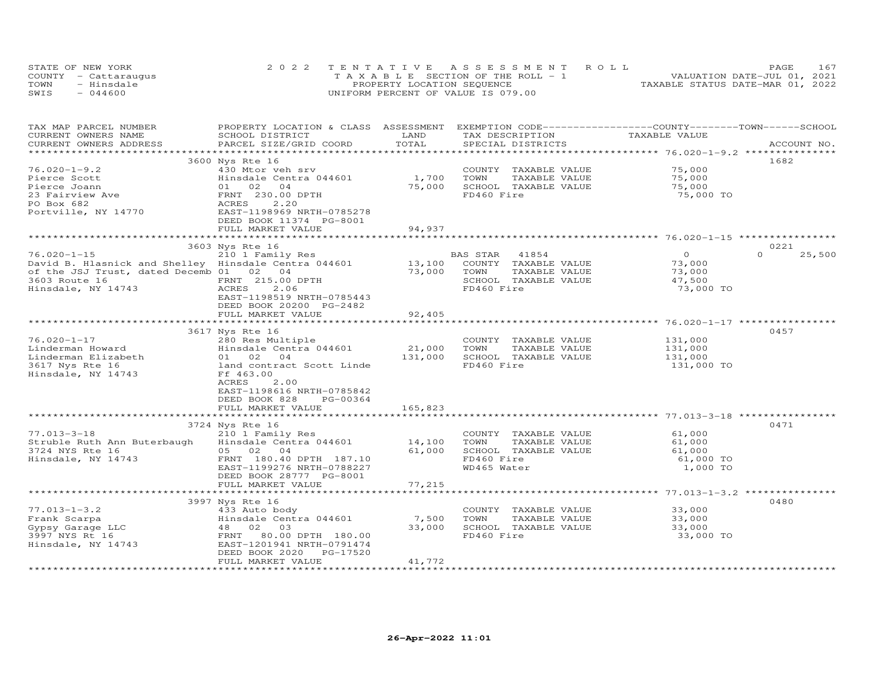|      | STATE OF NEW YORK    | 2022 TENTATIVE ASSESSMENT ROLL        | PAGE.                            |
|------|----------------------|---------------------------------------|----------------------------------|
|      | COUNTY - Cattaraugus | T A X A B L E SECTION OF THE ROLL - 1 | VALUATION DATE-JUL 01, 2021      |
| TOWN | - Hinsdale           | PROPERTY LOCATION SEQUENCE            | TAXABLE STATUS DATE-MAR 01, 2022 |
| SWIS | $-044600$            | UNIFORM PERCENT OF VALUE IS 079.00    |                                  |

| TAX MAP PARCEL NUMBER<br>CURRENT OWNERS NAME         | PROPERTY LOCATION & CLASS ASSESSMENT EXEMPTION CODE----------------COUNTY-------TOWN------SCHOOL<br>SCHOOL DISTRICT | LAND                      | TAX DESCRIPTION                               | TAXABLE VALUE                           |                    |
|------------------------------------------------------|---------------------------------------------------------------------------------------------------------------------|---------------------------|-----------------------------------------------|-----------------------------------------|--------------------|
| CURRENT OWNERS ADDRESS<br>**********************     | PARCEL SIZE/GRID COORD                                                                                              | TOTAL                     | SPECIAL DISTRICTS                             |                                         | ACCOUNT NO.        |
|                                                      | 3600 Nys Rte 16                                                                                                     |                           |                                               |                                         | 1682               |
| $76.020 - 1 - 9.2$                                   | 430 Mtor veh srv                                                                                                    |                           | COUNTY TAXABLE VALUE                          | 75,000                                  |                    |
| Pierce Scott                                         | Hinsdale Centra 044601                                                                                              | 1,700                     | TOWN<br>TAXABLE VALUE                         | 75,000                                  |                    |
| Pierce Joann                                         | 01 02<br>04                                                                                                         | 75,000                    | SCHOOL TAXABLE VALUE                          | 75,000                                  |                    |
| 23 Fairview Ave                                      | FRNT 230.00 DPTH                                                                                                    |                           | FD460 Fire                                    | 75,000 TO                               |                    |
| PO Box 682                                           | ACRES<br>2.20                                                                                                       |                           |                                               |                                         |                    |
| Portville, NY 14770                                  | EAST-1198969 NRTH-0785278                                                                                           |                           |                                               |                                         |                    |
|                                                      | DEED BOOK 11374 PG-8001                                                                                             |                           |                                               |                                         |                    |
|                                                      | FULL MARKET VALUE                                                                                                   | 94,937                    |                                               |                                         |                    |
|                                                      | **************************                                                                                          | * * * * * * * * * * * * * |                                               |                                         |                    |
|                                                      | 3603 Nys Rte 16                                                                                                     |                           |                                               |                                         | 0221               |
| $76.020 - 1 - 15$                                    | 210 1 Family Res                                                                                                    |                           | BAS STAR<br>41854                             | $\overline{O}$                          | $\Omega$<br>25,500 |
| David B. Hlasnick and Shelley Hinsdale Centra 044601 |                                                                                                                     | 13,100                    | COUNTY TAXABLE VALUE                          | 73,000                                  |                    |
| of the JSJ Trust, dated Decemb 01 02 04              |                                                                                                                     | 73,000                    | TOWN<br>TAXABLE VALUE                         | 73,000                                  |                    |
| 3603 Route 16                                        | FRNT 215.00 DPTH                                                                                                    |                           | SCHOOL TAXABLE VALUE                          | 47,500                                  |                    |
| Hinsdale, NY 14743                                   | 2.06<br>ACRES                                                                                                       |                           | FD460 Fire                                    | 73,000 TO                               |                    |
|                                                      | EAST-1198519 NRTH-0785443                                                                                           |                           |                                               |                                         |                    |
|                                                      | DEED BOOK 20200 PG-2482                                                                                             |                           |                                               |                                         |                    |
|                                                      | FULL MARKET VALUE                                                                                                   | 92,405                    |                                               |                                         |                    |
|                                                      |                                                                                                                     |                           |                                               |                                         |                    |
|                                                      | 3617 Nys Rte 16                                                                                                     |                           |                                               |                                         | 0457               |
| $76.020 - 1 - 17$                                    | 280 Res Multiple                                                                                                    |                           | COUNTY TAXABLE VALUE                          | 131,000                                 |                    |
| Linderman Howard                                     | Hinsdale Centra 044601                                                                                              | 21,000                    | TOWN<br>TAXABLE VALUE                         | 131,000                                 |                    |
| Linderman Elizabeth                                  | 01 02 04                                                                                                            | 131,000                   | SCHOOL TAXABLE VALUE                          | 131,000                                 |                    |
| 3617 Nys Rte 16                                      | land contract Scott Linde                                                                                           |                           | FD460 Fire                                    | 131,000 TO                              |                    |
| Hinsdale, NY 14743                                   | Ff 463.00                                                                                                           |                           |                                               |                                         |                    |
|                                                      | ACRES<br>2.00                                                                                                       |                           |                                               |                                         |                    |
|                                                      | EAST-1198616 NRTH-0785842                                                                                           |                           |                                               |                                         |                    |
|                                                      | DEED BOOK 828<br>PG-00364                                                                                           |                           |                                               |                                         |                    |
|                                                      | FULL MARKET VALUE                                                                                                   | 165,823                   |                                               |                                         |                    |
|                                                      |                                                                                                                     |                           |                                               |                                         | 0471               |
|                                                      | 3724 Nys Rte 16                                                                                                     |                           |                                               |                                         |                    |
| $77.013 - 3 - 18$<br>Struble Ruth Ann Buterbaugh     | 210 1 Family Res<br>Hinsdale Centra 044601                                                                          | 14,100                    | COUNTY TAXABLE VALUE<br>TOWN<br>TAXABLE VALUE | 61,000<br>61,000                        |                    |
| 3724 NYS Rte 16                                      | 05 02 04                                                                                                            | 61,000                    | SCHOOL TAXABLE VALUE                          | 61,000                                  |                    |
| Hinsdale, NY 14743                                   | FRNT 180.40 DPTH 187.10                                                                                             |                           | FD460 Fire                                    | 61,000 TO                               |                    |
|                                                      | EAST-1199276 NRTH-0788227                                                                                           |                           | WD465 Water                                   | 1,000 TO                                |                    |
|                                                      | DEED BOOK 28777 PG-8001                                                                                             |                           |                                               |                                         |                    |
|                                                      | FULL MARKET VALUE                                                                                                   | 77,215                    |                                               |                                         |                    |
|                                                      |                                                                                                                     |                           |                                               | *********************** 77.013-1-3.2 ** |                    |
|                                                      | 3997 Nys Rte 16                                                                                                     |                           |                                               |                                         | 0480               |
| $77.013 - 1 - 3.2$                                   | 433 Auto body                                                                                                       |                           | COUNTY TAXABLE VALUE                          | 33,000                                  |                    |
| Frank Scarpa                                         | Hinsdale Centra 044601                                                                                              | 7,500                     | TAXABLE VALUE<br>TOWN                         | 33,000                                  |                    |
| Gypsy Garage LLC                                     | 03<br>48 02                                                                                                         | 33,000                    | SCHOOL TAXABLE VALUE                          | 33,000                                  |                    |
| 3997 NYS Rt 16                                       | FRNT 80.00 DPTH 180.00                                                                                              |                           | FD460 Fire                                    | 33,000 TO                               |                    |
| Hinsdale, NY 14743                                   | EAST-1201941 NRTH-0791474                                                                                           |                           |                                               |                                         |                    |
|                                                      | DEED BOOK 2020<br>PG-17520                                                                                          |                           |                                               |                                         |                    |
|                                                      | FULL MARKET VALUE                                                                                                   | 41,772                    |                                               |                                         |                    |
|                                                      |                                                                                                                     |                           |                                               |                                         |                    |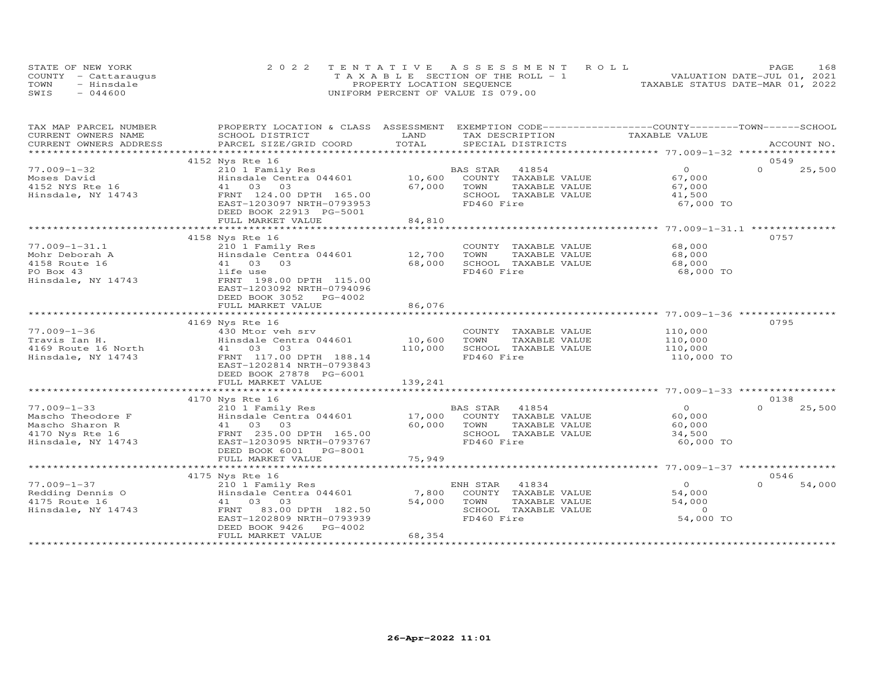| STATE OF NEW YORK    | 2022 TENTATIVE ASSESSMENT ROLL        | PAGE                             | 168 |
|----------------------|---------------------------------------|----------------------------------|-----|
| COUNTY - Cattaraugus | T A X A B L E SECTION OF THE ROLL - 1 | VALUATION DATE-JUL 01, 2021      |     |
| TOWN<br>- Hinsdale   | PROPERTY LOCATION SEQUENCE            | TAXABLE STATUS DATE-MAR 01, 2022 |     |
| SWIS<br>$-044600$    | UNIFORM PERCENT OF VALUE IS 079.00    |                                  |     |

| TAX MAP PARCEL NUMBER<br>CURRENT OWNERS NAME | PROPERTY LOCATION & CLASS ASSESSMENT<br>SCHOOL DISTRICT | LAND                            | EXEMPTION CODE-----------------COUNTY-------TOWN------SCHOOL<br>TAX DESCRIPTION | TAXABLE VALUE                                               |          |             |
|----------------------------------------------|---------------------------------------------------------|---------------------------------|---------------------------------------------------------------------------------|-------------------------------------------------------------|----------|-------------|
| CURRENT OWNERS ADDRESS                       | PARCEL SIZE/GRID COORD                                  | TOTAL                           | SPECIAL DISTRICTS                                                               |                                                             |          | ACCOUNT NO. |
|                                              |                                                         | ******************************* |                                                                                 | *****************************77.009-1-32 ****************** |          |             |
|                                              | 4152 Nys Rte 16                                         |                                 |                                                                                 |                                                             | 0549     |             |
| $77.009 - 1 - 32$                            | 210 1 Family Res                                        |                                 | BAS STAR<br>41854                                                               | $\overline{O}$                                              | $\Omega$ | 25,500      |
| Moses David                                  | Hinsdale Centra 044601                                  | 10,600                          | COUNTY TAXABLE VALUE                                                            | 67,000                                                      |          |             |
| 4152 NYS Rte 16                              | 41 03 03                                                | 67,000                          | TOWN<br>TAXABLE VALUE                                                           | 67,000                                                      |          |             |
| Hinsdale, NY 14743                           | FRNT 124.00 DPTH 165.00                                 |                                 | SCHOOL TAXABLE VALUE                                                            | 41,500                                                      |          |             |
|                                              | EAST-1203097 NRTH-0793953                               |                                 | FD460 Fire                                                                      | 67,000 TO                                                   |          |             |
|                                              | DEED BOOK 22913 PG-5001                                 |                                 |                                                                                 |                                                             |          |             |
|                                              | FULL MARKET VALUE<br>************************           | 84,810<br>**************        |                                                                                 |                                                             |          |             |
|                                              |                                                         |                                 |                                                                                 |                                                             |          |             |
|                                              | 4158 Nys Rte 16                                         |                                 |                                                                                 |                                                             | 0757     |             |
| $77.009 - 1 - 31.1$                          | 210 1 Family Res                                        |                                 | COUNTY TAXABLE VALUE                                                            | 68,000                                                      |          |             |
| Mohr Deborah A                               | Hinsdale Centra 044601                                  | 12,700                          | TOWN<br>TAXABLE VALUE                                                           | 68,000                                                      |          |             |
| 4158 Route 16                                | 41 03 03                                                | 68,000                          | SCHOOL TAXABLE VALUE                                                            | 68,000                                                      |          |             |
| PO Box 43                                    | life use                                                |                                 | FD460 Fire                                                                      | 68,000 TO                                                   |          |             |
| Hinsdale, NY 14743                           | FRNT 198.00 DPTH 115.00                                 |                                 |                                                                                 |                                                             |          |             |
|                                              | EAST-1203092 NRTH-0794096                               |                                 |                                                                                 |                                                             |          |             |
|                                              | DEED BOOK 3052 PG-4002                                  |                                 |                                                                                 |                                                             |          |             |
|                                              | FULL MARKET VALUE                                       | 86.076                          |                                                                                 |                                                             |          |             |
|                                              |                                                         |                                 |                                                                                 |                                                             |          |             |
|                                              | 4169 Nys Rte 16                                         |                                 |                                                                                 |                                                             | 0795     |             |
| $77.009 - 1 - 36$                            | 430 Mtor veh srv                                        |                                 | COUNTY TAXABLE VALUE                                                            | 110,000                                                     |          |             |
| Travis Ian H.                                | Hinsdale Centra 044601                                  | 10,600                          | TOWN<br>TAXABLE VALUE                                                           | 110,000                                                     |          |             |
| 4169 Route 16 North                          | 41 03 03                                                | 110,000                         | SCHOOL TAXABLE VALUE                                                            | 110,000                                                     |          |             |
| Hinsdale, NY 14743                           | FRNT 117.00 DPTH 188.14                                 |                                 | FD460 Fire                                                                      | 110,000 TO                                                  |          |             |
|                                              | EAST-1202814 NRTH-0793843                               |                                 |                                                                                 |                                                             |          |             |
|                                              | DEED BOOK 27878 PG-6001                                 |                                 |                                                                                 |                                                             |          |             |
|                                              | FULL MARKET VALUE                                       | 139,241                         |                                                                                 |                                                             |          |             |
|                                              | *******************************                         | *************                   |                                                                                 |                                                             |          |             |
|                                              | 4170 Nys Rte 16                                         |                                 |                                                                                 |                                                             | 0138     |             |
| $77.009 - 1 - 33$                            | 210 1 Family Res                                        | BA<br>17,000                    | <b>BAS STAR</b><br>41854                                                        | $\overline{O}$                                              | $\Omega$ | 25,500      |
| Mascho Theodore F                            | Hinsdale Centra 044601                                  |                                 | COUNTY TAXABLE VALUE                                                            | 60,000                                                      |          |             |
| Mascho Sharon R                              | 41 03 03                                                | 60,000                          | TOWN<br>TAXABLE VALUE                                                           | 60,000                                                      |          |             |
| 4170 Nys Rte 16                              | FRNT 235.00 DPTH 165.00                                 |                                 | SCHOOL TAXABLE VALUE                                                            | 34,500                                                      |          |             |
| Hinsdale, NY 14743                           | EAST-1203095 NRTH-0793767                               |                                 | FD460 Fire                                                                      | 60,000 TO                                                   |          |             |
|                                              | DEED BOOK 6001 PG-8001                                  |                                 |                                                                                 |                                                             |          |             |
|                                              | FULL MARKET VALUE                                       | 75,949                          |                                                                                 |                                                             |          |             |
|                                              |                                                         |                                 |                                                                                 |                                                             |          |             |
|                                              | 4175 Nys Rte 16                                         |                                 |                                                                                 |                                                             | 0546     |             |
| $77.009 - 1 - 37$                            | 210 1 Family Res                                        |                                 | ENH STAR 41834                                                                  | $\overline{O}$                                              | $\Omega$ | 54,000      |
| Redding Dennis O                             | Hinsdale Centra 044601                                  | 7,800                           | COUNTY TAXABLE VALUE                                                            | 54,000                                                      |          |             |
| 4175 Route 16                                | 41 03 03                                                | 54,000                          | TOWN<br>TAXABLE VALUE                                                           | 54,000                                                      |          |             |
| Hinsdale, NY 14743                           | FRNT<br>83.00 DPTH 182.50                               |                                 | SCHOOL TAXABLE VALUE                                                            | $\overline{0}$                                              |          |             |
|                                              | EAST-1202809 NRTH-0793939                               |                                 | FD460 Fire                                                                      | 54,000 TO                                                   |          |             |
|                                              | DEED BOOK 9426<br>PG-4002                               |                                 |                                                                                 |                                                             |          |             |
|                                              | FULL MARKET VALUE                                       | 68,354                          |                                                                                 |                                                             |          |             |
|                                              |                                                         |                                 |                                                                                 |                                                             |          |             |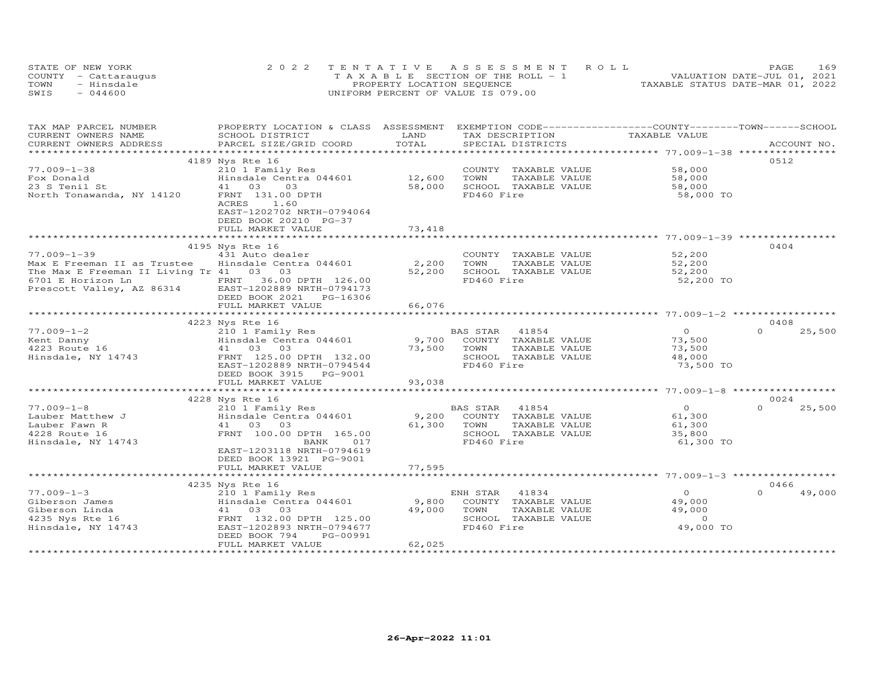|      | STATE OF NEW YORK    | 2022 TENTATIVE ASSESSMENT ROLL        | PAGE                             | 169 |
|------|----------------------|---------------------------------------|----------------------------------|-----|
|      | COUNTY - Cattaraugus | T A X A B L E SECTION OF THE ROLL - 1 | VALUATION DATE-JUL 01, 2021      |     |
| TOWN | - Hinsdale           | PROPERTY LOCATION SEQUENCE            | TAXABLE STATUS DATE-MAR 01, 2022 |     |
| SWIS | $-044600$            | UNIFORM PERCENT OF VALUE IS 079.00    |                                  |     |

| TAX MAP PARCEL NUMBER<br>CURRENT OWNERS NAME                                                    | PROPERTY LOCATION & CLASS ASSESSMENT<br>SCHOOL DISTRICT | LAND           | EXEMPTION CODE-----------------COUNTY-------TOWN------SCHOOL<br>TAX DESCRIPTION | TAXABLE VALUE  |                    |
|-------------------------------------------------------------------------------------------------|---------------------------------------------------------|----------------|---------------------------------------------------------------------------------|----------------|--------------------|
| CURRENT OWNERS ADDRESS                                                                          | PARCEL SIZE/GRID COORD                                  | TOTAL          | SPECIAL DISTRICTS                                                               |                | ACCOUNT NO.        |
|                                                                                                 |                                                         |                |                                                                                 |                |                    |
|                                                                                                 | 4189 Nys Rte 16                                         |                |                                                                                 |                | 0512               |
| $77.009 - 1 - 38$                                                                               | 210 1 Family Res                                        |                | COUNTY TAXABLE VALUE                                                            | 58,000         |                    |
| Fox Donald                                                                                      | Hinsdale Centra 044601                                  | 12,600         | TOWN<br>TAXABLE VALUE                                                           | 58,000         |                    |
| 23 S Tenil St                                                                                   | 41 03<br>03                                             | 58,000         | SCHOOL TAXABLE VALUE                                                            | 58,000         |                    |
| North Tonawanda, NY 14120                                                                       | FRNT 131.00 DPTH                                        |                | FD460 Fire                                                                      | 58,000 TO      |                    |
|                                                                                                 | ACRES<br>1.60                                           |                |                                                                                 |                |                    |
|                                                                                                 | EAST-1202702 NRTH-0794064                               |                |                                                                                 |                |                    |
|                                                                                                 | DEED BOOK 20210 PG-37                                   |                |                                                                                 |                |                    |
|                                                                                                 | FULL MARKET VALUE                                       | 73,418         |                                                                                 |                |                    |
|                                                                                                 |                                                         |                |                                                                                 |                |                    |
|                                                                                                 | 4195 Nys Rte 16                                         |                |                                                                                 |                | 0404               |
| $77.009 - 1 - 39$                                                                               | 431 Auto dealer                                         |                | COUNTY TAXABLE VALUE                                                            | 52,200         |                    |
| Max E Freeman II as Trustee                                                                     | Hinsdale Centra 044601                                  | 2,200          | TOWN<br>TAXABLE VALUE                                                           | 52,200         |                    |
| The Max E Freeman II Living Tr 41 03 03                                                         |                                                         | 52,200         | SCHOOL TAXABLE VALUE                                                            | 52,200         |                    |
| 6701 E Horizon Ln FRNT 36.00 DPTH 126.00<br>Prescott Valley, AZ 86314 EAST-1202889 NRTH-0794173 |                                                         |                | FD460 Fire                                                                      | 52,200 TO      |                    |
|                                                                                                 |                                                         |                |                                                                                 |                |                    |
|                                                                                                 | DEED BOOK 2021 PG-16306                                 |                |                                                                                 |                |                    |
|                                                                                                 | FULL MARKET VALUE                                       | 66,076         |                                                                                 |                |                    |
|                                                                                                 |                                                         | ************** |                                                                                 |                |                    |
|                                                                                                 | 4223 Nys Rte 16                                         |                |                                                                                 |                | 0408               |
| $77.009 - 1 - 2$                                                                                | 210 1 Family Res                                        |                | 41854<br>BAS STAR                                                               | $\overline{O}$ | $\Omega$<br>25,500 |
| Kent Danny                                                                                      | Hinsdale Centra 044601                                  | 9,700          | COUNTY TAXABLE VALUE                                                            | 73,500         |                    |
| 4223 Route 16                                                                                   | 41 03 03                                                | 73,500         | TOWN<br>TAXABLE VALUE                                                           | 73,500         |                    |
| Hinsdale, NY 14743                                                                              | FRNT 125.00 DPTH 132.00                                 |                | SCHOOL TAXABLE VALUE                                                            | 48,000         |                    |
|                                                                                                 | EAST-1202889 NRTH-0794544                               |                | FD460 Fire                                                                      | 73,500 TO      |                    |
|                                                                                                 | DEED BOOK 3915 PG-9001                                  |                |                                                                                 |                |                    |
|                                                                                                 | FULL MARKET VALUE                                       | 93,038         |                                                                                 |                |                    |
|                                                                                                 |                                                         |                |                                                                                 |                |                    |
|                                                                                                 | 4228 Nys Rte 16                                         |                |                                                                                 |                | 0024               |
| $77.009 - 1 - 8$                                                                                | 210 1 Family Res                                        |                | BAS STAR 41854                                                                  | $\Omega$       | 25,500<br>$\Omega$ |
| Lauber Matthew J                                                                                | Hinsdale Centra 044601                                  | 9,200          | COUNTY TAXABLE VALUE                                                            | 61,300         |                    |
| Lauber Fawn R                                                                                   | 41 03 03                                                | 61,300         | TOWN<br>TAXABLE VALUE                                                           | 61,300         |                    |
| 4228 Route 16                                                                                   | FRNT 100.00 DPTH 165.00                                 |                | SCHOOL TAXABLE VALUE                                                            | 35,800         |                    |
| Hinsdale, NY 14743                                                                              | BANK<br>017                                             |                | FD460 Fire                                                                      | 61,300 TO      |                    |
|                                                                                                 | EAST-1203118 NRTH-0794619                               |                |                                                                                 |                |                    |
|                                                                                                 | DEED BOOK 13921 PG-9001                                 |                |                                                                                 |                |                    |
|                                                                                                 | FULL MARKET VALUE                                       | 77,595         |                                                                                 |                |                    |
|                                                                                                 |                                                         |                |                                                                                 |                |                    |
|                                                                                                 | 4235 Nys Rte 16                                         |                |                                                                                 |                | 0466               |
| $77.009 - 1 - 3$                                                                                | 210 1 Family Res                                        |                | ENH STAR<br>41834                                                               | $\overline{O}$ | $\Omega$<br>49,000 |
| Giberson James                                                                                  | Hinsdale Centra 044601                                  | 9,800          | COUNTY TAXABLE VALUE                                                            | 49,000         |                    |
| Giberson Linda                                                                                  | 41 03 03                                                | 49,000         | TOWN<br>TAXABLE VALUE                                                           | 49,000         |                    |
| 4235 Nys Rte 16                                                                                 | FRNT 132.00 DPTH 125.00                                 |                | SCHOOL TAXABLE VALUE                                                            | $\circ$        |                    |
| Hinsdale, NY 14743                                                                              | EAST-1202893 NRTH-0794677                               |                | FD460 Fire                                                                      | 49,000 TO      |                    |
|                                                                                                 | DEED BOOK 794<br>PG-00991                               |                |                                                                                 |                |                    |
|                                                                                                 | FULL MARKET VALUE                                       | 62,025         |                                                                                 |                |                    |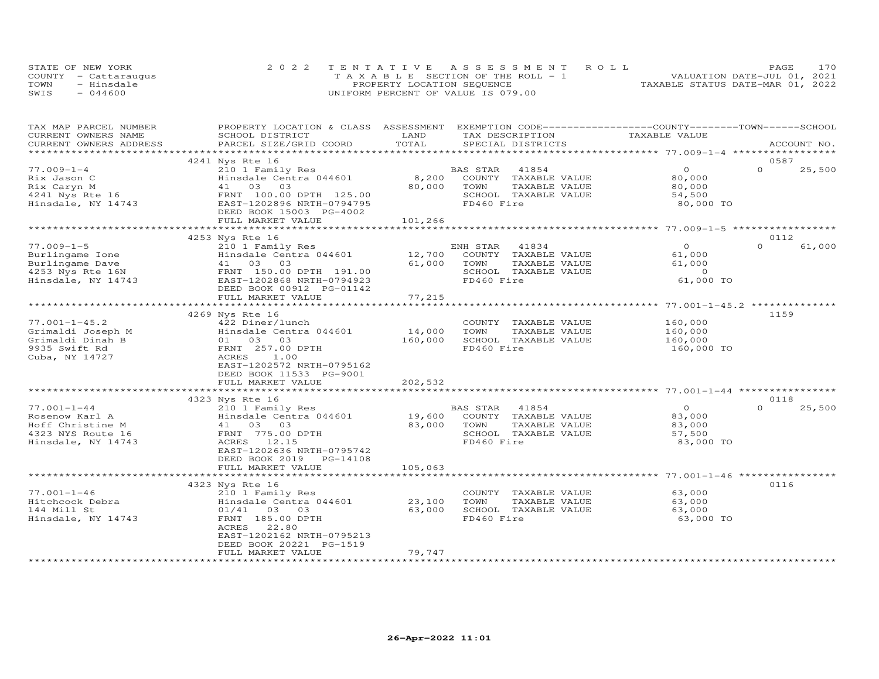|      | STATE OF NEW YORK    | 2022 TENTATIVE ASSESSMENT ROLL        | 170<br>PAGE                      |
|------|----------------------|---------------------------------------|----------------------------------|
|      | COUNTY - Cattaraugus | T A X A B L E SECTION OF THE ROLL - 1 | VALUATION DATE-JUL 01, 2021      |
| TOWN | - Hinsdale           | PROPERTY LOCATION SEQUENCE            | TAXABLE STATUS DATE-MAR 01, 2022 |
| SWIS | $-044600$            | UNIFORM PERCENT OF VALUE IS 079.00    |                                  |

| TOTAL<br>PARCEL SIZE/GRID COORD<br>SPECIAL DISTRICTS<br>CURRENT OWNERS ADDRESS<br>ACCOUNT NO.<br>0587<br>4241 Nys Rte 16<br>$\Omega$<br>$77.009 - 1 - 4$<br>$\Omega$<br>25,500<br>210 1 Family Res<br>BAS STAR<br>41854<br>8,200<br>Hinsdale Centra 044601<br>COUNTY<br>TAXABLE VALUE<br>80,000<br>Rix Jason C<br>41 03<br>80,000<br>TOWN<br>Rix Caryn M<br>03<br>TAXABLE VALUE<br>80,000<br>4241 Nys Rte 16<br>FRNT 100.00 DPTH 125.00<br>SCHOOL TAXABLE VALUE<br>54,500<br>FD460 Fire<br>Hinsdale, NY 14743<br>EAST-1202896 NRTH-0794795<br>80,000 TO<br>DEED BOOK 15003 PG-4002<br>101,266<br>FULL MARKET VALUE<br>0112<br>4253 Nys Rte 16<br>$\Omega$<br>$\Omega$<br>$77.009 - 1 - 5$<br>210 1 Family Res<br>ENH STAR<br>41834<br>61,000<br>12,700<br>61,000<br>Hinsdale Centra 044601<br>COUNTY TAXABLE VALUE<br>Burlingame Ione<br>Burlingame Dave<br>41 03 03<br>61,000<br>TOWN<br>TAXABLE VALUE<br>61,000<br>SCHOOL TAXABLE VALUE<br>4253 Nys Rte 16N<br>FRNT 150.00 DPTH 191.00<br>$\circ$<br>FD460 Fire<br>61,000 TO<br>Hinsdale, NY 14743<br>EAST-1202868 NRTH-0794923<br>DEED BOOK 00912 PG-01142<br>77,215<br>FULL MARKET VALUE<br>1159<br>4269 Nys Rte 16<br>$77.001 - 1 - 45.2$<br>422 Diner/lunch<br>160,000<br>COUNTY TAXABLE VALUE<br>14,000<br>Grimaldi Joseph M<br>Hinsdale Centra 044601<br>TOWN<br>TAXABLE VALUE<br>160,000<br>01 03 03<br>160,000<br>SCHOOL TAXABLE VALUE<br>Grimaldi Dinah B<br>160,000<br>FD460 Fire<br>9935 Swift Rd<br>FRNT 257.00 DPTH<br>160,000 TO<br>Cuba, NY 14727<br>ACRES<br>1.00<br>EAST-1202572 NRTH-0795162<br>DEED BOOK 11533 PG-9001<br>202,532<br>FULL MARKET VALUE<br>***************************<br>4323 Nys Rte 16<br>0118<br>$77.001 - 1 - 44$<br>41854<br>$\overline{O}$<br>$\Omega$<br>25,500<br>210 1 Family Res<br>BAS STAR<br>Hinsdale Centra 044601<br>19,600<br>83,000<br>Rosenow Karl A<br>COUNTY TAXABLE VALUE<br>Hoff Christine M<br>83,000<br>TOWN<br>TAXABLE VALUE<br>83,000<br>41 03 03<br>SCHOOL TAXABLE VALUE<br>4323 NYS Route 16<br>FRNT 775.00 DPTH<br>57,500<br>FD460 Fire<br>Hinsdale, NY 14743<br>ACRES 12.15<br>83,000 TO<br>EAST-1202636 NRTH-0795742<br>DEED BOOK 2019 PG-14108<br>105,063<br>FULL MARKET VALUE<br>**********************<br>0116<br>4323 Nys Rte 16<br>$77.001 - 1 - 46$<br>210 1 Family Res<br>63,000<br>COUNTY TAXABLE VALUE<br>Hitchcock Debra<br>Hinsdale Centra 044601<br>23,100<br>TOWN<br>TAXABLE VALUE<br>63,000<br>SCHOOL TAXABLE VALUE<br>144 Mill St<br>$01/41$ 03 03<br>63,000<br>63,000<br>FD460 Fire<br>FRNT 185.00 DPTH<br>63,000 TO<br>Hinsdale, NY 14743<br>ACRES<br>22.80<br>EAST-1202162 NRTH-0795213<br>DEED BOOK 20221 PG-1519<br>79,747<br>FULL MARKET VALUE | TAX MAP PARCEL NUMBER |                 |      | PROPERTY LOCATION & CLASS ASSESSMENT EXEMPTION CODE-----------------COUNTY-------TOWN------SCHOOL |               |  |
|-----------------------------------------------------------------------------------------------------------------------------------------------------------------------------------------------------------------------------------------------------------------------------------------------------------------------------------------------------------------------------------------------------------------------------------------------------------------------------------------------------------------------------------------------------------------------------------------------------------------------------------------------------------------------------------------------------------------------------------------------------------------------------------------------------------------------------------------------------------------------------------------------------------------------------------------------------------------------------------------------------------------------------------------------------------------------------------------------------------------------------------------------------------------------------------------------------------------------------------------------------------------------------------------------------------------------------------------------------------------------------------------------------------------------------------------------------------------------------------------------------------------------------------------------------------------------------------------------------------------------------------------------------------------------------------------------------------------------------------------------------------------------------------------------------------------------------------------------------------------------------------------------------------------------------------------------------------------------------------------------------------------------------------------------------------------------------------------------------------------------------------------------------------------------------------------------------------------------------------------------------------------------------------------------------------------------------------------------------------------------------------------------------------------------------------------------------------------------------------------------------------------------------------------------------------------------------------------------------------------------------------------------------------------------------------------|-----------------------|-----------------|------|---------------------------------------------------------------------------------------------------|---------------|--|
|                                                                                                                                                                                                                                                                                                                                                                                                                                                                                                                                                                                                                                                                                                                                                                                                                                                                                                                                                                                                                                                                                                                                                                                                                                                                                                                                                                                                                                                                                                                                                                                                                                                                                                                                                                                                                                                                                                                                                                                                                                                                                                                                                                                                                                                                                                                                                                                                                                                                                                                                                                                                                                                                                         | CURRENT OWNERS NAME   | SCHOOL DISTRICT | LAND | TAX DESCRIPTION                                                                                   | TAXABLE VALUE |  |
|                                                                                                                                                                                                                                                                                                                                                                                                                                                                                                                                                                                                                                                                                                                                                                                                                                                                                                                                                                                                                                                                                                                                                                                                                                                                                                                                                                                                                                                                                                                                                                                                                                                                                                                                                                                                                                                                                                                                                                                                                                                                                                                                                                                                                                                                                                                                                                                                                                                                                                                                                                                                                                                                                         |                       |                 |      |                                                                                                   |               |  |
|                                                                                                                                                                                                                                                                                                                                                                                                                                                                                                                                                                                                                                                                                                                                                                                                                                                                                                                                                                                                                                                                                                                                                                                                                                                                                                                                                                                                                                                                                                                                                                                                                                                                                                                                                                                                                                                                                                                                                                                                                                                                                                                                                                                                                                                                                                                                                                                                                                                                                                                                                                                                                                                                                         |                       |                 |      |                                                                                                   |               |  |
|                                                                                                                                                                                                                                                                                                                                                                                                                                                                                                                                                                                                                                                                                                                                                                                                                                                                                                                                                                                                                                                                                                                                                                                                                                                                                                                                                                                                                                                                                                                                                                                                                                                                                                                                                                                                                                                                                                                                                                                                                                                                                                                                                                                                                                                                                                                                                                                                                                                                                                                                                                                                                                                                                         |                       |                 |      |                                                                                                   |               |  |
|                                                                                                                                                                                                                                                                                                                                                                                                                                                                                                                                                                                                                                                                                                                                                                                                                                                                                                                                                                                                                                                                                                                                                                                                                                                                                                                                                                                                                                                                                                                                                                                                                                                                                                                                                                                                                                                                                                                                                                                                                                                                                                                                                                                                                                                                                                                                                                                                                                                                                                                                                                                                                                                                                         |                       |                 |      |                                                                                                   |               |  |
|                                                                                                                                                                                                                                                                                                                                                                                                                                                                                                                                                                                                                                                                                                                                                                                                                                                                                                                                                                                                                                                                                                                                                                                                                                                                                                                                                                                                                                                                                                                                                                                                                                                                                                                                                                                                                                                                                                                                                                                                                                                                                                                                                                                                                                                                                                                                                                                                                                                                                                                                                                                                                                                                                         |                       |                 |      |                                                                                                   |               |  |
|                                                                                                                                                                                                                                                                                                                                                                                                                                                                                                                                                                                                                                                                                                                                                                                                                                                                                                                                                                                                                                                                                                                                                                                                                                                                                                                                                                                                                                                                                                                                                                                                                                                                                                                                                                                                                                                                                                                                                                                                                                                                                                                                                                                                                                                                                                                                                                                                                                                                                                                                                                                                                                                                                         |                       |                 |      |                                                                                                   |               |  |
|                                                                                                                                                                                                                                                                                                                                                                                                                                                                                                                                                                                                                                                                                                                                                                                                                                                                                                                                                                                                                                                                                                                                                                                                                                                                                                                                                                                                                                                                                                                                                                                                                                                                                                                                                                                                                                                                                                                                                                                                                                                                                                                                                                                                                                                                                                                                                                                                                                                                                                                                                                                                                                                                                         |                       |                 |      |                                                                                                   |               |  |
|                                                                                                                                                                                                                                                                                                                                                                                                                                                                                                                                                                                                                                                                                                                                                                                                                                                                                                                                                                                                                                                                                                                                                                                                                                                                                                                                                                                                                                                                                                                                                                                                                                                                                                                                                                                                                                                                                                                                                                                                                                                                                                                                                                                                                                                                                                                                                                                                                                                                                                                                                                                                                                                                                         |                       |                 |      |                                                                                                   |               |  |
|                                                                                                                                                                                                                                                                                                                                                                                                                                                                                                                                                                                                                                                                                                                                                                                                                                                                                                                                                                                                                                                                                                                                                                                                                                                                                                                                                                                                                                                                                                                                                                                                                                                                                                                                                                                                                                                                                                                                                                                                                                                                                                                                                                                                                                                                                                                                                                                                                                                                                                                                                                                                                                                                                         |                       |                 |      |                                                                                                   |               |  |
|                                                                                                                                                                                                                                                                                                                                                                                                                                                                                                                                                                                                                                                                                                                                                                                                                                                                                                                                                                                                                                                                                                                                                                                                                                                                                                                                                                                                                                                                                                                                                                                                                                                                                                                                                                                                                                                                                                                                                                                                                                                                                                                                                                                                                                                                                                                                                                                                                                                                                                                                                                                                                                                                                         |                       |                 |      |                                                                                                   |               |  |
|                                                                                                                                                                                                                                                                                                                                                                                                                                                                                                                                                                                                                                                                                                                                                                                                                                                                                                                                                                                                                                                                                                                                                                                                                                                                                                                                                                                                                                                                                                                                                                                                                                                                                                                                                                                                                                                                                                                                                                                                                                                                                                                                                                                                                                                                                                                                                                                                                                                                                                                                                                                                                                                                                         |                       |                 |      |                                                                                                   |               |  |
|                                                                                                                                                                                                                                                                                                                                                                                                                                                                                                                                                                                                                                                                                                                                                                                                                                                                                                                                                                                                                                                                                                                                                                                                                                                                                                                                                                                                                                                                                                                                                                                                                                                                                                                                                                                                                                                                                                                                                                                                                                                                                                                                                                                                                                                                                                                                                                                                                                                                                                                                                                                                                                                                                         |                       |                 |      |                                                                                                   |               |  |
|                                                                                                                                                                                                                                                                                                                                                                                                                                                                                                                                                                                                                                                                                                                                                                                                                                                                                                                                                                                                                                                                                                                                                                                                                                                                                                                                                                                                                                                                                                                                                                                                                                                                                                                                                                                                                                                                                                                                                                                                                                                                                                                                                                                                                                                                                                                                                                                                                                                                                                                                                                                                                                                                                         |                       |                 |      |                                                                                                   |               |  |
|                                                                                                                                                                                                                                                                                                                                                                                                                                                                                                                                                                                                                                                                                                                                                                                                                                                                                                                                                                                                                                                                                                                                                                                                                                                                                                                                                                                                                                                                                                                                                                                                                                                                                                                                                                                                                                                                                                                                                                                                                                                                                                                                                                                                                                                                                                                                                                                                                                                                                                                                                                                                                                                                                         |                       |                 |      |                                                                                                   |               |  |
|                                                                                                                                                                                                                                                                                                                                                                                                                                                                                                                                                                                                                                                                                                                                                                                                                                                                                                                                                                                                                                                                                                                                                                                                                                                                                                                                                                                                                                                                                                                                                                                                                                                                                                                                                                                                                                                                                                                                                                                                                                                                                                                                                                                                                                                                                                                                                                                                                                                                                                                                                                                                                                                                                         |                       |                 |      |                                                                                                   |               |  |
|                                                                                                                                                                                                                                                                                                                                                                                                                                                                                                                                                                                                                                                                                                                                                                                                                                                                                                                                                                                                                                                                                                                                                                                                                                                                                                                                                                                                                                                                                                                                                                                                                                                                                                                                                                                                                                                                                                                                                                                                                                                                                                                                                                                                                                                                                                                                                                                                                                                                                                                                                                                                                                                                                         |                       |                 |      |                                                                                                   |               |  |
|                                                                                                                                                                                                                                                                                                                                                                                                                                                                                                                                                                                                                                                                                                                                                                                                                                                                                                                                                                                                                                                                                                                                                                                                                                                                                                                                                                                                                                                                                                                                                                                                                                                                                                                                                                                                                                                                                                                                                                                                                                                                                                                                                                                                                                                                                                                                                                                                                                                                                                                                                                                                                                                                                         |                       |                 |      |                                                                                                   |               |  |
|                                                                                                                                                                                                                                                                                                                                                                                                                                                                                                                                                                                                                                                                                                                                                                                                                                                                                                                                                                                                                                                                                                                                                                                                                                                                                                                                                                                                                                                                                                                                                                                                                                                                                                                                                                                                                                                                                                                                                                                                                                                                                                                                                                                                                                                                                                                                                                                                                                                                                                                                                                                                                                                                                         |                       |                 |      |                                                                                                   |               |  |
|                                                                                                                                                                                                                                                                                                                                                                                                                                                                                                                                                                                                                                                                                                                                                                                                                                                                                                                                                                                                                                                                                                                                                                                                                                                                                                                                                                                                                                                                                                                                                                                                                                                                                                                                                                                                                                                                                                                                                                                                                                                                                                                                                                                                                                                                                                                                                                                                                                                                                                                                                                                                                                                                                         |                       |                 |      |                                                                                                   |               |  |
|                                                                                                                                                                                                                                                                                                                                                                                                                                                                                                                                                                                                                                                                                                                                                                                                                                                                                                                                                                                                                                                                                                                                                                                                                                                                                                                                                                                                                                                                                                                                                                                                                                                                                                                                                                                                                                                                                                                                                                                                                                                                                                                                                                                                                                                                                                                                                                                                                                                                                                                                                                                                                                                                                         |                       |                 |      |                                                                                                   |               |  |
|                                                                                                                                                                                                                                                                                                                                                                                                                                                                                                                                                                                                                                                                                                                                                                                                                                                                                                                                                                                                                                                                                                                                                                                                                                                                                                                                                                                                                                                                                                                                                                                                                                                                                                                                                                                                                                                                                                                                                                                                                                                                                                                                                                                                                                                                                                                                                                                                                                                                                                                                                                                                                                                                                         |                       |                 |      |                                                                                                   |               |  |
|                                                                                                                                                                                                                                                                                                                                                                                                                                                                                                                                                                                                                                                                                                                                                                                                                                                                                                                                                                                                                                                                                                                                                                                                                                                                                                                                                                                                                                                                                                                                                                                                                                                                                                                                                                                                                                                                                                                                                                                                                                                                                                                                                                                                                                                                                                                                                                                                                                                                                                                                                                                                                                                                                         |                       |                 |      |                                                                                                   |               |  |
|                                                                                                                                                                                                                                                                                                                                                                                                                                                                                                                                                                                                                                                                                                                                                                                                                                                                                                                                                                                                                                                                                                                                                                                                                                                                                                                                                                                                                                                                                                                                                                                                                                                                                                                                                                                                                                                                                                                                                                                                                                                                                                                                                                                                                                                                                                                                                                                                                                                                                                                                                                                                                                                                                         |                       |                 |      |                                                                                                   |               |  |
|                                                                                                                                                                                                                                                                                                                                                                                                                                                                                                                                                                                                                                                                                                                                                                                                                                                                                                                                                                                                                                                                                                                                                                                                                                                                                                                                                                                                                                                                                                                                                                                                                                                                                                                                                                                                                                                                                                                                                                                                                                                                                                                                                                                                                                                                                                                                                                                                                                                                                                                                                                                                                                                                                         |                       |                 |      |                                                                                                   |               |  |
|                                                                                                                                                                                                                                                                                                                                                                                                                                                                                                                                                                                                                                                                                                                                                                                                                                                                                                                                                                                                                                                                                                                                                                                                                                                                                                                                                                                                                                                                                                                                                                                                                                                                                                                                                                                                                                                                                                                                                                                                                                                                                                                                                                                                                                                                                                                                                                                                                                                                                                                                                                                                                                                                                         |                       |                 |      |                                                                                                   |               |  |
|                                                                                                                                                                                                                                                                                                                                                                                                                                                                                                                                                                                                                                                                                                                                                                                                                                                                                                                                                                                                                                                                                                                                                                                                                                                                                                                                                                                                                                                                                                                                                                                                                                                                                                                                                                                                                                                                                                                                                                                                                                                                                                                                                                                                                                                                                                                                                                                                                                                                                                                                                                                                                                                                                         |                       |                 |      |                                                                                                   |               |  |
|                                                                                                                                                                                                                                                                                                                                                                                                                                                                                                                                                                                                                                                                                                                                                                                                                                                                                                                                                                                                                                                                                                                                                                                                                                                                                                                                                                                                                                                                                                                                                                                                                                                                                                                                                                                                                                                                                                                                                                                                                                                                                                                                                                                                                                                                                                                                                                                                                                                                                                                                                                                                                                                                                         |                       |                 |      |                                                                                                   |               |  |
|                                                                                                                                                                                                                                                                                                                                                                                                                                                                                                                                                                                                                                                                                                                                                                                                                                                                                                                                                                                                                                                                                                                                                                                                                                                                                                                                                                                                                                                                                                                                                                                                                                                                                                                                                                                                                                                                                                                                                                                                                                                                                                                                                                                                                                                                                                                                                                                                                                                                                                                                                                                                                                                                                         |                       |                 |      |                                                                                                   |               |  |
|                                                                                                                                                                                                                                                                                                                                                                                                                                                                                                                                                                                                                                                                                                                                                                                                                                                                                                                                                                                                                                                                                                                                                                                                                                                                                                                                                                                                                                                                                                                                                                                                                                                                                                                                                                                                                                                                                                                                                                                                                                                                                                                                                                                                                                                                                                                                                                                                                                                                                                                                                                                                                                                                                         |                       |                 |      |                                                                                                   |               |  |
|                                                                                                                                                                                                                                                                                                                                                                                                                                                                                                                                                                                                                                                                                                                                                                                                                                                                                                                                                                                                                                                                                                                                                                                                                                                                                                                                                                                                                                                                                                                                                                                                                                                                                                                                                                                                                                                                                                                                                                                                                                                                                                                                                                                                                                                                                                                                                                                                                                                                                                                                                                                                                                                                                         |                       |                 |      |                                                                                                   |               |  |
|                                                                                                                                                                                                                                                                                                                                                                                                                                                                                                                                                                                                                                                                                                                                                                                                                                                                                                                                                                                                                                                                                                                                                                                                                                                                                                                                                                                                                                                                                                                                                                                                                                                                                                                                                                                                                                                                                                                                                                                                                                                                                                                                                                                                                                                                                                                                                                                                                                                                                                                                                                                                                                                                                         |                       |                 |      |                                                                                                   |               |  |
|                                                                                                                                                                                                                                                                                                                                                                                                                                                                                                                                                                                                                                                                                                                                                                                                                                                                                                                                                                                                                                                                                                                                                                                                                                                                                                                                                                                                                                                                                                                                                                                                                                                                                                                                                                                                                                                                                                                                                                                                                                                                                                                                                                                                                                                                                                                                                                                                                                                                                                                                                                                                                                                                                         |                       |                 |      |                                                                                                   |               |  |
|                                                                                                                                                                                                                                                                                                                                                                                                                                                                                                                                                                                                                                                                                                                                                                                                                                                                                                                                                                                                                                                                                                                                                                                                                                                                                                                                                                                                                                                                                                                                                                                                                                                                                                                                                                                                                                                                                                                                                                                                                                                                                                                                                                                                                                                                                                                                                                                                                                                                                                                                                                                                                                                                                         |                       |                 |      |                                                                                                   |               |  |
|                                                                                                                                                                                                                                                                                                                                                                                                                                                                                                                                                                                                                                                                                                                                                                                                                                                                                                                                                                                                                                                                                                                                                                                                                                                                                                                                                                                                                                                                                                                                                                                                                                                                                                                                                                                                                                                                                                                                                                                                                                                                                                                                                                                                                                                                                                                                                                                                                                                                                                                                                                                                                                                                                         |                       |                 |      |                                                                                                   |               |  |
|                                                                                                                                                                                                                                                                                                                                                                                                                                                                                                                                                                                                                                                                                                                                                                                                                                                                                                                                                                                                                                                                                                                                                                                                                                                                                                                                                                                                                                                                                                                                                                                                                                                                                                                                                                                                                                                                                                                                                                                                                                                                                                                                                                                                                                                                                                                                                                                                                                                                                                                                                                                                                                                                                         |                       |                 |      |                                                                                                   |               |  |
|                                                                                                                                                                                                                                                                                                                                                                                                                                                                                                                                                                                                                                                                                                                                                                                                                                                                                                                                                                                                                                                                                                                                                                                                                                                                                                                                                                                                                                                                                                                                                                                                                                                                                                                                                                                                                                                                                                                                                                                                                                                                                                                                                                                                                                                                                                                                                                                                                                                                                                                                                                                                                                                                                         |                       |                 |      |                                                                                                   |               |  |
|                                                                                                                                                                                                                                                                                                                                                                                                                                                                                                                                                                                                                                                                                                                                                                                                                                                                                                                                                                                                                                                                                                                                                                                                                                                                                                                                                                                                                                                                                                                                                                                                                                                                                                                                                                                                                                                                                                                                                                                                                                                                                                                                                                                                                                                                                                                                                                                                                                                                                                                                                                                                                                                                                         |                       |                 |      |                                                                                                   |               |  |
|                                                                                                                                                                                                                                                                                                                                                                                                                                                                                                                                                                                                                                                                                                                                                                                                                                                                                                                                                                                                                                                                                                                                                                                                                                                                                                                                                                                                                                                                                                                                                                                                                                                                                                                                                                                                                                                                                                                                                                                                                                                                                                                                                                                                                                                                                                                                                                                                                                                                                                                                                                                                                                                                                         |                       |                 |      |                                                                                                   |               |  |
|                                                                                                                                                                                                                                                                                                                                                                                                                                                                                                                                                                                                                                                                                                                                                                                                                                                                                                                                                                                                                                                                                                                                                                                                                                                                                                                                                                                                                                                                                                                                                                                                                                                                                                                                                                                                                                                                                                                                                                                                                                                                                                                                                                                                                                                                                                                                                                                                                                                                                                                                                                                                                                                                                         |                       |                 |      |                                                                                                   |               |  |
|                                                                                                                                                                                                                                                                                                                                                                                                                                                                                                                                                                                                                                                                                                                                                                                                                                                                                                                                                                                                                                                                                                                                                                                                                                                                                                                                                                                                                                                                                                                                                                                                                                                                                                                                                                                                                                                                                                                                                                                                                                                                                                                                                                                                                                                                                                                                                                                                                                                                                                                                                                                                                                                                                         |                       |                 |      |                                                                                                   |               |  |
|                                                                                                                                                                                                                                                                                                                                                                                                                                                                                                                                                                                                                                                                                                                                                                                                                                                                                                                                                                                                                                                                                                                                                                                                                                                                                                                                                                                                                                                                                                                                                                                                                                                                                                                                                                                                                                                                                                                                                                                                                                                                                                                                                                                                                                                                                                                                                                                                                                                                                                                                                                                                                                                                                         |                       |                 |      |                                                                                                   |               |  |
|                                                                                                                                                                                                                                                                                                                                                                                                                                                                                                                                                                                                                                                                                                                                                                                                                                                                                                                                                                                                                                                                                                                                                                                                                                                                                                                                                                                                                                                                                                                                                                                                                                                                                                                                                                                                                                                                                                                                                                                                                                                                                                                                                                                                                                                                                                                                                                                                                                                                                                                                                                                                                                                                                         |                       |                 |      |                                                                                                   |               |  |
|                                                                                                                                                                                                                                                                                                                                                                                                                                                                                                                                                                                                                                                                                                                                                                                                                                                                                                                                                                                                                                                                                                                                                                                                                                                                                                                                                                                                                                                                                                                                                                                                                                                                                                                                                                                                                                                                                                                                                                                                                                                                                                                                                                                                                                                                                                                                                                                                                                                                                                                                                                                                                                                                                         |                       |                 |      |                                                                                                   |               |  |
|                                                                                                                                                                                                                                                                                                                                                                                                                                                                                                                                                                                                                                                                                                                                                                                                                                                                                                                                                                                                                                                                                                                                                                                                                                                                                                                                                                                                                                                                                                                                                                                                                                                                                                                                                                                                                                                                                                                                                                                                                                                                                                                                                                                                                                                                                                                                                                                                                                                                                                                                                                                                                                                                                         |                       |                 |      |                                                                                                   |               |  |
|                                                                                                                                                                                                                                                                                                                                                                                                                                                                                                                                                                                                                                                                                                                                                                                                                                                                                                                                                                                                                                                                                                                                                                                                                                                                                                                                                                                                                                                                                                                                                                                                                                                                                                                                                                                                                                                                                                                                                                                                                                                                                                                                                                                                                                                                                                                                                                                                                                                                                                                                                                                                                                                                                         |                       |                 |      |                                                                                                   |               |  |
|                                                                                                                                                                                                                                                                                                                                                                                                                                                                                                                                                                                                                                                                                                                                                                                                                                                                                                                                                                                                                                                                                                                                                                                                                                                                                                                                                                                                                                                                                                                                                                                                                                                                                                                                                                                                                                                                                                                                                                                                                                                                                                                                                                                                                                                                                                                                                                                                                                                                                                                                                                                                                                                                                         |                       |                 |      |                                                                                                   |               |  |
|                                                                                                                                                                                                                                                                                                                                                                                                                                                                                                                                                                                                                                                                                                                                                                                                                                                                                                                                                                                                                                                                                                                                                                                                                                                                                                                                                                                                                                                                                                                                                                                                                                                                                                                                                                                                                                                                                                                                                                                                                                                                                                                                                                                                                                                                                                                                                                                                                                                                                                                                                                                                                                                                                         |                       |                 |      |                                                                                                   |               |  |
|                                                                                                                                                                                                                                                                                                                                                                                                                                                                                                                                                                                                                                                                                                                                                                                                                                                                                                                                                                                                                                                                                                                                                                                                                                                                                                                                                                                                                                                                                                                                                                                                                                                                                                                                                                                                                                                                                                                                                                                                                                                                                                                                                                                                                                                                                                                                                                                                                                                                                                                                                                                                                                                                                         |                       |                 |      |                                                                                                   |               |  |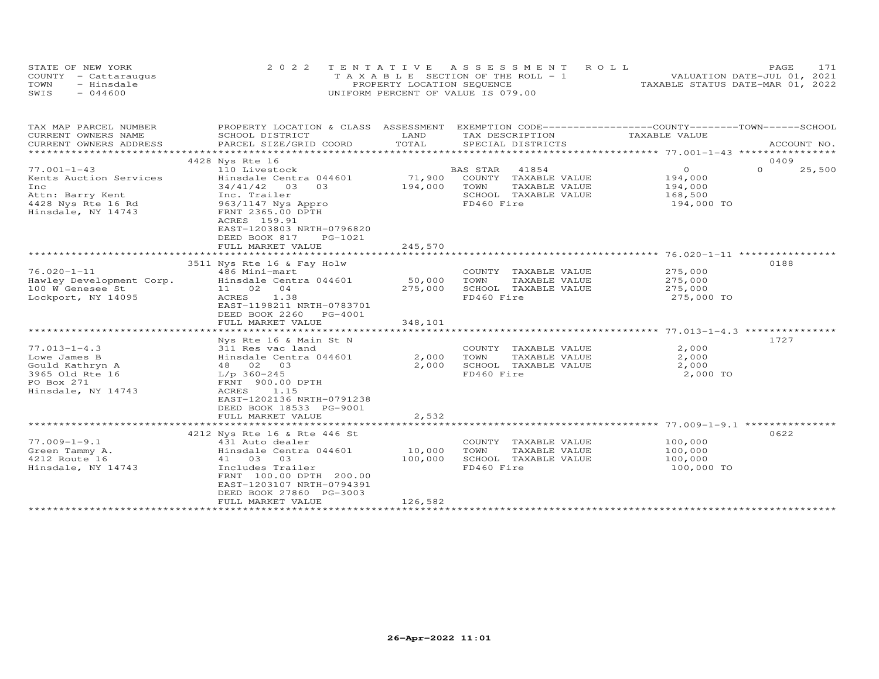|      | STATE OF NEW YORK    | 2022 TENTATIVE ASSESSMENT ROLL        | PAGE.                            |
|------|----------------------|---------------------------------------|----------------------------------|
|      | COUNTY - Cattaraugus | T A X A B L E SECTION OF THE ROLL - 1 | VALUATION DATE-JUL 01, 2021      |
| TOWN | - Hinsdale           | PROPERTY LOCATION SEQUENCE            | TAXABLE STATUS DATE-MAR 01, 2022 |
| SWIS | $-044600$            | UNIFORM PERCENT OF VALUE IS 079.00    |                                  |

| TAX MAP PARCEL NUMBER<br>CURRENT OWNERS NAME                                                                       | PROPERTY LOCATION & CLASS ASSESSMENT<br>SCHOOL DISTRICT                                                                                                                                                             | LAND                         | EXEMPTION CODE-----------------COUNTY-------TOWN------SCHOOL<br>TAX DESCRIPTION                          | TAXABLE VALUE                                                 |                    |
|--------------------------------------------------------------------------------------------------------------------|---------------------------------------------------------------------------------------------------------------------------------------------------------------------------------------------------------------------|------------------------------|----------------------------------------------------------------------------------------------------------|---------------------------------------------------------------|--------------------|
| CURRENT OWNERS ADDRESS                                                                                             | PARCEL SIZE/GRID COORD                                                                                                                                                                                              | TOTAL                        | SPECIAL DISTRICTS                                                                                        |                                                               | ACCOUNT NO.        |
|                                                                                                                    | 4428 Nys Rte 16                                                                                                                                                                                                     |                              |                                                                                                          |                                                               | 0409               |
| $77.001 - 1 - 43$<br>Kents Auction Services<br>Inc<br>Attn: Barry Kent<br>4428 Nys Rte 16 Rd<br>Hinsdale, NY 14743 | 110 Livestock<br>Hinsdale Centra 044601<br>34/41/42 03 03<br>Inc. Trailer<br>963/1147 Nys Appro<br>FRNT 2365.00 DPTH<br>ACRES 159.91<br>EAST-1203803 NRTH-0796820<br>DEED BOOK 817<br>PG-1021<br>FULL MARKET VALUE  | 71,900<br>194,000<br>245,570 | 41854<br>BAS STAR<br>COUNTY TAXABLE VALUE<br>TOWN<br>TAXABLE VALUE<br>SCHOOL TAXABLE VALUE<br>FD460 Fire | $\overline{O}$<br>194,000<br>194,000<br>168,500<br>194,000 TO | $\Omega$<br>25,500 |
|                                                                                                                    |                                                                                                                                                                                                                     | ******************           |                                                                                                          |                                                               |                    |
| $76.020 - 1 - 11$<br>Hawley Development Corp.<br>100 W Genesee St<br>Lockport, NY 14095                            | 3511 Nys Rte 16 & Fay Holw<br>486 Mini-mart<br>Hinsdale Centra 044601<br>11 02 04<br>ACRES<br>1.38<br>EAST-1198211 NRTH-0783701<br>DEED BOOK 2260 PG-4001                                                           | 50,000<br>275,000            | COUNTY TAXABLE VALUE<br>TOWN<br>TAXABLE VALUE<br>SCHOOL TAXABLE VALUE<br>FD460 Fire                      | 275,000<br>275,000<br>275,000<br>275,000 TO                   | 0188               |
|                                                                                                                    | FULL MARKET VALUE                                                                                                                                                                                                   | 348,101                      |                                                                                                          |                                                               |                    |
| $77.013 - 1 - 4.3$<br>Lowe James B<br>Gould Kathryn A<br>3965 Old Rte 16<br>PO Box 271<br>Hinsdale, NY 14743       | Nys Rte 16 & Main St N<br>311 Res vac land<br>Hinsdale Centra 044601<br>48 02 03<br>$L/p$ 360-245<br>FRNT 900.00 DPTH<br>1.15<br>ACRES<br>EAST-1202136 NRTH-0791238<br>DEED BOOK 18533 PG-9001<br>FULL MARKET VALUE | 2,000<br>2,000<br>2,532      | COUNTY TAXABLE VALUE<br>TAXABLE VALUE<br>TOWN<br>SCHOOL TAXABLE VALUE<br>FD460 Fire                      | 2,000<br>2,000<br>2,000<br>2,000 TO                           | 1727               |
|                                                                                                                    |                                                                                                                                                                                                                     |                              |                                                                                                          |                                                               |                    |
| $77.009 - 1 - 9.1$<br>Green Tammy A.<br>4212 Route 16<br>Hinsdale, NY 14743                                        | 4212 Nys Rte 16 & Rte 446 St<br>431 Auto dealer<br>Hinsdale Centra 044601<br>41 03 03<br>Includes Trailer<br>FRNT 100.00 DPTH 200.00<br>EAST-1203107 NRTH-0794391<br>DEED BOOK 27860 PG-3003<br>FULL MARKET VALUE   | 10,000<br>100,000<br>126,582 | COUNTY TAXABLE VALUE<br>TOWN<br>TAXABLE VALUE<br>SCHOOL TAXABLE VALUE<br>FD460 Fire                      | 100,000<br>100,000<br>100,000<br>100,000 TO                   | 0622               |
|                                                                                                                    | ************************                                                                                                                                                                                            |                              |                                                                                                          |                                                               |                    |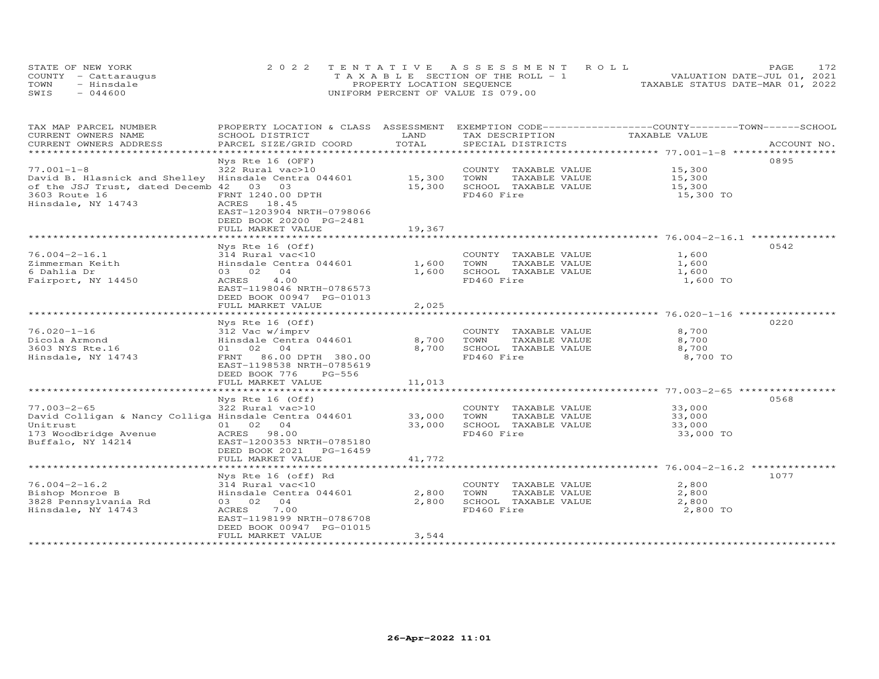|      | STATE OF NEW YORK    | 2022 TENTATIVE ASSESSMENT ROLL        | 172.<br>PAGE                     |
|------|----------------------|---------------------------------------|----------------------------------|
|      | COUNTY - Cattaraugus | T A X A B L E SECTION OF THE ROLL - 1 | VALUATION DATE-JUL 01, 2021      |
| TOWN | - Hinsdale           | PROPERTY LOCATION SEQUENCE            | TAXABLE STATUS DATE-MAR 01, 2022 |
| SWIS | $-044600$            | UNIFORM PERCENT OF VALUE IS 079.00    |                                  |

| TAX MAP PARCEL NUMBER<br>CURRENT OWNERS NAME                 | PROPERTY LOCATION & CLASS ASSESSMENT<br>SCHOOL DISTRICT | LAND                           | EXEMPTION CODE-----------------COUNTY-------TOWN------SCHOOL<br>TAX DESCRIPTION | TAXABLE VALUE                                   |             |
|--------------------------------------------------------------|---------------------------------------------------------|--------------------------------|---------------------------------------------------------------------------------|-------------------------------------------------|-------------|
| CURRENT OWNERS ADDRESS                                       | PARCEL SIZE/GRID COORD                                  | TOTAL                          | SPECIAL DISTRICTS                                                               |                                                 | ACCOUNT NO. |
|                                                              |                                                         | ****************************** |                                                                                 | ************************ 77.001-1-8 *********** |             |
|                                                              | Nys Rte 16 (OFF)                                        |                                |                                                                                 |                                                 | 0895        |
| $77.001 - 1 - 8$                                             | 322 Rural vac>10                                        |                                | COUNTY TAXABLE VALUE                                                            | 15,300                                          |             |
| David B. Hlasnick and Shelley Hinsdale Centra 044601         |                                                         | 15,300                         | TOWN<br>TAXABLE VALUE                                                           | 15,300                                          |             |
| of the JSJ Trust, dated Decemb 42 03 03                      |                                                         | 15,300                         | SCHOOL TAXABLE VALUE                                                            | 15,300                                          |             |
| 3603 Route 16                                                | FRNT 1240.00 DPTH                                       |                                | FD460 Fire                                                                      | 15,300 TO                                       |             |
| Hinsdale, NY 14743                                           | ACRES 18.45                                             |                                |                                                                                 |                                                 |             |
|                                                              | EAST-1203904 NRTH-0798066                               |                                |                                                                                 |                                                 |             |
|                                                              | DEED BOOK 20200 PG-2481                                 |                                |                                                                                 |                                                 |             |
|                                                              | FULL MARKET VALUE                                       | 19,367                         |                                                                                 |                                                 |             |
|                                                              |                                                         |                                |                                                                                 |                                                 |             |
|                                                              | Nys Rte 16 (Off)                                        |                                |                                                                                 |                                                 | 0542        |
| $76.004 - 2 - 16.1$                                          | 314 Rural vac<10                                        |                                | COUNTY TAXABLE VALUE                                                            | 1,600                                           |             |
| Zimmerman Keith                                              | Hinsdale Centra 044601                                  | 1,600                          | TOWN<br>TAXABLE VALUE                                                           | 1,600                                           |             |
| 6 Dahlia Dr                                                  | 03 02 04                                                | 1,600                          | SCHOOL TAXABLE VALUE                                                            | 1,600                                           |             |
| Fairport, NY 14450                                           | 4.00<br>ACRES                                           |                                | FD460 Fire                                                                      | 1,600 TO                                        |             |
|                                                              | EAST-1198046 NRTH-0786573                               |                                |                                                                                 |                                                 |             |
|                                                              | DEED BOOK 00947 PG-01013                                |                                |                                                                                 |                                                 |             |
|                                                              | FULL MARKET VALUE                                       | 2,025                          |                                                                                 |                                                 |             |
|                                                              |                                                         |                                |                                                                                 |                                                 |             |
|                                                              | Nys Rte 16 (Off)                                        |                                |                                                                                 |                                                 | 0220        |
| $76.020 - 1 - 16$                                            | 312 Vac w/imprv                                         |                                | COUNTY TAXABLE VALUE                                                            | 8,700                                           |             |
| Dicola Armond                                                | Hinsdale Centra 044601                                  | 8,700                          | TOWN<br>TAXABLE VALUE                                                           | 8,700                                           |             |
| 3603 NYS Rte.16                                              | 01 02 04                                                | 8,700                          | SCHOOL TAXABLE VALUE                                                            | 8,700                                           |             |
| Hinsdale, NY 14743                                           | FRNT 86.00 DPTH 380.00                                  |                                | FD460 Fire                                                                      | 8,700 TO                                        |             |
|                                                              | EAST-1198538 NRTH-0785619                               |                                |                                                                                 |                                                 |             |
|                                                              | DEED BOOK 776<br>PG-556                                 | 11,013                         |                                                                                 |                                                 |             |
|                                                              | FULL MARKET VALUE                                       |                                |                                                                                 |                                                 |             |
|                                                              | Nys Rte 16 (Off)                                        |                                |                                                                                 |                                                 | 0568        |
| $77.003 - 2 - 65$                                            | 322 Rural vac>10                                        |                                | COUNTY TAXABLE VALUE 33,000                                                     |                                                 |             |
| David Colligan & Nancy Colliga Hinsdale Centra 044601 33,000 |                                                         |                                | TOWN<br>TAXABLE VALUE                                                           | 33,000                                          |             |
| Unitrust                                                     | 01 02 04                                                | 33,000                         | SCHOOL TAXABLE VALUE                                                            | 33,000                                          |             |
| 173 Woodbridge Avenue                                        | ACRES 98.00                                             |                                | FD460 Fire                                                                      | 33,000 TO                                       |             |
| Buffalo, NY 14214                                            | EAST-1200353 NRTH-0785180                               |                                |                                                                                 |                                                 |             |
|                                                              | DEED BOOK 2021<br>PG-16459                              |                                |                                                                                 |                                                 |             |
|                                                              | FULL MARKET VALUE                                       | 41,772                         |                                                                                 |                                                 |             |
|                                                              |                                                         |                                |                                                                                 |                                                 |             |
|                                                              | Nys Rte 16 (off) Rd                                     |                                |                                                                                 |                                                 | 1077        |
| $76.004 - 2 - 16.2$                                          | 314 Rural vac<10                                        |                                | COUNTY TAXABLE VALUE                                                            | 2,800                                           |             |
| Bishop Monroe B                                              | Hinsdale Centra 044601                                  | 2,800                          | TOWN<br>TAXABLE VALUE                                                           | 2,800                                           |             |
| 3828 Pennsylvania Rd                                         | 04<br>03 02                                             | 2,800                          | SCHOOL TAXABLE VALUE                                                            | 2,800                                           |             |
| Hinsdale, NY 14743                                           | 7.00<br>ACRES                                           |                                | FD460 Fire                                                                      | 2,800 TO                                        |             |
|                                                              | EAST-1198199 NRTH-0786708                               |                                |                                                                                 |                                                 |             |
|                                                              | DEED BOOK 00947 PG-01015                                |                                |                                                                                 |                                                 |             |
|                                                              | FULL MARKET VALUE                                       | 3,544                          |                                                                                 |                                                 |             |
|                                                              |                                                         |                                |                                                                                 |                                                 |             |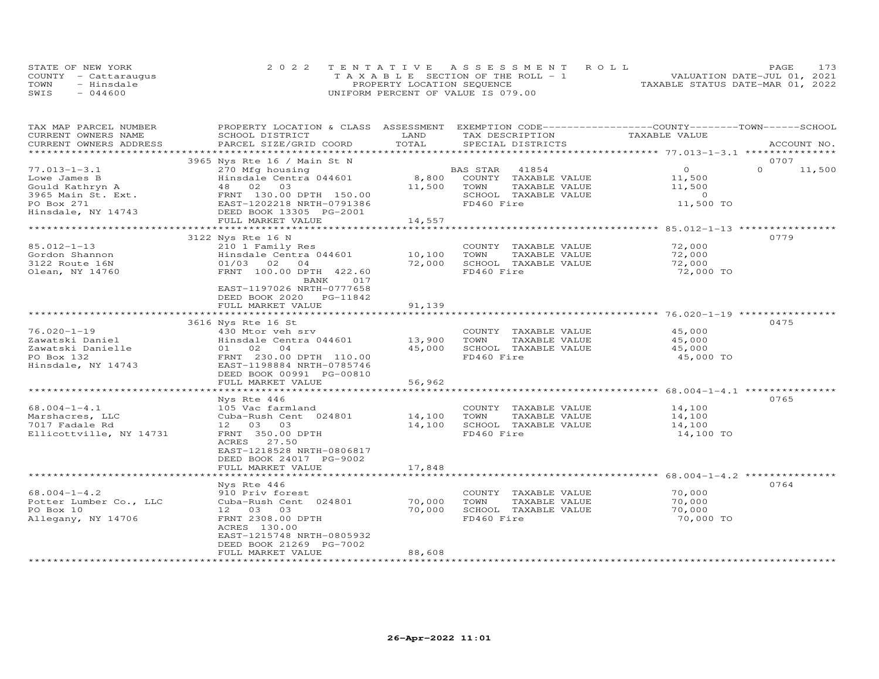|      | STATE OF NEW YORK    | 2022 TENTATIVE ASSESSMENT ROLL        | PAGE.                            |
|------|----------------------|---------------------------------------|----------------------------------|
|      | COUNTY - Cattaraugus | T A X A B L E SECTION OF THE ROLL - 1 | VALUATION DATE-JUL 01, 2021      |
| TOWN | - Hinsdale           | PROPERTY LOCATION SEQUENCE            | TAXABLE STATUS DATE-MAR 01, 2022 |
| SWIS | $-044600$            | UNIFORM PERCENT OF VALUE IS 079.00    |                                  |

| TAX MAP PARCEL NUMBER<br>CURRENT OWNERS NAME | PROPERTY LOCATION & CLASS ASSESSMENT EXEMPTION CODE----------------COUNTY-------TOWN------SCHOOL<br>SCHOOL DISTRICT | LAND             | TAX DESCRIPTION       | TAXABLE VALUE                                         |                    |
|----------------------------------------------|---------------------------------------------------------------------------------------------------------------------|------------------|-----------------------|-------------------------------------------------------|--------------------|
| CURRENT OWNERS ADDRESS                       | PARCEL SIZE/GRID COORD                                                                                              | TOTAL            | SPECIAL DISTRICTS     |                                                       | ACCOUNT NO.        |
| *************************                    |                                                                                                                     |                  |                       |                                                       |                    |
|                                              | 3965 Nys Rte 16 / Main St N                                                                                         |                  |                       |                                                       | 0707               |
| $77.013 - 1 - 3.1$                           | 270 Mfg housing                                                                                                     |                  | BAS STAR<br>41854     | $\Omega$                                              | $\Omega$<br>11,500 |
| Lowe James B                                 | Hinsdale Centra 044601                                                                                              | 8,800            | COUNTY TAXABLE VALUE  | 11,500                                                |                    |
| Gould Kathryn A                              | 48 02<br>03                                                                                                         | 11,500           | TAXABLE VALUE<br>TOWN | 11,500                                                |                    |
| 3965 Main St. Ext.                           | FRNT 130.00 DPTH 150.00                                                                                             |                  | SCHOOL TAXABLE VALUE  | $\sim$ 0                                              |                    |
| PO Box 271                                   | EAST-1202218 NRTH-0791386                                                                                           |                  | FD460 Fire            | 11,500 TO                                             |                    |
| Hinsdale, NY 14743                           | DEED BOOK 13305 PG-2001                                                                                             |                  |                       |                                                       |                    |
|                                              | FULL MARKET VALUE                                                                                                   | 14,557           |                       |                                                       |                    |
|                                              |                                                                                                                     |                  |                       |                                                       | 0779               |
| 85.012-1-13                                  | 3122 Nys Rte 16 N<br>210 1 Family Res                                                                               |                  | COUNTY TAXABLE VALUE  | 72,000                                                |                    |
| Gordon Shannon                               | Hinsdale Centra 044601                                                                                              |                  | TOWN<br>TAXABLE VALUE | 72,000                                                |                    |
| 3122 Route 16N                               | $01/03$ 02 04                                                                                                       | 10,100<br>72,000 | SCHOOL TAXABLE VALUE  | 72,000                                                |                    |
| Olean, NY 14760                              | FRNT 100.00 DPTH 422.60                                                                                             |                  | FD460 Fire            | 72,000 TO                                             |                    |
|                                              | 017                                                                                                                 |                  |                       |                                                       |                    |
|                                              | BANK<br>EAST-1197026 NRTH-0777658                                                                                   |                  |                       |                                                       |                    |
|                                              | DEED BOOK 2020 PG-11842                                                                                             |                  |                       |                                                       |                    |
|                                              | FULL MARKET VALUE                                                                                                   | 91,139           |                       |                                                       |                    |
|                                              | ************************                                                                                            | *************    |                       |                                                       |                    |
|                                              | 3616 Nys Rte 16 St                                                                                                  |                  |                       |                                                       | 0475               |
| $76.020 - 1 - 19$                            | 430 Mtor yeh sry                                                                                                    |                  | COUNTY TAXABLE VALUE  | 45,000                                                |                    |
| Zawatski Daniel                              | Hinsdale Centra 044601                                                                                              | 13,900           | TOWN<br>TAXABLE VALUE | 45,000                                                |                    |
| Zawatski Danielle                            | 04<br>01 02                                                                                                         | 45,000           | SCHOOL TAXABLE VALUE  | 45,000                                                |                    |
| PO Box 132                                   | FRNT 230.00 DPTH 110.00                                                                                             |                  | FD460 Fire            | 45,000 TO                                             |                    |
| Hinsdale, NY 14743                           | EAST-1198884 NRTH-0785746                                                                                           |                  |                       |                                                       |                    |
|                                              | DEED BOOK 00991 PG-00810                                                                                            |                  |                       |                                                       |                    |
|                                              | FULL MARKET VALUE                                                                                                   | 56,962           |                       |                                                       |                    |
|                                              |                                                                                                                     |                  |                       | *********************** 68.004-1-4.1 ***************  |                    |
|                                              | Nys Rte 446                                                                                                         |                  |                       |                                                       | 0765               |
| $68.004 - 1 - 4.1$                           | 105 Vac farmland                                                                                                    |                  | COUNTY TAXABLE VALUE  | 14,100                                                |                    |
| Marshacres, LLC                              | Cuba-Rush Cent 024801                                                                                               | 14,100           | TOWN<br>TAXABLE VALUE | 14,100                                                |                    |
| 7017 Fadale Rd                               | 12 03 03                                                                                                            | 14,100           | SCHOOL TAXABLE VALUE  | 14,100                                                |                    |
| Ellicottville, NY 14731                      | FRNT 350.00 DPTH                                                                                                    |                  | FD460 Fire            | 14,100 TO                                             |                    |
|                                              | 27.50<br>ACRES                                                                                                      |                  |                       |                                                       |                    |
|                                              | EAST-1218528 NRTH-0806817                                                                                           |                  |                       |                                                       |                    |
|                                              | DEED BOOK 24017 PG-9002                                                                                             |                  |                       |                                                       |                    |
|                                              | FULL MARKET VALUE                                                                                                   | 17,848           |                       |                                                       |                    |
|                                              |                                                                                                                     |                  |                       | ************************ 68.004-1-4.2 *************** |                    |
|                                              | Nys Rte 446                                                                                                         |                  |                       |                                                       | 0764               |
| $68.004 - 1 - 4.2$                           | 910 Priv forest                                                                                                     |                  | COUNTY TAXABLE VALUE  | 70,000                                                |                    |
| Potter Lumber Co., LLC                       | Cuba-Rush Cent 024801                                                                                               | 70,000           | TOWN<br>TAXABLE VALUE | 70,000                                                |                    |
| PO Box 10                                    | 12 03 03                                                                                                            | 70,000           | SCHOOL TAXABLE VALUE  | 70,000                                                |                    |
| Allegany, NY 14706                           | FRNT 2308.00 DPTH                                                                                                   |                  | FD460 Fire            | 70,000 TO                                             |                    |
|                                              | ACRES 130.00                                                                                                        |                  |                       |                                                       |                    |
|                                              | EAST-1215748 NRTH-0805932                                                                                           |                  |                       |                                                       |                    |
|                                              | DEED BOOK 21269 PG-7002                                                                                             |                  |                       |                                                       |                    |
|                                              | FULL MARKET VALUE                                                                                                   | 88,608           |                       |                                                       |                    |
| *************************                    |                                                                                                                     |                  |                       |                                                       |                    |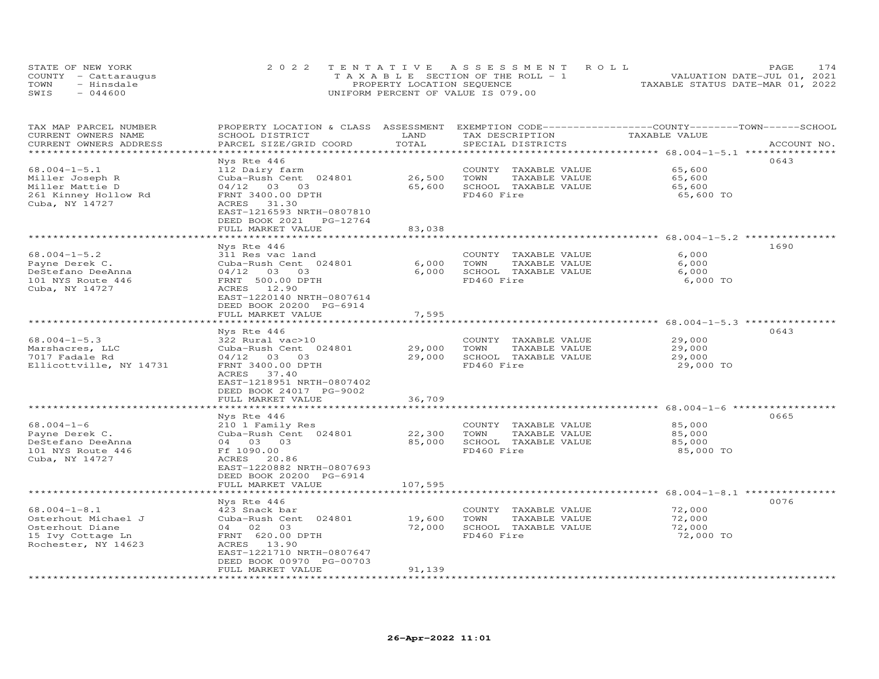| STATE OF NEW YORK    | 2022 TENTATIVE ASSESSMENT ROLL        | 174<br><b>PAGE</b>               |
|----------------------|---------------------------------------|----------------------------------|
| COUNTY - Cattaraugus | T A X A B L E SECTION OF THE ROLL - 1 | VALUATION DATE-JUL 01, 2021      |
| TOWN<br>- Hinsdale   | PROPERTY LOCATION SEQUENCE            | TAXABLE STATUS DATE-MAR 01, 2022 |
| $-044600$<br>SWIS    | UNIFORM PERCENT OF VALUE IS 079.00    |                                  |

| TAX MAP PARCEL NUMBER<br>CURRENT OWNERS NAME<br>CURRENT OWNERS ADDRESS                                   | PROPERTY LOCATION & CLASS ASSESSMENT<br>SCHOOL DISTRICT<br>PARCEL SIZE/GRID COORD                                                                                                             | LAND<br>TOTAL              | EXEMPTION CODE-----------------COUNTY-------TOWN-----SCHOOL<br>TAX DESCRIPTION<br>SPECIAL DISTRICTS | TAXABLE VALUE                                | ACCOUNT NO. |
|----------------------------------------------------------------------------------------------------------|-----------------------------------------------------------------------------------------------------------------------------------------------------------------------------------------------|----------------------------|-----------------------------------------------------------------------------------------------------|----------------------------------------------|-------------|
|                                                                                                          |                                                                                                                                                                                               | ***************            |                                                                                                     |                                              |             |
| $68.004 - 1 - 5.1$<br>Miller Joseph R<br>Miller Mattie D<br>261 Kinney Hollow Rd<br>Cuba, NY 14727       | Nys Rte 446<br>112 Dairy farm<br>Cuba-Rush Cent 024801<br>04/12 03 03<br>FRNT 3400.00 DPTH<br>ACRES<br>31.30<br>EAST-1216593 NRTH-0807810                                                     | 26,500<br>65,600           | COUNTY TAXABLE VALUE<br>TAXABLE VALUE<br>TOWN<br>SCHOOL TAXABLE VALUE<br>FD460 Fire                 | 65,600<br>65,600<br>65,600<br>65,600 TO      | 0643        |
|                                                                                                          | DEED BOOK 2021<br>PG-12764<br>FULL MARKET VALUE                                                                                                                                               | 83,038                     |                                                                                                     |                                              |             |
|                                                                                                          | ******************                                                                                                                                                                            |                            |                                                                                                     |                                              |             |
|                                                                                                          | Nys Rte 446                                                                                                                                                                                   |                            |                                                                                                     |                                              | 1690        |
| $68.004 - 1 - 5.2$<br>Payne Derek C.<br>DeStefano DeeAnna<br>101 NYS Route 446<br>Cuba, NY 14727         | 311 Res vac land<br>Cuba-Rush Cent 024801<br>$04/12$ 03 03<br>FRNT 500.00 DPTH<br>ACRES 12.90<br>EAST-1220140 NRTH-0807614<br>DEED BOOK 20200 PG-6914<br>FULL MARKET VALUE                    | 6,000<br>6,000<br>7,595    | COUNTY TAXABLE VALUE<br>TAXABLE VALUE<br>TOWN<br>SCHOOL TAXABLE VALUE<br>FD460 Fire                 | 6,000<br>6,000<br>6,000<br>6,000 TO          |             |
|                                                                                                          | ******************                                                                                                                                                                            |                            |                                                                                                     | ******************** 68.004-1-5.3 ********** |             |
| $68.004 - 1 - 5.3$<br>Marshacres, LLC<br>7017 Fadale Rd<br>Ellicottville, NY 14731                       | Nys Rte 446<br>322 Rural vac>10<br>Cuba-Rush Cent 024801<br>$04/12$ 03 03<br>FRNT 3400.00 DPTH<br>37.40<br>ACRES<br>EAST-1218951 NRTH-0807402<br>DEED BOOK 24017 PG-9002<br>FULL MARKET VALUE | 29,000<br>29,000<br>36,709 | COUNTY TAXABLE VALUE<br>TAXABLE VALUE<br>TOWN<br>SCHOOL TAXABLE VALUE<br>FD460 Fire                 | 29,000<br>29,000<br>29,000<br>29,000 TO      | 0643        |
|                                                                                                          |                                                                                                                                                                                               |                            |                                                                                                     |                                              |             |
| $68.004 - 1 - 6$<br>Payne Derek C.<br>DeStefano DeeAnna<br>101 NYS Route 446<br>Cuba, NY 14727           | Nys Rte 446<br>210 1 Family Res<br>Cuba-Rush Cent 024801<br>04 03 03<br>Ff 1090.00<br>ACRES<br>20.86<br>EAST-1220882 NRTH-0807693<br>DEED BOOK 20200 PG-6914                                  | 22,300<br>85,000           | COUNTY TAXABLE VALUE<br>TOWN<br>TAXABLE VALUE<br>SCHOOL TAXABLE VALUE<br>FD460 Fire                 | 85,000<br>85,000<br>85,000<br>85,000 TO      | 0665        |
|                                                                                                          | FULL MARKET VALUE                                                                                                                                                                             | 107,595                    |                                                                                                     |                                              |             |
| $68.004 - 1 - 8.1$<br>Osterhout Michael J<br>Osterhout Diane<br>15 Ivy Cottage Ln<br>Rochester, NY 14623 | Nys Rte 446<br>423 Snack bar<br>Cuba-Rush Cent 024801<br>04 02 03<br>FRNT 620.00 DPTH<br>ACRES 13.90<br>EAST-1221710 NRTH-0807647<br>DEED BOOK 00970 PG-00703                                 | 19,600<br>72,000           | COUNTY TAXABLE VALUE<br>TOWN<br>TAXABLE VALUE<br>SCHOOL TAXABLE VALUE<br>FD460 Fire                 | 72,000<br>72,000<br>72,000<br>72,000 TO      | 0076        |
|                                                                                                          | FULL MARKET VALUE                                                                                                                                                                             | 91,139                     |                                                                                                     |                                              |             |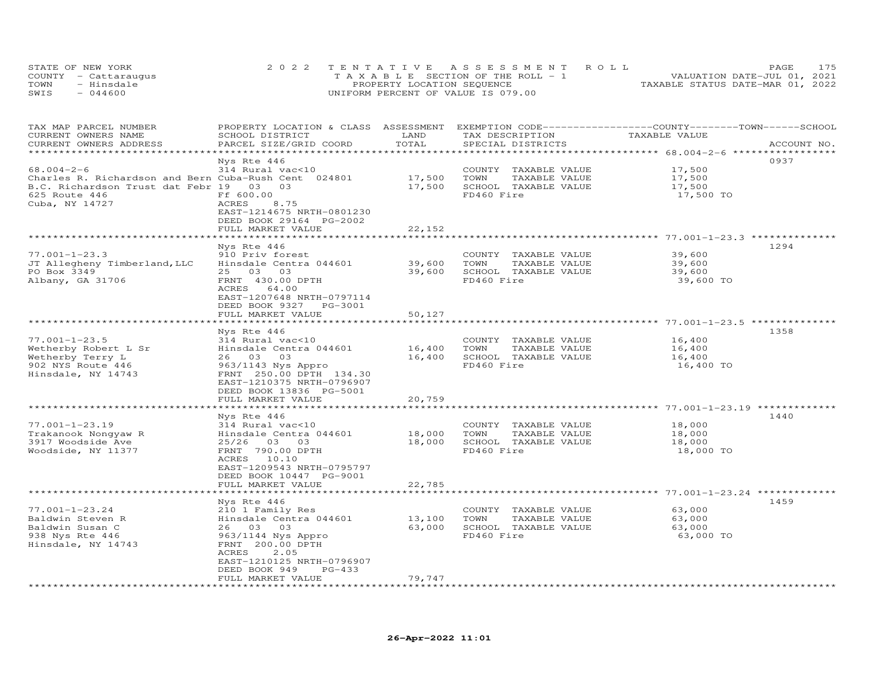| STATE OF NEW YORK    | 2022 TENTATIVE ASSESSMENT ROLL        |                                  | PAGE                        | 175 |
|----------------------|---------------------------------------|----------------------------------|-----------------------------|-----|
| COUNTY - Cattaraugus | T A X A B L E SECTION OF THE ROLL - 1 |                                  | VALUATION DATE-JUL 01, 2021 |     |
| TOWN<br>- Hinsdale   | PROPERTY LOCATION SEQUENCE            | TAXABLE STATUS DATE-MAR 01, 2022 |                             |     |
| SWIS<br>$-044600$    | UNIFORM PERCENT OF VALUE IS 079.00    |                                  |                             |     |

| TAX MAP PARCEL NUMBER<br>CURRENT OWNERS NAME<br>CURRENT OWNERS ADDRESS                                                       | PROPERTY LOCATION & CLASS ASSESSMENT<br>SCHOOL DISTRICT<br>PARCEL SIZE/GRID COORD                                                                                      | LAND<br>TOTAL    | TAX DESCRIPTION<br>SPECIAL DISTRICTS                                                | EXEMPTION CODE-----------------COUNTY-------TOWN-----SCHOOL<br>TAXABLE VALUE | ACCOUNT NO. |
|------------------------------------------------------------------------------------------------------------------------------|------------------------------------------------------------------------------------------------------------------------------------------------------------------------|------------------|-------------------------------------------------------------------------------------|------------------------------------------------------------------------------|-------------|
| $68.004 - 2 - 6$                                                                                                             | Nys Rte 446<br>314 Rural vac<10                                                                                                                                        |                  | COUNTY<br>TAXABLE VALUE                                                             | *********** 68.004-2-6 ***<br>17,500                                         | 0937        |
| Charles R. Richardson and Bern Cuba-Rush Cent 024801<br>B.C. Richardson Trust dat Febr 19<br>625 Route 446<br>Cuba, NY 14727 | 03<br>03<br>Ff 600.00<br>ACRES<br>8.75<br>EAST-1214675 NRTH-0801230<br>DEED BOOK 29164 PG-2002                                                                         | 17,500<br>17,500 | TAXABLE VALUE<br>TOWN<br>SCHOOL TAXABLE VALUE<br>FD460 Fire                         | 17,500<br>17,500<br>17,500 TO                                                |             |
|                                                                                                                              | FULL MARKET VALUE                                                                                                                                                      | 22,152           |                                                                                     |                                                                              |             |
|                                                                                                                              | Nys Rte 446                                                                                                                                                            |                  |                                                                                     |                                                                              | 1294        |
| $77.001 - 1 - 23.3$<br>JT Allegheny Timberland, LLC<br>PO Box 3349<br>Albany, GA 31706                                       | 910 Priv forest<br>Hinsdale Centra 044601<br>25 03<br>03<br>FRNT 430.00 DPTH<br>64.00<br>ACRES                                                                         | 39,600<br>39,600 | COUNTY TAXABLE VALUE<br>TOWN<br>TAXABLE VALUE<br>SCHOOL TAXABLE VALUE<br>FD460 Fire | 39,600<br>39,600<br>39,600<br>39,600 TO                                      |             |
|                                                                                                                              | EAST-1207648 NRTH-0797114<br>DEED BOOK 9327 PG-3001<br>FULL MARKET VALUE                                                                                               | 50,127           |                                                                                     |                                                                              |             |
|                                                                                                                              | ********************                                                                                                                                                   | *************    |                                                                                     |                                                                              | 1358        |
| $77.001 - 1 - 23.5$<br>Wetherby Robert L Sr                                                                                  | Nys Rte 446<br>314 Rural vac<10<br>Hinsdale Centra 044601                                                                                                              | 16,400           | COUNTY TAXABLE VALUE<br>TOWN<br>TAXABLE VALUE                                       | 16,400<br>16,400                                                             |             |
| Wetherby Terry L<br>902 NYS Route 446<br>Hinsdale, NY 14743                                                                  | 26 03<br>03<br>963/1143 Nys Appro<br>FRNT 250.00 DPTH 134.30<br>EAST-1210375 NRTH-0796907<br>DEED BOOK 13836 PG-5001<br>FULL MARKET VALUE                              | 16,400<br>20,759 | SCHOOL TAXABLE VALUE<br>FD460 Fire                                                  | 16,400<br>16,400 TO                                                          |             |
|                                                                                                                              | **************************                                                                                                                                             | *************    |                                                                                     | ******************************** 77.001-1-23.19 *************                |             |
| $77.001 - 1 - 23.19$<br>Trakanook Nongyaw R<br>3917 Woodside Ave<br>Woodside, NY 11377                                       | Nys Rte 446<br>314 Rural vac<10<br>Hinsdale Centra 044601<br>25/26 03 03<br>FRNT 790.00 DPTH<br>ACRES<br>10.10<br>EAST-1209543 NRTH-0795797<br>DEED BOOK 10447 PG-9001 | 18,000<br>18,000 | COUNTY TAXABLE VALUE<br>TOWN<br>TAXABLE VALUE<br>SCHOOL TAXABLE VALUE<br>FD460 Fire | 18,000<br>18,000<br>18,000<br>18,000 TO                                      | 1440        |
|                                                                                                                              | FULL MARKET VALUE                                                                                                                                                      | 22,785           |                                                                                     |                                                                              |             |
|                                                                                                                              | Nys Rte 446                                                                                                                                                            |                  |                                                                                     | ************************ 77.001-1-23.24 *************                        | 1459        |
| $77.001 - 1 - 23.24$<br>Baldwin Steven R<br>Baldwin Susan C<br>938 Nys Rte 446<br>Hinsdale, NY 14743                         | 210 1 Family Res<br>Hinsdale Centra 044601<br>26<br>03<br>03<br>963/1144 Nys Appro<br>FRNT 200.00 DPTH<br>ACRES<br>2.05<br>EAST-1210125 NRTH-0796907<br>$PG-433$       | 13,100<br>63,000 | COUNTY TAXABLE VALUE<br>TOWN<br>TAXABLE VALUE<br>SCHOOL TAXABLE VALUE<br>FD460 Fire | 63,000<br>63,000<br>63,000<br>63,000 TO                                      |             |
|                                                                                                                              | DEED BOOK 949<br>FULL MARKET VALUE                                                                                                                                     | 79,747           |                                                                                     |                                                                              |             |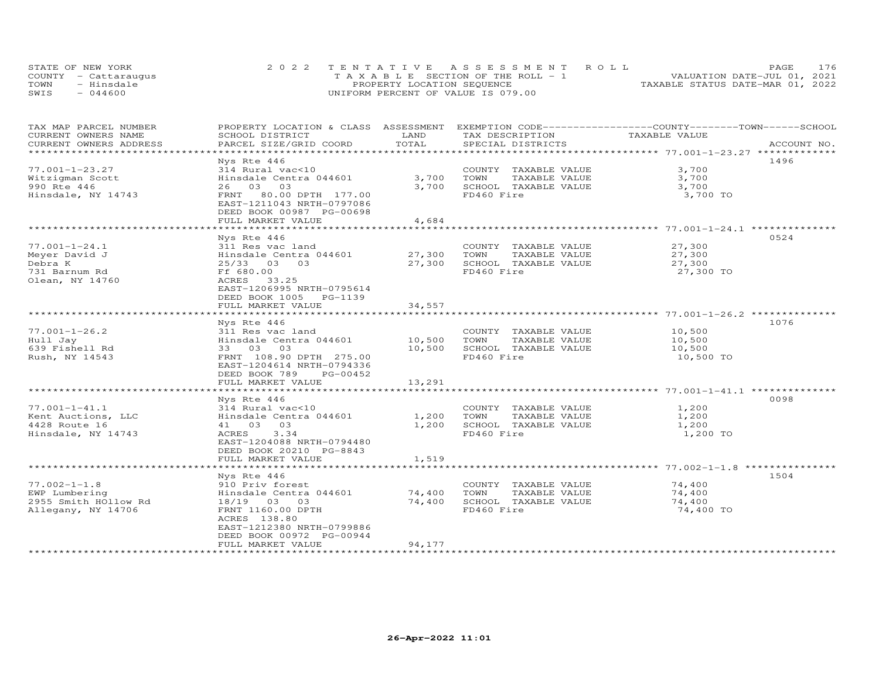| STATE OF NEW YORK    | 2022 TENTATIVE ASSESSMENT ROLL        | 176<br>PAGE.                     |
|----------------------|---------------------------------------|----------------------------------|
| COUNTY - Cattaraugus | T A X A B L E SECTION OF THE ROLL - 1 | VALUATION DATE-JUL 01, 2021      |
| TOWN<br>- Hinsdale   | PROPERTY LOCATION SEQUENCE            | TAXABLE STATUS DATE-MAR 01, 2022 |
| $-044600$<br>SWIS    | UNIFORM PERCENT OF VALUE IS 079.00    |                                  |

| TAX MAP PARCEL NUMBER                         | PROPERTY LOCATION & CLASS ASSESSMENT      |               | EXEMPTION CODE-----------------COUNTY-------TOWN------SCHOOL |               |             |
|-----------------------------------------------|-------------------------------------------|---------------|--------------------------------------------------------------|---------------|-------------|
| CURRENT OWNERS NAME<br>CURRENT OWNERS ADDRESS | SCHOOL DISTRICT<br>PARCEL SIZE/GRID COORD | LAND<br>TOTAL | TAX DESCRIPTION<br>SPECIAL DISTRICTS                         | TAXABLE VALUE | ACCOUNT NO. |
|                                               |                                           |               |                                                              |               |             |
|                                               |                                           |               |                                                              |               | 1496        |
| $77.001 - 1 - 23.27$                          | Nys Rte 446<br>314 Rural vac<10           |               | COUNTY TAXABLE VALUE                                         | 3,700         |             |
|                                               | Hinsdale Centra 044601                    | 3,700         | TOWN<br>TAXABLE VALUE                                        |               |             |
| Witzigman Scott                               |                                           |               |                                                              | 3,700         |             |
| 990 Rte 446                                   | 26 03 03                                  | 3,700         | SCHOOL TAXABLE VALUE                                         | 3,700         |             |
| Hinsdale, NY 14743                            | FRNT 80.00 DPTH 177.00                    |               | FD460 Fire                                                   | 3,700 TO      |             |
|                                               | EAST-1211043 NRTH-0797086                 |               |                                                              |               |             |
|                                               | DEED BOOK 00987 PG-00698                  |               |                                                              |               |             |
|                                               | FULL MARKET VALUE                         | 4,684         |                                                              |               |             |
|                                               |                                           |               |                                                              |               |             |
|                                               | Nys Rte 446                               |               |                                                              |               | 0524        |
| $77.001 - 1 - 24.1$                           | 311 Res vac land                          |               | COUNTY TAXABLE VALUE                                         | 27,300        |             |
| Meyer David J                                 | Hinsdale Centra 044601                    | 27,300        | TAXABLE VALUE<br>TOWN                                        | 27,300        |             |
| Debra K                                       | $25/33$ 03<br>03                          | 27,300        | SCHOOL TAXABLE VALUE                                         | 27,300        |             |
| 731 Barnum Rd                                 | Ff 680.00                                 |               | FD460 Fire                                                   | 27,300 TO     |             |
| Olean, NY 14760                               | 33.25<br>ACRES                            |               |                                                              |               |             |
|                                               | EAST-1206995 NRTH-0795614                 |               |                                                              |               |             |
|                                               | DEED BOOK 1005 PG-1139                    |               |                                                              |               |             |
|                                               | FULL MARKET VALUE                         | 34,557        |                                                              |               |             |
|                                               | * * * * * * * * * * * * * * * * * * *     | **********    |                                                              |               |             |
|                                               | Nys Rte 446                               |               |                                                              |               | 1076        |
| $77.001 - 1 - 26.2$                           | 311 Res vac land                          |               | COUNTY TAXABLE VALUE                                         | 10,500        |             |
| Hull Jay                                      | Hinsdale Centra 044601                    | 10,500        | TOWN<br>TAXABLE VALUE                                        | 10,500        |             |
| 639 Fishell Rd                                | 33 03 03                                  | 10,500        | SCHOOL TAXABLE VALUE                                         | 10,500        |             |
| Rush, NY 14543                                | FRNT 108.90 DPTH 275.00                   |               | FD460 Fire                                                   | 10,500 TO     |             |
|                                               | EAST-1204614 NRTH-0794336                 |               |                                                              |               |             |
|                                               | DEED BOOK 789<br>PG-00452                 |               |                                                              |               |             |
|                                               | FULL MARKET VALUE                         | 13,291        |                                                              |               |             |
|                                               |                                           |               |                                                              |               |             |
|                                               | Nys Rte 446                               |               |                                                              |               | 0098        |
| $77.001 - 1 - 41.1$                           | 314 Rural vac<10                          |               | COUNTY TAXABLE VALUE                                         | 1,200         |             |
| Kent Auctions, LLC                            | Hinsdale Centra 044601                    | 1,200         | TOWN<br>TAXABLE VALUE                                        | 1,200         |             |
| 4428 Route 16                                 | 41 03 03                                  | 1,200         | SCHOOL TAXABLE VALUE                                         | 1,200         |             |
| Hinsdale, NY 14743                            | ACRES<br>3.34                             |               | FD460 Fire                                                   | 1,200 TO      |             |
|                                               | EAST-1204088 NRTH-0794480                 |               |                                                              |               |             |
|                                               | DEED BOOK 20210 PG-8843                   |               |                                                              |               |             |
|                                               | FULL MARKET VALUE                         | 1,519         |                                                              |               |             |
|                                               |                                           |               |                                                              |               |             |
|                                               | Nys Rte 446                               |               |                                                              |               | 1504        |
| $77.002 - 1 - 1.8$                            | 910 Priv forest                           |               | COUNTY TAXABLE VALUE                                         | 74,400        |             |
| EWP Lumbering                                 | Hinsdale Centra 044601                    | 74,400        | TAXABLE VALUE<br>TOWN                                        | 74,400        |             |
| 2955 Smith HOllow Rd                          | 18/19 03 03                               | 74,400        | SCHOOL TAXABLE VALUE                                         | 74,400        |             |
| Allegany, NY 14706                            | FRNT 1160.00 DPTH                         |               | FD460 Fire                                                   | 74,400 TO     |             |
|                                               | ACRES 138.80                              |               |                                                              |               |             |
|                                               | EAST-1212380 NRTH-0799886                 |               |                                                              |               |             |
|                                               | DEED BOOK 00972 PG-00944                  |               |                                                              |               |             |
|                                               | FULL MARKET VALUE                         | 94,177        |                                                              |               |             |
|                                               |                                           |               |                                                              |               |             |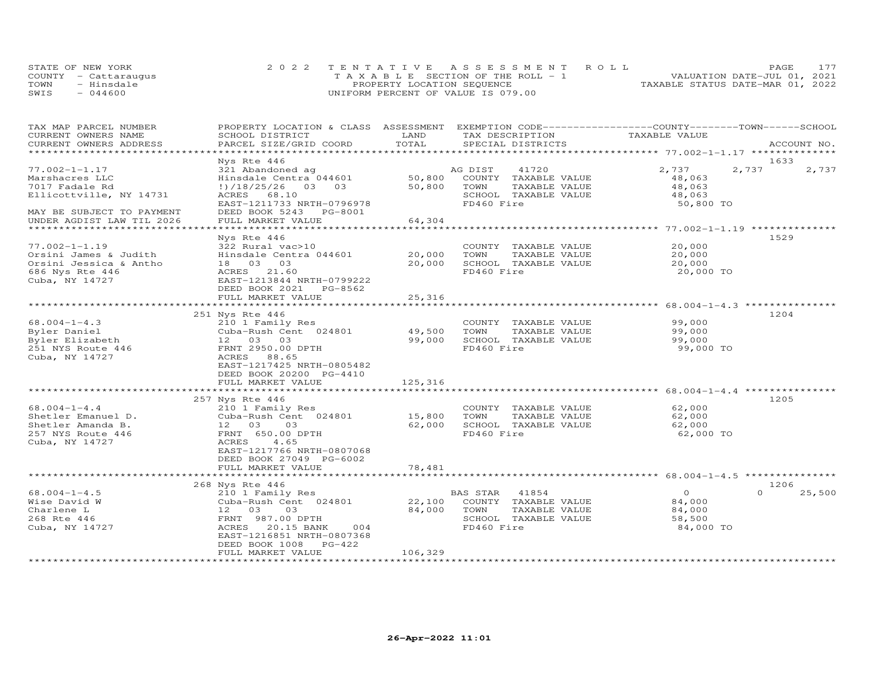|      | STATE OF NEW YORK    | 2022 TENTATIVE ASSESSMENT ROLL        | PAGE.                            |
|------|----------------------|---------------------------------------|----------------------------------|
|      | COUNTY - Cattaraugus | T A X A B L E SECTION OF THE ROLL - 1 | VALUATION DATE-JUL 01, 2021      |
| TOWN | - Hinsdale           | PROPERTY LOCATION SEQUENCE            | TAXABLE STATUS DATE-MAR 01, 2022 |
| SWIS | $-044600$            | UNIFORM PERCENT OF VALUE IS 079.00    |                                  |

| TAX MAP PARCEL NUMBER<br>CURRENT OWNERS NAME                                                                | PROPERTY LOCATION & CLASS ASSESSMENT EXEMPTION CODE----------------COUNTY-------TOWN------SCHOOL<br>SCHOOL DISTRICT                                                                            | LAND                        | TAX DESCRIPTION                                                                                          | TAXABLE VALUE                                                                                |                            |
|-------------------------------------------------------------------------------------------------------------|------------------------------------------------------------------------------------------------------------------------------------------------------------------------------------------------|-----------------------------|----------------------------------------------------------------------------------------------------------|----------------------------------------------------------------------------------------------|----------------------------|
| CURRENT OWNERS ADDRESS<br>**********************                                                            | PARCEL SIZE/GRID COORD                                                                                                                                                                         | TOTAL                       | SPECIAL DISTRICTS                                                                                        |                                                                                              | ACCOUNT NO.                |
|                                                                                                             | Nys Rte 446                                                                                                                                                                                    |                             |                                                                                                          |                                                                                              | 1633                       |
| $77.002 - 1 - 1.17$<br>Marshacres LLC<br>7017 Fadale Rd<br>Ellicottville, NY 14731                          | 321 Abandoned ag<br>Hinsdale Centra 044601<br>$\frac{1}{2}$ /18/25/26 03 03<br>ACRES 68.10<br>EAST-1211733 NRTH-0796978                                                                        | 50,800<br>50,800            | AG DIST<br>41720<br>COUNTY TAXABLE VALUE<br>TOWN<br>TAXABLE VALUE<br>SCHOOL TAXABLE VALUE<br>FD460 Fire  | 2,737<br>48,063<br>48,063<br>48,063<br>50,800 TO                                             | 2,737<br>2,737             |
| MAY BE SUBJECT TO PAYMENT<br>UNDER AGDIST LAW TIL 2026                                                      | DEED BOOK 5243 PG-8001<br>FULL MARKET VALUE                                                                                                                                                    | 64,304                      |                                                                                                          |                                                                                              |                            |
|                                                                                                             |                                                                                                                                                                                                |                             |                                                                                                          |                                                                                              |                            |
| $77.002 - 1 - 1.19$<br>Orsini James & Judith<br>Orsini Jessica & Antho<br>686 Nys Rte 446<br>Cuba, NY 14727 | Nys Rte 446<br>322 Rural vac>10<br>Hinsdale Centra 044601<br>18  03  03<br>21.60<br>ACRES<br>EAST-1213844 NRTH-0799222<br>DEED BOOK 2021 PG-8562                                               | 20,000<br>20,000            | COUNTY TAXABLE VALUE<br>TOWN<br>TAXABLE VALUE<br>SCHOOL TAXABLE VALUE<br>FD460 Fire                      | 20,000<br>20,000<br>20,000<br>20,000 TO                                                      | 1529                       |
|                                                                                                             | FULL MARKET VALUE                                                                                                                                                                              | 25,316                      |                                                                                                          |                                                                                              |                            |
|                                                                                                             | ***********************                                                                                                                                                                        | * * * * * * * * * * *       |                                                                                                          |                                                                                              |                            |
| $68.004 - 1 - 4.3$<br>Byler Daniel<br>Byler Elizabeth<br>251 NYS Route 446<br>Cuba, NY 14727                | 251 Nys Rte 446<br>210 1 Family Res<br>Cuba-Rush Cent 024801<br>12  03  03<br>FRNT 2950.00 DPTH<br>ACRES<br>88.65<br>EAST-1217425 NRTH-0805482<br>DEED BOOK 20200 PG-4410<br>FULL MARKET VALUE | 49,500<br>99,000<br>125,316 | COUNTY TAXABLE VALUE<br>TOWN<br>TAXABLE VALUE<br>SCHOOL TAXABLE VALUE<br>FD460 Fire                      | 99,000<br>99,000<br>99,000<br>99,000 TO<br>******************************** 68.004-1-4.4 *** | 1204                       |
|                                                                                                             | 257 Nys Rte 446                                                                                                                                                                                |                             |                                                                                                          |                                                                                              | 1205                       |
| $68.004 - 1 - 4.4$<br>Shetler Emanuel D.<br>Shetler Amanda B.<br>257 NYS Route 446<br>Cuba, NY 14727        | 210 1 Family Res<br>Cuba-Rush Cent 024801<br>12 03<br>03<br>FRNT 650.00 DPTH<br>ACRES<br>4.65<br>EAST-1217766 NRTH-0807068<br>DEED BOOK 27049 PG-6002                                          | 15,800<br>62,000            | COUNTY TAXABLE VALUE<br>TOWN<br>TAXABLE VALUE<br>SCHOOL TAXABLE VALUE<br>FD460 Fire                      | 62,000<br>62,000<br>62,000<br>62,000 TO                                                      |                            |
|                                                                                                             | FULL MARKET VALUE                                                                                                                                                                              | 78,481                      |                                                                                                          |                                                                                              |                            |
|                                                                                                             | ***********************                                                                                                                                                                        |                             |                                                                                                          |                                                                                              |                            |
| $68.004 - 1 - 4.5$<br>Wise David W<br>Charlene L<br>268 Rte 446<br>Cuba, NY 14727                           | 268 Nys Rte 446<br>210 1 Family Res<br>Cuba-Rush Cent 024801<br>12 03<br>03<br>FRNT 987.00 DPTH<br>20.15 BANK<br>ACRES<br>004<br>EAST-1216851 NRTH-0807368<br>DEED BOOK 1008<br>$PG-422$       | 22,100<br>84,000            | BAS STAR<br>41854<br>COUNTY TAXABLE VALUE<br>TOWN<br>TAXABLE VALUE<br>SCHOOL TAXABLE VALUE<br>FD460 Fire | $\circ$<br>84,000<br>84,000<br>58,500<br>84,000 TO                                           | 1206<br>$\Omega$<br>25,500 |
|                                                                                                             | FULL MARKET VALUE                                                                                                                                                                              | 106,329                     |                                                                                                          |                                                                                              |                            |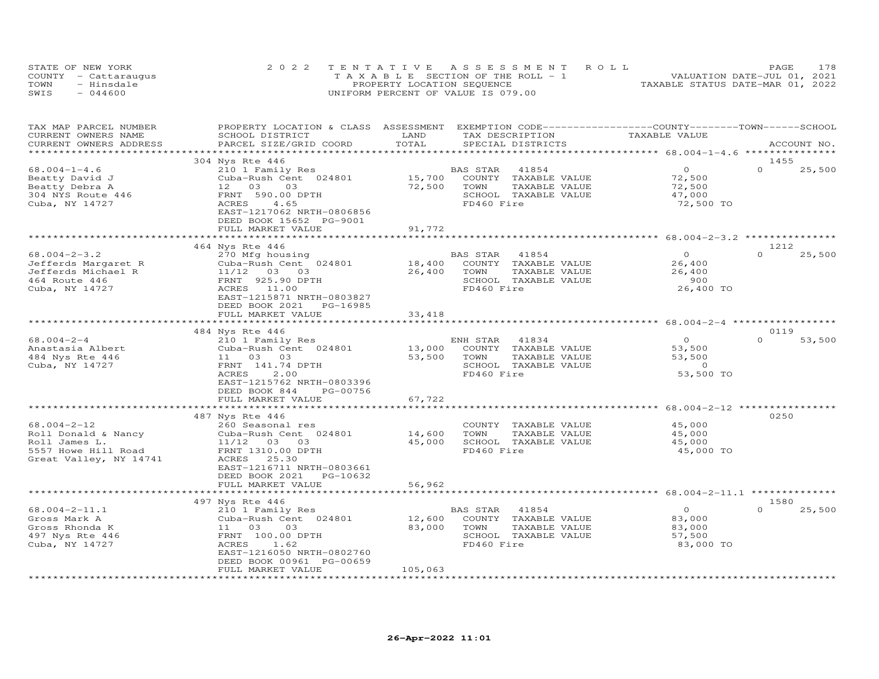|      | STATE OF NEW YORK    | 2022 TENTATIVE ASSESSMENT ROLL        | 178<br>PAGE                      |
|------|----------------------|---------------------------------------|----------------------------------|
|      | COUNTY - Cattarauqus | T A X A B L E SECTION OF THE ROLL - 1 | VALUATION DATE-JUL 01, 2021      |
| TOWN | - Hinsdale           | PROPERTY LOCATION SEQUENCE            | TAXABLE STATUS DATE-MAR 01, 2022 |
| SWIS | $-044600$            | UNIFORM PERCENT OF VALUE IS 079.00    |                                  |

| TAX MAP PARCEL NUMBER<br>CURRENT OWNERS NAME<br>CURRENT OWNERS ADDRESS | PROPERTY LOCATION & CLASS ASSESSMENT EXEMPTION CODE----------------COUNTY-------TOWN------SCHOOL<br>SCHOOL DISTRICT<br>PARCEL SIZE/GRID COORD | LAND<br>TOTAL             |                | TAX DESCRIPTION<br>SPECIAL DISTRICTS | TAXABLE VALUE                                      |          | ACCOUNT NO.    |
|------------------------------------------------------------------------|-----------------------------------------------------------------------------------------------------------------------------------------------|---------------------------|----------------|--------------------------------------|----------------------------------------------------|----------|----------------|
|                                                                        |                                                                                                                                               |                           |                |                                      |                                                    |          |                |
|                                                                        | 304 Nys Rte 446                                                                                                                               |                           |                |                                      | $\Omega$                                           |          | 1455           |
| $68.004 - 1 - 4.6$                                                     | 210 1 Family Res                                                                                                                              |                           | BAS STAR       | 41854                                |                                                    | $\Omega$ | 25,500         |
| Beatty David J                                                         | Cuba-Rush Cent 024801                                                                                                                         | 15,700                    |                | COUNTY TAXABLE VALUE                 | 72,500                                             |          |                |
| Beatty Debra A                                                         | 12 03<br>03                                                                                                                                   | 72,500                    | TOWN           | TAXABLE VALUE                        | 72,500                                             |          |                |
| 304 NYS Route 446                                                      | FRNT 590.00 DPTH                                                                                                                              |                           | FD460 Fire     | SCHOOL TAXABLE VALUE                 | 47,000                                             |          |                |
| Cuba, NY 14727                                                         | ACRES<br>4.65<br>EAST-1217062 NRTH-0806856                                                                                                    |                           |                |                                      | 72,500 TO                                          |          |                |
|                                                                        | DEED BOOK 15652 PG-9001                                                                                                                       |                           |                |                                      |                                                    |          |                |
|                                                                        | FULL MARKET VALUE<br>***********************                                                                                                  | 91,772<br>*************** |                |                                      |                                                    |          |                |
|                                                                        |                                                                                                                                               |                           |                |                                      |                                                    |          |                |
| $68.004 - 2 - 3.2$                                                     | 464 Nys Rte 446                                                                                                                               |                           |                |                                      | $\overline{O}$                                     | $\Omega$ | 1212<br>25,500 |
|                                                                        | 270 Mfg housing<br>Cuba-Rush Cent 024801                                                                                                      | 18,400                    | BAS STAR 41854 | COUNTY TAXABLE VALUE                 |                                                    |          |                |
| Jefferds Margaret R                                                    |                                                                                                                                               |                           |                |                                      | 26,400                                             |          |                |
| Jefferds Michael R                                                     | $11/12$ 03 03<br>FRNT 925.90 DPTH                                                                                                             | 26,400                    | TOWN           | TAXABLE VALUE                        | 26,400<br>900                                      |          |                |
| 464 Route 446                                                          |                                                                                                                                               |                           |                | SCHOOL TAXABLE VALUE                 |                                                    |          |                |
| Cuba, NY 14727                                                         | ACRES 11.00<br>EAST-1215871 NRTH-0803827                                                                                                      |                           | FD460 Fire     |                                      | 26,400 TO                                          |          |                |
|                                                                        | DEED BOOK 2021<br>PG-16985                                                                                                                    |                           |                |                                      |                                                    |          |                |
|                                                                        | FULL MARKET VALUE                                                                                                                             | 33,418                    |                |                                      |                                                    |          |                |
|                                                                        | ***********************                                                                                                                       | **************            |                |                                      |                                                    |          |                |
|                                                                        | 484 Nys Rte 446                                                                                                                               |                           |                |                                      |                                                    |          | 0119           |
| $68.004 - 2 - 4$                                                       | 210 1 Family Res                                                                                                                              |                           | ENH STAR       | 41834                                | $\overline{0}$                                     | $\Omega$ | 53,500         |
| Anastasia Albert                                                       | Cuba-Rush Cent 024801                                                                                                                         | 13,000                    |                | COUNTY TAXABLE VALUE                 | 53,500                                             |          |                |
| 484 Nys Rte 446                                                        | 11 03<br>03                                                                                                                                   | 53,500                    | TOWN           | TAXABLE VALUE                        | 53,500                                             |          |                |
| Cuba, NY 14727                                                         | FRNT 141.74 DPTH                                                                                                                              |                           |                | SCHOOL TAXABLE VALUE                 | $\overline{0}$                                     |          |                |
|                                                                        | ACRES<br>2,00                                                                                                                                 |                           | FD460 Fire     |                                      | 53,500 TO                                          |          |                |
|                                                                        | EAST-1215762 NRTH-0803396                                                                                                                     |                           |                |                                      |                                                    |          |                |
|                                                                        | DEED BOOK 844<br>PG-00756                                                                                                                     |                           |                |                                      |                                                    |          |                |
|                                                                        | FULL MARKET VALUE                                                                                                                             | 67,722                    |                |                                      |                                                    |          |                |
|                                                                        | *************************                                                                                                                     | *************             |                |                                      | *************************** 68.004-2-12 ********** |          |                |
|                                                                        | 487 Nys Rte 446                                                                                                                               |                           |                |                                      |                                                    |          | 0250           |
| $68.004 - 2 - 12$                                                      | 260 Seasonal res                                                                                                                              |                           |                | COUNTY TAXABLE VALUE                 | 45,000                                             |          |                |
| Roll Donald & Nancy                                                    | Cuba-Rush Cent 024801                                                                                                                         | 14,600                    | TOWN           | TAXABLE VALUE                        | 45,000                                             |          |                |
| Roll James L.                                                          | 11/12 03 03                                                                                                                                   | 45,000                    |                | SCHOOL TAXABLE VALUE                 | 45,000                                             |          |                |
| 5557 Howe Hill Road                                                    | FRNT 1310.00 DPTH                                                                                                                             |                           | FD460 Fire     |                                      | 45,000 TO                                          |          |                |
| Great Valley, NY 14741                                                 | ACRES<br>25.30                                                                                                                                |                           |                |                                      |                                                    |          |                |
|                                                                        | EAST-1216711 NRTH-0803661                                                                                                                     |                           |                |                                      |                                                    |          |                |
|                                                                        | DEED BOOK 2021 PG-10632                                                                                                                       |                           |                |                                      |                                                    |          |                |
|                                                                        | FULL MARKET VALUE                                                                                                                             | 56,962                    |                |                                      |                                                    |          |                |
|                                                                        |                                                                                                                                               |                           |                |                                      |                                                    |          |                |
|                                                                        | 497 Nys Rte 446                                                                                                                               |                           |                |                                      |                                                    |          | 1580           |
| $68.004 - 2 - 11.1$                                                    | 210 1 Family Res                                                                                                                              |                           | BAS STAR       | 41854                                | $\overline{0}$                                     | $\Omega$ | 25,500         |
| Gross Mark A                                                           | Cuba-Rush Cent 024801                                                                                                                         | 12,600                    |                | COUNTY TAXABLE VALUE                 | 83,000                                             |          |                |
| Gross Rhonda K                                                         | 11 03<br>03                                                                                                                                   | 83,000                    | TOWN           | TAXABLE VALUE                        | 83,000                                             |          |                |
| 497 Nys Rte 446                                                        | FRNT 100.00 DPTH                                                                                                                              |                           |                | SCHOOL TAXABLE VALUE                 | 57,500                                             |          |                |
| Cuba, NY 14727                                                         | ACRES<br>1.62                                                                                                                                 |                           | FD460 Fire     |                                      | 83,000 TO                                          |          |                |
|                                                                        | EAST-1216050 NRTH-0802760                                                                                                                     |                           |                |                                      |                                                    |          |                |
|                                                                        | DEED BOOK 00961 PG-00659                                                                                                                      |                           |                |                                      |                                                    |          |                |
|                                                                        | FULL MARKET VALUE                                                                                                                             | 105,063                   |                |                                      |                                                    |          |                |
|                                                                        |                                                                                                                                               |                           |                |                                      |                                                    |          |                |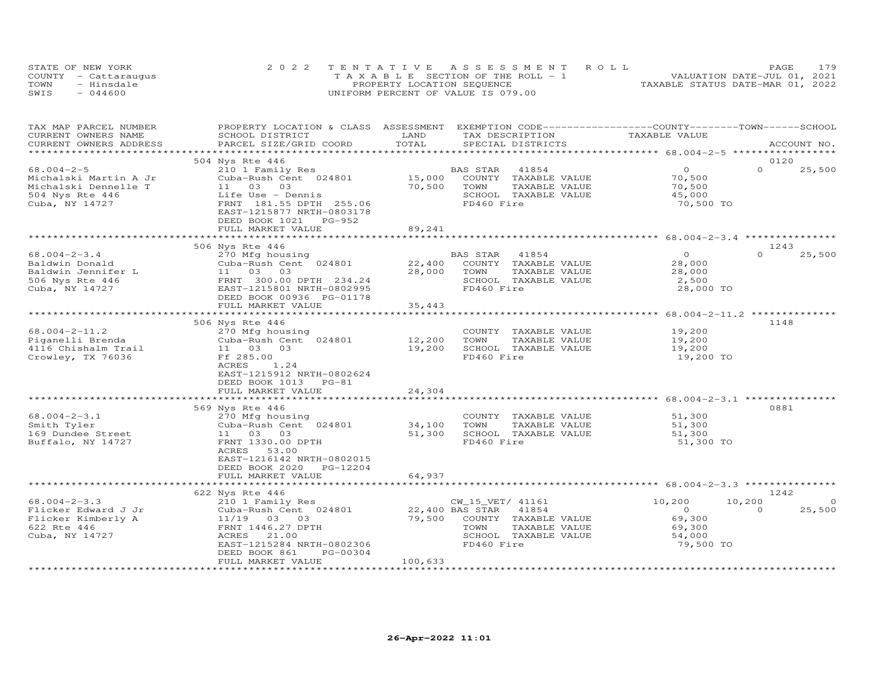|      | STATE OF NEW YORK    | 2022 TENTATIVE ASSESSMENT ROLL        | 179<br>PAGE.                     |
|------|----------------------|---------------------------------------|----------------------------------|
|      | COUNTY - Cattaraugus | T A X A B L E SECTION OF THE ROLL - 1 | VALUATION DATE-JUL 01, 2021      |
| TOWN | - Hinsdale           | PROPERTY LOCATION SEQUENCE            | TAXABLE STATUS DATE-MAR 01, 2022 |
| SWIS | $-044600$            | UNIFORM PERCENT OF VALUE IS 079.00    |                                  |

| TAX MAP PARCEL NUMBER    | PROPERTY LOCATION & CLASS ASSESSMENT                  |               | EXEMPTION CODE-----------------COUNTY-------TOWN-----SCHOOL |                                                       |                    |
|--------------------------|-------------------------------------------------------|---------------|-------------------------------------------------------------|-------------------------------------------------------|--------------------|
| CURRENT OWNERS NAME      | SCHOOL DISTRICT                                       | LAND          | TAX DESCRIPTION                                             | TAXABLE VALUE                                         |                    |
| CURRENT OWNERS ADDRESS   | PARCEL SIZE/GRID COORD                                | TOTAL         | SPECIAL DISTRICTS                                           |                                                       | ACCOUNT NO.        |
|                          |                                                       |               |                                                             |                                                       |                    |
|                          | 504 Nys Rte 446                                       |               |                                                             |                                                       | 0120<br>$\Omega$   |
| $68.004 - 2 - 5$         | 210 1 Family Res                                      |               | BAS STAR<br>41854                                           | $\circ$                                               | 25,500             |
| Michalski Martin A Jr    | Cuba-Rush Cent 024801                                 | 15,000        | COUNTY TAXABLE VALUE                                        | 70,500                                                |                    |
| Michalski Dennelle T     | 11 03 03                                              | 70,500        | TOWN<br>TAXABLE VALUE                                       | 70,500                                                |                    |
| 504 Nys Rte 446          | Life Use - Dennis                                     |               | SCHOOL TAXABLE VALUE                                        | 45,000                                                |                    |
| Cuba, NY 14727           | FRNT 181.55 DPTH 255.06                               |               | FD460 Fire                                                  | 70,500 TO                                             |                    |
|                          | EAST-1215877 NRTH-0803178<br>DEED BOOK 1021<br>PG-952 |               |                                                             |                                                       |                    |
|                          | FULL MARKET VALUE                                     | 89,241        |                                                             |                                                       |                    |
|                          | **********************                                | *********     |                                                             | ********************** 68.004-2-3.4 **********        |                    |
|                          | 506 Nys Rte 446                                       |               |                                                             |                                                       | 1243               |
| $68.004 - 2 - 3.4$       | 270 Mfg housing                                       |               | BAS STAR<br>41854                                           | $\Omega$                                              | $\Omega$<br>25,500 |
| Baldwin Donald           | Cuba-Rush Cent 024801                                 | 22,400        | COUNTY TAXABLE VALUE                                        | 28,000                                                |                    |
| Baldwin Jennifer L       | 11 03<br>03                                           | 28,000        | TOWN<br>TAXABLE VALUE                                       | 28,000                                                |                    |
| 506 Nys Rte 446          | FRNT 300.00 DPTH 234.24                               |               | SCHOOL TAXABLE VALUE                                        | 2,500                                                 |                    |
| Cuba, NY 14727           | EAST-1215801 NRTH-0802995                             |               | FD460 Fire                                                  | 28,000 TO                                             |                    |
|                          | DEED BOOK 00936 PG-01178                              |               |                                                             |                                                       |                    |
|                          | FULL MARKET VALUE                                     | 35,443        |                                                             |                                                       |                    |
|                          |                                                       | ************* |                                                             | *********************** 68.004-2-11.2 *************** |                    |
|                          | 506 Nys Rte 446                                       |               |                                                             |                                                       | 1148               |
| $68.004 - 2 - 11.2$      | 270 Mfg housing                                       |               | COUNTY TAXABLE VALUE                                        | 19,200                                                |                    |
| Piganelli Brenda         | Cuba-Rush Cent 024801                                 | 12,200        | TAXABLE VALUE<br>TOWN                                       | 19,200                                                |                    |
| 4116 Chishalm Trail      | 11 03 03                                              | 19,200        | SCHOOL TAXABLE VALUE                                        | 19,200                                                |                    |
| Crowley, TX 76036        | Ff 285.00                                             |               | FD460 Fire                                                  | 19,200 TO                                             |                    |
|                          | ACRES<br>1.24                                         |               |                                                             |                                                       |                    |
|                          | EAST-1215912 NRTH-0802624                             |               |                                                             |                                                       |                    |
|                          | DEED BOOK 1013<br>$PG-81$                             |               |                                                             |                                                       |                    |
|                          | FULL MARKET VALUE                                     | 24,304        |                                                             |                                                       |                    |
|                          | ********************                                  |               |                                                             | ********** 68.004-2-3.1 ***                           |                    |
|                          | 569 Nys Rte 446                                       |               |                                                             |                                                       | 0881               |
| $68.004 - 2 - 3.1$       | 270 Mfg housing                                       |               | COUNTY TAXABLE VALUE                                        | 51,300                                                |                    |
| Smith Tyler              | Cuba-Rush Cent 024801                                 | 34,100        | TOWN<br>TAXABLE VALUE                                       | 51,300                                                |                    |
| 169 Dundee Street        | 11 03 03                                              | 51,300        | SCHOOL TAXABLE VALUE                                        | 51,300                                                |                    |
| Buffalo, NY 14727        | FRNT 1330.00 DPTH                                     |               | FD460 Fire                                                  | 51,300 TO                                             |                    |
|                          | ACRES 53.00                                           |               |                                                             |                                                       |                    |
|                          | EAST-1216142 NRTH-0802015                             |               |                                                             |                                                       |                    |
|                          | DEED BOOK 2020<br>PG-12204                            |               |                                                             |                                                       |                    |
|                          | FULL MARKET VALUE                                     | 64,937        |                                                             |                                                       |                    |
|                          |                                                       |               |                                                             |                                                       |                    |
|                          | 622 Nys Rte 446                                       |               |                                                             |                                                       | 1242               |
| $68.004 - 2 - 3.3$       | 210 1 Family Res                                      |               | CW 15 VET/ 41161                                            | 10,200                                                | 10,200<br>$\circ$  |
| Flicker Edward J Jr      | Cuba-Rush Cent 024801                                 |               | 22,400 BAS STAR 41854                                       | $\Omega$                                              | 25,500<br>$\Omega$ |
| Flicker Kimberly A       | 11/19 03 03                                           | 79,500        | COUNTY TAXABLE VALUE                                        | 69,300                                                |                    |
| 622 Rte 446              | FRNT 1446.27 DPTH                                     |               | TOWN<br>TAXABLE VALUE                                       | 69,300                                                |                    |
| Cuba, NY 14727           | ACRES<br>21,00                                        |               | SCHOOL TAXABLE VALUE                                        | 54,000                                                |                    |
|                          | EAST-1215284 NRTH-0802306                             |               | FD460 Fire                                                  | 79,500 TO                                             |                    |
|                          | DEED BOOK 861<br>PG-00304                             |               |                                                             |                                                       |                    |
|                          | FULL MARKET VALUE                                     | 100,633       |                                                             |                                                       |                    |
| ************************ |                                                       |               |                                                             |                                                       |                    |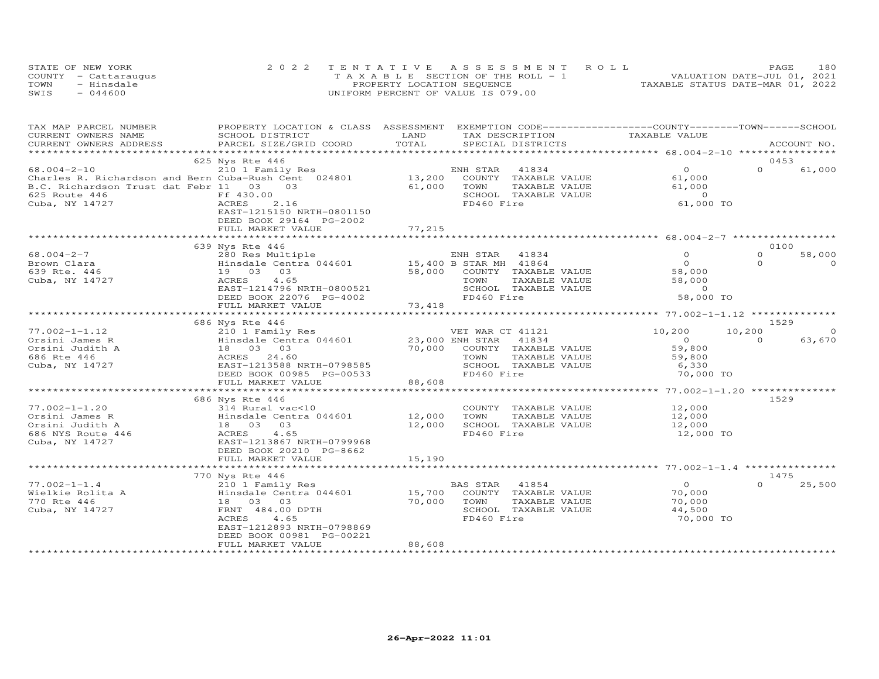|      | STATE OF NEW YORK    | 2022 TENTATIVE ASSESSMENT ROLL        | 180<br>PAGE                      |
|------|----------------------|---------------------------------------|----------------------------------|
|      | COUNTY - Cattaraugus | T A X A B L E SECTION OF THE ROLL - 1 | VALUATION DATE-JUL 01, 2021      |
| TOWN | - Hinsdale           | PROPERTY LOCATION SEQUENCE            | TAXABLE STATUS DATE-MAR 01, 2022 |
| SWIS | $-044600$            | UNIFORM PERCENT OF VALUE IS 079.00    |                                  |

| TAX MAP PARCEL NUMBER                                | PROPERTY LOCATION & CLASS ASSESSMENT EXEMPTION CODE----------------COUNTY-------TOWN------SCHOOL |                              |                       |                                                   |          |             |
|------------------------------------------------------|--------------------------------------------------------------------------------------------------|------------------------------|-----------------------|---------------------------------------------------|----------|-------------|
| CURRENT OWNERS NAME                                  | SCHOOL DISTRICT                                                                                  | LAND                         | TAX DESCRIPTION       | TAXABLE VALUE                                     |          |             |
| CURRENT OWNERS ADDRESS                               | PARCEL SIZE/GRID COORD                                                                           | TOTAL<br>******************* | SPECIAL DISTRICTS     |                                                   |          | ACCOUNT NO. |
|                                                      |                                                                                                  |                              |                       | ******************* 68.004-2-10 ***************** |          |             |
|                                                      | 625 Nys Rte 446                                                                                  |                              |                       |                                                   | 0453     |             |
| $68.004 - 2 - 10$                                    | 210 1 Family Res                                                                                 |                              | ENH STAR<br>41834     | $\Omega$                                          | $\Omega$ | 61,000      |
| Charles R. Richardson and Bern Cuba-Rush Cent 024801 |                                                                                                  | 13,200                       | COUNTY TAXABLE VALUE  | 61,000                                            |          |             |
| B.C. Richardson Trust dat Febr 11                    | 03<br>03                                                                                         | 61,000                       | TOWN<br>TAXABLE VALUE | 61,000                                            |          |             |
| 625 Route 446                                        | Ff 430.00                                                                                        |                              | SCHOOL TAXABLE VALUE  | $\overline{0}$                                    |          |             |
| Cuba, NY 14727                                       | ACRES<br>2.16                                                                                    |                              | FD460 Fire            | 61,000 TO                                         |          |             |
|                                                      | EAST-1215150 NRTH-0801150                                                                        |                              |                       |                                                   |          |             |
|                                                      | DEED BOOK 29164 PG-2002                                                                          |                              |                       |                                                   |          |             |
|                                                      | FULL MARKET VALUE                                                                                | 77,215                       |                       |                                                   |          |             |
|                                                      | 639 Nys Rte 446                                                                                  |                              |                       |                                                   | 0100     |             |
| $68.004 - 2 - 7$                                     | 280 Res Multiple                                                                                 |                              | ENH STAR 41834        | $\Omega$                                          | $\Omega$ | 58,000      |
| Brown Clara                                          | Hinsdale Centra 044601 15,400 B STAR MH 41864                                                    |                              |                       | $\Omega$                                          | $\Omega$ | $\Omega$    |
| 639 Rte. 446                                         | 19 03<br>03                                                                                      | 58,000                       | COUNTY TAXABLE VALUE  | 58,000                                            |          |             |
| Cuba, NY 14727                                       | 4.65<br>ACRES                                                                                    |                              | TOWN<br>TAXABLE VALUE | 58,000                                            |          |             |
|                                                      | EAST-1214796 NRTH-0800521                                                                        |                              | SCHOOL TAXABLE VALUE  | $\overline{0}$                                    |          |             |
|                                                      | DEED BOOK 22076 PG-4002                                                                          |                              | FD460 Fire            | 58,000 TO                                         |          |             |
|                                                      | FULL MARKET VALUE                                                                                | 73,418                       |                       |                                                   |          |             |
|                                                      | ***********************                                                                          |                              |                       |                                                   |          |             |
|                                                      | 686 Nys Rte 446                                                                                  |                              |                       |                                                   | 1529     |             |
| $77.002 - 1 - 1.12$                                  | 210 1 Family Res                                                                                 |                              | VET WAR CT 41121      | 10,200                                            | 10,200   | $\Omega$    |
| Orsini James R                                       | Hinsdale Centra 044601                                                                           | 23,000 ENH STAR              | 41834                 | $\overline{O}$                                    | $\Omega$ | 63,670      |
| Orsini Judith A                                      | 18 03 03                                                                                         | 70,000                       | COUNTY TAXABLE VALUE  | 59,800                                            |          |             |
| 686 Rte 446                                          | ACRES 24.60                                                                                      |                              | TOWN<br>TAXABLE VALUE | 59,800                                            |          |             |
| Cuba, NY 14727                                       | EAST-1213588 NRTH-0798585                                                                        |                              | SCHOOL TAXABLE VALUE  | 6,330                                             |          |             |
|                                                      | DEED BOOK 00985 PG-00533                                                                         |                              | FD460 Fire            | 70,000 TO                                         |          |             |
|                                                      | FULL MARKET VALUE                                                                                | 88,608                       |                       |                                                   |          |             |
|                                                      |                                                                                                  | ***************              |                       | ******************* 77.002-1-1.20 **************  |          |             |
|                                                      | 686 Nys Rte 446                                                                                  |                              |                       |                                                   | 1529     |             |
| $77.002 - 1 - 1.20$                                  | 314 Rural vac<10                                                                                 |                              | COUNTY TAXABLE VALUE  | 12,000                                            |          |             |
| Orsini James R                                       | Hinsdale Centra 044601                                                                           | 12,000                       | TAXABLE VALUE<br>TOWN | 12,000                                            |          |             |
| Orsini Judith A                                      | 18 03<br>03                                                                                      | 12,000                       | SCHOOL TAXABLE VALUE  | 12,000                                            |          |             |
| 686 NYS Route 446                                    | ACRES<br>4.65                                                                                    |                              | FD460 Fire            | 12,000 TO                                         |          |             |
| Cuba, NY 14727                                       | EAST-1213867 NRTH-0799968                                                                        |                              |                       |                                                   |          |             |
|                                                      | DEED BOOK 20210 PG-8662                                                                          |                              |                       |                                                   |          |             |
|                                                      | FULL MARKET VALUE                                                                                | 15,190                       |                       |                                                   |          |             |
|                                                      |                                                                                                  |                              |                       | *********** 77.002-1-1.4 ***                      |          |             |
|                                                      | 770 Nys Rte 446                                                                                  |                              |                       |                                                   | 1475     |             |
| $77.002 - 1 - 1.4$                                   | 210 1 Family Res                                                                                 |                              | 41854<br>BAS STAR     | $\Omega$                                          | $\Omega$ | 25,500      |
| Wielkie Rolita A                                     | Hinsdale Centra 044601                                                                           | 15,700                       | COUNTY TAXABLE VALUE  | 70,000                                            |          |             |
| 770 Rte 446                                          | 18 03<br>03                                                                                      | 70,000                       | TOWN<br>TAXABLE VALUE | 70,000                                            |          |             |
| Cuba, NY 14727                                       | FRNT 484.00 DPTH                                                                                 |                              | SCHOOL TAXABLE VALUE  | 44,500                                            |          |             |
|                                                      | 4.65<br>ACRES                                                                                    |                              | FD460 Fire            | 70,000 TO                                         |          |             |
|                                                      | EAST-1212893 NRTH-0798869                                                                        |                              |                       |                                                   |          |             |
|                                                      | DEED BOOK 00981 PG-00221                                                                         |                              |                       |                                                   |          |             |
|                                                      | FULL MARKET VALUE                                                                                | 88,608                       |                       |                                                   |          |             |
|                                                      |                                                                                                  |                              |                       |                                                   |          |             |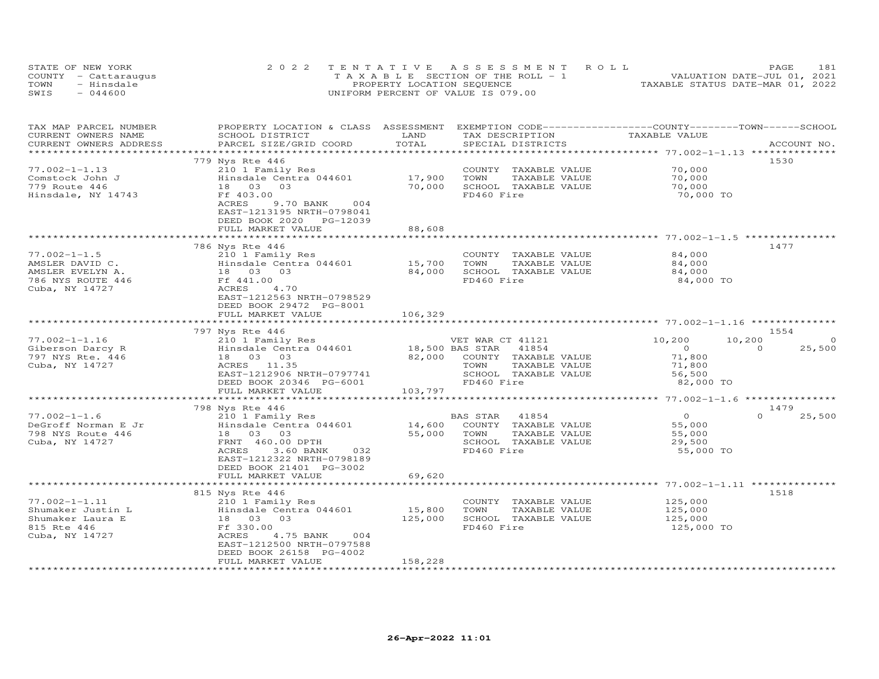| STATE OF NEW YORK    | 2022 TENTATIVE ASSESSMENT ROLL           | PAGE.                            | 181 |
|----------------------|------------------------------------------|----------------------------------|-----|
| COUNTY - Cattaraugus | $T A X A B I E$ SECTION OF THE ROLL $-1$ | VALUATION DATE-JUL 01, 2021      |     |
| - Hinsdale<br>TOWN   | PROPERTY LOCATION SEQUENCE               | TAXABLE STATUS DATE-MAR 01, 2022 |     |
| $-044600$<br>SWIS    | UNIFORM PERCENT OF VALUE IS 079.00       |                                  |     |

| TAX MAP PARCEL NUMBER<br>CURRENT OWNERS NAME      | PROPERTY LOCATION & CLASS ASSESSMENT<br>SCHOOL DISTRICT | LAND                | EXEMPTION CODE-----------------COUNTY-------TOWN------SCHOOL<br>TAX DESCRIPTION | TAXABLE VALUE       |                                          |
|---------------------------------------------------|---------------------------------------------------------|---------------------|---------------------------------------------------------------------------------|---------------------|------------------------------------------|
| CURRENT OWNERS ADDRESS<br>*********************** | PARCEL SIZE/GRID COORD<br>***************************** | TOTAL               | SPECIAL DISTRICTS                                                               |                     | ACCOUNT NO.                              |
|                                                   | 779 Nys Rte 446                                         |                     |                                                                                 |                     | 1530                                     |
| $77.002 - 1 - 1.13$                               | 210 1 Family Res                                        |                     | COUNTY TAXABLE VALUE                                                            | 70,000              |                                          |
| Comstock John J                                   | Hinsdale Centra 044601                                  | 17,900              | TOWN<br>TAXABLE VALUE                                                           | 70,000              |                                          |
| 779 Route 446                                     | 18 03<br>03                                             | 70,000              | SCHOOL TAXABLE VALUE                                                            | 70,000              |                                          |
| Hinsdale, NY 14743                                | Ff 403.00                                               |                     | FD460 Fire                                                                      | 70,000 TO           |                                          |
|                                                   | ACRES<br>9.70 BANK<br>004<br>EAST-1213195 NRTH-0798041  |                     |                                                                                 |                     |                                          |
|                                                   | DEED BOOK 2020 PG-12039                                 |                     |                                                                                 |                     |                                          |
|                                                   | FULL MARKET VALUE                                       | 88,608              |                                                                                 |                     |                                          |
|                                                   |                                                         | * * * * * * * * * * |                                                                                 |                     |                                          |
|                                                   | 786 Nys Rte 446                                         |                     |                                                                                 |                     | 1477                                     |
| $77.002 - 1 - 1.5$                                | 210 1 Family Res                                        |                     | COUNTY TAXABLE VALUE                                                            | 84,000              |                                          |
| AMSLER DAVID C.                                   | Hinsdale Centra 044601                                  | 15,700              | TOWN<br>TAXABLE VALUE                                                           | 84,000              |                                          |
| AMSLER EVELYN A.<br>786 NYS ROUTE 446             | 18  03  03<br>Ff 441.00                                 | 84,000              | SCHOOL TAXABLE VALUE<br>FD460 Fire                                              | 84,000<br>84,000 TO |                                          |
| Cuba, NY 14727                                    | ACRES<br>4.70                                           |                     |                                                                                 |                     |                                          |
|                                                   | EAST-1212563 NRTH-0798529                               |                     |                                                                                 |                     |                                          |
|                                                   | DEED BOOK 29472 PG-8001                                 |                     |                                                                                 |                     |                                          |
|                                                   | FULL MARKET VALUE                                       | 106,329             |                                                                                 |                     |                                          |
|                                                   | ************************                                |                     |                                                                                 |                     |                                          |
|                                                   | 797 Nys Rte 446                                         |                     |                                                                                 |                     | 1554                                     |
| $77.002 - 1 - 1.16$<br>Giberson Darcy R           | 210 1 Family Res<br>Hinsdale Centra 044601              |                     | VET WAR CT 41121<br>VET WAR CT 41121<br>18,500 BAS STAR 41854                   | 10,200<br>$\circ$   | 10,200<br>$\Omega$<br>25,500<br>$\Omega$ |
| 797 NYS Rte. 446                                  | 18 03 03                                                | 82,000              | COUNTY TAXABLE VALUE                                                            | 71,800              |                                          |
| Cuba, NY 14727                                    | ACRES 11.35                                             |                     | TOWN<br>TAXABLE VALUE                                                           | 71,800              |                                          |
|                                                   | EAST-1212906 NRTH-0797741                               |                     | SCHOOL TAXABLE VALUE                                                            | 56,500              |                                          |
|                                                   | DEED BOOK 20346 PG-6001                                 |                     | FD460 Fire                                                                      | 82,000 TO           |                                          |
|                                                   | FULL MARKET VALUE                                       | 103,797             |                                                                                 |                     |                                          |
|                                                   |                                                         |                     |                                                                                 |                     | 1479                                     |
| $77.002 - 1 - 1.6$                                | 798 Nys Rte 446<br>210 1 Family Res                     |                     | 41854<br>BAS STAR                                                               | $\overline{0}$      | $\Omega$<br>25,500                       |
| DeGroff Norman E Jr                               | Hinsdale Centra 044601                                  | 14,600              | COUNTY TAXABLE VALUE                                                            | 55,000              |                                          |
| 798 NYS Route 446                                 | 18  03  03                                              | 55,000              | TOWN<br>TAXABLE VALUE                                                           | 55,000              |                                          |
| Cuba, NY 14727                                    | FRNT 460.00 DPTH                                        |                     | SCHOOL TAXABLE VALUE                                                            | 29,500              |                                          |
|                                                   | ACRES<br>3.60 BANK<br>032                               |                     | FD460 Fire                                                                      | 55,000 TO           |                                          |
|                                                   | EAST-1212322 NRTH-0798189                               |                     |                                                                                 |                     |                                          |
|                                                   | DEED BOOK 21401 PG-3002<br>FULL MARKET VALUE            | 69,620              |                                                                                 |                     |                                          |
|                                                   |                                                         |                     |                                                                                 |                     |                                          |
|                                                   | 815 Nys Rte 446                                         |                     |                                                                                 |                     | 1518                                     |
| $77.002 - 1 - 1.11$                               | 210 1 Family Res                                        |                     | COUNTY<br>TAXABLE VALUE                                                         | 125,000             |                                          |
| Shumaker Justin L                                 | Hinsdale Centra 044601                                  | 15,800              | TOWN<br>TAXABLE VALUE                                                           | 125,000             |                                          |
| Shumaker Laura E                                  | 18  03  03                                              | 125,000             | SCHOOL TAXABLE VALUE                                                            | 125,000             |                                          |
| 815 Rte 446                                       | Ff 330.00                                               |                     | FD460 Fire                                                                      | 125,000 TO          |                                          |
| Cuba, NY 14727                                    | ACRES<br>4.75 BANK<br>004                               |                     |                                                                                 |                     |                                          |
|                                                   | EAST-1212500 NRTH-0797588<br>DEED BOOK 26158 PG-4002    |                     |                                                                                 |                     |                                          |
|                                                   | FULL MARKET VALUE                                       | 158,228             |                                                                                 |                     |                                          |
|                                                   |                                                         |                     |                                                                                 |                     |                                          |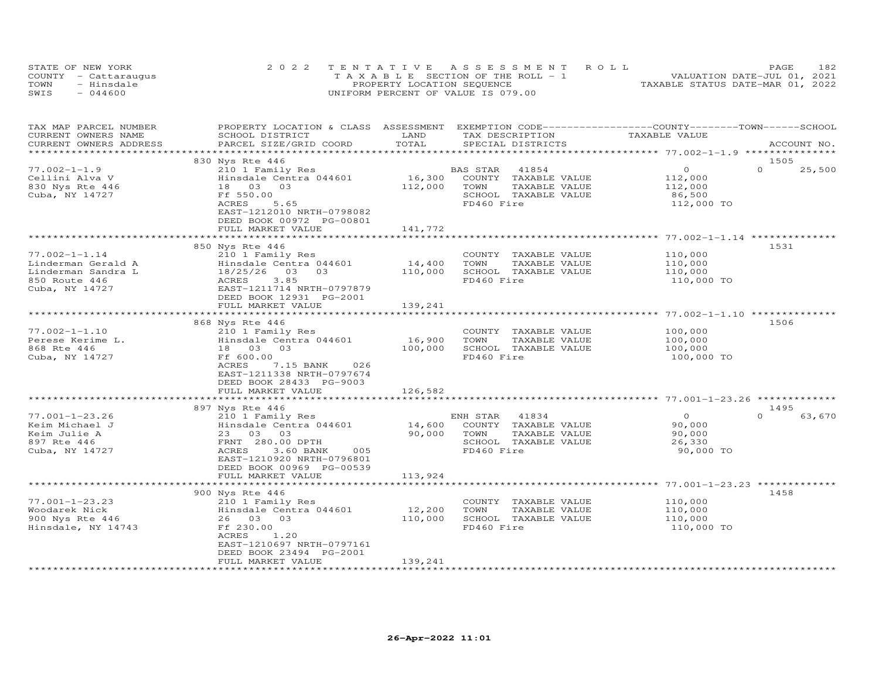|      | STATE OF NEW YORK    | 2022 TENTATIVE ASSESSMENT ROLL                 | PAGE.                            | 182 |
|------|----------------------|------------------------------------------------|----------------------------------|-----|
|      | COUNTY - Cattaraugus | $T A X A B I F S E C T T ON OF THE RO I I - 1$ | VALUATION DATE-JUL 01, 2021      |     |
| TOWN | - Hinsdale           | PROPERTY LOCATION SEQUENCE                     | TAXABLE STATUS DATE-MAR 01, 2022 |     |
| SWIS | $-044600$            | UNIFORM PERCENT OF VALUE IS 079.00             |                                  |     |

| TAX MAP PARCEL NUMBER<br>CURRENT OWNERS NAME                                                       | PROPERTY LOCATION & CLASS ASSESSMENT EXEMPTION CODE----------------COUNTY-------TOWN------SCHOOL<br>SCHOOL DISTRICT                                                                                | LAND                         | TAX DESCRIPTION                                                                                          | TAXABLE VALUE                                             |                    |
|----------------------------------------------------------------------------------------------------|----------------------------------------------------------------------------------------------------------------------------------------------------------------------------------------------------|------------------------------|----------------------------------------------------------------------------------------------------------|-----------------------------------------------------------|--------------------|
| CURRENT OWNERS ADDRESS<br>********************                                                     | PARCEL SIZE/GRID COORD                                                                                                                                                                             | TOTAL                        | SPECIAL DISTRICTS                                                                                        |                                                           | ACCOUNT NO.        |
|                                                                                                    | 830 Nys Rte 446                                                                                                                                                                                    |                              |                                                                                                          |                                                           | 1505               |
| $77.002 - 1 - 1.9$<br>Cellini Alva V<br>830 Nys Rte 446<br>Cuba, NY 14727                          | 210 1 Family Res<br>Hinsdale Centra 044601<br>18  03  03<br>Ff 550.00<br>5.65<br>ACRES<br>EAST-1212010 NRTH-0798082<br>DEED BOOK 00972 PG-00801                                                    | 16,300<br>112,000            | BAS STAR<br>41854<br>COUNTY TAXABLE VALUE<br>TOWN<br>TAXABLE VALUE<br>SCHOOL TAXABLE VALUE<br>FD460 Fire | $\circ$<br>112,000<br>112,000<br>86,500<br>112,000 TO     | $\Omega$<br>25,500 |
|                                                                                                    | FULL MARKET VALUE                                                                                                                                                                                  | 141,772                      |                                                                                                          |                                                           |                    |
|                                                                                                    | 850 Nys Rte 446                                                                                                                                                                                    |                              |                                                                                                          |                                                           | 1531               |
| $77.002 - 1 - 1.14$<br>Linderman Gerald A<br>Linderman Sandra L<br>850 Route 446<br>Cuba, NY 14727 | 210 1 Family Res<br>Hinsdale Centra 044601<br>03<br>18/25/26<br>03<br>3.85<br>ACRES<br>EAST-1211714 NRTH-0797879<br>DEED BOOK 12931 PG-2001                                                        | 14,400<br>110,000            | COUNTY TAXABLE VALUE<br>TOWN<br>TAXABLE VALUE<br>SCHOOL TAXABLE VALUE<br>FD460 Fire                      | 110,000<br>110,000<br>110,000<br>110,000 TO               |                    |
|                                                                                                    | FULL MARKET VALUE                                                                                                                                                                                  | 139,241                      |                                                                                                          |                                                           |                    |
| $77.002 - 1 - 1.10$<br>Perese Kerime L.<br>868 Rte 446<br>Cuba, NY 14727                           | 868 Nys Rte 446<br>210 1 Family Res<br>Hinsdale Centra 044601<br>18  03  03<br>Ff 600.00<br>7.15 BANK<br>ACRES<br>026<br>EAST-1211338 NRTH-0797674<br>DEED BOOK 28433 PG-9003<br>FULL MARKET VALUE | 16,900<br>100,000<br>126,582 | COUNTY TAXABLE VALUE<br>TOWN<br>TAXABLE VALUE<br>SCHOOL TAXABLE VALUE<br>FD460 Fire                      | 100,000<br>100,000<br>100,000<br>100,000 TO               | 1506               |
|                                                                                                    | 897 Nys Rte 446                                                                                                                                                                                    |                              |                                                                                                          |                                                           | 1495               |
| $77.001 - 1 - 23.26$<br>Keim Michael J<br>Keim Julie A<br>897 Rte 446<br>Cuba, NY 14727            | 210 1 Family Res<br>Hinsdale Centra 044601<br>23 03 03<br>FRNT 280.00 DPTH<br>ACRES<br>3.60 BANK<br>005<br>EAST-1210920 NRTH-0796801<br>DEED BOOK 00969 PG-00539                                   | 14,600<br>90,000             | ENH STAR<br>41834<br>COUNTY TAXABLE VALUE<br>TOWN<br>TAXABLE VALUE<br>SCHOOL TAXABLE VALUE<br>FD460 Fire | $\overline{O}$<br>90,000<br>90,000<br>26,330<br>90,000 TO | $\Omega$<br>63,670 |
|                                                                                                    | FULL MARKET VALUE                                                                                                                                                                                  | 113,924                      |                                                                                                          |                                                           |                    |
| $77.001 - 1 - 23.23$                                                                               | 900 Nys Rte 446<br>210 1 Family Res                                                                                                                                                                |                              | COUNTY TAXABLE VALUE                                                                                     | 110,000                                                   | 1458               |
| Woodarek Nick<br>900 Nys Rte 446<br>Hinsdale, NY 14743                                             | Hinsdale Centra 044601<br>26 03 03<br>Ff 230.00<br>ACRES<br>1.20<br>EAST-1210697 NRTH-0797161<br>DEED BOOK 23494 PG-2001                                                                           | 12,200<br>110,000            | TOWN<br>TAXABLE VALUE<br>SCHOOL TAXABLE VALUE<br>FD460 Fire                                              | 110,000<br>110,000<br>110,000 TO                          |                    |
| **********************                                                                             | FULL MARKET VALUE                                                                                                                                                                                  | 139,241                      |                                                                                                          |                                                           |                    |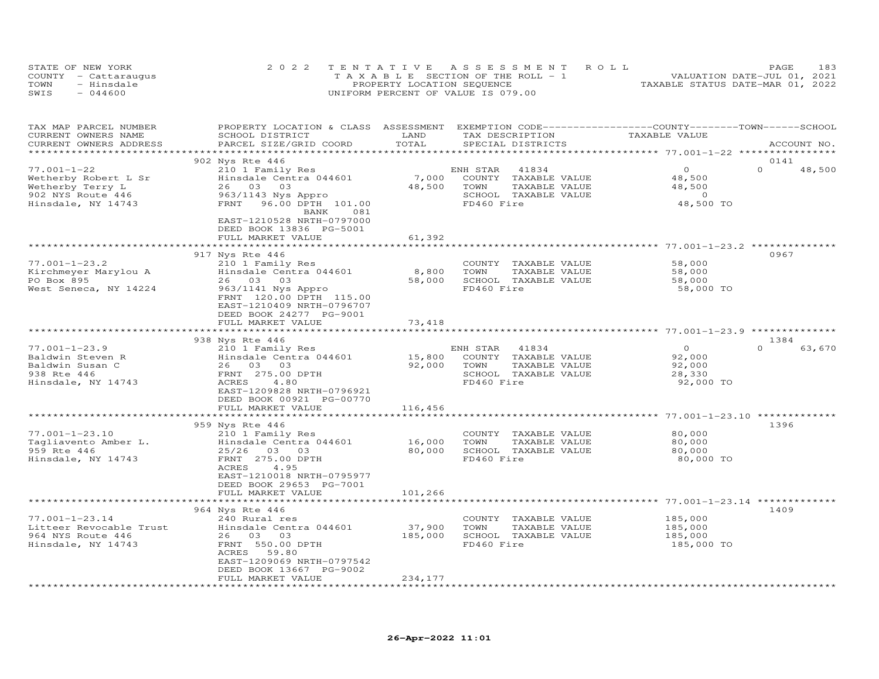| STATE OF NEW YORK    | 2022 TENTATIVE ASSESSMENT ROLL        | PAGE                             | 183 |
|----------------------|---------------------------------------|----------------------------------|-----|
| COUNTY - Cattaraugus | T A X A B L E SECTION OF THE ROLL - 1 | VALUATION DATE-JUL 01, 2021      |     |
| TOWN<br>- Hinsdale   | PROPERTY LOCATION SEQUENCE            | TAXABLE STATUS DATE-MAR 01, 2022 |     |
| SWIS<br>$-044600$    | UNIFORM PERCENT OF VALUE IS 079.00    |                                  |     |

| TAX MAP PARCEL NUMBER<br>CURRENT OWNERS NAME<br>CURRENT OWNERS ADDRESS                                   | PROPERTY LOCATION & CLASS ASSESSMENT<br>SCHOOL DISTRICT<br>PARCEL SIZE/GRID COORD                                                                                                     | LAND<br>TOTAL     | EXEMPTION CODE-----------------COUNTY-------TOWN-----SCHOOL<br>TAX DESCRIPTION<br>SPECIAL DISTRICTS      | TAXABLE VALUE                                             | ACCOUNT NO.                |
|----------------------------------------------------------------------------------------------------------|---------------------------------------------------------------------------------------------------------------------------------------------------------------------------------------|-------------------|----------------------------------------------------------------------------------------------------------|-----------------------------------------------------------|----------------------------|
|                                                                                                          |                                                                                                                                                                                       |                   | **************************                                                                               | *********** 77.001-1-22 *********                         |                            |
| $77.001 - 1 - 22$<br>Wetherby Robert L Sr<br>Wetherby Terry L<br>902 NYS Route 446<br>Hinsdale, NY 14743 | 902 Nys Rte 446<br>210 1 Family Res<br>Hinsdale Centra 044601<br>26 03<br>03<br>963/1143 Nys Appro<br>FRNT<br>96.00 DPTH 101.00<br>BANK<br>081<br>EAST-1210528 NRTH-0797000           | 7,000<br>48,500   | ENH STAR<br>41834<br>COUNTY TAXABLE VALUE<br>TOWN<br>TAXABLE VALUE<br>SCHOOL TAXABLE VALUE<br>FD460 Fire | $\circ$<br>48,500<br>48,500<br>$\Omega$<br>48,500 TO      | 0141<br>$\Omega$<br>48,500 |
|                                                                                                          | DEED BOOK 13836 PG-5001<br>FULL MARKET VALUE                                                                                                                                          | 61,392            |                                                                                                          |                                                           |                            |
|                                                                                                          |                                                                                                                                                                                       |                   |                                                                                                          | ********************* 77.001-1-23.2 ********              | 0967                       |
| $77.001 - 1 - 23.2$<br>Kirchmeyer Marylou A<br>PO Box 895<br>West Seneca, NY 14224                       | 917 Nys Rte 446<br>210 1 Family Res<br>Hinsdale Centra 044601<br>26 03<br>03<br>963/1141 Nys Appro<br>FRNT 120.00 DPTH 115.00<br>EAST-1210409 NRTH-0796707<br>DEED BOOK 24277 PG-9001 | 8,800<br>58,000   | COUNTY TAXABLE VALUE<br>TOWN<br>TAXABLE VALUE<br>SCHOOL TAXABLE VALUE<br>FD460 Fire                      | 58,000<br>58,000<br>58,000<br>58,000 TO                   |                            |
|                                                                                                          | FULL MARKET VALUE                                                                                                                                                                     | 73,418            |                                                                                                          |                                                           |                            |
|                                                                                                          | 938 Nys Rte 446                                                                                                                                                                       | ********          |                                                                                                          | *************************** 77.001-1-23.9 *************** | 1384                       |
| $77.001 - 1 - 23.9$<br>Baldwin Steven R<br>Baldwin Susan C<br>938 Rte 446<br>Hinsdale, NY 14743          | 210 1 Family Res<br>Hinsdale Centra 044601<br>26 03 03<br>FRNT 275.00 DPTH<br>4.80<br>ACRES<br>EAST-1209828 NRTH-0796921<br>DEED BOOK 00921 PG-00770                                  | 15,800<br>92,000  | ENH STAR<br>41834<br>COUNTY TAXABLE VALUE<br>TOWN<br>TAXABLE VALUE<br>SCHOOL TAXABLE VALUE<br>FD460 Fire | $\circ$<br>92,000<br>92,000<br>28,330<br>92,000 TO        | $\Omega$<br>63,670         |
|                                                                                                          | FULL MARKET VALUE<br>***********************                                                                                                                                          | 116,456           |                                                                                                          |                                                           |                            |
| $77.001 - 1 - 23.10$<br>Tagliavento Amber L.                                                             | 959 Nys Rte 446<br>210 1 Family Res<br>Hinsdale Centra 044601                                                                                                                         | 16,000            | COUNTY TAXABLE VALUE<br>TOWN<br>TAXABLE VALUE                                                            | 80,000<br>80,000                                          | 1396                       |
| 959 Rte 446<br>Hinsdale, NY 14743                                                                        | 25/26<br>03 03<br>FRNT 275.00 DPTH<br>4.95<br>ACRES<br>EAST-1210018 NRTH-0795977<br>DEED BOOK 29653 PG-7001<br>FULL MARKET VALUE                                                      | 80,000<br>101,266 | SCHOOL TAXABLE VALUE<br>FD460 Fire                                                                       | 80,000<br>80,000 TO                                       |                            |
|                                                                                                          |                                                                                                                                                                                       |                   |                                                                                                          |                                                           |                            |
| $77.001 - 1 - 23.14$<br>Litteer Revocable Trust<br>964 NYS Route 446<br>Hinsdale, NY 14743               | 964 Nys Rte 446<br>240 Rural res<br>Hinsdale Centra 044601<br>26 03 03<br>FRNT 550.00 DPTH<br>59.80<br>ACRES<br>EAST-1209069 NRTH-0797542<br>DEED BOOK 13667 PG-9002                  | 37,900<br>185,000 | COUNTY TAXABLE VALUE<br>TOWN<br>TAXABLE VALUE<br>SCHOOL TAXABLE VALUE<br>FD460 Fire                      | 185,000<br>185,000<br>185,000<br>185,000 TO               | 1409                       |
|                                                                                                          | FULL MARKET VALUE                                                                                                                                                                     | 234,177           |                                                                                                          |                                                           |                            |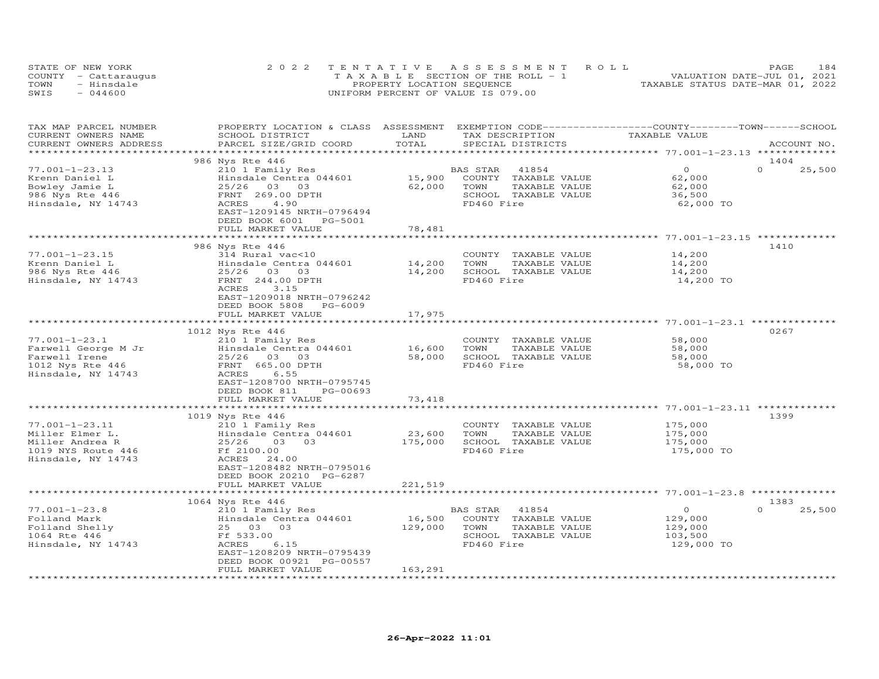|      | STATE OF NEW YORK    | 2022 TENTATIVE ASSESSMENT ROLL     | 184<br><b>PAGE</b>               |
|------|----------------------|------------------------------------|----------------------------------|
|      | COUNTY - Cattaraugus | TAXABLE SECTION OF THE ROLL - 1    | VALUATION DATE-JUL 01, 2021      |
| TOWN | - Hinsdale           | PROPERTY LOCATION SEQUENCE         | TAXABLE STATUS DATE-MAR 01, 2022 |
| SWIS | $-044600$            | UNIFORM PERCENT OF VALUE IS 079.00 |                                  |

| TAX MAP PARCEL NUMBER<br>CURRENT OWNERS NAME<br>CURRENT OWNERS ADDRESS                                 | PROPERTY LOCATION & CLASS ASSESSMENT EXEMPTION CODE----------------COUNTY-------TOWN-----SCHOOL<br>SCHOOL DISTRICT<br>PARCEL SIZE/GRID COORD                                                      | LAND<br>TOTAL              | TAX DESCRIPTION<br>SPECIAL DISTRICTS                                                                     | TAXABLE VALUE                                          | ACCOUNT NO.                |
|--------------------------------------------------------------------------------------------------------|---------------------------------------------------------------------------------------------------------------------------------------------------------------------------------------------------|----------------------------|----------------------------------------------------------------------------------------------------------|--------------------------------------------------------|----------------------------|
|                                                                                                        |                                                                                                                                                                                                   |                            |                                                                                                          |                                                        |                            |
| $77.001 - 1 - 23.13$<br>Krenn Daniel L<br>Bowley Jamie L<br>986 Nys Rte 446<br>Hinsdale, NY 14743      | 986 Nys Rte 446<br>210 1 Family Res<br>Hinsdale Centra 044601<br>25/26<br>03 03<br>FRNT 269.00 DPTH<br>ACRES<br>4,90<br>EAST-1209145 NRTH-0796494<br>DEED BOOK 6001<br>PG-5001                    | 15,900<br>62,000           | BAS STAR<br>41854<br>COUNTY TAXABLE VALUE<br>TOWN<br>TAXABLE VALUE<br>SCHOOL TAXABLE VALUE<br>FD460 Fire | $\circ$<br>62,000<br>62,000<br>36,500<br>62,000 TO     | 1404<br>$\Omega$<br>25,500 |
|                                                                                                        | FULL MARKET VALUE                                                                                                                                                                                 | 78,481                     |                                                                                                          |                                                        |                            |
| $77.001 - 1 - 23.15$<br>Krenn Daniel L<br>986 Nys Rte 446                                              | 986 Nys Rte 446<br>314 Rural vac<10<br>Hinsdale Centra 044601<br>25/26<br>03 03                                                                                                                   | 14,200<br>14,200           | COUNTY TAXABLE VALUE<br>TOWN<br>TAXABLE VALUE<br>SCHOOL TAXABLE VALUE                                    | 14,200<br>14,200<br>14,200                             | 1410                       |
| Hinsdale, NY 14743                                                                                     | FRNT 244.00 DPTH<br>ACRES<br>3.15<br>EAST-1209018 NRTH-0796242<br>DEED BOOK 5808<br>PG-6009<br>FULL MARKET VALUE                                                                                  | 17,975                     | FD460 Fire                                                                                               | 14,200 TO                                              |                            |
|                                                                                                        |                                                                                                                                                                                                   |                            |                                                                                                          |                                                        |                            |
| $77.001 - 1 - 23.1$<br>Farwell George M Jr<br>Farwell Irene<br>1012 Nys Rte 446<br>Hinsdale, NY 14743  | 1012 Nys Rte 446<br>210 1 Family Res<br>Hinsdale Centra 044601<br>25/26 03 03<br>FRNT 665.00 DPTH<br>ACRES<br>6.55<br>EAST-1208700 NRTH-0795745<br>DEED BOOK 811<br>PG-00693<br>FULL MARKET VALUE | 16,600<br>58,000<br>73,418 | COUNTY TAXABLE VALUE<br>TOWN<br>TAXABLE VALUE<br>SCHOOL TAXABLE VALUE<br>FD460 Fire                      | 58,000<br>58,000<br>58,000<br>58,000 TO                | 0267                       |
|                                                                                                        | ************************                                                                                                                                                                          | *************              |                                                                                                          |                                                        |                            |
| $77.001 - 1 - 23.11$<br>Miller Elmer L.<br>Miller Andrea R<br>1019 NYS Route 446<br>Hinsdale, NY 14743 | 1019 Nys Rte 446<br>210 1 Family Res<br>Hinsdale Centra 044601<br>25/26<br>03 03<br>Ff 2100.00<br>ACRES<br>24.00<br>EAST-1208482 NRTH-0795016<br>DEED BOOK 20210 PG-6287                          | 23,600<br>175,000          | COUNTY TAXABLE VALUE<br>TOWN<br>TAXABLE VALUE<br>SCHOOL TAXABLE VALUE<br>FD460 Fire                      | 175,000<br>175,000<br>175,000<br>175,000 TO            | 1399                       |
|                                                                                                        | FULL MARKET VALUE                                                                                                                                                                                 | 221,519                    |                                                                                                          |                                                        |                            |
| $77.001 - 1 - 23.8$<br>Folland Mark<br>Folland Shelly<br>1064 Rte 446<br>Hinsdale, NY 14743            | 1064 Nys Rte 446<br>210 1 Family Res<br>Hinsdale Centra 044601<br>25 03 03<br>Ff 533.00<br>ACRES<br>6.15<br>EAST-1208209 NRTH-0795439<br>DEED BOOK 00921 PG-00557                                 | 16,500<br>129,000          | 41854<br>BAS STAR<br>COUNTY TAXABLE VALUE<br>TOWN<br>TAXABLE VALUE<br>SCHOOL TAXABLE VALUE<br>FD460 Fire | $\circ$<br>129,000<br>129,000<br>103,500<br>129,000 TO | 1383<br>$\Omega$<br>25,500 |
|                                                                                                        | FULL MARKET VALUE                                                                                                                                                                                 | 163,291                    |                                                                                                          |                                                        |                            |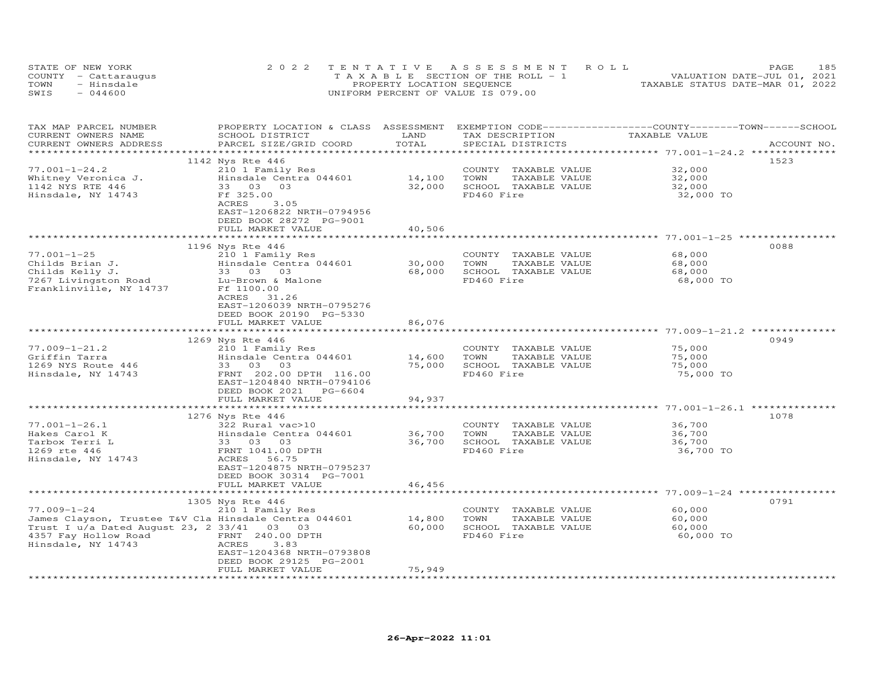| STATE OF NEW YORK    | 2022 TENTATIVE ASSESSMENT ROLL     |                            |  |                                  | <b>PAGE</b> | 185 |
|----------------------|------------------------------------|----------------------------|--|----------------------------------|-------------|-----|
| COUNTY - Cattaraugus | TAXABLE SECTION OF THE ROLL - 1    |                            |  | VALUATION DATE-JUL 01, 2021      |             |     |
| TOWN<br>- Hinsdale   |                                    | PROPERTY LOCATION SEQUENCE |  | TAXABLE STATUS DATE-MAR 01, 2022 |             |     |
| $-044600$<br>SWIS    | UNIFORM PERCENT OF VALUE IS 079.00 |                            |  |                                  |             |     |

| TAX MAP PARCEL NUMBER<br>CURRENT OWNERS NAME<br>CURRENT OWNERS ADDRESS | PROPERTY LOCATION & CLASS ASSESSMENT<br>SCHOOL DISTRICT | LAND<br>TOTAL         | TAX DESCRIPTION       | EXEMPTION CODE-----------------COUNTY-------TOWN------SCHOOL<br>TAXABLE VALUE | ACCOUNT NO. |
|------------------------------------------------------------------------|---------------------------------------------------------|-----------------------|-----------------------|-------------------------------------------------------------------------------|-------------|
| ***********************                                                | PARCEL SIZE/GRID COORD                                  |                       | SPECIAL DISTRICTS     |                                                                               |             |
|                                                                        |                                                         |                       |                       |                                                                               | 1523        |
| $77.001 - 1 - 24.2$                                                    | 1142 Nys Rte 446<br>210 1 Family Res                    |                       | COUNTY TAXABLE VALUE  | 32,000                                                                        |             |
|                                                                        |                                                         |                       |                       |                                                                               |             |
| Whitney Veronica J.                                                    | Hinsdale Centra 044601                                  | 14,100                | TAXABLE VALUE<br>TOWN | 32,000                                                                        |             |
| 1142 NYS RTE 446                                                       | 33 03<br>03                                             | 32,000                | SCHOOL TAXABLE VALUE  | 32,000                                                                        |             |
| Hinsdale, NY 14743                                                     | Ff 325.00                                               |                       | FD460 Fire            | 32,000 TO                                                                     |             |
|                                                                        | <b>ACRES</b><br>3.05                                    |                       |                       |                                                                               |             |
|                                                                        | EAST-1206822 NRTH-0794956                               |                       |                       |                                                                               |             |
|                                                                        | DEED BOOK 28272 PG-9001                                 |                       |                       |                                                                               |             |
|                                                                        | FULL MARKET VALUE                                       | 40,506                |                       |                                                                               |             |
|                                                                        | **************************                              |                       |                       |                                                                               |             |
|                                                                        | 1196 Nys Rte 446                                        |                       |                       |                                                                               | 0088        |
| $77.001 - 1 - 25$                                                      | 210 1 Family Res                                        |                       | COUNTY TAXABLE VALUE  | 68,000                                                                        |             |
| Childs Brian J.                                                        | Hinsdale Centra 044601                                  | 30,000                | TAXABLE VALUE<br>TOWN | 68,000                                                                        |             |
| Childs Kelly J.                                                        | 33 03 03                                                | 68,000                | SCHOOL TAXABLE VALUE  | 68,000                                                                        |             |
| 7267 Livingston Road                                                   | Lu-Brown & Malone                                       |                       | FD460 Fire            | 68,000 TO                                                                     |             |
| Franklinville, NY 14737                                                | Ff 1100.00                                              |                       |                       |                                                                               |             |
|                                                                        | ACRES 31.26                                             |                       |                       |                                                                               |             |
|                                                                        | EAST-1206039 NRTH-0795276                               |                       |                       |                                                                               |             |
|                                                                        | DEED BOOK 20190 PG-5330                                 |                       |                       |                                                                               |             |
|                                                                        | FULL MARKET VALUE                                       | 86,076                |                       |                                                                               |             |
|                                                                        |                                                         |                       |                       |                                                                               |             |
|                                                                        | 1269 Nys Rte 446                                        |                       |                       |                                                                               | 0949        |
| $77.009 - 1 - 21.2$                                                    | 210 1 Family Res                                        |                       | COUNTY TAXABLE VALUE  | 75,000                                                                        |             |
| Griffin Tarra                                                          | Hinsdale Centra 044601                                  | 14,600                | TOWN<br>TAXABLE VALUE | 75,000                                                                        |             |
| 1269 NYS Route 446                                                     | 33 03 03                                                | 75,000                | SCHOOL TAXABLE VALUE  | 75,000                                                                        |             |
| Hinsdale, NY 14743                                                     | FRNT 202.00 DPTH 116.00                                 |                       | FD460 Fire            | 75,000 TO                                                                     |             |
|                                                                        | EAST-1204840 NRTH-0794106                               |                       |                       |                                                                               |             |
|                                                                        | DEED BOOK 2021 PG-6604                                  |                       |                       |                                                                               |             |
|                                                                        | FULL MARKET VALUE                                       | 94,937                |                       |                                                                               |             |
|                                                                        | ***************************                             |                       |                       |                                                                               |             |
|                                                                        | 1276 Nys Rte 446                                        |                       |                       |                                                                               | 1078        |
| $77.001 - 1 - 26.1$                                                    | 322 Rural vac>10                                        |                       | COUNTY TAXABLE VALUE  | 36,700                                                                        |             |
| Hakes Carol K                                                          | Hinsdale Centra 044601                                  | 36,700                | TOWN<br>TAXABLE VALUE | 36,700                                                                        |             |
|                                                                        |                                                         | 36,700                |                       |                                                                               |             |
| Tarbox Terri L                                                         | 33 03 03                                                |                       | SCHOOL TAXABLE VALUE  | 36,700                                                                        |             |
| 1269 rte 446                                                           | FRNT 1041.00 DPTH                                       |                       | FD460 Fire            | 36,700 TO                                                                     |             |
| Hinsdale, NY 14743                                                     | ACRES 56.75                                             |                       |                       |                                                                               |             |
|                                                                        | EAST-1204875 NRTH-0795237                               |                       |                       |                                                                               |             |
|                                                                        | DEED BOOK 30314 PG-7001                                 |                       |                       |                                                                               |             |
|                                                                        | FULL MARKET VALUE                                       | 46,456                |                       |                                                                               |             |
|                                                                        |                                                         | ********************* |                       |                                                                               |             |
|                                                                        | 1305 Nys Rte 446                                        |                       |                       |                                                                               | 0791        |
| $77.009 - 1 - 24$                                                      | 210 1 Family Res                                        |                       | COUNTY TAXABLE VALUE  | 60,000                                                                        |             |
| James Clayson, Trustee T&V Cla Hinsdale Centra 044601                  |                                                         | 14,800                | TAXABLE VALUE<br>TOWN | 60,000                                                                        |             |
| Trust I $u/a$ Dated August 23, 2 33/41 03 03                           |                                                         | 60,000                | SCHOOL TAXABLE VALUE  | 60,000                                                                        |             |
| 4357 Fay Hollow Road                                                   | FRNT 240.00 DPTH                                        |                       | FD460 Fire            | 60,000 TO                                                                     |             |
| Hinsdale, NY 14743                                                     | ACRES<br>3.83                                           |                       |                       |                                                                               |             |
|                                                                        | EAST-1204368 NRTH-0793808                               |                       |                       |                                                                               |             |
|                                                                        | DEED BOOK 29125 PG-2001                                 |                       |                       |                                                                               |             |
|                                                                        | FULL MARKET VALUE                                       | 75,949                |                       |                                                                               |             |
|                                                                        |                                                         |                       |                       |                                                                               |             |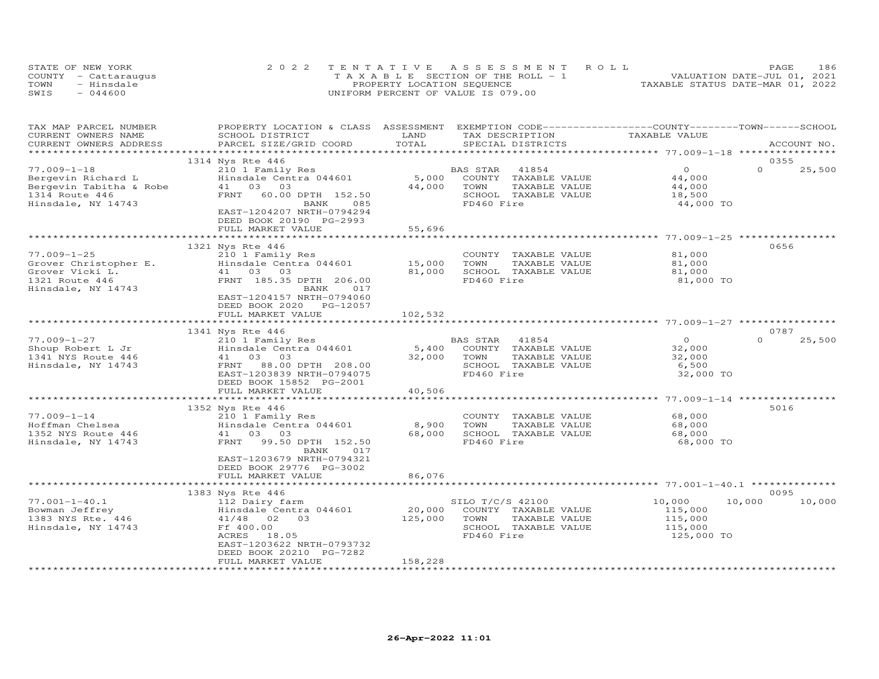|      | STATE OF NEW YORK    | 2022 TENTATIVE ASSESSMENT ROLL        | 186<br>PAGE                      |
|------|----------------------|---------------------------------------|----------------------------------|
|      | COUNTY - Cattaraugus | T A X A B L E SECTION OF THE ROLL - 1 | VALUATION DATE-JUL 01, 2021      |
| TOWN | - Hinsdale           | PROPERTY LOCATION SEQUENCE            | TAXABLE STATUS DATE-MAR 01, 2022 |
| SWIS | $-044600$            | UNIFORM PERCENT OF VALUE IS 079.00    |                                  |

| TAX MAP PARCEL NUMBER                             | PROPERTY LOCATION & CLASS ASSESSMENT EXEMPTION CODE-----------------COUNTY-------TOWN------SCHOOL |         |                       |                                    |                    |
|---------------------------------------------------|---------------------------------------------------------------------------------------------------|---------|-----------------------|------------------------------------|--------------------|
| CURRENT OWNERS NAME                               | SCHOOL DISTRICT                                                                                   | LAND    | TAX DESCRIPTION       | TAXABLE VALUE                      |                    |
| CURRENT OWNERS ADDRESS<br>*********************** | PARCEL SIZE/GRID COORD                                                                            | TOTAL   | SPECIAL DISTRICTS     |                                    | ACCOUNT NO.        |
|                                                   |                                                                                                   |         |                       |                                    | 0355               |
| $77.009 - 1 - 18$                                 | 1314 Nys Rte 446                                                                                  |         | BAS STAR<br>41854     | $\Omega$                           | $\Omega$<br>25,500 |
|                                                   | 210 1 Family Res<br>Hinsdale Centra 044601                                                        | 5,000   | COUNTY TAXABLE VALUE  | 44,000                             |                    |
| Bergevin Richard L                                | 41 03<br>03                                                                                       | 44,000  | TOWN<br>TAXABLE VALUE |                                    |                    |
| Bergevin Tabitha & Robe<br>1314 Route 446         | 60.00 DPTH 152.50<br>FRNT                                                                         |         | SCHOOL TAXABLE VALUE  | 44,000<br>18,500                   |                    |
| Hinsdale, NY 14743                                | BANK<br>085                                                                                       |         | FD460 Fire            | 44,000 TO                          |                    |
|                                                   | EAST-1204207 NRTH-0794294                                                                         |         |                       |                                    |                    |
|                                                   | DEED BOOK 20190 PG-2993                                                                           |         |                       |                                    |                    |
|                                                   | FULL MARKET VALUE                                                                                 | 55,696  |                       |                                    |                    |
|                                                   |                                                                                                   |         |                       |                                    |                    |
|                                                   | 1321 Nys Rte 446                                                                                  |         |                       |                                    | 0656               |
| $77.009 - 1 - 25$                                 | 210 1 Family Res                                                                                  |         | COUNTY TAXABLE VALUE  | 81,000                             |                    |
| Grover Christopher E.                             | Hinsdale Centra 044601                                                                            | 15,000  | TOWN<br>TAXABLE VALUE | 81,000                             |                    |
| Grover Vicki L.                                   | 41 03<br>03                                                                                       | 81,000  | SCHOOL TAXABLE VALUE  | 81,000                             |                    |
| 1321 Route 446                                    | FRNT 185.35 DPTH 206.00                                                                           |         | FD460 Fire            | 81,000 TO                          |                    |
| Hinsdale, NY 14743                                | BANK<br>017                                                                                       |         |                       |                                    |                    |
|                                                   | EAST-1204157 NRTH-0794060                                                                         |         |                       |                                    |                    |
|                                                   | DEED BOOK 2020<br>PG-12057                                                                        |         |                       |                                    |                    |
|                                                   | FULL MARKET VALUE                                                                                 | 102,532 |                       |                                    |                    |
|                                                   |                                                                                                   |         |                       |                                    |                    |
|                                                   | 1341 Nys Rte 446                                                                                  |         |                       |                                    | 0787               |
| $77.009 - 1 - 27$                                 | 210 1 Family Res                                                                                  |         | BAS STAR<br>41854     | $\overline{O}$                     | $\Omega$<br>25,500 |
| Shoup Robert L Jr                                 | Hinsdale Centra 044601                                                                            | 5,400   | COUNTY TAXABLE VALUE  | 32,000                             |                    |
| 1341 NYS Route 446                                | 41 03 03                                                                                          | 32,000  | TOWN<br>TAXABLE VALUE | 32,000                             |                    |
| Hinsdale, NY 14743                                | FRNT 88.00 DPTH 208.00                                                                            |         | SCHOOL TAXABLE VALUE  | 6,500                              |                    |
|                                                   | EAST-1203839 NRTH-0794075                                                                         |         | FD460 Fire            | 32,000 TO                          |                    |
|                                                   | DEED BOOK 15852 PG-2001                                                                           |         |                       |                                    |                    |
|                                                   | FULL MARKET VALUE                                                                                 | 40,506  |                       |                                    |                    |
|                                                   | *********************                                                                             |         |                       | **************** 77.009-1-14 ***** |                    |
|                                                   | 1352 Nys Rte 446                                                                                  |         |                       |                                    | 5016               |
| $77.009 - 1 - 14$                                 | 210 1 Family Res                                                                                  |         | COUNTY TAXABLE VALUE  | 68,000                             |                    |
| Hoffman Chelsea                                   | Hinsdale Centra 044601                                                                            | 8,900   | TOWN<br>TAXABLE VALUE | 68,000                             |                    |
| 1352 NYS Route 446                                | 41 03<br>03                                                                                       | 68,000  | SCHOOL TAXABLE VALUE  | 68,000                             |                    |
| Hinsdale, NY 14743                                | FRNT<br>99.50 DPTH 152.50<br>017                                                                  |         | FD460 Fire            | 68,000 TO                          |                    |
|                                                   | BANK<br>EAST-1203679 NRTH-0794321                                                                 |         |                       |                                    |                    |
|                                                   | DEED BOOK 29776 PG-3002                                                                           |         |                       |                                    |                    |
|                                                   | FULL MARKET VALUE                                                                                 | 86,076  |                       |                                    |                    |
|                                                   |                                                                                                   |         |                       |                                    |                    |
|                                                   | 1383 Nys Rte 446                                                                                  |         |                       |                                    | 0095               |
| $77.001 - 1 - 40.1$                               | 112 Dairy farm                                                                                    |         | SILO T/C/S 42100      | 10,000                             | 10,000<br>10,000   |
| Bowman Jeffrey                                    | Hinsdale Centra 044601                                                                            | 20,000  | COUNTY TAXABLE VALUE  | 115,000                            |                    |
| 1383 NYS Rte. 446                                 | 41/48 02 03                                                                                       | 125,000 | TOWN<br>TAXABLE VALUE | 115,000                            |                    |
| Hinsdale, NY 14743                                | Ff 400.00                                                                                         |         | SCHOOL TAXABLE VALUE  | 115,000                            |                    |
|                                                   | ACRES<br>18.05                                                                                    |         | FD460 Fire            | 125,000 TO                         |                    |
|                                                   | EAST-1203622 NRTH-0793732                                                                         |         |                       |                                    |                    |
|                                                   | DEED BOOK 20210 PG-7282                                                                           |         |                       |                                    |                    |
|                                                   | FULL MARKET VALUE                                                                                 | 158,228 |                       |                                    |                    |
| *************************                         |                                                                                                   |         |                       |                                    |                    |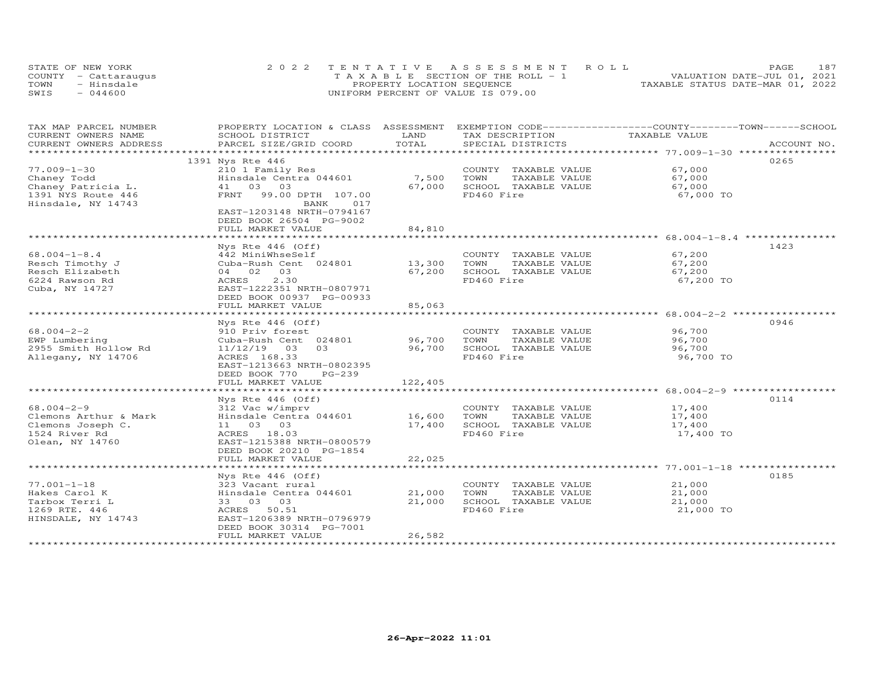| STATE OF NEW YORK    | 2022 TENTATIVE ASSESSMENT ROLL        | 187<br><b>PAGE</b>               |
|----------------------|---------------------------------------|----------------------------------|
| COUNTY - Cattaraugus | T A X A B L E SECTION OF THE ROLL - 1 | VALUATION DATE-JUL 01, 2021      |
| TOWN<br>- Hinsdale   | PROPERTY LOCATION SEQUENCE            | TAXABLE STATUS DATE-MAR 01, 2022 |
| $-044600$<br>SWIS    | UNIFORM PERCENT OF VALUE IS 079.00    |                                  |

| CURRENT OWNERS NAME<br>LAND<br>TAXABLE VALUE<br>SCHOOL DISTRICT<br>TAX DESCRIPTION<br>TOTAL<br>CURRENT OWNERS ADDRESS<br>PARCEL SIZE/GRID COORD<br>SPECIAL DISTRICTS<br>ACCOUNT NO.<br>*********************<br>0265<br>1391 Nys Rte 446<br>$77.009 - 1 - 30$<br>67,000<br>210 1 Family Res<br>COUNTY TAXABLE VALUE<br>7,500<br>Hinsdale Centra 044601<br>TOWN<br>TAXABLE VALUE<br>67,000<br>Chaney Todd<br>03 03<br>67,000<br>SCHOOL TAXABLE VALUE<br>Chaney Patricia L.<br>67,000<br>41<br>FD460 Fire<br>1391 NYS Route 446<br>99.00 DPTH 107.00<br>67,000 TO<br>FRNT<br>Hinsdale, NY 14743<br>BANK<br>017<br>EAST-1203148 NRTH-0794167<br>DEED BOOK 26504 PG-9002<br>FULL MARKET VALUE<br>84,810<br>1423<br>Nys Rte 446 (Off)<br>$68.004 - 1 - 8.4$<br>67,200<br>442 MiniWhseSelf<br>COUNTY TAXABLE VALUE<br>Cuba-Rush Cent 024801<br>13,300<br>TOWN<br>TAXABLE VALUE<br>Resch Timothy J<br>67,200<br>67,200<br>SCHOOL TAXABLE VALUE<br>Resch Elizabeth<br>04 02 03<br>67,200<br>2.30<br>FD460 Fire<br>6224 Rawson Rd<br>ACRES<br>67,200 TO<br>Cuba, NY 14727<br>EAST-1222351 NRTH-0807971<br>DEED BOOK 00937 PG-00933<br>85,063<br>FULL MARKET VALUE<br>0946<br>Nys Rte $446$ (Off)<br>$68.004 - 2 - 2$<br>910 Priv forest<br>COUNTY TAXABLE VALUE<br>96,700<br>Cuba-Rush Cent 024801<br>96,700<br>TOWN<br>TAXABLE VALUE<br>96,700<br>EWP Lumbering<br>2955 Smith Hollow Rd<br>03<br>96,700<br>SCHOOL TAXABLE VALUE<br>96,700<br>11/12/19<br>03<br>FD460 Fire<br>96,700 TO<br>Allegany, NY 14706<br>ACRES 168.33<br>EAST-1213663 NRTH-0802395<br>DEED BOOK 770<br>$PG-239$<br>122,405<br>FULL MARKET VALUE<br>0114<br>Nys Rte 446 (Off)<br>$68.004 - 2 - 9$<br>312 Vac w/imprv<br>17,400<br>COUNTY TAXABLE VALUE<br>16,600<br>Clemons Arthur & Mark<br>Hinsdale Centra 044601<br>TOWN<br>TAXABLE VALUE<br>17,400<br>SCHOOL TAXABLE VALUE<br>Clemons Joseph C.<br>11 03 03<br>17,400<br>17,400<br>FD460 Fire<br>1524 River Rd<br>ACRES 18.03<br>17,400 TO<br>EAST-1215388 NRTH-0800579<br>Olean, NY 14760<br>DEED BOOK 20210 PG-1854<br>22,025<br>FULL MARKET VALUE<br>0185<br>Nys Rte $446$ (Off)<br>$77.001 - 1 - 18$<br>21,000<br>323 Vacant rural<br>COUNTY TAXABLE VALUE<br>21,000<br>TOWN<br>TAXABLE VALUE<br>21,000<br>Hakes Carol K<br>Hinsdale Centra 044601<br>33 03 03<br>21,000<br>Tarbox Terri L<br>SCHOOL TAXABLE VALUE<br>21,000<br>1269 RTE. 446<br>50.51<br>FD460 Fire<br>21,000 TO<br>ACRES<br>EAST-1206389 NRTH-0796979<br>HINSDALE, NY 14743<br>DEED BOOK 30314 PG-7001<br>26,582<br>FULL MARKET VALUE | TAX MAP PARCEL NUMBER | PROPERTY LOCATION & CLASS ASSESSMENT |  | EXEMPTION CODE-----------------COUNTY-------TOWN------SCHOOL |
|-------------------------------------------------------------------------------------------------------------------------------------------------------------------------------------------------------------------------------------------------------------------------------------------------------------------------------------------------------------------------------------------------------------------------------------------------------------------------------------------------------------------------------------------------------------------------------------------------------------------------------------------------------------------------------------------------------------------------------------------------------------------------------------------------------------------------------------------------------------------------------------------------------------------------------------------------------------------------------------------------------------------------------------------------------------------------------------------------------------------------------------------------------------------------------------------------------------------------------------------------------------------------------------------------------------------------------------------------------------------------------------------------------------------------------------------------------------------------------------------------------------------------------------------------------------------------------------------------------------------------------------------------------------------------------------------------------------------------------------------------------------------------------------------------------------------------------------------------------------------------------------------------------------------------------------------------------------------------------------------------------------------------------------------------------------------------------------------------------------------------------------------------------------------------------------------------------------------------------------------------------------------------------------------------------------------------------------------------------------------------------------------------------------------------------------------------------------------------------------------------------------------------------|-----------------------|--------------------------------------|--|--------------------------------------------------------------|
|                                                                                                                                                                                                                                                                                                                                                                                                                                                                                                                                                                                                                                                                                                                                                                                                                                                                                                                                                                                                                                                                                                                                                                                                                                                                                                                                                                                                                                                                                                                                                                                                                                                                                                                                                                                                                                                                                                                                                                                                                                                                                                                                                                                                                                                                                                                                                                                                                                                                                                                               |                       |                                      |  |                                                              |
|                                                                                                                                                                                                                                                                                                                                                                                                                                                                                                                                                                                                                                                                                                                                                                                                                                                                                                                                                                                                                                                                                                                                                                                                                                                                                                                                                                                                                                                                                                                                                                                                                                                                                                                                                                                                                                                                                                                                                                                                                                                                                                                                                                                                                                                                                                                                                                                                                                                                                                                               |                       |                                      |  |                                                              |
|                                                                                                                                                                                                                                                                                                                                                                                                                                                                                                                                                                                                                                                                                                                                                                                                                                                                                                                                                                                                                                                                                                                                                                                                                                                                                                                                                                                                                                                                                                                                                                                                                                                                                                                                                                                                                                                                                                                                                                                                                                                                                                                                                                                                                                                                                                                                                                                                                                                                                                                               |                       |                                      |  |                                                              |
|                                                                                                                                                                                                                                                                                                                                                                                                                                                                                                                                                                                                                                                                                                                                                                                                                                                                                                                                                                                                                                                                                                                                                                                                                                                                                                                                                                                                                                                                                                                                                                                                                                                                                                                                                                                                                                                                                                                                                                                                                                                                                                                                                                                                                                                                                                                                                                                                                                                                                                                               |                       |                                      |  |                                                              |
|                                                                                                                                                                                                                                                                                                                                                                                                                                                                                                                                                                                                                                                                                                                                                                                                                                                                                                                                                                                                                                                                                                                                                                                                                                                                                                                                                                                                                                                                                                                                                                                                                                                                                                                                                                                                                                                                                                                                                                                                                                                                                                                                                                                                                                                                                                                                                                                                                                                                                                                               |                       |                                      |  |                                                              |
|                                                                                                                                                                                                                                                                                                                                                                                                                                                                                                                                                                                                                                                                                                                                                                                                                                                                                                                                                                                                                                                                                                                                                                                                                                                                                                                                                                                                                                                                                                                                                                                                                                                                                                                                                                                                                                                                                                                                                                                                                                                                                                                                                                                                                                                                                                                                                                                                                                                                                                                               |                       |                                      |  |                                                              |
|                                                                                                                                                                                                                                                                                                                                                                                                                                                                                                                                                                                                                                                                                                                                                                                                                                                                                                                                                                                                                                                                                                                                                                                                                                                                                                                                                                                                                                                                                                                                                                                                                                                                                                                                                                                                                                                                                                                                                                                                                                                                                                                                                                                                                                                                                                                                                                                                                                                                                                                               |                       |                                      |  |                                                              |
|                                                                                                                                                                                                                                                                                                                                                                                                                                                                                                                                                                                                                                                                                                                                                                                                                                                                                                                                                                                                                                                                                                                                                                                                                                                                                                                                                                                                                                                                                                                                                                                                                                                                                                                                                                                                                                                                                                                                                                                                                                                                                                                                                                                                                                                                                                                                                                                                                                                                                                                               |                       |                                      |  |                                                              |
|                                                                                                                                                                                                                                                                                                                                                                                                                                                                                                                                                                                                                                                                                                                                                                                                                                                                                                                                                                                                                                                                                                                                                                                                                                                                                                                                                                                                                                                                                                                                                                                                                                                                                                                                                                                                                                                                                                                                                                                                                                                                                                                                                                                                                                                                                                                                                                                                                                                                                                                               |                       |                                      |  |                                                              |
|                                                                                                                                                                                                                                                                                                                                                                                                                                                                                                                                                                                                                                                                                                                                                                                                                                                                                                                                                                                                                                                                                                                                                                                                                                                                                                                                                                                                                                                                                                                                                                                                                                                                                                                                                                                                                                                                                                                                                                                                                                                                                                                                                                                                                                                                                                                                                                                                                                                                                                                               |                       |                                      |  |                                                              |
|                                                                                                                                                                                                                                                                                                                                                                                                                                                                                                                                                                                                                                                                                                                                                                                                                                                                                                                                                                                                                                                                                                                                                                                                                                                                                                                                                                                                                                                                                                                                                                                                                                                                                                                                                                                                                                                                                                                                                                                                                                                                                                                                                                                                                                                                                                                                                                                                                                                                                                                               |                       |                                      |  |                                                              |
|                                                                                                                                                                                                                                                                                                                                                                                                                                                                                                                                                                                                                                                                                                                                                                                                                                                                                                                                                                                                                                                                                                                                                                                                                                                                                                                                                                                                                                                                                                                                                                                                                                                                                                                                                                                                                                                                                                                                                                                                                                                                                                                                                                                                                                                                                                                                                                                                                                                                                                                               |                       |                                      |  |                                                              |
|                                                                                                                                                                                                                                                                                                                                                                                                                                                                                                                                                                                                                                                                                                                                                                                                                                                                                                                                                                                                                                                                                                                                                                                                                                                                                                                                                                                                                                                                                                                                                                                                                                                                                                                                                                                                                                                                                                                                                                                                                                                                                                                                                                                                                                                                                                                                                                                                                                                                                                                               |                       |                                      |  |                                                              |
|                                                                                                                                                                                                                                                                                                                                                                                                                                                                                                                                                                                                                                                                                                                                                                                                                                                                                                                                                                                                                                                                                                                                                                                                                                                                                                                                                                                                                                                                                                                                                                                                                                                                                                                                                                                                                                                                                                                                                                                                                                                                                                                                                                                                                                                                                                                                                                                                                                                                                                                               |                       |                                      |  |                                                              |
|                                                                                                                                                                                                                                                                                                                                                                                                                                                                                                                                                                                                                                                                                                                                                                                                                                                                                                                                                                                                                                                                                                                                                                                                                                                                                                                                                                                                                                                                                                                                                                                                                                                                                                                                                                                                                                                                                                                                                                                                                                                                                                                                                                                                                                                                                                                                                                                                                                                                                                                               |                       |                                      |  |                                                              |
|                                                                                                                                                                                                                                                                                                                                                                                                                                                                                                                                                                                                                                                                                                                                                                                                                                                                                                                                                                                                                                                                                                                                                                                                                                                                                                                                                                                                                                                                                                                                                                                                                                                                                                                                                                                                                                                                                                                                                                                                                                                                                                                                                                                                                                                                                                                                                                                                                                                                                                                               |                       |                                      |  |                                                              |
|                                                                                                                                                                                                                                                                                                                                                                                                                                                                                                                                                                                                                                                                                                                                                                                                                                                                                                                                                                                                                                                                                                                                                                                                                                                                                                                                                                                                                                                                                                                                                                                                                                                                                                                                                                                                                                                                                                                                                                                                                                                                                                                                                                                                                                                                                                                                                                                                                                                                                                                               |                       |                                      |  |                                                              |
|                                                                                                                                                                                                                                                                                                                                                                                                                                                                                                                                                                                                                                                                                                                                                                                                                                                                                                                                                                                                                                                                                                                                                                                                                                                                                                                                                                                                                                                                                                                                                                                                                                                                                                                                                                                                                                                                                                                                                                                                                                                                                                                                                                                                                                                                                                                                                                                                                                                                                                                               |                       |                                      |  |                                                              |
|                                                                                                                                                                                                                                                                                                                                                                                                                                                                                                                                                                                                                                                                                                                                                                                                                                                                                                                                                                                                                                                                                                                                                                                                                                                                                                                                                                                                                                                                                                                                                                                                                                                                                                                                                                                                                                                                                                                                                                                                                                                                                                                                                                                                                                                                                                                                                                                                                                                                                                                               |                       |                                      |  |                                                              |
|                                                                                                                                                                                                                                                                                                                                                                                                                                                                                                                                                                                                                                                                                                                                                                                                                                                                                                                                                                                                                                                                                                                                                                                                                                                                                                                                                                                                                                                                                                                                                                                                                                                                                                                                                                                                                                                                                                                                                                                                                                                                                                                                                                                                                                                                                                                                                                                                                                                                                                                               |                       |                                      |  |                                                              |
|                                                                                                                                                                                                                                                                                                                                                                                                                                                                                                                                                                                                                                                                                                                                                                                                                                                                                                                                                                                                                                                                                                                                                                                                                                                                                                                                                                                                                                                                                                                                                                                                                                                                                                                                                                                                                                                                                                                                                                                                                                                                                                                                                                                                                                                                                                                                                                                                                                                                                                                               |                       |                                      |  |                                                              |
|                                                                                                                                                                                                                                                                                                                                                                                                                                                                                                                                                                                                                                                                                                                                                                                                                                                                                                                                                                                                                                                                                                                                                                                                                                                                                                                                                                                                                                                                                                                                                                                                                                                                                                                                                                                                                                                                                                                                                                                                                                                                                                                                                                                                                                                                                                                                                                                                                                                                                                                               |                       |                                      |  |                                                              |
|                                                                                                                                                                                                                                                                                                                                                                                                                                                                                                                                                                                                                                                                                                                                                                                                                                                                                                                                                                                                                                                                                                                                                                                                                                                                                                                                                                                                                                                                                                                                                                                                                                                                                                                                                                                                                                                                                                                                                                                                                                                                                                                                                                                                                                                                                                                                                                                                                                                                                                                               |                       |                                      |  |                                                              |
|                                                                                                                                                                                                                                                                                                                                                                                                                                                                                                                                                                                                                                                                                                                                                                                                                                                                                                                                                                                                                                                                                                                                                                                                                                                                                                                                                                                                                                                                                                                                                                                                                                                                                                                                                                                                                                                                                                                                                                                                                                                                                                                                                                                                                                                                                                                                                                                                                                                                                                                               |                       |                                      |  |                                                              |
|                                                                                                                                                                                                                                                                                                                                                                                                                                                                                                                                                                                                                                                                                                                                                                                                                                                                                                                                                                                                                                                                                                                                                                                                                                                                                                                                                                                                                                                                                                                                                                                                                                                                                                                                                                                                                                                                                                                                                                                                                                                                                                                                                                                                                                                                                                                                                                                                                                                                                                                               |                       |                                      |  |                                                              |
|                                                                                                                                                                                                                                                                                                                                                                                                                                                                                                                                                                                                                                                                                                                                                                                                                                                                                                                                                                                                                                                                                                                                                                                                                                                                                                                                                                                                                                                                                                                                                                                                                                                                                                                                                                                                                                                                                                                                                                                                                                                                                                                                                                                                                                                                                                                                                                                                                                                                                                                               |                       |                                      |  |                                                              |
|                                                                                                                                                                                                                                                                                                                                                                                                                                                                                                                                                                                                                                                                                                                                                                                                                                                                                                                                                                                                                                                                                                                                                                                                                                                                                                                                                                                                                                                                                                                                                                                                                                                                                                                                                                                                                                                                                                                                                                                                                                                                                                                                                                                                                                                                                                                                                                                                                                                                                                                               |                       |                                      |  |                                                              |
|                                                                                                                                                                                                                                                                                                                                                                                                                                                                                                                                                                                                                                                                                                                                                                                                                                                                                                                                                                                                                                                                                                                                                                                                                                                                                                                                                                                                                                                                                                                                                                                                                                                                                                                                                                                                                                                                                                                                                                                                                                                                                                                                                                                                                                                                                                                                                                                                                                                                                                                               |                       |                                      |  |                                                              |
|                                                                                                                                                                                                                                                                                                                                                                                                                                                                                                                                                                                                                                                                                                                                                                                                                                                                                                                                                                                                                                                                                                                                                                                                                                                                                                                                                                                                                                                                                                                                                                                                                                                                                                                                                                                                                                                                                                                                                                                                                                                                                                                                                                                                                                                                                                                                                                                                                                                                                                                               |                       |                                      |  |                                                              |
|                                                                                                                                                                                                                                                                                                                                                                                                                                                                                                                                                                                                                                                                                                                                                                                                                                                                                                                                                                                                                                                                                                                                                                                                                                                                                                                                                                                                                                                                                                                                                                                                                                                                                                                                                                                                                                                                                                                                                                                                                                                                                                                                                                                                                                                                                                                                                                                                                                                                                                                               |                       |                                      |  |                                                              |
|                                                                                                                                                                                                                                                                                                                                                                                                                                                                                                                                                                                                                                                                                                                                                                                                                                                                                                                                                                                                                                                                                                                                                                                                                                                                                                                                                                                                                                                                                                                                                                                                                                                                                                                                                                                                                                                                                                                                                                                                                                                                                                                                                                                                                                                                                                                                                                                                                                                                                                                               |                       |                                      |  |                                                              |
|                                                                                                                                                                                                                                                                                                                                                                                                                                                                                                                                                                                                                                                                                                                                                                                                                                                                                                                                                                                                                                                                                                                                                                                                                                                                                                                                                                                                                                                                                                                                                                                                                                                                                                                                                                                                                                                                                                                                                                                                                                                                                                                                                                                                                                                                                                                                                                                                                                                                                                                               |                       |                                      |  |                                                              |
|                                                                                                                                                                                                                                                                                                                                                                                                                                                                                                                                                                                                                                                                                                                                                                                                                                                                                                                                                                                                                                                                                                                                                                                                                                                                                                                                                                                                                                                                                                                                                                                                                                                                                                                                                                                                                                                                                                                                                                                                                                                                                                                                                                                                                                                                                                                                                                                                                                                                                                                               |                       |                                      |  |                                                              |
|                                                                                                                                                                                                                                                                                                                                                                                                                                                                                                                                                                                                                                                                                                                                                                                                                                                                                                                                                                                                                                                                                                                                                                                                                                                                                                                                                                                                                                                                                                                                                                                                                                                                                                                                                                                                                                                                                                                                                                                                                                                                                                                                                                                                                                                                                                                                                                                                                                                                                                                               |                       |                                      |  |                                                              |
|                                                                                                                                                                                                                                                                                                                                                                                                                                                                                                                                                                                                                                                                                                                                                                                                                                                                                                                                                                                                                                                                                                                                                                                                                                                                                                                                                                                                                                                                                                                                                                                                                                                                                                                                                                                                                                                                                                                                                                                                                                                                                                                                                                                                                                                                                                                                                                                                                                                                                                                               |                       |                                      |  |                                                              |
|                                                                                                                                                                                                                                                                                                                                                                                                                                                                                                                                                                                                                                                                                                                                                                                                                                                                                                                                                                                                                                                                                                                                                                                                                                                                                                                                                                                                                                                                                                                                                                                                                                                                                                                                                                                                                                                                                                                                                                                                                                                                                                                                                                                                                                                                                                                                                                                                                                                                                                                               |                       |                                      |  |                                                              |
|                                                                                                                                                                                                                                                                                                                                                                                                                                                                                                                                                                                                                                                                                                                                                                                                                                                                                                                                                                                                                                                                                                                                                                                                                                                                                                                                                                                                                                                                                                                                                                                                                                                                                                                                                                                                                                                                                                                                                                                                                                                                                                                                                                                                                                                                                                                                                                                                                                                                                                                               |                       |                                      |  |                                                              |
|                                                                                                                                                                                                                                                                                                                                                                                                                                                                                                                                                                                                                                                                                                                                                                                                                                                                                                                                                                                                                                                                                                                                                                                                                                                                                                                                                                                                                                                                                                                                                                                                                                                                                                                                                                                                                                                                                                                                                                                                                                                                                                                                                                                                                                                                                                                                                                                                                                                                                                                               |                       |                                      |  |                                                              |
|                                                                                                                                                                                                                                                                                                                                                                                                                                                                                                                                                                                                                                                                                                                                                                                                                                                                                                                                                                                                                                                                                                                                                                                                                                                                                                                                                                                                                                                                                                                                                                                                                                                                                                                                                                                                                                                                                                                                                                                                                                                                                                                                                                                                                                                                                                                                                                                                                                                                                                                               |                       |                                      |  |                                                              |
|                                                                                                                                                                                                                                                                                                                                                                                                                                                                                                                                                                                                                                                                                                                                                                                                                                                                                                                                                                                                                                                                                                                                                                                                                                                                                                                                                                                                                                                                                                                                                                                                                                                                                                                                                                                                                                                                                                                                                                                                                                                                                                                                                                                                                                                                                                                                                                                                                                                                                                                               |                       |                                      |  |                                                              |
|                                                                                                                                                                                                                                                                                                                                                                                                                                                                                                                                                                                                                                                                                                                                                                                                                                                                                                                                                                                                                                                                                                                                                                                                                                                                                                                                                                                                                                                                                                                                                                                                                                                                                                                                                                                                                                                                                                                                                                                                                                                                                                                                                                                                                                                                                                                                                                                                                                                                                                                               |                       |                                      |  |                                                              |
|                                                                                                                                                                                                                                                                                                                                                                                                                                                                                                                                                                                                                                                                                                                                                                                                                                                                                                                                                                                                                                                                                                                                                                                                                                                                                                                                                                                                                                                                                                                                                                                                                                                                                                                                                                                                                                                                                                                                                                                                                                                                                                                                                                                                                                                                                                                                                                                                                                                                                                                               |                       |                                      |  |                                                              |
|                                                                                                                                                                                                                                                                                                                                                                                                                                                                                                                                                                                                                                                                                                                                                                                                                                                                                                                                                                                                                                                                                                                                                                                                                                                                                                                                                                                                                                                                                                                                                                                                                                                                                                                                                                                                                                                                                                                                                                                                                                                                                                                                                                                                                                                                                                                                                                                                                                                                                                                               |                       |                                      |  |                                                              |
|                                                                                                                                                                                                                                                                                                                                                                                                                                                                                                                                                                                                                                                                                                                                                                                                                                                                                                                                                                                                                                                                                                                                                                                                                                                                                                                                                                                                                                                                                                                                                                                                                                                                                                                                                                                                                                                                                                                                                                                                                                                                                                                                                                                                                                                                                                                                                                                                                                                                                                                               |                       |                                      |  |                                                              |
|                                                                                                                                                                                                                                                                                                                                                                                                                                                                                                                                                                                                                                                                                                                                                                                                                                                                                                                                                                                                                                                                                                                                                                                                                                                                                                                                                                                                                                                                                                                                                                                                                                                                                                                                                                                                                                                                                                                                                                                                                                                                                                                                                                                                                                                                                                                                                                                                                                                                                                                               |                       |                                      |  |                                                              |
|                                                                                                                                                                                                                                                                                                                                                                                                                                                                                                                                                                                                                                                                                                                                                                                                                                                                                                                                                                                                                                                                                                                                                                                                                                                                                                                                                                                                                                                                                                                                                                                                                                                                                                                                                                                                                                                                                                                                                                                                                                                                                                                                                                                                                                                                                                                                                                                                                                                                                                                               |                       |                                      |  |                                                              |
|                                                                                                                                                                                                                                                                                                                                                                                                                                                                                                                                                                                                                                                                                                                                                                                                                                                                                                                                                                                                                                                                                                                                                                                                                                                                                                                                                                                                                                                                                                                                                                                                                                                                                                                                                                                                                                                                                                                                                                                                                                                                                                                                                                                                                                                                                                                                                                                                                                                                                                                               |                       |                                      |  |                                                              |
|                                                                                                                                                                                                                                                                                                                                                                                                                                                                                                                                                                                                                                                                                                                                                                                                                                                                                                                                                                                                                                                                                                                                                                                                                                                                                                                                                                                                                                                                                                                                                                                                                                                                                                                                                                                                                                                                                                                                                                                                                                                                                                                                                                                                                                                                                                                                                                                                                                                                                                                               |                       |                                      |  |                                                              |
|                                                                                                                                                                                                                                                                                                                                                                                                                                                                                                                                                                                                                                                                                                                                                                                                                                                                                                                                                                                                                                                                                                                                                                                                                                                                                                                                                                                                                                                                                                                                                                                                                                                                                                                                                                                                                                                                                                                                                                                                                                                                                                                                                                                                                                                                                                                                                                                                                                                                                                                               |                       |                                      |  |                                                              |
|                                                                                                                                                                                                                                                                                                                                                                                                                                                                                                                                                                                                                                                                                                                                                                                                                                                                                                                                                                                                                                                                                                                                                                                                                                                                                                                                                                                                                                                                                                                                                                                                                                                                                                                                                                                                                                                                                                                                                                                                                                                                                                                                                                                                                                                                                                                                                                                                                                                                                                                               |                       |                                      |  |                                                              |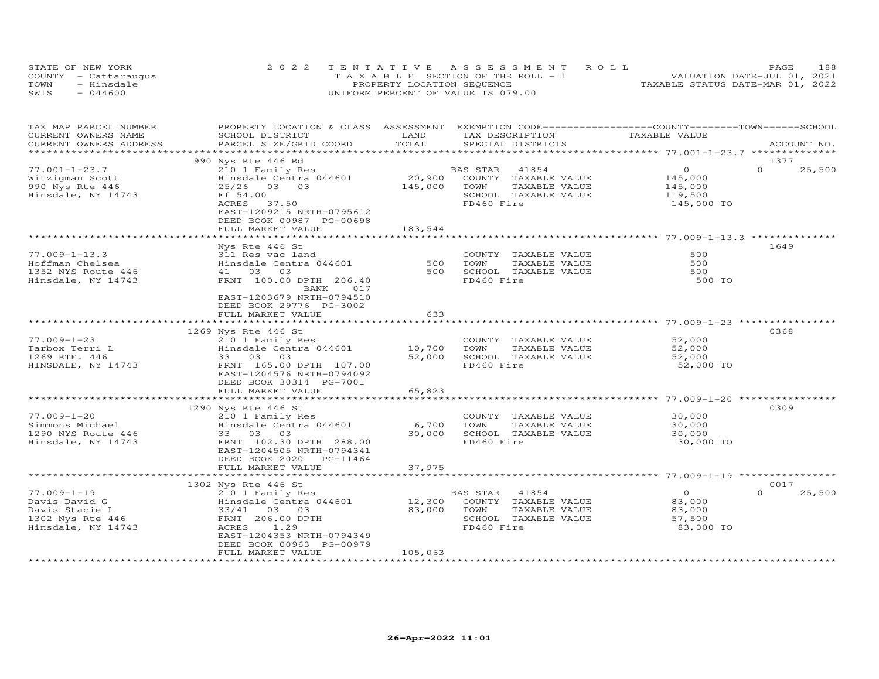| STATE OF NEW YORK |                      | 2022 TENTATIVE ASSESSMENT ROLL                 |  |                                  | PAGE. | 188 |
|-------------------|----------------------|------------------------------------------------|--|----------------------------------|-------|-----|
|                   | COUNTY - Cattaraugus | $T A X A B I F S E C T T ON OF THE RO I I - 1$ |  | VALUATION DATE-JUL 01, 2021      |       |     |
| TOWN              | - Hinsdale           | PROPERTY LOCATION SEQUENCE                     |  | TAXABLE STATUS DATE-MAR 01, 2022 |       |     |
| SWIS              | $-044600$            | UNIFORM PERCENT OF VALUE IS 079.00             |  |                                  |       |     |

| TAX MAP PARCEL NUMBER<br>CURRENT OWNERS NAME<br>CURRENT OWNERS ADDRESS                         | PROPERTY LOCATION & CLASS ASSESSMENT<br>SCHOOL DISTRICT<br>PARCEL SIZE/GRID COORD                                                                                   | LAND<br>TOTAL          | TAX DESCRIPTION<br>SPECIAL DISTRICTS                                                                     | EXEMPTION CODE-----------------COUNTY-------TOWN-----SCHOOL<br>TAXABLE VALUE | ACCOUNT NO.        |
|------------------------------------------------------------------------------------------------|---------------------------------------------------------------------------------------------------------------------------------------------------------------------|------------------------|----------------------------------------------------------------------------------------------------------|------------------------------------------------------------------------------|--------------------|
|                                                                                                |                                                                                                                                                                     | **********             |                                                                                                          |                                                                              |                    |
|                                                                                                | 990 Nys Rte 446 Rd                                                                                                                                                  |                        |                                                                                                          |                                                                              | 1377               |
| $77.001 - 1 - 23.7$<br>Witzigman Scott<br>990 Nys Rte 446<br>Hinsdale, NY 14743                | 210 1 Family Res<br>Hinsdale Centra 044601<br>25/26 03 03<br>Ff 54.00<br>ACRES<br>37.50<br>EAST-1209215 NRTH-0795612<br>DEED BOOK 00987 PG-00698                    | 20,900<br>145,000      | BAS STAR<br>41854<br>COUNTY TAXABLE VALUE<br>TOWN<br>TAXABLE VALUE<br>SCHOOL TAXABLE VALUE<br>FD460 Fire | $\circ$<br>145,000<br>145,000<br>119,500<br>145,000 TO                       | $\Omega$<br>25,500 |
|                                                                                                | FULL MARKET VALUE                                                                                                                                                   | 183,544                |                                                                                                          |                                                                              |                    |
|                                                                                                | Nys Rte 446 St                                                                                                                                                      |                        |                                                                                                          | ********************** 77.009-1-13.3                                         | 1649               |
| $77.009 - 1 - 13.3$<br>Hoffman Chelsea<br>1352 NYS Route 446<br>Hinsdale, NY 14743             | 311 Res vac land<br>Hinsdale Centra 044601<br>03<br>41 03<br>FRNT 100.00 DPTH 206.40<br>017<br>BANK<br>EAST-1203679 NRTH-0794510<br>DEED BOOK 29776 PG-3002         | 500<br>500             | COUNTY TAXABLE VALUE<br>TOWN<br>TAXABLE VALUE<br>SCHOOL TAXABLE VALUE<br>FD460 Fire                      | 500<br>500<br>500<br>500 TO                                                  |                    |
|                                                                                                | FULL MARKET VALUE                                                                                                                                                   | 633                    |                                                                                                          |                                                                              |                    |
|                                                                                                |                                                                                                                                                                     |                        |                                                                                                          | ******************************* 77.009-1-23 *****************                |                    |
| $77.009 - 1 - 23$<br>Tarbox Terri L<br>1269 RTE. 446<br>HINSDALE, NY 14743                     | 1269 Nys Rte 446 St<br>210 1 Family Res<br>Hinsdale Centra 044601<br>33 03 03<br>FRNT 165.00 DPTH 107.00<br>EAST-1204576 NRTH-0794092                               | 10,700<br>52,000       | COUNTY TAXABLE VALUE<br>TOWN<br>TAXABLE VALUE<br>SCHOOL TAXABLE VALUE<br>FD460 Fire                      | 52,000<br>52,000<br>52,000<br>52,000 TO                                      | 0368               |
|                                                                                                | DEED BOOK 30314 PG-7001<br>FULL MARKET VALUE                                                                                                                        | 65,823                 |                                                                                                          |                                                                              |                    |
|                                                                                                | ***********************                                                                                                                                             | ************           |                                                                                                          |                                                                              |                    |
| $77.009 - 1 - 20$<br>Simmons Michael<br>1290 NYS Route 446<br>Hinsdale, NY 14743               | 1290 Nys Rte 446 St<br>210 1 Family Res<br>Hinsdale Centra 044601<br>33 03 03<br>FRNT 102.30 DPTH 288.00<br>EAST-1204505 NRTH-0794341<br>DEED BOOK 2020<br>PG-11464 | 6,700<br>30,000        | COUNTY TAXABLE VALUE<br>TOWN<br>TAXABLE VALUE<br>SCHOOL TAXABLE VALUE<br>FD460 Fire                      | 30,000<br>30,000<br>30,000<br>30,000 TO                                      | 0309               |
|                                                                                                | FULL MARKET VALUE<br>*******************                                                                                                                            | 37,975                 |                                                                                                          |                                                                              |                    |
|                                                                                                | 1302 Nys Rte 446 St                                                                                                                                                 |                        |                                                                                                          | ******************************** 77.009-1-19 ****                            | 0017               |
| $77.009 - 1 - 19$<br>Davis David G<br>Davis Stacie L<br>1302 Nys Rte 446<br>Hinsdale, NY 14743 | 210 1 Family Res<br>Hinsdale Centra 044601<br>33/41 03 03<br>FRNT 206.00 DPTH<br><b>ACRES</b><br>1.29<br>EAST-1204353 NRTH-0794349<br>DEED BOOK 00963 PG-00979      | 12,300<br>83,000       | BAS STAR<br>41854<br>COUNTY TAXABLE VALUE<br>TOWN<br>TAXABLE VALUE<br>SCHOOL TAXABLE VALUE<br>FD460 Fire | $\circ$<br>83,000<br>83,000<br>57,500<br>83,000 TO                           | $\Omega$<br>25,500 |
|                                                                                                | FULL MARKET VALUE<br>**************************                                                                                                                     | 105,063<br>*********** |                                                                                                          |                                                                              |                    |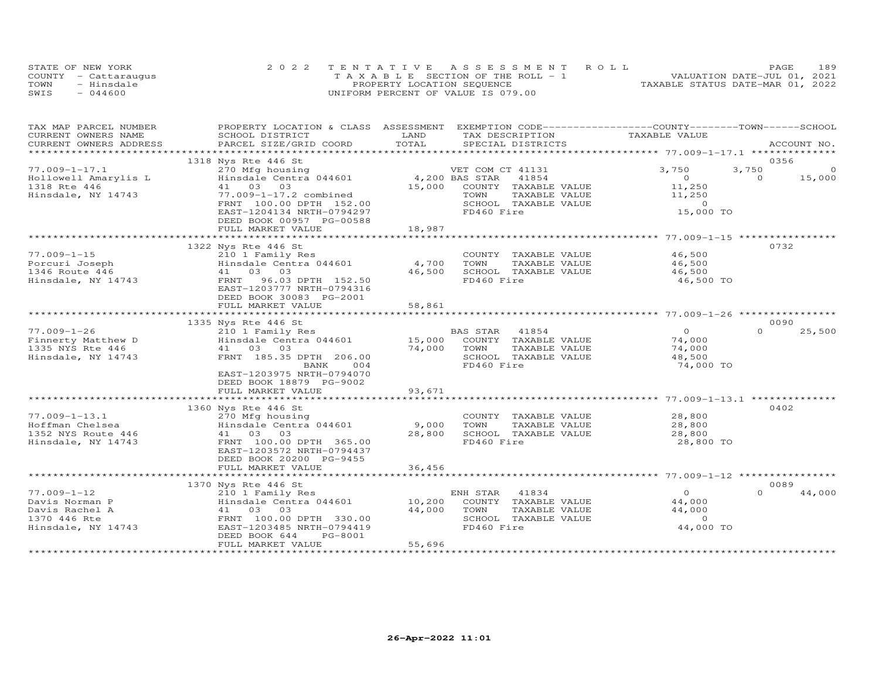|      | STATE OF NEW YORK    | 2022 TENTATIVE ASSESSMENT ROLL        | 189<br>PAGE                      |
|------|----------------------|---------------------------------------|----------------------------------|
|      | COUNTY - Cattaraugus | T A X A B L E SECTION OF THE ROLL - 1 | VALUATION DATE-JUL 01, 2021      |
| TOWN | - Hinsdale           | PROPERTY LOCATION SEQUENCE            | TAXABLE STATUS DATE-MAR 01, 2022 |
| SWIS | $-044600$            | UNIFORM PERCENT OF VALUE IS 079.00    |                                  |

| TAX MAP PARCEL NUMBER                           | PROPERTY LOCATION & CLASS ASSESSMENT       |                        | EXEMPTION CODE-----------------COUNTY-------TOWN------SCHOOL |                                                   |          |             |
|-------------------------------------------------|--------------------------------------------|------------------------|--------------------------------------------------------------|---------------------------------------------------|----------|-------------|
| CURRENT OWNERS NAME                             | SCHOOL DISTRICT                            | LAND<br>TOTAL          | TAX DESCRIPTION                                              | TAXABLE VALUE                                     |          |             |
| CURRENT OWNERS ADDRESS<br>********************* | PARCEL SIZE/GRID COORD                     |                        | SPECIAL DISTRICTS                                            |                                                   |          | ACCOUNT NO. |
|                                                 | 1318 Nys Rte 446 St                        |                        |                                                              |                                                   | 0356     |             |
| $77.009 - 1 - 17.1$                             | 270 Mfg housing                            |                        | VET COM CT 41131                                             | 3,750                                             | 3,750    | 0           |
| Hollowell Amarylis L                            | Hinsdale Centra 044601                     |                        | 4,200 BAS STAR<br>41854                                      | $\circ$                                           | $\Omega$ | 15,000      |
| 1318 Rte 446                                    | 41 03 03                                   | 15,000                 | COUNTY TAXABLE VALUE                                         | 11,250                                            |          |             |
| Hinsdale, NY 14743                              | 77.009-1-17.2 combined                     |                        | TOWN<br>TAXABLE VALUE                                        | 11,250                                            |          |             |
|                                                 | FRNT 100.00 DPTH 152.00                    |                        | SCHOOL TAXABLE VALUE                                         | $\circ$                                           |          |             |
|                                                 | EAST-1204134 NRTH-0794297                  |                        | FD460 Fire                                                   | 15,000 TO                                         |          |             |
|                                                 | DEED BOOK 00957 PG-00588                   |                        |                                                              |                                                   |          |             |
|                                                 | FULL MARKET VALUE                          | 18,987                 |                                                              |                                                   |          |             |
|                                                 |                                            |                        |                                                              |                                                   |          |             |
|                                                 | 1322 Nys Rte 446 St                        |                        |                                                              |                                                   | 0732     |             |
| $77.009 - 1 - 15$                               | 210 1 Family Res                           |                        | COUNTY TAXABLE VALUE                                         | 46,500                                            |          |             |
| Porcuri Joseph                                  | Hinsdale Centra 044601                     | 4,700                  | TOWN<br>TAXABLE VALUE                                        | 46,500                                            |          |             |
|                                                 | 41 03 03                                   | 46,500                 | SCHOOL TAXABLE VALUE                                         | 46,500                                            |          |             |
| Le noute 446<br>Hinsdale, NY 14743              | 96.03 DPTH 152.50<br>FRNT                  |                        | FD460 Fire                                                   | 46,500 TO                                         |          |             |
|                                                 | EAST-1203777 NRTH-0794316                  |                        |                                                              |                                                   |          |             |
|                                                 | DEED BOOK 30083 PG-2001                    |                        |                                                              |                                                   |          |             |
|                                                 | FULL MARKET VALUE                          | 58,861                 |                                                              |                                                   |          |             |
|                                                 |                                            | *************          |                                                              | ************************ 77.009-1-26 ************ |          |             |
|                                                 | 1335 Nys Rte 446 St                        |                        |                                                              |                                                   | 0090     |             |
| $77.009 - 1 - 26$                               | 210 1 Family Res                           |                        | <b>BAS STAR</b><br>41854                                     | $\Omega$                                          | $\Omega$ | 25,500      |
| Finnerty Matthew D                              | Hinsdale Centra 044601                     | 15,000                 | COUNTY TAXABLE VALUE                                         | 74,000                                            |          |             |
| 1335 NYS Rte 446                                | 41 03 03                                   | 74,000                 | TOWN<br>TAXABLE VALUE                                        | 74,000                                            |          |             |
| Hinsdale, NY 14743                              | FRNT 185.35 DPTH 206.00                    |                        | SCHOOL TAXABLE VALUE                                         | 48,500                                            |          |             |
|                                                 | BANK<br>004                                |                        | FD460 Fire                                                   | 74,000 TO                                         |          |             |
|                                                 | EAST-1203975 NRTH-0794070                  |                        |                                                              |                                                   |          |             |
|                                                 | DEED BOOK 18879 PG-9002                    |                        |                                                              |                                                   |          |             |
|                                                 | FULL MARKET VALUE                          | 93,671                 |                                                              |                                                   |          |             |
|                                                 |                                            |                        |                                                              |                                                   |          |             |
|                                                 | 1360 Nys Rte 446 St                        |                        |                                                              |                                                   | 0402     |             |
| $77.009 - 1 - 13.1$                             | 270 Mfg housing                            |                        | COUNTY TAXABLE VALUE                                         | 28,800                                            |          |             |
| Hoffman Chelsea                                 | Hinsdale Centra 044601                     | 9,000                  | TOWN<br>TAXABLE VALUE                                        | 28,800                                            |          |             |
| 1352 NYS Route 446                              | 41 03 03                                   | 28,800                 | SCHOOL TAXABLE VALUE                                         | 28,800                                            |          |             |
| Hinsdale, NY 14743                              | FRNT 100.00 DPTH 365.00                    |                        | FD460 Fire                                                   | 28,800 TO                                         |          |             |
|                                                 | EAST-1203572 NRTH-0794437                  |                        |                                                              |                                                   |          |             |
|                                                 | DEED BOOK 20200 PG-9455                    |                        |                                                              |                                                   |          |             |
|                                                 | FULL MARKET VALUE                          | 36,456<br>************ |                                                              |                                                   |          |             |
|                                                 | 1370 Nys Rte 446 St                        |                        |                                                              |                                                   | 0089     |             |
| $77.009 - 1 - 12$                               |                                            |                        | ENH STAR<br>41834                                            | $\overline{O}$                                    | $\Omega$ | 44,000      |
| Davis Norman P                                  | 210 1 Family Res<br>Hinsdale Centra 044601 | 10,200                 | COUNTY TAXABLE VALUE                                         | 44,000                                            |          |             |
| Davis Rachel A                                  | 41 03<br>03                                | 44,000                 | TOWN<br>TAXABLE VALUE                                        | 44,000                                            |          |             |
| 1370 446 Rte                                    | FRNT 100.00 DPTH 330.00                    |                        | SCHOOL TAXABLE VALUE                                         | $\circ$                                           |          |             |
| Hinsdale, NY 14743                              | EAST-1203485 NRTH-0794419                  |                        | FD460 Fire                                                   | 44,000 TO                                         |          |             |
|                                                 | DEED BOOK 644<br>PG-8001                   |                        |                                                              |                                                   |          |             |
|                                                 | FULL MARKET VALUE                          | 55,696                 |                                                              |                                                   |          |             |
|                                                 |                                            |                        |                                                              |                                                   |          |             |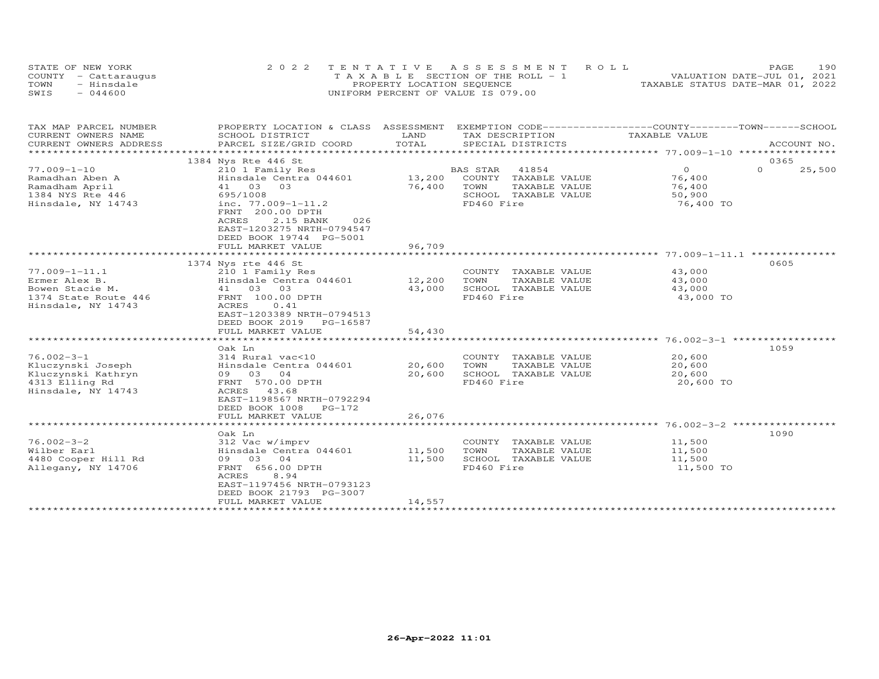|      | STATE OF NEW YORK    | 2022 TENTATIVE ASSESSMENT ROLL        | 190<br>PAGE                      |
|------|----------------------|---------------------------------------|----------------------------------|
|      | COUNTY - Cattaraugus | T A X A B L E SECTION OF THE ROLL - 1 | VALUATION DATE-JUL 01, 2021      |
| TOWN | - Hinsdale           | PROPERTY LOCATION SEQUENCE            | TAXABLE STATUS DATE-MAR 01, 2022 |
| SWIS | $-044600$            | UNIFORM PERCENT OF VALUE IS 079.00    |                                  |

| TAX MAP PARCEL NUMBER<br>CURRENT OWNERS NAME                                                        | PROPERTY LOCATION & CLASS ASSESSMENT<br>SCHOOL DISTRICT                                                                                                                           | LAND                       | EXEMPTION CODE-----------------COUNTY-------TOWN------SCHOOL<br>TAX DESCRIPTION                                | TAXABLE VALUE                                             |                    |
|-----------------------------------------------------------------------------------------------------|-----------------------------------------------------------------------------------------------------------------------------------------------------------------------------------|----------------------------|----------------------------------------------------------------------------------------------------------------|-----------------------------------------------------------|--------------------|
| CURRENT OWNERS ADDRESS<br>***********************                                                   | PARCEL SIZE/GRID COORD                                                                                                                                                            | TOTAL                      | SPECIAL DISTRICTS                                                                                              |                                                           | ACCOUNT NO.        |
|                                                                                                     | 1384 Nys Rte 446 St                                                                                                                                                               |                            |                                                                                                                |                                                           | 0365               |
| $77.009 - 1 - 10$<br>Ramadhan Aben A<br>Ramadham April<br>1384 NYS Rte 446<br>Hinsdale, NY 14743    | 210 1 Family Res<br>Hinsdale Centra 044601<br>41 03 03<br>695/1008<br>inc. $77.009 - 1 - 11.2$<br>FRNT 200.00 DPTH<br>ACRES<br>2.15 BANK<br>026<br>EAST-1203275 NRTH-0794547      | 76,400 TOWN                | <b>BAS STAR</b><br>41854<br>13,200 COUNTY TAXABLE VALUE<br>TAXABLE VALUE<br>SCHOOL TAXABLE VALUE<br>FD460 Fire | $\overline{O}$<br>76,400<br>76,400<br>50,900<br>76,400 TO | $\Omega$<br>25,500 |
|                                                                                                     | DEED BOOK 19744 PG-5001<br>FULL MARKET VALUE                                                                                                                                      | 96,709                     |                                                                                                                |                                                           |                    |
|                                                                                                     |                                                                                                                                                                                   |                            |                                                                                                                |                                                           |                    |
| $77.009 - 1 - 11.1$<br>Ermer Alex B.<br>Bowen Stacie M.                                             | 1374 Nys rte 446 St<br>210 1 Family Res<br>Hinsdale Centra 044601<br>41 03 03                                                                                                     | 12,200<br>43,000           | COUNTY TAXABLE VALUE<br>TOWN<br>TAXABLE VALUE<br>SCHOOL TAXABLE VALUE                                          | 43,000<br>43,000<br>43,000                                | 0605               |
| 1374 State Route 446<br>Hinsdale, NY 14743                                                          | FRNT 100.00 DPTH<br>ACRES<br>0.41<br>EAST-1203389 NRTH-0794513<br>DEED BOOK 2019 PG-16587<br>FULL MARKET VALUE                                                                    | 54,430                     | FD460 Fire                                                                                                     | 43,000 TO                                                 |                    |
|                                                                                                     |                                                                                                                                                                                   |                            |                                                                                                                |                                                           |                    |
| $76.002 - 3 - 1$<br>Kluczynski Joseph<br>Kluczynski Kathryn<br>4313 Elling Rd<br>Hinsdale, NY 14743 | Oak Ln<br>314 Rural vac<10<br>Hinsdale Centra 044601<br>09 03 04<br>FRNT 570.00 DPTH<br>ACRES 43.68<br>EAST-1198567 NRTH-0792294<br>DEED BOOK 1008 PG-172<br>FULL MARKET VALUE    | 20,600<br>20,600<br>26,076 | COUNTY TAXABLE VALUE<br>TAXABLE VALUE<br>TOWN<br>SCHOOL TAXABLE VALUE<br>FD460 Fire                            | 20,600<br>20,600<br>20,600<br>20,600 TO                   | 1059               |
|                                                                                                     |                                                                                                                                                                                   |                            |                                                                                                                |                                                           |                    |
| $76.002 - 3 - 2$<br>Wilber Earl<br>4480 Cooper Hill Rd<br>Allegany, NY 14706                        | Oak Ln<br>312 Vac w/imprv<br>Hinsdale Centra 044601<br>09 03 04<br>FRNT 656.00 DPTH<br>8.94<br>ACRES<br>EAST-1197456 NRTH-0793123<br>DEED BOOK 21793 PG-3007<br>FULL MARKET VALUE | 11,500<br>11,500           | COUNTY TAXABLE VALUE<br>TOWN<br>TAXABLE VALUE<br>SCHOOL TAXABLE VALUE<br>FD460 Fire                            | 11,500<br>11,500<br>11,500<br>11,500 TO                   | 1090               |
|                                                                                                     |                                                                                                                                                                                   | 14,557                     |                                                                                                                |                                                           |                    |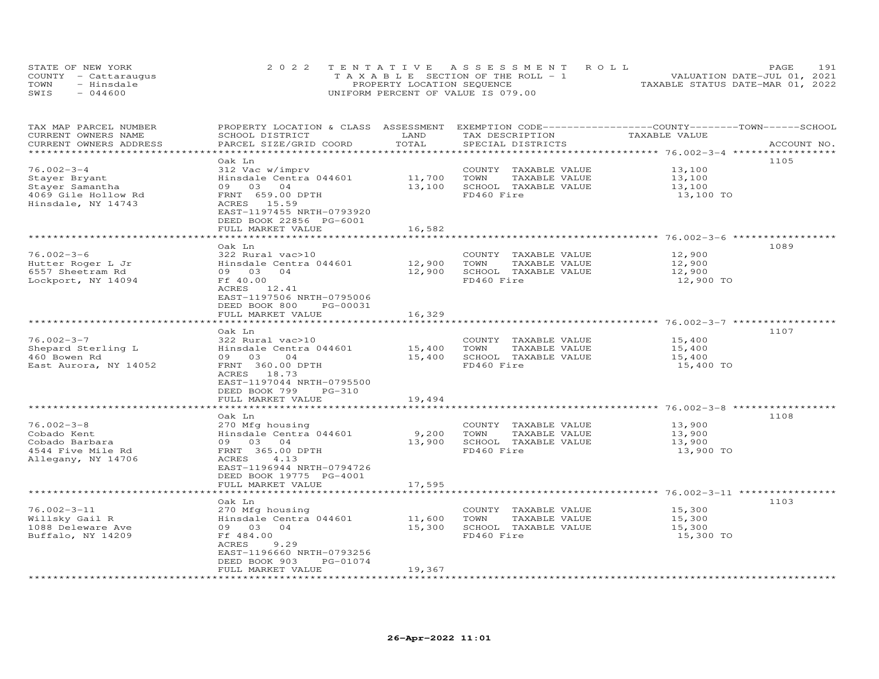| STATE OF NEW YORK    | 2022 TENTATIVE ASSESSMENT ROLL        | PAGE                             | 191 |
|----------------------|---------------------------------------|----------------------------------|-----|
| COUNTY - Cattaraugus | T A X A B L E SECTION OF THE ROLL - 1 | VALUATION DATE-JUL 01, 2021      |     |
| - Hinsdale<br>TOWN   | PROPERTY LOCATION SEQUENCE            | TAXABLE STATUS DATE-MAR 01, 2022 |     |
| $-044600$<br>SWIS    | UNIFORM PERCENT OF VALUE IS 079.00    |                                  |     |

| TAX MAP PARCEL NUMBER  | PROPERTY LOCATION & CLASS ASSESSMENT EXEMPTION CODE-----------------COUNTY-------TOWN------SCHOOL |        |                             |                                                                |             |
|------------------------|---------------------------------------------------------------------------------------------------|--------|-----------------------------|----------------------------------------------------------------|-------------|
| CURRENT OWNERS NAME    | SCHOOL DISTRICT                                                                                   | LAND   | TAX DESCRIPTION             | TAXABLE VALUE                                                  |             |
| CURRENT OWNERS ADDRESS | PARCEL SIZE/GRID COORD                                                                            | TOTAL  | SPECIAL DISTRICTS           |                                                                | ACCOUNT NO. |
|                        |                                                                                                   |        |                             | ****************** 76.002-3-4 **********                       |             |
|                        | Oak Ln                                                                                            |        |                             |                                                                | 1105        |
| $76.002 - 3 - 4$       | 312 Vac w/imprv                                                                                   |        | COUNTY TAXABLE VALUE        | 13,100                                                         |             |
| Stayer Bryant          | Hinsdale Centra 044601                                                                            | 11,700 | TOWN<br>TAXABLE VALUE       | 13,100                                                         |             |
| Stayer Samantha        | 09 03 04                                                                                          | 13,100 | SCHOOL TAXABLE VALUE        | 13,100                                                         |             |
|                        |                                                                                                   |        |                             |                                                                |             |
| 4069 Gile Hollow Rd    | FRNT 659.00 DPTH                                                                                  |        | FD460 Fire                  | 13,100 TO                                                      |             |
| Hinsdale, NY 14743     | ACRES 15.59                                                                                       |        |                             |                                                                |             |
|                        | EAST-1197455 NRTH-0793920                                                                         |        |                             |                                                                |             |
|                        | DEED BOOK 22856 PG-6001                                                                           |        |                             |                                                                |             |
|                        | FULL MARKET VALUE<br>*********************                                                        | 16,582 |                             | **************************************6.002-3-6 ************** |             |
|                        |                                                                                                   |        |                             |                                                                |             |
|                        | Oak Ln                                                                                            |        |                             |                                                                | 1089        |
| $76.002 - 3 - 6$       | 322 Rural vac>10                                                                                  |        | COUNTY TAXABLE VALUE        | 12,900                                                         |             |
| Hutter Roger L Jr      | Hinsdale Centra 044601                                                                            | 12,900 | TOWN<br>TAXABLE VALUE       | 12,900                                                         |             |
| 6557 Sheetram Rd       | 09 03 04                                                                                          | 12,900 | SCHOOL TAXABLE VALUE        | 12,900                                                         |             |
| Lockport, NY 14094     | Ff 40.00                                                                                          |        | FD460 Fire                  | 12,900 TO                                                      |             |
|                        | ACRES 12.41                                                                                       |        |                             |                                                                |             |
|                        | EAST-1197506 NRTH-0795006                                                                         |        |                             |                                                                |             |
|                        | DEED BOOK 800<br>PG-00031                                                                         |        |                             |                                                                |             |
|                        | FULL MARKET VALUE                                                                                 | 16,329 |                             |                                                                |             |
|                        |                                                                                                   |        |                             |                                                                |             |
|                        | Oak Ln                                                                                            |        |                             |                                                                | 1107        |
| $76.002 - 3 - 7$       | 322 Rural vac>10                                                                                  |        | COUNTY TAXABLE VALUE        | 15,400                                                         |             |
| Shepard Sterling L     | Hinsdale Centra 044601                                                                            | 15,400 | TOWN<br>TAXABLE VALUE       | 15,400                                                         |             |
| 460 Bowen Rd           | 09 03<br>04                                                                                       | 15,400 | SCHOOL TAXABLE VALUE        | 15,400                                                         |             |
| East Aurora, NY 14052  | FRNT 360.00 DPTH                                                                                  |        | FD460 Fire                  | 15,400 TO                                                      |             |
|                        | ACRES 18.73                                                                                       |        |                             |                                                                |             |
|                        | EAST-1197044 NRTH-0795500                                                                         |        |                             |                                                                |             |
|                        | DEED BOOK 799<br>PG-310                                                                           |        |                             |                                                                |             |
|                        | FULL MARKET VALUE                                                                                 | 19,494 |                             |                                                                |             |
|                        |                                                                                                   |        |                             |                                                                |             |
|                        | Oak Ln                                                                                            |        |                             |                                                                | 1108        |
| $76.002 - 3 - 8$       | 270 Mfg housing                                                                                   |        | COUNTY TAXABLE VALUE        | 13,900                                                         |             |
| Cobado Kent            | Hinsdale Centra 044601                                                                            | 9,200  | TOWN<br>TAXABLE VALUE       | 13,900                                                         |             |
| Cobado Barbara         | 09 03 04                                                                                          |        | 13,900 SCHOOL TAXABLE VALUE | 13,900                                                         |             |
| 4544 Five Mile Rd      | FRNT 365.00 DPTH                                                                                  |        | FD460 Fire                  | 13,900 TO                                                      |             |
| Allegany, NY 14706     | ACRES<br>4.13                                                                                     |        |                             |                                                                |             |
|                        | EAST-1196944 NRTH-0794726                                                                         |        |                             |                                                                |             |
|                        | DEED BOOK 19775 PG-4001                                                                           |        |                             |                                                                |             |
|                        | FULL MARKET VALUE                                                                                 | 17,595 |                             |                                                                |             |
|                        |                                                                                                   |        |                             |                                                                |             |
|                        | Oak Ln                                                                                            |        |                             |                                                                | 1103        |
| $76.002 - 3 - 11$      | 270 Mfg housing                                                                                   |        | COUNTY TAXABLE VALUE        | 15,300                                                         |             |
| Willsky Gail R         | Hinsdale Centra 044601                                                                            | 11,600 | TOWN<br>TAXABLE VALUE       | 15,300                                                         |             |
|                        | 09 03 04                                                                                          | 15,300 | SCHOOL TAXABLE VALUE        | 15,300                                                         |             |
| 1088 Deleware Ave      |                                                                                                   |        |                             |                                                                |             |
| Buffalo, NY 14209      | Ff 484.00                                                                                         |        | FD460 Fire                  | 15,300 TO                                                      |             |
|                        | ACRES<br>9.29                                                                                     |        |                             |                                                                |             |
|                        | EAST-1196660 NRTH-0793256                                                                         |        |                             |                                                                |             |
|                        | DEED BOOK 903<br>PG-01074                                                                         |        |                             |                                                                |             |
|                        | FULL MARKET VALUE                                                                                 | 19,367 |                             |                                                                |             |
|                        |                                                                                                   |        |                             |                                                                |             |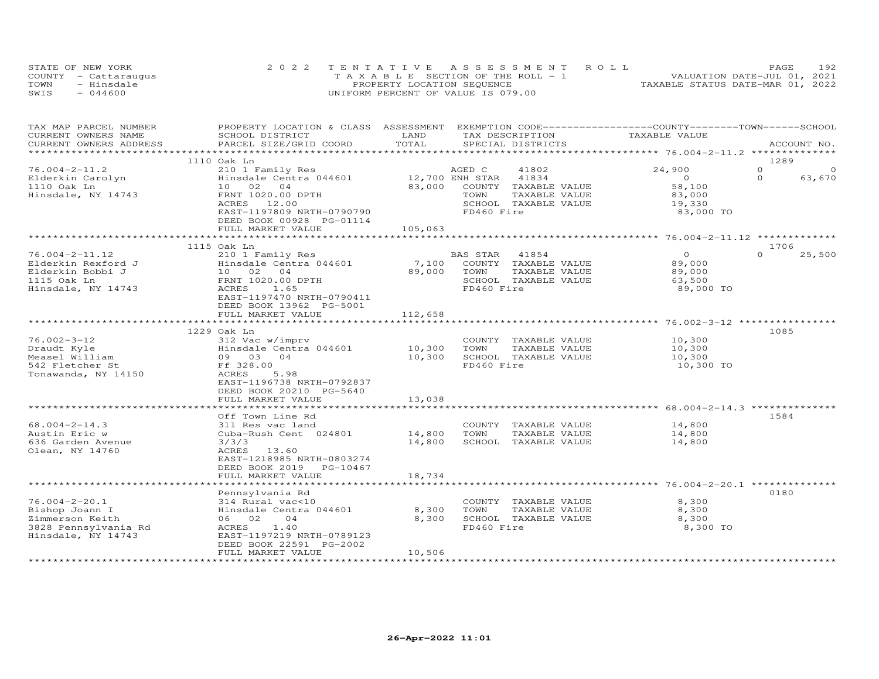| STATE OF NEW YORK    | 2022 TENTATIVE ASSESSMENT ROLL        | 192<br>PAGE.                     |
|----------------------|---------------------------------------|----------------------------------|
| COUNTY - Cattaraugus | T A X A B L E SECTION OF THE ROLL - 1 | VALUATION DATE-JUL 01, 2021      |
| TOWN<br>- Hinsdale   | PROPERTY LOCATION SEQUENCE            | TAXABLE STATUS DATE-MAR 01, 2022 |
| $-044600$<br>SWIS    | UNIFORM PERCENT OF VALUE IS 079.00    |                                  |

| TAX MAP PARCEL NUMBER<br>CURRENT OWNERS NAME<br>CURRENT OWNERS ADDRESS                                 | PROPERTY LOCATION & CLASS ASSESSMENT<br>SCHOOL DISTRICT<br>PARCEL SIZE/GRID COORD                                                                                                                          | LAND<br>TOTAL                                 | TAX DESCRIPTION<br>SPECIAL DISTRICTS                                                                                               | EXEMPTION CODE-----------------COUNTY-------TOWN-----SCHOOL<br>TAXABLE VALUE                    | ACCOUNT NO.                                        |
|--------------------------------------------------------------------------------------------------------|------------------------------------------------------------------------------------------------------------------------------------------------------------------------------------------------------------|-----------------------------------------------|------------------------------------------------------------------------------------------------------------------------------------|-------------------------------------------------------------------------------------------------|----------------------------------------------------|
|                                                                                                        |                                                                                                                                                                                                            |                                               |                                                                                                                                    |                                                                                                 |                                                    |
| $76.004 - 2 - 11.2$<br>Elderkin Carolyn<br>1110 Oak Ln<br>Hinsdale, NY 14743                           | 1110 Oak Ln<br>210 1 Family Res<br>Hinsdale Centra 044601<br>10 02 04<br>FRNT 1020.00 DPTH<br>ACRES 12.00<br>EAST-1197809 NRTH-0790790<br>DEED BOOK 00928 PG-01114<br>FULL MARKET VALUE                    | 83,000<br>105,063                             | AGED C<br>41802<br>12,700 ENH STAR<br>41834<br>COUNTY TAXABLE VALUE<br>TOWN<br>TAXABLE VALUE<br>SCHOOL TAXABLE VALUE<br>FD460 Fire | 24,900<br>$\Omega$<br>58,100<br>83,000<br>19,330<br>83,000 TO                                   | 1289<br>$\Omega$<br>$\Omega$<br>$\Omega$<br>63,670 |
|                                                                                                        | *************************                                                                                                                                                                                  |                                               |                                                                                                                                    |                                                                                                 |                                                    |
| $76.004 - 2 - 11.12$<br>Elderkin Rexford J<br>Elderkin Bobbi J<br>1115 Oak Ln<br>Hinsdale, NY 14743    | 1115 Oak Ln<br>210 1 Family Res<br>Hinsdale Centra 044601<br>10 02 04<br>FRNT 1020.00 DPTH<br>ACRES<br>1.65<br>EAST-1197470 NRTH-0790411<br>DEED BOOK 13962 PG-5001<br>FULL MARKET VALUE                   | 7,100<br>89,000<br>112,658                    | <b>BAS STAR</b><br>41854<br>COUNTY TAXABLE VALUE<br>TOWN<br>TAXABLE VALUE<br>SCHOOL TAXABLE VALUE<br>FD460 Fire                    | $\overline{O}$<br>89,000<br>89,000<br>63,500<br>89,000 TO                                       | 1706<br>$\Omega$<br>25,500                         |
|                                                                                                        |                                                                                                                                                                                                            |                                               |                                                                                                                                    |                                                                                                 |                                                    |
| $76.002 - 3 - 12$<br>Draudt Kyle<br>Measel William<br>542 Fletcher St<br>Tonawanda, NY 14150           | 1229 Oak Ln<br>312 Vac w/imprv<br>Hinsdale Centra 044601<br>09 03 04<br>Ff 328.00<br>ACRES<br>5.98<br>EAST-1196738 NRTH-0792837<br>DEED BOOK 20210 PG-5640<br>FULL MARKET VALUE<br>*********************** | 10,300<br>10,300<br>13,038<br>*************** | COUNTY TAXABLE VALUE<br>TAXABLE VALUE<br>TOWN<br>SCHOOL TAXABLE VALUE<br>FD460 Fire                                                | 10,300<br>10,300<br>10,300<br>10,300 TO<br>*********************************** 68.004-2-14.3 ** | 1085<br>* * * * * * * *                            |
|                                                                                                        | Off Town Line Rd                                                                                                                                                                                           |                                               |                                                                                                                                    |                                                                                                 | 1584                                               |
| $68.004 - 2 - 14.3$<br>Austin Eric w<br>636 Garden Avenue<br>Olean, NY 14760                           | 311 Res vac land<br>Cuba-Rush Cent 024801<br>3/3/3<br>ACRES<br>13.60<br>EAST-1218985 NRTH-0803274<br>DEED BOOK 2019<br>PG-10467                                                                            | 14,800<br>14,800                              | COUNTY TAXABLE VALUE<br>TOWN<br>TAXABLE VALUE<br>SCHOOL TAXABLE VALUE                                                              | 14,800<br>14,800<br>14,800                                                                      |                                                    |
|                                                                                                        | FULL MARKET VALUE<br>*******************                                                                                                                                                                   | 18,734                                        |                                                                                                                                    | ************************ 76.004-2-20.1 **                                                       |                                                    |
| $76.004 - 2 - 20.1$<br>Bishop Joann I<br>Zimmerson Keith<br>3828 Pennsylvania Rd<br>Hinsdale, NY 14743 | Pennsylvania Rd<br>314 Rural vac<10<br>Hinsdale Centra 044601<br>06 02<br>04<br>1.40<br>ACRES<br>EAST-1197219 NRTH-0789123<br>DEED BOOK 22591 PG-2002                                                      | 8,300<br>8,300                                | COUNTY TAXABLE VALUE<br>TOWN<br>TAXABLE VALUE<br>SCHOOL TAXABLE VALUE<br>FD460 Fire                                                | 8,300<br>8,300<br>8,300<br>8,300 TO                                                             | 0180                                               |
| ************************                                                                               | FULL MARKET VALUE<br>***************************                                                                                                                                                           | 10,506<br>*******************                 |                                                                                                                                    |                                                                                                 |                                                    |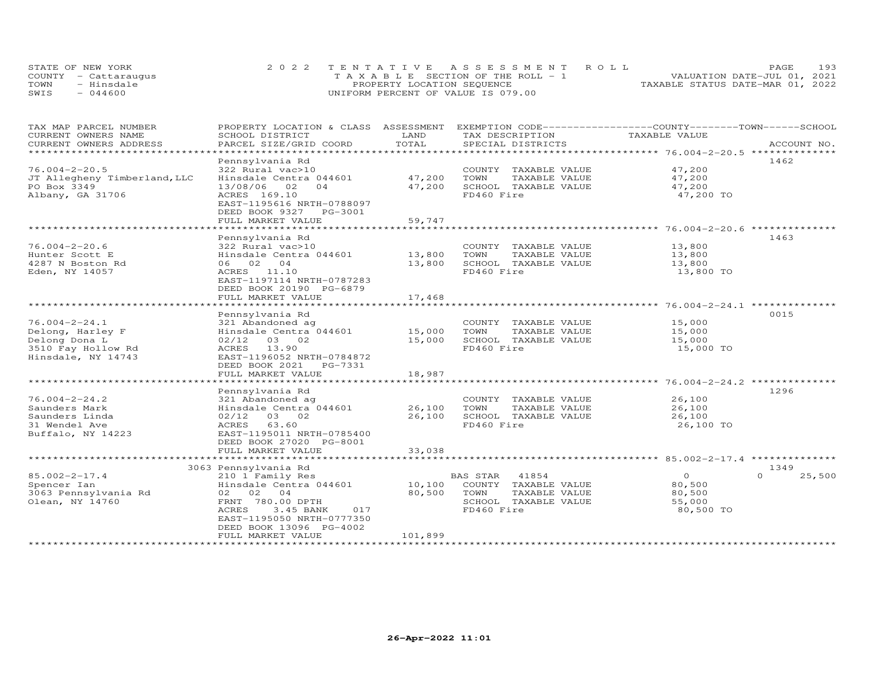| STATE OF NEW YORK    | 2022 TENTATIVE ASSESSMENT ROLL        | 193<br><b>PAGE</b>               |
|----------------------|---------------------------------------|----------------------------------|
| COUNTY - Cattaraugus | T A X A B L E SECTION OF THE ROLL - 1 | VALUATION DATE-JUL 01, 2021      |
| TOWN<br>- Hinsdale   | PROPERTY LOCATION SEQUENCE            | TAXABLE STATUS DATE-MAR 01, 2022 |
| $-044600$<br>SWIS    | UNIFORM PERCENT OF VALUE IS 079.00    |                                  |

| TAX MAP PARCEL NUMBER<br>CURRENT OWNERS NAME | PROPERTY LOCATION & CLASS ASSESSMENT<br>SCHOOL DISTRICT | LAND         | EXEMPTION CODE-----------------COUNTY-------TOWN------SCHOOL<br>TAX DESCRIPTION | TAXABLE VALUE                                    |                    |
|----------------------------------------------|---------------------------------------------------------|--------------|---------------------------------------------------------------------------------|--------------------------------------------------|--------------------|
| CURRENT OWNERS ADDRESS                       | PARCEL SIZE/GRID COORD                                  | TOTAL        | SPECIAL DISTRICTS                                                               |                                                  | ACCOUNT NO.        |
| *******************                          | *********************                                   |              |                                                                                 |                                                  |                    |
|                                              | Pennsylvania Rd                                         |              |                                                                                 |                                                  | 1462               |
| $76.004 - 2 - 20.5$                          | 322 Rural vac>10                                        |              | COUNTY TAXABLE VALUE                                                            | 47,200                                           |                    |
| JT Allegheny Timberland, LLC                 | Hinsdale Centra 044601                                  | 47,200       | TOWN<br>TAXABLE VALUE                                                           | 47,200                                           |                    |
| PO Box 3349                                  | 13/08/06<br>02<br>04                                    | 47,200       | SCHOOL TAXABLE VALUE                                                            | 47,200                                           |                    |
| Albany, GA 31706                             | ACRES 169.10                                            |              | FD460 Fire                                                                      | 47,200 TO                                        |                    |
|                                              | EAST-1195616 NRTH-0788097                               |              |                                                                                 |                                                  |                    |
|                                              | DEED BOOK 9327<br>PG-3001                               |              |                                                                                 |                                                  |                    |
|                                              | FULL MARKET VALUE                                       | 59,747       |                                                                                 |                                                  |                    |
|                                              |                                                         |              |                                                                                 |                                                  |                    |
|                                              | Pennsylvania Rd                                         |              |                                                                                 |                                                  | 1463               |
| $76.004 - 2 - 20.6$                          | 322 Rural vac>10                                        |              | COUNTY TAXABLE VALUE                                                            | 13,800                                           |                    |
| Hunter Scott E                               | Hinsdale Centra 044601                                  | 13,800       | TOWN<br>TAXABLE VALUE                                                           | 13,800                                           |                    |
| 4287 N Boston Rd                             | 06 02 04                                                | 13,800       | SCHOOL TAXABLE VALUE                                                            | 13,800                                           |                    |
| Eden, NY 14057                               | ACRES 11.10                                             |              | FD460 Fire                                                                      | 13,800 TO                                        |                    |
|                                              | EAST-1197114 NRTH-0787283                               |              |                                                                                 |                                                  |                    |
|                                              | DEED BOOK 20190 PG-6879                                 |              |                                                                                 |                                                  |                    |
|                                              | FULL MARKET VALUE                                       | 17,468       |                                                                                 |                                                  |                    |
|                                              | ********************                                    | ***********  |                                                                                 | ******************** 76.004-2-24.1 **            |                    |
|                                              | Pennsylvania Rd                                         |              |                                                                                 |                                                  | 0015               |
| $76.004 - 2 - 24.1$                          | 321 Abandoned ag                                        |              | COUNTY TAXABLE VALUE                                                            | 15,000                                           |                    |
| Delong, Harley F                             | Hinsdale Centra 044601                                  | 15,000       | TOWN<br>TAXABLE VALUE                                                           | 15,000                                           |                    |
| Delong Dona L                                | $02/12$ 03 02                                           | 15,000       | SCHOOL TAXABLE VALUE                                                            | 15,000                                           |                    |
| 3510 Fay Hollow Rd                           | 13.90<br>ACRES                                          |              | FD460 Fire                                                                      | 15,000 TO                                        |                    |
| Hinsdale, NY 14743                           | EAST-1196052 NRTH-0784872                               |              |                                                                                 |                                                  |                    |
|                                              | DEED BOOK 2021<br>PG-7331                               |              |                                                                                 |                                                  |                    |
|                                              | FULL MARKET VALUE                                       | 18,987       |                                                                                 |                                                  |                    |
|                                              |                                                         | ************ |                                                                                 | ******************* 76.004-2-24.2 ************** |                    |
|                                              | Pennsylvania Rd                                         |              |                                                                                 |                                                  | 1296               |
| $76.004 - 2 - 24.2$                          | 321 Abandoned ag                                        |              | COUNTY TAXABLE VALUE                                                            | 26,100                                           |                    |
| Saunders Mark                                | Hinsdale Centra 044601                                  | 26,100       | TOWN<br>TAXABLE VALUE                                                           | 26,100                                           |                    |
| Saunders Linda                               | $02/12$ 03 02                                           | 26,100       | SCHOOL TAXABLE VALUE                                                            | 26,100                                           |                    |
| 31 Wendel Ave                                | 63.60<br>ACRES                                          |              | FD460 Fire                                                                      | 26,100 TO                                        |                    |
| Buffalo, NY 14223                            | EAST-1195011 NRTH-0785400                               |              |                                                                                 |                                                  |                    |
|                                              | DEED BOOK 27020 PG-8001                                 |              |                                                                                 |                                                  |                    |
|                                              | FULL MARKET VALUE                                       | 33,038       |                                                                                 |                                                  |                    |
|                                              | ******************************                          |              |                                                                                 |                                                  |                    |
|                                              | 3063 Pennsylvania Rd                                    |              |                                                                                 |                                                  | 1349               |
| $85.002 - 2 - 17.4$                          | 210 1 Family Res                                        |              | BAS STAR<br>41854                                                               | $\Omega$                                         | 25,500<br>$\Omega$ |
| Spencer Ian                                  | Hinsdale Centra 044601                                  | 10,100       | COUNTY TAXABLE VALUE                                                            | 80,500                                           |                    |
| 3063 Pennsylvania Rd                         | 02 02 04                                                | 80,500       | TAXABLE VALUE<br>TOWN                                                           | 80,500                                           |                    |
| Olean, NY 14760                              | FRNT 780.00 DPTH                                        |              | SCHOOL TAXABLE VALUE                                                            | 55,000                                           |                    |
|                                              | <b>ACRES</b><br>3.45 BANK<br>017                        |              | FD460 Fire                                                                      | 80,500 TO                                        |                    |
|                                              | EAST-1195050 NRTH-0777350                               |              |                                                                                 |                                                  |                    |
|                                              | DEED BOOK 13096 PG-4002                                 |              |                                                                                 |                                                  |                    |
|                                              | FULL MARKET VALUE                                       | 101,899      |                                                                                 |                                                  |                    |
|                                              |                                                         |              |                                                                                 |                                                  |                    |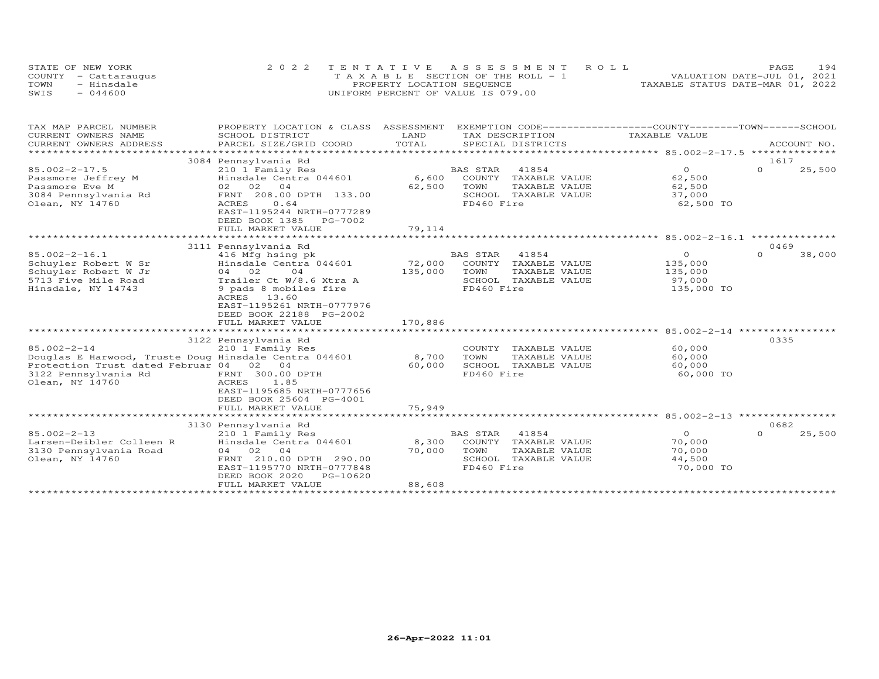| STATE OF NEW YORK    | 2022 TENTATIVE ASSESSMENT ROLL        | 194<br>PAGE.                     |
|----------------------|---------------------------------------|----------------------------------|
| COUNTY - Cattaraugus | T A X A B L E SECTION OF THE ROLL - 1 | VALUATION DATE-JUL 01, 2021      |
| TOWN<br>- Hinsdale   | PROPERTY LOCATION SEQUENCE            | TAXABLE STATUS DATE-MAR 01, 2022 |
| $-044600$<br>SWIS    | UNIFORM PERCENT OF VALUE IS 079.00    |                                  |

| TAX MAP PARCEL NUMBER                                 | PROPERTY LOCATION & CLASS                               | ASSESSMENT            |                 |                      | EXEMPTION CODE------------------COUNTY-------TOWN------SCHOOL |                  |                |
|-------------------------------------------------------|---------------------------------------------------------|-----------------------|-----------------|----------------------|---------------------------------------------------------------|------------------|----------------|
| CURRENT OWNERS NAME                                   | SCHOOL DISTRICT                                         | LAND                  |                 | TAX DESCRIPTION      | TAXABLE VALUE                                                 |                  |                |
| CURRENT OWNERS ADDRESS                                | PARCEL SIZE/GRID COORD                                  | TOTAL                 |                 | SPECIAL DISTRICTS    |                                                               |                  | ACCOUNT NO.    |
|                                                       |                                                         |                       |                 |                      |                                                               |                  | ************** |
|                                                       | 3084 Pennsylvania Rd                                    |                       |                 | 41854                | $\Omega$                                                      | 1617<br>$\Omega$ |                |
| $85.002 - 2 - 17.5$                                   | 210 1 Family Res                                        |                       | <b>BAS STAR</b> |                      |                                                               |                  | 25,500         |
| Passmore Jeffrey M                                    | Hinsdale Centra 044601<br>02 02<br>04                   | 6,600<br>62,500       | COUNTY          | TAXABLE VALUE        | 62,500                                                        |                  |                |
| Passmore Eve M                                        |                                                         |                       | TOWN            | TAXABLE VALUE        | 62,500                                                        |                  |                |
| 3084 Pennsylvania Rd                                  | FRNT 208.00 DPTH 133.00<br>0.64<br>ACRES                |                       | FD460 Fire      | SCHOOL TAXABLE VALUE | 37,000<br>62,500 TO                                           |                  |                |
| Olean, NY 14760                                       | EAST-1195244 NRTH-0777289                               |                       |                 |                      |                                                               |                  |                |
|                                                       | DEED BOOK 1385<br>PG-7002                               |                       |                 |                      |                                                               |                  |                |
|                                                       | FULL MARKET VALUE                                       | 79,114                |                 |                      |                                                               |                  |                |
|                                                       |                                                         | *************         |                 |                      | ************ 85,002-2-16.1                                    | *********        |                |
|                                                       | 3111 Pennsylvania Rd                                    |                       |                 |                      |                                                               | 0469             |                |
| $85.002 - 2 - 16.1$                                   | 416 Mfg hsing pk                                        |                       | <b>BAS STAR</b> | 41854                | $\circ$                                                       | $\Omega$         | 38,000         |
| Schuyler Robert W Sr                                  | Hinsdale Centra 044601                                  | 72,000                | COUNTY          | TAXABLE VALUE        | 135,000                                                       |                  |                |
| Schuyler Robert W Jr                                  | 04 02<br>04                                             | 135,000               | TOWN            | TAXABLE VALUE        | 135,000                                                       |                  |                |
| 5713 Five Mile Road                                   | Trailer Ct W/8.6 Xtra A                                 |                       |                 | SCHOOL TAXABLE VALUE | 97,000                                                        |                  |                |
| Hinsdale, NY 14743                                    | 9 pads 8 mobiles fire                                   |                       | FD460 Fire      |                      | 135,000 TO                                                    |                  |                |
|                                                       | ACRES<br>13.60                                          |                       |                 |                      |                                                               |                  |                |
|                                                       | EAST-1195261 NRTH-0777976                               |                       |                 |                      |                                                               |                  |                |
|                                                       | DEED BOOK 22188 PG-2002                                 |                       |                 |                      |                                                               |                  |                |
|                                                       | FULL MARKET VALUE                                       | 170,886               |                 |                      |                                                               |                  |                |
|                                                       |                                                         |                       |                 |                      |                                                               |                  |                |
|                                                       | 3122 Pennsylvania Rd                                    |                       |                 |                      |                                                               | 0335             |                |
| $85.002 - 2 - 14$                                     | 210 1 Family Res                                        |                       | COUNTY          | TAXABLE VALUE        | 60,000                                                        |                  |                |
| Douglas E Harwood, Truste Doug Hinsdale Centra 044601 |                                                         | 8,700                 | TOWN            | TAXABLE VALUE        | 60,000                                                        |                  |                |
| Protection Trust dated Februar 04 02 04               |                                                         | 60,000                |                 | SCHOOL TAXABLE VALUE | 60,000                                                        |                  |                |
| 3122 Pennsylvania Rd                                  | FRNT 300.00 DPTH                                        |                       | FD460 Fire      |                      | 60,000 TO                                                     |                  |                |
| Olean, NY 14760                                       | ACRES<br>1.85                                           |                       |                 |                      |                                                               |                  |                |
|                                                       | EAST-1195685 NRTH-0777656                               |                       |                 |                      |                                                               |                  |                |
|                                                       | DEED BOOK 25604 PG-4001                                 |                       |                 |                      |                                                               |                  |                |
|                                                       | FULL MARKET VALUE                                       | 75,949                |                 |                      |                                                               |                  |                |
|                                                       | ***********************                                 | * * * * * * * * * * * |                 |                      | ********** 85.002-2-13 ***********                            |                  |                |
|                                                       | 3130 Pennsylvania Rd                                    |                       |                 |                      |                                                               | 0682             |                |
| $85.002 - 2 - 13$                                     | 210 1 Family Res                                        |                       | BAS STAR        | 41854                | $\Omega$                                                      | $\Omega$         | 25,500         |
| Larsen-Deibler Colleen R                              | Hinsdale Centra 044601                                  | 8,300                 | COUNTY          | TAXABLE VALUE        | 70,000                                                        |                  |                |
| 3130 Pennsylvania Road                                | 04 02<br>0 <sub>4</sub>                                 | 70,000                | TOWN            | TAXABLE VALUE        | 70,000                                                        |                  |                |
| Olean, NY 14760                                       | FRNT 210.00 DPTH 290.00                                 |                       | SCHOOL          | TAXABLE VALUE        | 44,500                                                        |                  |                |
|                                                       | EAST-1195770 NRTH-0777848<br>DEED BOOK 2020<br>PG-10620 |                       | FD460 Fire      |                      | 70,000 TO                                                     |                  |                |
|                                                       | FULL MARKET VALUE                                       | 88,608                |                 |                      |                                                               |                  |                |
|                                                       |                                                         |                       |                 |                      |                                                               |                  |                |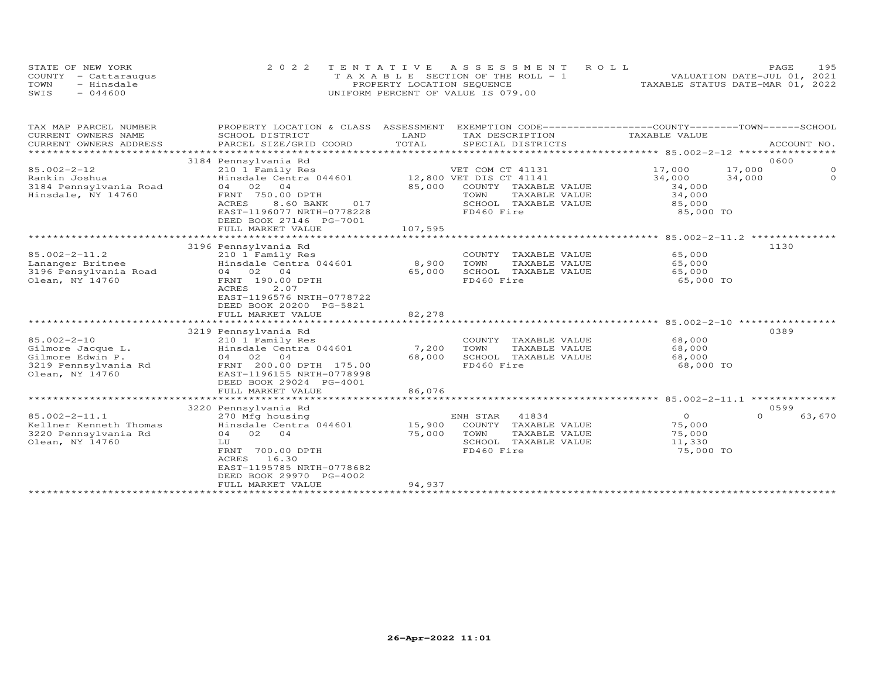| STATE OF NEW YORK    | 2022 TENTATIVE ASSESSMENT ROLL        |                                  | PAGE                        | 195 |
|----------------------|---------------------------------------|----------------------------------|-----------------------------|-----|
| COUNTY - Cattaraugus | T A X A B L E SECTION OF THE ROLL - 1 |                                  | VALUATION DATE-JUL 01, 2021 |     |
| TOWN<br>- Hinsdale   | PROPERTY LOCATION SEQUENCE            | TAXABLE STATUS DATE-MAR 01, 2022 |                             |     |
| SWIS<br>$-044600$    | UNIFORM PERCENT OF VALUE IS 079.00    |                                  |                             |     |

| TAX MAP PARCEL NUMBER<br>CURRENT OWNERS NAME | PROPERTY LOCATION & CLASS ASSESSMENT<br>SCHOOL DISTRICT | LAND<br>TAX DESCRIPTION                                | EXEMPTION CODE------------------COUNTY-------TOWN------SCHOOL<br>TAXABLE VALUE |
|----------------------------------------------|---------------------------------------------------------|--------------------------------------------------------|--------------------------------------------------------------------------------|
| CURRENT OWNERS ADDRESS                       | PARCEL SIZE/GRID COORD                                  | TOTAL<br>SPECIAL DISTRICTS                             | ACCOUNT NO.                                                                    |
|                                              |                                                         |                                                        |                                                                                |
|                                              | 3184 Pennsylvania Rd                                    |                                                        | 0600                                                                           |
| $85.002 - 2 - 12$                            | 210 1 Family Res                                        | VET COM CT 41131                                       | $\circ$<br>17,000<br>17,000                                                    |
| Rankin Joshua                                | Hinsdale Centra 044601                                  | 12,800 VET DIS CT 41141                                | $\Omega$<br>34,000<br>34,000                                                   |
| 3184 Pennsylvania Road                       | 04 02 04                                                | 85,000<br>COUNTY TAXABLE VALUE                         | 34,000                                                                         |
| Hinsdale, NY 14760                           | FRNT 750.00 DPTH                                        | TOWN<br>TAXABLE VALUE                                  | 34,000                                                                         |
|                                              | ACRES<br>8.60 BANK<br>017                               | SCHOOL TAXABLE VALUE                                   | 85,000                                                                         |
|                                              | EAST-1196077 NRTH-0778228                               | FD460 Fire                                             | 85,000 TO                                                                      |
|                                              | DEED BOOK 27146 PG-7001                                 |                                                        |                                                                                |
|                                              | FULL MARKET VALUE                                       | 107,595                                                |                                                                                |
|                                              |                                                         |                                                        | 1130                                                                           |
| $85.002 - 2 - 11.2$                          | 3196 Pennsylvania Rd                                    |                                                        | 65,000                                                                         |
| Lananger Britnee                             | 210 1 Family Res<br>Hinsdale Centra 044601              | COUNTY TAXABLE VALUE<br>8,900<br>TOWN<br>TAXABLE VALUE | 65,000                                                                         |
| 3196 Pensylvania Road                        | 04 02 04                                                | SCHOOL TAXABLE VALUE<br>65,000                         | 65,000                                                                         |
| Olean, NY 14760                              | FRNT 190.00 DPTH                                        | FD460 Fire                                             | 65,000 TO                                                                      |
|                                              | 2.07<br>ACRES                                           |                                                        |                                                                                |
|                                              | EAST-1196576 NRTH-0778722                               |                                                        |                                                                                |
|                                              | DEED BOOK 20200 PG-5821                                 |                                                        |                                                                                |
|                                              | FULL MARKET VALUE                                       | 82,278                                                 |                                                                                |
|                                              |                                                         |                                                        |                                                                                |
|                                              | 3219 Pennsylvania Rd                                    |                                                        | 0389                                                                           |
| $85.002 - 2 - 10$                            | 210 1 Family Res                                        | COUNTY TAXABLE VALUE                                   | 68,000                                                                         |
| Gilmore Jacque L.                            | Hinsdale Centra 044601                                  | 7,200<br>TOWN<br>TAXABLE VALUE                         | 68,000                                                                         |
| Gilmore Edwin P.                             | 04 02 04                                                | 68,000<br>SCHOOL TAXABLE VALUE                         | 68,000                                                                         |
| 3219 Pennsylvania Rd                         | FRNT 200.00 DPTH 175.00                                 | FD460 Fire                                             | 68,000 TO                                                                      |
| Olean, NY 14760                              | EAST-1196155 NRTH-0778998                               |                                                        |                                                                                |
|                                              | DEED BOOK 29024 PG-4001                                 |                                                        |                                                                                |
|                                              | FULL MARKET VALUE                                       | 86,076                                                 |                                                                                |
|                                              | 3220 Pennsylvania Rd                                    |                                                        | 0599                                                                           |
| $85.002 - 2 - 11.1$                          | 270 Mfg housing                                         | ENH STAR<br>41834                                      | $\overline{O}$<br>$\Omega$<br>63,670                                           |
| Kellner Kenneth Thomas                       | Hinsdale Centra 044601                                  | 15,900<br>COUNTY TAXABLE VALUE                         | 75,000                                                                         |
| 3220 Pennsylvania Rd                         | 04 02 04                                                | 75,000<br>TOWN<br>TAXABLE VALUE                        | 75,000                                                                         |
| Olean, NY 14760                              | LU                                                      | SCHOOL TAXABLE VALUE                                   | 11,330                                                                         |
|                                              | FRNT 700.00 DPTH                                        | FD460 Fire                                             | 75,000 TO                                                                      |
|                                              | ACRES 16.30                                             |                                                        |                                                                                |
|                                              | EAST-1195785 NRTH-0778682                               |                                                        |                                                                                |
|                                              | DEED BOOK 29970 PG-4002                                 |                                                        |                                                                                |
|                                              | FULL MARKET VALUE                                       | 94,937                                                 |                                                                                |
|                                              |                                                         |                                                        |                                                                                |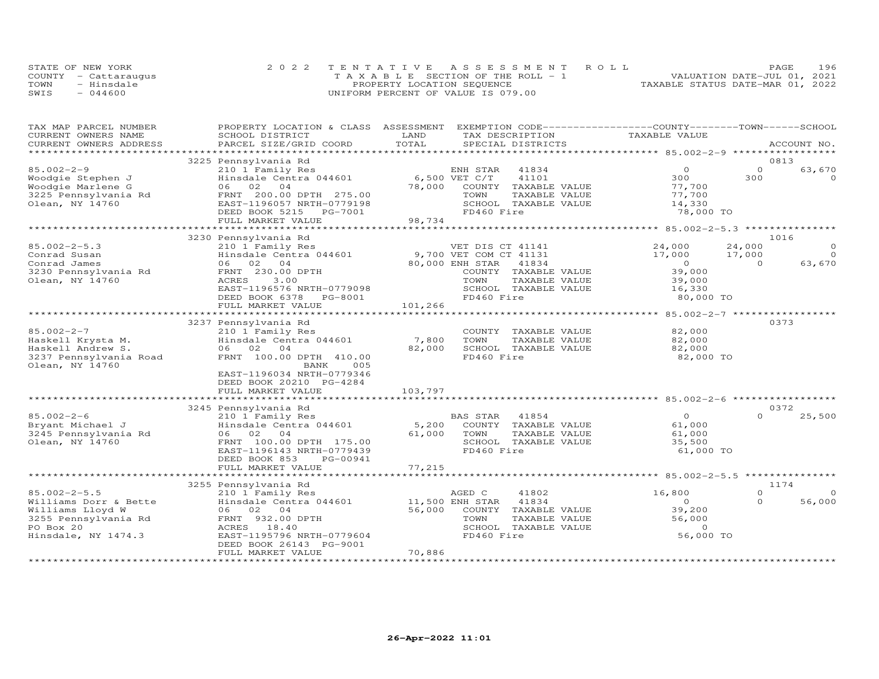|      | STATE OF NEW YORK    | 2022 TENTATIVE ASSESSMENT ROLL        | 196<br>PAGE                      |
|------|----------------------|---------------------------------------|----------------------------------|
|      | COUNTY - Cattaraugus | T A X A B L E SECTION OF THE ROLL - 1 | VALUATION DATE-JUL 01, 2021      |
| TOWN | - Hinsdale           | PROPERTY LOCATION SEQUENCE            | TAXABLE STATUS DATE-MAR 01, 2022 |
| SWIS | $-044600$            | UNIFORM PERCENT OF VALUE IS 079.00    |                                  |

| TAX MAP PARCEL NUMBER<br>CURRENT OWNERS NAME | PROPERTY LOCATION & CLASS ASSESSMENT<br>SCHOOL DISTRICT | LAND    | EXEMPTION CODE-----------------COUNTY-------TOWN------SCHOOL<br>TAX DESCRIPTION | TAXABLE VALUE |          |                  |
|----------------------------------------------|---------------------------------------------------------|---------|---------------------------------------------------------------------------------|---------------|----------|------------------|
| CURRENT OWNERS ADDRESS                       | PARCEL SIZE/GRID COORD                                  | TOTAL   | SPECIAL DISTRICTS                                                               |               |          | ACCOUNT NO.      |
|                                              |                                                         |         |                                                                                 |               |          |                  |
|                                              | 3225 Pennsylvania Rd                                    |         |                                                                                 |               |          | 0813             |
| $85.002 - 2 - 9$                             | 210 1 Family Res                                        |         | ENH STAR<br>41834                                                               | $\Omega$      | $\Omega$ | 63,670           |
| Woodgie Stephen J                            | Hinsdale Centra 044601                                  |         | 6,500 VET C/T<br>41101                                                          | 300           | 300      | $\Omega$         |
| Woodgie Marlene G                            | 06 02<br>04                                             | 78,000  | COUNTY TAXABLE VALUE                                                            | 77,700        |          |                  |
| 3225 Pennsylvania Rd                         | FRNT 200.00 DPTH 275.00                                 |         | TOWN<br>TAXABLE VALUE                                                           | 77,700        |          |                  |
| Olean, NY 14760                              | EAST-1196057 NRTH-0779198                               |         | SCHOOL TAXABLE VALUE                                                            | 14,330        |          |                  |
|                                              | DEED BOOK 5215<br>PG-7001                               |         | FD460 Fire                                                                      | 78,000 TO     |          |                  |
|                                              | FULL MARKET VALUE                                       | 98,734  |                                                                                 |               |          |                  |
|                                              |                                                         |         |                                                                                 |               |          |                  |
|                                              | 3230 Pennsylvania Rd                                    |         |                                                                                 |               |          | 1016             |
| $85.002 - 2 - 5.3$                           | 210 1 Family Res                                        |         | VET DIS CT 41141                                                                | 24,000        | 24,000   | $\Omega$         |
| Conrad Susan                                 | Hinsdale Centra 044601                                  |         | 9,700 VET COM CT 41131                                                          | 17,000        | 17,000   | $\Omega$         |
| Conrad James                                 | 06 02 04                                                |         | 80,000 ENH STAR<br>41834                                                        | $\Omega$      | $\Omega$ | 63,670           |
| 3230 Pennsylvania Rd                         | FRNT 230.00 DPTH                                        |         | COUNTY TAXABLE VALUE                                                            | 39,000        |          |                  |
| Olean, NY 14760                              | ACRES<br>3.00                                           |         | TOWN<br>TAXABLE VALUE                                                           | 39,000        |          |                  |
|                                              | EAST-1196576 NRTH-0779098                               |         | SCHOOL TAXABLE VALUE                                                            | 16,330        |          |                  |
|                                              |                                                         |         | FD460 Fire                                                                      |               |          |                  |
|                                              | DEED BOOK 6378 PG-8001                                  | 101,266 |                                                                                 | 80,000 TO     |          |                  |
|                                              | FULL MARKET VALUE                                       |         |                                                                                 |               |          |                  |
|                                              | 3237 Pennsylvania Rd                                    |         |                                                                                 |               |          | 0373             |
| $85.002 - 2 - 7$                             | 210 1 Family Res                                        |         | COUNTY TAXABLE VALUE                                                            | 82,000        |          |                  |
|                                              | Hinsdale Centra 044601                                  | 7,800   | TOWN<br>TAXABLE VALUE                                                           | 82,000        |          |                  |
| Haskell Krysta M.<br>Haskell Andrew S.       | 06 02<br>04                                             | 82,000  | SCHOOL TAXABLE VALUE                                                            | 82,000        |          |                  |
|                                              | FRNT 100.00 DPTH 410.00                                 |         | FD460 Fire                                                                      |               |          |                  |
| 3237 Pennsylvania Road                       | 005                                                     |         |                                                                                 | 82,000 TO     |          |                  |
| Olean, NY 14760                              | BANK                                                    |         |                                                                                 |               |          |                  |
|                                              | EAST-1196034 NRTH-0779346                               |         |                                                                                 |               |          |                  |
|                                              | DEED BOOK 20210 PG-4284                                 |         |                                                                                 |               |          |                  |
|                                              | FULL MARKET VALUE                                       | 103,797 |                                                                                 |               |          |                  |
|                                              |                                                         |         |                                                                                 |               |          | 0372             |
| $85.002 - 2 - 6$                             | 3245 Pennsylvania Rd                                    |         | <b>BAS STAR</b><br>41854                                                        | $\circ$       | $\cap$   |                  |
|                                              | 210 1 Family Res                                        |         |                                                                                 |               |          | 25,500           |
| Bryant Michael J                             | Hinsdale Centra 044601<br>06 02 04                      | 5,200   | COUNTY TAXABLE VALUE                                                            | 61,000        |          |                  |
| 3245 Pennsylvania Rd                         |                                                         | 61,000  | TOWN<br>TAXABLE VALUE                                                           | 61,000        |          |                  |
| Olean, NY 14760                              | FRNT 100.00 DPTH 175.00                                 |         | SCHOOL TAXABLE VALUE                                                            | 35,500        |          |                  |
|                                              | EAST-1196143 NRTH-0779439                               |         | FD460 Fire                                                                      | 61,000 TO     |          |                  |
|                                              | DEED BOOK 853<br>PG-00941                               |         |                                                                                 |               |          |                  |
|                                              | FULL MARKET VALUE<br>**********************             | 77,215  |                                                                                 |               |          |                  |
|                                              |                                                         |         |                                                                                 |               |          |                  |
| $85.002 - 2 - 5.5$                           | 3255 Pennsylvania Rd                                    |         |                                                                                 |               | $\Omega$ | 1174<br>$\Omega$ |
|                                              | 210 1 Family Res                                        |         | AGED C<br>41802                                                                 | 16,800        |          |                  |
| Williams Dorr & Bette                        | Hinsdale Centra 044601                                  |         | 41834<br>11,500 ENH STAR                                                        | $\Omega$      | $\Omega$ | 56,000           |
| Williams Lloyd W                             | 06 02 04                                                | 56,000  | COUNTY TAXABLE VALUE                                                            | 39,200        |          |                  |
| 3255 Pennsylvania Rd                         | FRNT 932.00 DPTH                                        |         | TOWN<br>TAXABLE VALUE                                                           | 56,000        |          |                  |
| PO Box 20                                    | ACRES<br>18.40                                          |         | SCHOOL<br>TAXABLE VALUE                                                         | $\Omega$      |          |                  |
| Hinsdale, NY 1474.3                          | EAST-1195796 NRTH-0779604                               |         | FD460 Fire                                                                      | 56,000 TO     |          |                  |
|                                              | DEED BOOK 26143 PG-9001                                 |         |                                                                                 |               |          |                  |
|                                              | FULL MARKET VALUE                                       | 70,886  |                                                                                 |               |          |                  |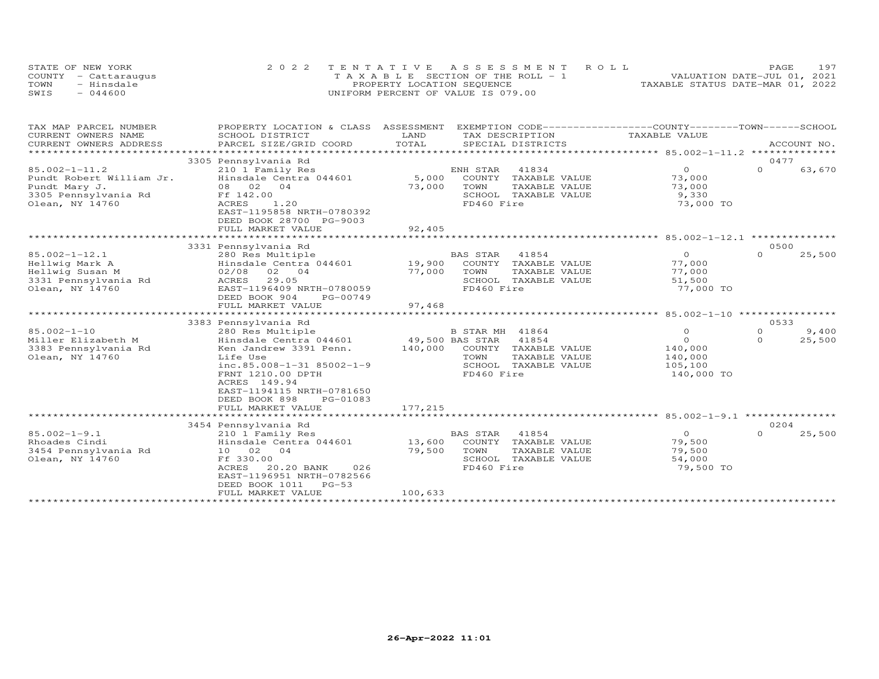| STATE OF NEW YORK    | 2022 TENTATIVE ASSESSMENT ROLL        | 197<br>PAGE.                     |
|----------------------|---------------------------------------|----------------------------------|
| COUNTY - Cattaraugus | T A X A B L E SECTION OF THE ROLL - 1 | VALUATION DATE-JUL 01, 2021      |
| TOWN<br>- Hinsdale   | PROPERTY LOCATION SEQUENCE            | TAXABLE STATUS DATE-MAR 01, 2022 |
| SWIS<br>044600       | UNIFORM PERCENT OF VALUE IS 079.00    |                                  |

| TAX MAP PARCEL NUMBER                         | PROPERTY LOCATION & CLASS                         | ASSESSMENT      | EXEMPTION CODE-----------------COUNTY-------TOWN------SCHOOL |                    |          |             |
|-----------------------------------------------|---------------------------------------------------|-----------------|--------------------------------------------------------------|--------------------|----------|-------------|
| CURRENT OWNERS NAME<br>CURRENT OWNERS ADDRESS | SCHOOL DISTRICT<br>PARCEL SIZE/GRID COORD         | LAND<br>TOTAL   | TAX DESCRIPTION<br>SPECIAL DISTRICTS                         | TAXABLE VALUE      |          | ACCOUNT NO. |
| ***********************                       |                                                   |                 |                                                              |                    |          |             |
|                                               | 3305 Pennsylvania Rd                              |                 |                                                              |                    | 0477     |             |
| $85.002 - 1 - 11.2$                           | 210 1 Family Res                                  |                 | ENH STAR<br>41834                                            | $\overline{0}$     | $\Omega$ | 63,670      |
| Pundt Robert William Jr.                      | Hinsdale Centra 044601                            | 5,000           | COUNTY TAXABLE VALUE                                         | 73,000             |          |             |
| Pundt Mary J.                                 | 08 02 04                                          | 73,000          | TOWN<br>TAXABLE VALUE                                        | 73,000             |          |             |
| 3305 Pennsylvania Rd                          | Ff 142.00                                         |                 | SCHOOL TAXABLE VALUE                                         | 9,330              |          |             |
| Olean, NY 14760                               | 1.20<br><b>ACRES</b>                              |                 | FD460 Fire                                                   | 73,000 TO          |          |             |
|                                               | EAST-1195858 NRTH-0780392                         |                 |                                                              |                    |          |             |
|                                               | DEED BOOK 28700 PG-9003                           |                 |                                                              |                    |          |             |
|                                               | FULL MARKET VALUE                                 | 92,405          |                                                              |                    |          |             |
|                                               | 3331 Pennsylvania Rd                              |                 |                                                              |                    | 0500     |             |
| $85.002 - 1 - 12.1$                           | 280 Res Multiple                                  |                 | <b>BAS STAR</b><br>41854                                     | $\Omega$           | $\Omega$ | 25,500      |
| Hellwig Mark A                                | Hinsdale Centra 044601                            | 19,900          | COUNTY TAXABLE VALUE                                         | 77,000             |          |             |
| Hellwig Susan M                               | 02/08<br>02 04                                    | 77,000          | TOWN<br>TAXABLE VALUE                                        | 77,000             |          |             |
| 3331 Pennsylvania Rd                          | ACRES<br>29.05                                    |                 | SCHOOL TAXABLE VALUE                                         | 51,500             |          |             |
| Olean, NY 14760                               | EAST-1196409 NRTH-0780059                         |                 | FD460 Fire                                                   | 77,000 TO          |          |             |
|                                               | DEED BOOK 904<br>PG-00749                         |                 |                                                              |                    |          |             |
|                                               | FULL MARKET VALUE                                 | 97,468          |                                                              |                    |          |             |
|                                               |                                                   |                 |                                                              |                    |          |             |
|                                               | 3383 Pennsylvania Rd                              |                 |                                                              |                    | 0533     |             |
| $85.002 - 1 - 10$                             | 280 Res Multiple                                  |                 | B STAR MH 41864                                              | $\circ$            | $\circ$  | 9,400       |
| Miller Elizabeth M                            | Hinsdale Centra 044601                            | 49,500 BAS STAR | 41854                                                        | $\Omega$           | $\Omega$ | 25,500      |
| 3383 Pennsylvania Rd<br>Olean, NY 14760       | Ken Jandrew 3391 Penn.<br>Life Use                | 140,000         | COUNTY TAXABLE VALUE                                         | 140,000<br>140,000 |          |             |
|                                               | $inc.85.008 - 1 - 31 85002 - 1 - 9$               |                 | TOWN<br>TAXABLE VALUE<br>SCHOOL TAXABLE VALUE                | 105,100            |          |             |
|                                               | FRNT 1210.00 DPTH                                 |                 | FD460 Fire                                                   | 140,000 TO         |          |             |
|                                               | ACRES 149.94                                      |                 |                                                              |                    |          |             |
|                                               | EAST-1194115 NRTH-0781650                         |                 |                                                              |                    |          |             |
|                                               | DEED BOOK 898<br>PG-01083                         |                 |                                                              |                    |          |             |
|                                               | FULL MARKET VALUE                                 | 177,215         |                                                              |                    |          |             |
|                                               | ***********************                           |                 |                                                              |                    |          |             |
|                                               | 3454 Pennsylvania Rd                              |                 |                                                              |                    | 0204     |             |
| $85.002 - 1 - 9.1$                            | 210 1 Family Res                                  |                 | <b>BAS STAR</b><br>41854                                     | $\circ$            | 0        | 25,500      |
| Rhoades Cindi                                 | Hinsdale Centra 044601                            | 13,600          | COUNTY TAXABLE VALUE                                         | 79,500             |          |             |
| 3454 Pennsylvania Rd                          | 10 02 04                                          | 79,500          | TOWN<br>TAXABLE VALUE                                        | 79,500             |          |             |
| Olean, NY 14760                               | Ff 330.00                                         |                 | SCHOOL TAXABLE VALUE                                         | 54,000             |          |             |
|                                               | ACRES<br>20.20 BANK<br>026                        |                 | FD460 Fire                                                   | 79,500 TO          |          |             |
|                                               | EAST-1196951 NRTH-0782566<br>DEED BOOK 1011 PG-53 |                 |                                                              |                    |          |             |
|                                               | FULL MARKET VALUE                                 | 100,633         |                                                              |                    |          |             |
|                                               |                                                   |                 |                                                              |                    |          |             |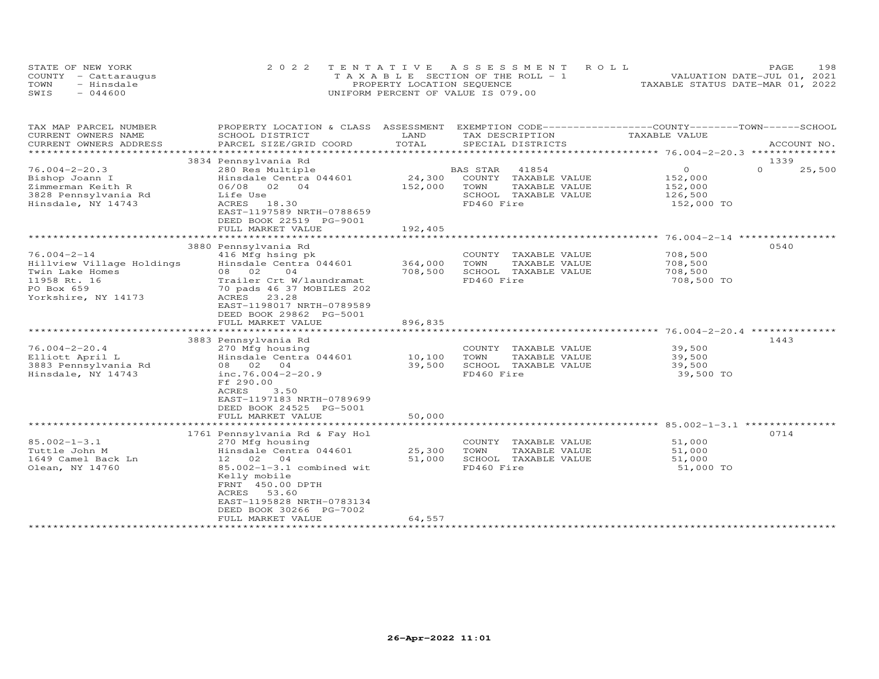|      | STATE OF NEW YORK    | 2022 TENTATIVE ASSESSMENT ROLL        | 198<br>PAGE                      |
|------|----------------------|---------------------------------------|----------------------------------|
|      | COUNTY - Cattaraugus | T A X A B L E SECTION OF THE ROLL - 1 | VALUATION DATE-JUL 01, 2021      |
| TOWN | - Hinsdale           | PROPERTY LOCATION SEQUENCE            | TAXABLE STATUS DATE-MAR 01, 2022 |
| SWIS | $-044600$            | UNIFORM PERCENT OF VALUE IS 079.00    |                                  |

| TAX MAP PARCEL NUMBER<br>PROPERTY LOCATION & CLASS ASSESSMENT<br>CURRENT OWNERS NAME<br>SCHOOL DISTRICT                |                                                                                                                                                                                                                                                            | LAND                         | EXEMPTION CODE-----------------COUNTY-------TOWN------SCHOOL<br>TAX DESCRIPTION<br>SPECIAL DISTRICTS |                                                                 | TAXABLE VALUE |                                                               |          |               |
|------------------------------------------------------------------------------------------------------------------------|------------------------------------------------------------------------------------------------------------------------------------------------------------------------------------------------------------------------------------------------------------|------------------------------|------------------------------------------------------------------------------------------------------|-----------------------------------------------------------------|---------------|---------------------------------------------------------------|----------|---------------|
| CURRENT OWNERS ADDRESS<br>**********************                                                                       | PARCEL SIZE/GRID COORD                                                                                                                                                                                                                                     | TOTAL                        |                                                                                                      |                                                                 |               |                                                               |          | ACCOUNT NO.   |
|                                                                                                                        | 3834 Pennsylvania Rd                                                                                                                                                                                                                                       |                              |                                                                                                      |                                                                 |               |                                                               | 1339     |               |
| $76.004 - 2 - 20.3$<br>Bishop Joann I<br>Zimmerman Keith R<br>3828 Pennsylvania Rd<br>Hinsdale, NY 14743               | 280 Res Multiple<br>Hinsdale Centra 044601<br>06/08 02<br>04<br>Life Use<br>ACRES<br>18.30<br>EAST-1197589 NRTH-0788659<br>DEED BOOK 22519 PG-9001<br>FULL MARKET VALUE                                                                                    | 24,300<br>152,000<br>192,405 | BAS STAR<br>COUNTY<br>TOWN<br>FD460 Fire                                                             | 41854<br>TAXABLE VALUE<br>TAXABLE VALUE<br>SCHOOL TAXABLE VALUE |               | $\overline{0}$<br>152,000<br>152,000<br>126,500<br>152,000 TO | $\Omega$ | 25,500        |
|                                                                                                                        | *************************                                                                                                                                                                                                                                  | ***********                  |                                                                                                      | ********************** 76.004-2-14 ***********                  |               |                                                               |          |               |
| $76.004 - 2 - 14$<br>Hillview Village Holdings<br>Twin Lake Homes<br>11958 Rt. 16<br>PO Box 659<br>Yorkshire, NY 14173 | 3880 Pennsylvania Rd<br>416 Mfg hsing pk<br>Hinsdale Centra 044601<br>08 02<br>04<br>Trailer Crt W/laundramat<br>70 pads 46 37 MOBILES 202<br>ACRES 23.28<br>EAST-1198017 NRTH-0789589<br>DEED BOOK 29862 PG-5001                                          | 364,000<br>708,500           | COUNTY<br>TOWN<br>FD460 Fire                                                                         | TAXABLE VALUE<br>TAXABLE VALUE<br>SCHOOL TAXABLE VALUE          |               | 708,500<br>708,500<br>708,500<br>708,500 TO                   | 0540     |               |
|                                                                                                                        | FULL MARKET VALUE                                                                                                                                                                                                                                          | 896,835                      |                                                                                                      |                                                                 |               |                                                               |          |               |
| $76.004 - 2 - 20.4$<br>Elliott April L<br>3883 Pennsylvania Rd<br>Hinsdale, NY 14743                                   | 3883 Pennsylvania Rd<br>270 Mfg housing<br>Hinsdale Centra 044601<br>08 02 04<br>inc.76.004-2-20.9<br>Ff 290.00<br>3.50<br><b>ACRES</b><br>EAST-1197183 NRTH-0789699<br>DEED BOOK 24525 PG-5001                                                            | 10,100<br>39,500             | COUNTY<br>TOWN<br>FD460 Fire                                                                         | TAXABLE VALUE<br>TAXABLE VALUE<br>SCHOOL TAXABLE VALUE          |               | 39,500<br>39,500<br>39,500<br>39,500 TO                       | 1443     | ************* |
|                                                                                                                        | FULL MARKET VALUE                                                                                                                                                                                                                                          | 50,000                       |                                                                                                      |                                                                 |               |                                                               |          |               |
|                                                                                                                        | **********************                                                                                                                                                                                                                                     |                              |                                                                                                      |                                                                 |               |                                                               |          |               |
| $85.002 - 1 - 3.1$<br>Tuttle John M<br>1649 Camel Back Ln<br>Olean, NY 14760                                           | 1761 Pennsylvania Rd & Fay Hol<br>270 Mfg housing<br>Hinsdale Centra 044601<br>12 02<br>04<br>85.002-1-3.1 combined wit<br>Kelly mobile<br>FRNT 450.00 DPTH<br>ACRES<br>53.60<br>EAST-1195828 NRTH-0783134<br>DEED BOOK 30266 PG-7002<br>FULL MARKET VALUE | 25,300<br>51,000<br>64,557   | TOWN<br>FD460 Fire                                                                                   | COUNTY TAXABLE VALUE<br>TAXABLE VALUE<br>SCHOOL TAXABLE VALUE   |               | 51,000<br>51,000<br>51,000<br>51,000 TO                       | 0714     |               |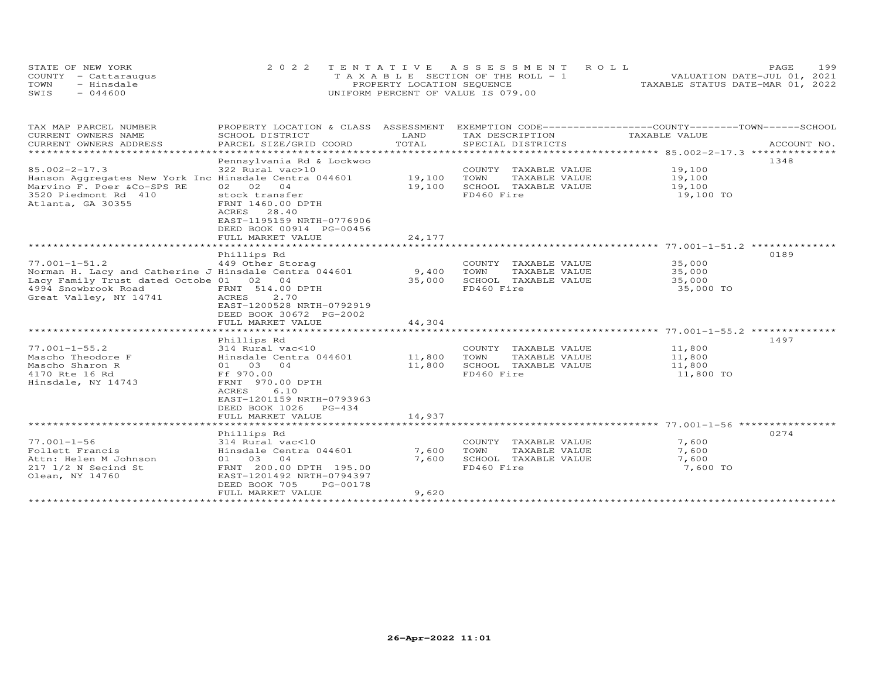|      | STATE OF NEW YORK    | 2022 TENTATIVE ASSESSMENT ROLL     | 199<br>PAGE                      |
|------|----------------------|------------------------------------|----------------------------------|
|      | COUNTY - Cattaraugus | TAXABLE SECTION OF THE ROLL - 1    | VALUATION DATE-JUL 01, 2021      |
| TOWN | - Hinsdale           | PROPERTY LOCATION SEQUENCE         | TAXABLE STATUS DATE-MAR 01, 2022 |
| SWIS | $-044600$            | UNIFORM PERCENT OF VALUE IS 079.00 |                                  |

| TAX MAP PARCEL NUMBER<br>CURRENT OWNERS NAME<br>CURRENT OWNERS ADDRESS                                                                                                   | PROPERTY LOCATION & CLASS ASSESSMENT<br>SCHOOL DISTRICT<br>PARCEL SIZE/GRID COORD                                                                                                | LAND<br>TOTAL    | EXEMPTION CODE------------------COUNTY-------TOWN------SCHOOL<br>TAX DESCRIPTION<br>SPECIAL DISTRICTS | TAXABLE VALUE                           | ACCOUNT NO. |
|--------------------------------------------------------------------------------------------------------------------------------------------------------------------------|----------------------------------------------------------------------------------------------------------------------------------------------------------------------------------|------------------|-------------------------------------------------------------------------------------------------------|-----------------------------------------|-------------|
|                                                                                                                                                                          |                                                                                                                                                                                  |                  |                                                                                                       |                                         |             |
| $85.002 - 2 - 17.3$<br>Hanson Aggregates New York Inc Hinsdale Centra 044601<br>Marvino F. Poer &Co-SPS RE<br>3520 Piedmont Rd 410<br>Atlanta, GA 30355                  | Pennsylvania Rd & Lockwoo<br>322 Rural vac>10<br>02 02 04<br>stock transfer<br>FRNT 1460.00 DPTH                                                                                 | 19,100<br>19,100 | COUNTY TAXABLE VALUE<br>TOWN<br>TAXABLE VALUE<br>SCHOOL TAXABLE VALUE<br>FD460 Fire                   | 19,100<br>19,100<br>19,100<br>19,100 TO | 1348        |
|                                                                                                                                                                          | ACRES 28.40<br>EAST-1195159 NRTH-0776906<br>DEED BOOK 00914 PG-00456<br>FULL MARKET VALUE                                                                                        | 24,177           |                                                                                                       |                                         |             |
|                                                                                                                                                                          |                                                                                                                                                                                  |                  |                                                                                                       |                                         |             |
| $77.001 - 1 - 51.2$<br>Norman H. Lacy and Catherine J Hinsdale Centra 044601<br>Lacy Family Trust dated Octobe 01 02 04<br>4994 Snowbrook Road<br>Great Valley, NY 14741 | Phillips Rd<br>449 Other Storag<br>FRNT 514.00 DPTH<br>ACRES<br>2,70<br>EAST-1200528 NRTH-0792919<br>DEED BOOK 30672 PG-2002                                                     | 9,400<br>35,000  | COUNTY TAXABLE VALUE<br>TOWN<br>TAXABLE VALUE<br>SCHOOL TAXABLE VALUE<br>FD460 Fire                   | 35,000<br>35,000<br>35,000<br>35,000 TO | 0189        |
|                                                                                                                                                                          | FULL MARKET VALUE                                                                                                                                                                | 44,304           |                                                                                                       |                                         |             |
|                                                                                                                                                                          |                                                                                                                                                                                  |                  |                                                                                                       |                                         |             |
| $77.001 - 1 - 55.2$<br>Mascho Theodore F<br>Mascho Sharon R<br>4170 Rte 16 Rd<br>Hinsdale, NY 14743                                                                      | Phillips Rd<br>314 Rural vac<10<br>Hinsdale Centra 044601<br>01 03 04<br>Ff 970.00<br>FRNT 970.00 DPTH<br>6.10<br>ACRES<br>EAST-1201159 NRTH-0793963<br>DEED BOOK 1026<br>PG-434 | 11,800<br>11,800 | COUNTY TAXABLE VALUE<br>TOWN<br>TAXABLE VALUE<br>SCHOOL TAXABLE VALUE<br>FD460 Fire                   | 11,800<br>11,800<br>11,800<br>11,800 TO | 1497        |
|                                                                                                                                                                          | FULL MARKET VALUE                                                                                                                                                                | 14,937           |                                                                                                       |                                         |             |
|                                                                                                                                                                          | Phillips Rd                                                                                                                                                                      |                  |                                                                                                       |                                         | 0274        |
| $77.001 - 1 - 56$<br>Follett Francis<br>Attn: Helen M Johnson<br>217 1/2 N Secind St<br>Olean, NY 14760                                                                  | 314 Rural vac<10<br>Hinsdale Centra 044601<br>01 03 04<br>FRNT 200.00 DPTH 195.00<br>EAST-1201492 NRTH-0794397<br>DEED BOOK 705<br>PG-00178                                      | 7,600<br>7,600   | COUNTY TAXABLE VALUE<br>TAXABLE VALUE<br>TOWN<br>SCHOOL TAXABLE VALUE<br>FD460 Fire                   | 7,600<br>7,600<br>7,600<br>7,600 TO     |             |
|                                                                                                                                                                          | FULL MARKET VALUE                                                                                                                                                                | 9,620            |                                                                                                       |                                         |             |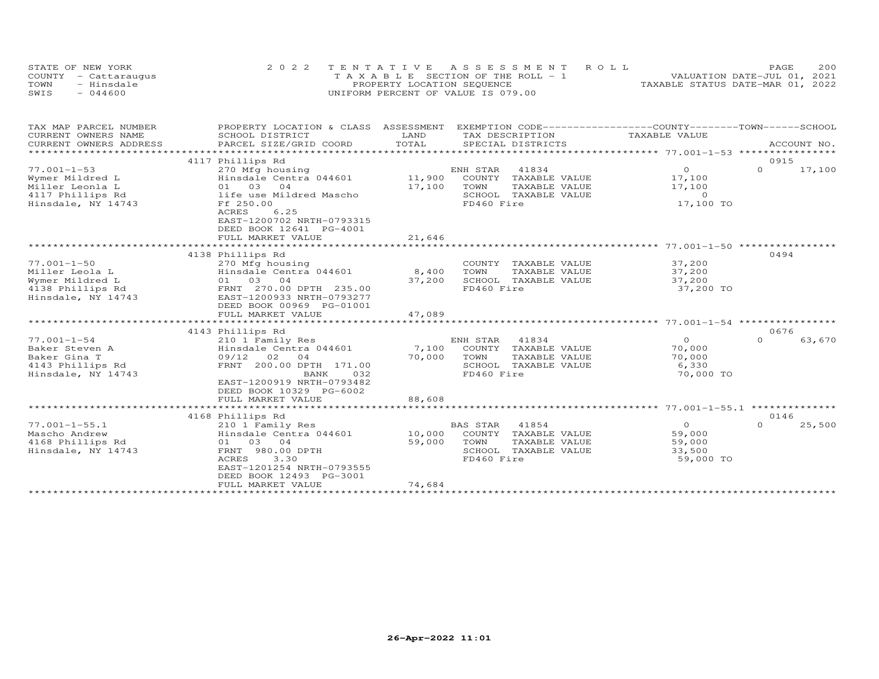| STATE OF NEW YORK    | 2022 TENTATIVE ASSESSMENT ROLL        |  |                                  | PAGE. | 200 |
|----------------------|---------------------------------------|--|----------------------------------|-------|-----|
| COUNTY - Cattaraugus | T A X A B L E SECTION OF THE ROLL - 1 |  | VALUATION DATE-JUL 01, 2021      |       |     |
| TOWN<br>- Hinsdale   | PROPERTY LOCATION SEQUENCE            |  | TAXABLE STATUS DATE-MAR 01, 2022 |       |     |
| $-044600$<br>SWIS    | UNIFORM PERCENT OF VALUE IS 079.00    |  |                                  |       |     |

| TAX MAP PARCEL NUMBER                         | PROPERTY LOCATION & CLASS                 | ASSESSMENT    | EXEMPTION CODE------------------COUNTY-------TOWN------SCHOOL |                |          |             |
|-----------------------------------------------|-------------------------------------------|---------------|---------------------------------------------------------------|----------------|----------|-------------|
| CURRENT OWNERS NAME<br>CURRENT OWNERS ADDRESS | SCHOOL DISTRICT                           | LAND<br>TOTAL | TAX DESCRIPTION<br>SPECIAL DISTRICTS                          | TAXABLE VALUE  |          | ACCOUNT NO. |
| ************************                      | PARCEL SIZE/GRID COORD                    |               |                                                               |                |          |             |
|                                               | 4117 Phillips Rd                          |               |                                                               |                | 0915     |             |
| $77.001 - 1 - 53$                             | 270 Mfg housing                           |               | ENH STAR<br>41834                                             | $\circ$        | $\Omega$ | 17,100      |
| Wymer Mildred L                               | Hinsdale Centra 044601                    | 11,900        | COUNTY<br>TAXABLE VALUE                                       | 17,100         |          |             |
| Miller Leonla L                               | 01 03<br>04                               | 17,100        | TOWN<br>TAXABLE VALUE                                         | 17,100         |          |             |
| 4117 Phillips Rd                              | life use Mildred Mascho                   |               | SCHOOL TAXABLE VALUE                                          | $\overline{0}$ |          |             |
| Hinsdale, NY 14743                            | Ff 250.00                                 |               | FD460 Fire                                                    | 17,100 TO      |          |             |
|                                               | 6.25<br>ACRES                             |               |                                                               |                |          |             |
|                                               | EAST-1200702 NRTH-0793315                 |               |                                                               |                |          |             |
|                                               | DEED BOOK 12641 PG-4001                   |               |                                                               |                |          |             |
|                                               | FULL MARKET VALUE                         | 21,646        |                                                               |                |          |             |
|                                               |                                           |               |                                                               |                |          |             |
| $77.001 - 1 - 50$                             | 4138 Phillips Rd                          |               | COUNTY TAXABLE VALUE                                          | 37,200         | 0494     |             |
| Miller Leola L                                | 270 Mfg housing<br>Hinsdale Centra 044601 | 8,400         | TOWN<br>TAXABLE VALUE                                         | 37,200         |          |             |
| Wymer Mildred L                               | 01 03 04                                  | 37,200        | SCHOOL TAXABLE VALUE                                          | 37,200         |          |             |
| 4138 Phillips Rd                              | FRNT 270.00 DPTH 235.00                   |               | FD460 Fire                                                    | 37,200 TO      |          |             |
| Hinsdale, NY 14743                            | EAST-1200933 NRTH-0793277                 |               |                                                               |                |          |             |
|                                               | DEED BOOK 00969 PG-01001                  |               |                                                               |                |          |             |
|                                               | FULL MARKET VALUE                         | 47,089        |                                                               |                |          |             |
|                                               |                                           |               |                                                               |                |          |             |
|                                               | 4143 Phillips Rd                          |               |                                                               |                | 0676     |             |
| $77.001 - 1 - 54$                             | 210 1 Family Res                          |               | ENH STAR<br>41834                                             | $\Omega$       | $\Omega$ | 63,670      |
| Baker Steven A                                | Hinsdale Centra 044601                    | 7,100         | COUNTY<br>TAXABLE VALUE                                       | 70,000         |          |             |
| Baker Gina T                                  | 09/12<br>02<br>04                         | 70,000        | TOWN<br>TAXABLE VALUE                                         | 70,000         |          |             |
| 4143 Phillips Rd                              | FRNT 200.00 DPTH 171.00                   |               | SCHOOL<br>TAXABLE VALUE                                       | 6,330          |          |             |
| Hinsdale, NY 14743                            | BANK<br>032                               |               | FD460 Fire                                                    | 70,000 TO      |          |             |
|                                               | EAST-1200919 NRTH-0793482                 |               |                                                               |                |          |             |
|                                               | DEED BOOK 10329 PG-6002                   |               |                                                               |                |          |             |
|                                               | FULL MARKET VALUE                         | 88,608        |                                                               |                |          |             |
|                                               | 4168 Phillips Rd                          |               |                                                               |                | 0146     |             |
| $77.001 - 1 - 55.1$                           | 210 1 Family Res                          |               | <b>BAS STAR</b><br>41854                                      | $\overline{0}$ | $\Omega$ | 25,500      |
| Mascho Andrew                                 | Hinsdale Centra 044601                    | 10,000        | COUNTY TAXABLE VALUE                                          | 59,000         |          |             |
| 4168 Phillips Rd                              | 01 03 04                                  | 59,000        | TOWN<br>TAXABLE VALUE                                         | 59,000         |          |             |
| Hinsdale, NY 14743                            | FRNT 980.00 DPTH                          |               | SCHOOL TAXABLE VALUE                                          | 33,500         |          |             |
|                                               | 3.30<br>ACRES                             |               | FD460 Fire                                                    | 59,000 TO      |          |             |
|                                               | EAST-1201254 NRTH-0793555                 |               |                                                               |                |          |             |
|                                               | DEED BOOK 12493 PG-3001                   |               |                                                               |                |          |             |
|                                               | FULL MARKET VALUE                         | 74,684        |                                                               |                |          |             |
|                                               |                                           |               |                                                               |                |          |             |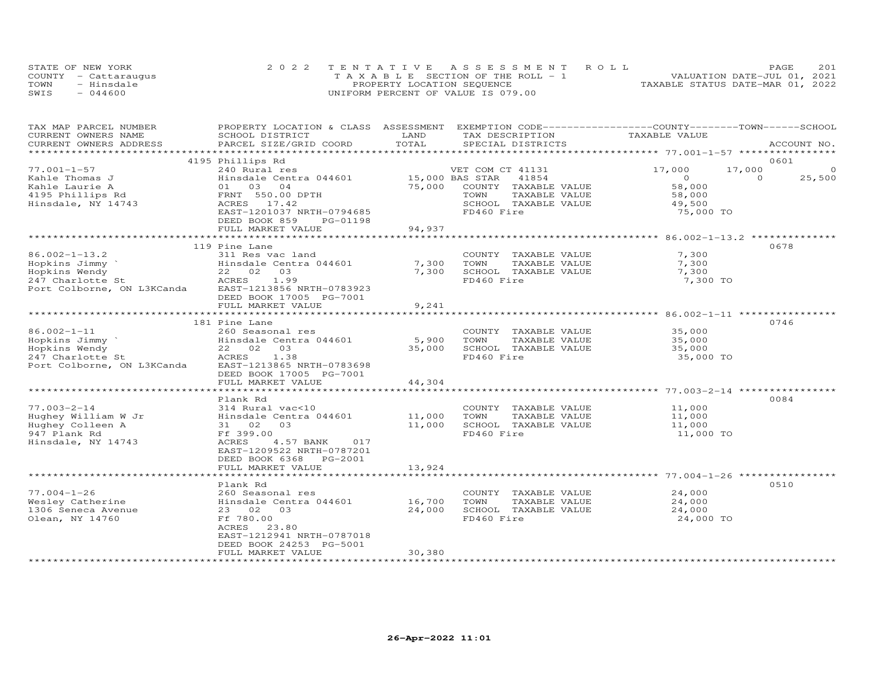|      | STATE OF NEW YORK    | 2022 TENTATIVE ASSESSMENT ROLL        | 201<br>PAGE                      |
|------|----------------------|---------------------------------------|----------------------------------|
|      | COUNTY - Cattaraugus | T A X A B L E SECTION OF THE ROLL - 1 | VALUATION DATE-JUL 01, 2021      |
| TOWN | - Hinsdale           | PROPERTY LOCATION SEQUENCE            | TAXABLE STATUS DATE-MAR 01, 2022 |
| SWIS | $-044600$            | UNIFORM PERCENT OF VALUE IS 079.00    |                                  |

| TAX MAP PARCEL NUMBER<br>CURRENT OWNERS NAME<br>CURRENT OWNERS ADDRESS | PROPERTY LOCATION & CLASS ASSESSMENT EXEMPTION CODE----------------COUNTY-------TOWN------SCHOOL<br>SCHOOL DISTRICT<br>PARCEL SIZE/GRID COORD | LAND<br>TOTAL   | TAX DESCRIPTION<br>SPECIAL DISTRICTS | TAXABLE VALUE  |          | ACCOUNT NO. |
|------------------------------------------------------------------------|-----------------------------------------------------------------------------------------------------------------------------------------------|-----------------|--------------------------------------|----------------|----------|-------------|
| ***********************                                                |                                                                                                                                               |                 |                                      |                |          |             |
|                                                                        | 4195 Phillips Rd                                                                                                                              |                 |                                      |                |          | 0601        |
| $77.001 - 1 - 57$                                                      | 240 Rural res                                                                                                                                 |                 | VET COM CT 41131                     | 17,000         | 17,000   | $\circ$     |
| Kahle Thomas J                                                         | Hinsdale Centra 044601                                                                                                                        | 15,000 BAS STAR | 41854                                | $\overline{0}$ | $\Omega$ | 25,500      |
| Kahle Laurie A                                                         | 01 03 04                                                                                                                                      | 75,000          | COUNTY TAXABLE VALUE                 | 58,000         |          |             |
| 4195 Phillips Rd                                                       | FRNT 550.00 DPTH                                                                                                                              |                 | TOWN<br>TAXABLE VALUE                | 58,000         |          |             |
| Hinsdale, NY 14743                                                     | ACRES 17.42                                                                                                                                   |                 | SCHOOL TAXABLE VALUE<br>FD460 Fire   | 49,500         |          |             |
|                                                                        | EAST-1201037 NRTH-0794685<br>DEED BOOK 859<br>PG-01198                                                                                        |                 |                                      | 75,000 TO      |          |             |
|                                                                        | FULL MARKET VALUE                                                                                                                             | 94,937          |                                      |                |          |             |
|                                                                        |                                                                                                                                               |                 |                                      |                |          |             |
|                                                                        | 119 Pine Lane                                                                                                                                 |                 |                                      |                |          | 0678        |
| $86.002 - 1 - 13.2$                                                    | 311 Res vac land                                                                                                                              |                 | COUNTY TAXABLE VALUE                 | 7,300          |          |             |
| Hopkins Jimmy                                                          | Hinsdale Centra 044601                                                                                                                        | 7,300           | TOWN<br>TAXABLE VALUE                | 7,300          |          |             |
| Hopkins Wendy                                                          | 22 02<br>03                                                                                                                                   | 7,300           | SCHOOL TAXABLE VALUE                 | 7,300          |          |             |
| 247 Charlotte St                                                       | ACRES<br>1.99                                                                                                                                 |                 | FD460 Fire                           | 7,300 TO       |          |             |
| Port Colborne, ON L3KCanda                                             | EAST-1213856 NRTH-0783923                                                                                                                     |                 |                                      |                |          |             |
|                                                                        | DEED BOOK 17005 PG-7001<br>FULL MARKET VALUE                                                                                                  | 9,241           |                                      |                |          |             |
|                                                                        |                                                                                                                                               |                 |                                      |                |          |             |
|                                                                        | 181 Pine Lane                                                                                                                                 |                 |                                      |                |          | 0746        |
| $86.002 - 1 - 11$                                                      | 260 Seasonal res                                                                                                                              |                 | COUNTY TAXABLE VALUE                 | 35,000         |          |             |
| Hopkins Jimmy                                                          | Hinsdale Centra 044601                                                                                                                        | 5,900           | TOWN<br>TAXABLE VALUE                | 35,000         |          |             |
| Hopkins Wendy                                                          | 22 02<br>03                                                                                                                                   | 35,000          | SCHOOL TAXABLE VALUE                 | 35,000         |          |             |
| 247 Charlotte St                                                       | 1.38<br>ACRES                                                                                                                                 |                 | FD460 Fire                           | 35,000 TO      |          |             |
| Port Colborne, ON L3KCanda                                             | EAST-1213865 NRTH-0783698                                                                                                                     |                 |                                      |                |          |             |
|                                                                        | DEED BOOK 17005 PG-7001                                                                                                                       |                 |                                      |                |          |             |
|                                                                        | FULL MARKET VALUE                                                                                                                             | 44,304          |                                      |                |          |             |
|                                                                        | Plank Rd                                                                                                                                      |                 |                                      |                |          | 0084        |
| $77.003 - 2 - 14$                                                      | 314 Rural vac<10                                                                                                                              |                 | COUNTY TAXABLE VALUE                 | 11,000         |          |             |
| Hughey William W Jr                                                    | Hinsdale Centra 044601                                                                                                                        | 11,000          | TOWN<br>TAXABLE VALUE                | 11,000         |          |             |
| Hughey Colleen A                                                       | 31 02 03                                                                                                                                      | 11,000          | SCHOOL TAXABLE VALUE                 | 11,000         |          |             |
| 947 Plank Rd                                                           | Ff 399.00                                                                                                                                     |                 | FD460 Fire                           | 11,000 TO      |          |             |
| Hinsdale, NY 14743                                                     | ACRES<br>4.57 BANK<br>017                                                                                                                     |                 |                                      |                |          |             |
|                                                                        | EAST-1209522 NRTH-0787201                                                                                                                     |                 |                                      |                |          |             |
|                                                                        | DEED BOOK 6368 PG-2001                                                                                                                        |                 |                                      |                |          |             |
|                                                                        | FULL MARKET VALUE<br>***********************                                                                                                  | 13,924          |                                      |                |          |             |
|                                                                        | Plank Rd                                                                                                                                      |                 |                                      |                |          | 0510        |
| $77.004 - 1 - 26$                                                      | 260 Seasonal res                                                                                                                              |                 | COUNTY TAXABLE VALUE                 | 24,000         |          |             |
| Wesley Catherine                                                       | Hinsdale Centra 044601                                                                                                                        | 16,700          | TOWN<br>TAXABLE VALUE                | 24,000         |          |             |
| 1306 Seneca Avenue                                                     | 23 02 03                                                                                                                                      | 24,000          | SCHOOL TAXABLE VALUE                 | 24,000         |          |             |
| Olean, NY 14760                                                        | Ff 780.00                                                                                                                                     |                 | FD460 Fire                           | 24,000 TO      |          |             |
|                                                                        | ACRES 23.80                                                                                                                                   |                 |                                      |                |          |             |
|                                                                        | EAST-1212941 NRTH-0787018                                                                                                                     |                 |                                      |                |          |             |
|                                                                        | DEED BOOK 24253 PG-5001                                                                                                                       |                 |                                      |                |          |             |
|                                                                        | FULL MARKET VALUE                                                                                                                             | 30,380          |                                      |                |          |             |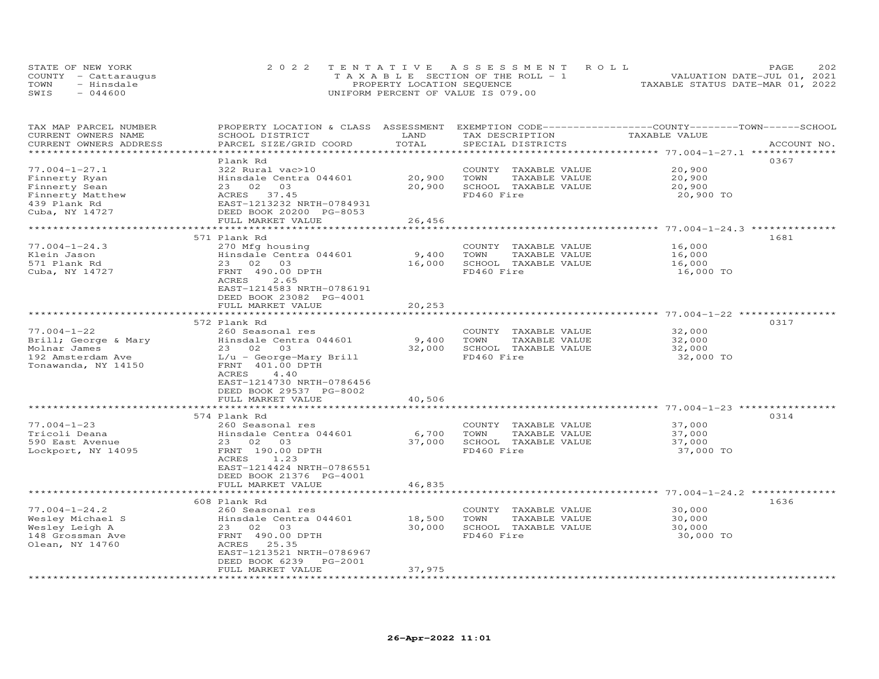| STATE OF NEW YORK    | 2022 TENTATIVE ASSESSMENT ROLL        | 2.02<br>PAGE.                    |
|----------------------|---------------------------------------|----------------------------------|
| COUNTY - Cattaraugus | T A X A B L E SECTION OF THE ROLL - 1 | VALUATION DATE-JUL 01, 2021      |
| TOWN<br>- Hinsdale   | PROPERTY LOCATION SEQUENCE            | TAXABLE STATUS DATE-MAR 01, 2022 |
| $-044600$<br>SWIS    | UNIFORM PERCENT OF VALUE IS 079.00    |                                  |

| TAX MAP PARCEL NUMBER  | PROPERTY LOCATION & CLASS ASSESSMENT |        |                         | EXEMPTION CODE-----------------COUNTY-------TOWN------SCHOOL |             |
|------------------------|--------------------------------------|--------|-------------------------|--------------------------------------------------------------|-------------|
| CURRENT OWNERS NAME    | SCHOOL DISTRICT                      | LAND   | TAX DESCRIPTION         | TAXABLE VALUE                                                |             |
| CURRENT OWNERS ADDRESS | PARCEL SIZE/GRID COORD               | TOTAL  | SPECIAL DISTRICTS       |                                                              | ACCOUNT NO. |
|                        |                                      |        |                         | **************** 77.004-1-27.1 ********                      |             |
|                        | Plank Rd                             |        |                         | 0367                                                         |             |
| $77.004 - 1 - 27.1$    | 322 Rural vac>10                     |        | COUNTY TAXABLE VALUE    | 20,900                                                       |             |
| Finnerty Ryan          | Hinsdale Centra 044601               | 20,900 | TOWN<br>TAXABLE VALUE   | 20,900                                                       |             |
| Finnerty Sean          | 23 02<br>03                          | 20,900 | SCHOOL TAXABLE VALUE    | 20,900                                                       |             |
|                        | 37.45<br>ACRES                       |        | FD460 Fire              |                                                              |             |
| Finnerty Matthew       |                                      |        |                         | 20,900 TO                                                    |             |
| 439 Plank Rd           | EAST-1213232 NRTH-0784931            |        |                         |                                                              |             |
| Cuba, NY 14727         | DEED BOOK 20200 PG-8053              |        |                         |                                                              |             |
|                        | FULL MARKET VALUE                    | 26,456 |                         |                                                              |             |
| ******************     |                                      |        |                         | ************************ 77.004-1-24.3 **************        |             |
|                        | 571 Plank Rd                         |        |                         | 1681                                                         |             |
| $77.004 - 1 - 24.3$    | 270 Mfg housing                      |        | COUNTY TAXABLE VALUE    | 16,000                                                       |             |
| Klein Jason            | Hinsdale Centra 044601               | 9,400  | TOWN<br>TAXABLE VALUE   | 16,000                                                       |             |
| 571 Plank Rd           | 23 02 03                             | 16,000 | SCHOOL TAXABLE VALUE    | 16,000                                                       |             |
| Cuba, NY 14727         | FRNT 490.00 DPTH                     |        | FD460 Fire              | 16,000 TO                                                    |             |
|                        | ACRES<br>2.65                        |        |                         |                                                              |             |
|                        | EAST-1214583 NRTH-0786191            |        |                         |                                                              |             |
|                        | DEED BOOK 23082 PG-4001              |        |                         |                                                              |             |
|                        | FULL MARKET VALUE                    | 20,253 |                         |                                                              |             |
|                        |                                      |        |                         | ********** 77.004-1-22 *********                             |             |
|                        | 572 Plank Rd                         |        |                         | 0317                                                         |             |
| $77.004 - 1 - 22$      | 260 Seasonal res                     |        | COUNTY TAXABLE VALUE    | 32,000                                                       |             |
|                        |                                      |        |                         |                                                              |             |
| Brill; George & Mary   | Hinsdale Centra 044601               | 9,400  | TOWN<br>TAXABLE VALUE   | 32,000                                                       |             |
| Molnar James           | 23 02<br>03                          | 32,000 | SCHOOL TAXABLE VALUE    | 32,000                                                       |             |
| 192 Amsterdam Ave      | $L/u$ - George-Mary Brill            |        | FD460 Fire              | 32,000 TO                                                    |             |
| Tonawanda, NY 14150    | FRNT 401.00 DPTH                     |        |                         |                                                              |             |
|                        | ACRES<br>4.40                        |        |                         |                                                              |             |
|                        | EAST-1214730 NRTH-0786456            |        |                         |                                                              |             |
|                        | DEED BOOK 29537 PG-8002              |        |                         |                                                              |             |
|                        | FULL MARKET VALUE                    | 40,506 |                         |                                                              |             |
|                        | *********************                |        |                         |                                                              |             |
|                        | 574 Plank Rd                         |        |                         | 0314                                                         |             |
| $77.004 - 1 - 23$      | 260 Seasonal res                     |        | COUNTY<br>TAXABLE VALUE | 37,000                                                       |             |
| Tricoli Deana          | Hinsdale Centra 044601               | 6,700  | TOWN<br>TAXABLE VALUE   | 37,000                                                       |             |
| 590 East Avenue        | 23 02 03                             | 37,000 | SCHOOL TAXABLE VALUE    | 37,000                                                       |             |
| Lockport, NY 14095     | FRNT 190.00 DPTH                     |        | FD460 Fire              | 37,000 TO                                                    |             |
|                        | <b>ACRES</b><br>1.23                 |        |                         |                                                              |             |
|                        | EAST-1214424 NRTH-0786551            |        |                         |                                                              |             |
|                        | DEED BOOK 21376 PG-4001              |        |                         |                                                              |             |
|                        |                                      |        |                         |                                                              |             |
|                        | FULL MARKET VALUE                    | 46,835 |                         |                                                              |             |
|                        |                                      |        |                         |                                                              |             |
|                        | 608 Plank Rd                         |        |                         |                                                              | 1636        |
| $77.004 - 1 - 24.2$    | 260 Seasonal res                     |        | COUNTY<br>TAXABLE VALUE | 30,000                                                       |             |
| Wesley Michael S       | Hinsdale Centra 044601               | 18,500 | TOWN<br>TAXABLE VALUE   | 30,000                                                       |             |
| Wesley Leigh A         | 23 02 03                             | 30,000 | SCHOOL TAXABLE VALUE    | 30,000                                                       |             |
| 148 Grossman Ave       | FRNT 490.00 DPTH                     |        | FD460 Fire              | 30,000 TO                                                    |             |
| Olean, NY 14760        | ACRES<br>25.35                       |        |                         |                                                              |             |
|                        | EAST-1213521 NRTH-0786967            |        |                         |                                                              |             |
|                        | DEED BOOK 6239<br>PG-2001            |        |                         |                                                              |             |
|                        | FULL MARKET VALUE                    | 37,975 |                         |                                                              |             |
|                        | ********************                 |        |                         |                                                              |             |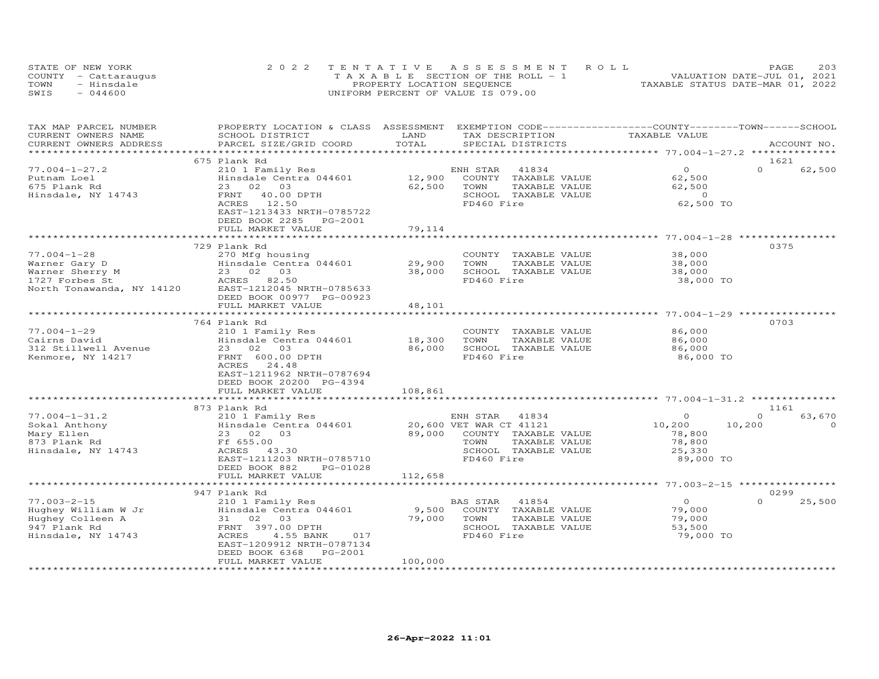| STATE OF NEW YORK    | 2022 TENTATIVE ASSESSMENT ROLL        | PAGE.                            | 203 |
|----------------------|---------------------------------------|----------------------------------|-----|
| COUNTY - Cattaraugus | T A X A B L E SECTION OF THE ROLL - 1 | VALUATION DATE-JUL 01, 2021      |     |
| TOWN<br>- Hinsdale   | PROPERTY LOCATION SEQUENCE            | TAXABLE STATUS DATE-MAR 01, 2022 |     |
| $-044600$<br>SWIS    | UNIFORM PERCENT OF VALUE IS 079.00    |                                  |     |

| TAX MAP PARCEL NUMBER<br>CURRENT OWNERS NAME                                                         | PROPERTY LOCATION & CLASS ASSESSMENT EXEMPTION CODE----------------COUNTY-------TOWN------SCHOOL<br>SCHOOL DISTRICT                                                       | LAND                        | TAX DESCRIPTION                                                                                                                            | TAXABLE VALUE                                                           |                                        |
|------------------------------------------------------------------------------------------------------|---------------------------------------------------------------------------------------------------------------------------------------------------------------------------|-----------------------------|--------------------------------------------------------------------------------------------------------------------------------------------|-------------------------------------------------------------------------|----------------------------------------|
| CURRENT OWNERS ADDRESS                                                                               | PARCEL SIZE/GRID COORD                                                                                                                                                    | TOTAL                       | SPECIAL DISTRICTS                                                                                                                          |                                                                         | ACCOUNT NO.                            |
|                                                                                                      | 675 Plank Rd                                                                                                                                                              |                             |                                                                                                                                            |                                                                         | 1621                                   |
| $77.004 - 1 - 27.2$<br>Putnam Loel<br>675 Plank Rd<br>Hinsdale, NY 14743                             | 210 1 Family Res<br>Hinsdale Centra 044601<br>23 02 03<br>FRNT<br>40.00 DPTH<br>12.50<br>ACRES<br>EAST-1213433 NRTH-0785722                                               | 12,900<br>62,500            | ENH STAR<br>41834<br>COUNTY TAXABLE VALUE<br>TOWN<br>TAXABLE VALUE<br>SCHOOL TAXABLE VALUE<br>FD460 Fire                                   | $\Omega$<br>62,500<br>62,500<br>$\overline{0}$<br>62,500 TO             | $\Omega$<br>62,500                     |
|                                                                                                      | DEED BOOK 2285<br>PG-2001                                                                                                                                                 |                             |                                                                                                                                            |                                                                         |                                        |
|                                                                                                      | FULL MARKET VALUE<br>*********************                                                                                                                                | 79,114<br>*********         |                                                                                                                                            | ********************* 77.004-1-28 **********                            |                                        |
|                                                                                                      | 729 Plank Rd                                                                                                                                                              |                             |                                                                                                                                            |                                                                         | 0375                                   |
| $77.004 - 1 - 28$<br>Warner Gary D<br>Warner Sherry M<br>1727 Forbes St<br>North Tonawanda, NY 14120 | 270 Mfg housing<br>Hinsdale Centra 044601<br>23 02 03<br>ACRES 82.50<br>EAST-1212045 NRTH-0785633<br>DEED BOOK 00977 PG-00923                                             | 29,900<br>38,000            | COUNTY TAXABLE VALUE<br>TOWN<br>TAXABLE VALUE<br>SCHOOL TAXABLE VALUE<br>FD460 Fire                                                        | 38,000<br>38,000<br>38,000<br>38,000 TO                                 |                                        |
|                                                                                                      | FULL MARKET VALUE                                                                                                                                                         | 48,101                      |                                                                                                                                            |                                                                         |                                        |
|                                                                                                      | 764 Plank Rd                                                                                                                                                              |                             |                                                                                                                                            |                                                                         | 0703                                   |
| $77.004 - 1 - 29$<br>Cairns David<br>312 Stillwell Avenue<br>Kenmore, NY 14217                       | 210 1 Family Res<br>Hinsdale Centra 044601<br>23 02 03<br>FRNT 600.00 DPTH<br>ACRES<br>24.48<br>EAST-1211962 NRTH-0787694<br>DEED BOOK 20200 PG-4394<br>FULL MARKET VALUE | 18,300<br>86,000<br>108,861 | COUNTY TAXABLE VALUE<br>TOWN<br>TAXABLE VALUE<br>SCHOOL TAXABLE VALUE<br>FD460 Fire                                                        | 86,000<br>86,000<br>86,000<br>86,000 TO                                 |                                        |
|                                                                                                      |                                                                                                                                                                           |                             |                                                                                                                                            |                                                                         |                                        |
| $77.004 - 1 - 31.2$<br>Sokal Anthony<br>Mary Ellen<br>873 Plank Rd<br>Hinsdale, NY 14743             | 873 Plank Rd<br>210 1 Family Res<br>Hinsdale Centra 044601<br>23 02<br>03<br>Ff 655.00<br>ACRES 43.30<br>EAST-1211203 NRTH-0785710<br>DEED BOOK 882<br>PG-01028           |                             | ENH STAR<br>41834<br>20,600 VET WAR CT 41121<br>89,000 COUNTY TAXABLE VALUE<br>TOWN<br>TAXABLE VALUE<br>SCHOOL TAXABLE VALUE<br>FD460 Fire | $\Omega$<br>10,200<br>10,200<br>78,800<br>78,800<br>25,330<br>89,000 TO | 1161<br>63,670<br>$\Omega$<br>$\Omega$ |
|                                                                                                      | FULL MARKET VALUE                                                                                                                                                         | 112,658                     |                                                                                                                                            |                                                                         |                                        |
|                                                                                                      | 947 Plank Rd                                                                                                                                                              |                             |                                                                                                                                            |                                                                         | 0299                                   |
| $77.003 - 2 - 15$<br>Hughey William W Jr<br>Hughey Colleen A<br>947 Plank Rd<br>Hinsdale, NY 14743   | 210 1 Family Res<br>Hinsdale Centra 044601<br>31 02<br>03<br>FRNT 397.00 DPTH<br>ACRES<br>4.55 BANK<br>017<br>EAST-1209912 NRTH-0787134<br>DEED BOOK 6368<br>PG-2001      | 9,500<br>79,000             | BAS STAR<br>41854<br>COUNTY TAXABLE VALUE<br>TOWN<br>TAXABLE VALUE<br>SCHOOL TAXABLE VALUE<br>FD460 Fire                                   | $\circ$<br>79,000<br>79,000<br>53,500<br>79,000 TO                      | $\Omega$<br>25,500                     |
|                                                                                                      | FULL MARKET VALUE                                                                                                                                                         | 100,000                     |                                                                                                                                            |                                                                         |                                        |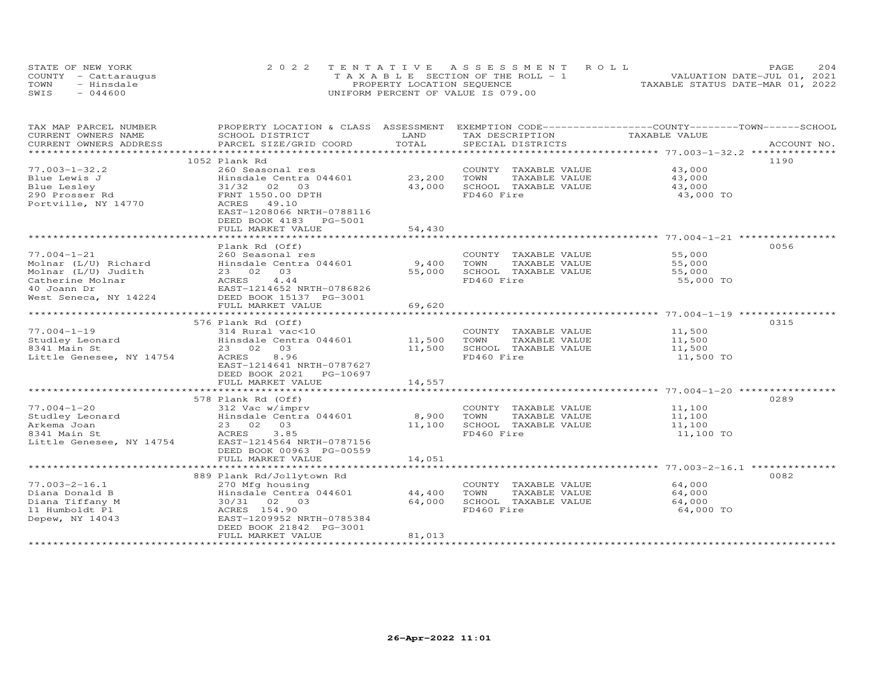| STATE OF NEW YORK    | 2022 TENTATIVE ASSESSMENT ROLL        | 204<br>PAGE                      |
|----------------------|---------------------------------------|----------------------------------|
| COUNTY - Cattaraugus | T A X A B L E SECTION OF THE ROLL - 1 | VALUATION DATE-JUL 01, 2021      |
| TOWN<br>- Hinsdale   | PROPERTY LOCATION SEQUENCE            | TAXABLE STATUS DATE-MAR 01, 2022 |
| SWIS<br>044600       | UNIFORM PERCENT OF VALUE IS 079.00    |                                  |

| TAX MAP PARCEL NUMBER                                                    | PROPERTY LOCATION & CLASS ASSESSMENT                                           |               | EXEMPTION CODE-----------------COUNTY-------TOWN------SCHOOL |               |             |
|--------------------------------------------------------------------------|--------------------------------------------------------------------------------|---------------|--------------------------------------------------------------|---------------|-------------|
| CURRENT OWNERS NAME                                                      | SCHOOL DISTRICT                                                                | LAND<br>TOTAL | TAX DESCRIPTION                                              | TAXABLE VALUE |             |
| CURRENT OWNERS ADDRESS                                                   | PARCEL SIZE/GRID COORD                                                         |               | SPECIAL DISTRICTS                                            |               | ACCOUNT NO. |
|                                                                          |                                                                                |               |                                                              |               |             |
|                                                                          | 1052 Plank Rd                                                                  |               |                                                              |               | 1190        |
| $77.003 - 1 - 32.2$                                                      | 260 Seasonal res                                                               |               | COUNTY TAXABLE VALUE                                         | 43,000        |             |
| Blue Lewis J                                                             | Hinsdale Centra 044601                                                         | 23,200        | TOWN<br>TAXABLE VALUE                                        | 43,000        |             |
| Blue Lesley                                                              | 31/32<br>02 03                                                                 | 43,000        | SCHOOL TAXABLE VALUE                                         | 43,000        |             |
| 290 Prosser Rd                                                           | FRNT 1550.00 DPTH                                                              |               | FD460 Fire                                                   | 43,000 TO     |             |
| Portville, NY 14770                                                      | 49.10<br>ACRES                                                                 |               |                                                              |               |             |
|                                                                          | EAST-1208066 NRTH-0788116                                                      |               |                                                              |               |             |
|                                                                          | DEED BOOK 4183 PG-5001                                                         |               |                                                              |               |             |
|                                                                          | FULL MARKET VALUE                                                              | 54,430        |                                                              |               |             |
|                                                                          |                                                                                |               |                                                              |               |             |
|                                                                          | Plank Rd (Off)                                                                 |               |                                                              |               | 0056        |
| $77.004 - 1 - 21$                                                        | 260 Seasonal res                                                               |               | COUNTY TAXABLE VALUE                                         | 55,000        |             |
| Molnar (L/U) Richard                                                     | Hinsdale Centra 044601                                                         | 9,400         | TAXABLE VALUE<br>TOWN                                        | 55,000        |             |
| Molnar (L/U) Judith                                                      |                                                                                | 55,000        | SCHOOL TAXABLE VALUE                                         | 55,000        |             |
| Catherine Molnar                                                         |                                                                                |               | FD460 Fire                                                   | 55,000 TO     |             |
| 40 Joann Dr                                                              | 23 02 03<br>ACRES 4.44<br>EAST-1214652 NRTH-0786826<br>DEED BOOK 15137 PG-3001 |               |                                                              |               |             |
| West Seneca, NY 14224                                                    |                                                                                |               |                                                              |               |             |
|                                                                          | FULL MARKET VALUE                                                              | 69,620        |                                                              |               |             |
|                                                                          |                                                                                |               |                                                              |               |             |
|                                                                          | 576 Plank Rd (Off)                                                             |               |                                                              |               | 0315        |
| $77.004 - 1 - 19$                                                        | 314 Rural vac<10                                                               |               | COUNTY TAXABLE VALUE                                         | 11,500        |             |
| Studley Leonard                                                          | Hinsdale Centra 044601 11,500                                                  |               | TOWN<br>TAXABLE VALUE                                        | 11,500        |             |
| 8341 Main St                                                             | 23 02 03                                                                       | 11,500        | SCHOOL TAXABLE VALUE                                         | 11,500        |             |
| Little Genesee, NY 14754                                                 | 8.96<br>ACRES                                                                  |               | FD460 Fire                                                   | 11,500 TO     |             |
|                                                                          | EAST-1214641 NRTH-0787627                                                      |               |                                                              |               |             |
|                                                                          | DEED BOOK 2021<br>PG-10697                                                     |               |                                                              |               |             |
|                                                                          | FULL MARKET VALUE                                                              | 14,557        |                                                              |               |             |
|                                                                          |                                                                                |               |                                                              |               |             |
|                                                                          | 578 Plank Rd (Off)                                                             |               |                                                              |               | 0289        |
| $77.004 - 1 - 20$                                                        | 312 Vac w/imprv                                                                |               | COUNTY TAXABLE VALUE 11,100                                  |               |             |
|                                                                          | Hinsdale Centra 044601 8,900                                                   |               | TOWN<br>TAXABLE VALUE                                        | 11,100        |             |
|                                                                          | 23 02 03                                                                       | 11,100        | SCHOOL TAXABLE VALUE                                         | 11,100        |             |
| 11.004-1-20<br>Studley Leonard<br>Arkema Joan<br><sup>9341</sup> Main St | 3.85<br>ACRES                                                                  |               | FD460 Fire                                                   | 11,100 TO     |             |
| Little Genesee, NY 14754                                                 | EAST-1214564 NRTH-0787156                                                      |               |                                                              |               |             |
|                                                                          | DEED BOOK 00963 PG-00559                                                       |               |                                                              |               |             |
|                                                                          | FULL MARKET VALUE                                                              | 14,051        |                                                              |               |             |
|                                                                          |                                                                                |               |                                                              |               |             |
|                                                                          |                                                                                |               |                                                              |               | 0082        |
|                                                                          | 889 Plank Rd/Jollytown Rd                                                      |               |                                                              |               |             |
| $77.003 - 2 - 16.1$                                                      | 270 Mfg housing                                                                |               | COUNTY TAXABLE VALUE                                         | 64,000        |             |
| Diana Donald B                                                           | Hinsdale Centra 044601                                                         | 44,400        | TOWN<br>TAXABLE VALUE                                        | 64,000        |             |
| Diana Tiffany M                                                          | 30/31 02 03                                                                    | 64,000        | SCHOOL TAXABLE VALUE                                         | 64,000        |             |
| 11 Humboldt Pl                                                           | ACRES 154.90                                                                   |               | FD460 Fire                                                   | 64,000 TO     |             |
| Depew, NY 14043                                                          | EAST-1209952 NRTH-0785384                                                      |               |                                                              |               |             |
|                                                                          | DEED BOOK 21842 PG-3001                                                        |               |                                                              |               |             |
|                                                                          | FULL MARKET VALUE                                                              | 81,013        |                                                              |               |             |
|                                                                          |                                                                                |               |                                                              |               |             |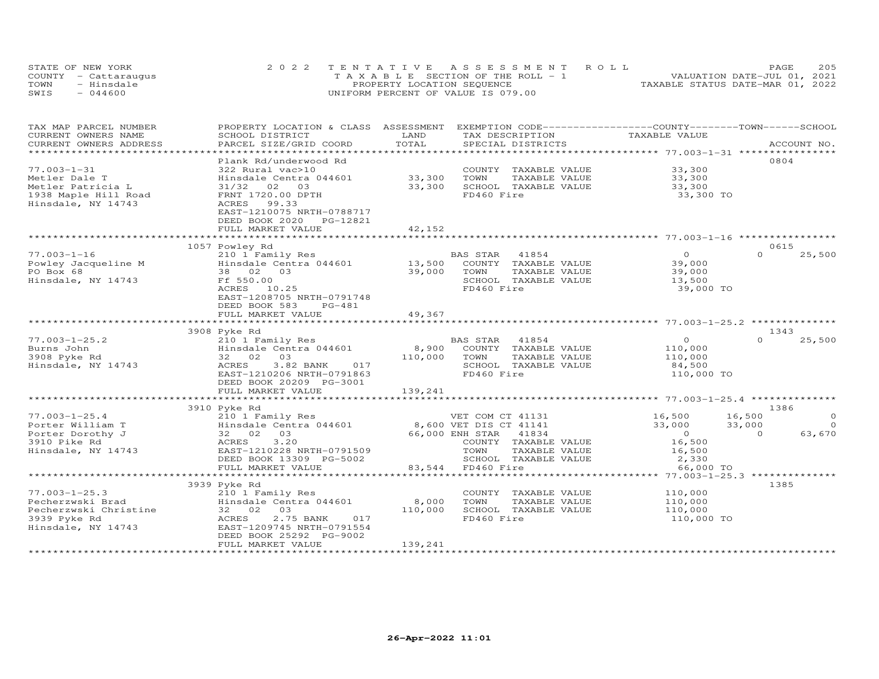|      | STATE OF NEW YORK    | 2022 TENTATIVE ASSESSMENT ROLL        | 205<br>PAGE.                     |
|------|----------------------|---------------------------------------|----------------------------------|
|      | COUNTY - Cattaraugus | T A X A B L E SECTION OF THE ROLL - 1 | VALUATION DATE-JUL 01, 2021      |
| TOWN | - Hinsdale           | PROPERTY LOCATION SEQUENCE            | TAXABLE STATUS DATE-MAR 01, 2022 |
| SWIS | $-044600$            | UNIFORM PERCENT OF VALUE IS 079.00    |                                  |

| TAX MAP PARCEL NUMBER<br>CURRENT OWNERS NAME | PROPERTY LOCATION & CLASS ASSESSMENT<br>SCHOOL DISTRICT | LAND              |                       | TAX DESCRIPTION                       | EXEMPTION CODE-----------------COUNTY-------TOWN------SCHOOL<br>TAXABLE VALUE |          |                |
|----------------------------------------------|---------------------------------------------------------|-------------------|-----------------------|---------------------------------------|-------------------------------------------------------------------------------|----------|----------------|
| CURRENT OWNERS ADDRESS                       | PARCEL SIZE/GRID COORD                                  | TOTAL             |                       | SPECIAL DISTRICTS                     |                                                                               |          | ACCOUNT NO.    |
| ***********************                      |                                                         |                   |                       |                                       |                                                                               |          |                |
| $77.003 - 1 - 31$                            | Plank Rd/underwood Rd<br>322 Rural vac>10               |                   |                       |                                       | 33,300                                                                        | 0804     |                |
| Metler Dale T                                |                                                         | 33,300            | TOWN                  | COUNTY TAXABLE VALUE                  |                                                                               |          |                |
| Metler Patricia L                            | Hinsdale Centra 044601<br>31/32<br>02<br>03             | 33,300            |                       | TAXABLE VALUE<br>SCHOOL TAXABLE VALUE | 33,300<br>33,300                                                              |          |                |
| 1938 Maple Hill Road                         | FRNT 1720.00 DPTH                                       |                   | FD460 Fire            |                                       | 33,300 TO                                                                     |          |                |
| Hinsdale, NY 14743                           | ACRES<br>99.33                                          |                   |                       |                                       |                                                                               |          |                |
|                                              | EAST-1210075 NRTH-0788717                               |                   |                       |                                       |                                                                               |          |                |
|                                              | DEED BOOK 2020 PG-12821                                 |                   |                       |                                       |                                                                               |          |                |
|                                              | FULL MARKET VALUE                                       | 42,152            |                       |                                       |                                                                               |          |                |
|                                              |                                                         |                   |                       |                                       |                                                                               |          |                |
|                                              | 1057 Powley Rd                                          |                   |                       |                                       |                                                                               | 0615     |                |
| $77.003 - 1 - 16$                            | 210 1 Family Res                                        |                   | <b>BAS STAR</b> 41854 |                                       | $\overline{O}$                                                                | $\Omega$ | 25,500         |
| Powley Jacqueline M                          | Hinsdale Centra 044601 13,500                           |                   |                       | COUNTY TAXABLE VALUE                  | 39,000                                                                        |          |                |
| PO Box 68                                    | 38 02 03                                                | 39,000            | TOWN                  | TAXABLE VALUE                         | 39,000                                                                        |          |                |
| Hinsdale, NY 14743                           | Ff 550.00                                               |                   |                       | SCHOOL TAXABLE VALUE                  | 13,500                                                                        |          |                |
|                                              | ACRES 10.25                                             |                   | FD460 Fire            |                                       | 39,000 TO                                                                     |          |                |
|                                              | EAST-1208705 NRTH-0791748                               |                   |                       |                                       |                                                                               |          |                |
|                                              | DEED BOOK 583<br>PG-481                                 |                   |                       |                                       |                                                                               |          |                |
|                                              | FULL MARKET VALUE                                       | 49,367            |                       |                                       |                                                                               |          |                |
|                                              |                                                         |                   |                       |                                       |                                                                               | 1343     |                |
| $77.003 - 1 - 25.2$                          | 3908 Pyke Rd<br>210 1 Family Res                        |                   | BAS STAR 41854        |                                       | $\overline{O}$                                                                | $\Omega$ | 25,500         |
| Burns John                                   | Hinsdale Centra 044601                                  | 8,900             |                       | COUNTY TAXABLE VALUE                  |                                                                               |          |                |
| 3908 Pyke Rd                                 | 32 02 03                                                | 110,000           | TOWN                  | TAXABLE VALUE                         | 110,000<br>110,000                                                            |          |                |
| Hinsdale, NY 14743                           | 3.82 BANK 017<br>ACRES                                  |                   |                       | SCHOOL TAXABLE VALUE                  | 84,500                                                                        |          |                |
|                                              | EAST-1210206 NRTH-0791863                               |                   | FD460 Fire            |                                       | 110,000 TO                                                                    |          |                |
|                                              | DEED BOOK 20209 PG-3001                                 |                   |                       |                                       |                                                                               |          |                |
|                                              | FULL MARKET VALUE                                       | 139,241           |                       |                                       |                                                                               |          |                |
|                                              |                                                         |                   |                       |                                       |                                                                               |          |                |
|                                              | 3910 Pyke Rd                                            |                   |                       |                                       |                                                                               | 1386     |                |
| $77.003 - 1 - 25.4$                          | 210 1 Family Res                                        |                   |                       | VET COM CT 41131                      | 16,500<br>33.000                                                              | 16,500   | $\circ$        |
| Porter William T                             | Hinsdale Centra 044601 8,600 VET DIS CT 41141           |                   |                       |                                       | 33,000                                                                        | 33,000   | $\overline{0}$ |
| Porter Dorothy J                             | 32 02<br>03                                             | 66,000 ENH STAR   |                       | 41834                                 | $\overline{O}$                                                                | $\Omega$ | 63,670         |
| 3910 Pike Rd                                 | 3.20<br>ACRES                                           |                   |                       | COUNTY TAXABLE VALUE                  | 16,500                                                                        |          |                |
| Hinsdale, NY 14743                           | EAST-1210228 NRTH-0791509                               |                   | TOWN                  | TAXABLE VALUE                         | 16,500                                                                        |          |                |
|                                              | DEED BOOK 13309 PG-5002                                 |                   |                       | SCHOOL TAXABLE VALUE                  | 2,330                                                                         |          |                |
|                                              | FULL MARKET VALUE<br>**************************         | 83,544 FD460 Fire |                       |                                       | 66,000 TO                                                                     |          |                |
|                                              |                                                         |                   |                       |                                       | ********* 77.003-1-25.3 *************                                         | 1385     |                |
| $77.003 - 1 - 25.3$                          | 3939 Pyke Rd                                            |                   |                       |                                       |                                                                               |          |                |
| Pecherzwski Brad                             | 210 1 Family Res<br>Hinsdale Centra 044601              | 8,000             | TOWN                  | COUNTY TAXABLE VALUE<br>TAXABLE VALUE | 110,000<br>110,000                                                            |          |                |
| Pecherzwski Christine                        | 32 02<br>03                                             | 110,000           |                       | SCHOOL TAXABLE VALUE                  | 110,000                                                                       |          |                |
| 3939 Pyke Rd                                 | 2.75 BANK<br>017<br>ACRES                               |                   | FD460 Fire            |                                       | 110,000 TO                                                                    |          |                |
| Hinsdale, NY 14743                           | EAST-1209745 NRTH-0791554                               |                   |                       |                                       |                                                                               |          |                |
|                                              | DEED BOOK 25292 PG-9002                                 |                   |                       |                                       |                                                                               |          |                |
|                                              | FULL MARKET VALUE                                       | 139,241           |                       |                                       |                                                                               |          |                |
|                                              |                                                         |                   |                       |                                       |                                                                               |          |                |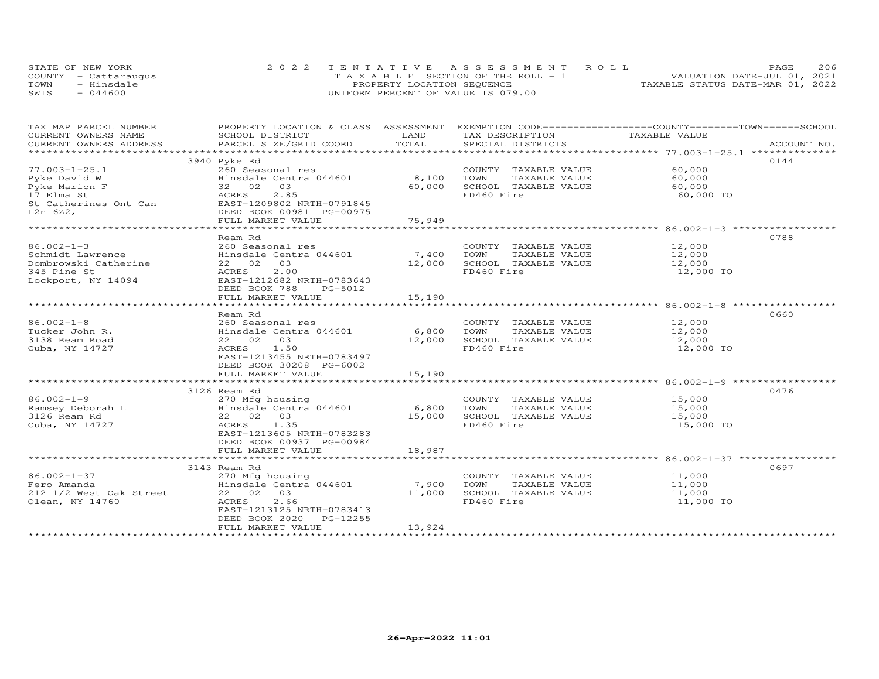|      | STATE OF NEW YORK    | 2022 TENTATIVE ASSESSMENT ROLL        | 206<br>PAGE                      |
|------|----------------------|---------------------------------------|----------------------------------|
|      | COUNTY - Cattaraugus | T A X A B L E SECTION OF THE ROLL - 1 | VALUATION DATE-JUL 01, 2021      |
| TOWN | - Hinsdale           | PROPERTY LOCATION SEQUENCE            | TAXABLE STATUS DATE-MAR 01, 2022 |
| SWIS | $-044600$            | UNIFORM PERCENT OF VALUE IS 079.00    |                                  |

| TAX MAP PARCEL NUMBER   |                                                                                                                                                                                                                                                                 |            |                                                 | PROPERTY LOCATION & CLASS ASSESSMENT EXEMPTION CODE----------------COUNTY-------TOWN-----SCHOOL |
|-------------------------|-----------------------------------------------------------------------------------------------------------------------------------------------------------------------------------------------------------------------------------------------------------------|------------|-------------------------------------------------|-------------------------------------------------------------------------------------------------|
|                         | SCHOOL DISTRICT                                                                                                                                                                                                                                                 |            |                                                 | TAXABLE VALUE                                                                                   |
|                         |                                                                                                                                                                                                                                                                 |            |                                                 |                                                                                                 |
|                         |                                                                                                                                                                                                                                                                 |            |                                                 |                                                                                                 |
|                         | 3940 Pyke Rd                                                                                                                                                                                                                                                    |            |                                                 | 0144                                                                                            |
| $77.003 - 1 - 25.1$     | 260 Seasonal res                                                                                                                                                                                                                                                |            | COUNTY TAXABLE VALUE                            | 60,000                                                                                          |
|                         | Hinsdale Centra 044601                                                                                                                                                                                                                                          | 8,100 TOWN | TAXABLE VALUE                                   | 60,000                                                                                          |
|                         |                                                                                                                                                                                                                                                                 | 60,000     | SCHOOL TAXABLE VALUE                            | 60,000                                                                                          |
|                         |                                                                                                                                                                                                                                                                 |            | FD460 Fire                                      | 60,000 TO                                                                                       |
|                         | Pyke David W<br>Pyke Marion F<br>17 Elma St<br>St Catherines Ont Can<br>St Catherines Ont Can<br>ELMA EXECT<br>ELMA EXECT<br>ELMA EXECT<br>DESCRIPED 2.85<br>EXECT<br>DESCRIPED 2.85<br>EXECT<br>DESCRIPED 2.85<br>DESCRIPED 2.95<br>2.85<br>DESCRIPED 2.95<br> |            |                                                 |                                                                                                 |
| $L2n$ 622,              | DEED BOOK 00981 PG-00975                                                                                                                                                                                                                                        |            |                                                 |                                                                                                 |
|                         | FULL MARKET VALUE                                                                                                                                                                                                                                               | 75,949     |                                                 |                                                                                                 |
|                         |                                                                                                                                                                                                                                                                 |            |                                                 |                                                                                                 |
|                         | Ream Rd                                                                                                                                                                                                                                                         |            |                                                 | 0788                                                                                            |
|                         |                                                                                                                                                                                                                                                                 |            |                                                 |                                                                                                 |
|                         |                                                                                                                                                                                                                                                                 |            | COUNTY TAXABLE VALUE 12,000<br>TAXABLE VALUE    | 12,000                                                                                          |
|                         |                                                                                                                                                                                                                                                                 |            | 12,000 SCHOOL TAXABLE VALUE                     | 12,000                                                                                          |
|                         |                                                                                                                                                                                                                                                                 |            |                                                 |                                                                                                 |
|                         | Lockport, NY 14094 EAST-1212682 NRTH-0783643                                                                                                                                                                                                                    |            | FD460 Fire                                      | 12,000 TO                                                                                       |
|                         |                                                                                                                                                                                                                                                                 |            |                                                 |                                                                                                 |
|                         | DEED BOOK 788<br>PG-5012                                                                                                                                                                                                                                        |            |                                                 |                                                                                                 |
|                         | FULL MARKET VALUE                                                                                                                                                                                                                                               | 15,190     |                                                 |                                                                                                 |
|                         |                                                                                                                                                                                                                                                                 |            |                                                 |                                                                                                 |
|                         | Ream Rd                                                                                                                                                                                                                                                         |            |                                                 | 0660                                                                                            |
| $86.002 - 1 - 8$        |                                                                                                                                                                                                                                                                 |            | COUNTY TAXABLE VALUE<br>TOWN      TAXABLE VALUE | 12,000<br>12,000                                                                                |
| Tucker John R.          |                                                                                                                                                                                                                                                                 |            |                                                 |                                                                                                 |
| 3138 Ream Road          | 22 02 03                                                                                                                                                                                                                                                        | 12,000     | SCHOOL TAXABLE VALUE 12,000                     |                                                                                                 |
| Cuba, NY 14727          | ACRES 1.50                                                                                                                                                                                                                                                      |            | FD460 Fire                                      | 12,000 TO                                                                                       |
|                         | EAST-1213455 NRTH-0783497                                                                                                                                                                                                                                       |            |                                                 |                                                                                                 |
|                         | DEED BOOK 30208 PG-6002                                                                                                                                                                                                                                         |            |                                                 |                                                                                                 |
|                         | FULL MARKET VALUE                                                                                                                                                                                                                                               | 15,190     |                                                 |                                                                                                 |
|                         |                                                                                                                                                                                                                                                                 |            |                                                 |                                                                                                 |
|                         | 19<br>Ramsey Deborah L<br>Ramsey Deborah L<br>3126 Ream Rd<br>Cuba, NY 14727<br>Cuba, NY 14727<br>Cuba, 22 02 03<br>ACRES<br>22 02 03<br>ACRES<br>22 02 03<br>22 02 03<br>22 02 03                                                                              |            |                                                 | 0476                                                                                            |
|                         |                                                                                                                                                                                                                                                                 |            | COUNTY TAXABLE VALUE                            | 15,000                                                                                          |
|                         |                                                                                                                                                                                                                                                                 |            | TAXABLE VALUE<br>TOWN                           | 15,000                                                                                          |
|                         |                                                                                                                                                                                                                                                                 |            | SCHOOL TAXABLE VALUE                            | 15,000                                                                                          |
|                         |                                                                                                                                                                                                                                                                 |            | FD460 Fire                                      | 15,000 TO                                                                                       |
|                         | EAST-1213605 NRTH-0783283                                                                                                                                                                                                                                       |            |                                                 |                                                                                                 |
|                         | DEED BOOK 00937 PG-00984                                                                                                                                                                                                                                        |            |                                                 |                                                                                                 |
|                         |                                                                                                                                                                                                                                                                 |            |                                                 |                                                                                                 |
|                         |                                                                                                                                                                                                                                                                 |            |                                                 |                                                                                                 |
|                         |                                                                                                                                                                                                                                                                 |            |                                                 | 0697                                                                                            |
|                         | 3143 Ream Rd                                                                                                                                                                                                                                                    |            |                                                 |                                                                                                 |
| $86.002 - 1 - 37$       | 270 Mfg housing                                                                                                                                                                                                                                                 |            | COUNTY TAXABLE VALUE 11,000                     |                                                                                                 |
| Fero Amanda             | Hinsdale Centra 044601 7,900                                                                                                                                                                                                                                    |            | TOWN<br>TAXABLE VALUE                           | 11,000                                                                                          |
| 212 1/2 West Oak Street | 22 02 03                                                                                                                                                                                                                                                        | 11,000     | SCHOOL TAXABLE VALUE                            | 11,000                                                                                          |
| Olean, NY 14760         | 2.66<br>ACRES                                                                                                                                                                                                                                                   |            | FD460 Fire                                      | 11,000 TO                                                                                       |
|                         | EAST-1213125 NRTH-0783413                                                                                                                                                                                                                                       |            |                                                 |                                                                                                 |
|                         | DEED BOOK 2020 PG-12255                                                                                                                                                                                                                                         |            |                                                 |                                                                                                 |
|                         | FULL MARKET VALUE                                                                                                                                                                                                                                               | 13,924     |                                                 |                                                                                                 |
|                         |                                                                                                                                                                                                                                                                 |            |                                                 |                                                                                                 |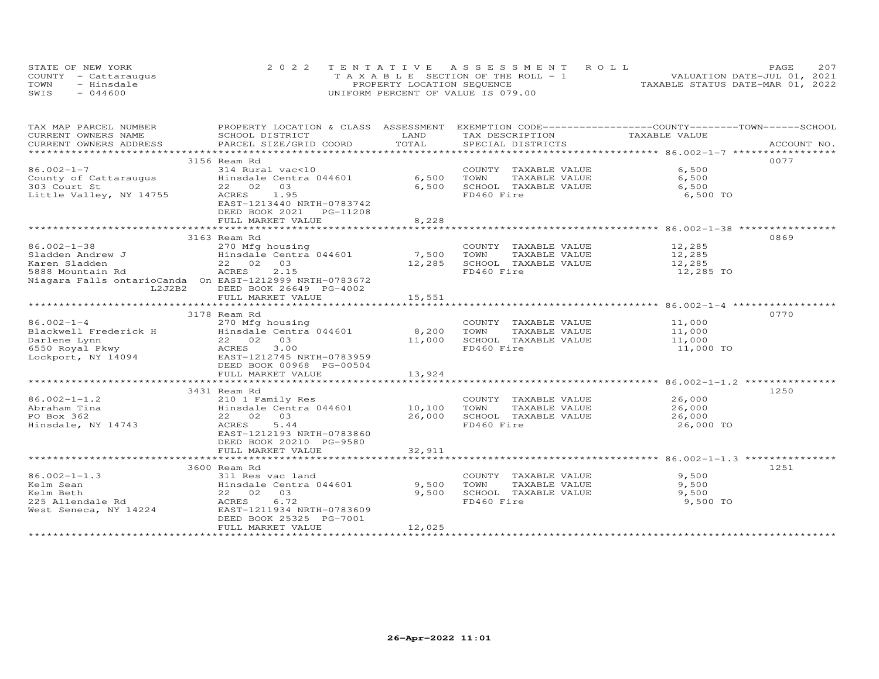|      | STATE OF NEW YORK    | 2022 TENTATIVE ASSESSMENT ROLL        | <b>PAGE</b>                      |
|------|----------------------|---------------------------------------|----------------------------------|
|      | COUNTY - Cattaraugus | T A X A B L E SECTION OF THE ROLL - 1 | VALUATION DATE-JUL 01, 2021      |
| TOWN | - Hinsdale           | PROPERTY LOCATION SEQUENCE            | TAXABLE STATUS DATE-MAR 01, 2022 |
| SWIS | $-044600$            | UNIFORM PERCENT OF VALUE IS 079.00    |                                  |

| TAX MAP PARCEL NUMBER                 | PROPERTY LOCATION & CLASS ASSESSMENT EXEMPTION CODE----------------COUNTY-------TOWN------SCHOOL                                                                                                                              |            |                                                      |                  |      |
|---------------------------------------|-------------------------------------------------------------------------------------------------------------------------------------------------------------------------------------------------------------------------------|------------|------------------------------------------------------|------------------|------|
| CURRENT OWNERS NAME                   | SCHOOL DISTRICT                                                                                                                                                                                                               | LAND       | TAX DESCRIPTION                                      | TAXABLE VALUE    |      |
|                                       | .CURRENT OWNERS ADDRESS PARCEL SIZE/GRID COORD TOTAL SPECIAL DISTRICTS ACCOUNT NO ACCOUNT NO ACCOUNT NO ARE THE RAND RESOLUT AS THE COLL TO TALL THE RESOLUT SERVER AND THE RESOLUT TO A RESOLUTE THE RESOLUTE OF A A A A A A |            |                                                      |                  |      |
|                                       |                                                                                                                                                                                                                               |            |                                                      |                  |      |
|                                       | 3156 Ream Rd                                                                                                                                                                                                                  |            |                                                      |                  | 0077 |
| $86.002 - 1 - 7$                      | 314 Rural vac<10                                                                                                                                                                                                              |            | COUNTY TAXABLE VALUE                                 | 6,500            |      |
| County of Cattaraugus<br>303 Court St | Hinsdale Centra 044601                                                                                                                                                                                                        | 6,500      | TOWN      TAXABLE  VALUE<br>SCHOOL   TAXABLE  VALUE  | 6,500            |      |
|                                       | 22 02<br>03                                                                                                                                                                                                                   | 6,500      |                                                      | 6,500            |      |
| Little Valley, NY 14755               | ACRES<br>1.95                                                                                                                                                                                                                 |            | FD460 Fire                                           | 6,500 TO         |      |
|                                       | EAST-1213440 NRTH-0783742                                                                                                                                                                                                     |            |                                                      |                  |      |
|                                       | DEED BOOK 2021    PG-11208                                                                                                                                                                                                    |            |                                                      |                  |      |
|                                       | FULL MARKET VALUE                                                                                                                                                                                                             | 8,228      |                                                      |                  |      |
|                                       |                                                                                                                                                                                                                               | ********** |                                                      |                  |      |
|                                       | 3163 Ream Rd                                                                                                                                                                                                                  |            |                                                      |                  | 0869 |
| $86.002 - 1 - 38$                     | 270 Mfg housing                                                                                                                                                                                                               |            | COUNTY TAXABLE VALUE 12,285                          |                  |      |
|                                       |                                                                                                                                                                                                                               | 7,500      | TOWN<br>TAXABLE VALUE                                | 12,285           |      |
| Sladden Andrew J<br>Karen Sladden     | Hinsdale Centra 044601<br>22 02 03                                                                                                                                                                                            | 12,285     | SCHOOL TAXABLE VALUE                                 | 12,285           |      |
| 5888 Mountain Rd                      | 2.15<br>ACRES                                                                                                                                                                                                                 |            | FD460 Fire                                           | 12,285 TO        |      |
|                                       | Niagara Falls ontarioCanda On EAST-1212999 NRTH-0783672                                                                                                                                                                       |            |                                                      |                  |      |
| L2J2B2                                | DEED BOOK 26649 PG-4002                                                                                                                                                                                                       |            |                                                      |                  |      |
|                                       | FULL MARKET VALUE                                                                                                                                                                                                             | 15,551     |                                                      |                  |      |
|                                       |                                                                                                                                                                                                                               |            |                                                      |                  |      |
|                                       | 3178 Ream Rd                                                                                                                                                                                                                  |            |                                                      |                  | 0770 |
|                                       |                                                                                                                                                                                                                               |            |                                                      |                  |      |
|                                       |                                                                                                                                                                                                                               |            | COUNTY TAXABLE VALUE 11,000<br>TOWN<br>TAXABLE VALUE | 11,000           |      |
|                                       |                                                                                                                                                                                                                               |            | SCHOOL TAXABLE VALUE 11,000                          |                  |      |
|                                       |                                                                                                                                                                                                                               |            | FD460 Fire                                           | 11,000 TO        |      |
|                                       |                                                                                                                                                                                                                               |            |                                                      |                  |      |
|                                       | DEED BOOK 00968 PG-00504                                                                                                                                                                                                      |            |                                                      |                  |      |
|                                       |                                                                                                                                                                                                                               |            |                                                      |                  |      |
|                                       | FULL MARKET VALUE                                                                                                                                                                                                             | 13,924     |                                                      |                  |      |
|                                       |                                                                                                                                                                                                                               |            |                                                      |                  |      |
|                                       | 3431 Ream Rd<br>210 1 Family Res<br>Hinsdale Centra 044601 10,100 TOWN<br>22 02 03                                                                                                                                            |            |                                                      |                  | 1250 |
| $86.002 - 1 - 1.2$                    |                                                                                                                                                                                                                               |            | COUNTY TAXABLE VALUE                                 | 26,000<br>26,000 |      |
| Abraham Tina                          |                                                                                                                                                                                                                               |            | TAXABLE VALUE                                        |                  |      |
| PO Box 362                            |                                                                                                                                                                                                                               | 26,000     | SCHOOL TAXABLE VALUE 26,000                          |                  |      |
| Hinsdale, NY 14743                    | ACRES<br>5.44                                                                                                                                                                                                                 |            | FD460 Fire                                           | 26,000 TO        |      |
|                                       | EAST-1212193 NRTH-0783860                                                                                                                                                                                                     |            |                                                      |                  |      |
|                                       | DEED BOOK 20210 PG-9580                                                                                                                                                                                                       |            |                                                      |                  |      |
|                                       | FULL MARKET VALUE                                                                                                                                                                                                             | 32,911     |                                                      |                  |      |
|                                       |                                                                                                                                                                                                                               |            |                                                      |                  |      |
|                                       | 3600 Ream Rd                                                                                                                                                                                                                  |            |                                                      |                  | 1251 |
| $86.002 - 1 - 1.3$                    | 311 Res vac land                                                                                                                                                                                                              |            | COUNTY TAXABLE VALUE                                 | 9,500            |      |
| Kelm Sean                             |                                                                                                                                                                                                                               | 9,500      | TAXABLE VALUE<br>TOWN                                | 9,500            |      |
| Kelm Beth                             | 311 Kes vac Ianu<br>Hinsdale Centra 044601<br>22   02   03                                                                                                                                                                    | 9,500      | SCHOOL TAXABLE VALUE                                 | 9,500            |      |
| 225 Allendale Rd                      | 6.72<br>ACRES                                                                                                                                                                                                                 |            | FD460 Fire                                           | 9,500 TO         |      |
| West Seneca, NY 14224                 | EAST-1211934 NRTH-0783609                                                                                                                                                                                                     |            |                                                      |                  |      |
|                                       | DEED BOOK 25325 PG-7001                                                                                                                                                                                                       |            |                                                      |                  |      |
|                                       | FULL MARKET VALUE                                                                                                                                                                                                             | 12,025     |                                                      |                  |      |
|                                       |                                                                                                                                                                                                                               |            |                                                      |                  |      |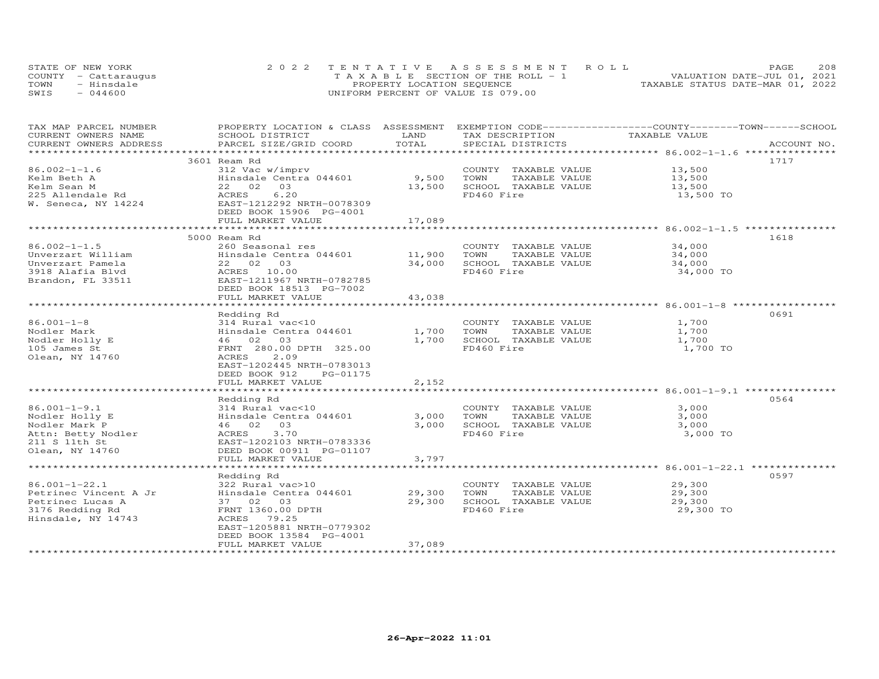| STATE OF NEW YORK    | 2022 TENTATIVE ASSESSMENT ROLL     |                                  | PAGE.                       | 208 |
|----------------------|------------------------------------|----------------------------------|-----------------------------|-----|
| COUNTY - Cattaraugus | TAXABLE SECTION OF THE ROLL - 1    |                                  | VALUATION DATE-JUL 01, 2021 |     |
| TOWN<br>- Hinsdale   | PROPERTY LOCATION SEQUENCE         | TAXABLE STATUS DATE-MAR 01, 2022 |                             |     |
| $-044600$<br>SWIS    | UNIFORM PERCENT OF VALUE IS 079.00 |                                  |                             |     |

| TAX MAP PARCEL NUMBER                         | PROPERTY LOCATION & CLASS ASSESSMENT EXEMPTION CODE----------------COUNTY-------TOWN------SCHOOL | LAND   |                                      | TAXABLE VALUE |             |
|-----------------------------------------------|--------------------------------------------------------------------------------------------------|--------|--------------------------------------|---------------|-------------|
| CURRENT OWNERS NAME<br>CURRENT OWNERS ADDRESS | SCHOOL DISTRICT<br>PARCEL SIZE/GRID COORD                                                        | TOTAL  | TAX DESCRIPTION<br>SPECIAL DISTRICTS |               | ACCOUNT NO. |
|                                               |                                                                                                  |        |                                      |               |             |
|                                               | 3601 Ream Rd                                                                                     |        |                                      |               | 1717        |
| $86.002 - 1 - 1.6$                            | 312 Vac w/imprv                                                                                  |        | COUNTY TAXABLE VALUE                 | 13,500        |             |
| Kelm Beth A                                   | Hinsdale Centra 044601 9,500                                                                     |        | TAXABLE VALUE<br>TOWN                | 13,500        |             |
|                                               |                                                                                                  |        | SCHOOL TAXABLE VALUE                 |               |             |
| Kelm Sean M                                   | 22 02 03                                                                                         | 13,500 |                                      | 13,500        |             |
| 225 Allendale Rd                              | 6.20<br>ACRES                                                                                    |        | FD460 Fire                           | 13,500 TO     |             |
| W. Seneca, NY 14224                           | EAST-1212292 NRTH-0078309                                                                        |        |                                      |               |             |
|                                               | DEED BOOK 15906 PG-4001                                                                          |        |                                      |               |             |
|                                               | FULL MARKET VALUE                                                                                | 17,089 |                                      |               |             |
|                                               |                                                                                                  |        |                                      |               |             |
|                                               | 5000 Ream Rd                                                                                     |        |                                      |               | 1618        |
| $86.002 - 1 - 1.5$                            | 260 Seasonal res                                                                                 |        | COUNTY TAXABLE VALUE                 | 34,000        |             |
| Unverzart William                             | Hinsdale Centra 044601                                                                           | 11,900 | TAXABLE VALUE<br>TOWN                | 34,000        |             |
| Unverzart Pamela                              | 22 02 03                                                                                         | 34,000 | SCHOOL TAXABLE VALUE                 | 34,000        |             |
| 3918 Alafia Blvd                              | ACRES 10.00                                                                                      |        | FD460 Fire                           | 34,000 TO     |             |
| Brandon, FL 33511                             | EAST-1211967 NRTH-0782785                                                                        |        |                                      |               |             |
|                                               | DEED BOOK 18513 PG-7002                                                                          |        |                                      |               |             |
|                                               | FULL MARKET VALUE                                                                                | 43,038 |                                      |               |             |
|                                               |                                                                                                  |        |                                      |               |             |
|                                               | Redding Rd                                                                                       |        |                                      |               | 0691        |
| $86.001 - 1 - 8$                              | 314 Rural vac<10                                                                                 |        | COUNTY TAXABLE VALUE                 | 1,700         |             |
| Nodler Mark                                   | Hinsdale Centra 044601                                                                           | 1,700  | TOWN<br>TAXABLE VALUE                | 1,700         |             |
| Nodler Holly E                                | 46 02 03                                                                                         | 1,700  | SCHOOL TAXABLE VALUE                 | 1,700         |             |
| 105 James St                                  | FRNT 280.00 DPTH 325.00                                                                          |        | FD460 Fire                           | 1,700 TO      |             |
| Olean, NY 14760                               | 2.09<br>ACRES                                                                                    |        |                                      |               |             |
|                                               | EAST-1202445 NRTH-0783013                                                                        |        |                                      |               |             |
|                                               | DEED BOOK 912<br>PG-01175                                                                        |        |                                      |               |             |
|                                               | FULL MARKET VALUE                                                                                | 2,152  |                                      |               |             |
|                                               |                                                                                                  |        |                                      |               |             |
|                                               | Redding Rd                                                                                       |        |                                      |               | 0564        |
| $86.001 - 1 - 9.1$                            | 314 Rural vac<10                                                                                 |        | COUNTY TAXABLE VALUE                 | 3,000         |             |
| Nodler Holly E                                | Hinsdale Centra 044601                                                                           | 3,000  | TOWN<br>TAXABLE VALUE                | 3,000         |             |
| Nodler Mark P                                 | 46 02 03                                                                                         | 3,000  | SCHOOL TAXABLE VALUE                 | 3,000         |             |
| Attn: Betty Nodler                            | 3.70<br>ACRES                                                                                    |        | FD460 Fire                           | 3,000 TO      |             |
| 211 S 11th St                                 | EAST-1202103 NRTH-0783336                                                                        |        |                                      |               |             |
| Olean, NY 14760                               | DEED BOOK 00911 PG-01107                                                                         |        |                                      |               |             |
|                                               | FULL MARKET VALUE                                                                                | 3,797  |                                      |               |             |
|                                               |                                                                                                  |        |                                      |               |             |
|                                               | Redding Rd                                                                                       |        |                                      |               | 0597        |
| $86.001 - 1 - 22.1$                           | 322 Rural vac>10                                                                                 |        | COUNTY TAXABLE VALUE                 | 29,300        |             |
| Petrinec Vincent A Jr                         | Hinsdale Centra 044601                                                                           | 29,300 | TOWN<br>TAXABLE VALUE                | 29,300        |             |
| Petrinec Lucas A                              | 37 02 03                                                                                         | 29,300 | SCHOOL TAXABLE VALUE                 | 29,300        |             |
| 3176 Redding Rd                               | FRNT 1360.00 DPTH                                                                                |        | FD460 Fire                           | 29,300 TO     |             |
| Hinsdale, NY 14743                            | ACRES 79.25                                                                                      |        |                                      |               |             |
|                                               | EAST-1205881 NRTH-0779302                                                                        |        |                                      |               |             |
|                                               | DEED BOOK 13584 PG-4001                                                                          |        |                                      |               |             |
|                                               | FULL MARKET VALUE                                                                                | 37,089 |                                      |               |             |
|                                               |                                                                                                  |        |                                      |               |             |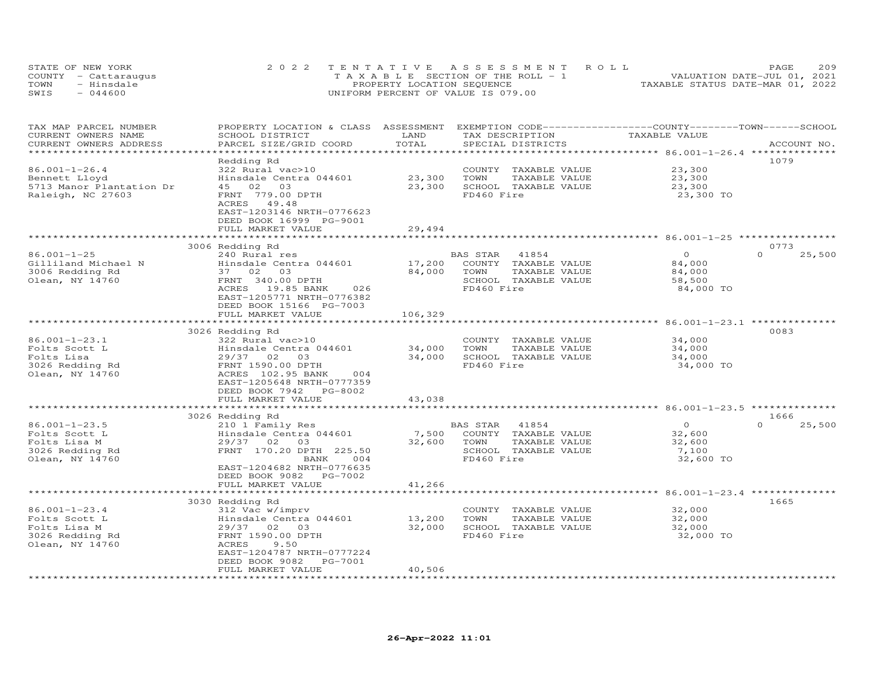| STATE OF NEW YORK    | 2022 TENTATIVE ASSESSMENT ROLL     | <b>PAGE</b>                      | 209 |
|----------------------|------------------------------------|----------------------------------|-----|
| COUNTY - Cattaraugus | TAXABLE SECTION OF THE ROLL - 1    | VALUATION DATE-JUL 01, 2021      |     |
| TOWN<br>- Hinsdale   | PROPERTY LOCATION SEQUENCE         | TAXABLE STATUS DATE-MAR 01, 2022 |     |
| $-044600$<br>SWIS    | UNIFORM PERCENT OF VALUE IS 079.00 |                                  |     |

| TAX MAP PARCEL NUMBER<br>CURRENT OWNERS NAME            | PROPERTY LOCATION & CLASS ASSESSMENT<br>SCHOOL DISTRICT | LAND               | TAX DESCRIPTION       | EXEMPTION CODE-----------------COUNTY-------TOWN-----SCHOOL | TAXABLE VALUE |                    |
|---------------------------------------------------------|---------------------------------------------------------|--------------------|-----------------------|-------------------------------------------------------------|---------------|--------------------|
| CURRENT OWNERS ADDRESS<br>* * * * * * * * * * * * * * * | PARCEL SIZE/GRID COORD<br>***********************       | TOTAL              | SPECIAL DISTRICTS     |                                                             |               | ACCOUNT NO.        |
|                                                         |                                                         |                    |                       |                                                             |               | 1079               |
| $86.001 - 1 - 26.4$                                     | Redding Rd<br>322 Rural vac>10                          |                    |                       |                                                             | 23,300        |                    |
|                                                         |                                                         |                    | COUNTY TAXABLE VALUE  |                                                             |               |                    |
| Bennett Lloyd                                           | Hinsdale Centra 044601                                  | 23,300             | TAXABLE VALUE<br>TOWN |                                                             | 23,300        |                    |
| 5713 Manor Plantation Dr                                | 02 03<br>45                                             | 23,300             | SCHOOL TAXABLE VALUE  |                                                             | 23,300        |                    |
| Raleigh, NC 27603                                       | FRNT 779.00 DPTH                                        |                    | FD460 Fire            |                                                             | 23,300 TO     |                    |
|                                                         | ACRES<br>49.48                                          |                    |                       |                                                             |               |                    |
|                                                         | EAST-1203146 NRTH-0776623                               |                    |                       |                                                             |               |                    |
|                                                         | DEED BOOK 16999 PG-9001                                 |                    |                       |                                                             |               |                    |
|                                                         | FULL MARKET VALUE<br>************************           | 29,494             |                       |                                                             |               |                    |
|                                                         |                                                         |                    |                       |                                                             |               |                    |
|                                                         | 3006 Redding Rd                                         |                    |                       |                                                             |               | 0773               |
| $86.001 - 1 - 25$                                       | 240 Rural res                                           |                    | BAS STAR<br>41854     |                                                             | $\circ$       | $\Omega$<br>25,500 |
| Gilliland Michael N                                     | Hinsdale Centra 044601                                  | 17,200             | COUNTY TAXABLE VALUE  |                                                             | 84,000        |                    |
| 3006 Redding Rd                                         | 03<br>37 02                                             | 84,000             | TOWN<br>TAXABLE VALUE |                                                             | 84,000        |                    |
| Olean, NY 14760                                         | FRNT 340.00 DPTH                                        |                    | SCHOOL TAXABLE VALUE  |                                                             | 58,500        |                    |
|                                                         | ACRES 19.85 BANK<br>026                                 |                    | FD460 Fire            |                                                             | 84,000 TO     |                    |
|                                                         | EAST-1205771 NRTH-0776382                               |                    |                       |                                                             |               |                    |
|                                                         | DEED BOOK 15166 PG-7003                                 |                    |                       |                                                             |               |                    |
|                                                         | FULL MARKET VALUE                                       | 106,329            |                       |                                                             |               |                    |
|                                                         | ***********************                                 | ****************** |                       |                                                             |               |                    |
|                                                         | 3026 Redding Rd                                         |                    |                       |                                                             |               | 0083               |
| $86.001 - 1 - 23.1$                                     | 322 Rural vac>10                                        |                    | COUNTY TAXABLE VALUE  |                                                             | 34,000        |                    |
| Folts Scott L                                           | Hinsdale Centra 044601                                  | 34,000             | TOWN<br>TAXABLE VALUE |                                                             | 34,000        |                    |
| Folts Lisa                                              | $29/37$ 02<br>03                                        | 34,000             | SCHOOL TAXABLE VALUE  |                                                             | 34,000        |                    |
| 3026 Redding Rd                                         | FRNT 1590.00 DPTH                                       |                    | FD460 Fire            |                                                             | 34,000 TO     |                    |
| Olean, NY 14760                                         | ACRES 102.95 BANK<br>004                                |                    |                       |                                                             |               |                    |
|                                                         | EAST-1205648 NRTH-0777359                               |                    |                       |                                                             |               |                    |
|                                                         | DEED BOOK 7942 PG-8002                                  |                    |                       |                                                             |               |                    |
|                                                         | FULL MARKET VALUE                                       | 43,038             |                       |                                                             |               |                    |
|                                                         |                                                         |                    |                       |                                                             |               |                    |
|                                                         | 3026 Redding Rd                                         |                    |                       |                                                             |               | 1666               |
| $86.001 - 1 - 23.5$                                     | 210 1 Family Res                                        |                    | BAS STAR<br>41854     |                                                             | $\circ$       | $\Omega$<br>25,500 |
| Folts Scott L                                           | Hinsdale Centra 044601                                  | 7,500              | COUNTY TAXABLE VALUE  |                                                             | 32,600        |                    |
| Folts Lisa M                                            | 29/37 02<br>03                                          | 32,600             | TOWN<br>TAXABLE VALUE |                                                             | 32,600        |                    |
| 3026 Redding Rd                                         | FRNT 170.20 DPTH 225.50                                 |                    | SCHOOL TAXABLE VALUE  |                                                             | 7,100         |                    |
| Olean, NY 14760                                         | BANK<br>004                                             |                    | FD460 Fire            |                                                             | 32,600 TO     |                    |
|                                                         | EAST-1204682 NRTH-0776635                               |                    |                       |                                                             |               |                    |
|                                                         | DEED BOOK 9082<br>PG-7002                               |                    |                       |                                                             |               |                    |
|                                                         | FULL MARKET VALUE                                       | 41,266             |                       |                                                             |               |                    |
|                                                         | ***********************                                 |                    |                       |                                                             |               |                    |
|                                                         | 3030 Redding Rd                                         |                    |                       |                                                             |               | 1665               |
| $86.001 - 1 - 23.4$                                     | 312 Vac w/imprv                                         |                    | COUNTY TAXABLE VALUE  |                                                             | 32,000        |                    |
| Folts Scott L                                           | Hinsdale Centra 044601                                  | 13,200             | TOWN<br>TAXABLE VALUE |                                                             | 32,000        |                    |
| Folts Lisa M                                            | 29/37 02 03                                             | 32,000             | SCHOOL TAXABLE VALUE  |                                                             | 32,000        |                    |
| 3026 Redding Rd                                         | FRNT 1590.00 DPTH                                       |                    | FD460 Fire            |                                                             | 32,000 TO     |                    |
| Olean, NY 14760                                         | ACRES<br>9.50                                           |                    |                       |                                                             |               |                    |
|                                                         | EAST-1204787 NRTH-0777224                               |                    |                       |                                                             |               |                    |
|                                                         | DEED BOOK 9082<br>PG-7001                               |                    |                       |                                                             |               |                    |
|                                                         | FULL MARKET VALUE                                       | 40,506             |                       |                                                             |               |                    |
|                                                         |                                                         |                    |                       |                                                             |               |                    |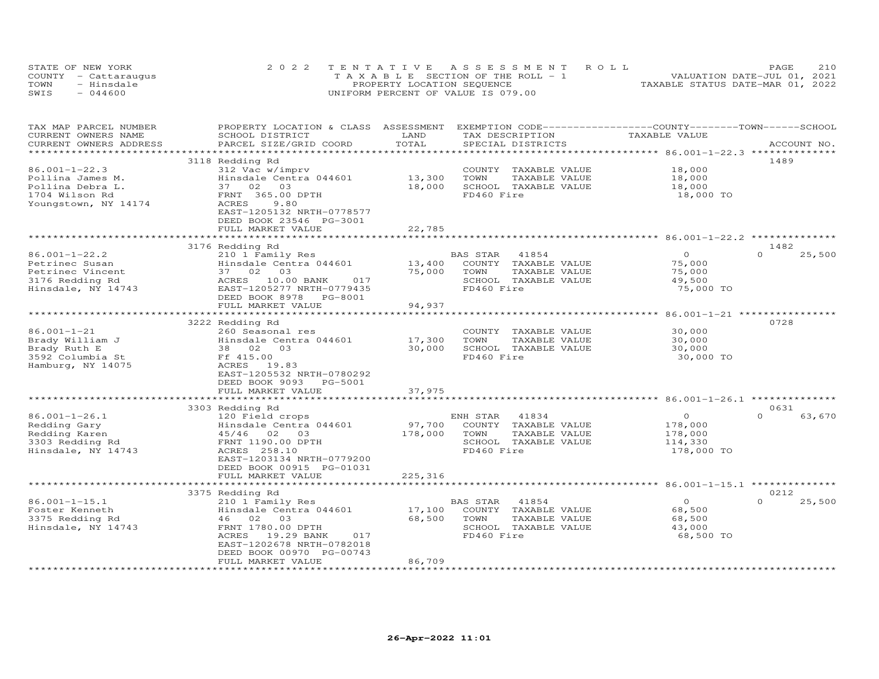|      | STATE OF NEW YORK    | 2022 TENTATIVE ASSESSMENT ROLL        | 210<br>PAGE                      |
|------|----------------------|---------------------------------------|----------------------------------|
|      | COUNTY - Cattaraugus | T A X A B L E SECTION OF THE ROLL - 1 | VALUATION DATE-JUL 01, 2021      |
| TOWN | - Hinsdale           | PROPERTY LOCATION SEQUENCE            | TAXABLE STATUS DATE-MAR 01, 2022 |
| SWIS | $-044600$            | UNIFORM PERCENT OF VALUE IS 079.00    |                                  |

| TAX MAP PARCEL NUMBER<br>CURRENT OWNERS NAME | PROPERTY LOCATION & CLASS ASSESSMENT<br>SCHOOL DISTRICT | LAND             | TAX DESCRIPTION         | EXEMPTION CODE-----------------COUNTY-------TOWN------SCHOOL<br>TAXABLE VALUE |                            |
|----------------------------------------------|---------------------------------------------------------|------------------|-------------------------|-------------------------------------------------------------------------------|----------------------------|
| CURRENT OWNERS ADDRESS                       | PARCEL SIZE/GRID COORD                                  | TOTAL            | SPECIAL DISTRICTS       |                                                                               | ACCOUNT NO.                |
| *************************                    |                                                         |                  |                         |                                                                               |                            |
|                                              | 3118 Redding Rd                                         |                  |                         |                                                                               | 1489                       |
| $86.001 - 1 - 22.3$                          | 312 Vac w/imprv                                         |                  | COUNTY<br>TAXABLE VALUE | 18,000                                                                        |                            |
| Pollina James M.                             | Hinsdale Centra 044601                                  | 13,300           | TOWN<br>TAXABLE VALUE   | 18,000                                                                        |                            |
| Pollina Debra L.                             | 37 02<br>03                                             | 18,000           | SCHOOL TAXABLE VALUE    | 18,000                                                                        |                            |
| 1704 Wilson Rd                               | FRNT 365.00 DPTH                                        |                  | FD460 Fire              | 18,000 TO                                                                     |                            |
| Youngstown, NY 14174                         | ACRES<br>9.80                                           |                  |                         |                                                                               |                            |
|                                              | EAST-1205132 NRTH-0778577                               |                  |                         |                                                                               |                            |
|                                              | DEED BOOK 23546 PG-3001                                 |                  |                         |                                                                               |                            |
|                                              | FULL MARKET VALUE                                       | 22,785           |                         |                                                                               |                            |
|                                              |                                                         | *******          |                         | *********** 86.001-1-22.2 **************                                      |                            |
|                                              | 3176 Redding Rd                                         |                  |                         |                                                                               | 1482                       |
| $86.001 - 1 - 22.2$                          | 210 1 Family Res                                        |                  | BAS STAR<br>41854       | $\circ$                                                                       | $\Omega$<br>25,500         |
| Petrinec Susan                               | Hinsdale Centra 044601                                  | 13,400           | COUNTY TAXABLE VALUE    | 75,000                                                                        |                            |
| Petrinec Vincent                             | 37 02<br>03                                             | 75,000           | TAXABLE VALUE<br>TOWN   | 75,000                                                                        |                            |
| 3176 Redding Rd                              | 10.00 BANK<br>017<br>ACRES                              |                  | SCHOOL TAXABLE VALUE    | 49,500                                                                        |                            |
| Hinsdale, NY 14743                           | EAST-1205277 NRTH-0779435                               |                  | FD460 Fire              | 75,000 TO                                                                     |                            |
|                                              | DEED BOOK 8978 PG-8001                                  |                  |                         |                                                                               |                            |
|                                              | FULL MARKET VALUE                                       | 94,937           |                         |                                                                               |                            |
|                                              |                                                         |                  |                         |                                                                               |                            |
|                                              | 3222 Redding Rd                                         |                  |                         |                                                                               | 0728                       |
| 86.001-1-21                                  | 260 Seasonal res                                        |                  | COUNTY TAXABLE VALUE    | 30,000                                                                        |                            |
| Brady William J                              | Hinsdale Centra 044601                                  | 17,300           | TOWN<br>TAXABLE VALUE   | 30,000                                                                        |                            |
| Brady Ruth E                                 | 38 02<br>03                                             | 30,000           | SCHOOL TAXABLE VALUE    | 30,000                                                                        |                            |
| 3592 Columbia St                             | Ff 415.00                                               |                  | FD460 Fire              | 30,000 TO                                                                     |                            |
| Hamburg, NY 14075                            | ACRES 19.83                                             |                  |                         |                                                                               |                            |
|                                              | EAST-1205532 NRTH-0780292                               |                  |                         |                                                                               |                            |
|                                              | DEED BOOK 9093<br>PG-5001                               |                  |                         |                                                                               |                            |
|                                              | FULL MARKET VALUE                                       | 37,975           |                         |                                                                               |                            |
|                                              |                                                         |                  |                         | ******************************* 86.001-1-26.1 *****                           |                            |
| $86.001 - 1 - 26.1$                          | 3303 Redding Rd<br>120 Field crops                      |                  | ENH STAR<br>41834       | $\circ$                                                                       | 0631<br>$\Omega$<br>63,670 |
| Redding Gary                                 | Hinsdale Centra 044601                                  | 97,700           | COUNTY TAXABLE VALUE    | 178,000                                                                       |                            |
| Redding Karen                                | $45/46$ 02<br>03                                        | 178,000          | TOWN<br>TAXABLE VALUE   | 178,000                                                                       |                            |
| 3303 Redding Rd                              | FRNT 1190.00 DPTH                                       |                  | SCHOOL TAXABLE VALUE    | 114,330                                                                       |                            |
| Hinsdale, NY 14743                           | ACRES 258.10                                            |                  | FD460 Fire              | 178,000 TO                                                                    |                            |
|                                              | EAST-1203134 NRTH-0779200                               |                  |                         |                                                                               |                            |
|                                              | DEED BOOK 00915 PG-01031                                |                  |                         |                                                                               |                            |
|                                              | FULL MARKET VALUE                                       | 225, 316         |                         |                                                                               |                            |
|                                              | ************************                                |                  |                         |                                                                               |                            |
|                                              | 3375 Redding Rd                                         |                  |                         |                                                                               | 0212                       |
| $86.001 - 1 - 15.1$                          | 210 1 Family Res                                        |                  | BAS STAR<br>41854       | $\circ$                                                                       | 25,500<br>$\Omega$         |
| Foster Kenneth                               | Hinsdale Centra 044601                                  | 17,100           | COUNTY TAXABLE VALUE    | 68,500                                                                        |                            |
| 3375 Redding Rd                              | 46 02<br>03                                             | 68,500           | TOWN<br>TAXABLE VALUE   | 68,500                                                                        |                            |
| Hinsdale, NY 14743                           | FRNT 1780.00 DPTH                                       |                  | SCHOOL TAXABLE VALUE    | 43,000                                                                        |                            |
|                                              | ACRES<br>19.29 BANK<br>017                              |                  | FD460 Fire              | 68,500 TO                                                                     |                            |
|                                              | EAST-1202678 NRTH-0782018                               |                  |                         |                                                                               |                            |
|                                              | DEED BOOK 00970 PG-00743                                |                  |                         |                                                                               |                            |
|                                              | FULL MARKET VALUE                                       | 86,709           |                         |                                                                               |                            |
|                                              | **********************                                  | **************** |                         |                                                                               |                            |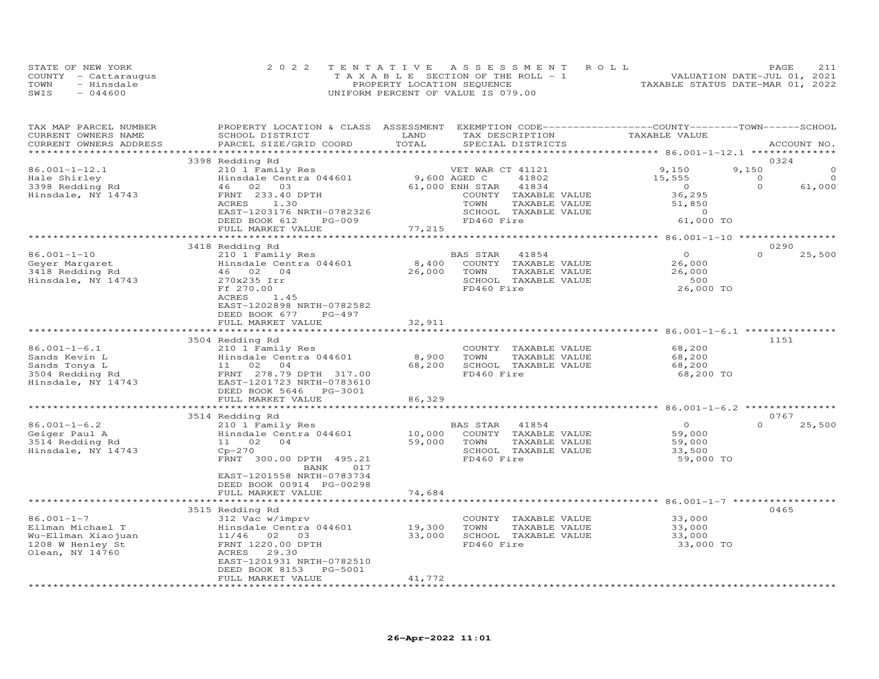|      | STATE OF NEW YORK    | 2022 TENTATIVE ASSESSMENT ROLL        | 211<br>PAGE                      |
|------|----------------------|---------------------------------------|----------------------------------|
|      | COUNTY - Cattaraugus | T A X A B L E SECTION OF THE ROLL - 1 | VALUATION DATE-JUL 01, 2021      |
| TOWN | - Hinsdale           | PROPERTY LOCATION SEQUENCE            | TAXABLE STATUS DATE-MAR 01, 2022 |
| SWIS | $-044600$            | UNIFORM PERCENT OF VALUE IS 079.00    |                                  |

| TAX MAP PARCEL NUMBER<br>CURRENT OWNERS NAME<br>CURRENT OWNERS ADDRESS | PROPERTY LOCATION & CLASS ASSESSMENT<br>SCHOOL DISTRICT<br>PARCEL SIZE/GRID COORD | LAND<br>TOTAL    | EXEMPTION CODE-----------------COUNTY-------TOWN------SCHOOL<br>TAX DESCRIPTION<br>SPECIAL DISTRICTS | TAXABLE VALUE       |          | ACCOUNT NO. |
|------------------------------------------------------------------------|-----------------------------------------------------------------------------------|------------------|------------------------------------------------------------------------------------------------------|---------------------|----------|-------------|
|                                                                        |                                                                                   |                  |                                                                                                      |                     |          |             |
|                                                                        | 3398 Redding Rd                                                                   |                  |                                                                                                      |                     |          | 0324        |
| $86.001 - 1 - 12.1$                                                    | 210 1 Family Res                                                                  |                  | VET WAR CT 41121                                                                                     | 9,150               | 9,150    |             |
| Hale Shirley                                                           | Hinsdale Centra 044601                                                            | 9,600 AGED C     | 41802                                                                                                | 15,555              | $\Omega$ | $\Omega$    |
| 3398 Redding Rd                                                        | 46 02 03                                                                          | 61,000 ENH STAR  | 41834                                                                                                |                     | $\Omega$ | 61,000      |
| Hinsdale, NY 14743                                                     | FRNT 233.40 DPTH                                                                  |                  | COUNTY TAXABLE VALUE                                                                                 | $\frac{0}{36}$      |          |             |
|                                                                        | ACRES<br>1.30                                                                     |                  | TOWN<br>TAXABLE VALUE                                                                                | 51,850              |          |             |
|                                                                        | EAST-1203176 NRTH-0782326                                                         |                  | SCHOOL TAXABLE VALUE                                                                                 | $\overline{a}$      |          |             |
|                                                                        | DEED BOOK 612<br>PG-009                                                           |                  | FD460 Fire                                                                                           | 61,000 TO           |          |             |
|                                                                        | FULL MARKET VALUE                                                                 | 77,215           |                                                                                                      |                     |          |             |
|                                                                        |                                                                                   |                  |                                                                                                      |                     |          |             |
|                                                                        | 3418 Redding Rd                                                                   |                  |                                                                                                      |                     |          | 0290        |
| $86.001 - 1 - 10$                                                      | 210 1 Family Res                                                                  |                  | BAS STAR<br>41854                                                                                    | $\Omega$            | $\Omega$ | 25,500      |
| Geyer Margaret                                                         | Hinsdale Centra 044601<br>46    02    04                                          | 8,400            | COUNTY TAXABLE VALUE                                                                                 | 26,000              |          |             |
| 3418 Redding Rd                                                        | 46 02 04                                                                          | 26,000           | TOWN<br>TAXABLE VALUE                                                                                | 26,000              |          |             |
| Hinsdale, NY 14743                                                     | 270x235 Irr                                                                       |                  | SCHOOL TAXABLE VALUE                                                                                 | 500                 |          |             |
|                                                                        | Ff 270.00                                                                         |                  | FD460 Fire                                                                                           | 26,000 TO           |          |             |
|                                                                        | ACRES<br>1.45                                                                     |                  |                                                                                                      |                     |          |             |
|                                                                        | EAST-1202898 NRTH-0782582                                                         |                  |                                                                                                      |                     |          |             |
|                                                                        | DEED BOOK 677<br>PG-497                                                           |                  |                                                                                                      |                     |          |             |
|                                                                        | FULL MARKET VALUE                                                                 | 32,911           |                                                                                                      |                     |          |             |
|                                                                        |                                                                                   | ***********      |                                                                                                      |                     |          |             |
|                                                                        | 3504 Redding Rd                                                                   |                  |                                                                                                      |                     |          | 1151        |
| $86.001 - 1 - 6.1$                                                     | 210 1 Family Res                                                                  |                  | COUNTY TAXABLE VALUE                                                                                 | 68,200              |          |             |
| Sands Kevin L                                                          | Hinsdale Centra 044601                                                            | 8,900            | TOWN<br>TAXABLE VALUE                                                                                | 68,200              |          |             |
| Sands Tonya L                                                          | 11 02 04                                                                          | 68,200           | SCHOOL TAXABLE VALUE                                                                                 | 68,200              |          |             |
| 3504 Redding Rd<br>Hinsdale, NY 14743                                  | FRNT 278.79 DPTH 317.00                                                           |                  | FD460 Fire                                                                                           | 68,200 TO           |          |             |
|                                                                        | EAST-1201723 NRTH-0783610                                                         |                  |                                                                                                      |                     |          |             |
|                                                                        | DEED BOOK 5646 PG-3001                                                            |                  |                                                                                                      |                     |          |             |
|                                                                        | FULL MARKET VALUE                                                                 | 86,329           |                                                                                                      |                     |          |             |
|                                                                        |                                                                                   |                  |                                                                                                      |                     |          |             |
|                                                                        | 3514 Redding Rd                                                                   |                  |                                                                                                      | $\overline{0}$      | $\Omega$ | 0767        |
| $86.001 - 1 - 6.2$                                                     | 210 1 Family Res                                                                  |                  | BAS STAR<br>41854                                                                                    |                     |          | 25,500      |
| Geiger Paul A                                                          | Hinsdale Centra 044601                                                            | 10,000<br>59,000 | COUNTY TAXABLE VALUE<br>TOWN                                                                         | 59,000              |          |             |
| 3514 Redding Rd                                                        | 11 02 04                                                                          |                  | TAXABLE VALUE                                                                                        | 59,000              |          |             |
| Hinsdale, NY 14743                                                     | $Cp-270$<br>FRNT 300.00 DPTH 495.21                                               |                  | SCHOOL TAXABLE VALUE<br>FD460 Fire                                                                   | 33,500<br>59,000 TO |          |             |
|                                                                        | 017<br>BANK                                                                       |                  |                                                                                                      |                     |          |             |
|                                                                        | EAST-1201558 NRTH-0783734                                                         |                  |                                                                                                      |                     |          |             |
|                                                                        | DEED BOOK 00914 PG-00298                                                          |                  |                                                                                                      |                     |          |             |
|                                                                        | FULL MARKET VALUE                                                                 | 74,684           |                                                                                                      |                     |          |             |
|                                                                        | ********************************                                                  |                  |                                                                                                      |                     |          |             |
|                                                                        | 3515 Redding Rd                                                                   |                  |                                                                                                      |                     |          | 0465        |
| $86.001 - 1 - 7$                                                       | 312 Vac w/imprv                                                                   |                  | COUNTY TAXABLE VALUE                                                                                 | 33,000              |          |             |
| Ellman Michael T                                                       | Hinsdale Centra 044601                                                            | 19,300           | TOWN<br>TAXABLE VALUE                                                                                | 33,000              |          |             |
| Wu-Ellman Xiaojuan                                                     | 11/46 02 03                                                                       | 33,000           | SCHOOL TAXABLE VALUE                                                                                 | 33,000              |          |             |
| 1208 W Henley St                                                       | FRNT 1220.00 DPTH                                                                 |                  | FD460 Fire                                                                                           | 33,000 TO           |          |             |
| Olean, NY 14760                                                        | 29.30<br>ACRES                                                                    |                  |                                                                                                      |                     |          |             |
|                                                                        | EAST-1201931 NRTH-0782510                                                         |                  |                                                                                                      |                     |          |             |
|                                                                        | DEED BOOK 8153<br>PG-5001                                                         |                  |                                                                                                      |                     |          |             |
|                                                                        | FULL MARKET VALUE                                                                 | 41,772           |                                                                                                      |                     |          |             |
|                                                                        |                                                                                   |                  |                                                                                                      |                     |          |             |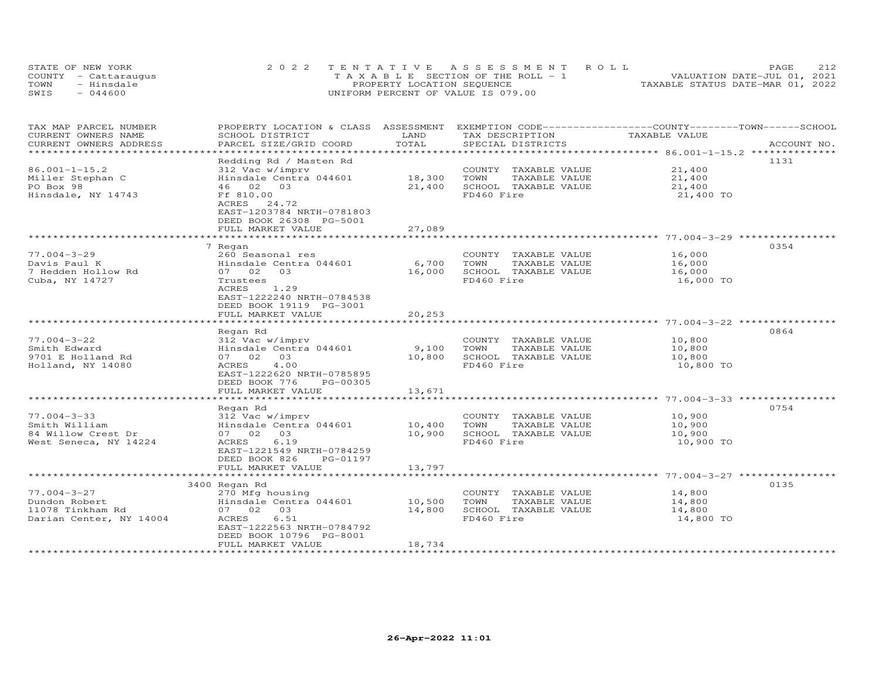| STATE OF NEW YORK    | 2022 TENTATIVE ASSESSMENT ROLL        | 2.12<br><b>PAGE</b>              |
|----------------------|---------------------------------------|----------------------------------|
| COUNTY - Cattaraugus | T A X A B L E SECTION OF THE ROLL - 1 | VALUATION DATE-JUL 01, 2021      |
| TOWN<br>- Hinsdale   | PROPERTY LOCATION SEQUENCE            | TAXABLE STATUS DATE-MAR 01, 2022 |
| $-044600$<br>SWIS    | UNIFORM PERCENT OF VALUE IS 079.00    |                                  |

| TAX MAP PARCEL NUMBER<br>CURRENT OWNERS NAME    | PROPERTY LOCATION & CLASS ASSESSMENT<br>SCHOOL DISTRICT | LAND                                   | EXEMPTION CODE-----------------COUNTY-------TOWN------SCHOOL<br>TAX DESCRIPTION | TAXABLE VALUE                                                 |             |
|-------------------------------------------------|---------------------------------------------------------|----------------------------------------|---------------------------------------------------------------------------------|---------------------------------------------------------------|-------------|
| CURRENT OWNERS ADDRESS<br>********************* | PARCEL SIZE/GRID COORD                                  | TOTAL<br>* * * * * * * * * * * * * * * | SPECIAL DISTRICTS                                                               |                                                               | ACCOUNT NO. |
|                                                 |                                                         |                                        |                                                                                 |                                                               |             |
| $86.001 - 1 - 15.2$                             | Redding Rd / Masten Rd<br>312 Vac w/imprv               |                                        | COUNTY TAXABLE VALUE                                                            | 21,400                                                        | 1131        |
| Miller Stephan C                                | Hinsdale Centra 044601                                  | 18,300                                 | TOWN<br>TAXABLE VALUE                                                           | 21,400                                                        |             |
| PO Box 98                                       | 46 02 03                                                | 21,400                                 | SCHOOL TAXABLE VALUE                                                            | 21,400                                                        |             |
| Hinsdale, NY 14743                              | Ff 810.00                                               |                                        | FD460 Fire                                                                      | 21,400 TO                                                     |             |
|                                                 | ACRES<br>24.72                                          |                                        |                                                                                 |                                                               |             |
|                                                 | EAST-1203784 NRTH-0781803                               |                                        |                                                                                 |                                                               |             |
|                                                 | DEED BOOK 26308 PG-5001                                 |                                        |                                                                                 |                                                               |             |
|                                                 | FULL MARKET VALUE                                       | 27,089                                 |                                                                                 |                                                               |             |
|                                                 |                                                         |                                        |                                                                                 |                                                               |             |
|                                                 | 7 Regan                                                 |                                        |                                                                                 |                                                               | 0354        |
| $77.004 - 3 - 29$                               | 260 Seasonal res                                        |                                        | COUNTY TAXABLE VALUE                                                            | 16,000                                                        |             |
| Davis Paul K                                    | Hinsdale Centra 044601                                  | 6,700                                  | TAXABLE VALUE<br>TOWN                                                           | 16,000                                                        |             |
| 7 Hedden Hollow Rd                              | 07 02<br>03                                             | 16,000                                 | SCHOOL TAXABLE VALUE                                                            | 16,000                                                        |             |
| Cuba, NY 14727                                  | Trustees                                                |                                        | FD460 Fire                                                                      | 16,000 TO                                                     |             |
|                                                 | ACRES<br>1.29                                           |                                        |                                                                                 |                                                               |             |
|                                                 | EAST-1222240 NRTH-0784538                               |                                        |                                                                                 |                                                               |             |
|                                                 | DEED BOOK 19119 PG-3001                                 |                                        |                                                                                 |                                                               |             |
|                                                 | FULL MARKET VALUE                                       | 20,253                                 |                                                                                 |                                                               |             |
|                                                 |                                                         |                                        |                                                                                 |                                                               | 0864        |
| $77.004 - 3 - 22$                               | Regan Rd                                                |                                        |                                                                                 |                                                               |             |
| Smith Edward                                    | 312 Vac w/imprv<br>Hinsdale Centra 044601               | 9,100                                  | COUNTY TAXABLE VALUE<br>TOWN<br>TAXABLE VALUE                                   | 10,800<br>10,800                                              |             |
| 9701 E Holland Rd                               | 07 02<br>03                                             | 10,800                                 | SCHOOL TAXABLE VALUE                                                            | 10,800                                                        |             |
| Holland, NY 14080                               | ACRES<br>4.00                                           |                                        | FD460 Fire                                                                      | 10,800 TO                                                     |             |
|                                                 | EAST-1222620 NRTH-0785895                               |                                        |                                                                                 |                                                               |             |
|                                                 | DEED BOOK 776<br>PG-00305                               |                                        |                                                                                 |                                                               |             |
|                                                 | FULL MARKET VALUE                                       | 13,671                                 |                                                                                 |                                                               |             |
|                                                 | ********************                                    | **************                         |                                                                                 |                                                               |             |
|                                                 | Regan Rd                                                |                                        |                                                                                 |                                                               | 0754        |
| $77.004 - 3 - 33$                               | 312 Vac w/imprv                                         |                                        | COUNTY TAXABLE VALUE                                                            | 10,900                                                        |             |
| Smith William                                   | Hinsdale Centra 044601                                  | 10,400                                 | TAXABLE VALUE<br>TOWN                                                           | 10,900                                                        |             |
| 84 Willow Crest Dr                              | 07 02<br>03                                             | 10,900                                 | SCHOOL TAXABLE VALUE                                                            | 10,900                                                        |             |
| West Seneca, NY 14224                           | ACRES<br>6.19                                           |                                        | FD460 Fire                                                                      | 10,900 TO                                                     |             |
|                                                 | EAST-1221549 NRTH-0784259                               |                                        |                                                                                 |                                                               |             |
|                                                 | DEED BOOK 826<br>PG-01197                               |                                        |                                                                                 |                                                               |             |
|                                                 | FULL MARKET VALUE                                       | 13,797                                 |                                                                                 |                                                               |             |
|                                                 | ***************************                             | *************                          |                                                                                 | ******************************** 77.004-3-27 **************** |             |
|                                                 | 3400 Regan Rd                                           |                                        |                                                                                 |                                                               | 0135        |
| $77.004 - 3 - 27$                               | 270 Mfg housing                                         |                                        | COUNTY TAXABLE VALUE                                                            | 14,800                                                        |             |
| Dundon Robert                                   | Hinsdale Centra 044601                                  | 10,500                                 | TOWN<br>TAXABLE VALUE                                                           | 14,800                                                        |             |
| 11078 Tinkham Rd                                | 07 02<br>03                                             | 14,800                                 | SCHOOL TAXABLE VALUE                                                            | 14,800                                                        |             |
| Darian Center, NY 14004                         | 6.51<br>ACRES                                           |                                        | FD460 Fire                                                                      | 14,800 TO                                                     |             |
|                                                 | EAST-1222563 NRTH-0784792                               |                                        |                                                                                 |                                                               |             |
|                                                 | DEED BOOK 10796 PG-8001<br>FULL MARKET VALUE            |                                        |                                                                                 |                                                               |             |
|                                                 |                                                         | 18,734                                 |                                                                                 |                                                               |             |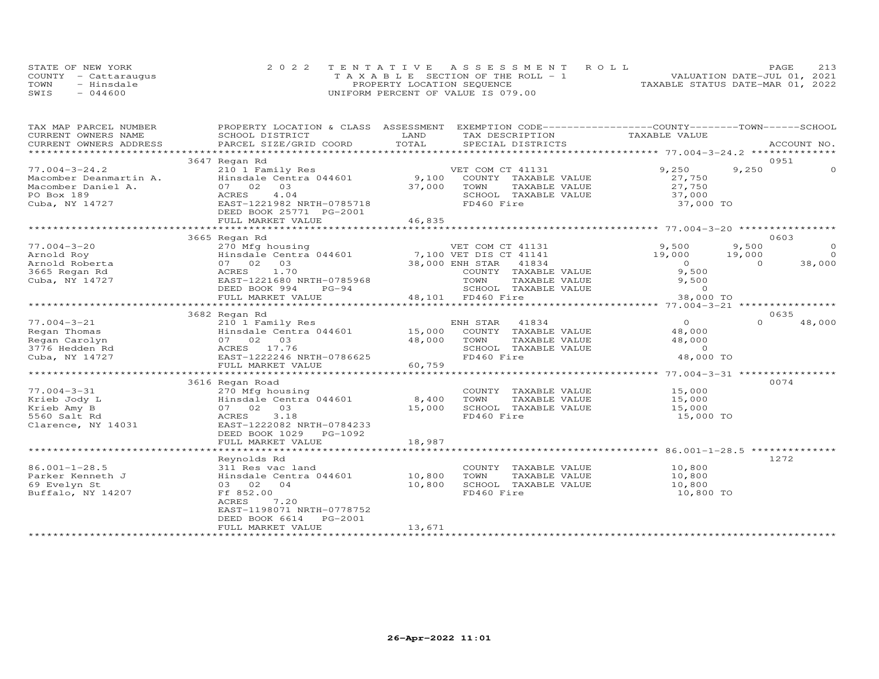|      | STATE OF NEW YORK    | 2022 TENTATIVE ASSESSMENT ROLL        | 213<br>PAGE.                     |
|------|----------------------|---------------------------------------|----------------------------------|
|      | COUNTY - Cattaraugus | T A X A B L E SECTION OF THE ROLL - 1 | VALUATION DATE-JUL 01, 2021      |
| TOWN | - Hinsdale           | PROPERTY LOCATION SEQUENCE            | TAXABLE STATUS DATE-MAR 01, 2022 |
| SWIS | $-044600$            | UNIFORM PERCENT OF VALUE IS 079.00    |                                  |

| TAX MAP PARCEL NUMBER                                                                                                                                                            | PROPERTY LOCATION & CLASS ASSESSMENT EXEMPTION CODE----------------COUNTY-------TOWN-----SCHOOL |        |                                                               |                                                       |        |                |
|----------------------------------------------------------------------------------------------------------------------------------------------------------------------------------|-------------------------------------------------------------------------------------------------|--------|---------------------------------------------------------------|-------------------------------------------------------|--------|----------------|
| CURRENT OWNERS NAME                                                                                                                                                              | SCHOOL DISTRICT                                                                                 | LAND   | TAX DESCRIPTION TAXABLE VALUE                                 |                                                       |        |                |
|                                                                                                                                                                                  |                                                                                                 |        |                                                               |                                                       |        |                |
|                                                                                                                                                                                  |                                                                                                 |        |                                                               |                                                       |        |                |
|                                                                                                                                                                                  | 3647 Regan Rd                                                                                   |        |                                                               |                                                       |        | 0951           |
|                                                                                                                                                                                  |                                                                                                 |        |                                                               |                                                       | 9,250  |                |
|                                                                                                                                                                                  |                                                                                                 |        |                                                               |                                                       |        |                |
|                                                                                                                                                                                  |                                                                                                 |        |                                                               |                                                       |        |                |
|                                                                                                                                                                                  |                                                                                                 |        | SCHOOL TAXABLE VALUE                                          |                                                       |        |                |
| 77.004-3-24.2<br>Macomber Deanmartin A.<br>Macomber Daniel A.<br>Macomber Daniel A.<br>PO Box 189<br>Cuba, NY 14727<br>Cuba, NY 14727<br>PO Box 189<br>RAST-1221982 NRTH-0785718 |                                                                                                 |        | FD460 Fire                                                    | 37,000<br>37,000 TO                                   |        |                |
|                                                                                                                                                                                  | DEED BOOK 25771 PG-2001                                                                         |        |                                                               |                                                       |        |                |
|                                                                                                                                                                                  | FULL MARKET VALUE                                                                               | 46,835 |                                                               |                                                       |        |                |
|                                                                                                                                                                                  |                                                                                                 |        |                                                               |                                                       |        |                |
|                                                                                                                                                                                  | 3665 Regan Rd                                                                                   |        |                                                               |                                                       |        | 0603           |
|                                                                                                                                                                                  |                                                                                                 |        |                                                               | 9,500 9,500<br>19,000 19,000<br>0<br>9,500 0<br>5.500 |        | $\circ$        |
|                                                                                                                                                                                  |                                                                                                 |        |                                                               |                                                       |        | $\overline{O}$ |
|                                                                                                                                                                                  |                                                                                                 |        |                                                               |                                                       |        | 38,000         |
|                                                                                                                                                                                  |                                                                                                 |        |                                                               |                                                       |        |                |
|                                                                                                                                                                                  |                                                                                                 |        | TAXABLE VALUE                                                 | 9,500                                                 |        |                |
|                                                                                                                                                                                  | DEED BOOK 994<br>$PG-94$                                                                        |        |                                                               | $\overline{a}$                                        |        |                |
|                                                                                                                                                                                  | FULL MARKET VALUE                                                                               |        | -0<br>SCHOOL TAXABLE VALUE<br>FD460 Fire<br>48,101 FD460 Fire | 38,000 TO                                             |        |                |
|                                                                                                                                                                                  |                                                                                                 |        |                                                               |                                                       |        |                |
|                                                                                                                                                                                  |                                                                                                 |        |                                                               |                                                       |        | 0635           |
| 77.004-3-21                                                                                                                                                                      |                                                                                                 |        |                                                               | $\overline{O}$                                        | $\cap$ | 48,000         |
| Regan Thomas                                                                                                                                                                     |                                                                                                 |        |                                                               | 48,000                                                |        |                |
| Regan Carolyn                                                                                                                                                                    | -- negan Rd<br>210 1 Family<br>Hinsdale Cent<br>07 02 03<br>ACRES 17.76<br>EAST-12222246        | 48,000 | TAXABLE VALUE<br>TOWN                                         |                                                       |        |                |
| 3776 Hedden Rd                                                                                                                                                                   |                                                                                                 |        | SCHOOL TAXABLE VALUE                                          | 40, 0                                                 |        |                |
| Cuba, NY 14727                                                                                                                                                                   | EAST-1222246 NRTH-0786625                                                                       |        | FD460 Fire                                                    | 48,000 TO                                             |        |                |
|                                                                                                                                                                                  | FULL MARKET VALUE                                                                               | 60,759 |                                                               |                                                       |        |                |
|                                                                                                                                                                                  |                                                                                                 |        |                                                               |                                                       |        |                |
|                                                                                                                                                                                  | 3616 Regan Road                                                                                 |        |                                                               |                                                       |        | 0074           |
| $77.004 - 3 - 31$                                                                                                                                                                |                                                                                                 |        | COUNTY TAXABLE VALUE 15,000                                   |                                                       |        |                |
| Krieb Jody L                                                                                                                                                                     |                                                                                                 |        | TOWN<br>TAXABLE VALUE                                         | 15,000                                                |        |                |
| Krieb Amy B                                                                                                                                                                      | 07 02 03                                                                                        | 15,000 | SCHOOL TAXABLE VALUE                                          | 15,000                                                |        |                |
| 5560 Salt Rd                                                                                                                                                                     | 3.18<br>ACRES                                                                                   |        | FD460 Fire                                                    | 15,000 TO                                             |        |                |
|                                                                                                                                                                                  |                                                                                                 |        |                                                               |                                                       |        |                |
|                                                                                                                                                                                  | DEED BOOK 1029    PG-1092                                                                       |        |                                                               |                                                       |        |                |
|                                                                                                                                                                                  | FULL MARKET VALUE                                                                               | 18,987 |                                                               |                                                       |        |                |
|                                                                                                                                                                                  |                                                                                                 |        |                                                               |                                                       |        |                |
|                                                                                                                                                                                  | Reynolds Rd                                                                                     |        |                                                               |                                                       | 1272   |                |
| $86.001 - 1 - 28.5$                                                                                                                                                              |                                                                                                 |        | COUNTY TAXABLE VALUE                                          | 10,800                                                |        |                |
| Parker Kenneth J                                                                                                                                                                 | $311$ Res vac land<br>Hinsdale Centra 044601 10,800                                             |        | TOWN<br>TAXABLE VALUE                                         | 10,800                                                |        |                |
| 69 Evelyn St                                                                                                                                                                     | 03 02 04                                                                                        | 10,800 | SCHOOL TAXABLE VALUE                                          | 10,800                                                |        |                |
| Buffalo, NY 14207                                                                                                                                                                | Ff 852.00                                                                                       |        | FD460 Fire                                                    | 10,800 TO                                             |        |                |
|                                                                                                                                                                                  | ACRES<br>7.20                                                                                   |        |                                                               |                                                       |        |                |
|                                                                                                                                                                                  | EAST-1198071 NRTH-0778752                                                                       |        |                                                               |                                                       |        |                |
|                                                                                                                                                                                  | DEED BOOK 6614<br>PG-2001                                                                       |        |                                                               |                                                       |        |                |
|                                                                                                                                                                                  | FULL MARKET VALUE                                                                               | 13,671 |                                                               |                                                       |        |                |
|                                                                                                                                                                                  |                                                                                                 |        |                                                               |                                                       |        |                |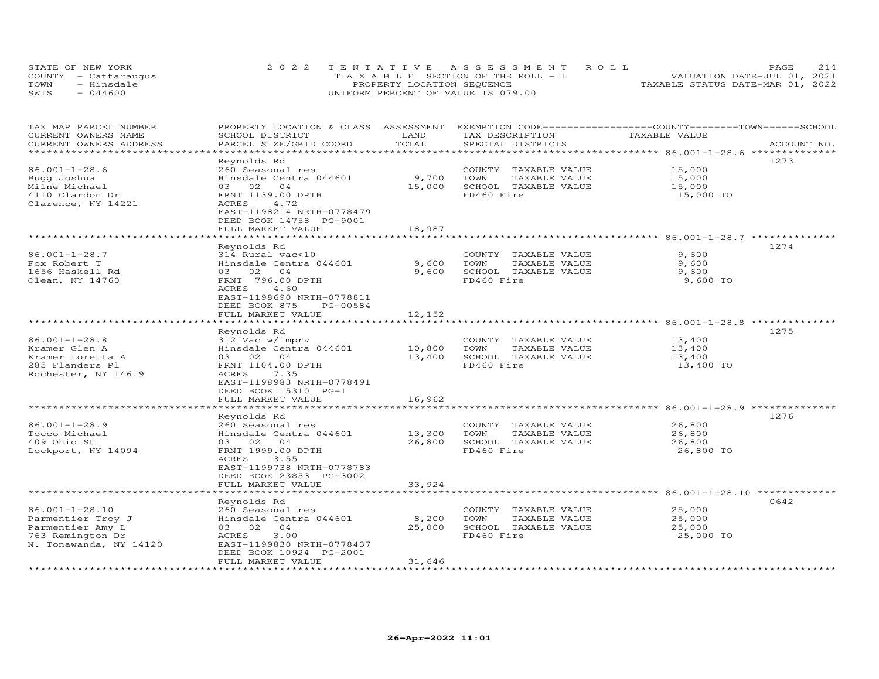| STATE OF NEW YORK    | 2022 TENTATIVE ASSESSMENT ROLL        | 214<br>PAGE                      |
|----------------------|---------------------------------------|----------------------------------|
| COUNTY - Cattaraugus | T A X A B L E SECTION OF THE ROLL - 1 | VALUATION DATE-JUL 01, 2021      |
| TOWN<br>- Hinsdale   | PROPERTY LOCATION SEQUENCE            | TAXABLE STATUS DATE-MAR 01, 2022 |
| SWIS<br>$-044600$    | UNIFORM PERCENT OF VALUE IS 079.00    |                                  |

| TAX MAP PARCEL NUMBER<br>CURRENT OWNERS NAME<br>CURRENT OWNERS ADDRESS | PROPERTY LOCATION & CLASS ASSESSMENT<br>SCHOOL DISTRICT<br>PARCEL SIZE/GRID COORD | LAND<br>TOTAL | EXEMPTION CODE-----------------COUNTY-------TOWN------SCHOOL<br>TAX DESCRIPTION<br>SPECIAL DISTRICTS | TAXABLE VALUE                                          | ACCOUNT NO. |
|------------------------------------------------------------------------|-----------------------------------------------------------------------------------|---------------|------------------------------------------------------------------------------------------------------|--------------------------------------------------------|-------------|
|                                                                        |                                                                                   | **********    |                                                                                                      | ************ 86.001-1-28.6 **************              |             |
| $86.001 - 1 - 28.6$                                                    | Reynolds Rd<br>260 Seasonal res                                                   |               | COUNTY TAXABLE VALUE                                                                                 | 15,000                                                 | 1273        |
| Bugg Joshua                                                            | Hinsdale Centra 044601                                                            | 9,700         | TOWN<br>TAXABLE VALUE                                                                                | 15,000                                                 |             |
| Milne Michael                                                          | 03 02<br>04                                                                       | 15,000        | SCHOOL TAXABLE VALUE                                                                                 | 15,000                                                 |             |
| 4110 Clardon Dr                                                        | FRNT 1139.00 DPTH                                                                 |               | FD460 Fire                                                                                           | 15,000 TO                                              |             |
| Clarence, NY 14221                                                     | ACRES<br>4.72                                                                     |               |                                                                                                      |                                                        |             |
|                                                                        | EAST-1198214 NRTH-0778479                                                         |               |                                                                                                      |                                                        |             |
|                                                                        | DEED BOOK 14758 PG-9001                                                           |               |                                                                                                      |                                                        |             |
|                                                                        | FULL MARKET VALUE                                                                 | 18,987        |                                                                                                      |                                                        |             |
|                                                                        |                                                                                   |               |                                                                                                      | ******* 86.001-1-28.7 ********                         |             |
|                                                                        | Reynolds Rd                                                                       |               |                                                                                                      |                                                        | 1274        |
| $86.001 - 1 - 28.7$                                                    | 314 Rural vac<10                                                                  |               | COUNTY TAXABLE VALUE                                                                                 | 9,600                                                  |             |
| Fox Robert T                                                           | Hinsdale Centra 044601                                                            | 9,600         | TOWN<br>TAXABLE VALUE                                                                                | 9,600                                                  |             |
| 1656 Haskell Rd                                                        | 03 02<br>0 <sub>4</sub>                                                           | 9,600         | SCHOOL TAXABLE VALUE                                                                                 | 9,600                                                  |             |
| Olean, NY 14760                                                        | FRNT 796.00 DPTH                                                                  |               | FD460 Fire                                                                                           | 9,600 TO                                               |             |
|                                                                        | <b>ACRES</b><br>4.60                                                              |               |                                                                                                      |                                                        |             |
|                                                                        | EAST-1198690 NRTH-0778811                                                         |               |                                                                                                      |                                                        |             |
|                                                                        | DEED BOOK 875<br>PG-00584                                                         |               |                                                                                                      |                                                        |             |
|                                                                        | FULL MARKET VALUE                                                                 | 12,152        |                                                                                                      |                                                        |             |
|                                                                        |                                                                                   | *********     |                                                                                                      | ******************** 86.001-1-28.8 ***********         |             |
|                                                                        | Reynolds Rd                                                                       |               |                                                                                                      |                                                        | 1275        |
| $86.001 - 1 - 28.8$                                                    | 312 Vac w/imprv                                                                   |               | COUNTY TAXABLE VALUE                                                                                 | 13,400                                                 |             |
| Kramer Glen A                                                          | Hinsdale Centra 044601                                                            | 10,800        | TOWN<br>TAXABLE VALUE                                                                                | 13,400                                                 |             |
| Kramer Loretta A                                                       | 03 02<br>04                                                                       | 13,400        | SCHOOL TAXABLE VALUE                                                                                 | 13,400                                                 |             |
| 285 Flanders Pl                                                        | FRNT 1104.00 DPTH                                                                 |               | FD460 Fire                                                                                           | 13,400 TO                                              |             |
| Rochester, NY 14619                                                    | ACRES<br>7.35                                                                     |               |                                                                                                      |                                                        |             |
|                                                                        | EAST-1198983 NRTH-0778491                                                         |               |                                                                                                      |                                                        |             |
|                                                                        | DEED BOOK 15310 PG-1                                                              |               |                                                                                                      |                                                        |             |
|                                                                        | FULL MARKET VALUE                                                                 | 16,962        |                                                                                                      |                                                        |             |
|                                                                        |                                                                                   |               |                                                                                                      | **** 86.001-1-28.9 ***                                 |             |
|                                                                        | Reynolds Rd                                                                       |               |                                                                                                      |                                                        | 1276        |
| $86.001 - 1 - 28.9$                                                    | 260 Seasonal res                                                                  |               | COUNTY TAXABLE VALUE                                                                                 | 26,800                                                 |             |
| Tocco Michael                                                          | Hinsdale Centra 044601                                                            | 13,300        | TOWN<br>TAXABLE VALUE                                                                                | 26,800                                                 |             |
| 409 Ohio St                                                            | 03 02<br>0 <sub>4</sub>                                                           | 26,800        | SCHOOL TAXABLE VALUE                                                                                 | 26,800                                                 |             |
| Lockport, NY 14094                                                     | FRNT 1999.00 DPTH                                                                 |               | FD460 Fire                                                                                           | 26,800 TO                                              |             |
|                                                                        | ACRES 13.55                                                                       |               |                                                                                                      |                                                        |             |
|                                                                        | EAST-1199738 NRTH-0778783                                                         |               |                                                                                                      |                                                        |             |
|                                                                        | DEED BOOK 23853 PG-3002<br>FULL MARKET VALUE                                      |               |                                                                                                      |                                                        |             |
|                                                                        |                                                                                   | 33,924        |                                                                                                      | ************************************ 86.001-1-28.10 ** |             |
|                                                                        | Reynolds Rd                                                                       |               |                                                                                                      |                                                        | 0642        |
| 86.001-1-28.10                                                         | 260 Seasonal res                                                                  |               | COUNTY TAXABLE VALUE                                                                                 | 25,000                                                 |             |
| Parmentier Troy J                                                      | Hinsdale Centra 044601                                                            | 8,200         | TOWN<br>TAXABLE VALUE                                                                                | 25,000                                                 |             |
| Parmentier Amy L                                                       | 0 <sub>4</sub><br>03 02                                                           | 25,000        | SCHOOL TAXABLE VALUE                                                                                 | 25,000                                                 |             |
| 763 Remington Dr                                                       | 3.00<br>ACRES                                                                     |               | FD460 Fire                                                                                           | 25,000 TO                                              |             |
| N. Tonawanda, NY 14120                                                 | EAST-1199830 NRTH-0778437                                                         |               |                                                                                                      |                                                        |             |
|                                                                        | DEED BOOK 10924 PG-2001                                                           |               |                                                                                                      |                                                        |             |
|                                                                        | FULL MARKET VALUE                                                                 | 31,646        |                                                                                                      |                                                        |             |
|                                                                        |                                                                                   | ************* |                                                                                                      |                                                        |             |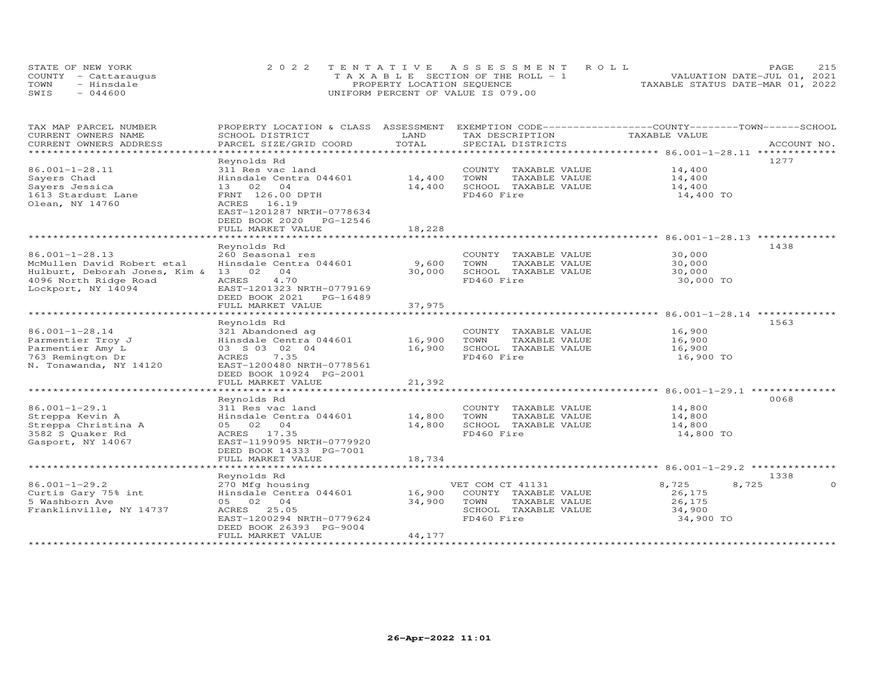| STATE OF NEW YORK    | 2022 TENTATIVE ASSESSMENT ROLL        | 215<br>PAGE.                     |
|----------------------|---------------------------------------|----------------------------------|
| COUNTY - Cattaraugus | T A X A B L E SECTION OF THE ROLL - 1 | VALUATION DATE-JUL 01, 2021      |
| TOWN<br>- Hinsdale   | PROPERTY LOCATION SEQUENCE            | TAXABLE STATUS DATE-MAR 01, 2022 |
| SWIS<br>$-044600$    | UNIFORM PERCENT OF VALUE IS 079.00    |                                  |

| TAX MAP PARCEL NUMBER<br>CURRENT OWNERS NAME | PROPERTY LOCATION & CLASS ASSESSMENT EXEMPTION CODE----------------COUNTY-------TOWN------SCHOOL<br>SCHOOL DISTRICT | LAND   | TAX DESCRIPTION             | TAXABLE VALUE  |             |
|----------------------------------------------|---------------------------------------------------------------------------------------------------------------------|--------|-----------------------------|----------------|-------------|
| CURRENT OWNERS ADDRESS                       | PARCEL SIZE/GRID COORD                                                                                              | TOTAL  | SPECIAL DISTRICTS           |                | ACCOUNT NO. |
| *********************                        |                                                                                                                     |        |                             |                |             |
|                                              | Reynolds Rd                                                                                                         |        |                             |                | 1277        |
| 86.001-1-28.11                               | 311 Res vac land                                                                                                    |        | COUNTY TAXABLE VALUE        | 14,400         |             |
| Sayers Chad                                  | Hinsdale Centra 044601                                                                                              | 14,400 | TOWN<br>TAXABLE VALUE       | 14,400         |             |
| Sayers Jessica                               | 13 02 04                                                                                                            | 14,400 | SCHOOL TAXABLE VALUE        | 14,400         |             |
| 1613 Stardust Lane                           | FRNT 126.00 DPTH                                                                                                    |        | FD460 Fire                  | 14,400 TO      |             |
| Olean, NY 14760                              | ACRES 16.19                                                                                                         |        |                             |                |             |
|                                              | EAST-1201287 NRTH-0778634                                                                                           |        |                             |                |             |
|                                              | DEED BOOK 2020 PG-12546                                                                                             |        |                             |                |             |
|                                              | FULL MARKET VALUE                                                                                                   | 18,228 |                             |                |             |
|                                              |                                                                                                                     |        |                             |                |             |
|                                              |                                                                                                                     |        |                             |                |             |
|                                              | Reynolds Rd                                                                                                         |        |                             |                | 1438        |
| $86.001 - 1 - 28.13$                         | 260 Seasonal res                                                                                                    |        | COUNTY TAXABLE VALUE        | 30,000         |             |
| McMullen David Robert etal                   | Hinsdale Centra 044601                                                                                              | 9,600  | TOWN<br>TAXABLE VALUE       | 30,000         |             |
| Hulburt, Deborah Jones, Kim & 13 02 04       |                                                                                                                     | 30,000 | SCHOOL TAXABLE VALUE        | 30,000         |             |
| 4096 North Ridge Road                        | ACRES<br>4.70                                                                                                       |        | FD460 Fire                  | 30,000 TO      |             |
| Lockport, NY 14094                           | EAST-1201323 NRTH-0779169                                                                                           |        |                             |                |             |
|                                              | DEED BOOK 2021    PG-16489                                                                                          |        |                             |                |             |
|                                              | FULL MARKET VALUE                                                                                                   | 37,975 |                             |                |             |
|                                              |                                                                                                                     |        |                             |                |             |
|                                              | Reynolds Rd                                                                                                         |        |                             |                | 1563        |
| $86.001 - 1 - 28.14$                         | 321 Abandoned ag                                                                                                    |        | COUNTY TAXABLE VALUE        | 16,900         |             |
| Parmentier Troy J                            |                                                                                                                     |        | TOWN<br>TAXABLE VALUE       | 16,900         |             |
| Parmentier Amy L                             | Hinsdale Centra 044601 16,900<br>03 S 03 02 04 16,900<br>03 S 03 02 04                                              | 16,900 | SCHOOL TAXABLE VALUE        | 16,900         |             |
| 763 Remington Dr                             | 7.35<br>ACRES                                                                                                       |        | FD460 Fire                  | 16,900 TO      |             |
| N. Tonawanda, NY 14120                       | EAST-1200480 NRTH-0778561                                                                                           |        |                             |                |             |
|                                              | DEED BOOK 10924 PG-2001                                                                                             |        |                             |                |             |
|                                              | FULL MARKET VALUE                                                                                                   | 21,392 |                             |                |             |
|                                              |                                                                                                                     |        |                             |                |             |
|                                              |                                                                                                                     |        |                             |                | 0068        |
|                                              | Reynolds Rd                                                                                                         |        |                             |                |             |
| $86.001 - 1 - 29.1$                          | 311 Res vac land                                                                                                    |        | COUNTY TAXABLE VALUE 14,800 |                |             |
| Streppa Kevin A                              | Hinsdale Centra 044601 14,800                                                                                       |        | TOWN<br>TAXABLE VALUE       | 14,800         |             |
| Streppa Christina A                          | 05 02 04                                                                                                            | 14,800 | SCHOOL TAXABLE VALUE        | 14,800         |             |
| 3582 S Quaker Rd                             | ACRES 17.35                                                                                                         |        | FD460 Fire                  | 14,800 TO      |             |
| Gasport, NY 14067                            | EAST-1199095 NRTH-0779920                                                                                           |        |                             |                |             |
|                                              | DEED BOOK 14333 PG-7001                                                                                             |        |                             |                |             |
|                                              | FULL MARKET VALUE                                                                                                   | 18,734 |                             |                |             |
|                                              |                                                                                                                     |        |                             |                |             |
|                                              | Reynolds Rd                                                                                                         |        |                             |                | 1338        |
| $86.001 - 1 - 29.2$                          | 270 Mfg housing                                                                                                     |        | VET COM CT 41131            | 8,725<br>8,725 | $\Omega$    |
| Curtis Gary 75% int                          | Hinsdale Centra 044601 16,900                                                                                       |        | COUNTY TAXABLE VALUE        | 26,175         |             |
| 5 Washborn Ave                               | 05 02 04                                                                                                            | 34,900 | TAXABLE VALUE<br>TOWN       | 26,175         |             |
| Franklinville, NY 14737                      | ACRES 25.05                                                                                                         |        | SCHOOL TAXABLE VALUE        | 34,900         |             |
|                                              | EAST-1200294 NRTH-0779624                                                                                           |        | FD460 Fire                  | 34,900 TO      |             |
|                                              | DEED BOOK 26393 PG-9004                                                                                             |        |                             |                |             |
|                                              | FULL MARKET VALUE                                                                                                   | 44,177 |                             |                |             |
|                                              |                                                                                                                     |        |                             |                |             |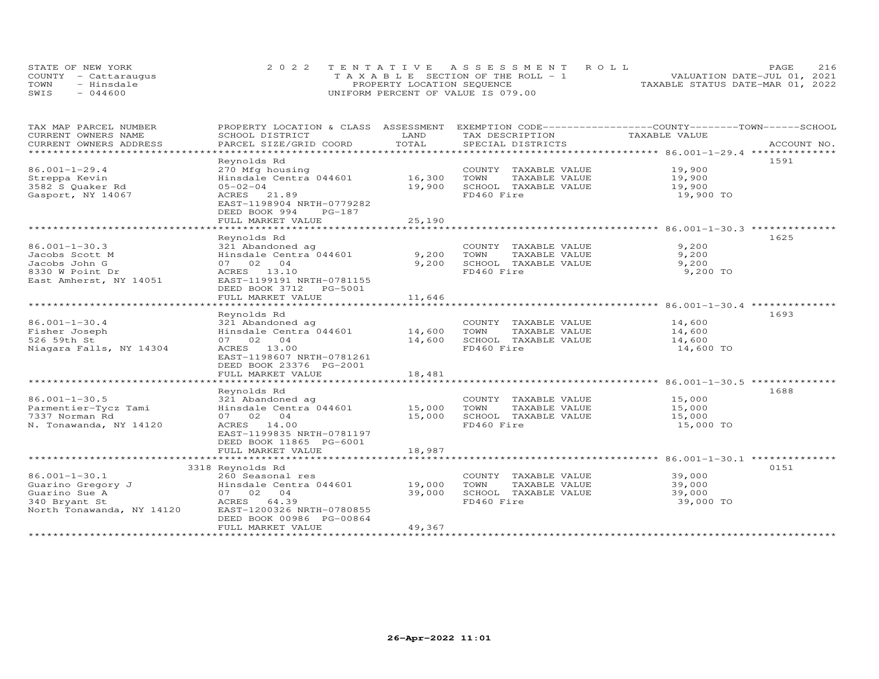|      | STATE OF NEW YORK    | 2022 TENTATIVE ASSESSMENT ROLL        |                                  | PAGE.                       | 2.16 |
|------|----------------------|---------------------------------------|----------------------------------|-----------------------------|------|
|      | COUNTY - Cattaraugus | T A X A B L E SECTION OF THE ROLL - 1 |                                  | VALUATION DATE-JUL 01, 2021 |      |
| TOWN | - Hinsdale           | PROPERTY LOCATION SEQUENCE            | TAXABLE STATUS DATE-MAR 01, 2022 |                             |      |
| SWIS | $-044600$            | UNIFORM PERCENT OF VALUE IS 079.00    |                                  |                             |      |

| TAX MAP PARCEL NUMBER                               | PROPERTY LOCATION & CLASS ASSESSMENT                                                                                                                                                                                             |               | EXEMPTION CODE-----------------COUNTY-------TOWN------SCHOOL |                                                                                  |      |
|-----------------------------------------------------|----------------------------------------------------------------------------------------------------------------------------------------------------------------------------------------------------------------------------------|---------------|--------------------------------------------------------------|----------------------------------------------------------------------------------|------|
| CURRENT OWNERS NAME                                 | SCHOOL DISTRICT                                                                                                                                                                                                                  | LAND          | TAX DESCRIPTION                                              | TAXABLE VALUE                                                                    |      |
| CURRENT OWNERS ADDRESS                              |                                                                                                                                                                                                                                  | TOTAL         |                                                              |                                                                                  |      |
| ******************************                      |                                                                                                                                                                                                                                  |               |                                                              |                                                                                  |      |
|                                                     | Reynolds Rd                                                                                                                                                                                                                      |               |                                                              |                                                                                  | 1591 |
| $86.001 - 1 - 29.4$                                 | 270 Mfg housing                                                                                                                                                                                                                  |               | COUNTY TAXABLE VALUE                                         | 19,900                                                                           |      |
| Streppa Kevin                                       | Hinsdale Centra 044601                                                                                                                                                                                                           | 16,300        | TOWN<br>TAXABLE VALUE                                        | 19,900                                                                           |      |
| 3582 S Quaker Rd                                    | $05 - 02 - 04$                                                                                                                                                                                                                   | 19,900        | SCHOOL TAXABLE VALUE                                         | 19,900                                                                           |      |
| Gasport, NY 14067                                   | ACRES 21.89                                                                                                                                                                                                                      |               | FD460 Fire                                                   | 19,900 TO                                                                        |      |
|                                                     | EAST-1198904 NRTH-0779282                                                                                                                                                                                                        |               |                                                              |                                                                                  |      |
|                                                     | DEED BOOK 994<br>PG-187                                                                                                                                                                                                          |               |                                                              |                                                                                  |      |
|                                                     | FULL MARKET VALUE                                                                                                                                                                                                                | 25,190        |                                                              |                                                                                  |      |
|                                                     | ************************                                                                                                                                                                                                         | ************* |                                                              | ***********************************86.001-1-30.3 ******************************* |      |
|                                                     | Reynolds Rd                                                                                                                                                                                                                      |               |                                                              |                                                                                  | 1625 |
| $86.001 - 1 - 30.3$                                 | 321 Abandoned ag                                                                                                                                                                                                                 |               | COUNTY TAXABLE VALUE                                         | 9,200                                                                            |      |
| Jacobs Scott M                                      | Hinsdale Centra 044601                                                                                                                                                                                                           | 9,200         | TOWN<br>TAXABLE VALUE                                        | 9,200                                                                            |      |
| Jacobs John G                                       | 07 02 04                                                                                                                                                                                                                         | 9,200         | SCHOOL TAXABLE VALUE                                         | 9,200                                                                            |      |
| 8330 W Point Dr                                     | ACRES 13.10                                                                                                                                                                                                                      |               | FD460 Fire                                                   | 9,200 TO                                                                         |      |
| East Amherst, NY 14051                              | EAST-1199191 NRTH-0781155                                                                                                                                                                                                        |               |                                                              |                                                                                  |      |
|                                                     | DEED BOOK 3712    PG-5001                                                                                                                                                                                                        |               |                                                              |                                                                                  |      |
|                                                     | FULL MARKET VALUE                                                                                                                                                                                                                | 11,646        |                                                              |                                                                                  |      |
|                                                     |                                                                                                                                                                                                                                  |               |                                                              |                                                                                  |      |
|                                                     | Reynolds Rd                                                                                                                                                                                                                      |               |                                                              |                                                                                  | 1693 |
| $86.001 - 1 - 30.4$                                 | 321 Abandoned ag                                                                                                                                                                                                                 |               | COUNTY TAXABLE VALUE                                         | 14,600                                                                           |      |
| Fisher Joseph                                       | 321 Abandoned ag<br>Hinsdale Centra 044601 14,600                                                                                                                                                                                |               | TOWN<br>TAXABLE VALUE                                        | 14,600                                                                           |      |
| 526 59th St                                         | 07 02 04                                                                                                                                                                                                                         | 14,600        | SCHOOL TAXABLE VALUE                                         | 14,600                                                                           |      |
| Niagara Falls, NY 14304                             | ACRES 13.00                                                                                                                                                                                                                      |               | FD460 Fire                                                   | 14,600 TO                                                                        |      |
|                                                     | EAST-1198607 NRTH-0781261                                                                                                                                                                                                        |               |                                                              |                                                                                  |      |
|                                                     | DEED BOOK 23376 PG-2001                                                                                                                                                                                                          |               |                                                              |                                                                                  |      |
|                                                     | FULL MARKET VALUE                                                                                                                                                                                                                | 18,481        |                                                              |                                                                                  |      |
|                                                     |                                                                                                                                                                                                                                  |               |                                                              |                                                                                  |      |
|                                                     | Reynolds Rd                                                                                                                                                                                                                      |               |                                                              |                                                                                  | 1688 |
| $86.001 - 1 - 30.5$                                 | 321 Abandoned ag                                                                                                                                                                                                                 |               | COUNTY TAXABLE VALUE                                         | 15,000                                                                           |      |
| Parmentier-Tycz Tami                                | Extraordination of the material of the material of the material of the material of the material of the materia<br>The material of the material of the material of the material of the material of the material of the material o |               | TOWN<br>TAXABLE VALUE                                        | 15,000                                                                           |      |
| 7337 Norman Rd                                      | 07 02 04                                                                                                                                                                                                                         | 15,000        | SCHOOL TAXABLE VALUE                                         | 15,000                                                                           |      |
| N. Tonawanda, NY 14120                              | ACRES 14.00                                                                                                                                                                                                                      |               | FD460 Fire                                                   | 15,000 TO                                                                        |      |
|                                                     | EAST-1199835 NRTH-0781197                                                                                                                                                                                                        |               |                                                              |                                                                                  |      |
|                                                     | DEED BOOK 11865 PG-6001                                                                                                                                                                                                          |               |                                                              |                                                                                  |      |
|                                                     | FULL MARKET VALUE                                                                                                                                                                                                                | 18,987        |                                                              |                                                                                  |      |
|                                                     |                                                                                                                                                                                                                                  |               |                                                              |                                                                                  |      |
|                                                     | 3318 Reynolds Rd                                                                                                                                                                                                                 |               |                                                              |                                                                                  | 0151 |
| $86.001 - 1 - 30.1$                                 | 260 Seasonal res                                                                                                                                                                                                                 |               | COUNTY TAXABLE VALUE                                         | 39,000                                                                           |      |
|                                                     | Hinsdale Centra 044601 19,000                                                                                                                                                                                                    |               | TOWN<br>TAXABLE VALUE                                        | 39,000                                                                           |      |
| Guarino Gregory J<br>Guarino Sue A<br>340 Brvant St | 07 02 04                                                                                                                                                                                                                         | 39,000        | SCHOOL TAXABLE VALUE                                         | 39,000                                                                           |      |
| 340 Bryant St                                       | ACRES 64.39                                                                                                                                                                                                                      |               | FD460 Fire                                                   | 39,000 TO                                                                        |      |
| North Tonawanda, NY 14120                           | EAST-1200326 NRTH-0780855                                                                                                                                                                                                        |               |                                                              |                                                                                  |      |
|                                                     | DEED BOOK 00986 PG-00864                                                                                                                                                                                                         |               |                                                              |                                                                                  |      |
|                                                     | FULL MARKET VALUE                                                                                                                                                                                                                | 49,367        |                                                              |                                                                                  |      |
|                                                     |                                                                                                                                                                                                                                  |               |                                                              |                                                                                  |      |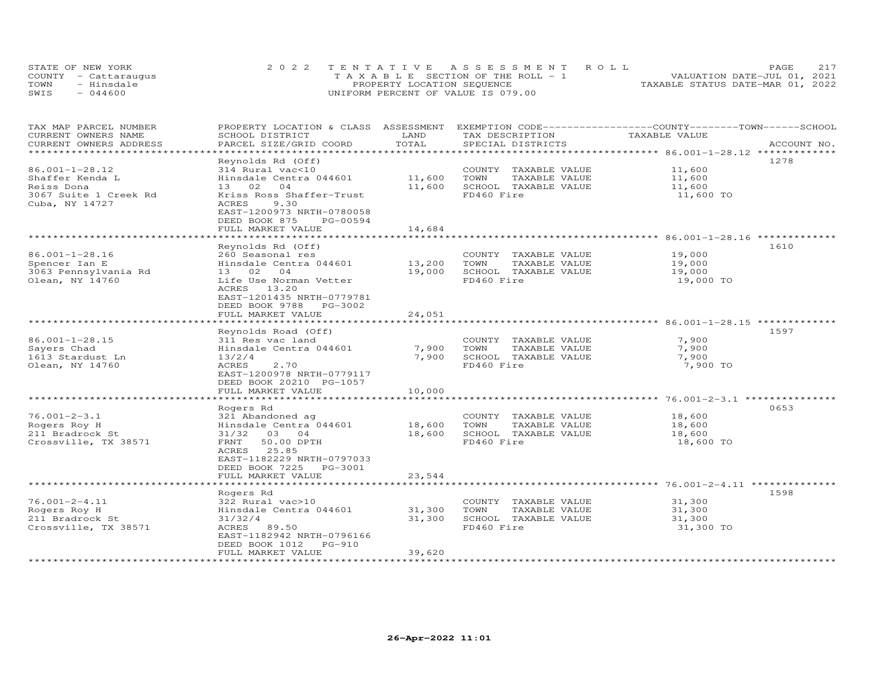| STATE OF NEW YORK    | 2022 TENTATIVE ASSESSMENT ROLL        | 2.17<br>PAGE.                    |
|----------------------|---------------------------------------|----------------------------------|
| COUNTY - Cattaraugus | T A X A B L E SECTION OF THE ROLL - 1 | VALUATION DATE-JUL 01, 2021      |
| TOWN<br>- Hinsdale   | PROPERTY LOCATION SEQUENCE            | TAXABLE STATUS DATE-MAR 01, 2022 |
| $-044600$<br>SWIS    | UNIFORM PERCENT OF VALUE IS 079.00    |                                  |

| TAX MAP PARCEL NUMBER<br>CURRENT OWNERS NAME<br>CURRENT OWNERS ADDRESS                     | PROPERTY LOCATION & CLASS ASSESSMENT<br>SCHOOL DISTRICT<br>PARCEL SIZE/GRID COORD                                                                                                | LAND<br>TOTAL              | EXEMPTION CODE-----------------COUNTY-------TOWN------SCHOOL<br>TAX DESCRIPTION<br>SPECIAL DISTRICTS | TAXABLE VALUE                                                       | ACCOUNT NO. |
|--------------------------------------------------------------------------------------------|----------------------------------------------------------------------------------------------------------------------------------------------------------------------------------|----------------------------|------------------------------------------------------------------------------------------------------|---------------------------------------------------------------------|-------------|
| ***************                                                                            | ********************                                                                                                                                                             | ***********                |                                                                                                      | ************************************** 86.001-1-28.12 ************* |             |
| 86.001-1-28.12<br>Shaffer Kenda L<br>Reiss Dona<br>3067 Suite 1 Creek Rd<br>Cuba, NY 14727 | Reynolds Rd (Off)<br>314 Rural vac<10<br>Hinsdale Centra 044601<br>13 02 04<br>Kriss Ross Shaffer-Trust<br>ACRES<br>9.30<br>EAST-1200973 NRTH-0780058                            | 11,600<br>11,600           | COUNTY TAXABLE VALUE<br>TOWN<br>TAXABLE VALUE<br>SCHOOL TAXABLE VALUE<br>FD460 Fire                  | 11,600<br>11,600<br>11,600<br>11,600 TO                             | 1278        |
|                                                                                            | DEED BOOK 875<br>PG-00594<br>FULL MARKET VALUE                                                                                                                                   | 14,684                     |                                                                                                      |                                                                     |             |
|                                                                                            | *************************<br>Reynolds Rd (Off)                                                                                                                                   |                            |                                                                                                      |                                                                     | 1610        |
| 86.001-1-28.16<br>Spencer Ian E<br>3063 Pennsylvania Rd<br>Olean, NY 14760                 | 260 Seasonal res<br>Hinsdale Centra 044601<br>04<br>13 02<br>Life Use Norman Vetter<br>13.20<br>ACRES                                                                            | 13,200<br>19,000           | COUNTY TAXABLE VALUE<br>TOWN<br>TAXABLE VALUE<br>SCHOOL TAXABLE VALUE<br>FD460 Fire                  | 19,000<br>19,000<br>19,000<br>19,000 TO                             |             |
|                                                                                            | EAST-1201435 NRTH-0779781<br>DEED BOOK 9788<br>PG-3002<br>FULL MARKET VALUE                                                                                                      | 24,051                     |                                                                                                      |                                                                     |             |
|                                                                                            | Reynolds Road (Off)                                                                                                                                                              |                            |                                                                                                      |                                                                     | 1597        |
| $86.001 - 1 - 28.15$<br>Sayers Chad<br>1613 Stardust Ln<br>Olean, NY 14760                 | 311 Res vac land<br>Hinsdale Centra 044601<br>13/2/4<br><b>ACRES</b><br>2.70<br>EAST-1200978 NRTH-0779117<br>DEED BOOK 20210 PG-1057                                             | 7,900<br>7,900             | COUNTY TAXABLE VALUE<br>TAXABLE VALUE<br>TOWN<br>SCHOOL TAXABLE VALUE<br>FD460 Fire                  | 7,900<br>7,900<br>7,900<br>7,900 TO                                 |             |
|                                                                                            | FULL MARKET VALUE                                                                                                                                                                | 10,000                     |                                                                                                      |                                                                     |             |
|                                                                                            | *******************<br>Rogers Rd                                                                                                                                                 | ***********                |                                                                                                      |                                                                     | 0653        |
| $76.001 - 2 - 3.1$<br>Rogers Roy H<br>211 Bradrock St<br>Crossville, TX 38571              | 321 Abandoned ag<br>Hinsdale Centra 044601<br>31/32 03 04<br>FRNT<br>50.00 DPTH<br>25.85<br>ACRES<br>EAST-1182229 NRTH-0797033<br>DEED BOOK 7225<br>PG-3001<br>FULL MARKET VALUE | 18,600<br>18,600<br>23,544 | COUNTY TAXABLE VALUE<br>TOWN<br>TAXABLE VALUE<br>SCHOOL TAXABLE VALUE<br>FD460 Fire                  | 18,600<br>18,600<br>18,600<br>18,600 TO                             |             |
|                                                                                            |                                                                                                                                                                                  |                            |                                                                                                      | ******** 76.001-2-4.11 ***************                              |             |
| $76.001 - 2 - 4.11$<br>Rogers Roy H<br>211 Bradrock St<br>Crossville, TX 38571             | Rogers Rd<br>322 Rural vac>10<br>Hinsdale Centra 044601<br>31/32/4<br>ACRES 89.50<br>EAST-1182942 NRTH-0796166<br>DEED BOOK 1012<br>$PG-910$                                     | 31,300<br>31,300           | COUNTY TAXABLE VALUE<br>TOWN<br>TAXABLE VALUE<br>SCHOOL TAXABLE VALUE<br>FD460 Fire                  | 31,300<br>31,300<br>31,300<br>31,300 TO                             | 1598        |
|                                                                                            | FULL MARKET VALUE<br>************************                                                                                                                                    | 39,620                     |                                                                                                      |                                                                     |             |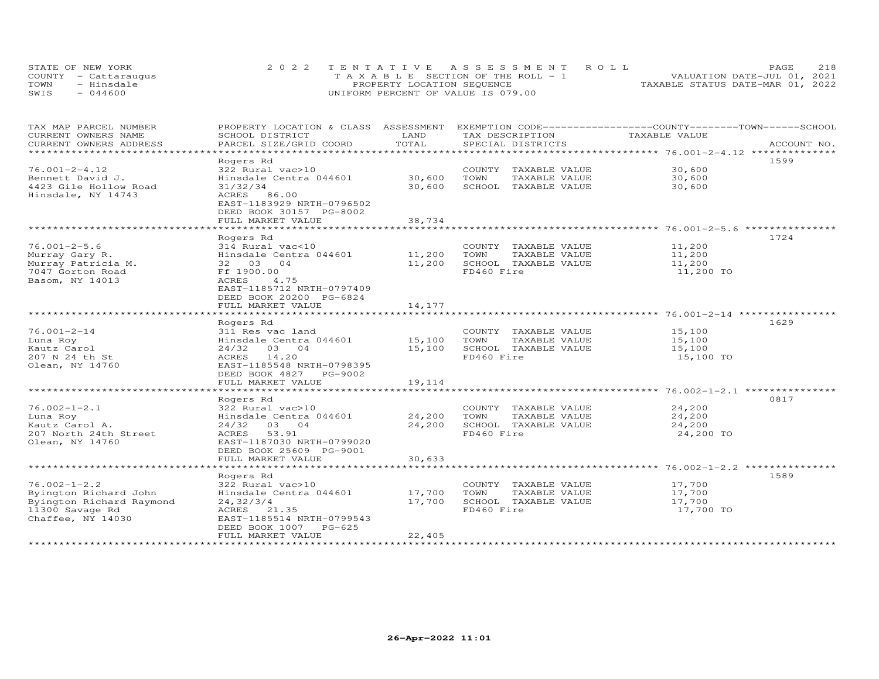| STATE OF NEW YORK    | 2022 TENTATIVE ASSESSMENT ROLL        | <b>PAGE</b>                      | 218 |
|----------------------|---------------------------------------|----------------------------------|-----|
| COUNTY - Cattaraugus | T A X A B L E SECTION OF THE ROLL - 1 | VALUATION DATE-JUL 01, 2021      |     |
| TOWN<br>- Hinsdale   | PROPERTY LOCATION SEQUENCE            | TAXABLE STATUS DATE-MAR 01, 2022 |     |
| $-044600$<br>SWIS    | UNIFORM PERCENT OF VALUE IS 079.00    |                                  |     |

| TAX MAP PARCEL NUMBER<br>CURRENT OWNERS NAME       | PROPERTY LOCATION & CLASS ASSESSMENT<br>SCHOOL DISTRICT                                    | LAND<br>TOTAL            | TAX DESCRIPTION                               | EXEMPTION CODE-----------------COUNTY-------TOWN------SCHOOL<br>TAXABLE VALUE |
|----------------------------------------------------|--------------------------------------------------------------------------------------------|--------------------------|-----------------------------------------------|-------------------------------------------------------------------------------|
| CURRENT OWNERS ADDRESS<br>************************ | PARCEL SIZE/GRID COORD                                                                     |                          | SPECIAL DISTRICTS                             | ACCOUNT NO.                                                                   |
|                                                    | Rogers Rd                                                                                  |                          |                                               | 1599                                                                          |
| $76.001 - 2 - 4.12$                                | 322 Rural vac>10                                                                           |                          | COUNTY TAXABLE VALUE                          | 30,600                                                                        |
| Bennett David J.                                   | Hinsdale Centra 044601                                                                     | 30,600                   | TOWN<br>TAXABLE VALUE                         | 30,600                                                                        |
| 4423 Gile Hollow Road                              | 31/32/34                                                                                   | 30,600                   | SCHOOL TAXABLE VALUE                          | 30,600                                                                        |
| Hinsdale, NY 14743                                 | ACRES 86.00<br>EAST-1183929 NRTH-0796502<br>DEED BOOK 30157 PG-8002<br>FULL MARKET VALUE   | 38,734                   |                                               |                                                                               |
|                                                    | ***********************                                                                    |                          |                                               |                                                                               |
|                                                    | Rogers Rd                                                                                  |                          |                                               | 1724                                                                          |
| $76.001 - 2 - 5.6$                                 | 314 Rural vac<10                                                                           |                          | COUNTY TAXABLE VALUE                          | 11,200                                                                        |
| Murray Gary R.                                     | Hinsdale Centra 044601                                                                     | 11,200                   | TOWN<br>TAXABLE VALUE                         | 11,200                                                                        |
| Murray Patricia M.                                 | 32 03 04                                                                                   | 11,200                   | SCHOOL TAXABLE VALUE                          | 11,200                                                                        |
| 7047 Gorton Road                                   | Ff 1900.00                                                                                 |                          | FD460 Fire                                    | 11,200 TO                                                                     |
| Basom, NY 14013                                    | ACRES<br>4.75<br>EAST-1185712 NRTH-0797409<br>DEED BOOK 20200 PG-6824<br>FULL MARKET VALUE | 14,177                   |                                               |                                                                               |
|                                                    |                                                                                            |                          |                                               |                                                                               |
|                                                    | Rogers Rd                                                                                  |                          |                                               | 1629                                                                          |
| $76.001 - 2 - 14$                                  | 311 Res vac land                                                                           |                          | COUNTY TAXABLE VALUE                          | 15,100                                                                        |
| Luna Roy                                           | Hinsdale Centra 044601                                                                     | 15,100                   | TAXABLE VALUE<br>TOWN                         | 15,100                                                                        |
| Kautz Carol                                        | 24/32<br>03 04                                                                             | 15,100                   | SCHOOL TAXABLE VALUE                          | 15,100                                                                        |
| 207 N 24 th St<br>Olean, NY 14760                  | 14.20<br>ACRES<br>EAST-1185548 NRTH-0798395                                                |                          | FD460 Fire                                    | 15,100 TO                                                                     |
|                                                    | DEED BOOK 4827<br>PG-9002                                                                  |                          |                                               |                                                                               |
|                                                    | FULL MARKET VALUE<br>*************************                                             | 19,114<br>************** |                                               |                                                                               |
|                                                    | Rogers Rd                                                                                  |                          |                                               | 0817                                                                          |
| $76.002 - 1 - 2.1$                                 | 322 Rural vac>10                                                                           |                          | COUNTY TAXABLE VALUE                          | 24,200                                                                        |
| Luna Roy                                           | Hinsdale Centra 044601                                                                     | 24,200                   | TAXABLE VALUE<br>TOWN                         | 24,200                                                                        |
| Kautz Carol A.                                     | 03 04<br>24/32                                                                             | 24,200                   | SCHOOL TAXABLE VALUE                          | 24,200                                                                        |
| 207 North 24th Street                              | ACRES<br>53.91                                                                             |                          | FD460 Fire                                    | 24,200 TO                                                                     |
| Olean, NY 14760                                    | EAST-1187030 NRTH-0799020<br>DEED BOOK 25609 PG-9001                                       |                          |                                               |                                                                               |
|                                                    | FULL MARKET VALUE                                                                          | 30,633                   |                                               |                                                                               |
|                                                    |                                                                                            |                          |                                               | 1589                                                                          |
| $76.002 - 1 - 2.2$                                 | Rogers Rd                                                                                  |                          |                                               |                                                                               |
| Byington Richard John                              | 322 Rural vac>10<br>Hinsdale Centra 044601                                                 | 17,700                   | COUNTY TAXABLE VALUE<br>TOWN<br>TAXABLE VALUE | 17,700<br>17,700                                                              |
|                                                    |                                                                                            | 17,700                   |                                               |                                                                               |
| Byington Richard Raymond                           | 24, 32/3/4                                                                                 |                          | SCHOOL TAXABLE VALUE<br>FD460 Fire            | 17,700<br>17,700 TO                                                           |
| 11300 Savage Rd<br>Chaffee, NY 14030               | ACRES 21.35<br>EAST-1185514 NRTH-0799543<br>DEED BOOK 1007<br>$PG-625$                     |                          |                                               |                                                                               |
|                                                    | FULL MARKET VALUE                                                                          | 22,405                   |                                               |                                                                               |
|                                                    |                                                                                            |                          |                                               |                                                                               |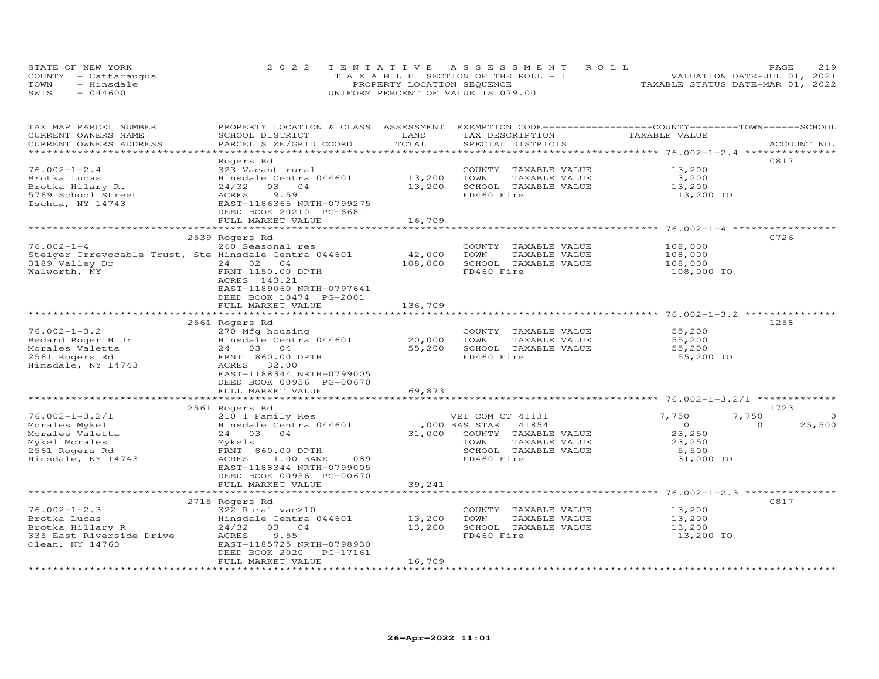| STATE OF NEW YORK    | 2022 TENTATIVE ASSESSMENT ROLL        |                                  | PAGE.                       | 219 |
|----------------------|---------------------------------------|----------------------------------|-----------------------------|-----|
| COUNTY - Cattaraugus | T A X A B L E SECTION OF THE ROLL - 1 |                                  | VALUATION DATE-JUL 01, 2021 |     |
| TOWN<br>- Hinsdale   | PROPERTY LOCATION SEQUENCE            | TAXABLE STATUS DATE-MAR 01, 2022 |                             |     |
| $-044600$<br>SWIS    | UNIFORM PERCENT OF VALUE IS 079.00    |                                  |                             |     |

| **********************<br>***********************<br>0817<br>Rogers Rd<br>$76.002 - 1 - 2.4$<br>323 Vacant rural<br>COUNTY TAXABLE VALUE<br>13,200<br>Hinsdale Centra 044601<br>13,200<br>TOWN<br>TAXABLE VALUE<br>Brotka Lucas<br>13,200<br>Brotka Hilary R.<br>24/32<br>03 04<br>13,200<br>SCHOOL TAXABLE VALUE<br>13,200<br>5769 School Street<br>9.59<br>FD460 Fire<br>ACRES<br>13,200 TO<br>Ischua, NY 14743<br>EAST-1186365 NRTH-0799275<br>DEED BOOK 20210 PG-6681<br>16,709<br>FULL MARKET VALUE<br>********************** 76.002-1-4 ***<br>0726<br>2539 Rogers Rd<br>$76.002 - 1 - 4$<br>260 Seasonal res<br>COUNTY TAXABLE VALUE<br>108,000<br>42,000<br>Steiger Irrevocable Trust, Ste Hinsdale Centra 044601<br>TOWN<br>TAXABLE VALUE<br>108,000<br>3189 Valley Dr<br>24 02 04<br>108,000<br>SCHOOL TAXABLE VALUE<br>108,000<br>FD460 Fire<br>Walworth, NY<br>FRNT 1150.00 DPTH<br>108,000 TO<br>ACRES 143.21<br>EAST-1189060 NRTH-0797641<br>DEED BOOK 10474 PG-2001<br>136,709<br>FULL MARKET VALUE<br>2561 Rogers Rd<br>1258<br>$76.002 - 1 - 3.2$<br>270 Mfg housing<br>55,200<br>COUNTY TAXABLE VALUE<br>Hinsdale Centra 044601<br>20,000<br>TOWN<br>TAXABLE VALUE<br>55,200<br>Bedard Roger H Jr<br>Morales Valetta<br>24 03 04<br>55,200<br>SCHOOL TAXABLE VALUE<br>55,200<br>FRNT 860.00 DPTH<br>FD460 Fire<br>55,200 TO<br>Hinsdale, NY 14743<br>ACRES<br>32.00<br>EAST-1188344 NRTH-0799005<br>DEED BOOK 00956 PG-00670<br>69,873<br>FULL MARKET VALUE<br>1723<br>2561 Rogers Rd<br>$76.002 - 1 - 3.2/1$<br>7,750<br>7,750<br>210 1 Family Res<br>VET COM CT 41131<br>$\Omega$<br>25,500<br>Hinsdale Centra 044601<br>1,000 BAS STAR<br>41854<br>$\overline{0}$<br>$\Omega$<br>24 03 04<br>31,000<br>COUNTY TAXABLE VALUE<br>23,250<br>TAXABLE VALUE<br>Mykels<br>TOWN<br>23,250<br>2561 Rogers Rd<br>FRNT 860.00 DPTH<br>SCHOOL TAXABLE VALUE<br>5,500<br>Hinsdale, NY 14743<br>FD460 Fire<br>ACRES<br>1.00 BANK<br>089<br>31,000 TO<br>EAST-1188344 NRTH-0799005<br>DEED BOOK 00956 PG-00670<br>39,241<br>FULL MARKET VALUE<br>*********************** 76.002-1-2.3 ***<br>0817<br>2715 Rogers Rd<br>$76.002 - 1 - 2.3$<br>322 Rural vac>10<br>COUNTY TAXABLE VALUE<br>13,200<br>Brotka Lucas<br>Hinsdale Centra 044601<br>13,200<br>TOWN<br>TAXABLE VALUE<br>13,200<br>Brotka Hillary R<br>24/32 03 04<br>13,200<br>SCHOOL TAXABLE VALUE<br>13,200<br>335 East Riverside Drive<br>9.55<br>FD460 Fire<br>ACRES<br>13,200 TO<br>Olean, NY 14760<br>EAST-1185725 NRTH-0798930<br>DEED BOOK 2020<br>PG-17161<br>16,709<br>FULL MARKET VALUE | TAX MAP PARCEL NUMBER<br>CURRENT OWNERS NAME | PROPERTY LOCATION & CLASS ASSESSMENT<br>SCHOOL DISTRICT | LAND  | TAX DESCRIPTION   | EXEMPTION CODE-----------------COUNTY-------TOWN------SCHOOL<br>TAXABLE VALUE |             |
|-------------------------------------------------------------------------------------------------------------------------------------------------------------------------------------------------------------------------------------------------------------------------------------------------------------------------------------------------------------------------------------------------------------------------------------------------------------------------------------------------------------------------------------------------------------------------------------------------------------------------------------------------------------------------------------------------------------------------------------------------------------------------------------------------------------------------------------------------------------------------------------------------------------------------------------------------------------------------------------------------------------------------------------------------------------------------------------------------------------------------------------------------------------------------------------------------------------------------------------------------------------------------------------------------------------------------------------------------------------------------------------------------------------------------------------------------------------------------------------------------------------------------------------------------------------------------------------------------------------------------------------------------------------------------------------------------------------------------------------------------------------------------------------------------------------------------------------------------------------------------------------------------------------------------------------------------------------------------------------------------------------------------------------------------------------------------------------------------------------------------------------------------------------------------------------------------------------------------------------------------------------------------------------------------------------------------------------------------------------------------------------------------------------------------------------------------------------------------------------------------------------------------------------------------------------------|----------------------------------------------|---------------------------------------------------------|-------|-------------------|-------------------------------------------------------------------------------|-------------|
|                                                                                                                                                                                                                                                                                                                                                                                                                                                                                                                                                                                                                                                                                                                                                                                                                                                                                                                                                                                                                                                                                                                                                                                                                                                                                                                                                                                                                                                                                                                                                                                                                                                                                                                                                                                                                                                                                                                                                                                                                                                                                                                                                                                                                                                                                                                                                                                                                                                                                                                                                                   | CURRENT OWNERS ADDRESS                       | PARCEL SIZE/GRID COORD                                  | TOTAL | SPECIAL DISTRICTS |                                                                               | ACCOUNT NO. |
|                                                                                                                                                                                                                                                                                                                                                                                                                                                                                                                                                                                                                                                                                                                                                                                                                                                                                                                                                                                                                                                                                                                                                                                                                                                                                                                                                                                                                                                                                                                                                                                                                                                                                                                                                                                                                                                                                                                                                                                                                                                                                                                                                                                                                                                                                                                                                                                                                                                                                                                                                                   |                                              |                                                         |       |                   |                                                                               |             |
|                                                                                                                                                                                                                                                                                                                                                                                                                                                                                                                                                                                                                                                                                                                                                                                                                                                                                                                                                                                                                                                                                                                                                                                                                                                                                                                                                                                                                                                                                                                                                                                                                                                                                                                                                                                                                                                                                                                                                                                                                                                                                                                                                                                                                                                                                                                                                                                                                                                                                                                                                                   |                                              |                                                         |       |                   |                                                                               |             |
|                                                                                                                                                                                                                                                                                                                                                                                                                                                                                                                                                                                                                                                                                                                                                                                                                                                                                                                                                                                                                                                                                                                                                                                                                                                                                                                                                                                                                                                                                                                                                                                                                                                                                                                                                                                                                                                                                                                                                                                                                                                                                                                                                                                                                                                                                                                                                                                                                                                                                                                                                                   |                                              |                                                         |       |                   |                                                                               |             |
|                                                                                                                                                                                                                                                                                                                                                                                                                                                                                                                                                                                                                                                                                                                                                                                                                                                                                                                                                                                                                                                                                                                                                                                                                                                                                                                                                                                                                                                                                                                                                                                                                                                                                                                                                                                                                                                                                                                                                                                                                                                                                                                                                                                                                                                                                                                                                                                                                                                                                                                                                                   |                                              |                                                         |       |                   |                                                                               |             |
|                                                                                                                                                                                                                                                                                                                                                                                                                                                                                                                                                                                                                                                                                                                                                                                                                                                                                                                                                                                                                                                                                                                                                                                                                                                                                                                                                                                                                                                                                                                                                                                                                                                                                                                                                                                                                                                                                                                                                                                                                                                                                                                                                                                                                                                                                                                                                                                                                                                                                                                                                                   |                                              |                                                         |       |                   |                                                                               |             |
|                                                                                                                                                                                                                                                                                                                                                                                                                                                                                                                                                                                                                                                                                                                                                                                                                                                                                                                                                                                                                                                                                                                                                                                                                                                                                                                                                                                                                                                                                                                                                                                                                                                                                                                                                                                                                                                                                                                                                                                                                                                                                                                                                                                                                                                                                                                                                                                                                                                                                                                                                                   |                                              |                                                         |       |                   |                                                                               |             |
|                                                                                                                                                                                                                                                                                                                                                                                                                                                                                                                                                                                                                                                                                                                                                                                                                                                                                                                                                                                                                                                                                                                                                                                                                                                                                                                                                                                                                                                                                                                                                                                                                                                                                                                                                                                                                                                                                                                                                                                                                                                                                                                                                                                                                                                                                                                                                                                                                                                                                                                                                                   |                                              |                                                         |       |                   |                                                                               |             |
|                                                                                                                                                                                                                                                                                                                                                                                                                                                                                                                                                                                                                                                                                                                                                                                                                                                                                                                                                                                                                                                                                                                                                                                                                                                                                                                                                                                                                                                                                                                                                                                                                                                                                                                                                                                                                                                                                                                                                                                                                                                                                                                                                                                                                                                                                                                                                                                                                                                                                                                                                                   |                                              |                                                         |       |                   |                                                                               |             |
|                                                                                                                                                                                                                                                                                                                                                                                                                                                                                                                                                                                                                                                                                                                                                                                                                                                                                                                                                                                                                                                                                                                                                                                                                                                                                                                                                                                                                                                                                                                                                                                                                                                                                                                                                                                                                                                                                                                                                                                                                                                                                                                                                                                                                                                                                                                                                                                                                                                                                                                                                                   |                                              |                                                         |       |                   |                                                                               |             |
|                                                                                                                                                                                                                                                                                                                                                                                                                                                                                                                                                                                                                                                                                                                                                                                                                                                                                                                                                                                                                                                                                                                                                                                                                                                                                                                                                                                                                                                                                                                                                                                                                                                                                                                                                                                                                                                                                                                                                                                                                                                                                                                                                                                                                                                                                                                                                                                                                                                                                                                                                                   |                                              |                                                         |       |                   |                                                                               |             |
|                                                                                                                                                                                                                                                                                                                                                                                                                                                                                                                                                                                                                                                                                                                                                                                                                                                                                                                                                                                                                                                                                                                                                                                                                                                                                                                                                                                                                                                                                                                                                                                                                                                                                                                                                                                                                                                                                                                                                                                                                                                                                                                                                                                                                                                                                                                                                                                                                                                                                                                                                                   |                                              |                                                         |       |                   |                                                                               |             |
|                                                                                                                                                                                                                                                                                                                                                                                                                                                                                                                                                                                                                                                                                                                                                                                                                                                                                                                                                                                                                                                                                                                                                                                                                                                                                                                                                                                                                                                                                                                                                                                                                                                                                                                                                                                                                                                                                                                                                                                                                                                                                                                                                                                                                                                                                                                                                                                                                                                                                                                                                                   |                                              |                                                         |       |                   |                                                                               |             |
|                                                                                                                                                                                                                                                                                                                                                                                                                                                                                                                                                                                                                                                                                                                                                                                                                                                                                                                                                                                                                                                                                                                                                                                                                                                                                                                                                                                                                                                                                                                                                                                                                                                                                                                                                                                                                                                                                                                                                                                                                                                                                                                                                                                                                                                                                                                                                                                                                                                                                                                                                                   |                                              |                                                         |       |                   |                                                                               |             |
|                                                                                                                                                                                                                                                                                                                                                                                                                                                                                                                                                                                                                                                                                                                                                                                                                                                                                                                                                                                                                                                                                                                                                                                                                                                                                                                                                                                                                                                                                                                                                                                                                                                                                                                                                                                                                                                                                                                                                                                                                                                                                                                                                                                                                                                                                                                                                                                                                                                                                                                                                                   |                                              |                                                         |       |                   |                                                                               |             |
|                                                                                                                                                                                                                                                                                                                                                                                                                                                                                                                                                                                                                                                                                                                                                                                                                                                                                                                                                                                                                                                                                                                                                                                                                                                                                                                                                                                                                                                                                                                                                                                                                                                                                                                                                                                                                                                                                                                                                                                                                                                                                                                                                                                                                                                                                                                                                                                                                                                                                                                                                                   |                                              |                                                         |       |                   |                                                                               |             |
|                                                                                                                                                                                                                                                                                                                                                                                                                                                                                                                                                                                                                                                                                                                                                                                                                                                                                                                                                                                                                                                                                                                                                                                                                                                                                                                                                                                                                                                                                                                                                                                                                                                                                                                                                                                                                                                                                                                                                                                                                                                                                                                                                                                                                                                                                                                                                                                                                                                                                                                                                                   |                                              |                                                         |       |                   |                                                                               |             |
|                                                                                                                                                                                                                                                                                                                                                                                                                                                                                                                                                                                                                                                                                                                                                                                                                                                                                                                                                                                                                                                                                                                                                                                                                                                                                                                                                                                                                                                                                                                                                                                                                                                                                                                                                                                                                                                                                                                                                                                                                                                                                                                                                                                                                                                                                                                                                                                                                                                                                                                                                                   |                                              |                                                         |       |                   |                                                                               |             |
|                                                                                                                                                                                                                                                                                                                                                                                                                                                                                                                                                                                                                                                                                                                                                                                                                                                                                                                                                                                                                                                                                                                                                                                                                                                                                                                                                                                                                                                                                                                                                                                                                                                                                                                                                                                                                                                                                                                                                                                                                                                                                                                                                                                                                                                                                                                                                                                                                                                                                                                                                                   |                                              |                                                         |       |                   |                                                                               |             |
|                                                                                                                                                                                                                                                                                                                                                                                                                                                                                                                                                                                                                                                                                                                                                                                                                                                                                                                                                                                                                                                                                                                                                                                                                                                                                                                                                                                                                                                                                                                                                                                                                                                                                                                                                                                                                                                                                                                                                                                                                                                                                                                                                                                                                                                                                                                                                                                                                                                                                                                                                                   |                                              |                                                         |       |                   |                                                                               |             |
|                                                                                                                                                                                                                                                                                                                                                                                                                                                                                                                                                                                                                                                                                                                                                                                                                                                                                                                                                                                                                                                                                                                                                                                                                                                                                                                                                                                                                                                                                                                                                                                                                                                                                                                                                                                                                                                                                                                                                                                                                                                                                                                                                                                                                                                                                                                                                                                                                                                                                                                                                                   |                                              |                                                         |       |                   |                                                                               |             |
|                                                                                                                                                                                                                                                                                                                                                                                                                                                                                                                                                                                                                                                                                                                                                                                                                                                                                                                                                                                                                                                                                                                                                                                                                                                                                                                                                                                                                                                                                                                                                                                                                                                                                                                                                                                                                                                                                                                                                                                                                                                                                                                                                                                                                                                                                                                                                                                                                                                                                                                                                                   |                                              |                                                         |       |                   |                                                                               |             |
|                                                                                                                                                                                                                                                                                                                                                                                                                                                                                                                                                                                                                                                                                                                                                                                                                                                                                                                                                                                                                                                                                                                                                                                                                                                                                                                                                                                                                                                                                                                                                                                                                                                                                                                                                                                                                                                                                                                                                                                                                                                                                                                                                                                                                                                                                                                                                                                                                                                                                                                                                                   |                                              |                                                         |       |                   |                                                                               |             |
|                                                                                                                                                                                                                                                                                                                                                                                                                                                                                                                                                                                                                                                                                                                                                                                                                                                                                                                                                                                                                                                                                                                                                                                                                                                                                                                                                                                                                                                                                                                                                                                                                                                                                                                                                                                                                                                                                                                                                                                                                                                                                                                                                                                                                                                                                                                                                                                                                                                                                                                                                                   |                                              |                                                         |       |                   |                                                                               |             |
|                                                                                                                                                                                                                                                                                                                                                                                                                                                                                                                                                                                                                                                                                                                                                                                                                                                                                                                                                                                                                                                                                                                                                                                                                                                                                                                                                                                                                                                                                                                                                                                                                                                                                                                                                                                                                                                                                                                                                                                                                                                                                                                                                                                                                                                                                                                                                                                                                                                                                                                                                                   | 2561 Rogers Rd                               |                                                         |       |                   |                                                                               |             |
|                                                                                                                                                                                                                                                                                                                                                                                                                                                                                                                                                                                                                                                                                                                                                                                                                                                                                                                                                                                                                                                                                                                                                                                                                                                                                                                                                                                                                                                                                                                                                                                                                                                                                                                                                                                                                                                                                                                                                                                                                                                                                                                                                                                                                                                                                                                                                                                                                                                                                                                                                                   |                                              |                                                         |       |                   |                                                                               |             |
|                                                                                                                                                                                                                                                                                                                                                                                                                                                                                                                                                                                                                                                                                                                                                                                                                                                                                                                                                                                                                                                                                                                                                                                                                                                                                                                                                                                                                                                                                                                                                                                                                                                                                                                                                                                                                                                                                                                                                                                                                                                                                                                                                                                                                                                                                                                                                                                                                                                                                                                                                                   |                                              |                                                         |       |                   |                                                                               |             |
|                                                                                                                                                                                                                                                                                                                                                                                                                                                                                                                                                                                                                                                                                                                                                                                                                                                                                                                                                                                                                                                                                                                                                                                                                                                                                                                                                                                                                                                                                                                                                                                                                                                                                                                                                                                                                                                                                                                                                                                                                                                                                                                                                                                                                                                                                                                                                                                                                                                                                                                                                                   |                                              |                                                         |       |                   |                                                                               |             |
|                                                                                                                                                                                                                                                                                                                                                                                                                                                                                                                                                                                                                                                                                                                                                                                                                                                                                                                                                                                                                                                                                                                                                                                                                                                                                                                                                                                                                                                                                                                                                                                                                                                                                                                                                                                                                                                                                                                                                                                                                                                                                                                                                                                                                                                                                                                                                                                                                                                                                                                                                                   |                                              |                                                         |       |                   |                                                                               |             |
|                                                                                                                                                                                                                                                                                                                                                                                                                                                                                                                                                                                                                                                                                                                                                                                                                                                                                                                                                                                                                                                                                                                                                                                                                                                                                                                                                                                                                                                                                                                                                                                                                                                                                                                                                                                                                                                                                                                                                                                                                                                                                                                                                                                                                                                                                                                                                                                                                                                                                                                                                                   |                                              |                                                         |       |                   |                                                                               |             |
|                                                                                                                                                                                                                                                                                                                                                                                                                                                                                                                                                                                                                                                                                                                                                                                                                                                                                                                                                                                                                                                                                                                                                                                                                                                                                                                                                                                                                                                                                                                                                                                                                                                                                                                                                                                                                                                                                                                                                                                                                                                                                                                                                                                                                                                                                                                                                                                                                                                                                                                                                                   |                                              |                                                         |       |                   |                                                                               |             |
|                                                                                                                                                                                                                                                                                                                                                                                                                                                                                                                                                                                                                                                                                                                                                                                                                                                                                                                                                                                                                                                                                                                                                                                                                                                                                                                                                                                                                                                                                                                                                                                                                                                                                                                                                                                                                                                                                                                                                                                                                                                                                                                                                                                                                                                                                                                                                                                                                                                                                                                                                                   |                                              |                                                         |       |                   |                                                                               |             |
|                                                                                                                                                                                                                                                                                                                                                                                                                                                                                                                                                                                                                                                                                                                                                                                                                                                                                                                                                                                                                                                                                                                                                                                                                                                                                                                                                                                                                                                                                                                                                                                                                                                                                                                                                                                                                                                                                                                                                                                                                                                                                                                                                                                                                                                                                                                                                                                                                                                                                                                                                                   | Morales Mykel                                |                                                         |       |                   |                                                                               |             |
|                                                                                                                                                                                                                                                                                                                                                                                                                                                                                                                                                                                                                                                                                                                                                                                                                                                                                                                                                                                                                                                                                                                                                                                                                                                                                                                                                                                                                                                                                                                                                                                                                                                                                                                                                                                                                                                                                                                                                                                                                                                                                                                                                                                                                                                                                                                                                                                                                                                                                                                                                                   | Morales Valetta                              |                                                         |       |                   |                                                                               |             |
|                                                                                                                                                                                                                                                                                                                                                                                                                                                                                                                                                                                                                                                                                                                                                                                                                                                                                                                                                                                                                                                                                                                                                                                                                                                                                                                                                                                                                                                                                                                                                                                                                                                                                                                                                                                                                                                                                                                                                                                                                                                                                                                                                                                                                                                                                                                                                                                                                                                                                                                                                                   | Mykel Morales                                |                                                         |       |                   |                                                                               |             |
|                                                                                                                                                                                                                                                                                                                                                                                                                                                                                                                                                                                                                                                                                                                                                                                                                                                                                                                                                                                                                                                                                                                                                                                                                                                                                                                                                                                                                                                                                                                                                                                                                                                                                                                                                                                                                                                                                                                                                                                                                                                                                                                                                                                                                                                                                                                                                                                                                                                                                                                                                                   |                                              |                                                         |       |                   |                                                                               |             |
|                                                                                                                                                                                                                                                                                                                                                                                                                                                                                                                                                                                                                                                                                                                                                                                                                                                                                                                                                                                                                                                                                                                                                                                                                                                                                                                                                                                                                                                                                                                                                                                                                                                                                                                                                                                                                                                                                                                                                                                                                                                                                                                                                                                                                                                                                                                                                                                                                                                                                                                                                                   |                                              |                                                         |       |                   |                                                                               |             |
|                                                                                                                                                                                                                                                                                                                                                                                                                                                                                                                                                                                                                                                                                                                                                                                                                                                                                                                                                                                                                                                                                                                                                                                                                                                                                                                                                                                                                                                                                                                                                                                                                                                                                                                                                                                                                                                                                                                                                                                                                                                                                                                                                                                                                                                                                                                                                                                                                                                                                                                                                                   |                                              |                                                         |       |                   |                                                                               |             |
|                                                                                                                                                                                                                                                                                                                                                                                                                                                                                                                                                                                                                                                                                                                                                                                                                                                                                                                                                                                                                                                                                                                                                                                                                                                                                                                                                                                                                                                                                                                                                                                                                                                                                                                                                                                                                                                                                                                                                                                                                                                                                                                                                                                                                                                                                                                                                                                                                                                                                                                                                                   |                                              |                                                         |       |                   |                                                                               |             |
|                                                                                                                                                                                                                                                                                                                                                                                                                                                                                                                                                                                                                                                                                                                                                                                                                                                                                                                                                                                                                                                                                                                                                                                                                                                                                                                                                                                                                                                                                                                                                                                                                                                                                                                                                                                                                                                                                                                                                                                                                                                                                                                                                                                                                                                                                                                                                                                                                                                                                                                                                                   |                                              |                                                         |       |                   |                                                                               |             |
|                                                                                                                                                                                                                                                                                                                                                                                                                                                                                                                                                                                                                                                                                                                                                                                                                                                                                                                                                                                                                                                                                                                                                                                                                                                                                                                                                                                                                                                                                                                                                                                                                                                                                                                                                                                                                                                                                                                                                                                                                                                                                                                                                                                                                                                                                                                                                                                                                                                                                                                                                                   |                                              |                                                         |       |                   |                                                                               |             |
|                                                                                                                                                                                                                                                                                                                                                                                                                                                                                                                                                                                                                                                                                                                                                                                                                                                                                                                                                                                                                                                                                                                                                                                                                                                                                                                                                                                                                                                                                                                                                                                                                                                                                                                                                                                                                                                                                                                                                                                                                                                                                                                                                                                                                                                                                                                                                                                                                                                                                                                                                                   |                                              |                                                         |       |                   |                                                                               |             |
|                                                                                                                                                                                                                                                                                                                                                                                                                                                                                                                                                                                                                                                                                                                                                                                                                                                                                                                                                                                                                                                                                                                                                                                                                                                                                                                                                                                                                                                                                                                                                                                                                                                                                                                                                                                                                                                                                                                                                                                                                                                                                                                                                                                                                                                                                                                                                                                                                                                                                                                                                                   |                                              |                                                         |       |                   |                                                                               |             |
|                                                                                                                                                                                                                                                                                                                                                                                                                                                                                                                                                                                                                                                                                                                                                                                                                                                                                                                                                                                                                                                                                                                                                                                                                                                                                                                                                                                                                                                                                                                                                                                                                                                                                                                                                                                                                                                                                                                                                                                                                                                                                                                                                                                                                                                                                                                                                                                                                                                                                                                                                                   |                                              |                                                         |       |                   |                                                                               |             |
|                                                                                                                                                                                                                                                                                                                                                                                                                                                                                                                                                                                                                                                                                                                                                                                                                                                                                                                                                                                                                                                                                                                                                                                                                                                                                                                                                                                                                                                                                                                                                                                                                                                                                                                                                                                                                                                                                                                                                                                                                                                                                                                                                                                                                                                                                                                                                                                                                                                                                                                                                                   |                                              |                                                         |       |                   |                                                                               |             |
|                                                                                                                                                                                                                                                                                                                                                                                                                                                                                                                                                                                                                                                                                                                                                                                                                                                                                                                                                                                                                                                                                                                                                                                                                                                                                                                                                                                                                                                                                                                                                                                                                                                                                                                                                                                                                                                                                                                                                                                                                                                                                                                                                                                                                                                                                                                                                                                                                                                                                                                                                                   |                                              |                                                         |       |                   |                                                                               |             |
|                                                                                                                                                                                                                                                                                                                                                                                                                                                                                                                                                                                                                                                                                                                                                                                                                                                                                                                                                                                                                                                                                                                                                                                                                                                                                                                                                                                                                                                                                                                                                                                                                                                                                                                                                                                                                                                                                                                                                                                                                                                                                                                                                                                                                                                                                                                                                                                                                                                                                                                                                                   |                                              |                                                         |       |                   |                                                                               |             |
|                                                                                                                                                                                                                                                                                                                                                                                                                                                                                                                                                                                                                                                                                                                                                                                                                                                                                                                                                                                                                                                                                                                                                                                                                                                                                                                                                                                                                                                                                                                                                                                                                                                                                                                                                                                                                                                                                                                                                                                                                                                                                                                                                                                                                                                                                                                                                                                                                                                                                                                                                                   |                                              |                                                         |       |                   |                                                                               |             |
|                                                                                                                                                                                                                                                                                                                                                                                                                                                                                                                                                                                                                                                                                                                                                                                                                                                                                                                                                                                                                                                                                                                                                                                                                                                                                                                                                                                                                                                                                                                                                                                                                                                                                                                                                                                                                                                                                                                                                                                                                                                                                                                                                                                                                                                                                                                                                                                                                                                                                                                                                                   |                                              |                                                         |       |                   |                                                                               |             |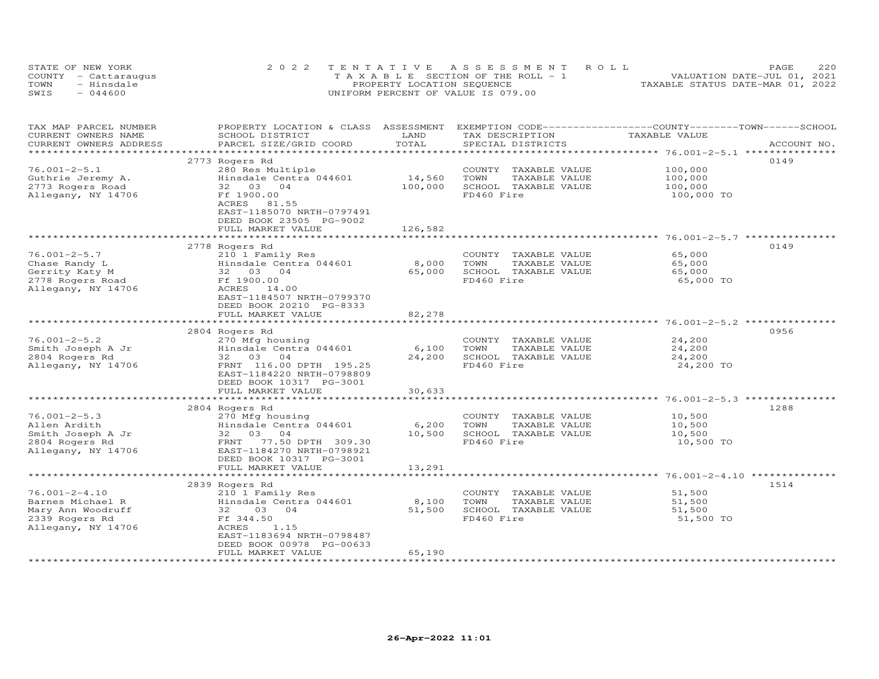|      | STATE OF NEW YORK    | 2022 TENTATIVE ASSESSMENT ROLL        | 220<br>PAGE                      |
|------|----------------------|---------------------------------------|----------------------------------|
|      | COUNTY - Cattaraugus | T A X A B L E SECTION OF THE ROLL - 1 | VALUATION DATE-JUL 01, 2021      |
| TOWN | - Hinsdale           | PROPERTY LOCATION SEQUENCE            | TAXABLE STATUS DATE-MAR 01, 2022 |
| SWIS | $-044600$            | UNIFORM PERCENT OF VALUE IS 079.00    |                                  |

| TAX MAP PARCEL NUMBER<br>CURRENT OWNERS NAME<br>CURRENT OWNERS ADDRESS | PROPERTY LOCATION & CLASS ASSESSMENT<br>SCHOOL DISTRICT<br>PARCEL SIZE/GRID COORD | LAND<br>TOTAL | TAX DESCRIPTION<br>SPECIAL DISTRICTS | EXEMPTION CODE-----------------COUNTY-------TOWN-----SCHOOL<br>TAXABLE VALUE | ACCOUNT NO. |
|------------------------------------------------------------------------|-----------------------------------------------------------------------------------|---------------|--------------------------------------|------------------------------------------------------------------------------|-------------|
| *************************                                              |                                                                                   |               |                                      |                                                                              |             |
|                                                                        | 2773 Rogers Rd                                                                    |               |                                      |                                                                              | 0149        |
| $76.001 - 2 - 5.1$                                                     | 280 Res Multiple                                                                  |               | COUNTY TAXABLE VALUE                 | 100,000                                                                      |             |
| Guthrie Jeremy A.                                                      | Hinsdale Centra 044601                                                            | 14,560        | TOWN<br>TAXABLE VALUE                | 100,000                                                                      |             |
| 2773 Rogers Road                                                       | 32 03 04                                                                          | 100,000       | SCHOOL TAXABLE VALUE                 | 100,000                                                                      |             |
| Allegany, NY 14706                                                     | Ff 1900.00                                                                        |               | FD460 Fire                           | 100,000 TO                                                                   |             |
|                                                                        | ACRES 81.55                                                                       |               |                                      |                                                                              |             |
|                                                                        | EAST-1185070 NRTH-0797491                                                         |               |                                      |                                                                              |             |
|                                                                        | DEED BOOK 23505 PG-9002                                                           | 126,582       |                                      |                                                                              |             |
|                                                                        | FULL MARKET VALUE                                                                 |               |                                      |                                                                              |             |
|                                                                        | 2778 Rogers Rd                                                                    |               |                                      |                                                                              | 0149        |
| $76.001 - 2 - 5.7$                                                     | 210 1 Family Res                                                                  |               | COUNTY TAXABLE VALUE                 | 65,000                                                                       |             |
| Chase Randy L                                                          | Hinsdale Centra 044601                                                            | 8,000         | TOWN<br>TAXABLE VALUE                | 65,000                                                                       |             |
| Gerrity Katy M                                                         | 32 03 04                                                                          | 65,000        | SCHOOL TAXABLE VALUE                 | 65,000                                                                       |             |
| 2778 Rogers Road                                                       | Ff 1900.00                                                                        |               | FD460 Fire                           | 65,000 TO                                                                    |             |
| Allegany, NY 14706                                                     | ACRES 14.00                                                                       |               |                                      |                                                                              |             |
|                                                                        | EAST-1184507 NRTH-0799370                                                         |               |                                      |                                                                              |             |
|                                                                        | DEED BOOK 20210 PG-8333                                                           |               |                                      |                                                                              |             |
|                                                                        | FULL MARKET VALUE                                                                 | 82,278        |                                      |                                                                              |             |
|                                                                        | *******************************                                                   |               |                                      | **************************************26.001-2-5.2 ***********               |             |
|                                                                        | 2804 Rogers Rd                                                                    |               |                                      |                                                                              | 0956        |
| $76.001 - 2 - 5.2$                                                     | 270 Mfg housing                                                                   |               | COUNTY TAXABLE VALUE                 | 24,200                                                                       |             |
| Smith Joseph A Jr                                                      | Hinsdale Centra 044601                                                            | 6,100         | TAXABLE VALUE<br>TOWN                | 24,200                                                                       |             |
| 2804 Rogers Rd                                                         | 32 03 04                                                                          | 24,200        | SCHOOL TAXABLE VALUE                 | 24,200                                                                       |             |
| Allegany, NY 14706                                                     | FRNT 116.00 DPTH 195.25                                                           |               | FD460 Fire                           | 24,200 TO                                                                    |             |
|                                                                        | EAST-1184220 NRTH-0798809                                                         |               |                                      |                                                                              |             |
|                                                                        | DEED BOOK 10317 PG-3001<br>FULL MARKET VALUE                                      | 30,633        |                                      |                                                                              |             |
|                                                                        | *********************                                                             | ************  |                                      | *****************************5.001-2-5.3****************                     |             |
|                                                                        | 2804 Rogers Rd                                                                    |               |                                      |                                                                              | 1288        |
| $76.001 - 2 - 5.3$                                                     | 270 Mfg housing                                                                   |               | COUNTY TAXABLE VALUE                 | 10,500                                                                       |             |
| Allen Ardith                                                           | Hinsdale Centra 044601                                                            | 6,200         | TOWN<br>TAXABLE VALUE                | 10,500                                                                       |             |
| Smith Joseph A Jr                                                      | 32 03 04                                                                          | 10,500        | SCHOOL TAXABLE VALUE                 | 10,500                                                                       |             |
| 2804 Rogers Rd                                                         | FRNT<br>77.50 DPTH 309.30                                                         |               | FD460 Fire                           | 10,500 TO                                                                    |             |
| Allegany, NY 14706                                                     | EAST-1184270 NRTH-0798921                                                         |               |                                      |                                                                              |             |
|                                                                        | DEED BOOK 10317 PG-3001                                                           |               |                                      |                                                                              |             |
|                                                                        | FULL MARKET VALUE                                                                 | 13,291        |                                      |                                                                              |             |
|                                                                        | ********************                                                              |               |                                      | ****************** 76.001-2-4.10 *************                               |             |
|                                                                        | 2839 Rogers Rd                                                                    |               |                                      |                                                                              | 1514        |
| $76.001 - 2 - 4.10$                                                    | 210 1 Family Res                                                                  |               | COUNTY TAXABLE VALUE                 | 51,500                                                                       |             |
| Barnes Michael R                                                       | Hinsdale Centra 044601                                                            | 8,100         | TOWN<br>TAXABLE VALUE                | 51,500                                                                       |             |
| Mary Ann Woodruff                                                      | 03 04<br>32                                                                       | 51,500        | SCHOOL TAXABLE VALUE                 | 51,500                                                                       |             |
| 2339 Rogers Rd                                                         | Ff 344.50                                                                         |               | FD460 Fire                           | 51,500 TO                                                                    |             |
| Allegany, NY 14706                                                     | ACRES<br>1.15                                                                     |               |                                      |                                                                              |             |
|                                                                        | EAST-1183694 NRTH-0798487                                                         |               |                                      |                                                                              |             |
|                                                                        | DEED BOOK 00978 PG-00633<br>FULL MARKET VALUE                                     | 65,190        |                                      |                                                                              |             |
|                                                                        |                                                                                   |               |                                      |                                                                              |             |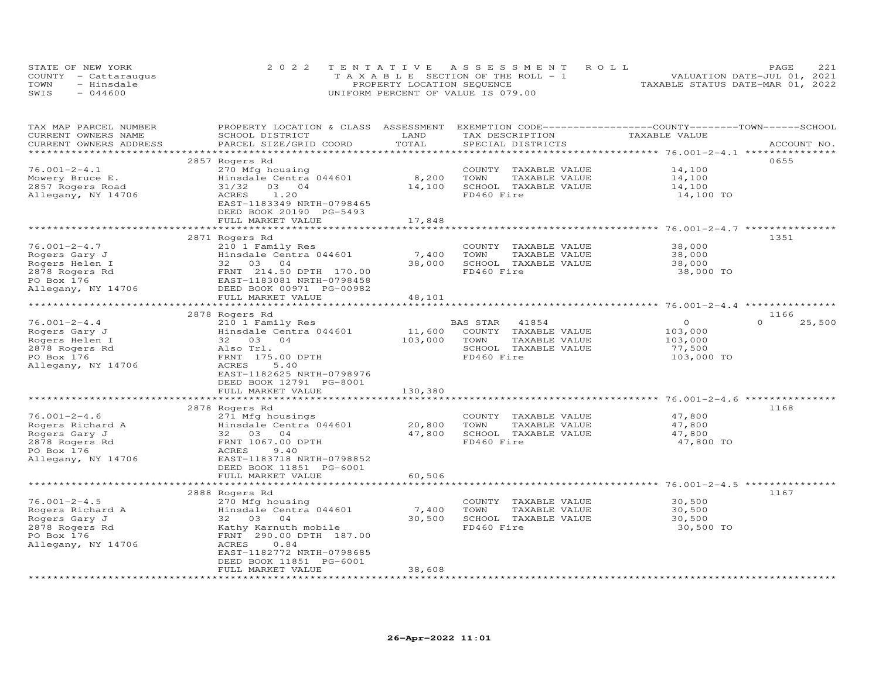|      | STATE OF NEW YORK    | 2022 TENTATIVE ASSESSMENT ROLL        | 221<br>PAGE                      |
|------|----------------------|---------------------------------------|----------------------------------|
|      | COUNTY - Cattaraugus | T A X A B L E SECTION OF THE ROLL - 1 | VALUATION DATE-JUL 01, 2021      |
| TOWN | - Hinsdale           | PROPERTY LOCATION SEQUENCE            | TAXABLE STATUS DATE-MAR 01, 2022 |
| SWIS | $-044600$            | UNIFORM PERCENT OF VALUE IS 079.00    |                                  |

| TAX MAP PARCEL NUMBER  | PROPERTY LOCATION & CLASS ASSESSMENT | LAND                |                       | EXEMPTION CODE-----------------COUNTY-------TOWN------SCHOOL<br>TAXABLE VALUE |                    |
|------------------------|--------------------------------------|---------------------|-----------------------|-------------------------------------------------------------------------------|--------------------|
| CURRENT OWNERS NAME    | SCHOOL DISTRICT                      |                     | TAX DESCRIPTION       |                                                                               |                    |
| CURRENT OWNERS ADDRESS | PARCEL SIZE/GRID COORD               | TOTAL               | SPECIAL DISTRICTS     |                                                                               | ACCOUNT NO.        |
| *****************      |                                      |                     |                       |                                                                               |                    |
|                        | 2857 Rogers Rd                       |                     |                       |                                                                               | 0655               |
| $76.001 - 2 - 4.1$     | 270 Mfg housing                      |                     | COUNTY TAXABLE VALUE  | 14,100                                                                        |                    |
| Mowery Bruce E.        | Hinsdale Centra 044601               | 8,200               | TOWN<br>TAXABLE VALUE | 14,100                                                                        |                    |
| 2857 Rogers Road       | 31/32<br>03 04                       | 14,100              | SCHOOL TAXABLE VALUE  | 14,100                                                                        |                    |
| Allegany, NY 14706     | <b>ACRES</b><br>1.20                 |                     | FD460 Fire            | 14,100 TO                                                                     |                    |
|                        | EAST-1183349 NRTH-0798465            |                     |                       |                                                                               |                    |
|                        | DEED BOOK 20190 PG-5493              |                     |                       |                                                                               |                    |
|                        | FULL MARKET VALUE                    | 17,848              |                       |                                                                               |                    |
|                        | *******************************      | **************      |                       |                                                                               |                    |
|                        | 2871 Rogers Rd                       |                     |                       |                                                                               | 1351               |
| $76.001 - 2 - 4.7$     |                                      |                     |                       |                                                                               |                    |
|                        | 210 1 Family Res                     |                     | COUNTY TAXABLE VALUE  | 38,000                                                                        |                    |
| Rogers Gary J          | Hinsdale Centra 044601               | 7,400               | TOWN<br>TAXABLE VALUE | 38,000                                                                        |                    |
| Rogers Helen I         | 32 03 04                             | 38,000              | SCHOOL TAXABLE VALUE  | 38,000                                                                        |                    |
| 2878 Rogers Rd         | FRNT 214.50 DPTH 170.00              |                     | FD460 Fire            | 38,000 TO                                                                     |                    |
| PO Box 176             | EAST-1183081 NRTH-0798458            |                     |                       |                                                                               |                    |
| Allegany, NY 14706     | DEED BOOK 00971 PG-00982             |                     |                       |                                                                               |                    |
|                        | FULL MARKET VALUE                    | 48,101              |                       |                                                                               |                    |
|                        |                                      |                     |                       |                                                                               |                    |
|                        | 2878 Rogers Rd                       |                     |                       |                                                                               | 1166               |
| $76.001 - 2 - 4.4$     | 210 1 Family Res                     |                     | BAS STAR<br>41854     | $\circ$                                                                       | $\Omega$<br>25,500 |
| Rogers Gary J          | Hinsdale Centra 044601               | 11,600              | COUNTY TAXABLE VALUE  | 103,000                                                                       |                    |
|                        | 32 03 04                             | 103,000             | TOWN                  |                                                                               |                    |
| Rogers Helen I         |                                      |                     | TAXABLE VALUE         | 103,000                                                                       |                    |
| 2878 Rogers Rd         | Also Trl.                            |                     | SCHOOL TAXABLE VALUE  | 77,500                                                                        |                    |
| PO Box 176             | FRNT 175.00 DPTH                     |                     | FD460 Fire            | 103,000 TO                                                                    |                    |
| Allegany, NY 14706     | ACRES<br>5.40                        |                     |                       |                                                                               |                    |
|                        | EAST-1182625 NRTH-0798976            |                     |                       |                                                                               |                    |
|                        | DEED BOOK 12791 PG-8001              |                     |                       |                                                                               |                    |
|                        | FULL MARKET VALUE                    | 130,380             |                       |                                                                               |                    |
|                        |                                      |                     |                       |                                                                               |                    |
|                        | 2878 Rogers Rd                       |                     |                       |                                                                               | 1168               |
| $76.001 - 2 - 4.6$     | 271 Mfg housings                     |                     | COUNTY TAXABLE VALUE  | 47,800                                                                        |                    |
| Rogers Richard A       | Hinsdale Centra 044601               | 20,800              | TOWN<br>TAXABLE VALUE | 47,800                                                                        |                    |
| Rogers Gary J          | 32 03 04                             | 47,800              | SCHOOL TAXABLE VALUE  | 47,800                                                                        |                    |
| 2878 Rogers Rd         | FRNT 1067.00 DPTH                    |                     | FD460 Fire            | 47,800 TO                                                                     |                    |
| PO Box 176             | 9.40<br>ACRES                        |                     |                       |                                                                               |                    |
| Allegany, NY 14706     | EAST-1183718 NRTH-0798852            |                     |                       |                                                                               |                    |
|                        |                                      |                     |                       |                                                                               |                    |
|                        | DEED BOOK 11851 PG-6001              |                     |                       |                                                                               |                    |
|                        | FULL MARKET VALUE                    | 60,506              |                       |                                                                               |                    |
|                        |                                      | * * * * * * * * * * |                       | *************************************5.001-2-4.5***********                   |                    |
|                        | 2888 Rogers Rd                       |                     |                       |                                                                               | 1167               |
| $76.001 - 2 - 4.5$     | 270 Mfg housing                      |                     | COUNTY TAXABLE VALUE  | 30,500                                                                        |                    |
| Rogers Richard A       | Hinsdale Centra 044601               | 7,400               | TOWN<br>TAXABLE VALUE | 30,500                                                                        |                    |
| Rogers Gary J          | 32<br>03<br>04                       | 30,500              | SCHOOL TAXABLE VALUE  | 30,500                                                                        |                    |
| 2878 Rogers Rd         | Kathy Karnuth mobile                 |                     | FD460 Fire            | 30,500 TO                                                                     |                    |
| PO Box 176             | FRNT 290.00 DPTH 187.00              |                     |                       |                                                                               |                    |
| Allegany, NY 14706     | 0.84<br>ACRES                        |                     |                       |                                                                               |                    |
|                        | EAST-1182772 NRTH-0798685            |                     |                       |                                                                               |                    |
|                        | DEED BOOK 11851 PG-6001              |                     |                       |                                                                               |                    |
|                        | FULL MARKET VALUE                    | 38,608              |                       |                                                                               |                    |
|                        |                                      |                     |                       |                                                                               |                    |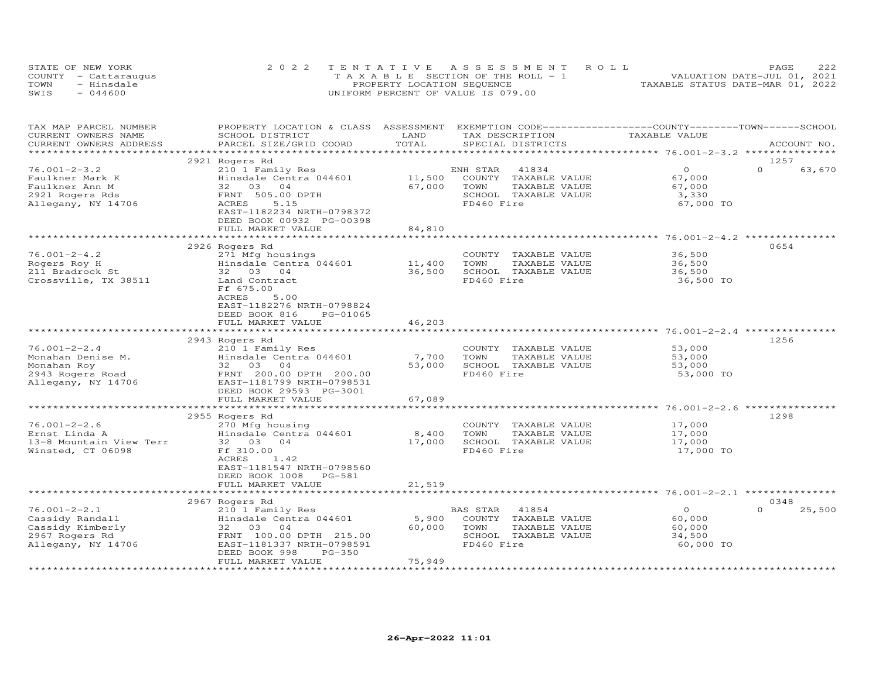| STATE OF NEW YORK    |            | 2022 TENTATIVE ASSESSMENT ROLL        |  |  |                                  | PAGE | 222 |
|----------------------|------------|---------------------------------------|--|--|----------------------------------|------|-----|
| COUNTY - Cattaraugus |            | T A X A B L E SECTION OF THE ROLL - 1 |  |  | VALUATION DATE-JUL 01, 2021      |      |     |
| TOWN                 | - Hinsdale | PROPERTY LOCATION SEQUENCE            |  |  | TAXABLE STATUS DATE-MAR 01, 2022 |      |     |
| SWIS                 | $-044600$  | UNIFORM PERCENT OF VALUE IS 079.00    |  |  |                                  |      |     |

| TAX MAP PARCEL NUMBER<br>CURRENT OWNERS NAME            | PROPERTY LOCATION & CLASS ASSESSMENT<br>SCHOOL DISTRICT                                    | LAND             | TAX DESCRIPTION                                                       | EXEMPTION CODE-----------------COUNTY-------TOWN------SCHOOL<br>TAXABLE VALUE |                    |
|---------------------------------------------------------|--------------------------------------------------------------------------------------------|------------------|-----------------------------------------------------------------------|-------------------------------------------------------------------------------|--------------------|
| CURRENT OWNERS ADDRESS<br>******************            | PARCEL SIZE/GRID COORD                                                                     | TOTAL            | SPECIAL DISTRICTS                                                     |                                                                               | ACCOUNT NO.        |
|                                                         | 2921 Rogers Rd                                                                             |                  |                                                                       |                                                                               | 1257               |
| $76.001 - 2 - 3.2$<br>Faulkner Mark K<br>Faulkner Ann M | 210 1 Family Res<br>Hinsdale Centra 044601<br>03<br>32<br>04                               | 11,500<br>67,000 | ENH STAR<br>41834<br>COUNTY<br>TAXABLE VALUE<br>TOWN<br>TAXABLE VALUE | $\Omega$<br>67,000<br>67,000                                                  | $\Omega$<br>63,670 |
| 2921 Rogers Rds<br>Allegany, NY 14706                   | FRNT 505.00 DPTH<br>5.15<br>ACRES<br>EAST-1182234 NRTH-0798372<br>DEED BOOK 00932 PG-00398 |                  | SCHOOL TAXABLE VALUE<br>FD460 Fire                                    | 3,330<br>67,000 TO                                                            |                    |
|                                                         | FULL MARKET VALUE                                                                          | 84,810           |                                                                       |                                                                               |                    |
|                                                         |                                                                                            | **********       |                                                                       |                                                                               |                    |
|                                                         | 2926 Rogers Rd                                                                             |                  |                                                                       |                                                                               | 0654               |
| $76.001 - 2 - 4.2$<br>Rogers Roy H                      | 271 Mfg housings<br>Hinsdale Centra 044601                                                 | 11,400           | COUNTY TAXABLE VALUE<br>TOWN<br>TAXABLE VALUE                         | 36,500                                                                        |                    |
| 211 Bradrock St                                         | 32 03 04                                                                                   | 36,500           | SCHOOL TAXABLE VALUE                                                  | 36,500<br>36,500                                                              |                    |
| Crossville, TX 38511                                    | Land Contract<br>Ff 675.00<br>ACRES<br>5.00<br>EAST-1182276 NRTH-0798824                   |                  | FD460 Fire                                                            | 36,500 TO                                                                     |                    |
|                                                         | DEED BOOK 816<br>PG-01065                                                                  |                  |                                                                       |                                                                               |                    |
|                                                         | FULL MARKET VALUE                                                                          | 46,203           |                                                                       |                                                                               |                    |
|                                                         |                                                                                            |                  |                                                                       |                                                                               |                    |
|                                                         | 2943 Rogers Rd                                                                             |                  |                                                                       |                                                                               | 1256               |
| $76.001 - 2 - 2.4$<br>Monahan Denise M.                 | 210 1 Family Res<br>Hinsdale Centra 044601                                                 | 7,700            | COUNTY TAXABLE VALUE<br>TOWN<br>TAXABLE VALUE                         | 53,000<br>53,000                                                              |                    |
| Monahan Roy                                             | 32 03 04                                                                                   | 53,000           | SCHOOL TAXABLE VALUE                                                  | 53,000                                                                        |                    |
| 2943 Rogers Road                                        | FRNT 200.00 DPTH 200.00                                                                    |                  | FD460 Fire                                                            | 53,000 TO                                                                     |                    |
| Allegany, NY 14706                                      | EAST-1181799 NRTH-0798531<br>DEED BOOK 29593 PG-3001                                       |                  |                                                                       |                                                                               |                    |
|                                                         | FULL MARKET VALUE                                                                          | 67,089           |                                                                       |                                                                               |                    |
|                                                         | 2955 Rogers Rd                                                                             |                  |                                                                       |                                                                               | 1298               |
| $76.001 - 2 - 2.6$                                      | 270 Mfg housing                                                                            |                  | COUNTY TAXABLE VALUE                                                  | 17,000                                                                        |                    |
| Ernst Linda A                                           | Hinsdale Centra 044601                                                                     | 8,400            | TOWN<br>TAXABLE VALUE                                                 | 17,000                                                                        |                    |
| 13-8 Mountain View Terr                                 | 32 03 04                                                                                   | 17,000           | SCHOOL TAXABLE VALUE                                                  | 17,000                                                                        |                    |
| Winsted, CT 06098                                       | Ff 310.00<br>1.42<br>ACRES<br>EAST-1181547 NRTH-0798560<br>DEED BOOK 1008 PG-581           |                  | FD460 Fire                                                            | 17,000 TO                                                                     |                    |
|                                                         | FULL MARKET VALUE                                                                          | 21,519           |                                                                       |                                                                               |                    |
|                                                         | 2967 Rogers Rd                                                                             |                  |                                                                       |                                                                               | 0348               |
| $76.001 - 2 - 2.1$                                      | 210 1 Family Res                                                                           |                  | 41854<br>BAS STAR                                                     | $\circ$                                                                       | $\Omega$<br>25,500 |
| Cassidy Randall                                         | Hinsdale Centra 044601                                                                     | 5,900            | COUNTY TAXABLE VALUE                                                  | 60,000                                                                        |                    |
| Cassidy Kimberly                                        | 32 03 04                                                                                   | 60,000           | TOWN<br>TAXABLE VALUE                                                 | 60,000                                                                        |                    |
| 2967 Rogers Rd                                          | FRNT 100.00 DPTH 215.00                                                                    |                  | SCHOOL TAXABLE VALUE                                                  | 34,500                                                                        |                    |
| Allegany, NY 14706                                      | EAST-1181337 NRTH-0798591<br>DEED BOOK 998<br>PG-350<br>FULL MARKET VALUE                  | 75,949           | FD460 Fire                                                            | 60,000 TO                                                                     |                    |
|                                                         |                                                                                            |                  |                                                                       |                                                                               |                    |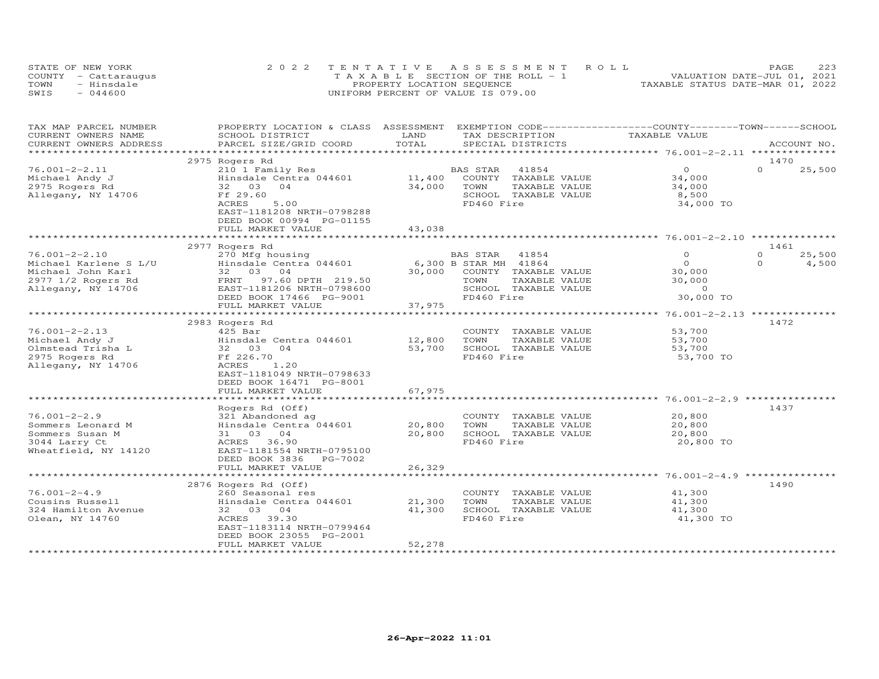| STATE OF NEW YORK    | 2022 TENTATIVE ASSESSMENT ROLL        | 223<br>PAGE.                     |
|----------------------|---------------------------------------|----------------------------------|
| COUNTY - Cattaraugus | T A X A B L E SECTION OF THE ROLL - 1 | VALUATION DATE-JUL 01, 2021      |
| TOWN<br>- Hinsdale   | PROPERTY LOCATION SEQUENCE            | TAXABLE STATUS DATE-MAR 01, 2022 |
| $-044600$<br>SWIS    | UNIFORM PERCENT OF VALUE IS 079.00    |                                  |

| TAX MAP PARCEL NUMBER<br>CURRENT OWNERS NAME | PROPERTY LOCATION & CLASS ASSESSMENT<br>SCHOOL DISTRICT | LAND                            | TAX DESCRIPTION             | EXEMPTION CODE-----------------COUNTY-------TOWN-----SCHOOL<br>TAXABLE VALUE |                    |
|----------------------------------------------|---------------------------------------------------------|---------------------------------|-----------------------------|------------------------------------------------------------------------------|--------------------|
| CURRENT OWNERS ADDRESS                       | PARCEL SIZE/GRID COORD                                  | TOTAL                           | SPECIAL DISTRICTS           |                                                                              | ACCOUNT NO.        |
|                                              |                                                         | **********************          |                             | ************************ 76.001-2-2.11 ***************                       |                    |
|                                              | 2975 Rogers Rd                                          |                                 |                             |                                                                              | 1470               |
| $76.001 - 2 - 2.11$                          | 210 1 Family Res                                        |                                 | BAS STAR<br>41854           | $\overline{0}$                                                               | $\Omega$<br>25,500 |
| Michael Andy J                               | Hinsdale Centra 044601                                  | 11,400                          | COUNTY TAXABLE VALUE        | 34,000                                                                       |                    |
| 2975 Rogers Rd                               | 32 03<br>04                                             | 34,000                          | TOWN<br>TAXABLE VALUE       | 34,000                                                                       |                    |
| Allegany, NY 14706                           | Ff 29.60                                                |                                 | SCHOOL TAXABLE VALUE        | 8,500                                                                        |                    |
|                                              | ACRES<br>5.00                                           |                                 | FD460 Fire                  | 34,000 TO                                                                    |                    |
|                                              | EAST-1181208 NRTH-0798288                               |                                 |                             |                                                                              |                    |
|                                              | DEED BOOK 00994 PG-01155                                |                                 |                             |                                                                              |                    |
|                                              | FULL MARKET VALUE                                       | 43,038                          |                             |                                                                              |                    |
|                                              |                                                         |                                 |                             |                                                                              |                    |
|                                              | 2977 Rogers Rd                                          |                                 |                             |                                                                              | 1461               |
| $76.001 - 2 - 2.10$                          | 270 Mfg housing                                         |                                 | BAS STAR<br>41854           | $\Omega$                                                                     | $\Omega$<br>25,500 |
| Michael Karlene S L/U                        | Hinsdale Centra 044601                                  |                                 | 6,300 B STAR MH 41864       | $\Omega$                                                                     | $\Omega$<br>4,500  |
| Michael John Karl                            | 32 03 04                                                |                                 | 30,000 COUNTY TAXABLE VALUE | 30,000                                                                       |                    |
| 2977 1/2 Rogers Rd                           | FRNT 97.60 DPTH 219.50                                  |                                 | TOWN<br>TAXABLE VALUE       | 30,000                                                                       |                    |
| Allegany, NY 14706                           | EAST-1181206 NRTH-0798600                               |                                 | SCHOOL TAXABLE VALUE        | $\Omega$<br>30,000 TO                                                        |                    |
|                                              | DEED BOOK 17466 PG-9001                                 |                                 | FD460 Fire                  |                                                                              |                    |
|                                              | FULL MARKET VALUE<br>***************************        | 37,975<br>* * * * * * * * * * * |                             | *********************** 76.001-2-2.13 **************                         |                    |
|                                              | 2983 Rogers Rd                                          |                                 |                             |                                                                              | 1472               |
| $76.001 - 2 - 2.13$                          | $425$ Bar                                               |                                 | COUNTY TAXABLE VALUE        | 53,700                                                                       |                    |
| Michael Andy J                               | Hinsdale Centra 044601                                  | 12,800                          | TOWN<br>TAXABLE VALUE       | 53,700                                                                       |                    |
| Olmstead Trisha L                            | 32 03 04                                                | 53,700                          | SCHOOL TAXABLE VALUE        | 53,700                                                                       |                    |
| 2975 Rogers Rd                               | Ff 226.70                                               |                                 | FD460 Fire                  | 53,700 TO                                                                    |                    |
| Allegany, NY 14706                           | ACRES<br>1.20                                           |                                 |                             |                                                                              |                    |
|                                              | EAST-1181049 NRTH-0798633                               |                                 |                             |                                                                              |                    |
|                                              | DEED BOOK 16471 PG-8001                                 |                                 |                             |                                                                              |                    |
|                                              | FULL MARKET VALUE                                       | 67,975                          |                             |                                                                              |                    |
|                                              |                                                         |                                 |                             |                                                                              |                    |
|                                              | Rogers Rd (Off)                                         |                                 |                             |                                                                              | 1437               |
| $76.001 - 2 - 2.9$                           | 321 Abandoned ag                                        |                                 | COUNTY TAXABLE VALUE        | 20,800                                                                       |                    |
| Sommers Leonard M                            | Hinsdale Centra 044601                                  | 20,800                          | TOWN<br>TAXABLE VALUE       | 20,800                                                                       |                    |
| Sommers Susan M                              | 31 03 04                                                | 20,800                          | SCHOOL TAXABLE VALUE        | 20,800                                                                       |                    |
| 3044 Larry Ct                                | ACRES 36.90                                             |                                 | FD460 Fire                  | 20,800 TO                                                                    |                    |
| Wheatfield, NY 14120                         | EAST-1181554 NRTH-0795100                               |                                 |                             |                                                                              |                    |
|                                              | DEED BOOK 3836<br>PG-7002                               |                                 |                             |                                                                              |                    |
|                                              | FULL MARKET VALUE                                       | 26,329                          |                             |                                                                              |                    |
|                                              |                                                         |                                 |                             |                                                                              | 1490               |
| $76.001 - 2 - 4.9$                           | 2876 Rogers Rd (Off)<br>260 Seasonal res                |                                 | COUNTY TAXABLE VALUE        | 41,300                                                                       |                    |
| Cousins Russell                              | Hinsdale Centra 044601                                  | 21,300                          | TOWN<br>TAXABLE VALUE       | 41,300                                                                       |                    |
| 324 Hamilton Avenue                          | 32 03 04                                                | 41,300                          | SCHOOL TAXABLE VALUE        | 41,300                                                                       |                    |
| Olean, NY 14760                              | ACRES 39.30                                             |                                 | FD460 Fire                  | 41,300 TO                                                                    |                    |
|                                              | EAST-1183114 NRTH-0799464                               |                                 |                             |                                                                              |                    |
|                                              | DEED BOOK 23055 PG-2001                                 |                                 |                             |                                                                              |                    |
|                                              | FULL MARKET VALUE                                       | 52,278                          |                             |                                                                              |                    |
|                                              |                                                         |                                 |                             |                                                                              |                    |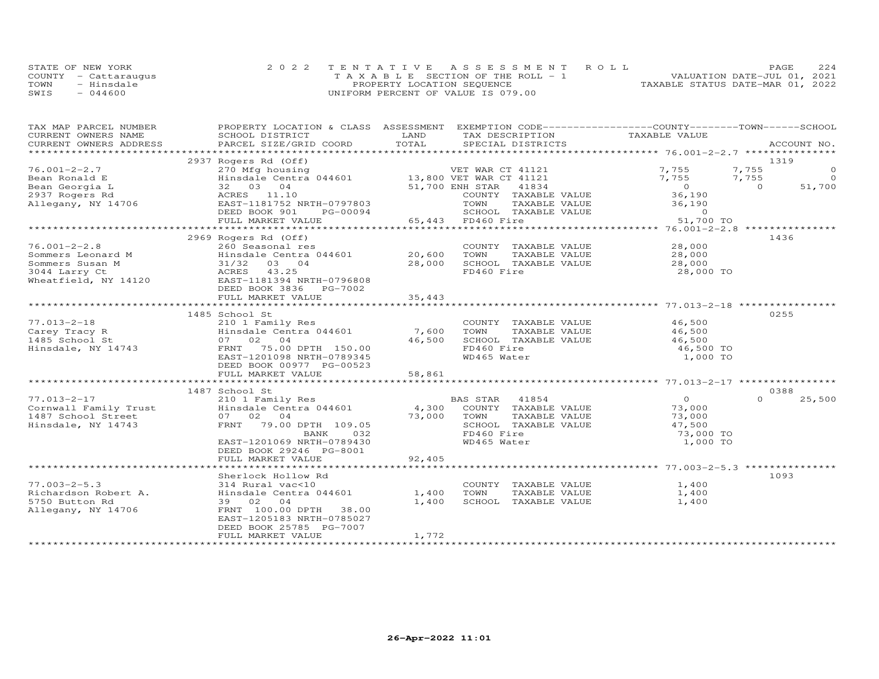|      | STATE OF NEW YORK    | 2022 TENTATIVE ASSESSMENT ROLL        | PAGE                             | 224 |
|------|----------------------|---------------------------------------|----------------------------------|-----|
|      | COUNTY - Cattaraugus | T A X A B L E SECTION OF THE ROLL - 1 | VALUATION DATE-JUL 01, 2021      |     |
| TOWN | - Hinsdale           | PROPERTY LOCATION SEQUENCE            | TAXABLE STATUS DATE-MAR 01, 2022 |     |
| SWIS | $-044600$            | UNIFORM PERCENT OF VALUE IS 079.00    |                                  |     |

| TAX MAP PARCEL NUMBER<br>CURRENT OWNERS NAME                                                                                                                                                                | PROPERTY LOCATION & CLASS ASSESSMENT EXEMPTION CODE----------------COUNTY-------TOWN------SCHOOL<br>SCHOOL DISTRICT                                                                                                                                                                                               | LAND                                         | TAX DESCRIPTION                                                                                                                                                                               | TAXABLE VALUE                                                                              |                                  |                                     |
|-------------------------------------------------------------------------------------------------------------------------------------------------------------------------------------------------------------|-------------------------------------------------------------------------------------------------------------------------------------------------------------------------------------------------------------------------------------------------------------------------------------------------------------------|----------------------------------------------|-----------------------------------------------------------------------------------------------------------------------------------------------------------------------------------------------|--------------------------------------------------------------------------------------------|----------------------------------|-------------------------------------|
| CURRENT OWNERS ADDRESS                                                                                                                                                                                      | PARCEL SIZE/GRID COORD                                                                                                                                                                                                                                                                                            | TOTAL                                        | SPECIAL DISTRICTS                                                                                                                                                                             |                                                                                            |                                  | ACCOUNT NO.                         |
|                                                                                                                                                                                                             |                                                                                                                                                                                                                                                                                                                   |                                              |                                                                                                                                                                                               |                                                                                            | 1319                             |                                     |
| $76.001 - 2 - 2.7$<br>Bean Ronald E<br>Bean Georgia L                                                                                                                                                       | 2937 Rogers Rd (Off)<br>270 Mfg housing $\sqrt{270}$ Mfg housing $\sqrt{270}$ Mfg housing $\sqrt{270}$ Merricus $\sqrt{270}$ Merricus $\sqrt{270}$ Merricus $\sqrt{270}$ Merricus $\sqrt{270}$ Merricus $\sqrt{270}$ Merricus $\sqrt{270}$ Merricus $\sqrt{270}$ Merricus $\sqrt{270}$<br>32 03 04<br>ACRES 11.10 |                                              | 51,700 ENH STAR<br>41834<br>COUNTY TAXABLE VALUE                                                                                                                                              | 7,755<br>7,755<br>$0$<br>36,190                                                            | 7,755<br>7,755<br>$\overline{0}$ | $\circ$<br>$\overline{0}$<br>51,700 |
| 2937 Rogers Rd<br>Allegany, NY 14706                                                                                                                                                                        | EAST-1181752 NRTH-0797803<br>DEED BOOK 901<br>FULL MARKET VALUE                                                                                                                                                                                                                                                   |                                              | TOWN<br>PG-00094 SCHOOL TAY<br>LUE 65,443 FD460 Fire<br>SCHOOL TAXABLE VALUE 0<br>FD460 Fire 51,700 TO                                                                                        | TAXABLE VALUE 36,190<br>TAXABLE VALUE 0                                                    |                                  |                                     |
|                                                                                                                                                                                                             |                                                                                                                                                                                                                                                                                                                   |                                              |                                                                                                                                                                                               |                                                                                            |                                  |                                     |
| $76.001 - 2 - 2.8$<br>Sommers Leonard M<br>Sommers Susan M<br>3044 Larry Ct<br>Wheatfield, NY 14120                                                                                                         | 2969 Rogers Rd (Off)<br>260 Seasonal res<br>Hinsdale Centra 044601 20,600<br>31/32 03 04<br>ACRES 43.25<br>EAST-1181394 NRTH-0796808<br>DEED BOOK 3836 PG-7002                                                                                                                                                    | 28,000<br>35,443                             | COUNTY TAXABLE VALUE<br>TOWN<br>TAXABLE VALUE<br>SCHOOL TAXABLE VALUE<br>FD460 Fire                                                                                                           | 28,000<br>$\frac{28,000}{28.000}$<br>28,000 TO                                             | 1436                             |                                     |
|                                                                                                                                                                                                             | FULL MARKET VALUE                                                                                                                                                                                                                                                                                                 |                                              |                                                                                                                                                                                               |                                                                                            |                                  |                                     |
| $77.013 - 2 - 18$<br>Carey Law Law 210 1 Family<br>1485 School St (1974) Hinsdale Cent<br>Hinsdale, NY 14743 FRNT 75.00<br>77.013-2-17<br>Cornwall Family Trust<br>1487 School Street<br>Hinsdale, NY 14743 | 1485 School St<br>210 1 Family Res<br>Hinsdale Centra 044601<br>FRNT 75.00 DPTH 150.00<br>EAST-1201098 NRTH-0789345<br>DEED BOOK 00977 PG-00523<br>FULL MARKET VALUE<br>1487 School St<br>210 1 Family Res<br>Hinsdale Centra 044601<br>07 02 04<br>FRNT 79.00 DPTH 109.05                                        | 7,600<br>46,500<br>58,861<br>4,300<br>73,000 | COUNTY TAXABLE VALUE<br>TOWN<br>TAXABLE VALUE<br>SCHOOL TAXABLE VALUE<br>FD460 Fire<br>WD465 Water<br>BAS STAR 41854<br>COUNTY TAXABLE VALUE<br>TOWN<br>TAXABLE VALUE<br>SCHOOL TAXABLE VALUE | $46,500$<br>$465$<br>46,500<br>46,500 TO<br>1,000 TO<br>$\overline{0}$<br>73,000<br>73,000 | 0255<br>0388<br>$\Omega$         | 25,500                              |
|                                                                                                                                                                                                             | 032<br>BANK<br>EAST-1201069 NRTH-0789430<br>DEED BOOK 29246 PG-8001<br>FULL MARKET VALUE                                                                                                                                                                                                                          | 92,405                                       | FD460 Fire<br>WD465 Water                                                                                                                                                                     | 47,500<br>73,000 TO<br>1,000 TO                                                            |                                  |                                     |
|                                                                                                                                                                                                             |                                                                                                                                                                                                                                                                                                                   |                                              |                                                                                                                                                                                               |                                                                                            |                                  |                                     |
| $77.003 - 2 - 5.3$<br>Richardson Robert A.<br>5750 Button Rd<br>Allegany, NY 14706                                                                                                                          | Sherlock Hollow Rd<br>314 Rural vac<10<br>Hinsdale Centra 044601<br>39 02 04<br>FRNT 100.00 DPTH 38.00<br>EAST-1205183 NRTH-0785027<br>DEED BOOK 25785 PG-7007                                                                                                                                                    | 1,400<br>1,400<br>1,772                      | COUNTY TAXABLE VALUE<br>TOWN<br>TAXABLE VALUE<br>SCHOOL TAXABLE VALUE                                                                                                                         | 1,400<br>1,400<br>1,400                                                                    | 1093                             |                                     |
|                                                                                                                                                                                                             | FULL MARKET VALUE                                                                                                                                                                                                                                                                                                 |                                              |                                                                                                                                                                                               |                                                                                            |                                  |                                     |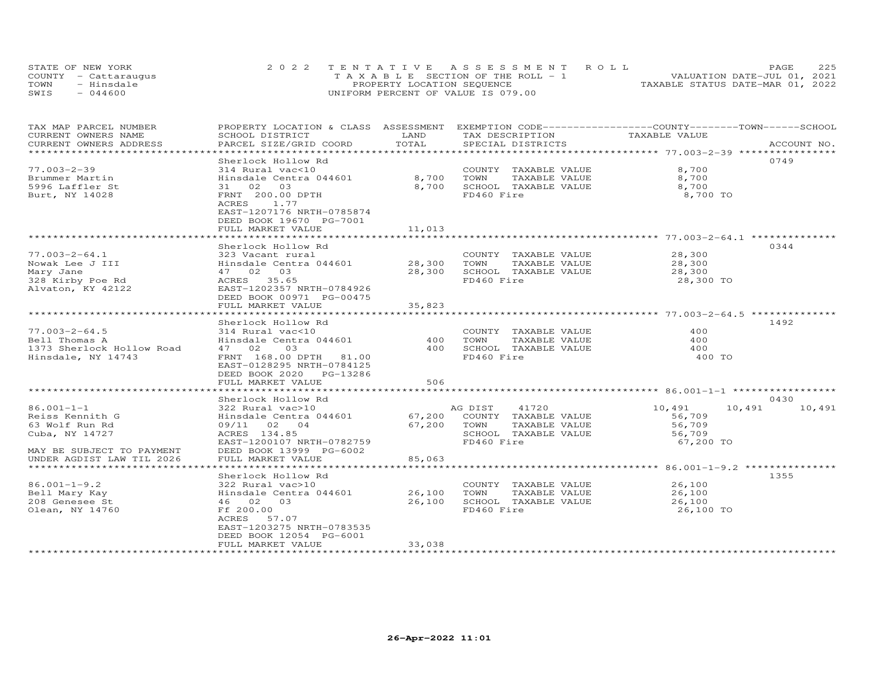|      | STATE OF NEW YORK    | 2022 TENTATIVE ASSESSMENT ROLL        | 225<br>PAGE                      |
|------|----------------------|---------------------------------------|----------------------------------|
|      | COUNTY - Cattaraugus | T A X A B L E SECTION OF THE ROLL - 1 | VALUATION DATE-JUL 01, 2021      |
| TOWN | - Hinsdale           | PROPERTY LOCATION SEQUENCE            | TAXABLE STATUS DATE-MAR 01, 2022 |
| SWIS | $-044600$            | UNIFORM PERCENT OF VALUE IS 079.00    |                                  |

| TAX MAP PARCEL NUMBER<br>CURRENT OWNERS NAME<br>CURRENT OWNERS ADDRESS                               | PROPERTY LOCATION & CLASS ASSESSMENT<br>SCHOOL DISTRICT<br>PARCEL SIZE/GRID COORD                                                                                                                 | LAND<br>TOTAL                   | EXEMPTION CODE-----------------COUNTY-------TOWN------SCHOOL<br>TAX DESCRIPTION<br>SPECIAL DISTRICTS | TAXABLE VALUE                                              | ACCOUNT NO.      |
|------------------------------------------------------------------------------------------------------|---------------------------------------------------------------------------------------------------------------------------------------------------------------------------------------------------|---------------------------------|------------------------------------------------------------------------------------------------------|------------------------------------------------------------|------------------|
|                                                                                                      |                                                                                                                                                                                                   |                                 |                                                                                                      |                                                            |                  |
| $77.003 - 2 - 39$<br>Brummer Martin<br>5996 Laffler St<br>Burt, NY 14028                             | Sherlock Hollow Rd<br>314 Rural vac<10<br>Hinsdale Centra 044601<br>03<br>31 02<br>FRNT 200.00 DPTH<br>ACRES<br>1.77<br>EAST-1207176 NRTH-0785874<br>DEED BOOK 19670 PG-7001<br>FULL MARKET VALUE | 8,700<br>8,700<br>11,013        | COUNTY TAXABLE VALUE<br>TOWN<br>TAXABLE VALUE<br>SCHOOL TAXABLE VALUE<br>FD460 Fire                  | 8,700<br>8,700<br>8,700<br>8,700 TO                        | 0749             |
|                                                                                                      | Sherlock Hollow Rd                                                                                                                                                                                |                                 |                                                                                                      |                                                            | 0344             |
| 77.003-2-64.1<br>Nowak Lee J III<br>Mary Jane<br>328 Kirby Poe Rd<br>Alvaton, KY 42122               | 323 Vacant rural<br>Hinsdale Centra 044601 28,300<br>47 02 03<br>ACRES 35.65<br>EAST-1202357 NRTH-0784926<br>DEED BOOK 00971 PG-00475                                                             | 28,300                          | COUNTY TAXABLE VALUE<br>TAXABLE VALUE<br>TOWN<br>SCHOOL TAXABLE VALUE<br>FD460 Fire                  | 28,300<br>28,300<br>28,300<br>28,300 TO                    |                  |
|                                                                                                      | FULL MARKET VALUE<br>************************                                                                                                                                                     | 35,823<br>* * * * * * * * * * * |                                                                                                      | ***********************************5.003-2-64.5 ********** |                  |
|                                                                                                      |                                                                                                                                                                                                   |                                 |                                                                                                      |                                                            | 1492             |
| $77.003 - 2 - 64.5$<br>Bell Thomas A<br>1373 Sherlock Hollow Road<br>Hinsdale, NY 14743              | Sherlock Hollow Rd<br>314 Rural vac<10<br>Hinsdale Centra 044601<br>47 02<br>03<br>FRNT 168.00 DPTH 81.00<br>EAST-0128295 NRTH-0784125<br>DEED BOOK 2020 PG-13286<br>FULL MARKET VALUE            | 400<br>400<br>506               | COUNTY TAXABLE VALUE<br>TOWN<br>TAXABLE VALUE<br>SCHOOL TAXABLE VALUE<br>FD460 Fire                  | 400<br>400<br>400<br>400 TO                                |                  |
|                                                                                                      | Sherlock Hollow Rd                                                                                                                                                                                |                                 |                                                                                                      |                                                            | 0430             |
| $86.001 - 1 - 1$<br>Reiss Kennith G<br>63 Wolf Run Rd<br>Cuba, NY 14727<br>MAY BE SUBJECT TO PAYMENT | 322 Rural vac>10<br>Hinsdale Centra 044601<br>09/11 02 04<br>ACRES 134.85<br>EAST-1200107 NRTH-0782759<br>DEED BOOK 13999 PG-6002                                                                 | 67,200<br>67,200 TOWN           | AG DIST<br>41720<br>COUNTY TAXABLE VALUE<br>TAXABLE VALUE<br>SCHOOL TAXABLE VALUE<br>FD460 Fire      | 10,491<br>56,709<br>56,709<br>56,709<br>67,200 TO          | 10,491<br>10,491 |
| UNDER AGDIST LAW TIL 2026                                                                            | FULL MARKET VALUE                                                                                                                                                                                 | 85,063                          |                                                                                                      |                                                            |                  |
|                                                                                                      | Sherlock Hollow Rd                                                                                                                                                                                |                                 |                                                                                                      |                                                            | 1355             |
| $86.001 - 1 - 9.2$<br>Bell Mary Kay<br>208 Genesee St<br>Olean, NY 14760                             | 322 Rural vac>10<br>Hinsdale Centra 044601 26,100<br>46 02 03<br>Ff 200.00<br>ACRES<br>57.07<br>EAST-1203275 NRTH-0783535<br>DEED BOOK 12054 PG-6001                                              | 26,100                          | COUNTY TAXABLE VALUE<br>TOWN<br>TAXABLE VALUE<br>SCHOOL TAXABLE VALUE<br>FD460 Fire                  | 26,100<br>26,100<br>26,100<br>26,100 TO                    |                  |
|                                                                                                      | FULL MARKET VALUE                                                                                                                                                                                 | 33,038                          |                                                                                                      |                                                            |                  |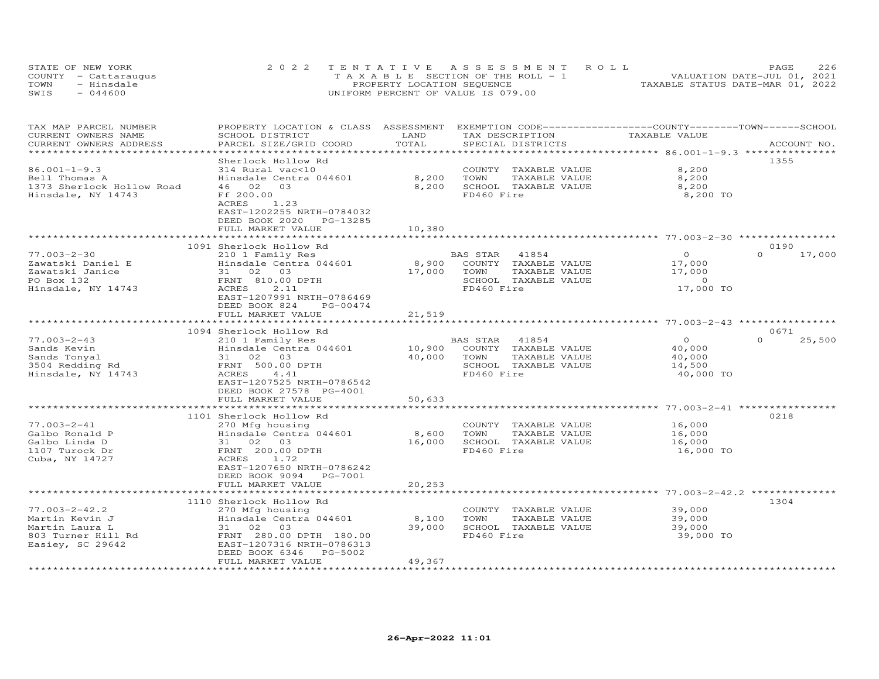| STATE OF NEW YORK |                      | 2022 TENTATIVE ASSESSMENT ROLL        | 226<br>PAGE                      |
|-------------------|----------------------|---------------------------------------|----------------------------------|
|                   | COUNTY - Cattaraugus | T A X A B L E SECTION OF THE ROLL - 1 | VALUATION DATE-JUL 01, 2021      |
| TOWN              | - Hinsdale           | PROPERTY LOCATION SEQUENCE            | TAXABLE STATUS DATE-MAR 01, 2022 |
| SWIS              | $-044600$            | UNIFORM PERCENT OF VALUE IS 079.00    |                                  |

| TAX MAP PARCEL NUMBER<br>CURRENT OWNERS NAME | PROPERTY LOCATION & CLASS<br>SCHOOL DISTRICT | ASSESSMENT<br>LAND | EXEMPTION CODE-----------------COUNTY-------TOWN------SCHOOL<br>TAX DESCRIPTION | TAXABLE VALUE                                |                    |
|----------------------------------------------|----------------------------------------------|--------------------|---------------------------------------------------------------------------------|----------------------------------------------|--------------------|
| CURRENT OWNERS ADDRESS                       | PARCEL SIZE/GRID COORD                       | TOTAL              | SPECIAL DISTRICTS                                                               |                                              | ACCOUNT NO.        |
| *************************                    |                                              |                    |                                                                                 |                                              |                    |
|                                              | Sherlock Hollow Rd                           |                    |                                                                                 |                                              | 1355               |
| $86.001 - 1 - 9.3$                           | 314 Rural vac<10                             |                    | TAXABLE VALUE<br>COUNTY                                                         | 8,200                                        |                    |
| Bell Thomas A                                | Hinsdale Centra 044601                       | 8,200              | TOWN<br>TAXABLE VALUE                                                           | 8,200                                        |                    |
| 1373 Sherlock Hollow Road                    | 02<br>46<br>03                               | 8,200              | SCHOOL TAXABLE VALUE                                                            | 8,200                                        |                    |
| Hinsdale, NY 14743                           | Ff 200.00                                    |                    | FD460 Fire                                                                      | 8,200 TO                                     |                    |
|                                              | ACRES<br>1.23                                |                    |                                                                                 |                                              |                    |
|                                              | EAST-1202255 NRTH-0784032                    |                    |                                                                                 |                                              |                    |
|                                              | DEED BOOK 2020<br>PG-13285                   |                    |                                                                                 |                                              |                    |
|                                              | FULL MARKET VALUE                            | 10,380             |                                                                                 | ******** 77.003-2-30 *********               |                    |
|                                              | 1091 Sherlock Hollow Rd                      |                    |                                                                                 |                                              | 0190               |
| $77.003 - 2 - 30$                            | 210 1 Family Res                             |                    | 41854<br>BAS STAR                                                               | $\circ$                                      | $\Omega$<br>17,000 |
| Zawatski Daniel E                            | Hinsdale Centra 044601                       | 8,900              | COUNTY TAXABLE VALUE                                                            | 17,000                                       |                    |
| Zawatski Janice                              | 31 02 03                                     | 17,000             | TOWN<br>TAXABLE VALUE                                                           | 17,000                                       |                    |
| PO Box 132                                   | FRNT 810.00 DPTH                             |                    | SCHOOL TAXABLE VALUE                                                            | $\sim$ 0                                     |                    |
| Hinsdale, NY 14743                           | 2.11<br>ACRES                                |                    | FD460 Fire                                                                      | 17,000 TO                                    |                    |
|                                              | EAST-1207991 NRTH-0786469                    |                    |                                                                                 |                                              |                    |
|                                              | DEED BOOK 824<br>PG-00474                    |                    |                                                                                 |                                              |                    |
|                                              | FULL MARKET VALUE                            | 21,519             |                                                                                 |                                              |                    |
|                                              |                                              |                    |                                                                                 | ******************** 77.003-2-43 *********** |                    |
|                                              | 1094 Sherlock Hollow Rd                      |                    |                                                                                 |                                              | 0671               |
| $77.003 - 2 - 43$                            | 210 1 Family Res                             |                    | BAS STAR<br>41854                                                               | $\circ$                                      | $\Omega$<br>25,500 |
| Sands Kevin                                  | Hinsdale Centra 044601                       | 10,900             | COUNTY TAXABLE VALUE                                                            | 40,000                                       |                    |
| Sands Tonyal                                 | 02<br>03<br>31                               | 40,000             | TOWN<br>TAXABLE VALUE                                                           | 40,000                                       |                    |
| 3504 Redding Rd                              | FRNT 500.00 DPTH                             |                    | SCHOOL TAXABLE VALUE                                                            | 14,500                                       |                    |
| Hinsdale, NY 14743                           | 4.41<br>ACRES                                |                    | FD460 Fire                                                                      | 40,000 TO                                    |                    |
|                                              | EAST-1207525 NRTH-0786542                    |                    |                                                                                 |                                              |                    |
|                                              | DEED BOOK 27578 PG-4001                      |                    |                                                                                 |                                              |                    |
|                                              | FULL MARKET VALUE                            | 50,633             |                                                                                 |                                              |                    |
|                                              | ***************                              |                    |                                                                                 | *********** 77.003-2-41 ************         |                    |
|                                              | 1101 Sherlock Hollow Rd                      |                    |                                                                                 |                                              | 0218               |
| $77.003 - 2 - 41$                            | 270 Mfg housing                              |                    | COUNTY<br>TAXABLE VALUE                                                         | 16,000                                       |                    |
| Galbo Ronald P                               | Hinsdale Centra 044601                       | 8,600              | TOWN<br>TAXABLE VALUE                                                           | 16,000                                       |                    |
| Galbo Linda D                                | 31<br>02<br>03                               | 16,000             | SCHOOL TAXABLE VALUE<br>FD460 Fire                                              | 16,000                                       |                    |
| 1107 Turock Dr<br>Cuba, NY 14727             | FRNT 200.00 DPTH<br>ACRES<br>1.72            |                    |                                                                                 | 16,000 TO                                    |                    |
|                                              | EAST-1207650 NRTH-0786242                    |                    |                                                                                 |                                              |                    |
|                                              | DEED BOOK 9094<br>PG-7001                    |                    |                                                                                 |                                              |                    |
|                                              | FULL MARKET VALUE                            | 20,253             |                                                                                 |                                              |                    |
|                                              |                                              |                    |                                                                                 | $* 77.003 - 2 - 42.2$                        |                    |
|                                              | 1110 Sherlock Hollow Rd                      |                    |                                                                                 |                                              | 1304               |
| $77.003 - 2 - 42.2$                          | 270 Mfg housing                              |                    | COUNTY<br>TAXABLE VALUE                                                         | 39,000                                       |                    |
| Martin Kevin J                               | Hinsdale Centra 044601                       | 8,100              | TOWN<br>TAXABLE VALUE                                                           | 39,000                                       |                    |
| Martin Laura L                               | 03<br>31<br>02                               | 39,000             | SCHOOL TAXABLE VALUE                                                            | 39,000                                       |                    |
| 803 Turner Hill Rd                           | FRNT 280.00 DPTH 180.00                      |                    | FD460 Fire                                                                      | 39,000 TO                                    |                    |
| Easiey, SC 29642                             | EAST-1207316 NRTH-0786313                    |                    |                                                                                 |                                              |                    |
|                                              | DEED BOOK 6346<br>PG-5002                    |                    |                                                                                 |                                              |                    |
|                                              | FULL MARKET VALUE                            | 49,367             |                                                                                 |                                              |                    |
|                                              |                                              |                    |                                                                                 |                                              |                    |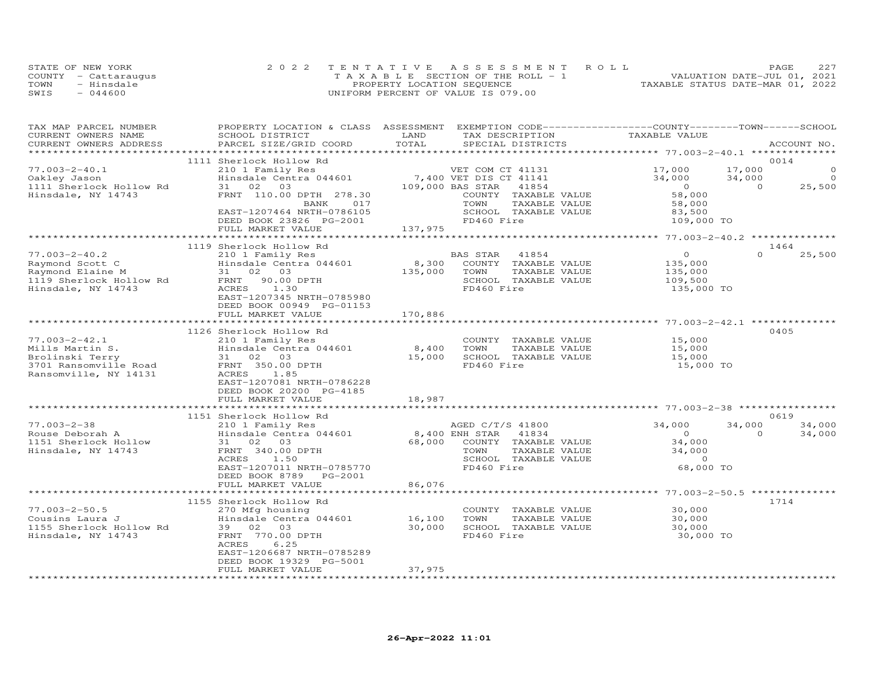| STATE OF NEW YORK    | 2022 TENTATIVE ASSESSMENT ROLL        |                                  | PAGE                        | 227 |
|----------------------|---------------------------------------|----------------------------------|-----------------------------|-----|
| COUNTY - Cattaraugus | T A X A B L E SECTION OF THE ROLL - 1 |                                  | VALUATION DATE-JUL 01, 2021 |     |
| TOWN<br>- Hinsdale   | PROPERTY LOCATION SEQUENCE            | TAXABLE STATUS DATE-MAR 01, 2022 |                             |     |
| SWIS<br>$-044600$    | UNIFORM PERCENT OF VALUE IS 079.00    |                                  |                             |     |

| TAX MAP PARCEL NUMBER<br>CURRENT OWNERS NAME<br>CURRENT OWNERS ADDRESS                                                                                                                               | PROPERTY LOCATION & CLASS ASSESSMENT EXEMPTION CODE----------------COUNTY-------TOWN-----SCHOOL<br>SCHOOL DISTRICT<br>PARCEL SIZE/GRID COORD | LAND<br>TOTAL | TAX DESCRIPTION<br>SPECIAL DISTRICTS                                                                                | TAXABLE VALUE                  | ACCOUNT NO.        |         |
|------------------------------------------------------------------------------------------------------------------------------------------------------------------------------------------------------|----------------------------------------------------------------------------------------------------------------------------------------------|---------------|---------------------------------------------------------------------------------------------------------------------|--------------------------------|--------------------|---------|
|                                                                                                                                                                                                      |                                                                                                                                              |               |                                                                                                                     |                                |                    |         |
|                                                                                                                                                                                                      | 1111 Sherlock Hollow Rd                                                                                                                      |               |                                                                                                                     |                                | 0014               |         |
| $77.003 - 2 - 40.1$                                                                                                                                                                                  | 210 1 Family Res                                                                                                                             |               | VET COM CT 41131                                                                                                    | 17,000                         | 17,000             | $\circ$ |
| Oakley Jason                                                                                                                                                                                         | Hinsdale Centra 044601                                                                                                                       |               |                                                                                                                     | 34,000                         | 34,000             | $\circ$ |
| 1111 Sherlock Hollow Rd                                                                                                                                                                              | 31 02 03                                                                                                                                     |               | VEI COM CT 41131<br>7,400 VET DIS CT 41141<br>109,000 BAS STAR<br>$\begin{array}{c} 2 \ 41141 \\ 41854 \end{array}$ | $\overline{0}$                 | $\Omega$<br>25,500 |         |
| Hinsdale, NY 14743                                                                                                                                                                                   | FRNT 110.00 DPTH 278.30                                                                                                                      |               | COUNTY TAXABLE VALUE                                                                                                | 58,000                         |                    |         |
|                                                                                                                                                                                                      | 017<br>BANK                                                                                                                                  |               | TOWN<br>TAXABLE VALUE                                                                                               |                                |                    |         |
|                                                                                                                                                                                                      | EAST-1207464 NRTH-0786105                                                                                                                    |               | SCHOOL TAXABLE VALUE                                                                                                |                                |                    |         |
|                                                                                                                                                                                                      | DEED BOOK 23826 PG-2001                                                                                                                      |               | FD460 Fire                                                                                                          | 58,000<br>83,500<br>109,000 TO |                    |         |
|                                                                                                                                                                                                      | FULL MARKET VALUE                                                                                                                            | 137,975       |                                                                                                                     |                                |                    |         |
|                                                                                                                                                                                                      |                                                                                                                                              |               |                                                                                                                     |                                |                    |         |
|                                                                                                                                                                                                      | 1119 Sherlock Hollow Rd                                                                                                                      |               |                                                                                                                     |                                | 1464               |         |
| $77.003 - 2 - 40.2$                                                                                                                                                                                  | 210 1 Family Res                                                                                                                             |               | BAS STAR 41854                                                                                                      | $\overline{0}$                 | $\Omega$<br>25,500 |         |
|                                                                                                                                                                                                      | Hinsdale Centra 044601                                                                                                                       |               | 8,300 COUNTY TAXABLE VALUE                                                                                          | 135,000                        |                    |         |
| Raymond Scott C<br>Raymond Elaine M<br>1119 Sherlock Hollow Rd<br>1119 Sherlock Hollow Rd<br>FRNT 90.00 DPTH<br>FRNT 90.00 DPTH                                                                      |                                                                                                                                              | 135,000       | TOWN<br>TAXABLE VALUE                                                                                               | 135,000                        |                    |         |
|                                                                                                                                                                                                      |                                                                                                                                              |               | SCHOOL TAXABLE VALUE                                                                                                | 109,500                        |                    |         |
| Hinsdale, NY 14743                                                                                                                                                                                   | ACRES<br>1.30                                                                                                                                |               | FD460 Fire                                                                                                          | 135,000 TO                     |                    |         |
|                                                                                                                                                                                                      | EAST-1207345 NRTH-0785980                                                                                                                    |               |                                                                                                                     |                                |                    |         |
|                                                                                                                                                                                                      | DEED BOOK 00949 PG-01153                                                                                                                     |               |                                                                                                                     |                                |                    |         |
|                                                                                                                                                                                                      | FULL MARKET VALUE                                                                                                                            | 170,886       |                                                                                                                     |                                |                    |         |
|                                                                                                                                                                                                      |                                                                                                                                              |               |                                                                                                                     |                                |                    |         |
|                                                                                                                                                                                                      | 1126 Sherlock Hollow Rd                                                                                                                      |               |                                                                                                                     |                                | 0405               |         |
|                                                                                                                                                                                                      |                                                                                                                                              |               | COUNTY TAXABLE VALUE                                                                                                | 15,000                         |                    |         |
|                                                                                                                                                                                                      | Hinsdale Centra 044601                                                                                                                       | 8,400         | TOWN<br>TAXABLE VALUE                                                                                               | 15,000                         |                    |         |
| Mills Martin S.<br>Brolinski Terry<br>3701 Ransomville Road<br>Ransomville, NY 14131<br>210 1 Family Res<br>310203<br>FRNT 350.00 DPTH<br>Ransomville, NY 14131<br>20203<br>2020<br>20310203<br>2020 |                                                                                                                                              | 15,000        | SCHOOL TAXABLE VALUE                                                                                                | 15,000                         |                    |         |
|                                                                                                                                                                                                      |                                                                                                                                              |               | FD460 Fire                                                                                                          | 15,000 TO                      |                    |         |
|                                                                                                                                                                                                      |                                                                                                                                              |               |                                                                                                                     |                                |                    |         |
|                                                                                                                                                                                                      | EAST-1207081 NRTH-0786228                                                                                                                    |               |                                                                                                                     |                                |                    |         |
|                                                                                                                                                                                                      | DEED BOOK 20200 PG-4185                                                                                                                      |               |                                                                                                                     |                                |                    |         |
|                                                                                                                                                                                                      | FULL MARKET VALUE                                                                                                                            | 18,987        |                                                                                                                     |                                |                    |         |
|                                                                                                                                                                                                      |                                                                                                                                              |               |                                                                                                                     |                                |                    |         |
|                                                                                                                                                                                                      | 1151 Sherlock Hollow Rd                                                                                                                      |               |                                                                                                                     |                                | 0619               |         |
| $77.003 - 2 - 38$                                                                                                                                                                                    | 210 1 Family Res                                                                                                                             |               | AGED C/T/S 41800                                                                                                    | 34,000                         | 34,000<br>34,000   |         |
| Rouse Deborah A                                                                                                                                                                                      | Hinsdale Centra 044601                                                                                                                       |               | 8,400 ENH STAR 41834                                                                                                | $\overline{0}$                 | $\Omega$<br>34,000 |         |
| 1151 Sherlock Hollow                                                                                                                                                                                 | 31 02 03                                                                                                                                     |               | 68,000 COUNTY TAXABLE VALUE                                                                                         | 34,000                         |                    |         |
| Hinsdale, NY 14743                                                                                                                                                                                   | FRNT 340.00 DPTH                                                                                                                             |               | TOWN<br>TAXABLE VALUE                                                                                               | 34,000                         |                    |         |
|                                                                                                                                                                                                      | ACRES<br>1.50                                                                                                                                |               | SCHOOL TAXABLE VALUE                                                                                                | $\overline{0}$                 |                    |         |
|                                                                                                                                                                                                      | EAST-1207011 NRTH-0785770                                                                                                                    |               | FD460 Fire                                                                                                          | 68,000 TO                      |                    |         |
|                                                                                                                                                                                                      | DEED BOOK 8789 PG-2001                                                                                                                       |               |                                                                                                                     |                                |                    |         |
|                                                                                                                                                                                                      | FULL MARKET VALUE                                                                                                                            | 86,076        |                                                                                                                     |                                |                    |         |
|                                                                                                                                                                                                      |                                                                                                                                              |               |                                                                                                                     |                                |                    |         |
| $77.003 - 2 - 50.5$                                                                                                                                                                                  | 1155 Sherlock Hollow Rd                                                                                                                      |               | COUNTY TAXABLE VALUE                                                                                                | 30,000                         | 1714               |         |
| Cousins Laura J                                                                                                                                                                                      | 270 Mfg housing<br>Hinsdale Centra 044601                                                                                                    | 16,100        | TOWN<br>TAXABLE VALUE                                                                                               | 30,000                         |                    |         |
| 1155 Sherlock Hollow Rd                                                                                                                                                                              | 39 02 03                                                                                                                                     | 30,000        | SCHOOL TAXABLE VALUE                                                                                                | 30,000                         |                    |         |
|                                                                                                                                                                                                      | FRNT 770.00 DPTH                                                                                                                             |               | FD460 Fire                                                                                                          | 30,000 TO                      |                    |         |
| Hinsdale, NY 14743                                                                                                                                                                                   | 6.25<br>ACRES                                                                                                                                |               |                                                                                                                     |                                |                    |         |
|                                                                                                                                                                                                      | EAST-1206687 NRTH-0785289                                                                                                                    |               |                                                                                                                     |                                |                    |         |
|                                                                                                                                                                                                      | DEED BOOK 19329 PG-5001                                                                                                                      |               |                                                                                                                     |                                |                    |         |
|                                                                                                                                                                                                      | FULL MARKET VALUE                                                                                                                            | 37,975        |                                                                                                                     |                                |                    |         |
|                                                                                                                                                                                                      |                                                                                                                                              |               |                                                                                                                     |                                |                    |         |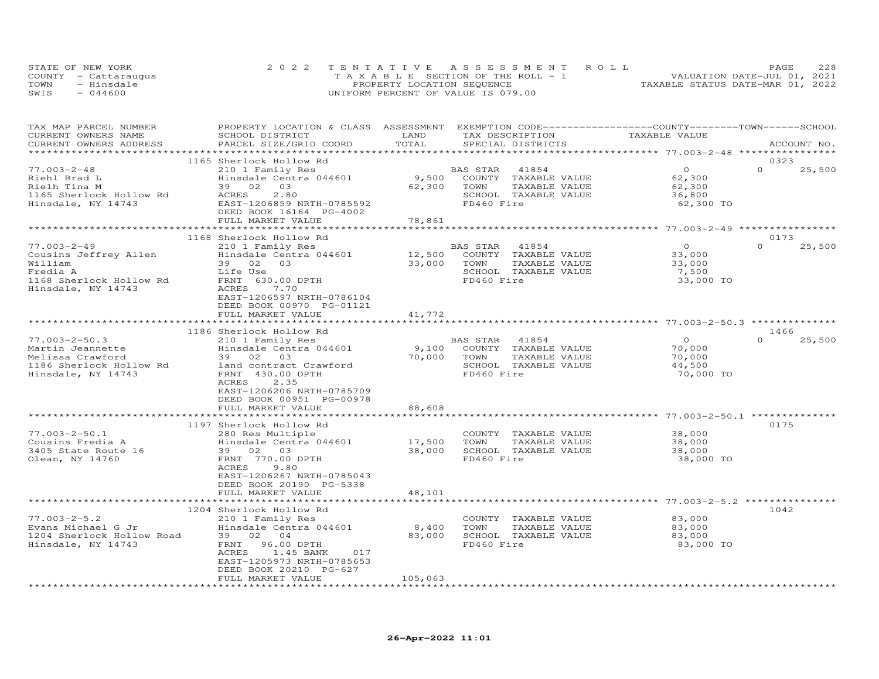|      | STATE OF NEW YORK    | 2022 TENTATIVE ASSESSMENT ROLL        | 228<br>PAGE                      |
|------|----------------------|---------------------------------------|----------------------------------|
|      | COUNTY - Cattaraugus | T A X A B L E SECTION OF THE ROLL - 1 | VALUATION DATE-JUL 01, 2021      |
| TOWN | - Hinsdale           | PROPERTY LOCATION SEQUENCE            | TAXABLE STATUS DATE-MAR 01, 2022 |
| SWIS | $-044600$            | UNIFORM PERCENT OF VALUE IS 079.00    |                                  |

| TAX MAP PARCEL NUMBER     | PROPERTY LOCATION & CLASS ASSESSMENT EXEMPTION CODE----------------COUNTY-------TOWN------SCHOOL |                  |                            |                |                    |
|---------------------------|--------------------------------------------------------------------------------------------------|------------------|----------------------------|----------------|--------------------|
| CURRENT OWNERS NAME       | SCHOOL DISTRICT                                                                                  | LAND             | TAX DESCRIPTION            | TAXABLE VALUE  |                    |
| CURRENT OWNERS ADDRESS    | PARCEL SIZE/GRID COORD                                                                           | TOTAL            | SPECIAL DISTRICTS          |                | ACCOUNT NO.        |
|                           |                                                                                                  |                  |                            |                |                    |
|                           | 1165 Sherlock Hollow Rd                                                                          |                  |                            |                | 0323               |
| $77.003 - 2 - 48$         | 210 1 Family Res                                                                                 |                  | BAS STAR<br>41854          | $\Omega$       | $\Omega$<br>25,500 |
| Riehl Brad L              | Hinsdale Centra 044601                                                                           | 9,500            | COUNTY TAXABLE VALUE       | 62,300         |                    |
| Rielh Tina M              | 39 02 03                                                                                         | 62,300           | TOWN<br>TAXABLE VALUE      | 62,300         |                    |
| 1165 Sherlock Hollow Rd   | 2.80<br>ACRES                                                                                    |                  | SCHOOL TAXABLE VALUE       | 36,800         |                    |
| Hinsdale, NY 14743        | EAST-1206859 NRTH-0785592                                                                        |                  | FD460 Fire                 | 62,300 TO      |                    |
|                           | DEED BOOK 16164 PG-4002                                                                          |                  |                            |                |                    |
|                           | FULL MARKET VALUE                                                                                | 78,861           |                            |                |                    |
|                           |                                                                                                  |                  |                            |                |                    |
|                           | 1168 Sherlock Hollow Rd                                                                          |                  |                            |                | 0173               |
| $77.003 - 2 - 49$         | 210 1 Family Res                                                                                 |                  | BAS STAR 41854             | $\overline{O}$ | 25,500<br>$\Omega$ |
| Cousins Jeffrey Allen     | Hinsdale Centra 044601                                                                           | 12,500<br>33,000 | COUNTY TAXABLE VALUE       | 33,000         |                    |
| William                   | 39 02 03                                                                                         |                  | TOWN<br>TAXABLE VALUE      | 33,000         |                    |
| Fredia A                  | Life Use                                                                                         |                  | SCHOOL TAXABLE VALUE       | 7,500          |                    |
| 1168 Sherlock Hollow Rd   | FRNT 630.00 DPTH                                                                                 |                  | FD460 Fire                 | 33,000 TO      |                    |
| Hinsdale, NY 14743        | 7.70<br>ACRES                                                                                    |                  |                            |                |                    |
|                           | EAST-1206597 NRTH-0786104                                                                        |                  |                            |                |                    |
|                           | DEED BOOK 00970 PG-01121                                                                         |                  |                            |                |                    |
|                           | FULL MARKET VALUE                                                                                | 41,772           |                            |                |                    |
|                           |                                                                                                  |                  |                            |                |                    |
|                           | 1186 Sherlock Hollow Rd                                                                          |                  |                            |                | 1466               |
| $77.003 - 2 - 50.3$       | 210 1 Family Res                                                                                 |                  | BAS STAR 41854             | $\overline{0}$ | $\Omega$<br>25,500 |
| Martin Jeannette          | Hinsdale Centra 044601                                                                           |                  | 9,100 COUNTY TAXABLE VALUE | 70,000         |                    |
| Melissa Crawford          | 39 02 03                                                                                         | 70,000           | TAXABLE VALUE<br>TOWN      | 70,000         |                    |
| 1186 Sherlock Hollow Rd   | land contract Crawford                                                                           |                  | SCHOOL TAXABLE VALUE       | 44,500         |                    |
| Hinsdale, NY 14743        | FRNT 430.00 DPTH                                                                                 |                  | FD460 Fire                 | 70,000 TO      |                    |
|                           | 2.35<br>ACRES                                                                                    |                  |                            |                |                    |
|                           | EAST-1206206 NRTH-0785709                                                                        |                  |                            |                |                    |
|                           | DEED BOOK 00951 PG-00978                                                                         |                  |                            |                |                    |
|                           | FULL MARKET VALUE                                                                                | 88,608           |                            |                |                    |
|                           |                                                                                                  |                  |                            |                |                    |
|                           | 1197 Sherlock Hollow Rd                                                                          |                  |                            |                | 0175               |
| $77.003 - 2 - 50.1$       | 280 Res Multiple                                                                                 |                  | COUNTY TAXABLE VALUE       | 38,000         |                    |
| Cousins Fredia A          | Hinsdale Centra 044601                                                                           | 17,500           | TOWN<br>TAXABLE VALUE      | 38,000         |                    |
| 3405 State Route 16       | 39 02 03                                                                                         | 38,000           | SCHOOL TAXABLE VALUE       | 38,000         |                    |
| Olean, NY 14760           | FRNT 770.00 DPTH                                                                                 |                  | FD460 Fire                 | 38,000 TO      |                    |
|                           | ACRES<br>9.80                                                                                    |                  |                            |                |                    |
|                           | EAST-1206267 NRTH-0785043                                                                        |                  |                            |                |                    |
|                           | DEED BOOK 20190 PG-5338                                                                          |                  |                            |                |                    |
|                           | FULL MARKET VALUE                                                                                | 48,101           |                            |                |                    |
|                           |                                                                                                  |                  |                            |                |                    |
|                           | 1204 Sherlock Hollow Rd                                                                          |                  |                            |                | 1042               |
| $77.003 - 2 - 5.2$        | 210 1 Family Res                                                                                 |                  | COUNTY TAXABLE VALUE       | 83,000         |                    |
| Evans Michael G Jr        | Hinsdale Centra 044601                                                                           | 8,400            | TOWN<br>TAXABLE VALUE      | 83,000         |                    |
| 1204 Sherlock Hollow Road | 39 02 04                                                                                         | 83,000           | SCHOOL TAXABLE VALUE       | 83,000         |                    |
| Hinsdale, NY 14743        | FRNT 96.00 DPTH                                                                                  |                  | FD460 Fire                 | 83,000 TO      |                    |
|                           | ACRES 1.45 BANK<br>017                                                                           |                  |                            |                |                    |
|                           | EAST-1205973 NRTH-0785653                                                                        |                  |                            |                |                    |
|                           | DEED BOOK 20210 PG-627                                                                           |                  |                            |                |                    |
|                           | FULL MARKET VALUE                                                                                | 105,063          |                            |                |                    |
|                           |                                                                                                  |                  |                            |                |                    |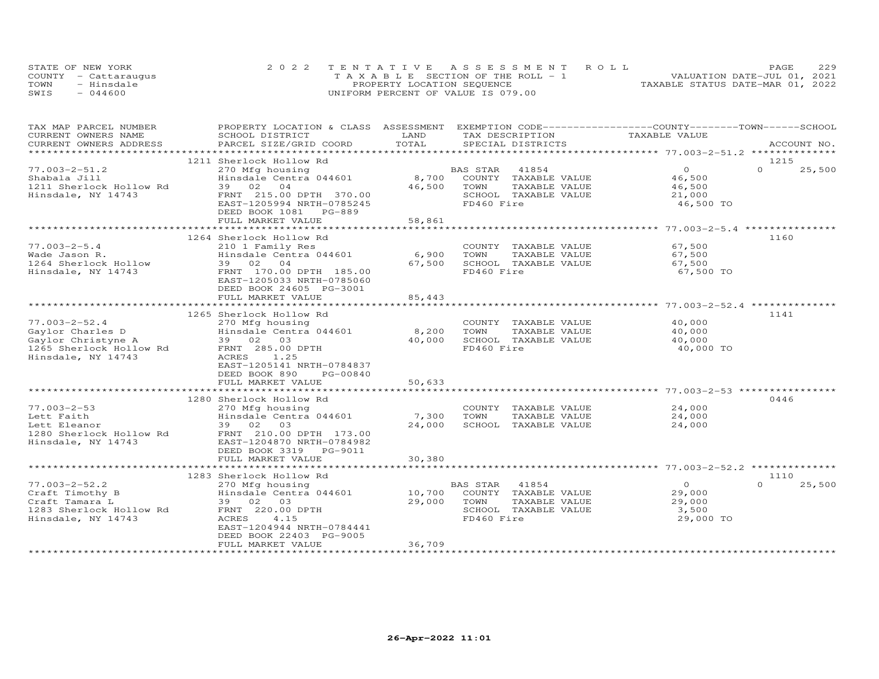|      | STATE OF NEW YORK    | 2022 TENTATIVE ASSESSMENT ROLL        | 229<br>PAGE.                     |
|------|----------------------|---------------------------------------|----------------------------------|
|      | COUNTY - Cattaraugus | T A X A B L E SECTION OF THE ROLL - 1 | VALUATION DATE-JUL 01, 2021      |
| TOWN | - Hinsdale           | PROPERTY LOCATION SEQUENCE            | TAXABLE STATUS DATE-MAR 01, 2022 |
| SWIS | $-044600$            | UNIFORM PERCENT OF VALUE IS 079.00    |                                  |

| TAX MAP PARCEL NUMBER<br>CURRENT OWNERS NAME                                                                   | PROPERTY LOCATION & CLASS ASSESSMENT<br>SCHOOL DISTRICT                                                                                                                   | LAND                      | EXEMPTION CODE-----------------COUNTY-------TOWN-----SCHOOL<br>TAX DESCRIPTION                               | TAXABLE VALUE                                            |                            |
|----------------------------------------------------------------------------------------------------------------|---------------------------------------------------------------------------------------------------------------------------------------------------------------------------|---------------------------|--------------------------------------------------------------------------------------------------------------|----------------------------------------------------------|----------------------------|
| CURRENT OWNERS ADDRESS                                                                                         | PARCEL SIZE/GRID COORD                                                                                                                                                    | TOTAL                     | SPECIAL DISTRICTS                                                                                            |                                                          | ACCOUNT NO.                |
| ******************                                                                                             |                                                                                                                                                                           |                           |                                                                                                              |                                                          |                            |
| $77.003 - 2 - 51.2$<br>Shabala Jill<br>1211 Sherlock Hollow Rd<br>Hinsdale, NY 14743                           | 1211 Sherlock Hollow Rd<br>270 Mfg housing<br>Hinsdale Centra 044601<br>39 02<br>04<br>FRNT 215.00 DPTH 370.00<br>EAST-1205994 NRTH-0785245<br>DEED BOOK 1081<br>PG-889   | 8,700<br>46,500           | 41854<br>BAS STAR<br>COUNTY TAXABLE VALUE<br>TOWN<br>TAXABLE VALUE<br>SCHOOL TAXABLE VALUE<br>FD460 Fire     | $\Omega$<br>46,500<br>46,500<br>21,000<br>46,500 TO      | 1215<br>$\Omega$<br>25,500 |
|                                                                                                                | FULL MARKET VALUE                                                                                                                                                         | 58,861                    |                                                                                                              |                                                          |                            |
| $77.003 - 2 - 5.4$<br>Wade Jason R.<br>1264 Sherlock Hollow<br>Hinsdale, NY 14743                              | 1264 Sherlock Hollow Rd<br>210 1 Family Res<br>Hinsdale Centra 044601<br>39 02<br>04<br>FRNT 170.00 DPTH 185.00                                                           | 6,900<br>67,500           | COUNTY TAXABLE VALUE<br>TOWN<br>TAXABLE VALUE<br>SCHOOL TAXABLE VALUE<br>FD460 Fire                          | 67,500<br>67,500<br>67,500                               | 1160                       |
|                                                                                                                | EAST-1205033 NRTH-0785060<br>DEED BOOK 24605 PG-3001<br>FULL MARKET VALUE<br>****************************                                                                 | 85,443                    |                                                                                                              | 67,500 TO<br>*********** 77.003-2-52.4 *                 |                            |
|                                                                                                                | 1265 Sherlock Hollow Rd                                                                                                                                                   |                           |                                                                                                              |                                                          | 1141                       |
| $77.003 - 2 - 52.4$<br>Gaylor Charles D<br>Gaylor Christyne A<br>1265 Sherlock Hollow Rd<br>Hinsdale, NY 14743 | 270 Mfg housing<br>Hinsdale Centra 044601<br>39 02 03<br>FRNT 285.00 DPTH<br>1.25<br>ACRES<br>EAST-1205141 NRTH-0784837<br>DEED BOOK 890<br>PG-00840<br>FULL MARKET VALUE | 8,200<br>40,000<br>50,633 | COUNTY TAXABLE VALUE<br>TOWN<br>TAXABLE VALUE<br>SCHOOL TAXABLE VALUE<br>FD460 Fire                          | 40,000<br>40,000<br>40,000<br>40,000 TO                  |                            |
|                                                                                                                |                                                                                                                                                                           |                           |                                                                                                              |                                                          |                            |
| $77.003 - 2 - 53$<br>Lett Faith<br>Lett Eleanor<br>1280 Sherlock Hollow Rd<br>Hinsdale, NY 14743               | 1280 Sherlock Hollow Rd<br>270 Mfg housing<br>Hinsdale Centra 044601<br>39 02 03<br>FRNT 210.00 DPTH 173.00<br>EAST-1204870 NRTH-0784982<br>DEED BOOK 3319 PG-9011        | 7,300<br>24,000           | COUNTY TAXABLE VALUE<br>TOWN<br>TAXABLE VALUE<br>SCHOOL TAXABLE VALUE                                        | 24,000<br>24,000<br>24,000                               | 0446                       |
|                                                                                                                | FULL MARKET VALUE                                                                                                                                                         | 30,380                    |                                                                                                              |                                                          |                            |
|                                                                                                                |                                                                                                                                                                           |                           |                                                                                                              |                                                          |                            |
|                                                                                                                | 1283 Sherlock Hollow Rd                                                                                                                                                   |                           |                                                                                                              |                                                          | 1110                       |
| $77.003 - 2 - 52.2$<br>Craft Timothy B<br>Craft Tamara L<br>1283 Sherlock Hollow Rd<br>Hinsdale, NY 14743      | 270 Mfg housing<br>Hinsdale Centra 044601<br>39 02 03<br>FRNT 220.00 DPTH<br>4.15<br>ACRES<br>EAST-1204944 NRTH-0784441<br>DEED BOOK 22403 PG-9005<br>FULL MARKET VALUE   | 29,000<br>36,709          | BAS STAR 41854<br>10,700 COUNTY TAXABLE VALUE<br>TOWN<br>TAXABLE VALUE<br>SCHOOL TAXABLE VALUE<br>FD460 Fire | $\overline{O}$<br>29,000<br>29,000<br>3,500<br>29,000 TO | $\Omega$<br>25,500         |
|                                                                                                                |                                                                                                                                                                           |                           |                                                                                                              |                                                          |                            |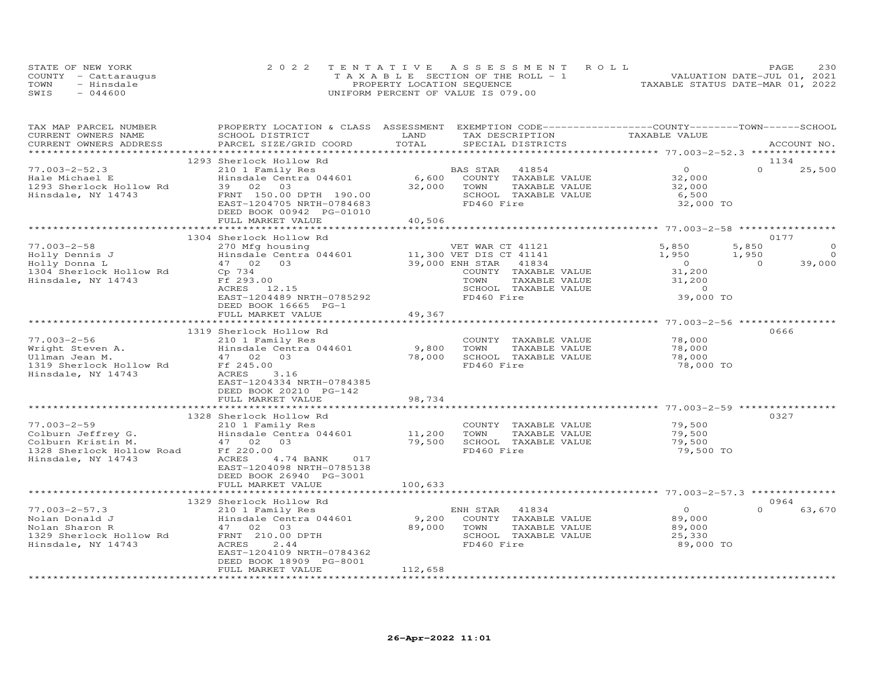|      | STATE OF NEW YORK    | 2022 TENTATIVE ASSESSMENT ROLL        | 230<br>PAGE                      |
|------|----------------------|---------------------------------------|----------------------------------|
|      | COUNTY - Cattaraugus | T A X A B L E SECTION OF THE ROLL - 1 | VALUATION DATE-JUL 01, 2021      |
| TOWN | - Hinsdale           | PROPERTY LOCATION SEQUENCE            | TAXABLE STATUS DATE-MAR 01, 2022 |
| SWIS | $-044600$            | UNIFORM PERCENT OF VALUE IS 079.00    |                                  |

| TAX MAP PARCEL NUMBER<br>CURRENT OWNERS NAME                                                                                           | PROPERTY LOCATION & CLASS ASSESSMENT EXEMPTION CODE----------------COUNTY-------TOWN------SCHOOL<br>SCHOOL DISTRICT | LAND        | TAX DESCRIPTION            | TAXABLE VALUE                                        |                          |
|----------------------------------------------------------------------------------------------------------------------------------------|---------------------------------------------------------------------------------------------------------------------|-------------|----------------------------|------------------------------------------------------|--------------------------|
| CURRENT OWNERS ADDRESS                                                                                                                 | PARCEL SIZE/GRID COORD                                                                                              | TOTAL       | SPECIAL DISTRICTS          |                                                      | ACCOUNT NO.              |
|                                                                                                                                        | 1293 Sherlock Hollow Rd                                                                                             |             |                            |                                                      | 1134                     |
| $77.003 - 2 - 52.3$                                                                                                                    | 210 1 Family Res                                                                                                    |             | BAS STAR 41854             | $\overline{0}$                                       | $\Omega$<br>25,500       |
| Hale Michael E                                                                                                                         | Hinsdale Centra 044601                                                                                              |             | 6,600 COUNTY TAXABLE VALUE | 32,000                                               |                          |
| 1293 Sherlock Hollow Rd                                                                                                                | 39 02 03                                                                                                            | 32,000      | TOWN<br>TAXABLE VALUE      | 32,000                                               |                          |
| Hinsdale, NY 14743                                                                                                                     | FRNT 150.00 DPTH 190.00                                                                                             |             | SCHOOL TAXABLE VALUE       | 6,500                                                |                          |
|                                                                                                                                        | EAST-1204705 NRTH-0784683<br>DEED BOOK 00942 PG-01010                                                               |             | FD460 Fire                 | 32,000 TO                                            |                          |
|                                                                                                                                        | FULL MARKET VALUE                                                                                                   | 40,506      |                            |                                                      |                          |
|                                                                                                                                        |                                                                                                                     |             |                            |                                                      |                          |
|                                                                                                                                        | 1304 Sherlock Hollow Rd                                                                                             |             |                            |                                                      | 0177                     |
| $77.003 - 2 - 58$                                                                                                                      | 270 Mfg housing                                                                                                     |             | VET WAR CT 41121           | 5,850                                                | 5,850<br>$\circ$         |
| Holly Dennis J                                                                                                                         | Hinsdale Centra 044601<br>47 02 03                                                                                  |             | 11,300 VET DIS CT 41141    | 1,950<br>1,950                                       | $\overline{0}$           |
| Holly Donna L                                                                                                                          |                                                                                                                     |             | 39,000 ENH STAR 41834      | $\overline{0}$                                       | 39,000<br>$\overline{0}$ |
| 1304 Sherlock Hollow Rd Cp 734                                                                                                         |                                                                                                                     |             | COUNTY TAXABLE VALUE       | $\begin{array}{c} 0 \\ 31,200 \\ 31,200 \end{array}$ |                          |
| Hinsdale, NY 14743                                                                                                                     | Ff 293.00                                                                                                           |             | TOWN<br>TAXABLE VALUE      |                                                      |                          |
|                                                                                                                                        | ACRES 12.15                                                                                                         |             | SCHOOL TAXABLE VALUE       |                                                      |                          |
|                                                                                                                                        | EAST-1204489 NRTH-0785292                                                                                           |             | FD460 Fire                 | 39,000 TO                                            |                          |
|                                                                                                                                        | DEED BOOK 16665 PG-1                                                                                                |             |                            |                                                      |                          |
|                                                                                                                                        | FULL MARKET VALUE                                                                                                   | 49,367      |                            |                                                      |                          |
|                                                                                                                                        |                                                                                                                     |             |                            |                                                      |                          |
|                                                                                                                                        | 1319 Sherlock Hollow Rd                                                                                             |             |                            |                                                      | 0666                     |
| $77.003 - 2 - 56$                                                                                                                      | 210 1 Family Res                                                                                                    |             | COUNTY TAXABLE VALUE       | 78,000                                               |                          |
|                                                                                                                                        |                                                                                                                     | 9,800       | TOWN<br>TAXABLE VALUE      | 78,000                                               |                          |
|                                                                                                                                        |                                                                                                                     | 78,000      | SCHOOL TAXABLE VALUE       | 78,000                                               |                          |
| 77.003-2-56<br>Wright Steven A. Hinsdale Centra 044601<br>Ullman Jean M. 47 02 03<br>1319 Sherlock Hollow Rd Ff 245.00                 |                                                                                                                     |             | FD460 Fire                 | 78,000 TO                                            |                          |
| Hinsdale, NY 14743                                                                                                                     | ACRES<br>3.16                                                                                                       |             |                            |                                                      |                          |
|                                                                                                                                        | EAST-1204334 NRTH-0784385                                                                                           |             |                            |                                                      |                          |
|                                                                                                                                        |                                                                                                                     |             |                            |                                                      |                          |
|                                                                                                                                        | DEED BOOK 20210 PG-142<br>FULL MARKET VALUE                                                                         | 98,734      |                            |                                                      |                          |
|                                                                                                                                        |                                                                                                                     |             |                            |                                                      |                          |
|                                                                                                                                        |                                                                                                                     |             |                            |                                                      |                          |
|                                                                                                                                        | 1328 Sherlock Hollow Rd                                                                                             |             |                            |                                                      | 0327                     |
| $77.003 - 2 - 59$                                                                                                                      | 210 1 Family Res                                                                                                    |             | COUNTY TAXABLE VALUE       | 79,500                                               |                          |
|                                                                                                                                        |                                                                                                                     | 11,200      | TOWN<br>TAXABLE VALUE      | 79,500                                               |                          |
|                                                                                                                                        |                                                                                                                     | 79,500      | SCHOOL TAXABLE VALUE       | 79,500                                               |                          |
|                                                                                                                                        |                                                                                                                     |             | FD460 Fire                 | 79,500 TO                                            |                          |
| Hinsdale, NY 14743                                                                                                                     | ACRES<br>4.74 BANK 017                                                                                              |             |                            |                                                      |                          |
|                                                                                                                                        | EAST-1204098 NRTH-0785138                                                                                           |             |                            |                                                      |                          |
|                                                                                                                                        | DEED BOOK 26940 PG-3001                                                                                             |             |                            |                                                      |                          |
|                                                                                                                                        | FULL MARKET VALUE                                                                                                   | 100,633     |                            |                                                      |                          |
|                                                                                                                                        |                                                                                                                     |             |                            |                                                      |                          |
|                                                                                                                                        | 1329 Sherlock Hollow Rd                                                                                             |             |                            |                                                      | 0964                     |
| $77.003 - 2 - 57.3$                                                                                                                    | 210 1 Family Res                                                                                                    |             | ENH STAR 41834             | $\circ$                                              | $\Omega$<br>63,670       |
| 77.003-2-57.3<br>Nolan Donald J<br>Nolan Sharon R<br>1329 Sherlock Hollow Rd<br>Hinsdale, NY 14743<br>Hinsdale, NY 14743<br>RCRES 2.44 | Hinsdale Centra 044601                                                                                              |             | 9,200 COUNTY TAXABLE VALUE | 89,000                                               |                          |
|                                                                                                                                        |                                                                                                                     | 89,000 TOWN | TAXABLE VALUE              | 89,000                                               |                          |
|                                                                                                                                        |                                                                                                                     |             | SCHOOL TAXABLE VALUE       | 25,330                                               |                          |
| Hinsdale, NY 14743                                                                                                                     | ACRES<br>2.44                                                                                                       |             | FD460 Fire                 | 89,000 TO                                            |                          |
|                                                                                                                                        | EAST-1204109 NRTH-0784362                                                                                           |             |                            |                                                      |                          |
|                                                                                                                                        | DEED BOOK 18909 PG-8001                                                                                             |             |                            |                                                      |                          |
|                                                                                                                                        | FULL MARKET VALUE                                                                                                   | 112,658     |                            |                                                      |                          |
|                                                                                                                                        |                                                                                                                     |             |                            |                                                      |                          |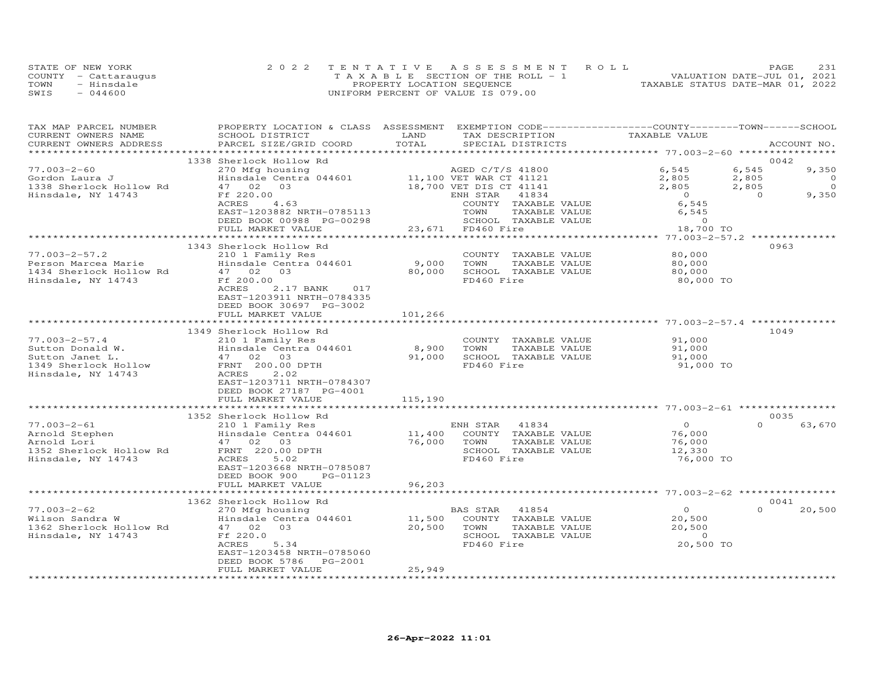|      | STATE OF NEW YORK    | 2022 TENTATIVE ASSESSMENT ROLL        | 231<br>PAGE                      |
|------|----------------------|---------------------------------------|----------------------------------|
|      | COUNTY - Cattaraugus | T A X A B L E SECTION OF THE ROLL - 1 | VALUATION DATE-JUL 01, 2021      |
| TOWN | - Hinsdale           | PROPERTY LOCATION SEQUENCE            | TAXABLE STATUS DATE-MAR 01, 2022 |
| SWIS | $-044600$            | UNIFORM PERCENT OF VALUE IS 079.00    |                                  |

| TAX MAP PARCEL NUMBER<br>CURRENT OWNERS NAME<br>CURRENT OWNERS ADDRESS | PROPERTY LOCATION & CLASS ASSESSMENT EXEMPTION CODE----------------COUNTY-------TOWN------SCHOOL<br>SCHOOL DISTRICT<br>PARCEL SIZE/GRID COORD                     | LAND<br>TOTAL | TAX DESCRIPTION<br>SPECIAL DISTRICTS | TAXABLE VALUE                      | ACCOUNT NO.             |
|------------------------------------------------------------------------|-------------------------------------------------------------------------------------------------------------------------------------------------------------------|---------------|--------------------------------------|------------------------------------|-------------------------|
|                                                                        |                                                                                                                                                                   |               |                                      |                                    |                         |
|                                                                        | 1338 Sherlock Hollow Rd                                                                                                                                           |               |                                      |                                    | 0042                    |
| $77.003 - 2 - 60$                                                      | 270 Mfg housing                                                                                                                                                   |               | AGED C/T/S 41800                     | 6,545                              | 6,545<br>9,350          |
| Gordon Laura J                                                         | 11,100 VET DIS CT 41121<br>Hinsdale Centra 044601<br>47 02 03<br>Ff 220.00 18,700 VET DIS CT 41121<br>Ff 220.00 ENH STAR 41834<br>ACRES 4.63 COUNTY TAXABLE VALUE |               |                                      |                                    | $\overline{0}$          |
| 1338 Sherlock Hollow Rd                                                | Hinsdale Cent<br>47    02    03                                                                                                                                   |               |                                      | $2,805$<br>2,805<br>2,805<br>2,805 | $\overline{0}$          |
| Hinsdale, NY 14743                                                     |                                                                                                                                                                   |               |                                      |                                    | $\overline{0}$<br>9,350 |
|                                                                        |                                                                                                                                                                   |               |                                      |                                    |                         |
|                                                                        |                                                                                                                                                                   |               |                                      | 0<br>6,545<br>6,545                |                         |
|                                                                        |                                                                                                                                                                   |               |                                      |                                    |                         |
|                                                                        | ACRES 4.63<br>EAST-1203882 NRTH-0785113<br>DEED BOOK 00988 PG-00298 23,671 FD460 Fire 18,700<br>PULL MARKET VALUE 23,671 FD460 Fire 18,700                        |               |                                      | 18,700 TO                          |                         |
|                                                                        |                                                                                                                                                                   |               |                                      |                                    |                         |
|                                                                        | 1343 Sherlock Hollow Rd                                                                                                                                           |               |                                      |                                    | 0963                    |
|                                                                        | 77.003-2-57.2<br>Person Marcea Marie<br>1434 Sherlock Hollow Rd<br>1434 Sherlock 1.110 Rd<br>17.00000<br>17.00000                                                 |               | COUNTY TAXABLE VALUE                 | 80,000                             |                         |
|                                                                        |                                                                                                                                                                   | 9,000 TOWN    | TAXABLE VALUE                        | 80,000                             |                         |
|                                                                        |                                                                                                                                                                   |               | 80,000 SCHOOL TAXABLE VALUE          | 80,000                             |                         |
| Hinsdale, NY 14743                                                     | Ff 200.00                                                                                                                                                         |               | FD460 Fire                           | 80,000 TO                          |                         |
|                                                                        | 2.17 BANK 017<br>ACRES                                                                                                                                            |               |                                      |                                    |                         |
|                                                                        | EAST-1203911 NRTH-0784335                                                                                                                                         |               |                                      |                                    |                         |
|                                                                        | DEED BOOK 30697 PG-3002                                                                                                                                           |               |                                      |                                    |                         |
|                                                                        | FULL MARKET VALUE                                                                                                                                                 | 101,266       |                                      |                                    |                         |
|                                                                        |                                                                                                                                                                   |               |                                      |                                    |                         |
|                                                                        | 1349 Sherlock Hollow Rd                                                                                                                                           |               |                                      |                                    | 1049                    |
| $77.003 - 2 - 57.4$                                                    | 210 1 Family Res                                                                                                                                                  |               | COUNTY TAXABLE VALUE 91,000          |                                    |                         |
|                                                                        |                                                                                                                                                                   | 8,900 TOWN    | TAXABLE VALUE                        | 91,000                             |                         |
|                                                                        |                                                                                                                                                                   |               | 91,000 SCHOOL TAXABLE VALUE          | 91,000                             |                         |
|                                                                        |                                                                                                                                                                   |               | FD460 Fire                           | 91,000 TO                          |                         |
|                                                                        |                                                                                                                                                                   |               |                                      |                                    |                         |
|                                                                        |                                                                                                                                                                   |               |                                      |                                    |                         |
|                                                                        | DEED BOOK 27187 PG-4001                                                                                                                                           |               |                                      |                                    |                         |
|                                                                        | FULL MARKET VALUE                                                                                                                                                 | 115,190       |                                      |                                    |                         |
|                                                                        |                                                                                                                                                                   |               |                                      |                                    | 0035                    |
|                                                                        |                                                                                                                                                                   |               |                                      | $\overline{O}$                     | $\Omega$<br>63,670      |
|                                                                        |                                                                                                                                                                   |               |                                      | 76,000                             |                         |
|                                                                        |                                                                                                                                                                   |               | TAXABLE VALUE                        |                                    |                         |
|                                                                        |                                                                                                                                                                   |               |                                      | 76,000<br>12,330                   |                         |
|                                                                        |                                                                                                                                                                   |               |                                      | 76,000 TO                          |                         |
|                                                                        |                                                                                                                                                                   |               |                                      |                                    |                         |
|                                                                        | DEED BOOK 900 PG-01123                                                                                                                                            |               |                                      |                                    |                         |
|                                                                        | FULL MARKET VALUE                                                                                                                                                 | 96,203        |                                      |                                    |                         |
|                                                                        |                                                                                                                                                                   |               |                                      |                                    |                         |
|                                                                        | 1362 Sherlock Hollow Rd                                                                                                                                           |               |                                      |                                    | 0041                    |
| $77.003 - 2 - 62$                                                      | 270 Mfg housing                                                                                                                                                   |               | BAS STAR 41854                       | $\overline{O}$                     | $\Omega$<br>20,500      |
|                                                                        |                                                                                                                                                                   |               |                                      | 20,500                             |                         |
|                                                                        |                                                                                                                                                                   |               | TAXABLE VALUE                        | 20,500                             |                         |
| Hinsdale, NY 14743                                                     | Ff 220.0                                                                                                                                                          |               | SCHOOL TAXABLE VALUE                 | $\overline{0}$                     |                         |
|                                                                        | ACRES<br>5.34                                                                                                                                                     |               | FD460 Fire                           | 20,500 TO                          |                         |
|                                                                        | EAST-1203458 NRTH-0785060                                                                                                                                         |               |                                      |                                    |                         |
|                                                                        | DEED BOOK 5786 PG-2001                                                                                                                                            |               |                                      |                                    |                         |
|                                                                        | FULL MARKET VALUE                                                                                                                                                 | 25,949        |                                      |                                    |                         |
|                                                                        |                                                                                                                                                                   |               |                                      |                                    |                         |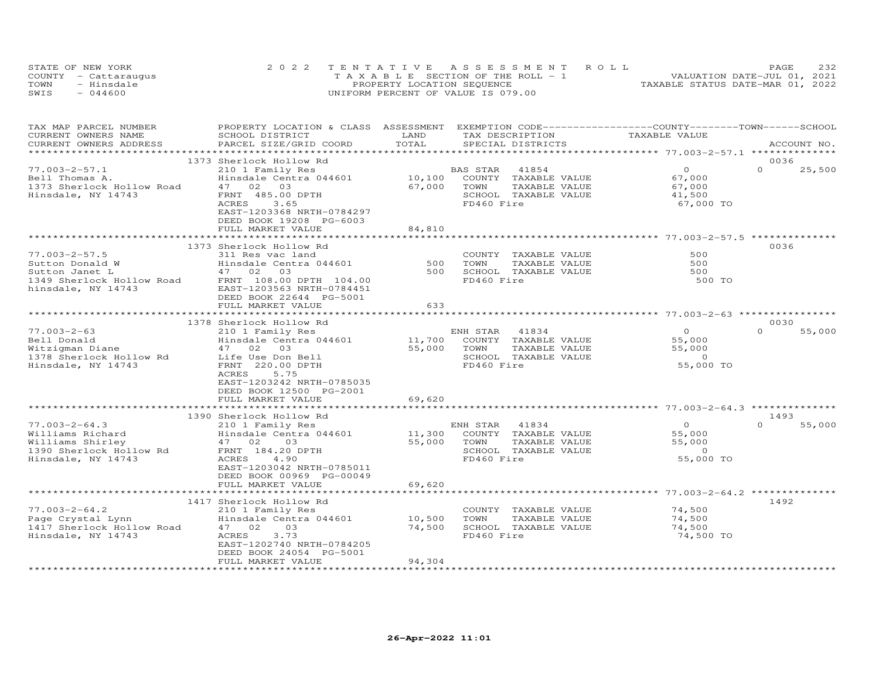|      | STATE OF NEW YORK    | 2022 TENTATIVE ASSESSMENT ROLL        | 232<br>PAGE                      |
|------|----------------------|---------------------------------------|----------------------------------|
|      | COUNTY - Cattaraugus | T A X A B L E SECTION OF THE ROLL - 1 | VALUATION DATE-JUL 01, 2021      |
| TOWN | - Hinsdale           | PROPERTY LOCATION SEQUENCE            | TAXABLE STATUS DATE-MAR 01, 2022 |
| SWIS | $-044600$            | UNIFORM PERCENT OF VALUE IS 079.00    |                                  |

| TAX MAP PARCEL NUMBER     | PROPERTY LOCATION & CLASS ASSESSMENT EXEMPTION CODE-----------------COUNTY-------TOWN------SCHOOL |        |                                    |                                                    |                    |
|---------------------------|---------------------------------------------------------------------------------------------------|--------|------------------------------------|----------------------------------------------------|--------------------|
| CURRENT OWNERS NAME       | SCHOOL DISTRICT                                                                                   | LAND   | TAX DESCRIPTION                    | TAXABLE VALUE                                      |                    |
| CURRENT OWNERS ADDRESS    | PARCEL SIZE/GRID COORD                                                                            | TOTAL  | SPECIAL DISTRICTS                  |                                                    | ACCOUNT NO.        |
|                           |                                                                                                   |        |                                    |                                                    |                    |
|                           | 1373 Sherlock Hollow Rd                                                                           |        |                                    |                                                    | 0036               |
| $77.003 - 2 - 57.1$       | 210 1 Family Res                                                                                  |        | BAS STAR<br>41854                  | $\Omega$                                           | $\Omega$<br>25,500 |
| Bell Thomas A.            | Hinsdale Centra 044601                                                                            | 10,100 | COUNTY TAXABLE VALUE               | 67,000                                             |                    |
| 1373 Sherlock Hollow Road | 47 02 03                                                                                          | 67,000 | TOWN<br>TAXABLE VALUE              | 67,000                                             |                    |
| Hinsdale, NY 14743        | FRNT 485.00 DPTH                                                                                  |        | SCHOOL TAXABLE VALUE               | 41,500                                             |                    |
|                           | 3.65<br>ACRES                                                                                     |        | FD460 Fire                         | 67,000 TO                                          |                    |
|                           | EAST-1203368 NRTH-0784297                                                                         |        |                                    |                                                    |                    |
|                           | DEED BOOK 19208 PG-6003                                                                           |        |                                    |                                                    |                    |
|                           | FULL MARKET VALUE                                                                                 | 84,810 |                                    |                                                    |                    |
|                           |                                                                                                   |        |                                    |                                                    |                    |
|                           | 1373 Sherlock Hollow Rd                                                                           |        |                                    |                                                    | 0036               |
| $77.003 - 2 - 57.5$       | 311 Res vac land                                                                                  |        | COUNTY TAXABLE VALUE               | 500                                                |                    |
| Sutton Donald W           | Hinsdale Centra 044601                                                                            | 500    | TAXABLE VALUE<br>TOWN              | 500                                                |                    |
| Sutton Janet L            | 47 02 03                                                                                          | 500    | SCHOOL TAXABLE VALUE               | 500                                                |                    |
| 1349 Sherlock Hollow Road | FRNT 108.00 DPTH 104.00                                                                           |        | FD460 Fire                         | 500 TO                                             |                    |
| hinsdale, NY 14743        | EAST-1203563 NRTH-0784451                                                                         |        |                                    |                                                    |                    |
|                           | DEED BOOK 22644 PG-5001                                                                           |        |                                    |                                                    |                    |
|                           | FULL MARKET VALUE                                                                                 | 633    |                                    |                                                    |                    |
|                           |                                                                                                   |        |                                    |                                                    |                    |
|                           | 1378 Sherlock Hollow Rd                                                                           |        |                                    |                                                    | 0030               |
| $77.003 - 2 - 63$         | 210 1 Family Res                                                                                  |        | ENH STAR 41834                     | $\overline{O}$                                     | $\Omega$<br>55,000 |
| Bell Donald               | Hinsdale Centra 044601                                                                            | 11,700 | COUNTY TAXABLE VALUE               | 55,000                                             |                    |
| Witzigman Diane           | 47 02 03                                                                                          | 55,000 | TOWN<br>TAXABLE VALUE              | 55,000                                             |                    |
| 1378 Sherlock Hollow Rd   | Life Use Don Bell                                                                                 |        | SCHOOL TAXABLE VALUE<br>FD460 Fire | $\Omega$                                           |                    |
| Hinsdale, NY 14743        | FRNT 220.00 DPTH<br>ACRES<br>5.75                                                                 |        |                                    | 55,000 TO                                          |                    |
|                           | EAST-1203242 NRTH-0785035                                                                         |        |                                    |                                                    |                    |
|                           | DEED BOOK 12500 PG-2001                                                                           |        |                                    |                                                    |                    |
|                           | FULL MARKET VALUE                                                                                 | 69,620 |                                    |                                                    |                    |
|                           | *******************************                                                                   |        |                                    |                                                    |                    |
|                           | 1390 Sherlock Hollow Rd                                                                           |        |                                    |                                                    | 1493               |
| $77.003 - 2 - 64.3$       | 210 1 Family Res                                                                                  |        | ENH STAR<br>41834                  | $\Omega$                                           | $\Omega$<br>55,000 |
| Williams Richard          | Hinsdale Centra 044601                                                                            | 11,300 | COUNTY TAXABLE VALUE               | 55,000                                             |                    |
| Williams Shirley          | 47 02<br>03                                                                                       | 55,000 | TAXABLE VALUE<br>TOWN              | 55,000                                             |                    |
| 1390 Sherlock Hollow Rd   | FRNT 184.20 DPTH                                                                                  |        | SCHOOL TAXABLE VALUE               | $\overline{0}$                                     |                    |
| Hinsdale, NY 14743        | ACRES<br>4.90                                                                                     |        | FD460 Fire                         | 55,000 TO                                          |                    |
|                           | EAST-1203042 NRTH-0785011                                                                         |        |                                    |                                                    |                    |
|                           | DEED BOOK 00969 PG-00049                                                                          |        |                                    |                                                    |                    |
|                           | FULL MARKET VALUE                                                                                 | 69,620 |                                    |                                                    |                    |
|                           | ********************                                                                              |        |                                    | ********************* 77.003-2-64.2 ************** |                    |
|                           | 1417 Sherlock Hollow Rd                                                                           |        |                                    |                                                    | 1492               |
| $77.003 - 2 - 64.2$       | 210 1 Family Res                                                                                  |        | COUNTY TAXABLE VALUE               | 74,500                                             |                    |
| Page Crystal Lynn         | Hinsdale Centra 044601                                                                            | 10,500 | TOWN<br>TAXABLE VALUE              | 74,500                                             |                    |
| 1417 Sherlock Hollow Road | 47 02<br>03                                                                                       | 74,500 | SCHOOL TAXABLE VALUE               | 74,500                                             |                    |
| Hinsdale, NY 14743        | ACRES<br>3.73                                                                                     |        | FD460 Fire                         | 74,500 TO                                          |                    |
|                           | EAST-1202740 NRTH-0784205                                                                         |        |                                    |                                                    |                    |
|                           | DEED BOOK 24054 PG-5001                                                                           |        |                                    |                                                    |                    |
|                           | FULL MARKET VALUE                                                                                 | 94,304 |                                    |                                                    |                    |
|                           |                                                                                                   |        |                                    |                                                    |                    |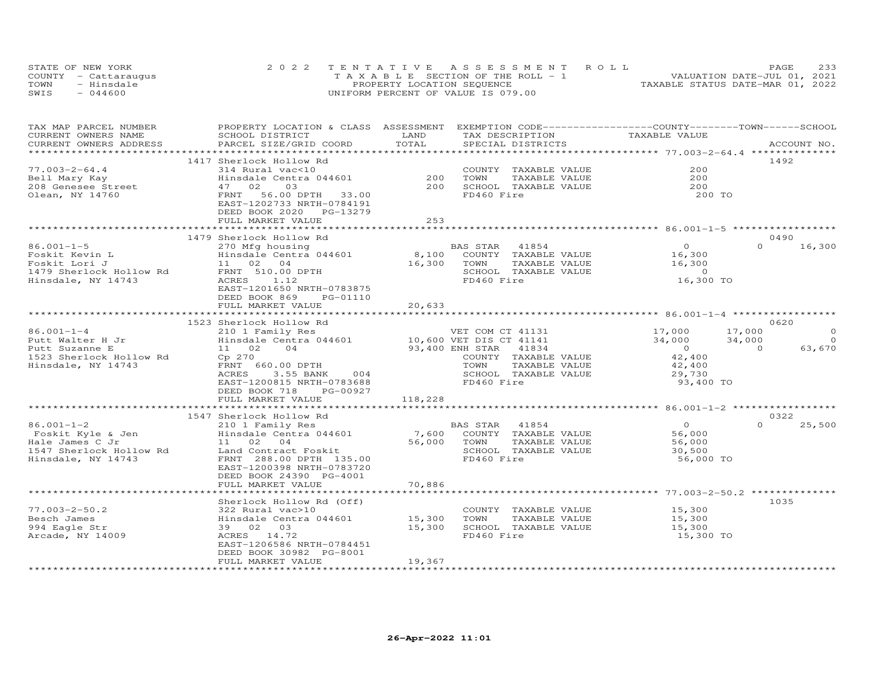| STATE OF NEW YORK    | 2022 TENTATIVE ASSESSMENT ROLL        | <b>PAGE</b>                      |
|----------------------|---------------------------------------|----------------------------------|
| COUNTY - Cattaraugus | T A X A B L E SECTION OF THE ROLL - 1 | VALUATION DATE-JUL 01, 2021      |
| TOWN<br>- Hinsdale   | PROPERTY LOCATION SEQUENCE            | TAXABLE STATUS DATE-MAR 01, 2022 |
| SWIS<br>$-044600$    | UNIFORM PERCENT OF VALUE IS 079.00    |                                  |

| TAXABLE VALUE<br>TOTAL<br>CURRENT OWNERS ADDRESS<br>PARCEL SIZE/GRID COORD<br>SPECIAL DISTRICTS<br>ACCOUNT NO.<br>1417 Sherlock Hollow Rd<br>1492<br>$77.003 - 2 - 64.4$<br>200<br>314 Rural vac<10<br>COUNTY TAXABLE VALUE<br>200<br>Hinsdale Centra 044601<br>TAXABLE VALUE<br>200<br>Bell Mary Kay<br>TOWN<br>200<br>SCHOOL TAXABLE VALUE<br>208 Genesee Street<br>47 02<br>03<br>200<br>FD460 Fire<br>Olean, NY 14760<br>FRNT 56.00 DPTH 33.00<br>200 TO<br>EAST-1202733 NRTH-0784191<br>DEED BOOK 2020 PG-13279<br>2.53<br>FULL MARKET VALUE<br>0490<br>1479 Sherlock Hollow Rd<br>$\begin{array}{c}0\\16,300\end{array}$<br>$\Omega$<br>16,300<br>86.001-1-5<br>BAS STAR<br>41854<br>270 Mfg housing<br>8,100 COUNTY TAXABLE VALUE<br>Hinsdale Centra 044601<br>Foskit Kevin L<br>16,300<br>11 02 04<br>16,300<br>TOWN<br>TAXABLE VALUE<br>Foskit Lori J<br>FRNT 510.00 DPTH<br>SCHOOL TAXABLE VALUE<br>$\overline{0}$<br>1479 Sherlock Hollow Rd<br>16,300 TO<br>FD460 Fire<br>Hinsdale, NY 14743<br>ACRES 1.12<br>EAST-1201650 NRTH-0783875<br>DEED BOOK 869<br>PG-01110<br>20,633<br>FULL MARKET VALUE<br>0620<br>1523 Sherlock Hollow Rd<br>310 1 Family Res (210 1 Family Res (210 1 Family Res (210 1 Family Res (210 1 Family Res 10 10,600 VET COM CT<br>210 10,600 VET DIS CT 41141<br>210 204 93,400 ENH STAR 41834<br>17,000<br>$\overline{0}$<br>$86.001 - 1 - 4$<br>17,000<br>VET COM CT 41131<br>Putt Walter H Jr<br>34,000<br>34,000<br>$\overline{O}$<br>$\overline{0}$<br>63,670<br>Putt Suzanne E<br>$\Omega$<br>42,400<br>42,400<br>1523 Sherlock Hollow Rd<br>Cp 270<br>COUNTY TAXABLE VALUE<br>FRNT 660.00 DPTH<br>Hinsdale, NY 14743<br>TOWN<br>TAXABLE VALUE<br>ACRES<br>3.55 BANK<br>SCHOOL TAXABLE VALUE<br>29,730<br>004<br>EAST-1200815 NRTH-0783688<br>FD460 Fire<br>93,400 TO<br>DEED BOOK 718 PG-00927<br>118,228<br>FULL MARKET VALUE<br>1547 Sherlock Hollow Rd<br>0322<br>SHEITOCA HOIIOW AG<br>210 1 Family Res<br>Hinsdale Centra 044601<br>BAS STAR (41004)<br>7,600 COUNTY TAXABLE VALUE<br>70MM TAXABLE VALUE<br>$\overline{0}$<br>$\Omega$ | TAX MAP PARCEL NUMBER           | PROPERTY LOCATION & CLASS ASSESSMENT EXEMPTION CODE----------------COUNTY-------TOWN-----SCHOOL |      |                 |        |
|-----------------------------------------------------------------------------------------------------------------------------------------------------------------------------------------------------------------------------------------------------------------------------------------------------------------------------------------------------------------------------------------------------------------------------------------------------------------------------------------------------------------------------------------------------------------------------------------------------------------------------------------------------------------------------------------------------------------------------------------------------------------------------------------------------------------------------------------------------------------------------------------------------------------------------------------------------------------------------------------------------------------------------------------------------------------------------------------------------------------------------------------------------------------------------------------------------------------------------------------------------------------------------------------------------------------------------------------------------------------------------------------------------------------------------------------------------------------------------------------------------------------------------------------------------------------------------------------------------------------------------------------------------------------------------------------------------------------------------------------------------------------------------------------------------------------------------------------------------------------------------------------------------------------------------------------------------------------------------------------------------------------------------------------------------------------------------------------|---------------------------------|-------------------------------------------------------------------------------------------------|------|-----------------|--------|
|                                                                                                                                                                                                                                                                                                                                                                                                                                                                                                                                                                                                                                                                                                                                                                                                                                                                                                                                                                                                                                                                                                                                                                                                                                                                                                                                                                                                                                                                                                                                                                                                                                                                                                                                                                                                                                                                                                                                                                                                                                                                                         | CURRENT OWNERS NAME             | SCHOOL DISTRICT                                                                                 | LAND | TAX DESCRIPTION |        |
|                                                                                                                                                                                                                                                                                                                                                                                                                                                                                                                                                                                                                                                                                                                                                                                                                                                                                                                                                                                                                                                                                                                                                                                                                                                                                                                                                                                                                                                                                                                                                                                                                                                                                                                                                                                                                                                                                                                                                                                                                                                                                         |                                 |                                                                                                 |      |                 |        |
|                                                                                                                                                                                                                                                                                                                                                                                                                                                                                                                                                                                                                                                                                                                                                                                                                                                                                                                                                                                                                                                                                                                                                                                                                                                                                                                                                                                                                                                                                                                                                                                                                                                                                                                                                                                                                                                                                                                                                                                                                                                                                         |                                 |                                                                                                 |      |                 |        |
|                                                                                                                                                                                                                                                                                                                                                                                                                                                                                                                                                                                                                                                                                                                                                                                                                                                                                                                                                                                                                                                                                                                                                                                                                                                                                                                                                                                                                                                                                                                                                                                                                                                                                                                                                                                                                                                                                                                                                                                                                                                                                         |                                 |                                                                                                 |      |                 |        |
|                                                                                                                                                                                                                                                                                                                                                                                                                                                                                                                                                                                                                                                                                                                                                                                                                                                                                                                                                                                                                                                                                                                                                                                                                                                                                                                                                                                                                                                                                                                                                                                                                                                                                                                                                                                                                                                                                                                                                                                                                                                                                         |                                 |                                                                                                 |      |                 |        |
|                                                                                                                                                                                                                                                                                                                                                                                                                                                                                                                                                                                                                                                                                                                                                                                                                                                                                                                                                                                                                                                                                                                                                                                                                                                                                                                                                                                                                                                                                                                                                                                                                                                                                                                                                                                                                                                                                                                                                                                                                                                                                         |                                 |                                                                                                 |      |                 |        |
|                                                                                                                                                                                                                                                                                                                                                                                                                                                                                                                                                                                                                                                                                                                                                                                                                                                                                                                                                                                                                                                                                                                                                                                                                                                                                                                                                                                                                                                                                                                                                                                                                                                                                                                                                                                                                                                                                                                                                                                                                                                                                         |                                 |                                                                                                 |      |                 |        |
|                                                                                                                                                                                                                                                                                                                                                                                                                                                                                                                                                                                                                                                                                                                                                                                                                                                                                                                                                                                                                                                                                                                                                                                                                                                                                                                                                                                                                                                                                                                                                                                                                                                                                                                                                                                                                                                                                                                                                                                                                                                                                         |                                 |                                                                                                 |      |                 |        |
|                                                                                                                                                                                                                                                                                                                                                                                                                                                                                                                                                                                                                                                                                                                                                                                                                                                                                                                                                                                                                                                                                                                                                                                                                                                                                                                                                                                                                                                                                                                                                                                                                                                                                                                                                                                                                                                                                                                                                                                                                                                                                         |                                 |                                                                                                 |      |                 |        |
|                                                                                                                                                                                                                                                                                                                                                                                                                                                                                                                                                                                                                                                                                                                                                                                                                                                                                                                                                                                                                                                                                                                                                                                                                                                                                                                                                                                                                                                                                                                                                                                                                                                                                                                                                                                                                                                                                                                                                                                                                                                                                         |                                 |                                                                                                 |      |                 |        |
|                                                                                                                                                                                                                                                                                                                                                                                                                                                                                                                                                                                                                                                                                                                                                                                                                                                                                                                                                                                                                                                                                                                                                                                                                                                                                                                                                                                                                                                                                                                                                                                                                                                                                                                                                                                                                                                                                                                                                                                                                                                                                         |                                 |                                                                                                 |      |                 |        |
|                                                                                                                                                                                                                                                                                                                                                                                                                                                                                                                                                                                                                                                                                                                                                                                                                                                                                                                                                                                                                                                                                                                                                                                                                                                                                                                                                                                                                                                                                                                                                                                                                                                                                                                                                                                                                                                                                                                                                                                                                                                                                         |                                 |                                                                                                 |      |                 |        |
|                                                                                                                                                                                                                                                                                                                                                                                                                                                                                                                                                                                                                                                                                                                                                                                                                                                                                                                                                                                                                                                                                                                                                                                                                                                                                                                                                                                                                                                                                                                                                                                                                                                                                                                                                                                                                                                                                                                                                                                                                                                                                         |                                 |                                                                                                 |      |                 |        |
|                                                                                                                                                                                                                                                                                                                                                                                                                                                                                                                                                                                                                                                                                                                                                                                                                                                                                                                                                                                                                                                                                                                                                                                                                                                                                                                                                                                                                                                                                                                                                                                                                                                                                                                                                                                                                                                                                                                                                                                                                                                                                         |                                 |                                                                                                 |      |                 |        |
|                                                                                                                                                                                                                                                                                                                                                                                                                                                                                                                                                                                                                                                                                                                                                                                                                                                                                                                                                                                                                                                                                                                                                                                                                                                                                                                                                                                                                                                                                                                                                                                                                                                                                                                                                                                                                                                                                                                                                                                                                                                                                         |                                 |                                                                                                 |      |                 |        |
|                                                                                                                                                                                                                                                                                                                                                                                                                                                                                                                                                                                                                                                                                                                                                                                                                                                                                                                                                                                                                                                                                                                                                                                                                                                                                                                                                                                                                                                                                                                                                                                                                                                                                                                                                                                                                                                                                                                                                                                                                                                                                         |                                 |                                                                                                 |      |                 |        |
|                                                                                                                                                                                                                                                                                                                                                                                                                                                                                                                                                                                                                                                                                                                                                                                                                                                                                                                                                                                                                                                                                                                                                                                                                                                                                                                                                                                                                                                                                                                                                                                                                                                                                                                                                                                                                                                                                                                                                                                                                                                                                         |                                 |                                                                                                 |      |                 |        |
|                                                                                                                                                                                                                                                                                                                                                                                                                                                                                                                                                                                                                                                                                                                                                                                                                                                                                                                                                                                                                                                                                                                                                                                                                                                                                                                                                                                                                                                                                                                                                                                                                                                                                                                                                                                                                                                                                                                                                                                                                                                                                         |                                 |                                                                                                 |      |                 |        |
|                                                                                                                                                                                                                                                                                                                                                                                                                                                                                                                                                                                                                                                                                                                                                                                                                                                                                                                                                                                                                                                                                                                                                                                                                                                                                                                                                                                                                                                                                                                                                                                                                                                                                                                                                                                                                                                                                                                                                                                                                                                                                         |                                 |                                                                                                 |      |                 |        |
|                                                                                                                                                                                                                                                                                                                                                                                                                                                                                                                                                                                                                                                                                                                                                                                                                                                                                                                                                                                                                                                                                                                                                                                                                                                                                                                                                                                                                                                                                                                                                                                                                                                                                                                                                                                                                                                                                                                                                                                                                                                                                         |                                 |                                                                                                 |      |                 |        |
|                                                                                                                                                                                                                                                                                                                                                                                                                                                                                                                                                                                                                                                                                                                                                                                                                                                                                                                                                                                                                                                                                                                                                                                                                                                                                                                                                                                                                                                                                                                                                                                                                                                                                                                                                                                                                                                                                                                                                                                                                                                                                         |                                 |                                                                                                 |      |                 |        |
|                                                                                                                                                                                                                                                                                                                                                                                                                                                                                                                                                                                                                                                                                                                                                                                                                                                                                                                                                                                                                                                                                                                                                                                                                                                                                                                                                                                                                                                                                                                                                                                                                                                                                                                                                                                                                                                                                                                                                                                                                                                                                         |                                 |                                                                                                 |      |                 |        |
|                                                                                                                                                                                                                                                                                                                                                                                                                                                                                                                                                                                                                                                                                                                                                                                                                                                                                                                                                                                                                                                                                                                                                                                                                                                                                                                                                                                                                                                                                                                                                                                                                                                                                                                                                                                                                                                                                                                                                                                                                                                                                         |                                 |                                                                                                 |      |                 |        |
|                                                                                                                                                                                                                                                                                                                                                                                                                                                                                                                                                                                                                                                                                                                                                                                                                                                                                                                                                                                                                                                                                                                                                                                                                                                                                                                                                                                                                                                                                                                                                                                                                                                                                                                                                                                                                                                                                                                                                                                                                                                                                         |                                 |                                                                                                 |      |                 |        |
|                                                                                                                                                                                                                                                                                                                                                                                                                                                                                                                                                                                                                                                                                                                                                                                                                                                                                                                                                                                                                                                                                                                                                                                                                                                                                                                                                                                                                                                                                                                                                                                                                                                                                                                                                                                                                                                                                                                                                                                                                                                                                         |                                 |                                                                                                 |      |                 |        |
|                                                                                                                                                                                                                                                                                                                                                                                                                                                                                                                                                                                                                                                                                                                                                                                                                                                                                                                                                                                                                                                                                                                                                                                                                                                                                                                                                                                                                                                                                                                                                                                                                                                                                                                                                                                                                                                                                                                                                                                                                                                                                         |                                 |                                                                                                 |      |                 |        |
|                                                                                                                                                                                                                                                                                                                                                                                                                                                                                                                                                                                                                                                                                                                                                                                                                                                                                                                                                                                                                                                                                                                                                                                                                                                                                                                                                                                                                                                                                                                                                                                                                                                                                                                                                                                                                                                                                                                                                                                                                                                                                         |                                 |                                                                                                 |      |                 |        |
|                                                                                                                                                                                                                                                                                                                                                                                                                                                                                                                                                                                                                                                                                                                                                                                                                                                                                                                                                                                                                                                                                                                                                                                                                                                                                                                                                                                                                                                                                                                                                                                                                                                                                                                                                                                                                                                                                                                                                                                                                                                                                         |                                 |                                                                                                 |      |                 |        |
|                                                                                                                                                                                                                                                                                                                                                                                                                                                                                                                                                                                                                                                                                                                                                                                                                                                                                                                                                                                                                                                                                                                                                                                                                                                                                                                                                                                                                                                                                                                                                                                                                                                                                                                                                                                                                                                                                                                                                                                                                                                                                         |                                 |                                                                                                 |      |                 |        |
|                                                                                                                                                                                                                                                                                                                                                                                                                                                                                                                                                                                                                                                                                                                                                                                                                                                                                                                                                                                                                                                                                                                                                                                                                                                                                                                                                                                                                                                                                                                                                                                                                                                                                                                                                                                                                                                                                                                                                                                                                                                                                         |                                 |                                                                                                 |      |                 |        |
|                                                                                                                                                                                                                                                                                                                                                                                                                                                                                                                                                                                                                                                                                                                                                                                                                                                                                                                                                                                                                                                                                                                                                                                                                                                                                                                                                                                                                                                                                                                                                                                                                                                                                                                                                                                                                                                                                                                                                                                                                                                                                         |                                 |                                                                                                 |      |                 |        |
|                                                                                                                                                                                                                                                                                                                                                                                                                                                                                                                                                                                                                                                                                                                                                                                                                                                                                                                                                                                                                                                                                                                                                                                                                                                                                                                                                                                                                                                                                                                                                                                                                                                                                                                                                                                                                                                                                                                                                                                                                                                                                         |                                 |                                                                                                 |      |                 |        |
|                                                                                                                                                                                                                                                                                                                                                                                                                                                                                                                                                                                                                                                                                                                                                                                                                                                                                                                                                                                                                                                                                                                                                                                                                                                                                                                                                                                                                                                                                                                                                                                                                                                                                                                                                                                                                                                                                                                                                                                                                                                                                         |                                 |                                                                                                 |      |                 |        |
|                                                                                                                                                                                                                                                                                                                                                                                                                                                                                                                                                                                                                                                                                                                                                                                                                                                                                                                                                                                                                                                                                                                                                                                                                                                                                                                                                                                                                                                                                                                                                                                                                                                                                                                                                                                                                                                                                                                                                                                                                                                                                         | $86.001 - 1 - 2$                |                                                                                                 |      |                 | 25,500 |
| 56,000                                                                                                                                                                                                                                                                                                                                                                                                                                                                                                                                                                                                                                                                                                                                                                                                                                                                                                                                                                                                                                                                                                                                                                                                                                                                                                                                                                                                                                                                                                                                                                                                                                                                                                                                                                                                                                                                                                                                                                                                                                                                                  | Bo.vui i -<br>Foskit Kyle & Jen |                                                                                                 |      |                 |        |
| Hale James C Jr<br>11 02 04<br>56,000                                                                                                                                                                                                                                                                                                                                                                                                                                                                                                                                                                                                                                                                                                                                                                                                                                                                                                                                                                                                                                                                                                                                                                                                                                                                                                                                                                                                                                                                                                                                                                                                                                                                                                                                                                                                                                                                                                                                                                                                                                                   |                                 |                                                                                                 |      |                 |        |
| 1547 Sherlock Hollow Rd<br>SCHOOL TAXABLE VALUE<br>Land Contract Foskit<br>30,500                                                                                                                                                                                                                                                                                                                                                                                                                                                                                                                                                                                                                                                                                                                                                                                                                                                                                                                                                                                                                                                                                                                                                                                                                                                                                                                                                                                                                                                                                                                                                                                                                                                                                                                                                                                                                                                                                                                                                                                                       |                                 |                                                                                                 |      |                 |        |
| FD460 Fire<br>FRNT 288.00 DPTH 135.00<br>Hinsdale, NY 14743<br>56,000 TO                                                                                                                                                                                                                                                                                                                                                                                                                                                                                                                                                                                                                                                                                                                                                                                                                                                                                                                                                                                                                                                                                                                                                                                                                                                                                                                                                                                                                                                                                                                                                                                                                                                                                                                                                                                                                                                                                                                                                                                                                |                                 |                                                                                                 |      |                 |        |
| EAST-1200398 NRTH-0783720                                                                                                                                                                                                                                                                                                                                                                                                                                                                                                                                                                                                                                                                                                                                                                                                                                                                                                                                                                                                                                                                                                                                                                                                                                                                                                                                                                                                                                                                                                                                                                                                                                                                                                                                                                                                                                                                                                                                                                                                                                                               |                                 |                                                                                                 |      |                 |        |
| DEED BOOK 24390 PG-4001                                                                                                                                                                                                                                                                                                                                                                                                                                                                                                                                                                                                                                                                                                                                                                                                                                                                                                                                                                                                                                                                                                                                                                                                                                                                                                                                                                                                                                                                                                                                                                                                                                                                                                                                                                                                                                                                                                                                                                                                                                                                 |                                 |                                                                                                 |      |                 |        |
| FULL MARKET VALUE<br>70,886                                                                                                                                                                                                                                                                                                                                                                                                                                                                                                                                                                                                                                                                                                                                                                                                                                                                                                                                                                                                                                                                                                                                                                                                                                                                                                                                                                                                                                                                                                                                                                                                                                                                                                                                                                                                                                                                                                                                                                                                                                                             |                                 |                                                                                                 |      |                 |        |
|                                                                                                                                                                                                                                                                                                                                                                                                                                                                                                                                                                                                                                                                                                                                                                                                                                                                                                                                                                                                                                                                                                                                                                                                                                                                                                                                                                                                                                                                                                                                                                                                                                                                                                                                                                                                                                                                                                                                                                                                                                                                                         |                                 |                                                                                                 |      |                 |        |
| 1035<br>Sherlock Hollow Rd (Off)                                                                                                                                                                                                                                                                                                                                                                                                                                                                                                                                                                                                                                                                                                                                                                                                                                                                                                                                                                                                                                                                                                                                                                                                                                                                                                                                                                                                                                                                                                                                                                                                                                                                                                                                                                                                                                                                                                                                                                                                                                                        |                                 |                                                                                                 |      |                 |        |
| COUNTY TAXABLE VALUE 15,300<br>$77.003 - 2 - 50.2$<br>322 Rural vac>10                                                                                                                                                                                                                                                                                                                                                                                                                                                                                                                                                                                                                                                                                                                                                                                                                                                                                                                                                                                                                                                                                                                                                                                                                                                                                                                                                                                                                                                                                                                                                                                                                                                                                                                                                                                                                                                                                                                                                                                                                  |                                 |                                                                                                 |      |                 |        |
| Besch James<br>Hinsdale Centra 044601 15,300<br>39 02 03 15,300<br>TOWN<br>TAXABLE VALUE<br>15,300<br>15,300                                                                                                                                                                                                                                                                                                                                                                                                                                                                                                                                                                                                                                                                                                                                                                                                                                                                                                                                                                                                                                                                                                                                                                                                                                                                                                                                                                                                                                                                                                                                                                                                                                                                                                                                                                                                                                                                                                                                                                            |                                 |                                                                                                 |      |                 |        |
| 994 Eagle Str<br>39 02 03<br>15,300<br>SCHOOL TAXABLE VALUE                                                                                                                                                                                                                                                                                                                                                                                                                                                                                                                                                                                                                                                                                                                                                                                                                                                                                                                                                                                                                                                                                                                                                                                                                                                                                                                                                                                                                                                                                                                                                                                                                                                                                                                                                                                                                                                                                                                                                                                                                             |                                 |                                                                                                 |      |                 |        |
| ACRES 14.72<br>FD460 Fire<br>Arcade, NY 14009<br>15,300 TO                                                                                                                                                                                                                                                                                                                                                                                                                                                                                                                                                                                                                                                                                                                                                                                                                                                                                                                                                                                                                                                                                                                                                                                                                                                                                                                                                                                                                                                                                                                                                                                                                                                                                                                                                                                                                                                                                                                                                                                                                              |                                 |                                                                                                 |      |                 |        |
| EAST-1206586 NRTH-0784451                                                                                                                                                                                                                                                                                                                                                                                                                                                                                                                                                                                                                                                                                                                                                                                                                                                                                                                                                                                                                                                                                                                                                                                                                                                                                                                                                                                                                                                                                                                                                                                                                                                                                                                                                                                                                                                                                                                                                                                                                                                               |                                 |                                                                                                 |      |                 |        |
| DEED BOOK 30982 PG-8001                                                                                                                                                                                                                                                                                                                                                                                                                                                                                                                                                                                                                                                                                                                                                                                                                                                                                                                                                                                                                                                                                                                                                                                                                                                                                                                                                                                                                                                                                                                                                                                                                                                                                                                                                                                                                                                                                                                                                                                                                                                                 |                                 |                                                                                                 |      |                 |        |
| FULL MARKET VALUE<br>19,367                                                                                                                                                                                                                                                                                                                                                                                                                                                                                                                                                                                                                                                                                                                                                                                                                                                                                                                                                                                                                                                                                                                                                                                                                                                                                                                                                                                                                                                                                                                                                                                                                                                                                                                                                                                                                                                                                                                                                                                                                                                             |                                 |                                                                                                 |      |                 |        |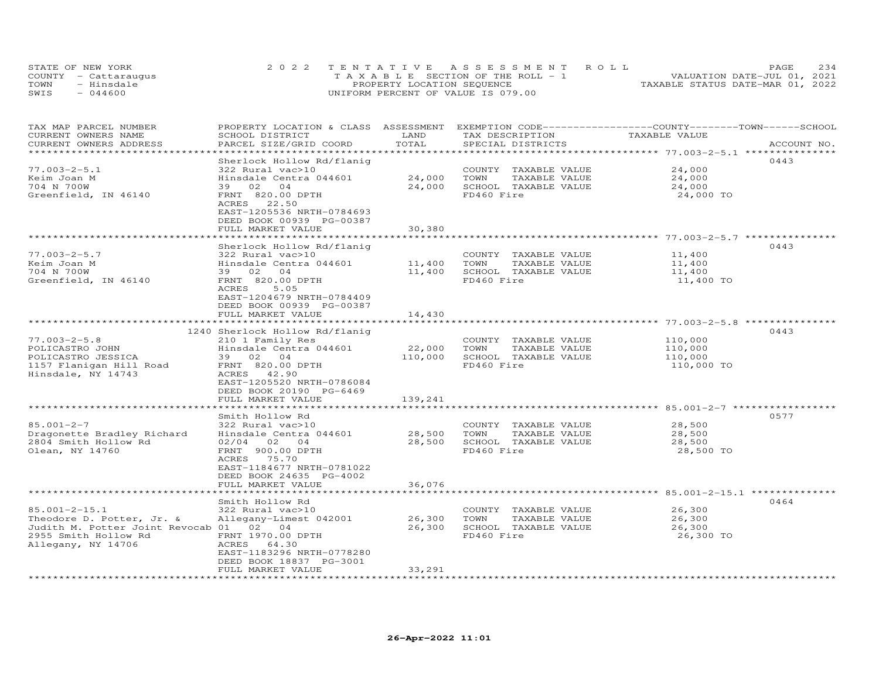|      | STATE OF NEW YORK    | 2022 TENTATIVE ASSESSMENT ROLL        | 234<br>PAGE                      |
|------|----------------------|---------------------------------------|----------------------------------|
|      | COUNTY - Cattaraugus | T A X A B L E SECTION OF THE ROLL - 1 | VALUATION DATE-JUL 01, 2021      |
| TOWN | - Hinsdale           | PROPERTY LOCATION SEQUENCE            | TAXABLE STATUS DATE-MAR 01, 2022 |
| SWIS | $-044600$            | UNIFORM PERCENT OF VALUE IS 079.00    |                                  |

| TAX MAP PARCEL NUMBER<br>CURRENT OWNERS NAME<br>CURRENT OWNERS ADDRESS                                                              | PROPERTY LOCATION & CLASS ASSESSMENT EXEMPTION CODE-----------------COUNTY-------TOWN------SCHOOL<br>SCHOOL DISTRICT<br>PARCEL SIZE/GRID COORD                                      | LAND<br>TOTAL                  | TAX DESCRIPTION<br>SPECIAL DISTRICTS                                                | TAXABLE VALUE                               | ACCOUNT NO. |
|-------------------------------------------------------------------------------------------------------------------------------------|-------------------------------------------------------------------------------------------------------------------------------------------------------------------------------------|--------------------------------|-------------------------------------------------------------------------------------|---------------------------------------------|-------------|
|                                                                                                                                     |                                                                                                                                                                                     |                                |                                                                                     |                                             |             |
| $77.003 - 2 - 5.1$<br>Keim Joan M<br>704 N 700W<br>Greenfield, IN 46140                                                             | Sherlock Hollow Rd/flaniq<br>322 Rural vac>10<br>Hinsdale Centra 044601<br>39 02 04<br>FRNT 820.00 DPTH<br>ACRES<br>22.50<br>EAST-1205536 NRTH-0784693                              | 24,000<br>24,000               | COUNTY TAXABLE VALUE<br>TOWN<br>TAXABLE VALUE<br>SCHOOL TAXABLE VALUE<br>FD460 Fire | 24,000<br>24,000<br>24,000<br>24,000 TO     | 0443        |
|                                                                                                                                     | DEED BOOK 00939 PG-00387                                                                                                                                                            |                                |                                                                                     |                                             |             |
|                                                                                                                                     | FULL MARKET VALUE                                                                                                                                                                   | 30,380                         |                                                                                     |                                             |             |
|                                                                                                                                     | Sherlock Hollow Rd/flaniq                                                                                                                                                           |                                |                                                                                     |                                             | 0443        |
| $77.003 - 2 - 5.7$<br>Keim Joan M<br>704 N 700W<br>Greenfield, IN 46140                                                             | 322 Rural vac>10<br>Hinsdale Centra 044601<br>04<br>39 02<br>FRNT 820.00 DPTH<br>ACRES<br>5.05<br>EAST-1204679 NRTH-0784409                                                         | 11,400<br>11,400               | COUNTY TAXABLE VALUE<br>TOWN<br>TAXABLE VALUE<br>SCHOOL TAXABLE VALUE<br>FD460 Fire | 11,400<br>11,400<br>11,400<br>11,400 TO     |             |
|                                                                                                                                     | DEED BOOK 00939 PG-00387                                                                                                                                                            |                                |                                                                                     |                                             |             |
|                                                                                                                                     | FULL MARKET VALUE                                                                                                                                                                   | 14,430                         |                                                                                     |                                             |             |
|                                                                                                                                     |                                                                                                                                                                                     |                                |                                                                                     |                                             | 0443        |
| $77.003 - 2 - 5.8$<br>POLICASTRO JOHN<br>POLICASTRO JESSICA<br>1157 Flanigan Hill Road<br>Hinsdale, NY 14743                        | 1240 Sherlock Hollow Rd/flaniq<br>210 1 Family Res<br>Hinsdale Centra 044601<br>39 02 04<br>FRNT 820.00 DPTH<br>ACRES 42.90<br>EAST-1205520 NRTH-0786084<br>DEED BOOK 20190 PG-6469 | 22,000<br>110,000              | COUNTY TAXABLE VALUE<br>TOWN<br>TAXABLE VALUE<br>SCHOOL TAXABLE VALUE<br>FD460 Fire | 110,000<br>110,000<br>110,000<br>110,000 TO |             |
|                                                                                                                                     | FULL MARKET VALUE<br>***************************                                                                                                                                    | 139,241<br>******************* |                                                                                     |                                             |             |
| $85.001 - 2 - 7$<br>Dragonette Bradley Richard<br>2804 Smith Hollow Rd<br>Olean, NY 14760                                           | Smith Hollow Rd<br>322 Rural vac>10<br>Hinsdale Centra 044601<br>$02/04$ 02 04<br>FRNT 900.00 DPTH<br>ACRES 75.70                                                                   | 28,500<br>28,500               | COUNTY TAXABLE VALUE<br>TAXABLE VALUE<br>TOWN<br>SCHOOL TAXABLE VALUE<br>FD460 Fire | 28,500<br>28,500<br>28,500<br>28,500 TO     | 0577        |
|                                                                                                                                     | EAST-1184677 NRTH-0781022<br>DEED BOOK 24635 PG-4002<br>FULL MARKET VALUE                                                                                                           | 36,076                         |                                                                                     |                                             |             |
|                                                                                                                                     |                                                                                                                                                                                     |                                |                                                                                     |                                             |             |
| 85.001-2-15.1<br>Theodore D. Potter, Jr. &<br>Judith M. Potter Joint Revocab 01 02 04<br>2955 Smith Hollow Rd<br>Allegany, NY 14706 | Smith Hollow Rd<br>322 Rural vac>10<br>Allegany-Limest 042001<br>FRNT 1970.00 DPTH<br>ACRES 64.30<br>EAST-1183296 NRTH-0778280<br>DEED BOOK 18837 PG-3001                           | 26,300<br>26,300               | COUNTY TAXABLE VALUE<br>TOWN<br>TAXABLE VALUE<br>SCHOOL TAXABLE VALUE<br>FD460 Fire | 26,300<br>26,300<br>26,300<br>26,300 TO     | 0464        |
|                                                                                                                                     | FULL MARKET VALUE                                                                                                                                                                   | 33,291                         |                                                                                     |                                             |             |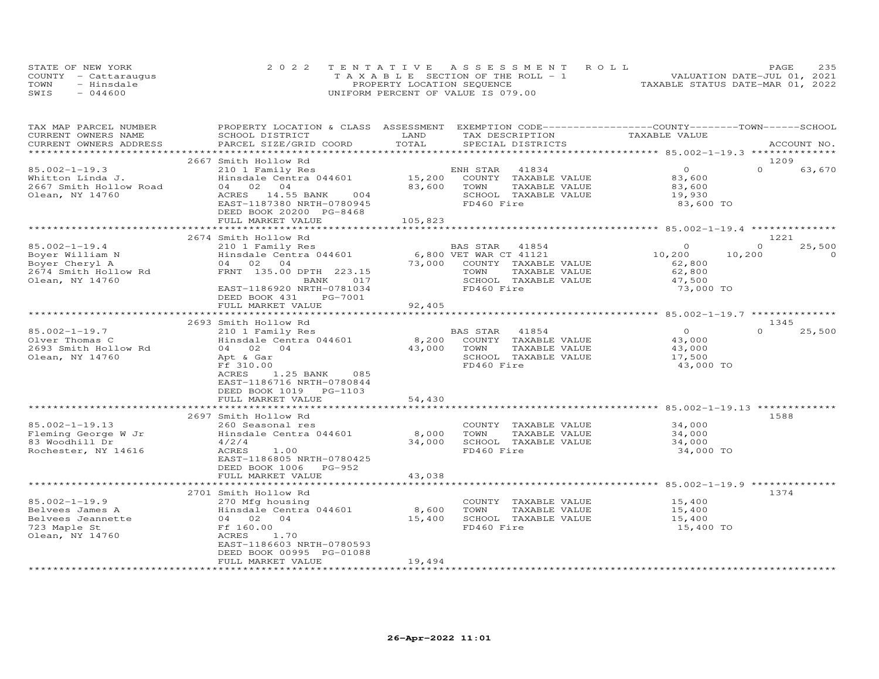|      | STATE OF NEW YORK    | 2022 TENTATIVE ASSESSMENT ROLL        | 235<br>PAGE                      |
|------|----------------------|---------------------------------------|----------------------------------|
|      | COUNTY - Cattaraugus | T A X A B L E SECTION OF THE ROLL - 1 | VALUATION DATE-JUL 01, 2021      |
| TOWN | - Hinsdale           | PROPERTY LOCATION SEQUENCE            | TAXABLE STATUS DATE-MAR 01, 2022 |
| SWIS | $-044600$            | UNIFORM PERCENT OF VALUE IS 079.00    |                                  |

| TAX MAP PARCEL NUMBER  | PROPERTY LOCATION & CLASS ASSESSMENT EXEMPTION CODE-----------------COUNTY-------TOWN------SCHOOL |         |                        |               |                    |
|------------------------|---------------------------------------------------------------------------------------------------|---------|------------------------|---------------|--------------------|
| CURRENT OWNERS NAME    | SCHOOL DISTRICT                                                                                   | LAND    | TAX DESCRIPTION        | TAXABLE VALUE |                    |
| CURRENT OWNERS ADDRESS | PARCEL SIZE/GRID COORD                                                                            | TOTAL   | SPECIAL DISTRICTS      |               | ACCOUNT NO.        |
|                        |                                                                                                   |         |                        |               |                    |
|                        | 2667 Smith Hollow Rd                                                                              |         |                        |               | 1209               |
| $85.002 - 1 - 19.3$    | 210 1 Family Res                                                                                  |         | ENH STAR<br>41834      | $\circ$       | $\Omega$<br>63,670 |
| Whitton Linda J.       | Hinsdale Centra 044601                                                                            | 15,200  | COUNTY TAXABLE VALUE   | 83,600        |                    |
| 2667 Smith Hollow Road | 04 02<br>04                                                                                       | 83,600  | TOWN<br>TAXABLE VALUE  | 83,600        |                    |
| Olean, NY 14760        | 14.55 BANK<br>ACRES<br>004                                                                        |         | SCHOOL TAXABLE VALUE   | 19,930        |                    |
|                        | EAST-1187380 NRTH-0780945                                                                         |         | FD460 Fire             | 83,600 TO     |                    |
|                        | DEED BOOK 20200 PG-8468                                                                           |         |                        |               |                    |
|                        | FULL MARKET VALUE                                                                                 | 105,823 |                        |               |                    |
|                        | *******************************                                                                   |         |                        |               |                    |
|                        | 2674 Smith Hollow Rd                                                                              |         |                        |               | 1221               |
| $85.002 - 1 - 19.4$    | 210 1 Family Res                                                                                  |         | BAS STAR<br>41854      | $\Omega$      | 25,500<br>$\Omega$ |
| Boyer William N        | Hinsdale Centra 044601                                                                            |         | 6,800 VET WAR CT 41121 | 10,200        | 10,200<br>$\Omega$ |
| Boyer Cheryl A         | 04 02 04                                                                                          | 73,000  | COUNTY TAXABLE VALUE   | 62,800        |                    |
| 2674 Smith Hollow Rd   | FRNT 135.00 DPTH 223.15                                                                           |         | TOWN<br>TAXABLE VALUE  | 62,800        |                    |
| Olean, NY 14760        | BANK<br>017                                                                                       |         | SCHOOL TAXABLE VALUE   | 47,500        |                    |
|                        | EAST-1186920 NRTH-0781034                                                                         |         | FD460 Fire             | 73,000 TO     |                    |
|                        | DEED BOOK 431<br>PG-7001                                                                          |         |                        |               |                    |
|                        | FULL MARKET VALUE                                                                                 | 92,405  |                        |               |                    |
|                        |                                                                                                   |         |                        |               |                    |
|                        | 2693 Smith Hollow Rd                                                                              |         |                        |               | 1345               |
| $85.002 - 1 - 19.7$    | 210 1 Family Res                                                                                  |         | 41854<br>BAS STAR      | $\circ$       | $\Omega$<br>25,500 |
| Olver Thomas C         | Hinsdale Centra 044601                                                                            | 8,200   | COUNTY TAXABLE VALUE   | 43,000        |                    |
| 2693 Smith Hollow Rd   | 04 02 04                                                                                          | 43,000  | TOWN<br>TAXABLE VALUE  | 43,000        |                    |
| Olean, NY 14760        | Apt & Gar                                                                                         |         | SCHOOL TAXABLE VALUE   | 17,500        |                    |
|                        | Ff 310.00                                                                                         |         | FD460 Fire             | 43,000 TO     |                    |
|                        | ACRES<br>1.25 BANK<br>085                                                                         |         |                        |               |                    |
|                        | EAST-1186716 NRTH-0780844                                                                         |         |                        |               |                    |
|                        | DEED BOOK 1019 PG-1103                                                                            |         |                        |               |                    |
|                        | FULL MARKET VALUE                                                                                 | 54,430  |                        |               |                    |
|                        |                                                                                                   |         |                        |               |                    |
|                        | 2697 Smith Hollow Rd                                                                              |         |                        |               | 1588               |
| 85.002-1-19.13         | 260 Seasonal res                                                                                  |         | COUNTY TAXABLE VALUE   | 34,000        |                    |
| Fleming George W Jr    | Hinsdale Centra 044601                                                                            | 8,000   | TOWN<br>TAXABLE VALUE  | 34,000        |                    |
| 83 Woodhill Dr         | 4/2/4                                                                                             | 34,000  | SCHOOL TAXABLE VALUE   | 34,000        |                    |
| Rochester, NY 14616    | ACRES<br>1.00                                                                                     |         | FD460 Fire             | 34,000 TO     |                    |
|                        | EAST-1186805 NRTH-0780425                                                                         |         |                        |               |                    |
|                        | DEED BOOK 1006 PG-952                                                                             |         |                        |               |                    |
|                        | FULL MARKET VALUE                                                                                 | 43,038  |                        |               |                    |
|                        |                                                                                                   |         |                        |               |                    |
|                        | 2701 Smith Hollow Rd                                                                              |         |                        |               | 1374               |
| $85.002 - 1 - 19.9$    | 270 Mfg housing                                                                                   |         | COUNTY TAXABLE VALUE   | 15,400        |                    |
| Belvees James A        | Hinsdale Centra 044601                                                                            | 8,600   | TOWN<br>TAXABLE VALUE  | 15,400        |                    |
| Belvees Jeannette      | 04 02 04                                                                                          | 15,400  | SCHOOL TAXABLE VALUE   | 15,400        |                    |
| 723 Maple St           | Ff 160.00                                                                                         |         | FD460 Fire             | 15,400 TO     |                    |
| Olean, NY 14760        | ACRES<br>1.70                                                                                     |         |                        |               |                    |
|                        | EAST-1186603 NRTH-0780593                                                                         |         |                        |               |                    |
|                        | DEED BOOK 00995 PG-01088                                                                          |         |                        |               |                    |
|                        | FULL MARKET VALUE                                                                                 | 19,494  |                        |               |                    |
|                        | **************************                                                                        |         |                        |               |                    |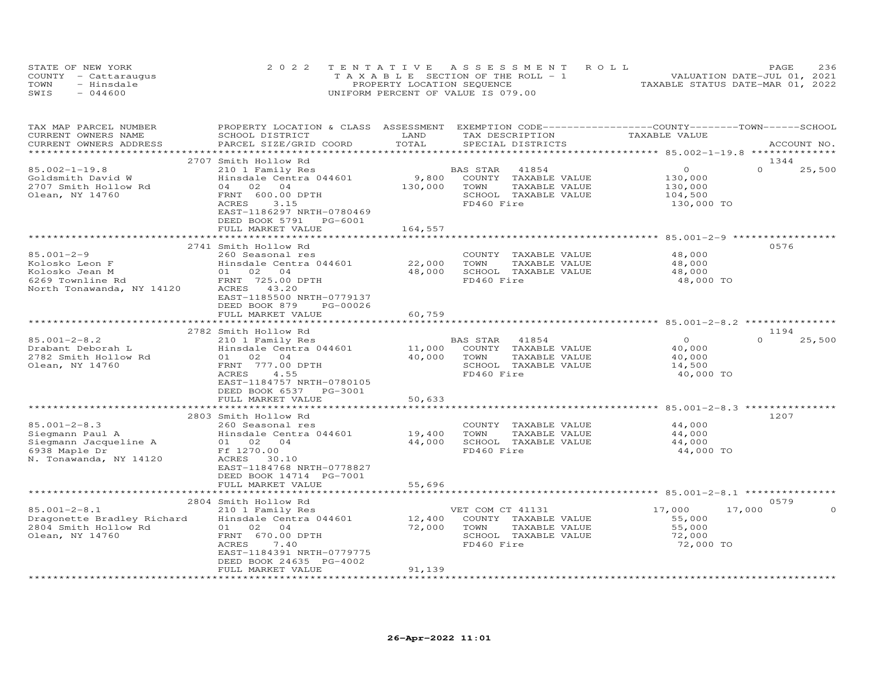|      | STATE OF NEW YORK    | 2022 TENTATIVE ASSESSMENT ROLL        | 236<br>PAGE                      |
|------|----------------------|---------------------------------------|----------------------------------|
|      | COUNTY - Cattaraugus | T A X A B L E SECTION OF THE ROLL - 1 | VALUATION DATE-JUL 01, 2021      |
| TOWN | - Hinsdale           | PROPERTY LOCATION SEQUENCE            | TAXABLE STATUS DATE-MAR 01, 2022 |
| SWIS | $-044600$            | UNIFORM PERCENT OF VALUE IS 079.00    |                                  |

| TAX MAP PARCEL NUMBER<br>CURRENT OWNERS NAME<br>CURRENT OWNERS ADDRESS   | PROPERTY LOCATION & CLASS ASSESSMENT EXEMPTION CODE----------------COUNTY-------TOWN-----SCHOOL<br>SCHOOL DISTRICT<br>PARCEL SIZE/GRID COORD | LAND<br>TOTAL                 | TAX DESCRIPTION<br>SPECIAL DISTRICTS                                                | TAXABLE VALUE                           | ACCOUNT NO.                |
|--------------------------------------------------------------------------|----------------------------------------------------------------------------------------------------------------------------------------------|-------------------------------|-------------------------------------------------------------------------------------|-----------------------------------------|----------------------------|
|                                                                          |                                                                                                                                              |                               |                                                                                     |                                         |                            |
| $85.002 - 1 - 19.8$<br>Goldsmith David W                                 | 2707 Smith Hollow Rd<br>210 1 Family Res<br>Hinsdale Centra 044601                                                                           | 9,800                         | BAS STAR 41854<br>COUNTY TAXABLE VALUE                                              | $\circ$<br>130,000                      | 1344<br>$\Omega$<br>25,500 |
| 2707 Smith Hollow Rd<br>Olean, NY 14760                                  | 04 02 04<br>FRNT 600.00 DPTH<br>ACRES<br>3.15<br>EAST-1186297 NRTH-0780469<br>DEED BOOK 5791<br>PG-6001                                      | 130,000                       | TOWN<br>TAXABLE VALUE<br>SCHOOL TAXABLE VALUE<br>FD460 Fire                         | 130,000<br>104,500<br>130,000 TO        |                            |
|                                                                          | FULL MARKET VALUE                                                                                                                            | 164,557                       |                                                                                     |                                         |                            |
|                                                                          | 2741 Smith Hollow Rd                                                                                                                         |                               |                                                                                     |                                         | 0576                       |
| $85.001 - 2 - 9$<br>Kolosko Leon F<br>Kolosko Jean M<br>6269 Townline Rd | 260 Seasonal res<br>Hinsdale Centra 044601<br>01 02 04<br>FRNT 725.00 DPTH                                                                   | 22,000<br>48,000              | COUNTY TAXABLE VALUE<br>TOWN<br>TAXABLE VALUE<br>SCHOOL TAXABLE VALUE<br>FD460 Fire | 48,000<br>48,000<br>48,000<br>48,000 TO |                            |
| North Tonawanda, NY 14120                                                | ACRES 43.20<br>EAST-1185500 NRTH-0779137<br>DEED BOOK 879<br>PG-00026<br>FULL MARKET VALUE                                                   | 60,759                        |                                                                                     |                                         |                            |
|                                                                          |                                                                                                                                              |                               |                                                                                     |                                         |                            |
| $85.001 - 2 - 8.2$                                                       | 2782 Smith Hollow Rd                                                                                                                         |                               |                                                                                     | $\overline{O}$                          | 1194<br>$\Omega$           |
| Drabant Deborah L<br>2782 Smith Hollow Rd                                | 210 1 Family Res<br>Hinsdale Centra 044601<br>01 02 04                                                                                       | 11,000<br>40,000              | BAS STAR 41854<br>COUNTY TAXABLE VALUE<br>TOWN<br>TAXABLE VALUE                     | 40,000<br>40,000                        | 25,500                     |
| Olean, NY 14760                                                          | FRNT 777.00 DPTH<br>ACRES<br>4.55<br>EAST-1184757 NRTH-0780105<br>DEED BOOK 6537<br>PG-3001                                                  |                               | SCHOOL TAXABLE VALUE<br>FD460 Fire                                                  | 14,500<br>40,000 TO                     |                            |
|                                                                          | FULL MARKET VALUE<br>*************************                                                                                               | 50,633<br>******************* |                                                                                     |                                         |                            |
|                                                                          | 2803 Smith Hollow Rd                                                                                                                         |                               |                                                                                     |                                         | 1207                       |
| $85.001 - 2 - 8.3$                                                       | 260 Seasonal res                                                                                                                             |                               | COUNTY TAXABLE VALUE                                                                | 44,000                                  |                            |
| Siegmann Paul A                                                          | Hinsdale Centra 044601                                                                                                                       | 19,400                        | TOWN<br>TAXABLE VALUE                                                               | 44,000                                  |                            |
| Siegmann Jacqueline A                                                    | 01 02 04                                                                                                                                     | 44,000                        | SCHOOL TAXABLE VALUE                                                                | 44,000                                  |                            |
| 6938 Maple Dr<br>N. Tonawanda, NY 14120                                  | Ff 1270.00<br>ACRES 30.10<br>EAST-1184768 NRTH-0778827<br>DEED BOOK 14714 PG-7001                                                            |                               | FD460 Fire                                                                          | 44,000 TO                               |                            |
|                                                                          | FULL MARKET VALUE                                                                                                                            | 55,696                        |                                                                                     |                                         |                            |
|                                                                          | 2804 Smith Hollow Rd                                                                                                                         |                               |                                                                                     |                                         | 0579                       |
| $85.001 - 2 - 8.1$                                                       | 210 1 Family Res                                                                                                                             |                               | VET COM CT 41131                                                                    | 17,000<br>17,000                        | $\Omega$                   |
| Dragonette Bradley Richard                                               | Hinsdale Centra 044601                                                                                                                       | 12,400                        | COUNTY TAXABLE VALUE                                                                | 55,000                                  |                            |
| 2804 Smith Hollow Rd                                                     | 01 02 04                                                                                                                                     | 72,000                        | TOWN<br>TAXABLE VALUE                                                               | 55,000                                  |                            |
| Olean, NY 14760                                                          | FRNT 670.00 DPTH<br>ACRES<br>7.40<br>EAST-1184391 NRTH-0779775                                                                               |                               | SCHOOL TAXABLE VALUE<br>FD460 Fire                                                  | 72,000<br>72,000 TO                     |                            |
|                                                                          | DEED BOOK 24635 PG-4002                                                                                                                      |                               |                                                                                     |                                         |                            |
|                                                                          | FULL MARKET VALUE                                                                                                                            | 91,139                        |                                                                                     |                                         |                            |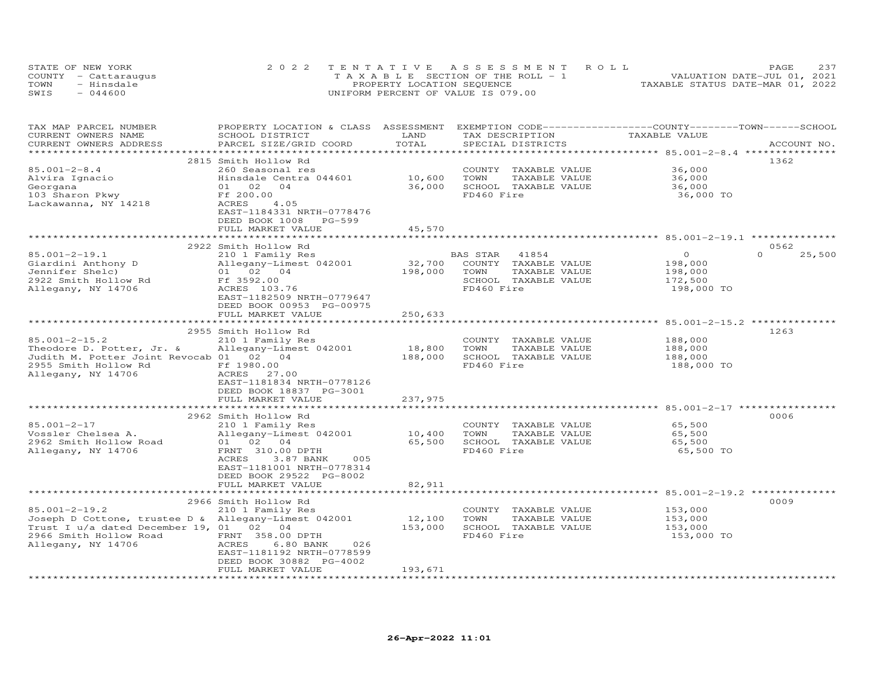|      | STATE OF NEW YORK    | 2022 TENTATIVE ASSESSMENT ROLL        | 237<br>PAGE                      |
|------|----------------------|---------------------------------------|----------------------------------|
|      | COUNTY - Cattaraugus | T A X A B L E SECTION OF THE ROLL - 1 | VALUATION DATE-JUL 01, 2021      |
| TOWN | - Hinsdale           | PROPERTY LOCATION SEQUENCE            | TAXABLE STATUS DATE-MAR 01, 2022 |
| SWIS | $-044600$            | UNIFORM PERCENT OF VALUE IS 079.00    |                                  |

| 2815 Smith Hollow Rd<br>1362<br>36,000<br>260 Seasonal res<br>COUNTY TAXABLE VALUE<br>Hinsdale Centra 044601<br>10,600<br>36.000<br>TOWN<br>TAXABLE VALUE<br>36,000<br>Hinsdale O<br>01 02<br>Ff 200.00<br>36,000<br>SCHOOL TAXABLE VALUE<br>04<br>36,000<br>FD460 Fire<br>103 Sharon Pkwy<br>36,000 TO<br>ACRES<br>4.05<br>EAST-1184331 NRTH-0778476<br>DEED BOOK 1008<br>PG-599<br>45,570<br>FULL MARKET VALUE<br>0562<br>2922 Smith Hollow Rd<br>$\Omega$<br>25,500<br>$\overline{O}$<br>210 1 Family Res<br>BAS STAR 41854<br>Siardini Anthony D<br>Siardini Anthony D<br>2022 Smith Hollow Rd<br>2022 Smith Hollow Rd<br>Ff 3592.00<br>32,700 COUNTY TAXABLE VALUE<br>Allegany-Limest 042001<br>198,000<br>198,000<br>TOWN<br>TAXABLE VALUE<br>198,000<br>2922 Smith Hollow Rd<br>Allegany, NY 14706<br>SCHOOL TAXABLE VALUE<br>172,500<br>FD460 Fire<br>Allegany, NY 14706<br>198,000 TO<br>ACRES 103.76<br>EAST-1182509 NRTH-0779647<br>DEED BOOK 00953 PG-00975<br>FULL MARKET VALUE<br>250,633<br>**************************<br>******************<br>2955 Smith Hollow Rd<br>1263<br>$85.001 - 2 - 15.2$<br>188,000<br>210 1 Family Res<br>COUNTY TAXABLE VALUE<br>18,800<br>Allegany-Limest 042001<br>TOWN<br>TAXABLE VALUE<br>188,000<br>Judith M. Potter Joint Revocab 01 02 04<br>188,000<br>SCHOOL TAXABLE VALUE<br>188,000<br>2955 Smith Hollow Rd Ff 1980.00<br>FD460 Fire<br>188,000 TO<br>ACRES 27.00<br>EAST-1181834 NRTH-0778126<br>DEED BOOK 18837 PG-3001<br>237,975<br>FULL MARKET VALUE<br>2962 Smith Hollow Rd<br>0006<br>85.001-2-17<br>65,500<br>210 1 Family Res<br>COUNTY TAXABLE VALUE<br>Allegany-Limest 042001<br>Vossler Chelsea A.<br>10,400<br>TOWN<br>TAXABLE VALUE<br>65,500<br>65,500 SCHOOL TAXABLE VALUE<br>2962 Smith Hollow Road<br>01 02 04<br>65,500<br>FRNT 310.00 DPTH<br>FD460 Fire<br>65,500 TO<br>ACRES<br>3.87 BANK<br>005<br>EAST-1181001 NRTH-0778314<br>DEED BOOK 29522 PG-8002<br>82,911<br>FULL MARKET VALUE<br>0009<br>2966 Smith Hollow Rd<br>$85.001 - 2 - 19.2$<br>210 1 Family Res<br>153,000<br>COUNTY TAXABLE VALUE<br>Joseph D Cottone, trustee D & Allegany-Limest 042001<br>12,100<br>TOWN<br>TAXABLE VALUE<br>153,000<br>Trust I u/a dated December 19, 01 02 04<br>153,000<br>SCHOOL TAXABLE VALUE<br>153,000<br>2966 Smith Hollow Road FRNT 358.00 DPTH<br>FD460 Fire<br>153,000 TO<br>ACRES<br>6.80 BANK<br>026<br>EAST-1181192 NRTH-0778599<br>DEED BOOK 30882 PG-4002<br>193,671<br>FULL MARKET VALUE | TAX MAP PARCEL NUMBER<br>CURRENT OWNERS NAME<br>CURRENT OWNERS ADDRESS | PROPERTY LOCATION & CLASS ASSESSMENT<br>SCHOOL DISTRICT<br>PARCEL SIZE/GRID COORD | LAND<br>TOTAL | TAX DESCRIPTION<br>SPECIAL DISTRICTS | EXEMPTION CODE-----------------COUNTY-------TOWN------SCHOOL<br>TAXABLE VALUE | ACCOUNT NO. |
|-------------------------------------------------------------------------------------------------------------------------------------------------------------------------------------------------------------------------------------------------------------------------------------------------------------------------------------------------------------------------------------------------------------------------------------------------------------------------------------------------------------------------------------------------------------------------------------------------------------------------------------------------------------------------------------------------------------------------------------------------------------------------------------------------------------------------------------------------------------------------------------------------------------------------------------------------------------------------------------------------------------------------------------------------------------------------------------------------------------------------------------------------------------------------------------------------------------------------------------------------------------------------------------------------------------------------------------------------------------------------------------------------------------------------------------------------------------------------------------------------------------------------------------------------------------------------------------------------------------------------------------------------------------------------------------------------------------------------------------------------------------------------------------------------------------------------------------------------------------------------------------------------------------------------------------------------------------------------------------------------------------------------------------------------------------------------------------------------------------------------------------------------------------------------------------------------------------------------------------------------------------------------------------------------------------------------------------------------------------------------------------------------------------------------------------------------------------------------------|------------------------------------------------------------------------|-----------------------------------------------------------------------------------|---------------|--------------------------------------|-------------------------------------------------------------------------------|-------------|
|                                                                                                                                                                                                                                                                                                                                                                                                                                                                                                                                                                                                                                                                                                                                                                                                                                                                                                                                                                                                                                                                                                                                                                                                                                                                                                                                                                                                                                                                                                                                                                                                                                                                                                                                                                                                                                                                                                                                                                                                                                                                                                                                                                                                                                                                                                                                                                                                                                                                               |                                                                        |                                                                                   |               |                                      |                                                                               |             |
|                                                                                                                                                                                                                                                                                                                                                                                                                                                                                                                                                                                                                                                                                                                                                                                                                                                                                                                                                                                                                                                                                                                                                                                                                                                                                                                                                                                                                                                                                                                                                                                                                                                                                                                                                                                                                                                                                                                                                                                                                                                                                                                                                                                                                                                                                                                                                                                                                                                                               | $85.001 - 2 - 8.4$<br>Alvira Ignacio<br>Georgana                       |                                                                                   |               |                                      |                                                                               |             |
|                                                                                                                                                                                                                                                                                                                                                                                                                                                                                                                                                                                                                                                                                                                                                                                                                                                                                                                                                                                                                                                                                                                                                                                                                                                                                                                                                                                                                                                                                                                                                                                                                                                                                                                                                                                                                                                                                                                                                                                                                                                                                                                                                                                                                                                                                                                                                                                                                                                                               | Lackawanna, NY 14218                                                   |                                                                                   |               |                                      |                                                                               |             |
|                                                                                                                                                                                                                                                                                                                                                                                                                                                                                                                                                                                                                                                                                                                                                                                                                                                                                                                                                                                                                                                                                                                                                                                                                                                                                                                                                                                                                                                                                                                                                                                                                                                                                                                                                                                                                                                                                                                                                                                                                                                                                                                                                                                                                                                                                                                                                                                                                                                                               |                                                                        |                                                                                   |               |                                      |                                                                               |             |
|                                                                                                                                                                                                                                                                                                                                                                                                                                                                                                                                                                                                                                                                                                                                                                                                                                                                                                                                                                                                                                                                                                                                                                                                                                                                                                                                                                                                                                                                                                                                                                                                                                                                                                                                                                                                                                                                                                                                                                                                                                                                                                                                                                                                                                                                                                                                                                                                                                                                               |                                                                        |                                                                                   |               |                                      |                                                                               |             |
|                                                                                                                                                                                                                                                                                                                                                                                                                                                                                                                                                                                                                                                                                                                                                                                                                                                                                                                                                                                                                                                                                                                                                                                                                                                                                                                                                                                                                                                                                                                                                                                                                                                                                                                                                                                                                                                                                                                                                                                                                                                                                                                                                                                                                                                                                                                                                                                                                                                                               | $85.001 - 2 - 19.1$                                                    |                                                                                   |               |                                      |                                                                               |             |
|                                                                                                                                                                                                                                                                                                                                                                                                                                                                                                                                                                                                                                                                                                                                                                                                                                                                                                                                                                                                                                                                                                                                                                                                                                                                                                                                                                                                                                                                                                                                                                                                                                                                                                                                                                                                                                                                                                                                                                                                                                                                                                                                                                                                                                                                                                                                                                                                                                                                               |                                                                        |                                                                                   |               |                                      |                                                                               |             |
|                                                                                                                                                                                                                                                                                                                                                                                                                                                                                                                                                                                                                                                                                                                                                                                                                                                                                                                                                                                                                                                                                                                                                                                                                                                                                                                                                                                                                                                                                                                                                                                                                                                                                                                                                                                                                                                                                                                                                                                                                                                                                                                                                                                                                                                                                                                                                                                                                                                                               |                                                                        |                                                                                   |               |                                      |                                                                               |             |
|                                                                                                                                                                                                                                                                                                                                                                                                                                                                                                                                                                                                                                                                                                                                                                                                                                                                                                                                                                                                                                                                                                                                                                                                                                                                                                                                                                                                                                                                                                                                                                                                                                                                                                                                                                                                                                                                                                                                                                                                                                                                                                                                                                                                                                                                                                                                                                                                                                                                               |                                                                        |                                                                                   |               |                                      |                                                                               |             |
|                                                                                                                                                                                                                                                                                                                                                                                                                                                                                                                                                                                                                                                                                                                                                                                                                                                                                                                                                                                                                                                                                                                                                                                                                                                                                                                                                                                                                                                                                                                                                                                                                                                                                                                                                                                                                                                                                                                                                                                                                                                                                                                                                                                                                                                                                                                                                                                                                                                                               |                                                                        |                                                                                   |               |                                      |                                                                               |             |
|                                                                                                                                                                                                                                                                                                                                                                                                                                                                                                                                                                                                                                                                                                                                                                                                                                                                                                                                                                                                                                                                                                                                                                                                                                                                                                                                                                                                                                                                                                                                                                                                                                                                                                                                                                                                                                                                                                                                                                                                                                                                                                                                                                                                                                                                                                                                                                                                                                                                               |                                                                        |                                                                                   |               |                                      |                                                                               |             |
|                                                                                                                                                                                                                                                                                                                                                                                                                                                                                                                                                                                                                                                                                                                                                                                                                                                                                                                                                                                                                                                                                                                                                                                                                                                                                                                                                                                                                                                                                                                                                                                                                                                                                                                                                                                                                                                                                                                                                                                                                                                                                                                                                                                                                                                                                                                                                                                                                                                                               |                                                                        |                                                                                   |               |                                      |                                                                               |             |
|                                                                                                                                                                                                                                                                                                                                                                                                                                                                                                                                                                                                                                                                                                                                                                                                                                                                                                                                                                                                                                                                                                                                                                                                                                                                                                                                                                                                                                                                                                                                                                                                                                                                                                                                                                                                                                                                                                                                                                                                                                                                                                                                                                                                                                                                                                                                                                                                                                                                               |                                                                        |                                                                                   |               |                                      |                                                                               |             |
|                                                                                                                                                                                                                                                                                                                                                                                                                                                                                                                                                                                                                                                                                                                                                                                                                                                                                                                                                                                                                                                                                                                                                                                                                                                                                                                                                                                                                                                                                                                                                                                                                                                                                                                                                                                                                                                                                                                                                                                                                                                                                                                                                                                                                                                                                                                                                                                                                                                                               | Theodore D. Potter, Jr. &                                              |                                                                                   |               |                                      |                                                                               |             |
|                                                                                                                                                                                                                                                                                                                                                                                                                                                                                                                                                                                                                                                                                                                                                                                                                                                                                                                                                                                                                                                                                                                                                                                                                                                                                                                                                                                                                                                                                                                                                                                                                                                                                                                                                                                                                                                                                                                                                                                                                                                                                                                                                                                                                                                                                                                                                                                                                                                                               |                                                                        |                                                                                   |               |                                      |                                                                               |             |
|                                                                                                                                                                                                                                                                                                                                                                                                                                                                                                                                                                                                                                                                                                                                                                                                                                                                                                                                                                                                                                                                                                                                                                                                                                                                                                                                                                                                                                                                                                                                                                                                                                                                                                                                                                                                                                                                                                                                                                                                                                                                                                                                                                                                                                                                                                                                                                                                                                                                               | Allegany, NY 14706                                                     |                                                                                   |               |                                      |                                                                               |             |
|                                                                                                                                                                                                                                                                                                                                                                                                                                                                                                                                                                                                                                                                                                                                                                                                                                                                                                                                                                                                                                                                                                                                                                                                                                                                                                                                                                                                                                                                                                                                                                                                                                                                                                                                                                                                                                                                                                                                                                                                                                                                                                                                                                                                                                                                                                                                                                                                                                                                               |                                                                        |                                                                                   |               |                                      |                                                                               |             |
|                                                                                                                                                                                                                                                                                                                                                                                                                                                                                                                                                                                                                                                                                                                                                                                                                                                                                                                                                                                                                                                                                                                                                                                                                                                                                                                                                                                                                                                                                                                                                                                                                                                                                                                                                                                                                                                                                                                                                                                                                                                                                                                                                                                                                                                                                                                                                                                                                                                                               |                                                                        |                                                                                   |               |                                      |                                                                               |             |
|                                                                                                                                                                                                                                                                                                                                                                                                                                                                                                                                                                                                                                                                                                                                                                                                                                                                                                                                                                                                                                                                                                                                                                                                                                                                                                                                                                                                                                                                                                                                                                                                                                                                                                                                                                                                                                                                                                                                                                                                                                                                                                                                                                                                                                                                                                                                                                                                                                                                               |                                                                        |                                                                                   |               |                                      |                                                                               |             |
|                                                                                                                                                                                                                                                                                                                                                                                                                                                                                                                                                                                                                                                                                                                                                                                                                                                                                                                                                                                                                                                                                                                                                                                                                                                                                                                                                                                                                                                                                                                                                                                                                                                                                                                                                                                                                                                                                                                                                                                                                                                                                                                                                                                                                                                                                                                                                                                                                                                                               |                                                                        |                                                                                   |               |                                      |                                                                               |             |
|                                                                                                                                                                                                                                                                                                                                                                                                                                                                                                                                                                                                                                                                                                                                                                                                                                                                                                                                                                                                                                                                                                                                                                                                                                                                                                                                                                                                                                                                                                                                                                                                                                                                                                                                                                                                                                                                                                                                                                                                                                                                                                                                                                                                                                                                                                                                                                                                                                                                               |                                                                        |                                                                                   |               |                                      |                                                                               |             |
|                                                                                                                                                                                                                                                                                                                                                                                                                                                                                                                                                                                                                                                                                                                                                                                                                                                                                                                                                                                                                                                                                                                                                                                                                                                                                                                                                                                                                                                                                                                                                                                                                                                                                                                                                                                                                                                                                                                                                                                                                                                                                                                                                                                                                                                                                                                                                                                                                                                                               | Allegany, NY 14706                                                     |                                                                                   |               |                                      |                                                                               |             |
|                                                                                                                                                                                                                                                                                                                                                                                                                                                                                                                                                                                                                                                                                                                                                                                                                                                                                                                                                                                                                                                                                                                                                                                                                                                                                                                                                                                                                                                                                                                                                                                                                                                                                                                                                                                                                                                                                                                                                                                                                                                                                                                                                                                                                                                                                                                                                                                                                                                                               |                                                                        |                                                                                   |               |                                      |                                                                               |             |
|                                                                                                                                                                                                                                                                                                                                                                                                                                                                                                                                                                                                                                                                                                                                                                                                                                                                                                                                                                                                                                                                                                                                                                                                                                                                                                                                                                                                                                                                                                                                                                                                                                                                                                                                                                                                                                                                                                                                                                                                                                                                                                                                                                                                                                                                                                                                                                                                                                                                               |                                                                        |                                                                                   |               |                                      |                                                                               |             |
|                                                                                                                                                                                                                                                                                                                                                                                                                                                                                                                                                                                                                                                                                                                                                                                                                                                                                                                                                                                                                                                                                                                                                                                                                                                                                                                                                                                                                                                                                                                                                                                                                                                                                                                                                                                                                                                                                                                                                                                                                                                                                                                                                                                                                                                                                                                                                                                                                                                                               |                                                                        |                                                                                   |               |                                      |                                                                               |             |
|                                                                                                                                                                                                                                                                                                                                                                                                                                                                                                                                                                                                                                                                                                                                                                                                                                                                                                                                                                                                                                                                                                                                                                                                                                                                                                                                                                                                                                                                                                                                                                                                                                                                                                                                                                                                                                                                                                                                                                                                                                                                                                                                                                                                                                                                                                                                                                                                                                                                               |                                                                        |                                                                                   |               |                                      |                                                                               |             |
|                                                                                                                                                                                                                                                                                                                                                                                                                                                                                                                                                                                                                                                                                                                                                                                                                                                                                                                                                                                                                                                                                                                                                                                                                                                                                                                                                                                                                                                                                                                                                                                                                                                                                                                                                                                                                                                                                                                                                                                                                                                                                                                                                                                                                                                                                                                                                                                                                                                                               |                                                                        |                                                                                   |               |                                      |                                                                               |             |
|                                                                                                                                                                                                                                                                                                                                                                                                                                                                                                                                                                                                                                                                                                                                                                                                                                                                                                                                                                                                                                                                                                                                                                                                                                                                                                                                                                                                                                                                                                                                                                                                                                                                                                                                                                                                                                                                                                                                                                                                                                                                                                                                                                                                                                                                                                                                                                                                                                                                               | Allegany, NY 14706                                                     |                                                                                   |               |                                      |                                                                               |             |
|                                                                                                                                                                                                                                                                                                                                                                                                                                                                                                                                                                                                                                                                                                                                                                                                                                                                                                                                                                                                                                                                                                                                                                                                                                                                                                                                                                                                                                                                                                                                                                                                                                                                                                                                                                                                                                                                                                                                                                                                                                                                                                                                                                                                                                                                                                                                                                                                                                                                               |                                                                        |                                                                                   |               |                                      |                                                                               |             |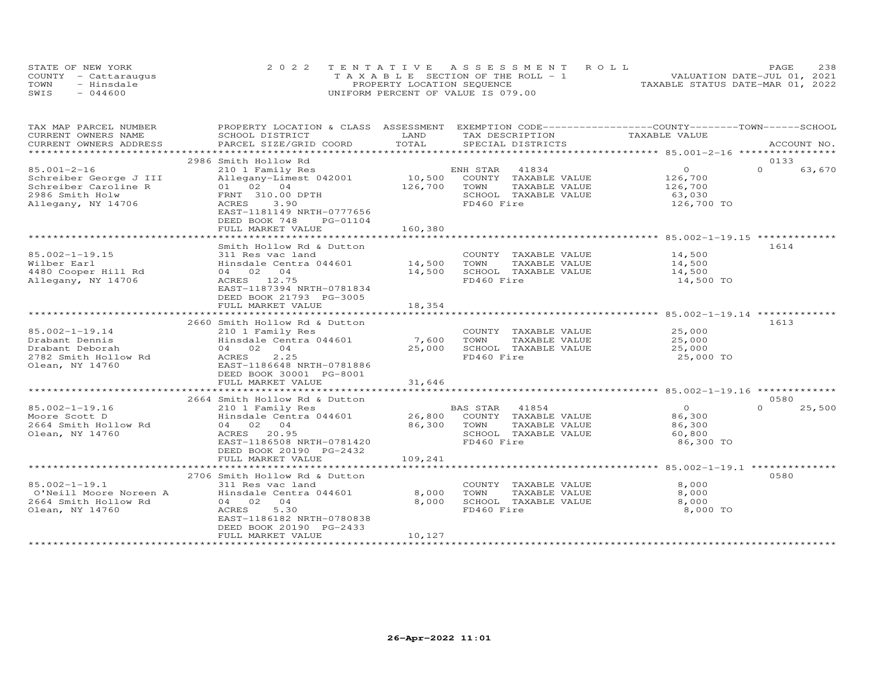|      | STATE OF NEW YORK    | 2022 TENTATIVE ASSESSMENT ROLL        | 238<br>PAGE                      |
|------|----------------------|---------------------------------------|----------------------------------|
|      | COUNTY - Cattaraugus | T A X A B L E SECTION OF THE ROLL - 1 | VALUATION DATE-JUL 01, 2021      |
| TOWN | - Hinsdale           | PROPERTY LOCATION SEQUENCE            | TAXABLE STATUS DATE-MAR 01, 2022 |
| SWIS | $-044600$            | UNIFORM PERCENT OF VALUE IS 079.00    |                                  |

| TAX MAP PARCEL NUMBER<br>CURRENT OWNERS NAME | PROPERTY LOCATION & CLASS ASSESSMENT<br>SCHOOL DISTRICT | LAND                      | EXEMPTION CODE-----------------COUNTY-------TOWN------SCHOOL<br>TAX DESCRIPTION | TAXABLE VALUE                                           |          |             |
|----------------------------------------------|---------------------------------------------------------|---------------------------|---------------------------------------------------------------------------------|---------------------------------------------------------|----------|-------------|
| CURRENT OWNERS ADDRESS                       | PARCEL SIZE/GRID COORD                                  | TOTAL                     | SPECIAL DISTRICTS                                                               |                                                         |          | ACCOUNT NO. |
|                                              |                                                         | ************************* |                                                                                 | ************************* 85.001-2-16 ***************** |          |             |
|                                              | 2986 Smith Hollow Rd                                    |                           |                                                                                 |                                                         | 0133     |             |
| $85.001 - 2 - 16$                            |                                                         |                           | 41834                                                                           | $\circ$                                                 | $\Omega$ | 63,670      |
|                                              | 210 1 Family Res                                        | $10,500$ EM               | ENH STAR                                                                        |                                                         |          |             |
| Schreiber George J III                       | Allegany-Limest 042001                                  |                           | COUNTY TAXABLE VALUE                                                            | 126,700                                                 |          |             |
| Schreiber Caroline R                         | 01 02 04                                                | 126,700                   | TOWN<br>TAXABLE VALUE                                                           | 126,700                                                 |          |             |
| 2986 Smith Holw                              | FRNT 310.00 DPTH                                        |                           | SCHOOL TAXABLE VALUE                                                            | 63,030                                                  |          |             |
| Allegany, NY 14706                           | 3.90<br>ACRES                                           |                           | FD460 Fire                                                                      | 126,700 TO                                              |          |             |
|                                              | EAST-1181149 NRTH-0777656                               |                           |                                                                                 |                                                         |          |             |
|                                              | DEED BOOK 748<br>PG-01104                               |                           |                                                                                 |                                                         |          |             |
|                                              | FULL MARKET VALUE                                       | 160,380                   |                                                                                 |                                                         |          |             |
|                                              |                                                         |                           |                                                                                 |                                                         |          |             |
|                                              | Smith Hollow Rd & Dutton                                |                           |                                                                                 |                                                         | 1614     |             |
| 85.002-1-19.15                               | 311 Res vac land                                        |                           | COUNTY TAXABLE VALUE                                                            | 14,500                                                  |          |             |
| Wilber Earl                                  | Hinsdale Centra 044601                                  | 14,500                    | TAXABLE VALUE<br>TOWN                                                           | 14,500                                                  |          |             |
| 4480 Cooper Hill Rd                          | 04 02 04                                                | 14,500                    | SCHOOL TAXABLE VALUE                                                            | 14,500                                                  |          |             |
| Allegany, NY 14706                           | ACRES 12.75                                             |                           | FD460 Fire                                                                      | 14,500 TO                                               |          |             |
|                                              | EAST-1187394 NRTH-0781834                               |                           |                                                                                 |                                                         |          |             |
|                                              | DEED BOOK 21793 PG-3005                                 |                           |                                                                                 |                                                         |          |             |
|                                              | FULL MARKET VALUE                                       | 18,354                    |                                                                                 |                                                         |          |             |
|                                              | *************************                               |                           |                                                                                 |                                                         |          |             |
|                                              | 2660 Smith Hollow Rd & Dutton                           |                           |                                                                                 |                                                         | 1613     |             |
| 85.002-1-19.14                               | 210 1 Family Res                                        |                           | COUNTY TAXABLE VALUE                                                            | 25,000                                                  |          |             |
| Drabant Dennis                               | Hinsdale Centra 044601                                  | 7,600                     | TOWN<br>TAXABLE VALUE                                                           | 25,000                                                  |          |             |
| Drabant Deborah                              | 04 02 04                                                | 25,000                    | SCHOOL TAXABLE VALUE                                                            | 25,000                                                  |          |             |
| 2782 Smith Hollow Rd                         | 2.25<br>ACRES                                           |                           | FD460 Fire                                                                      | 25,000 TO                                               |          |             |
| Olean, NY 14760                              | EAST-1186648 NRTH-0781886                               |                           |                                                                                 |                                                         |          |             |
|                                              | DEED BOOK 30001 PG-8001                                 |                           |                                                                                 |                                                         |          |             |
|                                              | FULL MARKET VALUE                                       | 31,646                    |                                                                                 |                                                         |          |             |
|                                              |                                                         |                           |                                                                                 |                                                         |          |             |
|                                              |                                                         |                           |                                                                                 |                                                         | 0580     |             |
|                                              | 2664 Smith Hollow Rd & Dutton                           |                           |                                                                                 |                                                         | $\Omega$ |             |
| $85.002 - 1 - 19.16$                         | 210 1 Family Res                                        |                           | 41854<br>BAS STAR                                                               | $\overline{O}$                                          |          | 25,500      |
| Moore Scott D                                | Hinsdale Centra 044601                                  | 26,800                    | COUNTY TAXABLE VALUE                                                            | 86,300                                                  |          |             |
| 2664 Smith Hollow Rd                         | 04 02 04                                                | 86,300                    | TOWN<br>TAXABLE VALUE                                                           | 86,300                                                  |          |             |
| Olean, NY 14760                              | ACRES 20.95                                             |                           | SCHOOL TAXABLE VALUE                                                            | 60,800                                                  |          |             |
|                                              | EAST-1186508 NRTH-0781420                               |                           | FD460 Fire                                                                      | 86,300 TO                                               |          |             |
|                                              | DEED BOOK 20190 PG-2432                                 |                           |                                                                                 |                                                         |          |             |
|                                              | FULL MARKET VALUE                                       | 109,241                   |                                                                                 |                                                         |          |             |
|                                              |                                                         |                           |                                                                                 |                                                         |          |             |
|                                              | 2706 Smith Hollow Rd & Dutton                           |                           |                                                                                 |                                                         | 0580     |             |
| $85.002 - 1 - 19.1$                          | 311 Res vac land                                        |                           | COUNTY TAXABLE VALUE                                                            | 8,000                                                   |          |             |
| O'Neill Moore Noreen A                       | Hinsdale Centra 044601                                  | 8,000                     | TOWN<br>TAXABLE VALUE                                                           | 8,000                                                   |          |             |
| 2664 Smith Hollow Rd                         | 04<br>04 02                                             | 8,000                     | SCHOOL TAXABLE VALUE                                                            | 8,000                                                   |          |             |
| Olean, NY 14760                              | 5.30<br>ACRES                                           |                           | FD460 Fire                                                                      | 8,000 TO                                                |          |             |
|                                              | EAST-1186182 NRTH-0780838                               |                           |                                                                                 |                                                         |          |             |
|                                              | DEED BOOK 20190 PG-2433                                 |                           |                                                                                 |                                                         |          |             |
|                                              | FULL MARKET VALUE                                       | 10,127                    |                                                                                 |                                                         |          |             |
|                                              |                                                         |                           |                                                                                 |                                                         |          |             |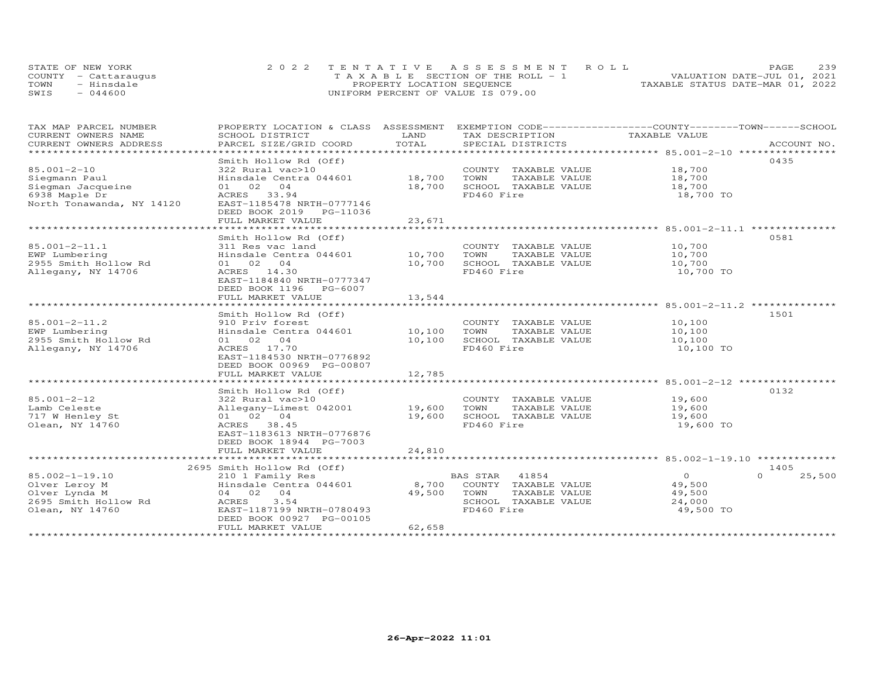| STATE OF NEW YORK    | 2022 TENTATIVE ASSESSMENT ROLL        | 239<br><b>PAGE</b>               |
|----------------------|---------------------------------------|----------------------------------|
| COUNTY - Cattaraugus | T A X A B L E SECTION OF THE ROLL - 1 | VALUATION DATE-JUL 01, 2021      |
| TOWN<br>- Hinsdale   | PROPERTY LOCATION SEQUENCE            | TAXABLE STATUS DATE-MAR 01, 2022 |
| $-044600$<br>SWIS    | UNIFORM PERCENT OF VALUE IS 079.00    |                                  |

| TAX MAP PARCEL NUMBER<br>CURRENT OWNERS NAME | PROPERTY LOCATION & CLASS ASSESSMENT EXEMPTION CODE-----------------COUNTY-------TOWN------SCHOOL | LAND   |                                      | TAXABLE VALUE |                    |
|----------------------------------------------|---------------------------------------------------------------------------------------------------|--------|--------------------------------------|---------------|--------------------|
| CURRENT OWNERS ADDRESS                       | SCHOOL DISTRICT<br>PARCEL SIZE/GRID COORD                                                         | TOTAL  | TAX DESCRIPTION<br>SPECIAL DISTRICTS |               | ACCOUNT NO.        |
| **********************                       |                                                                                                   |        |                                      |               |                    |
|                                              | Smith Hollow Rd (Off)                                                                             |        |                                      |               | 0435               |
| $85.001 - 2 - 10$                            | 322 Rural vac>10                                                                                  |        | COUNTY TAXABLE VALUE                 | 18,700        |                    |
| Siegmann Paul                                | Hinsdale Centra 044601                                                                            | 18,700 | TOWN<br>TAXABLE VALUE                | 18,700        |                    |
| Siegman Jacqueine                            | 01 02<br>04                                                                                       | 18,700 | SCHOOL TAXABLE VALUE                 | 18,700        |                    |
| 6938 Maple Dr                                | ACRES 33.94                                                                                       |        | FD460 Fire                           | 18,700 TO     |                    |
| North Tonawanda, NY 14120                    | EAST-1185478 NRTH-0777146                                                                         |        |                                      |               |                    |
|                                              | DEED BOOK 2019 PG-11036                                                                           |        |                                      |               |                    |
|                                              | FULL MARKET VALUE                                                                                 | 23,671 |                                      |               |                    |
|                                              |                                                                                                   |        |                                      |               |                    |
|                                              |                                                                                                   |        |                                      |               | 0581               |
|                                              | Smith Hollow Rd (Off)                                                                             |        |                                      | 10,700        |                    |
| 85.001-2-11.1                                | 311 Res vac land                                                                                  |        | COUNTY TAXABLE VALUE                 |               |                    |
| EWP Lumbering                                | Hinsdale Centra 044601                                                                            | 10,700 | TOWN<br>TAXABLE VALUE                | 10,700        |                    |
| 2955 Smith Hollow Rd                         | 01 02 04                                                                                          | 10,700 | SCHOOL TAXABLE VALUE                 | 10,700        |                    |
| Allegany, NY 14706                           | ACRES 14.30                                                                                       |        | FD460 Fire                           | 10,700 TO     |                    |
|                                              | EAST-1184840 NRTH-0777347                                                                         |        |                                      |               |                    |
|                                              | DEED BOOK 1196<br>PG-6007                                                                         |        |                                      |               |                    |
|                                              | FULL MARKET VALUE                                                                                 | 13,544 |                                      |               |                    |
|                                              |                                                                                                   |        |                                      |               |                    |
|                                              | Smith Hollow Rd (Off)                                                                             |        |                                      |               | 1501               |
| $85.001 - 2 - 11.2$                          | 910 Priv forest                                                                                   |        | COUNTY TAXABLE VALUE                 | 10,100        |                    |
| EWP Lumbering                                | Hinsdale Centra 044601                                                                            | 10,100 | TOWN<br>TAXABLE VALUE                | 10,100        |                    |
| 2955 Smith Hollow Rd                         | 01 02 04                                                                                          | 10,100 | SCHOOL TAXABLE VALUE                 | 10,100        |                    |
| Allegany, NY 14706                           | ACRES 17.70                                                                                       |        | FD460 Fire                           | 10,100 TO     |                    |
|                                              | EAST-1184530 NRTH-0776892                                                                         |        |                                      |               |                    |
|                                              | DEED BOOK 00969 PG-00807                                                                          |        |                                      |               |                    |
|                                              | FULL MARKET VALUE                                                                                 | 12,785 |                                      |               |                    |
|                                              |                                                                                                   |        |                                      |               |                    |
|                                              | Smith Hollow Rd (Off)                                                                             |        |                                      |               | 0132               |
| $85.001 - 2 - 12$                            | 322 Rural vac>10                                                                                  |        | COUNTY TAXABLE VALUE                 | 19,600        |                    |
| Lamb Celeste                                 | Allegany-Limest 042001                                                                            | 19,600 | TOWN<br>TAXABLE VALUE                | 19,600        |                    |
| 717 W Henley St                              | 01 02 04                                                                                          | 19,600 | SCHOOL TAXABLE VALUE                 | 19,600        |                    |
| Olean, NY 14760                              | ACRES 38.45                                                                                       |        | FD460 Fire                           | 19,600 TO     |                    |
|                                              | EAST-1183613 NRTH-0776876                                                                         |        |                                      |               |                    |
|                                              | DEED BOOK 18944 PG-7003                                                                           |        |                                      |               |                    |
|                                              | FULL MARKET VALUE                                                                                 | 24,810 |                                      |               |                    |
|                                              |                                                                                                   |        |                                      |               |                    |
|                                              | 2695 Smith Hollow Rd (Off)                                                                        |        |                                      |               | 1405               |
| 85.002-1-19.10                               | 210 1 Family Res                                                                                  |        | 41854<br>BAS STAR                    | $\Omega$      | $\Omega$<br>25,500 |
| Olver Leroy M                                | Hinsdale Centra 044601                                                                            | 8,700  | COUNTY TAXABLE VALUE                 | 49,500        |                    |
| Olver Lynda M                                | 04 02 04                                                                                          | 49,500 | TAXABLE VALUE<br>TOWN                | 49,500        |                    |
| 2695 Smith Hollow Rd                         | 3.54<br>ACRES                                                                                     |        | SCHOOL TAXABLE VALUE                 | 24,000        |                    |
| Olean, NY 14760                              | EAST-1187199 NRTH-0780493                                                                         |        | FD460 Fire                           | 49,500 TO     |                    |
|                                              | DEED BOOK 00927 PG-00105                                                                          |        |                                      |               |                    |
|                                              | FULL MARKET VALUE                                                                                 | 62,658 |                                      |               |                    |
|                                              |                                                                                                   |        |                                      |               |                    |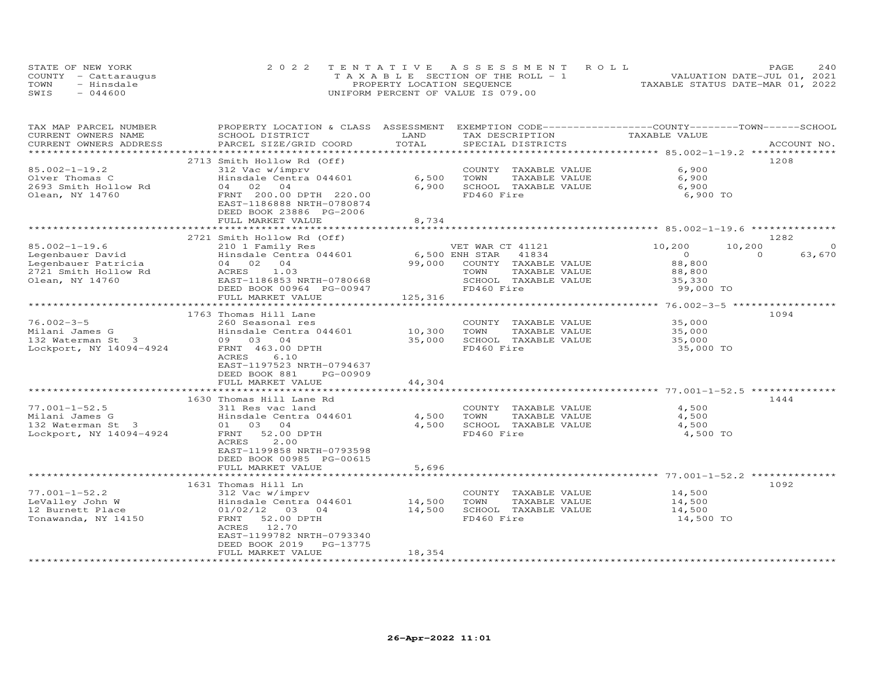| STATE OF NEW YORK    | 2022 TENTATIVE ASSESSMENT ROLL        | PAGE                             | 240 |
|----------------------|---------------------------------------|----------------------------------|-----|
| COUNTY - Cattaraugus | T A X A B L E SECTION OF THE ROLL - 1 | VALUATION DATE-JUL 01, 2021      |     |
| TOWN<br>- Hinsdale   | PROPERTY LOCATION SEQUENCE            | TAXABLE STATUS DATE-MAR 01, 2022 |     |
| SWIS<br>$-044600$    | UNIFORM PERCENT OF VALUE IS 079.00    |                                  |     |

| TAX MAP PARCEL NUMBER   | PROPERTY LOCATION & CLASS                            | ASSESSMENT     | EXEMPTION CODE-----------------COUNTY-------TOWN------SCHOOL |                                                     |                    |
|-------------------------|------------------------------------------------------|----------------|--------------------------------------------------------------|-----------------------------------------------------|--------------------|
| CURRENT OWNERS NAME     | SCHOOL DISTRICT                                      | LAND           | TAX DESCRIPTION                                              | TAXABLE VALUE                                       |                    |
| CURRENT OWNERS ADDRESS  | PARCEL SIZE/GRID COORD                               | TOTAL          | SPECIAL DISTRICTS                                            |                                                     | ACCOUNT NO.        |
|                         |                                                      |                |                                                              |                                                     |                    |
|                         | 2713 Smith Hollow Rd (Off)                           |                |                                                              |                                                     | 1208               |
| $85.002 - 1 - 19.2$     | 312 Vac w/imprv                                      |                | COUNTY TAXABLE VALUE                                         | 6,900                                               |                    |
| Olver Thomas C          | Hinsdale Centra 044601                               | 6,500          | TAXABLE VALUE<br>TOWN                                        | 6,900                                               |                    |
| 2693 Smith Hollow Rd    | 04 02<br>04                                          | 6,900          | SCHOOL TAXABLE VALUE                                         | 6,900                                               |                    |
| Olean, NY 14760         | FRNT 200.00 DPTH 220.00<br>EAST-1186888 NRTH-0780874 |                | FD460 Fire                                                   | 6,900 TO                                            |                    |
|                         | DEED BOOK 23886 PG-2006                              |                |                                                              |                                                     |                    |
|                         | FULL MARKET VALUE                                    | 8,734          |                                                              |                                                     |                    |
|                         |                                                      |                |                                                              |                                                     |                    |
|                         | 2721 Smith Hollow Rd (Off)                           |                |                                                              |                                                     | 1282               |
| $85.002 - 1 - 19.6$     | 210 1 Family Res                                     |                | VET WAR CT 41121                                             | 10,200                                              | 10,200<br>$\Omega$ |
| Legenbauer David        | Hinsdale Centra 044601                               | 6,500 ENH STAR | 41834                                                        | $\overline{O}$                                      | $\Omega$<br>63,670 |
| Legenbauer Patricia     | 04 02 04                                             | 99,000         | COUNTY TAXABLE VALUE                                         | 88,800                                              |                    |
| 2721 Smith Hollow Rd    | ACRES<br>1.03                                        |                | TOWN<br>TAXABLE VALUE                                        | 88,800                                              |                    |
| Olean, NY 14760         | EAST-1186853 NRTH-0780668                            |                | SCHOOL TAXABLE VALUE                                         | 35,330                                              |                    |
|                         | DEED BOOK 00964 PG-00947                             |                | FD460 Fire                                                   | 99,000 TO                                           |                    |
|                         | FULL MARKET VALUE                                    | 125,316        |                                                              |                                                     |                    |
|                         | ************************                             |                | *************************                                    | ********************* 76.002-3-5 ****************** |                    |
|                         | 1763 Thomas Hill Lane                                |                |                                                              |                                                     | 1094               |
| $76.002 - 3 - 5$        | 260 Seasonal res                                     |                | COUNTY TAXABLE VALUE                                         | 35,000                                              |                    |
| Milani James G          | Hinsdale Centra 044601                               | 10,300         | TOWN<br>TAXABLE VALUE                                        | 35,000                                              |                    |
| 132 Waterman St 3       | 09 03 04                                             | 35,000         | SCHOOL TAXABLE VALUE                                         | 35,000                                              |                    |
| Lockport, NY 14094-4924 | FRNT 463.00 DPTH                                     |                | FD460 Fire                                                   | 35,000 TO                                           |                    |
|                         | ACRES<br>6.10                                        |                |                                                              |                                                     |                    |
|                         | EAST-1197523 NRTH-0794637                            |                |                                                              |                                                     |                    |
|                         | DEED BOOK 881<br>PG-00909                            |                |                                                              |                                                     |                    |
|                         | FULL MARKET VALUE                                    | 44,304         |                                                              |                                                     |                    |
|                         |                                                      |                |                                                              |                                                     |                    |
|                         | 1630 Thomas Hill Lane Rd                             |                |                                                              |                                                     | 1444               |
| $77.001 - 1 - 52.5$     | 311 Res vac land                                     |                | COUNTY TAXABLE VALUE                                         | 4,500                                               |                    |
| Milani James G          | Hinsdale Centra 044601                               | 4,500          | TOWN<br>TAXABLE VALUE                                        | 4,500                                               |                    |
| 132 Waterman St 3       | 01 03 04                                             | 4,500          | SCHOOL TAXABLE VALUE                                         | 4,500                                               |                    |
| Lockport, NY 14094-4924 | FRNT 52.00 DPTH                                      |                | FD460 Fire                                                   | 4,500 TO                                            |                    |
|                         | ACRES<br>2.00                                        |                |                                                              |                                                     |                    |
|                         | EAST-1199858 NRTH-0793598                            |                |                                                              |                                                     |                    |
|                         | DEED BOOK 00985 PG-00615<br>FULL MARKET VALUE        | 5,696          |                                                              |                                                     |                    |
|                         |                                                      |                | ******************************* 77.001-1-52.2 ************** |                                                     |                    |
|                         | 1631 Thomas Hill Ln                                  |                |                                                              |                                                     | 1092               |
| $77.001 - 1 - 52.2$     | 312 Vac w/imprv                                      |                | COUNTY TAXABLE VALUE                                         | 14,500                                              |                    |
| LeValley John W         | Hinsdale Centra 044601                               | 14,500         | TOWN<br>TAXABLE VALUE                                        | 14,500                                              |                    |
| 12 Burnett Place        | 01/02/12 03<br>04                                    | 14,500         | SCHOOL TAXABLE VALUE                                         | 14,500                                              |                    |
| Tonawanda, NY 14150     | FRNT<br>52.00 DPTH                                   |                | FD460 Fire                                                   | 14,500 TO                                           |                    |
|                         | 12.70<br>ACRES                                       |                |                                                              |                                                     |                    |
|                         | EAST-1199782 NRTH-0793340                            |                |                                                              |                                                     |                    |
|                         | DEED BOOK 2019<br>PG-13775                           |                |                                                              |                                                     |                    |
|                         | FULL MARKET VALUE                                    | 18,354         |                                                              |                                                     |                    |
|                         |                                                      |                |                                                              |                                                     |                    |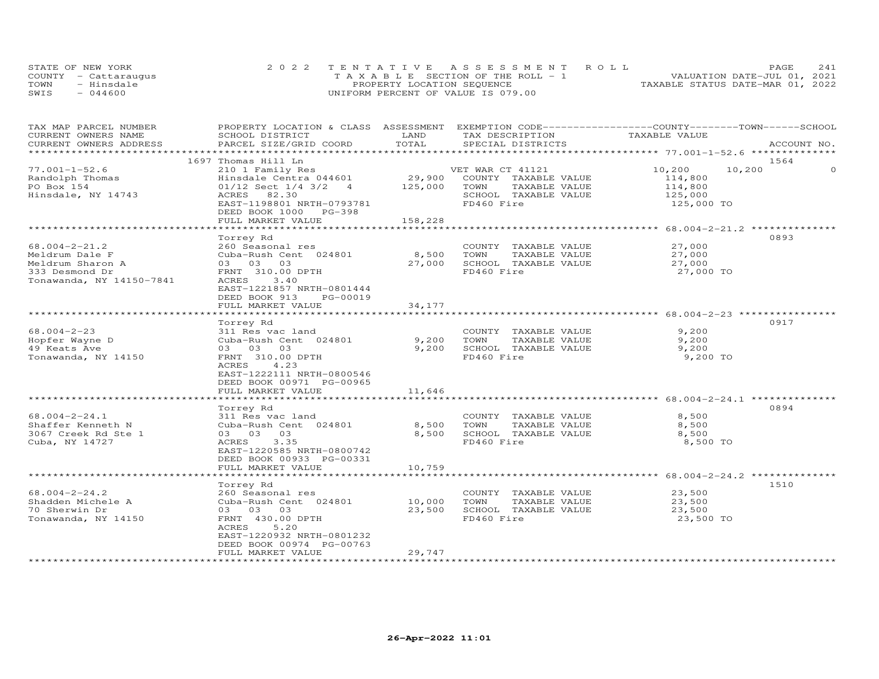|      | STATE OF NEW YORK    | 2022 TENTATIVE ASSESSMENT ROLL               | 241<br>PAGE                      |
|------|----------------------|----------------------------------------------|----------------------------------|
|      | COUNTY - Cattaraugus | $T A X A B I F S E C T T ON OF THE ROTL - 1$ | VALUATION DATE-JUL 01, 2021      |
| TOWN | - Hinsdale           | PROPERTY LOCATION SEQUENCE                   | TAXABLE STATUS DATE-MAR 01, 2022 |
| SWIS | $-044600$            | UNIFORM PERCENT OF VALUE IS 079.00           |                                  |

| TAX MAP PARCEL NUMBER                         | PROPERTY LOCATION & CLASS ASSESSMENT EXEMPTION CODE----------------COUNTY-------TOWN------SCHOOL | LAND    |                                      | TAXABLE VALUE                                |                    |
|-----------------------------------------------|--------------------------------------------------------------------------------------------------|---------|--------------------------------------|----------------------------------------------|--------------------|
| CURRENT OWNERS NAME<br>CURRENT OWNERS ADDRESS | SCHOOL DISTRICT<br>PARCEL SIZE/GRID COORD                                                        | TOTAL   | TAX DESCRIPTION<br>SPECIAL DISTRICTS |                                              | ACCOUNT NO.        |
| ***********************                       |                                                                                                  |         |                                      |                                              |                    |
|                                               | 1697 Thomas Hill Ln                                                                              |         |                                      |                                              | 1564               |
| $77.001 - 1 - 52.6$                           | 210 1 Family Res                                                                                 |         | VET WAR CT 41121                     | 10,200                                       | 10,200<br>$\Omega$ |
| Randolph Thomas                               | Hinsdale Centra 044601                                                                           | 29,900  | COUNTY TAXABLE VALUE                 | 114,800                                      |                    |
| PO Box 154                                    | $01/12$ Sect $1/4$ 3/2 4                                                                         | 125,000 | TOWN<br>TAXABLE VALUE                | 114,800                                      |                    |
| Hinsdale, NY 14743                            | ACRES 82.30                                                                                      |         | SCHOOL TAXABLE VALUE                 | 125,000                                      |                    |
|                                               | EAST-1198801 NRTH-0793781                                                                        |         | FD460 Fire                           | 125,000 TO                                   |                    |
|                                               | DEED BOOK 1000 PG-398                                                                            |         |                                      |                                              |                    |
|                                               | FULL MARKET VALUE                                                                                | 158,228 |                                      |                                              |                    |
|                                               |                                                                                                  |         |                                      |                                              |                    |
|                                               | Torrey Rd                                                                                        |         |                                      |                                              | 0893               |
| $68.004 - 2 - 21.2$                           | 260 Seasonal res                                                                                 |         | COUNTY TAXABLE VALUE                 | 27,000                                       |                    |
| Meldrum Dale F                                | Cuba-Rush Cent 024801                                                                            | 8,500   | TOWN<br>TAXABLE VALUE                | 27,000                                       |                    |
| Meldrum Sharon A                              | 03 03 03                                                                                         | 27,000  | SCHOOL TAXABLE VALUE                 | 27,000                                       |                    |
| 333 Desmond Dr                                | FRNT 310.00 DPTH                                                                                 |         | FD460 Fire                           | 27,000 TO                                    |                    |
| Tonawanda, NY 14150-7841                      | 3.40<br>ACRES                                                                                    |         |                                      |                                              |                    |
|                                               | EAST-1221857 NRTH-0801444                                                                        |         |                                      |                                              |                    |
|                                               | DEED BOOK 913 PG-00019                                                                           |         |                                      |                                              |                    |
|                                               | FULL MARKET VALUE                                                                                | 34,177  |                                      |                                              |                    |
|                                               |                                                                                                  |         |                                      |                                              |                    |
|                                               | Torrey Rd                                                                                        |         |                                      |                                              | 0917               |
| $68.004 - 2 - 23$                             | 311 Res vac land                                                                                 |         | COUNTY TAXABLE VALUE                 | 9,200                                        |                    |
| Hopfer Wayne D                                | Cuba-Rush Cent 024801                                                                            | 9,200   | TOWN<br>TAXABLE VALUE                | 9,200                                        |                    |
| 49 Keats Ave                                  | 03 03 03                                                                                         | 9,200   | SCHOOL TAXABLE VALUE                 | 9,200                                        |                    |
| Tonawanda, NY 14150                           | FRNT 310.00 DPTH                                                                                 |         | FD460 Fire                           | 9,200 TO                                     |                    |
|                                               | 4.23<br>ACRES                                                                                    |         |                                      |                                              |                    |
|                                               | EAST-1222111 NRTH-0800546                                                                        |         |                                      |                                              |                    |
|                                               | DEED BOOK 00971 PG-00965                                                                         |         |                                      |                                              |                    |
|                                               | FULL MARKET VALUE                                                                                | 11,646  |                                      |                                              |                    |
|                                               | *************************                                                                        |         |                                      |                                              |                    |
|                                               | Torrey Rd                                                                                        |         |                                      |                                              | 0894               |
| $68.004 - 2 - 24.1$                           | 311 Res vac land                                                                                 |         | COUNTY TAXABLE VALUE                 | 8,500                                        |                    |
| Shaffer Kenneth N                             | Cuba-Rush Cent 024801                                                                            | 8,500   | TOWN<br>TAXABLE VALUE                | 8,500                                        |                    |
| 3067 Creek Rd Ste 1                           | 03 03 03                                                                                         | 8,500   | SCHOOL TAXABLE VALUE                 | 8,500                                        |                    |
| Cuba, NY 14727                                | 3.35<br>ACRES                                                                                    |         | FD460 Fire                           | 8,500 TO                                     |                    |
|                                               | EAST-1220585 NRTH-0800742                                                                        |         |                                      |                                              |                    |
|                                               | DEED BOOK 00933 PG-00331                                                                         |         |                                      |                                              |                    |
|                                               | FULL MARKET VALUE                                                                                | 10,759  |                                      |                                              |                    |
|                                               | ******************                                                                               |         |                                      | ********************* 68.004-2-24.2 ******** |                    |
|                                               | Torrey Rd                                                                                        |         |                                      |                                              | 1510               |
| $68.004 - 2 - 24.2$                           | 260 Seasonal res                                                                                 |         | COUNTY TAXABLE VALUE                 | 23,500                                       |                    |
| Shadden Michele A                             | Cuba-Rush Cent 024801                                                                            | 10,000  | TOWN<br>TAXABLE VALUE                | 23,500                                       |                    |
| 70 Sherwin Dr                                 | 03 03 03                                                                                         | 23,500  | SCHOOL TAXABLE VALUE                 | 23,500                                       |                    |
| Tonawanda, NY 14150                           | FRNT 430.00 DPTH                                                                                 |         | FD460 Fire                           | 23,500 TO                                    |                    |
|                                               | ACRES<br>5.20                                                                                    |         |                                      |                                              |                    |
|                                               | EAST-1220932 NRTH-0801232                                                                        |         |                                      |                                              |                    |
|                                               | DEED BOOK 00974 PG-00763                                                                         |         |                                      |                                              |                    |
|                                               | FULL MARKET VALUE                                                                                | 29,747  |                                      |                                              |                    |
|                                               |                                                                                                  |         |                                      |                                              |                    |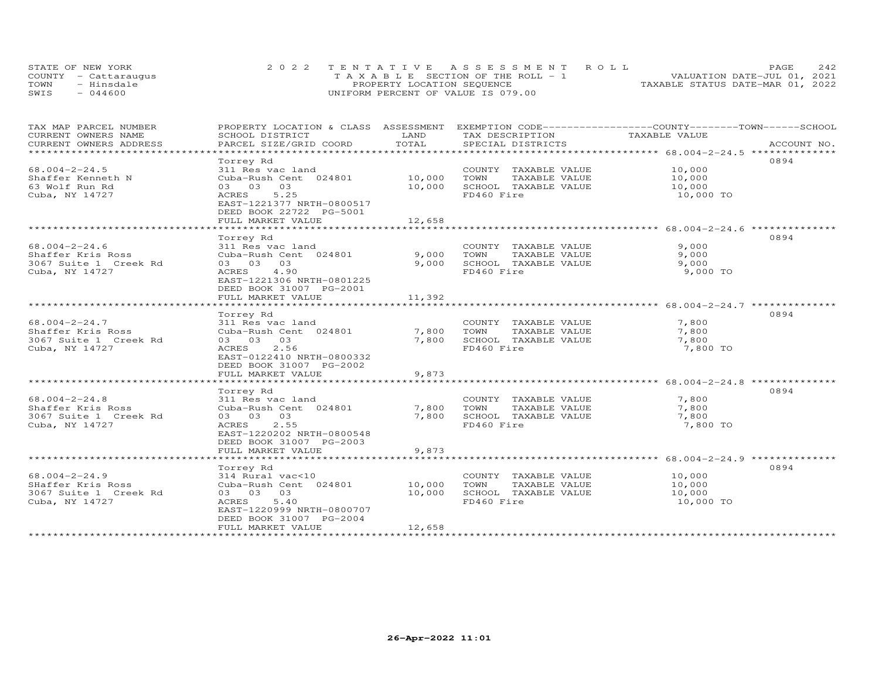|      | STATE OF NEW YORK    | 2022 TENTATIVE ASSESSMENT ROLL          | 2.42<br>PAGE.                    |
|------|----------------------|-----------------------------------------|----------------------------------|
|      | COUNTY - Cattaraugus | $T A X A B L E$ SECTION OF THE ROLL - 1 | VALUATION DATE-JUL 01, 2021      |
| TOWN | - Hinsdale           | PROPERTY LOCATION SEQUENCE              | TAXABLE STATUS DATE-MAR 01, 2022 |
| SWIS | $-044600$            | UNIFORM PERCENT OF VALUE IS 079.00      |                                  |

| TAX MAP PARCEL NUMBER                            | PROPERTY LOCATION & CLASS ASSESSMENT EXEMPTION CODE----------------COUNTY-------TOWN-----SCHOOL |               |                       |               |             |
|--------------------------------------------------|-------------------------------------------------------------------------------------------------|---------------|-----------------------|---------------|-------------|
| CURRENT OWNERS NAME                              | SCHOOL DISTRICT                                                                                 | LAND<br>TOTAL | TAX DESCRIPTION       | TAXABLE VALUE |             |
| CURRENT OWNERS ADDRESS<br>********************** | PARCEL SIZE/GRID COORD                                                                          |               | SPECIAL DISTRICTS     |               | ACCOUNT NO. |
|                                                  |                                                                                                 |               |                       |               |             |
|                                                  | Torrey Rd                                                                                       |               |                       |               | 0894        |
| $68.004 - 2 - 24.5$                              | 311 Res vac land                                                                                |               | COUNTY TAXABLE VALUE  | 10,000        |             |
| Shaffer Kenneth N                                | Cuba-Rush Cent 024801                                                                           | 10,000        | TOWN<br>TAXABLE VALUE | 10,000        |             |
| 63 Wolf Run Rd                                   | 03 03 03                                                                                        | 10,000        | SCHOOL TAXABLE VALUE  | 10,000        |             |
| Cuba, NY 14727                                   | ACRES<br>5.25                                                                                   |               | FD460 Fire            | 10,000 TO     |             |
|                                                  | EAST-1221377 NRTH-0800517                                                                       |               |                       |               |             |
|                                                  | DEED BOOK 22722 PG-5001                                                                         |               |                       |               |             |
|                                                  | FULL MARKET VALUE                                                                               | 12,658        |                       |               |             |
|                                                  |                                                                                                 |               |                       |               |             |
|                                                  | Torrey Rd                                                                                       |               |                       |               | 0894        |
| $68.004 - 2 - 24.6$                              | 311 Res vac land                                                                                |               | COUNTY TAXABLE VALUE  | 9,000         |             |
| Shaffer Kris Ross                                | Cuba-Rush Cent 024801                                                                           | 9,000         | TOWN<br>TAXABLE VALUE | 9,000         |             |
| 3067 Suite 1 Creek Rd                            | 03 03 03                                                                                        | 9,000         | SCHOOL TAXABLE VALUE  | 9,000         |             |
| Cuba, NY 14727                                   | ACRES 4.90                                                                                      |               | FD460 Fire            | 9,000 TO      |             |
|                                                  | EAST-1221306 NRTH-0801225                                                                       |               |                       |               |             |
|                                                  | DEED BOOK 31007 PG-2001                                                                         |               |                       |               |             |
|                                                  | FULL MARKET VALUE                                                                               | 11,392        |                       |               |             |
|                                                  |                                                                                                 |               |                       |               |             |
|                                                  | Torrey Rd                                                                                       |               |                       |               | 0894        |
| $68.004 - 2 - 24.7$                              | 311 Res vac land                                                                                |               | COUNTY TAXABLE VALUE  | 7,800         |             |
| Shaffer Kris Ross                                | Cuba-Rush Cent 024801                                                                           | 7,800         | TOWN<br>TAXABLE VALUE | 7,800         |             |
| 3067 Suite 1 Creek Rd                            | 03 03 03                                                                                        | 7,800         | SCHOOL TAXABLE VALUE  | 7,800         |             |
| Cuba, NY 14727                                   | ACRES 2.56                                                                                      |               | FD460 Fire            | 7,800 TO      |             |
|                                                  | EAST-0122410 NRTH-0800332                                                                       |               |                       |               |             |
|                                                  | DEED BOOK 31007 PG-2002                                                                         |               |                       |               |             |
|                                                  | FULL MARKET VALUE                                                                               | 9,873         |                       |               |             |
|                                                  |                                                                                                 |               |                       |               |             |
|                                                  | Torrey Rd                                                                                       |               |                       |               | 0894        |
| $68.004 - 2 - 24.8$                              | 311 Res vac land                                                                                |               | COUNTY TAXABLE VALUE  | 7,800         |             |
| Shaffer Kris Ross                                | Cuba-Rush Cent 024801                                                                           | 7,800         | TOWN<br>TAXABLE VALUE | 7,800         |             |
| 3067 Suite 1 Creek Rd                            | 03 03 03                                                                                        | 7,800         | SCHOOL TAXABLE VALUE  | 7,800         |             |
| Cuba, NY 14727                                   | ACRES 2.55                                                                                      |               | FD460 Fire            | 7,800 TO      |             |
|                                                  | EAST-1220202 NRTH-0800548                                                                       |               |                       |               |             |
|                                                  | DEED BOOK 31007 PG-2003                                                                         |               |                       |               |             |
|                                                  | FULL MARKET VALUE                                                                               | 9,873         |                       |               |             |
|                                                  |                                                                                                 |               |                       |               |             |
|                                                  | Torrey Rd                                                                                       |               |                       |               | 0894        |
| $68.004 - 2 - 24.9$                              | 314 Rural vac<10                                                                                |               | COUNTY TAXABLE VALUE  | 10,000        |             |
| SHaffer Kris Ross                                | Cuba-Rush Cent 024801                                                                           | 10,000        | TOWN<br>TAXABLE VALUE | 10,000        |             |
| 3067 Suite 1 Creek Rd                            | 03 03 03                                                                                        | 10,000        | SCHOOL TAXABLE VALUE  | 10,000        |             |
| Cuba, NY 14727                                   | 5.40<br>ACRES                                                                                   |               | FD460 Fire            | 10,000 TO     |             |
|                                                  | EAST-1220999 NRTH-0800707                                                                       |               |                       |               |             |
|                                                  | DEED BOOK 31007 PG-2004                                                                         |               |                       |               |             |
|                                                  | FULL MARKET VALUE                                                                               | 12,658        |                       |               |             |
|                                                  |                                                                                                 |               |                       |               |             |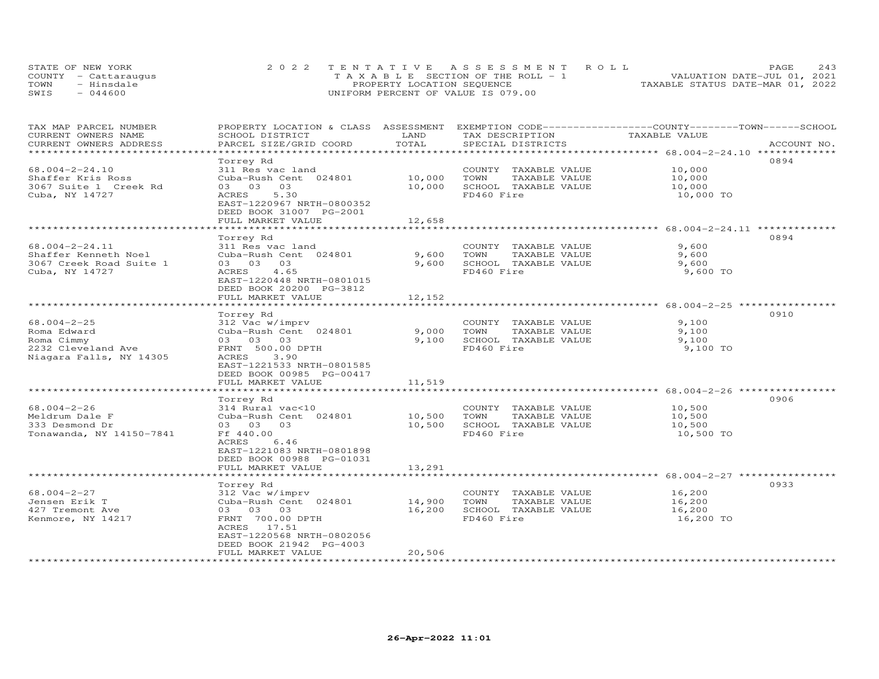|      | STATE OF NEW YORK    | 2022 TENTATIVE ASSESSMENT ROLL          | 2.43<br>PAGE.                    |
|------|----------------------|-----------------------------------------|----------------------------------|
|      | COUNTY - Cattaraugus | $T A X A B L E$ SECTION OF THE ROLL - 1 | VALUATION DATE-JUL 01, 2021      |
| TOWN | - Hinsdale           | PROPERTY LOCATION SEQUENCE              | TAXABLE STATUS DATE-MAR 01, 2022 |
| SWIS | $-044600$            | UNIFORM PERCENT OF VALUE IS 079.00      |                                  |

| TAX MAP PARCEL NUMBER<br>CURRENT OWNERS NAME     | PROPERTY LOCATION & CLASS ASSESSMENT EXEMPTION CODE-----------------COUNTY-------TOWN------SCHOOL<br>SCHOOL DISTRICT | LAND          | TAX DESCRIPTION       | TAXABLE VALUE |             |
|--------------------------------------------------|----------------------------------------------------------------------------------------------------------------------|---------------|-----------------------|---------------|-------------|
| CURRENT OWNERS ADDRESS<br>********************** | PARCEL SIZE/GRID COORD                                                                                               | TOTAL         | SPECIAL DISTRICTS     |               | ACCOUNT NO. |
|                                                  | Torrey Rd                                                                                                            |               |                       |               | 0894        |
| $68.004 - 2 - 24.10$                             | 311 Res vac land                                                                                                     |               | COUNTY TAXABLE VALUE  | 10,000        |             |
| Shaffer Kris Ross                                | Cuba-Rush Cent 024801                                                                                                | 10,000        | TOWN<br>TAXABLE VALUE | 10,000        |             |
| 3067 Suite 1 Creek Rd                            | 03 03 03                                                                                                             | 10,000        | SCHOOL TAXABLE VALUE  | 10,000        |             |
| Cuba, NY 14727                                   | ACRES<br>5.30                                                                                                        |               | FD460 Fire            | 10,000 TO     |             |
|                                                  | EAST-1220967 NRTH-0800352                                                                                            |               |                       |               |             |
|                                                  | DEED BOOK 31007 PG-2001                                                                                              |               |                       |               |             |
|                                                  | FULL MARKET VALUE                                                                                                    | 12,658        |                       |               |             |
|                                                  |                                                                                                                      |               |                       |               | 0894        |
| 68.004-2-24.11                                   | Torrey Rd<br>311 Res vac land                                                                                        |               | COUNTY TAXABLE VALUE  | 9,600         |             |
| Shaffer Kenneth Noel                             | Cuba-Rush Cent 024801                                                                                                | 9,600         | TOWN<br>TAXABLE VALUE | 9,600         |             |
| 3067 Creek Road Suite 1                          | 03 03 03                                                                                                             | 9,600         | SCHOOL TAXABLE VALUE  | 9,600         |             |
| Cuba, NY 14727                                   | ACRES<br>4.65                                                                                                        |               | FD460 Fire            | 9,600 TO      |             |
|                                                  | EAST-1220448 NRTH-0801015                                                                                            |               |                       |               |             |
|                                                  | DEED BOOK 20200 PG-3812                                                                                              |               |                       |               |             |
|                                                  | FULL MARKET VALUE                                                                                                    | 12,152        |                       |               |             |
|                                                  | ***********************                                                                                              | ************* |                       |               |             |
|                                                  | Torrey Rd                                                                                                            |               |                       |               | 0910        |
| $68.004 - 2 - 25$                                | 312 Vac w/imprv                                                                                                      |               | COUNTY TAXABLE VALUE  | 9,100         |             |
| Roma Edward                                      | Cuba-Rush Cent 024801                                                                                                | 9,000         | TOWN<br>TAXABLE VALUE | 9,100         |             |
| Roma Cimmy                                       | 03 03 03                                                                                                             | 9,100         | SCHOOL TAXABLE VALUE  | 9,100         |             |
| 2232 Cleveland Ave                               | FRNT 500.00 DPTH                                                                                                     |               | FD460 Fire            | 9,100 TO      |             |
| Niagara Falls, NY 14305                          | ACRES<br>3.90                                                                                                        |               |                       |               |             |
|                                                  | EAST-1221533 NRTH-0801585                                                                                            |               |                       |               |             |
|                                                  | DEED BOOK 00985 PG-00417                                                                                             |               |                       |               |             |
|                                                  | FULL MARKET VALUE                                                                                                    | 11,519        |                       |               |             |
|                                                  |                                                                                                                      |               |                       |               |             |
|                                                  | Torrey Rd                                                                                                            |               |                       |               | 0906        |
| $68.004 - 2 - 26$                                | 314 Rural vac<10                                                                                                     |               | COUNTY TAXABLE VALUE  | 10,500        |             |
| Meldrum Dale F                                   | Cuba-Rush Cent 024801                                                                                                | 10,500        | TAXABLE VALUE<br>TOWN | 10,500        |             |
| 333 Desmond Dr                                   | 03 03 03                                                                                                             | 10,500        | SCHOOL TAXABLE VALUE  | 10,500        |             |
| Tonawanda, NY 14150-7841                         | Ff 440.00                                                                                                            |               | FD460 Fire            | 10,500 TO     |             |
|                                                  | ACRES<br>6.46<br>EAST-1221083 NRTH-0801898                                                                           |               |                       |               |             |
|                                                  | DEED BOOK 00988 PG-01031                                                                                             |               |                       |               |             |
|                                                  | FULL MARKET VALUE                                                                                                    | 13,291        |                       |               |             |
|                                                  |                                                                                                                      |               |                       |               |             |
|                                                  | Torrey Rd                                                                                                            |               |                       |               | 0933        |
| $68.004 - 2 - 27$                                | 312 Vac w/imprv                                                                                                      |               | COUNTY TAXABLE VALUE  | 16,200        |             |
| Jensen Erik T                                    | Cuba-Rush Cent 024801                                                                                                | 14,900        | TOWN<br>TAXABLE VALUE | 16,200        |             |
| 427 Tremont Ave                                  | 03 03 03                                                                                                             | 16,200        | SCHOOL TAXABLE VALUE  | 16,200        |             |
| Kenmore, NY 14217                                | FRNT 700.00 DPTH                                                                                                     |               | FD460 Fire            | 16,200 TO     |             |
|                                                  | ACRES 17.51                                                                                                          |               |                       |               |             |
|                                                  | EAST-1220568 NRTH-0802056                                                                                            |               |                       |               |             |
|                                                  | DEED BOOK 21942 PG-4003                                                                                              |               |                       |               |             |
|                                                  | FULL MARKET VALUE                                                                                                    | 20,506        |                       |               |             |
|                                                  |                                                                                                                      |               |                       |               |             |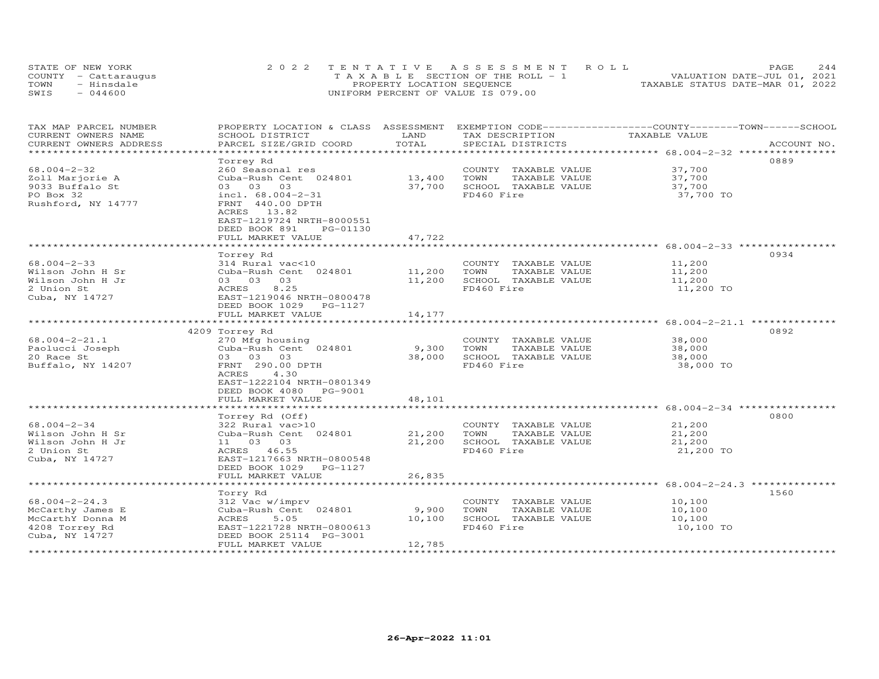| STATE OF NEW YORK    | 2022 TENTATIVE ASSESSMENT ROLL        | 2.44<br><b>PAGE</b>              |
|----------------------|---------------------------------------|----------------------------------|
| COUNTY - Cattaraugus | T A X A B L E SECTION OF THE ROLL - 1 | VALUATION DATE-JUL 01, 2021      |
| TOWN<br>- Hinsdale   | PROPERTY LOCATION SEQUENCE            | TAXABLE STATUS DATE-MAR 01, 2022 |
| $-044600$<br>SWIS    | UNIFORM PERCENT OF VALUE IS 079.00    |                                  |

| TAX MAP PARCEL NUMBER     | PROPERTY LOCATION & CLASS ASSESSMENT EXEMPTION CODE----------------COUNTY-------TOWN-----SCHOOL |                         |                                    |                     |             |
|---------------------------|-------------------------------------------------------------------------------------------------|-------------------------|------------------------------------|---------------------|-------------|
| CURRENT OWNERS NAME       | SCHOOL DISTRICT                                                                                 | LAND                    | TAX DESCRIPTION                    | TAXABLE VALUE       |             |
| CURRENT OWNERS ADDRESS    | PARCEL SIZE/GRID COORD                                                                          | TOTAL                   | SPECIAL DISTRICTS                  |                     | ACCOUNT NO. |
| ************************* |                                                                                                 |                         |                                    |                     |             |
|                           | Torrey Rd                                                                                       |                         |                                    |                     | 0889        |
| $68.004 - 2 - 32$         | 260 Seasonal res                                                                                |                         | COUNTY TAXABLE VALUE               | 37,700              |             |
| Zoll Marjorie A           | Cuba-Rush Cent 024801                                                                           | 13,400                  | TOWN<br>TAXABLE VALUE              | 37,700              |             |
| 9033 Buffalo St           | 03 03 03                                                                                        | 37,700                  | SCHOOL TAXABLE VALUE               | 37,700              |             |
| PO Box 32                 | incl. $68.004 - 2 - 31$                                                                         |                         | FD460 Fire                         | 37,700 TO           |             |
| Rushford, NY 14777        | FRNT 440.00 DPTH                                                                                |                         |                                    |                     |             |
|                           | ACRES 13.82                                                                                     |                         |                                    |                     |             |
|                           | EAST-1219724 NRTH-8000551                                                                       |                         |                                    |                     |             |
|                           | DEED BOOK 891<br>PG-01130                                                                       |                         |                                    |                     |             |
|                           | FULL MARKET VALUE                                                                               | 47,722                  |                                    |                     |             |
|                           | ************************                                                                        | * * * * * * * * * * * * |                                    |                     |             |
|                           | Torrey Rd                                                                                       |                         |                                    |                     | 0934        |
| $68.004 - 2 - 33$         | 314 Rural vac<10                                                                                |                         | COUNTY TAXABLE VALUE               | 11,200              |             |
| Wilson John H Sr          | Cuba-Rush Cent 024801                                                                           | 11,200                  | TOWN<br>TAXABLE VALUE              | 11,200              |             |
| Wilson John H Jr          | 03 03 03                                                                                        | 11,200                  | SCHOOL TAXABLE VALUE               | 11,200              |             |
| 2 Union St                | ACRES<br>8.25                                                                                   |                         | FD460 Fire                         | 11,200 TO           |             |
| Cuba, NY 14727            | EAST-1219046 NRTH-0800478                                                                       |                         |                                    |                     |             |
|                           | DEED BOOK 1029 PG-1127                                                                          |                         |                                    |                     |             |
|                           | FULL MARKET VALUE                                                                               | 14,177                  |                                    |                     |             |
|                           |                                                                                                 |                         |                                    |                     |             |
|                           | 4209 Torrey Rd                                                                                  |                         |                                    |                     | 0892        |
| $68.004 - 2 - 21.1$       | 270 Mfg housing                                                                                 |                         | COUNTY TAXABLE VALUE               | 38,000              |             |
| Paolucci Joseph           | Cuba-Rush Cent 024801                                                                           | 9,300                   | TOWN<br>TAXABLE VALUE              | 38,000              |             |
| 20 Race St                | 03 03 03                                                                                        | 38,000                  | SCHOOL TAXABLE VALUE               | 38,000              |             |
| Buffalo, NY 14207         | FRNT 290.00 DPTH                                                                                |                         | FD460 Fire                         | 38,000 TO           |             |
|                           | ACRES<br>4.30                                                                                   |                         |                                    |                     |             |
|                           | EAST-1222104 NRTH-0801349                                                                       |                         |                                    |                     |             |
|                           | DEED BOOK 4080 PG-9001                                                                          |                         |                                    |                     |             |
|                           | FULL MARKET VALUE                                                                               | 48,101                  |                                    |                     |             |
|                           |                                                                                                 |                         |                                    |                     |             |
|                           | Torrey Rd (Off)                                                                                 |                         |                                    |                     | 0800        |
| $68.004 - 2 - 34$         | 322 Rural vac>10                                                                                |                         | COUNTY TAXABLE VALUE               | 21,200              |             |
| Wilson John H Sr          | Cuba-Rush Cent 024801                                                                           | 21,200                  | TOWN<br>TAXABLE VALUE              | 21,200              |             |
| Wilson John H Jr          | 11 03 03                                                                                        | 21,200                  | SCHOOL TAXABLE VALUE               | 21,200              |             |
| 2 Union St                | ACRES 46.55                                                                                     |                         | FD460 Fire                         | 21,200 TO           |             |
| Cuba, NY 14727            | EAST-1217663 NRTH-0800548                                                                       |                         |                                    |                     |             |
|                           | DEED BOOK 1029 PG-1127                                                                          |                         |                                    |                     |             |
|                           | FULL MARKET VALUE                                                                               | 26,835                  |                                    |                     |             |
|                           |                                                                                                 |                         |                                    |                     |             |
|                           | Torry Rd                                                                                        |                         |                                    |                     | 1560        |
| $68.004 - 2 - 24.3$       | 312 Vac w/imprv                                                                                 |                         | COUNTY TAXABLE VALUE               | 10,100              |             |
|                           | Cuba-Rush Cent 024801                                                                           | 9,900                   | TOWN<br>TAXABLE VALUE              | 10,100              |             |
| McCarthy James E          |                                                                                                 | 10,100                  |                                    |                     |             |
| McCarthY Donna M          | ACRES<br>5.05<br>EAST-1221728 NRTH-0800613                                                      |                         | SCHOOL TAXABLE VALUE<br>FD460 Fire | 10,100<br>10,100 TO |             |
| 4208 Torrey Rd            |                                                                                                 |                         |                                    |                     |             |
| Cuba, NY 14727            | DEED BOOK 25114 PG-3001                                                                         |                         |                                    |                     |             |
|                           | FULL MARKET VALUE                                                                               | 12,785                  |                                    |                     |             |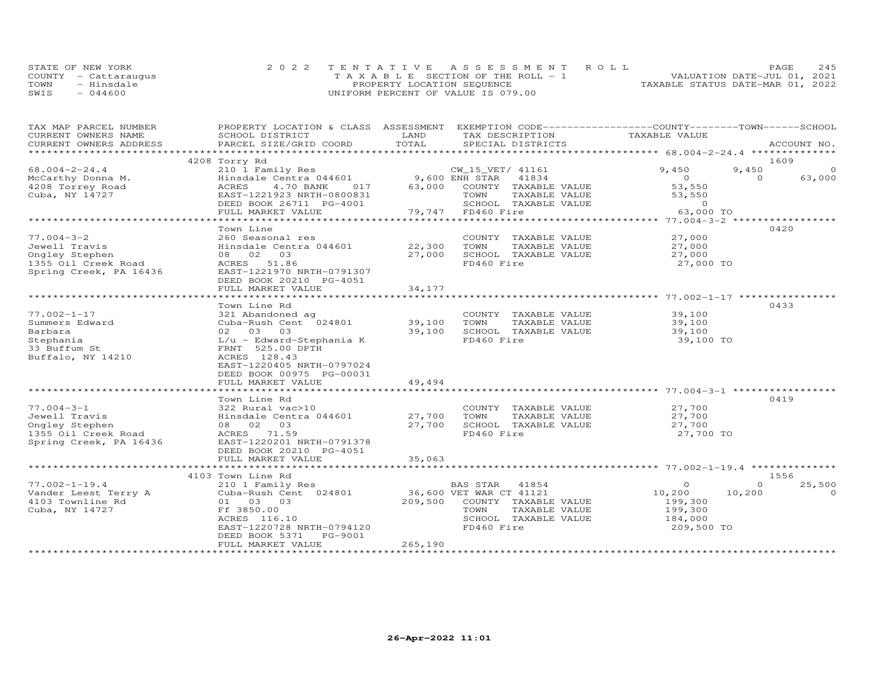|      | STATE OF NEW YORK    | 2022 TENTATIVE ASSESSMENT ROLL        |                                  | <b>PAGE</b>                 | 245 |
|------|----------------------|---------------------------------------|----------------------------------|-----------------------------|-----|
|      | COUNTY - Cattarauqus | T A X A B L E SECTION OF THE ROLL - 1 |                                  | VALUATION DATE-JUL 01, 2021 |     |
| TOWN | - Hinsdale           | PROPERTY LOCATION SEQUENCE            | TAXABLE STATUS DATE-MAR 01, 2022 |                             |     |
| SWIS | $-044600$            | UNIFORM PERCENT OF VALUE IS 079.00    |                                  |                             |     |

| TAX MAP PARCEL NUMBER  | PROPERTY LOCATION & CLASS ASSESSMENT EXEMPTION CODE----------------COUNTY--------TOWN------SCHOOL                                                                                                                                                                                      |         |                                                       |                |                    |
|------------------------|----------------------------------------------------------------------------------------------------------------------------------------------------------------------------------------------------------------------------------------------------------------------------------------|---------|-------------------------------------------------------|----------------|--------------------|
| CURRENT OWNERS NAME    | SCHOOL DISTRICT                                                                                                                                                                                                                                                                        | LAND    | TAX DESCRIPTION                                       | TAXABLE VALUE  |                    |
| CURRENT OWNERS ADDRESS | PARCEL SIZE/GRID COORD                                                                                                                                                                                                                                                                 | TOTAL   | SPECIAL DISTRICTS                                     |                | ACCOUNT NO.        |
|                        |                                                                                                                                                                                                                                                                                        |         |                                                       |                |                    |
|                        | 4208 Torry Rd                                                                                                                                                                                                                                                                          |         |                                                       |                | 1609               |
| $68.004 - 2 - 24.4$    | 210 1 Family Res                                                                                                                                                                                                                                                                       |         | CW_15_VET/ 41161                                      | 9,450          | 9,450<br>$\Omega$  |
| McCarthy Donna M.      | $\frac{310}{111111}$ $\frac{101}{11111}$ $\frac{101}{11111}$ $\frac{101}{11111}$ $\frac{101}{11111}$ $\frac{101}{11111}$ $\frac{101}{11111}$ $\frac{101}{11111}$ $\frac{101}{11111}$ $\frac{101}{11111}$ $\frac{101}{11111}$ $\frac{101}{11111}$ $\frac{101}{11111}$ $\frac{101}{1111$ |         |                                                       | $\overline{O}$ | $\Omega$<br>63,000 |
| 4208 Torrey Road       | ACRES<br>4.70 BANK<br>017                                                                                                                                                                                                                                                              |         | 63,000 COUNTY TAXABLE VALUE                           | 53,550         |                    |
| Cuba, NY 14727         | EAST-1221923 NRTH-0800831                                                                                                                                                                                                                                                              |         | TAXABLE VALUE                                         | 53,550         |                    |
|                        | DEED BOOK 26711 PG-4001                                                                                                                                                                                                                                                                |         | SCHOOL TAXABLE VALUE                                  | $\Omega$       |                    |
|                        | FULL MARKET VALUE                                                                                                                                                                                                                                                                      |         | 0831 TOWN TAX<br>001 SCHOOL TAX<br>79,747 FD460 Fire  | 63,000 TO      |                    |
|                        |                                                                                                                                                                                                                                                                                        |         |                                                       |                |                    |
|                        | Town Line                                                                                                                                                                                                                                                                              |         |                                                       |                | 0420               |
| $77.004 - 3 - 2$       | 260 Seasonal res                                                                                                                                                                                                                                                                       |         | COUNTY TAXABLE VALUE                                  | 27,000         |                    |
| Jewell Travis          | Hinsdale Centra 044601                                                                                                                                                                                                                                                                 | 22,300  | TAXABLE VALUE<br>TOWN                                 | 27,000         |                    |
| Ongley Stephen         | 08 02 03                                                                                                                                                                                                                                                                               | 27,000  | SCHOOL TAXABLE VALUE                                  | 27,000         |                    |
| 1355 Oil Creek Road    | ACRES 51.86                                                                                                                                                                                                                                                                            |         | FD460 Fire                                            | 27,000 TO      |                    |
| Spring Creek, PA 16436 | EAST-1221970 NRTH-0791307                                                                                                                                                                                                                                                              |         |                                                       |                |                    |
|                        | DEED BOOK 20210 PG-4051                                                                                                                                                                                                                                                                |         |                                                       |                |                    |
|                        | FULL MARKET VALUE                                                                                                                                                                                                                                                                      | 34,177  |                                                       |                |                    |
|                        |                                                                                                                                                                                                                                                                                        |         |                                                       |                |                    |
|                        | Town Line Rd                                                                                                                                                                                                                                                                           |         |                                                       |                | 0433               |
| $77.002 - 1 - 17$      | 321 Abandoned ag                                                                                                                                                                                                                                                                       |         | COUNTY TAXABLE VALUE                                  | 39,100         |                    |
| Summers Edward         | Cuba-Rush Cent $024801$ 39,100                                                                                                                                                                                                                                                         |         | TOWN<br>TAXABLE VALUE                                 | 39,100         |                    |
| Barbara                | 39,100<br>02 03 03                                                                                                                                                                                                                                                                     |         | SCHOOL TAXABLE VALUE                                  | 39,100         |                    |
| Stephania              | L/u - Edward-Stephania K                                                                                                                                                                                                                                                               |         | FD460 Fire                                            | 39,100 TO      |                    |
| 33 Buffum St           | FRNT 525.00 DPTH                                                                                                                                                                                                                                                                       |         |                                                       |                |                    |
| Buffalo, NY 14210      | ACRES 128.43                                                                                                                                                                                                                                                                           |         |                                                       |                |                    |
|                        | EAST-1220405 NRTH-0797024                                                                                                                                                                                                                                                              |         |                                                       |                |                    |
|                        | DEED BOOK 00975 PG-00031                                                                                                                                                                                                                                                               |         |                                                       |                |                    |
|                        | FULL MARKET VALUE                                                                                                                                                                                                                                                                      | 49,494  |                                                       |                |                    |
|                        |                                                                                                                                                                                                                                                                                        |         |                                                       |                |                    |
|                        | Town Line Rd                                                                                                                                                                                                                                                                           |         |                                                       |                | 0419               |
| $77.004 - 3 - 1$       | 322 Rural vac>10                                                                                                                                                                                                                                                                       |         | COUNTY TAXABLE VALUE                                  | 27,700         |                    |
| Jewell Travis          | Hinsdale Centra 044601 27,700<br>08 02 03 27,700                                                                                                                                                                                                                                       |         | TOWN       TAXABLE  VALUE<br>SCHOOL    TAXABLE  VALUE | 27,700         |                    |
| Ongley Stephen         |                                                                                                                                                                                                                                                                                        |         |                                                       | 27,700         |                    |
| 1355 Oil Creek Road    | ACRES 71.59                                                                                                                                                                                                                                                                            |         | FD460 Fire                                            | 27,700 TO      |                    |
| Spring Creek, PA 16436 | EAST-1220201 NRTH-0791378                                                                                                                                                                                                                                                              |         |                                                       |                |                    |
|                        | DEED BOOK 20210 PG-4051                                                                                                                                                                                                                                                                |         |                                                       |                |                    |
|                        | FULL MARKET VALUE                                                                                                                                                                                                                                                                      | 35,063  |                                                       |                |                    |
|                        |                                                                                                                                                                                                                                                                                        |         |                                                       |                |                    |
|                        | 4103 Town Line Rd                                                                                                                                                                                                                                                                      |         |                                                       |                | 1556               |
| $77.002 - 1 - 19.4$    | 210 1 Family Res                                                                                                                                                                                                                                                                       |         | BAS STAR 41854                                        | $\circ$        | $\Omega$<br>25,500 |
| Vander Leest Terry A   | Cuba-Rush Cent 024801 36,600 VET WAR CT 41121                                                                                                                                                                                                                                          |         |                                                       | 10,200         | 10,200<br>$\Omega$ |
| 4103 Townline Rd       | 01 03 03                                                                                                                                                                                                                                                                               |         | 209,500 COUNTY TAXABLE VALUE                          | 199,300        |                    |
| Cuba, NY 14727         | Ff 3850.00                                                                                                                                                                                                                                                                             |         | TOWN<br>TAXABLE VALUE                                 | 199,300        |                    |
|                        | ACRES 116.10                                                                                                                                                                                                                                                                           |         | SCHOOL TAXABLE VALUE                                  | 184,000        |                    |
|                        | EAST-1220728 NRTH-0794120                                                                                                                                                                                                                                                              |         | FD460 Fire                                            | 209,500 TO     |                    |
|                        | DEED BOOK 5371 PG-9001                                                                                                                                                                                                                                                                 |         |                                                       |                |                    |
|                        | FULL MARKET VALUE                                                                                                                                                                                                                                                                      | 265,190 |                                                       |                |                    |
|                        |                                                                                                                                                                                                                                                                                        |         |                                                       |                |                    |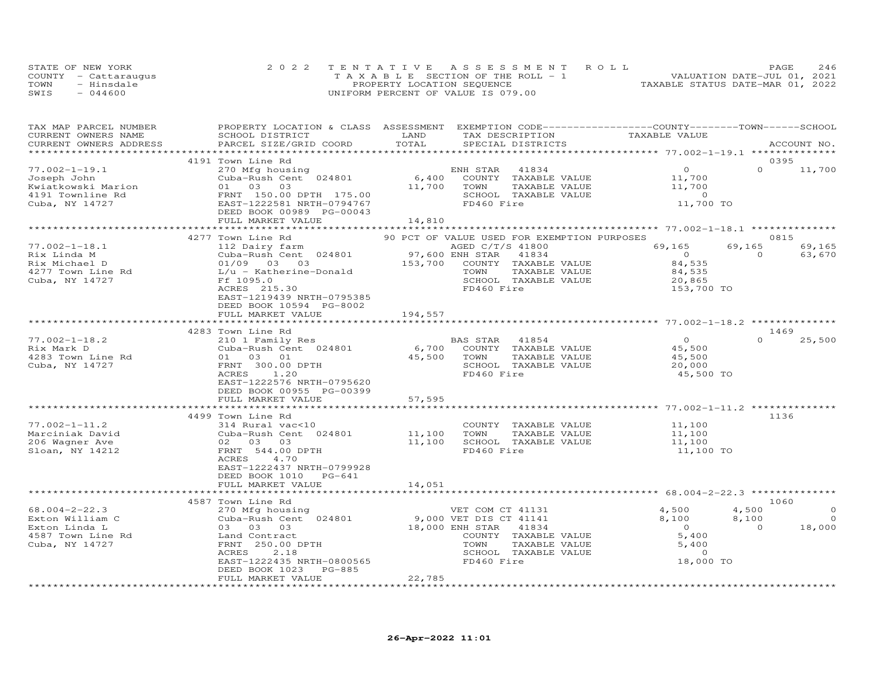|      | STATE OF NEW YORK    | 2022 TENTATIVE ASSESSMENT ROLL        | 246<br>PAGE                      |
|------|----------------------|---------------------------------------|----------------------------------|
|      | COUNTY - Cattaraugus | T A X A B L E SECTION OF THE ROLL - 1 | VALUATION DATE-JUL 01, 2021      |
| TOWN | - Hinsdale           | PROPERTY LOCATION SEQUENCE            | TAXABLE STATUS DATE-MAR 01, 2022 |
| SWIS | $-044600$            | UNIFORM PERCENT OF VALUE IS 079.00    |                                  |

| TAX MAP PARCEL NUMBER<br>CURRENT OWNERS NAME<br>CURRENT OWNERS ADDRESS                                                                                                                                                                                                                                                                                                                                           | PROPERTY LOCATION & CLASS ASSESSMENT EXEMPTION CODE----------------COUNTY-------TOWN-----SCHOOL<br>SCHOOL DISTRICT LAND<br>PARCEL SIZE/GRID COORD                                                                                          | TOTAL   | TAX DESCRIPTION TAXABLE VALUE<br>SPECIAL DISTRICTS<br>SPECIAL DISTRICTS                                                             |                                                                  | ACCOUNT NO.                                                                   |
|------------------------------------------------------------------------------------------------------------------------------------------------------------------------------------------------------------------------------------------------------------------------------------------------------------------------------------------------------------------------------------------------------------------|--------------------------------------------------------------------------------------------------------------------------------------------------------------------------------------------------------------------------------------------|---------|-------------------------------------------------------------------------------------------------------------------------------------|------------------------------------------------------------------|-------------------------------------------------------------------------------|
|                                                                                                                                                                                                                                                                                                                                                                                                                  |                                                                                                                                                                                                                                            |         |                                                                                                                                     |                                                                  |                                                                               |
|                                                                                                                                                                                                                                                                                                                                                                                                                  |                                                                                                                                                                                                                                            |         | ENH STAR 41834 0<br>COUNTY TAXABLE VALUE 11,700<br>TOWN TAXABLE VALUE 11,700<br>SCHOOL TAXABLE VALUE 11,700<br>FD460 Fire 11,700 TO |                                                                  | 0395<br>$0 \t 11,700$                                                         |
|                                                                                                                                                                                                                                                                                                                                                                                                                  |                                                                                                                                                                                                                                            |         |                                                                                                                                     |                                                                  |                                                                               |
|                                                                                                                                                                                                                                                                                                                                                                                                                  | 4277 Town Line Rd                                                                                                                                                                                                                          |         | 90 PCT OF VALUE USED FOR EXEMPTION PURPOSES                                                                                         |                                                                  | 0815<br>$69,165$ $69,165$ $69,165$ $69,165$<br>0 $63,670$<br>84,535<br>84,535 |
|                                                                                                                                                                                                                                                                                                                                                                                                                  | ACRES 215.30<br>EAST-1219439 NRTH-0795385<br>DEED BOOK 10594 PG-8002                                                                                                                                                                       |         | SCHOOL TAXABLE VALUE 30,865<br>FD460 Fire 153,700 TO<br>FD460 Fire                                                                  |                                                                  |                                                                               |
|                                                                                                                                                                                                                                                                                                                                                                                                                  | FULL MARKET VALUE                                                                                                                                                                                                                          | 194,557 |                                                                                                                                     |                                                                  |                                                                               |
|                                                                                                                                                                                                                                                                                                                                                                                                                  | 4283 Town Line Rd                                                                                                                                                                                                                          |         |                                                                                                                                     |                                                                  | 1469                                                                          |
| $\begin{array}{lllllllllllllllll} \vspace{0.1cm} \text{77.002--1-18.2} & & & & & 4\text{2051} & & & \\ & & & & & 2101 & \text{Fami 1y} & \text{Res} & & & & \text{BAS STAR} & 41854 \\ \text{Rix Mark D} & & & & & & \text{Cuba-Rush Cent} & 024801 & & & 6,700 & \text{COUNTY} & \text{TAXABLE VALUE} \\ & & & & & & 01 & 03 & 01 & & 45,500 & \text{TOWN} & \text{TAXABLE VALUE} \\ \text{Cuba, NY 14727} & &$ | EAST-1222576 NRTH-0795620<br>DEED BOOK 00955 PG-00399<br>FULL MARKET VALUE                                                                                                                                                                 | 57,595  | SCHOOL TAXABLE VALUE                                                                                                                | 0<br>45,500<br>45,500<br>20,000<br>45,500 TO                     | $0 \t 25,500$                                                                 |
|                                                                                                                                                                                                                                                                                                                                                                                                                  | ********************************                                                                                                                                                                                                           |         |                                                                                                                                     |                                                                  |                                                                               |
| $77.002 - 1 - 11.2$<br>Marciniak David<br>206 Wagner Ave<br>Sloan, NY 14212                                                                                                                                                                                                                                                                                                                                      | 4499 Town Line Rd<br>314 Rural vac<10<br>COUNTY TAXABLE VALUE<br>Cuba-Rush Cent 024801<br>02 03 03<br>FRNT 544.00 DPTH<br>FD460 Fire<br>FD460 Fire<br>FRNT 544.00 DPTH<br>ACRES 4.70<br>EAST-1222437 NRTH-0799928<br>DEED BOOK 1010 PG-641 |         | COUNTY TAXABLE VALUE 11,100<br>TOWN TAXABLE VALUE 11,100                                                                            | TAXABLE VALUE<br>TAXABLE VALUE 11,100<br>TAXABLE VALUE 11,100 TO | 1136                                                                          |
|                                                                                                                                                                                                                                                                                                                                                                                                                  | FULL MARKET VALUE                                                                                                                                                                                                                          | 14,051  |                                                                                                                                     |                                                                  |                                                                               |
|                                                                                                                                                                                                                                                                                                                                                                                                                  | 4587 Town Line Rd                                                                                                                                                                                                                          |         | ******************************* 68.004-2-22.3 ***************                                                                       |                                                                  | 1060                                                                          |
|                                                                                                                                                                                                                                                                                                                                                                                                                  | PG-885<br>DEED BOOK 1023<br>FULL MARKET VALUE                                                                                                                                                                                              | 22,785  |                                                                                                                                     |                                                                  | $\overline{0}$                                                                |
|                                                                                                                                                                                                                                                                                                                                                                                                                  |                                                                                                                                                                                                                                            |         |                                                                                                                                     |                                                                  |                                                                               |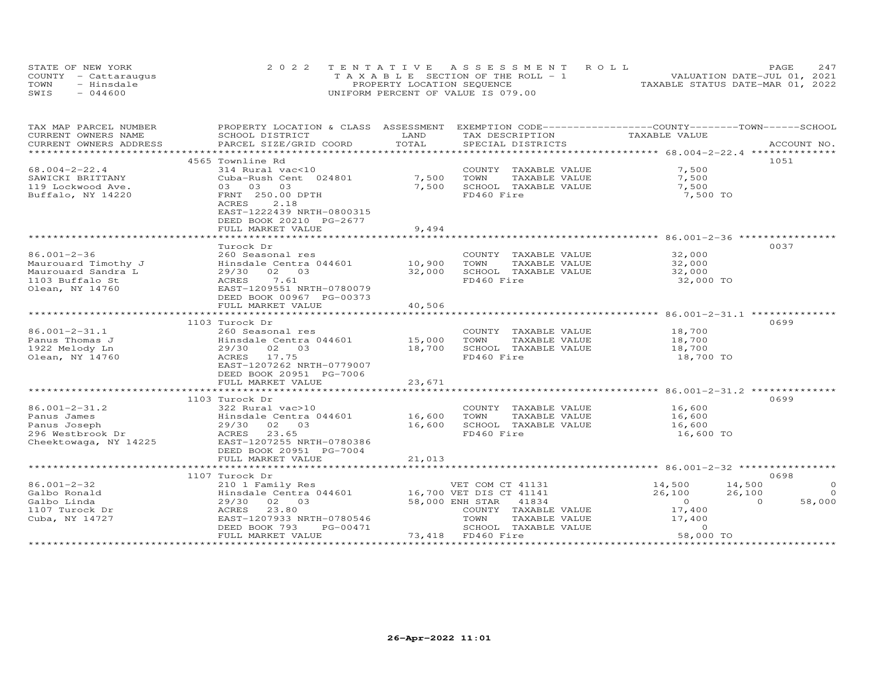|      | STATE OF NEW YORK    | 2022 TENTATIVE ASSESSMENT ROLL        | 247<br>PAGE                      |
|------|----------------------|---------------------------------------|----------------------------------|
|      | COUNTY - Cattaraugus | T A X A B L E SECTION OF THE ROLL - 1 | VALUATION DATE-JUL 01, 2021      |
| TOWN | - Hinsdale           | PROPERTY LOCATION SEQUENCE            | TAXABLE STATUS DATE-MAR 01, 2022 |
| SWIS | $-044600$            | UNIFORM PERCENT OF VALUE IS 079.00    |                                  |

| TAX MAP PARCEL NUMBER  | PROPERTY LOCATION & CLASS ASSESSMENT                               |        | EXEMPTION CODE-----------------COUNTY-------TOWN------SCHOOL |                                            |                    |
|------------------------|--------------------------------------------------------------------|--------|--------------------------------------------------------------|--------------------------------------------|--------------------|
| CURRENT OWNERS NAME    | SCHOOL DISTRICT                                                    | LAND   | TAX DESCRIPTION                                              | TAXABLE VALUE                              |                    |
| CURRENT OWNERS ADDRESS | PARCEL SIZE/GRID COORD                                             | TOTAL  | SPECIAL DISTRICTS                                            |                                            | ACCOUNT NO.        |
|                        |                                                                    |        |                                                              |                                            |                    |
|                        | 4565 Townline Rd                                                   |        |                                                              |                                            | 1051               |
| $68.004 - 2 - 22.4$    | 314 Rural vac<10                                                   |        | COUNTY TAXABLE VALUE                                         | 7,500                                      |                    |
| SAWICKI BRITTANY       | Cuba-Rush Cent 024801                                              | 7,500  | TOWN<br>TAXABLE VALUE                                        | 7,500                                      |                    |
| 119 Lockwood Ave.      | 03<br>03 03                                                        | 7,500  | SCHOOL TAXABLE VALUE                                         | 7,500                                      |                    |
| Buffalo, NY 14220      | FRNT 250.00 DPTH                                                   |        | FD460 Fire                                                   | 7,500 TO                                   |                    |
|                        | 2.18<br>ACRES                                                      |        |                                                              |                                            |                    |
|                        | EAST-1222439 NRTH-0800315                                          |        |                                                              |                                            |                    |
|                        | DEED BOOK 20210 PG-2677                                            |        |                                                              |                                            |                    |
|                        | FULL MARKET VALUE                                                  | 9,494  |                                                              |                                            |                    |
|                        |                                                                    |        |                                                              |                                            |                    |
|                        | Turock Dr                                                          |        |                                                              |                                            | 0037               |
| $86.001 - 2 - 36$      | 260 Seasonal res                                                   |        | COUNTY TAXABLE VALUE                                         | 32,000                                     |                    |
| Maurouard Timothy J    | Hinsdale Centra 044601                                             | 10,900 | TOWN<br>TAXABLE VALUE                                        | 32,000                                     |                    |
| Maurouard Sandra L     | 02 03<br>29/30                                                     | 32,000 | SCHOOL TAXABLE VALUE                                         | 32,000                                     |                    |
| 1103 Buffalo St        | 7.61<br>ACRES                                                      |        | FD460 Fire                                                   | 32,000 TO                                  |                    |
| Olean, NY 14760        | EAST-1209551 NRTH-0780079                                          |        |                                                              |                                            |                    |
|                        | DEED BOOK 00967 PG-00373                                           |        |                                                              |                                            |                    |
|                        | FULL MARKET VALUE                                                  | 40,506 |                                                              |                                            |                    |
|                        |                                                                    |        |                                                              |                                            |                    |
|                        | 1103 Turock Dr                                                     |        |                                                              |                                            | 0699               |
| $86.001 - 2 - 31.1$    | 260 Seasonal res                                                   |        | COUNTY TAXABLE VALUE                                         | 18,700                                     |                    |
|                        | Hinsdale Centra 044601 15,000                                      |        | TOWN<br>TAXABLE VALUE                                        | 18,700                                     |                    |
| Panus Thomas J         |                                                                    |        |                                                              |                                            |                    |
| 1922 Melody Ln         | 29/30 02 03                                                        | 18,700 | SCHOOL TAXABLE VALUE                                         | 18,700                                     |                    |
| Olean, NY 14760        | ACRES 17.75                                                        |        | FD460 Fire                                                   | 18,700 TO                                  |                    |
|                        | EAST-1207262 NRTH-0779007                                          |        |                                                              |                                            |                    |
|                        | DEED BOOK 20951 PG-7006                                            |        |                                                              |                                            |                    |
|                        | FULL MARKET VALUE                                                  | 23,671 |                                                              |                                            |                    |
|                        |                                                                    |        |                                                              |                                            |                    |
|                        | 1103 Turock Dr                                                     |        |                                                              |                                            | 0699               |
| $86.001 - 2 - 31.2$    | 322 Rural vac>10                                                   |        | COUNTY TAXABLE VALUE 16,600                                  |                                            |                    |
| Panus James            | Hinsdale Centra 044601                                             | 16,600 | TOWN<br>TAXABLE VALUE                                        | 16,600<br>16,600                           |                    |
| Panus Joseph           | 29/30 02 03                                                        | 16,600 | SCHOOL TAXABLE VALUE                                         |                                            |                    |
| 296 Westbrook Dr       | 23.65<br>ACRES                                                     |        | FD460 Fire                                                   | 16,600 TO                                  |                    |
| Cheektowaga, NY 14225  | EAST-1207255 NRTH-0780386                                          |        |                                                              |                                            |                    |
|                        | DEED BOOK 20951 PG-7004                                            |        |                                                              |                                            |                    |
|                        | FULL MARKET VALUE                                                  | 21,013 |                                                              |                                            |                    |
|                        |                                                                    |        |                                                              |                                            |                    |
|                        | 1107 Turock Dr                                                     |        |                                                              |                                            | 0698               |
| $86.001 - 2 - 32$      |                                                                    |        | VET COM CT 41131                                             | $14,500$ $14,500$                          | $\Omega$           |
| Galbo Ronald           | 210 1 Family Res<br>Hinsdale Centra 044601 16,700 VET DIS CT 41141 |        |                                                              | 26,100                                     | 26,100<br>$\circ$  |
| Galbo Linda            | 29/30 02 03                                                        |        | 58,000 ENH STAR<br>41834                                     |                                            | 58,000<br>$\Omega$ |
| 1107 Turock Dr         | 23.80<br>ACRES                                                     |        | COUNTY TAXABLE VALUE                                         | $\begin{array}{c} 0 \\ 17,400 \end{array}$ |                    |
| Cuba, NY 14727         | EAST-1207933 NRTH-0780546                                          |        | TOWN<br>TAXABLE VALUE                                        | 17,400                                     |                    |
|                        | DEED BOOK 793<br>PG-00471                                          |        | SCHOOL TAXABLE VALUE                                         | $\Omega$                                   |                    |
|                        | FULL MARKET VALUE                                                  |        | 73,418 FD460 Fire                                            | 58,000 TO                                  |                    |
|                        |                                                                    |        |                                                              |                                            |                    |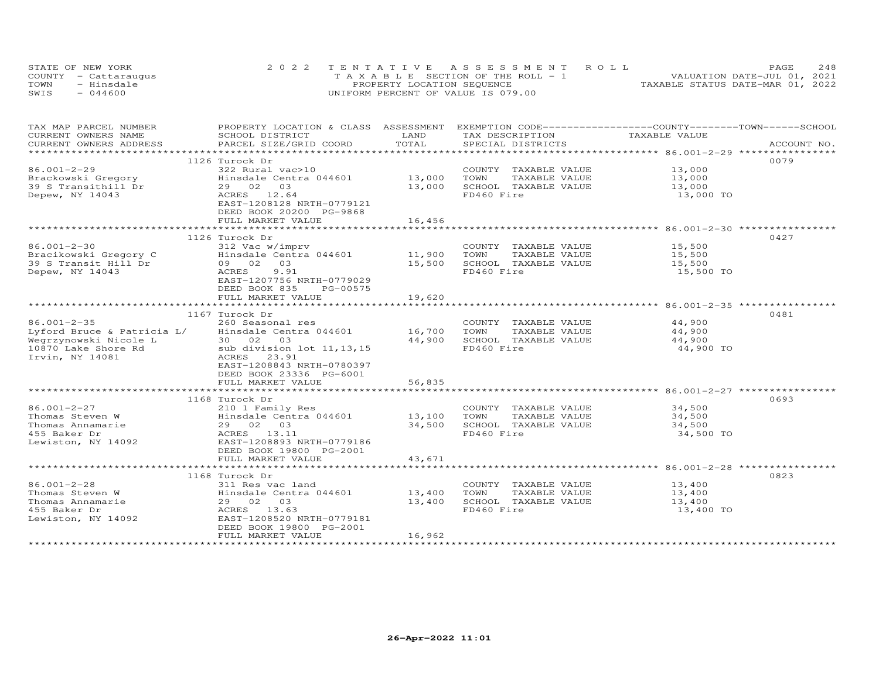|      | STATE OF NEW YORK    | 2022 TENTATIVE ASSESSMENT ROLL        | 248<br>PAGE                      |
|------|----------------------|---------------------------------------|----------------------------------|
|      | COUNTY - Cattaraugus | T A X A B L E SECTION OF THE ROLL - 1 | VALUATION DATE-JUL 01, 2021      |
| TOWN | - Hinsdale           | PROPERTY LOCATION SEQUENCE            | TAXABLE STATUS DATE-MAR 01, 2022 |
| SWIS | $-044600$            | UNIFORM PERCENT OF VALUE IS 079.00    |                                  |

| TAX MAP PARCEL NUMBER<br>CURRENT OWNERS NAME | PROPERTY LOCATION & CLASS ASSESSMENT<br>SCHOOL DISTRICT | LAND                 | EXEMPTION CODE-----------------COUNTY-------TOWN------SCHOOL<br>TAX DESCRIPTION | TAXABLE VALUE |             |
|----------------------------------------------|---------------------------------------------------------|----------------------|---------------------------------------------------------------------------------|---------------|-------------|
| CURRENT OWNERS ADDRESS                       | PARCEL SIZE/GRID COORD                                  | TOTAL                | SPECIAL DISTRICTS                                                               |               | ACCOUNT NO. |
| ***********************                      |                                                         |                      |                                                                                 |               |             |
|                                              |                                                         |                      |                                                                                 |               | 0079        |
|                                              | 1126 Turock Dr                                          |                      |                                                                                 |               |             |
| 86.001-2-29                                  | 322 Rural vac>10                                        |                      | COUNTY TAXABLE VALUE                                                            | 13,000        |             |
|                                              | Hinsdale Centra 044601                                  | 13,000               | TAXABLE VALUE<br>TOWN                                                           | 13,000        |             |
| Brackowski Gregory<br>39 S Transithill Dr    | 29 02<br>03                                             | 13,000               | SCHOOL TAXABLE VALUE                                                            | 13,000        |             |
| Depew, NY 14043                              | ACRES 12.64                                             |                      | FD460 Fire                                                                      | 13,000 TO     |             |
|                                              | EAST-1208128 NRTH-0779121                               |                      |                                                                                 |               |             |
|                                              | DEED BOOK 20200 PG-9868                                 |                      |                                                                                 |               |             |
|                                              | FULL MARKET VALUE                                       | 16,456               |                                                                                 |               |             |
|                                              |                                                         | ******************** |                                                                                 |               |             |
|                                              | 1126 Turock Dr                                          |                      |                                                                                 |               | 0427        |
| $86.001 - 2 - 30$                            | 312 Vac w/imprv                                         |                      | COUNTY TAXABLE VALUE                                                            | 15,500        |             |
| Bracikowski Gregory C                        | Hinsdale Centra 044601                                  | 11,900               | TAXABLE VALUE<br>TOWN                                                           | 15,500        |             |
| 39 S Transit Hill Dr                         | 09 02 03                                                | 15,500               | SCHOOL TAXABLE VALUE                                                            | 15,500        |             |
| Depew, NY 14043                              | ACRES<br>9.91                                           |                      | FD460 Fire                                                                      | 15,500 TO     |             |
|                                              | EAST-1207756 NRTH-0779029                               |                      |                                                                                 |               |             |
|                                              | DEED BOOK 835<br>PG-00575                               |                      |                                                                                 |               |             |
|                                              | FULL MARKET VALUE                                       | 19,620               |                                                                                 |               |             |
|                                              |                                                         |                      |                                                                                 |               |             |
|                                              | 1167 Turock Dr                                          |                      |                                                                                 |               | 0481        |
|                                              |                                                         |                      |                                                                                 |               |             |
| $86.001 - 2 - 35$                            | 260 Seasonal res                                        |                      | COUNTY TAXABLE VALUE                                                            | 44,900        |             |
| Lyford Bruce & Patricia L/                   | Hinsdale Centra 044601                                  | 16,700               | TOWN<br>TAXABLE VALUE                                                           | 44,900        |             |
| Wegrzynowski Nicole L                        | 30 02 03                                                | 44,900               | SCHOOL TAXABLE VALUE                                                            | 44,900        |             |
| 10870 Lake Shore Rd                          | sub division lot 11, 13, 15                             |                      | FD460 Fire                                                                      | 44,900 TO     |             |
| Irvin, NY 14081                              | ACRES<br>23.91                                          |                      |                                                                                 |               |             |
|                                              | EAST-1208843 NRTH-0780397                               |                      |                                                                                 |               |             |
|                                              | DEED BOOK 23336 PG-6001                                 |                      |                                                                                 |               |             |
|                                              | FULL MARKET VALUE                                       | 56,835               |                                                                                 |               |             |
|                                              |                                                         |                      |                                                                                 |               |             |
|                                              | 1168 Turock Dr                                          |                      |                                                                                 |               | 0693        |
| 86.001-2-27                                  | 210 1 Family Res                                        |                      | COUNTY TAXABLE VALUE 34,500                                                     |               |             |
| Thomas Steven W                              | Hinsdale Centra 044601 13,100                           |                      | TOWN<br>TAXABLE VALUE                                                           | 34,500        |             |
| Thomas Annamarie                             | 29 02 03                                                | 34,500               | SCHOOL TAXABLE VALUE                                                            | 34,500        |             |
| 455 Baker Dr                                 | ACRES 13.11                                             |                      | FD460 Fire                                                                      | 34,500 TO     |             |
| Lewiston, NY 14092                           | EAST-1208893 NRTH-0779186                               |                      |                                                                                 |               |             |
|                                              | DEED BOOK 19800 PG-2001                                 |                      |                                                                                 |               |             |
|                                              | FULL MARKET VALUE                                       | 43,671               |                                                                                 |               |             |
|                                              |                                                         |                      |                                                                                 |               |             |
|                                              |                                                         |                      |                                                                                 |               | 0823        |
|                                              | 1168 Turock Dr                                          |                      |                                                                                 |               |             |
| $86.001 - 2 - 28$                            | 311 Res vac land                                        |                      | COUNTY TAXABLE VALUE                                                            | 13,400        |             |
| Thomas Steven W                              | Hinsdale Centra 044601 13,400                           |                      | TOWN<br>TAXABLE VALUE                                                           | 13,400        |             |
| Thomas Annamarie                             | 29 02 03                                                | 13,400               | SCHOOL TAXABLE VALUE                                                            | 13,400        |             |
| 455 Baker Dr                                 | ACRES 13.63                                             |                      | FD460 Fire                                                                      | 13,400 TO     |             |
| Lewiston, NY 14092                           | EAST-1208520 NRTH-0779181                               |                      |                                                                                 |               |             |
|                                              | DEED BOOK 19800 PG-2001                                 |                      |                                                                                 |               |             |
|                                              | FULL MARKET VALUE                                       | 16,962               |                                                                                 |               |             |
|                                              |                                                         |                      |                                                                                 |               |             |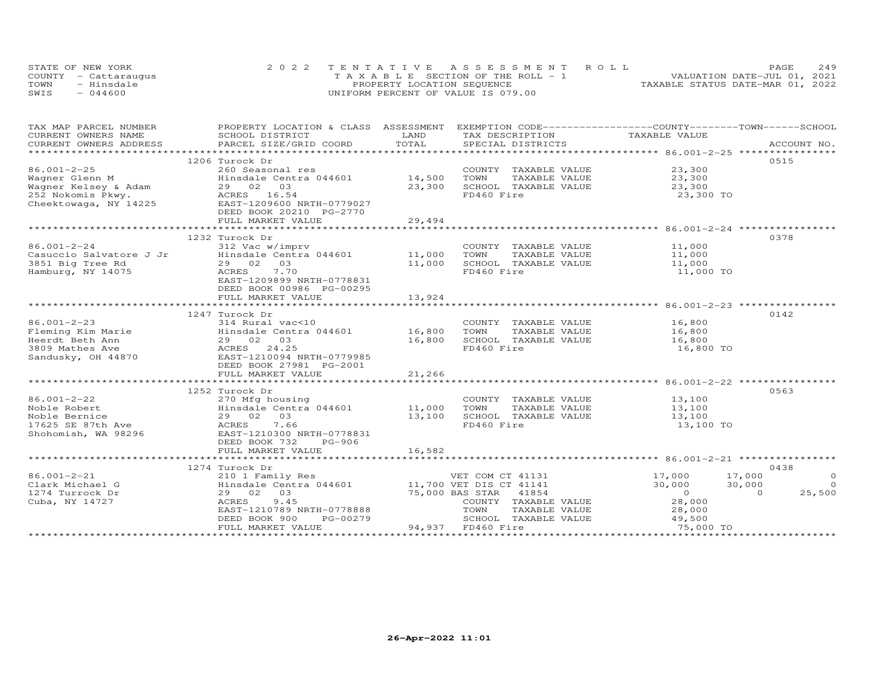|      | STATE OF NEW YORK    | 2022 TENTATIVE ASSESSMENT ROLL        | 249<br><b>PAGE</b>               |
|------|----------------------|---------------------------------------|----------------------------------|
|      | COUNTY - Cattarauqus | T A X A B L E SECTION OF THE ROLL - 1 | VALUATION DATE-JUL 01, 2021      |
| TOWN | - Hinsdale           | PROPERTY LOCATION SEQUENCE            | TAXABLE STATUS DATE-MAR 01, 2022 |
| SWIS | $-044600$            | UNIFORM PERCENT OF VALUE IS 079.00    |                                  |

| TAX MAP PARCEL NUMBER              | PROPERTY LOCATION & CLASS ASSESSMENT EXEMPTION CODE----------------COUNTY-------TOWN------SCHOOL                                                                                                                                                                 |               |                       |                  |                          |
|------------------------------------|------------------------------------------------------------------------------------------------------------------------------------------------------------------------------------------------------------------------------------------------------------------|---------------|-----------------------|------------------|--------------------------|
| CURRENT OWNERS NAME                | SCHOOL DISTRICT                                                                                                                                                                                                                                                  | LAND          | TAX DESCRIPTION       | TAXABLE VALUE    |                          |
|                                    | .CURRENT OWNERS ADDRESS PARCEL SIZE/GRID COORD TOTAL SPECIAL DISTRICTS ACCOUNT NO ACCOUNT NO ACCOUNT NO ARE THE RAND RESOLUT AS THE COLL TO A LOGGLATE A SERVER AND HER WAS THE RESOLUT TO A LOGGLATE THE RAND RESOLUT TO A LO                                   |               |                       |                  |                          |
|                                    |                                                                                                                                                                                                                                                                  |               |                       |                  |                          |
|                                    | 1206 Turock Dr                                                                                                                                                                                                                                                   |               |                       |                  | 0515                     |
| $86.001 - 2 - 25$                  | 260 Seasonal res<br>86.001-2-25 260 Seasonal res<br>Wagner Glenn M Hinsdale Centra 044601<br>Wagner Kelsey & Adam 29 02 03<br>252 Nokomis Pkwy. ACRES 16.54<br>Cheektowaga, NY 14225 EAST-12096600 NRTH-0779027<br>REES 16.54<br>REES 16.54<br>Cheektowaga, NY 1 |               | COUNTY TAXABLE VALUE  | 23,300           |                          |
|                                    | Hinsdale Centra 044601 14,500                                                                                                                                                                                                                                    |               | TOWN<br>TAXABLE VALUE | 23,300           |                          |
|                                    |                                                                                                                                                                                                                                                                  | 23,300        | SCHOOL TAXABLE VALUE  | 23,300           |                          |
|                                    |                                                                                                                                                                                                                                                                  |               | FD460 Fire            | 23,300 TO        |                          |
|                                    |                                                                                                                                                                                                                                                                  |               |                       |                  |                          |
|                                    | DEED BOOK 20210 PG-2770                                                                                                                                                                                                                                          |               |                       |                  |                          |
|                                    | FULL MARKET VALUE                                                                                                                                                                                                                                                | 29,494        |                       |                  |                          |
|                                    |                                                                                                                                                                                                                                                                  | ************* |                       |                  |                          |
|                                    |                                                                                                                                                                                                                                                                  |               |                       |                  | 0378                     |
|                                    |                                                                                                                                                                                                                                                                  |               | COUNTY TAXABLE VALUE  | 11,000           |                          |
|                                    |                                                                                                                                                                                                                                                                  |               | TOWN<br>TAXABLE VALUE | 11,000           |                          |
|                                    |                                                                                                                                                                                                                                                                  |               | SCHOOL TAXABLE VALUE  | 11,000           |                          |
|                                    |                                                                                                                                                                                                                                                                  |               | FD460 Fire            | 11,000 TO        |                          |
|                                    |                                                                                                                                                                                                                                                                  |               |                       |                  |                          |
|                                    | DEED BOOK 00986 PG-00295                                                                                                                                                                                                                                         |               |                       |                  |                          |
|                                    | FULL MARKET VALUE                                                                                                                                                                                                                                                | 13,924        |                       |                  |                          |
|                                    |                                                                                                                                                                                                                                                                  |               |                       |                  |                          |
|                                    | 1247 Turock Dr                                                                                                                                                                                                                                                   |               |                       |                  | 0142                     |
|                                    |                                                                                                                                                                                                                                                                  |               | COUNTY TAXABLE VALUE  | 16,800           |                          |
|                                    |                                                                                                                                                                                                                                                                  |               | TAXABLE VALUE         | 16,800           |                          |
|                                    |                                                                                                                                                                                                                                                                  |               | SCHOOL TAXABLE VALUE  | 16,800           |                          |
|                                    |                                                                                                                                                                                                                                                                  |               | FD460 Fire            | 16,800 TO        |                          |
|                                    | Sandusky, OH 44870 EAST-1210094 NRTH-0779985                                                                                                                                                                                                                     |               |                       |                  |                          |
|                                    |                                                                                                                                                                                                                                                                  |               |                       |                  |                          |
|                                    | DEED BOOK 27981 PG-2001                                                                                                                                                                                                                                          |               |                       |                  |                          |
|                                    | FULL MARKET VALUE                                                                                                                                                                                                                                                | 21,266        |                       |                  |                          |
|                                    |                                                                                                                                                                                                                                                                  |               |                       |                  |                          |
|                                    | 1252 Turock Dr                                                                                                                                                                                                                                                   |               |                       |                  | 0563                     |
| 86.001-2-22                        |                                                                                                                                                                                                                                                                  |               | COUNTY TAXABLE VALUE  | 13,100<br>13,100 |                          |
| Noble Robert                       |                                                                                                                                                                                                                                                                  |               | TAXABLE VALUE         |                  |                          |
|                                    | 270 Mfg housing<br>Hinsdale Centra 044601 11,000 TOWN<br>29 02 03 13,100 SCHOO<br>ACRES 7.66 FD460                                                                                                                                                               |               | SCHOOL TAXABLE VALUE  | 13,100           |                          |
| NODIE Bernice<br>17625 SE 87th Ave |                                                                                                                                                                                                                                                                  |               | FD460 Fire            | 13,100 TO        |                          |
|                                    | Shohomish, WA 98296 EAST-1210300 NRTH-0778831                                                                                                                                                                                                                    |               |                       |                  |                          |
|                                    | DEED BOOK 732<br>PG-906                                                                                                                                                                                                                                          |               |                       |                  |                          |
|                                    | FULL MARKET VALUE                                                                                                                                                                                                                                                | 16,582        |                       |                  |                          |
|                                    |                                                                                                                                                                                                                                                                  |               |                       |                  |                          |
|                                    | 1274 Turock Dr                                                                                                                                                                                                                                                   |               |                       |                  | 0438                     |
| 86.001-2-21                        | 210 1 Family Res                                                                                                                                                                                                                                                 |               | VET COM CT 41131      | 17,000           | $\circ$<br>17,000        |
| Clark Michael G                    | Hinsdale Centra 044601 11,700 VET DIS CT 41141                                                                                                                                                                                                                   |               |                       | 30,000           | 30,000<br>$\overline{0}$ |
| 1274 Turrock Dr                    | 29 02 03                                                                                                                                                                                                                                                         |               | 75,000 BAS STAR 41854 | $\overline{O}$   | 25,500<br>$\Omega$       |
| Cuba, NY 14727                     | 9.45<br>ACRES                                                                                                                                                                                                                                                    |               | COUNTY TAXABLE VALUE  | 28,000           |                          |
|                                    | EAST-1210789 NRTH-0778888                                                                                                                                                                                                                                        |               | TOWN<br>TAXABLE VALUE | 28,000<br>49,500 |                          |
|                                    | PG-00279<br>DEED BOOK 900                                                                                                                                                                                                                                        |               | SCHOOL TAXABLE VALUE  |                  |                          |
|                                    | FULL MARKET VALUE                                                                                                                                                                                                                                                |               | 94,937 FD460 Fire     | 75,000 TO        |                          |
|                                    |                                                                                                                                                                                                                                                                  |               |                       |                  |                          |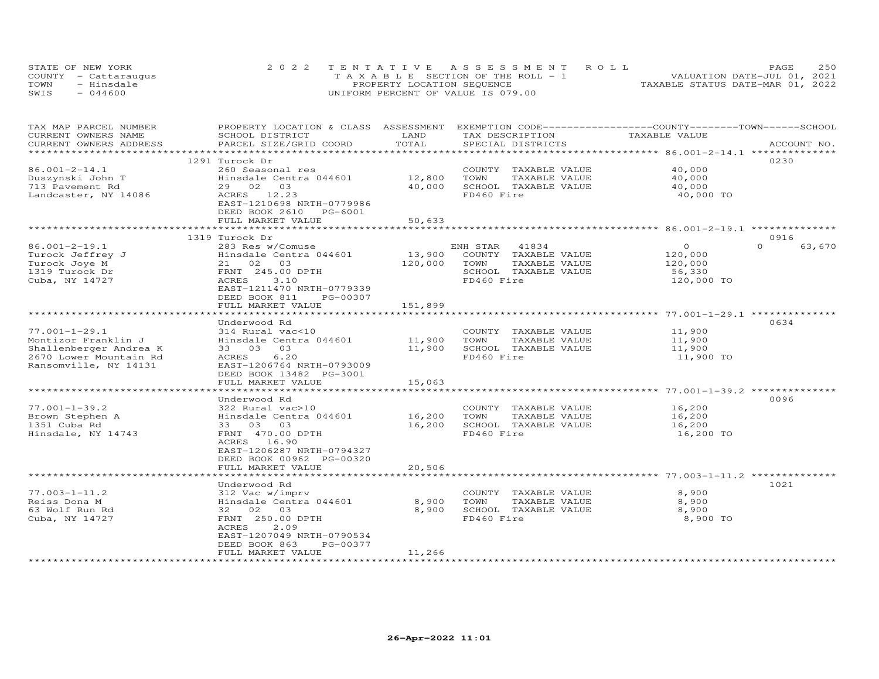| STATE OF NEW YORK    | 2022 TENTATIVE ASSESSMENT ROLL        | 250<br>PAGE.                     |
|----------------------|---------------------------------------|----------------------------------|
| COUNTY - Cattaraugus | T A X A B L E SECTION OF THE ROLL - 1 | VALUATION DATE-JUL 01, 2021      |
| TOWN<br>- Hinsdale   | PROPERTY LOCATION SEQUENCE            | TAXABLE STATUS DATE-MAR 01, 2022 |
| $-044600$<br>SWIS    | UNIFORM PERCENT OF VALUE IS 079.00    |                                  |

| TAX MAP PARCEL NUMBER<br>CURRENT OWNERS NAME       | PROPERTY LOCATION & CLASS ASSESSMENT EXEMPTION CODE----------------COUNTY-------TOWN------SCHOOL<br>SCHOOL DISTRICT | LAND<br>TOTAL | TAX DESCRIPTION       | TAXABLE VALUE |                    |
|----------------------------------------------------|---------------------------------------------------------------------------------------------------------------------|---------------|-----------------------|---------------|--------------------|
| CURRENT OWNERS ADDRESS<br>************************ | PARCEL SIZE/GRID COORD                                                                                              |               | SPECIAL DISTRICTS     |               | ACCOUNT NO.        |
|                                                    | 1291 Turock Dr                                                                                                      |               |                       |               | 0230               |
| $86.001 - 2 - 14.1$                                | 260 Seasonal res                                                                                                    |               | COUNTY TAXABLE VALUE  | 40,000        |                    |
| Duszynski John T                                   | Hinsdale Centra 044601                                                                                              | 12,800        | TOWN<br>TAXABLE VALUE | 40,000        |                    |
| 713 Pavement Rd                                    | 29 02 03                                                                                                            | 40,000        | SCHOOL TAXABLE VALUE  | 40,000        |                    |
| Landcaster, NY 14086                               | ACRES 12.23                                                                                                         |               | FD460 Fire            | 40,000 TO     |                    |
|                                                    | EAST-1210698 NRTH-0779986<br>DEED BOOK 2610 PG-6001                                                                 |               |                       |               |                    |
|                                                    | FULL MARKET VALUE                                                                                                   | 50,633        |                       |               |                    |
|                                                    |                                                                                                                     |               |                       |               |                    |
|                                                    | 1319 Turock Dr                                                                                                      |               |                       |               | 0916               |
| $86.001 - 2 - 19.1$                                | 283 Res w/Comuse                                                                                                    |               | ENH STAR<br>41834     | $\circ$       | $\Omega$<br>63,670 |
| Turock Jeffrey J                                   | Hinsdale Centra 044601                                                                                              | 13,900        | COUNTY TAXABLE VALUE  | 120,000       |                    |
| Turock Joye M                                      | 21 02 03                                                                                                            | 120,000       | TOWN<br>TAXABLE VALUE | 120,000       |                    |
| 1319 Turock Dr                                     | FRNT 245.00 DPTH                                                                                                    |               | SCHOOL TAXABLE VALUE  | 56,330        |                    |
| Cuba, NY 14727                                     | ACRES<br>3.10                                                                                                       |               | FD460 Fire            | 120,000 TO    |                    |
|                                                    | EAST-1211470 NRTH-0779339                                                                                           |               |                       |               |                    |
|                                                    | DEED BOOK 811<br>PG-00307                                                                                           |               |                       |               |                    |
|                                                    | FULL MARKET VALUE                                                                                                   | 151,899       |                       |               |                    |
|                                                    | ************************                                                                                            |               |                       |               |                    |
|                                                    | Underwood Rd                                                                                                        |               |                       |               | 0634               |
| $77.001 - 1 - 29.1$                                | 314 Rural vac<10                                                                                                    |               | COUNTY TAXABLE VALUE  | 11,900        |                    |
| Montizor Franklin J                                | Hinsdale Centra 044601                                                                                              | 11,900        | TAXABLE VALUE<br>TOWN | 11,900        |                    |
| Shallenberger Andrea K                             | 33 03<br>03                                                                                                         | 11,900        | SCHOOL TAXABLE VALUE  | 11,900        |                    |
| 2670 Lower Mountain Rd                             | 6.20<br>ACRES                                                                                                       |               | FD460 Fire            | 11,900 TO     |                    |
| Ransomville, NY 14131                              | EAST-1206764 NRTH-0793009                                                                                           |               |                       |               |                    |
|                                                    | DEED BOOK 13482 PG-3001                                                                                             |               |                       |               |                    |
|                                                    | FULL MARKET VALUE                                                                                                   | 15,063        |                       |               |                    |
|                                                    |                                                                                                                     |               |                       |               |                    |
|                                                    | Underwood Rd                                                                                                        |               |                       |               | 0096               |
| $77.001 - 1 - 39.2$                                | 322 Rural vac>10                                                                                                    |               | COUNTY TAXABLE VALUE  | 16,200        |                    |
| Brown Stephen A                                    | Hinsdale Centra 044601                                                                                              | 16,200        | TOWN<br>TAXABLE VALUE | 16,200        |                    |
| 1351 Cuba Rd                                       | 33 03 03                                                                                                            | 16,200        | SCHOOL TAXABLE VALUE  | 16,200        |                    |
| Hinsdale, NY 14743                                 | FRNT 470.00 DPTH                                                                                                    |               | FD460 Fire            | 16,200 TO     |                    |
|                                                    | ACRES 16.90                                                                                                         |               |                       |               |                    |
|                                                    | EAST-1206287 NRTH-0794327                                                                                           |               |                       |               |                    |
|                                                    | DEED BOOK 00962 PG-00320                                                                                            |               |                       |               |                    |
|                                                    | FULL MARKET VALUE                                                                                                   | 20,506        |                       |               |                    |
|                                                    |                                                                                                                     |               |                       |               |                    |
|                                                    | Underwood Rd                                                                                                        |               |                       |               | 1021               |
| $77.003 - 1 - 11.2$                                | 312 Vac w/imprv                                                                                                     |               | COUNTY TAXABLE VALUE  | 8,900         |                    |
| Reiss Dona M                                       | Hinsdale Centra 044601                                                                                              | 8,900         | TOWN<br>TAXABLE VALUE | 8,900         |                    |
| 63 Wolf Run Rd                                     | 32 02 03                                                                                                            | 8,900         | SCHOOL TAXABLE VALUE  | 8,900         |                    |
| Cuba, NY 14727                                     | FRNT 250.00 DPTH                                                                                                    |               | FD460 Fire            | 8,900 TO      |                    |
|                                                    | ACRES<br>2.09                                                                                                       |               |                       |               |                    |
|                                                    | EAST-1207049 NRTH-0790534                                                                                           |               |                       |               |                    |
|                                                    | DEED BOOK 863<br>PG-00377                                                                                           |               |                       |               |                    |
| ************************                           | FULL MARKET VALUE                                                                                                   | 11,266        |                       |               |                    |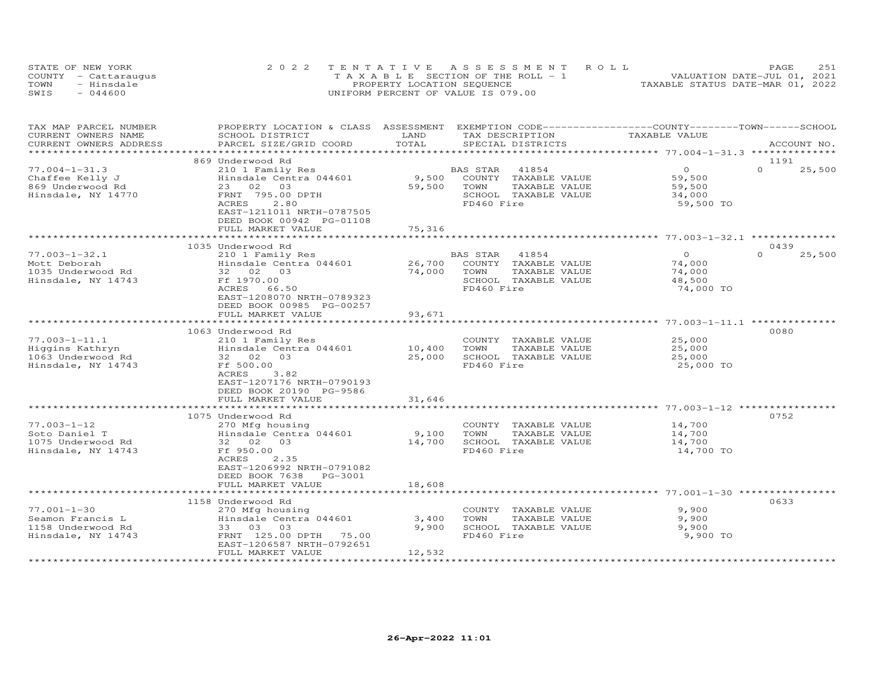|      | STATE OF NEW YORK    | 2022 TENTATIVE ASSESSMENT ROLL        | 251<br>PAGE                      |
|------|----------------------|---------------------------------------|----------------------------------|
|      | COUNTY - Cattaraugus | T A X A B L E SECTION OF THE ROLL - 1 | VALUATION DATE-JUL 01, 2021      |
| TOWN | - Hinsdale           | PROPERTY LOCATION SEQUENCE            | TAXABLE STATUS DATE-MAR 01, 2022 |
| SWIS | $-044600$            | UNIFORM PERCENT OF VALUE IS 079.00    |                                  |

| TAX MAP PARCEL NUMBER<br>CURRENT OWNERS NAME<br>CURRENT OWNERS ADDRESS            | PROPERTY LOCATION & CLASS ASSESSMENT<br>SCHOOL DISTRICT<br>PARCEL SIZE/GRID COORD                                                                                         | LAND<br>TOTAL                 | EXEMPTION CODE------------------COUNTY-------TOWN-----SCHOOL<br>TAX DESCRIPTION<br>SPECIAL DISTRICTS     | TAXABLE VALUE                                       | ACCOUNT NO.        |
|-----------------------------------------------------------------------------------|---------------------------------------------------------------------------------------------------------------------------------------------------------------------------|-------------------------------|----------------------------------------------------------------------------------------------------------|-----------------------------------------------------|--------------------|
| ****************                                                                  | ************************                                                                                                                                                  |                               |                                                                                                          |                                                     |                    |
|                                                                                   | 869 Underwood Rd                                                                                                                                                          |                               |                                                                                                          |                                                     | 1191               |
| $77.004 - 1 - 31.3$<br>Chaffee Kelly J<br>869 Underwood Rd<br>Hinsdale, NY 14770  | 210 1 Family Res<br>Hinsdale Centra 044601<br>23 02 03<br>FRNT 795.00 DPTH<br>ACRES<br>2.80<br>EAST-1211011 NRTH-0787505<br>DEED BOOK 00942 PG-01108<br>FULL MARKET VALUE | 9,500<br>59,500<br>75,316     | 41854<br>BAS STAR<br>COUNTY TAXABLE VALUE<br>TOWN<br>TAXABLE VALUE<br>SCHOOL TAXABLE VALUE<br>FD460 Fire | $\Omega$<br>59,500<br>59,500<br>34,000<br>59,500 TO | $\Omega$<br>25,500 |
|                                                                                   |                                                                                                                                                                           |                               |                                                                                                          |                                                     |                    |
|                                                                                   | 1035 Underwood Rd                                                                                                                                                         |                               |                                                                                                          |                                                     | 0439               |
| $77.003 - 1 - 32.1$<br>Mott Deborah<br>1035 Underwood Rd<br>Hinsdale, NY 14743    | 210 1 Family Res<br>Hinsdale Centra 044601<br>32 02 03<br>Ff 1970.00<br>ACRES 66.50<br>EAST-1208070 NRTH-0789323<br>DEED BOOK 00985 PG-00257<br>FULL MARKET VALUE         | 26,700<br>74,000<br>93,671    | 41854<br>BAS STAR<br>COUNTY TAXABLE VALUE<br>TOWN<br>TAXABLE VALUE<br>SCHOOL TAXABLE VALUE<br>FD460 Fire | $\circ$<br>74,000<br>74,000<br>48,500<br>74,000 TO  | $\Omega$<br>25,500 |
|                                                                                   |                                                                                                                                                                           |                               |                                                                                                          |                                                     |                    |
|                                                                                   | 1063 Underwood Rd                                                                                                                                                         |                               |                                                                                                          |                                                     | 0080               |
| $77.003 - 1 - 11.1$<br>Higgins Kathryn<br>1063 Underwood Rd<br>Hinsdale, NY 14743 | 210 1 Family Res<br>Hinsdale Centra 044601<br>32 02 03<br>Ff 500.00<br>ACRES<br>3.82<br>EAST-1207176 NRTH-0790193<br>DEED BOOK 20190 PG-9586                              | 10,400<br>25,000              | COUNTY TAXABLE VALUE<br>TOWN<br>TAXABLE VALUE<br>SCHOOL TAXABLE VALUE<br>FD460 Fire                      | 25,000<br>25,000<br>25,000<br>25,000 TO             |                    |
|                                                                                   | FULL MARKET VALUE                                                                                                                                                         | 31,646<br>******************* |                                                                                                          |                                                     |                    |
|                                                                                   | ***************************<br>1075 Underwood Rd                                                                                                                          |                               | ******************************** 77.003-1-12 **********                                                  |                                                     | 0752               |
| $77.003 - 1 - 12$<br>Soto Daniel T<br>1075 Underwood Rd<br>Hinsdale, NY 14743     | 270 Mfg housing<br>Hinsdale Centra 044601<br>32 02<br>03<br>Ff 950.00<br>ACRES<br>2.35<br>EAST-1206992 NRTH-0791082<br>DEED BOOK 7638<br>PG-3001                          | 9,100<br>14,700               | COUNTY TAXABLE VALUE<br>TAXABLE VALUE<br>TOWN<br>SCHOOL TAXABLE VALUE<br>FD460 Fire                      | 14,700<br>14,700<br>14,700<br>14,700 TO             |                    |
|                                                                                   | FULL MARKET VALUE                                                                                                                                                         | 18,608                        |                                                                                                          |                                                     |                    |
|                                                                                   |                                                                                                                                                                           |                               |                                                                                                          |                                                     |                    |
| $77.001 - 1 - 30$<br>Seamon Francis L<br>1158 Underwood Rd<br>Hinsdale, NY 14743  | 1158 Underwood Rd<br>270 Mfg housing<br>Hinsdale Centra 044601<br>33 03 03<br>FRNT 125.00 DPTH<br>75.00<br>EAST-1206587 NRTH-0792651                                      | 3,400<br>9,900                | COUNTY TAXABLE VALUE<br>TAXABLE VALUE<br>TOWN<br>SCHOOL TAXABLE VALUE<br>FD460 Fire                      | 9,900<br>9,900<br>9,900<br>9,900 TO                 | 0633               |
|                                                                                   | FULL MARKET VALUE                                                                                                                                                         | 12,532                        |                                                                                                          |                                                     |                    |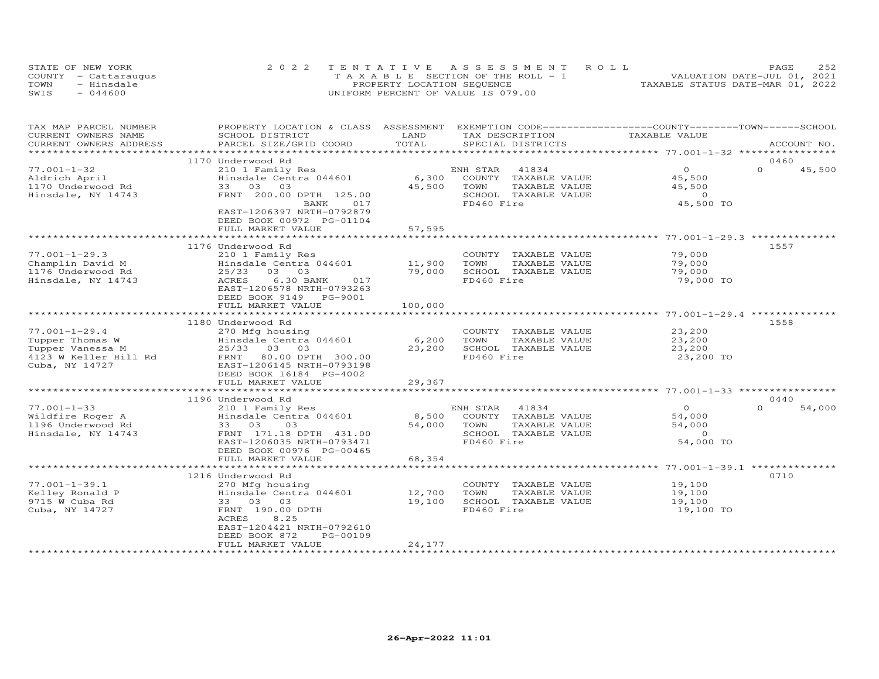| STATE OF NEW YORK    | 2022 TENTATIVE ASSESSMENT ROLL        | 2.52<br>PAGE.                    |
|----------------------|---------------------------------------|----------------------------------|
| COUNTY - Cattaraugus | T A X A B L E SECTION OF THE ROLL - 1 | VALUATION DATE-JUL 01, 2021      |
| TOWN<br>- Hinsdale   | PROPERTY LOCATION SEQUENCE            | TAXABLE STATUS DATE-MAR 01, 2022 |
| $-044600$<br>SWIS    | UNIFORM PERCENT OF VALUE IS 079.00    |                                  |

| TAX MAP PARCEL NUMBER  | PROPERTY LOCATION & CLASS ASSESSMENT |         | EXEMPTION CODE-----------------COUNTY-------TOWN------SCHOOL |                                                    |                    |
|------------------------|--------------------------------------|---------|--------------------------------------------------------------|----------------------------------------------------|--------------------|
| CURRENT OWNERS NAME    | SCHOOL DISTRICT                      | LAND    | TAX DESCRIPTION                                              | TAXABLE VALUE                                      |                    |
| CURRENT OWNERS ADDRESS | PARCEL SIZE/GRID COORD               | TOTAL   | SPECIAL DISTRICTS                                            |                                                    | ACCOUNT NO.        |
| *********************  |                                      |         |                                                              |                                                    |                    |
|                        | 1170 Underwood Rd                    |         |                                                              |                                                    | 0460               |
| $77.001 - 1 - 32$      | 210 1 Family Res                     |         | ENH STAR<br>41834                                            | $\Omega$                                           | $\Omega$<br>45,500 |
| Aldrich April          | Hinsdale Centra 044601               | 6,300   | COUNTY<br>TAXABLE VALUE                                      | 45,500                                             |                    |
| 1170 Underwood Rd      | 33 03 03                             | 45,500  | TOWN<br>TAXABLE VALUE                                        | 45,500                                             |                    |
| Hinsdale, NY 14743     | FRNT 200.00 DPTH 125.00              |         | SCHOOL TAXABLE VALUE                                         | $\sim$ 0                                           |                    |
|                        | 017<br>BANK                          |         | FD460 Fire                                                   | 45,500 TO                                          |                    |
|                        | EAST-1206397 NRTH-0792879            |         |                                                              |                                                    |                    |
|                        | DEED BOOK 00972 PG-01104             |         |                                                              |                                                    |                    |
|                        | FULL MARKET VALUE                    | 57,595  |                                                              |                                                    |                    |
|                        |                                      |         |                                                              | ********************* 77.001-1-29.3 ************** |                    |
|                        | 1176 Underwood Rd                    |         |                                                              |                                                    | 1557               |
| $77.001 - 1 - 29.3$    | 210 1 Family Res                     |         | COUNTY TAXABLE VALUE                                         | 79,000                                             |                    |
| Champlin David M       | Hinsdale Centra 044601               | 11,900  | TOWN<br>TAXABLE VALUE                                        | 79,000                                             |                    |
| 1176 Underwood Rd      | 25/33 03 03                          | 79,000  | SCHOOL TAXABLE VALUE                                         | 79,000                                             |                    |
| Hinsdale, NY 14743     | ACRES<br>6.30 BANK<br>017            |         | FD460 Fire                                                   | 79,000 TO                                          |                    |
|                        | EAST-1206578 NRTH-0793263            |         |                                                              |                                                    |                    |
|                        | DEED BOOK 9149 PG-9001               |         |                                                              |                                                    |                    |
|                        | FULL MARKET VALUE                    | 100,000 |                                                              |                                                    |                    |
|                        |                                      |         |                                                              |                                                    |                    |
|                        | 1180 Underwood Rd                    |         |                                                              |                                                    | 1558               |
| $77.001 - 1 - 29.4$    | 270 Mfg housing                      |         | COUNTY TAXABLE VALUE                                         | 23,200                                             |                    |
| Tupper Thomas W        | Hinsdale Centra 044601               | 6,200   | TOWN<br>TAXABLE VALUE                                        | 23,200                                             |                    |
| Tupper Vanessa M       | 25/33 03 03                          | 23,200  | SCHOOL TAXABLE VALUE                                         | 23,200                                             |                    |
| 4123 W Keller Hill Rd  | FRNT 80.00 DPTH 300.00               |         | FD460 Fire                                                   | 23,200 TO                                          |                    |
| Cuba, NY 14727         | EAST-1206145 NRTH-0793198            |         |                                                              |                                                    |                    |
|                        | DEED BOOK 16184 PG-4002              |         |                                                              |                                                    |                    |
|                        | FULL MARKET VALUE                    | 29,367  |                                                              |                                                    |                    |
|                        |                                      |         |                                                              |                                                    |                    |
|                        | 1196 Underwood Rd                    |         |                                                              |                                                    | 0440               |
| $77.001 - 1 - 33$      | 210 1 Family Res                     |         | ENH STAR<br>41834                                            | $\Omega$                                           | $\Omega$<br>54,000 |
| Wildfire Roger A       | Hinsdale Centra 044601               | 8,500   | COUNTY TAXABLE VALUE                                         | 54,000                                             |                    |
| 1196 Underwood Rd      | 33 03<br>03                          | 54,000  | TOWN<br>TAXABLE VALUE                                        | 54,000                                             |                    |
| Hinsdale, NY 14743     | FRNT 171.18 DPTH 431.00              |         | SCHOOL TAXABLE VALUE                                         | $\circ$                                            |                    |
|                        | EAST-1206035 NRTH-0793471            |         | FD460 Fire                                                   | 54,000 TO                                          |                    |
|                        | DEED BOOK 00976 PG-00465             |         |                                                              |                                                    |                    |
|                        | FULL MARKET VALUE                    | 68,354  |                                                              |                                                    |                    |
|                        |                                      |         |                                                              | ******************* 77.001-1-39.1 **               |                    |
|                        | 1216 Underwood Rd                    |         |                                                              |                                                    | 0710               |
| $77.001 - 1 - 39.1$    | 270 Mfg housing                      |         | COUNTY TAXABLE VALUE                                         | 19,100                                             |                    |
| Kelley Ronald P        | Hinsdale Centra 044601               | 12,700  | TOWN<br>TAXABLE VALUE                                        | 19,100                                             |                    |
| 9715 W Cuba Rd         | 33 03 03                             | 19,100  | SCHOOL TAXABLE VALUE                                         | 19,100                                             |                    |
| Cuba, NY 14727         | FRNT 190.00 DPTH                     |         | FD460 Fire                                                   | 19,100 TO                                          |                    |
|                        | 8.25<br>ACRES                        |         |                                                              |                                                    |                    |
|                        | EAST-1204421 NRTH-0792610            |         |                                                              |                                                    |                    |
|                        | DEED BOOK 872<br>PG-00109            |         |                                                              |                                                    |                    |
|                        | FULL MARKET VALUE                    | 24,177  |                                                              |                                                    |                    |
|                        |                                      |         |                                                              |                                                    |                    |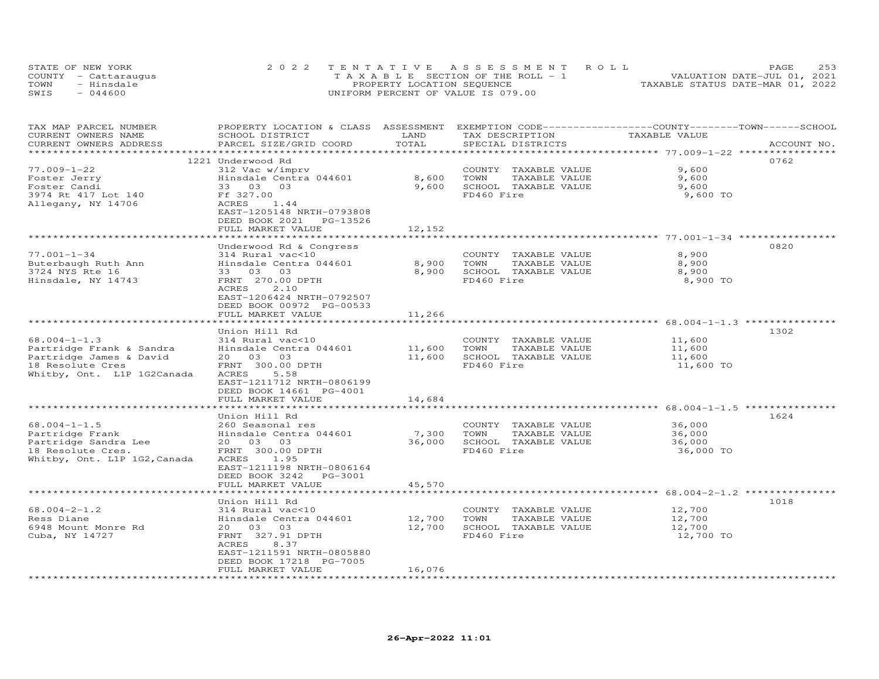|      | STATE OF NEW YORK    | 2022 TENTATIVE ASSESSMENT ROLL        | 253<br>PAGE                      |
|------|----------------------|---------------------------------------|----------------------------------|
|      | COUNTY - Cattaraugus | T A X A B L E SECTION OF THE ROLL - 1 | VALUATION DATE-JUL 01, 2021      |
| TOWN | - Hinsdale           | PROPERTY LOCATION SEQUENCE            | TAXABLE STATUS DATE-MAR 01, 2022 |
| SWIS | $-044600$            | UNIFORM PERCENT OF VALUE IS 079.00    |                                  |

| TAX MAP PARCEL NUMBER<br>CURRENT OWNERS NAME      | PROPERTY LOCATION & CLASS ASSESSMENT<br>SCHOOL DISTRICT                                                         | LAND                              | EXEMPTION CODE-----------------COUNTY-------TOWN------SCHOOL<br>TAX DESCRIPTION | TAXABLE VALUE                                          |             |
|---------------------------------------------------|-----------------------------------------------------------------------------------------------------------------|-----------------------------------|---------------------------------------------------------------------------------|--------------------------------------------------------|-------------|
| CURRENT OWNERS ADDRESS<br>*********************** | PARCEL SIZE/GRID COORD                                                                                          | TOTAL<br>************************ | SPECIAL DISTRICTS                                                               | ************************ 77.009-1-22 ***************** | ACCOUNT NO. |
|                                                   | 1221 Underwood Rd                                                                                               |                                   |                                                                                 |                                                        | 0762        |
| $77.009 - 1 - 22$                                 | 312 Vac w/imprv                                                                                                 |                                   | COUNTY TAXABLE VALUE                                                            | 9,600                                                  |             |
| Foster Jerry                                      | Hinsdale Centra 044601                                                                                          | 8,600                             | TOWN<br>TAXABLE VALUE                                                           | 9,600                                                  |             |
| Foster Candi                                      | 33 03<br>03                                                                                                     | 9,600                             | SCHOOL TAXABLE VALUE                                                            | 9,600                                                  |             |
| 3974 Rt 417 Lot 140                               | Ff 327.00                                                                                                       |                                   | FD460 Fire                                                                      | 9,600 TO                                               |             |
| Allegany, NY 14706                                | ACRES<br>1.44<br>EAST-1205148 NRTH-0793808<br>DEED BOOK 2021<br>PG-13526                                        |                                   |                                                                                 |                                                        |             |
|                                                   | FULL MARKET VALUE                                                                                               | 12,152                            |                                                                                 |                                                        |             |
|                                                   |                                                                                                                 |                                   |                                                                                 |                                                        |             |
|                                                   | Underwood Rd & Congress                                                                                         |                                   |                                                                                 |                                                        | 0820        |
| $77.001 - 1 - 34$                                 | 314 Rural vac<10                                                                                                |                                   | COUNTY TAXABLE VALUE                                                            | 8,900                                                  |             |
| Buterbaugh Ruth Ann                               | Hinsdale Centra 044601                                                                                          | 8,900                             | TOWN<br>TAXABLE VALUE                                                           | 8,900                                                  |             |
| 3724 NYS Rte 16                                   | 33 03 03                                                                                                        | 8,900                             | SCHOOL TAXABLE VALUE                                                            | 8,900                                                  |             |
| Hinsdale, NY 14743                                | FRNT 270.00 DPTH<br>ACRES<br>2.10<br>EAST-1206424 NRTH-0792507<br>DEED BOOK 00972 PG-00533<br>FULL MARKET VALUE | 11,266                            | FD460 Fire                                                                      | 8,900 TO                                               |             |
|                                                   |                                                                                                                 |                                   |                                                                                 |                                                        |             |
|                                                   | Union Hill Rd                                                                                                   |                                   |                                                                                 |                                                        | 1302        |
| $68.004 - 1 - 1.3$                                | 314 Rural vac<10                                                                                                |                                   | COUNTY TAXABLE VALUE                                                            | 11,600                                                 |             |
| Partridge Frank & Sandra                          | Hinsdale Centra 044601                                                                                          | 11,600                            | TAXABLE VALUE<br>TOWN                                                           | 11,600                                                 |             |
| Partridge James & David                           | 20  03  03                                                                                                      | 11,600                            | SCHOOL TAXABLE VALUE                                                            | 11,600                                                 |             |
| 18 Resolute Cres<br>Whitby, Ont. L1P 1G2Canada    | FRNT 300.00 DPTH<br>ACRES<br>5.58<br>EAST-1211712 NRTH-0806199<br>DEED BOOK 14661 PG-4001                       |                                   | FD460 Fire                                                                      | 11,600 TO                                              |             |
|                                                   | FULL MARKET VALUE                                                                                               | 14,684                            |                                                                                 |                                                        |             |
|                                                   | ********************                                                                                            | **************                    |                                                                                 |                                                        |             |
|                                                   | Union Hill Rd                                                                                                   |                                   |                                                                                 |                                                        | 1624        |
| $68.004 - 1 - 1.5$                                | 260 Seasonal res                                                                                                |                                   | COUNTY TAXABLE VALUE                                                            | 36,000                                                 |             |
| Partridge Frank                                   | Hinsdale Centra 044601                                                                                          | 7,300                             | TOWN<br>TAXABLE VALUE                                                           | 36,000                                                 |             |
| Partridge Sandra Lee                              | 20  03  03                                                                                                      | 36,000                            | SCHOOL TAXABLE VALUE                                                            | 36,000                                                 |             |
| 18 Resolute Cres.<br>Whitby, Ont. L1P 1G2, Canada | FRNT 300.00 DPTH<br>ACRES<br>1.95<br>EAST-1211198 NRTH-0806164<br>DEED BOOK 3242 PG-3001<br>FULL MARKET VALUE   | 45,570                            | FD460 Fire                                                                      | 36,000 TO                                              |             |
|                                                   |                                                                                                                 |                                   |                                                                                 |                                                        |             |
|                                                   | Union Hill Rd                                                                                                   |                                   |                                                                                 |                                                        | 1018        |
| $68.004 - 2 - 1.2$                                | 314 Rural vac<10                                                                                                |                                   | COUNTY TAXABLE VALUE                                                            | 12,700                                                 |             |
| Ress Diane                                        | Hinsdale Centra 044601                                                                                          | 12,700                            | TOWN<br>TAXABLE VALUE                                                           | 12,700                                                 |             |
| 6948 Mount Monre Rd                               | 20  03  03                                                                                                      | 12,700                            | SCHOOL TAXABLE VALUE                                                            | 12,700                                                 |             |
| Cuba, NY 14727                                    | FRNT 327.91 DPTH<br>ACRES<br>8.37<br>EAST-1211591 NRTH-0805880                                                  |                                   | FD460 Fire                                                                      | 12,700 TO                                              |             |
|                                                   | DEED BOOK 17218 PG-7005                                                                                         |                                   |                                                                                 |                                                        |             |
|                                                   | FULL MARKET VALUE                                                                                               | 16,076                            |                                                                                 |                                                        |             |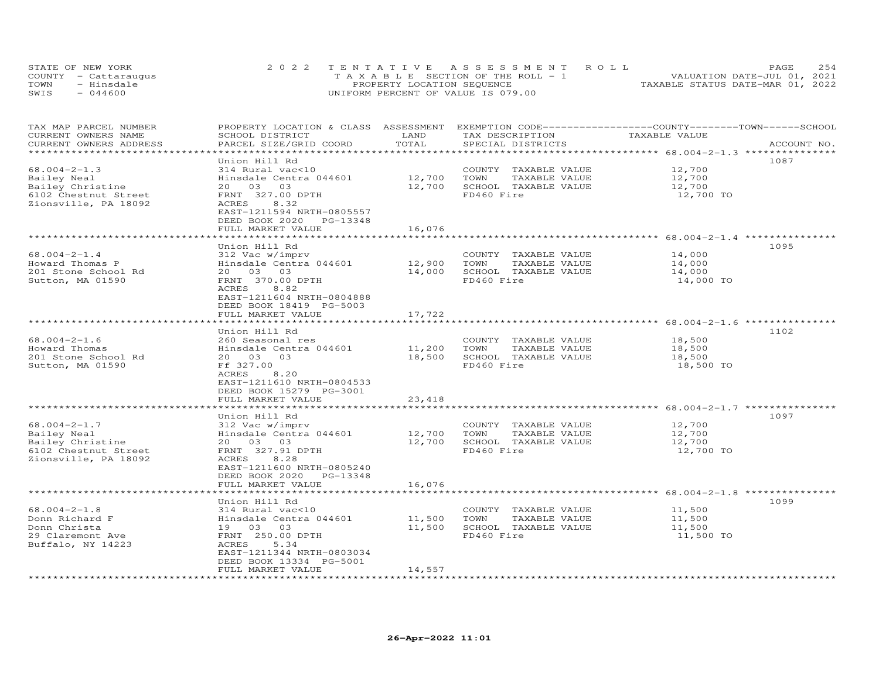| STATE OF NEW YORK    | 2022 TENTATIVE ASSESSMENT ROLL        |                                  | PAGE.                       | 2.54 |
|----------------------|---------------------------------------|----------------------------------|-----------------------------|------|
| COUNTY - Cattaraugus | T A X A B L E SECTION OF THE ROLL - 1 |                                  | VALUATION DATE-JUL 01, 2021 |      |
| TOWN<br>- Hinsdale   | PROPERTY LOCATION SEQUENCE            | TAXABLE STATUS DATE-MAR 01, 2022 |                             |      |
| SWIS<br>$-044600$    | UNIFORM PERCENT OF VALUE IS 079.00    |                                  |                             |      |

| TAX MAP PARCEL NUMBER<br>CURRENT OWNERS NAME<br>CURRENT OWNERS ADDRESS                                | PROPERTY LOCATION & CLASS ASSESSMENT<br>SCHOOL DISTRICT<br>PARCEL SIZE/GRID COORD                                                                                                         | LAND<br>TOTAL              | EXEMPTION CODE-----------------COUNTY-------TOWN------SCHOOL<br>TAX DESCRIPTION<br>SPECIAL DISTRICTS | TAXABLE VALUE                               | ACCOUNT NO. |
|-------------------------------------------------------------------------------------------------------|-------------------------------------------------------------------------------------------------------------------------------------------------------------------------------------------|----------------------------|------------------------------------------------------------------------------------------------------|---------------------------------------------|-------------|
| ************************                                                                              | ***************************                                                                                                                                                               |                            |                                                                                                      |                                             |             |
| $68.004 - 2 - 1.3$<br>Bailey Neal<br>Bailey Christine<br>6102 Chestnut Street<br>Zionsville, PA 18092 | Union Hill Rd<br>314 Rural vac<10<br>Hinsdale Centra 044601<br>20  03  03<br>FRNT 327.00 DPTH<br>8.32<br>ACRES<br>EAST-1211594 NRTH-0805557<br>DEED BOOK 2020<br>PG-13348                 | 12,700<br>12,700           | COUNTY TAXABLE VALUE<br>TOWN<br>TAXABLE VALUE<br>SCHOOL TAXABLE VALUE<br>FD460 Fire                  | 12,700<br>12,700<br>12,700<br>12,700 TO     | 1087        |
|                                                                                                       | FULL MARKET VALUE                                                                                                                                                                         | 16,076                     |                                                                                                      |                                             |             |
| $68.004 - 2 - 1.4$<br>Howard Thomas P<br>201 Stone School Rd<br>Sutton, MA 01590                      | Union Hill Rd<br>312 Vac w/imprv<br>Hinsdale Centra 044601<br>20  03  03<br>FRNT 370.00 DPTH<br>ACRES<br>8.82<br>EAST-1211604 NRTH-0804888<br>DEED BOOK 18419 PG-5003                     | 12,900<br>14,000           | COUNTY TAXABLE VALUE<br>TOWN<br>TAXABLE VALUE<br>SCHOOL TAXABLE VALUE<br>FD460 Fire                  | 14,000<br>14,000<br>14,000<br>14,000 TO     | 1095        |
|                                                                                                       | FULL MARKET VALUE                                                                                                                                                                         | 17,722                     |                                                                                                      |                                             |             |
|                                                                                                       |                                                                                                                                                                                           |                            |                                                                                                      |                                             |             |
| $68.004 - 2 - 1.6$<br>Howard Thomas<br>201 Stone School Rd<br>Sutton, MA 01590                        | Union Hill Rd<br>260 Seasonal res<br>Hinsdale Centra 044601<br>20  03  03<br>Ff 327.00<br>ACRES<br>8.20<br>EAST-1211610 NRTH-0804533<br>DEED BOOK 15279 PG-3001<br>FULL MARKET VALUE      | 11,200<br>18,500<br>23,418 | COUNTY TAXABLE VALUE<br>TOWN<br>TAXABLE VALUE<br>SCHOOL TAXABLE VALUE<br>FD460 Fire                  | 18,500<br>18,500<br>18,500<br>18,500 TO     | 1102        |
|                                                                                                       | ****************                                                                                                                                                                          |                            |                                                                                                      | ******************** 68.004-2-1.7 ********* |             |
| $68.004 - 2 - 1.7$<br>Bailey Neal<br>Bailey Christine<br>6102 Chestnut Street<br>Zionsville, PA 18092 | Union Hill Rd<br>312 Vac w/imprv<br>Hinsdale Centra 044601<br>20  03  03<br>FRNT 327.91 DPTH<br>ACRES<br>8.28<br>EAST-1211600 NRTH-0805240<br>DEED BOOK 2020 PG-13348                     | 12,700<br>12,700           | COUNTY TAXABLE VALUE<br>TOWN<br>TAXABLE VALUE<br>SCHOOL TAXABLE VALUE<br>FD460 Fire                  | 12,700<br>12,700<br>12,700<br>12,700 TO     | 1097        |
|                                                                                                       | FULL MARKET VALUE                                                                                                                                                                         | 16,076                     |                                                                                                      |                                             |             |
| $68.004 - 2 - 1.8$<br>Donn Richard F<br>Donn Christa<br>29 Claremont Ave<br>Buffalo, NY 14223         | Union Hill Rd<br>314 Rural vac<10<br>Hinsdale Centra 044601<br>19 03 03<br>FRNT 250.00 DPTH<br>ACRES<br>5.34<br>EAST-1211344 NRTH-0803034<br>DEED BOOK 13334 PG-5001<br>FULL MARKET VALUE | 11,500<br>11,500<br>14,557 | COUNTY TAXABLE VALUE<br>TOWN<br>TAXABLE VALUE<br>SCHOOL TAXABLE VALUE<br>FD460 Fire                  | 11,500<br>11,500<br>11,500<br>11,500 TO     | 1099        |
| *************************                                                                             |                                                                                                                                                                                           |                            |                                                                                                      |                                             |             |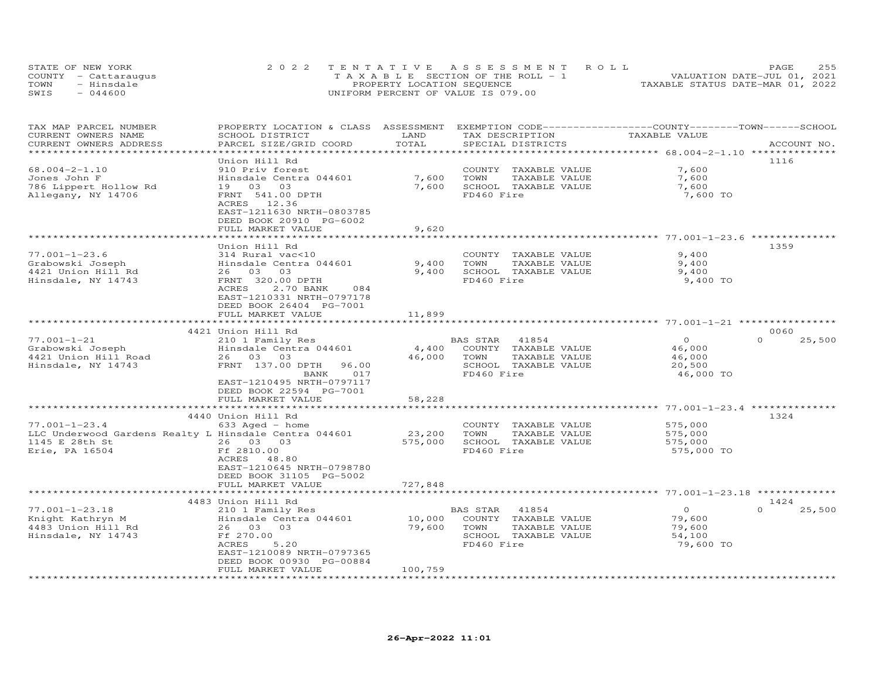|      | STATE OF NEW YORK    | 2022 TENTATIVE ASSESSMENT ROLL        | 255<br>PAGE                      |
|------|----------------------|---------------------------------------|----------------------------------|
|      | COUNTY - Cattaraugus | T A X A B L E SECTION OF THE ROLL - 1 | VALUATION DATE-JUL 01, 2021      |
| TOWN | - Hinsdale           | PROPERTY LOCATION SEQUENCE            | TAXABLE STATUS DATE-MAR 01, 2022 |
| SWIS | $-044600$            | UNIFORM PERCENT OF VALUE IS 079.00    |                                  |

| TAX MAP PARCEL NUMBER<br>CURRENT OWNERS NAME          | PROPERTY LOCATION & CLASS ASSESSMENT EXEMPTION CODE----------------COUNTY-------TOWN-----SCHOOL<br>SCHOOL DISTRICT | LAND         | TAX DESCRIPTION                               | TAXABLE VALUE  |                    |
|-------------------------------------------------------|--------------------------------------------------------------------------------------------------------------------|--------------|-----------------------------------------------|----------------|--------------------|
| CURRENT OWNERS ADDRESS<br>************************    | PARCEL SIZE/GRID COORD                                                                                             | TOTAL        | SPECIAL DISTRICTS                             |                | ACCOUNT NO.        |
|                                                       | Union Hill Rd                                                                                                      |              |                                               |                | 1116               |
| $68.004 - 2 - 1.10$                                   | 910 Priv forest                                                                                                    |              | COUNTY TAXABLE VALUE                          | 7,600          |                    |
|                                                       |                                                                                                                    | 7,600        |                                               |                |                    |
| Jones John F                                          | Hinsdale Centra 044601<br>03                                                                                       | 7,600        | TOWN<br>TAXABLE VALUE<br>SCHOOL TAXABLE VALUE | 7,600<br>7,600 |                    |
| 786 Lippert Hollow Rd                                 | 19 03                                                                                                              |              |                                               |                |                    |
| Allegany, NY 14706                                    | FRNT 541.00 DPTH<br>12.36                                                                                          |              | FD460 Fire                                    | 7,600 TO       |                    |
|                                                       | ACRES<br>EAST-1211630 NRTH-0803785                                                                                 |              |                                               |                |                    |
|                                                       | DEED BOOK 20910 PG-6002                                                                                            |              |                                               |                |                    |
|                                                       | FULL MARKET VALUE                                                                                                  | 9,620        |                                               |                |                    |
|                                                       | **********************                                                                                             |              |                                               |                |                    |
|                                                       | Union Hill Rd                                                                                                      |              |                                               |                | 1359               |
| $77.001 - 1 - 23.6$                                   | 314 Rural vac<10                                                                                                   |              | COUNTY TAXABLE VALUE                          | 9,400          |                    |
| Grabowski Joseph                                      | Hinsdale Centra 044601                                                                                             | 9,400        | TOWN<br>TAXABLE VALUE                         | 9,400          |                    |
| 4421 Union Hill Rd                                    | 26 03 03                                                                                                           | 9,400        | SCHOOL TAXABLE VALUE                          | 9,400          |                    |
| Hinsdale, NY 14743                                    | FRNT 320.00 DPTH                                                                                                   |              | FD460 Fire                                    | 9,400 TO       |                    |
|                                                       | ACRES<br>2.70 BANK<br>084                                                                                          |              |                                               |                |                    |
|                                                       | EAST-1210331 NRTH-0797178                                                                                          |              |                                               |                |                    |
|                                                       |                                                                                                                    |              |                                               |                |                    |
|                                                       | DEED BOOK 26404 PG-7001<br>FULL MARKET VALUE                                                                       | 11,899       |                                               |                |                    |
|                                                       | ***************************                                                                                        |              |                                               |                |                    |
|                                                       | 4421 Union Hill Rd                                                                                                 |              |                                               |                | 0060               |
| $77.001 - 1 - 21$                                     | 210 1 Family Res                                                                                                   |              | BAS STAR<br>41854                             | $\Omega$       | 25,500<br>$\Omega$ |
| Grabowski Joseph                                      | Hinsdale Centra 044601                                                                                             | 4,400        | COUNTY TAXABLE VALUE                          | 46,000         |                    |
| 4421 Union Hill Road                                  | 26 03 03                                                                                                           | 46,000       | TOWN<br>TAXABLE VALUE                         | 46,000         |                    |
| Hinsdale, NY 14743                                    | FRNT 137.00 DPTH<br>96.00                                                                                          |              | SCHOOL TAXABLE VALUE                          | 20,500         |                    |
|                                                       | 017<br>BANK                                                                                                        |              | FD460 Fire                                    | 46,000 TO      |                    |
|                                                       | EAST-1210495 NRTH-0797117                                                                                          |              |                                               |                |                    |
|                                                       | DEED BOOK 22594 PG-7001                                                                                            |              |                                               |                |                    |
|                                                       | FULL MARKET VALUE                                                                                                  | 58,228       |                                               |                |                    |
|                                                       | ****************************                                                                                       |              |                                               |                |                    |
|                                                       | 4440 Union Hill Rd                                                                                                 |              |                                               |                | 1324               |
| $77.001 - 1 - 23.4$                                   | $633$ Aged - home                                                                                                  |              | COUNTY TAXABLE VALUE                          | 575,000        |                    |
| LLC Underwood Gardens Realty L Hinsdale Centra 044601 |                                                                                                                    | 23,200       | TOWN<br>TAXABLE VALUE                         | 575,000        |                    |
| 1145 E 28th St                                        | 26 03 03                                                                                                           | 575,000      | SCHOOL TAXABLE VALUE                          | 575,000        |                    |
| Erie, PA 16504                                        | Ff 2810.00                                                                                                         |              | FD460 Fire                                    | 575,000 TO     |                    |
|                                                       | ACRES 48.80                                                                                                        |              |                                               |                |                    |
|                                                       | EAST-1210645 NRTH-0798780                                                                                          |              |                                               |                |                    |
|                                                       | DEED BOOK 31105 PG-5002                                                                                            |              |                                               |                |                    |
|                                                       | FULL MARKET VALUE                                                                                                  | 727,848      |                                               |                |                    |
|                                                       | ***********************                                                                                            | ************ |                                               |                |                    |
|                                                       | 4483 Union Hill Rd                                                                                                 |              |                                               |                | 1424               |
| $77.001 - 1 - 23.18$                                  | 210 1 Family Res                                                                                                   |              | 41854<br>BAS STAR                             | $\circ$        | 25,500<br>$\Omega$ |
| Knight Kathryn M                                      | Hinsdale Centra 044601                                                                                             | 10,000       | COUNTY TAXABLE VALUE                          | 79,600         |                    |
| 4483 Union Hill Rd                                    | 26 03 03                                                                                                           | 79,600       | TOWN<br>TAXABLE VALUE                         | 79,600         |                    |
| Hinsdale, NY 14743                                    | Ff 270.00                                                                                                          |              | SCHOOL TAXABLE VALUE                          | 54,100         |                    |
|                                                       | 5.20<br>ACRES                                                                                                      |              | FD460 Fire                                    | 79,600 TO      |                    |
|                                                       | EAST-1210089 NRTH-0797365                                                                                          |              |                                               |                |                    |
|                                                       | DEED BOOK 00930 PG-00884                                                                                           |              |                                               |                |                    |
|                                                       | FULL MARKET VALUE                                                                                                  | 100,759      |                                               |                |                    |
|                                                       |                                                                                                                    |              |                                               |                |                    |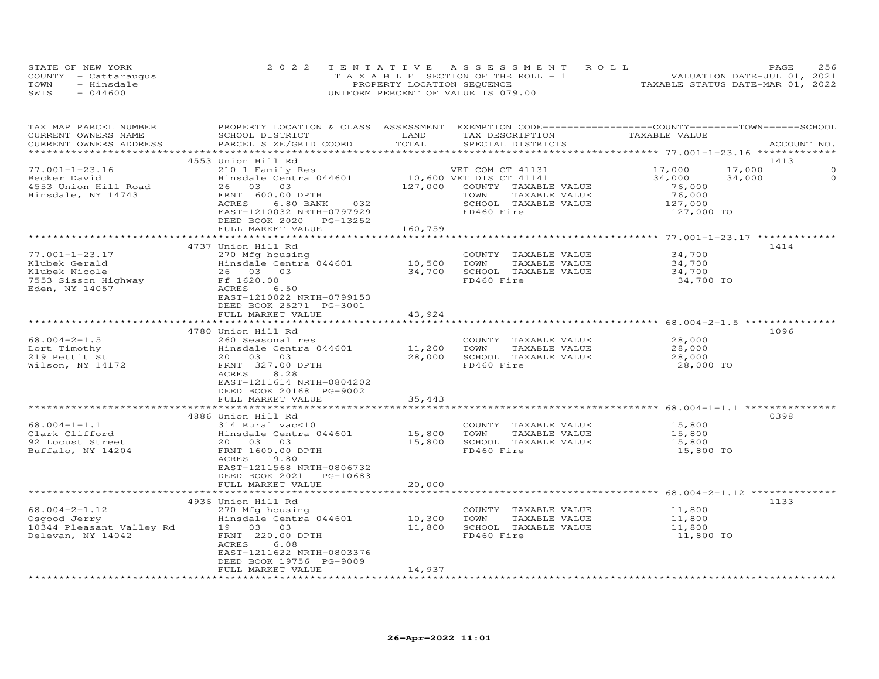|      | STATE OF NEW YORK    | 2022 TENTATIVE ASSESSMENT ROLL     | 256<br>PAGE.                     |
|------|----------------------|------------------------------------|----------------------------------|
|      | COUNTY - Cattaraugus | TAXABLE SECTION OF THE ROLL - 1    | VALUATION DATE-JUL 01, 2021      |
| TOWN | - Hinsdale           | PROPERTY LOCATION SEQUENCE         | TAXABLE STATUS DATE-MAR 01, 2022 |
| SWIS | $-044600$            | UNIFORM PERCENT OF VALUE IS 079.00 |                                  |

| TAX MAP PARCEL NUMBER<br>CURRENT OWNERS NAME<br>CURRENT OWNERS ADDRESS | PROPERTY LOCATION & CLASS ASSESSMENT EXEMPTION CODE----------------COUNTY-------TOWN-----SCHOOL<br>SCHOOL DISTRICT<br>PARCEL SIZE/GRID COORD | LAND<br>TOTAL                     | TAX DESCRIPTION<br>SPECIAL DISTRICTS                    | TAXABLE VALUE | ACCOUNT NO.           |
|------------------------------------------------------------------------|----------------------------------------------------------------------------------------------------------------------------------------------|-----------------------------------|---------------------------------------------------------|---------------|-----------------------|
|                                                                        |                                                                                                                                              |                                   |                                                         |               |                       |
|                                                                        | 4553 Union Hill Rd                                                                                                                           |                                   |                                                         |               | 1413                  |
| $77.001 - 1 - 23.16$                                                   | 210 1 Family Res                                                                                                                             |                                   | VET COM CT 41131                                        | 17,000        | 17,000<br>$\mathbf 0$ |
| Becker David                                                           | Hinsdale Centra 044601                                                                                                                       |                                   | 10,600 VET DIS CT 41141<br>127.000 COUNTY TAXABLE VALUE | 34,000        | 34,000<br>$\circ$     |
| 4553 Union Hill Road                                                   | 26 03 03                                                                                                                                     |                                   | 127,000 COUNTY TAXABLE VALUE                            | 76,000        |                       |
| Hinsdale, NY 14743                                                     | FRNT 600.00 DPTH                                                                                                                             |                                   | TOWN<br>TAXABLE VALUE                                   | 76,000        |                       |
|                                                                        | ACRES<br>6.80 BANK 032                                                                                                                       |                                   | SCHOOL TAXABLE VALUE                                    | 127,000       |                       |
|                                                                        | EAST-1210032 NRTH-0797929                                                                                                                    |                                   | FD460 Fire                                              | 127,000 TO    |                       |
|                                                                        | DEED BOOK 2020 PG-13252                                                                                                                      |                                   |                                                         |               |                       |
|                                                                        | FULL MARKET VALUE                                                                                                                            | 160,759                           |                                                         |               |                       |
|                                                                        |                                                                                                                                              |                                   |                                                         |               |                       |
|                                                                        | 4737 Union Hill Rd                                                                                                                           |                                   |                                                         |               | 1414                  |
| $77.001 - 1 - 23.17$                                                   | 270 Mfg housing                                                                                                                              |                                   | COUNTY TAXABLE VALUE                                    | 34,700        |                       |
| Klubek Gerald                                                          | Hinsdale Centra 044601                                                                                                                       | 10,500    TOWN<br>34,700    SCHOO | TAXABLE VALUE                                           | 34,700        |                       |
| Klubek Nicole                                                          | 26 03 03                                                                                                                                     |                                   | SCHOOL TAXABLE VALUE                                    | 34,700        |                       |
| 7553 Sisson Highway                                                    | Ff 1620.00                                                                                                                                   |                                   | FD460 Fire                                              | 34,700 TO     |                       |
| Eden, NY 14057                                                         | ACRES<br>6.50                                                                                                                                |                                   |                                                         |               |                       |
|                                                                        | EAST-1210022 NRTH-0799153                                                                                                                    |                                   |                                                         |               |                       |
|                                                                        | DEED BOOK 25271 PG-3001                                                                                                                      |                                   |                                                         |               |                       |
|                                                                        | FULL MARKET VALUE                                                                                                                            | 43,924                            |                                                         |               |                       |
|                                                                        |                                                                                                                                              |                                   |                                                         |               |                       |
|                                                                        | 4780 Union Hill Rd                                                                                                                           |                                   |                                                         |               | 1096                  |
| $68.004 - 2 - 1.5$                                                     | 260 Seasonal res                                                                                                                             |                                   | COUNTY TAXABLE VALUE                                    | 28,000        |                       |
| Lort Timothy                                                           | Hinsdale Centra 044601                                                                                                                       | 11,200 TOWN                       | TAXABLE VALUE<br>28,000 SCHOOL TAXABLE VALUE            | 28,000        |                       |
| 219 Pettit St                                                          | 20  03  03                                                                                                                                   |                                   |                                                         | 28,000        |                       |
| Wilson, NY 14172                                                       | FRNT 327.00 DPTH                                                                                                                             |                                   | FD460 Fire                                              | 28,000 TO     |                       |
|                                                                        | ACRES<br>8.28<br>EAST-1211614 NRTH-0804202                                                                                                   |                                   |                                                         |               |                       |
|                                                                        |                                                                                                                                              |                                   |                                                         |               |                       |
|                                                                        | DEED BOOK 20168 PG-9002<br>FULL MARKET VALUE                                                                                                 | 35,443                            |                                                         |               |                       |
|                                                                        |                                                                                                                                              |                                   |                                                         |               |                       |
|                                                                        | 4886 Union Hill Rd                                                                                                                           |                                   |                                                         |               | 0398                  |
| $68.004 - 1 - 1.1$                                                     | 314 Rural vac<10                                                                                                                             |                                   | COUNTY TAXABLE VALUE 15,800                             |               |                       |
| Clark Clifford                                                         | Hinsdale Centra 044601                                                                                                                       | 15,800                            | TOWN<br>TAXABLE VALUE                                   | 15,800        |                       |
| 92 Locust Street                                                       | 20  03  03                                                                                                                                   |                                   | 15,800 SCHOOL TAXABLE VALUE                             | 15,800        |                       |
| Buffalo, NY 14204                                                      | FRNT 1600.00 DPTH                                                                                                                            |                                   | FD460 Fire                                              | 15,800 TO     |                       |
|                                                                        | ACRES 19.80                                                                                                                                  |                                   |                                                         |               |                       |
|                                                                        | EAST-1211568 NRTH-0806732                                                                                                                    |                                   |                                                         |               |                       |
|                                                                        | DEED BOOK 2021 PG-10683                                                                                                                      |                                   |                                                         |               |                       |
|                                                                        | FULL MARKET VALUE                                                                                                                            | 20,000                            |                                                         |               |                       |
|                                                                        |                                                                                                                                              |                                   |                                                         |               |                       |
|                                                                        | 4936 Union Hill Rd                                                                                                                           |                                   |                                                         |               | 1133                  |
| $68.004 - 2 - 1.12$                                                    | 270 Mfg housing                                                                                                                              |                                   | COUNTY TAXABLE VALUE 11,800                             |               |                       |
| Osgood Jerry                                                           | Hinsdale Centra 044601                                                                                                                       | 10,300                            | TOWN<br>TAXABLE VALUE                                   | 11,800        |                       |
| 10344 Pleasant Valley Rd 19 03 03                                      |                                                                                                                                              |                                   | 11,800 SCHOOL TAXABLE VALUE                             | 11,800        |                       |
| Delevan, NY 14042                                                      | FRNT 220.00 DPTH                                                                                                                             |                                   | FD460 Fire                                              | 11,800 TO     |                       |
|                                                                        | ACRES<br>6.08                                                                                                                                |                                   |                                                         |               |                       |
|                                                                        | EAST-1211622 NRTH-0803376                                                                                                                    |                                   |                                                         |               |                       |
|                                                                        | DEED BOOK 19756 PG-9009                                                                                                                      |                                   |                                                         |               |                       |
|                                                                        | FULL MARKET VALUE                                                                                                                            | 14,937                            |                                                         |               |                       |
|                                                                        |                                                                                                                                              |                                   |                                                         |               |                       |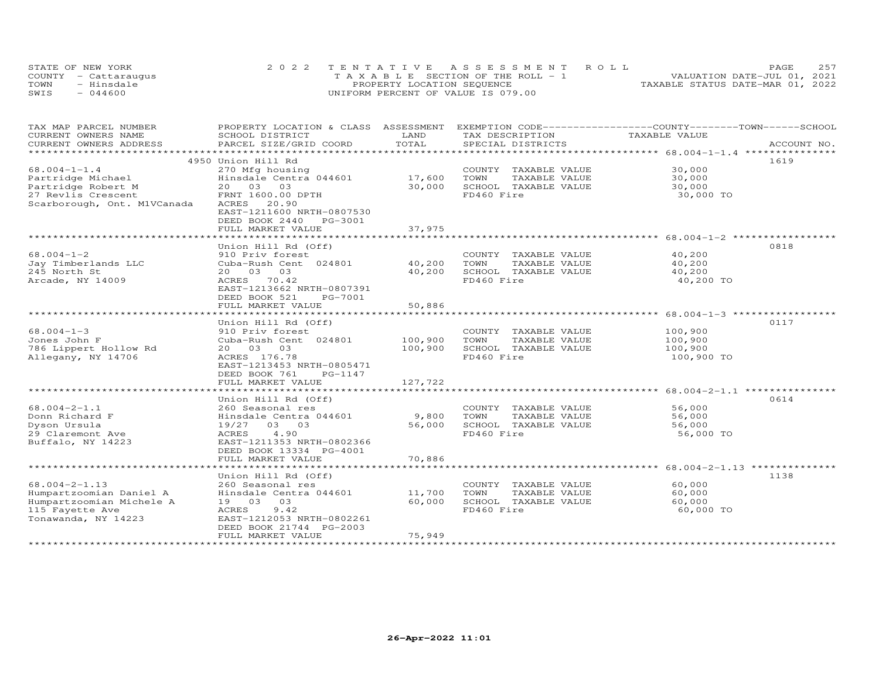| STATE OF NEW YORK |                      | 2022 TENTATIVE ASSESSMENT ROLL        |  |                                  | PAGE. | 2.57 |
|-------------------|----------------------|---------------------------------------|--|----------------------------------|-------|------|
|                   | COUNTY - Cattarauqus | T A X A B L E SECTION OF THE ROLL - 1 |  | VALUATION DATE-JUL 01, 2021      |       |      |
| TOWN              | - Hinsdale           | PROPERTY LOCATION SEQUENCE            |  | TAXABLE STATUS DATE-MAR 01, 2022 |       |      |
| SWIS              | 044600               | UNIFORM PERCENT OF VALUE IS 079.00    |  |                                  |       |      |

| TAX MAP PARCEL NUMBER<br>CURRENT OWNERS NAME                                                                         | PROPERTY LOCATION & CLASS ASSESSMENT<br>SCHOOL DISTRICT                                                                                                                        | LAND                          | EXEMPTION CODE------------------COUNTY-------TOWN-----SCHOOL<br>TAX DESCRIPTION     | TAXABLE VALUE                                         |             |
|----------------------------------------------------------------------------------------------------------------------|--------------------------------------------------------------------------------------------------------------------------------------------------------------------------------|-------------------------------|-------------------------------------------------------------------------------------|-------------------------------------------------------|-------------|
| CURRENT OWNERS ADDRESS                                                                                               | PARCEL SIZE/GRID COORD                                                                                                                                                         | TOTAL                         | SPECIAL DISTRICTS                                                                   |                                                       | ACCOUNT NO. |
| ******************                                                                                                   |                                                                                                                                                                                |                               |                                                                                     |                                                       |             |
| $68.004 - 1 - 1.4$<br>Partridge Michael                                                                              | 4950 Union Hill Rd<br>270 Mfg housing<br>Hinsdale Centra 044601                                                                                                                | 17,600                        | COUNTY TAXABLE VALUE<br>TOWN<br>TAXABLE VALUE                                       | 30,000<br>30,000                                      | 1619        |
| Partridge Robert M<br>27 Revlis Crescent<br>Scarborough, Ont. M1VCanada                                              | 20 03 03<br>FRNT 1600.00 DPTH<br>ACRES<br>20.90<br>EAST-1211600 NRTH-0807530<br>DEED BOOK 2440<br>PG-3001                                                                      | 30,000                        | SCHOOL TAXABLE VALUE<br>FD460 Fire                                                  | 30,000<br>30,000 TO                                   |             |
|                                                                                                                      | FULL MARKET VALUE                                                                                                                                                              | 37,975                        |                                                                                     |                                                       |             |
|                                                                                                                      | Union Hill Rd (Off)                                                                                                                                                            |                               |                                                                                     |                                                       | 0818        |
| $68.004 - 1 - 2$<br>Jay Timberlands LLC<br>245 North St<br>Arcade, NY 14009                                          | 910 Priv forest<br>Cuba-Rush Cent 024801<br>20  03  03<br>ACRES 70.42<br>EAST-1213662 NRTH-0807391<br>DEED BOOK 521<br>PG-7001<br>FULL MARKET VALUE                            | 40,200<br>40,200<br>50,886    | COUNTY TAXABLE VALUE<br>TOWN<br>TAXABLE VALUE<br>SCHOOL TAXABLE VALUE<br>FD460 Fire | 40,200<br>40,200<br>40,200<br>40,200 TO               |             |
|                                                                                                                      |                                                                                                                                                                                |                               |                                                                                     |                                                       |             |
| $68.004 - 1 - 3$<br>Jones John F<br>786 Lippert Hollow Rd<br>Allegany, NY 14706                                      | Union Hill Rd (Off)<br>910 Priv forest<br>Cuba-Rush Cent 024801<br>20  03  03<br>ACRES 176.78<br>EAST-1213453 NRTH-0805471<br>DEED BOOK 761<br>PG-1147                         | 100,900<br>100,900<br>127,722 | COUNTY TAXABLE VALUE<br>TOWN<br>TAXABLE VALUE<br>SCHOOL TAXABLE VALUE<br>FD460 Fire | 100,900<br>100,900<br>100,900<br>100,900 TO           | 0117        |
|                                                                                                                      | FULL MARKET VALUE                                                                                                                                                              |                               |                                                                                     | ************************ 68.004-2-1.1 *************** |             |
| $68.004 - 2 - 1.1$<br>Donn Richard F<br>Dyson Ursula<br>29 Claremont Ave<br>Buffalo, NY 14223                        | Union Hill Rd (Off)<br>260 Seasonal res<br>Hinsdale Centra 044601<br>03 03<br>19/27<br>4.90<br>ACRES<br>EAST-1211353 NRTH-0802366<br>DEED BOOK 13334 PG-4001                   | 9,800<br>56,000               | COUNTY TAXABLE VALUE<br>TOWN<br>TAXABLE VALUE<br>SCHOOL TAXABLE VALUE<br>FD460 Fire | 56,000<br>56,000<br>56,000<br>56,000 TO               | 0614        |
|                                                                                                                      | FULL MARKET VALUE                                                                                                                                                              | 70,886                        |                                                                                     |                                                       |             |
|                                                                                                                      |                                                                                                                                                                                |                               |                                                                                     |                                                       |             |
| $68.004 - 2 - 1.13$<br>Humpartzoomian Daniel A<br>Humpartzoomian Michele A<br>115 Fayette Ave<br>Tonawanda, NY 14223 | Union Hill Rd (Off)<br>260 Seasonal res<br>Hinsdale Centra 044601<br>19 03<br>03<br>ACRES<br>9.42<br>EAST-1212053 NRTH-0802261<br>DEED BOOK 21744 PG-2003<br>FULL MARKET VALUE | 11,700<br>60,000<br>75,949    | COUNTY TAXABLE VALUE<br>TOWN<br>TAXABLE VALUE<br>SCHOOL TAXABLE VALUE<br>FD460 Fire | 60,000<br>60,000<br>60,000<br>60,000 TO               | 1138        |
|                                                                                                                      |                                                                                                                                                                                |                               |                                                                                     |                                                       |             |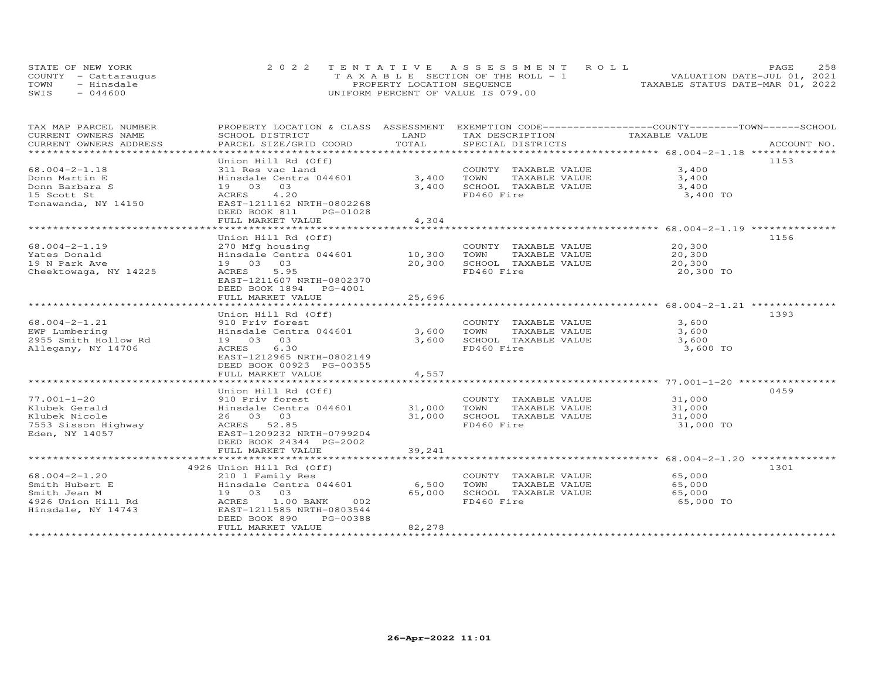| STATE OF NEW YORK    | 2022 TENTATIVE ASSESSMENT ROLL        | 2.58<br><b>PAGE</b>              |
|----------------------|---------------------------------------|----------------------------------|
| COUNTY - Cattaraugus | T A X A B L E SECTION OF THE ROLL - 1 | VALUATION DATE-JUL 01, 2021      |
| TOWN<br>- Hinsdale   | PROPERTY LOCATION SEQUENCE            | TAXABLE STATUS DATE-MAR 01, 2022 |
| $-044600$<br>SWIS    | UNIFORM PERCENT OF VALUE IS 079.00    |                                  |

| TAX MAP PARCEL NUMBER                             | PROPERTY LOCATION & CLASS ASSESSMENT EXEMPTION CODE-----------------COUNTY-------TOWN------SCHOOL              |        |                                                         |               |      |
|---------------------------------------------------|----------------------------------------------------------------------------------------------------------------|--------|---------------------------------------------------------|---------------|------|
| CURRENT OWNERS NAME                               | SCHOOL DISTRICT                                                                                                | LAND   | TAX DESCRIPTION                                         | TAXABLE VALUE |      |
| CURRENT OWNERS ADDRESS<br>*********************** | .PARCEL SIZE/GRID COORD TOTAL SPECIAL DISTRICTS ACCOUNT NO ACCOUNT NO ACCOUNT NO ACCOUNT NO ACCOUNT NO ACCOUNT |        |                                                         |               |      |
|                                                   |                                                                                                                |        |                                                         |               |      |
|                                                   | Union Hill Rd (Off)                                                                                            |        |                                                         |               | 1153 |
| $68.004 - 2 - 1.18$                               | 311 Res vac land                                                                                               |        | COUNTY TAXABLE VALUE                                    | 3,400         |      |
| Donn Martin E                                     | Hinsdale Centra 044601                                                                                         | 3,400  | TOWN<br>TAXABLE VALUE<br>TAXABLE VALUE<br>TAVARLE VALUE | 3,400         |      |
| Donn Barbara S                                    | 19 03<br>03                                                                                                    | 3,400  | SCHOOL TAXABLE VALUE                                    | 3,400         |      |
| 15 Scott St                                       | 4.20<br>ACRES                                                                                                  |        | FD460 Fire                                              | 3,400 TO      |      |
| Tonawanda, NY 14150                               | EAST-1211162 NRTH-0802268                                                                                      |        |                                                         |               |      |
|                                                   | DEED BOOK 811<br>PG-01028                                                                                      |        |                                                         |               |      |
|                                                   | FULL MARKET VALUE                                                                                              | 4,304  |                                                         |               |      |
|                                                   |                                                                                                                |        |                                                         |               |      |
|                                                   | Union Hill Rd (Off)                                                                                            |        |                                                         |               | 1156 |
| 68.004-2-1.19                                     | 270 Mfg housing                                                                                                |        | COUNTY TAXABLE VALUE                                    | 20,300        |      |
| Yates Donald                                      |                                                                                                                |        | TOWN<br>TAXABLE VALUE                                   | 20,300        |      |
| 19 N Park Ave                                     | 19  03  03                                                                                                     | 20,300 | SCHOOL TAXABLE VALUE                                    | 20,300        |      |
| Cheektowaga, NY 14225                             | ACRES<br>5.95                                                                                                  |        | FD460 Fire                                              | 20,300 TO     |      |
|                                                   | EAST-1211607 NRTH-0802370                                                                                      |        |                                                         |               |      |
|                                                   | DEED BOOK 1894 PG-4001                                                                                         |        |                                                         |               |      |
|                                                   | FULL MARKET VALUE                                                                                              | 25,696 |                                                         |               |      |
|                                                   |                                                                                                                |        |                                                         |               |      |
|                                                   | Union Hill Rd (Off)                                                                                            |        |                                                         |               | 1393 |
| $68.004 - 2 - 1.21$                               | 910 Priv forest                                                                                                |        | COUNTY TAXABLE VALUE                                    | 3,600         |      |
| EWP Lumbering                                     | Hinsdale Centra 044601 3,600 TOWN                                                                              |        | TAXABLE VALUE                                           | 3,600         |      |
| 2955 Smith Hollow Rd                              | 19 03 03                                                                                                       | 3,600  | SCHOOL TAXABLE VALUE                                    | 3,600         |      |
| Allegany, NY 14706                                | 6.30<br>ACRES                                                                                                  |        | FD460 Fire                                              | 3,600 TO      |      |
|                                                   | EAST-1212965 NRTH-0802149                                                                                      |        |                                                         |               |      |
|                                                   | DEED BOOK 00923 PG-00355                                                                                       |        |                                                         |               |      |
|                                                   | FULL MARKET VALUE                                                                                              | 4,557  |                                                         |               |      |
|                                                   |                                                                                                                |        |                                                         |               |      |
|                                                   | Union Hill Rd (Off)                                                                                            |        |                                                         |               | 0459 |
| $77.001 - 1 - 20$                                 | 910 Priv forest                                                                                                |        | COUNTY TAXABLE VALUE                                    | 31,000        |      |
| Klubek Gerald                                     | Hinsdale Centra 044601 31,000                                                                                  |        | TOWN<br>TAXABLE VALUE                                   | 31,000        |      |
| Klubek Nicole                                     | 26 03 03                                                                                                       | 31,000 | SCHOOL TAXABLE VALUE                                    | 31,000        |      |
| 7553 Sisson Highway                               | ACRES 52.85                                                                                                    |        | FD460 Fire                                              | 31,000 TO     |      |
| Eden, NY 14057                                    | EAST-1209232 NRTH-0799204                                                                                      |        |                                                         |               |      |
|                                                   | DEED BOOK 24344 PG-2002                                                                                        |        |                                                         |               |      |
|                                                   | FULL MARKET VALUE                                                                                              | 39,241 |                                                         |               |      |
|                                                   |                                                                                                                |        |                                                         |               |      |
|                                                   | 4926 Union Hill Rd (Off)                                                                                       |        |                                                         |               | 1301 |
| 68.004-2-1.20                                     | 210 1 Family Res                                                                                               |        | COUNTY TAXABLE VALUE                                    | 65,000        |      |
| Smith Hubert E                                    | Hinsdale Centra 044601 6,500                                                                                   |        | TOWN<br>TAXABLE VALUE                                   | 65,000        |      |
| Smith Jean M                                      | 19 03 03                                                                                                       | 65,000 | SCHOOL TAXABLE VALUE                                    | 65,000        |      |
| 4926 Union Hill Rd ACRES                          | 1.00 BANK<br>002                                                                                               |        | FD460 Fire                                              | 65,000 TO     |      |
| Hinsdale, NY 14743                                | EAST-1211585 NRTH-0803544                                                                                      |        |                                                         |               |      |
|                                                   | DEED BOOK 890<br>PG-00388                                                                                      |        |                                                         |               |      |
|                                                   | FULL MARKET VALUE                                                                                              | 82,278 |                                                         |               |      |
|                                                   |                                                                                                                |        |                                                         |               |      |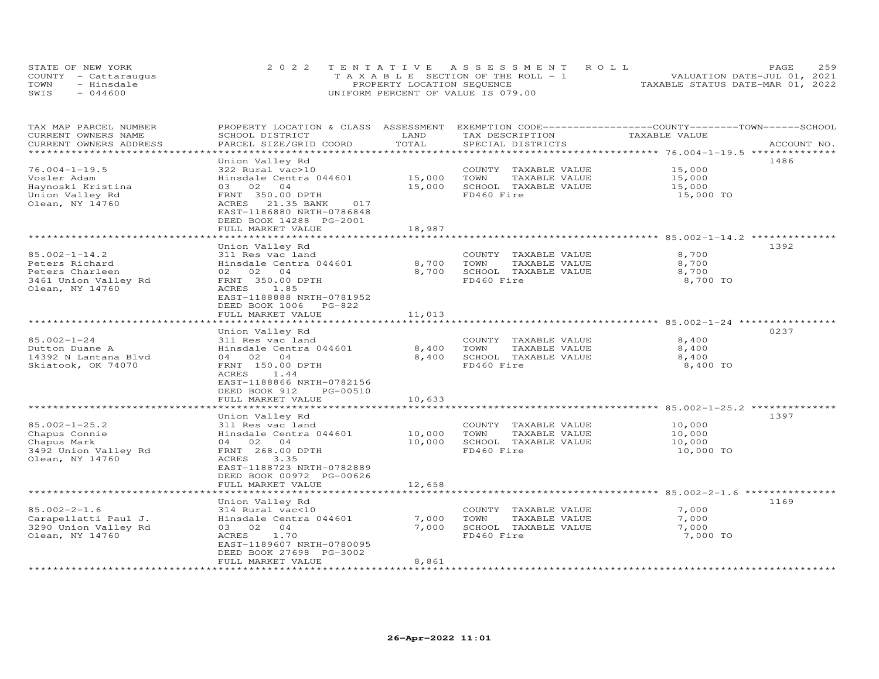|      | STATE OF NEW YORK    | 2022 TENTATIVE ASSESSMENT ROLL        | PAGE                             | 259 |
|------|----------------------|---------------------------------------|----------------------------------|-----|
|      | COUNTY - Cattaraugus | T A X A B L E SECTION OF THE ROLL - 1 | VALUATION DATE-JUL 01, 2021      |     |
| TOWN | - Hinsdale           | PROPERTY LOCATION SEQUENCE            | TAXABLE STATUS DATE-MAR 01, 2022 |     |
| SWIS | $-044600$            | UNIFORM PERCENT OF VALUE IS 079.00    |                                  |     |

| TAX MAP PARCEL NUMBER   | PROPERTY LOCATION & CLASS ASSESSMENT          |                       | EXEMPTION CODE-----------------COUNTY-------TOWN------SCHOOL |                                                       |             |
|-------------------------|-----------------------------------------------|-----------------------|--------------------------------------------------------------|-------------------------------------------------------|-------------|
| CURRENT OWNERS NAME     | SCHOOL DISTRICT                               | LAND                  | TAX DESCRIPTION                                              | TAXABLE VALUE                                         |             |
| CURRENT OWNERS ADDRESS  | PARCEL SIZE/GRID COORD                        | TOTAL                 | SPECIAL DISTRICTS                                            |                                                       | ACCOUNT NO. |
|                         |                                               |                       |                                                              |                                                       |             |
|                         | Union Valley Rd                               |                       |                                                              |                                                       | 1486        |
| $76.004 - 1 - 19.5$     | 322 Rural vac>10                              |                       | COUNTY TAXABLE VALUE                                         | 15,000                                                |             |
| Vosler Adam             | Hinsdale Centra 044601                        | 15,000                | TOWN<br>TAXABLE VALUE                                        | 15,000                                                |             |
| Haynoski Kristina       | 02<br>03<br>04                                | 15,000                | SCHOOL TAXABLE VALUE                                         | 15,000                                                |             |
| Union Valley Rd         | FRNT 350.00 DPTH                              |                       | FD460 Fire                                                   | 15,000 TO                                             |             |
| Olean, NY 14760         | 21.35 BANK<br>ACRES<br>017                    |                       |                                                              |                                                       |             |
|                         | EAST-1186880 NRTH-0786848                     |                       |                                                              |                                                       |             |
|                         | DEED BOOK 14288 PG-2001                       |                       |                                                              |                                                       |             |
|                         | FULL MARKET VALUE<br>****************         | 18,987<br>**********  |                                                              |                                                       |             |
|                         |                                               |                       |                                                              |                                                       |             |
|                         | Union Valley Rd                               |                       |                                                              |                                                       | 1392        |
| $85.002 - 1 - 14.2$     | 311 Res vac land                              |                       | COUNTY TAXABLE VALUE                                         | 8,700                                                 |             |
| Peters Richard          | Hinsdale Centra 044601                        | 8,700                 | TOWN<br>TAXABLE VALUE                                        | 8,700                                                 |             |
| Peters Charleen         | 02 02 04                                      | 8,700                 | SCHOOL TAXABLE VALUE                                         | 8,700                                                 |             |
| 3461 Union Valley Rd    | FRNT 350.00 DPTH                              |                       | FD460 Fire                                                   | 8,700 TO                                              |             |
| Olean, NY 14760         | 1.85<br>ACRES                                 |                       |                                                              |                                                       |             |
|                         | EAST-1188888 NRTH-0781952                     |                       |                                                              |                                                       |             |
|                         | DEED BOOK 1006<br>PG-822                      |                       |                                                              |                                                       |             |
|                         | FULL MARKET VALUE                             | 11,013                |                                                              |                                                       |             |
|                         | ************************                      | * * * * * * * * * * * |                                                              | ************************* 85.002-1-24 *************** |             |
|                         | Union Valley Rd                               |                       |                                                              |                                                       | 0237        |
| $85.002 - 1 - 24$       | 311 Res vac land                              |                       | COUNTY TAXABLE VALUE                                         | 8,400                                                 |             |
| Dutton Duane A          | Hinsdale Centra 044601                        | 8,400                 | TOWN<br>TAXABLE VALUE                                        | 8,400                                                 |             |
| 14392 N Lantana Blvd    | 04 02 04                                      | 8,400                 | SCHOOL TAXABLE VALUE                                         | 8,400                                                 |             |
| Skiatook, OK 74070      | FRNT 150.00 DPTH                              |                       | FD460 Fire                                                   | 8,400 TO                                              |             |
|                         | ACRES<br>1.44                                 |                       |                                                              |                                                       |             |
|                         | EAST-1188866 NRTH-0782156                     |                       |                                                              |                                                       |             |
|                         | DEED BOOK 912<br>PG-00510                     |                       |                                                              |                                                       |             |
|                         | FULL MARKET VALUE                             | 10,633                |                                                              |                                                       |             |
|                         |                                               |                       |                                                              | **** 85.002-1-25.2 **                                 |             |
|                         | Union Valley Rd                               |                       |                                                              |                                                       | 1397        |
| $85.002 - 1 - 25.2$     | 311 Res vac land                              |                       | COUNTY TAXABLE VALUE                                         | 10,000                                                |             |
| Chapus Connie           | Hinsdale Centra 044601                        | 10,000                | TOWN<br>TAXABLE VALUE                                        | 10,000                                                |             |
| Chapus Mark             | 04 02<br>04                                   | 10,000                | SCHOOL TAXABLE VALUE                                         | 10,000                                                |             |
| 3492 Union Valley Rd    | FRNT 268.00 DPTH                              |                       | FD460 Fire                                                   | 10,000 TO                                             |             |
| Olean, NY 14760         | ACRES<br>3.35                                 |                       |                                                              |                                                       |             |
|                         | EAST-1188723 NRTH-0782889                     |                       |                                                              |                                                       |             |
|                         | DEED BOOK 00972 PG-00626<br>FULL MARKET VALUE | 12,658                |                                                              |                                                       |             |
|                         | ***********************                       |                       |                                                              |                                                       |             |
|                         |                                               |                       |                                                              |                                                       | 1169        |
| $85.002 - 2 - 1.6$      | Union Valley Rd<br>314 Rural vac<10           |                       | COUNTY TAXABLE VALUE                                         | 7,000                                                 |             |
|                         | Hinsdale Centra 044601                        | 7,000                 | TOWN                                                         | 7,000                                                 |             |
| Carapellatti Paul J.    |                                               | 7,000                 | TAXABLE VALUE                                                | 7,000                                                 |             |
| 3290 Union Valley Rd    | 03 02<br>$\overline{04}$<br>1.70<br>ACRES     |                       | SCHOOL TAXABLE VALUE<br>FD460 Fire                           |                                                       |             |
| Olean, NY 14760         | EAST-1189607 NRTH-0780095                     |                       |                                                              | 7,000 TO                                              |             |
|                         | DEED BOOK 27698 PG-3002                       |                       |                                                              |                                                       |             |
|                         | FULL MARKET VALUE                             | 8,861                 |                                                              |                                                       |             |
| *********************** | *************************                     | *******************   |                                                              |                                                       |             |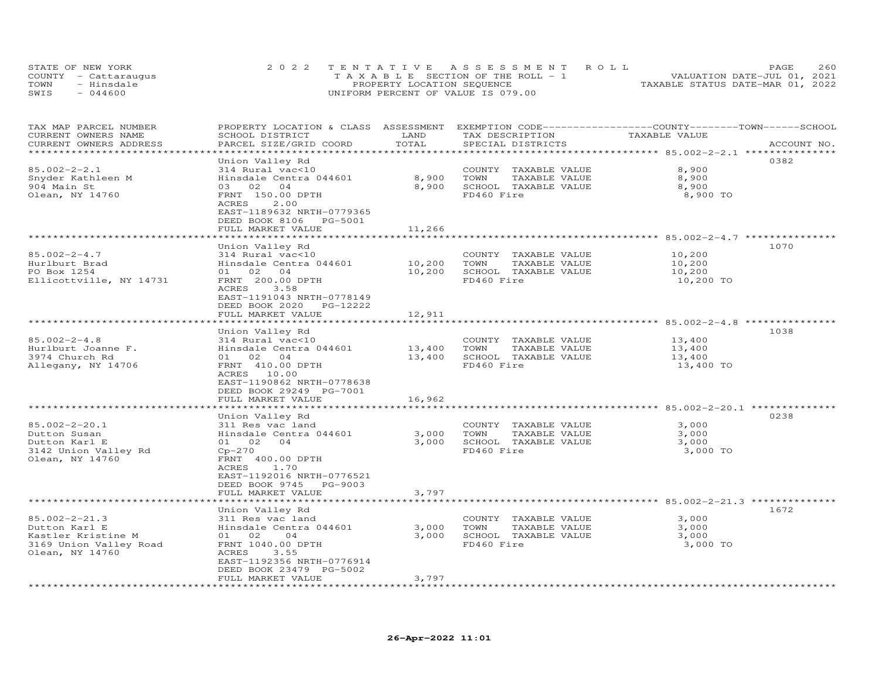| STATE OF NEW YORK    | 2022 TENTATIVE ASSESSMENT ROLL        | PAGE                             | 260 |
|----------------------|---------------------------------------|----------------------------------|-----|
| COUNTY - Cattaraugus | T A X A B L E SECTION OF THE ROLL - 1 | VALUATION DATE-JUL 01, 2021      |     |
| TOWN<br>- Hinsdale   | PROPERTY LOCATION SEQUENCE            | TAXABLE STATUS DATE-MAR 01, 2022 |     |
| SWIS<br>$-044600$    | UNIFORM PERCENT OF VALUE IS 079.00    |                                  |     |

| TAX MAP PARCEL NUMBER<br>CURRENT OWNERS NAME<br>CURRENT OWNERS ADDRESS                                  | PROPERTY LOCATION & CLASS ASSESSMENT<br>SCHOOL DISTRICT<br>PARCEL SIZE/GRID COORD                                                                              | LAND<br>TOTAL      | EXEMPTION CODE------------------COUNTY-------TOWN-----SCHOOL<br>TAX DESCRIPTION<br>SPECIAL DISTRICTS | TAXABLE VALUE                                                 | ACCOUNT NO. |
|---------------------------------------------------------------------------------------------------------|----------------------------------------------------------------------------------------------------------------------------------------------------------------|--------------------|------------------------------------------------------------------------------------------------------|---------------------------------------------------------------|-------------|
| ***********************                                                                                 |                                                                                                                                                                |                    |                                                                                                      |                                                               |             |
| $85.002 - 2 - 2.1$<br>Snyder Kathleen M                                                                 | Union Valley Rd<br>314 Rural vac<10<br>Hinsdale Centra 044601                                                                                                  | 8,900              | COUNTY TAXABLE VALUE<br>TAXABLE VALUE<br>TOWN                                                        | 8,900<br>8,900                                                | 0382        |
| 904 Main St<br>Olean, NY 14760                                                                          | 03 02<br>04<br>FRNT 150.00 DPTH<br><b>ACRES</b><br>2.00<br>EAST-1189632 NRTH-0779365<br>DEED BOOK 8106 PG-5001<br>FULL MARKET VALUE                            | 8,900<br>11,266    | SCHOOL TAXABLE VALUE<br>FD460 Fire                                                                   | 8,900<br>8,900 TO                                             |             |
|                                                                                                         | *******************                                                                                                                                            | ****************** |                                                                                                      | ******************************** 85.002-2-4.7 *************** |             |
| $85.002 - 2 - 4.7$<br>Hurlburt Brad                                                                     | Union Valley Rd<br>314 Rural vac<10<br>Hinsdale Centra 044601                                                                                                  | 10,200             | COUNTY TAXABLE VALUE<br>TOWN<br>TAXABLE VALUE                                                        | 10,200<br>10,200                                              | 1070        |
| PO Box 1254<br>Ellicottville, NY 14731                                                                  | 01 02 04<br>FRNT 200.00 DPTH<br>ACRES<br>3.58<br>EAST-1191043 NRTH-0778149<br>DEED BOOK 2020 PG-12222                                                          | 10,200             | SCHOOL TAXABLE VALUE<br>FD460 Fire                                                                   | 10,200<br>10,200 TO                                           |             |
|                                                                                                         | FULL MARKET VALUE<br>* * * * * * * * * * * * * * * * * * * *                                                                                                   | 12,911             |                                                                                                      |                                                               |             |
|                                                                                                         | Union Valley Rd                                                                                                                                                |                    |                                                                                                      |                                                               | 1038        |
| $85.002 - 2 - 4.8$<br>Hurlburt Joanne F.<br>3974 Church Rd<br>Allegany, NY 14706                        | 314 Rural vac<10<br>Hinsdale Centra 044601<br>01<br>02 04<br>FRNT 410.00 DPTH<br>ACRES 10.00                                                                   | 13,400<br>13,400   | COUNTY TAXABLE VALUE<br>TOWN<br>TAXABLE VALUE<br>SCHOOL TAXABLE VALUE<br>FD460 Fire                  | 13,400<br>13,400<br>13,400<br>13,400 TO                       |             |
|                                                                                                         | EAST-1190862 NRTH-0778638<br>DEED BOOK 29249 PG-7001<br>FULL MARKET VALUE                                                                                      | 16,962             |                                                                                                      |                                                               |             |
|                                                                                                         | Union Valley Rd                                                                                                                                                |                    |                                                                                                      | ****************************** 85.002-2-20.1 *******          | 0238        |
| $85.002 - 2 - 20.1$<br>Dutton Susan<br>Dutton Karl E<br>3142 Union Valley Rd<br>Olean, NY 14760         | 311 Res vac land<br>Hinsdale Centra 044601<br>01 02 04<br>$Cp-270$<br>FRNT 400.00 DPTH<br>ACRES<br>1.70<br>EAST-1192016 NRTH-0776521<br>DEED BOOK 9745 PG-9003 | 3,000<br>3,000     | COUNTY TAXABLE VALUE<br>TOWN<br>TAXABLE VALUE<br>SCHOOL TAXABLE VALUE<br>FD460 Fire                  | 3,000<br>3,000<br>3,000<br>3,000 TO                           |             |
|                                                                                                         | FULL MARKET VALUE                                                                                                                                              | 3,797              |                                                                                                      |                                                               |             |
|                                                                                                         | ********************<br>Union Valley Rd                                                                                                                        |                    |                                                                                                      |                                                               | 1672        |
| $85.002 - 2 - 21.3$<br>Dutton Karl E<br>Kastler Kristine M<br>3169 Union Valley Road<br>Olean, NY 14760 | 311 Res vac land<br>Hinsdale Centra 044601<br>01 02<br>04<br>FRNT 1040.00 DPTH<br>ACRES<br>3.55<br>EAST-1192356 NRTH-0776914<br>DEED BOOK 23479 PG-5002        | 3,000<br>3,000     | COUNTY TAXABLE VALUE<br>TOWN<br>TAXABLE VALUE<br>SCHOOL TAXABLE VALUE<br>FD460 Fire                  | 3,000<br>3,000<br>3,000<br>3,000 TO                           |             |
|                                                                                                         | FULL MARKET VALUE                                                                                                                                              | 3,797              |                                                                                                      |                                                               |             |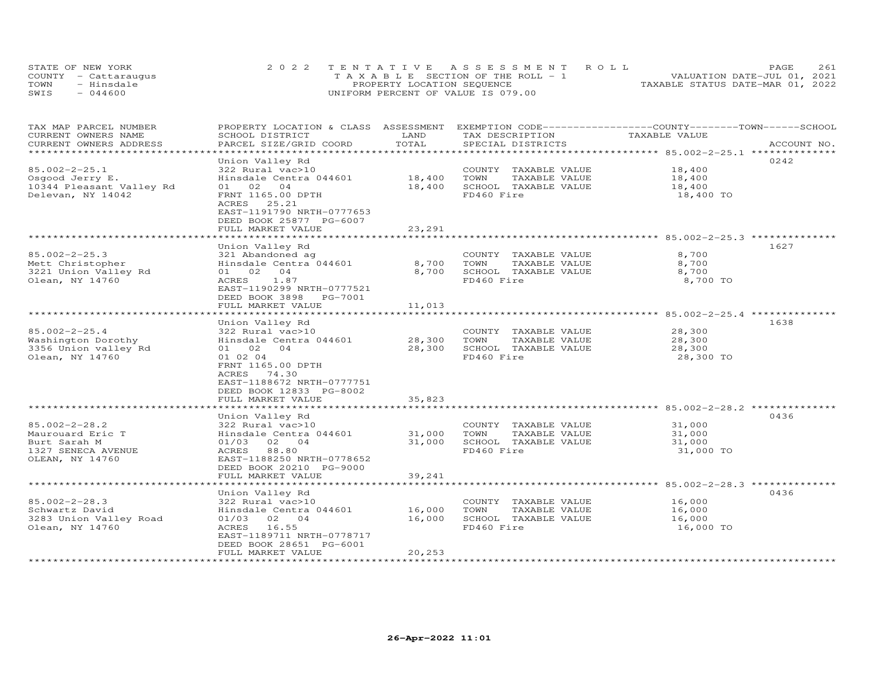|      | STATE OF NEW YORK    | 2022 TENTATIVE ASSESSMENT ROLL        | 2.61<br>PAGE.                    |
|------|----------------------|---------------------------------------|----------------------------------|
|      | COUNTY - Cattaraugus | T A X A B L E SECTION OF THE ROLL - 1 | VALUATION DATE-JUL 01, 2021      |
| TOWN | - Hinsdale           | PROPERTY LOCATION SEQUENCE            | TAXABLE STATUS DATE-MAR 01, 2022 |
| SWIS | $-044600$            | UNIFORM PERCENT OF VALUE IS 079.00    |                                  |

| TAX MAP PARCEL NUMBER<br>CURRENT OWNERS NAME                                                     | PROPERTY LOCATION & CLASS<br>SCHOOL DISTRICT                                                                                                                                                                             | ASSESSMENT<br>LAND<br>TOTAL | EXEMPTION CODE-----------------COUNTY-------TOWN-----SCHOOL<br>TAX DESCRIPTION<br>SPECIAL DISTRICTS | TAXABLE VALUE                                            | ACCOUNT NO. |
|--------------------------------------------------------------------------------------------------|--------------------------------------------------------------------------------------------------------------------------------------------------------------------------------------------------------------------------|-----------------------------|-----------------------------------------------------------------------------------------------------|----------------------------------------------------------|-------------|
| CURRENT OWNERS ADDRESS<br>********************                                                   | PARCEL SIZE/GRID COORD                                                                                                                                                                                                   | * * * * * * * * * * * *     |                                                                                                     |                                                          |             |
| $85.002 - 2 - 25.1$<br>Osgood Jerry E.<br>10344 Pleasant Valley Rd<br>Delevan, NY 14042          | Union Valley Rd<br>322 Rural vac>10<br>Hinsdale Centra 044601<br>02<br>01<br>04<br>FRNT 1165.00 DPTH<br>ACRES<br>25.21<br>EAST-1191790 NRTH-0777653<br>DEED BOOK 25877 PG-6007<br>FULL MARKET VALUE                      | 18,400<br>18,400<br>23,291  | COUNTY TAXABLE VALUE<br>TOWN<br>TAXABLE VALUE<br>SCHOOL TAXABLE VALUE<br>FD460 Fire                 | 18,400<br>18,400<br>18,400<br>18,400 TO                  | 0242        |
|                                                                                                  |                                                                                                                                                                                                                          |                             |                                                                                                     | ********************************* 85.002-2-25.3 ******** |             |
| $85.002 - 2 - 25.3$<br>Mett Christopher<br>3221 Union Valley Rd<br>Olean, NY 14760               | Union Valley Rd<br>321 Abandoned ag<br>Hinsdale Centra 044601<br>0 <sub>4</sub><br>01 02<br>ACRES<br>1.87<br>EAST-1190299 NRTH-0777521<br>DEED BOOK 3898 PG-7001                                                         | 8,700<br>8,700              | COUNTY TAXABLE VALUE<br>TOWN<br>TAXABLE VALUE<br>SCHOOL TAXABLE VALUE<br>FD460 Fire                 | 8,700<br>8,700<br>8,700<br>8,700 TO                      | 1627        |
|                                                                                                  | FULL MARKET VALUE<br>*******************                                                                                                                                                                                 | 11,013                      |                                                                                                     | ******************** 85.002-2-25.4                       |             |
| $85.002 - 2 - 25.4$<br>Washington Dorothy<br>3356 Union valley Rd<br>Olean, NY 14760             | Union Valley Rd<br>322 Rural vac>10<br>Hinsdale Centra 044601<br>01 02<br>0 <sub>4</sub><br>01 02 04<br>FRNT 1165.00 DPTH<br>ACRES<br>74.30<br>EAST-1188672 NRTH-0777751<br>DEED BOOK 12833 PG-8002<br>FULL MARKET VALUE | 28,300<br>28,300<br>35,823  | COUNTY TAXABLE VALUE<br>TOWN<br>TAXABLE VALUE<br>SCHOOL TAXABLE VALUE<br>FD460 Fire                 | 28,300<br>28,300<br>28,300<br>28,300 TO                  | 1638        |
|                                                                                                  | Union Valley Rd                                                                                                                                                                                                          |                             |                                                                                                     |                                                          | 0436        |
| $85.002 - 2 - 28.2$<br>Maurouard Eric T<br>Burt Sarah M<br>1327 SENECA AVENUE<br>OLEAN, NY 14760 | 322 Rural vac>10<br>Hinsdale Centra 044601<br>01/03<br>02 04<br>88.80<br>ACRES<br>EAST-1188250 NRTH-0778652<br>DEED BOOK 20210 PG-9000                                                                                   | 31,000<br>31,000            | COUNTY TAXABLE VALUE<br>TAXABLE VALUE<br>TOWN<br>SCHOOL TAXABLE VALUE<br>FD460 Fire                 | 31,000<br>31,000<br>31,000<br>31,000 TO                  |             |
|                                                                                                  | FULL MARKET VALUE                                                                                                                                                                                                        | 39,241                      |                                                                                                     | **** 85.002-2-28.3 ********                              |             |
| $85.002 - 2 - 28.3$<br>Schwartz David<br>3283 Union Valley Road<br>Olean, NY 14760               | Union Valley Rd<br>322 Rural vac>10<br>Hinsdale Centra 044601<br>02 04<br>01/03<br>ACRES<br>16.55<br>EAST-1189711 NRTH-0778717<br>DEED BOOK 28651 PG-6001                                                                | 16,000<br>16,000            | COUNTY TAXABLE VALUE<br>TOWN<br>TAXABLE VALUE<br>SCHOOL TAXABLE VALUE<br>FD460 Fire                 | 16,000<br>16,000<br>16,000<br>16,000 TO                  | 0436        |
|                                                                                                  | FULL MARKET VALUE                                                                                                                                                                                                        | 20,253                      |                                                                                                     |                                                          |             |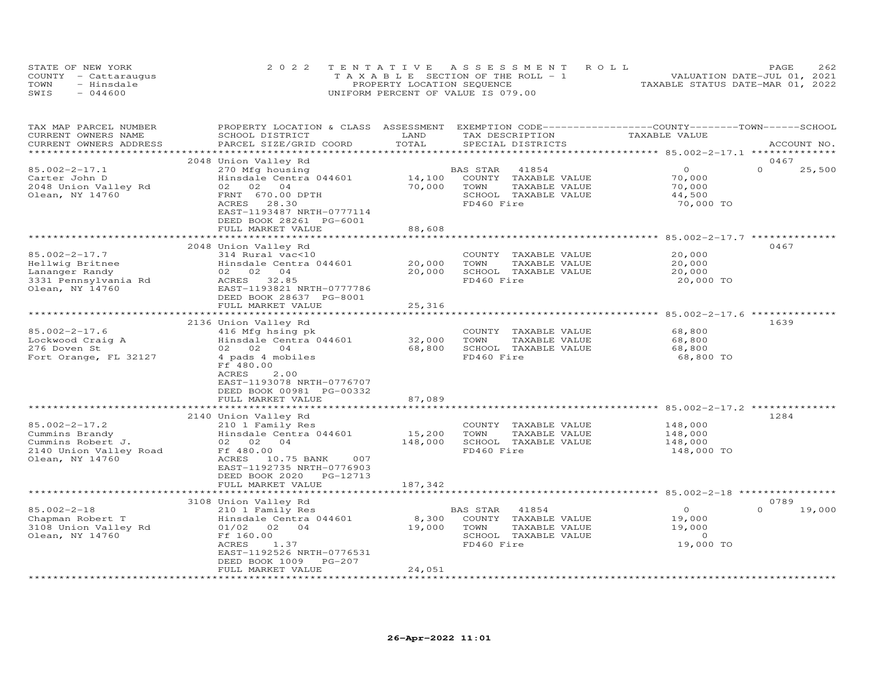|      | STATE OF NEW YORK    | 2022 TENTATIVE ASSESSMENT ROLL                 | 2.62<br>PAGE                     |
|------|----------------------|------------------------------------------------|----------------------------------|
|      | COUNTY - Cattaraugus | $T A X A B I F S E C T I ON OF THE RO I J - 1$ | VALUATION DATE-JUL 01, 2021      |
| TOWN | - Hinsdale           | PROPERTY LOCATION SEQUENCE                     | TAXABLE STATUS DATE-MAR 01, 2022 |
| SWIS | $-044600$            | UNIFORM PERCENT OF VALUE IS 079.00             |                                  |

| TAX MAP PARCEL NUMBER  | PROPERTY LOCATION & CLASS ASSESSMENT        |              | EXEMPTION CODE-----------------COUNTY-------TOWN------SCHOOL |                                                         |                    |
|------------------------|---------------------------------------------|--------------|--------------------------------------------------------------|---------------------------------------------------------|--------------------|
| CURRENT OWNERS NAME    | SCHOOL DISTRICT                             | LAND         | TAX DESCRIPTION                                              | TAXABLE VALUE                                           |                    |
| CURRENT OWNERS ADDRESS | PARCEL SIZE/GRID COORD                      | TOTAL        | SPECIAL DISTRICTS                                            |                                                         | ACCOUNT NO.        |
|                        |                                             |              |                                                              |                                                         |                    |
|                        | 2048 Union Valley Rd                        |              |                                                              |                                                         | 0467               |
| $85.002 - 2 - 17.1$    | 270 Mfg housing                             |              | BAS STAR<br>41854                                            | $\Omega$                                                | $\Omega$<br>25,500 |
| Carter John D          | Hinsdale Centra 044601                      | 14,100       | COUNTY TAXABLE VALUE                                         | 70,000                                                  |                    |
| 2048 Union Valley Rd   | 02 02<br>04                                 | 70,000       | TOWN<br>TAXABLE VALUE                                        | 70,000                                                  |                    |
| Olean, NY 14760        | FRNT 670.00 DPTH                            |              | SCHOOL TAXABLE VALUE                                         | 44,500                                                  |                    |
|                        | ACRES<br>28.30<br>EAST-1193487 NRTH-0777114 |              | FD460 Fire                                                   | 70,000 TO                                               |                    |
|                        | DEED BOOK 28261 PG-6001                     |              |                                                              |                                                         |                    |
|                        | FULL MARKET VALUE                           | 88,608       |                                                              |                                                         |                    |
|                        |                                             |              |                                                              |                                                         |                    |
|                        | 2048 Union Valley Rd                        |              |                                                              |                                                         | 0467               |
| $85.002 - 2 - 17.7$    | 314 Rural vac<10                            |              | COUNTY TAXABLE VALUE                                         | 20,000                                                  |                    |
| Hellwig Britnee        | Hinsdale Centra 044601                      | 20,000       | TAXABLE VALUE<br>TOWN                                        | 20,000                                                  |                    |
| Lananger Randy         | 04<br>02 02                                 | 20,000       | SCHOOL TAXABLE VALUE                                         | 20,000                                                  |                    |
| 3331 Pennsylvania Rd   | ACRES 32.85                                 |              | FD460 Fire                                                   | 20,000 TO                                               |                    |
| Olean, NY 14760        | EAST-1193821 NRTH-0777786                   |              |                                                              |                                                         |                    |
|                        | DEED BOOK 28637 PG-8001                     |              |                                                              |                                                         |                    |
|                        | FULL MARKET VALUE                           | 25,316       |                                                              |                                                         |                    |
|                        |                                             | ************ |                                                              | ************************* 85.002-2-17.6 *************** |                    |
|                        | 2136 Union Valley Rd                        |              |                                                              |                                                         | 1639               |
| $85.002 - 2 - 17.6$    | 416 Mfg hsing pk                            |              | COUNTY TAXABLE VALUE                                         | 68,800                                                  |                    |
| Lockwood Craig A       | Hinsdale Centra 044601                      | 32,000       | TOWN<br>TAXABLE VALUE                                        | 68,800                                                  |                    |
| 276 Doven St           | 02 02 04                                    | 68,800       | SCHOOL TAXABLE VALUE                                         | 68,800                                                  |                    |
| Fort Orange, FL 32127  | 4 pads 4 mobiles                            |              | FD460 Fire                                                   | 68,800 TO                                               |                    |
|                        | Ff 480.00                                   |              |                                                              |                                                         |                    |
|                        | ACRES<br>2.00                               |              |                                                              |                                                         |                    |
|                        | EAST-1193078 NRTH-0776707                   |              |                                                              |                                                         |                    |
|                        | DEED BOOK 00981 PG-00332                    |              |                                                              |                                                         |                    |
|                        | FULL MARKET VALUE                           | 87,089       |                                                              |                                                         |                    |
|                        |                                             |              |                                                              |                                                         |                    |
|                        | 2140 Union Valley Rd                        |              |                                                              |                                                         | 1284               |
| $85.002 - 2 - 17.2$    | 210 1 Family Res                            |              | COUNTY TAXABLE VALUE                                         | 148,000                                                 |                    |
| Cummins Brandy         | Hinsdale Centra 044601                      | 15,200       | TOWN<br>TAXABLE VALUE                                        | 148,000                                                 |                    |
| Cummins Robert J.      | 02 02<br>04                                 | 148,000      | SCHOOL TAXABLE VALUE                                         | 148,000                                                 |                    |
| 2140 Union Valley Road | Ff 480.00                                   |              | FD460 Fire                                                   | 148,000 TO                                              |                    |
| Olean, NY 14760        | ACRES 10.75 BANK<br>007                     |              |                                                              |                                                         |                    |
|                        | EAST-1192735 NRTH-0776903                   |              |                                                              |                                                         |                    |
|                        | DEED BOOK 2020<br>PG-12713                  |              |                                                              |                                                         |                    |
|                        | FULL MARKET VALUE                           | 187,342      |                                                              |                                                         |                    |
|                        |                                             |              |                                                              | ***************************** 85.002-2-18 **********    |                    |
|                        | 3108 Union Valley Rd                        |              |                                                              |                                                         | 0789               |
| $85.002 - 2 - 18$      | 210 1 Family Res                            |              | 41854<br>BAS STAR                                            | $\circ$                                                 | $\Omega$<br>19,000 |
| Chapman Robert T       | Hinsdale Centra 044601                      | 8,300        | COUNTY TAXABLE VALUE                                         | 19,000                                                  |                    |
| 3108 Union Valley Rd   | 01/02<br>02<br>04                           | 19,000       | TOWN<br>TAXABLE VALUE                                        | 19,000                                                  |                    |
| Olean, NY 14760        | Ff 160.00                                   |              | SCHOOL TAXABLE VALUE                                         | $\circ$                                                 |                    |
|                        | ACRES<br>1.37                               |              | FD460 Fire                                                   | 19,000 TO                                               |                    |
|                        | EAST-1192526 NRTH-0776531<br>$PG-207$       |              |                                                              |                                                         |                    |
|                        | DEED BOOK 1009<br>FULL MARKET VALUE         | 24,051       |                                                              |                                                         |                    |
|                        |                                             |              |                                                              |                                                         |                    |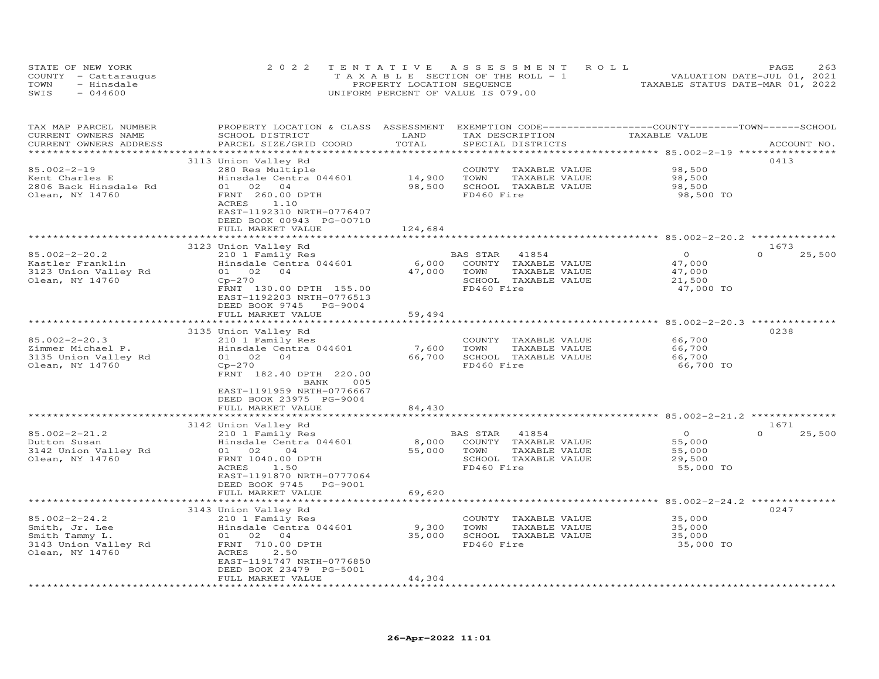|      | STATE OF NEW YORK    | 2022 TENTATIVE ASSESSMENT ROLL        | 263<br>PAGE                      |
|------|----------------------|---------------------------------------|----------------------------------|
|      | COUNTY - Cattaraugus | T A X A B L E SECTION OF THE ROLL - 1 | VALUATION DATE-JUL 01, 2021      |
| TOWN | - Hinsdale           | PROPERTY LOCATION SEQUENCE            | TAXABLE STATUS DATE-MAR 01, 2022 |
| SWIS | $-044600$            | UNIFORM PERCENT OF VALUE IS 079.00    |                                  |

| TAX MAP PARCEL NUMBER<br>CURRENT OWNERS NAME<br>CURRENT OWNERS ADDRESS                             | PROPERTY LOCATION & CLASS ASSESSMENT<br>SCHOOL DISTRICT<br>PARCEL SIZE/GRID COORD                                                                                                 | LAND<br>TOTAL     | EXEMPTION CODE-----------------COUNTY-------TOWN-----SCHOOL<br>TAX DESCRIPTION<br>SPECIAL DISTRICTS      | TAXABLE VALUE                                                 | ACCOUNT NO.        |
|----------------------------------------------------------------------------------------------------|-----------------------------------------------------------------------------------------------------------------------------------------------------------------------------------|-------------------|----------------------------------------------------------------------------------------------------------|---------------------------------------------------------------|--------------------|
| ***********************                                                                            | *****************************                                                                                                                                                     |                   |                                                                                                          |                                                               |                    |
| $85.002 - 2 - 19$<br>Kent Charles E                                                                | 3113 Union Valley Rd<br>280 Res Multiple<br>Hinsdale Centra 044601                                                                                                                | 14,900            | COUNTY TAXABLE VALUE<br>TOWN<br>TAXABLE VALUE                                                            | 98,500<br>98,500                                              | 0413               |
| 2806 Back Hinsdale Rd<br>Olean, NY 14760                                                           | 02<br>04<br>01<br>FRNT 260.00 DPTH<br>ACRES<br>1.10<br>EAST-1192310 NRTH-0776407<br>DEED BOOK 00943 PG-00710<br>FULL MARKET VALUE                                                 | 98,500<br>124,684 | SCHOOL TAXABLE VALUE<br>FD460 Fire                                                                       | 98,500<br>98,500 TO                                           |                    |
|                                                                                                    |                                                                                                                                                                                   |                   |                                                                                                          |                                                               |                    |
|                                                                                                    | 3123 Union Valley Rd                                                                                                                                                              |                   |                                                                                                          |                                                               | 1673               |
| $85.002 - 2 - 20.2$<br>Kastler Franklin<br>3123 Union Valley Rd<br>Olean, NY 14760                 | 210 1 Family Res<br>Hinsdale Centra 044601<br>04<br>01 02<br>$Cp-270$<br>FRNT 130.00 DPTH 155.00<br>EAST-1192203 NRTH-0776513<br>DEED BOOK 9745 PG-9004                           | 6,000<br>47,000   | BAS STAR<br>41854<br>COUNTY TAXABLE VALUE<br>TOWN<br>TAXABLE VALUE<br>SCHOOL TAXABLE VALUE<br>FD460 Fire | $\Omega$<br>47,000<br>47,000<br>21,500<br>47,000 TO           | $\Omega$<br>25,500 |
|                                                                                                    | FULL MARKET VALUE                                                                                                                                                                 | 59,494            |                                                                                                          |                                                               |                    |
|                                                                                                    | 3135 Union Valley Rd                                                                                                                                                              |                   |                                                                                                          |                                                               | 0238               |
| $85.002 - 2 - 20.3$<br>Zimmer Michael P.<br>3135 Union Valley Rd<br>Olean, NY 14760                | 210 1 Family Res<br>Hinsdale Centra 044601<br>01 02 04<br>$Cp-270$<br>FRNT 182.40 DPTH 220.00<br>005<br>BANK<br>EAST-1191959 NRTH-0776667<br>DEED BOOK 23975 PG-9004              | 7,600<br>66,700   | COUNTY TAXABLE VALUE<br>TOWN<br>TAXABLE VALUE<br>SCHOOL TAXABLE VALUE<br>FD460 Fire                      | 66,700<br>66,700<br>66,700<br>66,700 TO                       |                    |
|                                                                                                    | FULL MARKET VALUE                                                                                                                                                                 | 84,430            |                                                                                                          |                                                               |                    |
|                                                                                                    | ************************                                                                                                                                                          | *************     |                                                                                                          | ******************************** 85.002-2-21.2 ************** | 1671               |
| $85.002 - 2 - 21.2$<br>Dutton Susan<br>3142 Union Valley Rd<br>Olean, NY 14760                     | 3142 Union Valley Rd<br>210 1 Family Res<br>Hinsdale Centra 044601<br>02<br>04<br>01<br>FRNT 1040.00 DPTH<br>ACRES<br>1.50<br>EAST-1191870 NRTH-0777064<br>DEED BOOK 9745 PG-9001 | 8,000<br>55,000   | BAS STAR<br>41854<br>COUNTY TAXABLE VALUE<br>TOWN<br>TAXABLE VALUE<br>SCHOOL TAXABLE VALUE<br>FD460 Fire | $\circ$<br>55,000<br>55,000<br>29,500<br>55,000 TO            | $\Omega$<br>25,500 |
|                                                                                                    | FULL MARKET VALUE                                                                                                                                                                 | 69,620            |                                                                                                          |                                                               |                    |
|                                                                                                    | 3143 Union Valley Rd                                                                                                                                                              |                   |                                                                                                          |                                                               | 0247               |
| $85.002 - 2 - 24.2$<br>Smith, Jr. Lee<br>Smith Tammy L.<br>3143 Union Valley Rd<br>Olean, NY 14760 | 210 1 Family Res<br>Hinsdale Centra 044601<br>01 02 04<br>FRNT 710.00 DPTH<br>2.50<br>ACRES<br>EAST-1191747 NRTH-0776850<br>DEED BOOK 23479 PG-5001                               | 9,300<br>35,000   | COUNTY TAXABLE VALUE<br>TOWN<br>TAXABLE VALUE<br>SCHOOL TAXABLE VALUE<br>FD460 Fire                      | 35,000<br>35,000<br>35,000<br>35,000 TO                       |                    |
|                                                                                                    | FULL MARKET VALUE                                                                                                                                                                 | 44,304            |                                                                                                          |                                                               |                    |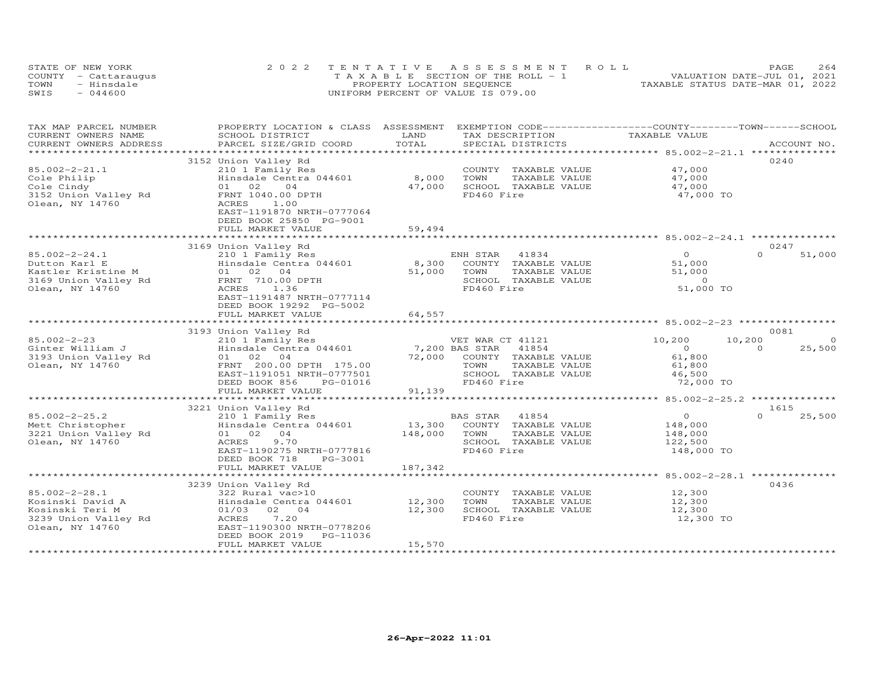| STATE OF NEW YORK    | 2022 TENTATIVE ASSESSMENT ROLL        | 2.64<br>PAGE                     |
|----------------------|---------------------------------------|----------------------------------|
| COUNTY - Cattaraugus | T A X A B L E SECTION OF THE ROLL - 1 | VALUATION DATE-JUL 01, 2021      |
| TOWN<br>- Hinsdale   | PROPERTY LOCATION SEQUENCE            | TAXABLE STATUS DATE-MAR 01, 2022 |
| SWIS<br>$-044600$    | UNIFORM PERCENT OF VALUE IS 079.00    |                                  |

| TAX MAP PARCEL NUMBER<br>CURRENT OWNERS NAME | PROPERTY LOCATION & CLASS ASSESSMENT<br>SCHOOL DISTRICT | LAND             | EXEMPTION CODE-----------------COUNTY-------TOWN------SCHOOL<br>TAX DESCRIPTION | TAXABLE VALUE                                        |                          |
|----------------------------------------------|---------------------------------------------------------|------------------|---------------------------------------------------------------------------------|------------------------------------------------------|--------------------------|
| CURRENT OWNERS ADDRESS                       | PARCEL SIZE/GRID COORD                                  | TOTAL            | SPECIAL DISTRICTS                                                               |                                                      | ACCOUNT NO.              |
|                                              |                                                         |                  |                                                                                 |                                                      |                          |
|                                              | 3152 Union Valley Rd                                    |                  |                                                                                 |                                                      | 0240                     |
| $85.002 - 2 - 21.1$                          | 210 1 Family Res                                        |                  | COUNTY TAXABLE VALUE                                                            | 47,000                                               |                          |
| Cole Philip                                  | Hinsdale Centra 044601                                  | 8,000            | TOWN<br>TAXABLE VALUE                                                           | 47,000                                               |                          |
| Cole Cindy                                   | 01 02<br>04                                             | 47,000           | SCHOOL TAXABLE VALUE                                                            | 47,000                                               |                          |
| 3152 Union Valley Rd                         | FRNT 1040.00 DPTH                                       |                  | FD460 Fire                                                                      | 47,000 TO                                            |                          |
| Olean, NY 14760                              | 1.00<br>ACRES                                           |                  |                                                                                 |                                                      |                          |
|                                              | EAST-1191870 NRTH-0777064                               |                  |                                                                                 |                                                      |                          |
|                                              | DEED BOOK 25850 PG-9001                                 |                  |                                                                                 |                                                      |                          |
|                                              | FULL MARKET VALUE                                       | 59,494           |                                                                                 |                                                      |                          |
|                                              |                                                         |                  |                                                                                 |                                                      |                          |
|                                              | 3169 Union Valley Rd                                    |                  |                                                                                 |                                                      | 0247                     |
| $85.002 - 2 - 24.1$                          | 210 1 Family Res                                        |                  | 41834<br>ENH STAR                                                               | $\Omega$                                             | $\Omega$<br>51,000       |
| Dutton Karl E                                | Hinsdale Centra 044601                                  | 8,300            | COUNTY TAXABLE VALUE                                                            | 51,000                                               |                          |
| Kastler Kristine M                           | 01 02 04                                                | 51,000           | TOWN<br>TAXABLE VALUE                                                           | 51,000                                               |                          |
| 3169 Union Valley Rd                         | FRNT 710.00 DPTH                                        |                  | SCHOOL TAXABLE VALUE                                                            | $\overline{0}$                                       |                          |
| Olean, NY 14760                              | ACRES<br>1.36                                           |                  | FD460 Fire                                                                      | 51,000 TO                                            |                          |
|                                              | EAST-1191487 NRTH-0777114                               |                  |                                                                                 |                                                      |                          |
|                                              | DEED BOOK 19292 PG-5002                                 |                  |                                                                                 |                                                      |                          |
|                                              | FULL MARKET VALUE                                       | 64,557           |                                                                                 |                                                      |                          |
|                                              | 3193 Union Valley Rd                                    |                  |                                                                                 |                                                      | 0081                     |
| $85.002 - 2 - 23$                            | 210 1 Family Res                                        |                  | VET WAR CT 41121                                                                | 10,200                                               | $\overline{O}$<br>10,200 |
| Ginter William J                             | Hinsdale Centra 044601                                  |                  | 7,200 BAS STAR<br>41854                                                         | $\overline{0}$                                       | 25,500<br>$\Omega$       |
| 3193 Union Valley Rd                         | 01 02 04                                                | 72,000           | COUNTY TAXABLE VALUE                                                            | 61,800                                               |                          |
| Olean, NY 14760                              | FRNT 200.00 DPTH 175.00                                 |                  | TOWN<br>TAXABLE VALUE                                                           | 61,800                                               |                          |
|                                              | EAST-1191051 NRTH-0777501                               |                  | SCHOOL TAXABLE VALUE                                                            | 46,500                                               |                          |
|                                              | DEED BOOK 856<br>PG-01016                               |                  | FD460 Fire                                                                      | 72,000 TO                                            |                          |
|                                              | FULL MARKET VALUE                                       | 91,139           |                                                                                 |                                                      |                          |
|                                              |                                                         |                  |                                                                                 |                                                      |                          |
|                                              | 3221 Union Valley Rd                                    |                  |                                                                                 |                                                      | 1615                     |
| $85.002 - 2 - 25.2$                          | 210 1 Family Res                                        |                  | BAS STAR<br>41854                                                               | $\overline{O}$                                       | 25,500<br>$\Omega$       |
| Mett Christopher                             | Hinsdale Centra 044601                                  | 13,300           | COUNTY TAXABLE VALUE                                                            | 148,000                                              |                          |
| 3221 Union Valley Rd                         | 01 02 04                                                | 148,000          | TOWN<br>TAXABLE VALUE                                                           | 148,000                                              |                          |
| Olean, NY 14760                              | 9.70<br>ACRES                                           |                  | SCHOOL TAXABLE VALUE                                                            | 122,500                                              |                          |
|                                              | EAST-1190275 NRTH-0777816                               |                  | FD460 Fire                                                                      | 148,000 TO                                           |                          |
|                                              | DEED BOOK 718<br>PG-3001                                |                  |                                                                                 |                                                      |                          |
|                                              | FULL MARKET VALUE                                       | 187,342          |                                                                                 |                                                      |                          |
|                                              | ********************************                        | *************    |                                                                                 | *********************** 85.002-2-28.1 ************** |                          |
|                                              | 3239 Union Valley Rd                                    |                  |                                                                                 |                                                      | 0436                     |
| $85.002 - 2 - 28.1$                          | 322 Rural vac>10                                        |                  | COUNTY TAXABLE VALUE                                                            | 12,300                                               |                          |
| Kosinski David A                             | Hinsdale Centra 044601                                  | 12,300<br>12,300 | TOWN<br>TAXABLE VALUE                                                           | 12,300                                               |                          |
| Kosinski Teri M<br>3239 Union Valley Rd      | 01/03 02 04<br>7.20<br>ACRES                            |                  | SCHOOL TAXABLE VALUE<br>FD460 Fire                                              | 12,300<br>12,300 TO                                  |                          |
| Olean, NY 14760                              | EAST-1190300 NRTH-0778206                               |                  |                                                                                 |                                                      |                          |
|                                              | DEED BOOK 2019<br>PG-11036                              |                  |                                                                                 |                                                      |                          |
|                                              | FULL MARKET VALUE                                       | 15,570           |                                                                                 |                                                      |                          |
|                                              |                                                         |                  |                                                                                 |                                                      |                          |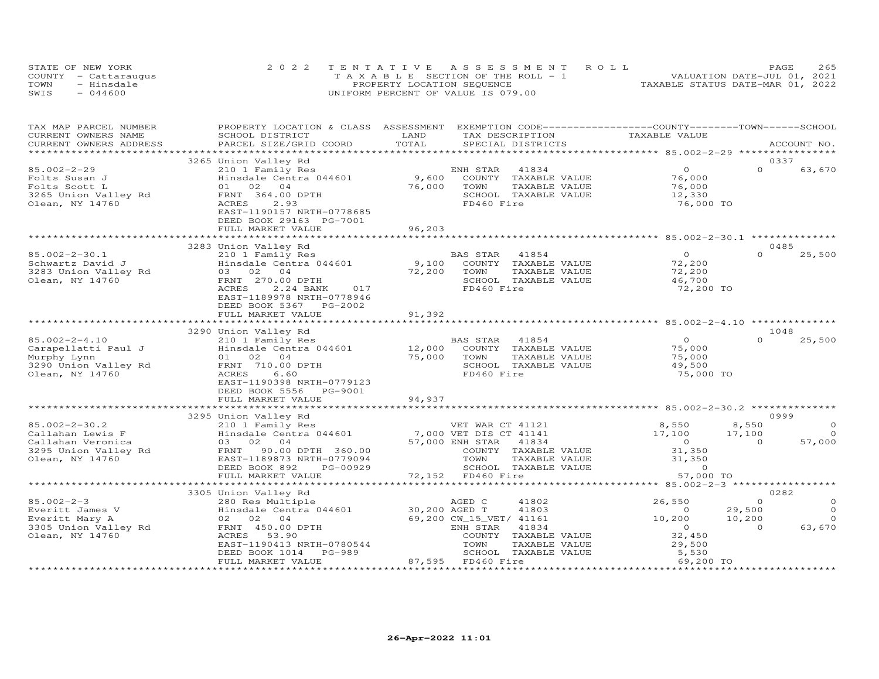|      | STATE OF NEW YORK    | 2022 TENTATIVE ASSESSMENT ROLL        | 265<br>PAGE                      |
|------|----------------------|---------------------------------------|----------------------------------|
|      | COUNTY - Cattaraugus | T A X A B L E SECTION OF THE ROLL - 1 | VALUATION DATE-JUL 01, 2021      |
| TOWN | - Hinsdale           | PROPERTY LOCATION SEQUENCE            | TAXABLE STATUS DATE-MAR 01, 2022 |
| SWIS | $-044600$            | UNIFORM PERCENT OF VALUE IS 079.00    |                                  |

| TAX MAP PARCEL NUMBER  | PROPERTY LOCATION & CLASS ASSESSMENT EXEMPTION CODE----------------COUNTY-------TOWN-----SCHOOL |               |                          |                                               |                     |
|------------------------|-------------------------------------------------------------------------------------------------|---------------|--------------------------|-----------------------------------------------|---------------------|
| CURRENT OWNERS NAME    | SCHOOL DISTRICT                                                                                 | LAND          | TAX DESCRIPTION          | TAXABLE VALUE                                 |                     |
| CURRENT OWNERS ADDRESS | PARCEL SIZE/GRID COORD                                                                          | TOTAL         | SPECIAL DISTRICTS        |                                               | ACCOUNT NO.         |
|                        |                                                                                                 |               |                          | ********************* 85.002-2-29 *********** |                     |
|                        | 3265 Union Valley Rd                                                                            |               |                          |                                               | 0337                |
| $85.002 - 2 - 29$      | 210 1 Family Res                                                                                |               | 41834<br>ENH STAR        | $\Omega$                                      | $\Omega$<br>63,670  |
| Folts Susan J          | Hinsdale Centra 044601                                                                          | 9,600         | COUNTY TAXABLE VALUE     | 76,000                                        |                     |
| Folts Scott L          | 01 02<br>04                                                                                     | 76,000        | TOWN<br>TAXABLE VALUE    | 76,000                                        |                     |
| 3265 Union Valley Rd   | FRNT 364.00 DPTH                                                                                |               | SCHOOL TAXABLE VALUE     | 12,330                                        |                     |
| Olean, NY 14760        | ACRES<br>2.93                                                                                   |               | FD460 Fire               | 76,000 TO                                     |                     |
|                        | EAST-1190157 NRTH-0778685                                                                       |               |                          |                                               |                     |
|                        | DEED BOOK 29163 PG-7001                                                                         |               |                          |                                               |                     |
|                        | FULL MARKET VALUE                                                                               | 96,203        |                          |                                               |                     |
|                        |                                                                                                 |               |                          |                                               |                     |
|                        | 3283 Union Valley Rd                                                                            |               |                          |                                               | 0485                |
| $85.002 - 2 - 30.1$    | 210 1 Family Res                                                                                |               | BAS STAR<br>41854        | $\Omega$                                      | $\cap$<br>25,500    |
|                        | Hinsdale Centra 044601                                                                          | 9,100         | TAXABLE VALUE            |                                               |                     |
| Schwartz David J       |                                                                                                 |               | COUNTY                   | 72,200                                        |                     |
| 3283 Union Valley Rd   | 03 02 04                                                                                        | 72,200        | TOWN<br>TAXABLE VALUE    | 72,200                                        |                     |
| Olean, NY 14760        | FRNT 270.00 DPTH                                                                                |               | SCHOOL TAXABLE VALUE     | 46,700                                        |                     |
|                        | 2.24 BANK<br>ACRES<br>017                                                                       |               | FD460 Fire               | 72,200 TO                                     |                     |
|                        | EAST-1189978 NRTH-0778946                                                                       |               |                          |                                               |                     |
|                        | DEED BOOK 5367<br>PG-2002                                                                       |               |                          |                                               |                     |
|                        | FULL MARKET VALUE                                                                               | 91,392        |                          |                                               |                     |
|                        |                                                                                                 |               |                          |                                               |                     |
|                        | 3290 Union Valley Rd                                                                            |               |                          |                                               | 1048                |
| $85.002 - 2 - 4.10$    | 210 1 Family Res                                                                                |               | 41854<br>BAS STAR        | $\overline{O}$                                | $\Omega$<br>25,500  |
| Carapellatti Paul J    | Hinsdale Centra 044601                                                                          | 12,000        | COUNTY TAXABLE VALUE     | 75,000                                        |                     |
| Murphy Lynn            | 01 02 04                                                                                        | 75,000        | TAXABLE VALUE<br>TOWN    | 75,000                                        |                     |
| 3290 Union Valley Rd   | FRNT 710.00 DPTH                                                                                |               | SCHOOL TAXABLE VALUE     | 49,500                                        |                     |
| Olean, NY 14760        | ACRES<br>6.60                                                                                   |               | FD460 Fire               | 75,000 TO                                     |                     |
|                        | EAST-1190398 NRTH-0779123                                                                       |               |                          |                                               |                     |
|                        | DEED BOOK 5556 PG-9001                                                                          |               |                          |                                               |                     |
|                        | FULL MARKET VALUE                                                                               | 94,937        |                          |                                               |                     |
|                        |                                                                                                 |               |                          |                                               |                     |
|                        | 3295 Union Valley Rd                                                                            |               |                          |                                               | 0999                |
| $85.002 - 2 - 30.2$    | 210 1 Family Res                                                                                |               | VET WAR CT 41121         | 8,550                                         | 8,550<br>$\circ$    |
| Callahan Lewis F       | Hinsdale Centra 044601                                                                          |               | 7,000 VET DIS CT 41141   | 17,100                                        | $\Omega$<br>17,100  |
| Callahan Veronica      | 03 02 04                                                                                        |               | 57,000 ENH STAR<br>41834 | $\overline{O}$                                | 57,000<br>$\Omega$  |
| 3295 Union Valley Rd   | FRNT 90.00 DPTH 360.00                                                                          |               | COUNTY TAXABLE VALUE     | 31,350                                        |                     |
| Olean, NY 14760        | EAST-1189873 NRTH-0779094                                                                       |               | TOWN<br>TAXABLE VALUE    | 31,350                                        |                     |
|                        | DEED BOOK 892<br>PG-00929                                                                       |               | SCHOOL TAXABLE VALUE     | $\circ$                                       |                     |
|                        | FULL MARKET VALUE                                                                               |               | 72,152 FD460 Fire        | 57,000 TO                                     |                     |
|                        |                                                                                                 |               |                          |                                               |                     |
|                        | 3305 Union Valley Rd                                                                            |               |                          |                                               | 0282                |
| $85.002 - 2 - 3$       | 280 Res Multiple                                                                                |               | AGED C<br>41802          | 26,550                                        | $\Omega$<br>$\circ$ |
| Everitt James V        | Hinsdale Centra 044601                                                                          | 30,200 AGED T | 41803                    | $\circ$                                       | $\circ$<br>29,500   |
| Everitt Mary A         | 02 02 04                                                                                        |               | 69,200 CW_15_VET/ 41161  | 10,200                                        | 10,200<br>$\Omega$  |
| 3305 Union Valley Rd   | FRNT 450.00 DPTH                                                                                |               | 41834<br>ENH STAR        | $\circ$                                       | 63,670<br>$\Omega$  |
| Olean, NY 14760        | 53.90<br>ACRES                                                                                  |               | COUNTY TAXABLE VALUE     | 32,450                                        |                     |
|                        | EAST-1190413 NRTH-0780544                                                                       |               | TOWN<br>TAXABLE VALUE    | 29,500                                        |                     |
|                        | DEED BOOK 1014<br>PG-989                                                                        |               | SCHOOL TAXABLE VALUE     | 5,530                                         |                     |
|                        | FULL MARKET VALUE                                                                               |               | 87,595 FD460 Fire        | 69,200 TO                                     |                     |
|                        |                                                                                                 |               |                          |                                               |                     |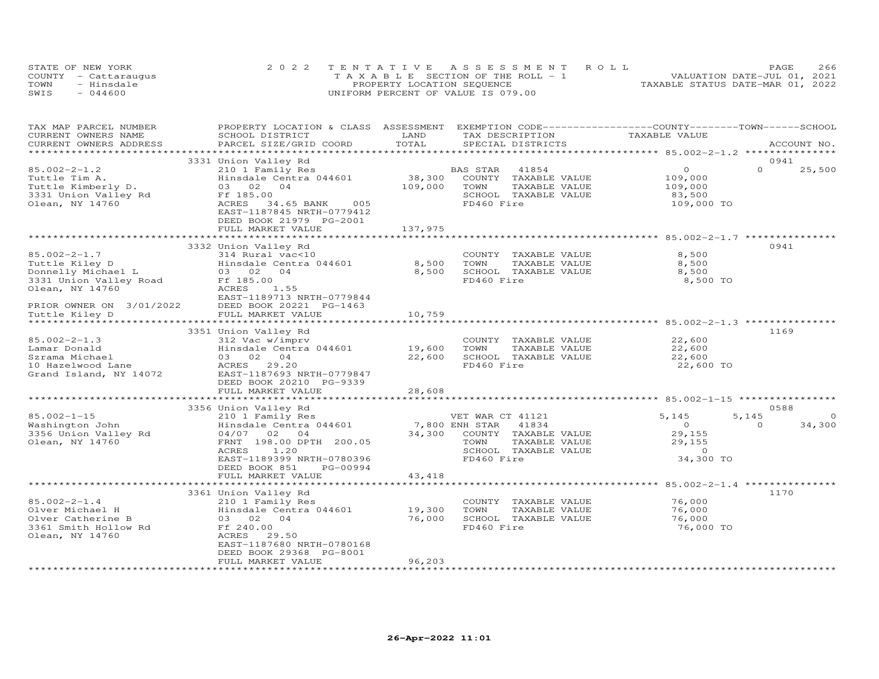| STATE OF NEW YORK    | 2022 TENTATIVE ASSESSMENT ROLL        | 266<br>PAGE                      |
|----------------------|---------------------------------------|----------------------------------|
| COUNTY - Cattaraugus | T A X A B L E SECTION OF THE ROLL - 1 | VALUATION DATE-JUL 01, 2021      |
| TOWN<br>- Hinsdale   | PROPERTY LOCATION SEQUENCE            | TAXABLE STATUS DATE-MAR 01, 2022 |
| SWIS<br>$-044600$    | UNIFORM PERCENT OF VALUE IS 079.00    |                                  |

| TAX MAP PARCEL NUMBER    | PROPERTY LOCATION & CLASS ASSESSMENT             |         | EXEMPTION CODE-----------------COUNTY-------TOWN------SCHOOL |                                                  |                    |
|--------------------------|--------------------------------------------------|---------|--------------------------------------------------------------|--------------------------------------------------|--------------------|
| CURRENT OWNERS NAME      | SCHOOL DISTRICT                                  | LAND    | TAX DESCRIPTION                                              | TAXABLE VALUE                                    |                    |
| CURRENT OWNERS ADDRESS   | PARCEL SIZE/GRID COORD                           | TOTAL   | SPECIAL DISTRICTS                                            |                                                  | ACCOUNT NO.        |
|                          |                                                  |         |                                                              |                                                  |                    |
|                          | 3331 Union Valley Rd                             |         |                                                              | $\circ$                                          | 0941<br>$\Omega$   |
| $85.002 - 2 - 1.2$       | 210 1 Family Res                                 |         | BAS STAR<br>41854                                            |                                                  | 25,500             |
| Tuttle Tim A.            | Hinsdale Centra 044601                           | 38,300  | TAXABLE VALUE<br>COUNTY                                      | 109,000                                          |                    |
| Tuttle Kimberly D.       | 03 02<br>04                                      | 109,000 | TOWN<br>TAXABLE VALUE                                        | 109,000                                          |                    |
| 3331 Union Valley Rd     | Ff 185.00<br>005                                 |         | SCHOOL TAXABLE VALUE<br>FD460 Fire                           | 83,500                                           |                    |
| Olean, NY 14760          | ACRES<br>34.65 BANK<br>EAST-1187845 NRTH-0779412 |         |                                                              | 109,000 TO                                       |                    |
|                          | DEED BOOK 21979 PG-2001                          |         |                                                              |                                                  |                    |
|                          | FULL MARKET VALUE                                | 137,975 |                                                              |                                                  |                    |
|                          |                                                  |         |                                                              |                                                  |                    |
|                          | 3332 Union Valley Rd                             |         |                                                              |                                                  | 0941               |
| $85.002 - 2 - 1.7$       | 314 Rural vac<10                                 |         | COUNTY TAXABLE VALUE                                         | 8,500                                            |                    |
| Tuttle Kiley D           | Hinsdale Centra 044601                           | 8,500   | TOWN<br>TAXABLE VALUE                                        | 8,500                                            |                    |
| Donnelly Michael L       | 03 02<br>04                                      | 8,500   | SCHOOL TAXABLE VALUE                                         | 8,500                                            |                    |
| 3331 Union Valley Road   | Ff 185.00                                        |         | FD460 Fire                                                   | 8,500 TO                                         |                    |
| Olean, NY 14760          | ACRES<br>1.55                                    |         |                                                              |                                                  |                    |
|                          | EAST-1189713 NRTH-0779844                        |         |                                                              |                                                  |                    |
| PRIOR OWNER ON 3/01/2022 | DEED BOOK 20221 PG-1463                          |         |                                                              |                                                  |                    |
| Tuttle Kiley D           | FULL MARKET VALUE                                | 10,759  |                                                              |                                                  |                    |
|                          |                                                  |         |                                                              |                                                  |                    |
|                          | 3351 Union Valley Rd                             |         |                                                              |                                                  | 1169               |
| $85.002 - 2 - 1.3$       | 312 Vac w/imprv                                  |         | COUNTY TAXABLE VALUE                                         | 22,600                                           |                    |
| Lamar Donald             | Hinsdale Centra 044601                           | 19,600  | TOWN<br>TAXABLE VALUE                                        | 22,600                                           |                    |
| Szrama Michael           | 03 02 04                                         | 22,600  | SCHOOL TAXABLE VALUE                                         | 22,600                                           |                    |
| 10 Hazelwood Lane        | ACRES 29.20                                      |         | FD460 Fire                                                   | 22,600 TO                                        |                    |
| Grand Island, NY 14072   | EAST-1187693 NRTH-0779847                        |         |                                                              |                                                  |                    |
|                          | DEED BOOK 20210 PG-9339                          |         |                                                              |                                                  |                    |
|                          | FULL MARKET VALUE                                | 28,608  |                                                              |                                                  |                    |
|                          |                                                  |         |                                                              | ********************************** 85.002-1-15 * |                    |
|                          | 3356 Union Valley Rd                             |         |                                                              |                                                  | 0588               |
| $85.002 - 1 - 15$        | 210 1 Family Res                                 |         | VET WAR CT 41121                                             | 5,145                                            | 5,145<br>$\Omega$  |
| Washington John          | Hinsdale Centra 044601                           |         | 7,800 ENH STAR<br>41834                                      | $\overline{0}$                                   | $\Omega$<br>34,300 |
| 3356 Union Valley Rd     | 04/07 02 04                                      | 34,300  | COUNTY TAXABLE VALUE                                         | 29,155                                           |                    |
| Olean, NY 14760          | FRNT 198.00 DPTH 200.05                          |         | TOWN<br>TAXABLE VALUE                                        | 29,155                                           |                    |
|                          | <b>ACRES</b><br>1.20                             |         | SCHOOL TAXABLE VALUE                                         | $\circ$                                          |                    |
|                          | EAST-1189399 NRTH-0780396                        |         | FD460 Fire                                                   | 34,300 TO                                        |                    |
|                          | DEED BOOK 851<br>PG-00994                        |         |                                                              |                                                  |                    |
|                          | FULL MARKET VALUE                                | 43,418  |                                                              |                                                  |                    |
|                          |                                                  |         |                                                              |                                                  |                    |
|                          | 3361 Union Valley Rd                             |         |                                                              |                                                  | 1170               |
| $85.002 - 2 - 1.4$       | 210 1 Family Res                                 |         | COUNTY<br>TAXABLE VALUE                                      | 76,000                                           |                    |
| Olver Michael H          | Hinsdale Centra 044601                           | 19,300  | TOWN<br>TAXABLE VALUE                                        | 76,000                                           |                    |
| Olver Catherine B        | 03 02 04                                         | 76,000  | SCHOOL TAXABLE VALUE                                         | 76,000                                           |                    |
| 3361 Smith Hollow Rd     | Ff 240.00                                        |         | FD460 Fire                                                   | 76,000 TO                                        |                    |
| Olean, NY 14760          | ACRES<br>29.50                                   |         |                                                              |                                                  |                    |
|                          | EAST-1187680 NRTH-0780168                        |         |                                                              |                                                  |                    |
|                          | DEED BOOK 29368 PG-8001<br>FULL MARKET VALUE     | 96,203  |                                                              |                                                  |                    |
|                          |                                                  |         |                                                              |                                                  |                    |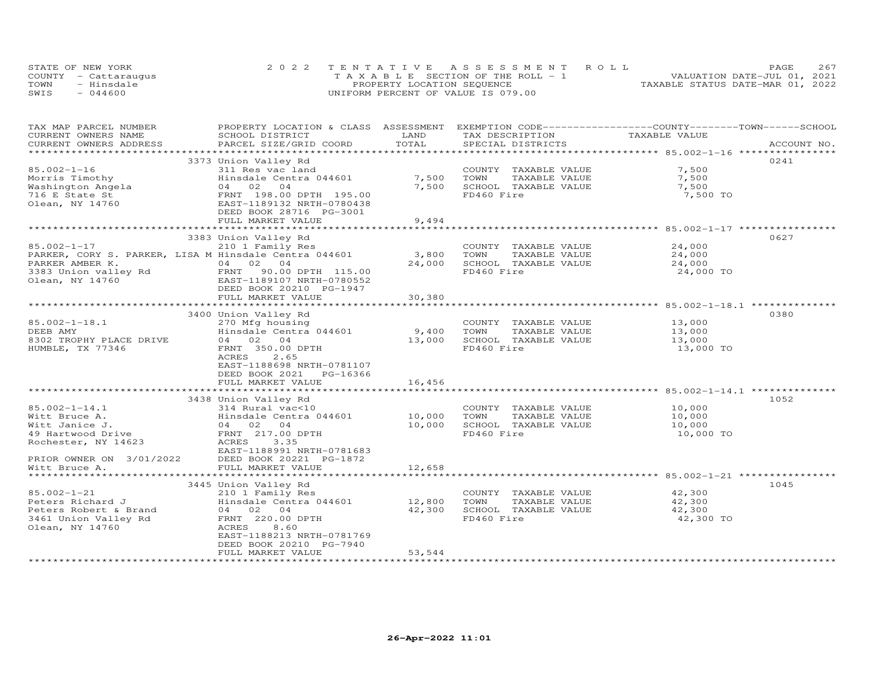|      | STATE OF NEW YORK    | 2022 TENTATIVE ASSESSMENT ROLL        | 267<br>PAGE                      |
|------|----------------------|---------------------------------------|----------------------------------|
|      | COUNTY - Cattaraugus | T A X A B L E SECTION OF THE ROLL - 1 | VALUATION DATE-JUL 01, 2021      |
| TOWN | - Hinsdale           | PROPERTY LOCATION SEQUENCE            | TAXABLE STATUS DATE-MAR 01, 2022 |
| SWIS | $-044600$            | UNIFORM PERCENT OF VALUE IS 079.00    |                                  |

| TAX MAP PARCEL NUMBER    | PROPERTY LOCATION & CLASS ASSESSMENT                  |        | EXEMPTION CODE-----------------COUNTY-------TOWN------SCHOOL |               |             |
|--------------------------|-------------------------------------------------------|--------|--------------------------------------------------------------|---------------|-------------|
| CURRENT OWNERS NAME      | SCHOOL DISTRICT                                       | LAND   | TAX DESCRIPTION                                              | TAXABLE VALUE |             |
| CURRENT OWNERS ADDRESS   | PARCEL SIZE/GRID COORD                                | TOTAL  | SPECIAL DISTRICTS                                            |               | ACCOUNT NO. |
|                          |                                                       |        |                                                              |               |             |
|                          | 3373 Union Valley Rd                                  |        |                                                              |               | 0241        |
| $85.002 - 1 - 16$        | 311 Res vac land                                      |        | COUNTY TAXABLE VALUE                                         | 7,500         |             |
| Morris Timothy           | Hinsdale Centra 044601                                | 7,500  | TOWN<br>TAXABLE VALUE                                        | 7,500         |             |
| Washington Angela        | 04 02<br>$\overline{04}$                              | 7,500  | SCHOOL TAXABLE VALUE                                         | 7,500         |             |
| 716 E State St           | FRNT 198.00 DPTH 195.00                               |        | FD460 Fire                                                   | 7,500 TO      |             |
| Olean, NY 14760          | EAST-1189132 NRTH-0780438                             |        |                                                              |               |             |
|                          | DEED BOOK 28716 PG-3001                               |        |                                                              |               |             |
|                          | FULL MARKET VALUE                                     | 9,494  |                                                              |               |             |
|                          |                                                       |        |                                                              |               |             |
|                          | 3383 Union Valley Rd                                  |        |                                                              |               | 0627        |
| $85.002 - 1 - 17$        | 210 1 Family Res                                      |        | COUNTY TAXABLE VALUE                                         | 24,000        |             |
|                          | PARKER, CORY S. PARKER, LISA M Hinsdale Centra 044601 | 3,800  | TOWN<br>TAXABLE VALUE                                        | 24,000        |             |
| PARKER AMBER K.          | 04 02 04                                              | 24,000 | SCHOOL TAXABLE VALUE                                         | 24,000        |             |
|                          | 3383 Union valley Rd<br>FRNT 90.00 DPTH 115.00        |        | FD460 Fire                                                   | 24,000 TO     |             |
| Olean, NY 14760          | EAST-1189107 NRTH-0780552                             |        |                                                              |               |             |
|                          | DEED BOOK 20210 PG-1947                               |        |                                                              |               |             |
|                          | FULL MARKET VALUE                                     | 30,380 |                                                              |               |             |
|                          |                                                       |        |                                                              |               |             |
|                          | 3400 Union Valley Rd                                  |        |                                                              |               | 0380        |
| $85.002 - 1 - 18.1$      | 270 Mfg housing                                       |        | COUNTY TAXABLE VALUE                                         | 13,000        |             |
| DEEB AMY                 | Hinsdale Centra 044601                                | 9,400  | TOWN<br>TAXABLE VALUE                                        | 13,000        |             |
| 8302 TROPHY PLACE DRIVE  | 04 02 04                                              | 13,000 | SCHOOL TAXABLE VALUE                                         | 13,000        |             |
| HUMBLE, TX 77346         | FRNT 350.00 DPTH                                      |        | FD460 Fire                                                   | 13,000 TO     |             |
|                          | 2.65<br>ACRES                                         |        |                                                              |               |             |
|                          | EAST-1188698 NRTH-0781107                             |        |                                                              |               |             |
|                          | DEED BOOK 2021<br>PG-16366                            |        |                                                              |               |             |
|                          | FULL MARKET VALUE                                     | 16,456 |                                                              |               |             |
|                          |                                                       |        |                                                              |               |             |
|                          | 3438 Union Valley Rd                                  |        |                                                              |               | 1052        |
| $85.002 - 1 - 14.1$      | 314 Rural vac<10                                      |        | COUNTY TAXABLE VALUE                                         | 10,000        |             |
| Witt Bruce A.            | Hinsdale Centra 044601                                | 10,000 | TOWN<br>TAXABLE VALUE                                        | 10,000        |             |
| Witt Janice J.           | 04 02 04                                              | 10,000 | SCHOOL TAXABLE VALUE                                         | 10,000        |             |
| 49 Hartwood Drive        | FRNT 217.00 DPTH                                      |        | FD460 Fire                                                   | 10,000 TO     |             |
| Rochester, NY 14623      | ACRES<br>3.35                                         |        |                                                              |               |             |
|                          | EAST-1188991 NRTH-0781683                             |        |                                                              |               |             |
| PRIOR OWNER ON 3/01/2022 | DEED BOOK 20221 PG-1872                               |        |                                                              |               |             |
| Witt Bruce A.            | FULL MARKET VALUE                                     | 12,658 |                                                              |               |             |
|                          |                                                       |        |                                                              |               |             |
|                          | 3445 Union Valley Rd                                  |        |                                                              |               | 1045        |
| $85.002 - 1 - 21$        | 210 1 Family Res                                      |        | COUNTY TAXABLE VALUE                                         | 42,300        |             |
| Peters Richard J         | Hinsdale Centra 044601                                | 12,800 | TOWN<br>TAXABLE VALUE                                        | 42,300        |             |
| Peters Robert & Brand    | 04 02 04                                              | 42,300 | SCHOOL TAXABLE VALUE                                         | 42,300        |             |
| 3461 Union Valley Rd     | FRNT 220.00 DPTH                                      |        | FD460 Fire                                                   | 42,300 TO     |             |
| Olean, NY 14760          | ACRES<br>8.60                                         |        |                                                              |               |             |
|                          | EAST-1188213 NRTH-0781769                             |        |                                                              |               |             |
|                          | DEED BOOK 20210 PG-7940                               |        |                                                              |               |             |
|                          | FULL MARKET VALUE                                     | 53,544 |                                                              |               |             |
|                          |                                                       |        |                                                              |               |             |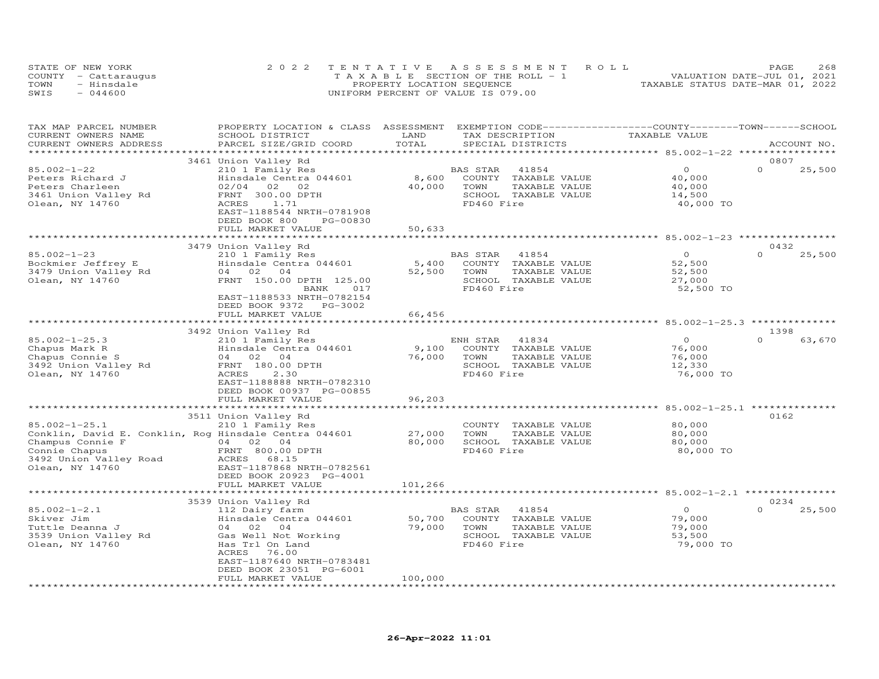|      | STATE OF NEW YORK    | 2022 TENTATIVE ASSESSMENT ROLL        | 268<br>PAGE                      |
|------|----------------------|---------------------------------------|----------------------------------|
|      | COUNTY - Cattarauqus | T A X A B L E SECTION OF THE ROLL - 1 | VALUATION DATE-JUL 01, 2021      |
| TOWN | - Hinsdale           | PROPERTY LOCATION SEQUENCE            | TAXABLE STATUS DATE-MAR 01, 2022 |
| SWIS | $-044600$            | UNIFORM PERCENT OF VALUE IS 079.00    |                                  |

| TAX MAP PARCEL NUMBER<br>CURRENT OWNERS NAME<br>CURRENT OWNERS ADDRESS                                                                                         | PROPERTY LOCATION & CLASS ASSESSMENT<br>SCHOOL DISTRICT<br>PARCEL SIZE/GRID COORD                                                                                                                                                                                                                                                            | LAND<br>TOTAL                                 | EXEMPTION CODE-----------------COUNTY-------TOWN-----SCHOOL<br>TAX DESCRIPTION<br>SPECIAL DISTRICTS                                                                                             | TAXABLE VALUE                                                                                                                                    | ACCOUNT NO.                        |
|----------------------------------------------------------------------------------------------------------------------------------------------------------------|----------------------------------------------------------------------------------------------------------------------------------------------------------------------------------------------------------------------------------------------------------------------------------------------------------------------------------------------|-----------------------------------------------|-------------------------------------------------------------------------------------------------------------------------------------------------------------------------------------------------|--------------------------------------------------------------------------------------------------------------------------------------------------|------------------------------------|
|                                                                                                                                                                |                                                                                                                                                                                                                                                                                                                                              |                                               |                                                                                                                                                                                                 |                                                                                                                                                  |                                    |
| $85.002 - 1 - 22$<br>Peters Richard J<br>Peters Charleen<br>3461 Union Valley Rd<br>Olean, NY 14760                                                            | 3461 Union Valley Rd<br>210 1 Family Res<br>Hinsdale Centra 044601<br>02<br>02/04<br>02<br>FRNT 300.00 DPTH<br>ACRES<br>1.71<br>EAST-1188544 NRTH-0781908<br>DEED BOOK 800<br>PG-00830<br>FULL MARKET VALUE                                                                                                                                  | 8,600<br>40,000<br>50,633                     | BAS STAR<br>41854<br>COUNTY<br>TAXABLE VALUE<br>TOWN<br>TAXABLE VALUE<br>SCHOOL TAXABLE VALUE<br>FD460 Fire                                                                                     | $\circ$<br>40,000<br>40,000<br>14,500<br>40,000 TO                                                                                               | 0807<br>$\Omega$<br>25,500         |
|                                                                                                                                                                |                                                                                                                                                                                                                                                                                                                                              |                                               |                                                                                                                                                                                                 |                                                                                                                                                  |                                    |
|                                                                                                                                                                | 3479 Union Valley Rd                                                                                                                                                                                                                                                                                                                         |                                               |                                                                                                                                                                                                 |                                                                                                                                                  | 0432                               |
| $85.002 - 1 - 23$<br>Bockmier Jeffrey E<br>3479 Union Valley Rd<br>Olean, NY 14760                                                                             | 210 1 Family Res<br>Hinsdale Centra 044601<br>04 02<br>04<br>FRNT 150.00 DPTH 125.00<br>BANK<br>017<br>EAST-1188533 NRTH-0782154<br>DEED BOOK 9372 PG-3002                                                                                                                                                                                   | 5,400<br>52,500                               | BAS STAR<br>41854<br>COUNTY TAXABLE VALUE<br>TOWN<br>TAXABLE VALUE<br>SCHOOL TAXABLE VALUE<br>FD460 Fire                                                                                        | $\Omega$<br>52,500<br>52,500<br>27,000<br>52,500 TO                                                                                              | $\Omega$<br>25,500                 |
|                                                                                                                                                                | FULL MARKET VALUE                                                                                                                                                                                                                                                                                                                            | 66,456                                        |                                                                                                                                                                                                 |                                                                                                                                                  |                                    |
|                                                                                                                                                                |                                                                                                                                                                                                                                                                                                                                              |                                               |                                                                                                                                                                                                 |                                                                                                                                                  |                                    |
| $85.002 - 1 - 25.3$<br>Chapus Mark R<br>Chapus Connie S<br>3492 Union Valley Rd<br>Olean, NY 14760<br>$85.002 - 1 - 25.1$<br>Champus Connie F<br>Connie Chapus | 3492 Union Valley Rd<br>210 1 Family Res<br>Hinsdale Centra 044601<br>04<br>02<br>04<br>FRNT 180.00 DPTH<br>ACRES<br>2.30<br>EAST-1188888 NRTH-0782310<br>DEED BOOK 00937 PG-00855<br>FULL MARKET VALUE<br>3511 Union Valley Rd<br>210 1 Family Res<br>Conklin, David E. Conklin, Rog Hinsdale Centra 044601<br>04 02 04<br>FRNT 800.00 DPTH | 9,100<br>76,000<br>96,203<br>27,000<br>80,000 | ENH STAR<br>41834<br>COUNTY TAXABLE VALUE<br>TOWN<br>TAXABLE VALUE<br>SCHOOL TAXABLE VALUE<br>FD460 Fire<br>COUNTY TAXABLE VALUE<br>TOWN<br>TAXABLE VALUE<br>SCHOOL TAXABLE VALUE<br>FD460 Fire | $\overline{O}$<br>76,000<br>76,000<br>12,330<br>76,000 TO<br>********** 85.002-1-25.1 ***************<br>80,000<br>80,000<br>80,000<br>80,000 TO | 1398<br>$\Omega$<br>63,670<br>0162 |
| 3492 Union Valley Road<br>Olean, NY 14760                                                                                                                      | ACRES 68.15<br>EAST-1187868 NRTH-0782561<br>DEED BOOK 20923 PG-4001<br>FULL MARKET VALUE                                                                                                                                                                                                                                                     | 101,266                                       |                                                                                                                                                                                                 |                                                                                                                                                  |                                    |
|                                                                                                                                                                |                                                                                                                                                                                                                                                                                                                                              |                                               |                                                                                                                                                                                                 | ********************** 85.002-1-2.1 *************                                                                                                |                                    |
| $85.002 - 1 - 2.1$<br>Skiver Jim<br>Tuttle Deanna J<br>3539 Union Valley Rd<br>Olean, NY 14760                                                                 | 3539 Union Valley Rd<br>112 Dairy farm<br>Hinsdale Centra 044601<br>04<br>02<br>04<br>Gas Well Not Working<br>Has Trl On Land<br>76.00<br>ACRES<br>EAST-1187640 NRTH-0783481<br>DEED BOOK 23051 PG-6001<br>FULL MARKET VALUE                                                                                                                 | 50,700<br>79,000<br>100,000                   | BAS STAR<br>41854<br>COUNTY TAXABLE VALUE<br>TOWN<br>TAXABLE VALUE<br>SCHOOL TAXABLE VALUE<br>FD460 Fire                                                                                        | $\Omega$<br>79,000<br>79,000<br>53,500<br>79,000 TO                                                                                              | 0234<br>$\Omega$<br>25,500         |
|                                                                                                                                                                |                                                                                                                                                                                                                                                                                                                                              |                                               |                                                                                                                                                                                                 |                                                                                                                                                  |                                    |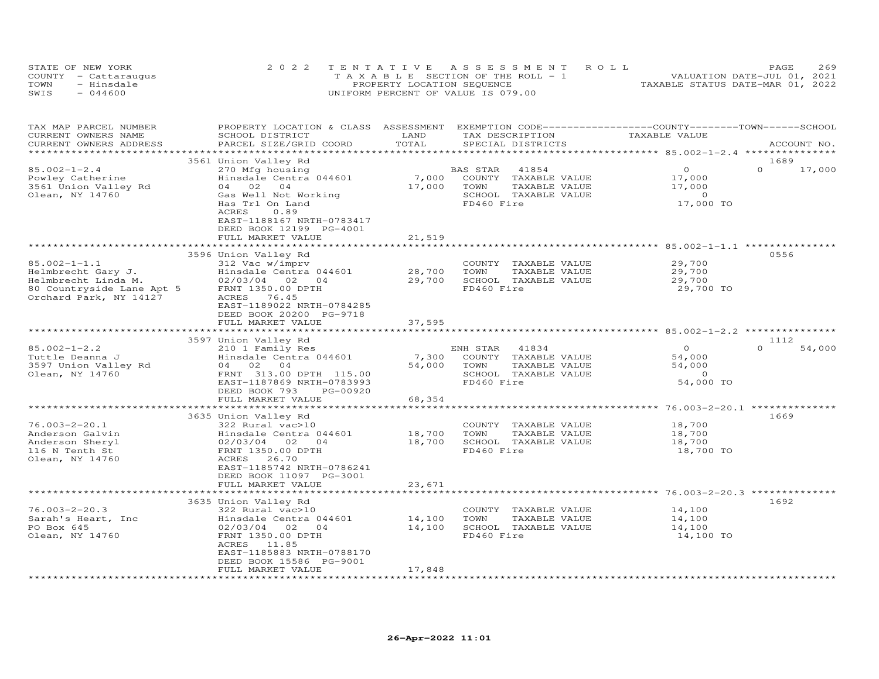|      | STATE OF NEW YORK    | 2022 TENTATIVE ASSESSMENT ROLL        | 269<br>PAGE.                     |
|------|----------------------|---------------------------------------|----------------------------------|
|      | COUNTY - Cattaraugus | T A X A B L E SECTION OF THE ROLL - 1 | VALUATION DATE-JUL 01, 2021      |
| TOWN | - Hinsdale           | PROPERTY LOCATION SEQUENCE            | TAXABLE STATUS DATE-MAR 01, 2022 |
| SWIS | $-044600$            | UNIFORM PERCENT OF VALUE IS 079.00    |                                  |

| TAX MAP PARCEL NUMBER<br>CURRENT OWNERS NAME<br>CURRENT OWNERS ADDRESS     | PROPERTY LOCATION & CLASS ASSESSMENT<br>SCHOOL DISTRICT<br>PARCEL SIZE/GRID COORD          | LAND<br>TOTAL | EXEMPTION CODE-----------------COUNTY-------TOWN-----SCHOOL<br>TAX DESCRIPTION<br>SPECIAL DISTRICTS | TAXABLE VALUE                                    | ACCOUNT NO.                |
|----------------------------------------------------------------------------|--------------------------------------------------------------------------------------------|---------------|-----------------------------------------------------------------------------------------------------|--------------------------------------------------|----------------------------|
| ******************                                                         |                                                                                            |               |                                                                                                     |                                                  |                            |
| $85.002 - 1 - 2.4$<br>Powley Catherine                                     | 3561 Union Valley Rd<br>270 Mfg housing<br>Hinsdale Centra 044601                          | 7,000         | BAS STAR<br>41854<br>COUNTY TAXABLE VALUE                                                           | $\circ$<br>17,000                                | 1689<br>$\Omega$<br>17,000 |
| 3561 Union Valley Rd<br>Olean, NY 14760                                    | 04 02<br>04<br>Gas Well Not Working<br>Has Trl On Land                                     | 17,000        | TOWN<br>TAXABLE VALUE<br>SCHOOL TAXABLE VALUE<br>FD460 Fire                                         | 17,000<br>$\Omega$<br>17,000 TO                  |                            |
|                                                                            | 0.89<br>ACRES<br>EAST-1188167 NRTH-0783417<br>DEED BOOK 12199 PG-4001<br>FULL MARKET VALUE | 21,519        |                                                                                                     |                                                  |                            |
|                                                                            | ******************************                                                             |               |                                                                                                     |                                                  |                            |
|                                                                            | 3596 Union Valley Rd                                                                       |               |                                                                                                     |                                                  | 0556                       |
| $85.002 - 1 - 1.1$<br>Helmbrecht Gary J.                                   | 312 Vac w/imprv<br>Hinsdale Centra 044601                                                  | 28,700        | COUNTY TAXABLE VALUE<br>TOWN<br>TAXABLE VALUE                                                       | 29,700<br>29,700                                 |                            |
| Helmbrecht Linda M.<br>80 Countryside Lane Apt 5<br>Orchard Park, NY 14127 | 02/03/04 02<br>04<br>FRNT 1350.00 DPTH<br>ACRES 76.45<br>EAST-1189022 NRTH-0784285         | 29,700        | SCHOOL TAXABLE VALUE<br>FD460 Fire                                                                  | 29,700<br>29,700 TO                              |                            |
|                                                                            | DEED BOOK 20200 PG-9718                                                                    |               |                                                                                                     |                                                  |                            |
|                                                                            | FULL MARKET VALUE                                                                          | 37,595        |                                                                                                     |                                                  |                            |
|                                                                            | 3597 Union Valley Rd                                                                       |               |                                                                                                     |                                                  | 1112                       |
| $85.002 - 1 - 2.2$                                                         | 210 1 Family Res                                                                           |               | ENH STAR<br>41834                                                                                   | $\Omega$                                         | $\Omega$<br>54,000         |
| Tuttle Deanna J                                                            | Hinsdale Centra 044601                                                                     | 7,300         | COUNTY TAXABLE VALUE                                                                                | 54,000                                           |                            |
| 3597 Union Valley Rd                                                       | 04 02 04                                                                                   | 54,000        | TOWN<br>TAXABLE VALUE                                                                               | 54,000                                           |                            |
| Olean, NY 14760                                                            | FRNT 313.00 DPTH 115.00                                                                    |               | SCHOOL TAXABLE VALUE                                                                                | $\Omega$                                         |                            |
|                                                                            | EAST-1187869 NRTH-0783993                                                                  |               | FD460 Fire                                                                                          | 54,000 TO                                        |                            |
|                                                                            | DEED BOOK 793<br>PG-00920<br>FULL MARKET VALUE                                             | 68,354        |                                                                                                     |                                                  |                            |
|                                                                            | ******************************                                                             | ************  |                                                                                                     | ******************* 76.003-2-20.1 ************** |                            |
|                                                                            | 3635 Union Valley Rd                                                                       |               |                                                                                                     |                                                  | 1669                       |
| $76.003 - 2 - 20.1$                                                        | 322 Rural vac>10                                                                           |               | COUNTY TAXABLE VALUE                                                                                | 18,700                                           |                            |
| Anderson Galvin                                                            | Hinsdale Centra 044601                                                                     | 18,700        | TOWN<br>TAXABLE VALUE                                                                               | 18,700                                           |                            |
| Anderson Sheryl                                                            | 02/03/04 02<br>$\overline{04}$                                                             | 18,700        | SCHOOL TAXABLE VALUE                                                                                | 18,700                                           |                            |
| 116 N Tenth St<br>Olean, NY 14760                                          | FRNT 1350.00 DPTH<br>ACRES 26.70<br>EAST-1185742 NRTH-0786241                              |               | FD460 Fire                                                                                          | 18,700 TO                                        |                            |
|                                                                            | DEED BOOK 11097 PG-3001                                                                    |               |                                                                                                     |                                                  |                            |
|                                                                            | FULL MARKET VALUE                                                                          | 23,671        |                                                                                                     |                                                  |                            |
|                                                                            |                                                                                            |               |                                                                                                     |                                                  |                            |
| $76.003 - 2 - 20.3$                                                        | 3635 Union Valley Rd<br>322 Rural vac>10                                                   |               | COUNTY TAXABLE VALUE                                                                                | 14,100                                           | 1692                       |
| Sarah's Heart, Inc                                                         | Hinsdale Centra 044601                                                                     | 14,100        | TAXABLE VALUE<br>TOWN                                                                               | 14,100                                           |                            |
| PO Box 645                                                                 | 02/03/04 02 04                                                                             | 14,100        | SCHOOL TAXABLE VALUE                                                                                | 14,100                                           |                            |
| Olean, NY 14760                                                            | FRNT 1350.00 DPTH<br>ACRES 11.85                                                           |               | FD460 Fire                                                                                          | 14,100 TO                                        |                            |
|                                                                            | EAST-1185883 NRTH-0788170<br>DEED BOOK 15586 PG-9001                                       |               |                                                                                                     |                                                  |                            |
|                                                                            | FULL MARKET VALUE                                                                          | 17,848        |                                                                                                     |                                                  |                            |
|                                                                            |                                                                                            |               |                                                                                                     |                                                  |                            |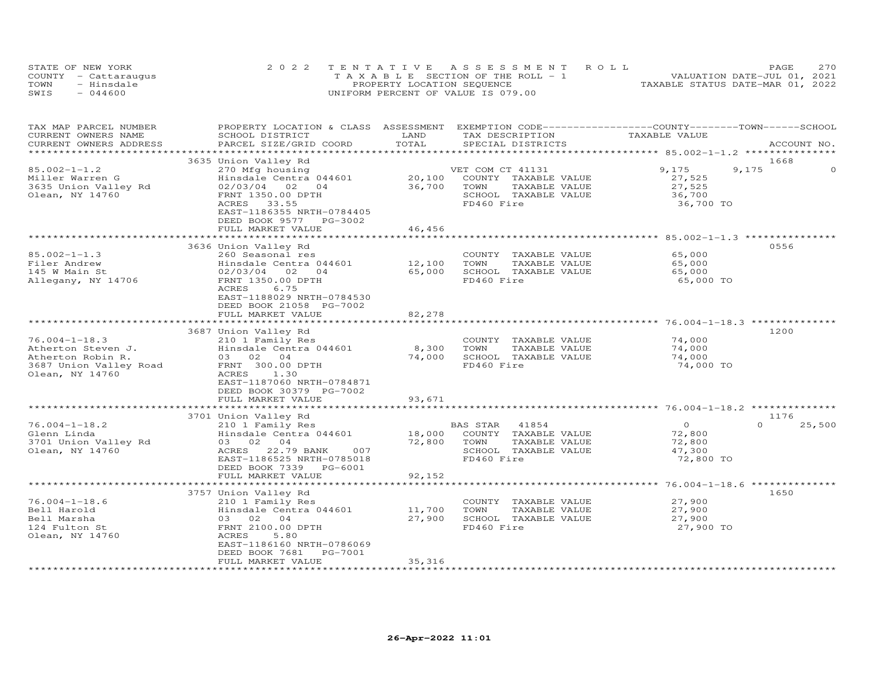|      | STATE OF NEW YORK    | 2022 TENTATIVE ASSESSMENT ROLL        | 2.70<br>PAGE.                    |
|------|----------------------|---------------------------------------|----------------------------------|
|      | COUNTY - Cattaraugus | T A X A B L E SECTION OF THE ROLL - 1 | VALUATION DATE-JUL 01, 2021      |
| TOWN | - Hinsdale           | PROPERTY LOCATION SEQUENCE            | TAXABLE STATUS DATE-MAR 01, 2022 |
| SWIS | $-044600$            | UNIFORM PERCENT OF VALUE IS 079.00    |                                  |

| TAX MAP PARCEL NUMBER<br>CURRENT OWNERS NAME                                                                | PROPERTY LOCATION & CLASS ASSESSMENT<br>SCHOOL DISTRICT                                                                                                                        | LAND             | EXEMPTION CODE-----------------COUNTY-------TOWN------SCHOOL<br>TAX DESCRIPTION                          | TAXABLE VALUE                                             |                    |
|-------------------------------------------------------------------------------------------------------------|--------------------------------------------------------------------------------------------------------------------------------------------------------------------------------|------------------|----------------------------------------------------------------------------------------------------------|-----------------------------------------------------------|--------------------|
| CURRENT OWNERS ADDRESS<br>***********************                                                           | PARCEL SIZE/GRID COORD<br>****************************                                                                                                                         | TOTAL            | SPECIAL DISTRICTS                                                                                        |                                                           | ACCOUNT NO.        |
|                                                                                                             | 3635 Union Valley Rd                                                                                                                                                           |                  |                                                                                                          |                                                           | 1668               |
| $85.002 - 1 - 1.2$<br>Miller Warren G<br>3635 Union Valley Rd<br>Olean, NY 14760                            | 270 Mfg housing<br>Hinsdale Centra 044601<br>02/03/04<br>02<br>04<br>FRNT 1350.00 DPTH                                                                                         | 20,100<br>36,700 | VET COM CT 41131<br>COUNTY TAXABLE VALUE<br>TOWN<br>TAXABLE VALUE<br>SCHOOL TAXABLE VALUE                | 9,175<br>27,525<br>27,525<br>36,700                       | 9,175<br>$\cap$    |
|                                                                                                             | ACRES<br>33.55<br>EAST-1186355 NRTH-0784405<br>DEED BOOK 9577<br>PG-3002<br>FULL MARKET VALUE                                                                                  | 46,456           | FD460 Fire                                                                                               | 36,700 TO                                                 |                    |
|                                                                                                             | ****************                                                                                                                                                               |                  |                                                                                                          | ******************** 85.002-1-1.3 *********               |                    |
| $85.002 - 1 - 1.3$<br>Filer Andrew<br>145 W Main St<br>Allegany, NY 14706                                   | 3636 Union Valley Rd<br>260 Seasonal res<br>Hinsdale Centra 044601<br>02/03/04<br>02<br>04<br>FRNT 1350.00 DPTH<br>ACRES<br>6.75                                               | 12,100<br>65,000 | COUNTY TAXABLE VALUE<br>TOWN<br>TAXABLE VALUE<br>SCHOOL TAXABLE VALUE<br>FD460 Fire                      | 65,000<br>65,000<br>65,000<br>65,000 TO                   | 0556               |
|                                                                                                             | EAST-1188029 NRTH-0784530<br>DEED BOOK 21058 PG-7002<br>FULL MARKET VALUE                                                                                                      | 82,278           |                                                                                                          |                                                           |                    |
|                                                                                                             |                                                                                                                                                                                | ************     |                                                                                                          | ******************** 76.004-1-18.3 *************          |                    |
| $76.004 - 1 - 18.3$<br>Atherton Steven J.<br>Atherton Robin R.<br>3687 Union Valley Road<br>Olean, NY 14760 | 3687 Union Valley Rd<br>210 1 Family Res<br>Hinsdale Centra 044601<br>03 02 04<br>FRNT 300.00 DPTH<br>ACRES<br>1.30<br>EAST-1187060 NRTH-0784871<br>DEED BOOK 30379 PG-7002    | 8,300<br>74,000  | COUNTY TAXABLE VALUE<br>TOWN<br>TAXABLE VALUE<br>SCHOOL TAXABLE VALUE<br>FD460 Fire                      | 74,000<br>74,000<br>74,000<br>74,000 TO                   | 1200               |
|                                                                                                             | FULL MARKET VALUE                                                                                                                                                              | 93,671           |                                                                                                          |                                                           |                    |
|                                                                                                             |                                                                                                                                                                                |                  |                                                                                                          |                                                           | 1176               |
| $76.004 - 1 - 18.2$<br>Glenn Linda<br>3701 Union Valley Rd<br>Olean, NY 14760                               | 3701 Union Valley Rd<br>210 1 Family Res<br>Hinsdale Centra 044601<br>03 02 04<br>ACRES 22.79 BANK<br>007<br>EAST-1186525 NRTH-0785018<br>DEED BOOK 7339<br>PG-6001            | 18,000<br>72,800 | BAS STAR<br>41854<br>COUNTY TAXABLE VALUE<br>TAXABLE VALUE<br>TOWN<br>SCHOOL TAXABLE VALUE<br>FD460 Fire | $\overline{O}$<br>72,800<br>72,800<br>47,300<br>72,800 TO | $\Omega$<br>25,500 |
|                                                                                                             | FULL MARKET VALUE                                                                                                                                                              | 92,152           |                                                                                                          |                                                           |                    |
|                                                                                                             |                                                                                                                                                                                | **************** |                                                                                                          |                                                           |                    |
| $76.004 - 1 - 18.6$<br>Bell Harold<br>Bell Marsha<br>124 Fulton St<br>Olean, NY 14760                       | 3757 Union Valley Rd<br>210 1 Family Res<br>Hinsdale Centra 044601<br>03 02 04<br>FRNT 2100.00 DPTH<br>ACRES<br>5.80<br>EAST-1186160 NRTH-0786069<br>DEED BOOK 7681<br>PG-7001 | 11,700<br>27,900 | COUNTY<br>TAXABLE VALUE<br>TOWN<br>TAXABLE VALUE<br>SCHOOL TAXABLE VALUE<br>FD460 Fire                   | 27,900<br>27,900<br>27,900<br>27,900 TO                   | 1650               |
|                                                                                                             | FULL MARKET VALUE                                                                                                                                                              | 35,316           |                                                                                                          |                                                           |                    |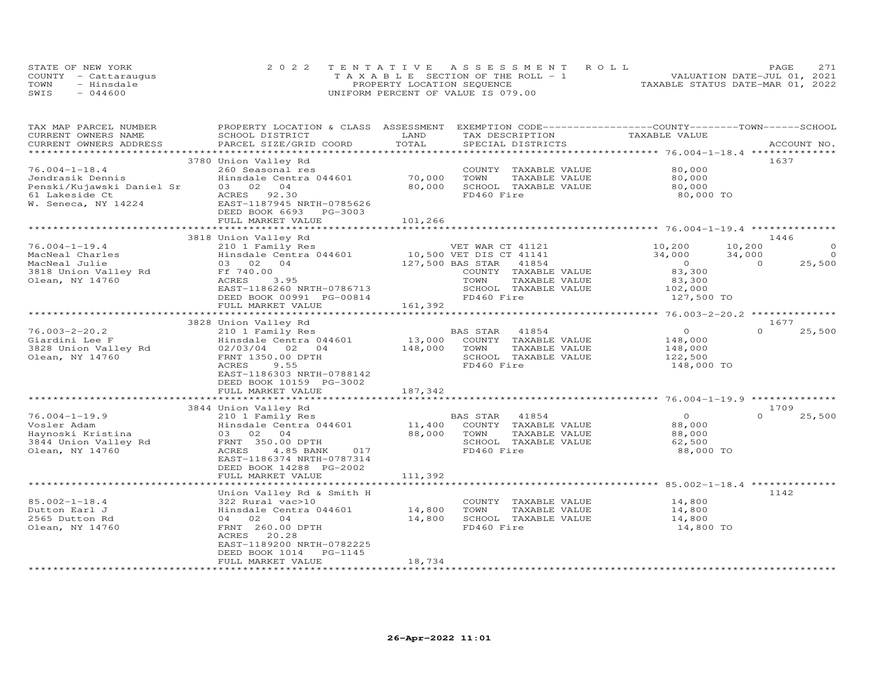| STATE OF NEW YORK |                      | 2022 TENTATIVE ASSESSMENT ROLL        |  |  |                                  | PAGE | 271 |
|-------------------|----------------------|---------------------------------------|--|--|----------------------------------|------|-----|
|                   | COUNTY - Cattaraugus | T A X A B L E SECTION OF THE ROLL - 1 |  |  | VALUATION DATE-JUL 01, 2021      |      |     |
| TOWN              | - Hinsdale           | PROPERTY LOCATION SEQUENCE            |  |  | TAXABLE STATUS DATE-MAR 01, 2022 |      |     |
| SWIS              | $-044600$            | UNIFORM PERCENT OF VALUE IS 079.00    |  |  |                                  |      |     |

| TAX MAP PARCEL NUMBER     | PROPERTY LOCATION & CLASS ASSESSMENT          |         | EXEMPTION CODE-----------------COUNTY-------TOWN-----SCHOOL |                                                               |                            |
|---------------------------|-----------------------------------------------|---------|-------------------------------------------------------------|---------------------------------------------------------------|----------------------------|
| CURRENT OWNERS NAME       | SCHOOL DISTRICT                               | LAND    | TAX DESCRIPTION                                             | TAXABLE VALUE                                                 |                            |
| CURRENT OWNERS ADDRESS    | PARCEL SIZE/GRID COORD                        | TOTAL   | SPECIAL DISTRICTS                                           |                                                               | ACCOUNT NO.                |
| ***********************   |                                               |         |                                                             |                                                               |                            |
|                           | 3780 Union Valley Rd                          |         |                                                             |                                                               | 1637                       |
| $76.004 - 1 - 18.4$       | 260 Seasonal res                              |         | COUNTY TAXABLE VALUE                                        | 80,000                                                        |                            |
| Jendrasik Dennis          | Hinsdale Centra 044601                        | 70,000  | TOWN<br>TAXABLE VALUE                                       | 80,000                                                        |                            |
| Penski/Kujawski Daniel Sr | 03 02<br>04                                   | 80,000  | SCHOOL TAXABLE VALUE                                        | 80,000                                                        |                            |
| 61 Lakeside Ct            | ACRES<br>92.30                                |         | FD460 Fire                                                  | 80,000 TO                                                     |                            |
| W. Seneca, NY 14224       | EAST-1187945 NRTH-0785626                     |         |                                                             |                                                               |                            |
|                           | DEED BOOK 6693<br>PG-3003                     |         |                                                             |                                                               |                            |
|                           | FULL MARKET VALUE                             | 101,266 |                                                             |                                                               |                            |
|                           |                                               |         |                                                             |                                                               |                            |
|                           | 3818 Union Valley Rd                          |         |                                                             |                                                               | 1446                       |
| $76.004 - 1 - 19.4$       | 210 1 Family Res                              |         | VET WAR CT 41121                                            | 10,200                                                        | 10,200<br>$\circ$          |
| MacNeal Charles           | Hinsdale Centra 044601                        |         | 10,500 VET DIS CT 41141                                     | 34,000                                                        | $\bigcirc$<br>34,000       |
| MacNeal Julie             | 03 02 04                                      |         | 127,500 BAS STAR<br>41854                                   | $\overline{0}$                                                | 25,500<br>$\Omega$         |
| 3818 Union Valley Rd      | Ff 740.00                                     |         | COUNTY TAXABLE VALUE                                        | 83,300                                                        |                            |
| Olean, NY 14760           | ACRES<br>3.95                                 |         | TOWN<br>TAXABLE VALUE                                       | 83,300                                                        |                            |
|                           | EAST-1186260 NRTH-0786713                     |         | SCHOOL TAXABLE VALUE                                        | 102,000                                                       |                            |
|                           | DEED BOOK 00991 PG-00814                      |         | FD460 Fire                                                  | 127,500 TO                                                    |                            |
|                           | FULL MARKET VALUE<br>*********************    | 161,392 |                                                             |                                                               |                            |
|                           |                                               |         |                                                             |                                                               |                            |
|                           | 3828 Union Valley Rd                          |         |                                                             |                                                               | 1677                       |
| $76.003 - 2 - 20.2$       | 210 1 Family Res                              |         | BAS STAR<br>41854                                           | $\circ$                                                       | $\Omega$<br>25,500         |
| Giardini Lee F            | Hinsdale Centra 044601                        | 13,000  | COUNTY TAXABLE VALUE                                        | 148,000                                                       |                            |
| 3828 Union Valley Rd      | 02/03/04<br>02<br>04                          | 148,000 | TOWN<br>TAXABLE VALUE                                       | 148,000                                                       |                            |
| Olean, NY 14760           | FRNT 1350.00 DPTH                             |         | SCHOOL TAXABLE VALUE                                        | 122,500                                                       |                            |
|                           | ACRES<br>9.55                                 |         | FD460 Fire                                                  | 148,000 TO                                                    |                            |
|                           | EAST-1186303 NRTH-0788142                     |         |                                                             |                                                               |                            |
|                           | DEED BOOK 10159 PG-3002                       |         |                                                             |                                                               |                            |
|                           | FULL MARKET VALUE                             | 187,342 |                                                             | *************************************96.004-1-19.9 ********** |                            |
|                           |                                               |         |                                                             |                                                               |                            |
| $76.004 - 1 - 19.9$       | 3844 Union Valley Rd                          |         | <b>BAS STAR</b><br>41854                                    | $\Omega$                                                      | 1709<br>$\Omega$<br>25,500 |
| Vosler Adam               | 210 1 Family Res                              | 11,400  | COUNTY TAXABLE VALUE                                        |                                                               |                            |
|                           | Hinsdale Centra 044601                        | 88,000  |                                                             | 88,000                                                        |                            |
| Haynoski Kristina         | 03 02 04<br>FRNT 350.00 DPTH                  |         | TOWN<br>TAXABLE VALUE<br>SCHOOL TAXABLE VALUE               | 88,000                                                        |                            |
| 3844 Union Valley Rd      | ACRES                                         |         | FD460 Fire                                                  | 62,500                                                        |                            |
| Olean, NY 14760           | 4.85 BANK<br>017<br>EAST-1186374 NRTH-0787314 |         |                                                             | 88,000 TO                                                     |                            |
|                           |                                               |         |                                                             |                                                               |                            |
|                           | DEED BOOK 14288 PG-2002<br>FULL MARKET VALUE  | 111,392 |                                                             |                                                               |                            |
|                           |                                               |         |                                                             |                                                               |                            |
|                           | Union Valley Rd & Smith H                     |         |                                                             |                                                               | 1142                       |
| $85.002 - 1 - 18.4$       | 322 Rural vac>10                              |         |                                                             |                                                               |                            |
| Dutton Earl J             | Hinsdale Centra 044601                        | 14,800  | COUNTY TAXABLE VALUE<br>TOWN<br>TAXABLE VALUE               | 14,800<br>14,800                                              |                            |
| 2565 Dutton Rd            | 04 02<br>04                                   | 14,800  | SCHOOL TAXABLE VALUE                                        | 14,800                                                        |                            |
|                           | FRNT 260.00 DPTH                              |         | FD460 Fire                                                  | 14,800 TO                                                     |                            |
| Olean, NY 14760           | ACRES<br>20.28                                |         |                                                             |                                                               |                            |
|                           | EAST-1189200 NRTH-0782225                     |         |                                                             |                                                               |                            |
|                           | DEED BOOK 1014<br>PG-1145                     |         |                                                             |                                                               |                            |
|                           | FULL MARKET VALUE                             | 18,734  |                                                             |                                                               |                            |
| ************************  | ***********************                       |         |                                                             |                                                               |                            |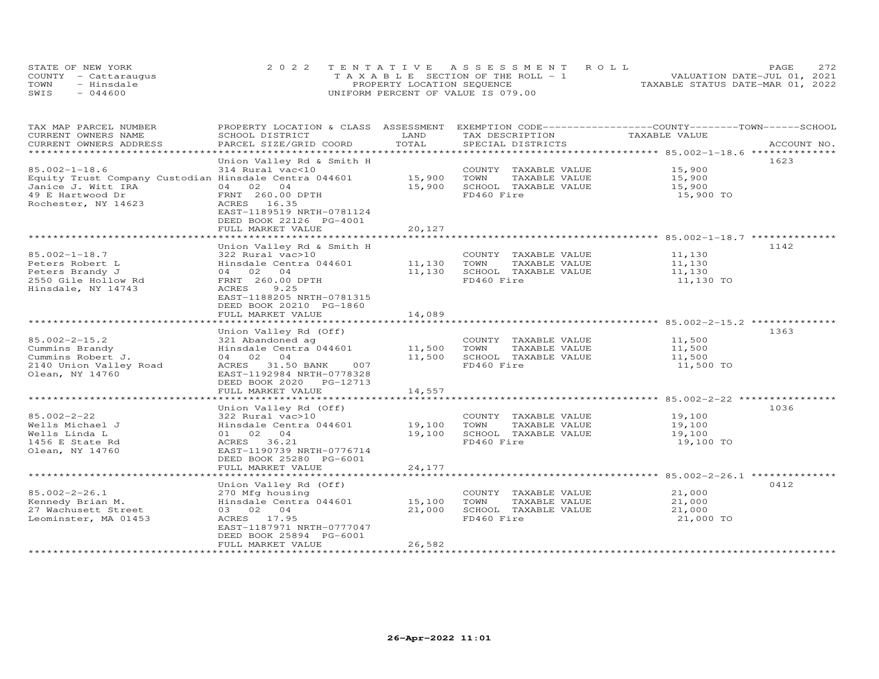| STATE OF NEW YORK    | 2022 TENTATIVE ASSESSMENT ROLL        | 2.72<br>PAGE.                    |
|----------------------|---------------------------------------|----------------------------------|
| COUNTY - Cattaraugus | T A X A B L E SECTION OF THE ROLL - 1 | VALUATION DATE-JUL 01, 2021      |
| - Hinsdale<br>TOWN   | PROPERTY LOCATION SEQUENCE            | TAXABLE STATUS DATE-MAR 01, 2022 |
| SWIS<br>$-044600$    | UNIFORM PERCENT OF VALUE IS 079.00    |                                  |

| TAX MAP PARCEL NUMBER<br>CURRENT OWNERS NAME<br>CURRENT OWNERS ADDRESS                                                                        | PROPERTY LOCATION & CLASS ASSESSMENT<br>SCHOOL DISTRICT<br>PARCEL SIZE/GRID COORD                                                                                                       | LAND<br>TOTAL              | EXEMPTION CODE-----------------COUNTY-------TOWN------SCHOOL<br>TAX DESCRIPTION<br>SPECIAL DISTRICTS | TAXABLE VALUE                                         | ACCOUNT NO. |
|-----------------------------------------------------------------------------------------------------------------------------------------------|-----------------------------------------------------------------------------------------------------------------------------------------------------------------------------------------|----------------------------|------------------------------------------------------------------------------------------------------|-------------------------------------------------------|-------------|
|                                                                                                                                               |                                                                                                                                                                                         |                            |                                                                                                      |                                                       |             |
| $85.002 - 1 - 18.6$<br>Equity Trust Company Custodian Hinsdale Centra 044601<br>Janice J. Witt IRA<br>49 E Hartwood Dr<br>Rochester, NY 14623 | Union Valley Rd & Smith H<br>314 Rural vac<10<br>04 02<br>04<br>FRNT 260.00 DPTH<br>ACRES 16.35<br>EAST-1189519 NRTH-0781124<br>DEED BOOK 22126 PG-4001<br>FULL MARKET VALUE            | 15,900<br>15,900<br>20,127 | COUNTY TAXABLE VALUE<br>TOWN<br>TAXABLE VALUE<br>SCHOOL TAXABLE VALUE<br>FD460 Fire                  | 15,900<br>15,900<br>15,900<br>15,900 TO               | 1623        |
|                                                                                                                                               | Union Valley Rd & Smith H                                                                                                                                                               |                            |                                                                                                      |                                                       | 1142        |
| $85.002 - 1 - 18.7$<br>Peters Robert L<br>Peters Brandy J<br>2550 Gile Hollow Rd<br>Hinsdale, NY 14743                                        | 322 Rural vac>10<br>Hinsdale Centra 044601<br>04 02 04<br>FRNT 260.00 DPTH<br>ACRES<br>9.25<br>EAST-1188205 NRTH-0781315<br>DEED BOOK 20210 PG-1860                                     | 11,130<br>11,130           | COUNTY TAXABLE VALUE<br>TOWN<br>TAXABLE VALUE<br>SCHOOL TAXABLE VALUE<br>FD460 Fire                  | 11,130<br>11,130<br>11,130<br>11,130 TO               |             |
|                                                                                                                                               | FULL MARKET VALUE                                                                                                                                                                       | 14,089                     |                                                                                                      |                                                       |             |
|                                                                                                                                               |                                                                                                                                                                                         |                            |                                                                                                      |                                                       | 1363        |
| $85.002 - 2 - 15.2$<br>Cummins Brandy<br>Cummins Robert J.<br>2140 Union Valley Road<br>Olean, NY 14760                                       | Union Valley Rd (Off)<br>321 Abandoned ag<br>Hinsdale Centra 044601<br>04 02 04<br>ACRES 31.50 BANK<br>007<br>EAST-1192984 NRTH-0778328<br>DEED BOOK 2020 PG-12713<br>FULL MARKET VALUE | 11,500<br>11,500<br>14,557 | COUNTY TAXABLE VALUE<br>TOWN<br>TAXABLE VALUE<br>SCHOOL TAXABLE VALUE<br>FD460 Fire                  | 11,500<br>11,500<br>11,500<br>11,500 TO               |             |
|                                                                                                                                               |                                                                                                                                                                                         |                            |                                                                                                      |                                                       |             |
| $85.002 - 2 - 22$<br>Wells Michael J<br>Wells Linda L<br>1456 E State Rd<br>Olean, NY 14760                                                   | Union Valley Rd (Off)<br>322 Rural vac>10<br>Hinsdale Centra 044601<br>01 02 04<br>ACRES 36.21<br>EAST-1190739 NRTH-0776714<br>DEED BOOK 25280 PG-6001<br>FULL MARKET VALUE             | 19,100<br>19,100<br>24,177 | COUNTY TAXABLE VALUE<br>TAXABLE VALUE<br>TOWN<br>SCHOOL TAXABLE VALUE<br>FD460 Fire                  | 19,100<br>19,100<br>19,100<br>19,100 TO               | 1036        |
|                                                                                                                                               |                                                                                                                                                                                         |                            |                                                                                                      | ************************ 85.002-2-26.1 ************** |             |
| $85.002 - 2 - 26.1$<br>Kennedy Brian M.<br>27 Wachusett Street<br>Leominster, MA 01453                                                        | Union Valley Rd (Off)<br>270 Mfg housing<br>Hinsdale Centra 044601<br>03 02 04<br>ACRES 17.95<br>EAST-1187971 NRTH-0777047<br>DEED BOOK 25894 PG-6001<br>FULL MARKET VALUE              | 15,100<br>21,000<br>26,582 | COUNTY TAXABLE VALUE<br>TOWN<br>TAXABLE VALUE<br>SCHOOL TAXABLE VALUE<br>FD460 Fire                  | 21,000<br>21,000<br>21,000<br>21,000 TO               | 0412        |
|                                                                                                                                               |                                                                                                                                                                                         |                            |                                                                                                      |                                                       |             |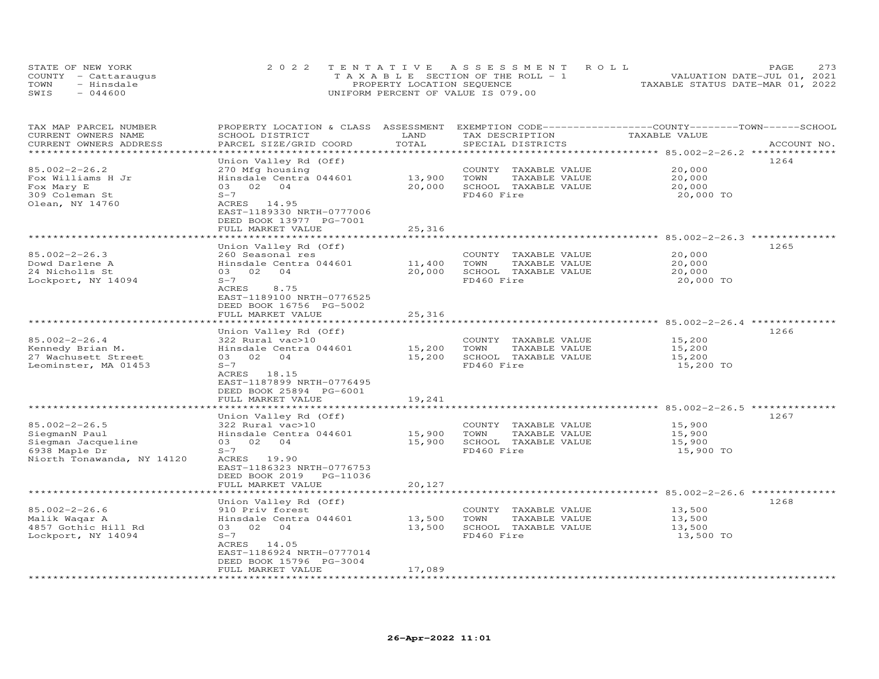|      | STATE OF NEW YORK    | 2022 TENTATIVE ASSESSMENT ROLL        | 273<br>PAGE                      |
|------|----------------------|---------------------------------------|----------------------------------|
|      | COUNTY - Cattaraugus | T A X A B L E SECTION OF THE ROLL - 1 | VALUATION DATE-JUL 01, 2021      |
| TOWN | - Hinsdale           | PROPERTY LOCATION SEQUENCE            | TAXABLE STATUS DATE-MAR 01, 2022 |
| SWIS | $-044600$            | UNIFORM PERCENT OF VALUE IS 079.00    |                                  |

| TAX MAP PARCEL NUMBER<br>CURRENT OWNERS NAME<br>CURRENT OWNERS ADDRESS | PROPERTY LOCATION & CLASS ASSESSMENT<br>SCHOOL DISTRICT<br>PARCEL SIZE/GRID COORD                 | LAND<br>TOTAL | EXEMPTION CODE------------------COUNTY-------TOWN-----SCHOOL<br>TAX DESCRIPTION<br>SPECIAL DISTRICTS | TAXABLE VALUE                                  | ACCOUNT NO. |
|------------------------------------------------------------------------|---------------------------------------------------------------------------------------------------|---------------|------------------------------------------------------------------------------------------------------|------------------------------------------------|-------------|
|                                                                        |                                                                                                   |               |                                                                                                      |                                                |             |
| $85.002 - 2 - 26.2$<br>Fox Williams H Jr                               | Union Valley Rd (Off)<br>270 Mfg housing<br>Hinsdale Centra 044601                                | 13,900        | COUNTY TAXABLE VALUE<br>TAXABLE VALUE<br>TOWN                                                        | 20,000<br>20,000                               | 1264        |
| Fox Mary E                                                             | 03 02<br>$\bigcirc$ 4                                                                             | 20,000        | SCHOOL TAXABLE VALUE                                                                                 | 20,000                                         |             |
| 309 Coleman St                                                         | $S-7$                                                                                             |               | FD460 Fire                                                                                           | 20,000 TO                                      |             |
| Olean, NY 14760                                                        | ACRES 14.95<br>EAST-1189330 NRTH-0777006<br>DEED BOOK 13977 PG-7001<br>FULL MARKET VALUE          | 25,316        |                                                                                                      |                                                |             |
|                                                                        |                                                                                                   |               |                                                                                                      |                                                |             |
|                                                                        | Union Valley Rd (Off)                                                                             |               |                                                                                                      |                                                | 1265        |
| $85.002 - 2 - 26.3$                                                    | 260 Seasonal res                                                                                  |               | COUNTY TAXABLE VALUE                                                                                 | 20,000                                         |             |
| Dowd Darlene A                                                         | Hinsdale Centra 044601                                                                            | 11,400        | TOWN<br>TAXABLE VALUE                                                                                | 20,000                                         |             |
| 24 Nicholls St                                                         | 03 02 04                                                                                          | 20,000        | SCHOOL TAXABLE VALUE                                                                                 | 20,000                                         |             |
| Lockport, NY 14094                                                     | $S-7$<br>ACRES<br>8.75<br>EAST-1189100 NRTH-0776525<br>DEED BOOK 16756 PG-5002                    |               | FD460 Fire                                                                                           | 20,000 TO                                      |             |
|                                                                        | FULL MARKET VALUE                                                                                 | 25,316        |                                                                                                      |                                                |             |
|                                                                        |                                                                                                   |               |                                                                                                      |                                                |             |
|                                                                        | Union Valley Rd (Off)                                                                             |               |                                                                                                      |                                                | 1266        |
| $85.002 - 2 - 26.4$                                                    | 322 Rural vac>10                                                                                  |               | COUNTY TAXABLE VALUE                                                                                 | 15,200                                         |             |
| Kennedy Brian M.                                                       | Hinsdale Centra 044601                                                                            | 15,200        | TOWN<br>TAXABLE VALUE                                                                                | 15,200                                         |             |
| 27 Wachusett Street                                                    | 03 02 04                                                                                          | 15,200        | SCHOOL TAXABLE VALUE                                                                                 | 15,200                                         |             |
| Leominster, MA 01453                                                   | $S-7$<br>ACRES 18.15<br>EAST-1187899 NRTH-0776495<br>DEED BOOK 25894 PG-6001<br>FULL MARKET VALUE | 19,241        | FD460 Fire                                                                                           | 15,200 TO                                      |             |
|                                                                        |                                                                                                   |               |                                                                                                      | ********************* 85.002-2-26.5 ********** |             |
|                                                                        | Union Valley Rd (Off)                                                                             |               |                                                                                                      |                                                | 1267        |
| $85.002 - 2 - 26.5$                                                    | 322 Rural vac>10                                                                                  |               | COUNTY TAXABLE VALUE                                                                                 | 15,900                                         |             |
| SiegmanN Paul                                                          | Hinsdale Centra 044601                                                                            | 15,900        | TOWN<br>TAXABLE VALUE                                                                                | 15,900                                         |             |
| Siegman Jacqueline                                                     | 03 02 04                                                                                          | 15,900        | SCHOOL TAXABLE VALUE                                                                                 | 15,900                                         |             |
| 6938 Maple Dr<br>Niorth Tonawanda, NY 14120                            | $S-7$<br>ACRES 19.90<br>EAST-1186323 NRTH-0776753<br>DEED BOOK 2019 PG-11036                      |               | FD460 Fire                                                                                           | 15,900 TO                                      |             |
|                                                                        | FULL MARKET VALUE                                                                                 | 20,127        |                                                                                                      |                                                |             |
|                                                                        | Union Valley Rd (Off)                                                                             |               |                                                                                                      |                                                | 1268        |
| $85.002 - 2 - 26.6$                                                    | 910 Priv forest                                                                                   |               | COUNTY TAXABLE VALUE                                                                                 | 13,500                                         |             |
| Malik Waqar A                                                          | Hinsdale Centra 044601                                                                            | 13,500        | TOWN<br>TAXABLE VALUE                                                                                | 13,500                                         |             |
| 4857 Gothic Hill Rd                                                    | 03 02 04                                                                                          | 13,500        | SCHOOL TAXABLE VALUE                                                                                 | 13,500                                         |             |
| Lockport, NY 14094                                                     | $S-7$<br>ACRES 14.05<br>EAST-1186924 NRTH-0777014                                                 |               | FD460 Fire                                                                                           | 13,500 TO                                      |             |
|                                                                        | DEED BOOK 15796 PG-3004                                                                           |               |                                                                                                      |                                                |             |
|                                                                        | FULL MARKET VALUE                                                                                 | 17,089        |                                                                                                      |                                                |             |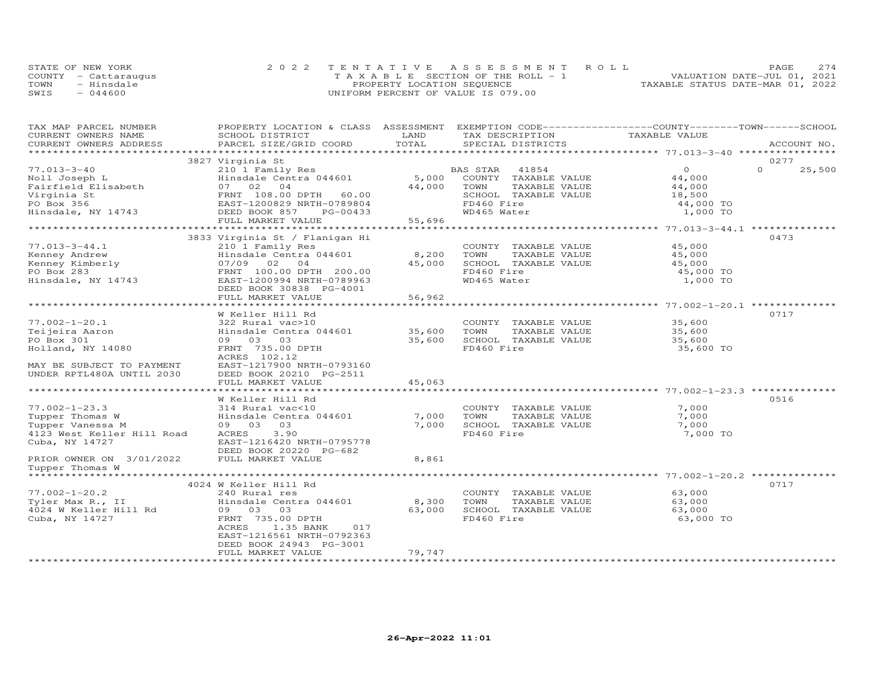| STATE OF NEW YORK |                      | 2022 TENTATIVE ASSESSMENT ROLL        | <b>PAGE</b>                      | 274 |
|-------------------|----------------------|---------------------------------------|----------------------------------|-----|
|                   | COUNTY - Cattaraugus | T A X A B L E SECTION OF THE ROLL - 1 | VALUATION DATE-JUL 01, 2021      |     |
| TOWN              | - Hinsdale           | PROPERTY LOCATION SEQUENCE            | TAXABLE STATUS DATE-MAR 01, 2022 |     |
| SWIS              | $-044600$            | UNIFORM PERCENT OF VALUE IS 079.00    |                                  |     |

| TAX MAP PARCEL NUMBER            | PROPERTY LOCATION & CLASS ASSESSMENT EXEMPTION CODE----------------COUNTY-------TOWN-----SCHOOL |        |                       |               |                    |
|----------------------------------|-------------------------------------------------------------------------------------------------|--------|-----------------------|---------------|--------------------|
| CURRENT OWNERS NAME              | SCHOOL DISTRICT                                                                                 | LAND   | TAX DESCRIPTION       | TAXABLE VALUE |                    |
| CURRENT OWNERS ADDRESS           | PARCEL SIZE/GRID COORD                                                                          | TOTAL  | SPECIAL DISTRICTS     |               | ACCOUNT NO.        |
|                                  |                                                                                                 |        |                       |               |                    |
|                                  | 3827 Virginia St                                                                                |        |                       |               | 0277               |
| $77.013 - 3 - 40$                | 210 1 Family Res                                                                                |        | BAS STAR 41854        | $\circ$       | $\Omega$<br>25,500 |
| Noll Joseph L                    | Hinsdale Centra 044601                                                                          | 5,000  | COUNTY TAXABLE VALUE  | 44,000        |                    |
| Fairfield Elisabeth              | 07 02 04                                                                                        | 44,000 | TOWN<br>TAXABLE VALUE | 44,000        |                    |
|                                  |                                                                                                 |        |                       |               |                    |
| Virginia St                      | FRNT 108.00 DPTH 60.00                                                                          |        | SCHOOL TAXABLE VALUE  | 18,500        |                    |
| PO Box 356                       | EAST-1200829 NRTH-0789804                                                                       |        | FD460 Fire            | 44,000 TO     |                    |
| Hinsdale, NY 14743               | DEED BOOK 857<br>PG-00433                                                                       |        | WD465 Water           | 1,000 TO      |                    |
|                                  | FULL MARKET VALUE                                                                               | 55,696 |                       |               |                    |
|                                  |                                                                                                 |        |                       |               |                    |
|                                  | 3833 Virginia St / Flanigan Hi                                                                  |        |                       |               | 0473               |
| $77.013 - 3 - 44.1$              | 210 1 Family Res                                                                                |        | COUNTY TAXABLE VALUE  | 45,000        |                    |
| Kenney Andrew<br>Kenney Kimberly | Hinsdale Centra 044601                                                                          | 8,200  | TOWN<br>TAXABLE VALUE | 45,000        |                    |
|                                  | 07/09 02<br>0 <sub>4</sub>                                                                      | 45,000 | SCHOOL TAXABLE VALUE  | 45,000        |                    |
|                                  | FRNT 100.00 DPTH 200.00                                                                         |        | FD460 Fire            | 45,000 TO     |                    |
| Hinsdale, NY 14743               | EAST-1200994 NRTH-0789963                                                                       |        | WD465 Water           | 1,000 TO      |                    |
|                                  | DEED BOOK 30838 PG-4001                                                                         |        |                       |               |                    |
|                                  | FULL MARKET VALUE                                                                               | 56,962 |                       |               |                    |
|                                  |                                                                                                 |        |                       |               |                    |
|                                  | W Keller Hill Rd                                                                                |        |                       |               | 0717               |
| $77.002 - 1 - 20.1$              | 322 Rural vac>10                                                                                |        | COUNTY TAXABLE VALUE  | 35,600        |                    |
| Teijeira Aaron                   | Hinsdale Centra 044601 35,600                                                                   |        | TOWN<br>TAXABLE VALUE | 35,600        |                    |
| PO Box 301                       | 09 03 03                                                                                        | 35,600 | SCHOOL TAXABLE VALUE  | 35,600        |                    |
| Holland, NY 14080                | FRNT 735.00 DPTH                                                                                |        | FD460 Fire            | 35,600 TO     |                    |
|                                  | ACRES 102.12                                                                                    |        |                       |               |                    |
|                                  |                                                                                                 |        |                       |               |                    |
| MAY BE SUBJECT TO PAYMENT        | EAST-1217900 NRTH-0793160                                                                       |        |                       |               |                    |
| UNDER RPTL480A UNTIL 2030        | DEED BOOK 20210 PG-2511                                                                         |        |                       |               |                    |
|                                  | FULL MARKET VALUE                                                                               | 45,063 |                       |               |                    |
|                                  |                                                                                                 |        |                       |               |                    |
|                                  | W Keller Hill Rd                                                                                |        |                       |               | 0516               |
| $77.002 - 1 - 23.3$              | 314 Rural vac<10                                                                                |        | COUNTY TAXABLE VALUE  | 7,000         |                    |
| Tupper Thomas W                  | Hinsdale Centra 044601                                                                          | 7,000  | TOWN<br>TAXABLE VALUE | 7,000         |                    |
| Tupper Vanessa M                 | 09 03 03                                                                                        | 7,000  | SCHOOL TAXABLE VALUE  | 7,000         |                    |
| 4123 West Keller Hill Road       | ACRES<br>3.90                                                                                   |        | FD460 Fire            | 7,000 TO      |                    |
| Cuba, NY 14727                   | EAST-1216420 NRTH-0795778                                                                       |        |                       |               |                    |
|                                  | DEED BOOK 20220 PG-682                                                                          |        |                       |               |                    |
| PRIOR OWNER ON 3/01/2022         | FULL MARKET VALUE                                                                               | 8,861  |                       |               |                    |
| Tupper Thomas W                  |                                                                                                 |        |                       |               |                    |
|                                  |                                                                                                 |        |                       |               |                    |
|                                  | 4024 W Keller Hill Rd                                                                           |        |                       |               | 0717               |
| $77.002 - 1 - 20.2$              | 240 Rural res                                                                                   |        | COUNTY TAXABLE VALUE  | 63,000        |                    |
| Tyler Max R., II                 | Hinsdale Centra 044601                                                                          | 8,300  | TAXABLE VALUE<br>TOWN | 63,000        |                    |
| 4024 W Keller Hill Rd            | 09 03 03                                                                                        | 63,000 | SCHOOL TAXABLE VALUE  | 63,000        |                    |
| Cuba, NY 14727                   | FRNT 735.00 DPTH                                                                                |        | FD460 Fire            | 63,000 TO     |                    |
|                                  | ACRES<br>1.35 BANK<br>017                                                                       |        |                       |               |                    |
|                                  | EAST-1216561 NRTH-0792363                                                                       |        |                       |               |                    |
|                                  | DEED BOOK 24943 PG-3001                                                                         |        |                       |               |                    |
|                                  | FULL MARKET VALUE                                                                               | 79,747 |                       |               |                    |
|                                  |                                                                                                 |        |                       |               |                    |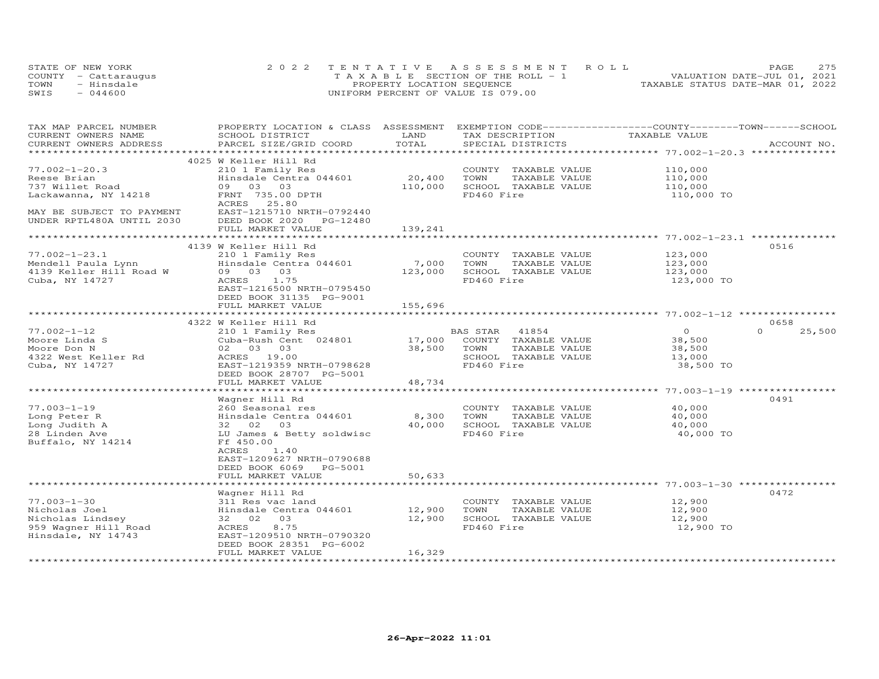|      | STATE OF NEW YORK    | 2022 TENTATIVE ASSESSMENT ROLL        | 275<br>PAGE                      |
|------|----------------------|---------------------------------------|----------------------------------|
|      | COUNTY - Cattaraugus | T A X A B L E SECTION OF THE ROLL - 1 | VALUATION DATE-JUL 01, 2021      |
| TOWN | - Hinsdale           | PROPERTY LOCATION SEQUENCE            | TAXABLE STATUS DATE-MAR 01, 2022 |
| SWIS | $-044600$            | UNIFORM PERCENT OF VALUE IS 079.00    |                                  |

| TAX MAP PARCEL NUMBER<br>CURRENT OWNERS NAME | PROPERTY LOCATION & CLASS ASSESSMENT<br>SCHOOL DISTRICT | LAND    | EXEMPTION CODE-----------------COUNTY-------TOWN-----SCHOOL<br>TAX DESCRIPTION | TAXABLE VALUE |                    |
|----------------------------------------------|---------------------------------------------------------|---------|--------------------------------------------------------------------------------|---------------|--------------------|
| CURRENT OWNERS ADDRESS                       | PARCEL SIZE/GRID COORD                                  | TOTAL   | SPECIAL DISTRICTS                                                              |               | ACCOUNT NO.        |
|                                              | 4025 W Keller Hill Rd                                   |         |                                                                                |               |                    |
| $77.002 - 1 - 20.3$                          | 210 1 Family Res                                        |         |                                                                                |               |                    |
|                                              |                                                         | 20,400  | COUNTY TAXABLE VALUE                                                           | 110,000       |                    |
| Reese Brian                                  | Hinsdale Centra 044601<br>09 03 03                      |         | TOWN<br>TAXABLE VALUE                                                          | 110,000       |                    |
| 737 Willet Road                              |                                                         | 110,000 | SCHOOL TAXABLE VALUE                                                           | 110,000       |                    |
| Lackawanna, NY 14218                         | FRNT 735.00 DPTH                                        |         | FD460 Fire                                                                     | 110,000 TO    |                    |
| MAY BE SUBJECT TO PAYMENT                    | ACRES 25.80<br>EAST-1215710 NRTH-0792440                |         |                                                                                |               |                    |
|                                              |                                                         |         |                                                                                |               |                    |
| UNDER RPTL480A UNTIL 2030                    | DEED BOOK 2020<br>PG-12480<br>FULL MARKET VALUE         | 139,241 |                                                                                |               |                    |
|                                              |                                                         |         |                                                                                |               |                    |
|                                              | 4139 W Keller Hill Rd                                   |         |                                                                                |               | 0516               |
| $77.002 - 1 - 23.1$                          | 210 1 Family Res                                        |         | COUNTY TAXABLE VALUE                                                           | 123,000       |                    |
| Mendell Paula Lynn                           | Hinsdale Centra 044601                                  | 7,000   | TOWN<br>TAXABLE VALUE                                                          | 123,000       |                    |
| 4139 Keller Hill Road W                      | 09 03 03                                                | 123,000 | SCHOOL TAXABLE VALUE                                                           | 123,000       |                    |
| Cuba, NY 14727                               | ACRES<br>1.75                                           |         | FD460 Fire                                                                     | 123,000 TO    |                    |
|                                              | EAST-1216500 NRTH-0795450                               |         |                                                                                |               |                    |
|                                              | DEED BOOK 31135 PG-9001                                 |         |                                                                                |               |                    |
|                                              |                                                         |         |                                                                                |               |                    |
|                                              | FULL MARKET VALUE                                       | 155,696 |                                                                                |               |                    |
|                                              | 4322 W Keller Hill Rd                                   |         |                                                                                |               | 0658               |
| $77.002 - 1 - 12$                            | 210 1 Family Res                                        |         | BAS STAR<br>41854                                                              | $\circ$       | $\Omega$<br>25,500 |
| Moore Linda S                                | Cuba-Rush Cent 024801                                   | 17,000  | COUNTY TAXABLE VALUE                                                           | 38,500        |                    |
| Moore Don N                                  | 02 03 03                                                | 38,500  | TOWN<br>TAXABLE VALUE                                                          | 38,500        |                    |
| 4322 West Keller Rd                          | ACRES 19.00                                             |         | SCHOOL TAXABLE VALUE                                                           | 13,000        |                    |
| Cuba, NY 14727                               | EAST-1219359 NRTH-0798628                               |         | FD460 Fire                                                                     | 38,500 TO     |                    |
|                                              | DEED BOOK 28707 PG-5001                                 |         |                                                                                |               |                    |
|                                              | FULL MARKET VALUE                                       | 48,734  |                                                                                |               |                    |
|                                              |                                                         |         |                                                                                |               |                    |
|                                              | Wagner Hill Rd                                          |         |                                                                                |               | 0491               |
| $77.003 - 1 - 19$                            | 260 Seasonal res                                        |         | COUNTY TAXABLE VALUE                                                           | 40,000        |                    |
| Long Peter R                                 | Hinsdale Centra 044601                                  | 8,300   | TOWN<br>TAXABLE VALUE                                                          | 40,000        |                    |
| Long Judith A                                | 32 02 03                                                | 40,000  | SCHOOL TAXABLE VALUE                                                           | 40,000        |                    |
| 28 Linden Ave                                | LU James & Betty soldwisc                               |         | FD460 Fire                                                                     | 40,000 TO     |                    |
| Buffalo, NY 14214                            | Ff 450.00                                               |         |                                                                                |               |                    |
|                                              | 1.40<br>ACRES                                           |         |                                                                                |               |                    |
|                                              | EAST-1209627 NRTH-0790688                               |         |                                                                                |               |                    |
|                                              | DEED BOOK 6069<br>PG-5001                               |         |                                                                                |               |                    |
|                                              | FULL MARKET VALUE                                       | 50,633  |                                                                                |               |                    |
|                                              |                                                         |         |                                                                                |               |                    |
|                                              | Wagner Hill Rd                                          |         |                                                                                |               | 0472               |
| $77.003 - 1 - 30$                            | 311 Res vac land                                        |         | COUNTY TAXABLE VALUE                                                           | 12,900        |                    |
| Nicholas Joel                                | Hinsdale Centra 044601                                  | 12,900  | TOWN<br>TAXABLE VALUE                                                          | 12,900        |                    |
| Nicholas Lindsey                             | 32 02 03                                                | 12,900  | SCHOOL TAXABLE VALUE                                                           | 12,900        |                    |
| 959 Wagner Hill Road                         | ACRES<br>8.75                                           |         | FD460 Fire                                                                     | 12,900 TO     |                    |
| Hinsdale, NY 14743                           | EAST-1209510 NRTH-0790320                               |         |                                                                                |               |                    |
|                                              | DEED BOOK 28351 PG-6002                                 |         |                                                                                |               |                    |
|                                              | FULL MARKET VALUE                                       | 16,329  |                                                                                |               |                    |
|                                              |                                                         |         |                                                                                |               |                    |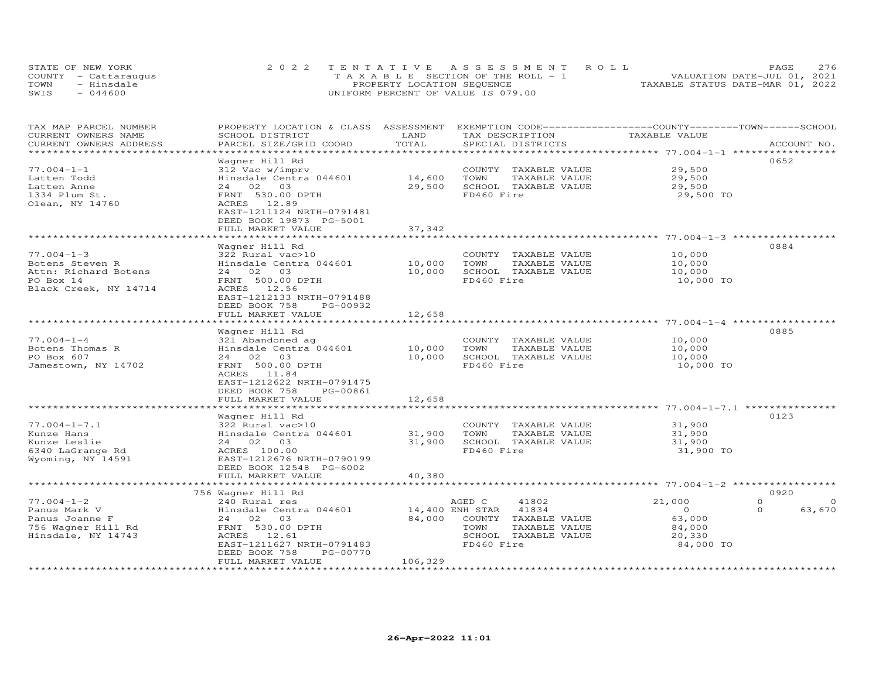|      | STATE OF NEW YORK    | 2022 TENTATIVE ASSESSMENT ROLL        | 276<br>PAGE                      |
|------|----------------------|---------------------------------------|----------------------------------|
|      | COUNTY - Cattaraugus | T A X A B L E SECTION OF THE ROLL - 1 | VALUATION DATE-JUL 01, 2021      |
| TOWN | - Hinsdale           | PROPERTY LOCATION SEQUENCE            | TAXABLE STATUS DATE-MAR 01, 2022 |
| SWIS | $-044600$            | UNIFORM PERCENT OF VALUE IS 079.00    |                                  |

| TAX MAP PARCEL NUMBER  | PROPERTY LOCATION & CLASS | ASSESSMENT          | EXEMPTION CODE------------------COUNTY-------TOWN------SCHOOL |                                                       |                      |
|------------------------|---------------------------|---------------------|---------------------------------------------------------------|-------------------------------------------------------|----------------------|
| CURRENT OWNERS NAME    | SCHOOL DISTRICT           | LAND                | TAX DESCRIPTION                                               | TAXABLE VALUE                                         |                      |
| CURRENT OWNERS ADDRESS | PARCEL SIZE/GRID COORD    | TOTAL               | SPECIAL DISTRICTS                                             |                                                       | ACCOUNT NO.          |
|                        | ***********************   |                     |                                                               |                                                       |                      |
|                        | Wagner Hill Rd            |                     |                                                               |                                                       | 0652                 |
| $77.004 - 1 - 1$       | 312 Vac w/imprv           |                     | COUNTY<br>TAXABLE VALUE                                       | 29,500                                                |                      |
| Latten Todd            | Hinsdale Centra 044601    | 14,600              | TAXABLE VALUE<br>TOWN                                         | 29,500                                                |                      |
| Latten Anne            | 02<br>03<br>24            | 29,500              | SCHOOL<br>TAXABLE VALUE                                       | 29,500                                                |                      |
| 1334 Plum St.          | FRNT 530.00 DPTH          |                     | FD460 Fire                                                    | 29,500 TO                                             |                      |
| Olean, NY 14760        | 12.89<br>ACRES            |                     |                                                               |                                                       |                      |
|                        | EAST-1211124 NRTH-0791481 |                     |                                                               |                                                       |                      |
|                        | DEED BOOK 19873 PG-5001   |                     |                                                               |                                                       |                      |
|                        | FULL MARKET VALUE         | 37,342              |                                                               |                                                       |                      |
|                        | *****************         | *********           |                                                               | ***************************** 77.004-1-3 ************ |                      |
|                        | Wagner Hill Rd            |                     |                                                               |                                                       | 0884                 |
| $77.004 - 1 - 3$       | 322 Rural vac>10          |                     | COUNTY TAXABLE VALUE                                          | 10,000                                                |                      |
| Botens Steven R        | Hinsdale Centra 044601    | 10,000              | TOWN<br>TAXABLE VALUE                                         | 10,000                                                |                      |
| Attn: Richard Botens   | 24 02<br>03               | 10,000              | SCHOOL TAXABLE VALUE                                          | 10,000                                                |                      |
| PO Box 14              | FRNT 500.00 DPTH          |                     | FD460 Fire                                                    | 10,000 TO                                             |                      |
| Black Creek, NY 14714  | ACRES 12.56               |                     |                                                               |                                                       |                      |
|                        | EAST-1212133 NRTH-0791488 |                     |                                                               |                                                       |                      |
|                        | DEED BOOK 758<br>PG-00932 |                     |                                                               |                                                       |                      |
|                        |                           |                     |                                                               |                                                       |                      |
|                        | FULL MARKET VALUE         | 12,658<br>********* |                                                               | ******************** 77.004-1-4 ***********           |                      |
|                        |                           |                     |                                                               |                                                       | 0885                 |
|                        | Wagner Hill Rd            |                     |                                                               |                                                       |                      |
| $77.004 - 1 - 4$       | 321 Abandoned ag          |                     | COUNTY TAXABLE VALUE                                          | 10,000                                                |                      |
| Botens Thomas R        | Hinsdale Centra 044601    | 10,000              | TOWN<br>TAXABLE VALUE                                         | 10,000                                                |                      |
| PO Box 607             | 02<br>24<br>03            | 10,000              | SCHOOL TAXABLE VALUE                                          | 10,000                                                |                      |
| Jamestown, NY 14702    | FRNT 500.00 DPTH          |                     | FD460 Fire                                                    | 10,000 TO                                             |                      |
|                        | ACRES<br>11.84            |                     |                                                               |                                                       |                      |
|                        | EAST-1212622 NRTH-0791475 |                     |                                                               |                                                       |                      |
|                        | DEED BOOK 758<br>PG-00861 |                     |                                                               |                                                       |                      |
|                        | FULL MARKET VALUE         | 12,658              |                                                               |                                                       |                      |
|                        |                           |                     |                                                               | $77.004 - 1 - 7.1$ ********                           |                      |
|                        | Wagner Hill Rd            |                     |                                                               |                                                       | 0123                 |
| $77.004 - 1 - 7.1$     | 322 Rural vac>10          |                     | COUNTY TAXABLE VALUE                                          | 31,900                                                |                      |
| Kunze Hans             | Hinsdale Centra 044601    | 31,900              | TOWN<br>TAXABLE VALUE                                         | 31,900                                                |                      |
| Kunze Leslie           | 24 02<br>03               | 31,900              | SCHOOL TAXABLE VALUE                                          | 31,900                                                |                      |
| 6340 LaGrange Rd       | ACRES 100.00              |                     | FD460 Fire                                                    | 31,900 TO                                             |                      |
| Wyoming, NY 14591      | EAST-1212676 NRTH-0790199 |                     |                                                               |                                                       |                      |
|                        | DEED BOOK 12548 PG-6002   |                     |                                                               |                                                       |                      |
|                        | FULL MARKET VALUE         | 40,380              |                                                               |                                                       |                      |
|                        | ************************* |                     |                                                               |                                                       |                      |
|                        | 756 Wagner Hill Rd        |                     |                                                               |                                                       | 0920                 |
| $77.004 - 1 - 2$       | 240 Rural res             |                     | AGED C<br>41802                                               | 21,000                                                | $\Omega$<br>$\Omega$ |
| Panus Mark V           | Hinsdale Centra 044601    |                     | 14,400 ENH STAR<br>41834                                      | $\Omega$                                              | $\Omega$<br>63,670   |
| Panus Joanne F         | 24 02<br>03               | 84,000              | COUNTY<br>TAXABLE VALUE                                       | 63,000                                                |                      |
| 756 Wagner Hill Rd     | FRNT 530.00 DPTH          |                     | TOWN<br>TAXABLE VALUE                                         | 84,000                                                |                      |
| Hinsdale, NY 14743     | ACRES<br>12.61            |                     | SCHOOL TAXABLE VALUE                                          | 20,330                                                |                      |
|                        | EAST-1211627 NRTH-0791483 |                     | FD460 Fire                                                    | 84,000 TO                                             |                      |
|                        | DEED BOOK 758<br>PG-00770 |                     |                                                               |                                                       |                      |
|                        | FULL MARKET VALUE         | 106,329             |                                                               |                                                       |                      |
| ********************   | **********************    | *****************   |                                                               |                                                       |                      |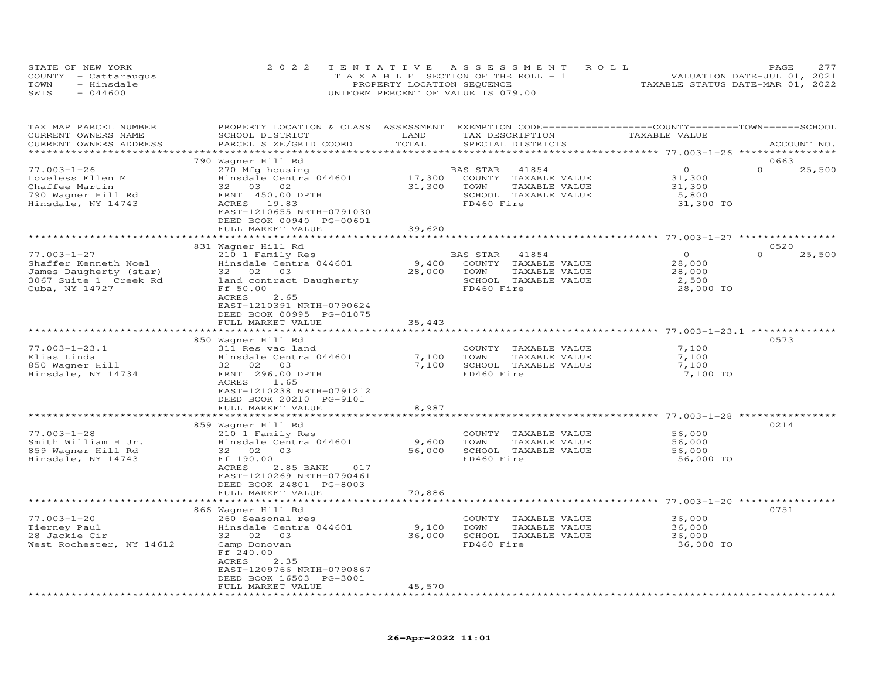| STATE OF NEW YORK    | 2022 TENTATIVE ASSESSMENT ROLL        |                            |  |                                  | PAGE | 2.77 |
|----------------------|---------------------------------------|----------------------------|--|----------------------------------|------|------|
| COUNTY - Cattaraugus | T A X A B L E SECTION OF THE ROLL - 1 |                            |  | VALUATION DATE-JUL 01, 2021      |      |      |
| TOWN<br>- Hinsdale   |                                       | PROPERTY LOCATION SEQUENCE |  | TAXABLE STATUS DATE-MAR 01, 2022 |      |      |
| SWIS<br>$-044600$    | UNIFORM PERCENT OF VALUE IS 079.00    |                            |  |                                  |      |      |

| TAX MAP PARCEL NUMBER<br>CURRENT OWNERS NAME<br>CURRENT OWNERS ADDRESS                                         | PROPERTY LOCATION & CLASS ASSESSMENT<br>SCHOOL DISTRICT<br>PARCEL SIZE/GRID COORD                                                                                           | LAND<br>TOTAL           | EXEMPTION CODE-----------------COUNTY-------TOWN------SCHOOL<br>TAX DESCRIPTION<br>SPECIAL DISTRICTS     | TAXABLE VALUE                                     | ACCOUNT NO.                |
|----------------------------------------------------------------------------------------------------------------|-----------------------------------------------------------------------------------------------------------------------------------------------------------------------------|-------------------------|----------------------------------------------------------------------------------------------------------|---------------------------------------------------|----------------------------|
| *****************                                                                                              |                                                                                                                                                                             |                         |                                                                                                          |                                                   |                            |
|                                                                                                                | 790 Wagner Hill Rd                                                                                                                                                          |                         |                                                                                                          |                                                   | 0663                       |
| $77.003 - 1 - 26$<br>Loveless Ellen M<br>Chaffee Martin<br>790 Wagner Hill Rd<br>Hinsdale, NY 14743            | 270 Mfg housing<br>Hinsdale Centra 044601<br>32 03 02<br>FRNT 450.00 DPTH<br>ACRES 19.83<br>EAST-1210655 NRTH-0791030                                                       | 17,300<br>31,300        | BAS STAR<br>41854<br>COUNTY TAXABLE VALUE<br>TAXABLE VALUE<br>TOWN<br>SCHOOL TAXABLE VALUE<br>FD460 Fire | $\circ$<br>31,300<br>31,300<br>5,800<br>31,300 TO | $\Omega$<br>25,500         |
|                                                                                                                | DEED BOOK 00940 PG-00601                                                                                                                                                    |                         |                                                                                                          |                                                   |                            |
|                                                                                                                | FULL MARKET VALUE                                                                                                                                                           | 39,620                  |                                                                                                          |                                                   |                            |
|                                                                                                                |                                                                                                                                                                             |                         |                                                                                                          |                                                   |                            |
| $77.003 - 1 - 27$<br>Shaffer Kenneth Noel<br>James Daugherty (star)<br>3067 Suite 1 Creek Rd<br>Cuba, NY 14727 | 831 Wagner Hill Rd<br>210 1 Family Res<br>Hinsdale Centra 044601<br>32 02<br>03<br>land contract Daugherty<br>Ff 50.00<br><b>ACRES</b><br>2.65<br>EAST-1210391 NRTH-0790624 | 9,400<br>28,000         | BAS STAR<br>41854<br>COUNTY TAXABLE VALUE<br>TOWN<br>TAXABLE VALUE<br>SCHOOL TAXABLE VALUE<br>FD460 Fire | $\circ$<br>28,000<br>28,000<br>2,500<br>28,000 TO | 0520<br>$\Omega$<br>25,500 |
|                                                                                                                | DEED BOOK 00995 PG-01075<br>FULL MARKET VALUE<br>***********************                                                                                                    | 35,443                  |                                                                                                          |                                                   |                            |
|                                                                                                                | 850 Wagner Hill Rd                                                                                                                                                          |                         |                                                                                                          |                                                   | 0573                       |
| $77.003 - 1 - 23.1$<br>Elias Linda<br>850 Wagner Hill<br>Hinsdale, NY 14734                                    | 311 Res vac land<br>Hinsdale Centra 044601<br>32 02<br>03<br>FRNT 296.00 DPTH<br>ACRES<br>1.65<br>EAST-1210238 NRTH-0791212<br>DEED BOOK 20210 PG-9101<br>FULL MARKET VALUE | 7,100<br>7,100<br>8,987 | COUNTY TAXABLE VALUE<br>TOWN<br>TAXABLE VALUE<br>SCHOOL TAXABLE VALUE<br>FD460 Fire                      | 7,100<br>7,100<br>7,100<br>7,100 TO               |                            |
|                                                                                                                |                                                                                                                                                                             |                         | ************************************* 77.003-1-28 ****************                                       |                                                   |                            |
| $77.003 - 1 - 28$<br>Smith William H Jr.<br>859 Waqner Hill Rd<br>Hinsdale, NY 14743                           | 859 Wagner Hill Rd<br>210 1 Family Res<br>Hinsdale Centra 044601<br>32 02<br>03<br>Ff 190.00<br><b>ACRES</b><br>2.85 BANK<br>017<br>EAST-1210269 NRTH-0790461               | 9,600<br>56,000         | COUNTY TAXABLE VALUE<br>TAXABLE VALUE<br>TOWN<br>SCHOOL TAXABLE VALUE<br>FD460 Fire                      | 56,000<br>56,000<br>56,000<br>56,000 TO           | 0214                       |
|                                                                                                                | DEED BOOK 24801 PG-8003<br>FULL MARKET VALUE                                                                                                                                | 70,886                  |                                                                                                          |                                                   |                            |
|                                                                                                                | **************************                                                                                                                                                  |                         |                                                                                                          |                                                   |                            |
| $77.003 - 1 - 20$<br>Tierney Paul<br>28 Jackie Cir<br>West Rochester, NY 14612                                 | 866 Wagner Hill Rd<br>260 Seasonal res<br>Hinsdale Centra 044601<br>32 02<br>03<br>Camp Donovan<br>Ff 240.00                                                                | 9,100<br>36,000         | COUNTY TAXABLE VALUE<br>TOWN<br>TAXABLE VALUE<br>SCHOOL TAXABLE VALUE<br>FD460 Fire                      | 36,000<br>36,000<br>36,000<br>36,000 TO           | 0751                       |
| **********************                                                                                         | ACRES<br>2.35<br>EAST-1209766 NRTH-0790867<br>DEED BOOK 16503 PG-3001<br>FULL MARKET VALUE<br>************************                                                      | 45,570<br>************  |                                                                                                          |                                                   |                            |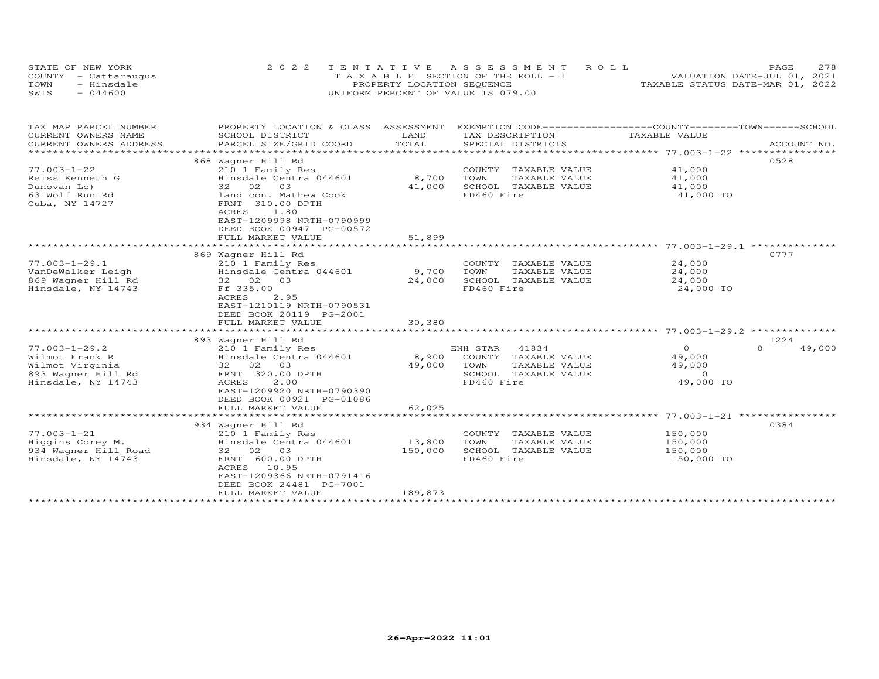| STATE OF NEW YORK    | 2022 TENTATIVE ASSESSMENT ROLL        | 2.78<br><b>PAGE</b>              |
|----------------------|---------------------------------------|----------------------------------|
| COUNTY - Cattaraugus | T A X A B L E SECTION OF THE ROLL - 1 | VALUATION DATE-JUL 01, 2021      |
| TOWN<br>- Hinsdale   | PROPERTY LOCATION SEQUENCE            | TAXABLE STATUS DATE-MAR 01, 2022 |
| $-044600$<br>SWIS    | UNIFORM PERCENT OF VALUE IS 079.00    |                                  |

| TAX MAP PARCEL NUMBER                            | PROPERTY LOCATION & CLASS                             | ASSESSMENT | EXEMPTION CODE-----------------COUNTY-------TOWN------SCHOOL |                                           |                    |
|--------------------------------------------------|-------------------------------------------------------|------------|--------------------------------------------------------------|-------------------------------------------|--------------------|
| CURRENT OWNERS NAME                              | SCHOOL DISTRICT                                       | LAND       | TAX DESCRIPTION                                              | TAXABLE VALUE                             |                    |
| CURRENT OWNERS ADDRESS<br>********************** | PARCEL SIZE/GRID COORD                                | TOTAL      | SPECIAL DISTRICTS                                            |                                           | ACCOUNT NO.        |
|                                                  |                                                       |            |                                                              |                                           |                    |
| $77.003 - 1 - 22$                                | 868 Wagner Hill Rd<br>210 1 Family Res                |            | COUNTY<br>TAXABLE VALUE                                      | 41,000                                    | 0528               |
| Reiss Kenneth G                                  | Hinsdale Centra 044601                                | 8,700      | TAXABLE VALUE<br>TOWN                                        | 41,000                                    |                    |
| Dunovan Lc)                                      | 32 02<br>03                                           | 41,000     | SCHOOL TAXABLE VALUE                                         | 41,000                                    |                    |
| 63 Wolf Run Rd                                   | land con. Mathew Cook                                 |            | FD460 Fire                                                   | 41,000 TO                                 |                    |
| Cuba, NY 14727                                   | FRNT 310.00 DPTH<br>ACRES<br>1.80                     |            |                                                              |                                           |                    |
|                                                  | EAST-1209998 NRTH-0790999<br>DEED BOOK 00947 PG-00572 |            |                                                              |                                           |                    |
|                                                  | FULL MARKET VALUE                                     | 51,899     |                                                              |                                           |                    |
|                                                  | *************************                             |            |                                                              | ************************ 77.003-1-29.1 ** |                    |
|                                                  | 869 Wagner Hill Rd                                    |            |                                                              |                                           | 0777               |
| $77.003 - 1 - 29.1$                              | 210 1 Family Res                                      |            | COUNTY TAXABLE VALUE                                         | 24,000                                    |                    |
| VanDeWalker Leigh                                | Hinsdale Centra 044601                                | 9,700      | TOWN<br>TAXABLE VALUE                                        | 24,000                                    |                    |
| 869 Waqner Hill Rd                               | 32 02 03                                              | 24,000     | SCHOOL TAXABLE VALUE                                         | 24,000                                    |                    |
| Hinsdale, NY 14743                               | Ff 335.00<br>ACRES<br>2.95                            |            | FD460 Fire                                                   | 24,000 TO                                 |                    |
|                                                  | EAST-1210119 NRTH-0790531                             |            |                                                              |                                           |                    |
|                                                  | DEED BOOK 20119 PG-2001                               |            |                                                              |                                           |                    |
|                                                  | FULL MARKET VALUE                                     | 30,380     |                                                              |                                           |                    |
|                                                  | *************************                             |            |                                                              |                                           |                    |
|                                                  | 893 Wagner Hill Rd                                    |            |                                                              |                                           | 1224               |
| $77.003 - 1 - 29.2$                              | 210 1 Family Res                                      |            | ENH STAR<br>41834                                            | $\circ$                                   | $\Omega$<br>49,000 |
| Wilmot Frank R                                   | Hinsdale Centra 044601                                | 8,900      | COUNTY TAXABLE VALUE                                         | 49,000                                    |                    |
| Wilmot Virginia                                  | 32 02 03                                              | 49,000     | TOWN<br>TAXABLE VALUE                                        | 49,000                                    |                    |
| 893 Waqner Hill Rd                               | FRNT 320.00 DPTH                                      |            | SCHOOL TAXABLE VALUE                                         | $\Omega$                                  |                    |
| Hinsdale, NY 14743                               | ACRES<br>2.00                                         |            | FD460 Fire                                                   | 49,000 TO                                 |                    |
|                                                  | EAST-1209920 NRTH-0790390                             |            |                                                              |                                           |                    |
|                                                  | DEED BOOK 00921 PG-01086                              |            |                                                              |                                           |                    |
|                                                  | FULL MARKET VALUE                                     | 62,025     |                                                              |                                           |                    |
|                                                  |                                                       |            |                                                              |                                           |                    |
|                                                  | 934 Wagner Hill Rd                                    |            |                                                              |                                           | 0384               |
| $77.003 - 1 - 21$                                | 210 1 Family Res                                      |            | COUNTY<br>TAXABLE VALUE                                      | 150,000                                   |                    |
| Higgins Corey M.                                 | Hinsdale Centra 044601                                | 13,800     | TOWN<br>TAXABLE VALUE                                        | 150,000                                   |                    |
| 934 Wagner Hill Road                             | 32 02 03                                              | 150,000    | SCHOOL TAXABLE VALUE                                         | 150,000                                   |                    |
| Hinsdale, NY 14743                               | FRNT 600.00 DPTH<br>ACRES<br>10.95                    |            | FD460 Fire                                                   | 150,000 TO                                |                    |
|                                                  | EAST-1209366 NRTH-0791416                             |            |                                                              |                                           |                    |
|                                                  | DEED BOOK 24481 PG-7001                               |            |                                                              |                                           |                    |
|                                                  | FULL MARKET VALUE                                     | 189,873    |                                                              |                                           |                    |
|                                                  |                                                       |            |                                                              |                                           |                    |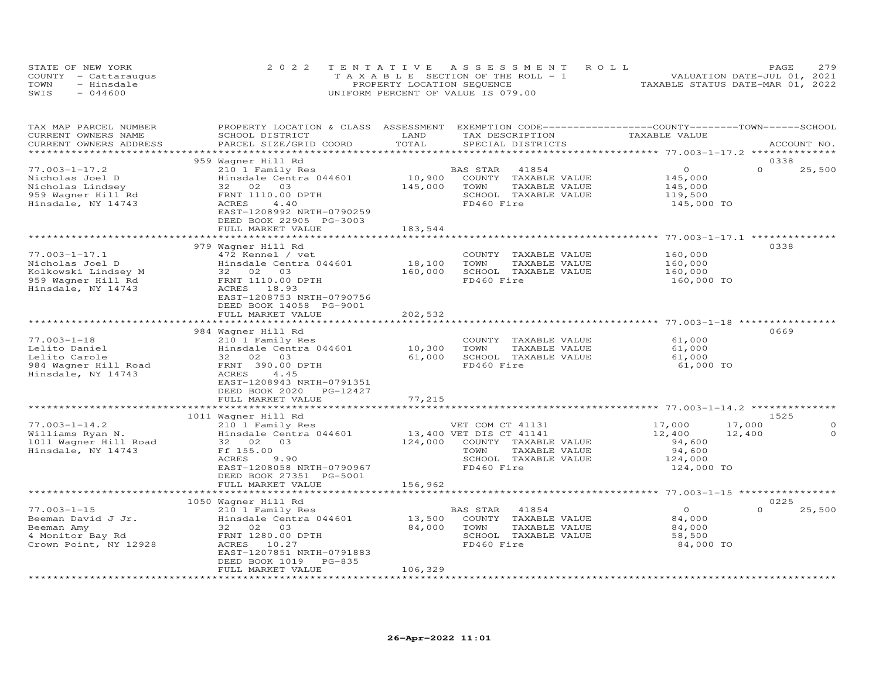| STATE OF NEW YORK    | 2022 TENTATIVE ASSESSMENT ROLL     | 2.79<br><b>PAGE</b>              |
|----------------------|------------------------------------|----------------------------------|
| COUNTY - Cattaraugus | TAXABLE SECTION OF THE ROLL - 1    | VALUATION DATE-JUL 01, 2021      |
| TOWN<br>- Hinsdale   | PROPERTY LOCATION SEQUENCE         | TAXABLE STATUS DATE-MAR 01, 2022 |
| $-044600$<br>SWIS    | UNIFORM PERCENT OF VALUE IS 079.00 |                                  |

| TAX MAP PARCEL NUMBER<br>CURRENT OWNERS NAME<br>CURRENT OWNERS ADDRESS                                    | PROPERTY LOCATION & CLASS ASSESSMENT<br>SCHOOL DISTRICT<br>PARCEL SIZE/GRID COORD                                                                                            | LAND<br>TOTAL     | EXEMPTION CODE-----------------COUNTY-------TOWN-----SCHOOL<br>TAX DESCRIPTION<br>SPECIAL DISTRICTS                                        | TAXABLE VALUE                                                 | ACCOUNT NO.                                      |
|-----------------------------------------------------------------------------------------------------------|------------------------------------------------------------------------------------------------------------------------------------------------------------------------------|-------------------|--------------------------------------------------------------------------------------------------------------------------------------------|---------------------------------------------------------------|--------------------------------------------------|
|                                                                                                           |                                                                                                                                                                              |                   |                                                                                                                                            |                                                               |                                                  |
| $77.003 - 1 - 17.2$<br>Nicholas Joel D<br>Nicholas Lindsey<br>959 Wagner Hill Rd<br>Hinsdale, NY 14743    | 959 Wagner Hill Rd<br>210 1 Family Res<br>Hinsdale Centra 044601<br>32 02 03<br>FRNT 1110.00 DPTH<br>ACRES<br>4.40<br>EAST-1208992 NRTH-0790259<br>DEED BOOK 22905 PG-3003   | 10,900<br>145,000 | BAS STAR<br>41854<br>COUNTY TAXABLE VALUE<br>TOWN<br>TAXABLE VALUE<br>SCHOOL TAXABLE VALUE<br>FD460 Fire                                   | $\circ$<br>145,000<br>145,000<br>119,500<br>145,000 TO        | 0338<br>$\Omega$<br>25,500                       |
|                                                                                                           | FULL MARKET VALUE                                                                                                                                                            | 183,544           |                                                                                                                                            |                                                               |                                                  |
|                                                                                                           |                                                                                                                                                                              |                   |                                                                                                                                            |                                                               |                                                  |
| $77.003 - 1 - 17.1$<br>Nicholas Joel D<br>Kolkowski Lindsey M<br>959 Wagner Hill Rd<br>Hinsdale, NY 14743 | 979 Wagner Hill Rd<br>472 Kennel / vet<br>Hinsdale Centra 044601<br>32 02 03<br>FRNT 1110.00 DPTH<br>ACRES 18.93<br>EAST-1208753 NRTH-0790756                                | 18,100<br>160,000 | COUNTY TAXABLE VALUE<br>TOWN<br>TAXABLE VALUE<br>SCHOOL TAXABLE VALUE<br>FD460 Fire                                                        | 160,000<br>160,000<br>160,000<br>160,000 TO                   | 0338                                             |
|                                                                                                           | DEED BOOK 14058 PG-9001<br>FULL MARKET VALUE                                                                                                                                 | 202,532           |                                                                                                                                            |                                                               |                                                  |
|                                                                                                           |                                                                                                                                                                              |                   |                                                                                                                                            |                                                               |                                                  |
| $77.003 - 1 - 18$<br>Lelito Daniel<br>Lelito Carole<br>984 Wagner Hill Road<br>Hinsdale, NY 14743         | 984 Wagner Hill Rd<br>210 1 Family Res<br>Hinsdale Centra 044601<br>32 02 03<br>FRNT 390.00 DPTH<br>ACRES<br>4.45<br>EAST-1208943 NRTH-0791351<br>DEED BOOK 2020<br>PG-12427 | 10,300<br>61,000  | COUNTY TAXABLE VALUE<br>TOWN<br>TAXABLE VALUE<br>SCHOOL TAXABLE VALUE<br>FD460 Fire                                                        | 61,000<br>61,000<br>61,000<br>61,000 TO                       | 0669                                             |
|                                                                                                           | FULL MARKET VALUE                                                                                                                                                            | 77,215            |                                                                                                                                            |                                                               |                                                  |
|                                                                                                           |                                                                                                                                                                              |                   |                                                                                                                                            |                                                               |                                                  |
| $77.003 - 1 - 14.2$<br>Williams Ryan N.<br>1011 Wagner Hill Road<br>Hinsdale, NY 14743                    | 1011 Wagner Hill Rd<br>210 1 Family Res<br>Hinsdale Centra 044601<br>32 02<br>03<br>Ff 155.00<br>ACRES<br>9.90<br>EAST-1208058 NRTH-0790967<br>DEED BOOK 27351 PG-5001       |                   | VET COM CT 41131<br>13,400 VET DIS CT 41141<br>124,000 COUNTY TAXABLE VALUE<br>TOWN<br>TAXABLE VALUE<br>SCHOOL TAXABLE VALUE<br>FD460 Fire | 17,000<br>12,400<br>94,600<br>94,600<br>124,000<br>124,000 TO | 1525<br>17,000<br>$\Omega$<br>$\Omega$<br>12,400 |
|                                                                                                           | FULL MARKET VALUE                                                                                                                                                            | 156,962           |                                                                                                                                            |                                                               |                                                  |
|                                                                                                           |                                                                                                                                                                              |                   |                                                                                                                                            |                                                               |                                                  |
| $77.003 - 1 - 15$<br>Beeman David J Jr.<br>Beeman Amy<br>4 Monitor Bay Rd<br>Crown Point, NY 12928        | 1050 Wagner Hill Rd<br>210 1 Family Res<br>Hinsdale Centra 044601<br>32 02 03<br>FRNT 1280.00 DPTH<br>ACRES 10.27<br>EAST-1207851 NRTH-0791883                               | 13,500<br>84,000  | 41854<br>BAS STAR<br>COUNTY TAXABLE VALUE<br>TOWN<br>TAXABLE VALUE<br>SCHOOL TAXABLE VALUE<br>FD460 Fire                                   | $\circ$<br>84,000<br>84,000<br>58,500<br>84,000 TO            | 0225<br>$\Omega$<br>25,500                       |
|                                                                                                           | DEED BOOK 1019 PG-835<br>FULL MARKET VALUE                                                                                                                                   | 106,329           |                                                                                                                                            |                                                               |                                                  |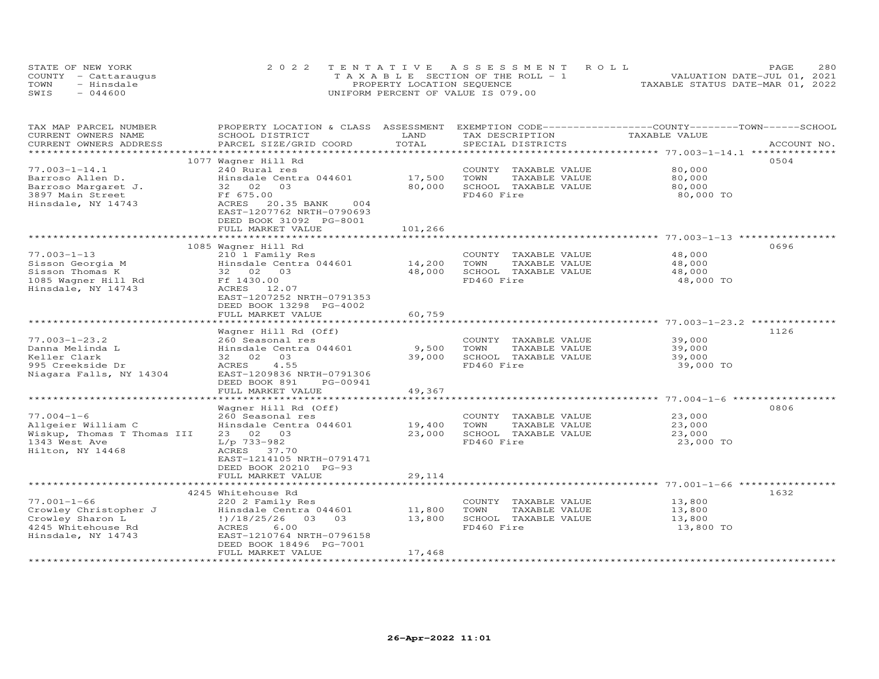|      | STATE OF NEW YORK    | 2022 TENTATIVE ASSESSMENT ROLL        | 2.80<br>PAGE                     |
|------|----------------------|---------------------------------------|----------------------------------|
|      | COUNTY - Cattaraugus | T A X A B L E SECTION OF THE ROLL - 1 | VALUATION DATE-JUL 01, 2021      |
| TOWN | - Hinsdale           | PROPERTY LOCATION SEQUENCE            | TAXABLE STATUS DATE-MAR 01, 2022 |
| SWIS | $-044600$            | UNIFORM PERCENT OF VALUE IS 079.00    |                                  |

| TAX MAP PARCEL NUMBER<br>CURRENT OWNERS NAME<br>CURRENT OWNERS ADDRESS                                     | PROPERTY LOCATION & CLASS ASSESSMENT<br>SCHOOL DISTRICT<br>PARCEL SIZE/GRID COORD                                                                                                                     | LAND<br>TOTAL               | TAX DESCRIPTION<br>SPECIAL DISTRICTS                                                | EXEMPTION CODE-----------------COUNTY-------TOWN-----SCHOOL<br>TAXABLE VALUE | ACCOUNT NO. |
|------------------------------------------------------------------------------------------------------------|-------------------------------------------------------------------------------------------------------------------------------------------------------------------------------------------------------|-----------------------------|-------------------------------------------------------------------------------------|------------------------------------------------------------------------------|-------------|
|                                                                                                            |                                                                                                                                                                                                       | *********                   |                                                                                     |                                                                              |             |
| $77.003 - 1 - 14.1$<br>Barroso Allen D.<br>Barroso Margaret J.<br>3897 Main Street<br>Hinsdale, NY 14743   | 1077 Wagner Hill Rd<br>240 Rural res<br>Hinsdale Centra 044601<br>32 02<br>03<br>Ff 675.00<br>ACRES<br>20.35 BANK<br>004<br>EAST-1207762 NRTH-0790693<br>DEED BOOK 31092 PG-8001<br>FULL MARKET VALUE | 17,500<br>80,000<br>101,266 | COUNTY TAXABLE VALUE<br>TOWN<br>TAXABLE VALUE<br>SCHOOL TAXABLE VALUE<br>FD460 Fire | 80,000<br>80,000<br>80,000<br>80,000 TO                                      | 0504        |
|                                                                                                            |                                                                                                                                                                                                       | *************               |                                                                                     | ******************************** 77.003-1-13 **********                      |             |
| $77.003 - 1 - 13$<br>Sisson Georgia M<br>Sisson Thomas K<br>1085 Wagner Hill Rd<br>Hinsdale, NY 14743      | 1085 Wagner Hill Rd<br>210 1 Family Res<br>Hinsdale Centra 044601<br>32 02 03<br>Ff 1430.00<br>ACRES<br>12.07<br>EAST-1207252 NRTH-0791353<br>DEED BOOK 13298 PG-4002                                 | 14,200<br>48,000            | COUNTY TAXABLE VALUE<br>TOWN<br>TAXABLE VALUE<br>SCHOOL TAXABLE VALUE<br>FD460 Fire | 48,000<br>48,000<br>48,000<br>48,000 TO                                      | 0696        |
|                                                                                                            | FULL MARKET VALUE                                                                                                                                                                                     | 60,759                      |                                                                                     |                                                                              |             |
| $77.003 - 1 - 23.2$<br>Danna Melinda L<br>Keller Clark<br>995 Creekside Dr                                 | Wagner Hill Rd (Off)<br>260 Seasonal res<br>Hinsdale Centra 044601<br>32 02<br>03<br>ACRES<br>4.55                                                                                                    | 9,500<br>39,000             | COUNTY TAXABLE VALUE<br>TOWN<br>TAXABLE VALUE<br>SCHOOL TAXABLE VALUE<br>FD460 Fire | 39,000<br>39,000<br>39,000<br>39,000 TO                                      | 1126        |
| Niagara Falls, NY 14304                                                                                    | EAST-1209836 NRTH-0791306<br>DEED BOOK 891<br>PG-00941<br>FULL MARKET VALUE<br>*******************                                                                                                    | 49,367                      |                                                                                     |                                                                              |             |
|                                                                                                            | Wagner Hill Rd (Off)                                                                                                                                                                                  |                             |                                                                                     |                                                                              | 0806        |
| $77.004 - 1 - 6$<br>Allgeier William C<br>Wiskup, Thomas T Thomas III<br>1343 West Ave<br>Hilton, NY 14468 | 260 Seasonal res<br>Hinsdale Centra 044601<br>23 02 03<br>$L/p$ 733-982<br>ACRES 37.70<br>EAST-1214105 NRTH-0791471<br>DEED BOOK 20210 PG-93<br>FULL MARKET VALUE                                     | 19,400<br>23,000<br>29,114  | COUNTY TAXABLE VALUE<br>TOWN<br>TAXABLE VALUE<br>SCHOOL TAXABLE VALUE<br>FD460 Fire | 23,000<br>23,000<br>23,000<br>23,000 TO                                      |             |
|                                                                                                            | *************************                                                                                                                                                                             | ************                |                                                                                     | ******************************** 77.001-1-66 *****************               |             |
|                                                                                                            | 4245 Whitehouse Rd                                                                                                                                                                                    |                             |                                                                                     |                                                                              | 1632        |
| $77.001 - 1 - 66$<br>Crowley Christopher J<br>Crowley Sharon L<br>4245 Whitehouse Rd<br>Hinsdale, NY 14743 | 220 2 Family Res<br>Hinsdale Centra 044601<br>03<br>!)/18/25/26<br>0.3<br>6.00<br>ACRES<br>EAST-1210764 NRTH-0796158<br>DEED BOOK 18496 PG-7001<br>FULL MARKET VALUE                                  | 11,800<br>13,800<br>17,468  | COUNTY TAXABLE VALUE<br>TOWN<br>TAXABLE VALUE<br>SCHOOL TAXABLE VALUE<br>FD460 Fire | 13,800<br>13,800<br>13,800<br>13,800 TO                                      |             |
|                                                                                                            |                                                                                                                                                                                                       |                             |                                                                                     |                                                                              |             |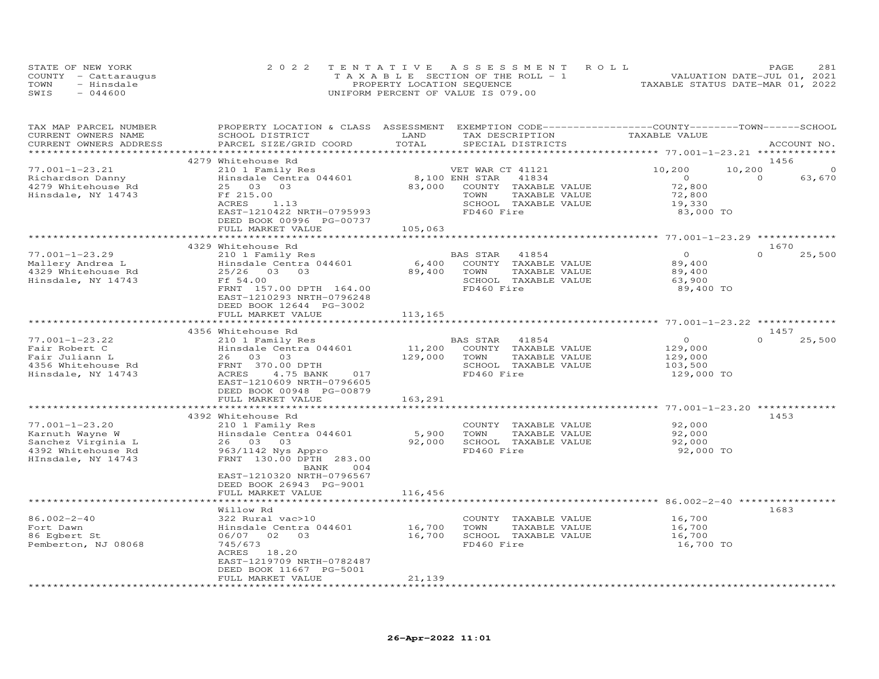|      | STATE OF NEW YORK    | 2022 TENTATIVE ASSESSMENT ROLL        | 2.81<br>PAGE                     |
|------|----------------------|---------------------------------------|----------------------------------|
|      | COUNTY - Cattaraugus | T A X A B L E SECTION OF THE ROLL - 1 | VALUATION DATE-JUL 01, 2021      |
| TOWN | - Hinsdale           | PROPERTY LOCATION SEQUENCE            | TAXABLE STATUS DATE-MAR 01, 2022 |
| SWIS | $-044600$            | UNIFORM PERCENT OF VALUE IS 079.00    |                                  |

| TAX MAP PARCEL NUMBER<br>CURRENT OWNERS NAME | PROPERTY LOCATION & CLASS ASSESSMENT<br>SCHOOL DISTRICT | LAND               | EXEMPTION CODE-----------------COUNTY-------TOWN------SCHOOL<br>TAX DESCRIPTION | TAXABLE VALUE                                        |                    |
|----------------------------------------------|---------------------------------------------------------|--------------------|---------------------------------------------------------------------------------|------------------------------------------------------|--------------------|
| CURRENT OWNERS ADDRESS                       | PARCEL SIZE/GRID COORD                                  | TOTAL              | SPECIAL DISTRICTS                                                               |                                                      | ACCOUNT NO.        |
|                                              | 4279 Whitehouse Rd                                      |                    |                                                                                 |                                                      | 1456               |
| $77.001 - 1 - 23.21$                         | 210 1 Family Res                                        |                    | VET WAR CT 41121                                                                | 10,200<br>10,200                                     | $\Omega$           |
| Richardson Danny                             | Hinsdale Centra 044601                                  |                    | 8,100 ENH STAR<br>41834                                                         | $\overline{O}$                                       | $\Omega$<br>63,670 |
| 4279 Whitehouse Rd                           | 25 03 03                                                | 83,000             | COUNTY TAXABLE VALUE                                                            | 72,800                                               |                    |
| Hinsdale, NY 14743                           | Ff 215.00                                               |                    | TOWN<br>TAXABLE VALUE                                                           | 72,800                                               |                    |
|                                              | ACRES<br>1.13                                           |                    | SCHOOL TAXABLE VALUE                                                            | 19,330                                               |                    |
|                                              | EAST-1210422 NRTH-0795993                               |                    | FD460 Fire                                                                      | 83,000 TO                                            |                    |
|                                              | DEED BOOK 00996 PG-00737                                |                    |                                                                                 |                                                      |                    |
|                                              | FULL MARKET VALUE                                       | 105,063            |                                                                                 |                                                      |                    |
|                                              | ***********************                                 | ****************** |                                                                                 |                                                      |                    |
|                                              | 4329 Whitehouse Rd                                      |                    |                                                                                 |                                                      | 1670               |
| $77.001 - 1 - 23.29$                         | 210 1 Family Res                                        |                    | BAS STAR<br>41854                                                               | $\Omega$                                             | $\Omega$<br>25,500 |
| Mallery Andrea L                             | Hinsdale Centra 044601                                  | 6,400              | COUNTY TAXABLE VALUE                                                            | 89,400                                               |                    |
| 4329 Whitehouse Rd                           | 25/26 03 03                                             | 89,400             | TAXABLE VALUE<br>TOWN                                                           | 89,400                                               |                    |
| Hinsdale, NY 14743                           | Ff 54.00                                                |                    | SCHOOL TAXABLE VALUE                                                            | 63,900                                               |                    |
|                                              | FRNT 157.00 DPTH 164.00                                 |                    | FD460 Fire                                                                      | 89,400 TO                                            |                    |
|                                              | EAST-1210293 NRTH-0796248                               |                    |                                                                                 |                                                      |                    |
|                                              | DEED BOOK 12644 PG-3002                                 |                    |                                                                                 |                                                      |                    |
|                                              | FULL MARKET VALUE                                       | 113,165            |                                                                                 |                                                      |                    |
|                                              |                                                         |                    |                                                                                 |                                                      |                    |
|                                              | 4356 Whitehouse Rd                                      |                    |                                                                                 |                                                      | 1457               |
| $77.001 - 1 - 23.22$                         | 210 1 Family Res                                        |                    | BAS STAR<br>41854                                                               | $\overline{O}$                                       | $\Omega$<br>25,500 |
| Fair Robert C                                | Hinsdale Centra 044601                                  | 11,200             | COUNTY TAXABLE VALUE                                                            | 129,000                                              |                    |
| Fair Juliann L                               | 26 03 03                                                | 129,000            | TOWN<br>TAXABLE VALUE                                                           | 129,000                                              |                    |
| 4356 Whitehouse Rd                           | FRNT 370.00 DPTH                                        |                    | SCHOOL TAXABLE VALUE                                                            | 103,500                                              |                    |
| Hinsdale, NY 14743                           | 4.75 BANK<br>ACRES<br>017                               |                    | FD460 Fire                                                                      | 129,000 TO                                           |                    |
|                                              | EAST-1210609 NRTH-0796605                               |                    |                                                                                 |                                                      |                    |
|                                              | DEED BOOK 00948 PG-00879                                |                    |                                                                                 |                                                      |                    |
|                                              | FULL MARKET VALUE                                       | 163,291            |                                                                                 |                                                      |                    |
|                                              |                                                         | *************      |                                                                                 | *********************** 77.001-1-23.20 ************* |                    |
|                                              | 4392 Whitehouse Rd                                      |                    |                                                                                 |                                                      | 1453               |
| $77.001 - 1 - 23.20$                         | 210 1 Family Res                                        |                    | COUNTY TAXABLE VALUE                                                            | 92,000                                               |                    |
| Karnuth Wayne W                              | Hinsdale Centra 044601                                  | 5,900              | TOWN<br>TAXABLE VALUE                                                           | 92,000                                               |                    |
| Sanchez Virginia L                           | 26 03 03                                                | 92,000             | SCHOOL TAXABLE VALUE                                                            | 92,000                                               |                    |
| 4392 Whitehouse Rd                           | 963/1142 Nys Appro                                      |                    | FD460 Fire                                                                      | 92,000 TO                                            |                    |
| HInsdale, NY 14743                           | FRNT 130.00 DPTH 283.00                                 |                    |                                                                                 |                                                      |                    |
|                                              | BANK<br>004                                             |                    |                                                                                 |                                                      |                    |
|                                              | EAST-1210320 NRTH-0796567                               |                    |                                                                                 |                                                      |                    |
|                                              | DEED BOOK 26943 PG-9001                                 |                    |                                                                                 |                                                      |                    |
|                                              | FULL MARKET VALUE                                       | 116,456            |                                                                                 |                                                      |                    |
|                                              |                                                         |                    |                                                                                 |                                                      |                    |
|                                              | Willow Rd                                               |                    |                                                                                 |                                                      | 1683               |
| $86.002 - 2 - 40$                            | 322 Rural vac>10                                        |                    | COUNTY TAXABLE VALUE                                                            | 16,700                                               |                    |
| Fort Dawn                                    | Hinsdale Centra 044601                                  | 16,700             | TOWN<br>TAXABLE VALUE                                                           | 16,700                                               |                    |
| 86 Eqbert St                                 | 06/07 02 03                                             | 16,700             | SCHOOL TAXABLE VALUE                                                            | 16,700                                               |                    |
| Pemberton, NJ 08068                          | 745/673                                                 |                    | FD460 Fire                                                                      | 16,700 TO                                            |                    |
|                                              | ACRES 18.20                                             |                    |                                                                                 |                                                      |                    |
|                                              | EAST-1219709 NRTH-0782487                               |                    |                                                                                 |                                                      |                    |
|                                              | DEED BOOK 11667 PG-5001                                 |                    |                                                                                 |                                                      |                    |
|                                              | FULL MARKET VALUE                                       | 21,139             |                                                                                 |                                                      |                    |
|                                              |                                                         |                    |                                                                                 |                                                      |                    |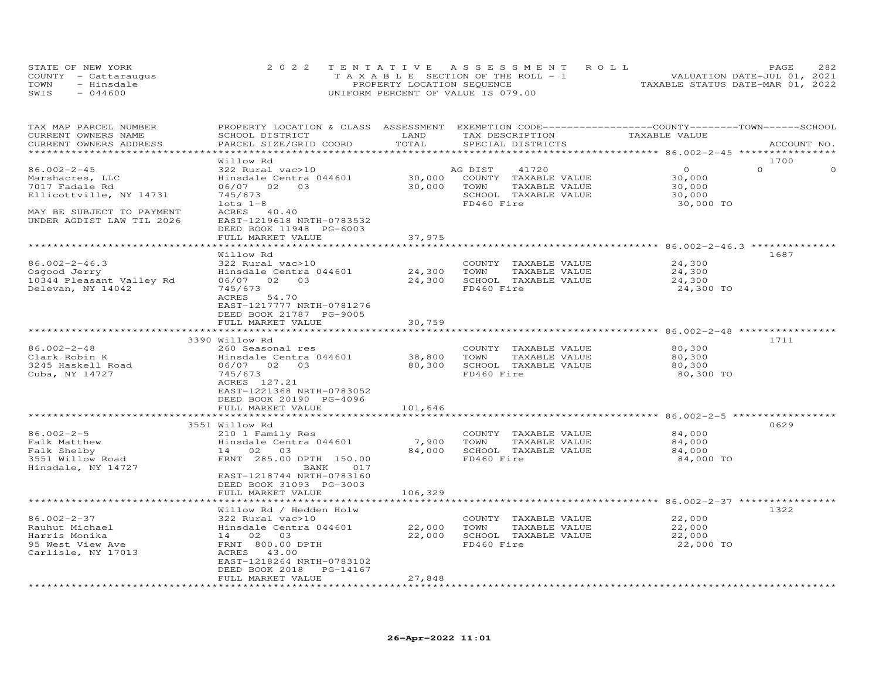|      | STATE OF NEW YORK    | 2022 TENTATIVE ASSESSMENT ROLL        | 2.82<br>PAGE                     |
|------|----------------------|---------------------------------------|----------------------------------|
|      | COUNTY - Cattaraugus | T A X A B L E SECTION OF THE ROLL - 1 | VALUATION DATE-JUL 01, 2021      |
| TOWN | - Hinsdale           | PROPERTY LOCATION SEQUENCE            | TAXABLE STATUS DATE-MAR 01, 2022 |
| SWIS | $-044600$            | UNIFORM PERCENT OF VALUE IS 079.00    |                                  |

| TAX MAP PARCEL NUMBER<br>CURRENT OWNERS NAME<br>CURRENT OWNERS ADDRESS | PROPERTY LOCATION & CLASS ASSESSMENT EXEMPTION CODE----------------COUNTY-------TOWN------SCHOOL<br>SCHOOL DISTRICT<br>PARCEL SIZE/GRID COORD | LAND<br>TOTAL | TAX DESCRIPTION<br>SPECIAL DISTRICTS                                         | TAXABLE VALUE                 | ACCOUNT NO.      |
|------------------------------------------------------------------------|-----------------------------------------------------------------------------------------------------------------------------------------------|---------------|------------------------------------------------------------------------------|-------------------------------|------------------|
|                                                                        |                                                                                                                                               |               |                                                                              |                               |                  |
| $86.002 - 2 - 45$<br>Marshacres, LLC                                   | Willow Rd<br>322 Rural vac>10<br>Hinsdale Centra 044601                                                                                       |               | AG DIST<br>41720<br>30,000 COUNTY TAXABLE VALUE<br>30,000 TOWN TAXABLE VALUE | $\circ$<br>30,000             | 1700<br>$\Omega$ |
| 7017 Fadale Rd<br>Ellicottville, NY 14731                              | 06/07 02 03<br>745/673<br>$lots 1-8$                                                                                                          |               | SCHOOL TAXABLE VALUE<br>FD460 Fire                                           | 30,000<br>30,000<br>30,000 TO |                  |
| MAY BE SUBJECT TO PAYMENT<br>UNDER AGDIST LAW TIL 2026                 | ACRES 40.40<br>EAST-1219618 NRTH-0783532<br>DEED BOOK 11948 PG-6003<br>FULL MARKET VALUE                                                      | 37,975        |                                                                              |                               |                  |
|                                                                        |                                                                                                                                               |               |                                                                              |                               |                  |
| $86.002 - 2 - 46.3$                                                    | Willow Rd<br>322 Rural vac>10                                                                                                                 |               | COUNTY TAXABLE VALUE                                                         | 24,300                        | 1687             |
| Osgood Jerry                                                           | Hinsdale Centra 044601                                                                                                                        | 24,300 TOWN   | TAXABLE VALUE                                                                | 24,300                        |                  |
| 10344 Pleasant Valley Rd                                               | 06/07 02 03                                                                                                                                   |               | 24,300 SCHOOL TAXABLE VALUE                                                  | 24,300                        |                  |
| Delevan, NY 14042                                                      | 745/673<br>ACRES 54.70<br>EAST-1217777 NRTH-0781276<br>DEED BOOK 21787 PG-9005                                                                |               | FD460 Fire                                                                   | 24,300 TO                     |                  |
|                                                                        | FULL MARKET VALUE                                                                                                                             | 30,759        |                                                                              |                               |                  |
|                                                                        | 3390 Willow Rd                                                                                                                                |               |                                                                              |                               | 1711             |
| 86.002-2-48                                                            | 260 Seasonal res                                                                                                                              |               | COUNTY TAXABLE VALUE                                                         | 80,300                        |                  |
| Clark Robin K                                                          | Hinsdale Centra 044601                                                                                                                        | 38,800 TOWN   | TAXABLE VALUE                                                                | 80,300                        |                  |
| 3245 Haskell Road                                                      | 06/07 02 03                                                                                                                                   | 80,300        | SCHOOL TAXABLE VALUE                                                         | 80,300                        |                  |
| Cuba, NY 14727                                                         | 745/673<br>ACRES 127.21                                                                                                                       |               | FD460 Fire                                                                   | 80,300 TO                     |                  |
|                                                                        | EAST-1221368 NRTH-0783052<br>DEED BOOK 20190 PG-4096                                                                                          |               |                                                                              |                               |                  |
|                                                                        | FULL MARKET VALUE                                                                                                                             | 101,646       |                                                                              |                               |                  |
|                                                                        | 3551 Willow Rd                                                                                                                                |               |                                                                              |                               | 0629             |
| $86.002 - 2 - 5$                                                       | 210 1 Family Res                                                                                                                              |               | COUNTY TAXABLE VALUE                                                         | 84,000                        |                  |
| Falk Matthew                                                           | Hinsdale Centra 044601                                                                                                                        | 7,900         | TOWN<br>TAXABLE VALUE                                                        | 84,000                        |                  |
| Falk Shelby                                                            | 14 02 03                                                                                                                                      | 84,000        | SCHOOL TAXABLE VALUE                                                         | 84,000                        |                  |
| 3551 Willow Road<br>Hinsdale, NY 14727                                 | FRNT 285.00 DPTH 150.00<br>BANK<br>017<br>EAST-1218744 NRTH-0783160<br>DEED BOOK 31093 PG-3003                                                |               | FD460 Fire                                                                   | 84,000 TO                     |                  |
|                                                                        | FULL MARKET VALUE                                                                                                                             | 106,329       |                                                                              |                               |                  |
|                                                                        |                                                                                                                                               |               |                                                                              |                               |                  |
| $86.002 - 2 - 37$                                                      | Willow Rd / Hedden Holw<br>322 Rural vac>10                                                                                                   |               | COUNTY TAXABLE VALUE                                                         | 22,000                        | 1322             |
| Rauhut Michael                                                         | Hinsdale Centra 044601                                                                                                                        |               | 22,000 TOWN<br>TAXABLE VALUE                                                 | 22,000                        |                  |
| Harris Monika                                                          | 14 02 03                                                                                                                                      |               | 22,000 SCHOOL TAXABLE VALUE                                                  | 22,000                        |                  |
| 95 West View Ave<br>Carlisle, NY 17013                                 | FRNT 800.00 DPTH<br>ACRES 43.00<br>EAST-1218264 NRTH-0783102<br>DEED BOOK 2018<br>PG-14167                                                    |               | FD460 Fire                                                                   | 22,000 TO                     |                  |
|                                                                        | FULL MARKET VALUE                                                                                                                             | 27,848        |                                                                              |                               |                  |
|                                                                        |                                                                                                                                               |               |                                                                              |                               |                  |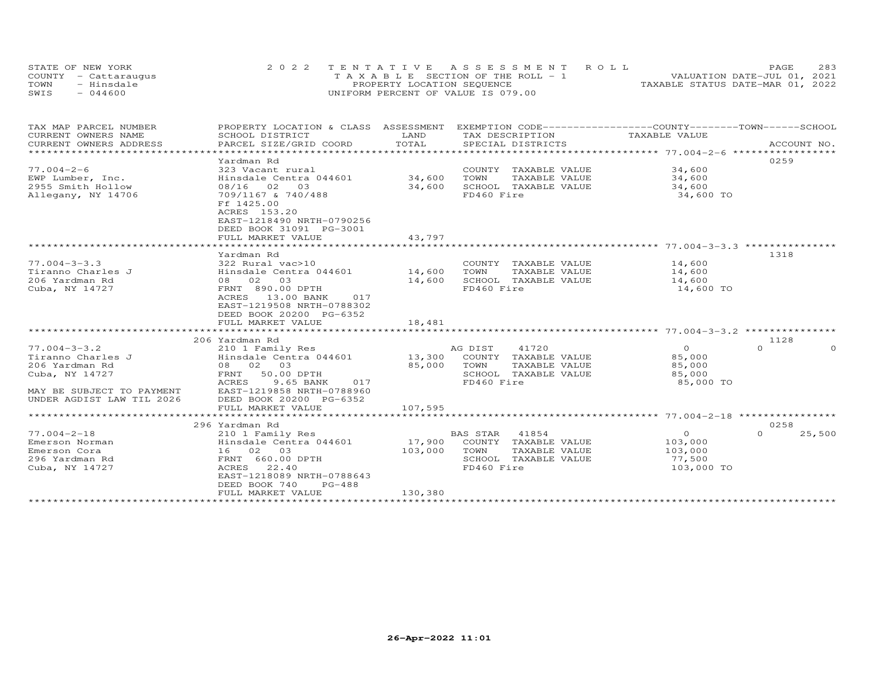| STATE OF NEW YORK    | 2022 TENTATIVE ASSESSMENT ROLL        | 283<br>PAGE.                     |
|----------------------|---------------------------------------|----------------------------------|
| COUNTY - Cattaraugus | T A X A B L E SECTION OF THE ROLL - 1 | VALUATION DATE-JUL 01, 2021      |
| TOWN<br>- Hinsdale   | PROPERTY LOCATION SEQUENCE            | TAXABLE STATUS DATE-MAR 01, 2022 |
| $-044600$<br>SWIS    | UNIFORM PERCENT OF VALUE IS 079.00    |                                  |

| PROPERTY LOCATION & CLASS ASSESSMENT EXEMPTION CODE----------------COUNTY-------TOWN------SCHOOL<br>TAX MAP PARCEL NUMBER |                                      |
|---------------------------------------------------------------------------------------------------------------------------|--------------------------------------|
| CURRENT OWNERS NAME<br>SCHOOL DISTRICT<br>LAND<br>TAX DESCRIPTION<br>TAXABLE VALUE<br>TOTAL                               |                                      |
| CURRENT OWNERS ADDRESS<br>PARCEL SIZE/GRID COORD<br>SPECIAL DISTRICTS                                                     | ACCOUNT NO.                          |
|                                                                                                                           | 0259                                 |
| Yardman Rd<br>$77.004 - 2 - 6$<br>323 Vacant rural<br>COUNTY TAXABLE VALUE                                                |                                      |
| 34,600<br>34,600<br>EWP Lumber, Inc.<br>Hinsdale Centra 044601<br>TOWN<br>TAXABLE VALUE                                   | 34,600                               |
| 2955 Smith Hollow<br>08/16 02 03<br>34,600<br>SCHOOL TAXABLE VALUE                                                        | 34,600                               |
| Allegany, NY 14706<br>709/1167 & 740/488<br>FD460 Fire                                                                    | 34,600 TO                            |
| Ff 1425.00                                                                                                                |                                      |
| ACRES 153.20                                                                                                              |                                      |
| EAST-1218490 NRTH-0790256                                                                                                 |                                      |
| DEED BOOK 31091 PG-3001                                                                                                   |                                      |
| FULL MARKET VALUE<br>43,797                                                                                               |                                      |
|                                                                                                                           |                                      |
| Yardman Rd                                                                                                                | 1318                                 |
| $77.004 - 3 - 3.3$<br>322 Rural vac>10<br>COUNTY TAXABLE VALUE 14,600                                                     |                                      |
| Tiranno Charles J<br>Hinsdale Centra 044601 14,600<br>TOWN<br>TAXABLE VALUE                                               | 14,600                               |
| 08 02 03<br>14,600<br>SCHOOL TAXABLE VALUE<br>206 Yardman Rd                                                              | 14,600                               |
| FRNT 890.00 DPTH<br>FD460 Fire<br>Cuba, NY 14727                                                                          | 14,600 TO                            |
| ACRES 13.00 BANK<br>017                                                                                                   |                                      |
| EAST-1219508 NRTH-0788302                                                                                                 |                                      |
| DEED BOOK 20200 PG-6352                                                                                                   |                                      |
| FULL MARKET VALUE<br>18,481                                                                                               |                                      |
|                                                                                                                           |                                      |
| 206 Yardman Rd                                                                                                            | 1128                                 |
| 41720<br>$77.004 - 3 - 3.2$<br>AG DIST<br>210 1 Family Res                                                                | $\overline{O}$<br>$\Omega$           |
| Hinsdale Centra 044601<br>13,300 COUNTY TAXABLE VALUE<br>Tiranno Charles J                                                | 85,000                               |
| 08 02 03<br>85,000<br>206 Yardman Rd<br>TOWN<br>TAXABLE VALUE                                                             | 85,000                               |
| SCHOOL TAXABLE VALUE<br>Cuba, NY 14727<br>FRNT<br>50.00 DPTH                                                              | 85,000                               |
| 9.65 BANK<br>FD460 Fire<br>ACRES<br>017                                                                                   | 85,000 TO                            |
| EAST-1219858 NRTH-0788960<br>MAY BE SUBJECT TO PAYMENT                                                                    |                                      |
| UNDER AGDIST LAW TIL 2026<br>DEED BOOK 20200 PG-6352                                                                      |                                      |
| 107,595<br>FULL MARKET VALUE                                                                                              |                                      |
|                                                                                                                           |                                      |
| 296 Yardman Rd                                                                                                            | 0258                                 |
| BAS STAR 41854<br>$77.004 - 2 - 18$<br>210 1 Family Res                                                                   | $\overline{O}$<br>$\Omega$<br>25,500 |
| 17,900 COUNTY TAXABLE VALUE<br>Hinsdale Centra 044601<br>Emerson Norman                                                   | 103,000                              |
| 16 02 03<br>103,000<br>TOWN<br>TAXABLE VALUE<br>Emerson Cora                                                              | 103,000                              |
| FRNT 660.00 DPTH<br>SCHOOL TAXABLE VALUE<br>296 Yardman Rd                                                                | 77,500                               |
| 22.40<br>FD460 Fire<br>Cuba, NY 14727<br>ACRES                                                                            | 103,000 TO                           |
| EAST-1218089 NRTH-0788643                                                                                                 |                                      |
| DEED BOOK 740<br>$PG-488$<br>130,380<br>FULL MARKET VALUE                                                                 |                                      |
|                                                                                                                           |                                      |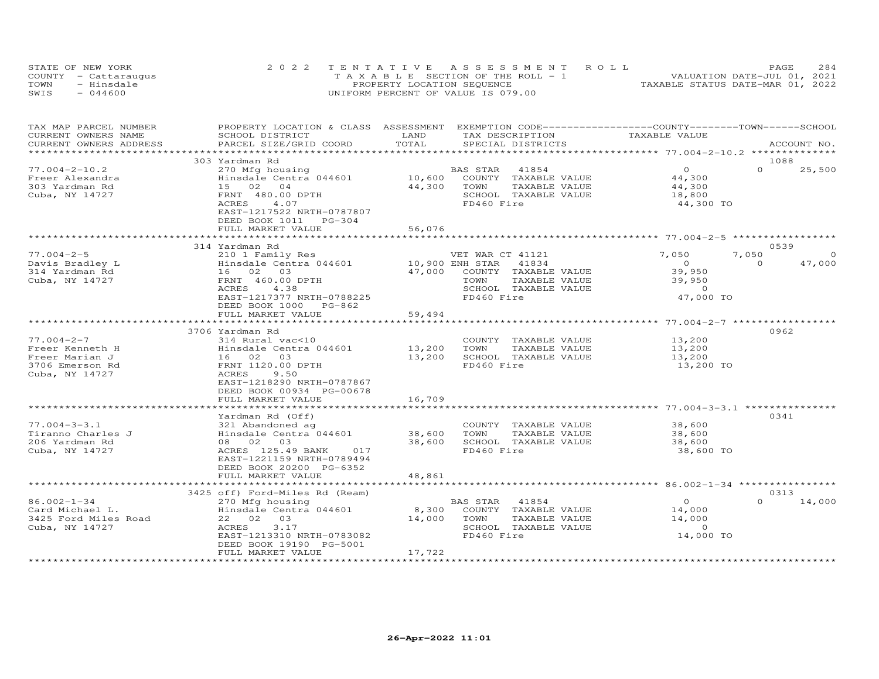| STATE OF NEW YORK    | 2022 TENTATIVE ASSESSMENT ROLL        | 284<br>PAGE.                     |
|----------------------|---------------------------------------|----------------------------------|
| COUNTY - Cattaraugus | T A X A B L E SECTION OF THE ROLL - 1 | VALUATION DATE-JUL 01, 2021      |
| TOWN<br>- Hinsdale   | PROPERTY LOCATION SEQUENCE            | TAXABLE STATUS DATE-MAR 01, 2022 |
| $-044600$<br>SWIS    | UNIFORM PERCENT OF VALUE IS 079.00    |                                  |

| TAX MAP PARCEL NUMBER<br>CURRENT OWNERS NAME                                               | SCHOOL DISTRICT                                                                                                                                                                     | LAND<br>TAX DESCRIPTION                                                                                                                       | PROPERTY LOCATION & CLASS ASSESSMENT EXEMPTION CODE----------------COUNTY--------TOWN------SCHOOL<br>TAXABLE VALUE |
|--------------------------------------------------------------------------------------------|-------------------------------------------------------------------------------------------------------------------------------------------------------------------------------------|-----------------------------------------------------------------------------------------------------------------------------------------------|--------------------------------------------------------------------------------------------------------------------|
| CURRENT OWNERS ADDRESS<br>***********************                                          | PARCEL SIZE/GRID COORD                                                                                                                                                              | TOTAL<br>SPECIAL DISTRICTS                                                                                                                    | ACCOUNT NO.                                                                                                        |
|                                                                                            | 303 Yardman Rd                                                                                                                                                                      |                                                                                                                                               | 1088                                                                                                               |
| $77.004 - 2 - 10.2$<br>Freer Alexandra<br>303 Yardman Rd<br>Cuba, NY 14727                 | 270 Mfg housing<br>Hinsdale Centra 044601<br>15 02 04<br>FRNT 480.00 DPTH<br>ACRES<br>4.07<br>EAST-1217522 NRTH-0787807<br>DEED BOOK 1011<br>$PG-304$<br>FULL MARKET VALUE          | 41854<br>BAS STAR<br>10,600<br>COUNTY TAXABLE VALUE<br>44,300<br>TOWN<br>TAXABLE VALUE<br>SCHOOL TAXABLE VALUE<br>FD460 Fire<br>56,076        | $\circ$<br>$\Omega$<br>25,500<br>44,300<br>44,300<br>18,800<br>44,300 TO                                           |
|                                                                                            |                                                                                                                                                                                     |                                                                                                                                               |                                                                                                                    |
|                                                                                            | 314 Yardman Rd                                                                                                                                                                      |                                                                                                                                               | 0539                                                                                                               |
| $77.004 - 2 - 5$<br>Davis Bradley L<br>314 Yardman Rd<br>Cuba, NY 14727                    | 210 1 Family Res<br>Hinsdale Centra 044601<br>16 02 03<br>FRNT 460.00 DPTH<br>ACRES<br>4.38<br>EAST-1217377 NRTH-0788225<br>DEED BOOK 1000 PG-862                                   | VET WAR CT 41121<br>10,900 ENH STAR<br>41834<br>47,000<br>COUNTY TAXABLE VALUE<br>TOWN<br>TAXABLE VALUE<br>SCHOOL TAXABLE VALUE<br>FD460 Fire | 7,050<br>7,050<br>$\Omega$<br>47,000<br>$\circ$<br>$\Omega$<br>39,950<br>39,950<br>$\overline{0}$<br>47,000 TO     |
|                                                                                            | FULL MARKET VALUE                                                                                                                                                                   | 59,494                                                                                                                                        |                                                                                                                    |
|                                                                                            | 3706 Yardman Rd                                                                                                                                                                     |                                                                                                                                               | 0962                                                                                                               |
| $77.004 - 2 - 7$<br>Freer Kenneth H<br>Freer Marian J<br>3706 Emerson Rd<br>Cuba, NY 14727 | 314 Rural vac<10<br>Hinsdale Centra 044601<br>16 02 03<br>FRNT 1120.00 DPTH<br>ACRES<br>9.50<br>EAST-1218290 NRTH-0787867<br>DEED BOOK 00934 PG-00678                               | COUNTY TAXABLE VALUE<br>13,200<br>TOWN<br>TAXABLE VALUE<br>13,200<br>SCHOOL TAXABLE VALUE<br>FD460 Fire                                       | 13,200<br>13,200<br>13,200<br>13,200 TO                                                                            |
|                                                                                            | FULL MARKET VALUE                                                                                                                                                                   | 16,709                                                                                                                                        |                                                                                                                    |
|                                                                                            | ************************                                                                                                                                                            |                                                                                                                                               |                                                                                                                    |
| $77.004 - 3 - 3.1$<br>Tiranno Charles J<br>206 Yardman Rd<br>Cuba, NY 14727                | Yardman Rd (Off)<br>321 Abandoned ag<br>Hinsdale Centra 044601<br>08 02 03<br>ACRES 125.49 BANK<br>017<br>EAST-1221159 NRTH-0789494<br>DEED BOOK 20200 PG-6352<br>FULL MARKET VALUE | COUNTY TAXABLE VALUE<br>38,600<br>TOWN<br>TAXABLE VALUE<br>38,600<br>SCHOOL TAXABLE VALUE<br>FD460 Fire<br>48,861                             | 0341<br>38,600<br>38,600<br>38,600<br>38,600 TO                                                                    |
|                                                                                            | *************************                                                                                                                                                           |                                                                                                                                               |                                                                                                                    |
|                                                                                            | 3425 off) Ford-Miles Rd (Ream)                                                                                                                                                      |                                                                                                                                               | 0313                                                                                                               |
| $86.002 - 1 - 34$<br>Card Michael L.<br>3425 Ford Miles Road<br>Cuba, NY 14727             | 270 Mfg housing<br>Hinsdale Centra 044601<br>03<br>22 02<br>ACRES<br>3.17<br>EAST-1213310 NRTH-0783082<br>DEED BOOK 19190 PG-5001                                                   | BAS STAR<br>41854<br>8,300<br>COUNTY TAXABLE VALUE<br>TAXABLE VALUE<br>14,000<br>TOWN<br>SCHOOL TAXABLE VALUE<br>FD460 Fire                   | $\overline{0}$<br>$\Omega$<br>14,000<br>14,000<br>14,000<br>$\Omega$<br>14,000 TO                                  |
|                                                                                            | FULL MARKET VALUE                                                                                                                                                                   | 17,722                                                                                                                                        |                                                                                                                    |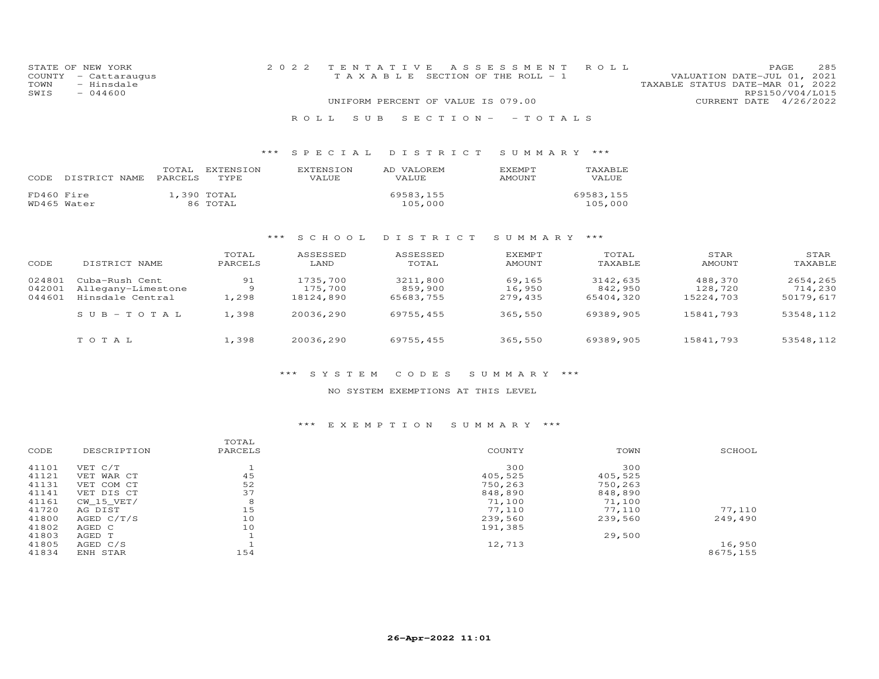| STATE OF NEW YORK    | 2022 TENTATIVE ASSESSMENT ROLL     | 285<br>PAGE.                     |
|----------------------|------------------------------------|----------------------------------|
| COUNTY - Cattaraugus | TAXABLE SECTION OF THE ROLL - 1    | VALUATION DATE-JUL 01, 2021      |
| TOWN<br>- Hinsdale   |                                    | TAXABLE STATUS DATE-MAR 01, 2022 |
| $-044600$<br>SWIS    |                                    | RPS150/V04/L015                  |
|                      | UNIFORM PERCENT OF VALUE IS 079.00 | CURRENT DATE 4/26/2022           |
|                      |                                    |                                  |

## \*\*\* S P E C I A L D I S T R I C T S U M M A R Y \*\*\*

R O L L S U B S E C T I O N - - T O T A L S

| CODE       | DISTRICT NAME | TOTAL<br>PARCELS | EXTENSION<br><b>TYPE</b> | <b>EXTENSION</b><br>VALUE | AD VALOREM<br>VALUE  | <b>F.XFMPT</b><br>AMOUNT | <b>TAXABLE</b><br>VALUE |
|------------|---------------|------------------|--------------------------|---------------------------|----------------------|--------------------------|-------------------------|
| FD460 Fire | WD465 Water   |                  | 1,390 TOTAL<br>86 TOTAL  |                           | 69583.155<br>105,000 |                          | 69583,155<br>105,000    |

### \*\*\* S C H O O L D I S T R I C T S U M M A R Y \*\*\*

| CODE   | DISTRICT NAME      | TOTAL<br>PARCELS | ASSESSED<br>LAND | ASSESSED<br>TOTAL | EXEMPT<br><b>AMOUNT</b> | TOTAL<br>TAXABLE | STAR<br>AMOUNT | STAR<br>TAXABLE |
|--------|--------------------|------------------|------------------|-------------------|-------------------------|------------------|----------------|-----------------|
| 024801 | Cuba-Rush Cent     | 91               | 1735,700         | 3211,800          | 69,165                  | 3142,635         | 488,370        | 2654,265        |
| 042001 | Allegany-Limestone | 9                | 175,700          | 859,900           | 16,950                  | 842,950          | 128,720        | 714,230         |
| 044601 | Hinsdale Central   | 1,298            | 18124,890        | 65683,755         | 279.435                 | 65404,320        | 15224,703      | 50179,617       |
|        | $SUB-TOTAL$        | 1,398            | 20036,290        | 69755,455         | 365,550                 | 69389,905        | 15841,793      | 53548,112       |
|        | TOTAL              | 1,398            | 20036,290        | 69755,455         | 365,550                 | 69389,905        | 15841,793      | 53548,112       |

#### \*\*\* S Y S T E M C O D E S S U M M A R Y \*\*\*

### NO SYSTEM EXEMPTIONS AT THIS LEVEL

### \*\*\* E X E M P T I O N S U M M A R Y \*\*\*

|       |              | TOTAL   |         |         |          |
|-------|--------------|---------|---------|---------|----------|
| CODE  | DESCRIPTION  | PARCELS | COUNTY  | TOWN    | SCHOOL   |
| 41101 | VET C/T      |         | 300     | 300     |          |
| 41121 | VET WAR CT   | 45      | 405,525 | 405,525 |          |
| 41131 | VET COM CT   | 52      | 750,263 | 750,263 |          |
| 41141 | VET DIS CT   | 37      | 848,890 | 848,890 |          |
| 41161 | CW 15 VET/   | 8       | 71,100  | 71,100  |          |
| 41720 | AG DIST      | 15      | 77,110  | 77,110  | 77,110   |
| 41800 | AGED $C/T/S$ | 10      | 239,560 | 239,560 | 249,490  |
| 41802 | AGED C       | 10      | 191,385 |         |          |
| 41803 | AGED T       |         |         | 29,500  |          |
| 41805 | AGED C/S     |         | 12,713  |         | 16,950   |
| 41834 | ENH STAR     | 154     |         |         | 8675,155 |
|       |              |         |         |         |          |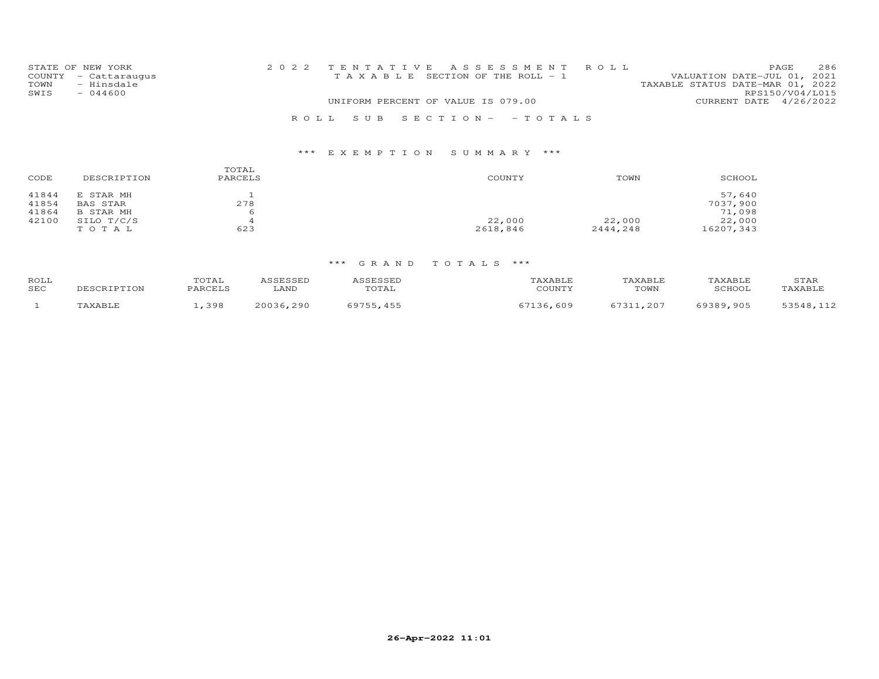|      | STATE OF NEW YORK    |                                       |  | 2022 TENTATIVE ASSESSMENT ROLL |                                  |                        | PAGE. | 286 |
|------|----------------------|---------------------------------------|--|--------------------------------|----------------------------------|------------------------|-------|-----|
|      | COUNTY - Cattaraugus | T A X A B L E SECTION OF THE ROLL - 1 |  |                                | VALUATION DATE-JUL 01, 2021      |                        |       |     |
| TOWN | - Hinsdale           |                                       |  |                                | TAXABLE STATUS DATE-MAR 01, 2022 |                        |       |     |
| SWIS | $-044600$            |                                       |  |                                |                                  | RPS150/V04/L015        |       |     |
|      |                      | UNIFORM PERCENT OF VALUE IS 079.00    |  |                                |                                  | CURRENT DATE 4/26/2022 |       |     |
|      |                      |                                       |  | ROLL SUB SECTION- -TOTALS      |                                  |                        |       |     |

# \*\*\* E X E M P T I O N S U M M A R Y \*\*\*

| CODE  | DESCRIPTION     | TOTAL<br>PARCELS | COUNTY   | TOWN     | SCHOOL    |
|-------|-----------------|------------------|----------|----------|-----------|
| 41844 | E STAR MH       |                  |          |          | 57,640    |
| 41854 | <b>BAS STAR</b> | 278              |          |          | 7037,900  |
| 41864 | B STAR MH       |                  |          |          | 71,098    |
| 42100 | SILO T/C/S      |                  | 22,000   | 22,000   | 22,000    |
|       | TOTAL           | 623              | 2618,846 | 2444,248 | 16207,343 |

# \*\*\* G R A N D T O T A L S \*\*\*

| ROLL<br>SEC | 'OTAI<br>$2$ $R$ $R$ $T$ | LAND         | $\gamma$ × A B L $\alpha$<br>C <sub>0</sub> | TAXABLF<br>TOWN | <b><i>FAXABLF</i></b><br>CCTION<br>$\sim$ $\sim$ $\sim$ | STAR<br>. AVART  |
|-------------|--------------------------|--------------|---------------------------------------------|-----------------|---------------------------------------------------------|------------------|
|             | 398                      | ついいっと<br>cac | 609                                         | -7311<br>$20^-$ | , 905<br><b>QOOQ</b>                                    | $-1$ $-1$ $\sim$ |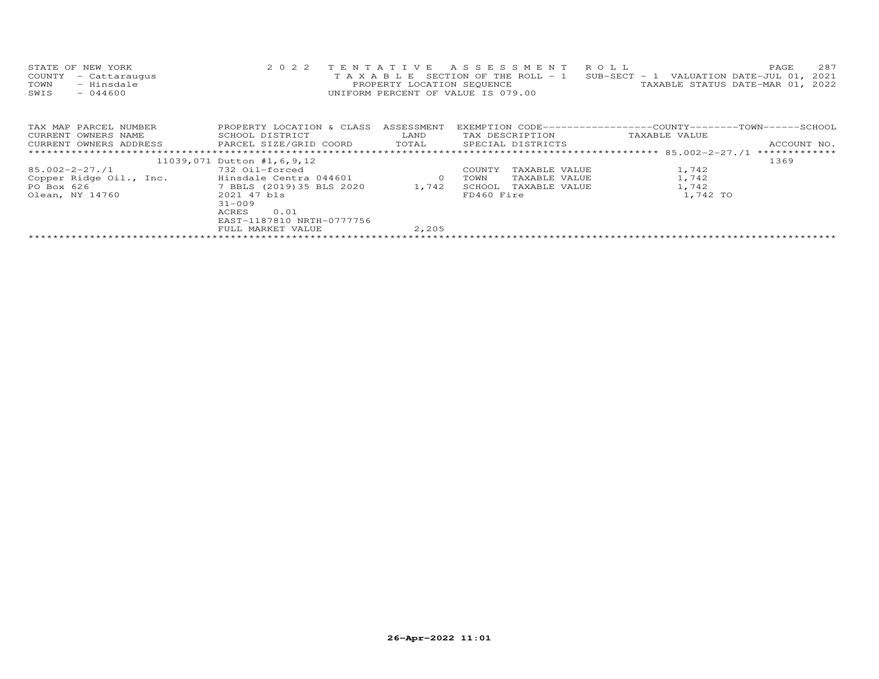| STATE OF NEW YORK    | 2022 TENTATIVE ASSESSMENT ROLL                                                 |                                  | PAGE. | 287 |
|----------------------|--------------------------------------------------------------------------------|----------------------------------|-------|-----|
| COUNTY - Cattaraugus | T A X A B L E SECTION OF THE ROLL - 1 SUB-SECT - 1 VALUATION DATE-JUL 01, 2021 |                                  |       |     |
| - Hinsdale<br>TOWN   | PROPERTY LOCATION SEOUENCE                                                     | TAXABLE STATUS DATE-MAR 01, 2022 |       |     |
| SWIS<br>- 044600     | UNIFORM PERCENT OF VALUE IS 079.00                                             |                                  |       |     |
|                      |                                                                                |                                  |       |     |

| TAX MAP PARCEL NUMBER   | PROPERTY LOCATION & CLASS  | ASSESSMENT | EXEMPTION CODE-----------------COUNTY-------TOWN------SCHOOL |               |               |
|-------------------------|----------------------------|------------|--------------------------------------------------------------|---------------|---------------|
| CURRENT OWNERS NAME     | SCHOOL DISTRICT            | LAND       | TAX DESCRIPTION                                              | TAXABLE VALUE |               |
| CURRENT OWNERS ADDRESS  | PARCEL SIZE/GRID COORD     | TOTAL      | SPECIAL DISTRICTS                                            |               | ACCOUNT NO.   |
|                         |                            |            |                                                              |               | ************* |
|                         | 11039,071 Dutton #1,6,9,12 |            |                                                              |               | 1369          |
| 85.002-2-27./1          | 732 Oil-forced             |            | TAXABLE VALUE<br><b>COUNTY</b>                               | 1,742         |               |
| Copper Ridge Oil., Inc. | Hinsdale Centra 044601     | $\Omega$   | TAXABLE VALUE<br>TOWN                                        | 1,742         |               |
| PO Box 626              | 7 BBLS (2019)35 BLS 2020   | 1,742      | TAXABLE VALUE<br>SCHOOL                                      | 1,742         |               |
| Olean, NY 14760         | 2021 47 bls                |            | FD460 Fire                                                   | 1,742 TO      |               |
|                         | $31 - 009$                 |            |                                                              |               |               |
|                         | 0.01<br>ACRES              |            |                                                              |               |               |
|                         | EAST-1187810 NRTH-0777756  |            |                                                              |               |               |
|                         | FULL MARKET VALUE          | 2,205      |                                                              |               |               |
|                         |                            |            |                                                              |               |               |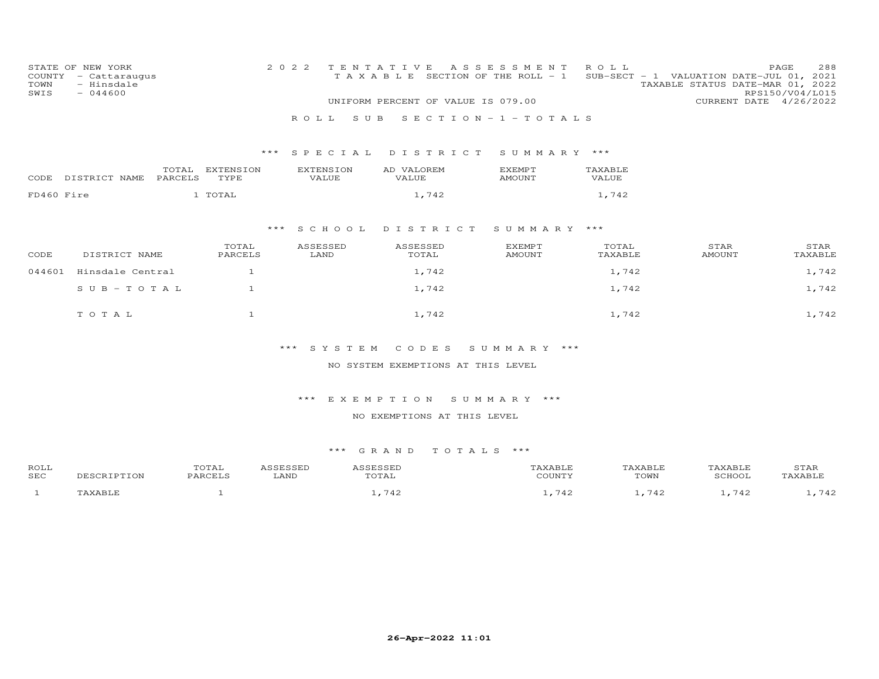| COUNTY<br>TOWN<br>SWIS             | STATE OF NEW YORK<br>- Cattaraugus<br>- Hinsdale<br>$-044600$ |                  |                   | 2 0 2 2          | S U B<br>R O L L   | TENTATIVE<br>T A X A B L E SECTION OF THE ROLL - 1<br>UNIFORM PERCENT OF VALUE IS 079.00 | A S S E S S M E N T<br>SECTION $-1$ -TOTALS | ROLL             | SUB-SECT - 1 VALUATION DATE-JUL 01, 2021<br>TAXABLE STATUS DATE-MAR 01, 2022 | 288<br>PAGE<br>RPS150/V04/L015<br>CURRENT DATE 4/26/2022 |  |  |
|------------------------------------|---------------------------------------------------------------|------------------|-------------------|------------------|--------------------|------------------------------------------------------------------------------------------|---------------------------------------------|------------------|------------------------------------------------------------------------------|----------------------------------------------------------|--|--|
|                                    |                                                               |                  |                   |                  | *** SPECIAL        | DISTRICT                                                                                 | SUMMARY ***                                 |                  |                                                                              |                                                          |  |  |
| CODE                               | DISTRICT NAME                                                 | TOTAL<br>PARCELS | EXTENSION<br>TYPE |                  | EXTENSION<br>VALUE | AD VALOREM<br><b>VALUE</b>                                                               | <b>EXEMPT</b><br>AMOUNT                     | TAXABLE<br>VALUE |                                                                              |                                                          |  |  |
| FD460 Fire                         |                                                               |                  | 1 TOTAL           |                  |                    | 1,742                                                                                    |                                             | 1,742            |                                                                              |                                                          |  |  |
|                                    |                                                               |                  |                   | $***$            | S C H O O L        | DISTRICT                                                                                 | SUMMARY ***                                 |                  |                                                                              |                                                          |  |  |
| CODE                               | DISTRICT NAME                                                 |                  | TOTAL<br>PARCELS  |                  | ASSESSED<br>LAND   | ASSESSED<br>TOTAL                                                                        | <b>EXEMPT</b><br><b>AMOUNT</b>              | TOTAL<br>TAXABLE | STAR<br><b>AMOUNT</b>                                                        | STAR<br>TAXABLE                                          |  |  |
| 044601                             | Hinsdale Central                                              |                  | $\mathbf{1}$      |                  |                    | 1,742                                                                                    |                                             | 1,742            |                                                                              | 1,742                                                    |  |  |
|                                    | $S \cup B - TO T A L$                                         |                  | $\mathbf{1}$      |                  |                    | 1,742                                                                                    |                                             | 1,742            |                                                                              | 1,742                                                    |  |  |
|                                    | TOTAL                                                         |                  | $\mathbf{1}$      |                  |                    | 1,742                                                                                    |                                             | 1,742            |                                                                              | 1,742                                                    |  |  |
| *** SYSTEM<br>CODES<br>SUMMARY *** |                                                               |                  |                   |                  |                    |                                                                                          |                                             |                  |                                                                              |                                                          |  |  |
| NO SYSTEM EXEMPTIONS AT THIS LEVEL |                                                               |                  |                   |                  |                    |                                                                                          |                                             |                  |                                                                              |                                                          |  |  |
|                                    |                                                               |                  |                   |                  |                    |                                                                                          |                                             |                  |                                                                              |                                                          |  |  |
|                                    |                                                               |                  |                   |                  | *** EXEMPTION      |                                                                                          | SUMMARY ***                                 |                  |                                                                              |                                                          |  |  |
| NO EXEMPTIONS AT THIS LEVEL        |                                                               |                  |                   |                  |                    |                                                                                          |                                             |                  |                                                                              |                                                          |  |  |
|                                    |                                                               |                  |                   |                  | *** GRAND          | TOTALS ***                                                                               |                                             |                  |                                                                              |                                                          |  |  |
| ROLL<br>SEC                        | DESCRIPTION                                                   |                  | TOTAL<br>PARCELS  | ASSESSED<br>LAND | ASSESSED           | TOTAL                                                                                    | TAXABLE<br>COUNTY                           |                  | TAXABLE<br>TAXABLE<br>TOWN<br>SCHOOL                                         | STAR<br>TAXABLE                                          |  |  |

1 TAXABLE 1 1 1,742 1,742 1,742 1,742 1,742 1,742 1,742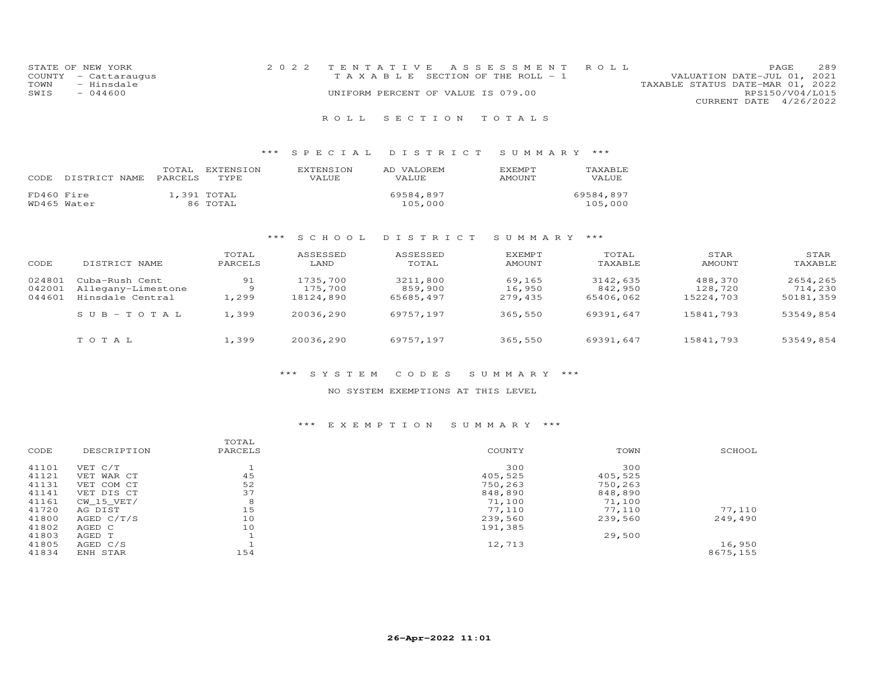| STATE OF NEW YORK    | 2022 TENTATIVE ASSESSMENT ROLL     |                                  | PAGE.                       | 289 |
|----------------------|------------------------------------|----------------------------------|-----------------------------|-----|
| COUNTY - Cattaraugus | TAXABLE SECTION OF THE ROLL - 1    |                                  | VALUATION DATE-JUL 01, 2021 |     |
| - Hinsdale<br>TOWN   |                                    | TAXABLE STATUS DATE-MAR 01, 2022 |                             |     |
| SWIS<br>$-044600$    | UNIFORM PERCENT OF VALUE IS 079.00 |                                  | RPS150/V04/L015             |     |
|                      |                                    |                                  | CURRENT DATE 4/26/2022      |     |
|                      |                                    |                                  |                             |     |

### \*\*\* S P E C I A L D I S T R I C T S U M M A R Y \*\*\*

| CODE.                     | DISTRICT NAME PARCELS | TOTAL. | EXTENSION<br>TYPE.      | <b>EXTENSION</b><br>VALUE | AD VALOREM<br>VALUE  | <b>F.XFMPT</b><br>AMOUNT | TAXABLE.<br><b>VALUE</b> |
|---------------------------|-----------------------|--------|-------------------------|---------------------------|----------------------|--------------------------|--------------------------|
| FD460 Fire<br>WD465 Water |                       |        | 1,391 TOTAL<br>86 TOTAL |                           | 69584,897<br>105,000 |                          | 69584,897<br>105,000     |

### \*\*\* S C H O O L D I S T R I C T S U M M A R Y \*\*\*

| CODE   | DISTRICT NAME      | TOTAL<br>PARCELS | ASSESSED<br>LAND | ASSESSED<br>TOTAL | EXEMPT<br>AMOUNT | TOTAL<br>TAXABLE | STAR<br>AMOUNT | STAR<br>TAXABLE |
|--------|--------------------|------------------|------------------|-------------------|------------------|------------------|----------------|-----------------|
| 024801 | Cuba-Rush Cent     | 91               | 1735,700         | 3211,800          | 69,165           | 3142,635         | 488,370        | 2654,265        |
| 042001 | Allegany-Limestone | 9                | 175,700          | 859,900           | 16,950           | 842,950          | 128,720        | 714,230         |
| 044601 | Hinsdale Central   | 1,299            | 18124,890        | 65685,497         | 279,435          | 65406,062        | 15224,703      | 50181,359       |
|        | $SUB - TO T AL$    | 1,399            | 20036,290        | 69757,197         | 365,550          | 69391,647        | 15841,793      | 53549,854       |
|        | TOTAL              | 1,399            | 20036,290        | 69757,197         | 365,550          | 69391,647        | 15841,793      | 53549,854       |

#### \*\*\* S Y S T E M C O D E S S U M M A R Y \*\*\*

#### NO SYSTEM EXEMPTIONS AT THIS LEVEL

|       |                | TOTAL   |         |         |          |
|-------|----------------|---------|---------|---------|----------|
| CODE  | DESCRIPTION    | PARCELS | COUNTY  | TOWN    | SCHOOL   |
| 41101 | VET C/T        |         | 300     | 300     |          |
| 41121 | VET WAR CT     | 45      | 405,525 | 405,525 |          |
| 41131 | VET COM CT     | 52      | 750,263 | 750,263 |          |
| 41141 | VET DIS CT     | 37      | 848,890 | 848,890 |          |
| 41161 | $CW$ 15 $VET/$ | 8       | 71,100  | 71,100  |          |
| 41720 | AG DIST        | 15      | 77,110  | 77,110  | 77,110   |
| 41800 | AGED C/T/S     | 10      | 239,560 | 239,560 | 249,490  |
| 41802 | AGED C         | 10      | 191,385 |         |          |
| 41803 | AGED T         |         |         | 29,500  |          |
| 41805 | AGED C/S       |         | 12,713  |         | 16,950   |
| 41834 | ENH STAR       | 154     |         |         | 8675,155 |
|       |                |         |         |         |          |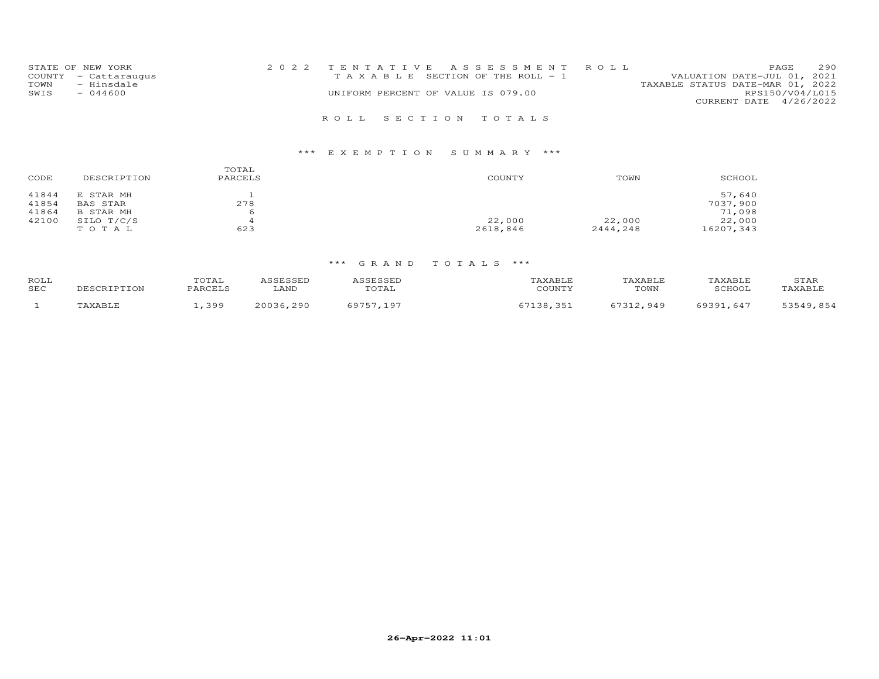| STATE OF NEW YORK    | 2022 TENTATIVE ASSESSMENT ROLL        | 290<br>PAGE                      |
|----------------------|---------------------------------------|----------------------------------|
| COUNTY - Cattaraugus | T A X A B L E SECTION OF THE ROLL - 1 | VALUATION DATE-JUL 01, 2021      |
| - Hinsdale<br>TOWN   |                                       | TAXABLE STATUS DATE-MAR 01, 2022 |
| SWIS<br>$-044600$    | UNIFORM PERCENT OF VALUE IS 079.00    | RPS150/V04/L015                  |
|                      |                                       | CURRENT DATE 4/26/2022           |
|                      | ROLL SECTION TOTALS                   |                                  |

| CODE  | DESCRIPTION | TOTAL<br>PARCELS | COUNTY   | TOWN     | SCHOOL    |
|-------|-------------|------------------|----------|----------|-----------|
| 41844 | E STAR MH   |                  |          |          | 57,640    |
| 41854 | BAS STAR    | 278              |          |          | 7037,900  |
| 41864 | B STAR MH   | 6                |          |          | 71,098    |
| 42100 | SILO T/C/S  |                  | 22,000   | 22,000   | 22,000    |
|       | TOTAL       | 623              | 2618,846 | 2444,248 | 16207,343 |

| ROLL<br>SEC | TPTTON | . . <del>. .</del> .<br>'TAI<br><b>DARCELS</b> | ∟AND         | .<br>TOTAL | COUNTY    | TOWN | SCHOOL          | STAR<br>TAXABI.E |
|-------------|--------|------------------------------------------------|--------------|------------|-----------|------|-----------------|------------------|
|             |        | ,399                                           | 20036<br>290 | -97        | <b>35</b> | 949  | 0201<br>$.64^-$ | 854              |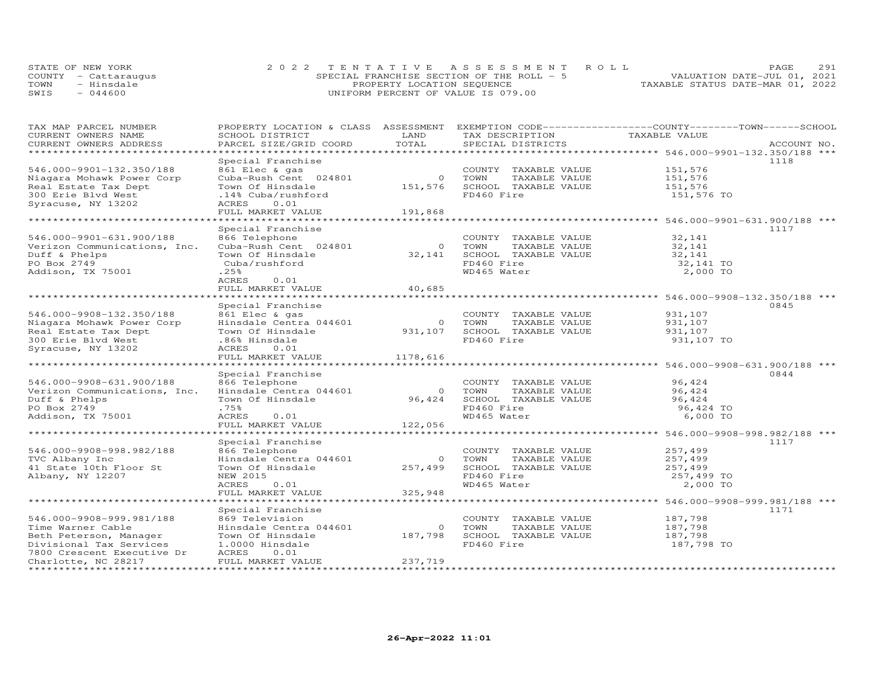|      | STATE OF NEW YORK    | 2022 TENTATIVE ASSESSMENT ROLL            | 2.91<br>PAGE.                    |
|------|----------------------|-------------------------------------------|----------------------------------|
|      | COUNTY - Cattaraugus | SPECIAL FRANCHISE SECTION OF THE ROLL - 5 | VALUATION DATE-JUL 01, 2021      |
| TOWN | - Hinsdale           | PROPERTY LOCATION SEQUENCE                | TAXABLE STATUS DATE-MAR 01, 2022 |
| SWIS | $-044600$            | UNIFORM PERCENT OF VALUE IS 079.00        |                                  |

| TAXABLE VALUE<br>SCHOOL DISTRICT<br>TOTAL<br>CURRENT OWNERS ADDRESS<br>PARCEL SIZE/GRID COORD<br>SPECIAL DISTRICTS<br>ACCOUNT NO.<br>*************************<br>Special Franchise<br>1118<br>546.000-9901-132.350/188<br>861 Elec & gas<br>COUNTY TAXABLE VALUE<br>151,576<br>Cuba-Rush Cent 024801<br>Niagara Mohawk Power Corp<br>$\circ$<br>TOWN<br>TAXABLE VALUE<br>151,576<br>151,576<br>Real Estate Tax Dept<br>Town Of Hinsdale<br>SCHOOL TAXABLE VALUE<br>151,576<br>FD460 Fire<br>300 Erie Blvd West<br>.14% Cuba/rushford<br>151,576 TO<br>Syracuse, NY 13202<br>ACRES<br>0.01<br>FULL MARKET VALUE<br>191,868<br>***********************<br>Special Franchise<br>1117<br>866 Telephone<br>546.000-9901-631.900/188<br>COUNTY TAXABLE VALUE<br>32,141<br>Verizon Communications, Inc.<br>Cuba-Rush Cent 024801<br>TAXABLE VALUE<br>$\circ$<br>TOWN<br>32,141<br>Town Of Hinsdale<br>SCHOOL TAXABLE VALUE<br>Duff & Phelps<br>32,141<br>32,141<br>PO Box 2749<br>Cuba/rushford<br>FD460 Fire<br>32,141 TO<br>WD465 Water<br>Addison, TX 75001<br>.25%<br>2,000 TO<br>ACRES<br>0.01<br>FULL MARKET VALUE<br>40,685<br>Special Franchise<br>0845<br>546.000-9908-132.350/188<br>861 Elec & gas<br>931,107<br>COUNTY TAXABLE VALUE<br>Hinsdale Centra 044601<br>Niagara Mohawk Power Corp<br>$\circ$<br>TOWN<br>TAXABLE VALUE<br>931,107<br>931,107<br>Real Estate Tax Dept<br>Town Of Hinsdale<br>SCHOOL TAXABLE VALUE<br>931,107<br>FD460 Fire<br>300 Erie Blyd West<br>.86% Hinsdale<br>931,107 TO<br>Syracuse, NY 13202<br>ACRES<br>0.01<br>FULL MARKET VALUE<br>1178,616<br>******************************** 546.000-9908-631.900/188 ***<br>*********************<br>Special Franchise<br>0844<br>866 Telephone<br>546.000-9908-631.900/188<br>COUNTY TAXABLE VALUE<br>96,424<br>Hinsdale Centra 044601<br>Verizon Communications, Inc.<br>TOWN<br>TAXABLE VALUE<br>96,424<br>$\Omega$<br>Town Of Hinsdale<br>96,424<br>SCHOOL TAXABLE VALUE<br>Duff & Phelps<br>96,424<br>PO Box 2749<br>FD460 Fire<br>.75%<br>96,424 TO<br>ACRES<br>WD465 Water<br>Addison, TX 75001<br>0.01<br>6,000 TO<br>FULL MARKET VALUE<br>122,056<br>Special Franchise<br>1117<br>546.000-9908-998.982/188<br>866 Telephone<br>257,499<br>COUNTY TAXABLE VALUE<br>TVC Albany Inc<br>Hinsdale Centra 044601<br>TOWN<br>TAXABLE VALUE<br>257,499<br>$\overline{0}$<br>41 State 10th Floor St<br>Town Of Hinsdale<br>257,499<br>SCHOOL TAXABLE VALUE<br>257,499<br>Albany, NY 12207<br>FD460 Fire<br>NEW 2015<br>257,499 TO<br>WD465 Water<br>2,000 TO<br>ACRES<br>0.01<br>325,948<br>FULL MARKET VALUE<br>1171<br>Special Franchise<br>546.000-9908-999.981/188<br>869 Television<br>187,798<br>COUNTY TAXABLE VALUE<br>Time Warner Cable<br>Hinsdale Centra 044601<br>$\circ$<br>TOWN<br>TAXABLE VALUE<br>187,798<br>187,798<br>Beth Peterson, Manager<br>187,798<br>SCHOOL TAXABLE VALUE<br>Town Of Hinsdale<br>Divisional Tax Services<br>FD460 Fire<br>187,798 TO<br>1.0000 Hinsdale<br>7800 Crescent Executive Dr<br>0.01<br>ACRES<br>FULL MARKET VALUE<br>237,719<br>Charlotte, NC 28217 | TAX MAP PARCEL NUMBER |      | PROPERTY LOCATION & CLASS ASSESSMENT EXEMPTION CODE----------------COUNTY-------TOWN------SCHOOL |  |
|-------------------------------------------------------------------------------------------------------------------------------------------------------------------------------------------------------------------------------------------------------------------------------------------------------------------------------------------------------------------------------------------------------------------------------------------------------------------------------------------------------------------------------------------------------------------------------------------------------------------------------------------------------------------------------------------------------------------------------------------------------------------------------------------------------------------------------------------------------------------------------------------------------------------------------------------------------------------------------------------------------------------------------------------------------------------------------------------------------------------------------------------------------------------------------------------------------------------------------------------------------------------------------------------------------------------------------------------------------------------------------------------------------------------------------------------------------------------------------------------------------------------------------------------------------------------------------------------------------------------------------------------------------------------------------------------------------------------------------------------------------------------------------------------------------------------------------------------------------------------------------------------------------------------------------------------------------------------------------------------------------------------------------------------------------------------------------------------------------------------------------------------------------------------------------------------------------------------------------------------------------------------------------------------------------------------------------------------------------------------------------------------------------------------------------------------------------------------------------------------------------------------------------------------------------------------------------------------------------------------------------------------------------------------------------------------------------------------------------------------------------------------------------------------------------------------------------------------------------------------------------------------------------------------------------------------------------------------------------------------------------------------------------------------------------------------------------------|-----------------------|------|--------------------------------------------------------------------------------------------------|--|
|                                                                                                                                                                                                                                                                                                                                                                                                                                                                                                                                                                                                                                                                                                                                                                                                                                                                                                                                                                                                                                                                                                                                                                                                                                                                                                                                                                                                                                                                                                                                                                                                                                                                                                                                                                                                                                                                                                                                                                                                                                                                                                                                                                                                                                                                                                                                                                                                                                                                                                                                                                                                                                                                                                                                                                                                                                                                                                                                                                                                                                                                                     | CURRENT OWNERS NAME   | LAND | TAX DESCRIPTION                                                                                  |  |
|                                                                                                                                                                                                                                                                                                                                                                                                                                                                                                                                                                                                                                                                                                                                                                                                                                                                                                                                                                                                                                                                                                                                                                                                                                                                                                                                                                                                                                                                                                                                                                                                                                                                                                                                                                                                                                                                                                                                                                                                                                                                                                                                                                                                                                                                                                                                                                                                                                                                                                                                                                                                                                                                                                                                                                                                                                                                                                                                                                                                                                                                                     |                       |      |                                                                                                  |  |
|                                                                                                                                                                                                                                                                                                                                                                                                                                                                                                                                                                                                                                                                                                                                                                                                                                                                                                                                                                                                                                                                                                                                                                                                                                                                                                                                                                                                                                                                                                                                                                                                                                                                                                                                                                                                                                                                                                                                                                                                                                                                                                                                                                                                                                                                                                                                                                                                                                                                                                                                                                                                                                                                                                                                                                                                                                                                                                                                                                                                                                                                                     |                       |      |                                                                                                  |  |
|                                                                                                                                                                                                                                                                                                                                                                                                                                                                                                                                                                                                                                                                                                                                                                                                                                                                                                                                                                                                                                                                                                                                                                                                                                                                                                                                                                                                                                                                                                                                                                                                                                                                                                                                                                                                                                                                                                                                                                                                                                                                                                                                                                                                                                                                                                                                                                                                                                                                                                                                                                                                                                                                                                                                                                                                                                                                                                                                                                                                                                                                                     |                       |      |                                                                                                  |  |
|                                                                                                                                                                                                                                                                                                                                                                                                                                                                                                                                                                                                                                                                                                                                                                                                                                                                                                                                                                                                                                                                                                                                                                                                                                                                                                                                                                                                                                                                                                                                                                                                                                                                                                                                                                                                                                                                                                                                                                                                                                                                                                                                                                                                                                                                                                                                                                                                                                                                                                                                                                                                                                                                                                                                                                                                                                                                                                                                                                                                                                                                                     |                       |      |                                                                                                  |  |
|                                                                                                                                                                                                                                                                                                                                                                                                                                                                                                                                                                                                                                                                                                                                                                                                                                                                                                                                                                                                                                                                                                                                                                                                                                                                                                                                                                                                                                                                                                                                                                                                                                                                                                                                                                                                                                                                                                                                                                                                                                                                                                                                                                                                                                                                                                                                                                                                                                                                                                                                                                                                                                                                                                                                                                                                                                                                                                                                                                                                                                                                                     |                       |      |                                                                                                  |  |
|                                                                                                                                                                                                                                                                                                                                                                                                                                                                                                                                                                                                                                                                                                                                                                                                                                                                                                                                                                                                                                                                                                                                                                                                                                                                                                                                                                                                                                                                                                                                                                                                                                                                                                                                                                                                                                                                                                                                                                                                                                                                                                                                                                                                                                                                                                                                                                                                                                                                                                                                                                                                                                                                                                                                                                                                                                                                                                                                                                                                                                                                                     |                       |      |                                                                                                  |  |
|                                                                                                                                                                                                                                                                                                                                                                                                                                                                                                                                                                                                                                                                                                                                                                                                                                                                                                                                                                                                                                                                                                                                                                                                                                                                                                                                                                                                                                                                                                                                                                                                                                                                                                                                                                                                                                                                                                                                                                                                                                                                                                                                                                                                                                                                                                                                                                                                                                                                                                                                                                                                                                                                                                                                                                                                                                                                                                                                                                                                                                                                                     |                       |      |                                                                                                  |  |
|                                                                                                                                                                                                                                                                                                                                                                                                                                                                                                                                                                                                                                                                                                                                                                                                                                                                                                                                                                                                                                                                                                                                                                                                                                                                                                                                                                                                                                                                                                                                                                                                                                                                                                                                                                                                                                                                                                                                                                                                                                                                                                                                                                                                                                                                                                                                                                                                                                                                                                                                                                                                                                                                                                                                                                                                                                                                                                                                                                                                                                                                                     |                       |      |                                                                                                  |  |
|                                                                                                                                                                                                                                                                                                                                                                                                                                                                                                                                                                                                                                                                                                                                                                                                                                                                                                                                                                                                                                                                                                                                                                                                                                                                                                                                                                                                                                                                                                                                                                                                                                                                                                                                                                                                                                                                                                                                                                                                                                                                                                                                                                                                                                                                                                                                                                                                                                                                                                                                                                                                                                                                                                                                                                                                                                                                                                                                                                                                                                                                                     |                       |      |                                                                                                  |  |
|                                                                                                                                                                                                                                                                                                                                                                                                                                                                                                                                                                                                                                                                                                                                                                                                                                                                                                                                                                                                                                                                                                                                                                                                                                                                                                                                                                                                                                                                                                                                                                                                                                                                                                                                                                                                                                                                                                                                                                                                                                                                                                                                                                                                                                                                                                                                                                                                                                                                                                                                                                                                                                                                                                                                                                                                                                                                                                                                                                                                                                                                                     |                       |      |                                                                                                  |  |
|                                                                                                                                                                                                                                                                                                                                                                                                                                                                                                                                                                                                                                                                                                                                                                                                                                                                                                                                                                                                                                                                                                                                                                                                                                                                                                                                                                                                                                                                                                                                                                                                                                                                                                                                                                                                                                                                                                                                                                                                                                                                                                                                                                                                                                                                                                                                                                                                                                                                                                                                                                                                                                                                                                                                                                                                                                                                                                                                                                                                                                                                                     |                       |      |                                                                                                  |  |
|                                                                                                                                                                                                                                                                                                                                                                                                                                                                                                                                                                                                                                                                                                                                                                                                                                                                                                                                                                                                                                                                                                                                                                                                                                                                                                                                                                                                                                                                                                                                                                                                                                                                                                                                                                                                                                                                                                                                                                                                                                                                                                                                                                                                                                                                                                                                                                                                                                                                                                                                                                                                                                                                                                                                                                                                                                                                                                                                                                                                                                                                                     |                       |      |                                                                                                  |  |
|                                                                                                                                                                                                                                                                                                                                                                                                                                                                                                                                                                                                                                                                                                                                                                                                                                                                                                                                                                                                                                                                                                                                                                                                                                                                                                                                                                                                                                                                                                                                                                                                                                                                                                                                                                                                                                                                                                                                                                                                                                                                                                                                                                                                                                                                                                                                                                                                                                                                                                                                                                                                                                                                                                                                                                                                                                                                                                                                                                                                                                                                                     |                       |      |                                                                                                  |  |
|                                                                                                                                                                                                                                                                                                                                                                                                                                                                                                                                                                                                                                                                                                                                                                                                                                                                                                                                                                                                                                                                                                                                                                                                                                                                                                                                                                                                                                                                                                                                                                                                                                                                                                                                                                                                                                                                                                                                                                                                                                                                                                                                                                                                                                                                                                                                                                                                                                                                                                                                                                                                                                                                                                                                                                                                                                                                                                                                                                                                                                                                                     |                       |      |                                                                                                  |  |
|                                                                                                                                                                                                                                                                                                                                                                                                                                                                                                                                                                                                                                                                                                                                                                                                                                                                                                                                                                                                                                                                                                                                                                                                                                                                                                                                                                                                                                                                                                                                                                                                                                                                                                                                                                                                                                                                                                                                                                                                                                                                                                                                                                                                                                                                                                                                                                                                                                                                                                                                                                                                                                                                                                                                                                                                                                                                                                                                                                                                                                                                                     |                       |      |                                                                                                  |  |
|                                                                                                                                                                                                                                                                                                                                                                                                                                                                                                                                                                                                                                                                                                                                                                                                                                                                                                                                                                                                                                                                                                                                                                                                                                                                                                                                                                                                                                                                                                                                                                                                                                                                                                                                                                                                                                                                                                                                                                                                                                                                                                                                                                                                                                                                                                                                                                                                                                                                                                                                                                                                                                                                                                                                                                                                                                                                                                                                                                                                                                                                                     |                       |      |                                                                                                  |  |
|                                                                                                                                                                                                                                                                                                                                                                                                                                                                                                                                                                                                                                                                                                                                                                                                                                                                                                                                                                                                                                                                                                                                                                                                                                                                                                                                                                                                                                                                                                                                                                                                                                                                                                                                                                                                                                                                                                                                                                                                                                                                                                                                                                                                                                                                                                                                                                                                                                                                                                                                                                                                                                                                                                                                                                                                                                                                                                                                                                                                                                                                                     |                       |      |                                                                                                  |  |
|                                                                                                                                                                                                                                                                                                                                                                                                                                                                                                                                                                                                                                                                                                                                                                                                                                                                                                                                                                                                                                                                                                                                                                                                                                                                                                                                                                                                                                                                                                                                                                                                                                                                                                                                                                                                                                                                                                                                                                                                                                                                                                                                                                                                                                                                                                                                                                                                                                                                                                                                                                                                                                                                                                                                                                                                                                                                                                                                                                                                                                                                                     |                       |      |                                                                                                  |  |
|                                                                                                                                                                                                                                                                                                                                                                                                                                                                                                                                                                                                                                                                                                                                                                                                                                                                                                                                                                                                                                                                                                                                                                                                                                                                                                                                                                                                                                                                                                                                                                                                                                                                                                                                                                                                                                                                                                                                                                                                                                                                                                                                                                                                                                                                                                                                                                                                                                                                                                                                                                                                                                                                                                                                                                                                                                                                                                                                                                                                                                                                                     |                       |      |                                                                                                  |  |
|                                                                                                                                                                                                                                                                                                                                                                                                                                                                                                                                                                                                                                                                                                                                                                                                                                                                                                                                                                                                                                                                                                                                                                                                                                                                                                                                                                                                                                                                                                                                                                                                                                                                                                                                                                                                                                                                                                                                                                                                                                                                                                                                                                                                                                                                                                                                                                                                                                                                                                                                                                                                                                                                                                                                                                                                                                                                                                                                                                                                                                                                                     |                       |      |                                                                                                  |  |
|                                                                                                                                                                                                                                                                                                                                                                                                                                                                                                                                                                                                                                                                                                                                                                                                                                                                                                                                                                                                                                                                                                                                                                                                                                                                                                                                                                                                                                                                                                                                                                                                                                                                                                                                                                                                                                                                                                                                                                                                                                                                                                                                                                                                                                                                                                                                                                                                                                                                                                                                                                                                                                                                                                                                                                                                                                                                                                                                                                                                                                                                                     |                       |      |                                                                                                  |  |
|                                                                                                                                                                                                                                                                                                                                                                                                                                                                                                                                                                                                                                                                                                                                                                                                                                                                                                                                                                                                                                                                                                                                                                                                                                                                                                                                                                                                                                                                                                                                                                                                                                                                                                                                                                                                                                                                                                                                                                                                                                                                                                                                                                                                                                                                                                                                                                                                                                                                                                                                                                                                                                                                                                                                                                                                                                                                                                                                                                                                                                                                                     |                       |      |                                                                                                  |  |
|                                                                                                                                                                                                                                                                                                                                                                                                                                                                                                                                                                                                                                                                                                                                                                                                                                                                                                                                                                                                                                                                                                                                                                                                                                                                                                                                                                                                                                                                                                                                                                                                                                                                                                                                                                                                                                                                                                                                                                                                                                                                                                                                                                                                                                                                                                                                                                                                                                                                                                                                                                                                                                                                                                                                                                                                                                                                                                                                                                                                                                                                                     |                       |      |                                                                                                  |  |
|                                                                                                                                                                                                                                                                                                                                                                                                                                                                                                                                                                                                                                                                                                                                                                                                                                                                                                                                                                                                                                                                                                                                                                                                                                                                                                                                                                                                                                                                                                                                                                                                                                                                                                                                                                                                                                                                                                                                                                                                                                                                                                                                                                                                                                                                                                                                                                                                                                                                                                                                                                                                                                                                                                                                                                                                                                                                                                                                                                                                                                                                                     |                       |      |                                                                                                  |  |
|                                                                                                                                                                                                                                                                                                                                                                                                                                                                                                                                                                                                                                                                                                                                                                                                                                                                                                                                                                                                                                                                                                                                                                                                                                                                                                                                                                                                                                                                                                                                                                                                                                                                                                                                                                                                                                                                                                                                                                                                                                                                                                                                                                                                                                                                                                                                                                                                                                                                                                                                                                                                                                                                                                                                                                                                                                                                                                                                                                                                                                                                                     |                       |      |                                                                                                  |  |
|                                                                                                                                                                                                                                                                                                                                                                                                                                                                                                                                                                                                                                                                                                                                                                                                                                                                                                                                                                                                                                                                                                                                                                                                                                                                                                                                                                                                                                                                                                                                                                                                                                                                                                                                                                                                                                                                                                                                                                                                                                                                                                                                                                                                                                                                                                                                                                                                                                                                                                                                                                                                                                                                                                                                                                                                                                                                                                                                                                                                                                                                                     |                       |      |                                                                                                  |  |
|                                                                                                                                                                                                                                                                                                                                                                                                                                                                                                                                                                                                                                                                                                                                                                                                                                                                                                                                                                                                                                                                                                                                                                                                                                                                                                                                                                                                                                                                                                                                                                                                                                                                                                                                                                                                                                                                                                                                                                                                                                                                                                                                                                                                                                                                                                                                                                                                                                                                                                                                                                                                                                                                                                                                                                                                                                                                                                                                                                                                                                                                                     |                       |      |                                                                                                  |  |
|                                                                                                                                                                                                                                                                                                                                                                                                                                                                                                                                                                                                                                                                                                                                                                                                                                                                                                                                                                                                                                                                                                                                                                                                                                                                                                                                                                                                                                                                                                                                                                                                                                                                                                                                                                                                                                                                                                                                                                                                                                                                                                                                                                                                                                                                                                                                                                                                                                                                                                                                                                                                                                                                                                                                                                                                                                                                                                                                                                                                                                                                                     |                       |      |                                                                                                  |  |
|                                                                                                                                                                                                                                                                                                                                                                                                                                                                                                                                                                                                                                                                                                                                                                                                                                                                                                                                                                                                                                                                                                                                                                                                                                                                                                                                                                                                                                                                                                                                                                                                                                                                                                                                                                                                                                                                                                                                                                                                                                                                                                                                                                                                                                                                                                                                                                                                                                                                                                                                                                                                                                                                                                                                                                                                                                                                                                                                                                                                                                                                                     |                       |      |                                                                                                  |  |
|                                                                                                                                                                                                                                                                                                                                                                                                                                                                                                                                                                                                                                                                                                                                                                                                                                                                                                                                                                                                                                                                                                                                                                                                                                                                                                                                                                                                                                                                                                                                                                                                                                                                                                                                                                                                                                                                                                                                                                                                                                                                                                                                                                                                                                                                                                                                                                                                                                                                                                                                                                                                                                                                                                                                                                                                                                                                                                                                                                                                                                                                                     |                       |      |                                                                                                  |  |
|                                                                                                                                                                                                                                                                                                                                                                                                                                                                                                                                                                                                                                                                                                                                                                                                                                                                                                                                                                                                                                                                                                                                                                                                                                                                                                                                                                                                                                                                                                                                                                                                                                                                                                                                                                                                                                                                                                                                                                                                                                                                                                                                                                                                                                                                                                                                                                                                                                                                                                                                                                                                                                                                                                                                                                                                                                                                                                                                                                                                                                                                                     |                       |      |                                                                                                  |  |
|                                                                                                                                                                                                                                                                                                                                                                                                                                                                                                                                                                                                                                                                                                                                                                                                                                                                                                                                                                                                                                                                                                                                                                                                                                                                                                                                                                                                                                                                                                                                                                                                                                                                                                                                                                                                                                                                                                                                                                                                                                                                                                                                                                                                                                                                                                                                                                                                                                                                                                                                                                                                                                                                                                                                                                                                                                                                                                                                                                                                                                                                                     |                       |      |                                                                                                  |  |
|                                                                                                                                                                                                                                                                                                                                                                                                                                                                                                                                                                                                                                                                                                                                                                                                                                                                                                                                                                                                                                                                                                                                                                                                                                                                                                                                                                                                                                                                                                                                                                                                                                                                                                                                                                                                                                                                                                                                                                                                                                                                                                                                                                                                                                                                                                                                                                                                                                                                                                                                                                                                                                                                                                                                                                                                                                                                                                                                                                                                                                                                                     |                       |      |                                                                                                  |  |
|                                                                                                                                                                                                                                                                                                                                                                                                                                                                                                                                                                                                                                                                                                                                                                                                                                                                                                                                                                                                                                                                                                                                                                                                                                                                                                                                                                                                                                                                                                                                                                                                                                                                                                                                                                                                                                                                                                                                                                                                                                                                                                                                                                                                                                                                                                                                                                                                                                                                                                                                                                                                                                                                                                                                                                                                                                                                                                                                                                                                                                                                                     |                       |      |                                                                                                  |  |
|                                                                                                                                                                                                                                                                                                                                                                                                                                                                                                                                                                                                                                                                                                                                                                                                                                                                                                                                                                                                                                                                                                                                                                                                                                                                                                                                                                                                                                                                                                                                                                                                                                                                                                                                                                                                                                                                                                                                                                                                                                                                                                                                                                                                                                                                                                                                                                                                                                                                                                                                                                                                                                                                                                                                                                                                                                                                                                                                                                                                                                                                                     |                       |      |                                                                                                  |  |
|                                                                                                                                                                                                                                                                                                                                                                                                                                                                                                                                                                                                                                                                                                                                                                                                                                                                                                                                                                                                                                                                                                                                                                                                                                                                                                                                                                                                                                                                                                                                                                                                                                                                                                                                                                                                                                                                                                                                                                                                                                                                                                                                                                                                                                                                                                                                                                                                                                                                                                                                                                                                                                                                                                                                                                                                                                                                                                                                                                                                                                                                                     |                       |      |                                                                                                  |  |
|                                                                                                                                                                                                                                                                                                                                                                                                                                                                                                                                                                                                                                                                                                                                                                                                                                                                                                                                                                                                                                                                                                                                                                                                                                                                                                                                                                                                                                                                                                                                                                                                                                                                                                                                                                                                                                                                                                                                                                                                                                                                                                                                                                                                                                                                                                                                                                                                                                                                                                                                                                                                                                                                                                                                                                                                                                                                                                                                                                                                                                                                                     |                       |      |                                                                                                  |  |
|                                                                                                                                                                                                                                                                                                                                                                                                                                                                                                                                                                                                                                                                                                                                                                                                                                                                                                                                                                                                                                                                                                                                                                                                                                                                                                                                                                                                                                                                                                                                                                                                                                                                                                                                                                                                                                                                                                                                                                                                                                                                                                                                                                                                                                                                                                                                                                                                                                                                                                                                                                                                                                                                                                                                                                                                                                                                                                                                                                                                                                                                                     |                       |      |                                                                                                  |  |
|                                                                                                                                                                                                                                                                                                                                                                                                                                                                                                                                                                                                                                                                                                                                                                                                                                                                                                                                                                                                                                                                                                                                                                                                                                                                                                                                                                                                                                                                                                                                                                                                                                                                                                                                                                                                                                                                                                                                                                                                                                                                                                                                                                                                                                                                                                                                                                                                                                                                                                                                                                                                                                                                                                                                                                                                                                                                                                                                                                                                                                                                                     |                       |      |                                                                                                  |  |
|                                                                                                                                                                                                                                                                                                                                                                                                                                                                                                                                                                                                                                                                                                                                                                                                                                                                                                                                                                                                                                                                                                                                                                                                                                                                                                                                                                                                                                                                                                                                                                                                                                                                                                                                                                                                                                                                                                                                                                                                                                                                                                                                                                                                                                                                                                                                                                                                                                                                                                                                                                                                                                                                                                                                                                                                                                                                                                                                                                                                                                                                                     |                       |      |                                                                                                  |  |
|                                                                                                                                                                                                                                                                                                                                                                                                                                                                                                                                                                                                                                                                                                                                                                                                                                                                                                                                                                                                                                                                                                                                                                                                                                                                                                                                                                                                                                                                                                                                                                                                                                                                                                                                                                                                                                                                                                                                                                                                                                                                                                                                                                                                                                                                                                                                                                                                                                                                                                                                                                                                                                                                                                                                                                                                                                                                                                                                                                                                                                                                                     |                       |      |                                                                                                  |  |
|                                                                                                                                                                                                                                                                                                                                                                                                                                                                                                                                                                                                                                                                                                                                                                                                                                                                                                                                                                                                                                                                                                                                                                                                                                                                                                                                                                                                                                                                                                                                                                                                                                                                                                                                                                                                                                                                                                                                                                                                                                                                                                                                                                                                                                                                                                                                                                                                                                                                                                                                                                                                                                                                                                                                                                                                                                                                                                                                                                                                                                                                                     |                       |      |                                                                                                  |  |
|                                                                                                                                                                                                                                                                                                                                                                                                                                                                                                                                                                                                                                                                                                                                                                                                                                                                                                                                                                                                                                                                                                                                                                                                                                                                                                                                                                                                                                                                                                                                                                                                                                                                                                                                                                                                                                                                                                                                                                                                                                                                                                                                                                                                                                                                                                                                                                                                                                                                                                                                                                                                                                                                                                                                                                                                                                                                                                                                                                                                                                                                                     |                       |      |                                                                                                  |  |
|                                                                                                                                                                                                                                                                                                                                                                                                                                                                                                                                                                                                                                                                                                                                                                                                                                                                                                                                                                                                                                                                                                                                                                                                                                                                                                                                                                                                                                                                                                                                                                                                                                                                                                                                                                                                                                                                                                                                                                                                                                                                                                                                                                                                                                                                                                                                                                                                                                                                                                                                                                                                                                                                                                                                                                                                                                                                                                                                                                                                                                                                                     |                       |      |                                                                                                  |  |
|                                                                                                                                                                                                                                                                                                                                                                                                                                                                                                                                                                                                                                                                                                                                                                                                                                                                                                                                                                                                                                                                                                                                                                                                                                                                                                                                                                                                                                                                                                                                                                                                                                                                                                                                                                                                                                                                                                                                                                                                                                                                                                                                                                                                                                                                                                                                                                                                                                                                                                                                                                                                                                                                                                                                                                                                                                                                                                                                                                                                                                                                                     |                       |      |                                                                                                  |  |
|                                                                                                                                                                                                                                                                                                                                                                                                                                                                                                                                                                                                                                                                                                                                                                                                                                                                                                                                                                                                                                                                                                                                                                                                                                                                                                                                                                                                                                                                                                                                                                                                                                                                                                                                                                                                                                                                                                                                                                                                                                                                                                                                                                                                                                                                                                                                                                                                                                                                                                                                                                                                                                                                                                                                                                                                                                                                                                                                                                                                                                                                                     |                       |      |                                                                                                  |  |
|                                                                                                                                                                                                                                                                                                                                                                                                                                                                                                                                                                                                                                                                                                                                                                                                                                                                                                                                                                                                                                                                                                                                                                                                                                                                                                                                                                                                                                                                                                                                                                                                                                                                                                                                                                                                                                                                                                                                                                                                                                                                                                                                                                                                                                                                                                                                                                                                                                                                                                                                                                                                                                                                                                                                                                                                                                                                                                                                                                                                                                                                                     |                       |      |                                                                                                  |  |
|                                                                                                                                                                                                                                                                                                                                                                                                                                                                                                                                                                                                                                                                                                                                                                                                                                                                                                                                                                                                                                                                                                                                                                                                                                                                                                                                                                                                                                                                                                                                                                                                                                                                                                                                                                                                                                                                                                                                                                                                                                                                                                                                                                                                                                                                                                                                                                                                                                                                                                                                                                                                                                                                                                                                                                                                                                                                                                                                                                                                                                                                                     |                       |      |                                                                                                  |  |
|                                                                                                                                                                                                                                                                                                                                                                                                                                                                                                                                                                                                                                                                                                                                                                                                                                                                                                                                                                                                                                                                                                                                                                                                                                                                                                                                                                                                                                                                                                                                                                                                                                                                                                                                                                                                                                                                                                                                                                                                                                                                                                                                                                                                                                                                                                                                                                                                                                                                                                                                                                                                                                                                                                                                                                                                                                                                                                                                                                                                                                                                                     |                       |      |                                                                                                  |  |
|                                                                                                                                                                                                                                                                                                                                                                                                                                                                                                                                                                                                                                                                                                                                                                                                                                                                                                                                                                                                                                                                                                                                                                                                                                                                                                                                                                                                                                                                                                                                                                                                                                                                                                                                                                                                                                                                                                                                                                                                                                                                                                                                                                                                                                                                                                                                                                                                                                                                                                                                                                                                                                                                                                                                                                                                                                                                                                                                                                                                                                                                                     |                       |      |                                                                                                  |  |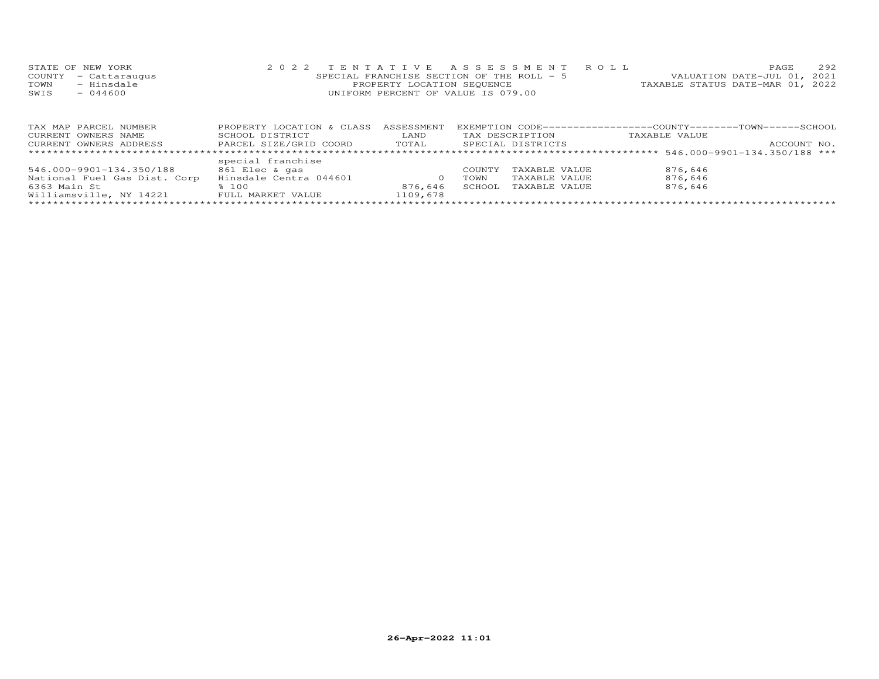|      | STATE OF NEW YORK    | 2022 TENTATIVE ASSESSMENT ROLL            | PAGE.                            | 2.92 |
|------|----------------------|-------------------------------------------|----------------------------------|------|
|      | COUNTY - Cattaraugus | SPECIAL FRANCHISE SECTION OF THE ROLL - 5 | VALUATION DATE-JUL 01, 2021      |      |
| TOWN | - Hinsdale           | PROPERTY LOCATION SEQUENCE                | TAXABLE STATUS DATE-MAR 01, 2022 |      |
| SWIS | $-044600$            | UNIFORM PERCENT OF VALUE IS 079.00        |                                  |      |
|      |                      |                                           |                                  |      |

| TAX MAP PARCEL NUMBER        | PROPERTY LOCATION & CLASS | ASSESSMENT |             |                   |               |             |
|------------------------------|---------------------------|------------|-------------|-------------------|---------------|-------------|
| CURRENT OWNERS NAME          | SCHOOL DISTRICT           | LAND       |             | TAX DESCRIPTION   | TAXABLE VALUE |             |
| CURRENT OWNERS ADDRESS       | PARCEL SIZE/GRID COORD    | TOTAL      |             | SPECIAL DISTRICTS |               | ACCOUNT NO. |
|                              |                           |            |             |                   |               |             |
|                              | special franchise         |            |             |                   |               |             |
| 546.000-9901-134.350/188     | 861 Elec & gas            |            | COUNTY      | TAXABLE VALUE     | 876,646       |             |
| National Fuel Gas Dist. Corp | Hinsdale Centra 044601    |            | <b>TOWN</b> | TAXABLE VALUE     | 876.646       |             |
| 6363 Main St                 | 8.100                     | 876.646    | SCHOOL      | TAXABLE VALUE     | 876,646       |             |
| Williamsville, NY 14221      | FULL MARKET VALUE         | 1109,678   |             |                   |               |             |
|                              |                           |            |             |                   |               |             |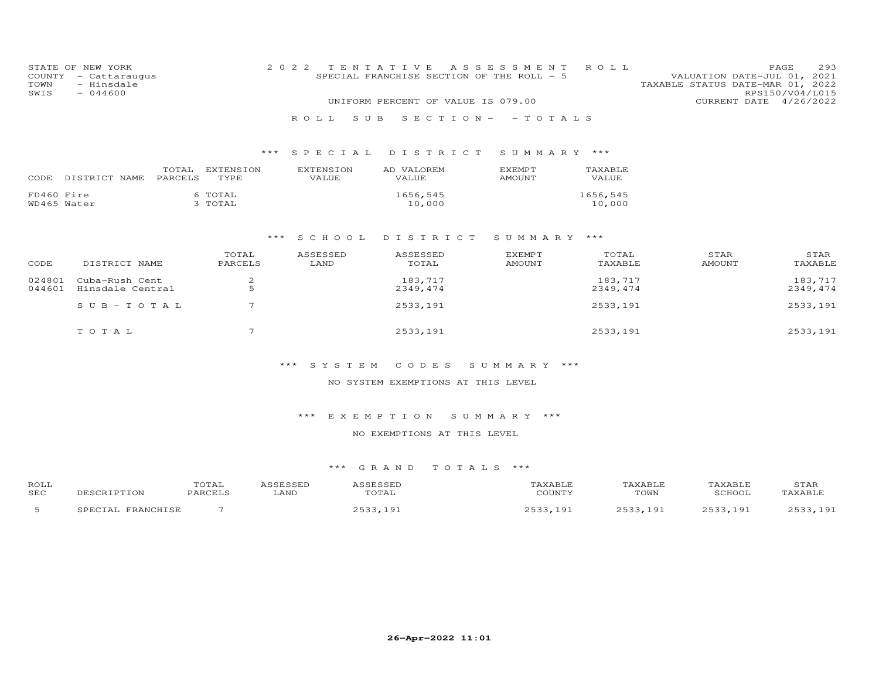| COUNTY<br>TOWN<br>SWIS    | STATE OF NEW YORK<br>- Cattaraugus<br>- Hinsdale<br>$-044600$ |                  |                    |       | 2 0 2 2<br>R O L L | SPECIAL FRANCHISE SECTION OF THE ROLL - 5 | S U B | TENTATIVE<br>UNIFORM PERCENT OF VALUE IS 079.00 |                     | A S S E S S M E N T<br>$S E C T I ON - - T O T AL S$ |                                |             | ROLL                |  | CURRENT DATE          | PAGE<br>VALUATION DATE-JUL 01,<br>TAXABLE STATUS DATE-MAR 01, 2022<br>RPS150/V04/L015 | 293<br>2021<br>4/26/2022 |
|---------------------------|---------------------------------------------------------------|------------------|--------------------|-------|--------------------|-------------------------------------------|-------|-------------------------------------------------|---------------------|------------------------------------------------------|--------------------------------|-------------|---------------------|--|-----------------------|---------------------------------------------------------------------------------------|--------------------------|
|                           |                                                               |                  |                    | $***$ |                    | S P E C I A L                             |       |                                                 |                     | DISTRICT                                             |                                | SUMMARY *** |                     |  |                       |                                                                                       |                          |
| CODE                      | DISTRICT NAME                                                 | TOTAL<br>PARCELS | EXTENSION<br>TYPE  |       |                    | <b>EXTENSION</b><br>VALUE                 |       | AD VALOREM<br>VALUE                             |                     |                                                      | <b>EXEMPT</b><br><b>AMOUNT</b> |             | TAXABLE<br>VALUE    |  |                       |                                                                                       |                          |
| FD460 Fire<br>WD465 Water |                                                               |                  | 6 TOTAL<br>3 TOTAL |       |                    |                                           |       |                                                 | 1656,545<br>10,000  |                                                      |                                |             | 1656,545<br>10,000  |  |                       |                                                                                       |                          |
|                           |                                                               |                  |                    | ***   |                    | S C H O O L                               |       | DISTRICT                                        |                     |                                                      |                                | SUMMARY *** |                     |  |                       |                                                                                       |                          |
| CODE                      | DISTRICT NAME                                                 |                  | TOTAL<br>PARCELS   |       |                    | ASSESSED<br>LAND                          |       |                                                 | ASSESSED<br>TOTAL   |                                                      | <b>EXEMPT</b><br><b>AMOUNT</b> |             | TOTAL<br>TAXABLE    |  | STAR<br><b>AMOUNT</b> |                                                                                       | STAR<br>TAXABLE          |
| 024801<br>044601          | Cuba-Rush Cent<br>Hinsdale Central                            |                  | 2<br>5             |       |                    |                                           |       |                                                 | 183,717<br>2349,474 |                                                      |                                |             | 183,717<br>2349,474 |  |                       |                                                                                       | 183,717<br>2349, 474     |
|                           | $S \cup B - TO T A L$                                         |                  | 7                  |       |                    |                                           |       |                                                 | 2533,191            |                                                      |                                |             | 2533,191            |  |                       |                                                                                       | 2533, 191                |

### \*\*\* S Y S T E M C O D E S S U M M A R Y \*\*\*

T O T A L 2533,191 2533,191 2533,191 2533,191 2533,191 2533,191 2533,191 2533,191

#### NO SYSTEM EXEMPTIONS AT THIS LEVEL

#### \*\*\* E X E M P T I O N S U M M A R Y \*\*\*

### NO EXEMPTIONS AT THIS LEVEL

| ROLI<br><b>SEC</b> |  | LAND | ----<br>.<br>$m \wedge m \wedge$                                                                                | C <sub>0</sub> | .<br>TOWN | SURVOT  | STAP<br><b>VADT</b> |
|--------------------|--|------|-----------------------------------------------------------------------------------------------------------------|----------------|-----------|---------|---------------------|
|                    |  |      | the contract of the contract of the contract of the contract of the contract of the contract of the contract of | n.             | . G       | $\circ$ | $\sim$ $\sim$       |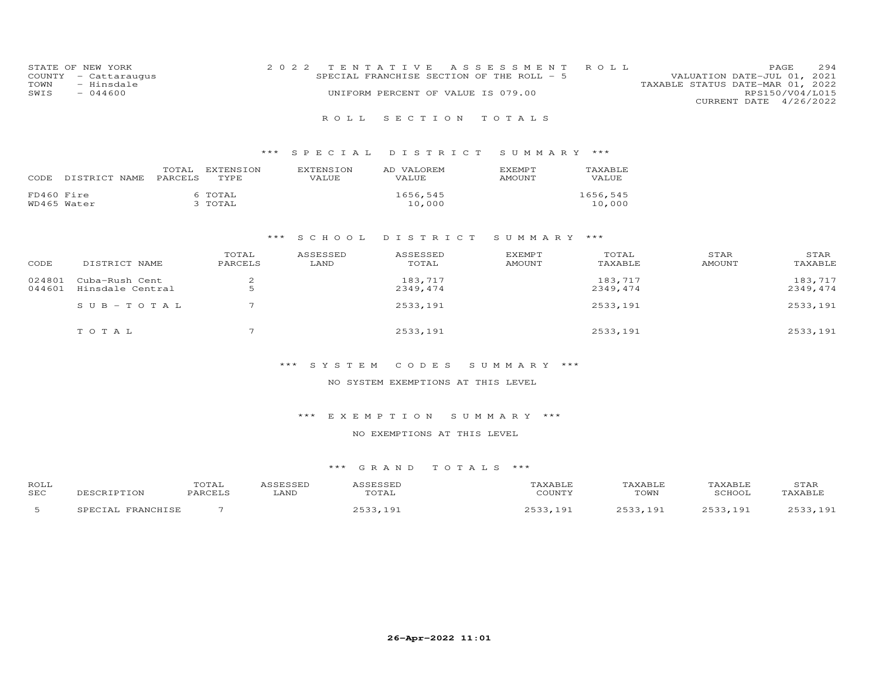| STATE OF NEW YORK    | 2022 TENTATIVE ASSESSMENT ROLL            |                                  | PAGE.                       | 294 |
|----------------------|-------------------------------------------|----------------------------------|-----------------------------|-----|
| COUNTY - Cattaraugus | SPECIAL FRANCHISE SECTION OF THE ROLL - 5 |                                  | VALUATION DATE-JUL 01, 2021 |     |
| - Hinsdale<br>TOWN   |                                           | TAXABLE STATUS DATE-MAR 01, 2022 |                             |     |
| SWIS<br>$-044600$    | UNIFORM PERCENT OF VALUE IS 079.00        |                                  | RPS150/V04/L015             |     |
|                      |                                           |                                  | CURRENT DATE 4/26/2022      |     |

### \*\*\* S P E C I A L D I S T R I C T S U M M A R Y \*\*\*

| CODE       | DISTRICT NAME | TOTAL<br><b>PARCELS</b> | EXTENSION<br><b>TYPE</b> | <b>EXTENSION</b><br>VALUE. | AD VALOREM<br>VALUE. | <b>FXEMPT</b><br>AMOUNT | TAXABLE<br>VALUE   |
|------------|---------------|-------------------------|--------------------------|----------------------------|----------------------|-------------------------|--------------------|
| FD460 Fire | WD465 Water   |                         | 6 TOTAL<br>3 TOTAL       |                            | 1656,545<br>10,000   |                         | 1656,545<br>10,000 |

#### \*\*\* S C H O O L D I S T R I C T S U M M A R Y \*\*\*

| CODE             | DISTRICT NAME                      | TOTAL<br>PARCELS | ASSESSED<br>LAND | ASSESSED<br>TOTAL   | <b>EXEMPT</b><br><b>AMOUNT</b> | TOTAL<br>TAXABLE    | STAR<br>AMOUNT | STAR<br>TAXABLE     |
|------------------|------------------------------------|------------------|------------------|---------------------|--------------------------------|---------------------|----------------|---------------------|
| 024801<br>044601 | Cuba-Rush Cent<br>Hinsdale Central | ▵                |                  | 183,717<br>2349,474 |                                | 183,717<br>2349,474 |                | 183,717<br>2349,474 |
|                  | SUB-TOTAL                          |                  |                  | 2533,191            |                                | 2533,191            |                | 2533,191            |
|                  | TOTAL                              | $\overline{ }$   |                  | 2533,191            |                                | 2533,191            |                | 2533,191            |

### \*\*\* S Y S T E M C O D E S S U M M A R Y \*\*\*

#### NO SYSTEM EXEMPTIONS AT THIS LEVEL

### \*\*\* E X E M P T I O N S U M M A R Y \*\*\*

### NO EXEMPTIONS AT THIS LEVEL

| <b>ROLL</b><br><b>SEC</b> | ----<br>. O'L'AL<br>$\Gamma$ | LAND | $m \wedge m \wedge r$<br>:OTAL                                                                                  | C <sub>0</sub> | $\sim$ $\sim$ $\sim$ $\sim$<br>TOWN                                                                                   | SCHOOT                                                                                                               | STAF<br><b>VADT</b> |
|---------------------------|------------------------------|------|-----------------------------------------------------------------------------------------------------------------|----------------|-----------------------------------------------------------------------------------------------------------------------|----------------------------------------------------------------------------------------------------------------------|---------------------|
|                           |                              |      | the contract of the contract of the contract of the contract of the contract of the contract of the contract of | n.             | O.<br>the contract of the contract of the contract of the contract of the contract of the contract of the contract of | Q<br>the contract of the contract of the contract of the contract of the contract of the contract of the contract of |                     |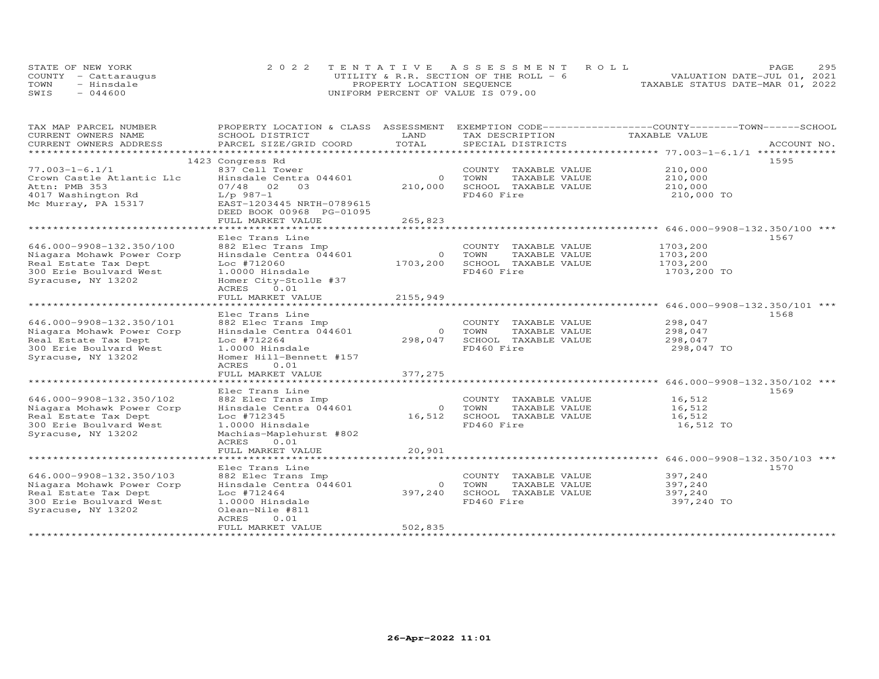|      | STATE OF NEW YORK    | 2022 TENTATIVE ASSESSMENT ROLL          |                                  | PAGE. | 295 |
|------|----------------------|-----------------------------------------|----------------------------------|-------|-----|
|      | COUNTY - Cattaraugus | UTILITY & R.R. SECTION OF THE ROLL $-6$ | VALUATION DATE-JUL 01, 2021      |       |     |
| TOWN | - Hinsdale           | PROPERTY LOCATION SEQUENCE              | TAXABLE STATUS DATE-MAR 01, 2022 |       |     |
| SWIS | 044600               | UNIFORM PERCENT OF VALUE IS 079.00      |                                  |       |     |

| TAX MAP PARCEL NUMBER     | PROPERTY LOCATION & CLASS ASSESSMENT |                | EXEMPTION CODE-----------------COUNTY-------TOWN------SCHOOL |               |             |
|---------------------------|--------------------------------------|----------------|--------------------------------------------------------------|---------------|-------------|
| CURRENT OWNERS NAME       | SCHOOL DISTRICT                      | LAND           | TAX DESCRIPTION                                              | TAXABLE VALUE |             |
| CURRENT OWNERS ADDRESS    | PARCEL SIZE/GRID COORD               | TOTAL          | SPECIAL DISTRICTS                                            |               | ACCOUNT NO. |
| ************************* |                                      |                |                                                              |               |             |
|                           | 1423 Congress Rd                     |                |                                                              |               | 1595        |
| $77.003 - 1 - 6.1/1$      | 837 Cell Tower                       |                | COUNTY TAXABLE VALUE                                         | 210,000       |             |
| Crown Castle Atlantic Llc | Hinsdale Centra 044601               | $\overline{0}$ | TOWN<br>TAXABLE VALUE                                        | 210,000       |             |
| Attn: PMB 353             | 07/48 02 03                          | 210,000        | SCHOOL TAXABLE VALUE                                         | 210,000       |             |
| 4017 Washington Rd        | $L/p$ 987-1                          |                | FD460 Fire                                                   | 210,000 TO    |             |
| Mc Murray, PA 15317       | EAST-1203445 NRTH-0789615            |                |                                                              |               |             |
|                           | DEED BOOK 00968 PG-01095             |                |                                                              |               |             |
|                           | FULL MARKET VALUE                    | 265,823        |                                                              |               |             |
|                           | ****************************         | **********     |                                                              |               |             |
|                           | Elec Trans Line                      |                |                                                              |               | 1567        |
| 646.000-9908-132.350/100  | 882 Elec Trans Imp                   |                | COUNTY TAXABLE VALUE                                         | 1703,200      |             |
| Niagara Mohawk Power Corp | Hinsdale Centra 044601               | $\overline{0}$ | TOWN<br>TAXABLE VALUE                                        | 1703,200      |             |
| Real Estate Tax Dept      | Loc #712060                          | 1703,200       | SCHOOL TAXABLE VALUE                                         | 1703,200      |             |
| 300 Erie Boulvard West    | 1.0000 Hinsdale                      |                | FD460 Fire                                                   | 1703,200 TO   |             |
| Syracuse, NY 13202        | Homer City-Stolle #37                |                |                                                              |               |             |
|                           | ACRES 0.01                           |                |                                                              |               |             |
|                           | FULL MARKET VALUE                    | 2155,949       |                                                              |               |             |
|                           |                                      |                |                                                              |               |             |
|                           |                                      |                |                                                              |               |             |
|                           | Elec Trans Line                      |                |                                                              |               | 1568        |
| 646.000-9908-132.350/101  | 882 Elec Trans Imp                   |                | COUNTY TAXABLE VALUE                                         | 298,047       |             |
| Niagara Mohawk Power Corp | Hinsdale Centra 044601               | $\overline{O}$ | TOWN<br>TAXABLE VALUE                                        | 298,047       |             |
| Real Estate Tax Dept      | Loc #712264                          | 298,047        | SCHOOL TAXABLE VALUE                                         | 298,047       |             |
| 300 Erie Boulvard West    | 1.0000 Hinsdale                      |                | FD460 Fire                                                   | 298,047 TO    |             |
| Syracuse, NY 13202        | Homer Hill-Bennett #157              |                |                                                              |               |             |
|                           | ACRES 0.01                           |                |                                                              |               |             |
|                           | FULL MARKET VALUE                    | 377,275        |                                                              |               |             |
|                           |                                      |                |                                                              |               |             |
|                           | Elec Trans Line                      |                |                                                              |               | 1569        |
| 646.000-9908-132.350/102  | 882 Elec Trans Imp                   |                | COUNTY TAXABLE VALUE                                         | 16,512        |             |
| Niagara Mohawk Power Corp | Hinsdale Centra 044601               | $\overline{O}$ | TOWN<br>TAXABLE VALUE                                        | 16,512        |             |
| Real Estate Tax Dept      | Loc #712345                          | 16,512         | SCHOOL TAXABLE VALUE                                         | 16,512        |             |
| 300 Erie Boulvard West    | 1.0000 Hinsdale                      |                | FD460 Fire                                                   | 16,512 TO     |             |
| Syracuse, NY 13202        | Machias-Maplehurst #802              |                |                                                              |               |             |
|                           | ACRES 0.01                           |                |                                                              |               |             |
|                           | FULL MARKET VALUE                    | 20,901         |                                                              |               |             |
|                           |                                      |                |                                                              |               |             |
|                           | Elec Trans Line                      |                |                                                              |               | 1570        |
| 646.000-9908-132.350/103  | 882 Elec Trans Imp                   |                | COUNTY TAXABLE VALUE                                         | 397,240       |             |
| Niagara Mohawk Power Corp | Hinsdale Centra 044601               | $\overline{O}$ | TAXABLE VALUE<br>TOWN                                        | 397,240       |             |
| Real Estate Tax Dept      | Loc #712464                          | 397,240        | SCHOOL TAXABLE VALUE                                         | 397,240       |             |
| 300 Erie Boulvard West    | 1.0000 Hinsdale                      |                | FD460 Fire                                                   | 397,240 TO    |             |
| Syracuse, NY 13202        | Olean-Nile #811                      |                |                                                              |               |             |
|                           | ACRES<br>0.01                        |                |                                                              |               |             |
|                           | FULL MARKET VALUE                    | 502,835        |                                                              |               |             |
|                           |                                      |                |                                                              |               |             |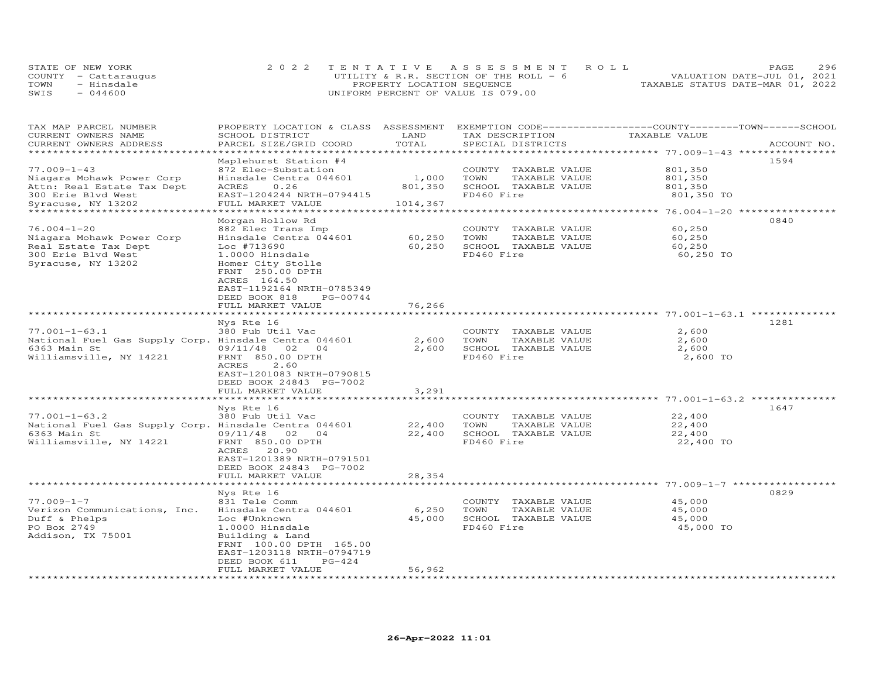|      | STATE OF NEW YORK    |                                    | 2022 TENTATIVE ASSESSMENT ROLL          |                                  | PAGE. | 296 |
|------|----------------------|------------------------------------|-----------------------------------------|----------------------------------|-------|-----|
|      | COUNTY - Cattaraugus |                                    | UTILITY & R.R. SECTION OF THE ROLL $-6$ | VALUATION DATE-JUL 01, 2021      |       |     |
| TOWN | - Hinsdale           | PROPERTY LOCATION SEQUENCE         |                                         | TAXABLE STATUS DATE-MAR 01, 2022 |       |     |
| SWIS | 044600               | UNIFORM PERCENT OF VALUE IS 079.00 |                                         |                                  |       |     |

| TAX MAP PARCEL NUMBER                                 | PROPERTY LOCATION & CLASS ASSESSMENT     |                      |                       | EXEMPTION CODE-----------------COUNTY-------TOWN------SCHOOL  |             |
|-------------------------------------------------------|------------------------------------------|----------------------|-----------------------|---------------------------------------------------------------|-------------|
| CURRENT OWNERS NAME                                   | SCHOOL DISTRICT                          | LAND                 | TAX DESCRIPTION       | TAXABLE VALUE                                                 |             |
| CURRENT OWNERS ADDRESS                                | PARCEL SIZE/GRID COORD                   | TOTAL                | SPECIAL DISTRICTS     |                                                               | ACCOUNT NO. |
| ******************                                    |                                          |                      |                       |                                                               |             |
|                                                       | Maplehurst Station #4                    |                      |                       |                                                               | 1594        |
| $77.009 - 1 - 43$                                     | 872 Elec-Substation                      |                      | COUNTY TAXABLE VALUE  | 801,350                                                       |             |
| Niagara Mohawk Power Corp                             | Hinsdale Centra 044601                   | 1,000                | TAXABLE VALUE<br>TOWN | 801,350                                                       |             |
|                                                       | ACRES<br>0.26                            | 801,350              | SCHOOL TAXABLE VALUE  | 801,350                                                       |             |
| Attn: Real Estate Tax Dept                            |                                          |                      |                       |                                                               |             |
| 300 Erie Blvd West                                    | EAST-1204244 NRTH-0794415                |                      | FD460 Fire            | 801,350 TO                                                    |             |
| Syracuse, NY 13202                                    | FULL MARKET VALUE                        | 1014,367             |                       |                                                               |             |
|                                                       |                                          |                      |                       |                                                               |             |
|                                                       | Morgan Hollow Rd                         |                      |                       |                                                               | 0840        |
| $76.004 - 1 - 20$                                     | 882 Elec Trans Imp                       |                      | COUNTY TAXABLE VALUE  | 60,250                                                        |             |
| Niagara Mohawk Power Corp                             | Hinsdale Centra 044601                   | 60,250               | TOWN<br>TAXABLE VALUE | 60,250                                                        |             |
| Real Estate Tax Dept                                  | Loc #713690                              | 60,250               | SCHOOL TAXABLE VALUE  | 60,250                                                        |             |
| 300 Erie Blvd West                                    | 1.0000 Hinsdale                          |                      | FD460 Fire            | 60,250 TO                                                     |             |
| Syracuse, NY 13202                                    | Homer City Stolle                        |                      |                       |                                                               |             |
|                                                       | FRNT 250.00 DPTH                         |                      |                       |                                                               |             |
|                                                       | ACRES 164.50                             |                      |                       |                                                               |             |
|                                                       |                                          |                      |                       |                                                               |             |
|                                                       | EAST-1192164 NRTH-0785349                |                      |                       |                                                               |             |
|                                                       | DEED BOOK 818<br>PG-00744                |                      |                       |                                                               |             |
|                                                       | FULL MARKET VALUE                        | 76,266               |                       |                                                               |             |
|                                                       |                                          |                      |                       | ************** 77.001-1-63.1 *********                        |             |
|                                                       | Nys Rte 16                               |                      |                       |                                                               | 1281        |
| $77.001 - 1 - 63.1$                                   | 380 Pub Util Vac                         |                      | COUNTY TAXABLE VALUE  | 2,600                                                         |             |
| National Fuel Gas Supply Corp. Hinsdale Centra 044601 |                                          | 2,600                | TOWN<br>TAXABLE VALUE | 2,600                                                         |             |
| 6363 Main St                                          | 09/11/48<br>02<br>04                     | 2,600                | SCHOOL TAXABLE VALUE  | 2,600                                                         |             |
| Williamsville, NY 14221                               | FRNT 850.00 DPTH                         |                      | FD460 Fire            | 2,600 TO                                                      |             |
|                                                       | 2.60<br>ACRES                            |                      |                       |                                                               |             |
|                                                       | EAST-1201083 NRTH-0790815                |                      |                       |                                                               |             |
|                                                       | DEED BOOK 24843 PG-7002                  |                      |                       |                                                               |             |
|                                                       |                                          |                      |                       |                                                               |             |
|                                                       | FULL MARKET VALUE<br>******************* | 3,291<br>*********** |                       | ******************************** 77.001-1-63.2 ************** |             |
|                                                       |                                          |                      |                       |                                                               |             |
|                                                       | Nys Rte 16                               |                      |                       |                                                               | 1647        |
| $77.001 - 1 - 63.2$                                   | 380 Pub Util Vac                         |                      | COUNTY TAXABLE VALUE  | 22,400                                                        |             |
| National Fuel Gas Supply Corp. Hinsdale Centra 044601 |                                          | 22,400               | TOWN<br>TAXABLE VALUE | 22,400                                                        |             |
| 6363 Main St                                          | 09/11/48<br>02<br>04                     | 22,400               | SCHOOL TAXABLE VALUE  | 22,400                                                        |             |
| Williamsville, NY 14221                               | FRNT 850.00 DPTH                         |                      | FD460 Fire            | 22,400 TO                                                     |             |
|                                                       | 20.90<br>ACRES                           |                      |                       |                                                               |             |
|                                                       | EAST-1201389 NRTH-0791501                |                      |                       |                                                               |             |
|                                                       | DEED BOOK 24843 PG-7002                  |                      |                       |                                                               |             |
|                                                       | FULL MARKET VALUE                        | 28,354               |                       |                                                               |             |
|                                                       |                                          |                      |                       | ********************* 77.009-1-7 ************                 |             |
|                                                       |                                          |                      |                       |                                                               | 0829        |
|                                                       | Nys Rte 16                               |                      |                       |                                                               |             |
| $77.009 - 1 - 7$                                      | 831 Tele Comm                            |                      | COUNTY TAXABLE VALUE  | 45,000                                                        |             |
| Verizon Communications, Inc.                          | Hinsdale Centra 044601                   | 6,250                | TOWN<br>TAXABLE VALUE | 45,000                                                        |             |
| Duff & Phelps                                         | Loc #Unknown                             | 45,000               | SCHOOL TAXABLE VALUE  | 45,000                                                        |             |
| PO Box 2749                                           | 1.0000 Hinsdale                          |                      | FD460 Fire            | 45,000 TO                                                     |             |
| Addison, TX 75001                                     | Building & Land                          |                      |                       |                                                               |             |
|                                                       | FRNT 100.00 DPTH 165.00                  |                      |                       |                                                               |             |
|                                                       | EAST-1203118 NRTH-0794719                |                      |                       |                                                               |             |
|                                                       | $PG-424$<br>DEED BOOK 611                |                      |                       |                                                               |             |
|                                                       | FULL MARKET VALUE                        | 56,962               |                       |                                                               |             |
| *********************                                 | ********************                     | *********            |                       |                                                               |             |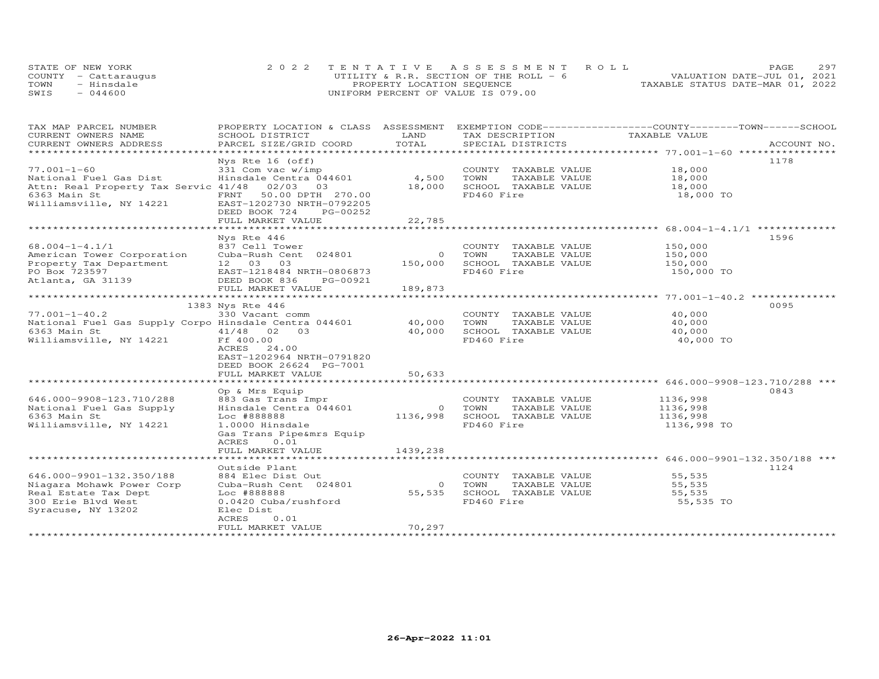|      | STATE OF NEW YORK    |                                    | 2022 TENTATIVE ASSESSMENT ROLL         |                                  | PAGE | 297 |
|------|----------------------|------------------------------------|----------------------------------------|----------------------------------|------|-----|
|      | COUNTY - Cattaraugus |                                    | UTILITY & R.R. SECTION OF THE ROLL - 6 | VALUATION DATE-JUL 01, 2021      |      |     |
| TOWN | - Hinsdale           | PROPERTY LOCATION SEQUENCE         |                                        | TAXABLE STATUS DATE-MAR 01, 2022 |      |     |
| SWIS | $-044600$            | UNIFORM PERCENT OF VALUE IS 079.00 |                                        |                                  |      |     |

| TAX MAP PARCEL NUMBER                                                       |                           |                |                         | PROPERTY LOCATION & CLASS ASSESSMENT EXEMPTION CODE-----------------COUNTY-------TOWN------SCHOOL |             |
|-----------------------------------------------------------------------------|---------------------------|----------------|-------------------------|---------------------------------------------------------------------------------------------------|-------------|
| CURRENT OWNERS NAME                                                         | SCHOOL DISTRICT           | LAND           | TAX DESCRIPTION         | TAXABLE VALUE                                                                                     |             |
| CURRENT OWNERS ADDRESS<br>************************                          | PARCEL SIZE/GRID COORD    | TOTAL          | SPECIAL DISTRICTS       |                                                                                                   | ACCOUNT NO. |
|                                                                             |                           |                |                         |                                                                                                   |             |
|                                                                             | Nys Rte 16 (off)          |                |                         |                                                                                                   | 1178        |
| $77.001 - 1 - 60$                                                           | 331 Com vac w/imp         |                | COUNTY TAXABLE VALUE    | 18,000                                                                                            |             |
| National Fuel Gas Dist                                                      | Hinsdale Centra 044601    | 4,500          | TOWN<br>TAXABLE VALUE   | 18,000                                                                                            |             |
| Attn: Real Property Tax Servic 41/48 02/03 03                               |                           | 18,000         | SCHOOL TAXABLE VALUE    | 18,000                                                                                            |             |
| 6363 Main St                                                                | 50.00 DPTH 270.00<br>FRNT |                | FD460 Fire              | 18,000 TO                                                                                         |             |
| Williamsville, NY 14221                                                     | EAST-1202730 NRTH-0792205 |                |                         |                                                                                                   |             |
|                                                                             | DEED BOOK 724<br>PG-00252 |                |                         |                                                                                                   |             |
|                                                                             | FULL MARKET VALUE         | 22,785         |                         |                                                                                                   |             |
|                                                                             |                           |                |                         |                                                                                                   |             |
|                                                                             | Nys Rte 446               |                |                         |                                                                                                   | 1596        |
| $68.004 - 1 - 4.1/1$                                                        | 837 Cell Tower            |                | COUNTY TAXABLE VALUE    | 150,000                                                                                           |             |
| American Tower Corporation Cuba-Rush Cent 024801                            |                           | $\overline{0}$ | TOWN<br>TAXABLE VALUE   | 150,000                                                                                           |             |
| Property Tax Department 12 03 03<br>PO Box 723597 EAST-1218484 NRTH-0806873 |                           | 150,000        | SCHOOL TAXABLE VALUE    | 150,000                                                                                           |             |
| PO Box 723597 EAST-1218484 N<br>Atlanta, GA 31139 DEED BOOK 836             |                           |                | FD460 Fire              | 150,000 TO                                                                                        |             |
|                                                                             | PG-00921                  |                |                         |                                                                                                   |             |
|                                                                             | FULL MARKET VALUE         | 189,873        |                         |                                                                                                   |             |
|                                                                             |                           |                |                         |                                                                                                   |             |
|                                                                             | 1383 Nys Rte 446          |                |                         |                                                                                                   | 0095        |
| $77.001 - 1 - 40.2$                                                         | 330 Vacant comm           |                | COUNTY TAXABLE VALUE    | 40,000                                                                                            |             |
| National Fuel Gas Supply Corpo Hinsdale Centra 044601                       |                           | 40,000         | TOWN<br>TAXABLE VALUE   | 40,000                                                                                            |             |
| 6363 Main St                                                                | 41/48 02 03               | 40,000         | SCHOOL TAXABLE VALUE    | 40,000                                                                                            |             |
| Williamsville, NY 14221                                                     | Ff 400.00                 |                | FD460 Fire              | 40,000 TO                                                                                         |             |
|                                                                             | ACRES 24.00               |                |                         |                                                                                                   |             |
|                                                                             | EAST-1202964 NRTH-0791820 |                |                         |                                                                                                   |             |
|                                                                             | DEED BOOK 26624 PG-7001   |                |                         |                                                                                                   |             |
|                                                                             | FULL MARKET VALUE         | 50,633         |                         |                                                                                                   |             |
|                                                                             |                           |                |                         |                                                                                                   |             |
|                                                                             | Op & Mrs Equip            |                |                         |                                                                                                   | 0843        |
| 646.000-9908-123.710/288                                                    | 883 Gas Trans Impr        |                | COUNTY TAXABLE VALUE    | 1136,998                                                                                          |             |
| National Fuel Gas Supply                                                    | Hinsdale Centra 044601    |                | 0 TOWN<br>TAXABLE VALUE | 1136,998                                                                                          |             |
| 6363 Main St                                                                | Loc #888888               | 1136,998       | SCHOOL TAXABLE VALUE    | 1136,998                                                                                          |             |
| Williamsville, NY 14221                                                     | 1.0000 Hinsdale           |                | FD460 Fire              | 1136,998 TO                                                                                       |             |
|                                                                             | Gas Trans Pipe&mrs Equip  |                |                         |                                                                                                   |             |
|                                                                             | ACRES<br>0.01             |                |                         |                                                                                                   |             |
|                                                                             | FULL MARKET VALUE         | 1439,238       |                         |                                                                                                   |             |
|                                                                             |                           |                |                         |                                                                                                   |             |
|                                                                             | Outside Plant             |                |                         |                                                                                                   | 1124        |
| 646.000-9901-132.350/188                                                    | 884 Elec Dist Out         |                | COUNTY TAXABLE VALUE    | 55,535                                                                                            |             |
| Niagara Mohawk Power Corp                                                   | Cuba-Rush Cent 024801     | $\Omega$       | TOWN<br>TAXABLE VALUE   | 55,535                                                                                            |             |
| Real Estate Tax Dept                                                        | Loc #888888               | 55,535         | SCHOOL TAXABLE VALUE    | 55,535                                                                                            |             |
| 300 Erie Blvd West                                                          | 0.0420 Cuba/rushford      |                | FD460 Fire              | 55,535 TO                                                                                         |             |
| Syracuse, NY 13202                                                          | Elec Dist                 |                |                         |                                                                                                   |             |
|                                                                             | ACRES<br>0.01             |                |                         |                                                                                                   |             |
|                                                                             | FULL MARKET VALUE         | 70,297         |                         |                                                                                                   |             |
|                                                                             |                           |                |                         |                                                                                                   |             |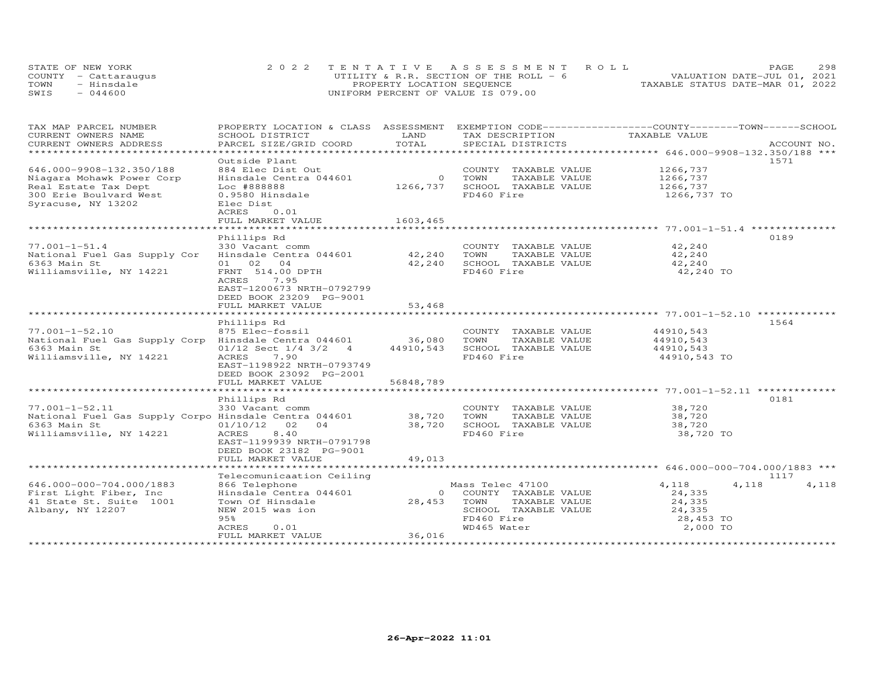|      | STATE OF NEW YORK    | 2022 TENTATIVE ASSESSMENT ROLL           | 298<br>PAGE.                     |
|------|----------------------|------------------------------------------|----------------------------------|
|      | COUNTY - Cattarauqus | UTILITY & R.R. SECTION OF THE ROLL - $6$ | VALUATION DATE-JUL 01, 2021      |
| TOWN | - Hinsdale           | PROPERTY LOCATION SEQUENCE               | TAXABLE STATUS DATE-MAR 01, 2022 |
| SWIS | $-044600$            | UNIFORM PERCENT OF VALUE IS 079.00       |                                  |

| TAX MAP PARCEL NUMBER                                 | PROPERTY LOCATION & CLASS ASSESSMENT |                | EXEMPTION CODE-----------------COUNTY-------TOWN------SCHOOL |               |                |
|-------------------------------------------------------|--------------------------------------|----------------|--------------------------------------------------------------|---------------|----------------|
| CURRENT OWNERS NAME                                   | SCHOOL DISTRICT                      | LAND<br>TOTAL  | TAX DESCRIPTION                                              | TAXABLE VALUE |                |
| CURRENT OWNERS ADDRESS<br>**********************      | PARCEL SIZE/GRID COORD               |                | SPECIAL DISTRICTS                                            |               | ACCOUNT NO.    |
|                                                       |                                      |                |                                                              |               | 1571           |
| 646.000-9908-132.350/188                              | Outside Plant<br>884 Elec Dist Out   |                |                                                              | 1266,737      |                |
|                                                       |                                      | $\overline{0}$ | COUNTY TAXABLE VALUE<br>TOWN                                 |               |                |
| Niagara Mohawk Power Corp                             | Hinsdale Centra 044601               |                | TAXABLE VALUE<br>SCHOOL TAXABLE VALUE                        | 1266,737      |                |
| Real Estate Tax Dept                                  | Loc #888888                          | 1266,737       | FD460 Fire                                                   | 1266,737      |                |
| 300 Erie Boulvard West<br>Syracuse, NY 13202          | 0.9580 Hinsdale<br>Elec Dist         |                |                                                              | 1266,737 TO   |                |
|                                                       | ACRES<br>0.01                        |                |                                                              |               |                |
|                                                       | FULL MARKET VALUE                    | 1603,465       |                                                              |               |                |
|                                                       |                                      |                |                                                              |               |                |
|                                                       | Phillips Rd                          |                |                                                              |               | 0189           |
| $77.001 - 1 - 51.4$                                   | 330 Vacant comm                      |                | COUNTY TAXABLE VALUE                                         | 42,240        |                |
| National Fuel Gas Supply Cor                          | Hinsdale Centra 044601               | 42,240         | TOWN<br>TAXABLE VALUE                                        | 42,240        |                |
| 6363 Main St                                          | 01 02 04                             | 42,240         | SCHOOL TAXABLE VALUE                                         | 42,240        |                |
| Williamsville, NY 14221                               | FRNT 514.00 DPTH                     |                | FD460 Fire                                                   | 42,240 TO     |                |
|                                                       | 7.95<br>ACRES                        |                |                                                              |               |                |
|                                                       | EAST-1200673 NRTH-0792799            |                |                                                              |               |                |
|                                                       | DEED BOOK 23209 PG-9001              |                |                                                              |               |                |
|                                                       | FULL MARKET VALUE                    | 53,468         |                                                              |               |                |
|                                                       |                                      |                |                                                              |               |                |
|                                                       | Phillips Rd                          |                |                                                              |               | 1564           |
| $77.001 - 1 - 52.10$                                  | 875 Elec-fossil                      |                | COUNTY TAXABLE VALUE                                         | 44910,543     |                |
| National Fuel Gas Supply Corp Hinsdale Centra 044601  |                                      | 36,080         | TAXABLE VALUE<br>TOWN                                        | 44910,543     |                |
| 6363 Main St                                          | $01/12$ Sect $1/4$ 3/2 4             | 44910,543      | SCHOOL TAXABLE VALUE                                         | 44910,543     |                |
| Williamsville, NY 14221                               | ACRES<br>7.90                        |                | FD460 Fire                                                   | 44910,543 TO  |                |
|                                                       | EAST-1198922 NRTH-0793749            |                |                                                              |               |                |
|                                                       | DEED BOOK 23092 PG-2001              |                |                                                              |               |                |
|                                                       | FULL MARKET VALUE                    | 56848,789      |                                                              |               |                |
|                                                       |                                      |                |                                                              |               |                |
|                                                       | Phillips Rd                          |                |                                                              |               | 0181           |
| $77.001 - 1 - 52.11$                                  | 330 Vacant comm                      |                | COUNTY TAXABLE VALUE                                         | 38,720        |                |
| National Fuel Gas Supply Corpo Hinsdale Centra 044601 |                                      | 38,720         | TOWN<br>TAXABLE VALUE                                        | 38,720        |                |
| 6363 Main St                                          | 01/10/12<br>02<br>04                 | 38,720         | SCHOOL TAXABLE VALUE                                         | 38,720        |                |
| Williamsville, NY 14221                               | 8.40<br>ACRES                        |                | FD460 Fire                                                   | 38,720 TO     |                |
|                                                       | EAST-1199939 NRTH-0791798            |                |                                                              |               |                |
|                                                       | DEED BOOK 23182 PG-9001              |                |                                                              |               |                |
|                                                       | FULL MARKET VALUE                    | 49,013         |                                                              |               |                |
|                                                       |                                      |                |                                                              |               |                |
|                                                       | Telecomunicaation Ceiling            |                |                                                              |               | 1117           |
| 646.000-000-704.000/1883                              | 866 Telephone                        |                | Mass Telec 47100                                             | 4,118         | 4,118<br>4,118 |
| First Light Fiber, Inc                                | Hinsdale Centra 044601               | $\circ$        | COUNTY TAXABLE VALUE                                         | 24,335        |                |
| 41 State St. Suite 1001                               | Town Of Hinsdale                     | 28,453         | TAXABLE VALUE<br>TOWN                                        | 24,335        |                |
| Albany, NY 12207                                      | NEW 2015 was ion                     |                | SCHOOL TAXABLE VALUE                                         | 24,335        |                |
|                                                       | 95%                                  |                | FD460 Fire                                                   | 28,453 TO     |                |
|                                                       | 0.01<br>ACRES                        |                | WD465 Water                                                  | 2,000 TO      |                |
|                                                       | FULL MARKET VALUE                    | 36,016         |                                                              |               |                |
|                                                       |                                      |                |                                                              |               |                |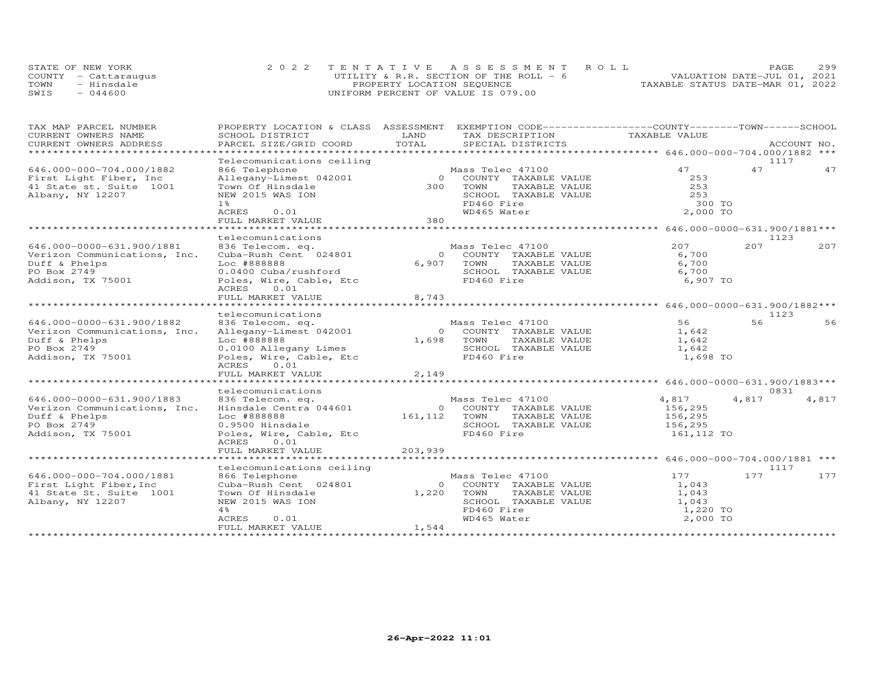| STATE OF NEW YORK    | 2022 TENTATIVE ASSESSMENT ROLL         |                                  | PAGE.                       | 299 |
|----------------------|----------------------------------------|----------------------------------|-----------------------------|-----|
| COUNTY - Cattaraugus | UTILITY & R.R. SECTION OF THE ROLL - 6 |                                  | VALUATION DATE-JUL 01, 2021 |     |
| TOWN<br>- Hinsdale   | PROPERTY LOCATION SEQUENCE             | TAXABLE STATUS DATE-MAR 01, 2022 |                             |     |
| $-044600$<br>SWIS    | UNIFORM PERCENT OF VALUE IS 079.00     |                                  |                             |     |

| TAX MAP PARCEL NUMBER        | PROPERTY LOCATION & CLASS ASSESSMENT EXEMPTION CODE----------------COUNTY-------TOWN-----SCHOOL |              |                             |               |       |             |
|------------------------------|-------------------------------------------------------------------------------------------------|--------------|-----------------------------|---------------|-------|-------------|
| CURRENT OWNERS NAME          | SCHOOL DISTRICT                                                                                 | LAND         | TAX DESCRIPTION             | TAXABLE VALUE |       |             |
| CURRENT OWNERS ADDRESS       | PARCEL SIZE/GRID COORD                                                                          | TOTAL        | SPECIAL DISTRICTS           |               |       | ACCOUNT NO. |
| ***********************      |                                                                                                 |              |                             |               |       |             |
|                              | Telecomunications ceiling                                                                       |              |                             |               | 1117  |             |
| 646.000-000-704.000/1882     | 866 Telephone                                                                                   |              | Mass Telec 47100            | 47            | 47    | 47          |
| First Light Fiber, Inc       | Allegany-Limest 042001                                                                          |              | 0 COUNTY TAXABLE VALUE      | 253           |       |             |
| 41 State st. Suite 1001      | Town Of Hinsdale                                                                                |              | 300 TOWN<br>TAXABLE VALUE   | 253           |       |             |
| Albany, NY 12207             | NEW 2015 WAS ION                                                                                |              | SCHOOL TAXABLE VALUE        | 253           |       |             |
|                              | $1\,$ $\,$                                                                                      |              | FD460 Fire                  | 300 TO        |       |             |
|                              | ACRES<br>0.01                                                                                   |              | WD465 Water                 | 2,000 TO      |       |             |
|                              | FULL MARKET VALUE                                                                               | 380          |                             |               |       |             |
|                              |                                                                                                 |              |                             |               |       |             |
|                              | telecomunications                                                                               |              |                             |               | 1123  |             |
| 646.000-0000-631.900/1881    | 836 Telecom. eq.                                                                                |              | Mass Telec 47100            | 207           | 207   | 207         |
| Verizon Communications, Inc. | Cuba-Rush Cent 024801                                                                           |              | 0 COUNTY TAXABLE VALUE      | 6,700         |       |             |
|                              | Loc #888888                                                                                     |              | TAXABLE VALUE               | 6,700         |       |             |
| Duff & Phelps                |                                                                                                 | 6,907        | TOWN                        |               |       |             |
| PO Box 2749                  | 0.0400 Cuba/rushford                                                                            |              | SCHOOL TAXABLE VALUE        | 6,700         |       |             |
| Addison, TX 75001            | Poles, Wire, Cable, Etc                                                                         |              | FD460 Fire                  | 6,907 TO      |       |             |
|                              | 0.01<br>ACRES                                                                                   |              |                             |               |       |             |
|                              | FULL MARKET VALUE                                                                               | 8,743        |                             |               |       |             |
|                              |                                                                                                 |              |                             |               |       |             |
|                              | telecomunications                                                                               |              |                             |               | 1123  |             |
| 646.000-0000-631.900/1882    | 836 Telecom. eq.                                                                                |              | Mass Telec 47100            | 56            | 56    | 56          |
| Verizon Communications, Inc. | Allegany-Limest 042001                                                                          |              | 0 COUNTY TAXABLE VALUE      | 1,642         |       |             |
| Duff & Phelps                | Loc #888888                                                                                     |              | 1,698 TOWN<br>TAXABLE VALUE | 1,642         |       |             |
| PO Box 2749                  | 0.0100 Allegany Limes                                                                           |              | SCHOOL TAXABLE VALUE        | 1,642         |       |             |
| Addison, TX 75001            | Poles, Wire, Cable, Etc                                                                         |              | FD460 Fire                  | 1,698 TO      |       |             |
|                              | 0.01<br>ACRES                                                                                   |              |                             |               |       |             |
|                              | FULL MARKET VALUE                                                                               | 2,149        |                             |               |       |             |
|                              |                                                                                                 |              |                             |               |       |             |
|                              | telecomunications                                                                               |              |                             |               | 0831  |             |
| 646.000-0000-631.900/1883    | 836 Telecom. eq.                                                                                |              | Mass Telec 47100            | 4,817         | 4,817 | 4,817       |
|                              | Hinsdale Centra 044601                                                                          |              | 0 COUNTY TAXABLE VALUE      |               |       |             |
| Verizon Communications, Inc. |                                                                                                 |              |                             | 156,295       |       |             |
| Duff & Phelps                | Loc #888888                                                                                     | 161,112 TOWN | TAXABLE VALUE               | 156,295       |       |             |
| PO Box 2749                  | 0.9500 Hinsdale                                                                                 |              | SCHOOL TAXABLE VALUE        | 156,295       |       |             |
| Addison, TX 75001            | Poles, Wire, Cable, Etc                                                                         |              | FD460 Fire                  | 161,112 TO    |       |             |
|                              | ACRES<br>0.01                                                                                   |              |                             |               |       |             |
|                              | FULL MARKET VALUE                                                                               | 203,939      |                             |               |       |             |
|                              |                                                                                                 |              |                             |               |       |             |
|                              | telecomunications ceiling                                                                       |              |                             |               | 1117  |             |
| 646.000-000-704.000/1881     | 866 Telephone                                                                                   |              | Mass Telec 47100            | 177           | 177   | 177         |
| First Light Fiber, Inc       | Cuba-Rush Cent 024801                                                                           | $\Omega$     | COUNTY TAXABLE VALUE        | 1,043         |       |             |
| 41 State St. Suite 1001      | Town Of Hinsdale                                                                                | 1,220        | TAXABLE VALUE<br>TOWN       | 1,043         |       |             |
| Albany, NY 12207             | NEW 2015 WAS ION                                                                                |              | SCHOOL TAXABLE VALUE        | 1,043         |       |             |
|                              | 4%                                                                                              |              | FD460 Fire                  | 1,220 TO      |       |             |
|                              | ACRES<br>0.01                                                                                   |              | WD465 Water                 | 2,000 TO      |       |             |
|                              | FULL MARKET VALUE                                                                               | 1,544        |                             |               |       |             |
|                              |                                                                                                 |              |                             |               |       |             |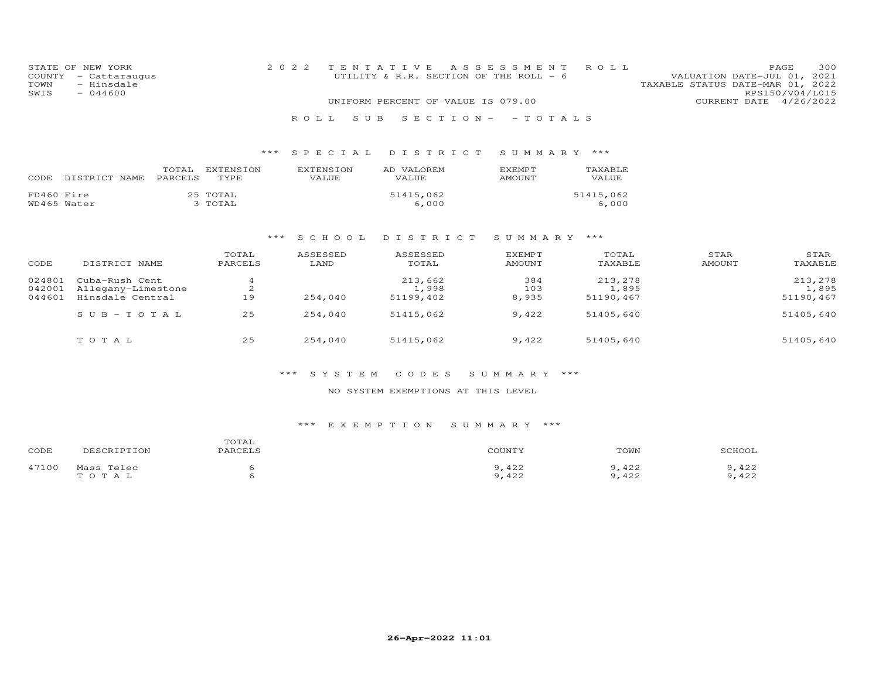| STATE OF NEW YORK    | 2022 TENTATIVE ASSESSMENT ROLL         | 300<br><b>PAGE</b>               |
|----------------------|----------------------------------------|----------------------------------|
| COUNTY - Cattaraugus | UTILITY & R.R. SECTION OF THE ROLL - 6 | VALUATION DATE-JUL 01, 2021      |
| - Hinsdale<br>TOWN   |                                        | TAXABLE STATUS DATE-MAR 01, 2022 |
| $-044600$<br>SWIS    |                                        | RPS150/V04/L015                  |
|                      | UNIFORM PERCENT OF VALUE IS 079.00     | CURRENT DATE 4/26/2022           |
|                      | ROLL SUB SECTION- - TOTALS             |                                  |

| CODE       | DISTRICT NAME | TOTAL<br><b>PARCELS</b> | EXTENSION<br><b>TYPE</b> | <b>EXTENSION</b><br>VALUE | AD VALOREM<br>VALUE. | <b>F.XFMPT</b><br><b>AMOUNT</b> | <b>TAXABLE</b><br>VALUE |
|------------|---------------|-------------------------|--------------------------|---------------------------|----------------------|---------------------------------|-------------------------|
| FD460 Fire | WD465 Water   |                         | 25 TOTAL<br>3 TOTAL      |                           | 51415,062<br>6,000   |                                 | 51415,062<br>6,000      |

#### \*\*\* S C H O O L D I S T R I C T S U M M A R Y \*\*\*

| CODE   | DISTRICT NAME      | TOTAL<br>PARCELS | ASSESSED<br>LAND | ASSESSED<br>TOTAL | EXEMPT<br>AMOUNT | TOTAL<br>TAXABLE | STAR<br>AMOUNT | STAR<br>TAXABLE |
|--------|--------------------|------------------|------------------|-------------------|------------------|------------------|----------------|-----------------|
| 024801 | Cuba-Rush Cent     |                  |                  | 213,662           | 384              | 213,278          |                | 213,278         |
| 042001 | Allegany-Limestone | 2                |                  | 1,998             | 103              | 1,895            |                | 1,895           |
| 044601 | Hinsdale Central   | 19               | 254,040          | 51199,402         | 8,935            | 51190,467        |                | 51190,467       |
|        | $SUB - TO TAL$     | 25               | 254,040          | 51415,062         | 9,422            | 51405,640        |                | 51405,640       |
|        | тотаь              | 25               | 254,040          | 51415,062         | 9,422            | 51405,640        |                | 51405,640       |

#### \*\*\* S Y S T E M C O D E S S U M M A R Y \*\*\*

### NO SYSTEM EXEMPTIONS AT THIS LEVEL

| CODE  | DESCRIPTION | TOTAL<br>PARCELS | COUNTY | TOWN  | SCHOOL |
|-------|-------------|------------------|--------|-------|--------|
| 47100 | Mass Telec  |                  | 9,422  | 422   | 9,422  |
|       | TOTAL       |                  | 9,422  | 9,422 | 9,422  |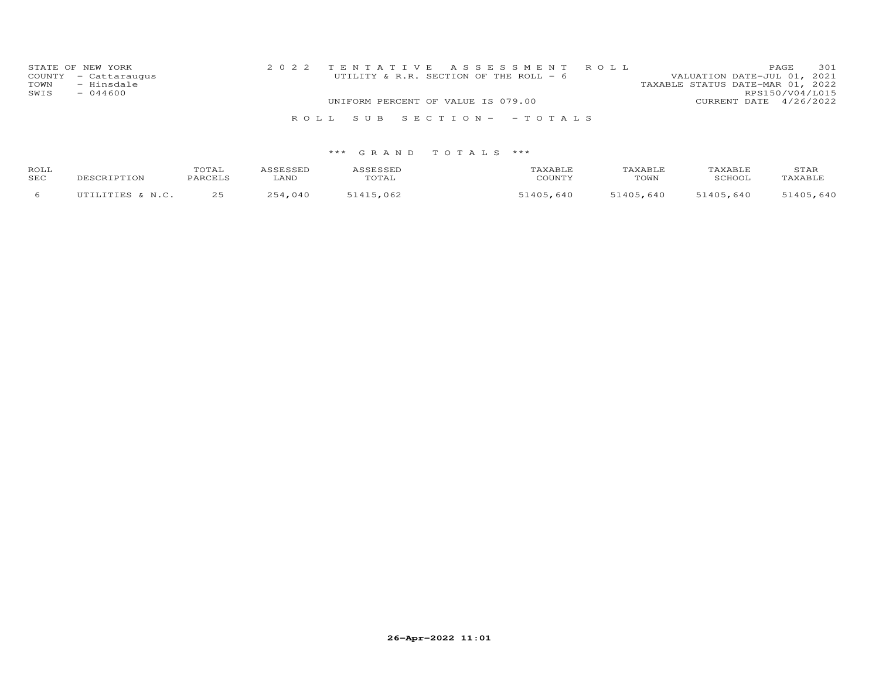| STATE OF NEW YORK<br>COUNTY - Cattaraugus<br>- Hinsdale<br>TOWN<br>$-044600$<br>SWIS | 2022 TENTATIVE ASSESSMENT ROLL<br>UTILITY & R.R. SECTION OF THE ROLL - 6 | 301<br>PAGE.<br>VALUATION DATE-JUL 01, 2021<br>TAXABLE STATUS DATE-MAR 01, 2022<br>RPS150/V04/L015 |
|--------------------------------------------------------------------------------------|--------------------------------------------------------------------------|----------------------------------------------------------------------------------------------------|
|                                                                                      | UNIFORM PERCENT OF VALUE IS 079.00                                       | CURRENT DATE 4/26/2022                                                                             |
|                                                                                      | ROLL SUB SECTION- - TOTALS                                               |                                                                                                    |

| ROLL<br>SEC | DESCRIPTION      | TOTAL<br>PARCELS | ASSESSED<br>LAND | ASSESSED<br>TOTAL | TAXABLE<br>COUNTY | TAXABLE<br>TOWN | TAXABLE<br>SCHOOL | STAR<br>TAXABLE |
|-------------|------------------|------------------|------------------|-------------------|-------------------|-----------------|-------------------|-----------------|
|             | UTILITIES & N.C. | 25               | 254,040          | 51415,062         | 51405,640         | 51405,640       | 51405,640         | 51405,640       |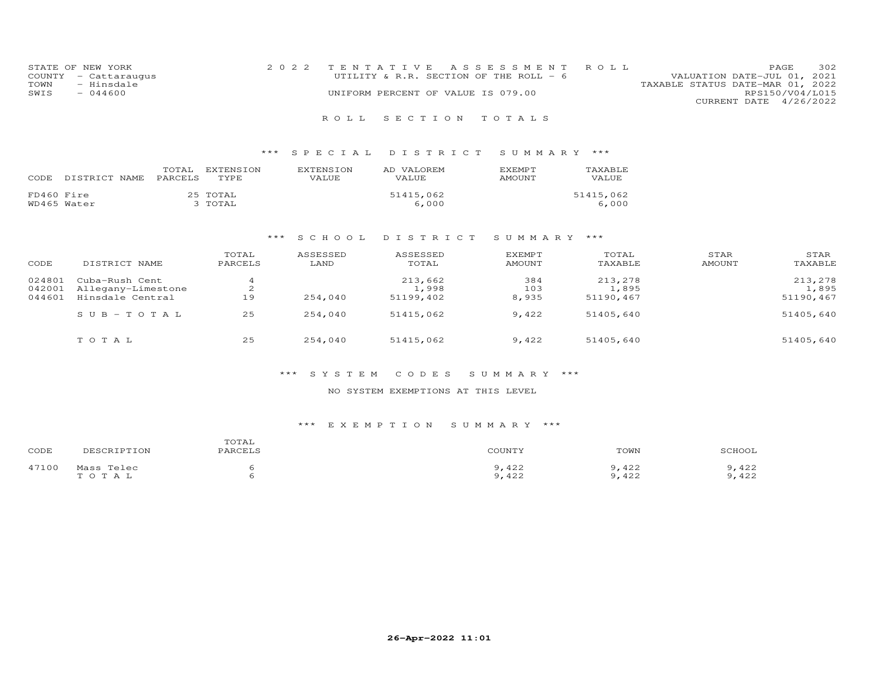| STATE OF NEW YORK    | 2022 TENTATIVE ASSESSMENT ROLL         |  |                                  | PAGE.                  | 302 |
|----------------------|----------------------------------------|--|----------------------------------|------------------------|-----|
| COUNTY - Cattaraugus | UTILITY & R.R. SECTION OF THE ROLL - 6 |  | VALUATION DATE-JUL 01, 2021      |                        |     |
| TOWN<br>- Hinsdale   |                                        |  | TAXABLE STATUS DATE-MAR 01, 2022 |                        |     |
| $-044600$<br>SWIS    | UNIFORM PERCENT OF VALUE IS 079.00     |  |                                  | RPS150/V04/L015        |     |
|                      |                                        |  |                                  | CURRENT DATE 4/26/2022 |     |
|                      |                                        |  |                                  |                        |     |

### \*\*\* S P E C I A L D I S T R I C T S U M M A R Y \*\*\*

| CODE       | DISTRICT NAME | TOTAL<br><b>PARCELS</b> | EXTENSION<br>TYPE.  | <b>EXTENSION</b><br>VALUE | AD VALOREM<br>VALUE. | <b>F.XFMPT</b><br>AMOUNT | TAXABLE<br>VALUE   |
|------------|---------------|-------------------------|---------------------|---------------------------|----------------------|--------------------------|--------------------|
| FD460 Fire | WD465 Water   |                         | 25 TOTAL<br>3 TOTAL |                           | 51415,062<br>6,000   |                          | 51415,062<br>6,000 |

#### \*\*\* S C H O O L D I S T R I C T S U M M A R Y \*\*\*

| CODE   | DISTRICT NAME             | TOTAL<br>PARCELS | ASSESSED<br>LAND | ASSESSED<br>TOTAL | <b>EXEMPT</b><br><b>AMOUNT</b> | TOTAL<br>TAXABLE | STAR<br><b>AMOUNT</b> | STAR<br>TAXABLE |
|--------|---------------------------|------------------|------------------|-------------------|--------------------------------|------------------|-----------------------|-----------------|
| 024801 | Cuba-Rush Cent            |                  |                  | 213,662           | 384                            | 213,278          |                       | 213,278         |
| 042001 | Allegany-Limestone        | $\sim$<br>∠      |                  | 1,998             | 103                            | 1,895            |                       | 1,895           |
| 044601 | Hinsdale Central          | 19               | 254,040          | 51199,402         | 8,935                          | 51190,467        |                       | 51190,467       |
|        | $S \cup B - T \cup T A L$ | 25               | 254,040          | 51415,062         | 9,422                          | 51405,640        |                       | 51405,640       |
|        | TOTAL                     | 25               | 254,040          | 51415,062         | 9,422                          | 51405,640        |                       | 51405,640       |

#### \*\*\* S Y S T E M C O D E S S U M M A R Y \*\*\*

#### NO SYSTEM EXEMPTIONS AT THIS LEVEL

| CODE  | DESCRIPTION | TOTAL<br>PARCELS | COUNTY | TOWN  | SCHOOL |
|-------|-------------|------------------|--------|-------|--------|
| 47100 | Mass Telec  |                  | ,422   | ,422  | 9,422  |
|       | TOTAL       |                  | 9,422  | 9,422 | 9,422  |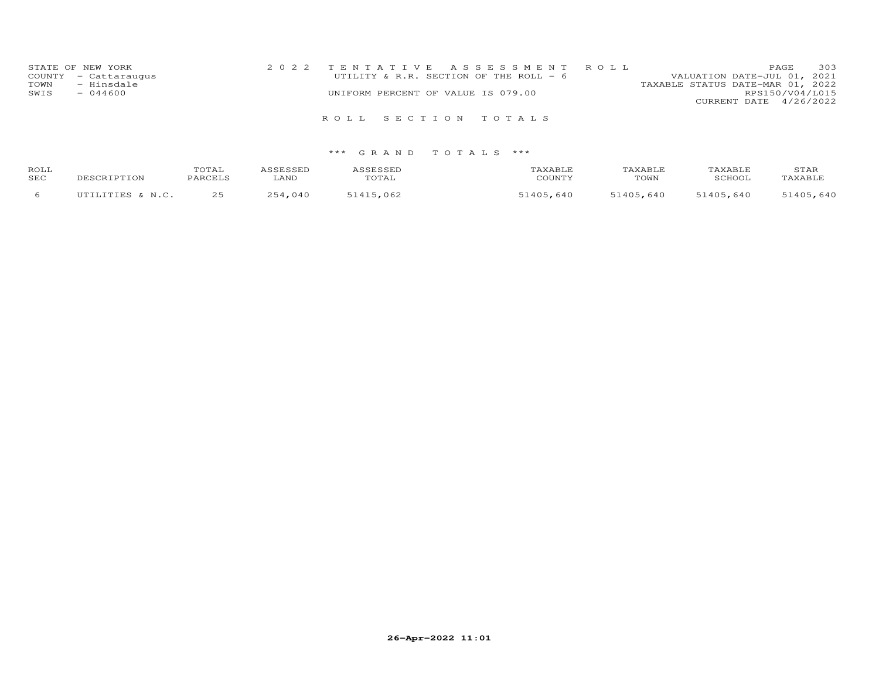| STATE OF NEW YORK    | 2022 TENTATIVE ASSESSMENT ROLL         | 303<br>PAGE.                     |
|----------------------|----------------------------------------|----------------------------------|
| COUNTY - Cattaraugus | UTILITY & R.R. SECTION OF THE ROLL - 6 | VALUATION DATE-JUL 01, 2021      |
| - Hinsdale<br>TOWN   |                                        | TAXABLE STATUS DATE-MAR 01, 2022 |
| SWIS<br>$-044600$    | UNIFORM PERCENT OF VALUE IS 079.00     | RPS150/V04/L015                  |
|                      |                                        | CURRENT DATE 4/26/2022           |
|                      | ROLL SECTION TOTALS                    |                                  |

| ROLL<br>SEC | DESCRIPTION      | TOTAL<br>PARCELS | <i>C</i> CPCCPP<br>LAND | SESSED<br>TOTAL | AXABLF<br>COUNTY  | AXABLE<br>$\sqrt{\text{T}^2}$ | TAXABLF<br>SCHOOL | STAR<br>TAXABLE |
|-------------|------------------|------------------|-------------------------|-----------------|-------------------|-------------------------------|-------------------|-----------------|
|             | UTILITIES & N.C. | つら<br>ر ے        | 254<br>.040             | 51415,062       | $-1405$ .<br>,640 | 51405,640                     | 51405,640         | 51405,640       |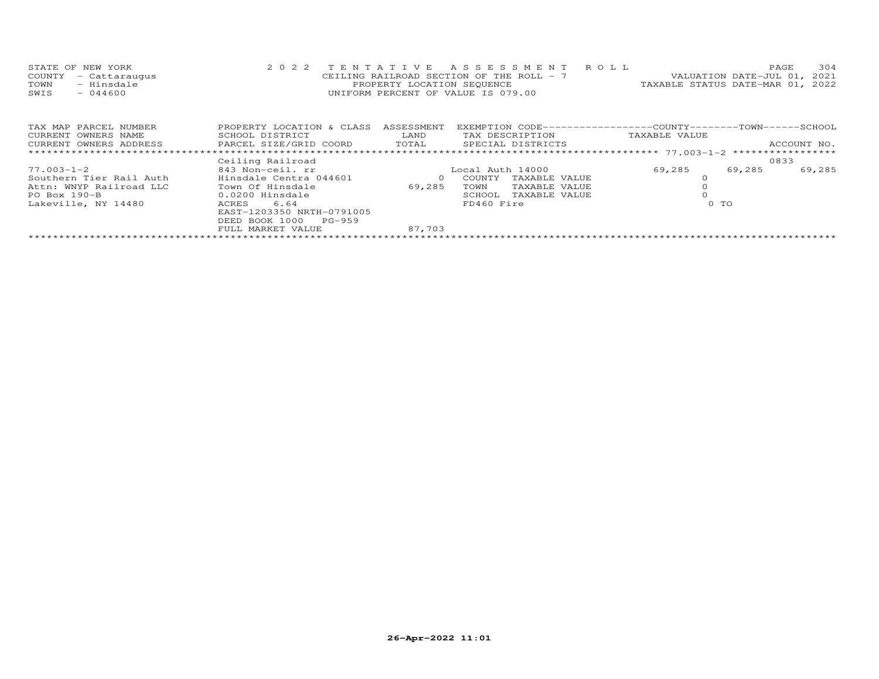|      | STATE OF NEW YORK    | 2022 TENTATIVE ASSESSMENT ROLL           |  |                                  | PAGE. | 304 |
|------|----------------------|------------------------------------------|--|----------------------------------|-------|-----|
|      | COUNTY - Cattaraugus | CEILING RAILROAD SECTION OF THE ROLL - 7 |  | VALUATION DATE-JUL 01, 2021      |       |     |
| TOWN | - Hinsdale           | PROPERTY LOCATION SEQUENCE               |  | TAXABLE STATUS DATE-MAR 01, 2022 |       |     |
| SWIS | $-044600$            | UNIFORM PERCENT OF VALUE IS 079.00       |  |                                  |       |     |
|      |                      |                                          |  |                                  |       |     |

| TAX MAP PARCEL NUMBER   | PROPERTY LOCATION & CLASS | ASSESSMENT | EXEMPTION CODE-----------------COUNTY-------TOWN------SCHOOL |               |        |             |
|-------------------------|---------------------------|------------|--------------------------------------------------------------|---------------|--------|-------------|
| CURRENT OWNERS NAME     | SCHOOL DISTRICT           | LAND       | TAX DESCRIPTION                                              | TAXABLE VALUE |        |             |
| CURRENT OWNERS ADDRESS  | PARCEL SIZE/GRID COORD    | TOTAL      | SPECIAL DISTRICTS                                            |               |        | ACCOUNT NO. |
|                         |                           |            |                                                              |               |        |             |
|                         | Ceiling Railroad          |            |                                                              |               |        | 0833        |
| 77.003-1-2              | 843 Non-ceil. rr          |            | Local Auth 14000                                             | 69,285        | 69,285 | 69,285      |
| Southern Tier Rail Auth | Hinsdale Centra 044601    |            | TAXABLE VALUE<br>COUNTY                                      |               |        |             |
| Attn: WNYP Railroad LLC | Town Of Hinsdale          | 69,285     | TAXABLE VALUE<br>TOWN                                        |               |        |             |
| PO Box 190-B            | 0.0200 Hinsdale           |            | TAXABLE VALUE<br>SCHOOL                                      |               |        |             |
| Lakeville, NY 14480     | 6.64<br>ACRES             |            | FD460 Fire                                                   | $0$ TO        |        |             |
|                         | EAST-1203350 NRTH-0791005 |            |                                                              |               |        |             |
|                         | DEED BOOK 1000 PG-959     |            |                                                              |               |        |             |
|                         | FULL MARKET VALUE         | 87,703     |                                                              |               |        |             |
|                         |                           |            |                                                              |               |        |             |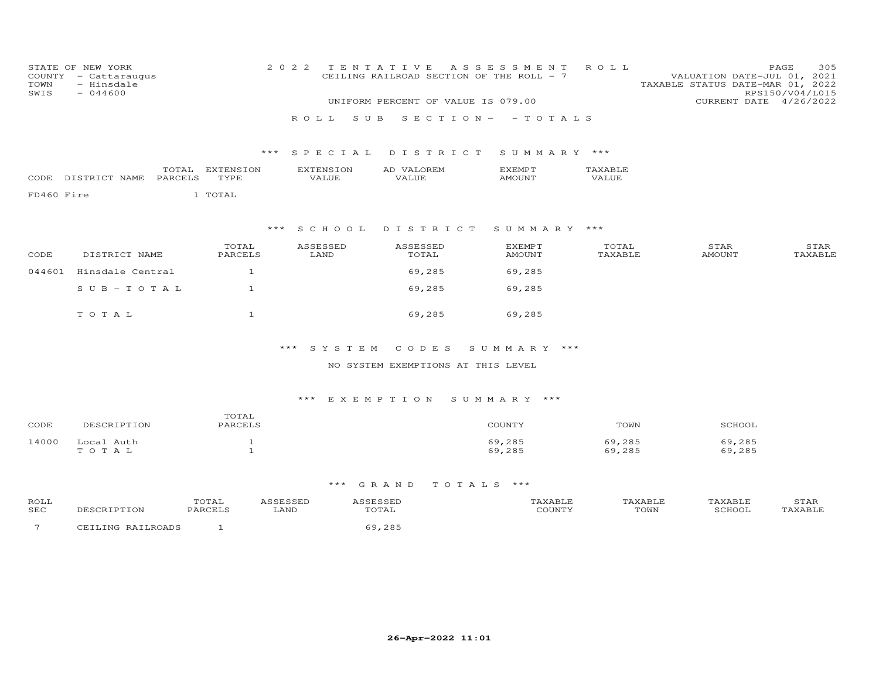| COUNTY<br>TOWN<br>SWIS | STATE OF NEW YORK<br>- Cattaraugus<br>- Hinsdale<br>$-044600$ |         |                  | 2 0 2 2 |                  | TENTATIVE<br>CEILING RAILROAD SECTION OF THE ROLL - 7<br>UNIFORM PERCENT OF VALUE IS 079.00 | A S S E S S M E N T            | ROLL             | VALUATION DATE-JUL 01, 2021<br>TAXABLE STATUS DATE-MAR 01, 2022<br>CURRENT DATE 4/26/2022 | 305<br>PAGE<br>RPS150/V04/L015 |
|------------------------|---------------------------------------------------------------|---------|------------------|---------|------------------|---------------------------------------------------------------------------------------------|--------------------------------|------------------|-------------------------------------------------------------------------------------------|--------------------------------|
|                        |                                                               |         |                  |         |                  |                                                                                             |                                |                  |                                                                                           |                                |
|                        |                                                               |         |                  |         | S U B<br>ROLL.   | $S E C T I O N -$                                                                           | - TOTALS                       |                  |                                                                                           |                                |
|                        |                                                               |         |                  | ***     | SPECIAL          | DISTRICT                                                                                    | SUMMARY ***                    |                  |                                                                                           |                                |
|                        |                                                               | TOTAL   | EXTENSION        |         | <b>EXTENSION</b> | AD VALOREM                                                                                  | EXEMPT                         | TAXABLE          |                                                                                           |                                |
|                        | CODE DISTRICT NAME                                            | PARCELS | TYPE             |         | VALUE            | <b>VALUE</b>                                                                                | <b>AMOUNT</b>                  | <b>VALUE</b>     |                                                                                           |                                |
| FD460 Fire             |                                                               |         | 1 TOTAL          |         |                  |                                                                                             |                                |                  |                                                                                           |                                |
|                        |                                                               |         |                  | $***$   | S C H O O L      | DISTRICT                                                                                    | SUMMARY ***                    |                  |                                                                                           |                                |
| CODE                   | DISTRICT NAME                                                 |         | TOTAL<br>PARCELS |         | ASSESSED<br>LAND | ASSESSED<br>TOTAL                                                                           | <b>EXEMPT</b><br><b>AMOUNT</b> | TOTAL<br>TAXABLE | STAR<br><b>AMOUNT</b>                                                                     | STAR<br>TAXABLE                |
|                        |                                                               |         |                  |         |                  |                                                                                             |                                |                  |                                                                                           |                                |
| 044601                 | Hinsdale Central                                              |         | $\mathbf{1}$     |         |                  | 69,285                                                                                      | 69,285                         |                  |                                                                                           |                                |
|                        | $SUB - TO T AL$                                               |         | $\mathbf{1}$     |         |                  | 69,285                                                                                      | 69,285                         |                  |                                                                                           |                                |
|                        | TOTAL                                                         |         | $\mathbf{1}$     |         |                  | 69,285                                                                                      | 69,285                         |                  |                                                                                           |                                |

\*\*\* S Y S T E M C O D E S S U M M A R Y \*\*\*

# NO SYSTEM EXEMPTIONS AT THIS LEVEL

# \*\*\* E X E M P T I O N S U M M A R Y \*\*\*

| CODE  | DESCRIPTION         | TOTAL<br>PARCELS | COUNTY           | TOWN             | SCHOOL           |
|-------|---------------------|------------------|------------------|------------------|------------------|
| 14000 | Local Auth<br>TOTAL |                  | 69,285<br>69,285 | 69,285<br>69,285 | 69,285<br>69,285 |

| ROLL<br><b>SEC</b> | א נ<br>$\sim$ $\sim$ $\sim$ | TOTAL<br>papont o | LAND | ロヘエス<br>TO THT | AXABLE<br>50 | TOWN | PCHOOL | $\sqrt{2}$<br>$- + F11$<br>,,,,, |
|--------------------|-----------------------------|-------------------|------|----------------|--------------|------|--------|----------------------------------|
|                    | ∩NC                         |                   |      | $\cap$         |              |      |        |                                  |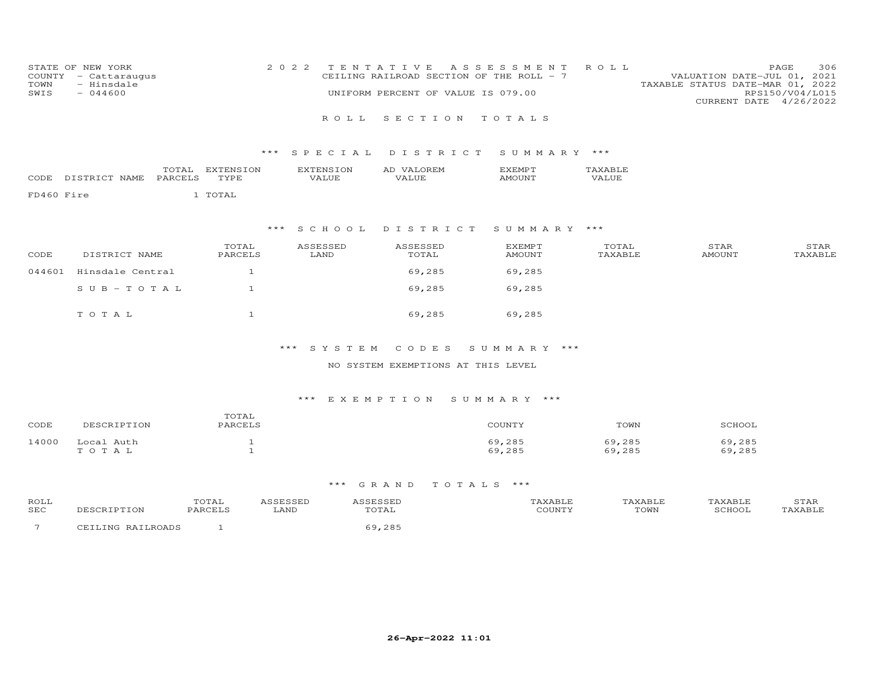| STATE OF NEW YORK    | 2022 TENTATIVE ASSESSMENT ROLL           | 306<br>PAGE.                     |
|----------------------|------------------------------------------|----------------------------------|
| COUNTY - Cattaraugus | CEILING RAILROAD SECTION OF THE ROLL - 7 | VALUATION DATE-JUL 01, 2021      |
| TOWN<br>- Hinsdale   |                                          | TAXABLE STATUS DATE-MAR 01, 2022 |
| $-044600$<br>SWIS    | UNIFORM PERCENT OF VALUE IS 079.00       | RPS150/V04/L015                  |
|                      |                                          | CURRENT DATE 4/26/2022           |

### \*\*\* S P E C I A L D I S T R I C T S U M M A R Y \*\*\*

|        |    | $\sqrt{2}$ | $\overline{\phantom{a}}$ | . |  |
|--------|----|------------|--------------------------|---|--|
| $\cap$ | MF |            |                          |   |  |

FD460 Fire 1 TOTAL

# \*\*\* S C H O O L D I S T R I C T S U M M A R Y \*\*\*

| CODE   | DISTRICT NAME    | TOTAL<br>PARCELS | ASSESSED<br>LAND | ASSESSED<br>TOTAL | <b>EXEMPT</b><br>AMOUNT | TOTAL<br>TAXABLE | STAR<br>AMOUNT | STAR<br>TAXABLE |
|--------|------------------|------------------|------------------|-------------------|-------------------------|------------------|----------------|-----------------|
| 044601 | Hinsdale Central |                  |                  | 69,285            | 69,285                  |                  |                |                 |
|        | SUB-TOTAL        |                  |                  | 69,285            | 69,285                  |                  |                |                 |
|        | TOTAL            |                  |                  | 69,285            | 69,285                  |                  |                |                 |

### \*\*\* S Y S T E M C O D E S S U M M A R Y \*\*\*

### NO SYSTEM EXEMPTIONS AT THIS LEVEL

### \*\*\* E X E M P T I O N S U M M A R Y \*\*\*

| CODE  | DESCRIPTION         | TOTAL<br>PARCELS | COUNTY           | TOWN             | SCHOOL           |
|-------|---------------------|------------------|------------------|------------------|------------------|
| 14000 | Local Auth<br>TOTAL |                  | 69,285<br>69,285 | 69,285<br>69,285 | 69,285<br>69,285 |

| ROLL       |       | 'UIAL |      |      |                    | XABLE | YAR | >⊥AF     |
|------------|-------|-------|------|------|--------------------|-------|-----|----------|
| <b>SEC</b> |       |       | LAND | UTAL | י ידוגדזר <i>י</i> | TOWN  |     | $\cdots$ |
|            | 'NT C |       |      |      |                    |       |     |          |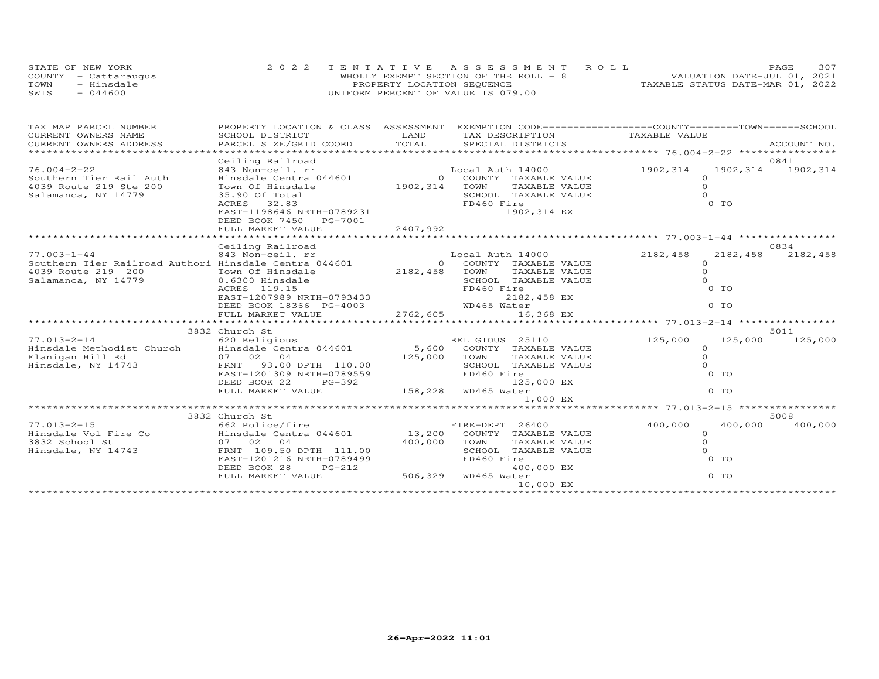|      | STATE OF NEW YORK    |                                    | 2022 TENTATIVE ASSESSMENT ROLL        |                                  | PAGE                        | 307 |
|------|----------------------|------------------------------------|---------------------------------------|----------------------------------|-----------------------------|-----|
|      | COUNTY - Cattaraugus |                                    | WHOLLY EXEMPT SECTION OF THE ROLL - 8 |                                  | VALUATION DATE-JUL 01, 2021 |     |
| TOWN | - Hinsdale           | PROPERTY LOCATION SEQUENCE         |                                       | TAXABLE STATUS DATE-MAR 01, 2022 |                             |     |
| SWIS | $-044600$            | UNIFORM PERCENT OF VALUE IS 079.00 |                                       |                                  |                             |     |

| TAX MAP PARCEL NUMBER                                                                                                    | PROPERTY LOCATION & CLASS ASSESSMENT EXEMPTION CODE----------------COUNTY-------TOWN------SCHOOL |               |                           |                |                            |
|--------------------------------------------------------------------------------------------------------------------------|--------------------------------------------------------------------------------------------------|---------------|---------------------------|----------------|----------------------------|
| CURRENT OWNERS NAME                                                                                                      | SCHOOL DISTRICT                                                                                  | LAND          | TAX DESCRIPTION           | TAXABLE VALUE  |                            |
| CURRENT OWNERS ADDRESS                                                                                                   |                                                                                                  |               |                           |                |                            |
|                                                                                                                          | Ceiling Railroad                                                                                 |               |                           |                | 0841                       |
| $76.004 - 2 - 22$                                                                                                        | 843 Non-ceil. rr                                                                                 |               | Local Auth 14000          | 1902,314       | 1902,314<br>1902,314       |
| Southern Tier Rail Auth                                                                                                  | Hinsdale Centra 044601                                                                           |               | 0 COUNTY TAXABLE VALUE    | $\Omega$       |                            |
| 4039 Route 219 Ste 200                                                                                                   | Town Of Hinsdale                                                                                 | 1902,314      | TOWN<br>TAXABLE VALUE     | $\Omega$       |                            |
| Salamanca, NY 14779                                                                                                      | 35.90 Of Total                                                                                   |               | SCHOOL TAXABLE VALUE      | $\Omega$       |                            |
|                                                                                                                          | ACRES 32.83                                                                                      |               | FD460 Fire                | 0 <sub>T</sub> |                            |
|                                                                                                                          | EAST-1198646 NRTH-0789231                                                                        |               | 1902,314 EX               |                |                            |
|                                                                                                                          | DEED BOOK 7450 PG-7001                                                                           |               |                           |                |                            |
|                                                                                                                          | FULL MARKET VALUE                                                                                | 2407,992      |                           |                |                            |
|                                                                                                                          | Ceiling Railroad                                                                                 |               |                           |                | 0834                       |
| $77.003 - 1 - 44$                                                                                                        | 843 Non-ceil. rr                                                                                 |               | Local Auth 14000          | 2182,458       | 2182,458<br>2182,458       |
| Southern Tier Railroad Authori Hinsdale Centra 044601                                                                    |                                                                                                  |               | 0 COUNTY TAXABLE VALUE    | $\Omega$       |                            |
| 4039 Route 219 200                                                                                                       | Town Of Hinsdale                                                                                 | 2182,458 TOWN | TAXABLE VALUE             | $\Omega$       |                            |
| Salamanca, NY 14779                                                                                                      | 0.6300 Hinsdale                                                                                  |               | SCHOOL TAXABLE VALUE      | $\Omega$       |                            |
|                                                                                                                          |                                                                                                  |               | FD460 Fire                | $0$ TO         |                            |
|                                                                                                                          |                                                                                                  |               | 2182,458 EX               |                |                            |
|                                                                                                                          | ACRES 119.15<br>EAST-1207989 NRTH-0793433<br>ALL 10266 PG-4003                                   |               | WD465 Water               | $0$ TO         |                            |
|                                                                                                                          | FULL MARKET VALUE                                                                                | 2762,605      | 16,368 EX                 |                |                            |
|                                                                                                                          | 3832 Church St                                                                                   |               |                           |                | 5011                       |
|                                                                                                                          |                                                                                                  |               |                           | 125,000        | 125,000<br>125,000         |
| 77.013-2-14 620 Religious RELIGIOUS 25110<br>Hinsdale Methodist Church Hinsdale Centra 044601 5,600 COUNTY TAXABLE VALUE |                                                                                                  |               |                           | $\Omega$       |                            |
| Flanigan Hill Rd                                                                                                         | 07 02 04                                                                                         | 125,000       | TOWN<br>TAXABLE VALUE     | $\Omega$       |                            |
| Hinsdale, NY 14743                                                                                                       | FRNT 93.00 DPTH 110.00                                                                           |               | SCHOOL TAXABLE VALUE      | $\Omega$       |                            |
|                                                                                                                          | EAST-1201309 NRTH-0789559                                                                        |               | FD460 Fire                | 0 TO           |                            |
|                                                                                                                          | DEED BOOK 22<br>PG-392                                                                           |               | 125,000 EX                |                |                            |
|                                                                                                                          | FULL MARKET VALUE                                                                                |               | 158,228 WD465 Water       | $0$ TO         |                            |
|                                                                                                                          |                                                                                                  |               | 1,000 EX                  |                |                            |
|                                                                                                                          |                                                                                                  |               |                           |                |                            |
| $77.013 - 2 - 15$                                                                                                        | 3832 Church St<br>662 Police/fire                                                                |               | FIRE-DEPT 26400           | 400,000        | 5008<br>400,000<br>400,000 |
| Hinsdale Vol Fire Co                                                                                                     | Hinsdale Centra 044601                                                                           | 13,200        | COUNTY TAXABLE VALUE      | $\Omega$       |                            |
| 3832 School St                                                                                                           | 07 02 04                                                                                         | 400,000       | TOWN<br>TAXABLE VALUE     | $\Omega$       |                            |
| Hinsdale, NY 14743                                                                                                       | FRNT 109.50 DPTH 111.00                                                                          |               | SCHOOL TAXABLE VALUE      | $\Omega$       |                            |
|                                                                                                                          | EAST-1201216 NRTH-0789499                                                                        |               | FD460 Fire                | 0 TO           |                            |
|                                                                                                                          | DEED BOOK 28<br>$PG-212$                                                                         |               | 400,000 EX                |                |                            |
|                                                                                                                          | FULL MARKET VALUE                                                                                |               | --<br>506,329 WD465 Water | 0 TO           |                            |
|                                                                                                                          |                                                                                                  |               | 10,000 EX                 |                |                            |
|                                                                                                                          |                                                                                                  |               |                           |                |                            |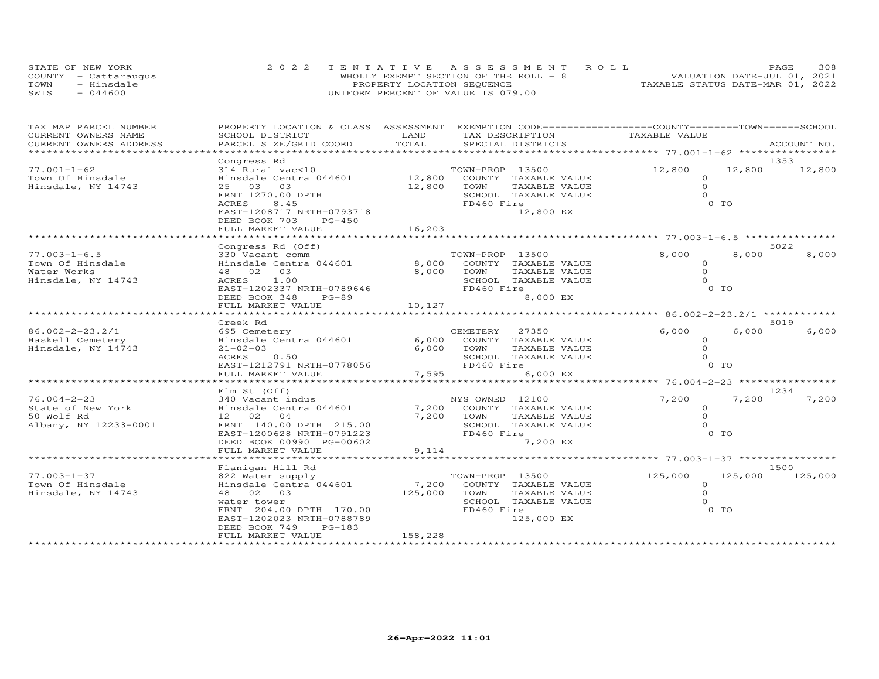| STATE OF NEW YORK    | 2022 TENTATIVE ASSESSMENT ROLL         | PAGE.                            | 308 |
|----------------------|----------------------------------------|----------------------------------|-----|
| COUNTY - Cattaraugus | WHOLLY EXEMPT SECTION OF THE ROLL $-8$ | VALUATION DATE-JUL 01, 2021      |     |
| TOWN<br>- Hinsdale   | PROPERTY LOCATION SEQUENCE             | TAXABLE STATUS DATE-MAR 01, 2022 |     |
| $-044600$<br>SWIS    | UNIFORM PERCENT OF VALUE IS 079.00     |                                  |     |

| TAX MAP PARCEL NUMBER<br>CURRENT OWNERS NAME | PROPERTY LOCATION & CLASS ASSESSMENT<br>SCHOOL DISTRICT | LAND    | TAX DESCRIPTION                               |               | EXEMPTION CODE-----------------COUNTY-------TOWN------SCHOOL<br>TAXABLE VALUE |                |               |
|----------------------------------------------|---------------------------------------------------------|---------|-----------------------------------------------|---------------|-------------------------------------------------------------------------------|----------------|---------------|
| CURRENT OWNERS ADDRESS                       | PARCEL SIZE/GRID COORD                                  | TOTAL   | SPECIAL DISTRICTS                             |               |                                                                               |                | ACCOUNT NO.   |
|                                              |                                                         |         |                                               |               |                                                                               |                |               |
|                                              | Congress Rd                                             |         |                                               |               |                                                                               |                | 1353          |
| $77.001 - 1 - 62$                            | 314 Rural vac<10                                        |         | TOWN-PROP 13500                               |               | 12,800                                                                        |                | 12,800 12,800 |
| Town Of Hinsdale                             | Hinsdale Centra 044601                                  |         | 12,800 COUNTY TAXABLE VALUE                   |               | $\Omega$                                                                      |                |               |
| Hinsdale, NY 14743                           | 25 03 03                                                | 12,800  | TOWN                                          | TAXABLE VALUE | $\circ$                                                                       |                |               |
|                                              | FRNT 1270.00 DPTH                                       |         | SCHOOL TAXABLE VALUE                          |               | $\Omega$                                                                      |                |               |
|                                              | ACRES<br>8.45                                           |         | FD460 Fire                                    |               |                                                                               | 0 <sub>T</sub> |               |
|                                              | EAST-1208717 NRTH-0793718                               |         |                                               | 12,800 EX     |                                                                               |                |               |
|                                              | DEED BOOK 703<br>PG-450                                 |         |                                               |               |                                                                               |                |               |
|                                              | FULL MARKET VALUE<br>***************************        | 16,203  |                                               |               |                                                                               |                |               |
|                                              |                                                         |         |                                               |               |                                                                               |                |               |
|                                              | Congress Rd (Off)                                       |         |                                               |               |                                                                               | 8,000          | 5022          |
| $77.003 - 1 - 6.5$<br>Town Of Hinsdale       | 330 Vacant comm<br>Hinsdale Centra 044601               |         | TOWN-PROP 13500<br>8,000 COUNTY TAXABLE VALUE |               | 8,000<br>$\Omega$                                                             |                | 8,000         |
| Water Works                                  | 48 02 03                                                |         | 8,000 TOWN                                    | TAXABLE VALUE | $\Omega$                                                                      |                |               |
| Hinsdale, NY 14743                           | ACRES 1.00                                              |         | SCHOOL TAXABLE VALUE                          |               | $\Omega$                                                                      |                |               |
|                                              | EAST-1202337 NRTH-0789646                               |         | FD460 Fire                                    |               |                                                                               | 0 <sub>T</sub> |               |
|                                              | DEED BOOK 348<br>$PG-89$                                |         |                                               | 8,000 EX      |                                                                               |                |               |
|                                              | FULL MARKET VALUE                                       | 10,127  |                                               |               |                                                                               |                |               |
|                                              |                                                         |         |                                               |               |                                                                               |                |               |
|                                              | Creek Rd                                                |         |                                               |               |                                                                               |                | 5019          |
| 86.002-2-23.2/1                              | 695 Cemetery                                            |         | CEMETERY 27350                                |               | 6,000                                                                         | 6,000          | 6,000         |
| Haskell Cemetery                             | Hinsdale Centra 044601                                  | 6,000   | COUNTY TAXABLE VALUE                          |               | $\circ$                                                                       |                |               |
| Hinsdale, NY 14743                           | $21 - 02 - 03$                                          | 6,000   | TOWN                                          | TAXABLE VALUE | $\circ$                                                                       |                |               |
|                                              | 0.50<br>ACRES                                           |         | SCHOOL TAXABLE VALUE                          |               | $\Omega$                                                                      |                |               |
|                                              | EAST-1212791 NRTH-0778056                               |         | FD460 Fire                                    |               |                                                                               | 0 TO           |               |
|                                              | FULL MARKET VALUE                                       | 7,595   |                                               | 6,000 EX      |                                                                               |                |               |
|                                              |                                                         |         |                                               |               | ************************* 76.004-2-23 *****************                       |                |               |
|                                              | Elm St (Off)                                            |         |                                               |               |                                                                               |                | 1234          |
| $76.004 - 2 - 23$<br>State of New York       | 340 Vacant indus                                        | 7,200   | NYS OWNED 12100                               |               | 7,200<br>$\circ$                                                              | 7,200          | 7,200         |
| 50 Wolf Rd                                   | Hinsdale Centra 044601<br>12 02 04                      | 7,200   | COUNTY TAXABLE VALUE<br>TOWN                  | TAXABLE VALUE | $\Omega$                                                                      |                |               |
| Albany, NY 12233-0001                        | FRNT 140.00 DPTH 215.00                                 |         | SCHOOL TAXABLE VALUE                          |               | $\Omega$                                                                      |                |               |
|                                              | EAST-1200628 NRTH-0791223                               |         | FD460 Fire                                    |               |                                                                               | 0 TO           |               |
|                                              | DEED BOOK 00990 PG-00602                                |         |                                               | 7,200 EX      |                                                                               |                |               |
|                                              | FULL MARKET VALUE                                       | 9,114   |                                               |               |                                                                               |                |               |
|                                              |                                                         |         |                                               |               | ******************** 77.003-1-37 *****************                            |                |               |
|                                              | Flanigan Hill Rd                                        |         |                                               |               |                                                                               |                | 1500          |
| $77.003 - 1 - 37$                            | 822 Water supply                                        |         | TOWN-PROP 13500                               |               | 125,000                                                                       | 125,000        | 125,000       |
| Town Of Hinsdale                             | Hinsdale Centra 044601                                  | 7,200   | COUNTY TAXABLE VALUE                          |               | $\circ$                                                                       |                |               |
| Hinsdale, NY 14743                           | 48 02 03                                                | 125,000 | TOWN                                          | TAXABLE VALUE | $\circ$                                                                       |                |               |
|                                              | water tower                                             |         | SCHOOL TAXABLE VALUE                          |               | $\circ$                                                                       |                |               |
|                                              | FRNT 204.00 DPTH 170.00                                 |         | FD460 Fire                                    |               |                                                                               | 0 TO           |               |
|                                              | EAST-1202023 NRTH-0788789                               |         |                                               | 125,000 EX    |                                                                               |                |               |
|                                              | DEED BOOK 749<br>$PG-183$<br>FULL MARKET VALUE          | 158,228 |                                               |               |                                                                               |                |               |
|                                              |                                                         |         |                                               |               |                                                                               |                |               |
|                                              |                                                         |         |                                               |               |                                                                               |                |               |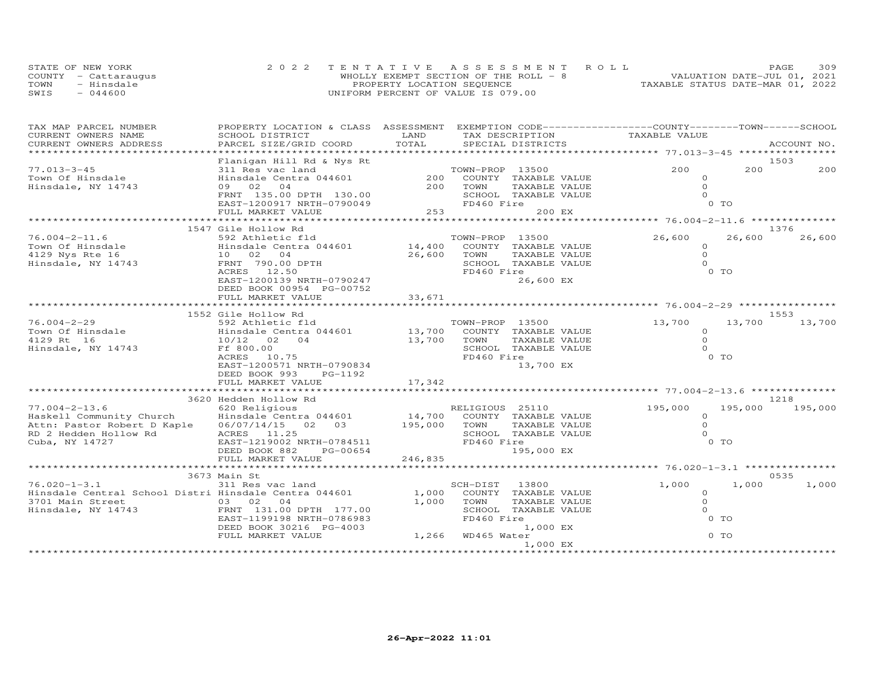| STATE OF NEW YORK    | 2022 TENTATIVE ASSESSMENT ROLL        | PAGE.                            | 309 |
|----------------------|---------------------------------------|----------------------------------|-----|
| COUNTY - Cattaraugus | WHOLLY EXEMPT SECTION OF THE ROLL - 8 | VALUATION DATE-JUL 01, 2021      |     |
| TOWN<br>- Hinsdale   | PROPERTY LOCATION SEQUENCE            | TAXABLE STATUS DATE-MAR 01, 2022 |     |
| $-044600$<br>SWIS    | UNIFORM PERCENT OF VALUE IS 079.00    |                                  |     |

| TAX MAP PARCEL NUMBER                                                                                                                                             | PROPERTY LOCATION & CLASS ASSESSMENT EXEMPTION CODE----------------COUNTY-------TOWN------SCHOOL |                                                               |                             |                                                         |         |             |
|-------------------------------------------------------------------------------------------------------------------------------------------------------------------|--------------------------------------------------------------------------------------------------|---------------------------------------------------------------|-----------------------------|---------------------------------------------------------|---------|-------------|
| CURRENT OWNERS NAME                                                                                                                                               | SCHOOL DISTRICT                                                                                  | LAND                                                          | TAX DESCRIPTION             | TAXABLE VALUE                                           |         |             |
| CURRENT OWNERS ADDRESS                                                                                                                                            | PARCEL SIZE/GRID COORD                                                                           | TOTAL                                                         | SPECIAL DISTRICTS           |                                                         |         | ACCOUNT NO. |
|                                                                                                                                                                   |                                                                                                  |                                                               |                             |                                                         |         |             |
|                                                                                                                                                                   | Flanigan Hill Rd & Nys Rt                                                                        |                                                               |                             |                                                         |         | 1503        |
| $77.013 - 3 - 45$                                                                                                                                                 | 311 Res vac land                                                                                 |                                                               | TOWN-PROP 13500             | 200                                                     | 200     | 200         |
| Town Of Hinsdale                                                                                                                                                  | Hinsdale Centra 044601                                                                           | $200$ <sup>10</sup>                                           | COUNTY TAXABLE VALUE        | $\Omega$                                                |         |             |
| Hinsdale, NY 14743                                                                                                                                                | 09 02 04                                                                                         | 200                                                           | TOWN<br>TAXABLE VALUE       | $\Omega$                                                |         |             |
|                                                                                                                                                                   | FRNT 135.00 DPTH 130.00                                                                          |                                                               | SCHOOL TAXABLE VALUE        | $\Omega$                                                |         |             |
|                                                                                                                                                                   | EAST-1200917 NRTH-0790049                                                                        |                                                               | FD460 Fire                  | 0 TO                                                    |         |             |
|                                                                                                                                                                   | FULL MARKET VALUE                                                                                | $\begin{array}{ccc} 10 & & & 253 \\ 19 & & & 253 \end{array}$ | 200 EX                      |                                                         |         |             |
|                                                                                                                                                                   |                                                                                                  |                                                               |                             | ************************* 76.004-2-11.6 *************** |         |             |
|                                                                                                                                                                   | 1547 Gile Hollow Rd                                                                              |                                                               |                             |                                                         |         | 1376        |
| $76.004 - 2 - 11.6$                                                                                                                                               | 592 Athletic fld                                                                                 |                                                               | TOWN-PROP 13500             | 26,600                                                  | 26,600  | 26,600      |
| 1.0.007 2.1.000<br>Town Of Hinsdale (2011) 2.0000 110000 110000 110000 110000 110000 110000 110000 126,600<br>1.0000 1111130811808120 126,600<br>26,600<br>26,600 |                                                                                                  |                                                               | COUNTY TAXABLE VALUE        | $\Omega$                                                |         |             |
|                                                                                                                                                                   |                                                                                                  |                                                               | TOWN<br>TAXABLE VALUE       | $\Omega$                                                |         |             |
|                                                                                                                                                                   |                                                                                                  |                                                               | SCHOOL TAXABLE VALUE        | $\Omega$                                                |         |             |
|                                                                                                                                                                   | ACRES 12.50                                                                                      |                                                               | FD460 Fire                  | 0 <sub>T</sub>                                          |         |             |
|                                                                                                                                                                   | EAST-1200139 NRTH-0790247                                                                        |                                                               | 26,600 EX                   |                                                         |         |             |
|                                                                                                                                                                   | DEED BOOK 00954 PG-00752                                                                         |                                                               |                             |                                                         |         |             |
|                                                                                                                                                                   | FULL MARKET VALUE                                                                                | 33,671                                                        |                             |                                                         |         |             |
|                                                                                                                                                                   |                                                                                                  |                                                               |                             |                                                         |         |             |
|                                                                                                                                                                   | 1552 Gile Hollow Rd                                                                              |                                                               |                             |                                                         |         | 1553        |
| $76.004 - 2 - 29$                                                                                                                                                 | 592 Athletic fld                                                                                 |                                                               | TOWN-PROP 13500             | 13,700                                                  | 13,700  | 13,700      |
| Town Of Hinsdale Centra 044601 13,700 COUNTY TAXABLE VALUE                                                                                                        |                                                                                                  |                                                               |                             | $\circ$                                                 |         |             |
| 4129 Rt 16                                                                                                                                                        | 10/12 02 04                                                                                      | 13,700                                                        | TOWN<br>TAXABLE VALUE       | $\Omega$                                                |         |             |
| Hinsdale, NY 14743                                                                                                                                                | Ff 800.00                                                                                        |                                                               | SCHOOL TAXABLE VALUE        | $\Omega$                                                |         |             |
|                                                                                                                                                                   | 10.75<br>ACRES                                                                                   |                                                               | FD460 Fire                  | 0 TO                                                    |         |             |
|                                                                                                                                                                   | EAST-1200571 NRTH-0790834                                                                        |                                                               | 13,700 EX                   |                                                         |         |             |
|                                                                                                                                                                   | DEED BOOK 993<br>PG-1192                                                                         |                                                               |                             |                                                         |         |             |
|                                                                                                                                                                   |                                                                                                  |                                                               |                             |                                                         |         |             |
|                                                                                                                                                                   |                                                                                                  |                                                               |                             |                                                         |         |             |
|                                                                                                                                                                   | 3620 Hedden Hollow Rd                                                                            |                                                               |                             |                                                         |         | 1218        |
| $77.004 - 2 - 13.6$                                                                                                                                               | 620 Religious                                                                                    |                                                               | RELIGIOUS 25110             | 195,000                                                 | 195,000 | 195,000     |
| Haskell Community Church Hinsdale Centra 044601<br>Attn: Pastor Robert D Kaple 06/07/14/15 02 03                                                                  | Hinsdale Centra 044601                                                                           |                                                               | 14,700 COUNTY TAXABLE VALUE | $\circ$                                                 |         |             |
|                                                                                                                                                                   |                                                                                                  | 195,000                                                       | TOWN<br>TAXABLE VALUE       | $\circ$                                                 |         |             |
| RD 2 Hedden Hollow Rd                                                                                                                                             | ACRES 11.25                                                                                      |                                                               | SCHOOL TAXABLE VALUE        | $\Omega$                                                |         |             |
| Cuba, NY 14727                                                                                                                                                    | EAST-1219002 NRTH-0784511                                                                        |                                                               | FD460 Fire                  | 0 TO                                                    |         |             |
|                                                                                                                                                                   | DEED BOOK 882<br>PG-00654                                                                        |                                                               | 195,000 EX                  |                                                         |         |             |
|                                                                                                                                                                   | FULL MARKET VALUE                                                                                | 246,835                                                       |                             |                                                         |         |             |
|                                                                                                                                                                   | ************************                                                                         |                                                               |                             |                                                         |         |             |
|                                                                                                                                                                   | 3673 Main St                                                                                     |                                                               |                             |                                                         |         | 0535        |
| $76.020 - 1 - 3.1$                                                                                                                                                | 311 Res vac land                                                                                 |                                                               | SCH-DIST 13800              | 1,000                                                   | 1,000   | 1,000       |
| Hinsdale Central School Distri Hinsdale Centra 044601 1,000                                                                                                       |                                                                                                  |                                                               | COUNTY TAXABLE VALUE        | $\circ$                                                 |         |             |
| 3701 Main Street                                                                                                                                                  | 03 02 04                                                                                         | 1,000                                                         | TOWN<br>TAXABLE VALUE       | $\Omega$                                                |         |             |
| Hinsdale, NY 14743                                                                                                                                                | FRNT 131.00 DPTH 177.00                                                                          |                                                               | SCHOOL TAXABLE VALUE        | $\Omega$                                                |         |             |
|                                                                                                                                                                   | EAST-1199198 NRTH-0786983                                                                        |                                                               | FD460 Fire                  | 0 TO                                                    |         |             |
|                                                                                                                                                                   | DEED BOOK 30216 PG-4003                                                                          |                                                               | 1,000 EX                    |                                                         |         |             |
|                                                                                                                                                                   | FULL MARKET VALUE                                                                                |                                                               | 1,266 WD465 Water           | $0$ TO                                                  |         |             |
|                                                                                                                                                                   |                                                                                                  |                                                               | 1,000 EX                    |                                                         |         |             |
|                                                                                                                                                                   |                                                                                                  |                                                               |                             |                                                         |         |             |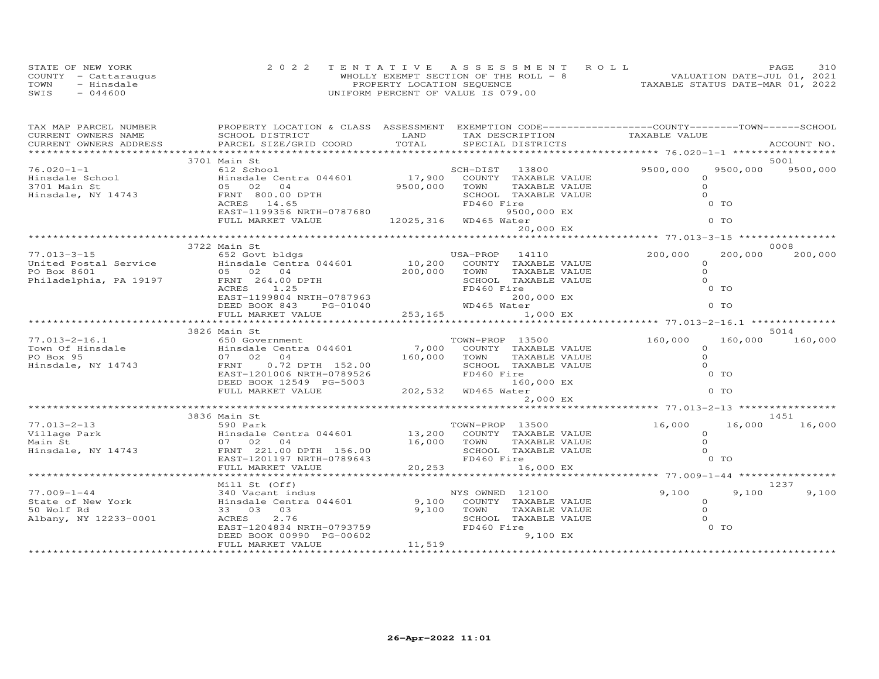| STATE OF NEW YORK    | 2022 TENTATIVE ASSESSMENT ROLL         | PAGE.                            | 310 |
|----------------------|----------------------------------------|----------------------------------|-----|
| COUNTY - Cattarauqus | WHOLLY EXEMPT SECTION OF THE ROLL $-8$ | VALUATION DATE-JUL 01, 2021      |     |
| TOWN<br>- Hinsdale   | PROPERTY LOCATION SEQUENCE             | TAXABLE STATUS DATE-MAR 01, 2022 |     |
| $-044600$<br>SWIS    | UNIFORM PERCENT OF VALUE IS 079.00     |                                  |     |

| TAX MAP PARCEL NUMBER                                    | PROPERTY LOCATION & CLASS ASSESSMENT EXEMPTION CODE-----------------COUNTY-------TOWN------SCHOOL                                                                                                                                                                                                                                                                                                                                |                                                 |                      |                |                |                           |
|----------------------------------------------------------|----------------------------------------------------------------------------------------------------------------------------------------------------------------------------------------------------------------------------------------------------------------------------------------------------------------------------------------------------------------------------------------------------------------------------------|-------------------------------------------------|----------------------|----------------|----------------|---------------------------|
|                                                          |                                                                                                                                                                                                                                                                                                                                                                                                                                  |                                                 |                      |                |                |                           |
|                                                          |                                                                                                                                                                                                                                                                                                                                                                                                                                  |                                                 |                      |                |                |                           |
|                                                          |                                                                                                                                                                                                                                                                                                                                                                                                                                  |                                                 |                      |                |                |                           |
|                                                          |                                                                                                                                                                                                                                                                                                                                                                                                                                  |                                                 | SCH-DIST 13800       | 9500,000       |                | 5001<br>9500,000 9500,000 |
|                                                          |                                                                                                                                                                                                                                                                                                                                                                                                                                  |                                                 |                      |                |                |                           |
|                                                          |                                                                                                                                                                                                                                                                                                                                                                                                                                  |                                                 |                      | $\Omega$       |                |                           |
|                                                          |                                                                                                                                                                                                                                                                                                                                                                                                                                  | 9500,000 TOWN<br>9500,000 TOWN<br>ED460 Fi<br>9 |                      | $\circ$        |                |                           |
|                                                          |                                                                                                                                                                                                                                                                                                                                                                                                                                  |                                                 |                      | $\Omega$       |                |                           |
|                                                          |                                                                                                                                                                                                                                                                                                                                                                                                                                  |                                                 |                      |                | 0 TO           |                           |
|                                                          | EAST-1199356 NRTH-0787680                                                                                                                                                                                                                                                                                                                                                                                                        |                                                 | 9500,000 EX          |                |                |                           |
|                                                          | FULL MARKET VALUE                                                                                                                                                                                                                                                                                                                                                                                                                | 12025, 316 WD465 Water                          |                      |                | 0 TO           |                           |
|                                                          |                                                                                                                                                                                                                                                                                                                                                                                                                                  |                                                 | 20,000 EX            |                |                |                           |
|                                                          | 3722 Main St                                                                                                                                                                                                                                                                                                                                                                                                                     |                                                 |                      |                |                | 0008                      |
|                                                          |                                                                                                                                                                                                                                                                                                                                                                                                                                  |                                                 |                      | 200,000        | 200,000        | 200,000                   |
|                                                          |                                                                                                                                                                                                                                                                                                                                                                                                                                  |                                                 |                      | $\Omega$       |                |                           |
|                                                          |                                                                                                                                                                                                                                                                                                                                                                                                                                  |                                                 |                      |                |                |                           |
|                                                          |                                                                                                                                                                                                                                                                                                                                                                                                                                  |                                                 |                      | $\Omega$       |                |                           |
|                                                          | $\begin{array}{cccc} \text{77.013--3--15} & \text{79.22} & \text{652 Gout bldgs} & \text{USA–PROP} & 14110 \\ \text{United Postal Service} & \text{Hinsdale Centra 044601} & 10,200 & \text{COUNTY TAXABLE VALUE} \\ \text{PO Box 8601} & 05 & 02 & 04 & 200,000 & \text{TMXABLE VALUE} \\ \text{Philadelpha, PA 19197} & \text{FRNT} & 264.00 \text{ DPTH} & \text{SCHOOL TAXABLE VALUE} \\ & \text{ACRES} & 1.25 & \text{FD46$ |                                                 |                      | $\Omega$       |                |                           |
|                                                          |                                                                                                                                                                                                                                                                                                                                                                                                                                  |                                                 |                      |                |                |                           |
|                                                          |                                                                                                                                                                                                                                                                                                                                                                                                                                  |                                                 |                      |                |                |                           |
|                                                          |                                                                                                                                                                                                                                                                                                                                                                                                                                  |                                                 |                      |                |                |                           |
|                                                          |                                                                                                                                                                                                                                                                                                                                                                                                                                  |                                                 |                      |                |                |                           |
|                                                          | ACRES 1.25<br>EAST-1199804 NRTH-0787963<br>DEED BOOK 813 PG-01040 MD465 Water 1,000 EX<br>FULL MARKET VALUE 253,165 FOOK 253,165 FOULL MARKET VALUE 253,165 FOOK 253,165 FOOK 253,165 FOOK 253,165 FOOK                                                                                                                                                                                                                          |                                                 |                      |                |                |                           |
|                                                          |                                                                                                                                                                                                                                                                                                                                                                                                                                  |                                                 |                      |                |                | 5014                      |
|                                                          |                                                                                                                                                                                                                                                                                                                                                                                                                                  |                                                 |                      | 160,000        |                | 160,000 160,000           |
|                                                          |                                                                                                                                                                                                                                                                                                                                                                                                                                  |                                                 |                      | $\Omega$       |                |                           |
|                                                          |                                                                                                                                                                                                                                                                                                                                                                                                                                  |                                                 |                      | $\Omega$       |                |                           |
|                                                          |                                                                                                                                                                                                                                                                                                                                                                                                                                  |                                                 |                      | $\Omega$       |                |                           |
|                                                          |                                                                                                                                                                                                                                                                                                                                                                                                                                  |                                                 |                      |                | $0$ TO         |                           |
|                                                          |                                                                                                                                                                                                                                                                                                                                                                                                                                  |                                                 |                      |                |                |                           |
|                                                          | DEED BOOK 12549 PG-5003 160,<br>FULL MARKET VALUE 202,532 WD465 Water                                                                                                                                                                                                                                                                                                                                                            |                                                 |                      |                | 0 <sub>T</sub> |                           |
|                                                          |                                                                                                                                                                                                                                                                                                                                                                                                                                  |                                                 | 2,000 EX             |                |                |                           |
|                                                          |                                                                                                                                                                                                                                                                                                                                                                                                                                  |                                                 |                      |                |                |                           |
|                                                          | 3836 Main St                                                                                                                                                                                                                                                                                                                                                                                                                     |                                                 |                      |                |                | 1451                      |
|                                                          |                                                                                                                                                                                                                                                                                                                                                                                                                                  |                                                 |                      | 16,000         | 16,000         | 16,000                    |
|                                                          |                                                                                                                                                                                                                                                                                                                                                                                                                                  |                                                 |                      | $\circ$        |                |                           |
|                                                          |                                                                                                                                                                                                                                                                                                                                                                                                                                  |                                                 |                      | $\overline{O}$ |                |                           |
|                                                          |                                                                                                                                                                                                                                                                                                                                                                                                                                  |                                                 |                      | $\Omega$       |                |                           |
|                                                          |                                                                                                                                                                                                                                                                                                                                                                                                                                  |                                                 |                      |                | 0 TO           |                           |
|                                                          |                                                                                                                                                                                                                                                                                                                                                                                                                                  |                                                 |                      |                |                |                           |
|                                                          |                                                                                                                                                                                                                                                                                                                                                                                                                                  |                                                 |                      |                |                |                           |
|                                                          | Mill St (Off)                                                                                                                                                                                                                                                                                                                                                                                                                    |                                                 |                      |                |                | 1237                      |
| 77.009-1-44                                              |                                                                                                                                                                                                                                                                                                                                                                                                                                  |                                                 |                      |                | 9.100          | 9,100                     |
| State of New York<br>50 Wolf Rd<br>Albany, NY 12233-0001 | 340 Vacant indus<br>Hinsdale Centra 044601 (and the Section of Taxable Value<br>33 03 03 03 (acant 2.76 )<br>ACRES 2.76 (and SCHOOL TAXABLE VALUE                                                                                                                                                                                                                                                                                |                                                 |                      | $9,100$ 0<br>0 |                |                           |
|                                                          |                                                                                                                                                                                                                                                                                                                                                                                                                                  |                                                 |                      |                |                |                           |
|                                                          | ACRES 2.76                                                                                                                                                                                                                                                                                                                                                                                                                       |                                                 | SCHOOL TAXABLE VALUE | $\Omega$       |                |                           |
|                                                          |                                                                                                                                                                                                                                                                                                                                                                                                                                  |                                                 | FD460 Fire           |                | $0$ TO         |                           |
|                                                          | EAST-1204834 NRTH-0793759<br>DEED BOOK 00990 PG-00602                                                                                                                                                                                                                                                                                                                                                                            | $0602$ $11,519$                                 | 9,100 EX             |                |                |                           |
|                                                          | FULL MARKET VALUE                                                                                                                                                                                                                                                                                                                                                                                                                |                                                 |                      |                |                |                           |
|                                                          |                                                                                                                                                                                                                                                                                                                                                                                                                                  |                                                 |                      |                |                |                           |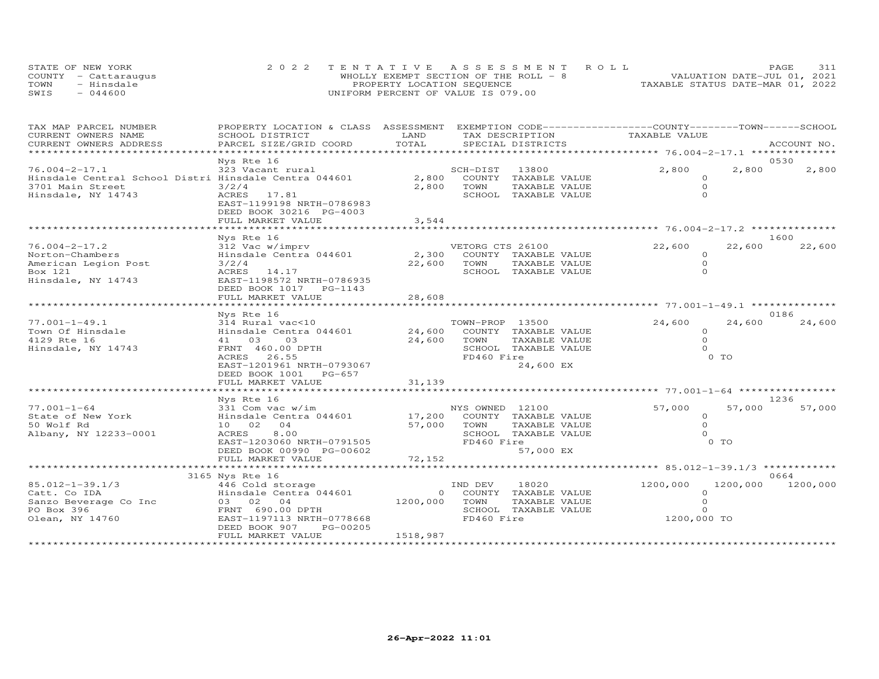| STATE OF NEW YORK    | 2022 TENTATIVE ASSESSMENT ROLL         | PAGE.                            | 311 |
|----------------------|----------------------------------------|----------------------------------|-----|
| COUNTY - Cattaraugus | WHOLLY EXEMPT SECTION OF THE ROLL $-8$ | VALUATION DATE-JUL 01, 2021      |     |
| TOWN<br>- Hinsdale   | PROPERTY LOCATION SEQUENCE             | TAXABLE STATUS DATE-MAR 01, 2022 |     |
| $-044600$<br>SWIS    | UNIFORM PERCENT OF VALUE IS 079.00     |                                  |     |

| TAX MAP PARCEL NUMBER<br>CURRENT OWNERS NAME                                                                           | PROPERTY LOCATION & CLASS ASSESSMENT EXEMPTION CODE----------------COUNTY-------TOWN------SCHOOL<br>SCHOOL DISTRICT                                                           | LAND                      |                                       | TAX DESCRIPTION                                                                   | TAXABLE VALUE                                                |                          |                   |
|------------------------------------------------------------------------------------------------------------------------|-------------------------------------------------------------------------------------------------------------------------------------------------------------------------------|---------------------------|---------------------------------------|-----------------------------------------------------------------------------------|--------------------------------------------------------------|--------------------------|-------------------|
| CURRENT OWNERS ADDRESS                                                                                                 | PARCEL SIZE/GRID COORD                                                                                                                                                        | TOTAL                     |                                       | SPECIAL DISTRICTS                                                                 |                                                              |                          | ACCOUNT NO.       |
|                                                                                                                        | Nys Rte 16                                                                                                                                                                    | **********************    |                                       |                                                                                   | .*****************************76.004-2-17.1 **************** |                          | 0530              |
| $76.004 - 2 - 17.1$<br>Hinsdale Central School Distri Hinsdale Centra 044601<br>3701 Main Street<br>Hinsdale, NY 14743 | 323 Vacant rural<br>3/2/4<br>ACRES 17.81<br>EAST-1199198 NRTH-0786983<br>DEED BOOK 30216 PG-4003<br>FULL MARKET VALUE                                                         | 2,800<br>3,544            | SCH-DIST<br>TOWN                      | 13800<br>2,800 COUNTY TAXABLE VALUE<br>TAXABLE VALUE<br>SCHOOL TAXABLE VALUE      | 2,800<br>$\Omega$<br>$\Omega$<br>$\Omega$                    | 2,800                    | 2,800             |
|                                                                                                                        |                                                                                                                                                                               |                           |                                       |                                                                                   |                                                              |                          |                   |
| $76.004 - 2 - 17.2$<br>Norton-Chambers<br>American Legion Post<br>Box 121<br>Hinsdale, NY 14743                        | Nys Rte 16<br>312 Vac w/imprv<br>Hinsdale Centra 044601<br>3/2/4<br>ACRES 14.17<br>EAST-1198572 NRTH-0786935<br>DEED BOOK 1017    PG-1143                                     | 2,300<br>22,600           | VETORG CTS 26100<br>TOWN              | COUNTY TAXABLE VALUE<br>TAXABLE VALUE<br>SCHOOL TAXABLE VALUE                     | 22,600<br>$\circ$<br>$\circ$<br>$\Omega$                     | 22,600                   | 1600<br>22,600    |
|                                                                                                                        | Nys Rte 16                                                                                                                                                                    |                           |                                       |                                                                                   |                                                              |                          | 0186              |
| $77.001 - 1 - 49.1$<br>Town Of Hinsdale<br>4129 Rte 16<br>Hinsdale, NY 14743                                           | 314 Rural vac<10<br>Hinsdale Centra 044601<br>03<br>41 03<br>FRNT 460.00 DPTH<br>26.55<br>ACRES<br>EAST-1201961 NRTH-0793067<br>DEED BOOK 1001<br>PG-657<br>FULL MARKET VALUE | 24,600<br>31,139          | TOWN-PROP 13500<br>TOWN<br>FD460 Fire | 24,600 COUNTY TAXABLE VALUE<br>TAXABLE VALUE<br>SCHOOL TAXABLE VALUE<br>24,600 EX | 24,600<br>$\Omega$<br>$\Omega$<br>$\Omega$                   | 24,600<br>0 <sub>T</sub> | 24,600            |
|                                                                                                                        | ************************<br>Nys Rte 16                                                                                                                                        |                           |                                       |                                                                                   |                                                              |                          | 1236              |
| $77.001 - 1 - 64$<br>State of New York<br>50 Wolf Rd<br>Albany, NY 12233-0001                                          | 331 Com vac w/im<br>Hinsdale Centra 044601<br>10 02 04<br>8.00<br>ACRES<br>EAST-1203060 NRTH-0791505<br>DEED BOOK 00990 PG-00602                                              | 57,000                    | NYS OWNED 12100<br>TOWN<br>FD460 Fire | 17,200 COUNTY TAXABLE VALUE<br>TAXABLE VALUE<br>SCHOOL TAXABLE VALUE<br>57,000 EX | 57,000<br>$\Omega$<br>$\Omega$<br>$\Omega$                   | 57,000<br>$0$ TO         | 57,000            |
|                                                                                                                        | FULL MARKET VALUE<br>****************************                                                                                                                             | 72,152                    |                                       |                                                                                   |                                                              |                          |                   |
|                                                                                                                        | 3165 Nys Rte 16                                                                                                                                                               |                           |                                       |                                                                                   |                                                              |                          | 0664              |
| 85.012-1-39.1/3<br>Catt. Co IDA<br>Sanzo Beverage Co Inc<br>PO Box 396<br>Olean, NY 14760                              | 446 Cold storage<br>Hinsdale Centra 044601<br>03 02 04<br>FRNT 690.00 DPTH<br>EAST-1197113 NRTH-0778668<br>DEED BOOK 907<br>PG-00205<br>FULL MARKET VALUE                     | 1200,000 TOWN<br>1518,987 | IND DEV<br>FD460 Fire                 | 18020<br>0 COUNTY TAXABLE VALUE<br>TAXABLE VALUE<br>SCHOOL TAXABLE VALUE          | 1200,000<br>$\Omega$<br>$\Omega$<br>$\Omega$<br>1200,000 TO  |                          | 1200,000 1200,000 |
|                                                                                                                        |                                                                                                                                                                               |                           |                                       |                                                                                   |                                                              |                          |                   |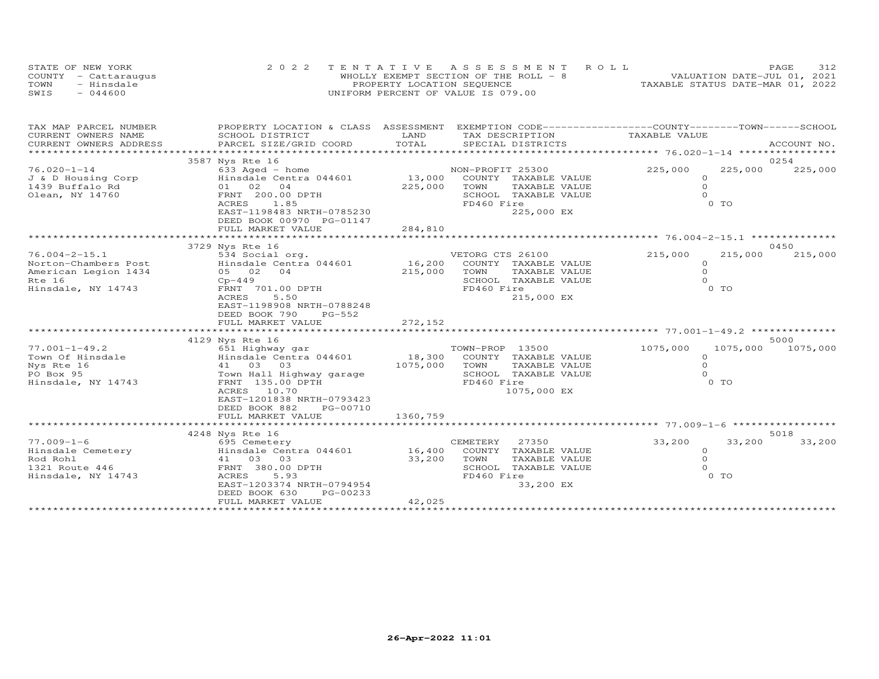| STATE OF NEW YORK    | 2022 TENTATIVE ASSESSMENT ROLL         | <b>PAGE</b>                      | 312 |
|----------------------|----------------------------------------|----------------------------------|-----|
| COUNTY - Cattaraugus | WHOLLY EXEMPT SECTION OF THE ROLL $-8$ | VALUATION DATE-JUL 01, 2021      |     |
| TOWN<br>- Hinsdale   | PROPERTY LOCATION SEQUENCE             | TAXABLE STATUS DATE-MAR 01, 2022 |     |
| $-044600$<br>SWIS    | UNIFORM PERCENT OF VALUE IS 079.00     |                                  |     |

|                                                                                                                                                                                               |                                                                                                                         |                                                                                                                          |                                                                                                                                                                                                                                            | ACCOUNT NO.                                                                   |
|-----------------------------------------------------------------------------------------------------------------------------------------------------------------------------------------------|-------------------------------------------------------------------------------------------------------------------------|--------------------------------------------------------------------------------------------------------------------------|--------------------------------------------------------------------------------------------------------------------------------------------------------------------------------------------------------------------------------------------|-------------------------------------------------------------------------------|
|                                                                                                                                                                                               |                                                                                                                         |                                                                                                                          |                                                                                                                                                                                                                                            |                                                                               |
| 3587 Nys Rte 16<br>$633$ Aged - home<br>Hinsdale Centra 044601<br>01 02 04<br>FRNT 200.00 DPTH<br>ACRES<br>1.85<br>EAST-1198483 NRTH-0785230<br>DEED BOOK 00970 PG-01147<br>FULL MARKET VALUE |                                                                                                                         | COUNTY TAXABLE VALUE<br>TOWN<br>TAXABLE VALUE<br>SCHOOL TAXABLE VALUE<br>FD460 Fire<br>225,000 EX                        | 225,000<br>$\Omega$<br>$\Omega$<br>$\Omega$<br>0 TO                                                                                                                                                                                        | 0254<br>225,000<br>225,000                                                    |
|                                                                                                                                                                                               |                                                                                                                         |                                                                                                                          |                                                                                                                                                                                                                                            | 0450                                                                          |
| 534 Social org.<br>Hinsdale Centra 044601<br>05 02 04<br>$Cp-449$<br>FRNT 701.00 DPTH<br>5.50<br>ACRES<br>EAST-1198908 NRTH-0788248<br>DEED BOOK 790<br>$PG-552$<br>FULL MARKET VALUE         | 272,152                                                                                                                 | TOWN<br>TAXABLE VALUE<br>SCHOOL TAXABLE VALUE<br>FD460 Fire<br>215,000 EX                                                | 215,000<br>$\circ$<br>$\Omega$<br>$\Omega$<br>0 TO                                                                                                                                                                                         | 215,000<br>215,000                                                            |
|                                                                                                                                                                                               |                                                                                                                         |                                                                                                                          |                                                                                                                                                                                                                                            |                                                                               |
| 651 Highway gar<br>Hinsdale Centra 044601<br>41 03 03<br>Town Hall Highway garage<br>FRNT 135.00 DPTH<br>ACRES 10.70<br>EAST-1201838 NRTH-0793423<br>DEED BOOK 882<br>PG-00710                |                                                                                                                         | TOWN-PROP 13500<br>COUNTY TAXABLE VALUE<br>TOWN<br>TAXABLE VALUE<br>SCHOOL TAXABLE VALUE<br>FD460 Fire<br>1075,000 EX    | 1075,000<br>$\circ$<br>$\Omega$<br>$\Omega$<br>0 <sub>T</sub>                                                                                                                                                                              | 5000<br>1075,000<br>1075,000                                                  |
|                                                                                                                                                                                               |                                                                                                                         |                                                                                                                          |                                                                                                                                                                                                                                            |                                                                               |
|                                                                                                                                                                                               |                                                                                                                         |                                                                                                                          |                                                                                                                                                                                                                                            | 5018                                                                          |
| 695 Cemetery<br>Hinsdale Centra 044601<br>41 03 03<br>FRNT 380.00 DPTH<br>ACRES<br>5.93<br>DEED BOOK 630<br>PG-00233<br>FULL MARKET VALUE                                                     | 33,200<br>42,025                                                                                                        | CEMETERY<br>27350<br>COUNTY TAXABLE VALUE<br>TOWN<br>TAXABLE VALUE<br>SCHOOL<br>TAXABLE VALUE<br>FD460 Fire<br>33,200 EX | 33,200<br>$\circ$<br>$\Omega$<br>$\Omega$<br>$0$ TO                                                                                                                                                                                        | 33,200<br>33,200                                                              |
|                                                                                                                                                                                               | SCHOOL DISTRICT<br>PARCEL SIZE/GRID COORD<br>3729 Nys Rte 16<br>4129 Nys Rte 16<br>FULL MARKET VALUE<br>4248 Nys Rte 16 | LAND<br>TOTAL<br>EAST-1203374 NRTH-0794954                                                                               | PROPERTY LOCATION & CLASS ASSESSMENT<br>TAX DESCRIPTION<br>SPECIAL DISTRICTS<br>NON-PROFIT 25300<br>13,000<br>225,000<br>284,810<br>VETORG CTS 26100<br>16,200 COUNTY TAXABLE VALUE<br>215,000<br>18,300<br>1075,000<br>1360,759<br>16,400 | EXEMPTION CODE-----------------COUNTY-------TOWN------SCHOOL<br>TAXABLE VALUE |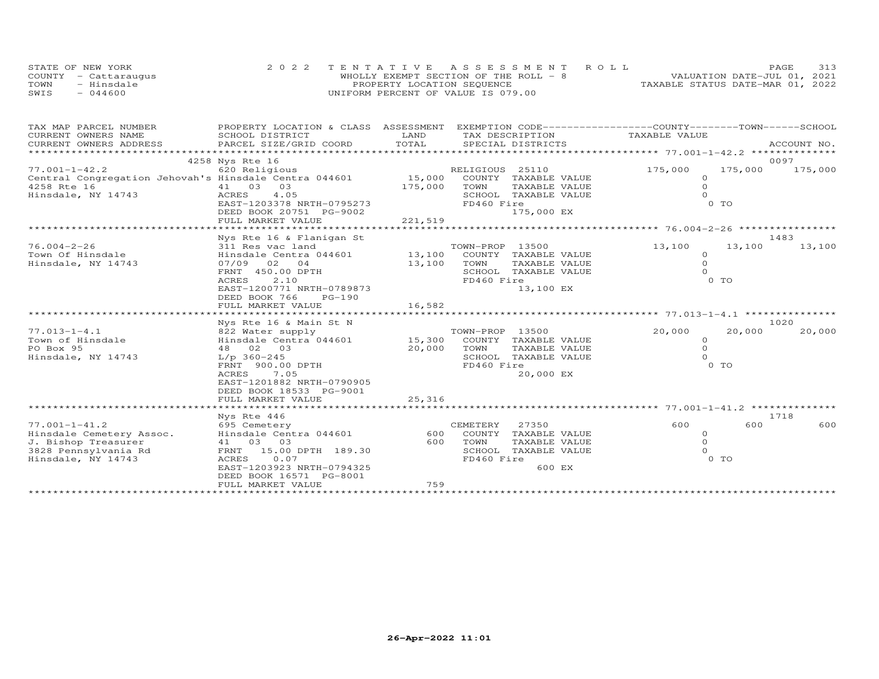| STATE OF NEW YORK       | 2022 TENTATIVE ASSESSMENT ROLL         | PAGE                             |  |
|-------------------------|----------------------------------------|----------------------------------|--|
| COUNTY<br>- Cattaraugus | WHOLLY EXEMPT SECTION OF THE ROLL $-8$ | VALUATION DATE-JUL 01, 2021      |  |
| TOWN<br>- Hinsdale      | PROPERTY LOCATION SEQUENCE             | TAXABLE STATUS DATE-MAR 01, 2022 |  |
| SWIS<br>$-044600$       | UNIFORM PERCENT OF VALUE IS 079.00     |                                  |  |

| SCHOOL DISTRICT<br>LAND<br>TAX DESCRIPTION<br>TAXABLE VALUE<br>TOTAL<br>CURRENT OWNERS ADDRESS<br>PARCEL SIZE/GRID COORD<br>SPECIAL DISTRICTS<br>ACCOUNT NO.<br>4258 Nys Rte 16<br>0097<br>620 Religious<br>RELIGIOUS 25110<br>175,000<br>175,000<br>175,000<br>Central Congregation Jehovah's Hinsdale Centra 044601<br>15,000<br>COUNTY TAXABLE VALUE<br>$\circ$<br>41 03 03<br>175,000<br>$\Omega$<br>TOWN<br>TAXABLE VALUE<br>4.05<br>ACRES<br>SCHOOL TAXABLE VALUE<br>$\Omega$<br>$0$ TO<br>EAST-1203378 NRTH-0795273<br>FD460 Fire<br>DEED BOOK 20751 PG-9002<br>175,000 EX<br>221,519<br>FULL MARKET VALUE<br>1483<br>Nys Rte 16 & Flanigan St<br>$76.004 - 2 - 26$<br>TOWN-PROP 13500<br>13,100<br>13,100<br>13,100<br>311 Res vac land<br>13,100<br>Town Of Hinsdale<br>Hinsdale Centra 044601<br>COUNTY TAXABLE VALUE<br>$\Omega$<br>Hinsdale, NY 14743<br>13,100<br>$\circ$<br>07/09 02 04<br>TOWN<br>TAXABLE VALUE<br>$\Omega$<br>FRNT 450.00 DPTH<br>SCHOOL TAXABLE VALUE<br>0 TO<br>2.10<br>FD460 Fire<br>ACRES<br>EAST-1200771 NRTH-0789873<br>13,100 EX<br>DEED BOOK 766<br>$PG-190$<br>Nys Rte 16 & Main St N<br>1020<br>$77.013 - 1 - 4.1$<br>TOWN-PROP 13500<br>15,300 COUNTY TAXABLE VALUE<br>20,000<br>20,000<br>20,000<br>o a water supply<br>822 Water supply<br>Hinsdale 2<br>Town of Hinsdale<br>Hinsdale Centra 044601<br>$\Omega$<br>$\Omega$<br>PO Box 95<br>20,000<br>TOWN<br>48 02 03<br>TAXABLE VALUE<br>$\Omega$<br>Hinsdale, NY 14743<br>$L/p$ 360-245<br>SCHOOL TAXABLE VALUE<br>0 TO<br>FRNT 900.00 DPTH<br>FD460 Fire<br>ACRES<br>7.05<br>20,000 EX<br>EAST-1201882 NRTH-0790905<br>DEED BOOK 18533 PG-9001<br>25,316<br>FULL MARKET VALUE<br>Nys Rte 446<br>1718<br>600<br>600<br>600<br>695 Cemetery<br>CEMETERY<br>27350<br>Hinsdale Centra 044601<br>600<br>COUNTY TAXABLE VALUE<br>$\circ$<br>$\Omega$<br>41 03 03<br>600<br>TOWN<br>TAXABLE VALUE<br>FRNT 15.00 DPTH 189.30<br>SCHOOL TAXABLE VALUE<br>$\Omega$<br>0 <sub>T</sub><br>Hinsdale, NY 14743<br>0.07<br>FD460 Fire<br>ACRES<br>EAST-1203923 NRTH-0794325<br>600 EX | TAX MAP PARCEL NUMBER    | PROPERTY LOCATION & CLASS ASSESSMENT |  | EXEMPTION CODE-----------------COUNTY-------TOWN-----SCHOOL |  |
|-------------------------------------------------------------------------------------------------------------------------------------------------------------------------------------------------------------------------------------------------------------------------------------------------------------------------------------------------------------------------------------------------------------------------------------------------------------------------------------------------------------------------------------------------------------------------------------------------------------------------------------------------------------------------------------------------------------------------------------------------------------------------------------------------------------------------------------------------------------------------------------------------------------------------------------------------------------------------------------------------------------------------------------------------------------------------------------------------------------------------------------------------------------------------------------------------------------------------------------------------------------------------------------------------------------------------------------------------------------------------------------------------------------------------------------------------------------------------------------------------------------------------------------------------------------------------------------------------------------------------------------------------------------------------------------------------------------------------------------------------------------------------------------------------------------------------------------------------------------------------------------------------------------------------------------------------------------------------------------------------------------------------------------------------------------------------|--------------------------|--------------------------------------|--|-------------------------------------------------------------|--|
|                                                                                                                                                                                                                                                                                                                                                                                                                                                                                                                                                                                                                                                                                                                                                                                                                                                                                                                                                                                                                                                                                                                                                                                                                                                                                                                                                                                                                                                                                                                                                                                                                                                                                                                                                                                                                                                                                                                                                                                                                                                                         | CURRENT OWNERS NAME      |                                      |  |                                                             |  |
|                                                                                                                                                                                                                                                                                                                                                                                                                                                                                                                                                                                                                                                                                                                                                                                                                                                                                                                                                                                                                                                                                                                                                                                                                                                                                                                                                                                                                                                                                                                                                                                                                                                                                                                                                                                                                                                                                                                                                                                                                                                                         |                          |                                      |  |                                                             |  |
|                                                                                                                                                                                                                                                                                                                                                                                                                                                                                                                                                                                                                                                                                                                                                                                                                                                                                                                                                                                                                                                                                                                                                                                                                                                                                                                                                                                                                                                                                                                                                                                                                                                                                                                                                                                                                                                                                                                                                                                                                                                                         |                          |                                      |  |                                                             |  |
|                                                                                                                                                                                                                                                                                                                                                                                                                                                                                                                                                                                                                                                                                                                                                                                                                                                                                                                                                                                                                                                                                                                                                                                                                                                                                                                                                                                                                                                                                                                                                                                                                                                                                                                                                                                                                                                                                                                                                                                                                                                                         | $77.001 - 1 - 42.2$      |                                      |  |                                                             |  |
|                                                                                                                                                                                                                                                                                                                                                                                                                                                                                                                                                                                                                                                                                                                                                                                                                                                                                                                                                                                                                                                                                                                                                                                                                                                                                                                                                                                                                                                                                                                                                                                                                                                                                                                                                                                                                                                                                                                                                                                                                                                                         |                          |                                      |  |                                                             |  |
|                                                                                                                                                                                                                                                                                                                                                                                                                                                                                                                                                                                                                                                                                                                                                                                                                                                                                                                                                                                                                                                                                                                                                                                                                                                                                                                                                                                                                                                                                                                                                                                                                                                                                                                                                                                                                                                                                                                                                                                                                                                                         | 4258 Rte 16              |                                      |  |                                                             |  |
|                                                                                                                                                                                                                                                                                                                                                                                                                                                                                                                                                                                                                                                                                                                                                                                                                                                                                                                                                                                                                                                                                                                                                                                                                                                                                                                                                                                                                                                                                                                                                                                                                                                                                                                                                                                                                                                                                                                                                                                                                                                                         | Hinsdale, NY 14743       |                                      |  |                                                             |  |
|                                                                                                                                                                                                                                                                                                                                                                                                                                                                                                                                                                                                                                                                                                                                                                                                                                                                                                                                                                                                                                                                                                                                                                                                                                                                                                                                                                                                                                                                                                                                                                                                                                                                                                                                                                                                                                                                                                                                                                                                                                                                         |                          |                                      |  |                                                             |  |
|                                                                                                                                                                                                                                                                                                                                                                                                                                                                                                                                                                                                                                                                                                                                                                                                                                                                                                                                                                                                                                                                                                                                                                                                                                                                                                                                                                                                                                                                                                                                                                                                                                                                                                                                                                                                                                                                                                                                                                                                                                                                         |                          |                                      |  |                                                             |  |
|                                                                                                                                                                                                                                                                                                                                                                                                                                                                                                                                                                                                                                                                                                                                                                                                                                                                                                                                                                                                                                                                                                                                                                                                                                                                                                                                                                                                                                                                                                                                                                                                                                                                                                                                                                                                                                                                                                                                                                                                                                                                         |                          |                                      |  |                                                             |  |
|                                                                                                                                                                                                                                                                                                                                                                                                                                                                                                                                                                                                                                                                                                                                                                                                                                                                                                                                                                                                                                                                                                                                                                                                                                                                                                                                                                                                                                                                                                                                                                                                                                                                                                                                                                                                                                                                                                                                                                                                                                                                         |                          |                                      |  |                                                             |  |
|                                                                                                                                                                                                                                                                                                                                                                                                                                                                                                                                                                                                                                                                                                                                                                                                                                                                                                                                                                                                                                                                                                                                                                                                                                                                                                                                                                                                                                                                                                                                                                                                                                                                                                                                                                                                                                                                                                                                                                                                                                                                         |                          |                                      |  |                                                             |  |
|                                                                                                                                                                                                                                                                                                                                                                                                                                                                                                                                                                                                                                                                                                                                                                                                                                                                                                                                                                                                                                                                                                                                                                                                                                                                                                                                                                                                                                                                                                                                                                                                                                                                                                                                                                                                                                                                                                                                                                                                                                                                         |                          |                                      |  |                                                             |  |
|                                                                                                                                                                                                                                                                                                                                                                                                                                                                                                                                                                                                                                                                                                                                                                                                                                                                                                                                                                                                                                                                                                                                                                                                                                                                                                                                                                                                                                                                                                                                                                                                                                                                                                                                                                                                                                                                                                                                                                                                                                                                         |                          |                                      |  |                                                             |  |
|                                                                                                                                                                                                                                                                                                                                                                                                                                                                                                                                                                                                                                                                                                                                                                                                                                                                                                                                                                                                                                                                                                                                                                                                                                                                                                                                                                                                                                                                                                                                                                                                                                                                                                                                                                                                                                                                                                                                                                                                                                                                         |                          |                                      |  |                                                             |  |
|                                                                                                                                                                                                                                                                                                                                                                                                                                                                                                                                                                                                                                                                                                                                                                                                                                                                                                                                                                                                                                                                                                                                                                                                                                                                                                                                                                                                                                                                                                                                                                                                                                                                                                                                                                                                                                                                                                                                                                                                                                                                         |                          |                                      |  |                                                             |  |
|                                                                                                                                                                                                                                                                                                                                                                                                                                                                                                                                                                                                                                                                                                                                                                                                                                                                                                                                                                                                                                                                                                                                                                                                                                                                                                                                                                                                                                                                                                                                                                                                                                                                                                                                                                                                                                                                                                                                                                                                                                                                         |                          |                                      |  |                                                             |  |
|                                                                                                                                                                                                                                                                                                                                                                                                                                                                                                                                                                                                                                                                                                                                                                                                                                                                                                                                                                                                                                                                                                                                                                                                                                                                                                                                                                                                                                                                                                                                                                                                                                                                                                                                                                                                                                                                                                                                                                                                                                                                         |                          |                                      |  |                                                             |  |
|                                                                                                                                                                                                                                                                                                                                                                                                                                                                                                                                                                                                                                                                                                                                                                                                                                                                                                                                                                                                                                                                                                                                                                                                                                                                                                                                                                                                                                                                                                                                                                                                                                                                                                                                                                                                                                                                                                                                                                                                                                                                         |                          |                                      |  |                                                             |  |
|                                                                                                                                                                                                                                                                                                                                                                                                                                                                                                                                                                                                                                                                                                                                                                                                                                                                                                                                                                                                                                                                                                                                                                                                                                                                                                                                                                                                                                                                                                                                                                                                                                                                                                                                                                                                                                                                                                                                                                                                                                                                         |                          |                                      |  |                                                             |  |
|                                                                                                                                                                                                                                                                                                                                                                                                                                                                                                                                                                                                                                                                                                                                                                                                                                                                                                                                                                                                                                                                                                                                                                                                                                                                                                                                                                                                                                                                                                                                                                                                                                                                                                                                                                                                                                                                                                                                                                                                                                                                         |                          |                                      |  |                                                             |  |
|                                                                                                                                                                                                                                                                                                                                                                                                                                                                                                                                                                                                                                                                                                                                                                                                                                                                                                                                                                                                                                                                                                                                                                                                                                                                                                                                                                                                                                                                                                                                                                                                                                                                                                                                                                                                                                                                                                                                                                                                                                                                         |                          |                                      |  |                                                             |  |
|                                                                                                                                                                                                                                                                                                                                                                                                                                                                                                                                                                                                                                                                                                                                                                                                                                                                                                                                                                                                                                                                                                                                                                                                                                                                                                                                                                                                                                                                                                                                                                                                                                                                                                                                                                                                                                                                                                                                                                                                                                                                         |                          |                                      |  |                                                             |  |
|                                                                                                                                                                                                                                                                                                                                                                                                                                                                                                                                                                                                                                                                                                                                                                                                                                                                                                                                                                                                                                                                                                                                                                                                                                                                                                                                                                                                                                                                                                                                                                                                                                                                                                                                                                                                                                                                                                                                                                                                                                                                         |                          |                                      |  |                                                             |  |
|                                                                                                                                                                                                                                                                                                                                                                                                                                                                                                                                                                                                                                                                                                                                                                                                                                                                                                                                                                                                                                                                                                                                                                                                                                                                                                                                                                                                                                                                                                                                                                                                                                                                                                                                                                                                                                                                                                                                                                                                                                                                         |                          |                                      |  |                                                             |  |
|                                                                                                                                                                                                                                                                                                                                                                                                                                                                                                                                                                                                                                                                                                                                                                                                                                                                                                                                                                                                                                                                                                                                                                                                                                                                                                                                                                                                                                                                                                                                                                                                                                                                                                                                                                                                                                                                                                                                                                                                                                                                         |                          |                                      |  |                                                             |  |
|                                                                                                                                                                                                                                                                                                                                                                                                                                                                                                                                                                                                                                                                                                                                                                                                                                                                                                                                                                                                                                                                                                                                                                                                                                                                                                                                                                                                                                                                                                                                                                                                                                                                                                                                                                                                                                                                                                                                                                                                                                                                         |                          |                                      |  |                                                             |  |
|                                                                                                                                                                                                                                                                                                                                                                                                                                                                                                                                                                                                                                                                                                                                                                                                                                                                                                                                                                                                                                                                                                                                                                                                                                                                                                                                                                                                                                                                                                                                                                                                                                                                                                                                                                                                                                                                                                                                                                                                                                                                         |                          |                                      |  |                                                             |  |
|                                                                                                                                                                                                                                                                                                                                                                                                                                                                                                                                                                                                                                                                                                                                                                                                                                                                                                                                                                                                                                                                                                                                                                                                                                                                                                                                                                                                                                                                                                                                                                                                                                                                                                                                                                                                                                                                                                                                                                                                                                                                         |                          |                                      |  |                                                             |  |
|                                                                                                                                                                                                                                                                                                                                                                                                                                                                                                                                                                                                                                                                                                                                                                                                                                                                                                                                                                                                                                                                                                                                                                                                                                                                                                                                                                                                                                                                                                                                                                                                                                                                                                                                                                                                                                                                                                                                                                                                                                                                         |                          |                                      |  |                                                             |  |
|                                                                                                                                                                                                                                                                                                                                                                                                                                                                                                                                                                                                                                                                                                                                                                                                                                                                                                                                                                                                                                                                                                                                                                                                                                                                                                                                                                                                                                                                                                                                                                                                                                                                                                                                                                                                                                                                                                                                                                                                                                                                         |                          |                                      |  |                                                             |  |
|                                                                                                                                                                                                                                                                                                                                                                                                                                                                                                                                                                                                                                                                                                                                                                                                                                                                                                                                                                                                                                                                                                                                                                                                                                                                                                                                                                                                                                                                                                                                                                                                                                                                                                                                                                                                                                                                                                                                                                                                                                                                         | $77.001 - 1 - 41.2$      |                                      |  |                                                             |  |
|                                                                                                                                                                                                                                                                                                                                                                                                                                                                                                                                                                                                                                                                                                                                                                                                                                                                                                                                                                                                                                                                                                                                                                                                                                                                                                                                                                                                                                                                                                                                                                                                                                                                                                                                                                                                                                                                                                                                                                                                                                                                         | Hinsdale Cemetery Assoc. |                                      |  |                                                             |  |
|                                                                                                                                                                                                                                                                                                                                                                                                                                                                                                                                                                                                                                                                                                                                                                                                                                                                                                                                                                                                                                                                                                                                                                                                                                                                                                                                                                                                                                                                                                                                                                                                                                                                                                                                                                                                                                                                                                                                                                                                                                                                         | J. Bishop Treasurer      |                                      |  |                                                             |  |
|                                                                                                                                                                                                                                                                                                                                                                                                                                                                                                                                                                                                                                                                                                                                                                                                                                                                                                                                                                                                                                                                                                                                                                                                                                                                                                                                                                                                                                                                                                                                                                                                                                                                                                                                                                                                                                                                                                                                                                                                                                                                         | 3828 Pennsylvania Rd     |                                      |  |                                                             |  |
|                                                                                                                                                                                                                                                                                                                                                                                                                                                                                                                                                                                                                                                                                                                                                                                                                                                                                                                                                                                                                                                                                                                                                                                                                                                                                                                                                                                                                                                                                                                                                                                                                                                                                                                                                                                                                                                                                                                                                                                                                                                                         |                          |                                      |  |                                                             |  |
|                                                                                                                                                                                                                                                                                                                                                                                                                                                                                                                                                                                                                                                                                                                                                                                                                                                                                                                                                                                                                                                                                                                                                                                                                                                                                                                                                                                                                                                                                                                                                                                                                                                                                                                                                                                                                                                                                                                                                                                                                                                                         |                          |                                      |  |                                                             |  |
| DEED BOOK 16571 PG-8001                                                                                                                                                                                                                                                                                                                                                                                                                                                                                                                                                                                                                                                                                                                                                                                                                                                                                                                                                                                                                                                                                                                                                                                                                                                                                                                                                                                                                                                                                                                                                                                                                                                                                                                                                                                                                                                                                                                                                                                                                                                 |                          |                                      |  |                                                             |  |
| 759<br>FULL MARKET VALUE                                                                                                                                                                                                                                                                                                                                                                                                                                                                                                                                                                                                                                                                                                                                                                                                                                                                                                                                                                                                                                                                                                                                                                                                                                                                                                                                                                                                                                                                                                                                                                                                                                                                                                                                                                                                                                                                                                                                                                                                                                                |                          |                                      |  |                                                             |  |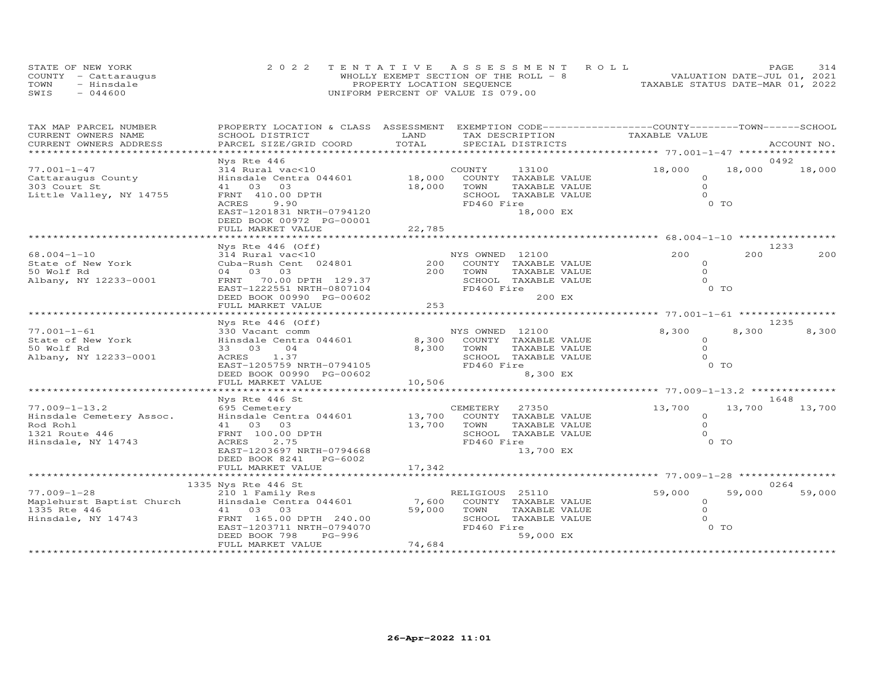| STATE OF NEW YORK    |                                    | 2022 TENTATIVE ASSESSMENT ROLL         |                                  | PAGE. | 314 |
|----------------------|------------------------------------|----------------------------------------|----------------------------------|-------|-----|
| COUNTY - Cattaraugus |                                    | WHOLLY EXEMPT SECTION OF THE ROLL $-8$ | VALUATION DATE-JUL 01, 2021      |       |     |
| TOWN<br>- Hinsdale   | PROPERTY LOCATION SEQUENCE         |                                        | TAXABLE STATUS DATE-MAR 01, 2022 |       |     |
| $-044600$<br>SWIS    | UNIFORM PERCENT OF VALUE IS 079.00 |                                        |                                  |       |     |

| TAX MAP PARCEL NUMBER     | PROPERTY LOCATION & CLASS ASSESSMENT |                         | EXEMPTION CODE-----------------COUNTY-------TOWN------SCHOOL |                                                        |                |             |
|---------------------------|--------------------------------------|-------------------------|--------------------------------------------------------------|--------------------------------------------------------|----------------|-------------|
| CURRENT OWNERS NAME       | SCHOOL DISTRICT                      | LAND                    | TAX DESCRIPTION                                              | TAXABLE VALUE                                          |                |             |
| CURRENT OWNERS ADDRESS    | PARCEL SIZE/GRID COORD               | TOTAL                   | SPECIAL DISTRICTS                                            |                                                        |                | ACCOUNT NO. |
|                           |                                      | *********************** |                                                              | ************************ 77.001-1-47 ***************** |                |             |
|                           | Nys Rte 446                          |                         |                                                              |                                                        |                | 0492        |
| $77.001 - 1 - 47$         | 314 Rural vac<10                     |                         | COUNTY<br>13100                                              | 18,000                                                 | 18,000         | 18,000      |
| Cattaraugus County        | Hinsdale Centra 044601               | 18,000                  | COUNTY TAXABLE VALUE                                         | $\Omega$                                               |                |             |
| 303 Court St              | 41 03 03                             | 18,000                  | TOWN<br>TAXABLE VALUE                                        | $\Omega$                                               |                |             |
| Little Valley, NY 14755   | FRNT 410.00 DPTH                     |                         | SCHOOL TAXABLE VALUE                                         | $\Omega$                                               |                |             |
|                           | ACRES<br>9.90                        |                         | FD460 Fire                                                   |                                                        | 0 TO           |             |
|                           | EAST-1201831 NRTH-0794120            |                         | 18,000 EX                                                    |                                                        |                |             |
|                           | DEED BOOK 00972 PG-00001             |                         |                                                              |                                                        |                |             |
|                           | FULL MARKET VALUE                    | 22,785                  |                                                              |                                                        |                |             |
|                           |                                      |                         |                                                              |                                                        |                |             |
|                           | Nys Rte $446$ (Off)                  |                         |                                                              |                                                        |                | 1233        |
| $68.004 - 1 - 10$         | 314 Rural vac<10                     |                         | NYS OWNED 12100                                              | 200                                                    | 200            | 200         |
| State of New York         | Cuba-Rush Cent 024801                | 200                     | COUNTY TAXABLE VALUE                                         | $\Omega$                                               |                |             |
| 50 Wolf Rd                | 04 03 03                             | 200                     | TOWN<br>TAXABLE VALUE                                        | $\Omega$                                               |                |             |
| Albany, NY 12233-0001     | FRNT 70.00 DPTH 129.37               |                         | SCHOOL TAXABLE VALUE                                         | $\Omega$                                               |                |             |
|                           | EAST-1222551 NRTH-0807104            |                         | FD460 Fire                                                   |                                                        | 0 <sub>T</sub> |             |
|                           | DEED BOOK 00990 PG-00602             |                         | 200 EX                                                       |                                                        |                |             |
|                           | FULL MARKET VALUE                    | 253                     |                                                              |                                                        |                |             |
|                           |                                      |                         |                                                              |                                                        |                |             |
|                           | Nys Rte $446$ (Off)                  |                         |                                                              |                                                        |                | 1235        |
| $77.001 - 1 - 61$         | 330 Vacant comm                      |                         | NYS OWNED 12100                                              | 8,300                                                  | 8,300          | 8,300       |
| State of New York         | Hinsdale Centra 044601               | 8,300                   | COUNTY TAXABLE VALUE                                         | $\circ$                                                |                |             |
| 50 Wolf Rd                | 33 03<br>04                          | 8,300                   | TOWN<br>TAXABLE VALUE                                        | $\circ$                                                |                |             |
| Albany, NY 12233-0001     | ACRES 1.37                           |                         | SCHOOL TAXABLE VALUE                                         | $\Omega$                                               |                |             |
|                           | EAST-1205759 NRTH-0794105            |                         | FD460 Fire                                                   |                                                        | 0 <sub>T</sub> |             |
|                           | DEED BOOK 00990 PG-00602             |                         | 8,300 EX                                                     |                                                        |                |             |
|                           | FULL MARKET VALUE                    | 10,506                  |                                                              |                                                        |                |             |
|                           |                                      |                         |                                                              |                                                        |                |             |
|                           | Nys Rte 446 St                       |                         |                                                              |                                                        |                | 1648        |
| $77.009 - 1 - 13.2$       | 695 Cemetery                         |                         | CEMETERY<br>27350                                            | 13,700                                                 | 13,700         | 13,700      |
| Hinsdale Cemetery Assoc.  | Hinsdale Centra 044601               | 13,700                  | COUNTY TAXABLE VALUE                                         | $\circ$                                                |                |             |
| Rod Rohl                  | 41 03 03                             | 13,700                  | TOWN<br>TAXABLE VALUE                                        | $\Omega$                                               |                |             |
| 1321 Route 446            | FRNT 100.00 DPTH                     |                         | SCHOOL TAXABLE VALUE                                         | $\Omega$                                               |                |             |
| Hinsdale, NY 14743        | 2.75<br>ACRES                        |                         | FD460 Fire                                                   |                                                        | 0 TO           |             |
|                           | EAST-1203697 NRTH-0794668            |                         | 13,700 EX                                                    |                                                        |                |             |
|                           | DEED BOOK 8241<br>PG-6002            |                         |                                                              |                                                        |                |             |
|                           | FULL MARKET VALUE                    | 17,342                  |                                                              |                                                        |                |             |
|                           |                                      |                         |                                                              |                                                        |                |             |
|                           | 1335 Nys Rte 446 St                  |                         |                                                              |                                                        |                | 0264        |
| $77.009 - 1 - 28$         | 210 1 Family Res                     |                         | RELIGIOUS 25110                                              | 59,000                                                 | 59,000         | 59,000      |
| Maplehurst Baptist Church | Hinsdale Centra 044601               | 7,600                   | COUNTY TAXABLE VALUE                                         | $\circ$                                                |                |             |
| 1335 Rte 446              | 41 03 03                             | 59,000                  | TOWN<br>TAXABLE VALUE                                        | $\Omega$                                               |                |             |
| Hinsdale, NY 14743        | FRNT 165.00 DPTH 240.00              |                         | SCHOOL TAXABLE VALUE                                         | $\Omega$                                               |                |             |
|                           | EAST-1203711 NRTH-0794070            |                         | FD460 Fire                                                   |                                                        | 0 <sub>T</sub> |             |
|                           | DEED BOOK 798<br>PG-996              |                         | 59,000 EX                                                    |                                                        |                |             |
|                           | FULL MARKET VALUE                    | 74,684                  |                                                              |                                                        |                |             |
|                           |                                      |                         |                                                              |                                                        |                |             |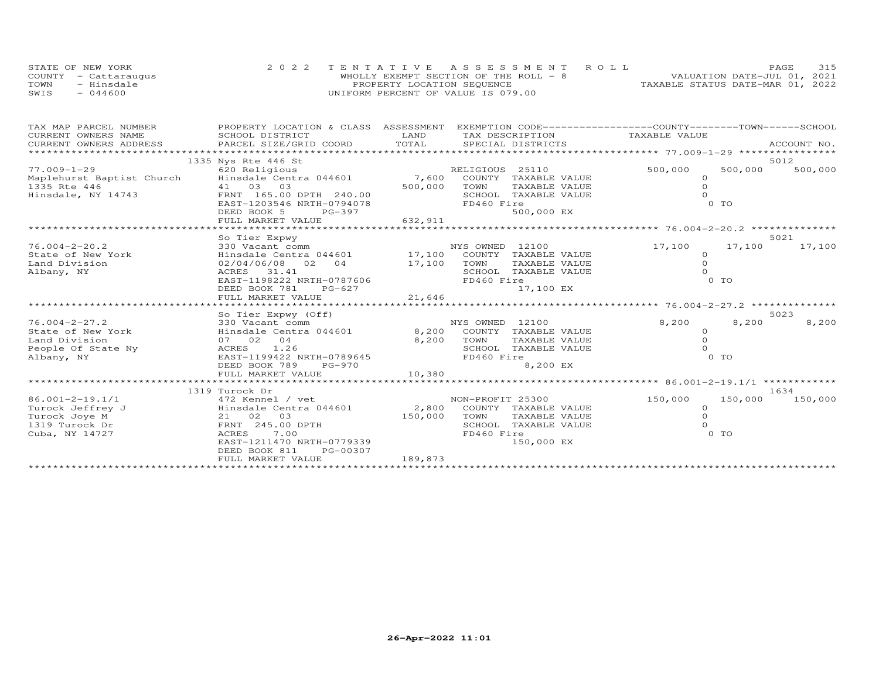|      | STATE OF NEW YORK    | 2022 TENTATIVE ASSESSMENT ROLL         |                                  | PAGE                        | 315 |
|------|----------------------|----------------------------------------|----------------------------------|-----------------------------|-----|
|      | COUNTY - Cattarauqus | WHOLLY EXEMPT SECTION OF THE ROLL $-8$ |                                  | VALUATION DATE-JUL 01, 2021 |     |
| TOWN | - Hinsdale           | PROPERTY LOCATION SEQUENCE             | TAXABLE STATUS DATE-MAR 01, 2022 |                             |     |
| SWIS | $-044600$            | UNIFORM PERCENT OF VALUE IS 079.00     |                                  |                             |     |

| TAX MAP PARCEL NUMBER                                                                                                                                                                                                         | PROPERTY LOCATION & CLASS ASSESSMENT              |             | EXEMPTION CODE-----------------COUNTY-------TOWN------SCHOOL |                                                     |         |             |
|-------------------------------------------------------------------------------------------------------------------------------------------------------------------------------------------------------------------------------|---------------------------------------------------|-------------|--------------------------------------------------------------|-----------------------------------------------------|---------|-------------|
| CURRENT OWNERS NAME                                                                                                                                                                                                           | SCHOOL DISTRICT                                   | LAND        | TAX DESCRIPTION                                              | TAXABLE VALUE                                       |         |             |
| .CURRENT OWNERS ADDRESS PARCEL SIZE/GRID COORD TOTAL SPECIAL DISTRICTS (ACCOUNT NO ACCOUNT NO ARCOUNT NO ARE SERVERS AND RESERVENT OF THE SERVERS AND RESERVENT OF THE SERVERS OF THE SERVER SERVER OF SERVERS AND THE SERVER |                                                   |             |                                                              |                                                     |         | ACCOUNT NO. |
|                                                                                                                                                                                                                               |                                                   |             |                                                              |                                                     |         |             |
|                                                                                                                                                                                                                               | 1335 Nys Rte 446 St                               |             |                                                              |                                                     |         | 5012        |
| $77.009 - 1 - 29$                                                                                                                                                                                                             | 620 Religious                                     |             | RELIGIOUS 25110                                              | 500,000                                             | 500,000 | 500,000     |
|                                                                                                                                                                                                                               |                                                   |             | 7,600 COUNTY TAXABLE VALUE                                   | $\circ$                                             |         |             |
| 1335 Rte 446                                                                                                                                                                                                                  | 41 03 03                                          | 500,000     | TOWN<br>TAXABLE VALUE                                        | $\Omega$                                            |         |             |
| Hinsdale, NY 14743                                                                                                                                                                                                            | FRNT 165.00 DPTH 240.00                           |             | SCHOOL TAXABLE VALUE                                         |                                                     |         |             |
|                                                                                                                                                                                                                               | EAST-1203546 NRTH-0794078                         |             | FD460 Fire                                                   |                                                     | $0$ TO  |             |
|                                                                                                                                                                                                                               | DEED BOOK 5<br>PG-397                             |             | 500,000 EX                                                   |                                                     |         |             |
|                                                                                                                                                                                                                               | FULL MARKET VALUE                                 | 632, 911    |                                                              |                                                     |         |             |
|                                                                                                                                                                                                                               |                                                   |             |                                                              |                                                     |         |             |
|                                                                                                                                                                                                                               | So Tier Expwy                                     |             |                                                              |                                                     |         | 5021        |
| $76.004 - 2 - 20.2$                                                                                                                                                                                                           | 330 Vacant comm                                   |             | NYS OWNED 12100                                              | 17,100                                              | 17,100  | 17,100      |
| State of New York                                                                                                                                                                                                             | Hinsdale Centra 044601 17,100                     |             | COUNTY TAXABLE VALUE                                         | $\Omega$                                            |         |             |
| Land Division                                                                                                                                                                                                                 | 02/04/06/08 02<br>04                              | 17,100 TOWN | TAXABLE VALUE                                                | $\Omega$                                            |         |             |
| Albany, NY                                                                                                                                                                                                                    | ACRES 31.41                                       |             | SCHOOL TAXABLE VALUE                                         | $\Omega$                                            |         |             |
|                                                                                                                                                                                                                               | EAST-1198222 NRTH-0787606                         |             | FD460 Fire                                                   |                                                     | 0 TO    |             |
|                                                                                                                                                                                                                               | DEED BOOK 781<br>PG-627<br>FULL MARKET VALUE      | 21,646      | 17,100 EX                                                    |                                                     |         |             |
|                                                                                                                                                                                                                               |                                                   |             |                                                              | ********************* 76.004-2-27.2 *************** |         |             |
|                                                                                                                                                                                                                               | So Tier Expwy (Off)                               |             |                                                              |                                                     |         | 5023        |
| $76.004 - 2 - 27.2$                                                                                                                                                                                                           | 330 Vacant comm                                   |             | NYS OWNED 12100                                              | 8,200                                               | 8,200   | 8,200       |
| State of New York                                                                                                                                                                                                             | Hinsdale Centra 044601 6,200 COUNTY TAXABLE VALUE |             |                                                              | $\circ$                                             |         |             |
| Land Division                                                                                                                                                                                                                 | 07 02 04                                          | 8,200       | TAXABLE VALUE<br>TOWN                                        | $\Omega$                                            |         |             |
| People Of State Ny                                                                                                                                                                                                            | ACRES<br>1.26                                     |             | SCHOOL TAXABLE VALUE                                         | $\Omega$                                            |         |             |
| Albany, NY                                                                                                                                                                                                                    | EAST-1199422 NRTH-0789645                         |             | FD460 Fire                                                   |                                                     | 0 TO    |             |
|                                                                                                                                                                                                                               | DEED BOOK 789<br>$PG-970$                         |             | 8,200 EX                                                     |                                                     |         |             |
|                                                                                                                                                                                                                               | FULL MARKET VALUE                                 | 10,380      |                                                              |                                                     |         |             |
|                                                                                                                                                                                                                               |                                                   |             |                                                              |                                                     |         |             |
|                                                                                                                                                                                                                               | 1319 Turock Dr                                    |             |                                                              |                                                     |         | 1634        |
| 86.001-2-19.1/1                                                                                                                                                                                                               | 472 Kennel / vet                                  |             | NON-PROFIT 25300                                             | 150,000                                             | 150,000 | 150,000     |
| Turock Jeffrey J                                                                                                                                                                                                              | Hinsdale Centra 044601 2,800 COUNTY TAXABLE VALUE |             |                                                              | $\circ$                                             |         |             |
| Turock Joye M                                                                                                                                                                                                                 | 21 02 03                                          | 150,000     | TOWN<br>TAXABLE VALUE                                        | $\Omega$                                            |         |             |
| 1319 Turock Dr                                                                                                                                                                                                                | FRNT 245.00 DPTH                                  |             | SCHOOL TAXABLE VALUE                                         |                                                     |         |             |
| Cuba, NY 14727                                                                                                                                                                                                                | 7.00<br>ACRES                                     |             | FD460 Fire                                                   |                                                     | 0 TO    |             |
|                                                                                                                                                                                                                               | EAST-1211470 NRTH-0779339                         |             | 150,000 EX                                                   |                                                     |         |             |
|                                                                                                                                                                                                                               | DEED BOOK 811<br>PG-00307                         |             |                                                              |                                                     |         |             |
|                                                                                                                                                                                                                               | FULL MARKET VALUE                                 | 189,873     |                                                              |                                                     |         |             |
|                                                                                                                                                                                                                               |                                                   |             |                                                              |                                                     |         |             |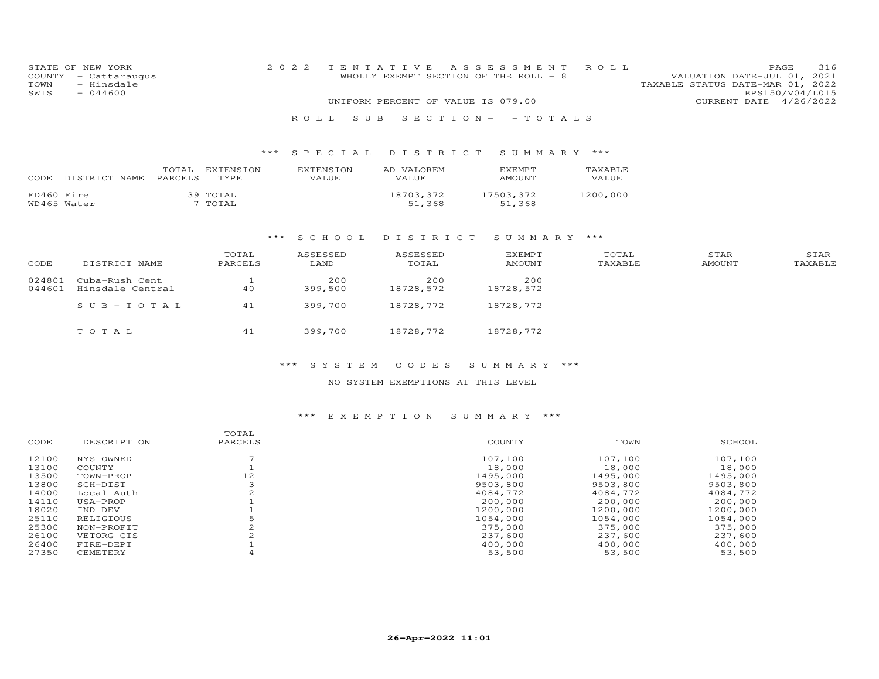| STATE OF NEW YORK    | 2022 TENTATIVE ASSESSMENT ROLL        | 316<br>PAGE.                     |
|----------------------|---------------------------------------|----------------------------------|
| COUNTY - Cattaraugus | WHOLLY EXEMPT SECTION OF THE ROLL - 8 | VALUATION DATE-JUL 01, 2021      |
| TOWN<br>- Hinsdale   |                                       | TAXABLE STATUS DATE-MAR 01, 2022 |
| SWIS<br>- 044600     |                                       | RPS150/V04/L015                  |
|                      | UNIFORM PERCENT OF VALUE IS 079.00    | CURRENT DATE 4/26/2022           |
|                      |                                       |                                  |

R O L L S U B S E C T I O N - - T O T A L S

| CODE       | DISTRICT NAME | TOTAL<br>PARCELS | <b>EXTENSION</b><br>TYPE | <b>EXTENSION</b><br>VALUE. | AD VALOREM<br>VALUE. | EXEMPT<br>AMOUNT    | TAXABLE<br>VALUE |
|------------|---------------|------------------|--------------------------|----------------------------|----------------------|---------------------|------------------|
| FD460 Fire | WD465 Water   |                  | 39 TOTAL<br>7 TOTAL      |                            | 18703,372<br>51,368  | 17503,372<br>51,368 | 1200,000         |

#### \*\*\* S C H O O L D I S T R I C T S U M M A R Y \*\*\*

| CODE             | DISTRICT NAME                      | TOTAL<br>PARCELS | ASSESSED<br>LAND | ASSESSED<br>TOTAL | EXEMPT<br><b>AMOUNT</b> | TOTAL<br>TAXABLE | STAR<br><b>AMOUNT</b> | STAR<br>TAXABLE |
|------------------|------------------------------------|------------------|------------------|-------------------|-------------------------|------------------|-----------------------|-----------------|
| 024801<br>044601 | Cuba-Rush Cent<br>Hinsdale Central | 40               | 200<br>399,500   | 200<br>18728,572  | 200<br>18728,572        |                  |                       |                 |
|                  | $SUB-TOTAL$                        | 41               | 399,700          | 18728,772         | 18728,772               |                  |                       |                 |
|                  | TOTAL                              | 41               | 399,700          | 18728,772         | 18728,772               |                  |                       |                 |

### \*\*\* S Y S T E M C O D E S S U M M A R Y \*\*\*

### NO SYSTEM EXEMPTIONS AT THIS LEVEL

|             | TOTAL   |          |          |          |
|-------------|---------|----------|----------|----------|
| DESCRIPTION | PARCELS | COUNTY   | TOWN     | SCHOOL   |
| NYS OWNED   |         | 107,100  | 107.100  | 107,100  |
| COUNTY      |         | 18,000   | 18,000   | 18,000   |
| TOWN-PROP   | 12      | 1495,000 | 1495,000 | 1495,000 |
| SCH-DIST    |         | 9503,800 | 9503,800 | 9503,800 |
| Local Auth  |         | 4084,772 | 4084,772 | 4084,772 |
| USA-PROP    |         | 200,000  | 200,000  | 200,000  |
| IND DEV     |         | 1200,000 | 1200,000 | 1200,000 |
| RELIGIOUS   |         | 1054,000 | 1054,000 | 1054,000 |
| NON-PROFIT  |         | 375,000  | 375,000  | 375,000  |
| VETORG CTS  |         | 237,600  | 237,600  | 237,600  |
| FIRE-DEPT   |         | 400,000  | 400,000  | 400,000  |
| CEMETERY    |         | 53,500   | 53,500   | 53,500   |
|             |         |          |          |          |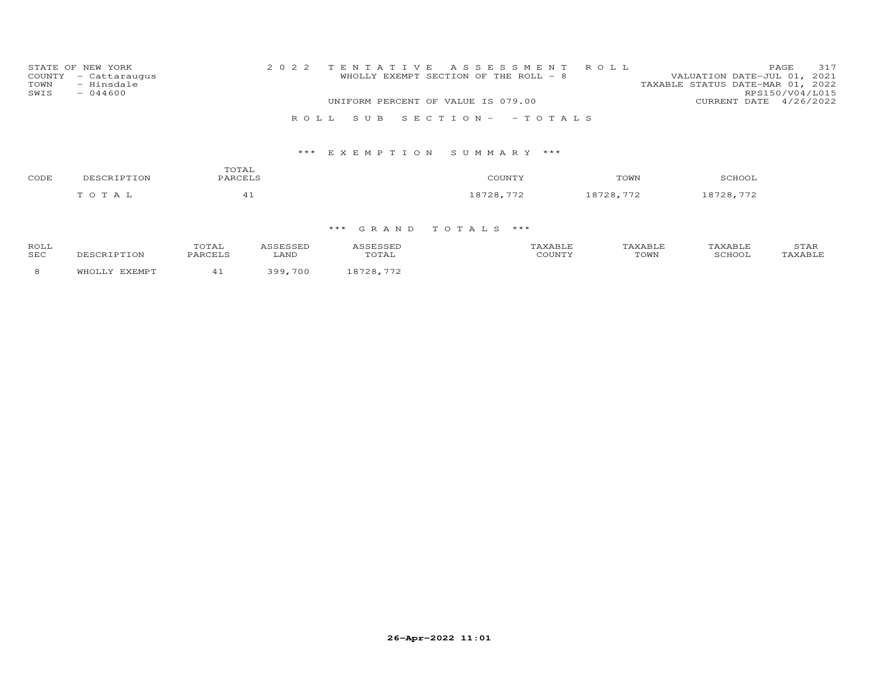| STATE OF NEW YORK<br>COUNTY - Cattaraugus<br>- Hinsdale<br>TOWN<br>$-044600$<br>SWIS | 2022 TENTATIVE ASSESSMENT ROLL<br>WHOLLY EXEMPT SECTION OF THE ROLL - 8<br>UNIFORM PERCENT OF VALUE IS 079.00 | 317<br>PAGE<br>VALUATION DATE-JUL 01, 2021<br>TAXABLE STATUS DATE-MAR 01, 2022<br>RPS150/V04/L015<br>CURRENT DATE 4/26/2022 |
|--------------------------------------------------------------------------------------|---------------------------------------------------------------------------------------------------------------|-----------------------------------------------------------------------------------------------------------------------------|
|                                                                                      | ROLL SUB SECTION- -TOTALS                                                                                     |                                                                                                                             |
|                                                                                      |                                                                                                               |                                                                                                                             |

| CODE | DESCRIPTION | TOTAL<br>PARCELS | COUNTY    | TOWN      | SCHOOL    |
|------|-------------|------------------|-----------|-----------|-----------|
|      | TOTAL       | - -              | 18728,772 | 18728,772 | 18728,772 |

| ROLI       |  |          |  |      |  |
|------------|--|----------|--|------|--|
| <b>SEC</b> |  | LANI     |  | TOWN |  |
|            |  | $\alpha$ |  |      |  |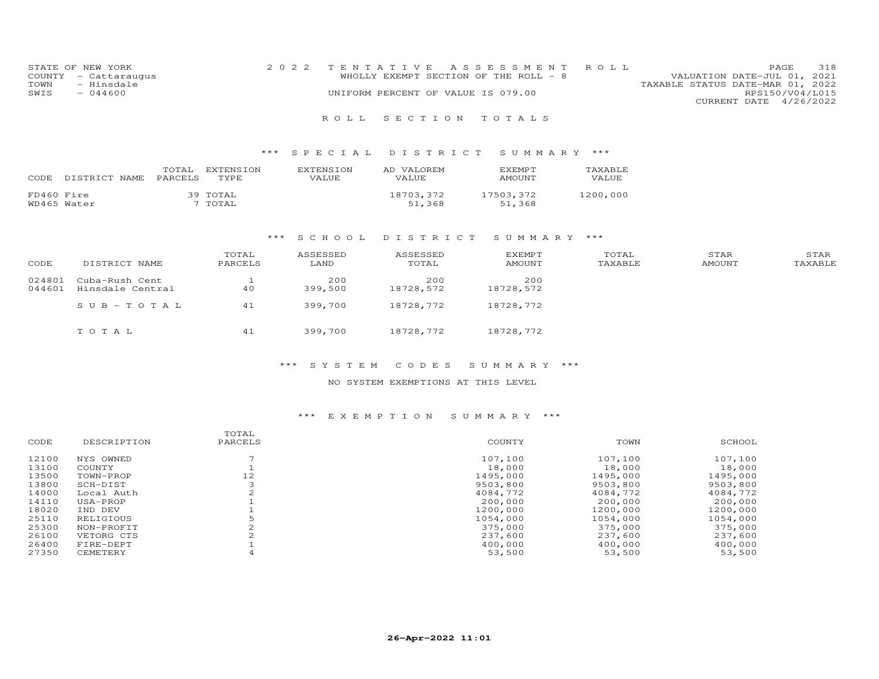| STATE OF NEW YORK    | 2022 TENTATIVE ASSESSMENT ROLL        |                                  | PAGE. | 318 |
|----------------------|---------------------------------------|----------------------------------|-------|-----|
| COUNTY - Cattaraugus | WHOLLY EXEMPT SECTION OF THE ROLL - 8 | VALUATION DATE-JUL 01, 2021      |       |     |
| TOWN<br>- Hinsdale   |                                       | TAXABLE STATUS DATE-MAR 01, 2022 |       |     |
| SWIS<br>$-044600$    | UNIFORM PERCENT OF VALUE IS 079.00    | RPS150/V04/L015                  |       |     |
|                      |                                       | CURRENT DATE 4/26/2022           |       |     |

### \*\*\* S P E C I A L D I S T R I C T S U M M A R Y \*\*\*

| CODE       | DISTRICT NAME | TOTAL<br>PARCELS | EXTENSION<br>TYPE   | <b>FXTENSION</b><br>VALUE. | AD VALOREM<br><b>VALUE</b> | EXEMPT<br>AMOUNT    | TAXABLE.<br>VALUE. |
|------------|---------------|------------------|---------------------|----------------------------|----------------------------|---------------------|--------------------|
| FD460 Fire | WD465 Water   |                  | 39 TOTAL<br>' TOTAL |                            | 18703,372<br>51,368        | 17503,372<br>51,368 | 1200,000           |

#### \*\*\* S C H O O L D I S T R I C T S U M M A R Y \*\*\*

| CODE   | DISTRICT NAME    | TOTAL<br>PARCELS | ASSESSED<br>LAND | ASSESSED<br>TOTAL | EXEMPT<br>AMOUNT | TOTAL<br>TAXABLE | STAR<br>AMOUNT | STAR<br>TAXABLE |
|--------|------------------|------------------|------------------|-------------------|------------------|------------------|----------------|-----------------|
| 024801 | Cuba-Rush Cent   |                  | 200              | 200               | 200              |                  |                |                 |
| 044601 | Hinsdale Central | 40               | 399,500          | 18728,572         | 18728,572        |                  |                |                 |
|        | $SUB-TOTAL$      | 41               | 399,700          | 18728,772         | 18728,772        |                  |                |                 |
|        | TOTAL            | 41               | 399,700          | 18728,772         | 18728,772        |                  |                |                 |

### \*\*\* S Y S T E M C O D E S S U M M A R Y \*\*\*

#### NO SYSTEM EXEMPTIONS AT THIS LEVEL

| DESCRIPTION | PARCELS | COUNTY   | TOWN     | SCHOOL   |
|-------------|---------|----------|----------|----------|
| NYS OWNED   |         | 107,100  | 107,100  | 107,100  |
| COUNTY      |         | 18,000   | 18,000   | 18,000   |
| TOWN-PROP   | 12      | 1495,000 | 1495,000 | 1495,000 |
| SCH-DIST    |         | 9503,800 | 9503,800 | 9503,800 |
| Local Auth  |         | 4084,772 | 4084,772 | 4084,772 |
| USA-PROP    |         | 200,000  | 200,000  | 200,000  |
| IND DEV     |         | 1200,000 | 1200,000 | 1200,000 |
| RELIGIOUS   |         | 1054,000 | 1054,000 | 1054,000 |
| NON-PROFIT  |         | 375,000  | 375,000  | 375,000  |
| VETORG CTS  |         | 237,600  | 237,600  | 237,600  |
| FIRE-DEPT   |         | 400,000  | 400,000  | 400,000  |
| CEMETERY    |         | 53,500   | 53,500   | 53,500   |
|             |         | TOTAL    |          |          |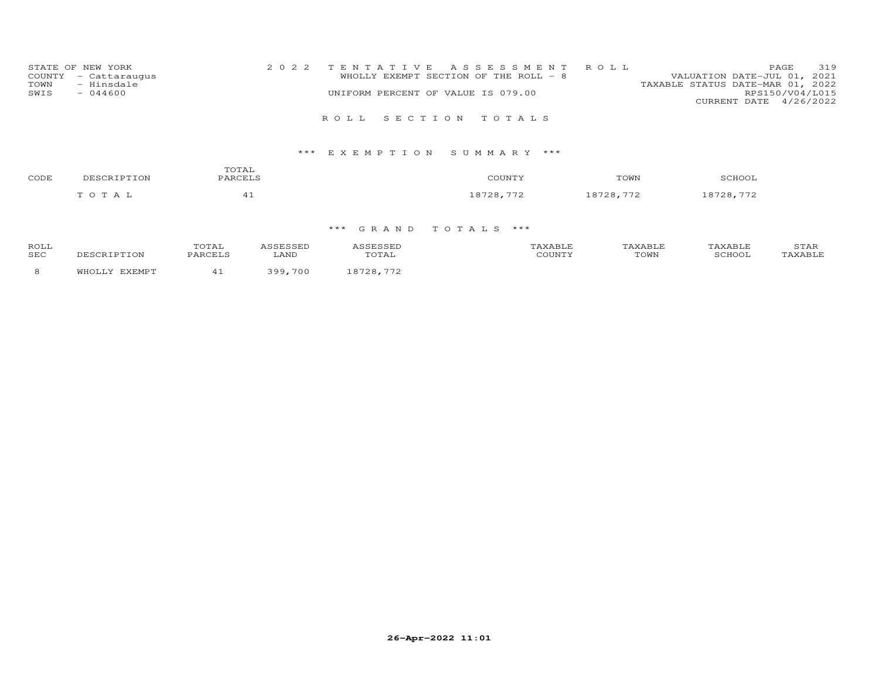| 319<br>2022 TENTATIVE ASSESSMENT ROLL<br>PAGE                        |
|----------------------------------------------------------------------|
| WHOLLY EXEMPT SECTION OF THE ROLL - 8<br>VALUATION DATE-JUL 01, 2021 |
| TAXABLE STATUS DATE-MAR 01, 2022                                     |
| RPS150/V04/L015<br>UNIFORM PERCENT OF VALUE IS 079.00                |
| CURRENT DATE 4/26/2022                                               |
|                                                                      |
| ROLL SECTION TOTALS                                                  |
|                                                                      |

| CODE | DESCRIPTION | TOTAL<br>PARCELS | COUNTY    | TOWN      | SCHOOL    |
|------|-------------|------------------|-----------|-----------|-----------|
|      | TOTAL       |                  | 18728,772 | 18728,772 | 18728,772 |

| <b>ROLI</b><br><b>SEC</b> |  | LANI     |  | TOWN | ≖ |
|---------------------------|--|----------|--|------|---|
|                           |  | $\cdots$ |  |      |   |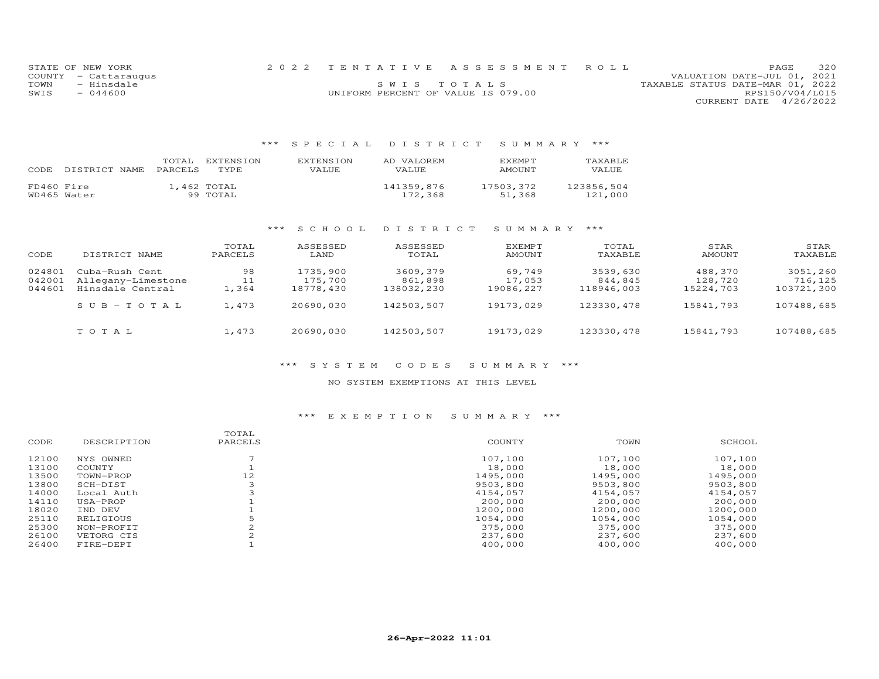|      | STATE OF NEW YORK    |                                    | 2022 TENTATIVE ASSESSMENT ROLL |                                  | PAGE                   | 320 |
|------|----------------------|------------------------------------|--------------------------------|----------------------------------|------------------------|-----|
|      | COUNTY - Cattaraugus |                                    |                                | VALUATION DATE-JUL 01, 2021      |                        |     |
| TOWN | - Hinsdale           |                                    | SWIS TOTALS                    | TAXABLE STATUS DATE-MAR 01, 2022 |                        |     |
| SWIS | $-044600$            | UNIFORM PERCENT OF VALUE IS 079.00 |                                |                                  | RPS150/V04/L015        |     |
|      |                      |                                    |                                |                                  | CURRENT DATE 4/26/2022 |     |

| CODE       | DISTRICT NAME | TOTAL<br><b>PARCELS</b> | EXTENSION<br>TYPE.      | <b>EXTENSION</b><br>VALUE. | AD VALOREM<br>VALUE   | <b>F.XFMPT</b><br>AMOUNT | TAXABLE<br>VALUE      |
|------------|---------------|-------------------------|-------------------------|----------------------------|-----------------------|--------------------------|-----------------------|
| FD460 Fire | WD465 Water   |                         | 1,462 TOTAL<br>99 TOTAL |                            | 141359,876<br>172,368 | 17503,372<br>51,368      | 123856,504<br>121,000 |

## \*\*\* S C H O O L D I S T R I C T S U M M A R Y \*\*\*

| CODE                       | DISTRICT NAME                                            | TOTAL<br>PARCELS  | ASSESSED<br>LAND                 | ASSESSED<br>TOTAL                 | <b>EXEMPT</b><br>AMOUNT       | TOTAL<br>TAXABLE                  | STAR<br>AMOUNT                  | STAR<br>TAXABLE                   |
|----------------------------|----------------------------------------------------------|-------------------|----------------------------------|-----------------------------------|-------------------------------|-----------------------------------|---------------------------------|-----------------------------------|
| 024801<br>042001<br>044601 | Cuba-Rush Cent<br>Allegany-Limestone<br>Hinsdale Central | 98<br>11<br>1,364 | 1735,900<br>175,700<br>18778,430 | 3609,379<br>861,898<br>138032,230 | 69,749<br>17,053<br>19086,227 | 3539,630<br>844,845<br>118946,003 | 488,370<br>128,720<br>15224,703 | 3051,260<br>716,125<br>103721,300 |
|                            | $SUB - TO TAL$                                           | 1,473             | 20690,030                        | 142503,507                        | 19173,029                     | 123330, 478                       | 15841,793                       | 107488,685                        |
|                            | TOTAL                                                    | 1,473             | 20690,030                        | 142503,507                        | 19173,029                     | 123330,478                        | 15841,793                       | 107488,685                        |

### \*\*\* S Y S T E M C O D E S S U M M A R Y \*\*\*

#### NO SYSTEM EXEMPTIONS AT THIS LEVEL

| CODE  | DESCRIPTION | TOTAL<br>PARCELS | COUNTY   | TOWN     | SCHOOL   |
|-------|-------------|------------------|----------|----------|----------|
| 12100 | NYS OWNED   |                  | 107,100  | 107,100  | 107,100  |
| 13100 | COUNTY      |                  | 18,000   | 18,000   | 18,000   |
| 13500 | TOWN-PROP   | 12               | 1495,000 | 1495,000 | 1495,000 |
| 13800 | SCH-DIST    |                  | 9503,800 | 9503,800 | 9503,800 |
| 14000 | Local Auth  |                  | 4154,057 | 4154,057 | 4154,057 |
| 14110 | USA-PROP    |                  | 200,000  | 200,000  | 200,000  |
| 18020 | IND DEV     |                  | 1200,000 | 1200,000 | 1200,000 |
| 25110 | RELIGIOUS   |                  | 1054,000 | 1054,000 | 1054,000 |
| 25300 | NON-PROFIT  |                  | 375,000  | 375,000  | 375,000  |
| 26100 | VETORG CTS  |                  | 237,600  | 237,600  | 237,600  |
| 26400 | FIRE-DEPT   |                  | 400,000  | 400,000  | 400,000  |
|       |             |                  |          |          |          |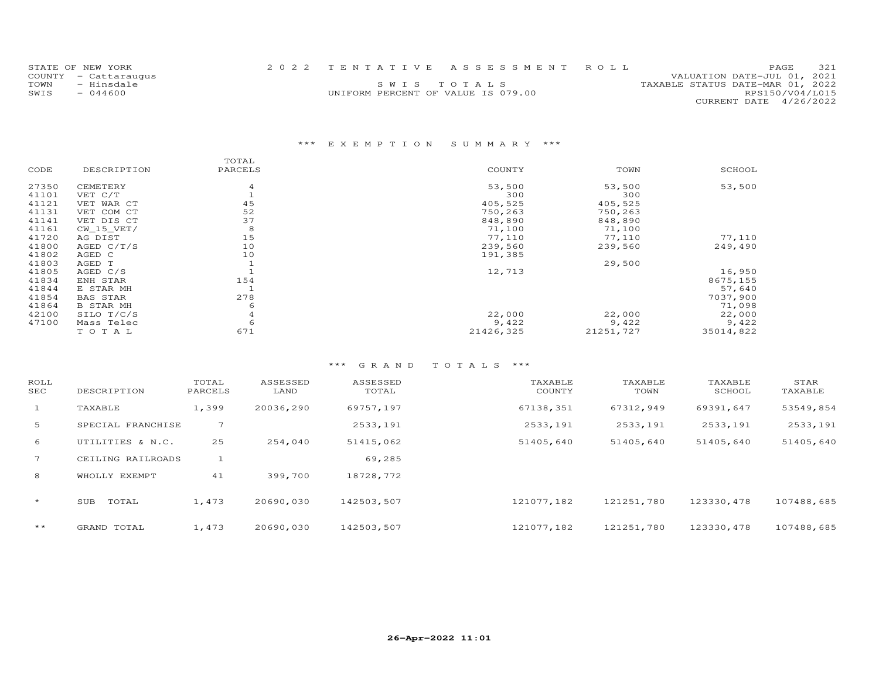| STATE OF NEW YORK    |                                    | 2022 TENTATIVE ASSESSMENT ROLL |                                  | <b>PAGE</b>                 | 321 |
|----------------------|------------------------------------|--------------------------------|----------------------------------|-----------------------------|-----|
| COUNTY - Cattaraugus |                                    |                                |                                  | VALUATION DATE-JUL 01, 2021 |     |
| TOWN<br>- Hinsdale   |                                    | SWIS TOTALS                    | TAXABLE STATUS DATE-MAR 01, 2022 |                             |     |
| SWIS<br>$-044600$    | UNIFORM PERCENT OF VALUE IS 079.00 |                                |                                  | RPS150/V04/L015             |     |
|                      |                                    |                                |                                  | CURRENT DATE 4/26/2022      |     |

|       |                  | TOTAL   |           |           |           |
|-------|------------------|---------|-----------|-----------|-----------|
| CODE  | DESCRIPTION      | PARCELS | COUNTY    | TOWN      | SCHOOL    |
| 27350 | CEMETERY         | 4       | 53,500    | 53,500    | 53,500    |
| 41101 | VET C/T          |         | 300       | 300       |           |
| 41121 | VET WAR CT       | 45      | 405,525   | 405,525   |           |
| 41131 | VET COM CT       | 52      | 750,263   | 750,263   |           |
| 41141 | VET DIS CT       | 37      | 848,890   | 848,890   |           |
| 41161 | $CW_15_VET/$     | 8       | 71,100    | 71,100    |           |
| 41720 | AG DIST          | 15      | 77,110    | 77,110    | 77,110    |
| 41800 | AGED $C/T/S$     | 10      | 239,560   | 239,560   | 249,490   |
| 41802 | AGED C           | 10      | 191,385   |           |           |
| 41803 | AGED T           |         |           | 29,500    |           |
| 41805 | AGED C/S         |         | 12,713    |           | 16,950    |
| 41834 | ENH STAR         | 154     |           |           | 8675,155  |
| 41844 | E STAR MH        |         |           |           | 57,640    |
| 41854 | <b>BAS STAR</b>  | 278     |           |           | 7037,900  |
| 41864 | <b>B STAR MH</b> | 6       |           |           | 71,098    |
| 42100 | SILO T/C/S       | 4       | 22,000    | 22,000    | 22,000    |
| 47100 | Mass Telec       | 6       | 9,422     | 9,422     | 9,422     |
|       | TOTAL            | 671     | 21426,325 | 21251,727 | 35014,822 |

| ROLL<br>SEC    | DESCRIPTION       | TOTAL<br>PARCELS | ASSESSED<br>LAND | ASSESSED<br>TOTAL | TAXABLE<br>COUNTY | TAXABLE<br>TOWN | TAXABLE<br>SCHOOL | STAR<br>TAXABLE |
|----------------|-------------------|------------------|------------------|-------------------|-------------------|-----------------|-------------------|-----------------|
| $\mathbf{1}$   | TAXABLE           | 1,399            | 20036,290        | 69757,197         | 67138,351         | 67312,949       | 69391,647         | 53549,854       |
| 5              | SPECIAL FRANCHISE |                  |                  | 2533,191          | 2533,191          | 2533,191        | 2533,191          | 2533,191        |
| 6              | UTILITIES & N.C.  | 25               | 254,040          | 51415,062         | 51405,640         | 51405,640       | 51405,640         | 51405,640       |
| $\overline{7}$ | CEILING RAILROADS |                  |                  | 69,285            |                   |                 |                   |                 |
| 8              | WHOLLY EXEMPT     | 41               | 399,700          | 18728,772         |                   |                 |                   |                 |
| $\star$        | TOTAL<br>SUB      | 1,473            | 20690,030        | 142503,507        | 121077.182        | 121251,780      | 123330, 478       | 107488,685      |
| $\star\star$   | GRAND TOTAL       | 1,473            | 20690,030        | 142503,507        | 121077,182        | 121251,780      | 123330, 478       | 107488,685      |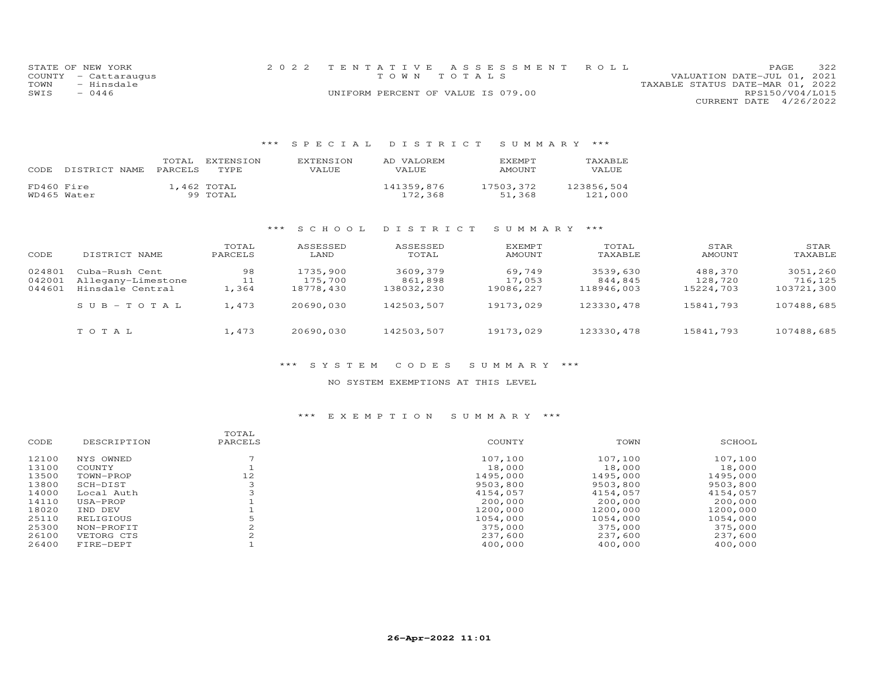|      | STATE OF NEW YORK    | 2022 TENTATIVE ASSESSMENT ROLL     |  |                                  |                        | <b>PAGE</b> | 322 |
|------|----------------------|------------------------------------|--|----------------------------------|------------------------|-------------|-----|
|      | COUNTY - Cattaraugus | TOWN TOTALS                        |  | VALUATION DATE-JUL 01, 2021      |                        |             |     |
| TOWN | - Hinsdale           |                                    |  | TAXABLE STATUS DATE-MAR 01, 2022 |                        |             |     |
| SWIS | $-0446$              | UNIFORM PERCENT OF VALUE IS 079.00 |  |                                  | RPS150/V04/L015        |             |     |
|      |                      |                                    |  |                                  | CURRENT DATE 4/26/2022 |             |     |

| CODE.                     | TOTAL   | EXTENSION               | <b>EXTENSION</b> | AD VALOREM            | <b>F.XFMPT</b>      | TAXABLE               |
|---------------------------|---------|-------------------------|------------------|-----------------------|---------------------|-----------------------|
| DISTRICT NAME             | PARCELS | TYPE.                   | VALUE            | VALUE                 | AMOUNT              | VALUE                 |
| FD460 Fire<br>WD465 Water |         | 1,462 TOTAL<br>99 TOTAL |                  | 141359,876<br>172.368 | 17503,372<br>51,368 | 123856,504<br>121,000 |

# \*\*\* S C H O O L D I S T R I C T S U M M A R Y \*\*\*

| CODE                       | DISTRICT NAME                                            | TOTAL<br>PARCELS  | ASSESSED<br>LAND                 | ASSESSED<br>TOTAL                 | <b>EXEMPT</b><br>AMOUNT       | TOTAL<br>TAXABLE                  | STAR<br>AMOUNT                  | STAR<br>TAXABLE                   |
|----------------------------|----------------------------------------------------------|-------------------|----------------------------------|-----------------------------------|-------------------------------|-----------------------------------|---------------------------------|-----------------------------------|
| 024801<br>042001<br>044601 | Cuba-Rush Cent<br>Allegany-Limestone<br>Hinsdale Central | 98<br>11<br>1,364 | 1735,900<br>175,700<br>18778,430 | 3609,379<br>861,898<br>138032,230 | 69,749<br>17,053<br>19086,227 | 3539,630<br>844,845<br>118946,003 | 488,370<br>128,720<br>15224,703 | 3051,260<br>716,125<br>103721,300 |
|                            | $SUB - TO TAL$                                           | 1,473             | 20690,030                        | 142503,507                        | 19173,029                     | 123330, 478                       | 15841,793                       | 107488,685                        |
|                            | TOTAL                                                    | 1,473             | 20690,030                        | 142503,507                        | 19173,029                     | 123330,478                        | 15841,793                       | 107488,685                        |

### \*\*\* S Y S T E M C O D E S S U M M A R Y \*\*\*

#### NO SYSTEM EXEMPTIONS AT THIS LEVEL

| CODE  | DESCRIPTION | TOTAL<br>PARCELS | COUNTY   | TOWN     | SCHOOL   |
|-------|-------------|------------------|----------|----------|----------|
| 12100 | NYS OWNED   |                  | 107,100  | 107,100  | 107,100  |
| 13100 | COUNTY      |                  | 18,000   | 18,000   | 18,000   |
| 13500 | TOWN-PROP   | 12               | 1495,000 | 1495,000 | 1495,000 |
| 13800 | SCH-DIST    |                  | 9503,800 | 9503,800 | 9503,800 |
| 14000 | Local Auth  |                  | 4154,057 | 4154,057 | 4154,057 |
| 14110 | USA-PROP    |                  | 200,000  | 200,000  | 200,000  |
| 18020 | IND DEV     |                  | 1200,000 | 1200,000 | 1200,000 |
| 25110 | RELIGIOUS   |                  | 1054,000 | 1054,000 | 1054,000 |
| 25300 | NON-PROFIT  |                  | 375,000  | 375,000  | 375,000  |
| 26100 | VETORG CTS  |                  | 237,600  | 237,600  | 237,600  |
| 26400 | FIRE-DEPT   |                  | 400,000  | 400,000  | 400,000  |
|       |             |                  |          |          |          |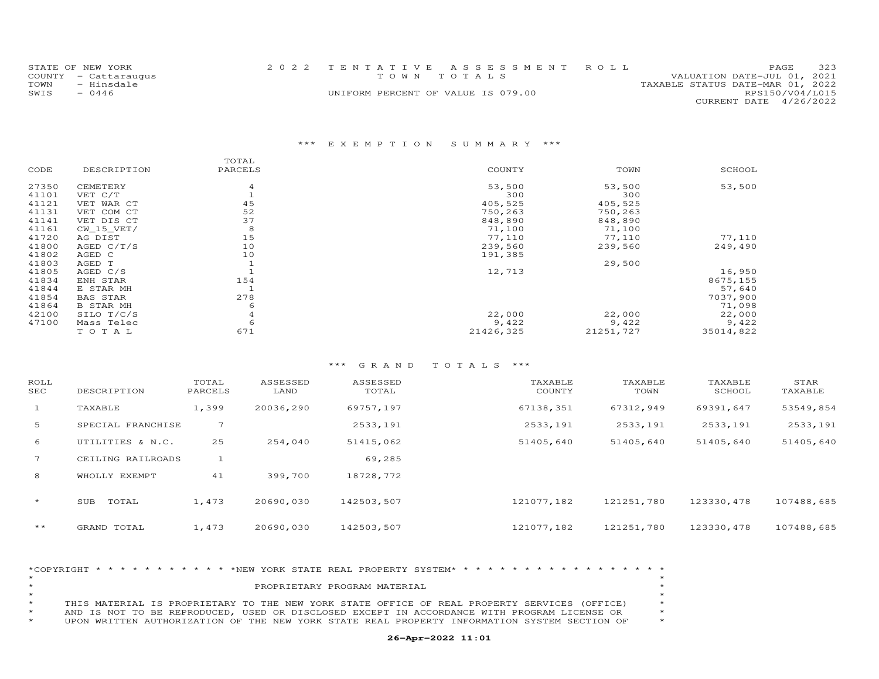|      | STATE OF NEW YORK    | 2022 TENTATIVE ASSESSMENT ROLL     |  |                                  |                        | PAGE. | 323 |
|------|----------------------|------------------------------------|--|----------------------------------|------------------------|-------|-----|
|      | COUNTY - Cattaraugus | TOWN TOTALS                        |  | VALUATION DATE-JUL 01, 2021      |                        |       |     |
| TOWN | - Hinsdale           |                                    |  | TAXABLE STATUS DATE-MAR 01, 2022 |                        |       |     |
| SWIS | - 0446               | UNIFORM PERCENT OF VALUE IS 079.00 |  |                                  | RPS150/V04/L015        |       |     |
|      |                      |                                    |  |                                  | CURRENT DATE 4/26/2022 |       |     |

|       |                  | TOTAL   |           |           |           |
|-------|------------------|---------|-----------|-----------|-----------|
| CODE  | DESCRIPTION      | PARCELS | COUNTY    | TOWN      | SCHOOL    |
| 27350 | CEMETERY         | 4       | 53,500    | 53,500    | 53,500    |
| 41101 | VET C/T          |         | 300       | 300       |           |
| 41121 | VET WAR CT       | 45      | 405,525   | 405,525   |           |
| 41131 | VET COM CT       | 52      | 750,263   | 750,263   |           |
| 41141 | VET DIS CT       | 37      | 848,890   | 848,890   |           |
| 41161 | $CW_15_VET/$     | 8       | 71,100    | 71,100    |           |
| 41720 | AG DIST          | 15      | 77,110    | 77,110    | 77,110    |
| 41800 | AGED $C/T/S$     | 10      | 239,560   | 239,560   | 249,490   |
| 41802 | AGED C           | 10      | 191,385   |           |           |
| 41803 | AGED T           |         |           | 29,500    |           |
| 41805 | AGED C/S         |         | 12,713    |           | 16,950    |
| 41834 | ENH STAR         | 154     |           |           | 8675,155  |
| 41844 | E STAR MH        |         |           |           | 57,640    |
| 41854 | <b>BAS STAR</b>  | 278     |           |           | 7037,900  |
| 41864 | <b>B STAR MH</b> | 6       |           |           | 71,098    |
| 42100 | SILO T/C/S       | 4       | 22,000    | 22,000    | 22,000    |
| 47100 | Mass Telec       | 6       | 9,422     | 9,422     | 9,422     |
|       | TO TAL           | 671     | 21426,325 | 21251,727 | 35014,822 |

## \*\*\* G R A N D T O T A L S \*\*\*

| ROLL<br>SEC     | DESCRIPTION       | TOTAL<br>PARCELS | ASSESSED<br>LAND | ASSESSED<br>TOTAL | TAXABLE<br>COUNTY | TAXABLE<br>TOWN | TAXABLE<br>SCHOOL | STAR<br>TAXABLE |
|-----------------|-------------------|------------------|------------------|-------------------|-------------------|-----------------|-------------------|-----------------|
| $\mathbf{1}$    | TAXABLE           | 1,399            | 20036,290        | 69757,197         | 67138,351         | 67312,949       | 69391,647         | 53549,854       |
| 5               | SPECIAL FRANCHISE | 7                |                  | 2533,191          | 2533,191          | 2533,191        | 2533,191          | 2533,191        |
| 6               | UTILITIES & N.C.  | 25               | 254,040          | 51415,062         | 51405,640         | 51405,640       | 51405,640         | 51405,640       |
| $7\overline{ }$ | CEILING RAILROADS |                  |                  | 69,285            |                   |                 |                   |                 |
| 8               | WHOLLY EXEMPT     | 41               | 399,700          | 18728,772         |                   |                 |                   |                 |
| $\star$         | TOTAL<br>SUB      | 1,473            | 20690,030        | 142503,507        | 121077,182        | 121251,780      | 123330, 478       | 107488,685      |
| $\star\star$    | GRAND TOTAL       | 1,473            | 20690,030        | 142503,507        | 121077,182        | 121251,780      | 123330, 478       | 107488,685      |

|         | *COPYRIGHT * * * * * * * * * * * * NEW YORK STATE REAL PROPERTY SYSTEM* * * * * * * * * * * * * * * * * * * |         |
|---------|-------------------------------------------------------------------------------------------------------------|---------|
| $\star$ |                                                                                                             |         |
| $\star$ | PROPRIETARY PROGRAM MATERIAL                                                                                |         |
|         |                                                                                                             |         |
| $\star$ | THIS MATERIAL IS PROPRIETARY TO THE NEW YORK STATE OFFICE OF REAL PROPERTY SERVICES (OFFICE)                |         |
| $\star$ | AND IS NOT TO BE REPRODUCED. USED OR DISCLOSED EXCEPT IN ACCORDANCE WITH PROGRAM LICENSE OR                 |         |
| $\star$ | UPON WRITTEN AUTHORIZATION OF THE NEW YORK STATE REAL PROPERTY INFORMATION SYSTEM SECTION OF                | $\star$ |

### **26-Apr-2022 11:01**